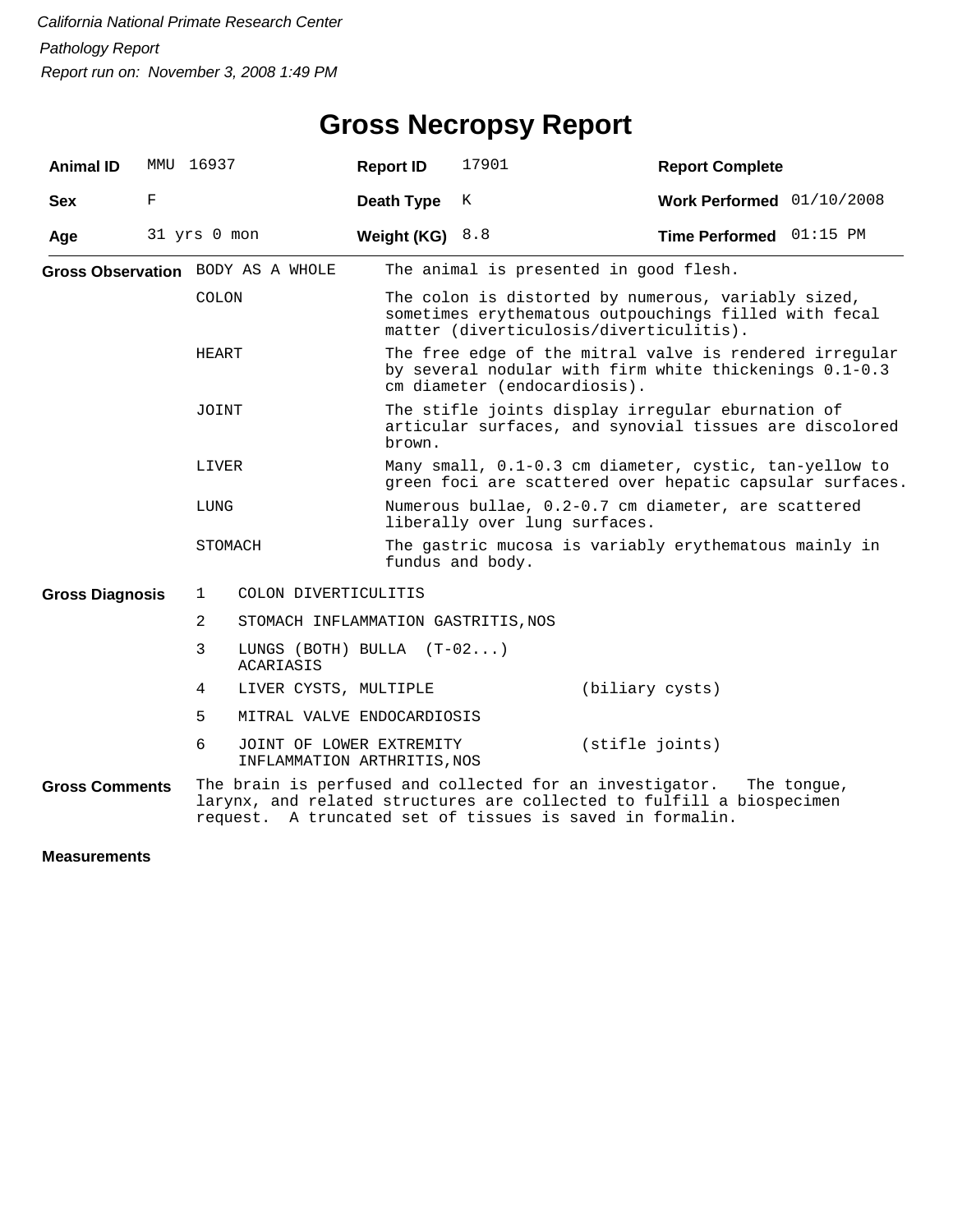| <b>Animal ID</b>       | MMU 16937    |              |                                                         | <b>Report ID</b> | 17901                                                                                                                                                   | <b>Report Complete</b>                                                                                                                                                                                        |  |  |  |
|------------------------|--------------|--------------|---------------------------------------------------------|------------------|---------------------------------------------------------------------------------------------------------------------------------------------------------|---------------------------------------------------------------------------------------------------------------------------------------------------------------------------------------------------------------|--|--|--|
| <b>Sex</b>             | F            |              |                                                         | Death Type       | K                                                                                                                                                       | Work Performed $01/10/2008$                                                                                                                                                                                   |  |  |  |
| Age                    | 31 yrs 0 mon |              |                                                         | Weight (KG)      | 8.8                                                                                                                                                     | Time Performed 01:15 PM                                                                                                                                                                                       |  |  |  |
|                        |              |              | Gross Observation BODY AS A WHOLE                       |                  | The animal is presented in good flesh.                                                                                                                  |                                                                                                                                                                                                               |  |  |  |
|                        |              | <b>COLON</b> |                                                         |                  | The colon is distorted by numerous, variably sized,<br>sometimes erythematous outpouchings filled with fecal<br>matter (diverticulosis/diverticulitis). |                                                                                                                                                                                                               |  |  |  |
|                        |              | HEART        |                                                         |                  | The free edge of the mitral valve is rendered irregular<br>by several nodular with firm white thickenings 0.1-0.3<br>cm diameter (endocardiosis).       |                                                                                                                                                                                                               |  |  |  |
|                        |              | JOINT        |                                                         | brown.           | The stifle joints display irregular eburnation of<br>articular surfaces, and synovial tissues are discolored                                            |                                                                                                                                                                                                               |  |  |  |
|                        |              | LIVER        |                                                         |                  |                                                                                                                                                         | Many small, 0.1-0.3 cm diameter, cystic, tan-yellow to<br>green foci are scattered over hepatic capsular surfaces.                                                                                            |  |  |  |
|                        |              | LUNG         |                                                         |                  | Numerous bullae, 0.2-0.7 cm diameter, are scattered<br>liberally over lung surfaces.                                                                    |                                                                                                                                                                                                               |  |  |  |
|                        |              |              | STOMACH                                                 |                  | The gastric mucosa is variably erythematous mainly in<br>fundus and body.                                                                               |                                                                                                                                                                                                               |  |  |  |
| <b>Gross Diagnosis</b> |              | $\mathbf{1}$ | COLON DIVERTICULITIS                                    |                  |                                                                                                                                                         |                                                                                                                                                                                                               |  |  |  |
|                        |              | 2            | STOMACH INFLAMMATION GASTRITIS, NOS                     |                  |                                                                                                                                                         |                                                                                                                                                                                                               |  |  |  |
|                        |              | 3            | LUNGS (BOTH) BULLA $(T-02)$<br><b>ACARIASIS</b>         |                  |                                                                                                                                                         |                                                                                                                                                                                                               |  |  |  |
|                        |              | 4            | LIVER CYSTS, MULTIPLE                                   |                  |                                                                                                                                                         | (biliary cysts)                                                                                                                                                                                               |  |  |  |
|                        |              | 5            | MITRAL VALVE ENDOCARDIOSIS                              |                  |                                                                                                                                                         |                                                                                                                                                                                                               |  |  |  |
|                        |              | 6            | JOINT OF LOWER EXTREMITY<br>INFLAMMATION ARTHRITIS, NOS |                  |                                                                                                                                                         | (stifle joints)                                                                                                                                                                                               |  |  |  |
| <b>Gross Comments</b>  |              |              |                                                         |                  |                                                                                                                                                         | The brain is perfused and collected for an investigator.<br>The tongue,<br>larynx, and related structures are collected to fulfill a biospecimen<br>request. A truncated set of tissues is saved in formalin. |  |  |  |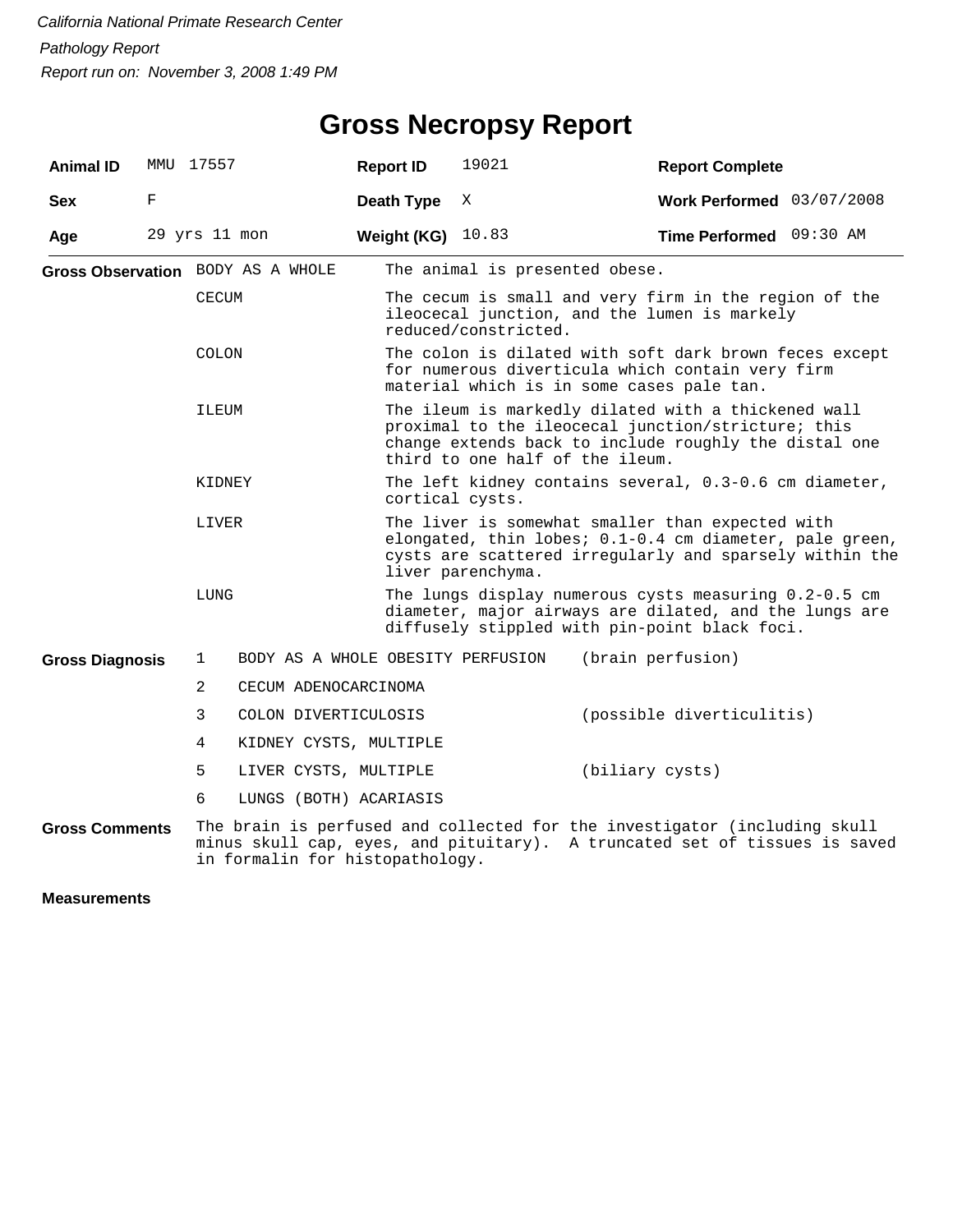| <b>Animal ID</b>       | MMU 17557 |               |                                   | <b>Report ID</b> | 19021                                                                                                                                                                                                 | <b>Report Complete</b>                                                                                                                                  |  |  |  |  |
|------------------------|-----------|---------------|-----------------------------------|------------------|-------------------------------------------------------------------------------------------------------------------------------------------------------------------------------------------------------|---------------------------------------------------------------------------------------------------------------------------------------------------------|--|--|--|--|
| <b>Sex</b>             | F         |               |                                   | Death Type       | X                                                                                                                                                                                                     | Work Performed 03/07/2008                                                                                                                               |  |  |  |  |
| Age                    |           | 29 yrs 11 mon |                                   | Weight (KG)      | 10.83                                                                                                                                                                                                 | Time Performed 09:30 AM                                                                                                                                 |  |  |  |  |
|                        |           |               | Gross Observation BODY AS A WHOLE |                  | The animal is presented obese.                                                                                                                                                                        |                                                                                                                                                         |  |  |  |  |
|                        |           | CECUM         |                                   |                  | The cecum is small and very firm in the region of the<br>ileocecal junction, and the lumen is markely<br>reduced/constricted.                                                                         |                                                                                                                                                         |  |  |  |  |
|                        |           | <b>COLON</b>  |                                   |                  | The colon is dilated with soft dark brown feces except<br>for numerous diverticula which contain very firm<br>material which is in some cases pale tan.                                               |                                                                                                                                                         |  |  |  |  |
|                        |           | ILEUM         |                                   |                  | The ileum is markedly dilated with a thickened wall<br>proximal to the ileocecal junction/stricture; this<br>change extends back to include roughly the distal one<br>third to one half of the ileum. |                                                                                                                                                         |  |  |  |  |
|                        |           | KIDNEY        |                                   | cortical cysts.  |                                                                                                                                                                                                       | The left kidney contains several, 0.3-0.6 cm diameter,                                                                                                  |  |  |  |  |
|                        |           | LIVER         |                                   |                  | The liver is somewhat smaller than expected with<br>elongated, thin lobes; 0.1-0.4 cm diameter, pale green,<br>cysts are scattered irregularly and sparsely within the<br>liver parenchyma.           |                                                                                                                                                         |  |  |  |  |
|                        |           | LUNG          |                                   |                  | The lungs display numerous cysts measuring 0.2-0.5 cm<br>diameter, major airways are dilated, and the lungs are<br>diffusely stippled with pin-point black foci.                                      |                                                                                                                                                         |  |  |  |  |
| <b>Gross Diagnosis</b> |           | $\mathbf{1}$  | BODY AS A WHOLE OBESITY PERFUSION |                  |                                                                                                                                                                                                       | (brain perfusion)                                                                                                                                       |  |  |  |  |
|                        |           | 2             | CECUM ADENOCARCINOMA              |                  |                                                                                                                                                                                                       |                                                                                                                                                         |  |  |  |  |
|                        |           | 3             | COLON DIVERTICULOSIS              |                  |                                                                                                                                                                                                       | (possible diverticulitis)                                                                                                                               |  |  |  |  |
|                        |           | 4             | KIDNEY CYSTS, MULTIPLE            |                  |                                                                                                                                                                                                       |                                                                                                                                                         |  |  |  |  |
|                        |           | 5             | LIVER CYSTS, MULTIPLE             |                  | (biliary cysts)                                                                                                                                                                                       |                                                                                                                                                         |  |  |  |  |
|                        |           | 6             | LUNGS (BOTH) ACARIASIS            |                  |                                                                                                                                                                                                       |                                                                                                                                                         |  |  |  |  |
| <b>Gross Comments</b>  |           |               | in formalin for histopathology.   |                  |                                                                                                                                                                                                       | The brain is perfused and collected for the investigator (including skull<br>minus skull cap, eyes, and pituitary). A truncated set of tissues is saved |  |  |  |  |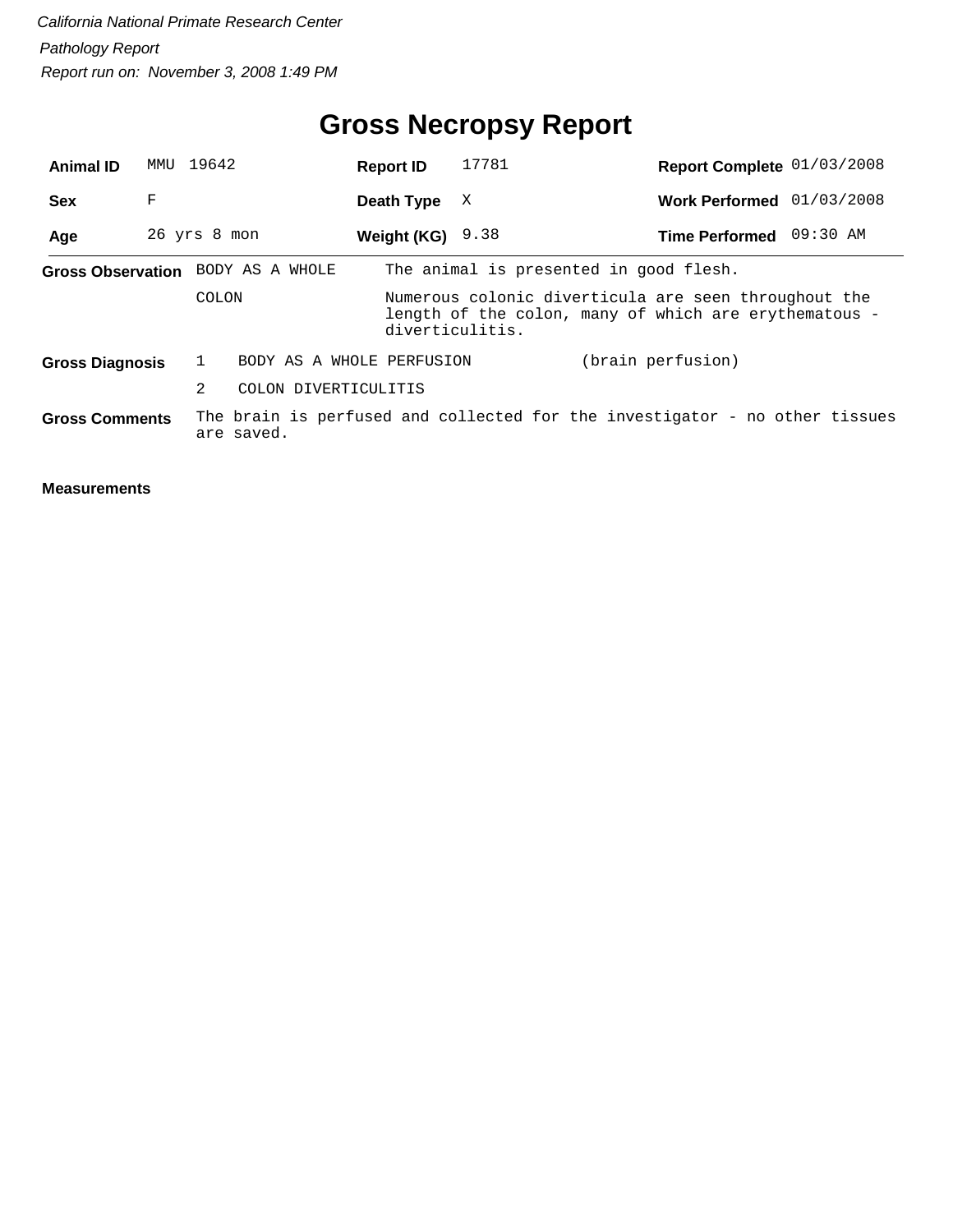## **Gross Necropsy Report**

| <b>Animal ID</b>       | MMU          | 19642         |                                   | <b>Report ID</b>   | 17781                                                                                                                            | Report Complete 01/03/2008 |  |  |  |
|------------------------|--------------|---------------|-----------------------------------|--------------------|----------------------------------------------------------------------------------------------------------------------------------|----------------------------|--|--|--|
| <b>Sex</b>             | F            |               |                                   | Death Type         | X                                                                                                                                | Work Performed 01/03/2008  |  |  |  |
| Age                    | 26 yrs 8 mon |               |                                   | Weight (KG) $9.38$ |                                                                                                                                  | Time Performed 09:30 AM    |  |  |  |
|                        |              |               | Gross Observation BODY AS A WHOLE |                    | The animal is presented in good flesh.                                                                                           |                            |  |  |  |
| COLON                  |              |               |                                   |                    | Numerous colonic diverticula are seen throughout the<br>length of the colon, many of which are erythematous -<br>diverticulitis. |                            |  |  |  |
| <b>Gross Diagnosis</b> |              |               | BODY AS A WHOLE PERFUSION         |                    |                                                                                                                                  | (brain perfusion)          |  |  |  |
|                        |              | $\mathcal{L}$ | COLON DIVERTICULITIS              |                    |                                                                                                                                  |                            |  |  |  |
| <b>Gross Comments</b>  |              |               | are saved.                        |                    | The brain is perfused and collected for the investigator - no other tissues                                                      |                            |  |  |  |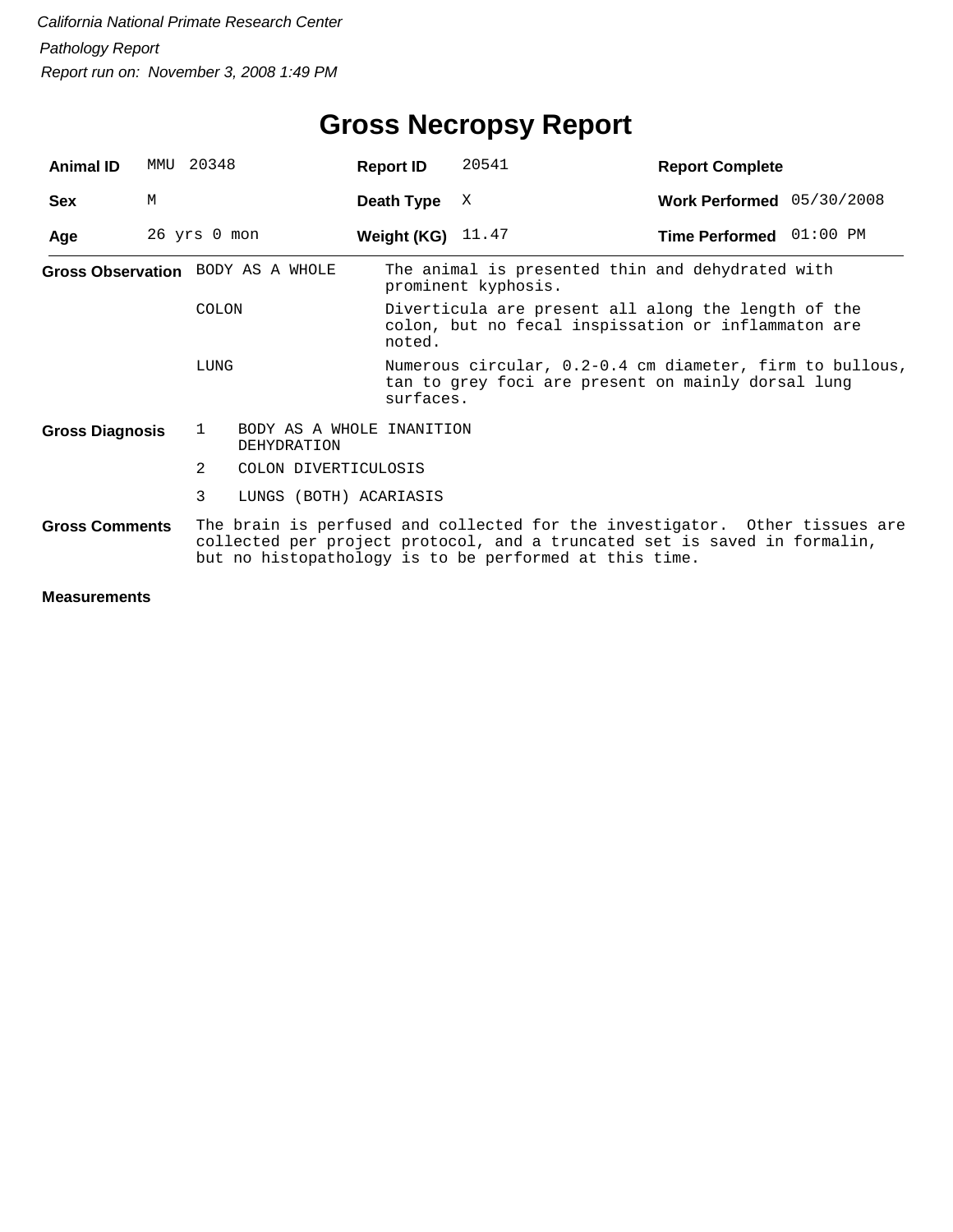## **Gross Necropsy Report**

| <b>Animal ID</b>       | MMU | 20348        |                                          | <b>Report ID</b> | 20541                                                                                                                                                                                                              | <b>Report Complete</b>      |  |  |  |
|------------------------|-----|--------------|------------------------------------------|------------------|--------------------------------------------------------------------------------------------------------------------------------------------------------------------------------------------------------------------|-----------------------------|--|--|--|
| <b>Sex</b>             | М   |              |                                          | Death Type       | X                                                                                                                                                                                                                  | Work Performed $05/30/2008$ |  |  |  |
| Age                    |     | 26 yrs 0 mon |                                          | Weight (KG)      | 11.47                                                                                                                                                                                                              | Time Performed 01:00 PM     |  |  |  |
|                        |     |              | Gross Observation BODY AS A WHOLE        |                  | The animal is presented thin and dehydrated with<br>prominent kyphosis.                                                                                                                                            |                             |  |  |  |
|                        |     | COLON        |                                          | noted.           | Diverticula are present all along the length of the<br>colon, but no fecal inspissation or inflammaton are                                                                                                         |                             |  |  |  |
| LUNG                   |     |              |                                          |                  | Numerous circular, 0.2-0.4 cm diameter, firm to bullous,<br>tan to grey foci are present on mainly dorsal lung<br>surfaces.                                                                                        |                             |  |  |  |
| <b>Gross Diagnosis</b> |     | $\mathbf{1}$ | BODY AS A WHOLE INANITION<br>DEHYDRATION |                  |                                                                                                                                                                                                                    |                             |  |  |  |
|                        |     | 2            | COLON DIVERTICULOSIS                     |                  |                                                                                                                                                                                                                    |                             |  |  |  |
|                        |     | 3            | LUNGS (BOTH) ACARIASIS                   |                  |                                                                                                                                                                                                                    |                             |  |  |  |
| <b>Gross Comments</b>  |     |              |                                          |                  | The brain is perfused and collected for the investigator. Other tissues are<br>collected per project protocol, and a truncated set is saved in formalin,<br>but no histopathology is to be performed at this time. |                             |  |  |  |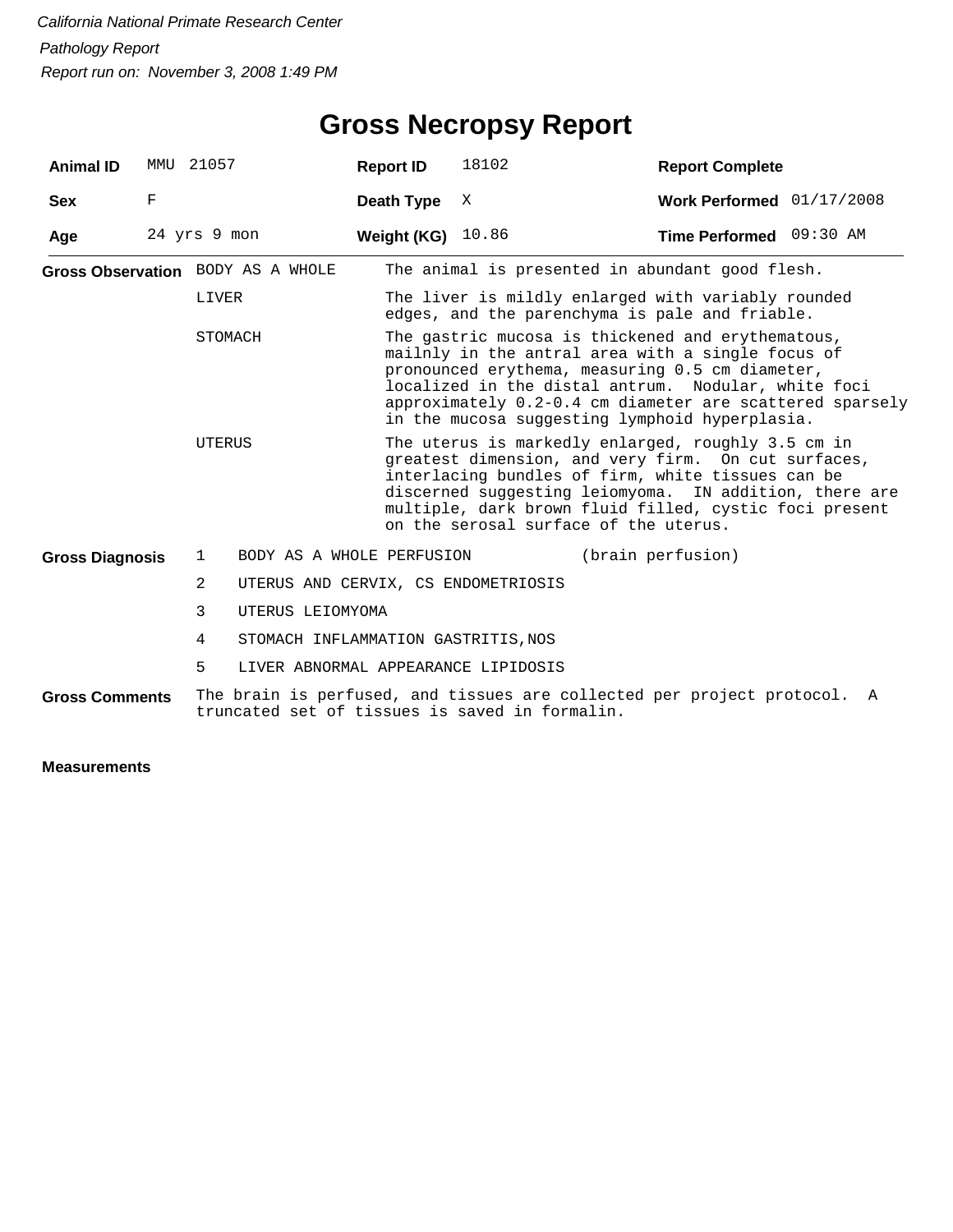| 21057<br><b>Animal ID</b><br>MMU |              | <b>Report ID</b>                               | 18102                               | <b>Report Complete</b>                                                                                                                                                                                                                                                                                                         |                                                                        |   |  |  |  |
|----------------------------------|--------------|------------------------------------------------|-------------------------------------|--------------------------------------------------------------------------------------------------------------------------------------------------------------------------------------------------------------------------------------------------------------------------------------------------------------------------------|------------------------------------------------------------------------|---|--|--|--|
| <b>Sex</b>                       | $\mathbf F$  |                                                | Death Type                          | X                                                                                                                                                                                                                                                                                                                              | Work Performed $01/17/2008$                                            |   |  |  |  |
| Age                              | 24 yrs 9 mon |                                                | Weight (KG) 10.86                   |                                                                                                                                                                                                                                                                                                                                | Time Performed 09:30 AM                                                |   |  |  |  |
|                                  |              | Gross Observation BODY AS A WHOLE              |                                     |                                                                                                                                                                                                                                                                                                                                | The animal is presented in abundant good flesh.                        |   |  |  |  |
|                                  |              | LIVER                                          |                                     | The liver is mildly enlarged with variably rounded<br>edges, and the parenchyma is pale and friable.                                                                                                                                                                                                                           |                                                                        |   |  |  |  |
|                                  |              | STOMACH                                        |                                     | The gastric mucosa is thickened and erythematous,<br>mailnly in the antral area with a single focus of<br>pronounced erythema, measuring 0.5 cm diameter,<br>localized in the distal antrum. Nodular, white foci<br>approximately 0.2-0.4 cm diameter are scattered sparsely<br>in the mucosa suggesting lymphoid hyperplasia. |                                                                        |   |  |  |  |
|                                  |              | UTERUS                                         |                                     | The uterus is markedly enlarged, roughly 3.5 cm in<br>greatest dimension, and very firm. On cut surfaces,<br>interlacing bundles of firm, white tissues can be<br>discerned suggesting leiomyoma. IN addition, there are<br>multiple, dark brown fluid filled, cystic foci present<br>on the serosal surface of the uterus.    |                                                                        |   |  |  |  |
| <b>Gross Diagnosis</b>           |              | 1                                              | BODY AS A WHOLE PERFUSION           |                                                                                                                                                                                                                                                                                                                                | (brain perfusion)                                                      |   |  |  |  |
|                                  |              | $\mathfrak{D}$                                 |                                     | UTERUS AND CERVIX, CS ENDOMETRIOSIS                                                                                                                                                                                                                                                                                            |                                                                        |   |  |  |  |
|                                  |              | 3<br>UTERUS LEIOMYOMA                          |                                     |                                                                                                                                                                                                                                                                                                                                |                                                                        |   |  |  |  |
|                                  |              | 4                                              | STOMACH INFLAMMATION GASTRITIS, NOS |                                                                                                                                                                                                                                                                                                                                |                                                                        |   |  |  |  |
|                                  |              | 5                                              |                                     | LIVER ABNORMAL APPEARANCE LIPIDOSIS                                                                                                                                                                                                                                                                                            |                                                                        |   |  |  |  |
| <b>Gross Comments</b>            |              | truncated set of tissues is saved in formalin. |                                     |                                                                                                                                                                                                                                                                                                                                | The brain is perfused, and tissues are collected per project protocol. | A |  |  |  |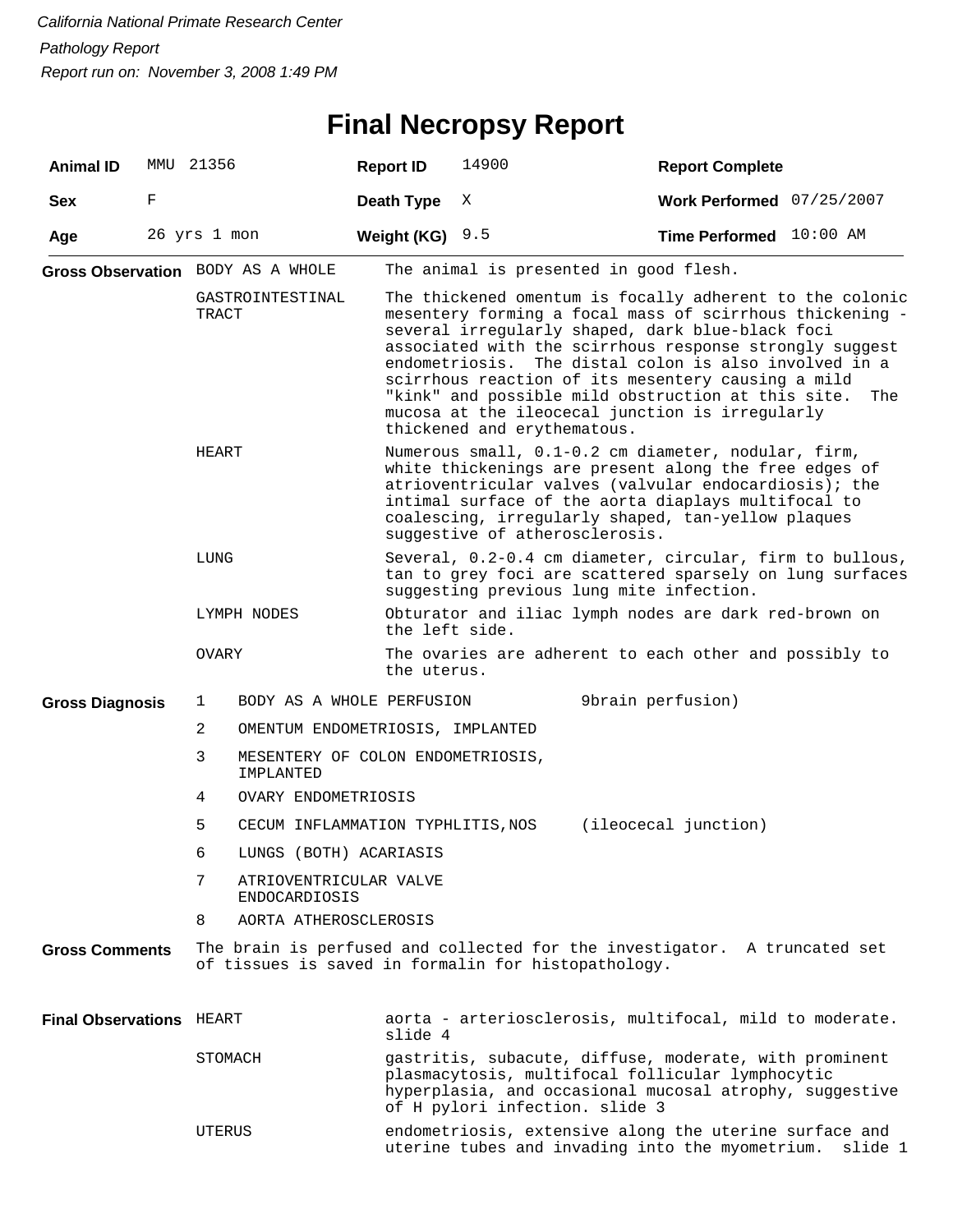## **Final Necropsy Report**

| <b>Animal ID</b>          | MMU 21356    |                           |                                                |  | <b>Report ID</b>                                                                                                                                                                                                                                                                                                                                                                                                                                                                                  | 14900                                                                                                                                                            | <b>Report Complete</b>    |         |  |  |
|---------------------------|--------------|---------------------------|------------------------------------------------|--|---------------------------------------------------------------------------------------------------------------------------------------------------------------------------------------------------------------------------------------------------------------------------------------------------------------------------------------------------------------------------------------------------------------------------------------------------------------------------------------------------|------------------------------------------------------------------------------------------------------------------------------------------------------------------|---------------------------|---------|--|--|
| <b>Sex</b>                | F            |                           |                                                |  | Death Type                                                                                                                                                                                                                                                                                                                                                                                                                                                                                        | Χ                                                                                                                                                                | Work Performed 07/25/2007 |         |  |  |
| Age                       | 26 yrs 1 mon |                           |                                                |  | Weight (KG)                                                                                                                                                                                                                                                                                                                                                                                                                                                                                       | 9.5                                                                                                                                                              | Time Performed 10:00 AM   |         |  |  |
|                           |              |                           | Gross Observation BODY AS A WHOLE              |  |                                                                                                                                                                                                                                                                                                                                                                                                                                                                                                   | The animal is presented in good flesh.                                                                                                                           |                           |         |  |  |
|                           |              | GASTROINTESTINAL<br>TRACT |                                                |  | The thickened omentum is focally adherent to the colonic<br>mesentery forming a focal mass of scirrhous thickening -<br>several irregularly shaped, dark blue-black foci<br>associated with the scirrhous response strongly suggest<br>endometriosis. The distal colon is also involved in a<br>scirrhous reaction of its mesentery causing a mild<br>"kink" and possible mild obstruction at this site.<br>The<br>mucosa at the ileocecal junction is irregularly<br>thickened and erythematous. |                                                                                                                                                                  |                           |         |  |  |
|                           |              | HEART                     |                                                |  | Numerous small, 0.1-0.2 cm diameter, nodular, firm,<br>white thickenings are present along the free edges of<br>atrioventricular valves (valvular endocardiosis); the<br>intimal surface of the aorta diaplays multifocal to<br>coalescing, irregularly shaped, tan-yellow plaques<br>suggestive of atherosclerosis.                                                                                                                                                                              |                                                                                                                                                                  |                           |         |  |  |
|                           |              | LUNG                      |                                                |  |                                                                                                                                                                                                                                                                                                                                                                                                                                                                                                   | Several, 0.2-0.4 cm diameter, circular, firm to bullous,<br>tan to grey foci are scattered sparsely on lung surfaces<br>suggesting previous lung mite infection. |                           |         |  |  |
|                           |              |                           | LYMPH NODES                                    |  | the left side.                                                                                                                                                                                                                                                                                                                                                                                                                                                                                    | Obturator and iliac lymph nodes are dark red-brown on                                                                                                            |                           |         |  |  |
|                           |              | OVARY                     |                                                |  | the uterus.                                                                                                                                                                                                                                                                                                                                                                                                                                                                                       | The ovaries are adherent to each other and possibly to                                                                                                           |                           |         |  |  |
| <b>Gross Diagnosis</b>    |              | 1                         | BODY AS A WHOLE PERFUSION                      |  |                                                                                                                                                                                                                                                                                                                                                                                                                                                                                                   |                                                                                                                                                                  | 9brain perfusion)         |         |  |  |
|                           |              | $\overline{2}$            | OMENTUM ENDOMETRIOSIS, IMPLANTED               |  |                                                                                                                                                                                                                                                                                                                                                                                                                                                                                                   |                                                                                                                                                                  |                           |         |  |  |
|                           |              | 3                         | MESENTERY OF COLON ENDOMETRIOSIS,<br>IMPLANTED |  |                                                                                                                                                                                                                                                                                                                                                                                                                                                                                                   |                                                                                                                                                                  |                           |         |  |  |
|                           |              | 4                         | OVARY ENDOMETRIOSIS                            |  |                                                                                                                                                                                                                                                                                                                                                                                                                                                                                                   |                                                                                                                                                                  |                           |         |  |  |
|                           |              | 5                         | CECUM INFLAMMATION TYPHLITIS, NOS              |  |                                                                                                                                                                                                                                                                                                                                                                                                                                                                                                   |                                                                                                                                                                  | (ileocecal junction)      |         |  |  |
|                           |              | 6                         | LUNGS (BOTH) ACARIASIS                         |  |                                                                                                                                                                                                                                                                                                                                                                                                                                                                                                   |                                                                                                                                                                  |                           |         |  |  |
|                           |              | 7                         | ATRIOVENTRICULAR VALVE<br>ENDOCARDIOSIS        |  |                                                                                                                                                                                                                                                                                                                                                                                                                                                                                                   |                                                                                                                                                                  |                           |         |  |  |
|                           |              | 8                         | AORTA ATHEROSCLEROSIS                          |  |                                                                                                                                                                                                                                                                                                                                                                                                                                                                                                   |                                                                                                                                                                  |                           |         |  |  |
| <b>Gross Comments</b>     |              |                           |                                                |  |                                                                                                                                                                                                                                                                                                                                                                                                                                                                                                   | The brain is perfused and collected for the investigator. A truncated set<br>of tissues is saved in formalin for histopathology.                                 |                           |         |  |  |
| <b>Final Observations</b> |              | HEART                     |                                                |  | slide 4                                                                                                                                                                                                                                                                                                                                                                                                                                                                                           | aorta - arteriosclerosis, multifocal, mild to moderate.                                                                                                          |                           |         |  |  |
|                           |              | STOMACH                   |                                                |  | gastritis, subacute, diffuse, moderate, with prominent<br>plasmacytosis, multifocal follicular lymphocytic<br>hyperplasia, and occasional mucosal atrophy, suggestive<br>of H pylori infection. slide 3                                                                                                                                                                                                                                                                                           |                                                                                                                                                                  |                           |         |  |  |
|                           |              | UTERUS                    |                                                |  |                                                                                                                                                                                                                                                                                                                                                                                                                                                                                                   | endometriosis, extensive along the uterine surface and<br>uterine tubes and invading into the myometrium.                                                        |                           | slide 1 |  |  |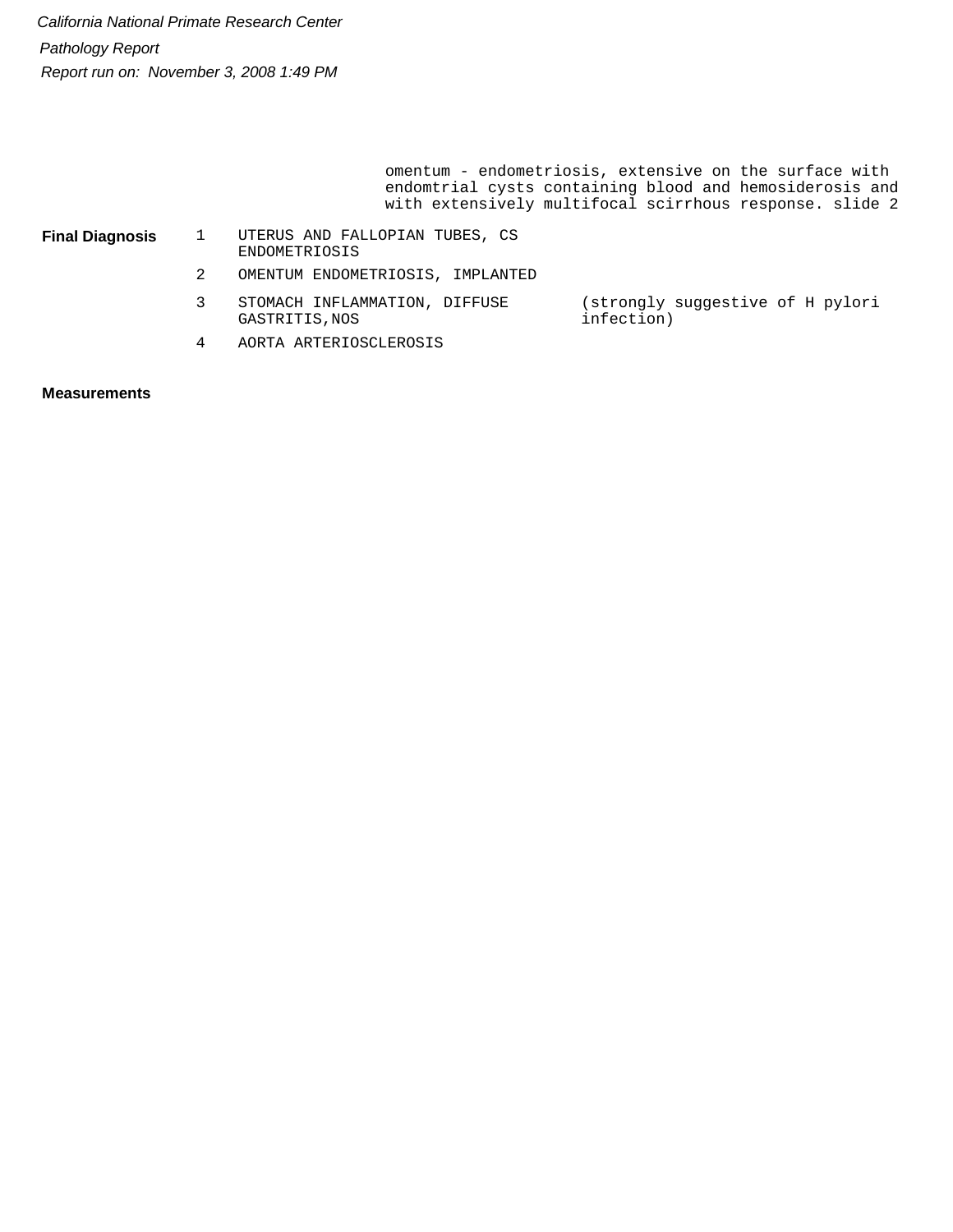> omentum - endometriosis, extensive on the surface with endomtrial cysts containing blood and hemosiderosis and with extensively multifocal scirrhous response. slide 2

| <b>Final Diagnosis</b> |  |
|------------------------|--|
|                        |  |

1 UTERUS AND FALLOPIAN TUBES, CS ENDOMETRIOSIS

- 2 OMENTUM ENDOMETRIOSIS, IMPLANTED
- 3 STOMACH INFLAMMATION, DIFFUSE GASTRITIS,NOS (strongly suggestive of H pylori infection)
- 4 AORTA ARTERIOSCLEROSIS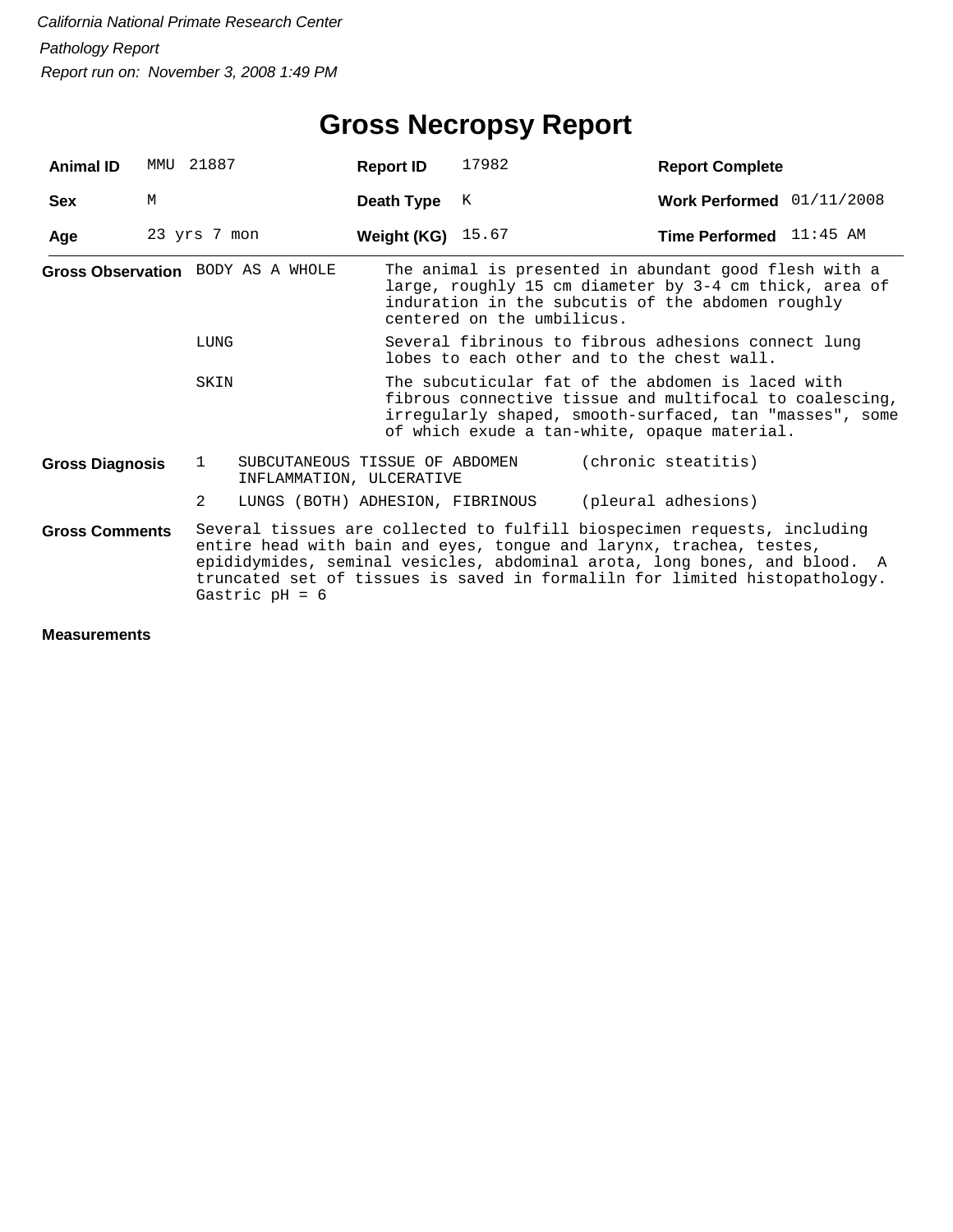| <b>Animal ID</b>                  |   | MMU 21887        | <b>Report ID</b>                                                                                                                                                                                                        | 17982                                                                                             | <b>Report Complete</b>                                                                                                                                                                                                                                                                                     |  |  |  |
|-----------------------------------|---|------------------|-------------------------------------------------------------------------------------------------------------------------------------------------------------------------------------------------------------------------|---------------------------------------------------------------------------------------------------|------------------------------------------------------------------------------------------------------------------------------------------------------------------------------------------------------------------------------------------------------------------------------------------------------------|--|--|--|
| <b>Sex</b>                        | М |                  | Death Type                                                                                                                                                                                                              | K                                                                                                 | Work Performed 01/11/2008                                                                                                                                                                                                                                                                                  |  |  |  |
| Age                               |   | 23 yrs 7 mon     | <b>Weight (KG)</b> 15.67                                                                                                                                                                                                |                                                                                                   | Time Performed 11:45 AM                                                                                                                                                                                                                                                                                    |  |  |  |
| Gross Observation BODY AS A WHOLE |   |                  |                                                                                                                                                                                                                         | centered on the umbilicus.                                                                        | The animal is presented in abundant good flesh with a<br>large, roughly 15 cm diameter by 3-4 cm thick, area of<br>induration in the subcutis of the abdomen roughly                                                                                                                                       |  |  |  |
|                                   |   | LUNG             |                                                                                                                                                                                                                         | Several fibrinous to fibrous adhesions connect lung<br>lobes to each other and to the chest wall. |                                                                                                                                                                                                                                                                                                            |  |  |  |
|                                   |   | SKIN             | The subcuticular fat of the abdomen is laced with<br>fibrous connective tissue and multifocal to coalescing,<br>irregularly shaped, smooth-surfaced, tan "masses", some<br>of which exude a tan-white, opaque material. |                                                                                                   |                                                                                                                                                                                                                                                                                                            |  |  |  |
| <b>Gross Diagnosis</b>            |   | 1                | SUBCUTANEOUS TISSUE OF ABDOMEN<br>INFLAMMATION, ULCERATIVE                                                                                                                                                              |                                                                                                   | (chronic steatitis)                                                                                                                                                                                                                                                                                        |  |  |  |
|                                   |   | 2                | LUNGS (BOTH) ADHESION, FIBRINOUS                                                                                                                                                                                        |                                                                                                   | (pleural adhesions)                                                                                                                                                                                                                                                                                        |  |  |  |
| <b>Gross Comments</b>             |   | Gastric $pH = 6$ |                                                                                                                                                                                                                         |                                                                                                   | Several tissues are collected to fulfill biospecimen requests, including<br>entire head with bain and eyes, tongue and larynx, trachea, testes,<br>epididymides, seminal vesicles, abdominal arota, long bones, and blood. A<br>truncated set of tissues is saved in formaliln for limited histopathology. |  |  |  |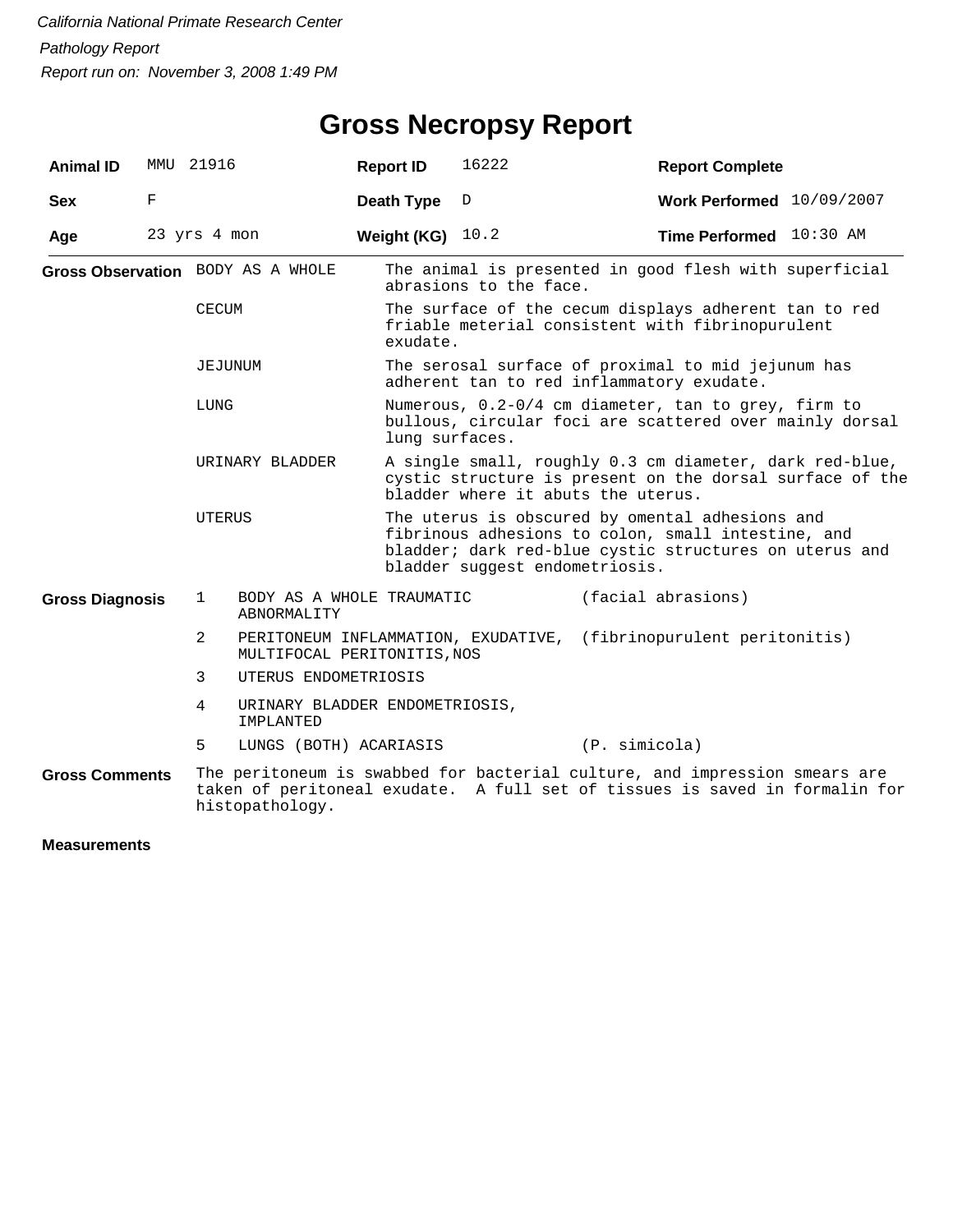## **Gross Necropsy Report**

| <b>Animal ID</b>       | MMU 21916 |                 |                                                                    | <b>Report ID</b> | 16222                                                                                                                                                                                             | <b>Report Complete</b>                                                                                                                                    |  |  |  |
|------------------------|-----------|-----------------|--------------------------------------------------------------------|------------------|---------------------------------------------------------------------------------------------------------------------------------------------------------------------------------------------------|-----------------------------------------------------------------------------------------------------------------------------------------------------------|--|--|--|
| <b>Sex</b>             | F         |                 |                                                                    | Death Type       | D                                                                                                                                                                                                 | Work Performed 10/09/2007                                                                                                                                 |  |  |  |
| Age                    |           | 23 yrs 4 mon    |                                                                    | Weight (KG)      | 10.2                                                                                                                                                                                              | Time Performed 10:30 AM                                                                                                                                   |  |  |  |
|                        |           |                 | Gross Observation BODY AS A WHOLE                                  |                  | The animal is presented in good flesh with superficial<br>abrasions to the face.                                                                                                                  |                                                                                                                                                           |  |  |  |
|                        |           | CECUM           |                                                                    |                  | The surface of the cecum displays adherent tan to red<br>friable meterial consistent with fibrinopurulent<br>exudate.                                                                             |                                                                                                                                                           |  |  |  |
|                        |           | JEJUNUM         |                                                                    |                  | The serosal surface of proximal to mid jejunum has<br>adherent tan to red inflammatory exudate.                                                                                                   |                                                                                                                                                           |  |  |  |
|                        |           | LUNG            |                                                                    |                  | Numerous, 0.2-0/4 cm diameter, tan to grey, firm to<br>bullous, circular foci are scattered over mainly dorsal<br>lung surfaces.                                                                  |                                                                                                                                                           |  |  |  |
|                        |           | URINARY BLADDER |                                                                    |                  | A single small, roughly 0.3 cm diameter, dark red-blue,<br>cystic structure is present on the dorsal surface of the<br>bladder where it abuts the uterus.                                         |                                                                                                                                                           |  |  |  |
|                        |           | UTERUS          |                                                                    |                  | The uterus is obscured by omental adhesions and<br>fibrinous adhesions to colon, small intestine, and<br>bladder; dark red-blue cystic structures on uterus and<br>bladder suggest endometriosis. |                                                                                                                                                           |  |  |  |
| <b>Gross Diagnosis</b> |           | 1               | BODY AS A WHOLE TRAUMATIC<br>ABNORMALITY                           |                  |                                                                                                                                                                                                   | (facial abrasions)                                                                                                                                        |  |  |  |
|                        |           | 2               | PERITONEUM INFLAMMATION, EXUDATIVE,<br>MULTIFOCAL PERITONITIS, NOS |                  |                                                                                                                                                                                                   | (fibrinopurulent peritonitis)                                                                                                                             |  |  |  |
|                        |           | 3               | UTERUS ENDOMETRIOSIS                                               |                  |                                                                                                                                                                                                   |                                                                                                                                                           |  |  |  |
|                        |           | 4               | URINARY BLADDER ENDOMETRIOSIS,<br>IMPLANTED                        |                  |                                                                                                                                                                                                   |                                                                                                                                                           |  |  |  |
|                        |           | 5               | LUNGS (BOTH) ACARIASIS                                             |                  |                                                                                                                                                                                                   | (P. simicola)                                                                                                                                             |  |  |  |
| <b>Gross Comments</b>  |           |                 | histopathology.                                                    |                  |                                                                                                                                                                                                   | The peritoneum is swabbed for bacterial culture, and impression smears are<br>taken of peritoneal exudate. A full set of tissues is saved in formalin for |  |  |  |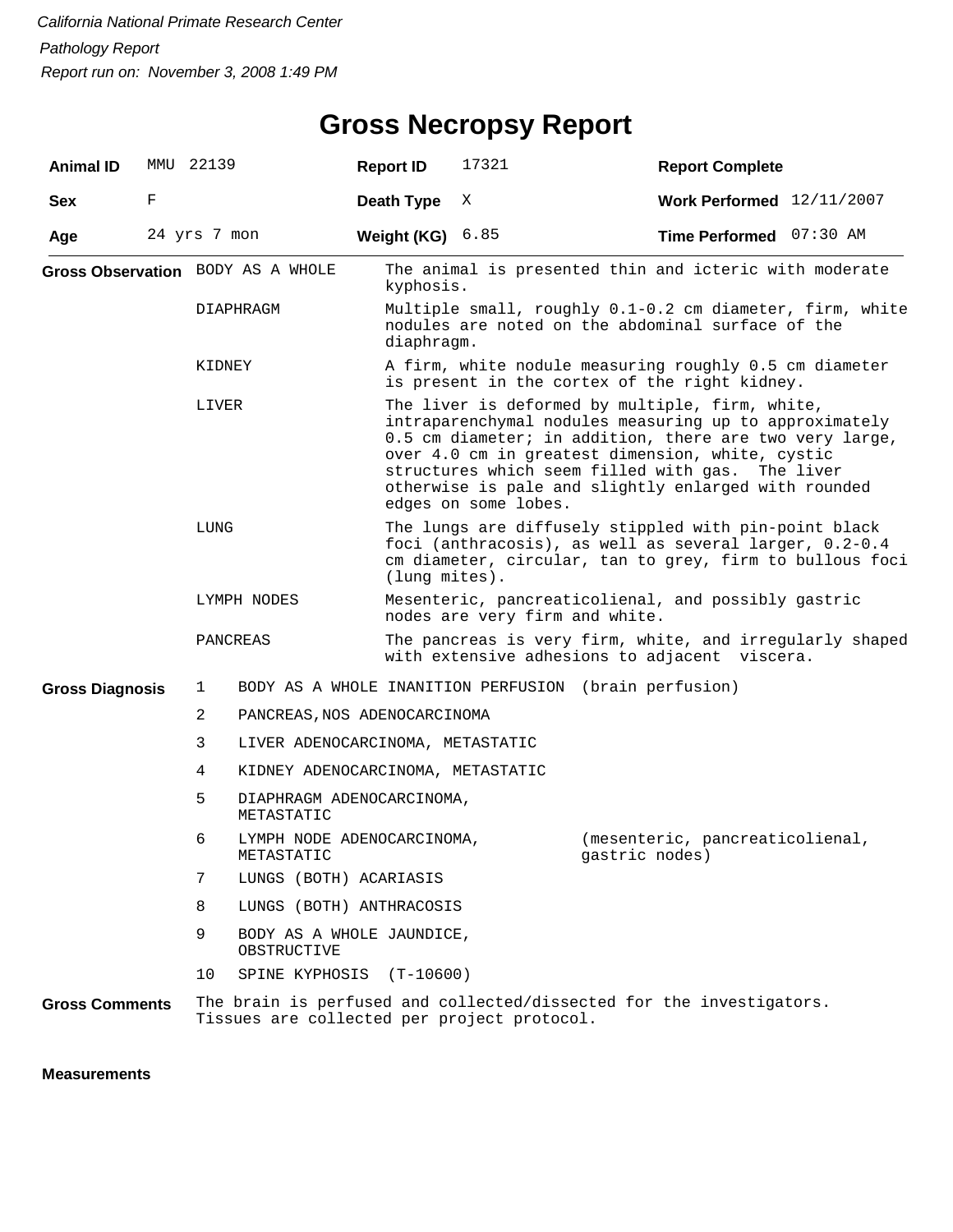## **Gross Necropsy Report**

| <b>Animal ID</b>                  |             | MMU 22139                      |                                          | <b>Report ID</b>                                                                                                                                                                                                                                                                                                                                             | 17321                                       | <b>Report Complete</b>                                               |  |  |  |
|-----------------------------------|-------------|--------------------------------|------------------------------------------|--------------------------------------------------------------------------------------------------------------------------------------------------------------------------------------------------------------------------------------------------------------------------------------------------------------------------------------------------------------|---------------------------------------------|----------------------------------------------------------------------|--|--|--|
| <b>Sex</b>                        | $\mathbf F$ |                                |                                          | Death Type                                                                                                                                                                                                                                                                                                                                                   | X                                           | Work Performed $12/11/2007$                                          |  |  |  |
| Age                               |             | 24 yrs 7 mon                   |                                          | Weight (KG)                                                                                                                                                                                                                                                                                                                                                  | 6.85                                        | Time Performed 07:30 AM                                              |  |  |  |
| Gross Observation BODY AS A WHOLE |             |                                |                                          | The animal is presented thin and icteric with moderate<br>kyphosis.                                                                                                                                                                                                                                                                                          |                                             |                                                                      |  |  |  |
|                                   |             | DIAPHRAGM                      |                                          | Multiple small, roughly 0.1-0.2 cm diameter, firm, white<br>nodules are noted on the abdominal surface of the<br>diaphragm.                                                                                                                                                                                                                                  |                                             |                                                                      |  |  |  |
|                                   |             | KIDNEY                         |                                          | A firm, white nodule measuring roughly 0.5 cm diameter<br>is present in the cortex of the right kidney.                                                                                                                                                                                                                                                      |                                             |                                                                      |  |  |  |
|                                   |             | LIVER                          |                                          | The liver is deformed by multiple, firm, white,<br>intraparenchymal nodules measuring up to approximately<br>0.5 cm diameter; in addition, there are two very large,<br>over 4.0 cm in greatest dimension, white, cystic<br>structures which seem filled with gas. The liver<br>otherwise is pale and slightly enlarged with rounded<br>edges on some lobes. |                                             |                                                                      |  |  |  |
|                                   |             | LUNG                           |                                          | The lungs are diffusely stippled with pin-point black<br>foci (anthracosis), as well as several larger, 0.2-0.4<br>cm diameter, circular, tan to grey, firm to bullous foci<br>(lung mites).                                                                                                                                                                 |                                             |                                                                      |  |  |  |
|                                   |             | LYMPH NODES                    |                                          |                                                                                                                                                                                                                                                                                                                                                              | nodes are very firm and white.              | Mesenteric, pancreaticolienal, and possibly gastric                  |  |  |  |
|                                   |             | PANCREAS                       |                                          | The pancreas is very firm, white, and irregularly shaped<br>with extensive adhesions to adjacent viscera.                                                                                                                                                                                                                                                    |                                             |                                                                      |  |  |  |
| <b>Gross Diagnosis</b>            |             | 1                              |                                          |                                                                                                                                                                                                                                                                                                                                                              |                                             | BODY AS A WHOLE INANITION PERFUSION (brain perfusion)                |  |  |  |
|                                   |             | 2                              | PANCREAS, NOS ADENOCARCINOMA             |                                                                                                                                                                                                                                                                                                                                                              |                                             |                                                                      |  |  |  |
|                                   |             | 3                              | LIVER ADENOCARCINOMA, METASTATIC         |                                                                                                                                                                                                                                                                                                                                                              |                                             |                                                                      |  |  |  |
|                                   |             | 4                              | KIDNEY ADENOCARCINOMA, METASTATIC        |                                                                                                                                                                                                                                                                                                                                                              |                                             |                                                                      |  |  |  |
|                                   |             | 5                              | DIAPHRAGM ADENOCARCINOMA,<br>METASTATIC  |                                                                                                                                                                                                                                                                                                                                                              |                                             |                                                                      |  |  |  |
|                                   |             | 6                              | LYMPH NODE ADENOCARCINOMA,<br>METASTATIC |                                                                                                                                                                                                                                                                                                                                                              |                                             | (mesenteric, pancreaticolienal,<br>gastric nodes)                    |  |  |  |
|                                   |             | 7                              | LUNGS (BOTH) ACARIASIS                   |                                                                                                                                                                                                                                                                                                                                                              |                                             |                                                                      |  |  |  |
|                                   |             | 8                              |                                          | LUNGS (BOTH) ANTHRACOSIS<br>BODY AS A WHOLE JAUNDICE,                                                                                                                                                                                                                                                                                                        |                                             |                                                                      |  |  |  |
|                                   |             | 9                              | OBSTRUCTIVE                              |                                                                                                                                                                                                                                                                                                                                                              |                                             |                                                                      |  |  |  |
|                                   |             | 10<br>SPINE KYPHOSIS (T-10600) |                                          |                                                                                                                                                                                                                                                                                                                                                              |                                             |                                                                      |  |  |  |
| <b>Gross Comments</b>             |             |                                |                                          |                                                                                                                                                                                                                                                                                                                                                              | Tissues are collected per project protocol. | The brain is perfused and collected/dissected for the investigators. |  |  |  |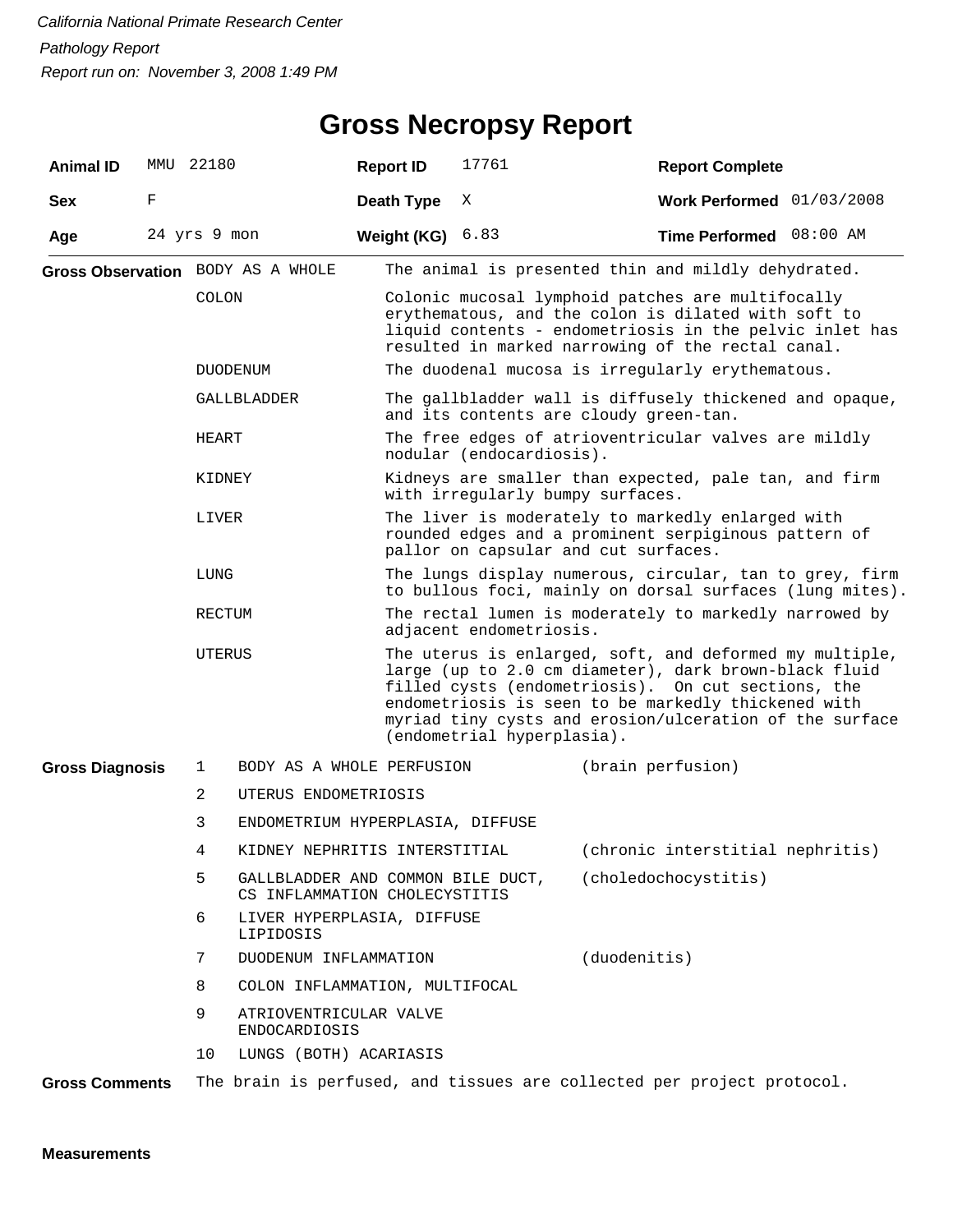#### **Gross Necropsy Report**

| <b>Animal ID</b>       | MMU 22180    |                |                                                                    | <b>Report ID</b>                                                                                                                                                                                                         | 17761                                                                                                                                                                                                                                                                                                                  |                   | <b>Report Complete</b>                                                                                              |  |  |
|------------------------|--------------|----------------|--------------------------------------------------------------------|--------------------------------------------------------------------------------------------------------------------------------------------------------------------------------------------------------------------------|------------------------------------------------------------------------------------------------------------------------------------------------------------------------------------------------------------------------------------------------------------------------------------------------------------------------|-------------------|---------------------------------------------------------------------------------------------------------------------|--|--|
| <b>Sex</b>             | F            |                |                                                                    | Death Type                                                                                                                                                                                                               | Χ                                                                                                                                                                                                                                                                                                                      |                   | Work Performed 01/03/2008                                                                                           |  |  |
| Age                    | 24 yrs 9 mon |                |                                                                    | Weight (KG) $6.83$                                                                                                                                                                                                       |                                                                                                                                                                                                                                                                                                                        |                   | Time Performed 08:00 AM                                                                                             |  |  |
|                        |              |                | Gross Observation BODY AS A WHOLE                                  |                                                                                                                                                                                                                          |                                                                                                                                                                                                                                                                                                                        |                   | The animal is presented thin and mildly dehydrated.                                                                 |  |  |
|                        |              | COLON          |                                                                    | Colonic mucosal lymphoid patches are multifocally<br>erythematous, and the colon is dilated with soft to<br>liquid contents - endometriosis in the pelvic inlet has<br>resulted in marked narrowing of the rectal canal. |                                                                                                                                                                                                                                                                                                                        |                   |                                                                                                                     |  |  |
|                        |              |                | DUODENUM                                                           |                                                                                                                                                                                                                          |                                                                                                                                                                                                                                                                                                                        |                   | The duodenal mucosa is irregularly erythematous.                                                                    |  |  |
|                        |              |                | GALLBLADDER                                                        | The gallbladder wall is diffusely thickened and opaque,<br>and its contents are cloudy green-tan.                                                                                                                        |                                                                                                                                                                                                                                                                                                                        |                   |                                                                                                                     |  |  |
|                        |              | HEART          |                                                                    |                                                                                                                                                                                                                          | nodular (endocardiosis).                                                                                                                                                                                                                                                                                               |                   | The free edges of atrioventricular valves are mildly                                                                |  |  |
|                        |              | KIDNEY         |                                                                    |                                                                                                                                                                                                                          | with irregularly bumpy surfaces.                                                                                                                                                                                                                                                                                       |                   | Kidneys are smaller than expected, pale tan, and firm                                                               |  |  |
|                        |              | LIVER          |                                                                    | The liver is moderately to markedly enlarged with<br>rounded edges and a prominent serpiginous pattern of<br>pallor on capsular and cut surfaces.                                                                        |                                                                                                                                                                                                                                                                                                                        |                   |                                                                                                                     |  |  |
|                        |              | LUNG           |                                                                    |                                                                                                                                                                                                                          |                                                                                                                                                                                                                                                                                                                        |                   | The lungs display numerous, circular, tan to grey, firm<br>to bullous foci, mainly on dorsal surfaces (lung mites). |  |  |
|                        |              | RECTUM         |                                                                    |                                                                                                                                                                                                                          | adjacent endometriosis.                                                                                                                                                                                                                                                                                                |                   | The rectal lumen is moderately to markedly narrowed by                                                              |  |  |
|                        |              | UTERUS         |                                                                    |                                                                                                                                                                                                                          | The uterus is enlarged, soft, and deformed my multiple,<br>large (up to 2.0 cm diameter), dark brown-black fluid<br>filled cysts (endometriosis). On cut sections, the<br>endometriosis is seen to be markedly thickened with<br>myriad tiny cysts and erosion/ulceration of the surface<br>(endometrial hyperplasia). |                   |                                                                                                                     |  |  |
| <b>Gross Diagnosis</b> |              | 1              | BODY AS A WHOLE PERFUSION                                          |                                                                                                                                                                                                                          |                                                                                                                                                                                                                                                                                                                        | (brain perfusion) |                                                                                                                     |  |  |
|                        |              | $\overline{2}$ | UTERUS ENDOMETRIOSIS                                               |                                                                                                                                                                                                                          |                                                                                                                                                                                                                                                                                                                        |                   |                                                                                                                     |  |  |
|                        |              | 3              | ENDOMETRIUM HYPERPLASIA, DIFFUSE                                   |                                                                                                                                                                                                                          |                                                                                                                                                                                                                                                                                                                        |                   |                                                                                                                     |  |  |
|                        |              | 4              |                                                                    |                                                                                                                                                                                                                          |                                                                                                                                                                                                                                                                                                                        |                   | KIDNEY NEPHRITIS INTERSTITIAL (chronic interstitial nephritis)                                                      |  |  |
|                        |              | 5              | GALLBLADDER AND COMMON BILE DUCT,<br>CS INFLAMMATION CHOLECYSTITIS |                                                                                                                                                                                                                          |                                                                                                                                                                                                                                                                                                                        |                   | (choledochocystitis)                                                                                                |  |  |
|                        |              | 6              | LIVER HYPERPLASIA, DIFFUSE<br>LIPIDOSIS                            |                                                                                                                                                                                                                          |                                                                                                                                                                                                                                                                                                                        |                   |                                                                                                                     |  |  |
|                        |              | 7              | DUODENUM INFLAMMATION                                              |                                                                                                                                                                                                                          |                                                                                                                                                                                                                                                                                                                        | (duodenitis)      |                                                                                                                     |  |  |
|                        |              | 8              | COLON INFLAMMATION, MULTIFOCAL                                     |                                                                                                                                                                                                                          |                                                                                                                                                                                                                                                                                                                        |                   |                                                                                                                     |  |  |
|                        |              | 9              | ATRIOVENTRICULAR VALVE<br><b>ENDOCARDIOSIS</b>                     |                                                                                                                                                                                                                          |                                                                                                                                                                                                                                                                                                                        |                   |                                                                                                                     |  |  |
|                        |              | 10             | LUNGS (BOTH) ACARIASIS                                             |                                                                                                                                                                                                                          |                                                                                                                                                                                                                                                                                                                        |                   |                                                                                                                     |  |  |
| <b>Gross Comments</b>  |              |                |                                                                    |                                                                                                                                                                                                                          |                                                                                                                                                                                                                                                                                                                        |                   | The brain is perfused, and tissues are collected per project protocol.                                              |  |  |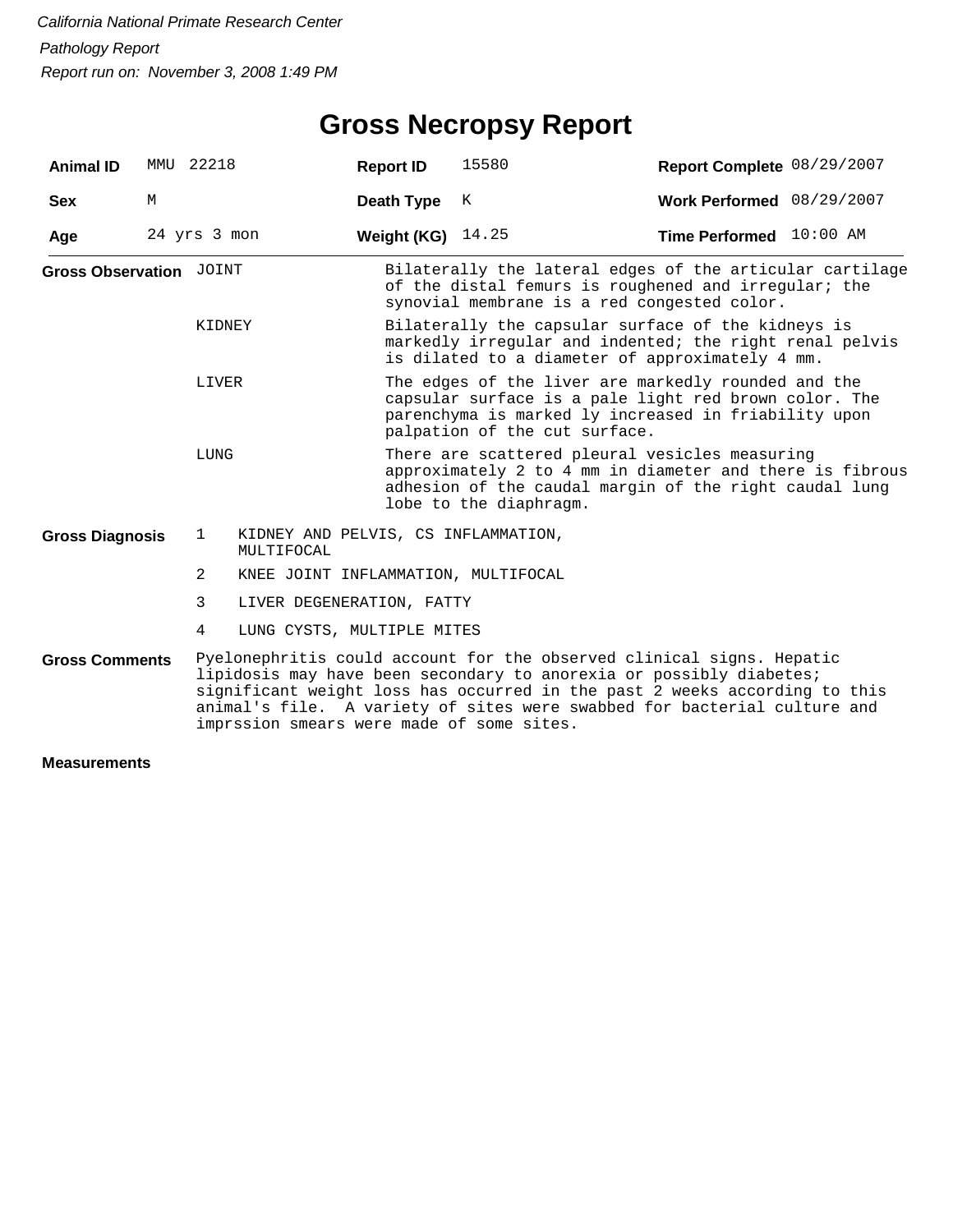## **Gross Necropsy Report**

| <b>Animal ID</b>        | MMU 22218    |              |                                                   | <b>Report ID</b>                                                                                                                                                                                      | 15580                                                                                                                                                                                                                                                                                                                                               | Report Complete 08/29/2007 |  |  |  |
|-------------------------|--------------|--------------|---------------------------------------------------|-------------------------------------------------------------------------------------------------------------------------------------------------------------------------------------------------------|-----------------------------------------------------------------------------------------------------------------------------------------------------------------------------------------------------------------------------------------------------------------------------------------------------------------------------------------------------|----------------------------|--|--|--|
| <b>Sex</b>              | M            |              |                                                   | Death Type                                                                                                                                                                                            | К                                                                                                                                                                                                                                                                                                                                                   | Work Performed 08/29/2007  |  |  |  |
| Age                     | 24 yrs 3 mon |              |                                                   | Weight (KG)                                                                                                                                                                                           | 14.25                                                                                                                                                                                                                                                                                                                                               | Time Performed 10:00 AM    |  |  |  |
| Gross Observation JOINT |              |              |                                                   |                                                                                                                                                                                                       | Bilaterally the lateral edges of the articular cartilage<br>of the distal femurs is roughened and irregular; the<br>synovial membrane is a red congested color.                                                                                                                                                                                     |                            |  |  |  |
| KIDNEY<br>LIVER<br>LUNG |              |              |                                                   |                                                                                                                                                                                                       | Bilaterally the capsular surface of the kidneys is<br>markedly irregular and indented; the right renal pelvis<br>is dilated to a diameter of approximately 4 mm.                                                                                                                                                                                    |                            |  |  |  |
|                         |              |              |                                                   | The edges of the liver are markedly rounded and the<br>capsular surface is a pale light red brown color. The<br>parenchyma is marked ly increased in friability upon<br>palpation of the cut surface. |                                                                                                                                                                                                                                                                                                                                                     |                            |  |  |  |
|                         |              |              |                                                   |                                                                                                                                                                                                       | There are scattered pleural vesicles measuring<br>approximately 2 to 4 mm in diameter and there is fibrous<br>adhesion of the caudal margin of the right caudal lung<br>lobe to the diaphragm.                                                                                                                                                      |                            |  |  |  |
| <b>Gross Diagnosis</b>  |              | $\mathbf{1}$ | KIDNEY AND PELVIS, CS INFLAMMATION,<br>MULTIFOCAL |                                                                                                                                                                                                       |                                                                                                                                                                                                                                                                                                                                                     |                            |  |  |  |
|                         |              | 2            | KNEE JOINT INFLAMMATION, MULTIFOCAL               |                                                                                                                                                                                                       |                                                                                                                                                                                                                                                                                                                                                     |                            |  |  |  |
|                         |              | 3            | LIVER DEGENERATION, FATTY                         |                                                                                                                                                                                                       |                                                                                                                                                                                                                                                                                                                                                     |                            |  |  |  |
|                         |              | 4            | LUNG CYSTS, MULTIPLE MITES                        |                                                                                                                                                                                                       |                                                                                                                                                                                                                                                                                                                                                     |                            |  |  |  |
| <b>Gross Comments</b>   |              |              |                                                   |                                                                                                                                                                                                       | Pyelonephritis could account for the observed clinical signs. Hepatic<br>lipidosis may have been secondary to anorexia or possibly diabetes;<br>significant weight loss has occurred in the past 2 weeks according to this<br>animal's file. A variety of sites were swabbed for bacterial culture and<br>imprssion smears were made of some sites. |                            |  |  |  |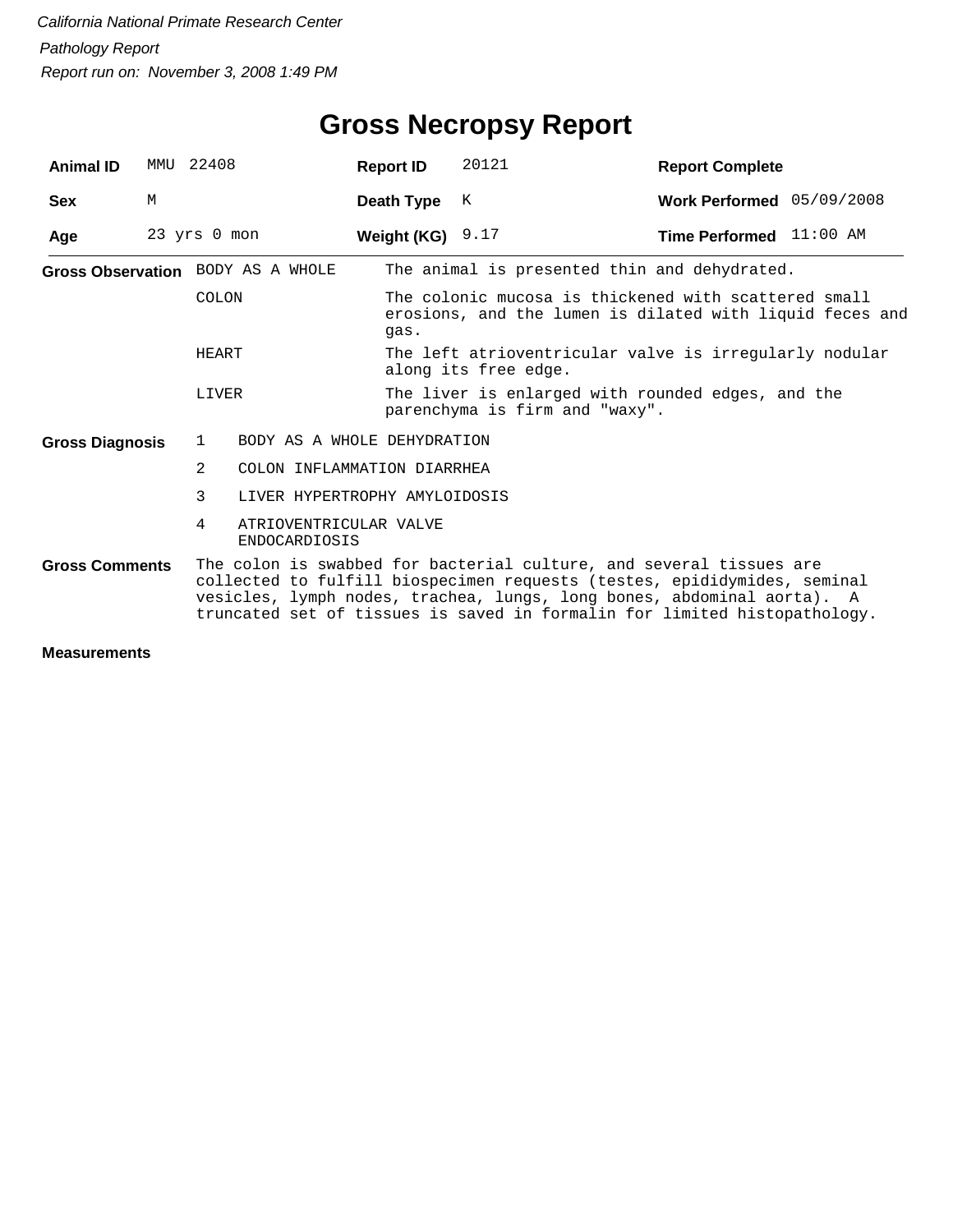| <b>Animal ID</b>       | MMU                               | 22408          |                                                                                                                                                                                                                                                                                                        | <b>Report ID</b>   | 20121                                                                                                            | <b>Report Complete</b>    |  |  |  |
|------------------------|-----------------------------------|----------------|--------------------------------------------------------------------------------------------------------------------------------------------------------------------------------------------------------------------------------------------------------------------------------------------------------|--------------------|------------------------------------------------------------------------------------------------------------------|---------------------------|--|--|--|
| <b>Sex</b>             | M                                 |                |                                                                                                                                                                                                                                                                                                        | Death Type         | K                                                                                                                | Work Performed 05/09/2008 |  |  |  |
| Age                    |                                   | 23 yrs 0 mon   |                                                                                                                                                                                                                                                                                                        | Weight (KG) $9.17$ |                                                                                                                  | Time Performed 11:00 AM   |  |  |  |
|                        | Gross Observation BODY AS A WHOLE |                |                                                                                                                                                                                                                                                                                                        |                    | The animal is presented thin and dehydrated.                                                                     |                           |  |  |  |
|                        |                                   | COLON          |                                                                                                                                                                                                                                                                                                        | qas.               | The colonic mucosa is thickened with scattered small<br>erosions, and the lumen is dilated with liquid feces and |                           |  |  |  |
|                        |                                   | HEART          |                                                                                                                                                                                                                                                                                                        |                    | The left atrioventricular valve is irregularly nodular<br>along its free edge.                                   |                           |  |  |  |
|                        |                                   | LIVER          |                                                                                                                                                                                                                                                                                                        |                    | The liver is enlarged with rounded edges, and the<br>parenchyma is firm and "waxy".                              |                           |  |  |  |
| <b>Gross Diagnosis</b> |                                   | $\mathbf{1}$   | BODY AS A WHOLE DEHYDRATION                                                                                                                                                                                                                                                                            |                    |                                                                                                                  |                           |  |  |  |
|                        |                                   | $\overline{2}$ | COLON INFLAMMATION DIARRHEA                                                                                                                                                                                                                                                                            |                    |                                                                                                                  |                           |  |  |  |
|                        |                                   | 3              | LIVER HYPERTROPHY AMYLOIDOSIS                                                                                                                                                                                                                                                                          |                    |                                                                                                                  |                           |  |  |  |
|                        |                                   | 4              | ATRIOVENTRICULAR VALVE<br><b>ENDOCARDIOSIS</b>                                                                                                                                                                                                                                                         |                    |                                                                                                                  |                           |  |  |  |
| <b>Gross Comments</b>  |                                   |                | The colon is swabbed for bacterial culture, and several tissues are<br>collected to fulfill biospecimen requests (testes, epididymides, seminal<br>vesicles, lymph nodes, trachea, lungs, long bones, abdominal aorta). A<br>truncated set of tissues is saved in formalin for limited histopathology. |                    |                                                                                                                  |                           |  |  |  |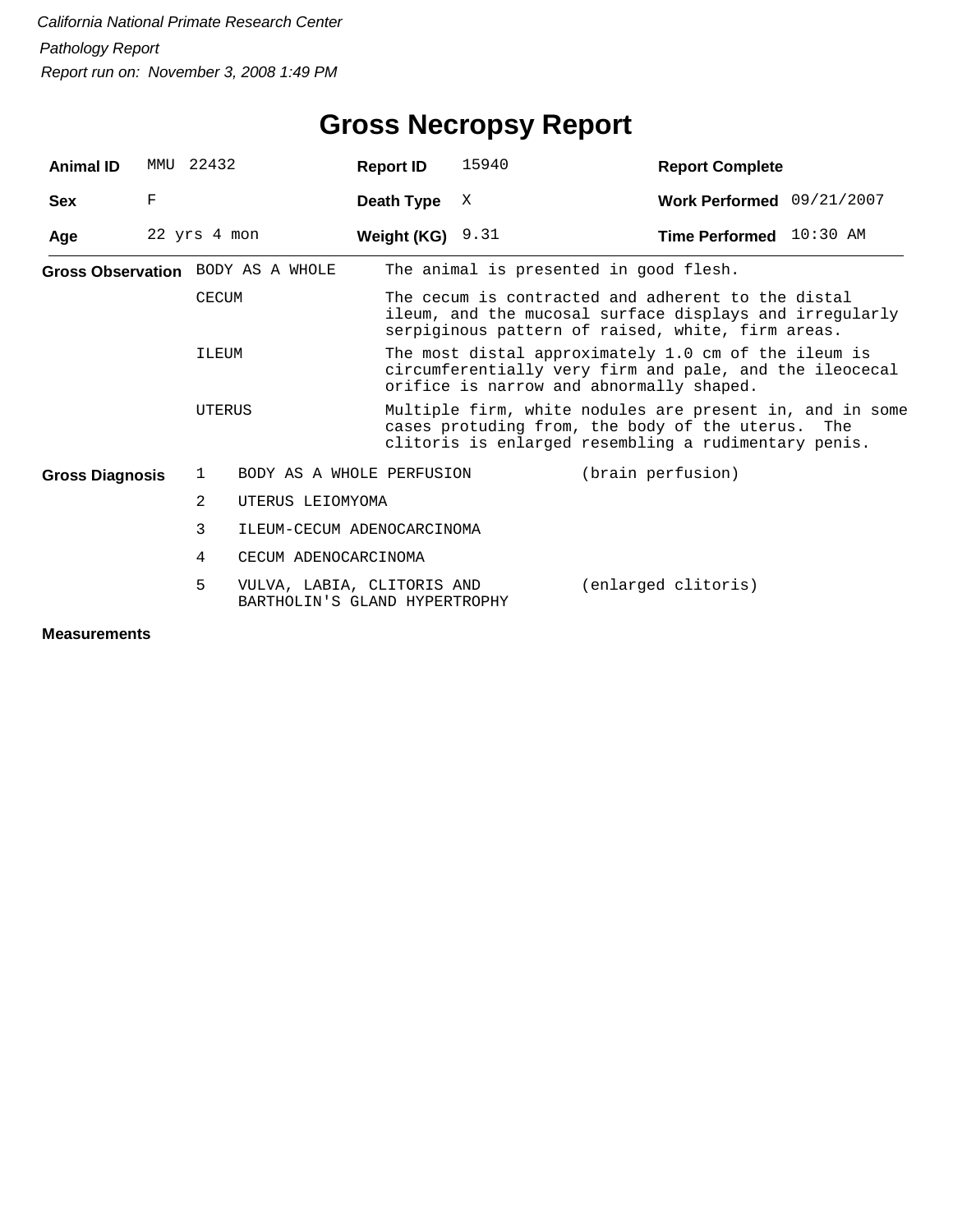| <b>Animal ID</b>       |   | MMU 22432     |                                                             | <b>Report ID</b>   | 15940                                                                                                                                                                 | <b>Report Complete</b>                 |  |  |  |
|------------------------|---|---------------|-------------------------------------------------------------|--------------------|-----------------------------------------------------------------------------------------------------------------------------------------------------------------------|----------------------------------------|--|--|--|
| <b>Sex</b>             | F |               |                                                             | Death Type         | X                                                                                                                                                                     | Work Performed 09/21/2007              |  |  |  |
| Age                    |   | 22 yrs 4 mon  |                                                             | Weight (KG) $9.31$ |                                                                                                                                                                       | Time Performed 10:30 AM                |  |  |  |
|                        |   |               | Gross Observation BODY AS A WHOLE                           |                    |                                                                                                                                                                       | The animal is presented in good flesh. |  |  |  |
|                        |   | <b>CECUM</b>  |                                                             |                    | The cecum is contracted and adherent to the distal<br>ileum, and the mucosal surface displays and irregularly<br>serpiginous pattern of raised, white, firm areas.    |                                        |  |  |  |
|                        |   | ILEUM         |                                                             |                    | The most distal approximately 1.0 cm of the ileum is<br>circumferentially very firm and pale, and the ileocecal<br>orifice is narrow and abnormally shaped.           |                                        |  |  |  |
|                        |   | UTERUS        |                                                             |                    | Multiple firm, white nodules are present in, and in some<br>cases protuding from, the body of the uterus. The<br>clitoris is enlarged resembling a rudimentary penis. |                                        |  |  |  |
| <b>Gross Diagnosis</b> |   | $\mathbf{1}$  | BODY AS A WHOLE PERFUSION                                   |                    |                                                                                                                                                                       | (brain perfusion)                      |  |  |  |
|                        |   | $\mathcal{L}$ | UTERUS LEIOMYOMA                                            |                    |                                                                                                                                                                       |                                        |  |  |  |
|                        |   | 3             | ILEUM-CECUM ADENOCARCINOMA                                  |                    |                                                                                                                                                                       |                                        |  |  |  |
|                        |   | 4             | CECUM ADENOCARCINOMA                                        |                    |                                                                                                                                                                       |                                        |  |  |  |
|                        |   | 5             | VULVA, LABIA, CLITORIS AND<br>BARTHOLIN'S GLAND HYPERTROPHY |                    |                                                                                                                                                                       | (enlarged clitoris)                    |  |  |  |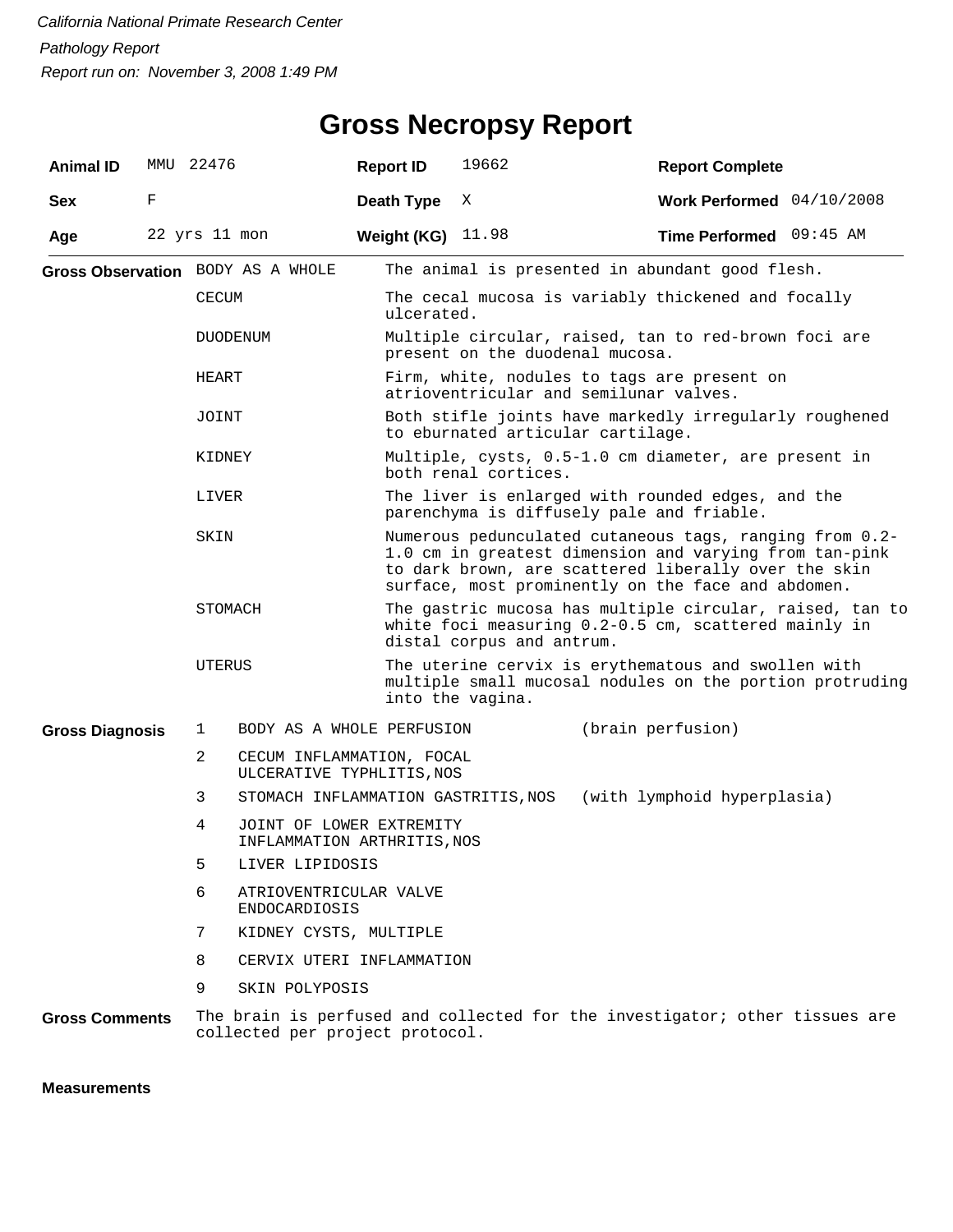| <b>Animal ID</b>       | MMU 22476     |                |                                                         | <b>Report ID</b> | 19662                                                                                                                                                                                                                           | <b>Report Complete</b>                                                                |  |  |  |  |  |
|------------------------|---------------|----------------|---------------------------------------------------------|------------------|---------------------------------------------------------------------------------------------------------------------------------------------------------------------------------------------------------------------------------|---------------------------------------------------------------------------------------|--|--|--|--|--|
| <b>Sex</b>             | F             |                |                                                         | Death Type       | Χ                                                                                                                                                                                                                               | Work Performed $04/10/2008$                                                           |  |  |  |  |  |
| Age                    | 22 yrs 11 mon |                |                                                         | Weight (KG)      | 11.98                                                                                                                                                                                                                           | <b>Time Performed</b> 09:45 AM                                                        |  |  |  |  |  |
|                        |               |                | Gross Observation BODY AS A WHOLE                       |                  |                                                                                                                                                                                                                                 | The animal is presented in abundant good flesh.                                       |  |  |  |  |  |
|                        |               | <b>CECUM</b>   |                                                         |                  | The cecal mucosa is variably thickened and focally<br>ulcerated.                                                                                                                                                                |                                                                                       |  |  |  |  |  |
|                        |               | DUODENUM       |                                                         |                  | Multiple circular, raised, tan to red-brown foci are<br>present on the duodenal mucosa.                                                                                                                                         |                                                                                       |  |  |  |  |  |
|                        |               | HEART          |                                                         |                  |                                                                                                                                                                                                                                 | Firm, white, nodules to tags are present on<br>atrioventricular and semilunar valves. |  |  |  |  |  |
|                        |               | JOINT          |                                                         |                  | to eburnated articular cartilage.                                                                                                                                                                                               | Both stifle joints have markedly irregularly roughened                                |  |  |  |  |  |
|                        |               | KIDNEY         |                                                         |                  | both renal cortices.                                                                                                                                                                                                            | Multiple, cysts, 0.5-1.0 cm diameter, are present in                                  |  |  |  |  |  |
|                        |               | LIVER          |                                                         |                  | The liver is enlarged with rounded edges, and the<br>parenchyma is diffusely pale and friable.                                                                                                                                  |                                                                                       |  |  |  |  |  |
|                        |               | SKIN           |                                                         |                  | Numerous pedunculated cutaneous tags, ranging from 0.2-<br>1.0 cm in greatest dimension and varying from tan-pink<br>to dark brown, are scattered liberally over the skin<br>surface, most prominently on the face and abdomen. |                                                                                       |  |  |  |  |  |
|                        |               | STOMACH        |                                                         |                  | The gastric mucosa has multiple circular, raised, tan to<br>white foci measuring 0.2-0.5 cm, scattered mainly in<br>distal corpus and antrum.                                                                                   |                                                                                       |  |  |  |  |  |
|                        |               | UTERUS         |                                                         |                  | The uterine cervix is erythematous and swollen with<br>multiple small mucosal nodules on the portion protruding<br>into the vagina.                                                                                             |                                                                                       |  |  |  |  |  |
| <b>Gross Diagnosis</b> |               | 1              | BODY AS A WHOLE PERFUSION                               |                  | (brain perfusion)                                                                                                                                                                                                               |                                                                                       |  |  |  |  |  |
|                        |               | $\overline{2}$ | CECUM INFLAMMATION, FOCAL<br>ULCERATIVE TYPHLITIS, NOS  |                  |                                                                                                                                                                                                                                 |                                                                                       |  |  |  |  |  |
|                        |               | 3              | STOMACH INFLAMMATION GASTRITIS, NOS                     |                  |                                                                                                                                                                                                                                 | (with lymphoid hyperplasia)                                                           |  |  |  |  |  |
|                        |               | 4              | JOINT OF LOWER EXTREMITY<br>INFLAMMATION ARTHRITIS, NOS |                  |                                                                                                                                                                                                                                 |                                                                                       |  |  |  |  |  |
|                        |               | 5              | LIVER LIPIDOSIS                                         |                  |                                                                                                                                                                                                                                 |                                                                                       |  |  |  |  |  |
|                        |               | 6              | ATRIOVENTRICULAR VALVE<br><b>ENDOCARDIOSIS</b>          |                  |                                                                                                                                                                                                                                 |                                                                                       |  |  |  |  |  |
|                        |               | 7              | KIDNEY CYSTS, MULTIPLE                                  |                  |                                                                                                                                                                                                                                 |                                                                                       |  |  |  |  |  |
|                        |               | 8              | CERVIX UTERI INFLAMMATION                               |                  |                                                                                                                                                                                                                                 |                                                                                       |  |  |  |  |  |
|                        |               | 9              | SKIN POLYPOSIS                                          |                  |                                                                                                                                                                                                                                 |                                                                                       |  |  |  |  |  |
| <b>Gross Comments</b>  |               |                | collected per project protocol.                         |                  |                                                                                                                                                                                                                                 | The brain is perfused and collected for the investigator; other tissues are           |  |  |  |  |  |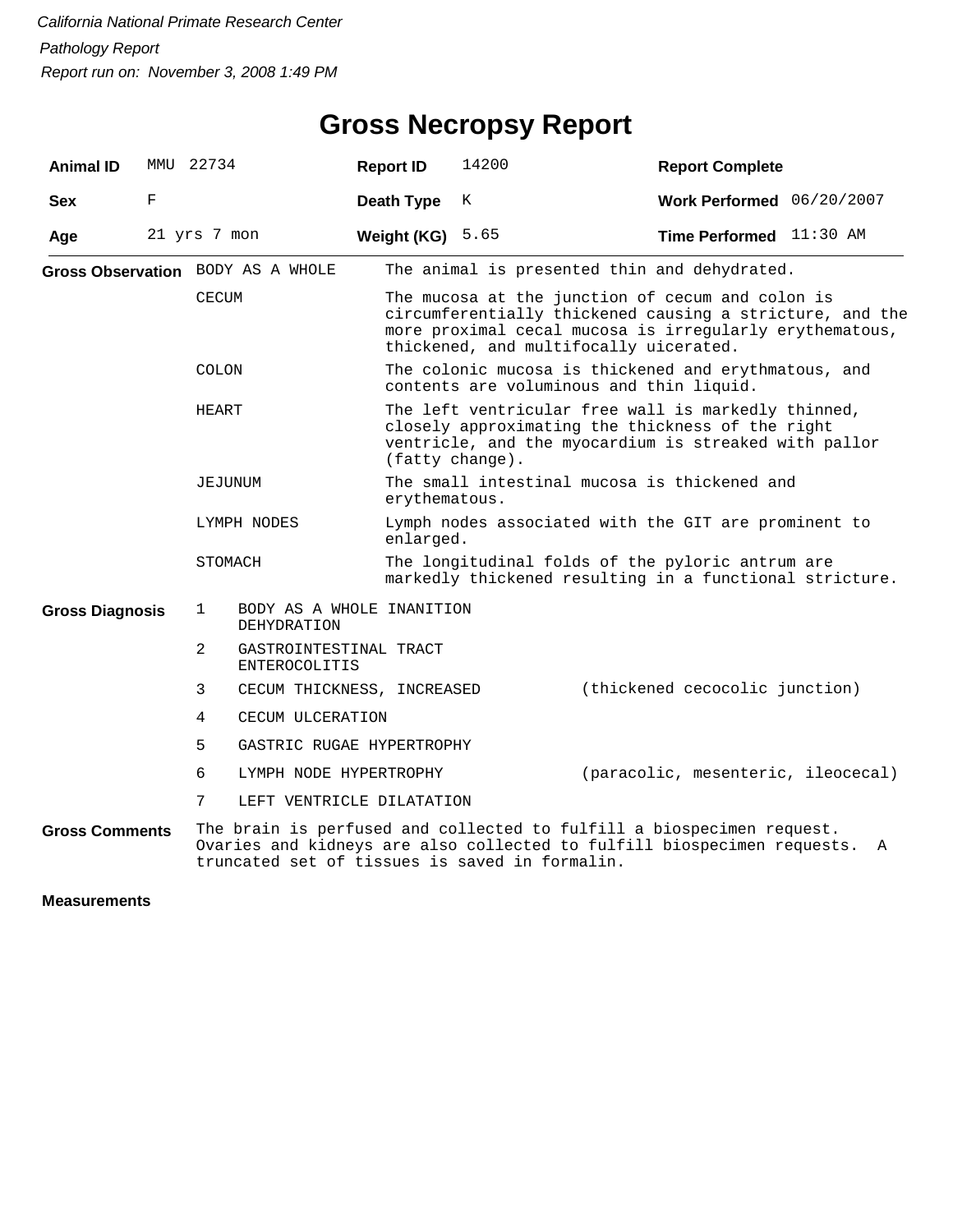| <b>Animal ID</b>       | MMU 22734    |                                                   |                                                 | <b>Report ID</b>                                                  | 14200                                                                                                                                                                                                             | <b>Report Complete</b>             |   |  |  |
|------------------------|--------------|---------------------------------------------------|-------------------------------------------------|-------------------------------------------------------------------|-------------------------------------------------------------------------------------------------------------------------------------------------------------------------------------------------------------------|------------------------------------|---|--|--|
| <b>Sex</b>             | F            |                                                   |                                                 | Death Type                                                        | K                                                                                                                                                                                                                 | Work Performed 06/20/2007          |   |  |  |
| Age                    | 21 yrs 7 mon |                                                   |                                                 | Weight (KG)                                                       | 5.65                                                                                                                                                                                                              | Time Performed 11:30 AM            |   |  |  |
|                        |              | Gross Observation BODY AS A WHOLE<br><b>CECUM</b> |                                                 |                                                                   | The animal is presented thin and dehydrated.                                                                                                                                                                      |                                    |   |  |  |
|                        |              |                                                   |                                                 |                                                                   | The mucosa at the junction of cecum and colon is<br>circumferentially thickened causing a stricture, and the<br>more proximal cecal mucosa is irregularly erythematous,<br>thickened, and multifocally uicerated. |                                    |   |  |  |
|                        |              | COLON                                             |                                                 |                                                                   | The colonic mucosa is thickened and erythmatous, and<br>contents are voluminous and thin liquid.                                                                                                                  |                                    |   |  |  |
|                        |              | HEART                                             |                                                 |                                                                   | The left ventricular free wall is markedly thinned,<br>closely approximating the thickness of the right<br>ventricle, and the myocardium is streaked with pallor<br>(fatty change).                               |                                    |   |  |  |
|                        |              | JEJUNUM                                           |                                                 | erythematous.                                                     | The small intestinal mucosa is thickened and                                                                                                                                                                      |                                    |   |  |  |
|                        |              |                                                   | LYMPH NODES                                     | Lymph nodes associated with the GIT are prominent to<br>enlarged. |                                                                                                                                                                                                                   |                                    |   |  |  |
|                        |              | STOMACH                                           |                                                 |                                                                   | The longitudinal folds of the pyloric antrum are<br>markedly thickened resulting in a functional stricture.                                                                                                       |                                    |   |  |  |
| <b>Gross Diagnosis</b> |              | $\mathbf{1}$                                      | BODY AS A WHOLE INANITION<br><b>DEHYDRATION</b> |                                                                   |                                                                                                                                                                                                                   |                                    |   |  |  |
|                        |              | $\overline{2}$                                    | GASTROINTESTINAL TRACT<br><b>ENTEROCOLITIS</b>  |                                                                   |                                                                                                                                                                                                                   |                                    |   |  |  |
|                        |              | 3                                                 | CECUM THICKNESS, INCREASED                      |                                                                   |                                                                                                                                                                                                                   | (thickened cecocolic junction)     |   |  |  |
|                        |              | 4                                                 | CECUM ULCERATION                                |                                                                   |                                                                                                                                                                                                                   |                                    |   |  |  |
|                        |              | 5                                                 | GASTRIC RUGAE HYPERTROPHY                       |                                                                   |                                                                                                                                                                                                                   |                                    |   |  |  |
|                        |              | 6                                                 | LYMPH NODE HYPERTROPHY                          |                                                                   |                                                                                                                                                                                                                   | (paracolic, mesenteric, ileocecal) |   |  |  |
|                        |              | 7                                                 | LEFT VENTRICLE DILATATION                       |                                                                   |                                                                                                                                                                                                                   |                                    |   |  |  |
| <b>Gross Comments</b>  |              |                                                   |                                                 |                                                                   | The brain is perfused and collected to fulfill a biospecimen request.<br>Ovaries and kidneys are also collected to fulfill biospecimen requests.<br>truncated set of tissues is saved in formalin.                |                                    | Α |  |  |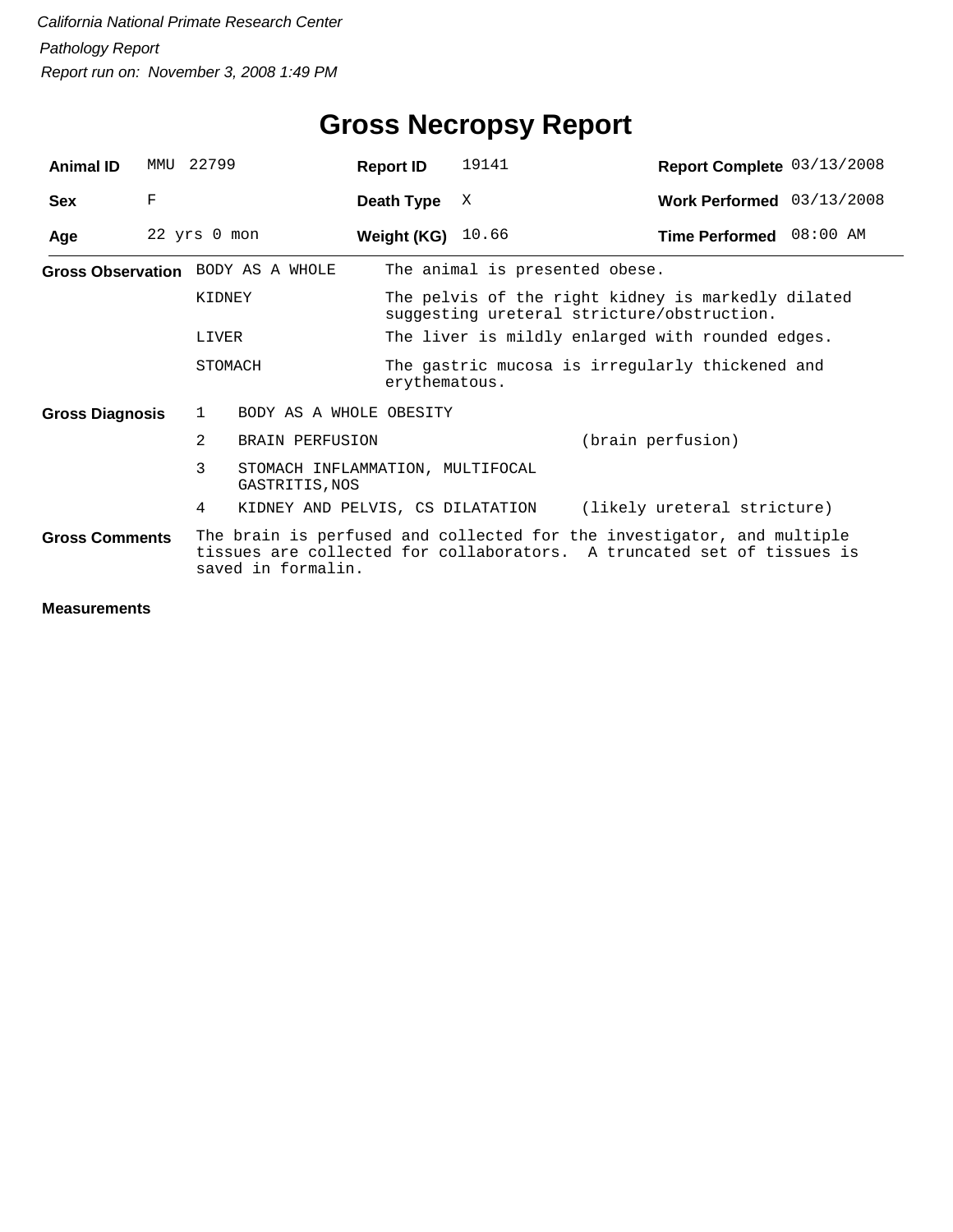| <b>Animal ID</b>       | MMU | 22799                                                                                                                                                                  | <b>Report ID</b>                                   | 19141                                                                                            | Report Complete 03/13/2008                       |  |  |  |  |
|------------------------|-----|------------------------------------------------------------------------------------------------------------------------------------------------------------------------|----------------------------------------------------|--------------------------------------------------------------------------------------------------|--------------------------------------------------|--|--|--|--|
| <b>Sex</b>             | F   |                                                                                                                                                                        | Death Type                                         | X                                                                                                | Work Performed 03/13/2008                        |  |  |  |  |
| Age                    |     | 22 yrs 0 mon                                                                                                                                                           | Weight (KG) $10.66$                                |                                                                                                  | Time Performed 08:00 AM                          |  |  |  |  |
|                        |     | Gross Observation BODY AS A WHOLE                                                                                                                                      |                                                    | The animal is presented obese.                                                                   |                                                  |  |  |  |  |
|                        |     | KIDNEY                                                                                                                                                                 |                                                    | The pelvis of the right kidney is markedly dilated<br>suggesting ureteral stricture/obstruction. |                                                  |  |  |  |  |
|                        |     | LIVER                                                                                                                                                                  |                                                    |                                                                                                  | The liver is mildly enlarged with rounded edges. |  |  |  |  |
|                        |     | STOMACH                                                                                                                                                                |                                                    | The gastric mucosa is irregularly thickened and<br>erythematous.                                 |                                                  |  |  |  |  |
| <b>Gross Diagnosis</b> |     | 1                                                                                                                                                                      | BODY AS A WHOLE OBESITY                            |                                                                                                  |                                                  |  |  |  |  |
|                        |     | 2<br><b>BRAIN PERFUSION</b>                                                                                                                                            |                                                    | (brain perfusion)                                                                                |                                                  |  |  |  |  |
|                        |     | 3                                                                                                                                                                      | STOMACH INFLAMMATION, MULTIFOCAL<br>GASTRITIS, NOS |                                                                                                  |                                                  |  |  |  |  |
|                        |     | 4                                                                                                                                                                      | KIDNEY AND PELVIS, CS DILATATION                   |                                                                                                  | (likely ureteral stricture)                      |  |  |  |  |
| <b>Gross Comments</b>  |     | The brain is perfused and collected for the investigator, and multiple<br>tissues are collected for collaborators. A truncated set of tissues is<br>saved in formalin. |                                                    |                                                                                                  |                                                  |  |  |  |  |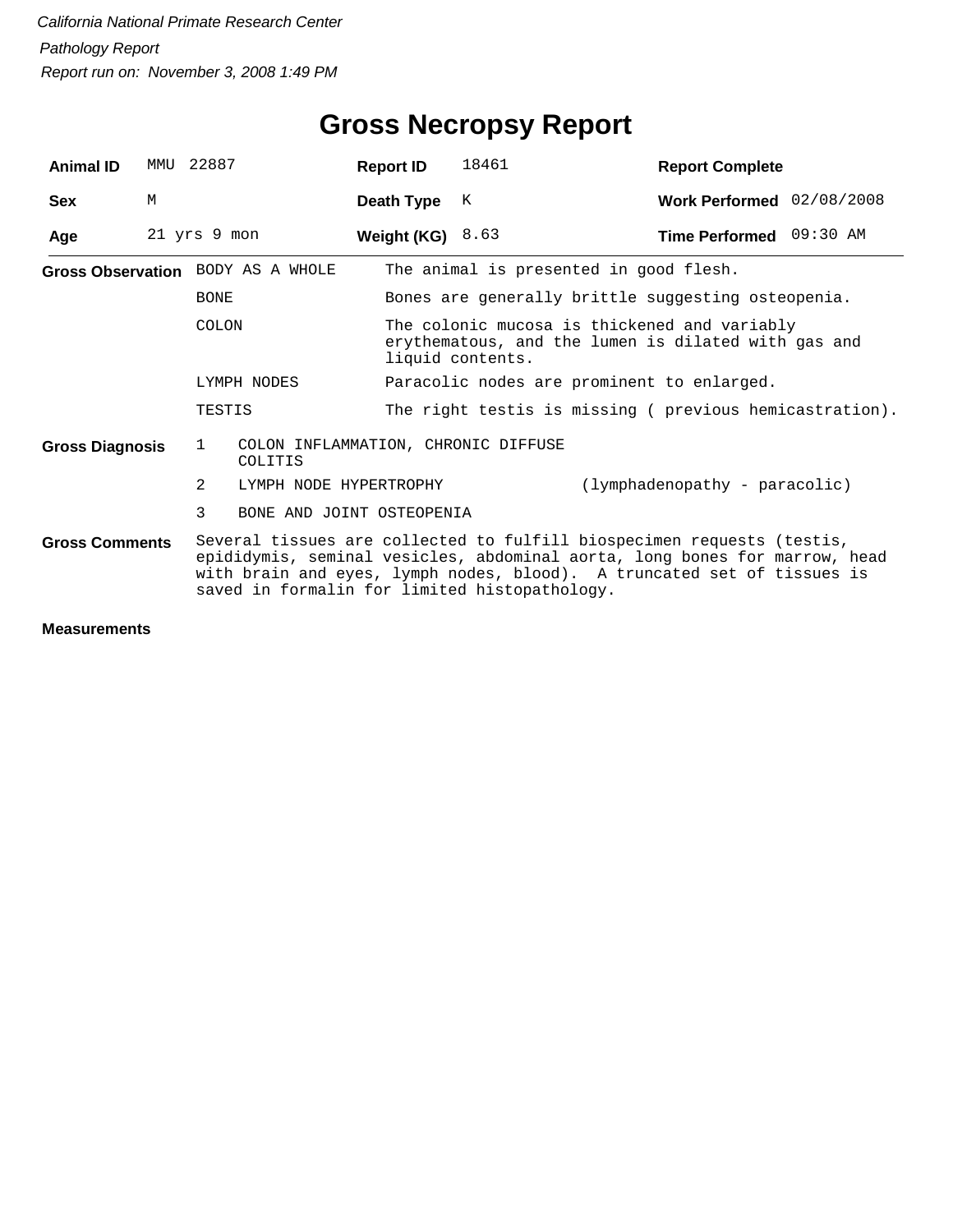| <b>Animal ID</b>       | MMU | 22887                                                                                                                                                                                                                                                                            |                           | <b>Report ID</b>   | 18461                                                                                                                   | <b>Report Complete</b>        |  |  |  |
|------------------------|-----|----------------------------------------------------------------------------------------------------------------------------------------------------------------------------------------------------------------------------------------------------------------------------------|---------------------------|--------------------|-------------------------------------------------------------------------------------------------------------------------|-------------------------------|--|--|--|
| <b>Sex</b>             | M   |                                                                                                                                                                                                                                                                                  |                           | Death Type         | K                                                                                                                       | Work Performed 02/08/2008     |  |  |  |
| Age                    |     | 21 yrs 9 mon                                                                                                                                                                                                                                                                     |                           | Weight (KG) $8.63$ |                                                                                                                         | Time Performed 09:30 AM       |  |  |  |
|                        |     | Gross Observation BODY AS A WHOLE<br><b>BONE</b>                                                                                                                                                                                                                                 |                           |                    | The animal is presented in good flesh.                                                                                  |                               |  |  |  |
|                        |     |                                                                                                                                                                                                                                                                                  |                           |                    | Bones are generally brittle suggesting osteopenia.                                                                      |                               |  |  |  |
|                        |     | <b>COLON</b>                                                                                                                                                                                                                                                                     |                           |                    | The colonic mucosa is thickened and variably<br>erythematous, and the lumen is dilated with gas and<br>liquid contents. |                               |  |  |  |
|                        |     | LYMPH NODES                                                                                                                                                                                                                                                                      |                           |                    | Paracolic nodes are prominent to enlarged.                                                                              |                               |  |  |  |
|                        |     | TESTIS                                                                                                                                                                                                                                                                           |                           |                    | The right testis is missing ( previous hemicastration).                                                                 |                               |  |  |  |
| <b>Gross Diagnosis</b> |     | COLON INFLAMMATION, CHRONIC DIFFUSE<br>$\mathbf{1}$<br>COLITIS                                                                                                                                                                                                                   |                           |                    |                                                                                                                         |                               |  |  |  |
|                        |     | $\mathcal{L}$                                                                                                                                                                                                                                                                    | LYMPH NODE HYPERTROPHY    |                    |                                                                                                                         | (lymphadenopathy - paracolic) |  |  |  |
|                        |     | 3                                                                                                                                                                                                                                                                                | BONE AND JOINT OSTEOPENIA |                    |                                                                                                                         |                               |  |  |  |
| <b>Gross Comments</b>  |     | Several tissues are collected to fulfill biospecimen requests (testis,<br>epididymis, seminal vesicles, abdominal aorta, long bones for marrow, head<br>with brain and eyes, lymph nodes, blood). A truncated set of tissues is<br>saved in formalin for limited histopathology. |                           |                    |                                                                                                                         |                               |  |  |  |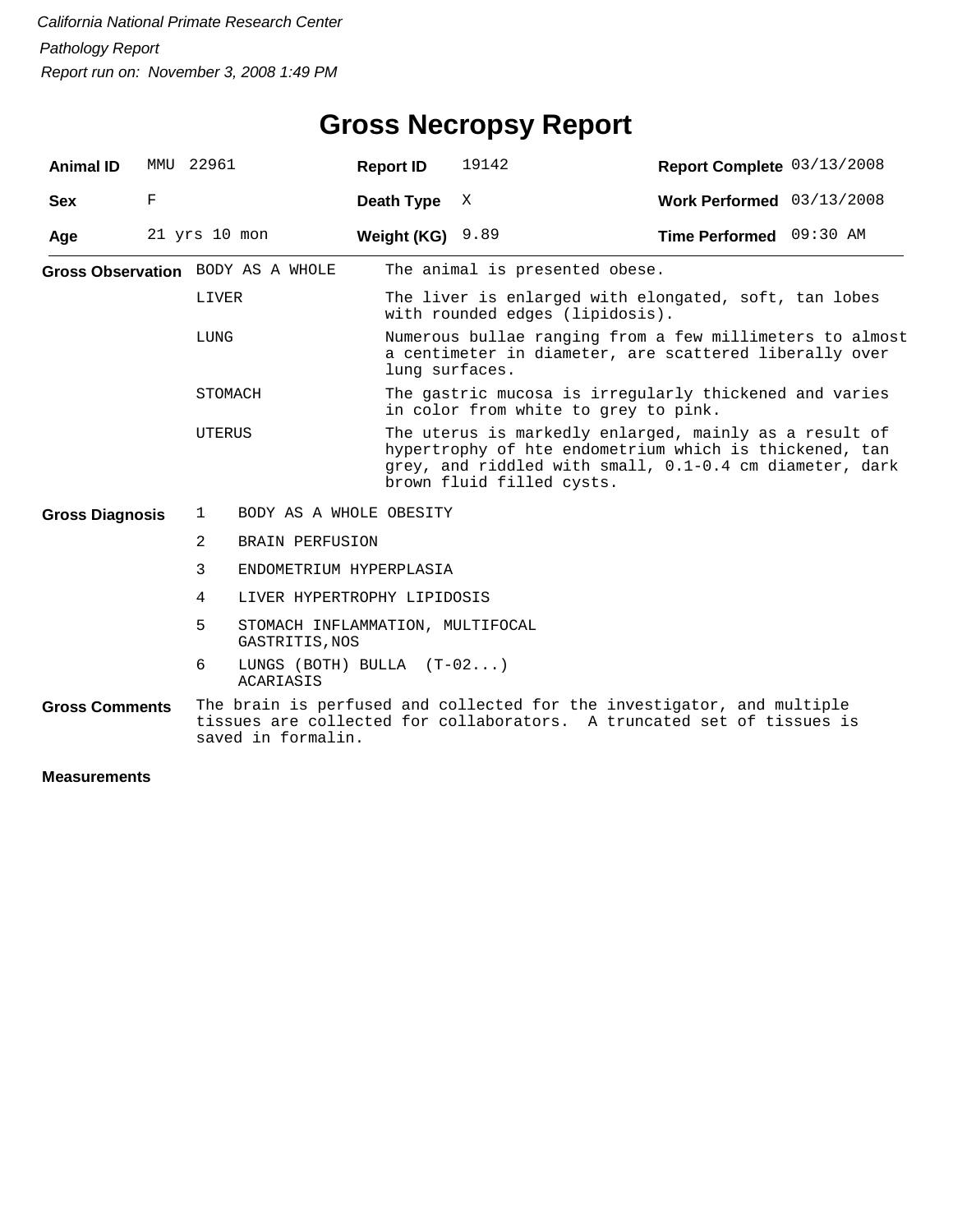| <b>Animal ID</b>       |   | MMU 22961                                                                                                                                                              |                                                 | <b>Report ID</b> | 19142                                                                                                                                                                                                    | Report Complete 03/13/2008 |  |  |  |
|------------------------|---|------------------------------------------------------------------------------------------------------------------------------------------------------------------------|-------------------------------------------------|------------------|----------------------------------------------------------------------------------------------------------------------------------------------------------------------------------------------------------|----------------------------|--|--|--|
| <b>Sex</b>             | F |                                                                                                                                                                        |                                                 | Death Type       | Χ                                                                                                                                                                                                        | Work Performed 03/13/2008  |  |  |  |
| Age                    |   | $21$ yrs $10$ mon                                                                                                                                                      |                                                 | Weight (KG)      | 9.89                                                                                                                                                                                                     | Time Performed 09:30 AM    |  |  |  |
|                        |   | Gross Observation BODY AS A WHOLE<br>LIVER<br>LUNG                                                                                                                     |                                                 |                  | The animal is presented obese.                                                                                                                                                                           |                            |  |  |  |
|                        |   |                                                                                                                                                                        |                                                 |                  | The liver is enlarged with elongated, soft, tan lobes<br>with rounded edges (lipidosis).                                                                                                                 |                            |  |  |  |
|                        |   |                                                                                                                                                                        |                                                 |                  | Numerous bullae ranging from a few millimeters to almost<br>a centimeter in diameter, are scattered liberally over<br>lung surfaces.                                                                     |                            |  |  |  |
|                        |   | STOMACH                                                                                                                                                                |                                                 |                  | The gastric mucosa is irregularly thickened and varies<br>in color from white to grey to pink.                                                                                                           |                            |  |  |  |
|                        |   | <b>UTERUS</b>                                                                                                                                                          |                                                 |                  | The uterus is markedly enlarged, mainly as a result of<br>hypertrophy of hte endometrium which is thickened, tan<br>grey, and riddled with small, 0.1-0.4 cm diameter, dark<br>brown fluid filled cysts. |                            |  |  |  |
| <b>Gross Diagnosis</b> |   | $\mathbf{1}$                                                                                                                                                           | BODY AS A WHOLE OBESITY                         |                  |                                                                                                                                                                                                          |                            |  |  |  |
|                        |   | $\overline{2}$                                                                                                                                                         | <b>BRAIN PERFUSION</b>                          |                  |                                                                                                                                                                                                          |                            |  |  |  |
|                        |   | 3                                                                                                                                                                      | ENDOMETRIUM HYPERPLASIA                         |                  |                                                                                                                                                                                                          |                            |  |  |  |
|                        |   | 4                                                                                                                                                                      | LIVER HYPERTROPHY LIPIDOSIS                     |                  |                                                                                                                                                                                                          |                            |  |  |  |
|                        |   | 5                                                                                                                                                                      | GASTRITIS, NOS                                  |                  | STOMACH INFLAMMATION, MULTIFOCAL                                                                                                                                                                         |                            |  |  |  |
|                        |   | 6                                                                                                                                                                      | LUNGS (BOTH) BULLA $(T-02)$<br><b>ACARIASIS</b> |                  |                                                                                                                                                                                                          |                            |  |  |  |
| <b>Gross Comments</b>  |   | The brain is perfused and collected for the investigator, and multiple<br>tissues are collected for collaborators. A truncated set of tissues is<br>saved in formalin. |                                                 |                  |                                                                                                                                                                                                          |                            |  |  |  |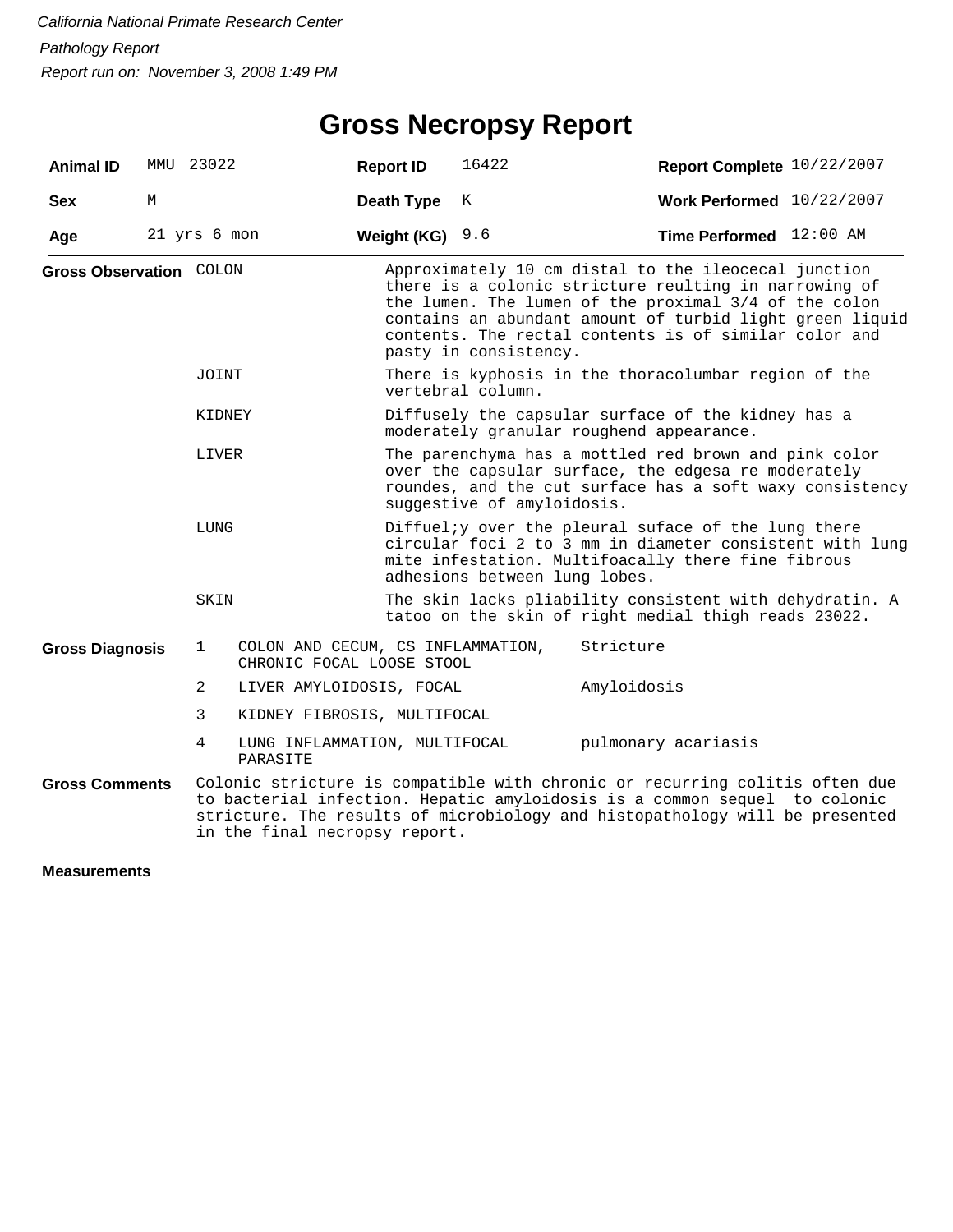## **Gross Necropsy Report**

| <b>Animal ID</b>        | MMU 23022     |                                                                                                                                                                                                                                                                          |                                                                | <b>Report ID</b>                                                                                                                                                                                       | 16422                                                                                          | Report Complete 10/22/2007                                                                                                                                                                                                                                                                  |  |  |  |
|-------------------------|---------------|--------------------------------------------------------------------------------------------------------------------------------------------------------------------------------------------------------------------------------------------------------------------------|----------------------------------------------------------------|--------------------------------------------------------------------------------------------------------------------------------------------------------------------------------------------------------|------------------------------------------------------------------------------------------------|---------------------------------------------------------------------------------------------------------------------------------------------------------------------------------------------------------------------------------------------------------------------------------------------|--|--|--|
| <b>Sex</b>              | M             |                                                                                                                                                                                                                                                                          |                                                                | Death Type                                                                                                                                                                                             | K                                                                                              | Work Performed $10/22/2007$                                                                                                                                                                                                                                                                 |  |  |  |
| Age                     |               | 21 yrs 6 mon                                                                                                                                                                                                                                                             |                                                                | Weight (KG)                                                                                                                                                                                            | 9.6                                                                                            | Time Performed 12:00 AM                                                                                                                                                                                                                                                                     |  |  |  |
| Gross Observation COLON |               |                                                                                                                                                                                                                                                                          |                                                                |                                                                                                                                                                                                        | pasty in consistency.                                                                          | Approximately 10 cm distal to the ileocecal junction<br>there is a colonic stricture reulting in narrowing of<br>the lumen. The lumen of the proximal 3/4 of the colon<br>contains an abundant amount of turbid light green liquid<br>contents. The rectal contents is of similar color and |  |  |  |
|                         |               | JOINT                                                                                                                                                                                                                                                                    |                                                                |                                                                                                                                                                                                        | There is kyphosis in the thoracolumbar region of the<br>vertebral column.                      |                                                                                                                                                                                                                                                                                             |  |  |  |
|                         |               | KIDNEY                                                                                                                                                                                                                                                                   |                                                                |                                                                                                                                                                                                        | Diffusely the capsular surface of the kidney has a<br>moderately granular roughend appearance. |                                                                                                                                                                                                                                                                                             |  |  |  |
|                         | LIVER<br>LUNG |                                                                                                                                                                                                                                                                          |                                                                | The parenchyma has a mottled red brown and pink color<br>over the capsular surface, the edgesa re moderately<br>roundes, and the cut surface has a soft waxy consistency<br>suggestive of amyloidosis. |                                                                                                |                                                                                                                                                                                                                                                                                             |  |  |  |
|                         |               |                                                                                                                                                                                                                                                                          |                                                                | Diffueliy over the pleural suface of the lung there<br>circular foci 2 to 3 mm in diameter consistent with lung<br>mite infestation. Multifoacally there fine fibrous<br>adhesions between lung lobes. |                                                                                                |                                                                                                                                                                                                                                                                                             |  |  |  |
|                         |               | SKIN                                                                                                                                                                                                                                                                     |                                                                |                                                                                                                                                                                                        |                                                                                                | The skin lacks pliability consistent with dehydratin. A<br>tatoo on the skin of right medial thigh reads 23022.                                                                                                                                                                             |  |  |  |
| <b>Gross Diagnosis</b>  |               | 1                                                                                                                                                                                                                                                                        | COLON AND CECUM, CS INFLAMMATION,<br>CHRONIC FOCAL LOOSE STOOL |                                                                                                                                                                                                        |                                                                                                | Stricture                                                                                                                                                                                                                                                                                   |  |  |  |
|                         |               | 2                                                                                                                                                                                                                                                                        | LIVER AMYLOIDOSIS, FOCAL                                       |                                                                                                                                                                                                        |                                                                                                | Amyloidosis                                                                                                                                                                                                                                                                                 |  |  |  |
|                         |               | 3                                                                                                                                                                                                                                                                        | KIDNEY FIBROSIS, MULTIFOCAL                                    |                                                                                                                                                                                                        |                                                                                                |                                                                                                                                                                                                                                                                                             |  |  |  |
|                         |               | 4                                                                                                                                                                                                                                                                        | LUNG INFLAMMATION, MULTIFOCAL<br>PARASITE                      |                                                                                                                                                                                                        |                                                                                                | pulmonary acariasis                                                                                                                                                                                                                                                                         |  |  |  |
| <b>Gross Comments</b>   |               | Colonic stricture is compatible with chronic or recurring colitis often due<br>to bacterial infection. Hepatic amyloidosis is a common sequel to colonic<br>stricture. The results of microbiology and histopathology will be presented<br>in the final necropsy report. |                                                                |                                                                                                                                                                                                        |                                                                                                |                                                                                                                                                                                                                                                                                             |  |  |  |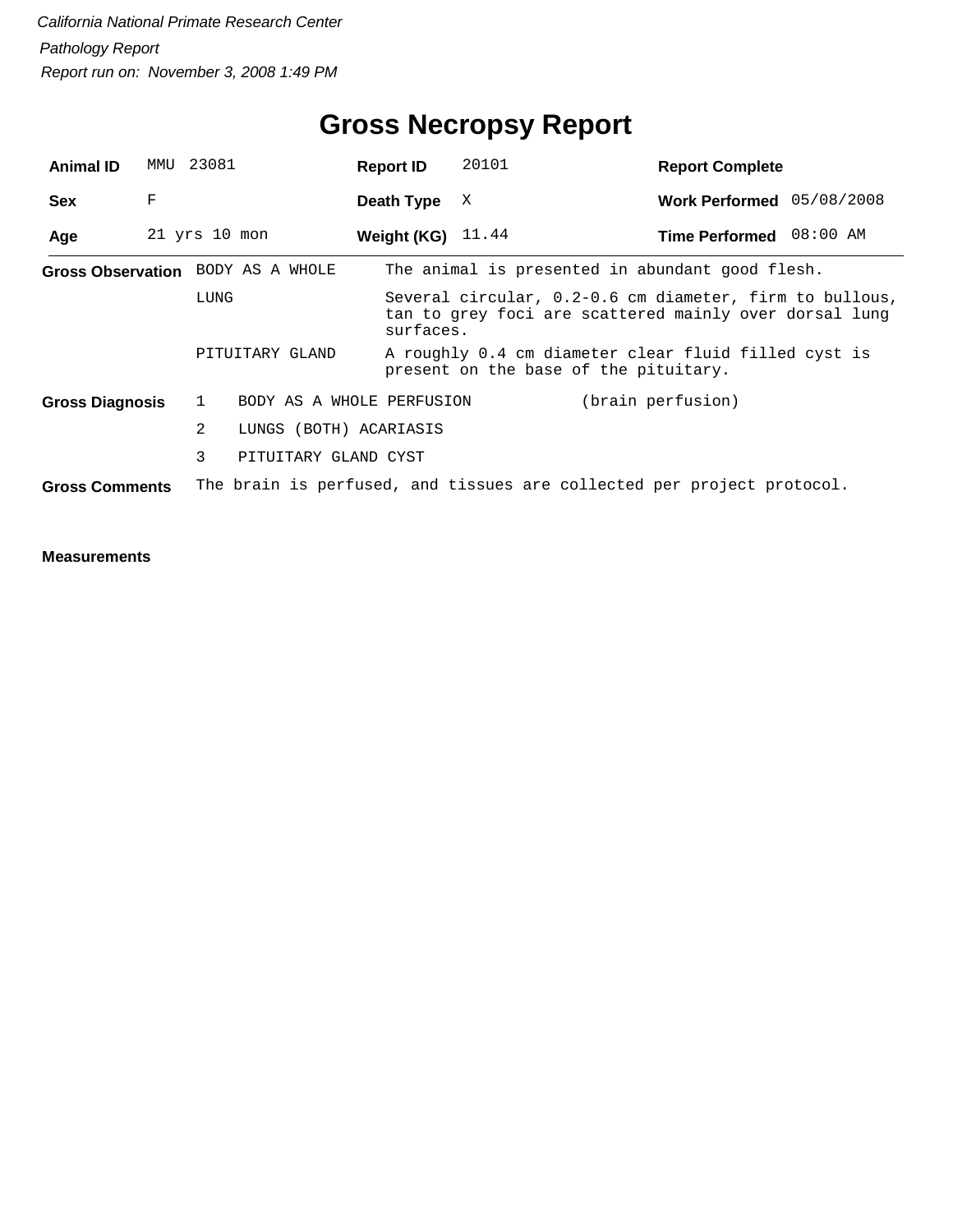| <b>Animal ID</b>       | MMU | 23081             |                                   | <b>Report ID</b>    | 20101 | <b>Report Complete</b>                                                                                            |  |
|------------------------|-----|-------------------|-----------------------------------|---------------------|-------|-------------------------------------------------------------------------------------------------------------------|--|
| <b>Sex</b>             | F   |                   |                                   | Death Type          | X     | Work Performed 05/08/2008                                                                                         |  |
| Age                    |     | $21$ yrs $10$ mon |                                   | Weight (KG) $11.44$ |       | Time Performed 08:00 AM                                                                                           |  |
|                        |     |                   | Gross Observation BODY AS A WHOLE |                     |       | The animal is presented in abundant good flesh.                                                                   |  |
|                        |     | LUNG              |                                   | surfaces.           |       | Several circular, 0.2-0.6 cm diameter, firm to bullous,<br>tan to grey foci are scattered mainly over dorsal lung |  |
|                        |     |                   | PITUITARY GLAND                   |                     |       | A roughly 0.4 cm diameter clear fluid filled cyst is<br>present on the base of the pituitary.                     |  |
| <b>Gross Diagnosis</b> |     | $\mathbf{1}$      | BODY AS A WHOLE PERFUSION         |                     |       | (brain perfusion)                                                                                                 |  |
|                        |     | $\overline{2}$    | LUNGS (BOTH) ACARIASIS            |                     |       |                                                                                                                   |  |
|                        |     | 3                 | PITUITARY GLAND CYST              |                     |       |                                                                                                                   |  |
| <b>Gross Comments</b>  |     |                   |                                   |                     |       | The brain is perfused, and tissues are collected per project protocol.                                            |  |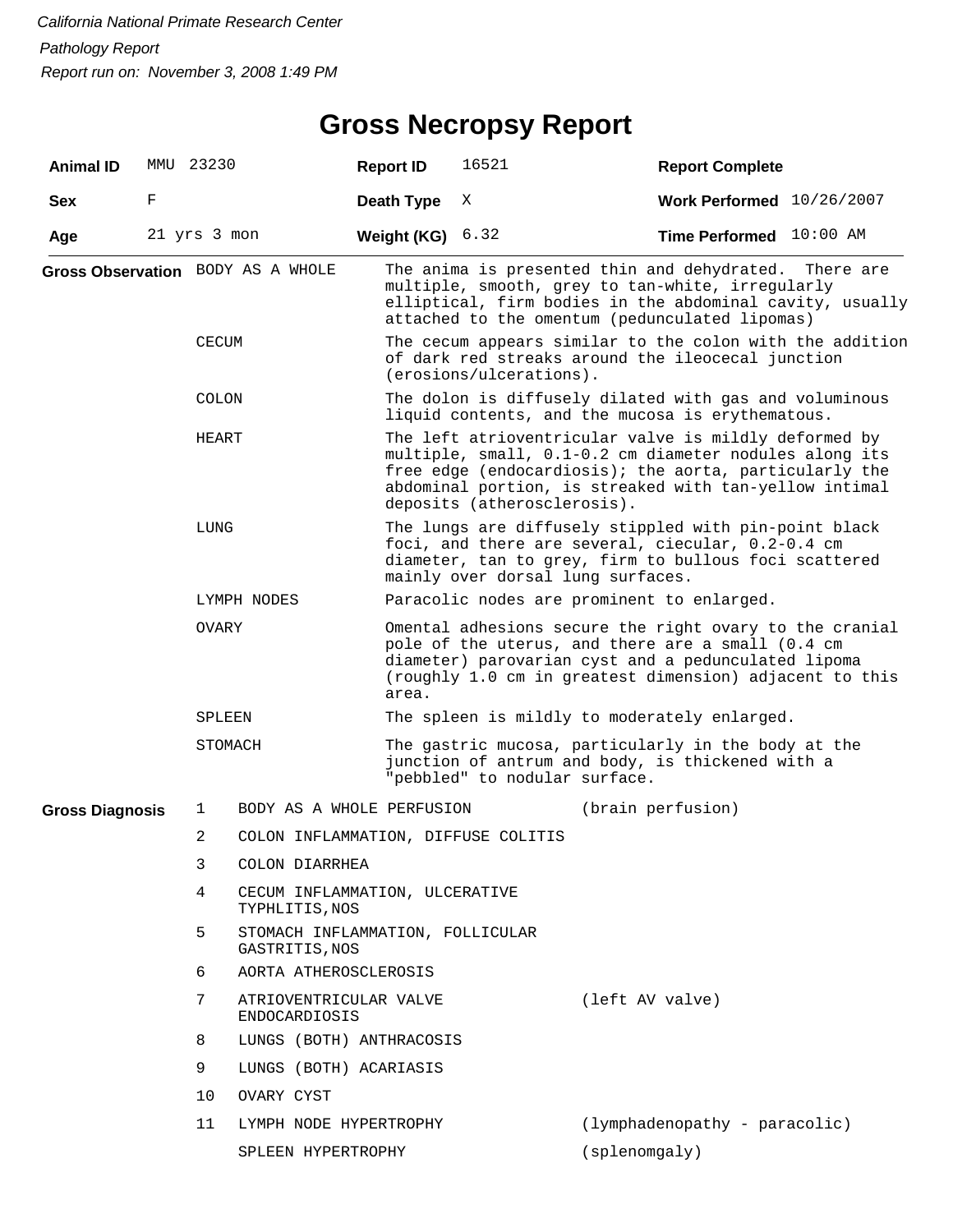## **Gross Necropsy Report**

| <b>Animal ID</b>       |   | MMU 23230                                                     |                                                    | <b>Report ID</b> | 16521                                                                                                                                                                                                                                                              | <b>Report Complete</b>                                                                                                                                                                                                  |  |  |  |
|------------------------|---|---------------------------------------------------------------|----------------------------------------------------|------------------|--------------------------------------------------------------------------------------------------------------------------------------------------------------------------------------------------------------------------------------------------------------------|-------------------------------------------------------------------------------------------------------------------------------------------------------------------------------------------------------------------------|--|--|--|
| <b>Sex</b>             | F |                                                               |                                                    | Death Type       | Χ                                                                                                                                                                                                                                                                  | Work Performed 10/26/2007                                                                                                                                                                                               |  |  |  |
| Age                    |   | 21 yrs 3 mon                                                  |                                                    | Weight (KG)      | 6.32                                                                                                                                                                                                                                                               | Time Performed 10:00 AM                                                                                                                                                                                                 |  |  |  |
|                        |   |                                                               | Gross Observation BODY AS A WHOLE                  |                  |                                                                                                                                                                                                                                                                    | The anima is presented thin and dehydrated. There are<br>multiple, smooth, grey to tan-white, irregularly<br>elliptical, firm bodies in the abdominal cavity, usually<br>attached to the omentum (pedunculated lipomas) |  |  |  |
|                        |   | <b>CECUM</b>                                                  |                                                    |                  | The cecum appears similar to the colon with the addition<br>of dark red streaks around the ileocecal junction<br>$(erosions/ulegrations)$ .                                                                                                                        |                                                                                                                                                                                                                         |  |  |  |
|                        |   | COLON                                                         |                                                    |                  |                                                                                                                                                                                                                                                                    | The dolon is diffusely dilated with gas and voluminous<br>liquid contents, and the mucosa is erythematous.                                                                                                              |  |  |  |
|                        |   | HEART                                                         |                                                    |                  | The left atrioventricular valve is mildly deformed by<br>multiple, small, 0.1-0.2 cm diameter nodules along its<br>free edge (endocardiosis); the aorta, particularly the<br>abdominal portion, is streaked with tan-yellow intimal<br>deposits (atherosclerosis). |                                                                                                                                                                                                                         |  |  |  |
|                        |   | LUNG                                                          |                                                    |                  | The lungs are diffusely stippled with pin-point black<br>foci, and there are several, ciecular, 0.2-0.4 cm<br>diameter, tan to grey, firm to bullous foci scattered<br>mainly over dorsal lung surfaces.                                                           |                                                                                                                                                                                                                         |  |  |  |
|                        |   |                                                               | LYMPH NODES                                        |                  |                                                                                                                                                                                                                                                                    | Paracolic nodes are prominent to enlarged.                                                                                                                                                                              |  |  |  |
|                        |   | OVARY                                                         |                                                    | area.            | Omental adhesions secure the right ovary to the cranial<br>pole of the uterus, and there are a small (0.4 cm<br>diameter) parovarian cyst and a pedunculated lipoma<br>(roughly 1.0 cm in greatest dimension) adjacent to this                                     |                                                                                                                                                                                                                         |  |  |  |
|                        |   | SPLEEN                                                        |                                                    |                  |                                                                                                                                                                                                                                                                    | The spleen is mildly to moderately enlarged.                                                                                                                                                                            |  |  |  |
|                        |   | STOMACH                                                       |                                                    |                  | The gastric mucosa, particularly in the body at the<br>junction of antrum and body, is thickened with a<br>"pebbled" to nodular surface.                                                                                                                           |                                                                                                                                                                                                                         |  |  |  |
| <b>Gross Diagnosis</b> |   | 1                                                             | BODY AS A WHOLE PERFUSION                          |                  |                                                                                                                                                                                                                                                                    | (brain perfusion)                                                                                                                                                                                                       |  |  |  |
|                        |   | 2                                                             | COLON INFLAMMATION, DIFFUSE COLITIS                |                  |                                                                                                                                                                                                                                                                    |                                                                                                                                                                                                                         |  |  |  |
|                        |   | 3                                                             | COLON DIARRHEA                                     |                  |                                                                                                                                                                                                                                                                    |                                                                                                                                                                                                                         |  |  |  |
|                        |   | 4                                                             | CECUM INFLAMMATION, ULCERATIVE<br>TYPHLITIS, NOS   |                  |                                                                                                                                                                                                                                                                    |                                                                                                                                                                                                                         |  |  |  |
|                        |   | 5                                                             | STOMACH INFLAMMATION, FOLLICULAR<br>GASTRITIS, NOS |                  |                                                                                                                                                                                                                                                                    |                                                                                                                                                                                                                         |  |  |  |
|                        |   | 6                                                             | AORTA ATHEROSCLEROSIS                              |                  |                                                                                                                                                                                                                                                                    |                                                                                                                                                                                                                         |  |  |  |
|                        |   | 7                                                             | ATRIOVENTRICULAR VALVE<br>ENDOCARDIOSIS            |                  |                                                                                                                                                                                                                                                                    | (left AV valve)                                                                                                                                                                                                         |  |  |  |
|                        |   | 8                                                             | LUNGS (BOTH) ANTHRACOSIS                           |                  |                                                                                                                                                                                                                                                                    |                                                                                                                                                                                                                         |  |  |  |
|                        |   | 9                                                             | LUNGS (BOTH) ACARIASIS                             |                  |                                                                                                                                                                                                                                                                    |                                                                                                                                                                                                                         |  |  |  |
|                        |   | 10                                                            | OVARY CYST                                         |                  |                                                                                                                                                                                                                                                                    |                                                                                                                                                                                                                         |  |  |  |
|                        |   | 11<br>(lymphadenopathy - paracolic)<br>LYMPH NODE HYPERTROPHY |                                                    |                  |                                                                                                                                                                                                                                                                    |                                                                                                                                                                                                                         |  |  |  |
|                        |   |                                                               | SPLEEN HYPERTROPHY                                 |                  |                                                                                                                                                                                                                                                                    | (splenomgaly)                                                                                                                                                                                                           |  |  |  |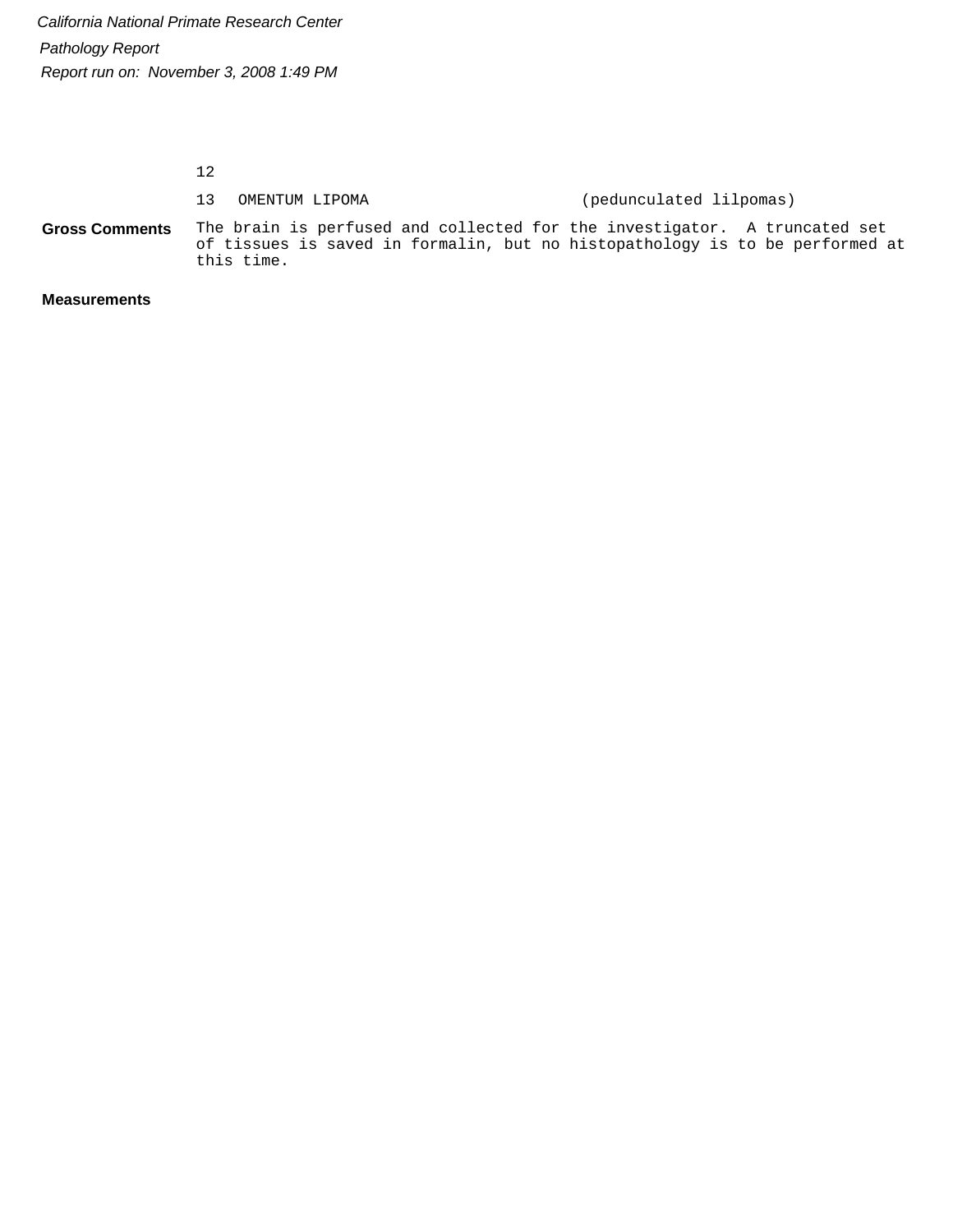12

|                       | 13 OMENTUM LIPOMA | (pedunculated lilpomas)                                                                                                                                   |
|-----------------------|-------------------|-----------------------------------------------------------------------------------------------------------------------------------------------------------|
| <b>Gross Comments</b> | this time.        | The brain is perfused and collected for the investigator. A truncated set<br>of tissues is saved in formalin, but no histopathology is to be performed at |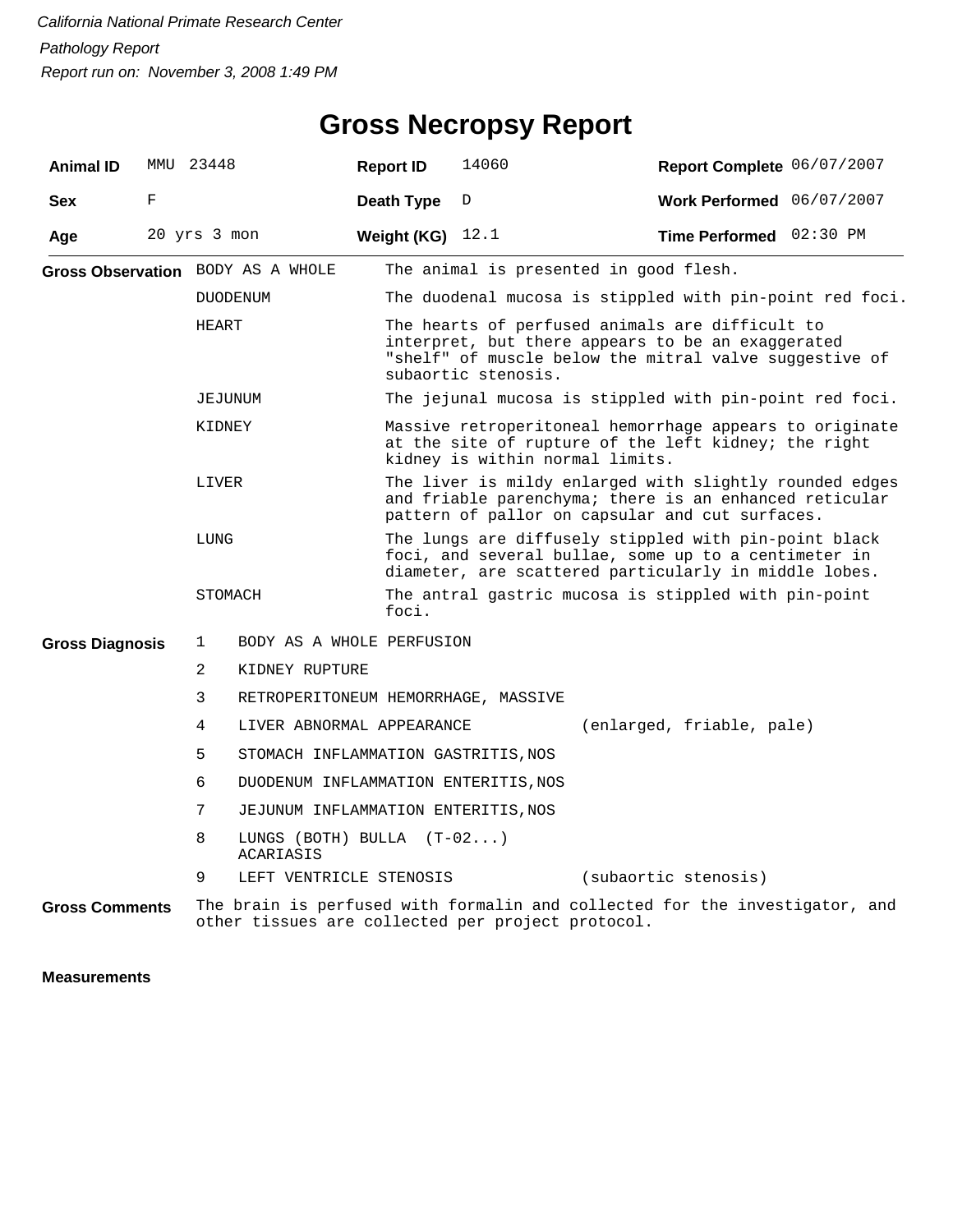| <b>Animal ID</b>       | MMU 23448    |              |                                          | <b>Report ID</b>   | 14060                                                                                                                                                                                 |                                                                                                                                                                      |  | Report Complete 06/07/2007 |  |  |
|------------------------|--------------|--------------|------------------------------------------|--------------------|---------------------------------------------------------------------------------------------------------------------------------------------------------------------------------------|----------------------------------------------------------------------------------------------------------------------------------------------------------------------|--|----------------------------|--|--|
| <b>Sex</b>             | F            |              |                                          | Death Type         | D                                                                                                                                                                                     |                                                                                                                                                                      |  | Work Performed 06/07/2007  |  |  |
| Age                    | 20 yrs 3 mon |              |                                          | Weight (KG) $12.1$ |                                                                                                                                                                                       |                                                                                                                                                                      |  | Time Performed 02:30 PM    |  |  |
|                        |              |              | Gross Observation BODY AS A WHOLE        |                    | The animal is presented in good flesh.                                                                                                                                                |                                                                                                                                                                      |  |                            |  |  |
|                        |              |              | <b>DUODENUM</b>                          |                    |                                                                                                                                                                                       | The duodenal mucosa is stippled with pin-point red foci.                                                                                                             |  |                            |  |  |
|                        |              | HEART        |                                          |                    | The hearts of perfused animals are difficult to<br>interpret, but there appears to be an exaggerated<br>"shelf" of muscle below the mitral valve suggestive of<br>subaortic stenosis. |                                                                                                                                                                      |  |                            |  |  |
|                        |              | JEJUNUM      |                                          |                    |                                                                                                                                                                                       | The jejunal mucosa is stippled with pin-point red foci.                                                                                                              |  |                            |  |  |
|                        |              | KIDNEY       |                                          |                    | Massive retroperitoneal hemorrhage appears to originate<br>at the site of rupture of the left kidney; the right<br>kidney is within normal limits.                                    |                                                                                                                                                                      |  |                            |  |  |
|                        |              | LIVER        |                                          |                    |                                                                                                                                                                                       | The liver is mildy enlarged with slightly rounded edges<br>and friable parenchyma; there is an enhanced reticular<br>pattern of pallor on capsular and cut surfaces. |  |                            |  |  |
|                        |              | LUNG         |                                          |                    | The lungs are diffusely stippled with pin-point black<br>foci, and several bullae, some up to a centimeter in<br>diameter, are scattered particularly in middle lobes.                |                                                                                                                                                                      |  |                            |  |  |
|                        |              | STOMACH      |                                          | foci.              | The antral gastric mucosa is stippled with pin-point                                                                                                                                  |                                                                                                                                                                      |  |                            |  |  |
| <b>Gross Diagnosis</b> |              | $\mathbf{1}$ | BODY AS A WHOLE PERFUSION                |                    |                                                                                                                                                                                       |                                                                                                                                                                      |  |                            |  |  |
|                        |              | 2            | KIDNEY RUPTURE                           |                    |                                                                                                                                                                                       |                                                                                                                                                                      |  |                            |  |  |
|                        |              | 3            | RETROPERITONEUM HEMORRHAGE, MASSIVE      |                    |                                                                                                                                                                                       |                                                                                                                                                                      |  |                            |  |  |
|                        |              | 4            | LIVER ABNORMAL APPEARANCE                |                    |                                                                                                                                                                                       | (enlarged, friable, pale)                                                                                                                                            |  |                            |  |  |
|                        |              | 5            | STOMACH INFLAMMATION GASTRITIS, NOS      |                    |                                                                                                                                                                                       |                                                                                                                                                                      |  |                            |  |  |
|                        |              | 6            | DUODENUM INFLAMMATION ENTERITIS, NOS     |                    |                                                                                                                                                                                       |                                                                                                                                                                      |  |                            |  |  |
|                        |              | 7            | JEJUNUM INFLAMMATION ENTERITIS, NOS      |                    |                                                                                                                                                                                       |                                                                                                                                                                      |  |                            |  |  |
|                        |              | 8            | LUNGS (BOTH) BULLA $(T-02)$<br>ACARIASIS |                    |                                                                                                                                                                                       |                                                                                                                                                                      |  |                            |  |  |
|                        |              | 9            | LEFT VENTRICLE STENOSIS                  |                    |                                                                                                                                                                                       | (subaortic stenosis)                                                                                                                                                 |  |                            |  |  |
| <b>Gross Comments</b>  |              |              |                                          |                    | other tissues are collected per project protocol.                                                                                                                                     | The brain is perfused with formalin and collected for the investigator, and                                                                                          |  |                            |  |  |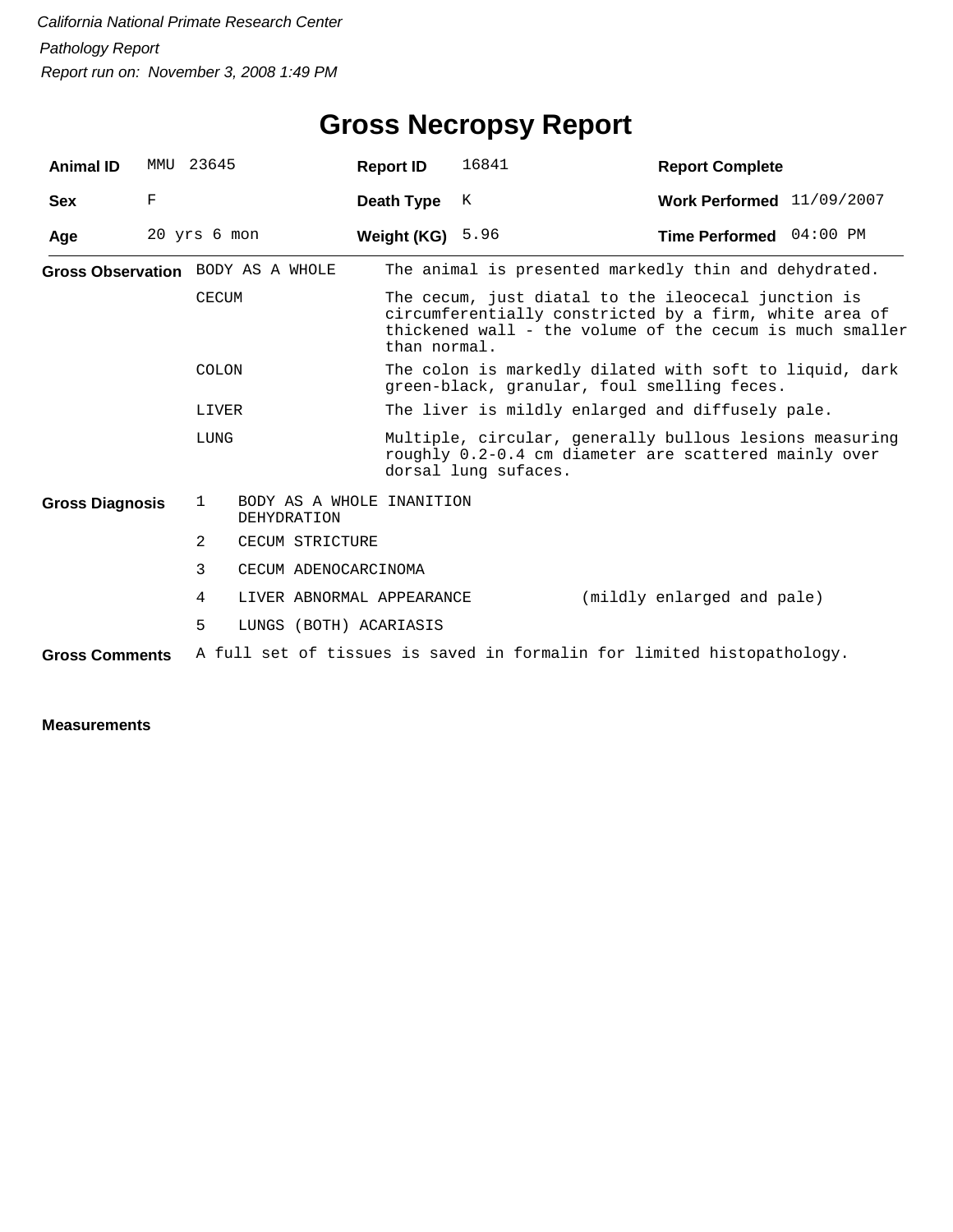## **Gross Necropsy Report**

| <b>Animal ID</b>       | MMU          | 23645          |                                                 | <b>Report ID</b>                                                                                                                         | 16841                                                 | <b>Report Complete</b>                                                                                                                                                    |  |  |  |
|------------------------|--------------|----------------|-------------------------------------------------|------------------------------------------------------------------------------------------------------------------------------------------|-------------------------------------------------------|---------------------------------------------------------------------------------------------------------------------------------------------------------------------------|--|--|--|
| <b>Sex</b>             | F            |                |                                                 | Death Type                                                                                                                               | K                                                     | Work Performed 11/09/2007                                                                                                                                                 |  |  |  |
| Age                    | 20 yrs 6 mon |                |                                                 | Weight (KG)                                                                                                                              | 5.96                                                  | Time Performed 04:00 PM                                                                                                                                                   |  |  |  |
|                        |              |                | Gross Observation BODY AS A WHOLE               |                                                                                                                                          | The animal is presented markedly thin and dehydrated. |                                                                                                                                                                           |  |  |  |
|                        |              | <b>CECUM</b>   |                                                 | than normal.                                                                                                                             |                                                       | The cecum, just diatal to the ileocecal junction is<br>circumferentially constricted by a firm, white area of<br>thickened wall - the volume of the cecum is much smaller |  |  |  |
| COLON                  |              |                |                                                 |                                                                                                                                          |                                                       | The colon is markedly dilated with soft to liquid, dark<br>green-black, granular, foul smelling feces.                                                                    |  |  |  |
|                        |              | LIVER          |                                                 |                                                                                                                                          |                                                       | The liver is mildly enlarged and diffusely pale.                                                                                                                          |  |  |  |
|                        |              | LUNG           |                                                 | Multiple, circular, generally bullous lesions measuring<br>roughly 0.2-0.4 cm diameter are scattered mainly over<br>dorsal lung sufaces. |                                                       |                                                                                                                                                                           |  |  |  |
| <b>Gross Diagnosis</b> |              | $\mathbf{1}$   | BODY AS A WHOLE INANITION<br><b>DEHYDRATION</b> |                                                                                                                                          |                                                       |                                                                                                                                                                           |  |  |  |
|                        |              | $\mathfrak{D}$ | CECUM STRICTURE                                 |                                                                                                                                          |                                                       |                                                                                                                                                                           |  |  |  |
|                        |              | 3              | CECUM ADENOCARCINOMA                            |                                                                                                                                          |                                                       |                                                                                                                                                                           |  |  |  |
|                        |              | 4              | LIVER ABNORMAL APPEARANCE                       |                                                                                                                                          |                                                       | (mildly enlarged and pale)                                                                                                                                                |  |  |  |
|                        |              | 5              | LUNGS (BOTH) ACARIASIS                          |                                                                                                                                          |                                                       |                                                                                                                                                                           |  |  |  |
| <b>Gross Comments</b>  |              |                |                                                 |                                                                                                                                          |                                                       | A full set of tissues is saved in formalin for limited histopathology.                                                                                                    |  |  |  |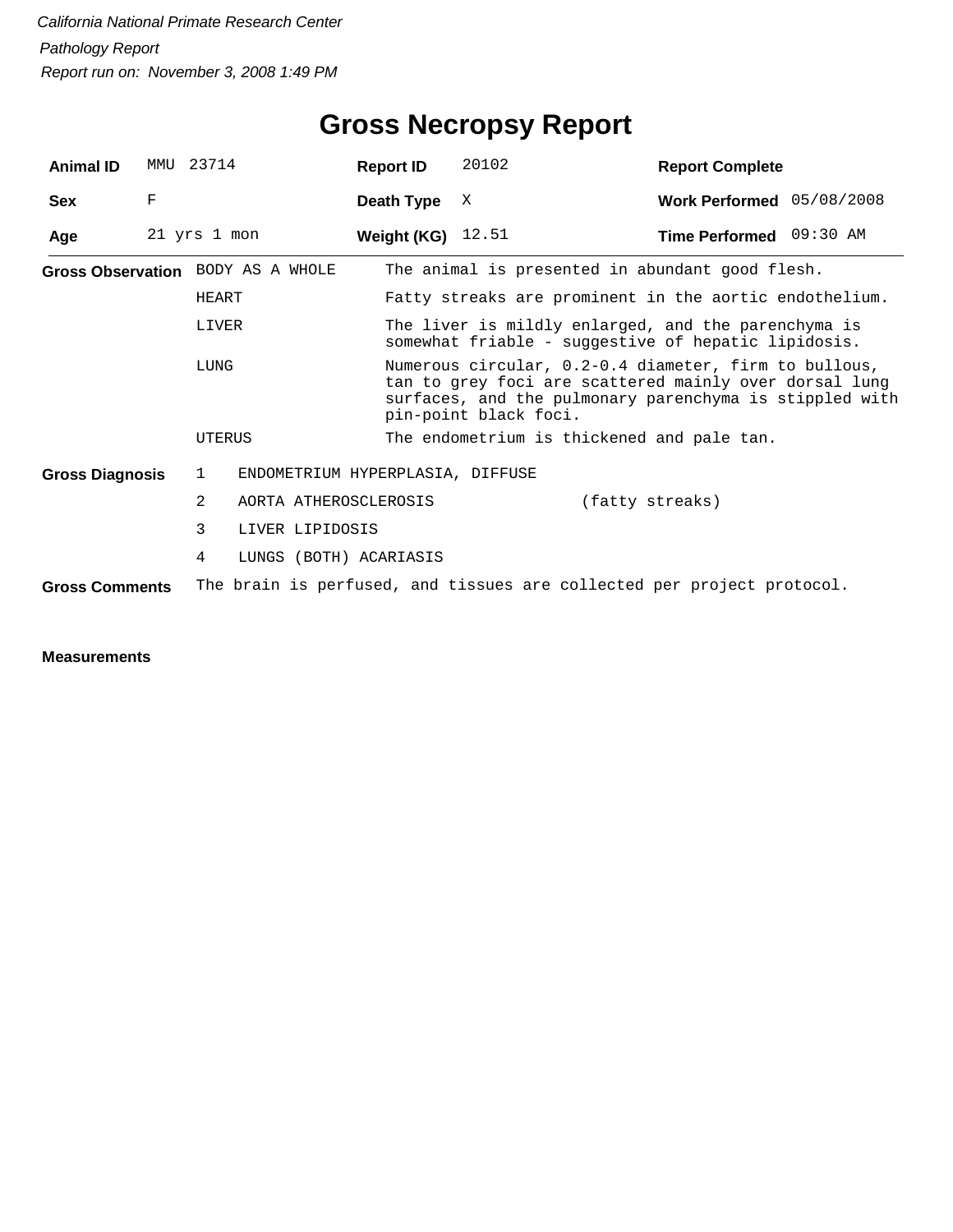| <b>Animal ID</b>                  | MMU         | 23714          |                                  | <b>Report ID</b>    | 20102                                                                                                                                                                                               | <b>Report Complete</b>    |  |  |  |
|-----------------------------------|-------------|----------------|----------------------------------|---------------------|-----------------------------------------------------------------------------------------------------------------------------------------------------------------------------------------------------|---------------------------|--|--|--|
| <b>Sex</b>                        | $\mathbf F$ |                |                                  | Death Type          | X                                                                                                                                                                                                   | Work Performed 05/08/2008 |  |  |  |
| Age                               |             | 21 yrs 1 mon   |                                  | Weight (KG) $12.51$ |                                                                                                                                                                                                     | Time Performed 09:30 AM   |  |  |  |
| Gross Observation BODY AS A WHOLE |             |                |                                  |                     | The animal is presented in abundant good flesh.                                                                                                                                                     |                           |  |  |  |
|                                   |             | HEART          |                                  |                     | Fatty streaks are prominent in the aortic endothelium.                                                                                                                                              |                           |  |  |  |
|                                   |             | LIVER<br>LUNG  |                                  |                     | The liver is mildly enlarged, and the parenchyma is<br>somewhat friable - suggestive of hepatic lipidosis.                                                                                          |                           |  |  |  |
|                                   |             |                |                                  |                     | Numerous circular, 0.2-0.4 diameter, firm to bullous,<br>tan to grey foci are scattered mainly over dorsal lung<br>surfaces, and the pulmonary parenchyma is stippled with<br>pin-point black foci. |                           |  |  |  |
|                                   |             | UTERUS         |                                  |                     | The endometrium is thickened and pale tan.                                                                                                                                                          |                           |  |  |  |
| <b>Gross Diagnosis</b>            |             | 1              | ENDOMETRIUM HYPERPLASIA, DIFFUSE |                     |                                                                                                                                                                                                     |                           |  |  |  |
|                                   |             | $\overline{2}$ | AORTA ATHEROSCLEROSIS            |                     |                                                                                                                                                                                                     | (fatty streaks)           |  |  |  |
|                                   |             | 3              | LIVER LIPIDOSIS                  |                     |                                                                                                                                                                                                     |                           |  |  |  |
|                                   |             | 4              | LUNGS (BOTH) ACARIASIS           |                     |                                                                                                                                                                                                     |                           |  |  |  |
| <b>Gross Comments</b>             |             |                |                                  |                     | The brain is perfused, and tissues are collected per project protocol.                                                                                                                              |                           |  |  |  |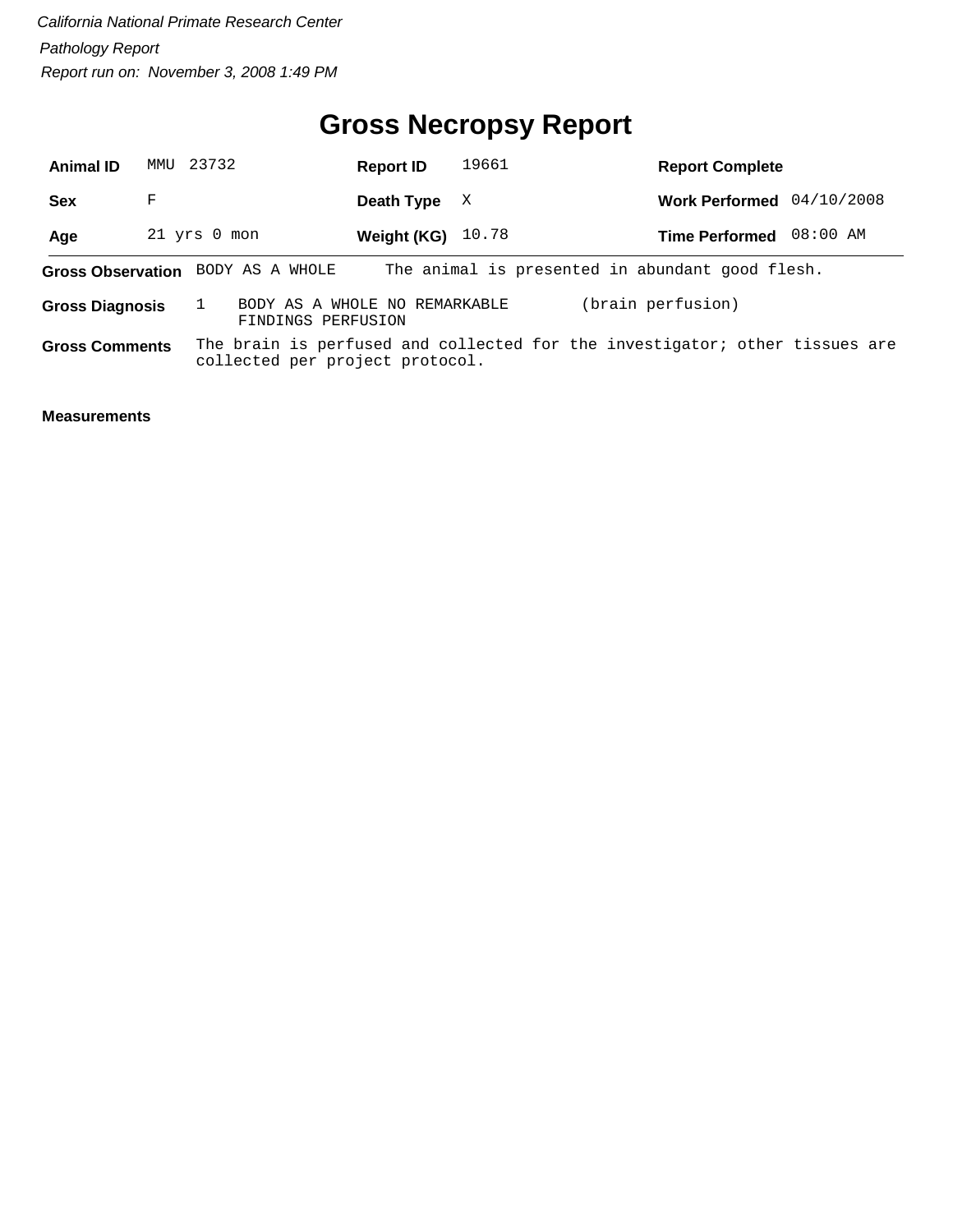#### **Gross Necropsy Report**

| <b>Animal ID</b>       | MMU 23732 |                                                     | <b>Report ID</b> | 19661 | <b>Report Complete</b>                                                      |            |
|------------------------|-----------|-----------------------------------------------------|------------------|-------|-----------------------------------------------------------------------------|------------|
| <b>Sex</b>             | F         |                                                     | Death Type       | X     | <b>Work Performed</b>                                                       | 04/10/2008 |
| Age                    |           | 21 yrs 0 mon                                        | Weight (KG)      | 10.78 | <b>Time Performed</b>                                                       | 08:00 AM   |
|                        |           | <b>Gross Observation</b> BODY AS A WHOLE            |                  |       | The animal is presented in abundant good flesh.                             |            |
| <b>Gross Diagnosis</b> |           | BODY AS A WHOLE NO REMARKABLE<br>FINDINGS PERFUSION |                  |       | (brain perfusion)                                                           |            |
| <b>Gross Comments</b>  |           | collected per project protocol.                     |                  |       | The brain is perfused and collected for the investigator; other tissues are |            |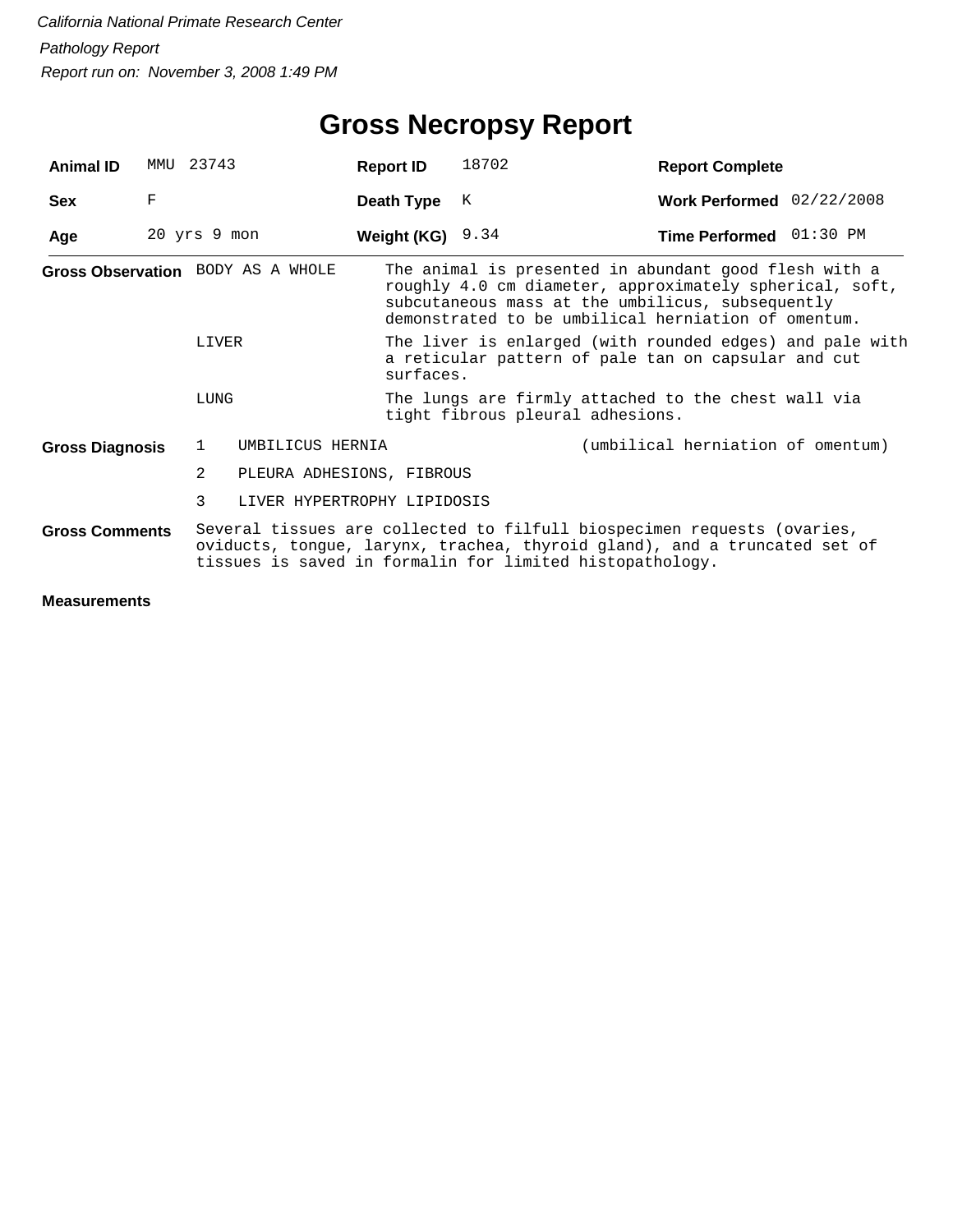## **Gross Necropsy Report**

| <b>Animal ID</b>       | MMU          | 23743          |                                   | <b>Report ID</b>   | 18702                                                                                                                                                                                                                       | <b>Report Complete</b>            |  |  |
|------------------------|--------------|----------------|-----------------------------------|--------------------|-----------------------------------------------------------------------------------------------------------------------------------------------------------------------------------------------------------------------------|-----------------------------------|--|--|
| <b>Sex</b>             | F            |                |                                   | Death Type         | K                                                                                                                                                                                                                           | Work Performed $02/22/2008$       |  |  |
| Age                    | 20 yrs 9 mon |                |                                   | Weight (KG) $9.34$ |                                                                                                                                                                                                                             | Time Performed 01:30 PM           |  |  |
|                        |              |                | Gross Observation BODY AS A WHOLE |                    | The animal is presented in abundant good flesh with a<br>roughly 4.0 cm diameter, approximately spherical, soft,<br>subcutaneous mass at the umbilicus, subsequently<br>demonstrated to be umbilical herniation of omentum. |                                   |  |  |
|                        |              | LIVER          |                                   |                    | The liver is enlarged (with rounded edges) and pale with<br>a reticular pattern of pale tan on capsular and cut<br>surfaces.                                                                                                |                                   |  |  |
|                        |              | LUNG           |                                   |                    | The lungs are firmly attached to the chest wall via<br>tight fibrous pleural adhesions.                                                                                                                                     |                                   |  |  |
| <b>Gross Diagnosis</b> |              | 1              | UMBILICUS HERNIA                  |                    |                                                                                                                                                                                                                             | (umbilical herniation of omentum) |  |  |
|                        |              | $\overline{2}$ | PLEURA ADHESIONS, FIBROUS         |                    |                                                                                                                                                                                                                             |                                   |  |  |
|                        |              | 3              | LIVER HYPERTROPHY LIPIDOSIS       |                    |                                                                                                                                                                                                                             |                                   |  |  |
| <b>Gross Comments</b>  |              |                |                                   |                    | Several tissues are collected to filfull biospecimen requests (ovaries,<br>oviducts, tongue, larynx, trachea, thyroid gland), and a truncated set of<br>tissues is saved in formalin for limited histopathology.            |                                   |  |  |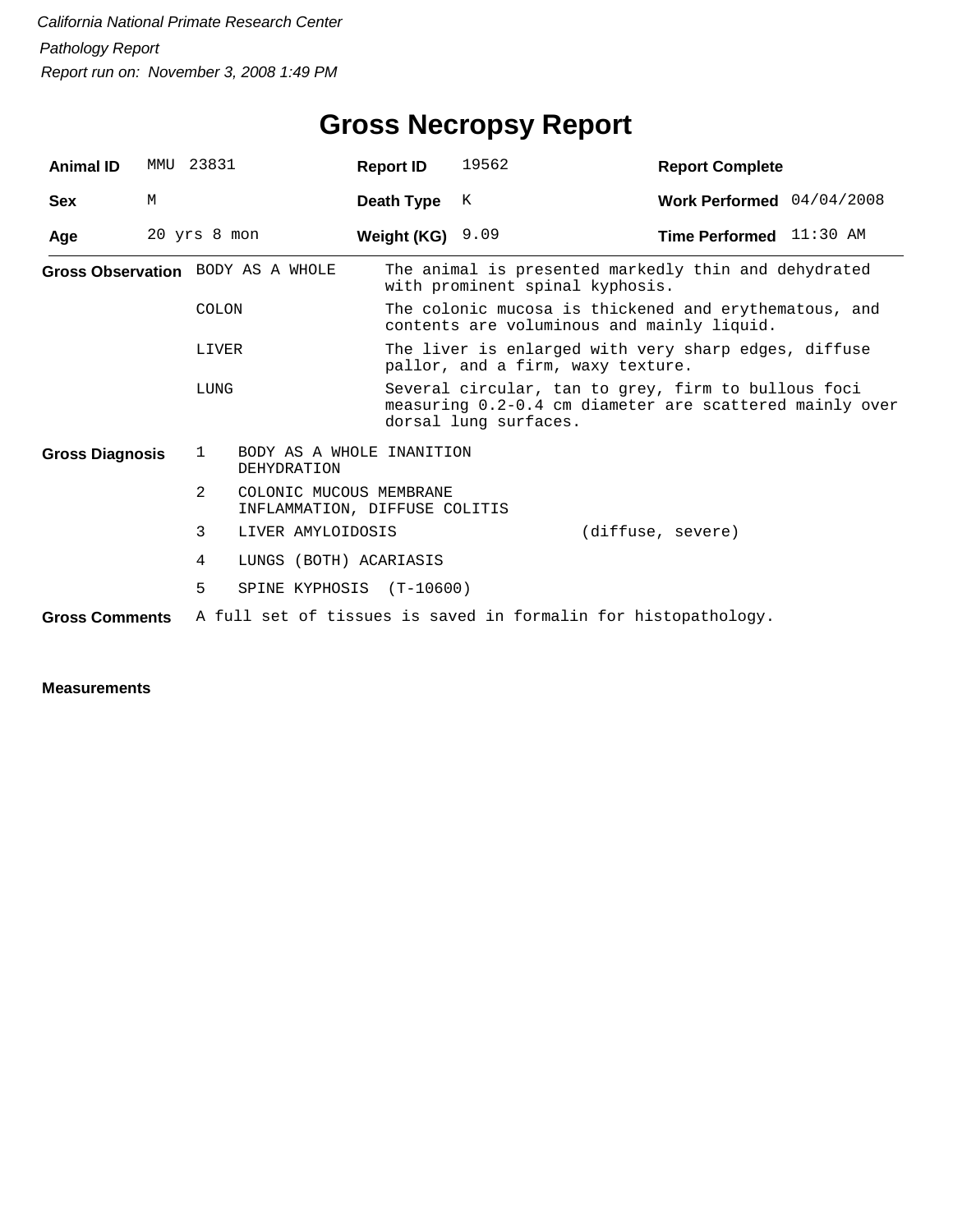## **Gross Necropsy Report**

| <b>Animal ID</b>       |   | MMU 23831                          | <b>Report ID</b>                                         | 19562                                                                                     | <b>Report Complete</b>                                                                                         |  |  |  |
|------------------------|---|------------------------------------|----------------------------------------------------------|-------------------------------------------------------------------------------------------|----------------------------------------------------------------------------------------------------------------|--|--|--|
| <b>Sex</b>             | М |                                    | Death Type                                               | K                                                                                         | Work Performed 04/04/2008                                                                                      |  |  |  |
| Age                    |   | 20 yrs 8 mon                       | Weight (KG) $9.09$                                       |                                                                                           | Time Performed 11:30 AM                                                                                        |  |  |  |
|                        |   | Gross Observation BODY AS A WHOLE  |                                                          |                                                                                           | The animal is presented markedly thin and dehydrated<br>with prominent spinal kyphosis.                        |  |  |  |
|                        |   | COLON                              |                                                          |                                                                                           | The colonic mucosa is thickened and erythematous, and<br>contents are voluminous and mainly liquid.            |  |  |  |
|                        |   | LIVER                              |                                                          | The liver is enlarged with very sharp edges, diffuse<br>pallor, and a firm, waxy texture. |                                                                                                                |  |  |  |
|                        |   | LUNG                               |                                                          | dorsal lung surfaces.                                                                     | Several circular, tan to grey, firm to bullous foci<br>measuring 0.2-0.4 cm diameter are scattered mainly over |  |  |  |
| <b>Gross Diagnosis</b> |   | $\mathbf{1}$<br><b>DEHYDRATION</b> | BODY AS A WHOLE INANITION                                |                                                                                           |                                                                                                                |  |  |  |
|                        |   | 2                                  | COLONIC MUCOUS MEMBRANE<br>INFLAMMATION, DIFFUSE COLITIS |                                                                                           |                                                                                                                |  |  |  |
|                        |   | 3<br>LIVER AMYLOIDOSIS             |                                                          |                                                                                           | (diffuse, severe)                                                                                              |  |  |  |
|                        |   | 4                                  | LUNGS (BOTH) ACARIASIS                                   |                                                                                           |                                                                                                                |  |  |  |
|                        |   | 5                                  | SPINE KYPHOSIS (T-10600)                                 |                                                                                           |                                                                                                                |  |  |  |
| <b>Gross Comments</b>  |   |                                    |                                                          |                                                                                           | A full set of tissues is saved in formalin for histopathology.                                                 |  |  |  |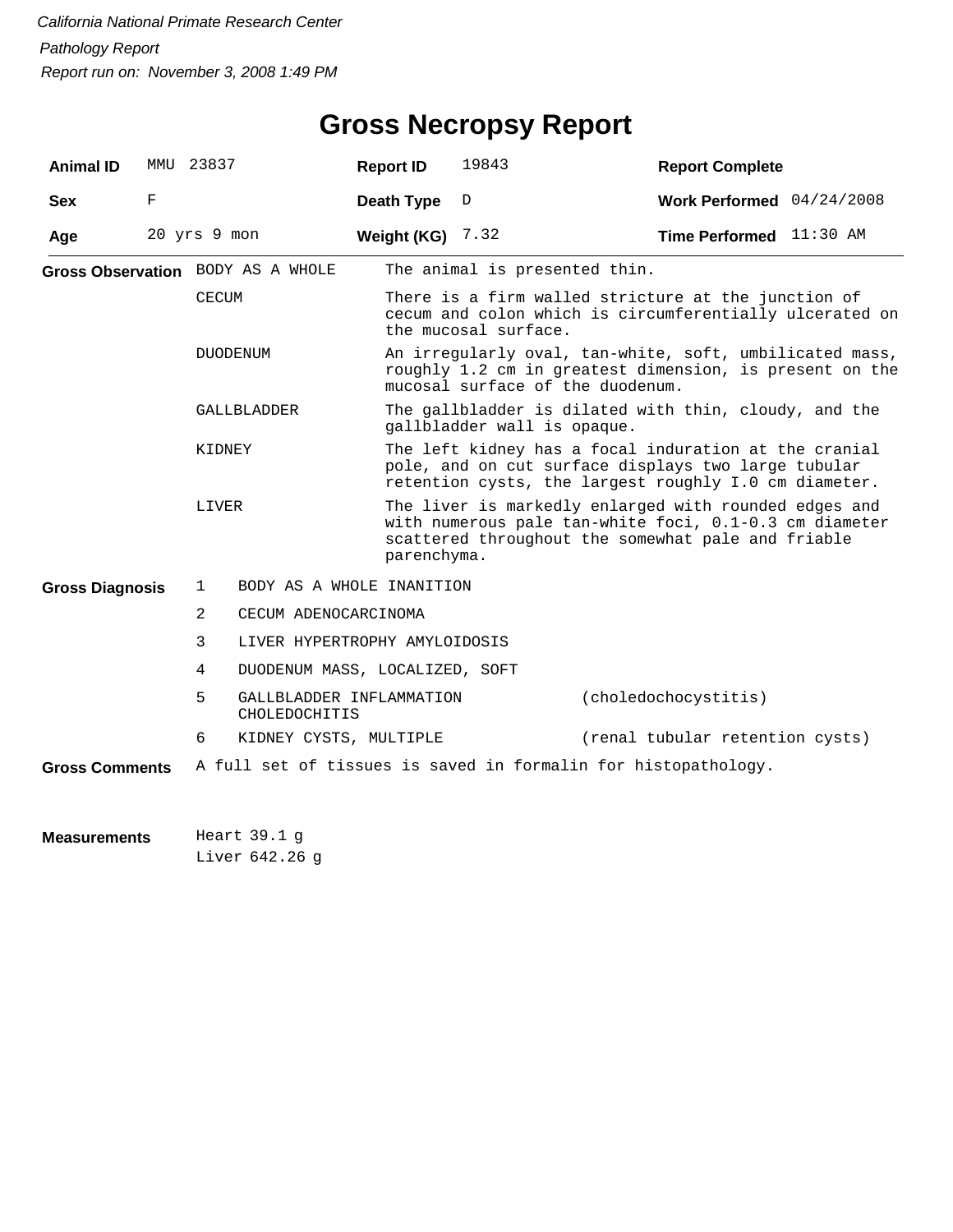| <b>Animal ID</b>       |   | MMU 23837                         | <b>Report ID</b>               | 19843                                                                                                                                                                 | <b>Report Complete</b>                                                                                                                                                |  |  |  |
|------------------------|---|-----------------------------------|--------------------------------|-----------------------------------------------------------------------------------------------------------------------------------------------------------------------|-----------------------------------------------------------------------------------------------------------------------------------------------------------------------|--|--|--|
| <b>Sex</b>             | F |                                   | Death Type                     | D                                                                                                                                                                     | Work Performed 04/24/2008                                                                                                                                             |  |  |  |
| Age                    |   | 20 yrs 9 mon                      | Weight (KG) $7.32$             |                                                                                                                                                                       | Time Performed 11:30 AM                                                                                                                                               |  |  |  |
|                        |   | Gross Observation BODY AS A WHOLE |                                | The animal is presented thin.                                                                                                                                         |                                                                                                                                                                       |  |  |  |
|                        |   | <b>CECUM</b>                      |                                | There is a firm walled stricture at the junction of<br>cecum and colon which is circumferentially ulcerated on<br>the mucosal surface.                                |                                                                                                                                                                       |  |  |  |
|                        |   | <b>DUODENUM</b>                   |                                | An irregularly oval, tan-white, soft, umbilicated mass,<br>roughly 1.2 cm in greatest dimension, is present on the<br>mucosal surface of the duodenum.                |                                                                                                                                                                       |  |  |  |
|                        |   | GALLBLADDER                       |                                | The gallbladder is dilated with thin, cloudy, and the<br>gallbladder wall is opaque.                                                                                  |                                                                                                                                                                       |  |  |  |
|                        |   | KIDNEY                            |                                | The left kidney has a focal induration at the cranial<br>pole, and on cut surface displays two large tubular<br>retention cysts, the largest roughly I.0 cm diameter. |                                                                                                                                                                       |  |  |  |
|                        |   | LIVER                             | parenchyma.                    |                                                                                                                                                                       | The liver is markedly enlarged with rounded edges and<br>with numerous pale tan-white foci, 0.1-0.3 cm diameter<br>scattered throughout the somewhat pale and friable |  |  |  |
| <b>Gross Diagnosis</b> |   | 1                                 | BODY AS A WHOLE INANITION      |                                                                                                                                                                       |                                                                                                                                                                       |  |  |  |
|                        |   | 2                                 | CECUM ADENOCARCINOMA           |                                                                                                                                                                       |                                                                                                                                                                       |  |  |  |
|                        |   | 3                                 | LIVER HYPERTROPHY AMYLOIDOSIS  |                                                                                                                                                                       |                                                                                                                                                                       |  |  |  |
|                        |   | 4                                 | DUODENUM MASS, LOCALIZED, SOFT |                                                                                                                                                                       |                                                                                                                                                                       |  |  |  |
|                        |   | 5<br>CHOLEDOCHITIS                | GALLBLADDER INFLAMMATION       |                                                                                                                                                                       | (choledochocystitis)                                                                                                                                                  |  |  |  |
|                        |   | 6                                 | KIDNEY CYSTS, MULTIPLE         |                                                                                                                                                                       | (renal tubular retention cysts)                                                                                                                                       |  |  |  |
| <b>Gross Comments</b>  |   |                                   |                                |                                                                                                                                                                       | A full set of tissues is saved in formalin for histopathology.                                                                                                        |  |  |  |

Heart 39.1 Liver 642.26 g**Measurements**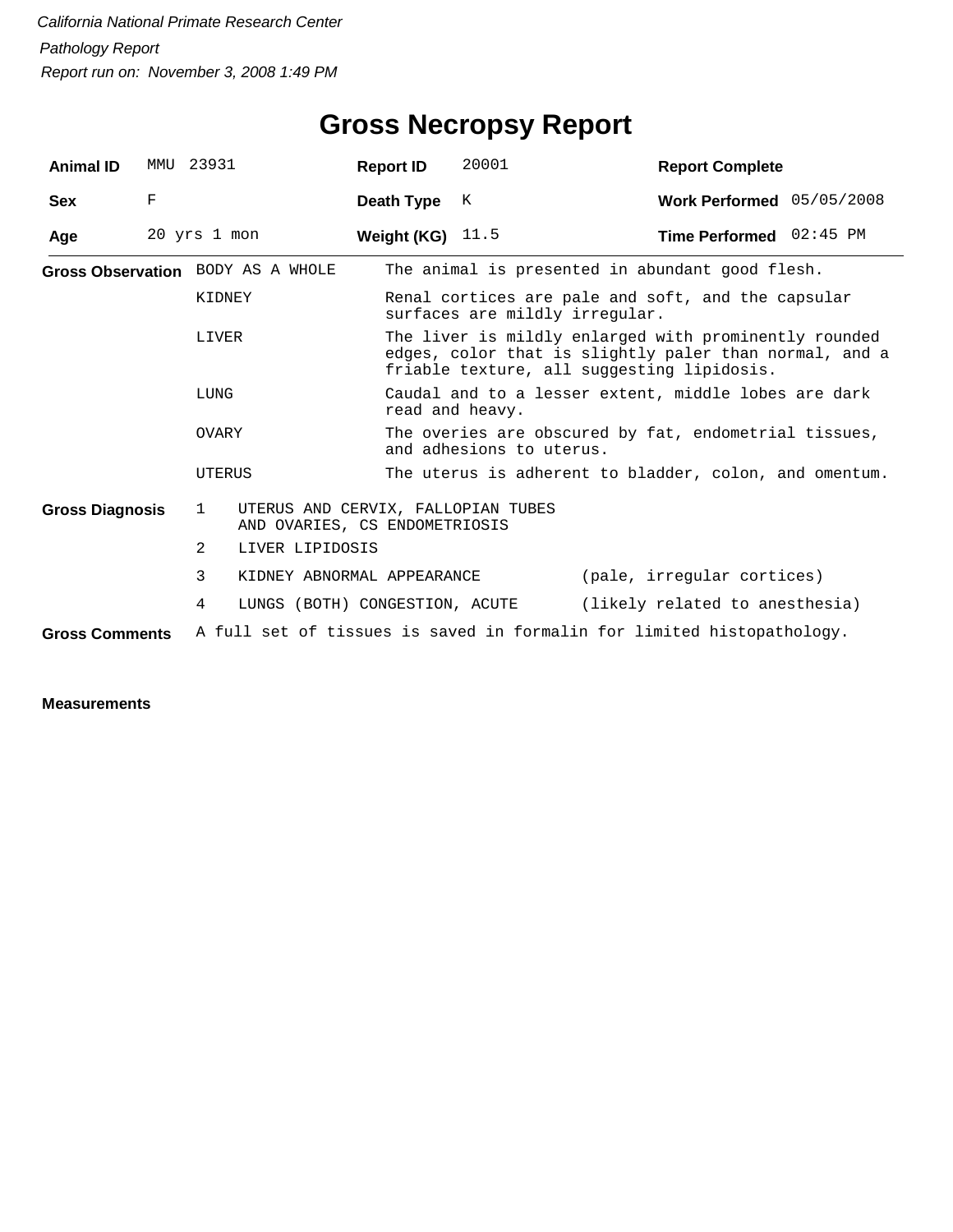| <b>Animal ID</b>       | MMU 23931   |                                   |                                                                     | <b>Report ID</b>   | 20001                                                                                                                                                         | <b>Report Complete</b>                                                 |  |  |  |
|------------------------|-------------|-----------------------------------|---------------------------------------------------------------------|--------------------|---------------------------------------------------------------------------------------------------------------------------------------------------------------|------------------------------------------------------------------------|--|--|--|
| <b>Sex</b>             | $\mathbf F$ |                                   |                                                                     | Death Type         | K                                                                                                                                                             | Work Performed 05/05/2008                                              |  |  |  |
| Age                    |             | 20 yrs 1 mon                      |                                                                     | Weight (KG) $11.5$ |                                                                                                                                                               | Time Performed 02:45 PM                                                |  |  |  |
|                        |             | Gross Observation BODY AS A WHOLE |                                                                     |                    | The animal is presented in abundant good flesh.                                                                                                               |                                                                        |  |  |  |
|                        |             | KIDNEY                            |                                                                     |                    | surfaces are mildly irregular.                                                                                                                                | Renal cortices are pale and soft, and the capsular                     |  |  |  |
|                        |             | LIVER                             |                                                                     |                    | The liver is mildly enlarged with prominently rounded<br>edges, color that is slightly paler than normal, and a<br>friable texture, all suggesting lipidosis. |                                                                        |  |  |  |
| LUNG                   |             |                                   |                                                                     |                    | read and heavy.                                                                                                                                               | Caudal and to a lesser extent, middle lobes are dark                   |  |  |  |
|                        |             | OVARY                             |                                                                     |                    | The overies are obscured by fat, endometrial tissues,<br>and adhesions to uterus.                                                                             |                                                                        |  |  |  |
|                        |             | UTERUS                            |                                                                     |                    | The uterus is adherent to bladder, colon, and omentum.                                                                                                        |                                                                        |  |  |  |
| <b>Gross Diagnosis</b> |             | $\mathbf{1}$                      | UTERUS AND CERVIX, FALLOPIAN TUBES<br>AND OVARIES, CS ENDOMETRIOSIS |                    |                                                                                                                                                               |                                                                        |  |  |  |
|                        |             | $\overline{2}$                    | LIVER LIPIDOSIS                                                     |                    |                                                                                                                                                               |                                                                        |  |  |  |
|                        |             | 3                                 | KIDNEY ABNORMAL APPEARANCE                                          |                    |                                                                                                                                                               | (pale, irregular cortices)                                             |  |  |  |
|                        |             | 4                                 | LUNGS (BOTH) CONGESTION, ACUTE                                      |                    |                                                                                                                                                               | (likely related to anesthesia)                                         |  |  |  |
| <b>Gross Comments</b>  |             |                                   |                                                                     |                    |                                                                                                                                                               | A full set of tissues is saved in formalin for limited histopathology. |  |  |  |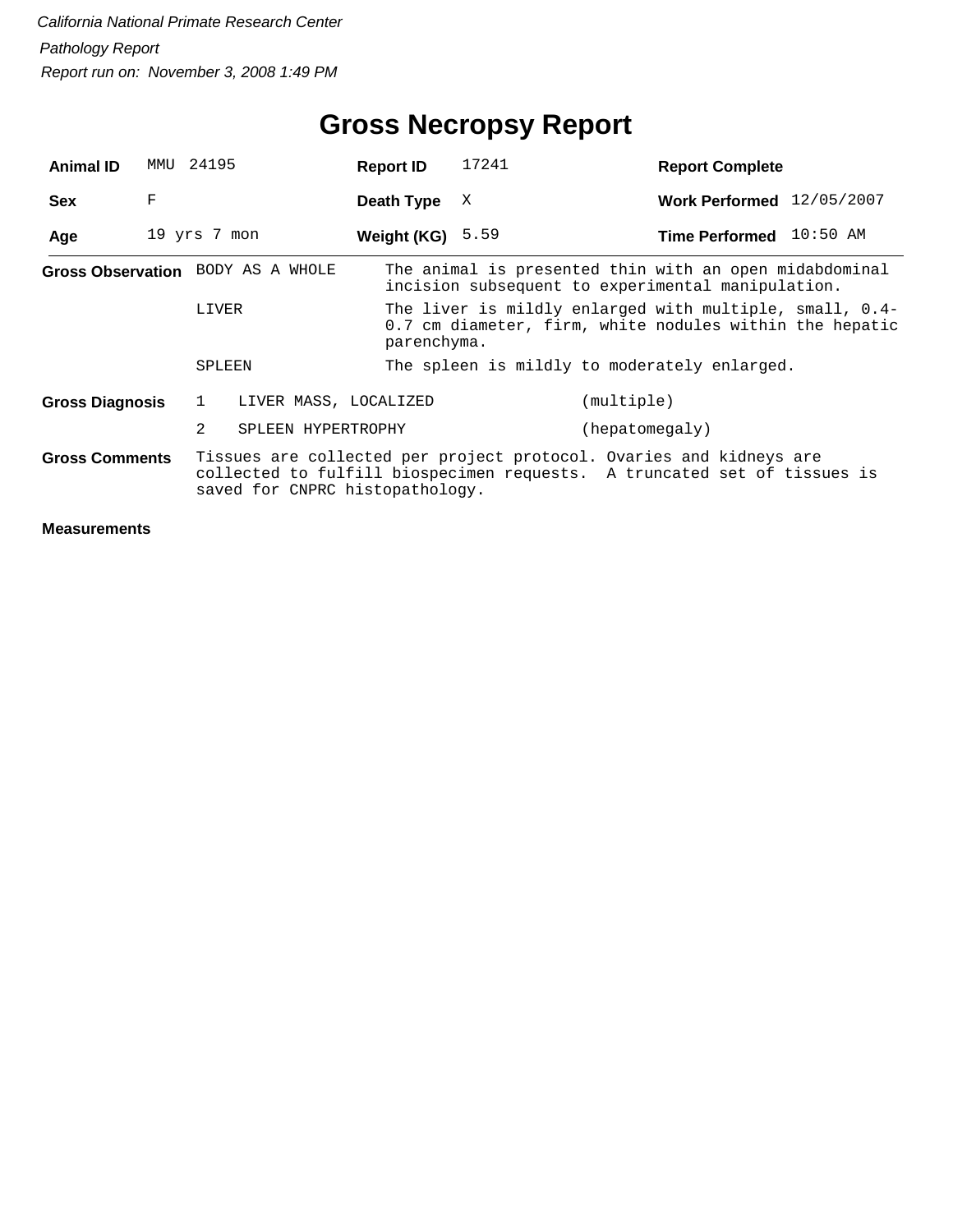## **Gross Necropsy Report**

| <b>Animal ID</b>      | MMU          | 24195          |                                   | <b>Report ID</b>   |             | 17241 |                | <b>Report Complete</b>                                                                                                                          |  |
|-----------------------|--------------|----------------|-----------------------------------|--------------------|-------------|-------|----------------|-------------------------------------------------------------------------------------------------------------------------------------------------|--|
| <b>Sex</b>            | F            |                |                                   | Death Type         |             | X     |                | Work Performed 12/05/2007                                                                                                                       |  |
| Age                   | 19 yrs 7 mon |                |                                   | Weight (KG) $5.59$ |             |       |                | Time Performed 10:50 AM                                                                                                                         |  |
|                       |              |                | Gross Observation BODY AS A WHOLE |                    |             |       |                | The animal is presented thin with an open midabdominal<br>incision subsequent to experimental manipulation.                                     |  |
|                       |              | LIVER          |                                   |                    | parenchyma. |       |                | The liver is mildly enlarged with multiple, small, 0.4-<br>0.7 cm diameter, firm, white nodules within the hepatic                              |  |
|                       |              | SPLEEN         |                                   |                    |             |       |                | The spleen is mildly to moderately enlarged.                                                                                                    |  |
| Gross Diagnosis       |              | 1              | LIVER MASS, LOCALIZED             |                    |             |       | (multiple)     |                                                                                                                                                 |  |
|                       |              | $\mathfrak{D}$ | SPLEEN HYPERTROPHY                |                    |             |       | (hepatomeqaly) |                                                                                                                                                 |  |
| <b>Gross Comments</b> |              |                | saved for CNPRC histopathology.   |                    |             |       |                | Tissues are collected per project protocol. Ovaries and kidneys are<br>collected to fulfill biospecimen requests. A truncated set of tissues is |  |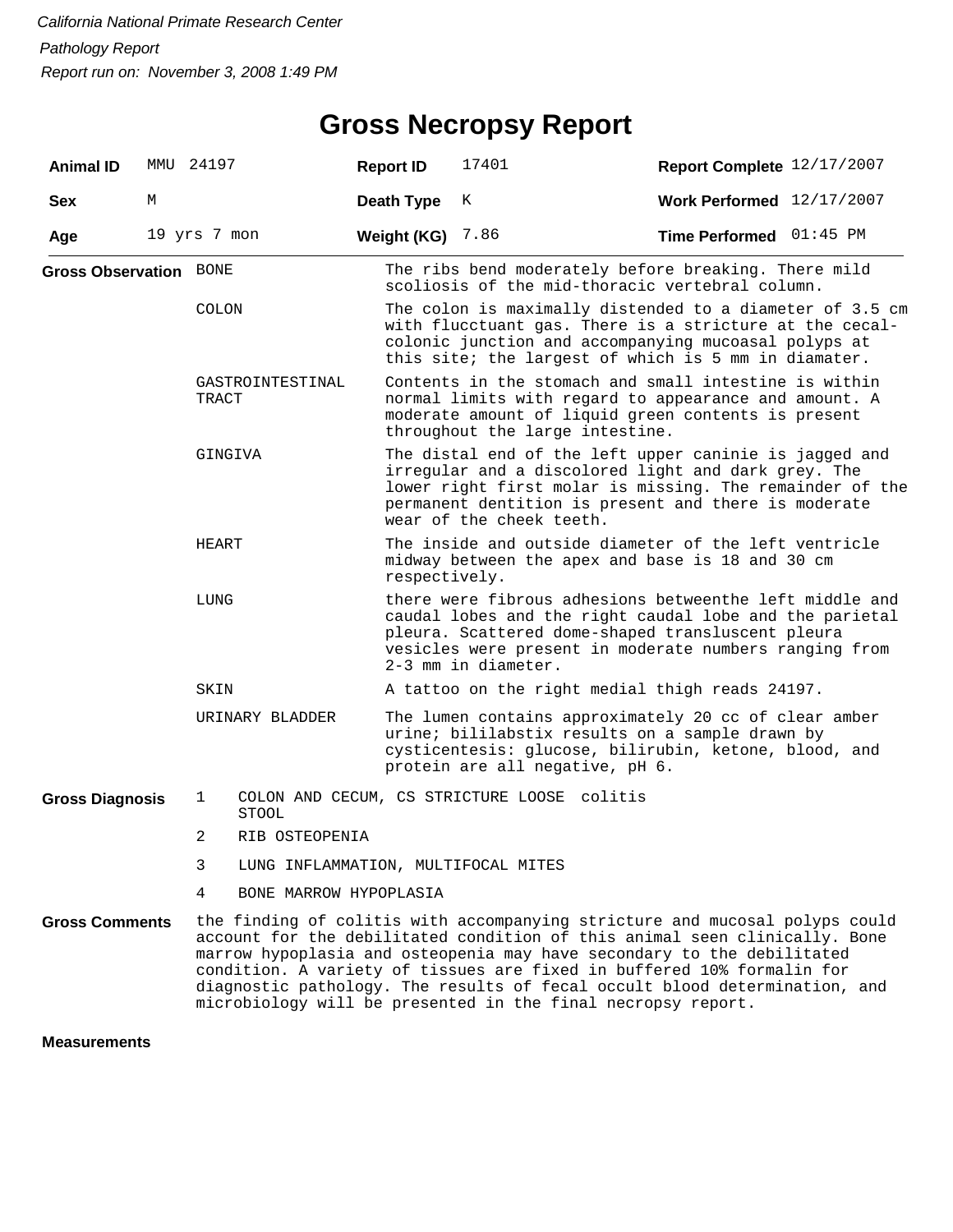## **Gross Necropsy Report**

| <b>Animal ID</b>              |   | MMU 24197    |                                     | <b>Report ID</b>   | 17401                                                                                                                                                                                                                                                                                                                                                                                                                                                       | Report Complete 12/17/2007 |  |  |  |  |
|-------------------------------|---|--------------|-------------------------------------|--------------------|-------------------------------------------------------------------------------------------------------------------------------------------------------------------------------------------------------------------------------------------------------------------------------------------------------------------------------------------------------------------------------------------------------------------------------------------------------------|----------------------------|--|--|--|--|
| <b>Sex</b>                    | М |              |                                     | Death Type         | K                                                                                                                                                                                                                                                                                                                                                                                                                                                           | Work Performed 12/17/2007  |  |  |  |  |
| Age                           |   | 19 yrs 7 mon |                                     | <b>Weight (KG)</b> | 7.86                                                                                                                                                                                                                                                                                                                                                                                                                                                        | Time Performed 01:45 PM    |  |  |  |  |
| <b>Gross Observation BONE</b> |   |              |                                     |                    | The ribs bend moderately before breaking. There mild<br>scoliosis of the mid-thoracic vertebral column.                                                                                                                                                                                                                                                                                                                                                     |                            |  |  |  |  |
|                               |   | <b>COLON</b> |                                     |                    | The colon is maximally distended to a diameter of 3.5 cm<br>with flucctuant gas. There is a stricture at the cecal-<br>colonic junction and accompanying mucoasal polyps at<br>this site; the largest of which is 5 mm in diamater.                                                                                                                                                                                                                         |                            |  |  |  |  |
|                               |   | TRACT        | GASTROINTESTINAL                    |                    | Contents in the stomach and small intestine is within<br>normal limits with regard to appearance and amount. A<br>moderate amount of liquid green contents is present<br>throughout the large intestine.                                                                                                                                                                                                                                                    |                            |  |  |  |  |
|                               |   | GINGIVA      |                                     |                    | The distal end of the left upper caninie is jagged and<br>irregular and a discolored light and dark grey. The<br>lower right first molar is missing. The remainder of the<br>permanent dentition is present and there is moderate<br>wear of the cheek teeth.                                                                                                                                                                                               |                            |  |  |  |  |
|                               |   | HEART        |                                     |                    | The inside and outside diameter of the left ventricle<br>midway between the apex and base is 18 and 30 cm<br>respectively.                                                                                                                                                                                                                                                                                                                                  |                            |  |  |  |  |
|                               |   | LUNG         |                                     |                    | there were fibrous adhesions betweenthe left middle and<br>caudal lobes and the right caudal lobe and the parietal<br>pleura. Scattered dome-shaped transluscent pleura<br>vesicles were present in moderate numbers ranging from<br>2-3 mm in diameter.                                                                                                                                                                                                    |                            |  |  |  |  |
|                               |   | SKIN         |                                     |                    | A tattoo on the right medial thigh reads 24197.                                                                                                                                                                                                                                                                                                                                                                                                             |                            |  |  |  |  |
|                               |   |              | URINARY BLADDER                     |                    | The lumen contains approximately 20 cc of clear amber<br>urine; bililabstix results on a sample drawn by<br>cysticentesis: glucose, bilirubin, ketone, blood, and<br>protein are all negative, pH 6.                                                                                                                                                                                                                                                        |                            |  |  |  |  |
| <b>Gross Diagnosis</b>        |   | 1            | <b>STOOL</b>                        |                    | COLON AND CECUM, CS STRICTURE LOOSE colitis                                                                                                                                                                                                                                                                                                                                                                                                                 |                            |  |  |  |  |
|                               |   | 2            | RIB OSTEOPENIA                      |                    |                                                                                                                                                                                                                                                                                                                                                                                                                                                             |                            |  |  |  |  |
|                               |   | 3            | LUNG INFLAMMATION, MULTIFOCAL MITES |                    |                                                                                                                                                                                                                                                                                                                                                                                                                                                             |                            |  |  |  |  |
|                               |   | 4            | BONE MARROW HYPOPLASIA              |                    |                                                                                                                                                                                                                                                                                                                                                                                                                                                             |                            |  |  |  |  |
| <b>Gross Comments</b>         |   |              |                                     |                    | the finding of colitis with accompanying stricture and mucosal polyps could<br>account for the debilitated condition of this animal seen clinically. Bone<br>marrow hypoplasia and osteopenia may have secondary to the debilitated<br>condition. A variety of tissues are fixed in buffered 10% formalin for<br>diagnostic pathology. The results of fecal occult blood determination, and<br>microbiology will be presented in the final necropsy report. |                            |  |  |  |  |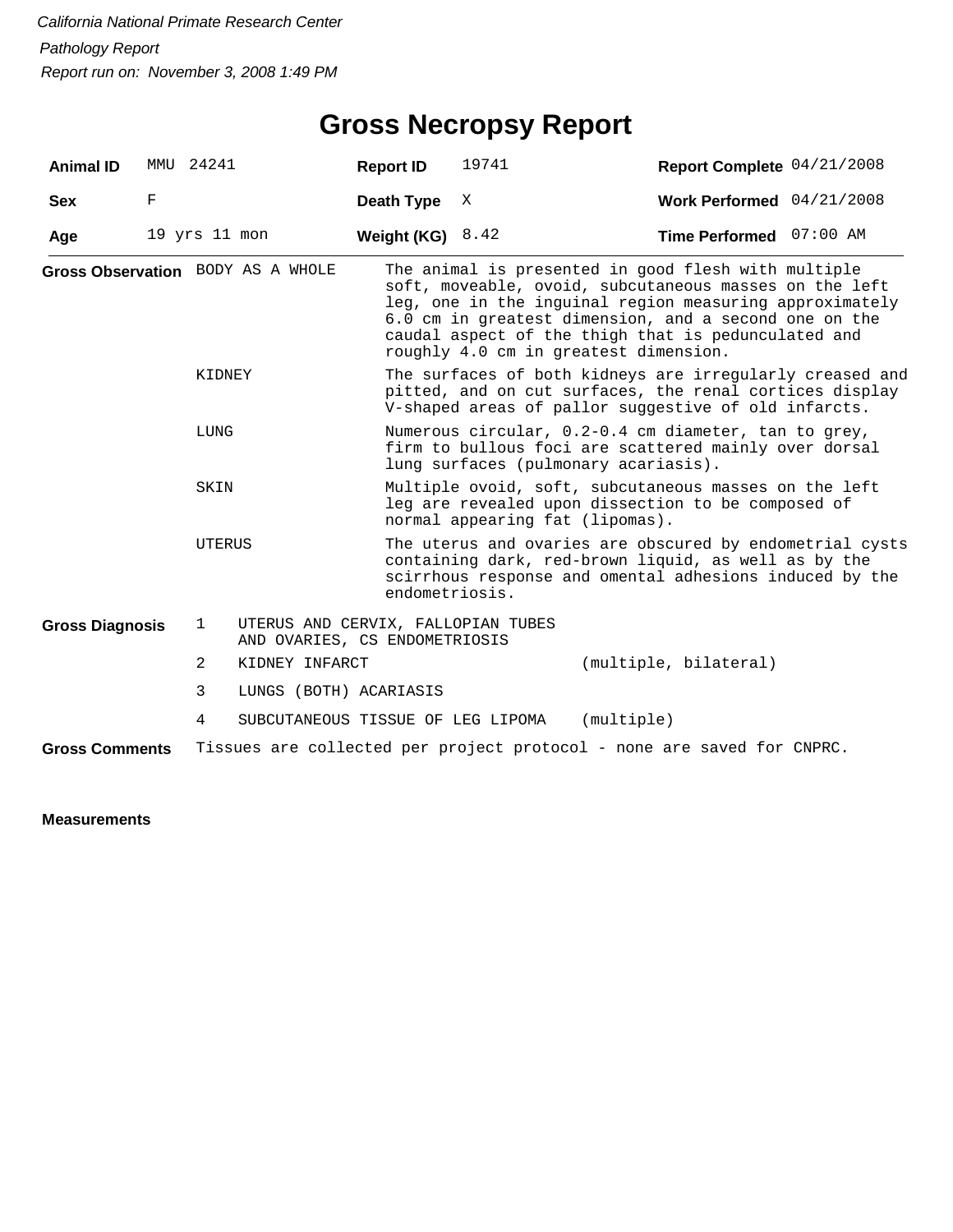## **Gross Necropsy Report**

| <b>Animal ID</b>       |   | MMU 24241         |                                                                     | <b>Report ID</b>                                                                                                                                      | 19741                                                                                                                                                                                         | Report Complete 04/21/2008                                                                                                                                                                                                                                                                                                        |  |  |  |
|------------------------|---|-------------------|---------------------------------------------------------------------|-------------------------------------------------------------------------------------------------------------------------------------------------------|-----------------------------------------------------------------------------------------------------------------------------------------------------------------------------------------------|-----------------------------------------------------------------------------------------------------------------------------------------------------------------------------------------------------------------------------------------------------------------------------------------------------------------------------------|--|--|--|
| <b>Sex</b>             | F |                   |                                                                     | Death Type                                                                                                                                            | Χ                                                                                                                                                                                             | Work Performed 04/21/2008                                                                                                                                                                                                                                                                                                         |  |  |  |
| Age                    |   | $19$ yrs $11$ mon |                                                                     | Weight (KG)                                                                                                                                           | 8.42                                                                                                                                                                                          | Time Performed 07:00 AM                                                                                                                                                                                                                                                                                                           |  |  |  |
|                        |   |                   | Gross Observation BODY AS A WHOLE                                   |                                                                                                                                                       |                                                                                                                                                                                               | The animal is presented in good flesh with multiple<br>soft, moveable, ovoid, subcutaneous masses on the left<br>leg, one in the inguinal region measuring approximately<br>6.0 cm in greatest dimension, and a second one on the<br>caudal aspect of the thigh that is pedunculated and<br>roughly 4.0 cm in greatest dimension. |  |  |  |
|                        |   | KIDNEY            |                                                                     |                                                                                                                                                       |                                                                                                                                                                                               | The surfaces of both kidneys are irregularly creased and<br>pitted, and on cut surfaces, the renal cortices display<br>V-shaped areas of pallor suggestive of old infarcts.                                                                                                                                                       |  |  |  |
|                        |   | LUNG              |                                                                     | Numerous circular, 0.2-0.4 cm diameter, tan to grey,<br>firm to bullous foci are scattered mainly over dorsal<br>lung surfaces (pulmonary acariasis). |                                                                                                                                                                                               |                                                                                                                                                                                                                                                                                                                                   |  |  |  |
|                        |   | SKIN              |                                                                     | Multiple ovoid, soft, subcutaneous masses on the left<br>leg are revealed upon dissection to be composed of<br>normal appearing fat (lipomas).        |                                                                                                                                                                                               |                                                                                                                                                                                                                                                                                                                                   |  |  |  |
|                        |   | UTERUS            |                                                                     |                                                                                                                                                       | The uterus and ovaries are obscured by endometrial cysts<br>containing dark, red-brown liquid, as well as by the<br>scirrhous response and omental adhesions induced by the<br>endometriosis. |                                                                                                                                                                                                                                                                                                                                   |  |  |  |
| <b>Gross Diagnosis</b> |   | $\mathbf{1}$      | UTERUS AND CERVIX, FALLOPIAN TUBES<br>AND OVARIES, CS ENDOMETRIOSIS |                                                                                                                                                       |                                                                                                                                                                                               |                                                                                                                                                                                                                                                                                                                                   |  |  |  |
|                        |   | 2                 | KIDNEY INFARCT                                                      |                                                                                                                                                       |                                                                                                                                                                                               | (multiple, bilateral)                                                                                                                                                                                                                                                                                                             |  |  |  |
|                        |   | 3                 | LUNGS (BOTH) ACARIASIS                                              |                                                                                                                                                       |                                                                                                                                                                                               |                                                                                                                                                                                                                                                                                                                                   |  |  |  |
|                        |   | 4                 | SUBCUTANEOUS TISSUE OF LEG LIPOMA                                   |                                                                                                                                                       |                                                                                                                                                                                               | (multiple)                                                                                                                                                                                                                                                                                                                        |  |  |  |
| <b>Gross Comments</b>  |   |                   |                                                                     |                                                                                                                                                       |                                                                                                                                                                                               | Tissues are collected per project protocol - none are saved for CNPRC.                                                                                                                                                                                                                                                            |  |  |  |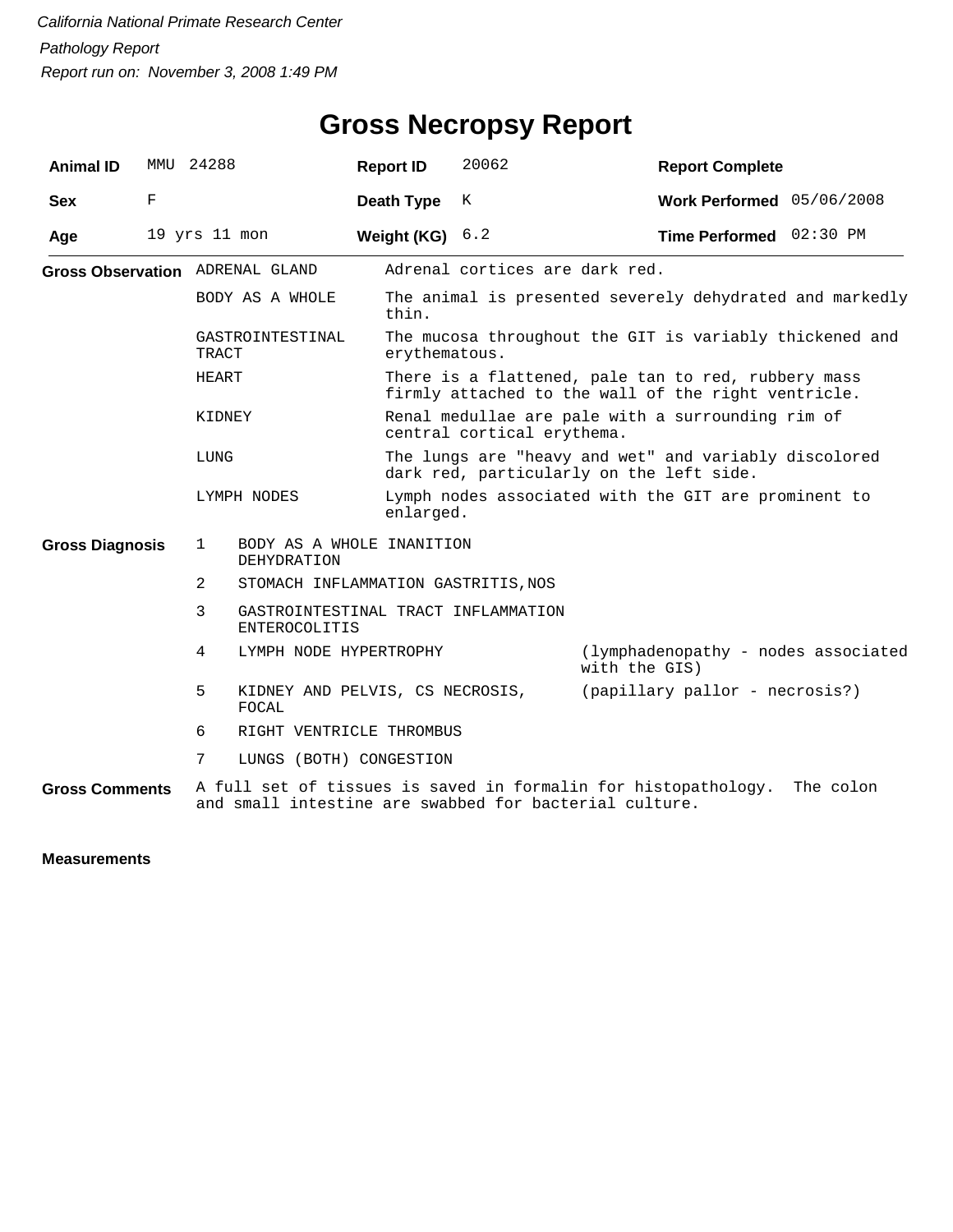| <b>Animal ID</b>                       | MMU | 24288                                                           |                                                        |  | <b>Report ID</b>                                                                                           | 20062                                    |               | <b>Report Complete</b>                                         |           |
|----------------------------------------|-----|-----------------------------------------------------------------|--------------------------------------------------------|--|------------------------------------------------------------------------------------------------------------|------------------------------------------|---------------|----------------------------------------------------------------|-----------|
| <b>Sex</b>                             | F   |                                                                 |                                                        |  | Death Type                                                                                                 | K                                        |               | Work Performed 05/06/2008                                      |           |
| Age                                    |     | 19 yrs 11 mon                                                   |                                                        |  | Weight (KG)                                                                                                | 6.2                                      |               | Time Performed 02:30 PM                                        |           |
| <b>Gross Observation</b> ADRENAL GLAND |     |                                                                 |                                                        |  |                                                                                                            | Adrenal cortices are dark red.           |               |                                                                |           |
|                                        |     | BODY AS A WHOLE                                                 |                                                        |  | The animal is presented severely dehydrated and markedly<br>thin.                                          |                                          |               |                                                                |           |
|                                        |     | GASTROINTESTINAL<br>TRACT                                       |                                                        |  | The mucosa throughout the GIT is variably thickened and<br>erythematous.                                   |                                          |               |                                                                |           |
|                                        |     | HEART                                                           |                                                        |  | There is a flattened, pale tan to red, rubbery mass<br>firmly attached to the wall of the right ventricle. |                                          |               |                                                                |           |
|                                        |     | KIDNEY<br>LUNG                                                  |                                                        |  | Renal medullae are pale with a surrounding rim of<br>central cortical erythema.                            |                                          |               |                                                                |           |
|                                        |     |                                                                 |                                                        |  |                                                                                                            | dark red, particularly on the left side. |               | The lungs are "heavy and wet" and variably discolored          |           |
|                                        |     | LYMPH NODES                                                     |                                                        |  | enlarged.                                                                                                  |                                          |               | Lymph nodes associated with the GIT are prominent to           |           |
| <b>Gross Diagnosis</b>                 |     | BODY AS A WHOLE INANITION<br>$\mathbf{1}$<br><b>DEHYDRATION</b> |                                                        |  |                                                                                                            |                                          |               |                                                                |           |
|                                        |     | $\overline{2}$                                                  | STOMACH INFLAMMATION GASTRITIS, NOS                    |  |                                                                                                            |                                          |               |                                                                |           |
|                                        |     | 3                                                               | <b>ENTEROCOLITIS</b>                                   |  | GASTROINTESTINAL TRACT INFLAMMATION                                                                        |                                          |               |                                                                |           |
|                                        |     | 4                                                               | LYMPH NODE HYPERTROPHY                                 |  |                                                                                                            |                                          | with the GIS) | (lymphadenopathy - nodes associated                            |           |
|                                        |     | 5                                                               | KIDNEY AND PELVIS, CS NECROSIS,<br>FOCAL               |  |                                                                                                            |                                          |               | (papillary pallor - necrosis?)                                 |           |
|                                        |     | 6                                                               | RIGHT VENTRICLE THROMBUS                               |  |                                                                                                            |                                          |               |                                                                |           |
|                                        |     | 7                                                               | LUNGS (BOTH) CONGESTION                                |  |                                                                                                            |                                          |               |                                                                |           |
| <b>Gross Comments</b>                  |     |                                                                 | and small intestine are swabbed for bacterial culture. |  |                                                                                                            |                                          |               | A full set of tissues is saved in formalin for histopathology. | The colon |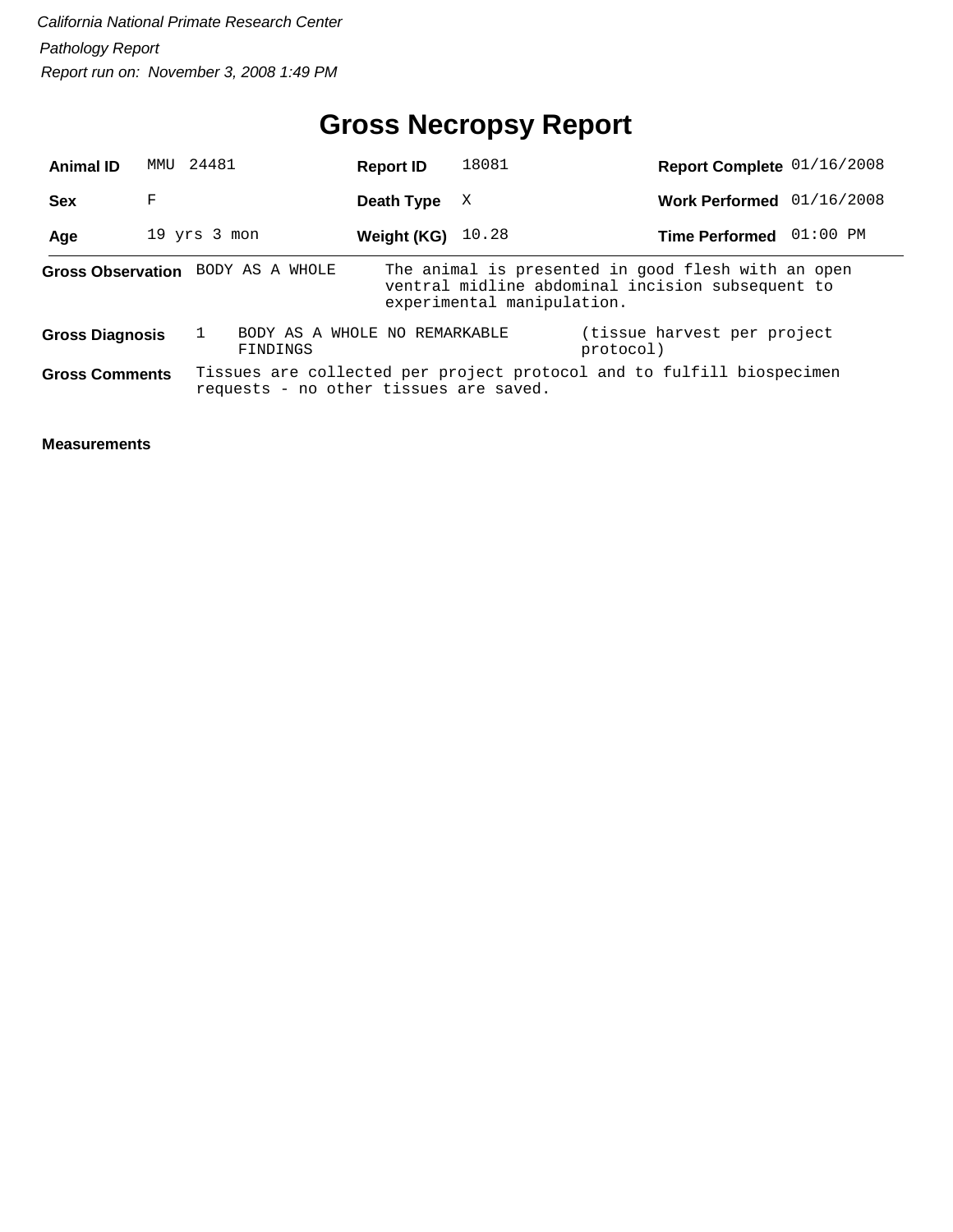## **Gross Necropsy Report**

| <b>Animal ID</b>       | MMU | 24481                                     | <b>Report ID</b> | 18081                      | Report Complete 01/16/2008                                                                             |  |
|------------------------|-----|-------------------------------------------|------------------|----------------------------|--------------------------------------------------------------------------------------------------------|--|
| <b>Sex</b>             | F   |                                           | Death Type       | X                          | Work Performed 01/16/2008                                                                              |  |
| Age                    |     | 19 yrs 3 mon                              | Weight (KG)      | 10.28                      | Time Performed 01:00 PM                                                                                |  |
|                        |     | Gross Observation BODY AS A WHOLE         |                  | experimental manipulation. | The animal is presented in good flesh with an open<br>ventral midline abdominal incision subsequent to |  |
| <b>Gross Diagnosis</b> |     | BODY AS A WHOLE NO REMARKABLE<br>FINDINGS |                  |                            | (tissue harvest per project)<br>protocol)                                                              |  |
| <b>Gross Comments</b>  |     | requests - no other tissues are saved.    |                  |                            | Tissues are collected per project protocol and to fulfill biospecimen                                  |  |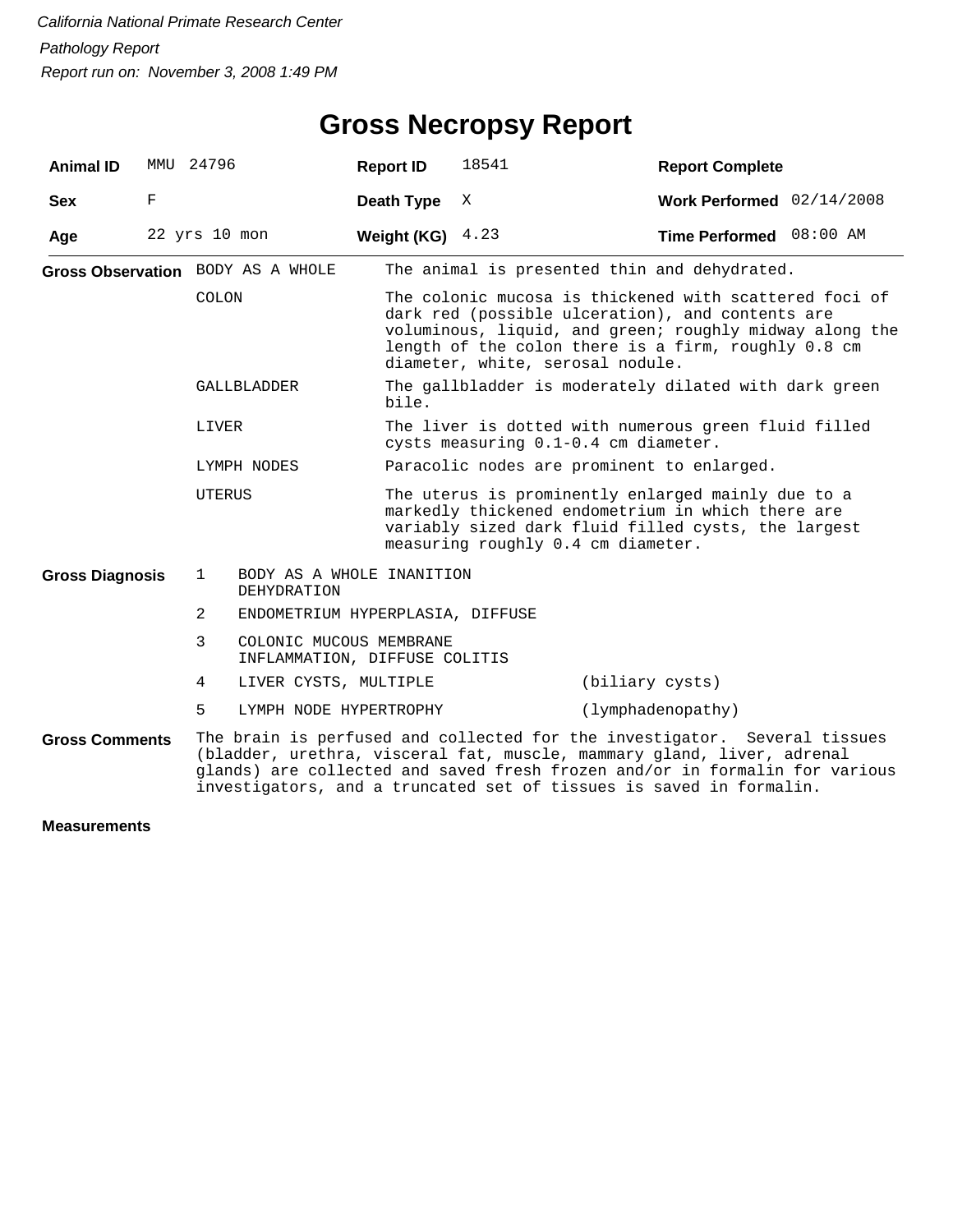| <b>Animal ID</b>                                                                                                                                                                                                                                                                                                                   | MMU           | 24796                                         |                                                          | <b>Report ID</b>   | 18541                                                                                                                                                                                                                                                            | <b>Report Complete</b>    |  |  |  |
|------------------------------------------------------------------------------------------------------------------------------------------------------------------------------------------------------------------------------------------------------------------------------------------------------------------------------------|---------------|-----------------------------------------------|----------------------------------------------------------|--------------------|------------------------------------------------------------------------------------------------------------------------------------------------------------------------------------------------------------------------------------------------------------------|---------------------------|--|--|--|
| <b>Sex</b>                                                                                                                                                                                                                                                                                                                         | F             |                                               |                                                          | Death Type         | X                                                                                                                                                                                                                                                                | Work Performed 02/14/2008 |  |  |  |
| Age                                                                                                                                                                                                                                                                                                                                | 22 yrs 10 mon |                                               |                                                          | Weight (KG) $4.23$ |                                                                                                                                                                                                                                                                  | Time Performed 08:00 AM   |  |  |  |
|                                                                                                                                                                                                                                                                                                                                    |               |                                               | Gross Observation BODY AS A WHOLE                        |                    | The animal is presented thin and dehydrated.                                                                                                                                                                                                                     |                           |  |  |  |
|                                                                                                                                                                                                                                                                                                                                    |               | COLON                                         |                                                          |                    | The colonic mucosa is thickened with scattered foci of<br>dark red (possible ulceration), and contents are<br>voluminous, liquid, and green; roughly midway along the<br>length of the colon there is a firm, roughly 0.8 cm<br>diameter, white, serosal nodule. |                           |  |  |  |
|                                                                                                                                                                                                                                                                                                                                    |               |                                               | <b>GALLBLADDER</b>                                       | bile.              | The gallbladder is moderately dilated with dark green                                                                                                                                                                                                            |                           |  |  |  |
|                                                                                                                                                                                                                                                                                                                                    |               | LIVER                                         |                                                          |                    | The liver is dotted with numerous green fluid filled<br>cysts measuring 0.1-0.4 cm diameter.                                                                                                                                                                     |                           |  |  |  |
|                                                                                                                                                                                                                                                                                                                                    |               |                                               | LYMPH NODES                                              |                    | Paracolic nodes are prominent to enlarged.                                                                                                                                                                                                                       |                           |  |  |  |
|                                                                                                                                                                                                                                                                                                                                    |               | UTERUS                                        |                                                          |                    | The uterus is prominently enlarged mainly due to a<br>markedly thickened endometrium in which there are<br>variably sized dark fluid filled cysts, the largest<br>measuring roughly 0.4 cm diameter.                                                             |                           |  |  |  |
| <b>Gross Diagnosis</b>                                                                                                                                                                                                                                                                                                             |               | 1<br>BODY AS A WHOLE INANITION<br>DEHYDRATION |                                                          |                    |                                                                                                                                                                                                                                                                  |                           |  |  |  |
|                                                                                                                                                                                                                                                                                                                                    |               | 2                                             | ENDOMETRIUM HYPERPLASIA, DIFFUSE                         |                    |                                                                                                                                                                                                                                                                  |                           |  |  |  |
|                                                                                                                                                                                                                                                                                                                                    |               | 3                                             | COLONIC MUCOUS MEMBRANE<br>INFLAMMATION, DIFFUSE COLITIS |                    |                                                                                                                                                                                                                                                                  |                           |  |  |  |
|                                                                                                                                                                                                                                                                                                                                    |               | 4                                             | LIVER CYSTS, MULTIPLE                                    |                    |                                                                                                                                                                                                                                                                  | (biliary cysts)           |  |  |  |
|                                                                                                                                                                                                                                                                                                                                    |               | 5                                             | LYMPH NODE HYPERTROPHY                                   |                    |                                                                                                                                                                                                                                                                  | (lymphadenopathy)         |  |  |  |
| The brain is perfused and collected for the investigator. Several tissues<br><b>Gross Comments</b><br>(bladder, urethra, visceral fat, muscle, mammary gland, liver, adrenal<br>glands) are collected and saved fresh frozen and/or in formalin for various<br>investigators, and a truncated set of tissues is saved in formalin. |               |                                               |                                                          |                    |                                                                                                                                                                                                                                                                  |                           |  |  |  |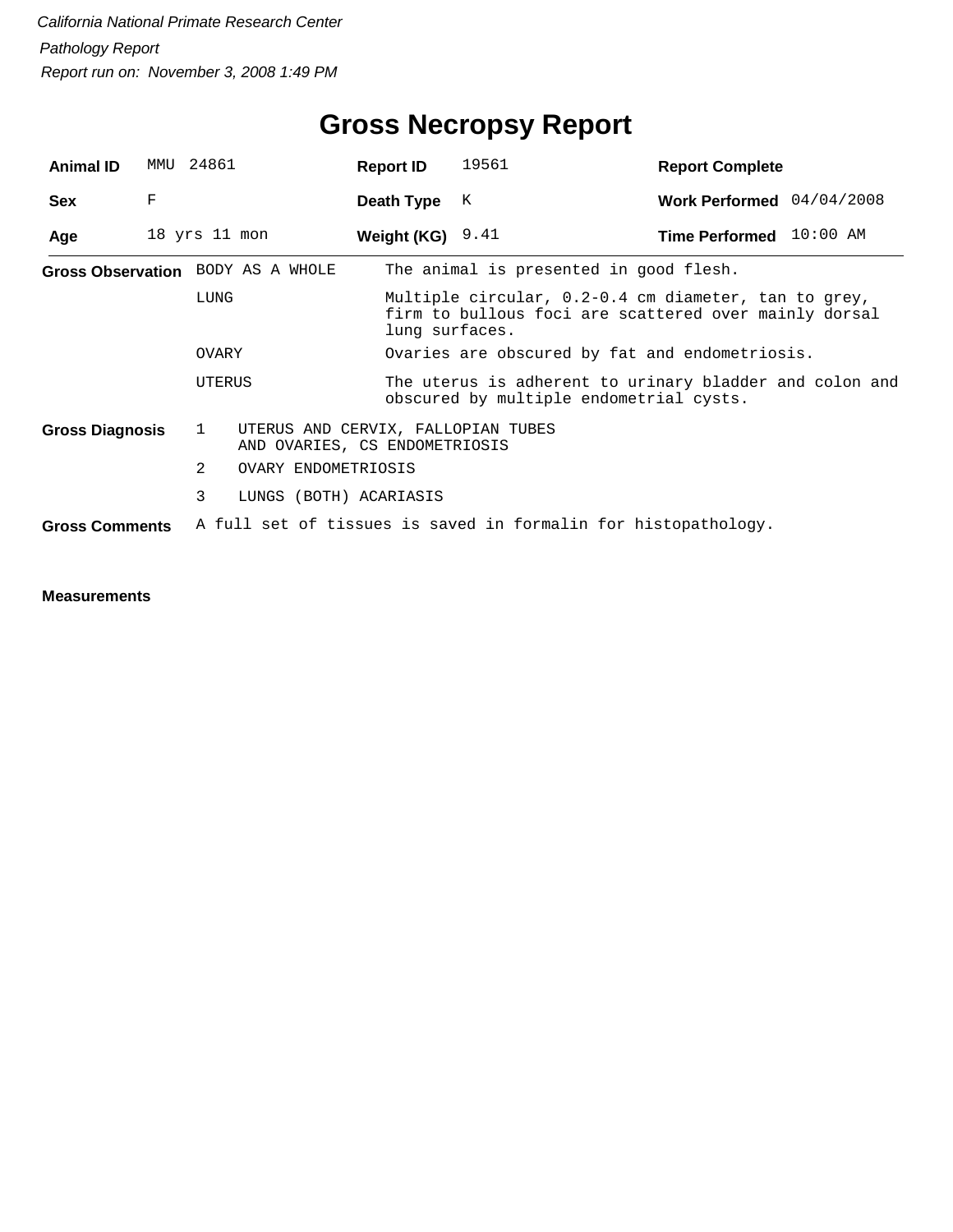| <b>Animal ID</b>       | MMU | 24861         |                                                                     | <b>Report ID</b>   | 19561                                                                                                         | <b>Report Complete</b>    |  |  |
|------------------------|-----|---------------|---------------------------------------------------------------------|--------------------|---------------------------------------------------------------------------------------------------------------|---------------------------|--|--|
| <b>Sex</b>             | F   |               |                                                                     | Death Type         | К                                                                                                             | Work Performed 04/04/2008 |  |  |
| Age                    |     | 18 yrs 11 mon |                                                                     | Weight (KG) $9.41$ |                                                                                                               | Time Performed 10:00 AM   |  |  |
|                        |     |               | Gross Observation BODY AS A WHOLE                                   |                    | The animal is presented in good flesh.                                                                        |                           |  |  |
|                        |     | LUNG          |                                                                     | lung surfaces.     | Multiple circular, 0.2-0.4 cm diameter, tan to grey,<br>firm to bullous foci are scattered over mainly dorsal |                           |  |  |
|                        |     | OVARY         |                                                                     |                    | Ovaries are obscured by fat and endometriosis.                                                                |                           |  |  |
|                        |     | UTERUS        |                                                                     |                    | The uterus is adherent to urinary bladder and colon and<br>obscured by multiple endometrial cysts.            |                           |  |  |
| <b>Gross Diagnosis</b> |     | $\mathbf{1}$  | UTERUS AND CERVIX, FALLOPIAN TUBES<br>AND OVARIES, CS ENDOMETRIOSIS |                    |                                                                                                               |                           |  |  |
|                        |     | 2             | OVARY ENDOMETRIOSIS                                                 |                    |                                                                                                               |                           |  |  |
|                        |     | 3             | LUNGS (BOTH) ACARIASIS                                              |                    |                                                                                                               |                           |  |  |
| <b>Gross Comments</b>  |     |               |                                                                     |                    | A full set of tissues is saved in formalin for histopathology.                                                |                           |  |  |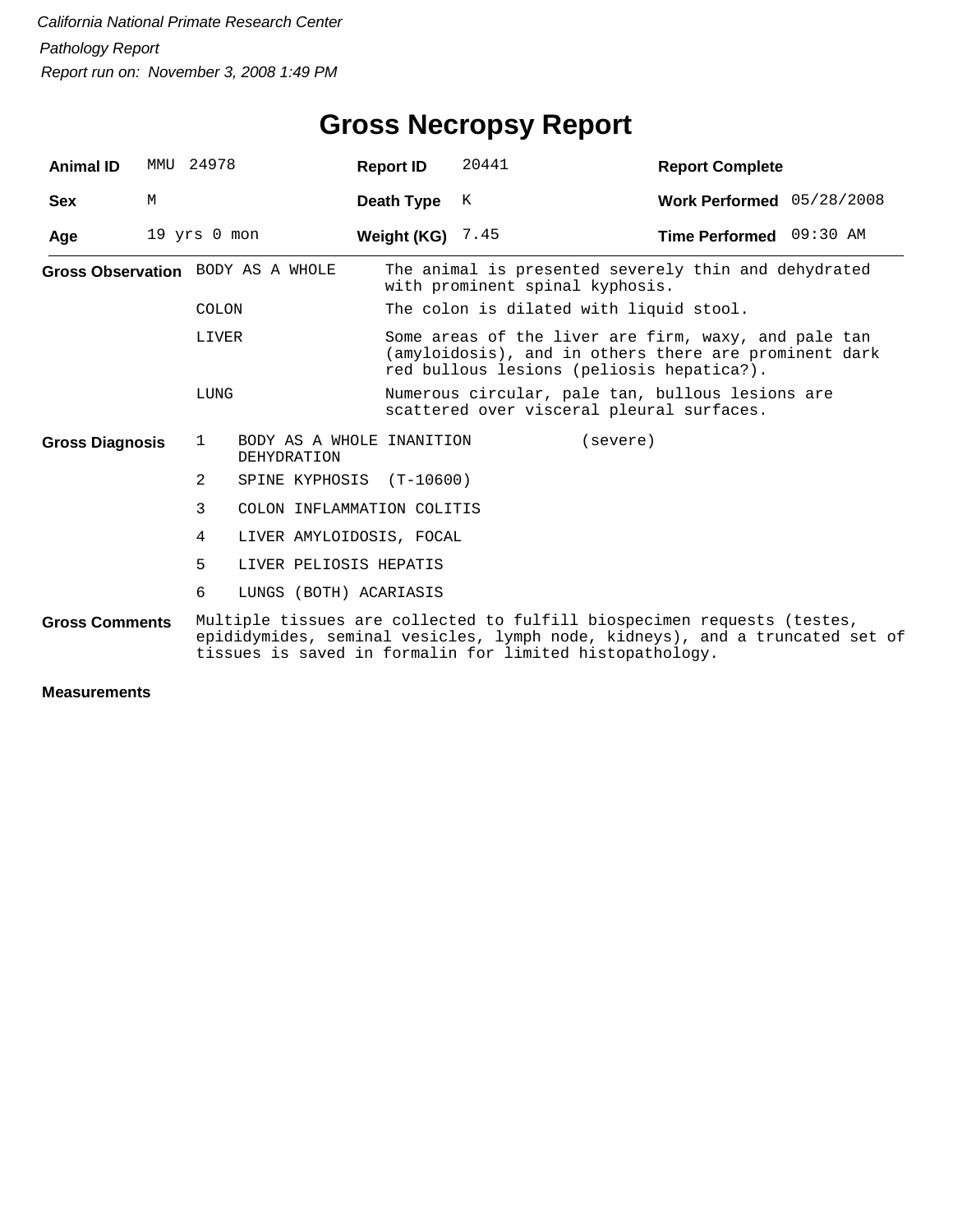| <b>Animal ID</b>       | MMU 24978    |              |                                                 | <b>Report ID</b>   | 20441                                                                                                                                                      | <b>Report Complete</b>                                                                                                                                                                                              |                           |  |  |
|------------------------|--------------|--------------|-------------------------------------------------|--------------------|------------------------------------------------------------------------------------------------------------------------------------------------------------|---------------------------------------------------------------------------------------------------------------------------------------------------------------------------------------------------------------------|---------------------------|--|--|
| <b>Sex</b>             | M            |              |                                                 | Death Type         | K                                                                                                                                                          |                                                                                                                                                                                                                     | Work Performed 05/28/2008 |  |  |
| Age                    | 19 yrs 0 mon |              |                                                 | Weight (KG) $7.45$ |                                                                                                                                                            |                                                                                                                                                                                                                     | Time Performed 09:30 AM   |  |  |
|                        |              |              | Gross Observation BODY AS A WHOLE               |                    | The animal is presented severely thin and dehydrated<br>with prominent spinal kyphosis.                                                                    |                                                                                                                                                                                                                     |                           |  |  |
|                        |              | <b>COLON</b> |                                                 |                    |                                                                                                                                                            | The colon is dilated with liquid stool.                                                                                                                                                                             |                           |  |  |
|                        |              | LIVER        |                                                 |                    | Some areas of the liver are firm, waxy, and pale tan<br>(amyloidosis), and in others there are prominent dark<br>red bullous lesions (peliosis hepatica?). |                                                                                                                                                                                                                     |                           |  |  |
|                        |              | LUNG         |                                                 |                    |                                                                                                                                                            | Numerous circular, pale tan, bullous lesions are<br>scattered over visceral pleural surfaces.                                                                                                                       |                           |  |  |
| <b>Gross Diagnosis</b> |              | 1            | BODY AS A WHOLE INANITION<br><b>DEHYDRATION</b> |                    |                                                                                                                                                            | (severe)                                                                                                                                                                                                            |                           |  |  |
|                        |              | 2            | SPINE KYPHOSIS (T-10600)                        |                    |                                                                                                                                                            |                                                                                                                                                                                                                     |                           |  |  |
|                        |              | 3            | COLON INFLAMMATION COLITIS                      |                    |                                                                                                                                                            |                                                                                                                                                                                                                     |                           |  |  |
|                        |              | 4            | LIVER AMYLOIDOSIS, FOCAL                        |                    |                                                                                                                                                            |                                                                                                                                                                                                                     |                           |  |  |
|                        |              | 5            | LIVER PELIOSIS HEPATIS                          |                    |                                                                                                                                                            |                                                                                                                                                                                                                     |                           |  |  |
|                        |              | 6            | LUNGS (BOTH) ACARIASIS                          |                    |                                                                                                                                                            |                                                                                                                                                                                                                     |                           |  |  |
| <b>Gross Comments</b>  |              |              |                                                 |                    |                                                                                                                                                            | Multiple tissues are collected to fulfill biospecimen requests (testes,<br>epididymides, seminal vesicles, lymph node, kidneys), and a truncated set of<br>tissues is saved in formalin for limited histopathology. |                           |  |  |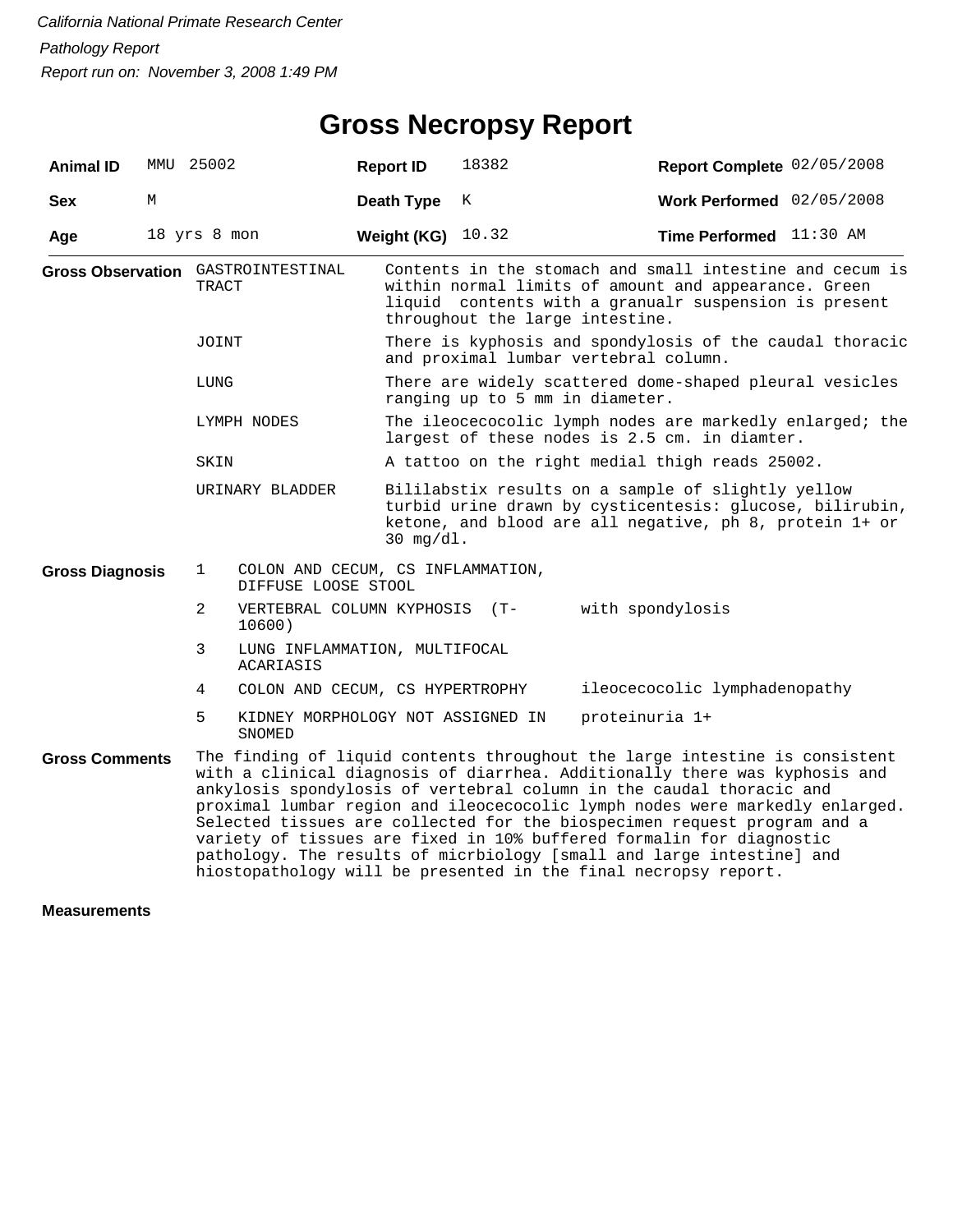| <b>Animal ID</b>       | MMU 25002    |                                                 |                                                          | <b>Report ID</b>  | 18382                                                                                                                                                                                             | Report Complete 02/05/2008                                                                                                                                                                                                                                                                                                                                                                                                                                                                                                                                                                                        |  |  |  |
|------------------------|--------------|-------------------------------------------------|----------------------------------------------------------|-------------------|---------------------------------------------------------------------------------------------------------------------------------------------------------------------------------------------------|-------------------------------------------------------------------------------------------------------------------------------------------------------------------------------------------------------------------------------------------------------------------------------------------------------------------------------------------------------------------------------------------------------------------------------------------------------------------------------------------------------------------------------------------------------------------------------------------------------------------|--|--|--|
| <b>Sex</b>             | М            |                                                 |                                                          | <b>Death Type</b> | Κ                                                                                                                                                                                                 | Work Performed $02/05/2008$                                                                                                                                                                                                                                                                                                                                                                                                                                                                                                                                                                                       |  |  |  |
| Age                    | 18 yrs 8 mon |                                                 |                                                          | Weight (KG)       | 10.32                                                                                                                                                                                             | Time Performed 11:30 AM                                                                                                                                                                                                                                                                                                                                                                                                                                                                                                                                                                                           |  |  |  |
|                        |              | TRACT                                           | <b>Gross Observation</b> GASTROINTESTINAL                |                   | throughout the large intestine.                                                                                                                                                                   | Contents in the stomach and small intestine and cecum is<br>within normal limits of amount and appearance. Green<br>liquid contents with a granualr suspension is present                                                                                                                                                                                                                                                                                                                                                                                                                                         |  |  |  |
|                        |              | JOINT                                           |                                                          |                   | There is kyphosis and spondylosis of the caudal thoracic<br>and proximal lumbar vertebral column.                                                                                                 |                                                                                                                                                                                                                                                                                                                                                                                                                                                                                                                                                                                                                   |  |  |  |
|                        |              | LUNG<br>LYMPH NODES<br>SKIN                     |                                                          |                   | There are widely scattered dome-shaped pleural vesicles<br>ranging up to 5 mm in diameter.                                                                                                        |                                                                                                                                                                                                                                                                                                                                                                                                                                                                                                                                                                                                                   |  |  |  |
|                        |              |                                                 |                                                          |                   | The ileocecocolic lymph nodes are markedly enlarged; the<br>largest of these nodes is 2.5 cm. in diamter.                                                                                         |                                                                                                                                                                                                                                                                                                                                                                                                                                                                                                                                                                                                                   |  |  |  |
|                        |              |                                                 |                                                          |                   |                                                                                                                                                                                                   | A tattoo on the right medial thigh reads 25002.                                                                                                                                                                                                                                                                                                                                                                                                                                                                                                                                                                   |  |  |  |
|                        |              | URINARY BLADDER                                 |                                                          |                   | Bililabstix results on a sample of slightly yellow<br>turbid urine drawn by cysticentesis: glucose, bilirubin,<br>ketone, and blood are all negative, ph 8, protein 1+ or<br>$30 \text{ mg/dl}$ . |                                                                                                                                                                                                                                                                                                                                                                                                                                                                                                                                                                                                                   |  |  |  |
| <b>Gross Diagnosis</b> |              | $\mathbf 1$                                     | COLON AND CECUM, CS INFLAMMATION,<br>DIFFUSE LOOSE STOOL |                   |                                                                                                                                                                                                   |                                                                                                                                                                                                                                                                                                                                                                                                                                                                                                                                                                                                                   |  |  |  |
|                        |              | 2                                               | VERTEBRAL COLUMN KYPHOSIS (T-<br>10600)                  |                   |                                                                                                                                                                                                   | with spondylosis                                                                                                                                                                                                                                                                                                                                                                                                                                                                                                                                                                                                  |  |  |  |
|                        |              | 3<br>LUNG INFLAMMATION, MULTIFOCAL<br>ACARIASIS |                                                          |                   |                                                                                                                                                                                                   |                                                                                                                                                                                                                                                                                                                                                                                                                                                                                                                                                                                                                   |  |  |  |
|                        |              | 4                                               | COLON AND CECUM, CS HYPERTROPHY                          |                   |                                                                                                                                                                                                   | ileocecocolic lymphadenopathy                                                                                                                                                                                                                                                                                                                                                                                                                                                                                                                                                                                     |  |  |  |
|                        |              | 5                                               | KIDNEY MORPHOLOGY NOT ASSIGNED IN<br>SNOMED              |                   |                                                                                                                                                                                                   | proteinuria 1+                                                                                                                                                                                                                                                                                                                                                                                                                                                                                                                                                                                                    |  |  |  |
| <b>Gross Comments</b>  |              |                                                 |                                                          |                   |                                                                                                                                                                                                   | The finding of liquid contents throughout the large intestine is consistent<br>with a clinical diagnosis of diarrhea. Additionally there was kyphosis and<br>ankylosis spondylosis of vertebral column in the caudal thoracic and<br>proximal lumbar region and ileocecocolic lymph nodes were markedly enlarged.<br>Selected tissues are collected for the biospecimen request program and a<br>variety of tissues are fixed in 10% buffered formalin for diagnostic<br>pathology. The results of micrbiology [small and large intestine] and<br>hiostopathology will be presented in the final necropsy report. |  |  |  |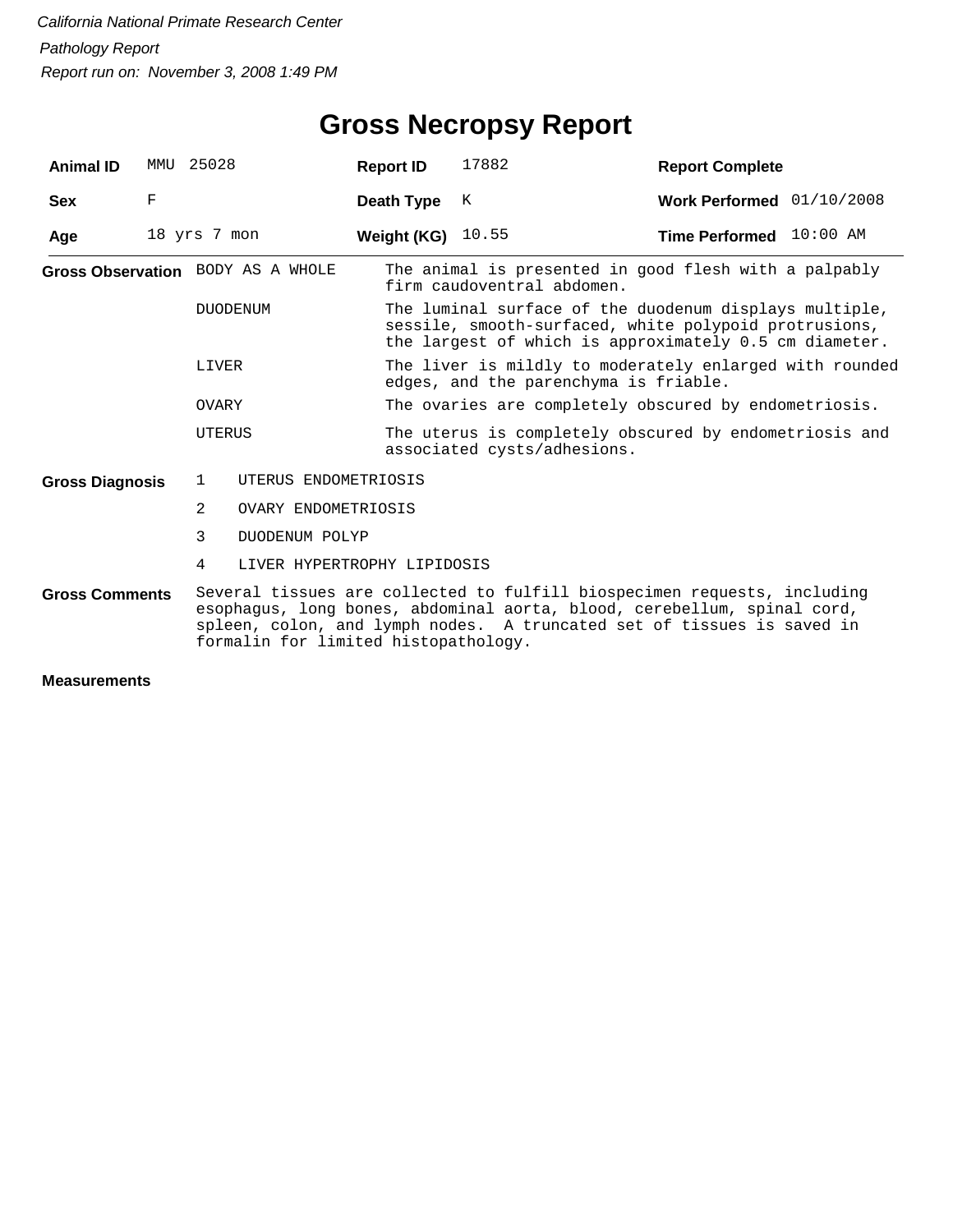| <b>Animal ID</b>       | MMU | 25028                                                                                                                                                                                                                                                                 |                      | <b>Report ID</b>           | 17882                                                                                                                                                                     | <b>Report Complete</b>                                  |  |  |  |
|------------------------|-----|-----------------------------------------------------------------------------------------------------------------------------------------------------------------------------------------------------------------------------------------------------------------------|----------------------|----------------------------|---------------------------------------------------------------------------------------------------------------------------------------------------------------------------|---------------------------------------------------------|--|--|--|
| <b>Sex</b>             | F   |                                                                                                                                                                                                                                                                       |                      | Death Type                 | K                                                                                                                                                                         | Work Performed 01/10/2008                               |  |  |  |
| Age                    |     | 18 yrs 7 mon                                                                                                                                                                                                                                                          |                      | <b>Weight (KG)</b> $10.55$ |                                                                                                                                                                           | Time Performed 10:00 AM                                 |  |  |  |
|                        |     | Gross Observation BODY AS A WHOLE<br><b>DUODENUM</b>                                                                                                                                                                                                                  |                      |                            | firm caudoventral abdomen.                                                                                                                                                | The animal is presented in good flesh with a palpably   |  |  |  |
|                        |     |                                                                                                                                                                                                                                                                       |                      |                            | The luminal surface of the duodenum displays multiple,<br>sessile, smooth-surfaced, white polypoid protrusions,<br>the largest of which is approximately 0.5 cm diameter. |                                                         |  |  |  |
|                        |     | LIVER                                                                                                                                                                                                                                                                 |                      |                            | edges, and the parenchyma is friable.                                                                                                                                     | The liver is mildly to moderately enlarged with rounded |  |  |  |
|                        |     | OVARY                                                                                                                                                                                                                                                                 |                      |                            |                                                                                                                                                                           | The ovaries are completely obscured by endometriosis.   |  |  |  |
|                        |     | <b>UTERUS</b>                                                                                                                                                                                                                                                         |                      |                            | The uterus is completely obscured by endometriosis and<br>associated cysts/adhesions.                                                                                     |                                                         |  |  |  |
| <b>Gross Diagnosis</b> |     | $\mathbf{1}$                                                                                                                                                                                                                                                          | UTERUS ENDOMETRIOSIS |                            |                                                                                                                                                                           |                                                         |  |  |  |
|                        |     | $\overline{2}$                                                                                                                                                                                                                                                        | OVARY ENDOMETRIOSIS  |                            |                                                                                                                                                                           |                                                         |  |  |  |
|                        |     | 3                                                                                                                                                                                                                                                                     | DUODENUM POLYP       |                            |                                                                                                                                                                           |                                                         |  |  |  |
|                        |     | 4                                                                                                                                                                                                                                                                     |                      |                            | LIVER HYPERTROPHY LIPIDOSIS                                                                                                                                               |                                                         |  |  |  |
| <b>Gross Comments</b>  |     | Several tissues are collected to fulfill biospecimen requests, including<br>esophagus, long bones, abdominal aorta, blood, cerebellum, spinal cord,<br>spleen, colon, and lymph nodes. A truncated set of tissues is saved in<br>formalin for limited histopathology. |                      |                            |                                                                                                                                                                           |                                                         |  |  |  |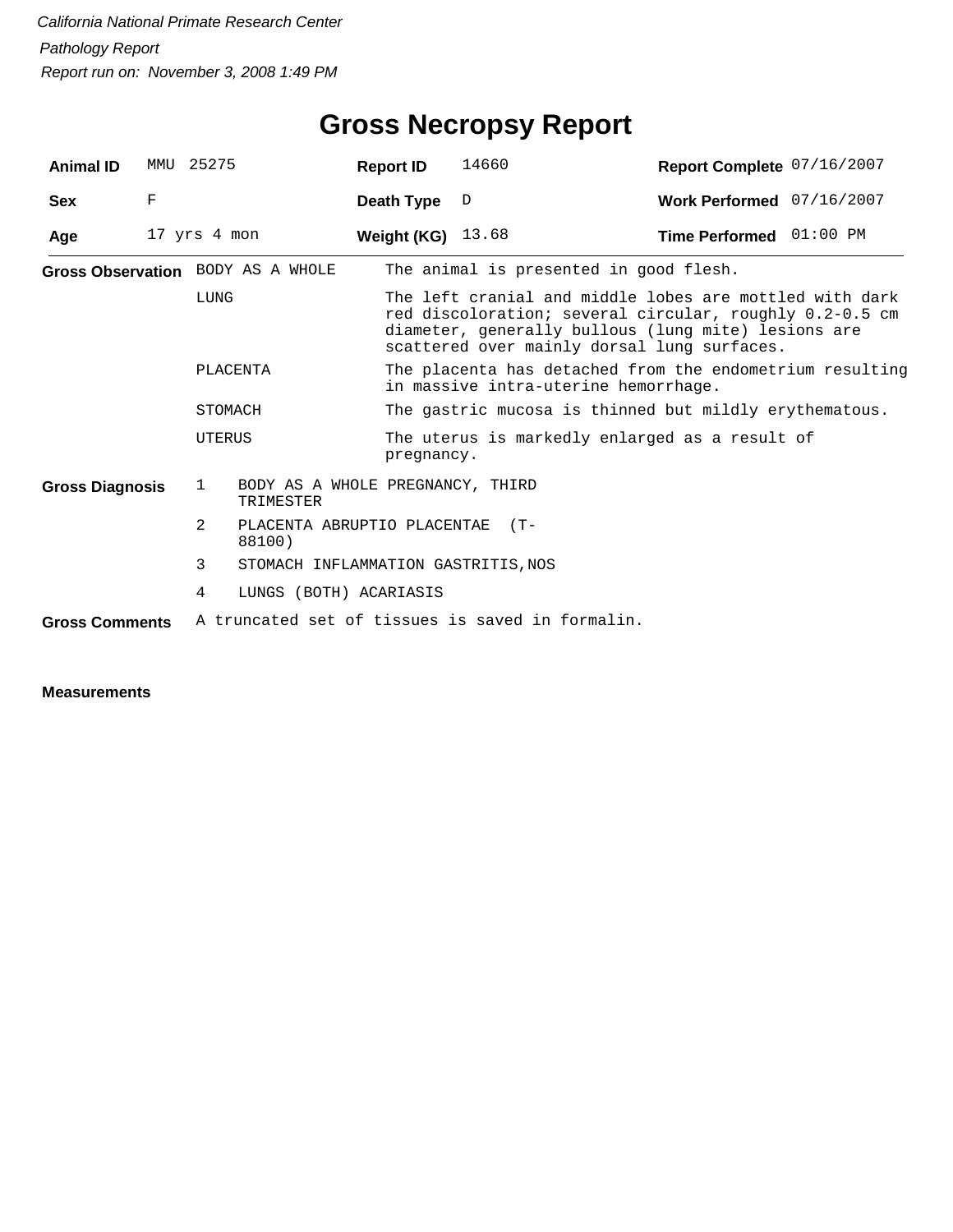| <b>Animal ID</b>       | MMU 25275 |              |                                               | <b>Report ID</b>  | 14660                                                                                                                                                                                                                    | Report Complete 07/16/2007 |  |  |
|------------------------|-----------|--------------|-----------------------------------------------|-------------------|--------------------------------------------------------------------------------------------------------------------------------------------------------------------------------------------------------------------------|----------------------------|--|--|
| Sex                    | F         |              |                                               | Death Type        | $\mathbb{D}$                                                                                                                                                                                                             | Work Performed 07/16/2007  |  |  |
| Age                    |           | 17 yrs 4 mon |                                               | Weight (KG) 13.68 |                                                                                                                                                                                                                          | Time Performed 01:00 PM    |  |  |
|                        |           |              | Gross Observation BODY AS A WHOLE             |                   | The animal is presented in good flesh.                                                                                                                                                                                   |                            |  |  |
|                        |           | LUNG         |                                               |                   | The left cranial and middle lobes are mottled with dark<br>red discoloration; several circular, roughly 0.2-0.5 cm<br>diameter, generally bullous (lung mite) lesions are<br>scattered over mainly dorsal lung surfaces. |                            |  |  |
|                        |           |              | PLACENTA                                      |                   | The placenta has detached from the endometrium resulting<br>in massive intra-uterine hemorrhage.                                                                                                                         |                            |  |  |
|                        |           | STOMACH      |                                               |                   | The gastric mucosa is thinned but mildly erythematous.                                                                                                                                                                   |                            |  |  |
|                        |           | UTERUS       |                                               |                   | The uterus is markedly enlarged as a result of<br>pregnancy.                                                                                                                                                             |                            |  |  |
| <b>Gross Diagnosis</b> |           | $\mathbf{1}$ | BODY AS A WHOLE PREGNANCY, THIRD<br>TRIMESTER |                   |                                                                                                                                                                                                                          |                            |  |  |
|                        |           | 2.           | PLACENTA ABRUPTIO PLACENTAE<br>88100)         |                   | $(T -$                                                                                                                                                                                                                   |                            |  |  |
|                        |           | 3            | STOMACH INFLAMMATION GASTRITIS, NOS           |                   |                                                                                                                                                                                                                          |                            |  |  |
|                        |           | 4            | LUNGS (BOTH) ACARIASIS                        |                   |                                                                                                                                                                                                                          |                            |  |  |
| <b>Gross Comments</b>  |           |              |                                               |                   | A truncated set of tissues is saved in formalin.                                                                                                                                                                         |                            |  |  |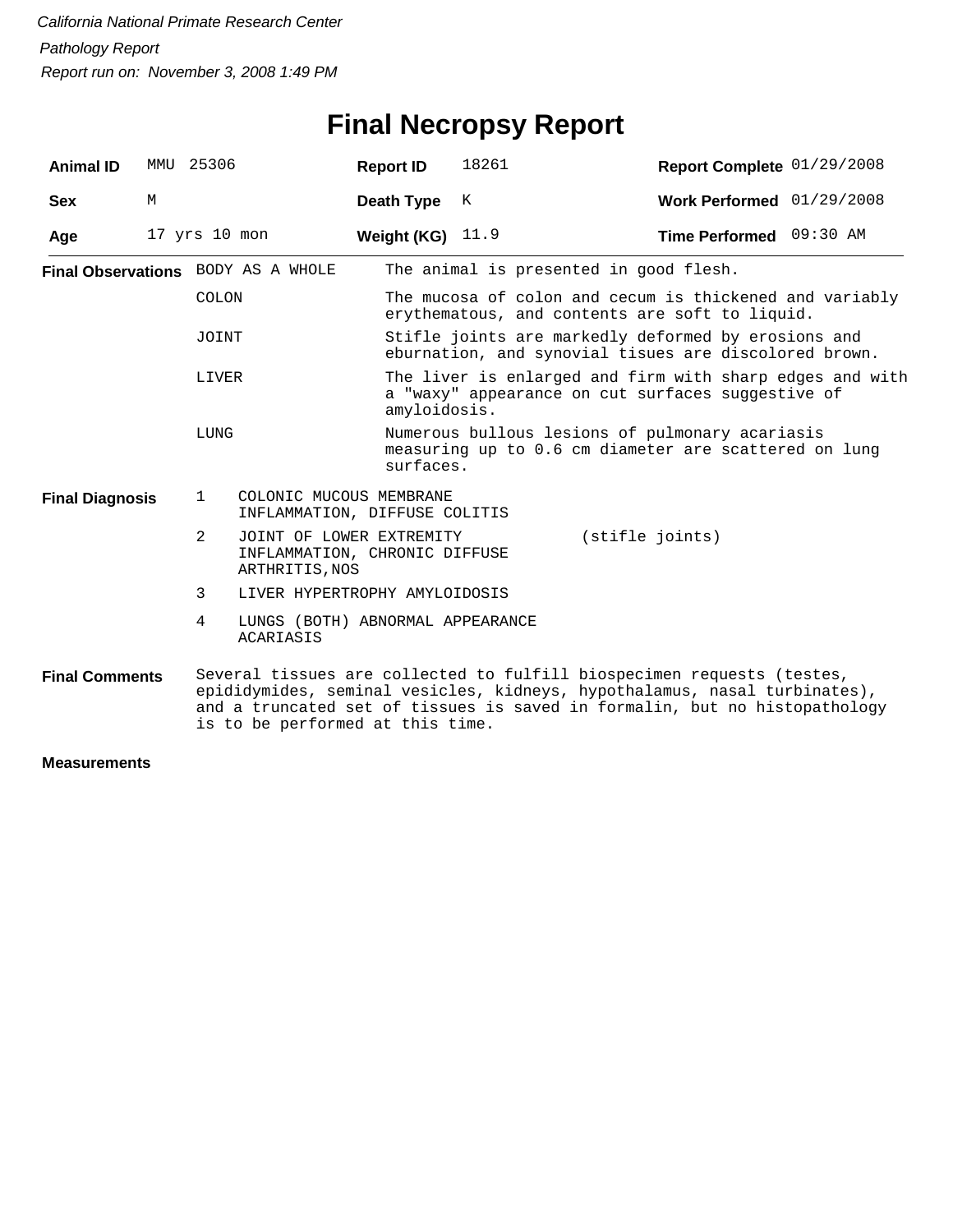# **Final Necropsy Report**

| <b>Animal ID</b>       | MMU | 25306             |                                                                                                | <b>Report ID</b>   | 18261                                                                                                                         | Report Complete 01/29/2008                                                                                                                                                                                                        |  |  |  |
|------------------------|-----|-------------------|------------------------------------------------------------------------------------------------|--------------------|-------------------------------------------------------------------------------------------------------------------------------|-----------------------------------------------------------------------------------------------------------------------------------------------------------------------------------------------------------------------------------|--|--|--|
| <b>Sex</b>             | М   |                   |                                                                                                | Death Type         | K                                                                                                                             | Work Performed 01/29/2008                                                                                                                                                                                                         |  |  |  |
| Age                    |     | $17$ yrs $10$ mon |                                                                                                | Weight (KG) $11.9$ |                                                                                                                               | Time Performed 09:30 AM                                                                                                                                                                                                           |  |  |  |
|                        |     |                   | Final Observations BODY AS A WHOLE                                                             |                    | The animal is presented in good flesh.                                                                                        |                                                                                                                                                                                                                                   |  |  |  |
|                        |     | COLON             |                                                                                                |                    |                                                                                                                               | The mucosa of colon and cecum is thickened and variably<br>erythematous, and contents are soft to liquid.                                                                                                                         |  |  |  |
|                        |     | JOINT             |                                                                                                |                    |                                                                                                                               | Stifle joints are markedly deformed by erosions and<br>eburnation, and synovial tisues are discolored brown.                                                                                                                      |  |  |  |
|                        |     | LIVER             |                                                                                                |                    | The liver is enlarged and firm with sharp edges and with<br>a "waxy" appearance on cut surfaces suggestive of<br>amyloidosis. |                                                                                                                                                                                                                                   |  |  |  |
| LUNG                   |     |                   |                                                                                                |                    | Numerous bullous lesions of pulmonary acariasis<br>measuring up to 0.6 cm diameter are scattered on lung<br>surfaces.         |                                                                                                                                                                                                                                   |  |  |  |
| <b>Final Diagnosis</b> |     | $\mathbf{1}$      | COLONIC MUCOUS MEMBRANE<br>INFLAMMATION, DIFFUSE COLITIS                                       |                    |                                                                                                                               |                                                                                                                                                                                                                                   |  |  |  |
|                        |     | 2                 | (stifle joints)<br>JOINT OF LOWER EXTREMITY<br>INFLAMMATION, CHRONIC DIFFUSE<br>ARTHRITIS, NOS |                    |                                                                                                                               |                                                                                                                                                                                                                                   |  |  |  |
|                        |     | 3                 | LIVER HYPERTROPHY AMYLOIDOSIS                                                                  |                    |                                                                                                                               |                                                                                                                                                                                                                                   |  |  |  |
|                        |     | 4                 | LUNGS (BOTH) ABNORMAL APPEARANCE<br>ACARIASIS                                                  |                    |                                                                                                                               |                                                                                                                                                                                                                                   |  |  |  |
| <b>Final Comments</b>  |     |                   | is to be performed at this time.                                                               |                    |                                                                                                                               | Several tissues are collected to fulfill biospecimen requests (testes,<br>epididymides, seminal vesicles, kidneys, hypothalamus, nasal turbinates),<br>and a truncated set of tissues is saved in formalin, but no histopathology |  |  |  |
| <b>Measurements</b>    |     |                   |                                                                                                |                    |                                                                                                                               |                                                                                                                                                                                                                                   |  |  |  |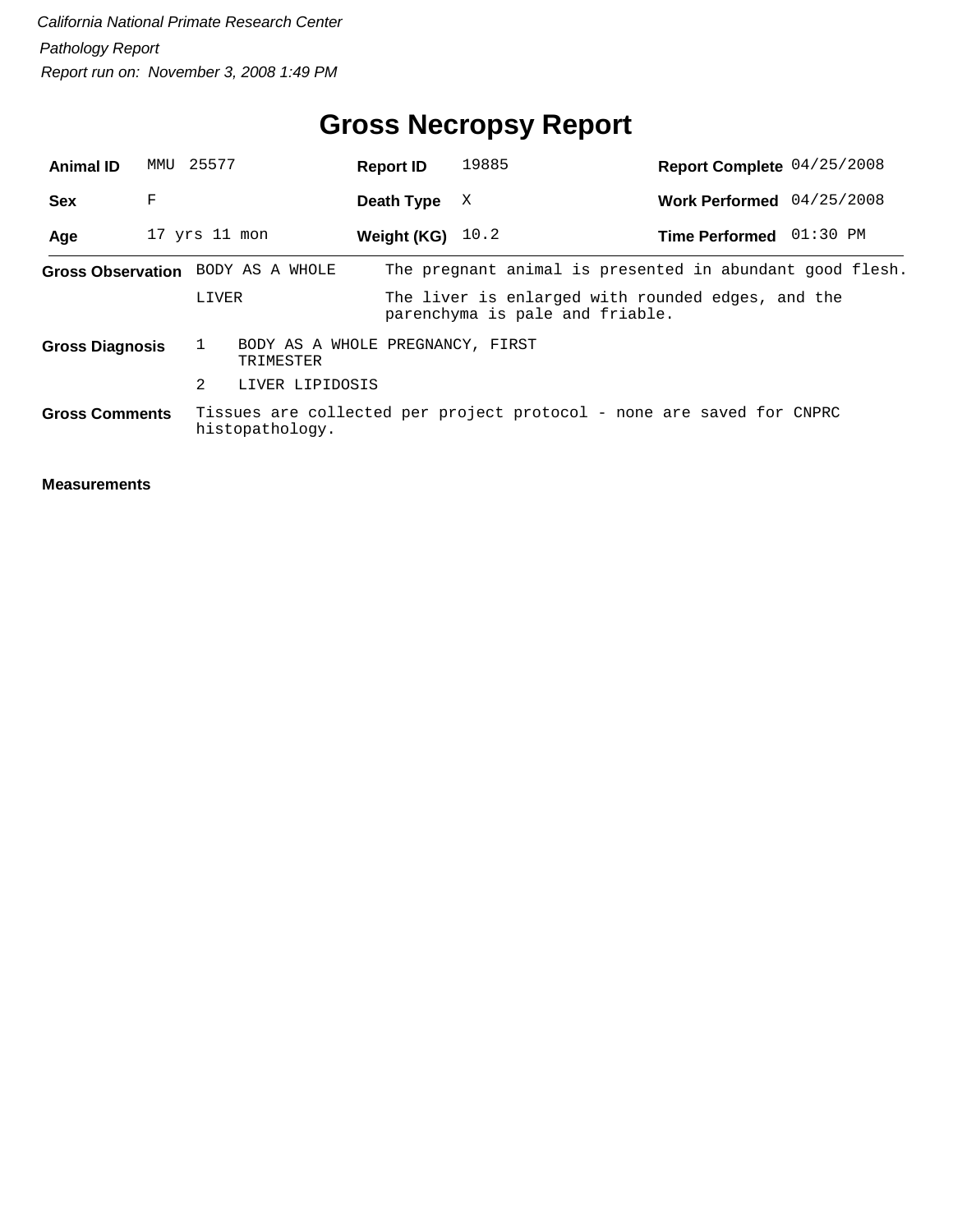| <b>Animal ID</b>       | MMU 25577 |                   |                                               | <b>Report ID</b>   | 19885                           | Report Complete 04/25/2008                                            |            |
|------------------------|-----------|-------------------|-----------------------------------------------|--------------------|---------------------------------|-----------------------------------------------------------------------|------------|
| <b>Sex</b>             | F         |                   |                                               | Death Type         | X                               | Work Performed 04/25/2008                                             |            |
| Age                    |           | $17$ yrs $11$ mon |                                               | Weight (KG) $10.2$ |                                 | <b>Time Performed</b>                                                 | $01:30$ PM |
|                        |           |                   | Gross Observation BODY AS A WHOLE             |                    |                                 | The pregnant animal is presented in abundant good flesh.              |            |
|                        |           | LIVER             |                                               |                    | parenchyma is pale and friable. | The liver is enlarged with rounded edges, and the                     |            |
| <b>Gross Diagnosis</b> |           |                   | BODY AS A WHOLE PREGNANCY, FIRST<br>TRIMESTER |                    |                                 |                                                                       |            |
|                        |           | 2                 | LIVER LIPIDOSIS                               |                    |                                 |                                                                       |            |
| <b>Gross Comments</b>  |           |                   | histopathology.                               |                    |                                 | Tissues are collected per project protocol - none are saved for CNPRC |            |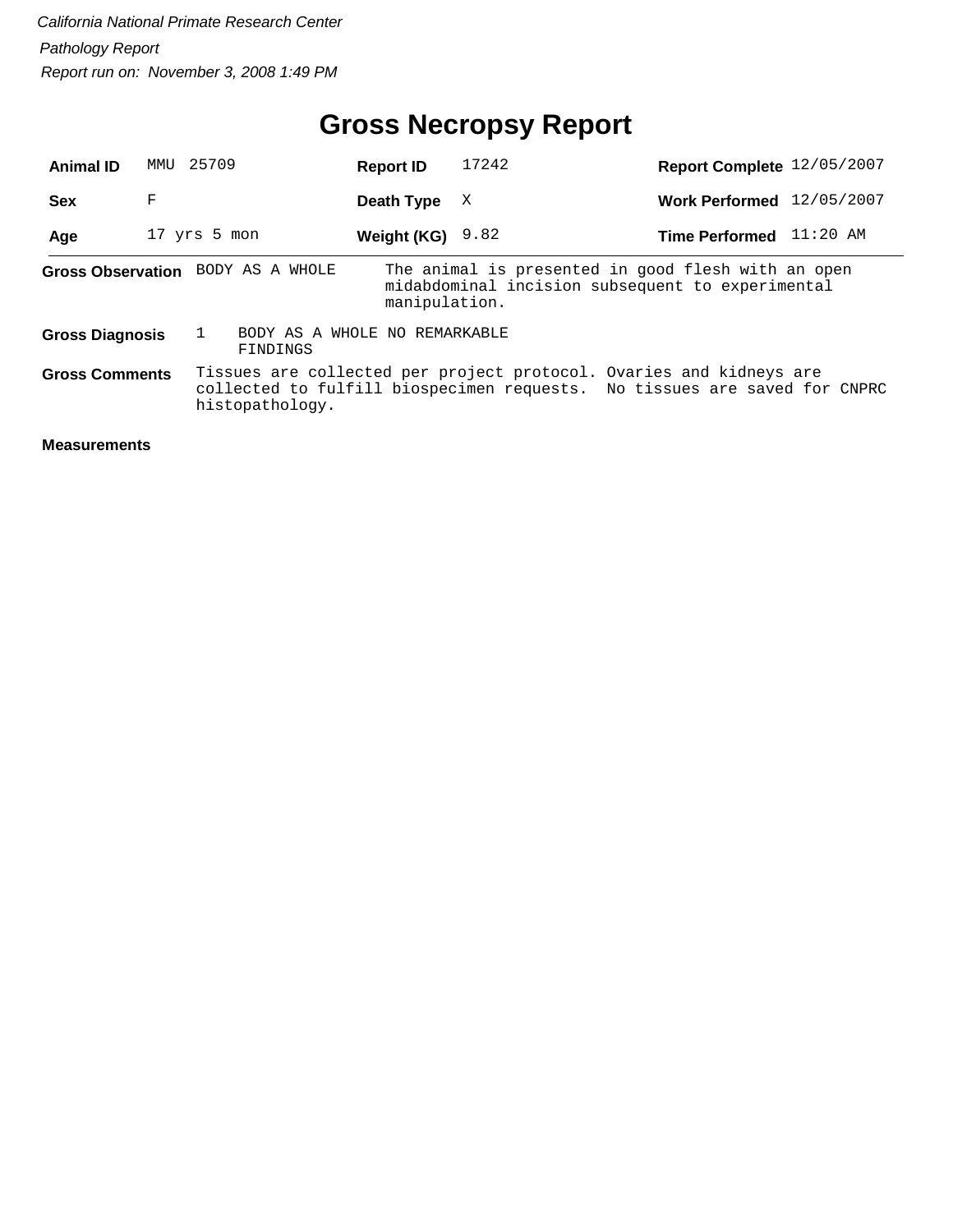## **Gross Necropsy Report**

| <b>Animal ID</b>       | MMU | 25709                                     | <b>Report ID</b>   | 17242                                                                                                                                            | Report Complete 12/05/2007 |            |
|------------------------|-----|-------------------------------------------|--------------------|--------------------------------------------------------------------------------------------------------------------------------------------------|----------------------------|------------|
| <b>Sex</b>             | F   |                                           | Death Type         | X                                                                                                                                                | <b>Work Performed</b>      | 12/05/2007 |
| Age                    |     | 17 yrs 5 mon                              | Weight (KG) $9.82$ |                                                                                                                                                  | <b>Time Performed</b>      | $11:20$ AM |
|                        |     | Gross Observation BODY AS A WHOLE         | manipulation.      | The animal is presented in good flesh with an open<br>midabdominal incision subsequent to experimental                                           |                            |            |
| <b>Gross Diagnosis</b> |     | BODY AS A WHOLE NO REMARKABLE<br>FINDINGS |                    |                                                                                                                                                  |                            |            |
| <b>Gross Comments</b>  |     | histopathology.                           |                    | Tissues are collected per project protocol. Ovaries and kidneys are<br>collected to fulfill biospecimen requests. No tissues are saved for CNPRC |                            |            |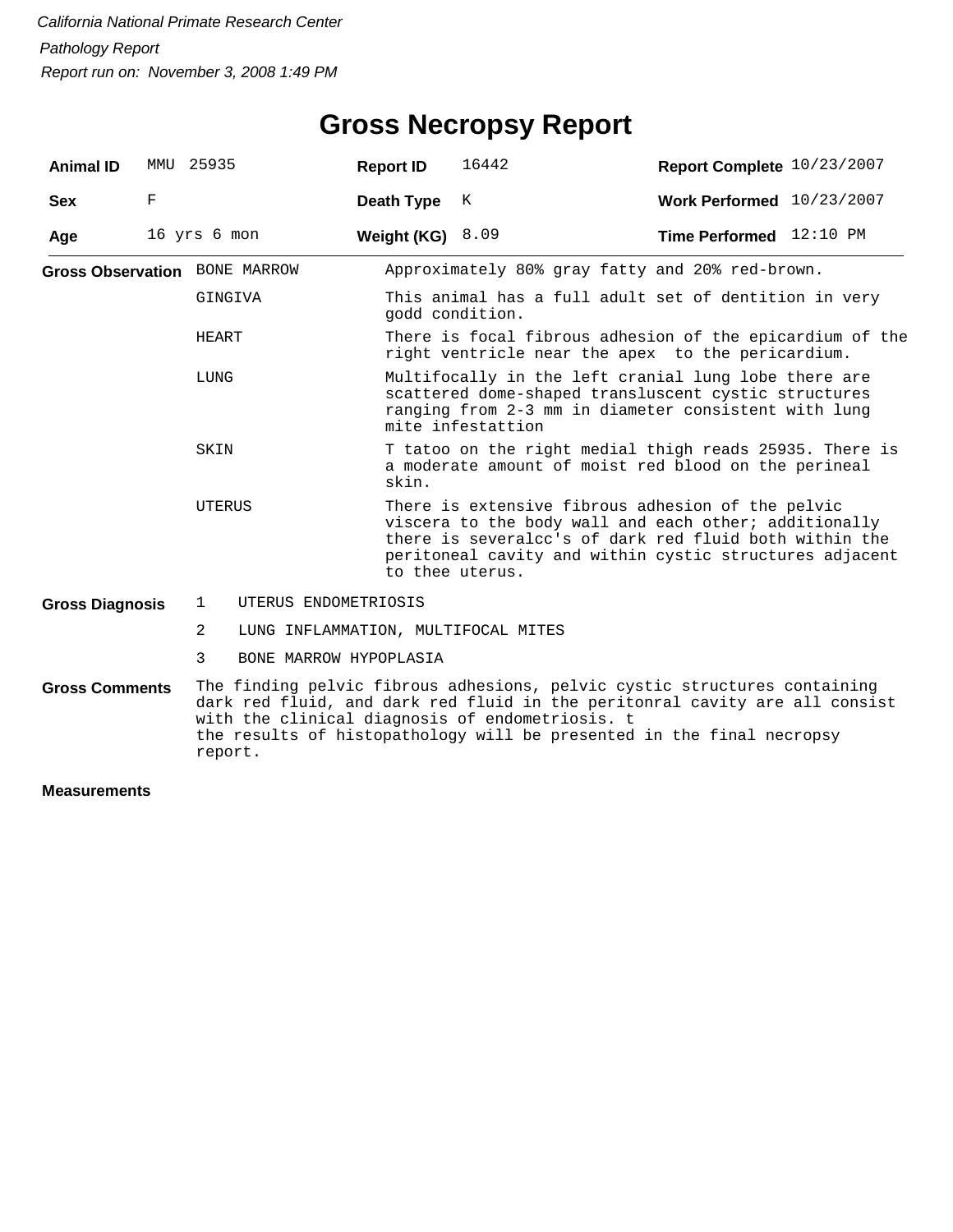| <b>Animal ID</b>                                                                                                                                                                                                                                                                                                         |             | MMU 25935                            | <b>Report ID</b> | 16442                                                                                                                                                                                                                                              | Report Complete 10/23/2007 |  |  |  |
|--------------------------------------------------------------------------------------------------------------------------------------------------------------------------------------------------------------------------------------------------------------------------------------------------------------------------|-------------|--------------------------------------|------------------|----------------------------------------------------------------------------------------------------------------------------------------------------------------------------------------------------------------------------------------------------|----------------------------|--|--|--|
| <b>Sex</b>                                                                                                                                                                                                                                                                                                               | $\mathbf F$ |                                      | Death Type       | K                                                                                                                                                                                                                                                  | Work Performed 10/23/2007  |  |  |  |
| Age                                                                                                                                                                                                                                                                                                                      |             | 16 yrs 6 mon                         | Weight (KG)      | 8.09                                                                                                                                                                                                                                               | Time Performed 12:10 PM    |  |  |  |
|                                                                                                                                                                                                                                                                                                                          |             | <b>Gross Observation</b> BONE MARROW |                  | Approximately 80% gray fatty and 20% red-brown.                                                                                                                                                                                                    |                            |  |  |  |
|                                                                                                                                                                                                                                                                                                                          |             | GINGIVA                              |                  | This animal has a full adult set of dentition in very<br>godd condition.                                                                                                                                                                           |                            |  |  |  |
|                                                                                                                                                                                                                                                                                                                          |             | HEART                                |                  | There is focal fibrous adhesion of the epicardium of the<br>right ventricle near the apex to the pericardium.                                                                                                                                      |                            |  |  |  |
|                                                                                                                                                                                                                                                                                                                          |             | LUNG                                 |                  | Multifocally in the left cranial lung lobe there are<br>scattered dome-shaped transluscent cystic structures<br>ranging from 2-3 mm in diameter consistent with lung<br>mite infestattion                                                          |                            |  |  |  |
|                                                                                                                                                                                                                                                                                                                          |             | SKIN                                 | skin.            | T tatoo on the right medial thigh reads 25935. There is<br>a moderate amount of moist red blood on the perineal                                                                                                                                    |                            |  |  |  |
|                                                                                                                                                                                                                                                                                                                          |             | UTERUS                               |                  | There is extensive fibrous adhesion of the pelvic<br>viscera to the body wall and each other; additionally<br>there is severalcc's of dark red fluid both within the<br>peritoneal cavity and within cystic structures adjacent<br>to thee uterus. |                            |  |  |  |
| <b>Gross Diagnosis</b>                                                                                                                                                                                                                                                                                                   |             | UTERUS ENDOMETRIOSIS<br>1            |                  |                                                                                                                                                                                                                                                    |                            |  |  |  |
|                                                                                                                                                                                                                                                                                                                          |             | 2                                    |                  | LUNG INFLAMMATION, MULTIFOCAL MITES                                                                                                                                                                                                                |                            |  |  |  |
|                                                                                                                                                                                                                                                                                                                          |             | 3<br>BONE MARROW HYPOPLASIA          |                  |                                                                                                                                                                                                                                                    |                            |  |  |  |
| The finding pelvic fibrous adhesions, pelvic cystic structures containing<br><b>Gross Comments</b><br>dark red fluid, and dark red fluid in the peritonral cavity are all consist<br>with the clinical diagnosis of endometriosis. t<br>the results of histopathology will be presented in the final necropsy<br>report. |             |                                      |                  |                                                                                                                                                                                                                                                    |                            |  |  |  |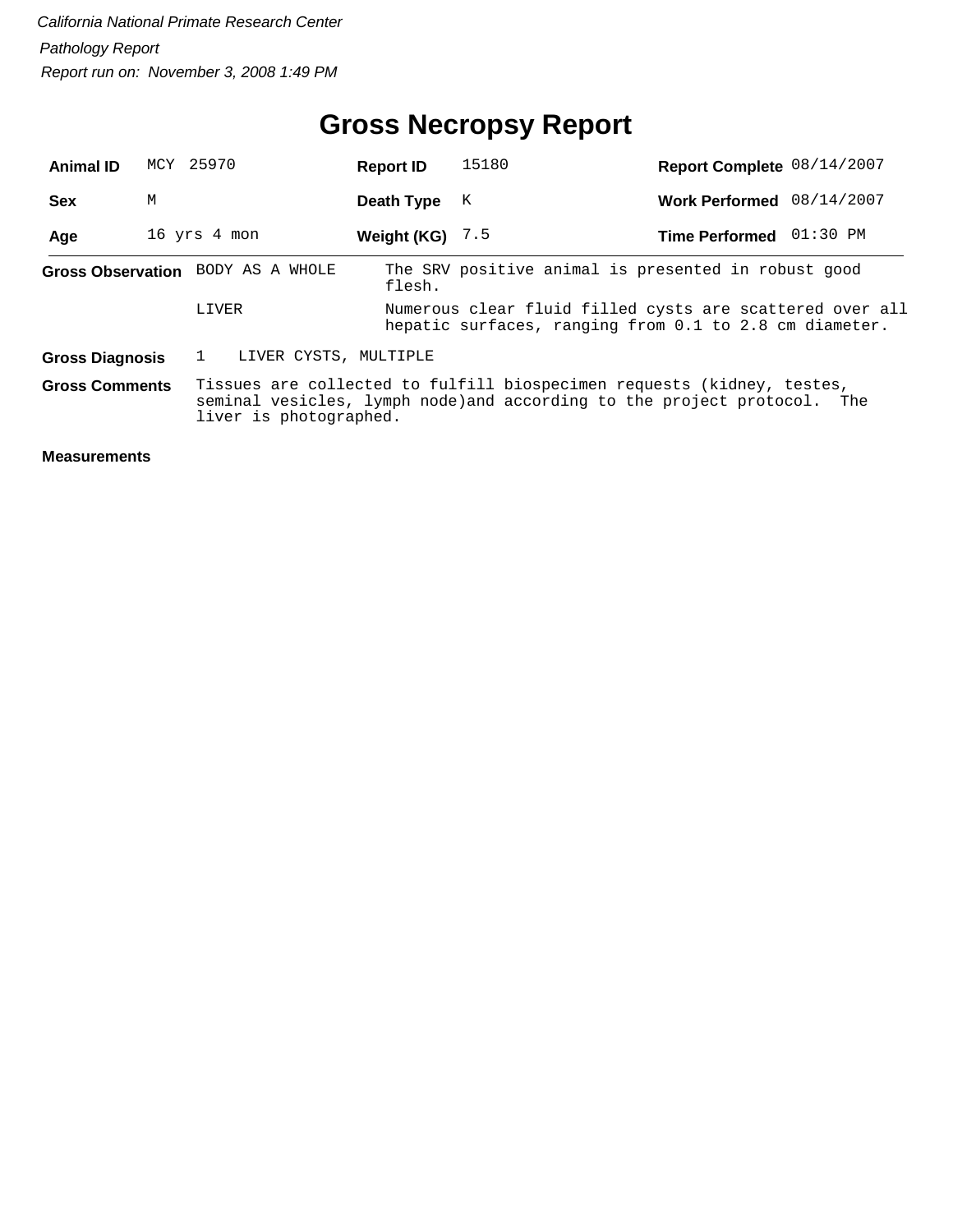## **Gross Necropsy Report**

| <b>Animal ID</b>                                                                                                                                                                                      |   | MCY 25970                         | <b>Report ID</b>  | 15180                                                                                                              | Report Complete 08/14/2007 |  |
|-------------------------------------------------------------------------------------------------------------------------------------------------------------------------------------------------------|---|-----------------------------------|-------------------|--------------------------------------------------------------------------------------------------------------------|----------------------------|--|
| <b>Sex</b>                                                                                                                                                                                            | М |                                   | Death Type        | К                                                                                                                  | Work Performed 08/14/2007  |  |
| Age                                                                                                                                                                                                   |   | 16 yrs 4 mon                      | Weight (KG) $7.5$ |                                                                                                                    | Time Performed 01:30 PM    |  |
|                                                                                                                                                                                                       |   | Gross Observation BODY AS A WHOLE | flesh.            | The SRV positive animal is presented in robust good                                                                |                            |  |
|                                                                                                                                                                                                       |   | LIVER                             |                   | Numerous clear fluid filled cysts are scattered over all<br>hepatic surfaces, ranging from 0.1 to 2.8 cm diameter. |                            |  |
| <b>Gross Diagnosis</b>                                                                                                                                                                                |   | LIVER CYSTS, MULTIPLE             |                   |                                                                                                                    |                            |  |
| Tissues are collected to fulfill biospecimen requests (kidney, testes,<br><b>Gross Comments</b><br>seminal vesicles, lymph node) and according to the project protocol. The<br>liver is photographed. |   |                                   |                   |                                                                                                                    |                            |  |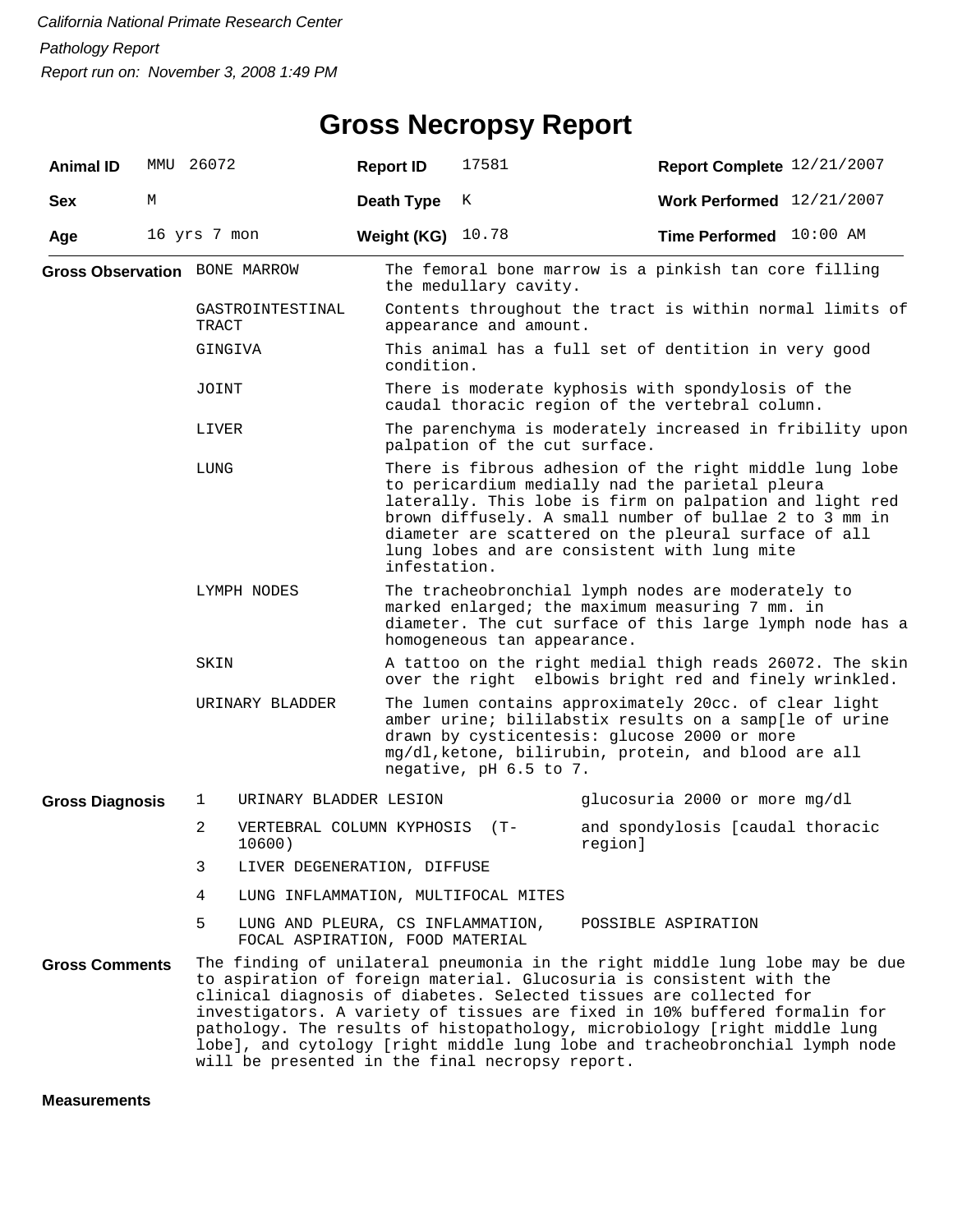## **Gross Necropsy Report**

| <b>Animal ID</b>                     |   | MMU 26072    |                        | <b>Report ID</b>                                                     | 17581                                                                                                                                                                                                                                                                                                                                                                                                                                                                                                                   | Report Complete 12/21/2007                                                                            |  |  |  |  |
|--------------------------------------|---|--------------|------------------------|----------------------------------------------------------------------|-------------------------------------------------------------------------------------------------------------------------------------------------------------------------------------------------------------------------------------------------------------------------------------------------------------------------------------------------------------------------------------------------------------------------------------------------------------------------------------------------------------------------|-------------------------------------------------------------------------------------------------------|--|--|--|--|
| <b>Sex</b>                           | М |              |                        | Death Type                                                           | K                                                                                                                                                                                                                                                                                                                                                                                                                                                                                                                       | Work Performed 12/21/2007                                                                             |  |  |  |  |
| Age                                  |   | 16 yrs 7 mon |                        | Weight (KG)                                                          | 10.78                                                                                                                                                                                                                                                                                                                                                                                                                                                                                                                   | Time Performed 10:00 AM                                                                               |  |  |  |  |
| <b>Gross Observation</b> BONE MARROW |   |              |                        |                                                                      | The femoral bone marrow is a pinkish tan core filling<br>the medullary cavity.                                                                                                                                                                                                                                                                                                                                                                                                                                          |                                                                                                       |  |  |  |  |
|                                      |   | TRACT        | GASTROINTESTINAL       |                                                                      | Contents throughout the tract is within normal limits of<br>appearance and amount.                                                                                                                                                                                                                                                                                                                                                                                                                                      |                                                                                                       |  |  |  |  |
|                                      |   | GINGIVA      |                        |                                                                      | This animal has a full set of dentition in very good<br>condition.                                                                                                                                                                                                                                                                                                                                                                                                                                                      |                                                                                                       |  |  |  |  |
|                                      |   | JOINT        |                        |                                                                      |                                                                                                                                                                                                                                                                                                                                                                                                                                                                                                                         | There is moderate kyphosis with spondylosis of the<br>caudal thoracic region of the vertebral column. |  |  |  |  |
|                                      |   | LIVER        |                        |                                                                      | palpation of the cut surface.                                                                                                                                                                                                                                                                                                                                                                                                                                                                                           | The parenchyma is moderately increased in fribility upon                                              |  |  |  |  |
|                                      |   | LUNG         |                        |                                                                      | There is fibrous adhesion of the right middle lung lobe<br>to pericardium medially nad the parietal pleura<br>laterally. This lobe is firm on palpation and light red<br>brown diffusely. A small number of bullae 2 to 3 mm in<br>diameter are scattered on the pleural surface of all<br>lung lobes and are consistent with lung mite<br>infestation.                                                                                                                                                                 |                                                                                                       |  |  |  |  |
|                                      |   | LYMPH NODES  |                        |                                                                      | The tracheobronchial lymph nodes are moderately to<br>marked enlarged; the maximum measuring 7 mm. in<br>diameter. The cut surface of this large lymph node has a<br>homogeneous tan appearance.                                                                                                                                                                                                                                                                                                                        |                                                                                                       |  |  |  |  |
|                                      |   | SKIN         |                        |                                                                      | A tattoo on the right medial thigh reads 26072. The skin<br>over the right elbowis bright red and finely wrinkled.                                                                                                                                                                                                                                                                                                                                                                                                      |                                                                                                       |  |  |  |  |
|                                      |   |              | URINARY BLADDER        |                                                                      | The lumen contains approximately 20cc. of clear light<br>amber urine; bililabstix results on a samp[le of urine<br>drawn by cysticentesis: glucose 2000 or more<br>mg/dl, ketone, bilirubin, protein, and blood are all<br>negative, pH 6.5 to 7.                                                                                                                                                                                                                                                                       |                                                                                                       |  |  |  |  |
| <b>Gross Diagnosis</b>               |   | 1            | URINARY BLADDER LESION |                                                                      |                                                                                                                                                                                                                                                                                                                                                                                                                                                                                                                         | glucosuria 2000 or more mg/dl                                                                         |  |  |  |  |
|                                      |   | 2<br>10600)  |                        | VERTEBRAL COLUMN KYPHOSIS                                            | $(T -$                                                                                                                                                                                                                                                                                                                                                                                                                                                                                                                  | and spondylosis [caudal thoracic<br>region]                                                           |  |  |  |  |
|                                      |   | 3            |                        | LIVER DEGENERATION, DIFFUSE                                          |                                                                                                                                                                                                                                                                                                                                                                                                                                                                                                                         |                                                                                                       |  |  |  |  |
|                                      |   | 4            |                        |                                                                      | LUNG INFLAMMATION, MULTIFOCAL MITES                                                                                                                                                                                                                                                                                                                                                                                                                                                                                     |                                                                                                       |  |  |  |  |
|                                      |   | 5            |                        | LUNG AND PLEURA, CS INFLAMMATION,<br>FOCAL ASPIRATION, FOOD MATERIAL |                                                                                                                                                                                                                                                                                                                                                                                                                                                                                                                         | POSSIBLE ASPIRATION                                                                                   |  |  |  |  |
| <b>Gross Comments</b>                |   |              |                        |                                                                      | The finding of unilateral pneumonia in the right middle lung lobe may be due<br>to aspiration of foreign material. Glucosuria is consistent with the<br>clinical diagnosis of diabetes. Selected tissues are collected for<br>investigators. A variety of tissues are fixed in 10% buffered formalin for<br>pathology. The results of histopathology, microbiology [right middle lung<br>lobe], and cytology [right middle lung lobe and tracheobronchial lymph node<br>will be presented in the final necropsy report. |                                                                                                       |  |  |  |  |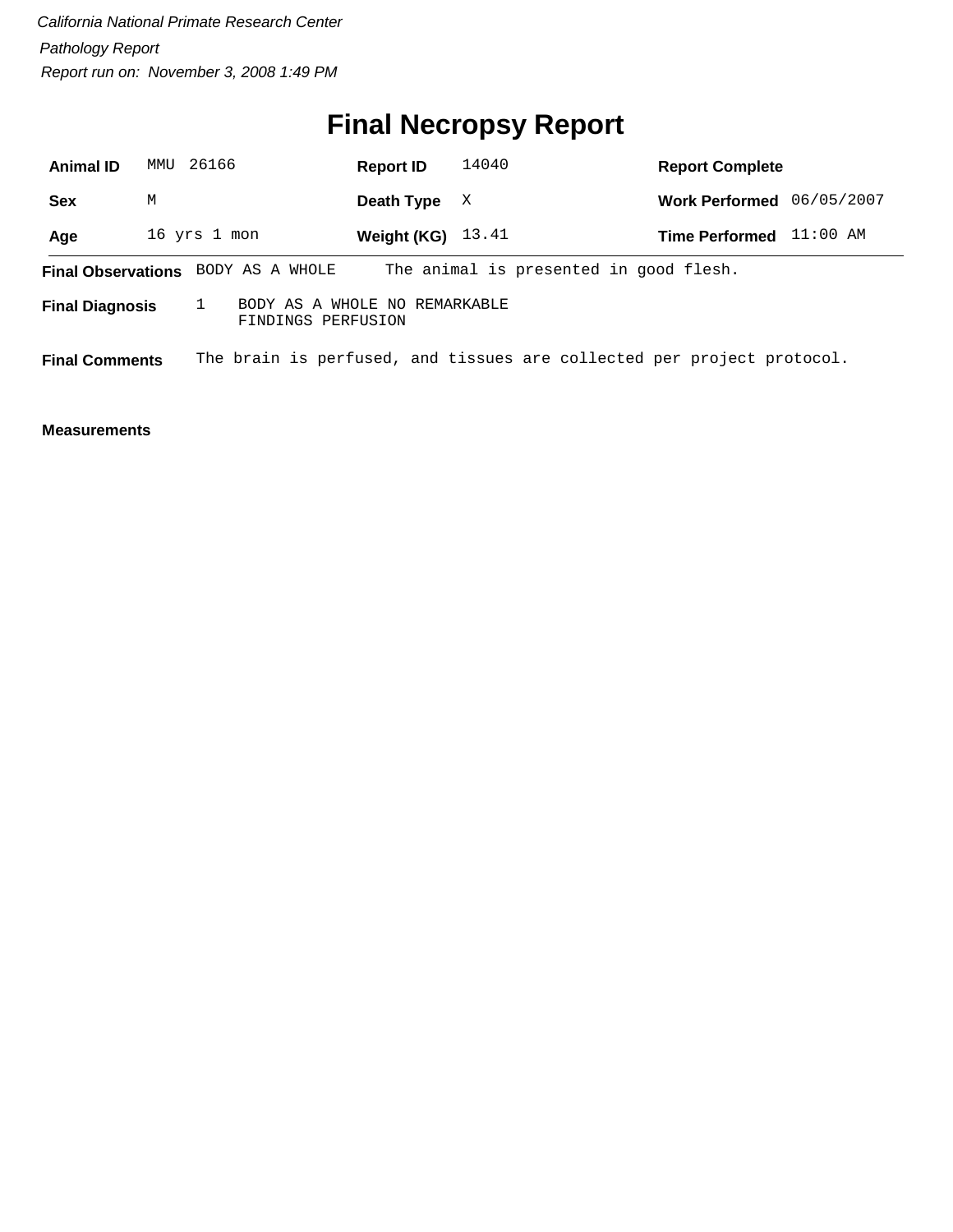# **Final Necropsy Report**

| <b>Animal ID</b>       |   | MMU 26166                                           | <b>Report ID</b>    | 14040 | <b>Report Complete</b>                                                 |            |
|------------------------|---|-----------------------------------------------------|---------------------|-------|------------------------------------------------------------------------|------------|
| <b>Sex</b>             | М |                                                     | Death Type          | X     | <b>Work Performed</b>                                                  | 06/05/2007 |
| Age                    |   | 16 yrs 1 mon                                        | Weight (KG) $13.41$ |       | <b>Time Performed</b>                                                  | $11:00$ AM |
|                        |   | <b>Final Observations</b> BODY AS A WHOLE           |                     |       | The animal is presented in good flesh.                                 |            |
| <b>Final Diagnosis</b> |   | BODY AS A WHOLE NO REMARKABLE<br>FINDINGS PERFUSION |                     |       |                                                                        |            |
| <b>Final Comments</b>  |   |                                                     |                     |       | The brain is perfused, and tissues are collected per project protocol. |            |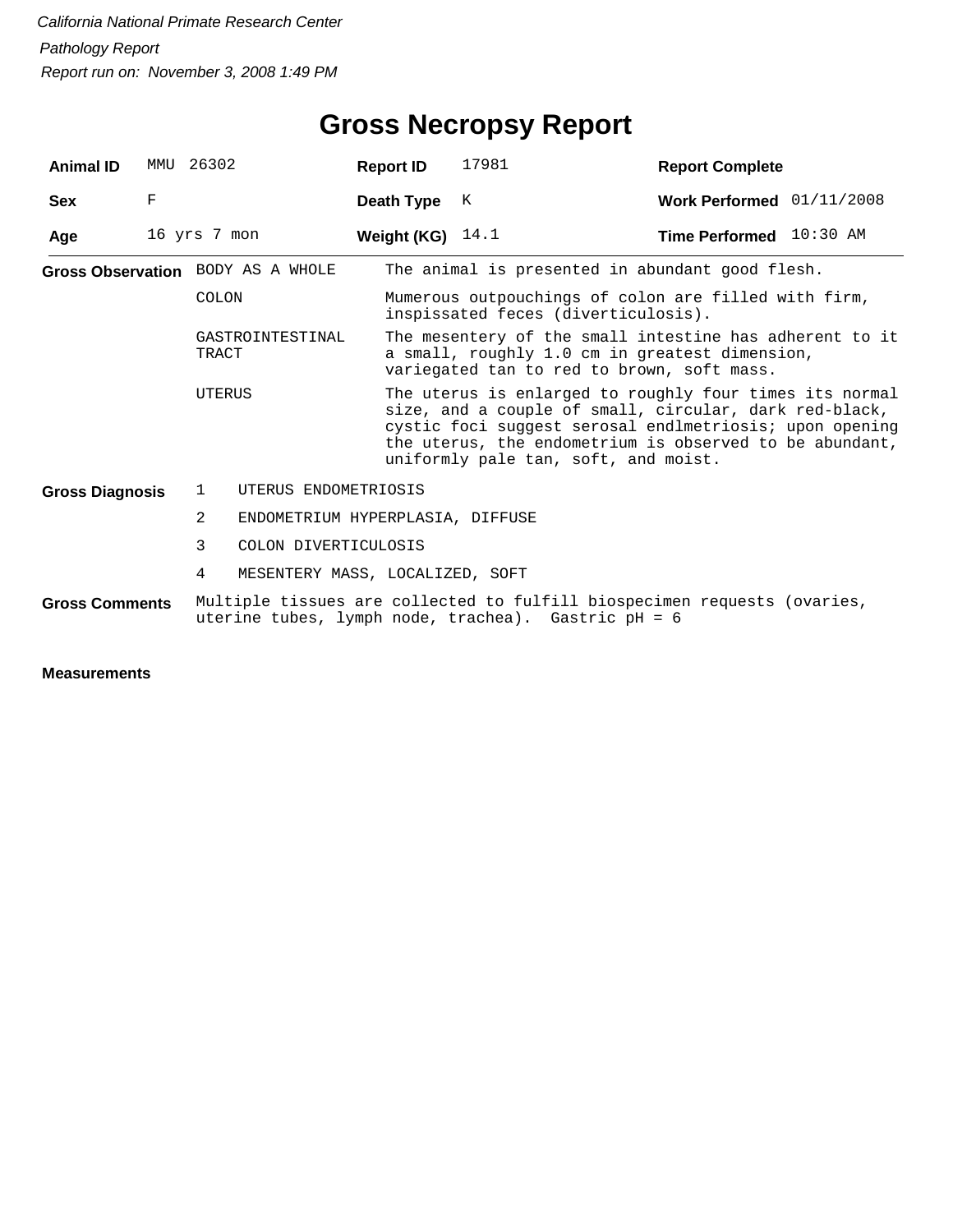| <b>Animal ID</b>       |              | MMU 26302                                                                                                                       | <b>Report ID</b>                                                                            | 17981                                                                                                                                                                                                                                                                           | <b>Report Complete</b>    |  |  |
|------------------------|--------------|---------------------------------------------------------------------------------------------------------------------------------|---------------------------------------------------------------------------------------------|---------------------------------------------------------------------------------------------------------------------------------------------------------------------------------------------------------------------------------------------------------------------------------|---------------------------|--|--|
| <b>Sex</b>             | F            |                                                                                                                                 | Death Type                                                                                  | K                                                                                                                                                                                                                                                                               | Work Performed 01/11/2008 |  |  |
| Age                    | 16 yrs 7 mon |                                                                                                                                 | Weight (KG) $14.1$                                                                          |                                                                                                                                                                                                                                                                                 | Time Performed 10:30 AM   |  |  |
|                        |              | Gross Observation BODY AS A WHOLE                                                                                               |                                                                                             | The animal is presented in abundant good flesh.                                                                                                                                                                                                                                 |                           |  |  |
|                        |              | <b>COLON</b>                                                                                                                    | Mumerous outpouchings of colon are filled with firm,<br>inspissated feces (diverticulosis). |                                                                                                                                                                                                                                                                                 |                           |  |  |
|                        |              | GASTROINTESTINAL<br>TRACT                                                                                                       |                                                                                             | The mesentery of the small intestine has adherent to it<br>a small, roughly 1.0 cm in greatest dimension,<br>variegated tan to red to brown, soft mass.                                                                                                                         |                           |  |  |
|                        |              | UTERUS                                                                                                                          |                                                                                             | The uterus is enlarged to roughly four times its normal<br>size, and a couple of small, circular, dark red-black,<br>cystic foci suggest serosal endlmetriosis; upon opening<br>the uterus, the endometrium is observed to be abundant,<br>uniformly pale tan, soft, and moist. |                           |  |  |
| <b>Gross Diagnosis</b> |              | $\mathbf{1}$                                                                                                                    | UTERUS ENDOMETRIOSIS                                                                        |                                                                                                                                                                                                                                                                                 |                           |  |  |
|                        |              | 2                                                                                                                               |                                                                                             | ENDOMETRIUM HYPERPLASIA, DIFFUSE                                                                                                                                                                                                                                                |                           |  |  |
|                        |              | 3<br>COLON DIVERTICULOSIS                                                                                                       |                                                                                             |                                                                                                                                                                                                                                                                                 |                           |  |  |
|                        |              | 4                                                                                                                               | MESENTERY MASS, LOCALIZED, SOFT                                                             |                                                                                                                                                                                                                                                                                 |                           |  |  |
| <b>Gross Comments</b>  |              | Multiple tissues are collected to fulfill biospecimen requests (ovaries,<br>uterine tubes, lymph node, trachea). Gastric pH = 6 |                                                                                             |                                                                                                                                                                                                                                                                                 |                           |  |  |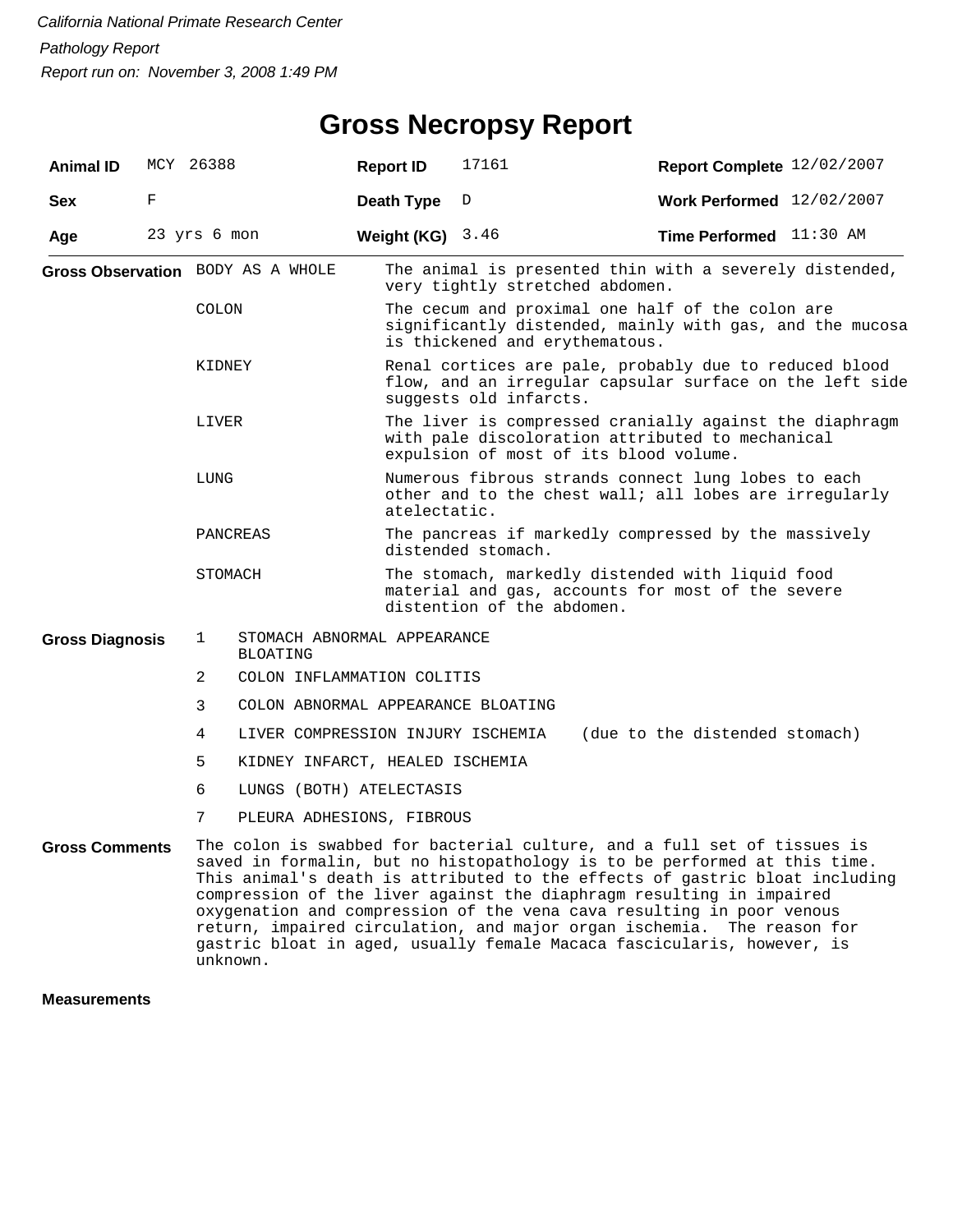## **Gross Necropsy Report**

| <b>Animal ID</b>       | MCY 26388 |                                   |                                                | <b>Report ID</b>   | 17161                                                                                                                                                                                                                                                                                                                                                                                                                                                                                                                                     | Report Complete 12/02/2007     |  |  |  |
|------------------------|-----------|-----------------------------------|------------------------------------------------|--------------------|-------------------------------------------------------------------------------------------------------------------------------------------------------------------------------------------------------------------------------------------------------------------------------------------------------------------------------------------------------------------------------------------------------------------------------------------------------------------------------------------------------------------------------------------|--------------------------------|--|--|--|
| <b>Sex</b>             | F         |                                   |                                                | Death Type         | D                                                                                                                                                                                                                                                                                                                                                                                                                                                                                                                                         | Work Performed 12/02/2007      |  |  |  |
| Age                    |           | 23 yrs 6 mon                      |                                                | Weight (KG) $3.46$ |                                                                                                                                                                                                                                                                                                                                                                                                                                                                                                                                           | Time Performed 11:30 AM        |  |  |  |
|                        |           | Gross Observation BODY AS A WHOLE |                                                |                    | The animal is presented thin with a severely distended,<br>very tightly stretched abdomen.                                                                                                                                                                                                                                                                                                                                                                                                                                                |                                |  |  |  |
|                        |           | <b>COLON</b>                      |                                                |                    | The cecum and proximal one half of the colon are<br>significantly distended, mainly with gas, and the mucosa<br>is thickened and erythematous.                                                                                                                                                                                                                                                                                                                                                                                            |                                |  |  |  |
|                        |           | KIDNEY                            |                                                |                    | Renal cortices are pale, probably due to reduced blood<br>flow, and an irregular capsular surface on the left side<br>suggests old infarcts.                                                                                                                                                                                                                                                                                                                                                                                              |                                |  |  |  |
|                        |           | LIVER                             |                                                |                    | The liver is compressed cranially against the diaphragm<br>with pale discoloration attributed to mechanical<br>expulsion of most of its blood volume.                                                                                                                                                                                                                                                                                                                                                                                     |                                |  |  |  |
|                        |           | LUNG                              |                                                |                    | Numerous fibrous strands connect lung lobes to each<br>other and to the chest wall; all lobes are irregularly<br>atelectatic.                                                                                                                                                                                                                                                                                                                                                                                                             |                                |  |  |  |
|                        |           |                                   | PANCREAS                                       |                    | The pancreas if markedly compressed by the massively<br>distended stomach.                                                                                                                                                                                                                                                                                                                                                                                                                                                                |                                |  |  |  |
|                        |           | STOMACH                           |                                                |                    | The stomach, markedly distended with liquid food<br>material and gas, accounts for most of the severe<br>distention of the abdomen.                                                                                                                                                                                                                                                                                                                                                                                                       |                                |  |  |  |
| <b>Gross Diagnosis</b> |           | $\mathbf 1$                       | STOMACH ABNORMAL APPEARANCE<br><b>BLOATING</b> |                    |                                                                                                                                                                                                                                                                                                                                                                                                                                                                                                                                           |                                |  |  |  |
|                        |           | 2                                 | COLON INFLAMMATION COLITIS                     |                    |                                                                                                                                                                                                                                                                                                                                                                                                                                                                                                                                           |                                |  |  |  |
|                        |           | 3                                 | COLON ABNORMAL APPEARANCE BLOATING             |                    |                                                                                                                                                                                                                                                                                                                                                                                                                                                                                                                                           |                                |  |  |  |
|                        |           | 4                                 | LIVER COMPRESSION INJURY ISCHEMIA              |                    |                                                                                                                                                                                                                                                                                                                                                                                                                                                                                                                                           | (due to the distended stomach) |  |  |  |
|                        |           | 5                                 |                                                |                    | KIDNEY INFARCT, HEALED ISCHEMIA                                                                                                                                                                                                                                                                                                                                                                                                                                                                                                           |                                |  |  |  |
|                        |           | 6                                 | LUNGS (BOTH) ATELECTASIS                       |                    |                                                                                                                                                                                                                                                                                                                                                                                                                                                                                                                                           |                                |  |  |  |
|                        |           | 7                                 | PLEURA ADHESIONS, FIBROUS                      |                    |                                                                                                                                                                                                                                                                                                                                                                                                                                                                                                                                           |                                |  |  |  |
| <b>Gross Comments</b>  |           |                                   | unknown.                                       |                    | The colon is swabbed for bacterial culture, and a full set of tissues is<br>saved in formalin, but no histopathology is to be performed at this time.<br>This animal's death is attributed to the effects of gastric bloat including<br>compression of the liver against the diaphragm resulting in impaired<br>oxygenation and compression of the vena cava resulting in poor venous<br>return, impaired circulation, and major organ ischemia. The reason for<br>gastric bloat in aged, usually female Macaca fascicularis, however, is |                                |  |  |  |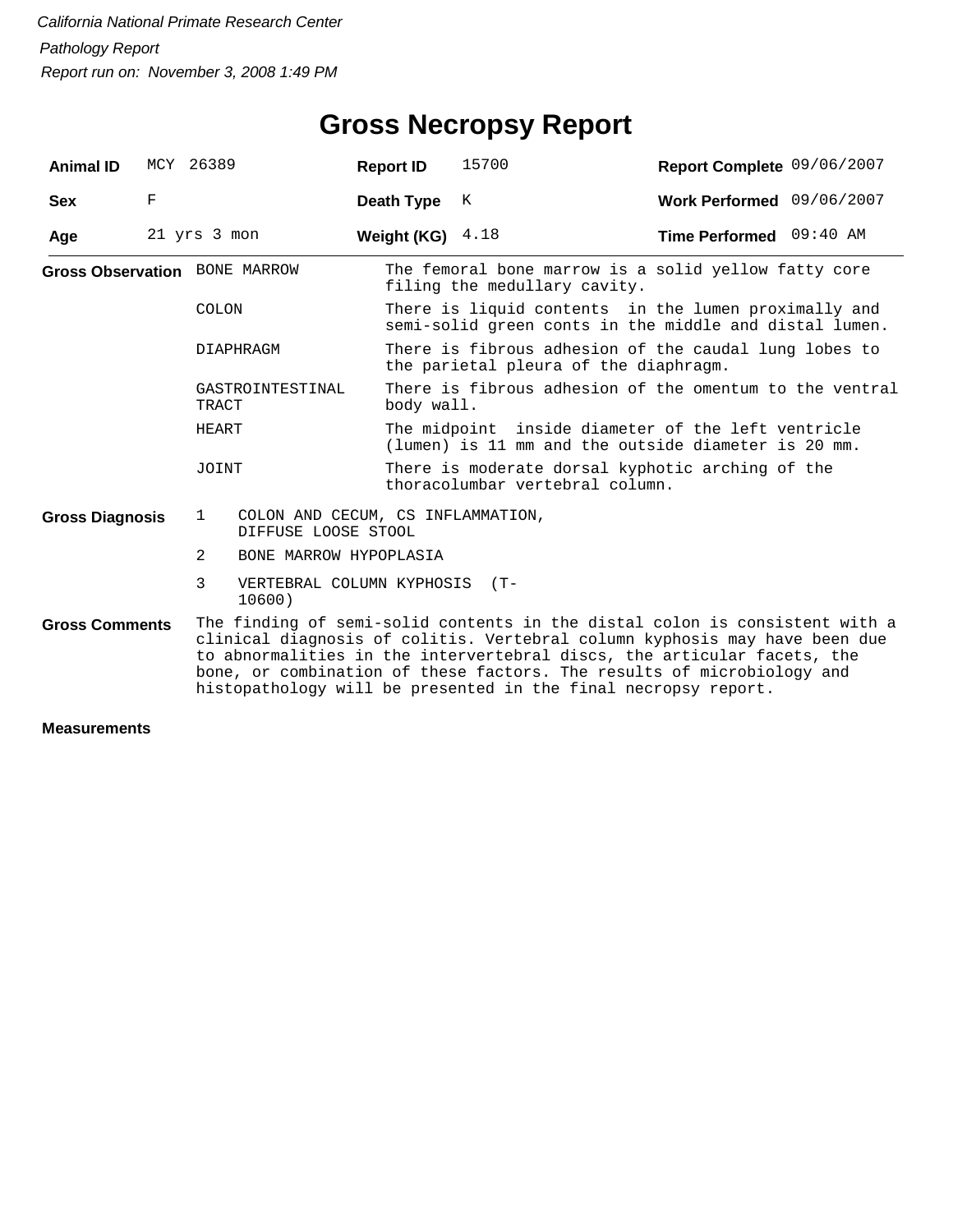## **Gross Necropsy Report**

| <b>Animal ID</b>       |                                                                                                                                                                                                                                                                                                                                                                                  | MCY 26389                                                                | <b>Report ID</b>   | 15700                                                                                                          | Report Complete 09/06/2007 |  |  |
|------------------------|----------------------------------------------------------------------------------------------------------------------------------------------------------------------------------------------------------------------------------------------------------------------------------------------------------------------------------------------------------------------------------|--------------------------------------------------------------------------|--------------------|----------------------------------------------------------------------------------------------------------------|----------------------------|--|--|
| <b>Sex</b>             | $\mathbf F$                                                                                                                                                                                                                                                                                                                                                                      |                                                                          | Death Type         | K                                                                                                              | Work Performed 09/06/2007  |  |  |
| Age                    |                                                                                                                                                                                                                                                                                                                                                                                  | 21 yrs 3 mon                                                             | Weight (KG) $4.18$ |                                                                                                                | Time Performed 09:40 AM    |  |  |
|                        |                                                                                                                                                                                                                                                                                                                                                                                  | <b>Gross Observation</b> BONE MARROW                                     |                    | The femoral bone marrow is a solid yellow fatty core<br>filing the medullary cavity.                           |                            |  |  |
|                        |                                                                                                                                                                                                                                                                                                                                                                                  | COLON                                                                    |                    | There is liquid contents in the lumen proximally and<br>semi-solid green conts in the middle and distal lumen. |                            |  |  |
|                        |                                                                                                                                                                                                                                                                                                                                                                                  | DIAPHRAGM                                                                |                    | There is fibrous adhesion of the caudal lung lobes to<br>the parietal pleura of the diaphragm.                 |                            |  |  |
|                        |                                                                                                                                                                                                                                                                                                                                                                                  | GASTROINTESTINAL<br>TRACT                                                | body wall.         | There is fibrous adhesion of the omentum to the ventral                                                        |                            |  |  |
|                        |                                                                                                                                                                                                                                                                                                                                                                                  | HEART                                                                    |                    | The midpoint inside diameter of the left ventricle<br>(lumen) is 11 mm and the outside diameter is 20 mm.      |                            |  |  |
|                        |                                                                                                                                                                                                                                                                                                                                                                                  | JOINT                                                                    |                    | There is moderate dorsal kyphotic arching of the<br>thoracolumbar vertebral column.                            |                            |  |  |
| <b>Gross Diagnosis</b> |                                                                                                                                                                                                                                                                                                                                                                                  | COLON AND CECUM, CS INFLAMMATION,<br>$\mathbf{1}$<br>DIFFUSE LOOSE STOOL |                    |                                                                                                                |                            |  |  |
|                        |                                                                                                                                                                                                                                                                                                                                                                                  | 2<br>BONE MARROW HYPOPLASIA                                              |                    |                                                                                                                |                            |  |  |
|                        |                                                                                                                                                                                                                                                                                                                                                                                  | 3<br>VERTEBRAL COLUMN KYPHOSIS (T-<br>10600)                             |                    |                                                                                                                |                            |  |  |
| <b>Gross Comments</b>  | The finding of semi-solid contents in the distal colon is consistent with a<br>clinical diagnosis of colitis. Vertebral column kyphosis may have been due<br>to abnormalities in the intervertebral discs, the articular facets, the<br>bone, or combination of these factors. The results of microbiology and<br>histopathology will be presented in the final necropsy report. |                                                                          |                    |                                                                                                                |                            |  |  |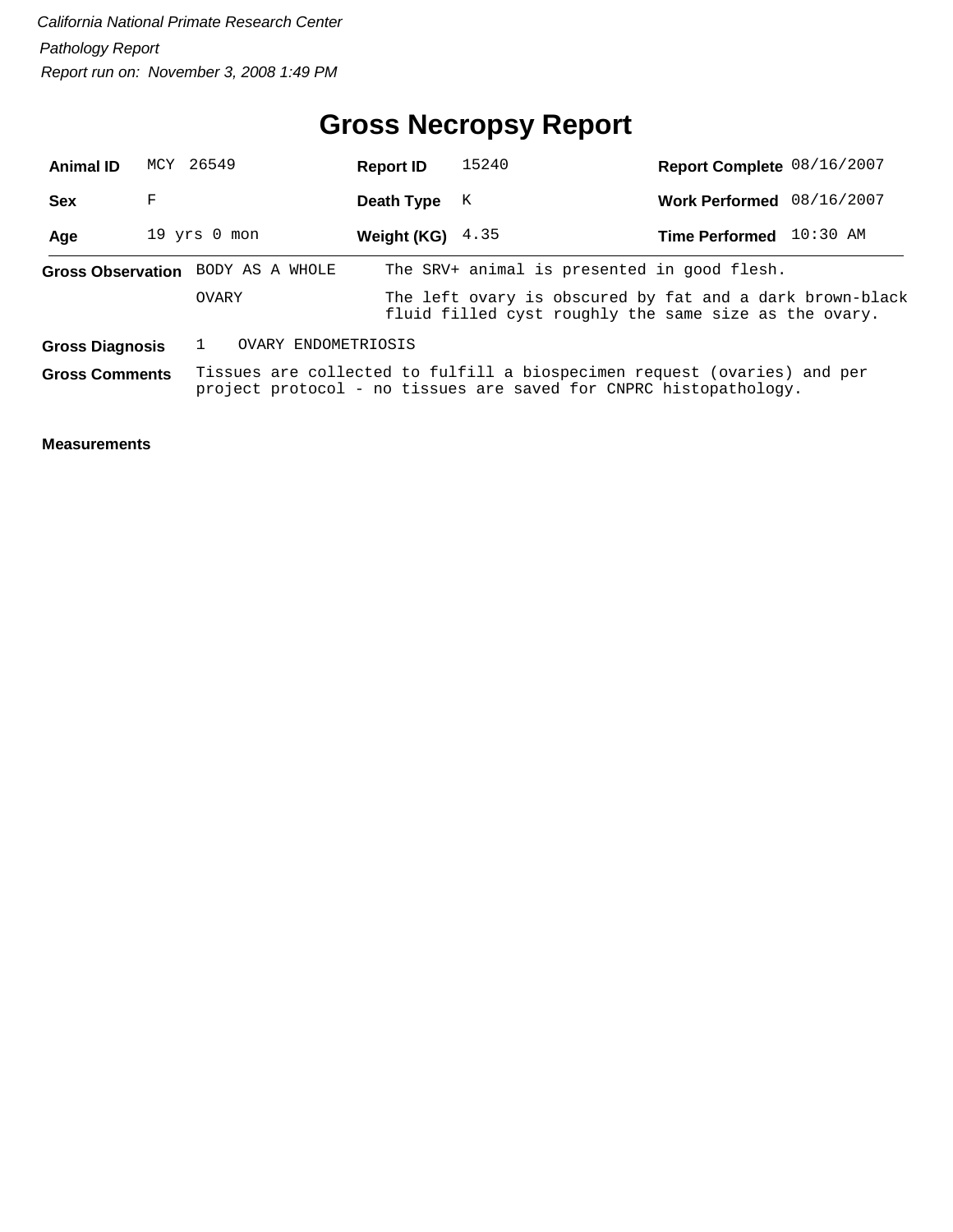## **Gross Necropsy Report**

| <b>Animal ID</b>         |                                                                                                                                                                        | MCY 26549                                                                                                                         | <b>Report ID</b> | 15240                                       | Report Complete 08/16/2007 |  |  |  |  |
|--------------------------|------------------------------------------------------------------------------------------------------------------------------------------------------------------------|-----------------------------------------------------------------------------------------------------------------------------------|------------------|---------------------------------------------|----------------------------|--|--|--|--|
| Sex                      | F                                                                                                                                                                      |                                                                                                                                   | Death Type       | К                                           | Work Performed 08/16/2007  |  |  |  |  |
| Age                      |                                                                                                                                                                        | $19$ yrs $0$ mon                                                                                                                  | Weight (KG)      | 4.35                                        | Time Performed 10:30 AM    |  |  |  |  |
| <b>Gross Observation</b> |                                                                                                                                                                        | BODY AS A WHOLE                                                                                                                   |                  | The SRV+ animal is presented in good flesh. |                            |  |  |  |  |
|                          |                                                                                                                                                                        | The left ovary is obscured by fat and a dark brown-black<br><b>OVARY</b><br>fluid filled cyst roughly the same size as the ovary. |                  |                                             |                            |  |  |  |  |
| <b>Gross Diagnosis</b>   |                                                                                                                                                                        | OVARY ENDOMETRIOSIS                                                                                                               |                  |                                             |                            |  |  |  |  |
|                          | Tissues are collected to fulfill a biospecimen request (ovaries) and per<br><b>Gross Comments</b><br>project protocol - no tissues are saved for CNPRC histopathology. |                                                                                                                                   |                  |                                             |                            |  |  |  |  |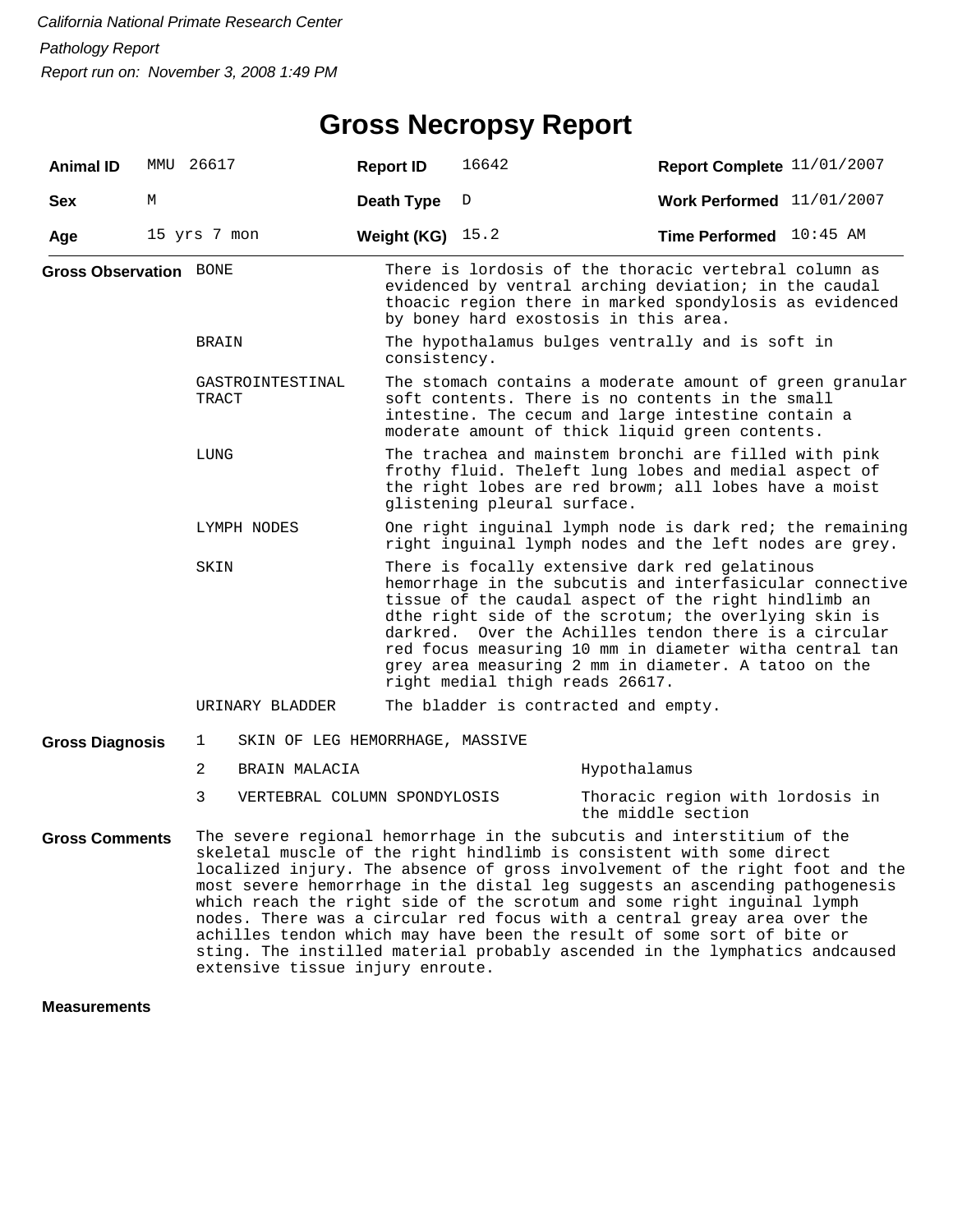#### **Gross Necropsy Report**

| <b>Animal ID</b>              |                                                                                                                                    | MMU 26617                         | <b>Report ID</b>                                                                                                                                                                                                      | 16642                                                                                                                                                                                                                                                                                                                                                                                                                                      | Report Complete 11/01/2007                                                                                                                                                                                                                                                                                                                                                               |  |  |  |
|-------------------------------|------------------------------------------------------------------------------------------------------------------------------------|-----------------------------------|-----------------------------------------------------------------------------------------------------------------------------------------------------------------------------------------------------------------------|--------------------------------------------------------------------------------------------------------------------------------------------------------------------------------------------------------------------------------------------------------------------------------------------------------------------------------------------------------------------------------------------------------------------------------------------|------------------------------------------------------------------------------------------------------------------------------------------------------------------------------------------------------------------------------------------------------------------------------------------------------------------------------------------------------------------------------------------|--|--|--|
| <b>Sex</b>                    | М                                                                                                                                  |                                   | <b>Death Type</b>                                                                                                                                                                                                     | D                                                                                                                                                                                                                                                                                                                                                                                                                                          | Work Performed $11/01/2007$                                                                                                                                                                                                                                                                                                                                                              |  |  |  |
| Age                           |                                                                                                                                    | 15 yrs 7 mon                      | Weight (KG) $15.2$                                                                                                                                                                                                    |                                                                                                                                                                                                                                                                                                                                                                                                                                            | Time Performed 10:45 AM                                                                                                                                                                                                                                                                                                                                                                  |  |  |  |
| <b>Gross Observation BONE</b> |                                                                                                                                    |                                   |                                                                                                                                                                                                                       |                                                                                                                                                                                                                                                                                                                                                                                                                                            | There is lordosis of the thoracic vertebral column as<br>evidenced by ventral arching deviation; in the caudal<br>thoacic region there in marked spondylosis as evidenced<br>by boney hard exostosis in this area.                                                                                                                                                                       |  |  |  |
|                               |                                                                                                                                    | <b>BRAIN</b>                      |                                                                                                                                                                                                                       | The hypothalamus bulges ventrally and is soft in<br>consistency.                                                                                                                                                                                                                                                                                                                                                                           |                                                                                                                                                                                                                                                                                                                                                                                          |  |  |  |
|                               |                                                                                                                                    | GASTROINTESTINAL<br>TRACT         | The stomach contains a moderate amount of green granular<br>soft contents. There is no contents in the small<br>intestine. The cecum and large intestine contain a<br>moderate amount of thick liquid green contents. |                                                                                                                                                                                                                                                                                                                                                                                                                                            |                                                                                                                                                                                                                                                                                                                                                                                          |  |  |  |
|                               |                                                                                                                                    | LUNG                              | The trachea and mainstem bronchi are filled with pink<br>frothy fluid. Theleft lung lobes and medial aspect of<br>the right lobes are red browm; all lobes have a moist<br>glistening pleural surface.                |                                                                                                                                                                                                                                                                                                                                                                                                                                            |                                                                                                                                                                                                                                                                                                                                                                                          |  |  |  |
|                               | One right inguinal lymph node is dark red; the remaining<br>LYMPH NODES<br>right inguinal lymph nodes and the left nodes are grey. |                                   |                                                                                                                                                                                                                       |                                                                                                                                                                                                                                                                                                                                                                                                                                            |                                                                                                                                                                                                                                                                                                                                                                                          |  |  |  |
|                               |                                                                                                                                    | SKIN                              |                                                                                                                                                                                                                       | There is focally extensive dark red gelatinous<br>hemorrhage in the subcutis and interfasicular connective<br>tissue of the caudal aspect of the right hindlimb an<br>dthe right side of the scrotum; the overlying skin is<br>darkred. Over the Achilles tendon there is a circular<br>red focus measuring 10 mm in diameter witha central tan<br>grey area measuring 2 mm in diameter. A tatoo on the<br>right medial thigh reads 26617. |                                                                                                                                                                                                                                                                                                                                                                                          |  |  |  |
|                               |                                                                                                                                    | URINARY BLADDER                   |                                                                                                                                                                                                                       |                                                                                                                                                                                                                                                                                                                                                                                                                                            | The bladder is contracted and empty.                                                                                                                                                                                                                                                                                                                                                     |  |  |  |
| <b>Gross Diagnosis</b>        |                                                                                                                                    | 1                                 |                                                                                                                                                                                                                       | SKIN OF LEG HEMORRHAGE, MASSIVE                                                                                                                                                                                                                                                                                                                                                                                                            |                                                                                                                                                                                                                                                                                                                                                                                          |  |  |  |
|                               |                                                                                                                                    | $\overline{2}$<br>BRAIN MALACIA   |                                                                                                                                                                                                                       |                                                                                                                                                                                                                                                                                                                                                                                                                                            | Hypothalamus                                                                                                                                                                                                                                                                                                                                                                             |  |  |  |
|                               |                                                                                                                                    | 3<br>VERTEBRAL COLUMN SPONDYLOSIS |                                                                                                                                                                                                                       |                                                                                                                                                                                                                                                                                                                                                                                                                                            | Thoracic region with lordosis in<br>the middle section                                                                                                                                                                                                                                                                                                                                   |  |  |  |
| <b>Gross Comments</b>         |                                                                                                                                    |                                   |                                                                                                                                                                                                                       |                                                                                                                                                                                                                                                                                                                                                                                                                                            | The severe regional hemorrhage in the subcutis and interstitium of the<br>skeletal muscle of the right hindlimb is consistent with some direct<br>localized injury. The absence of gross involvement of the right foot and the<br>most severe hemorrhage in the distal leg suggests an ascending pathogenesis<br>which reach the right side of the scrotum and some right inguinal lymph |  |  |  |

nodes. There was a circular red focus with a central greay area over the achilles tendon which may have been the result of some sort of bite or sting. The instilled material probably ascended in the lymphatics andcaused extensive tissue injury enroute.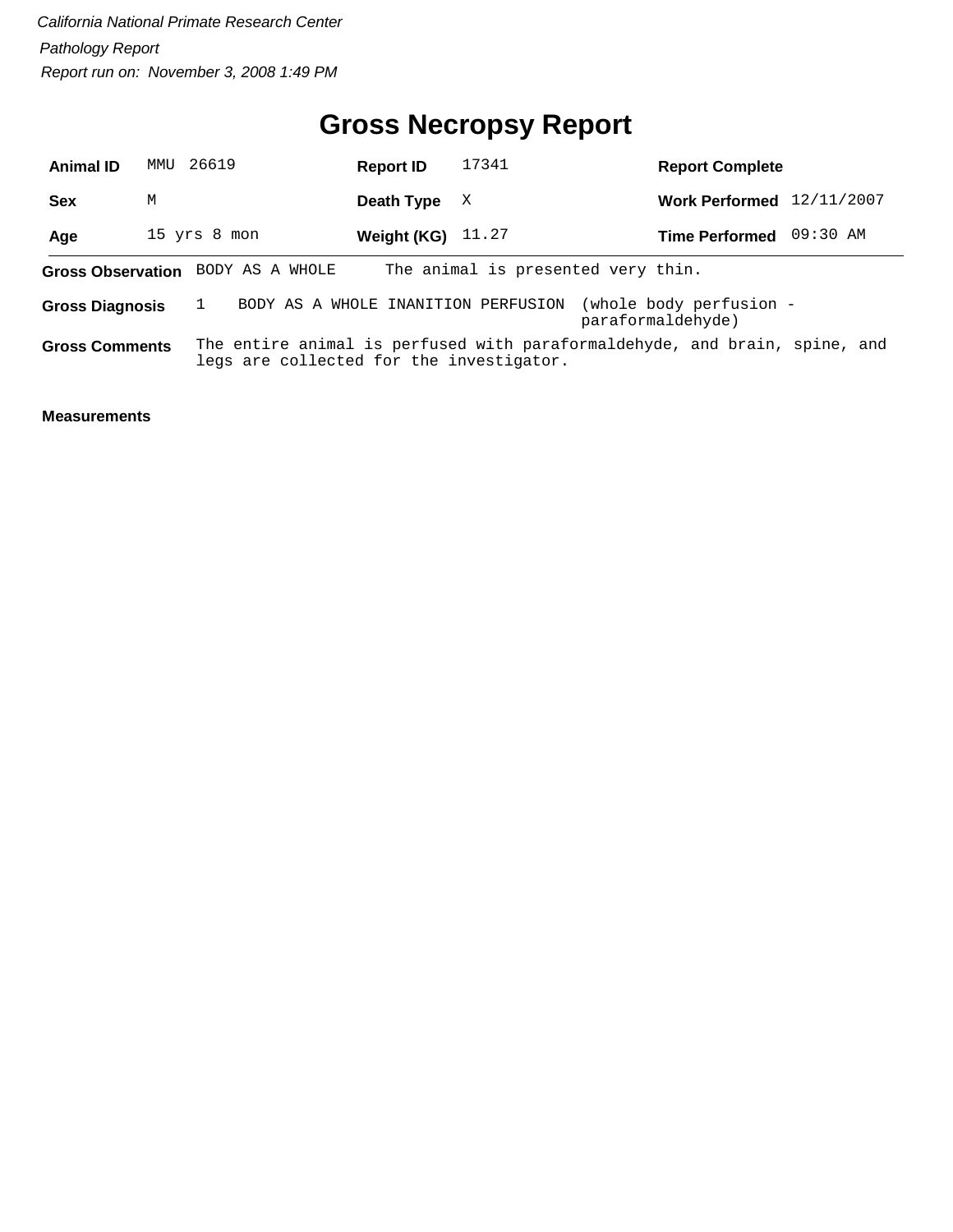## **Gross Necropsy Report**

| <b>Animal ID</b>       | MMU | 26619                                    | <b>Report ID</b> | 17341 | <b>Report Complete</b>                                                     |            |
|------------------------|-----|------------------------------------------|------------------|-------|----------------------------------------------------------------------------|------------|
| <b>Sex</b>             | M   |                                          | Death Type       | X     | <b>Work Performed</b>                                                      | 12/11/2007 |
| Age                    |     | 15 yrs 8 mon                             | Weight (KG)      | 11.27 | <b>Time Performed</b>                                                      | 09:30 AM   |
|                        |     | Gross Observation BODY AS A WHOLE        |                  |       | The animal is presented very thin.                                         |            |
| <b>Gross Diagnosis</b> |     | BODY AS A WHOLE INANITION PERFUSION      |                  |       | (whole body perfusion -<br>paraformaldehyde)                               |            |
| <b>Gross Comments</b>  |     | legs are collected for the investigator. |                  |       | The entire animal is perfused with paraformaldehyde, and brain, spine, and |            |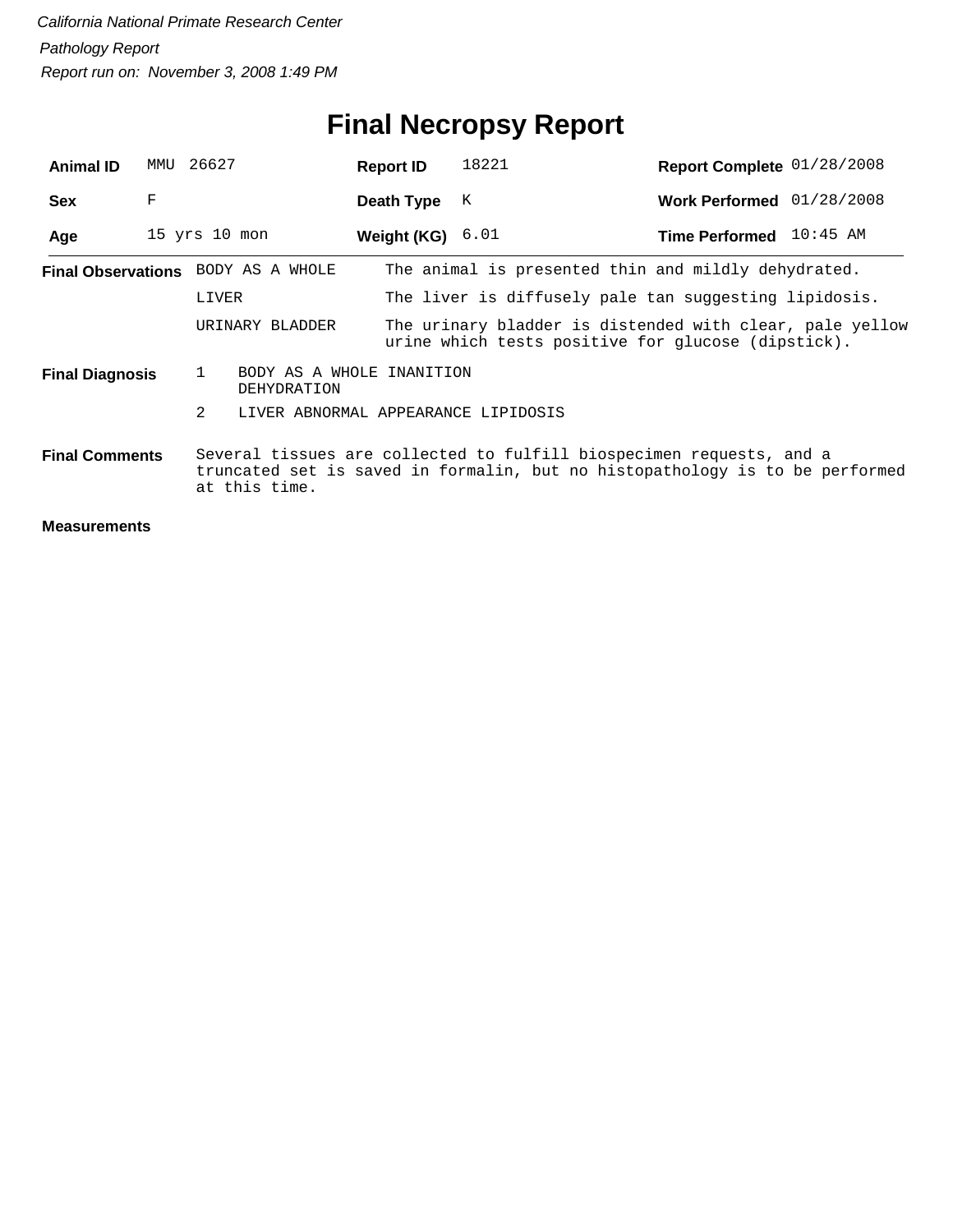## **Final Necropsy Report**

| <b>Animal ID</b>       | MMU | 26627                                                                                                                                                                 |                                                                                                                                   | <b>Report ID</b> |             | 18221                                                 | Report Complete 01/28/2008 |  |  |  |
|------------------------|-----|-----------------------------------------------------------------------------------------------------------------------------------------------------------------------|-----------------------------------------------------------------------------------------------------------------------------------|------------------|-------------|-------------------------------------------------------|----------------------------|--|--|--|
| <b>Sex</b>             | F   |                                                                                                                                                                       |                                                                                                                                   | Death Type       |             | K                                                     | Work Performed 01/28/2008  |  |  |  |
| Age                    |     | $15$ yrs $10$ mon                                                                                                                                                     |                                                                                                                                   |                  | Weight (KG) | 6.01                                                  | Time Performed 10:45 AM    |  |  |  |
|                        |     |                                                                                                                                                                       | Final Observations BODY AS A WHOLE                                                                                                |                  |             | The animal is presented thin and mildly dehydrated.   |                            |  |  |  |
|                        |     | LIVER                                                                                                                                                                 |                                                                                                                                   |                  |             | The liver is diffusely pale tan suggesting lipidosis. |                            |  |  |  |
|                        |     |                                                                                                                                                                       | The urinary bladder is distended with clear, pale yellow<br>URINARY BLADDER<br>urine which tests positive for glucose (dipstick). |                  |             |                                                       |                            |  |  |  |
| <b>Final Diagnosis</b> |     | $\mathbf{1}$                                                                                                                                                          | BODY AS A WHOLE INANITION<br><b>DEHYDRATION</b>                                                                                   |                  |             |                                                       |                            |  |  |  |
|                        |     | 2                                                                                                                                                                     | LIVER ABNORMAL APPEARANCE LIPIDOSIS                                                                                               |                  |             |                                                       |                            |  |  |  |
| <b>Final Comments</b>  |     | Several tissues are collected to fulfill biospecimen requests, and a<br>truncated set is saved in formalin, but no histopathology is to be performed<br>at this time. |                                                                                                                                   |                  |             |                                                       |                            |  |  |  |
| <b>Moscuramonts</b>    |     |                                                                                                                                                                       |                                                                                                                                   |                  |             |                                                       |                            |  |  |  |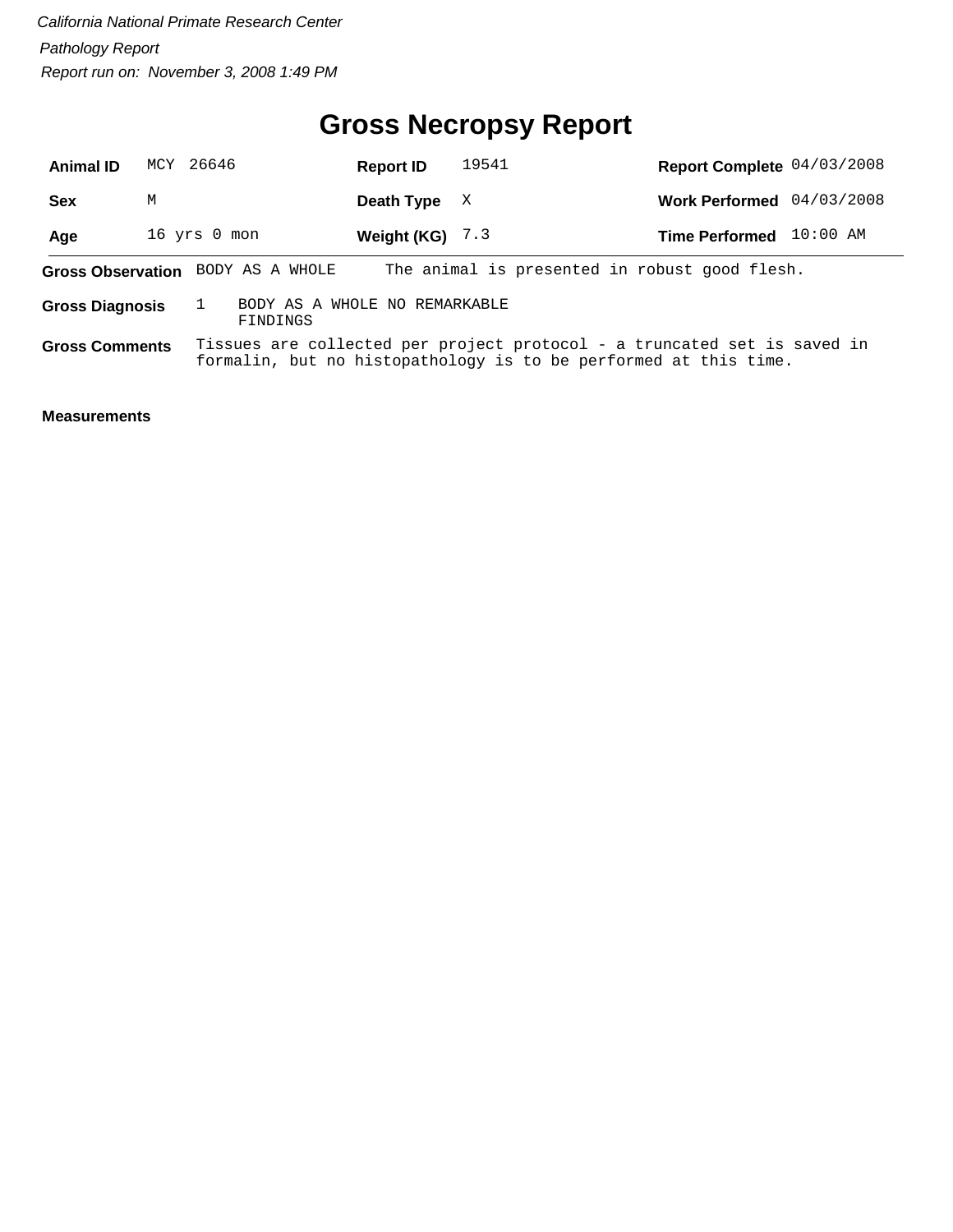#### **Gross Necropsy Report**

| <b>Animal ID</b>       | MCY 26646    |                                           | <b>Report ID</b> | 19541                                                                                                                                        | Report Complete 04/03/2008 |          |
|------------------------|--------------|-------------------------------------------|------------------|----------------------------------------------------------------------------------------------------------------------------------------------|----------------------------|----------|
| <b>Sex</b>             | M            |                                           | Death Type       | X                                                                                                                                            | Work Performed 04/03/2008  |          |
| Age                    | 16 yrs 0 mon |                                           | Weight (KG)      | 7.3                                                                                                                                          | <b>Time Performed</b>      | 10:00 AM |
|                        |              | Gross Observation BODY AS A WHOLE         |                  | The animal is presented in robust good flesh.                                                                                                |                            |          |
| <b>Gross Diagnosis</b> |              | BODY AS A WHOLE NO REMARKABLE<br>FINDINGS |                  |                                                                                                                                              |                            |          |
| <b>Gross Comments</b>  |              |                                           |                  | Tissues are collected per project protocol - a truncated set is saved in<br>formalin, but no histopathology is to be performed at this time. |                            |          |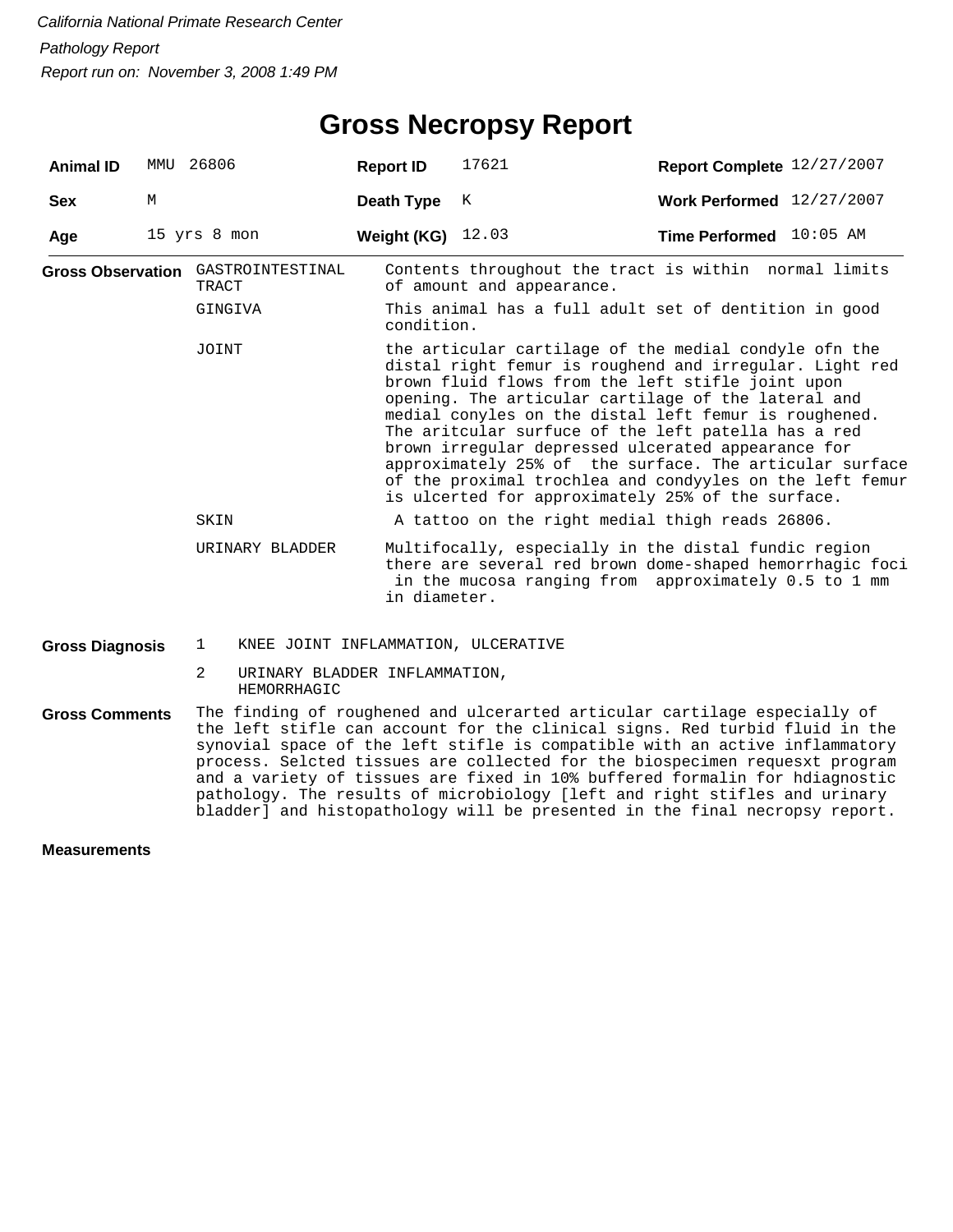| <b>Animal ID</b>       | MMU 26806    |                                                   |                                     | <b>Report ID</b>                                                                                                                                                                                                                                                                                                                                                                                                                                                                                                                                                               | 17621                                                                                                                                                                    | Report Complete 12/27/2007  |  |  |  |
|------------------------|--------------|---------------------------------------------------|-------------------------------------|--------------------------------------------------------------------------------------------------------------------------------------------------------------------------------------------------------------------------------------------------------------------------------------------------------------------------------------------------------------------------------------------------------------------------------------------------------------------------------------------------------------------------------------------------------------------------------|--------------------------------------------------------------------------------------------------------------------------------------------------------------------------|-----------------------------|--|--|--|
| <b>Sex</b>             | М            |                                                   |                                     | Death Type                                                                                                                                                                                                                                                                                                                                                                                                                                                                                                                                                                     | K                                                                                                                                                                        | Work Performed $12/27/2007$ |  |  |  |
| Age                    | 15 yrs 8 mon |                                                   |                                     | Weight (KG)                                                                                                                                                                                                                                                                                                                                                                                                                                                                                                                                                                    | 12.03                                                                                                                                                                    | Time Performed 10:05 AM     |  |  |  |
|                        |              | TRACT                                             | Gross Observation GASTROINTESTINAL  |                                                                                                                                                                                                                                                                                                                                                                                                                                                                                                                                                                                | Contents throughout the tract is within normal limits<br>of amount and appearance.                                                                                       |                             |  |  |  |
|                        |              | GINGIVA                                           |                                     | This animal has a full adult set of dentition in good<br>condition.                                                                                                                                                                                                                                                                                                                                                                                                                                                                                                            |                                                                                                                                                                          |                             |  |  |  |
|                        |              | JOINT                                             |                                     | the articular cartilage of the medial condyle ofn the<br>distal right femur is roughend and irregular. Light red<br>brown fluid flows from the left stifle joint upon<br>opening. The articular cartilage of the lateral and<br>medial conyles on the distal left femur is roughened.<br>The aritcular surfuce of the left patella has a red<br>brown irregular depressed ulcerated appearance for<br>approximately 25% of the surface. The articular surface<br>of the proximal trochlea and condyyles on the left femur<br>is ulcerted for approximately 25% of the surface. |                                                                                                                                                                          |                             |  |  |  |
|                        |              | SKIN                                              |                                     | A tattoo on the right medial thigh reads 26806.                                                                                                                                                                                                                                                                                                                                                                                                                                                                                                                                |                                                                                                                                                                          |                             |  |  |  |
|                        |              |                                                   | URINARY BLADDER                     | in diameter.                                                                                                                                                                                                                                                                                                                                                                                                                                                                                                                                                                   | Multifocally, especially in the distal fundic region<br>there are several red brown dome-shaped hemorrhagic foci<br>in the mucosa ranging from approximately 0.5 to 1 mm |                             |  |  |  |
| <b>Gross Diagnosis</b> |              | 1                                                 | KNEE JOINT INFLAMMATION, ULCERATIVE |                                                                                                                                                                                                                                                                                                                                                                                                                                                                                                                                                                                |                                                                                                                                                                          |                             |  |  |  |
|                        |              | 2<br>URINARY BLADDER INFLAMMATION,<br>HEMORRHAGIC |                                     |                                                                                                                                                                                                                                                                                                                                                                                                                                                                                                                                                                                |                                                                                                                                                                          |                             |  |  |  |
| <b>Gross Comments</b>  |              |                                                   |                                     | The finding of roughened and ulcerarted articular cartilage especially of<br>the left stifle can account for the clinical signs. Red turbid fluid in the<br>synovial space of the left stifle is compatible with an active inflammatory                                                                                                                                                                                                                                                                                                                                        |                                                                                                                                                                          |                             |  |  |  |

process. Selcted tissues are collected for the biospecimen requesxt program and a variety of tissues are fixed in 10% buffered formalin for hdiagnostic pathology. The results of microbiology [left and right stifles and urinary bladder] and histopathology will be presented in the final necropsy report.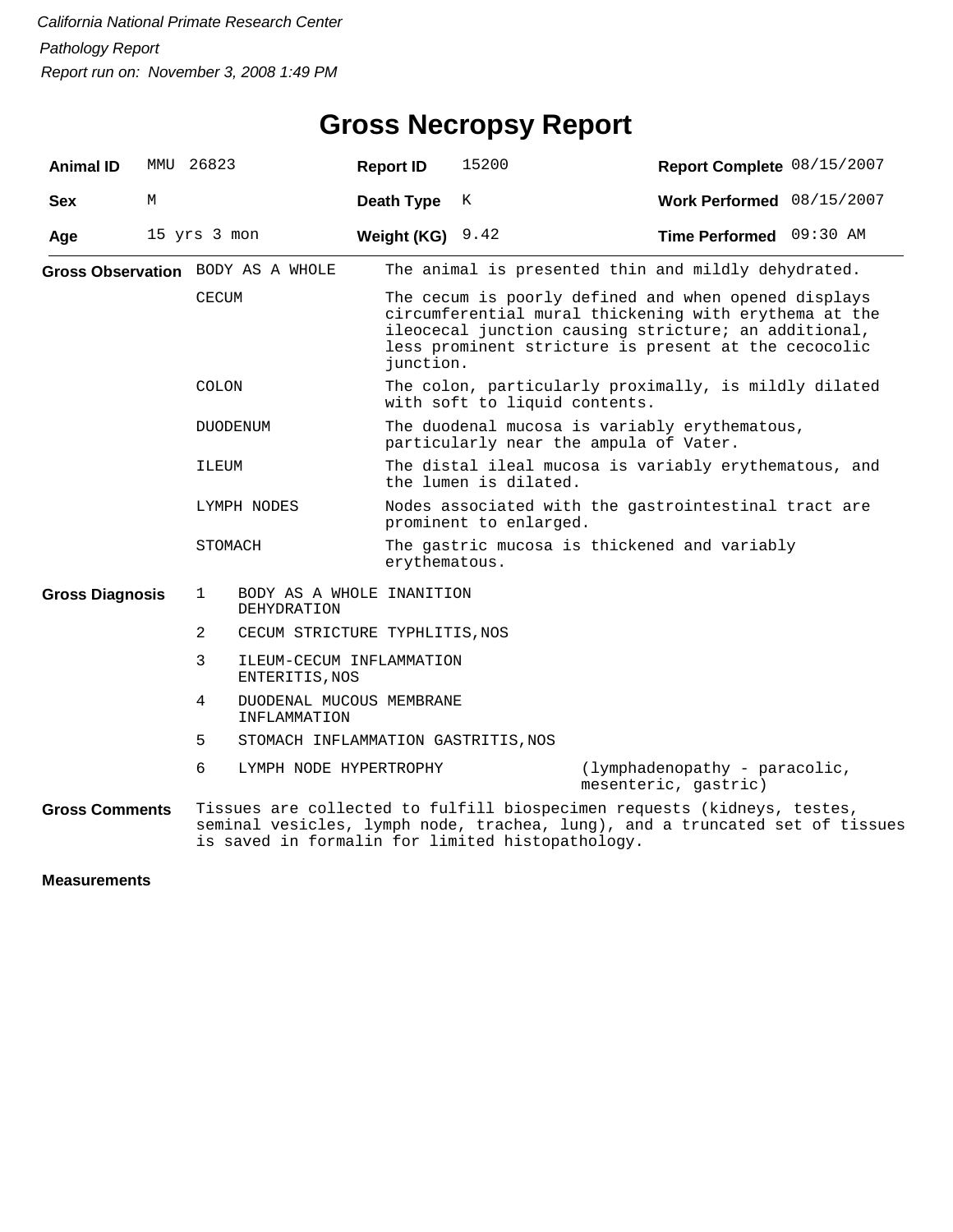| <b>Animal ID</b>                  | MMU | 26823           |                                            | <b>Report ID</b>                                              | 15200                                                                                   |                                                                                                                                                                                                                               | Report Complete 08/15/2007 |  |  |
|-----------------------------------|-----|-----------------|--------------------------------------------|---------------------------------------------------------------|-----------------------------------------------------------------------------------------|-------------------------------------------------------------------------------------------------------------------------------------------------------------------------------------------------------------------------------|----------------------------|--|--|
| <b>Sex</b>                        | М   |                 |                                            | Death Type                                                    | K                                                                                       |                                                                                                                                                                                                                               | Work Performed 08/15/2007  |  |  |
| Age                               |     | 15 yrs 3 mon    |                                            | Weight (KG)                                                   | 9.42                                                                                    |                                                                                                                                                                                                                               | Time Performed 09:30 AM    |  |  |
| Gross Observation BODY AS A WHOLE |     |                 |                                            |                                                               |                                                                                         | The animal is presented thin and mildly dehydrated.                                                                                                                                                                           |                            |  |  |
|                                   |     | CECUM           |                                            | junction.                                                     |                                                                                         | The cecum is poorly defined and when opened displays<br>circumferential mural thickening with erythema at the<br>ileocecal junction causing stricture; an additional,<br>less prominent stricture is present at the cecocolic |                            |  |  |
|                                   |     | <b>COLON</b>    |                                            |                                                               | The colon, particularly proximally, is mildly dilated<br>with soft to liquid contents.  |                                                                                                                                                                                                                               |                            |  |  |
|                                   |     | <b>DUODENUM</b> |                                            |                                                               | The duodenal mucosa is variably erythematous,<br>particularly near the ampula of Vater. |                                                                                                                                                                                                                               |                            |  |  |
|                                   |     | ILEUM           |                                            |                                                               | the lumen is dilated.                                                                   | The distal ileal mucosa is variably erythematous, and                                                                                                                                                                         |                            |  |  |
|                                   |     | LYMPH NODES     |                                            |                                                               | prominent to enlarged.                                                                  | Nodes associated with the gastrointestinal tract are                                                                                                                                                                          |                            |  |  |
|                                   |     | STOMACH         |                                            | The gastric mucosa is thickened and variably<br>erythematous. |                                                                                         |                                                                                                                                                                                                                               |                            |  |  |
| <b>Gross Diagnosis</b>            |     | 1               | BODY AS A WHOLE INANITION<br>DEHYDRATION   |                                                               |                                                                                         |                                                                                                                                                                                                                               |                            |  |  |
|                                   |     | 2               | CECUM STRICTURE TYPHLITIS, NOS             |                                                               |                                                                                         |                                                                                                                                                                                                                               |                            |  |  |
|                                   |     | 3               | ILEUM-CECUM INFLAMMATION<br>ENTERITIS, NOS |                                                               |                                                                                         |                                                                                                                                                                                                                               |                            |  |  |
|                                   |     | 4               | DUODENAL MUCOUS MEMBRANE<br>INFLAMMATION   |                                                               |                                                                                         |                                                                                                                                                                                                                               |                            |  |  |
|                                   |     | 5               | STOMACH INFLAMMATION GASTRITIS, NOS        |                                                               |                                                                                         |                                                                                                                                                                                                                               |                            |  |  |
|                                   |     | 6               | LYMPH NODE HYPERTROPHY                     |                                                               |                                                                                         | (lymphadenopathy - paracolic,<br>mesenteric, gastric)                                                                                                                                                                         |                            |  |  |
| <b>Gross Comments</b>             |     |                 |                                            |                                                               | is saved in formalin for limited histopathology.                                        | Tissues are collected to fulfill biospecimen requests (kidneys, testes,<br>seminal vesicles, lymph node, trachea, lung), and a truncated set of tissues                                                                       |                            |  |  |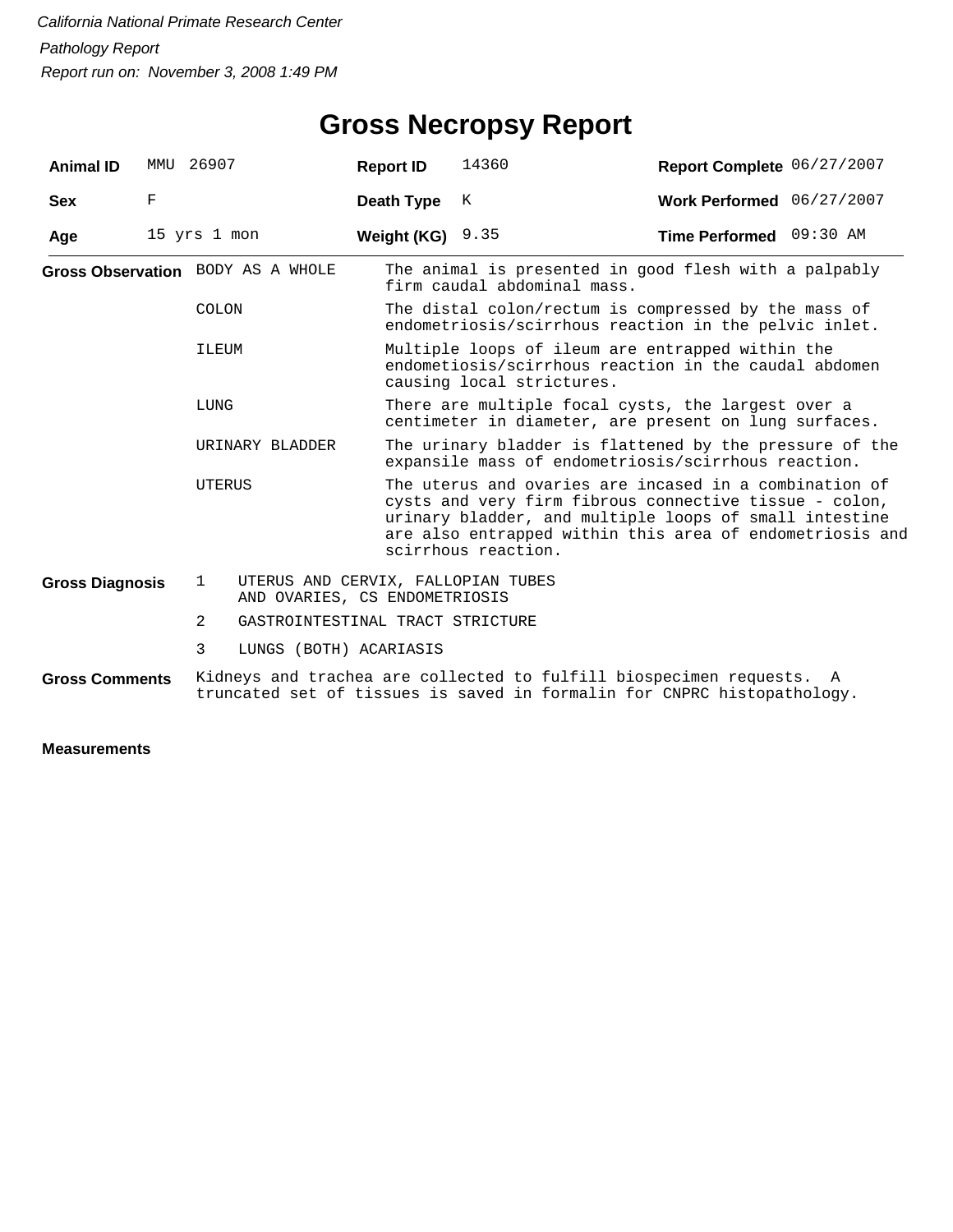## **Gross Necropsy Report**

| <b>Animal ID</b>       | MMU | 26907                                                                               | <b>Report ID</b>                                                                                                                                | 14360                                                                                                                                                                                                                                                         | Report Complete 06/27/2007                                                                                  |  |  |  |
|------------------------|-----|-------------------------------------------------------------------------------------|-------------------------------------------------------------------------------------------------------------------------------------------------|---------------------------------------------------------------------------------------------------------------------------------------------------------------------------------------------------------------------------------------------------------------|-------------------------------------------------------------------------------------------------------------|--|--|--|
| <b>Sex</b>             | F   |                                                                                     | Death Type                                                                                                                                      | K                                                                                                                                                                                                                                                             | Work Performed 06/27/2007                                                                                   |  |  |  |
| Age                    |     | 15 yrs 1 mon                                                                        | Weight (KG)                                                                                                                                     | 9.35                                                                                                                                                                                                                                                          | Time Performed 09:30 AM                                                                                     |  |  |  |
|                        |     | Gross Observation BODY AS A WHOLE                                                   |                                                                                                                                                 | firm caudal abdominal mass.                                                                                                                                                                                                                                   | The animal is presented in good flesh with a palpably                                                       |  |  |  |
|                        |     | <b>COLON</b>                                                                        |                                                                                                                                                 | The distal colon/rectum is compressed by the mass of<br>endometriosis/scirrhous reaction in the pelvic inlet.                                                                                                                                                 |                                                                                                             |  |  |  |
|                        |     | ILEUM                                                                               |                                                                                                                                                 | Multiple loops of ileum are entrapped within the<br>endometiosis/scirrhous reaction in the caudal abdomen<br>causing local strictures.                                                                                                                        |                                                                                                             |  |  |  |
|                        |     | LUNG                                                                                |                                                                                                                                                 |                                                                                                                                                                                                                                                               | There are multiple focal cysts, the largest over a<br>centimeter in diameter, are present on lung surfaces. |  |  |  |
|                        |     | URINARY BLADDER                                                                     |                                                                                                                                                 | The urinary bladder is flattened by the pressure of the<br>expansile mass of endometriosis/scirrhous reaction.                                                                                                                                                |                                                                                                             |  |  |  |
|                        |     | UTERUS                                                                              |                                                                                                                                                 | The uterus and ovaries are incased in a combination of<br>cysts and very firm fibrous connective tissue - colon,<br>urinary bladder, and multiple loops of small intestine<br>are also entrapped within this area of endometriosis and<br>scirrhous reaction. |                                                                                                             |  |  |  |
| <b>Gross Diagnosis</b> |     | $\mathbf{1}$<br>UTERUS AND CERVIX, FALLOPIAN TUBES<br>AND OVARIES, CS ENDOMETRIOSIS |                                                                                                                                                 |                                                                                                                                                                                                                                                               |                                                                                                             |  |  |  |
|                        |     | 2<br>GASTROINTESTINAL TRACT STRICTURE                                               |                                                                                                                                                 |                                                                                                                                                                                                                                                               |                                                                                                             |  |  |  |
|                        |     | 3<br>LUNGS (BOTH) ACARIASIS                                                         |                                                                                                                                                 |                                                                                                                                                                                                                                                               |                                                                                                             |  |  |  |
| <b>Gross Comments</b>  |     |                                                                                     | Kidneys and trachea are collected to fulfill biospecimen requests. A<br>truncated set of tissues is saved in formalin for CNPRC histopathology. |                                                                                                                                                                                                                                                               |                                                                                                             |  |  |  |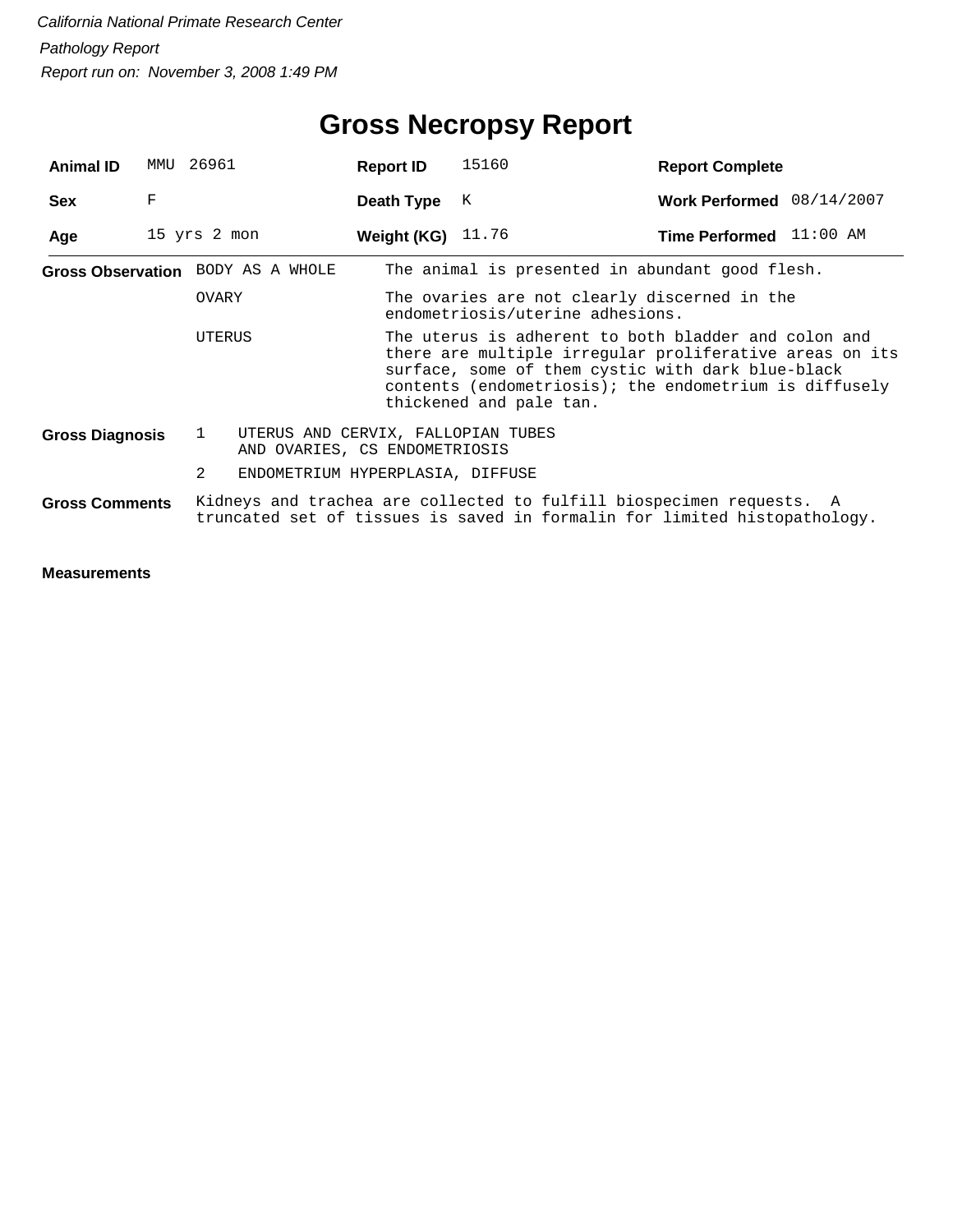| <b>Animal ID</b>       | MMU                                                                                 | 26961        |                                   | <b>Report ID</b> |                                                                                                                                                                                                                                                           | 15160                      |  | <b>Report Complete</b>                                                                                                                            |  |  |
|------------------------|-------------------------------------------------------------------------------------|--------------|-----------------------------------|------------------|-----------------------------------------------------------------------------------------------------------------------------------------------------------------------------------------------------------------------------------------------------------|----------------------------|--|---------------------------------------------------------------------------------------------------------------------------------------------------|--|--|
| <b>Sex</b>             | F                                                                                   |              |                                   |                  | Death Type                                                                                                                                                                                                                                                | К                          |  | Work Performed 08/14/2007                                                                                                                         |  |  |
| Age                    |                                                                                     | 15 yrs 2 mon |                                   |                  |                                                                                                                                                                                                                                                           | <b>Weight (KG)</b> $11.76$ |  | Time Performed 11:00 AM                                                                                                                           |  |  |
|                        |                                                                                     |              | Gross Observation BODY AS A WHOLE |                  |                                                                                                                                                                                                                                                           |                            |  | The animal is presented in abundant good flesh.                                                                                                   |  |  |
|                        |                                                                                     | OVARY        |                                   |                  | The ovaries are not clearly discerned in the<br>endometriosis/uterine adhesions.                                                                                                                                                                          |                            |  |                                                                                                                                                   |  |  |
|                        |                                                                                     | UTERUS       |                                   |                  | The uterus is adherent to both bladder and colon and<br>there are multiple irregular proliferative areas on its<br>surface, some of them cystic with dark blue-black<br>contents (endometriosis); the endometrium is diffusely<br>thickened and pale tan. |                            |  |                                                                                                                                                   |  |  |
| <b>Gross Diagnosis</b> | UTERUS AND CERVIX, FALLOPIAN TUBES<br>$\mathbf{1}$<br>AND OVARIES, CS ENDOMETRIOSIS |              |                                   |                  |                                                                                                                                                                                                                                                           |                            |  |                                                                                                                                                   |  |  |
|                        |                                                                                     | 2            | ENDOMETRIUM HYPERPLASIA, DIFFUSE  |                  |                                                                                                                                                                                                                                                           |                            |  |                                                                                                                                                   |  |  |
| <b>Gross Comments</b>  |                                                                                     |              |                                   |                  |                                                                                                                                                                                                                                                           |                            |  | Kidneys and trachea are collected to fulfill biospecimen requests. A<br>truncated set of tissues is saved in formalin for limited histopathology. |  |  |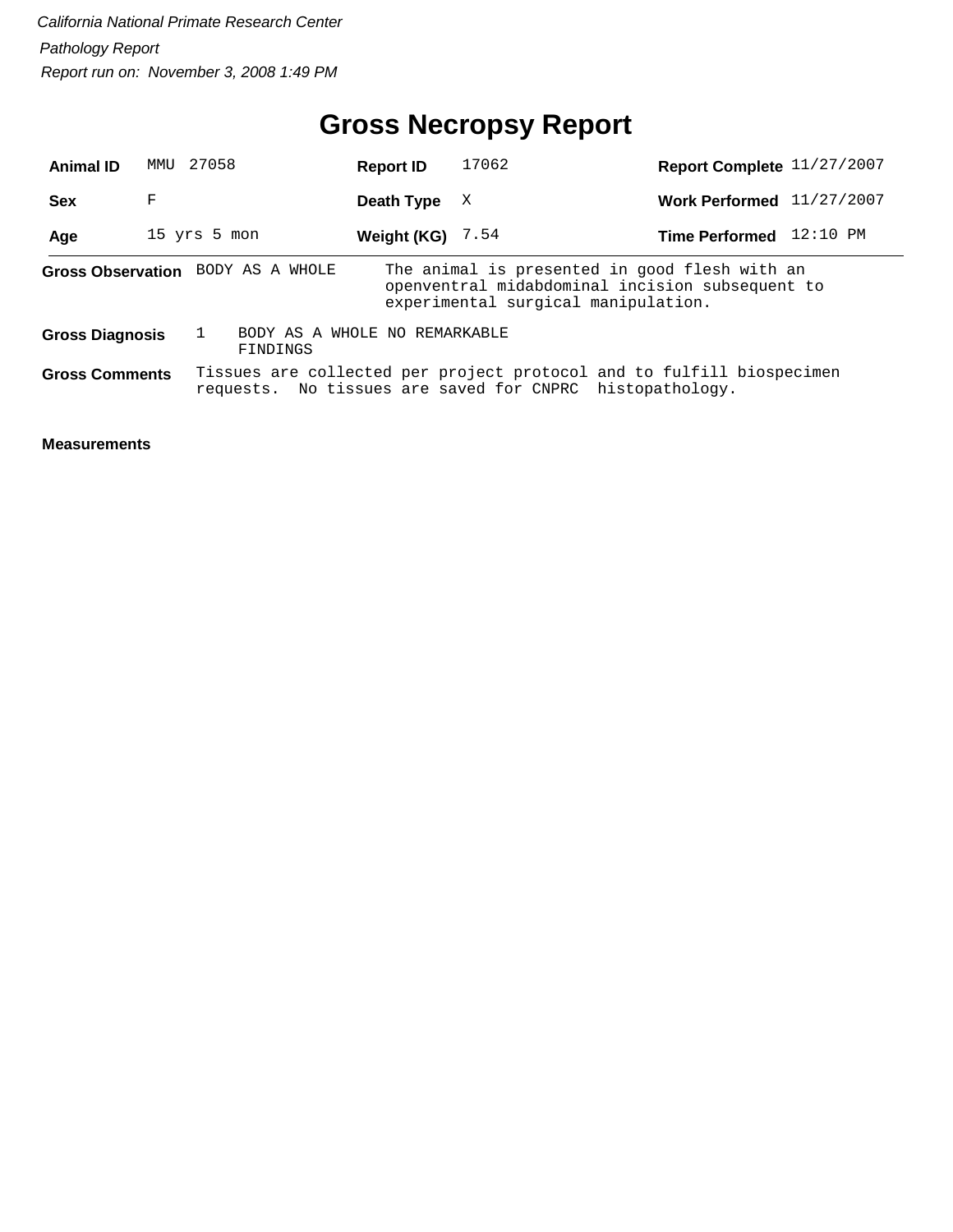## **Gross Necropsy Report**

| <b>Animal ID</b>       | 27058<br>MMU |                                           | <b>Report ID</b>   | 17062                                                                                                                                   | Report Complete 11/27/2007  |          |
|------------------------|--------------|-------------------------------------------|--------------------|-----------------------------------------------------------------------------------------------------------------------------------------|-----------------------------|----------|
| <b>Sex</b>             | F            |                                           | Death Type         | X                                                                                                                                       | Work Performed $11/27/2007$ |          |
| Age                    | 15 yrs 5 mon |                                           | Weight (KG) $7.54$ |                                                                                                                                         | <b>Time Performed</b>       | 12:10 PM |
|                        |              | Gross Observation BODY AS A WHOLE         |                    | The animal is presented in good flesh with an<br>openventral midabdominal incision subsequent to<br>experimental surgical manipulation. |                             |          |
| <b>Gross Diagnosis</b> |              | BODY AS A WHOLE NO REMARKABLE<br>FINDINGS |                    |                                                                                                                                         |                             |          |
| <b>Gross Comments</b>  |              |                                           |                    | Tissues are collected per project protocol and to fulfill biospecimen<br>requests. No tissues are saved for CNPRC histopathology.       |                             |          |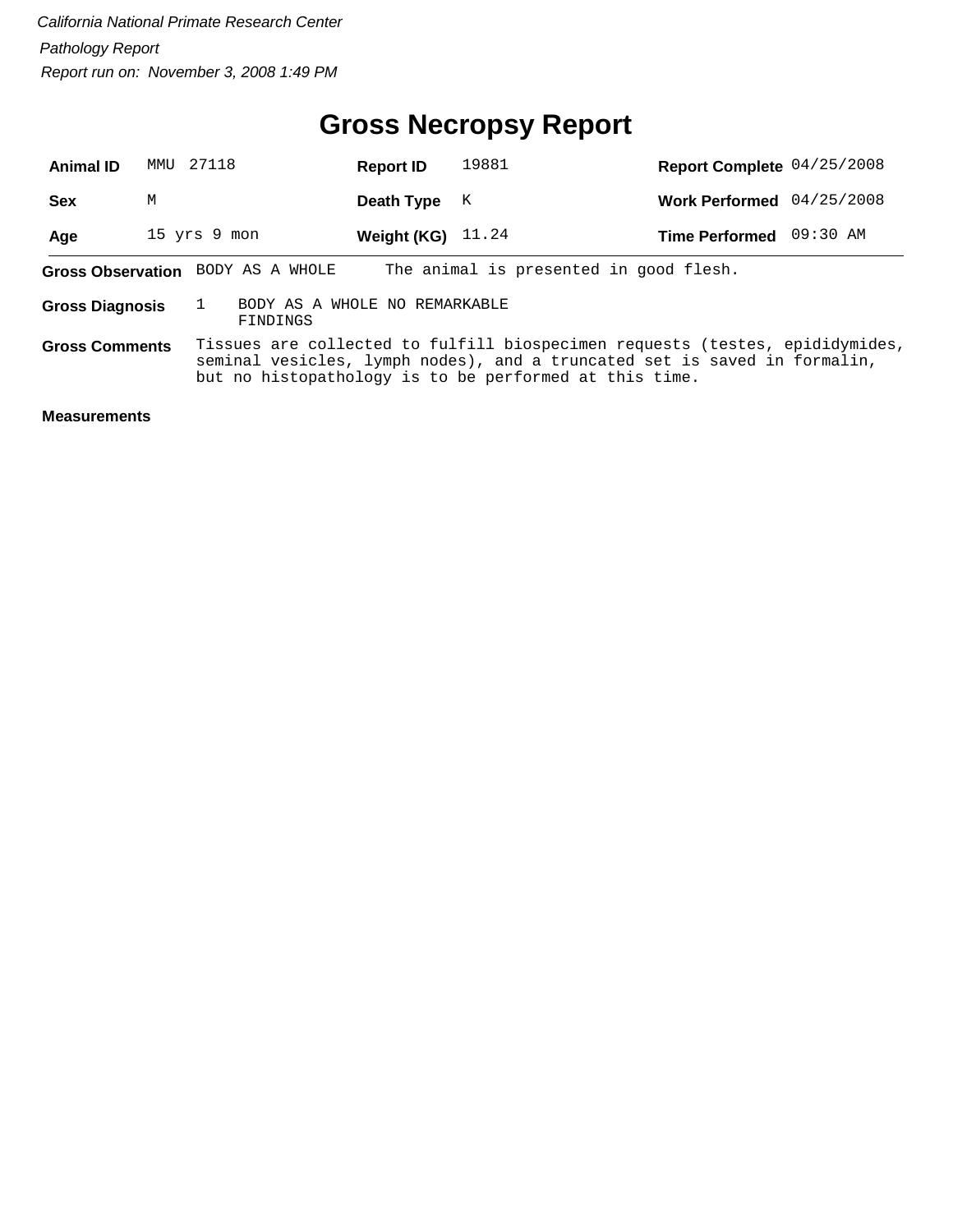#### **Gross Necropsy Report**

| <b>Animal ID</b>       | MMTJ | 27118                                                  | <b>Report ID</b>    | 19881 | Report Complete 04/25/2008                                                                                                                                |            |
|------------------------|------|--------------------------------------------------------|---------------------|-------|-----------------------------------------------------------------------------------------------------------------------------------------------------------|------------|
| <b>Sex</b>             | M    |                                                        | Death Type          | K     | <b>Work Performed</b>                                                                                                                                     | 04/25/2008 |
| Age                    |      | 15 yrs 9 mon                                           | Weight (KG) $11.24$ |       | Time Performed 09:30 AM                                                                                                                                   |            |
|                        |      | Gross Observation BODY AS A WHOLE                      |                     |       | The animal is presented in good flesh.                                                                                                                    |            |
| <b>Gross Diagnosis</b> |      | BODY AS A WHOLE NO REMARKABLE<br>FINDINGS              |                     |       |                                                                                                                                                           |            |
| <b>Gross Comments</b>  |      | but no histopathology is to be performed at this time. |                     |       | Tissues are collected to fulfill biospecimen requests (testes, epididymides,<br>seminal vesicles, lymph nodes), and a truncated set is saved in formalin, |            |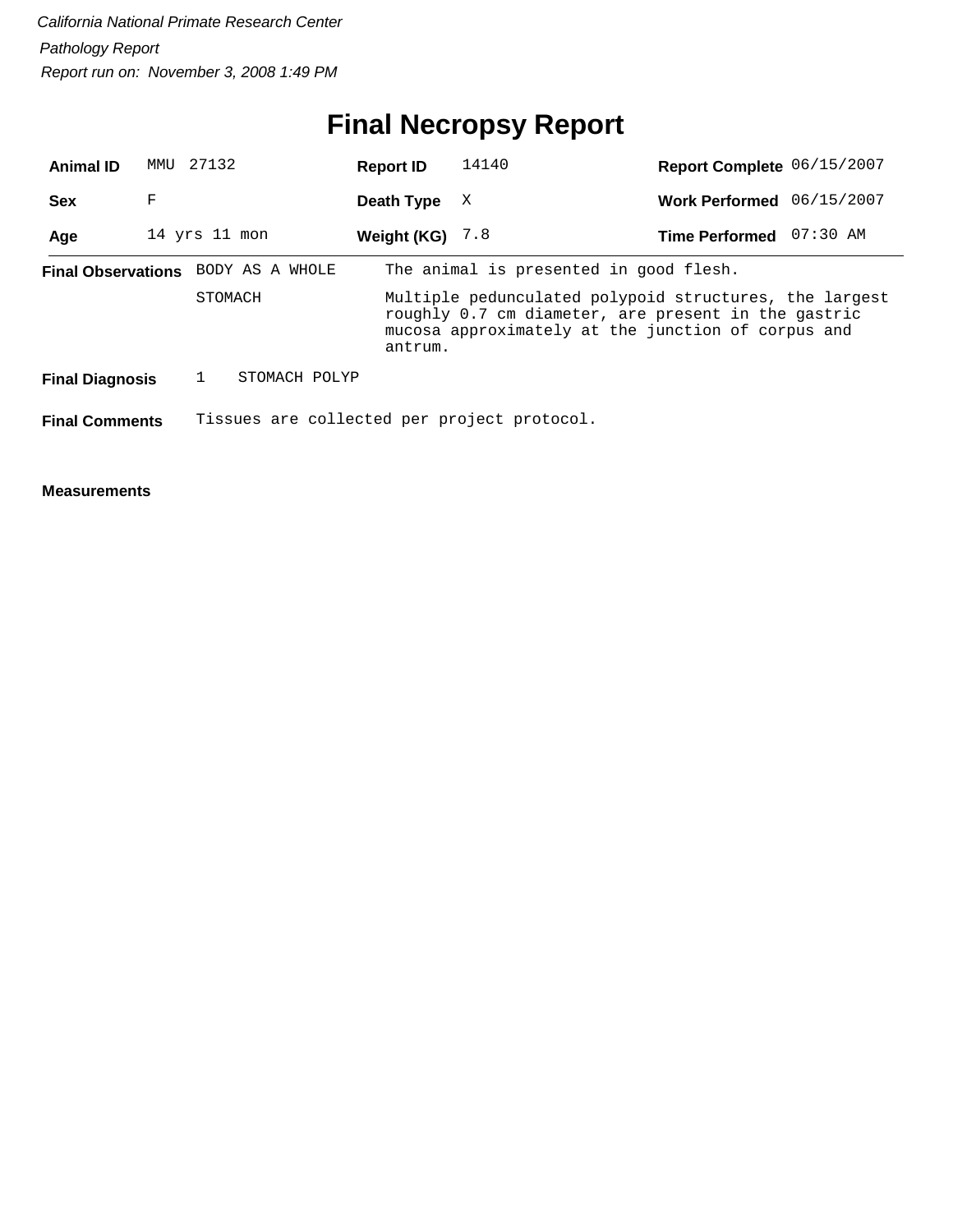# **Final Necropsy Report**

| <b>Animal ID</b>          | MMU               | 27132                                       |                                                                                                                                                                                |  | <b>Report ID</b>  | 14140                                  |  | Report Complete 06/15/2007 |            |
|---------------------------|-------------------|---------------------------------------------|--------------------------------------------------------------------------------------------------------------------------------------------------------------------------------|--|-------------------|----------------------------------------|--|----------------------------|------------|
| <b>Sex</b>                | F                 |                                             |                                                                                                                                                                                |  | Death Type        | X                                      |  | <b>Work Performed</b>      | 06/15/2007 |
| Age                       | $14$ yrs $11$ mon |                                             |                                                                                                                                                                                |  | Weight (KG) $7.8$ |                                        |  | <b>Time Performed</b>      | 07:30 AM   |
| <b>Final Observations</b> |                   |                                             | BODY AS A WHOLE                                                                                                                                                                |  |                   | The animal is presented in good flesh. |  |                            |            |
| STOMACH                   |                   |                                             | Multiple pedunculated polypoid structures, the largest<br>roughly 0.7 cm diameter, are present in the gastric<br>mucosa approximately at the junction of corpus and<br>antrum. |  |                   |                                        |  |                            |            |
| <b>Final Diagnosis</b>    |                   |                                             | STOMACH POLYP                                                                                                                                                                  |  |                   |                                        |  |                            |            |
| <b>Final Comments</b>     |                   | Tissues are collected per project protocol. |                                                                                                                                                                                |  |                   |                                        |  |                            |            |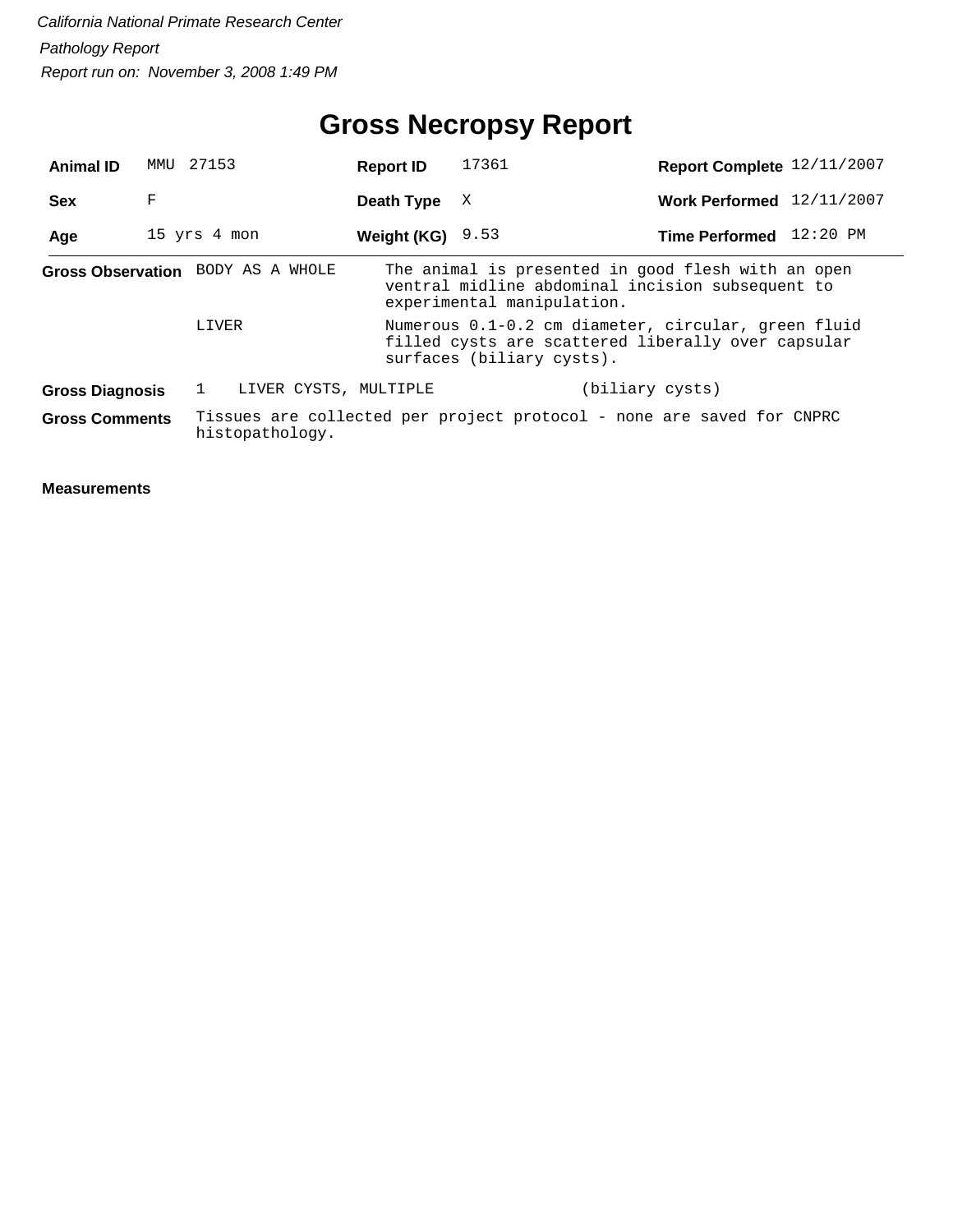## **Gross Necropsy Report**

| <b>Animal ID</b>                                                                                                  | MMU          | 27153        |                    |  | <b>Report ID</b>                                                                                                                       | 17361                                                                                                                                | Report Complete 12/11/2007 |  |  |  |
|-------------------------------------------------------------------------------------------------------------------|--------------|--------------|--------------------|--|----------------------------------------------------------------------------------------------------------------------------------------|--------------------------------------------------------------------------------------------------------------------------------------|----------------------------|--|--|--|
| <b>Sex</b>                                                                                                        | F            |              |                    |  | Death Type                                                                                                                             | X                                                                                                                                    | Work Performed 12/11/2007  |  |  |  |
| Age                                                                                                               | 15 yrs 4 mon |              | Weight (KG) $9.53$ |  | Time Performed 12:20 PM                                                                                                                |                                                                                                                                      |                            |  |  |  |
| Gross Observation BODY AS A WHOLE                                                                                 |              |              |                    |  |                                                                                                                                        | The animal is presented in good flesh with an open<br>ventral midline abdominal incision subsequent to<br>experimental manipulation. |                            |  |  |  |
|                                                                                                                   |              | LIVER        |                    |  | Numerous 0.1-0.2 cm diameter, circular, green fluid<br>filled cysts are scattered liberally over capsular<br>surfaces (biliary cysts). |                                                                                                                                      |                            |  |  |  |
| <b>Gross Diagnosis</b>                                                                                            |              | $\mathbf{1}$ |                    |  | LIVER CYSTS, MULTIPLE                                                                                                                  |                                                                                                                                      | (biliary cysts)            |  |  |  |
| Tissues are collected per project protocol - none are saved for CNPRC<br><b>Gross Comments</b><br>histopathology. |              |              |                    |  |                                                                                                                                        |                                                                                                                                      |                            |  |  |  |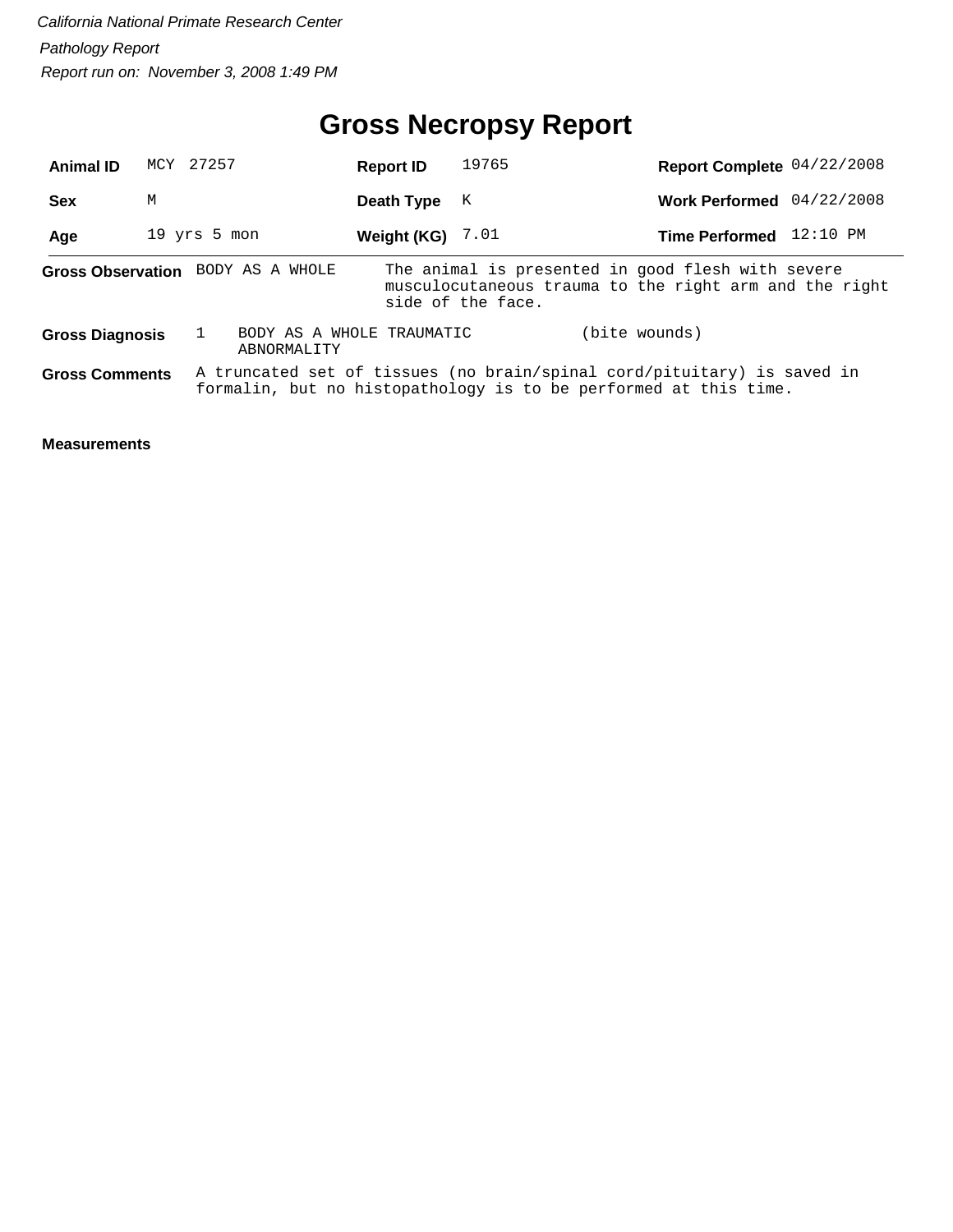## **Gross Necropsy Report**

| <b>Animal ID</b>       | MCY 27257 |                                          | <b>Report ID</b>   | 19765             | Report Complete 04/22/2008                                                                                                                  |            |
|------------------------|-----------|------------------------------------------|--------------------|-------------------|---------------------------------------------------------------------------------------------------------------------------------------------|------------|
| <b>Sex</b>             | M         |                                          | Death Type         | K                 | <b>Work Performed</b>                                                                                                                       | 04/22/2008 |
| Age                    |           | $19$ yrs $5$ mon                         | Weight (KG) $7.01$ |                   | Time Performed 12:10 PM                                                                                                                     |            |
|                        |           | Gross Observation BODY AS A WHOLE        |                    | side of the face. | The animal is presented in good flesh with severe<br>musculocutaneous trauma to the right arm and the right                                 |            |
| <b>Gross Diagnosis</b> |           | BODY AS A WHOLE TRAUMATIC<br>ABNORMALITY |                    |                   | (bite wounds)                                                                                                                               |            |
| <b>Gross Comments</b>  |           |                                          |                    |                   | A truncated set of tissues (no brain/spinal cord/pituitary) is saved in<br>formalin, but no histopathology is to be performed at this time. |            |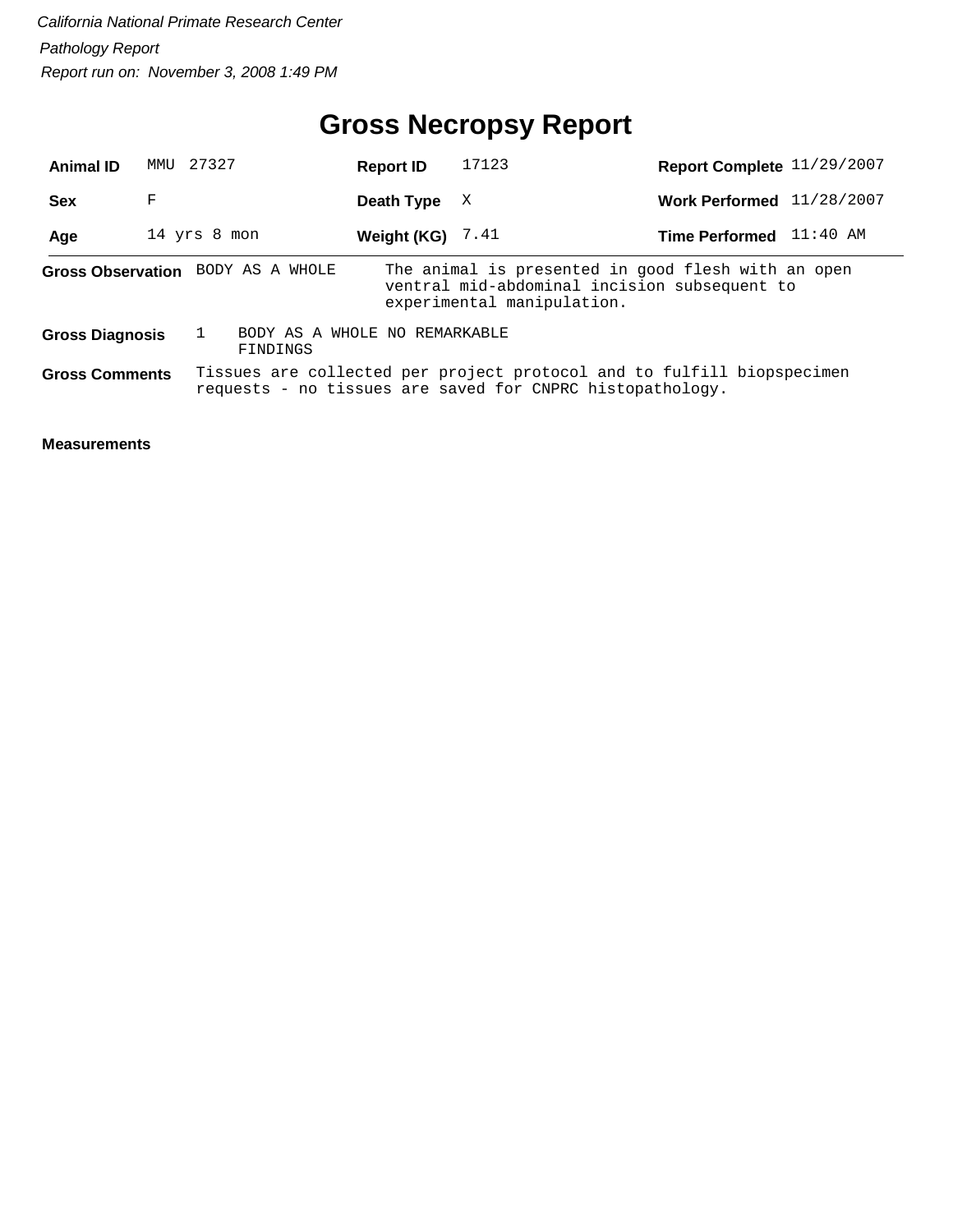## **Gross Necropsy Report**

| <b>Animal ID</b>       | 27327<br>MMU |                                                                                                                                     | <b>Report ID</b>   | 17123                                                                                                                            | Report Complete 11/29/2007 |            |  |
|------------------------|--------------|-------------------------------------------------------------------------------------------------------------------------------------|--------------------|----------------------------------------------------------------------------------------------------------------------------------|----------------------------|------------|--|
| <b>Sex</b>             | F            |                                                                                                                                     | Death Type         | X                                                                                                                                | <b>Work Performed</b>      | 11/28/2007 |  |
| Age                    | 14 yrs 8 mon |                                                                                                                                     | Weight (KG) $7.41$ |                                                                                                                                  | <b>Time Performed</b>      | 11:40 AM   |  |
|                        |              | Gross Observation BODY AS A WHOLE                                                                                                   |                    | The animal is presented in good flesh with an open<br>ventral mid-abdominal incision subsequent to<br>experimental manipulation. |                            |            |  |
| <b>Gross Diagnosis</b> |              | BODY AS A WHOLE NO REMARKABLE<br>FINDINGS                                                                                           |                    |                                                                                                                                  |                            |            |  |
| <b>Gross Comments</b>  |              | Tissues are collected per project protocol and to fulfill biopspecimen<br>requests - no tissues are saved for CNPRC histopathology. |                    |                                                                                                                                  |                            |            |  |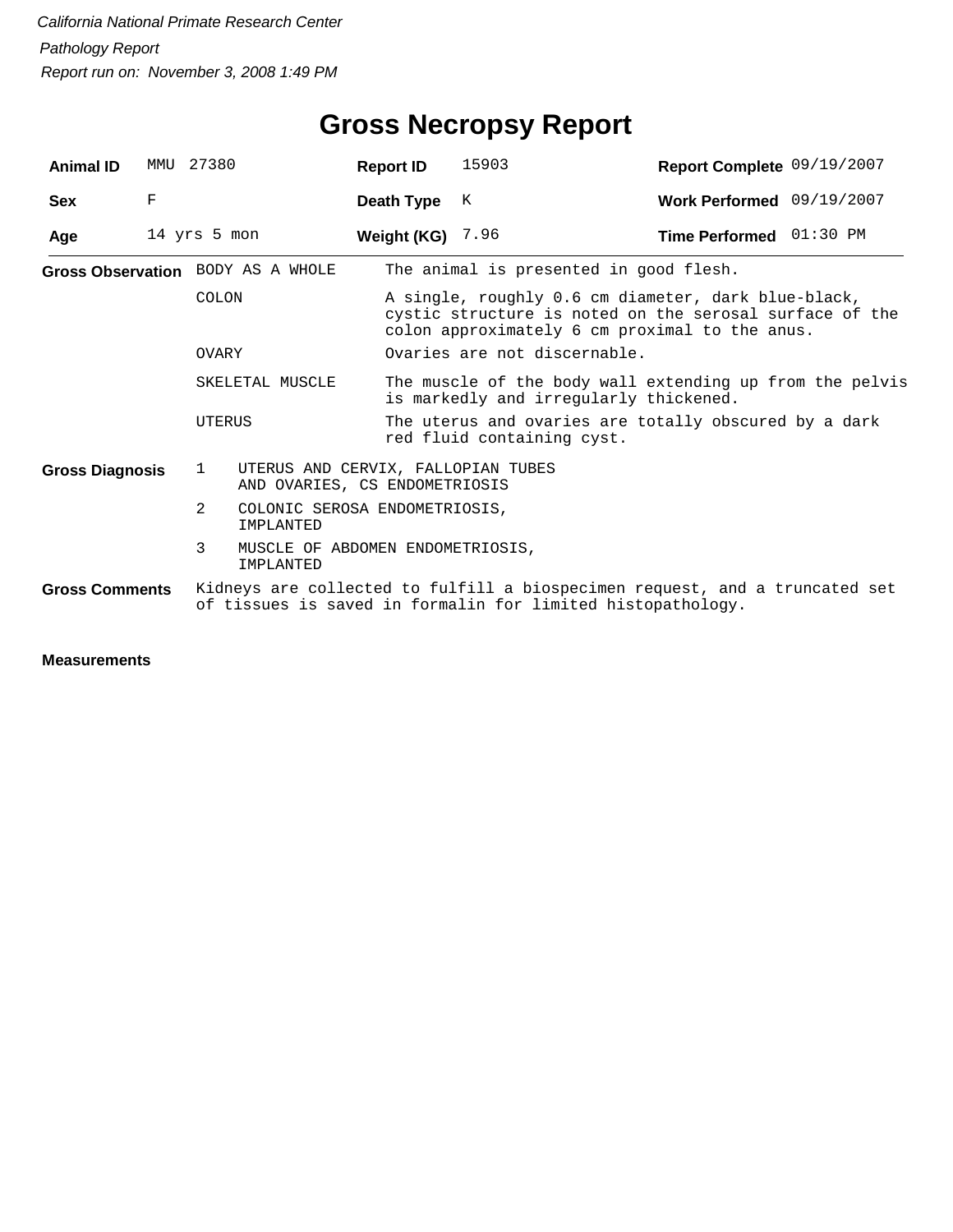| <b>Animal ID</b>       | MMU | 27380                                                                                                                                      |                                                                     | <b>Report ID</b>        | 15903                                                                                                                                                            | Report Complete 09/19/2007 |  |  |  |  |
|------------------------|-----|--------------------------------------------------------------------------------------------------------------------------------------------|---------------------------------------------------------------------|-------------------------|------------------------------------------------------------------------------------------------------------------------------------------------------------------|----------------------------|--|--|--|--|
| <b>Sex</b>             | F   |                                                                                                                                            |                                                                     | Death Type              | K                                                                                                                                                                | Work Performed 09/19/2007  |  |  |  |  |
| Age                    |     | 14 yrs 5 mon                                                                                                                               |                                                                     | <b>Weight (KG)</b> 7.96 |                                                                                                                                                                  | Time Performed 01:30 PM    |  |  |  |  |
|                        |     | Gross Observation BODY AS A WHOLE                                                                                                          |                                                                     |                         | The animal is presented in good flesh.                                                                                                                           |                            |  |  |  |  |
|                        |     | COLON                                                                                                                                      |                                                                     |                         | A single, roughly 0.6 cm diameter, dark blue-black,<br>cystic structure is noted on the serosal surface of the<br>colon approximately 6 cm proximal to the anus. |                            |  |  |  |  |
|                        |     | OVARY                                                                                                                                      |                                                                     |                         | Ovaries are not discernable.                                                                                                                                     |                            |  |  |  |  |
|                        |     |                                                                                                                                            | SKELETAL MUSCLE                                                     |                         | The muscle of the body wall extending up from the pelvis<br>is markedly and irregularly thickened.                                                               |                            |  |  |  |  |
|                        |     | <b>UTERUS</b>                                                                                                                              |                                                                     |                         | The uterus and ovaries are totally obscured by a dark<br>red fluid containing cyst.                                                                              |                            |  |  |  |  |
| <b>Gross Diagnosis</b> |     | $\mathbf{1}$                                                                                                                               | UTERUS AND CERVIX, FALLOPIAN TUBES<br>AND OVARIES, CS ENDOMETRIOSIS |                         |                                                                                                                                                                  |                            |  |  |  |  |
|                        |     | 2                                                                                                                                          | COLONIC SEROSA ENDOMETRIOSIS,<br>IMPLANTED                          |                         |                                                                                                                                                                  |                            |  |  |  |  |
|                        |     | 3<br>MUSCLE OF ABDOMEN ENDOMETRIOSIS,<br>IMPLANTED                                                                                         |                                                                     |                         |                                                                                                                                                                  |                            |  |  |  |  |
| <b>Gross Comments</b>  |     | Kidneys are collected to fulfill a biospecimen request, and a truncated set<br>of tissues is saved in formalin for limited histopathology. |                                                                     |                         |                                                                                                                                                                  |                            |  |  |  |  |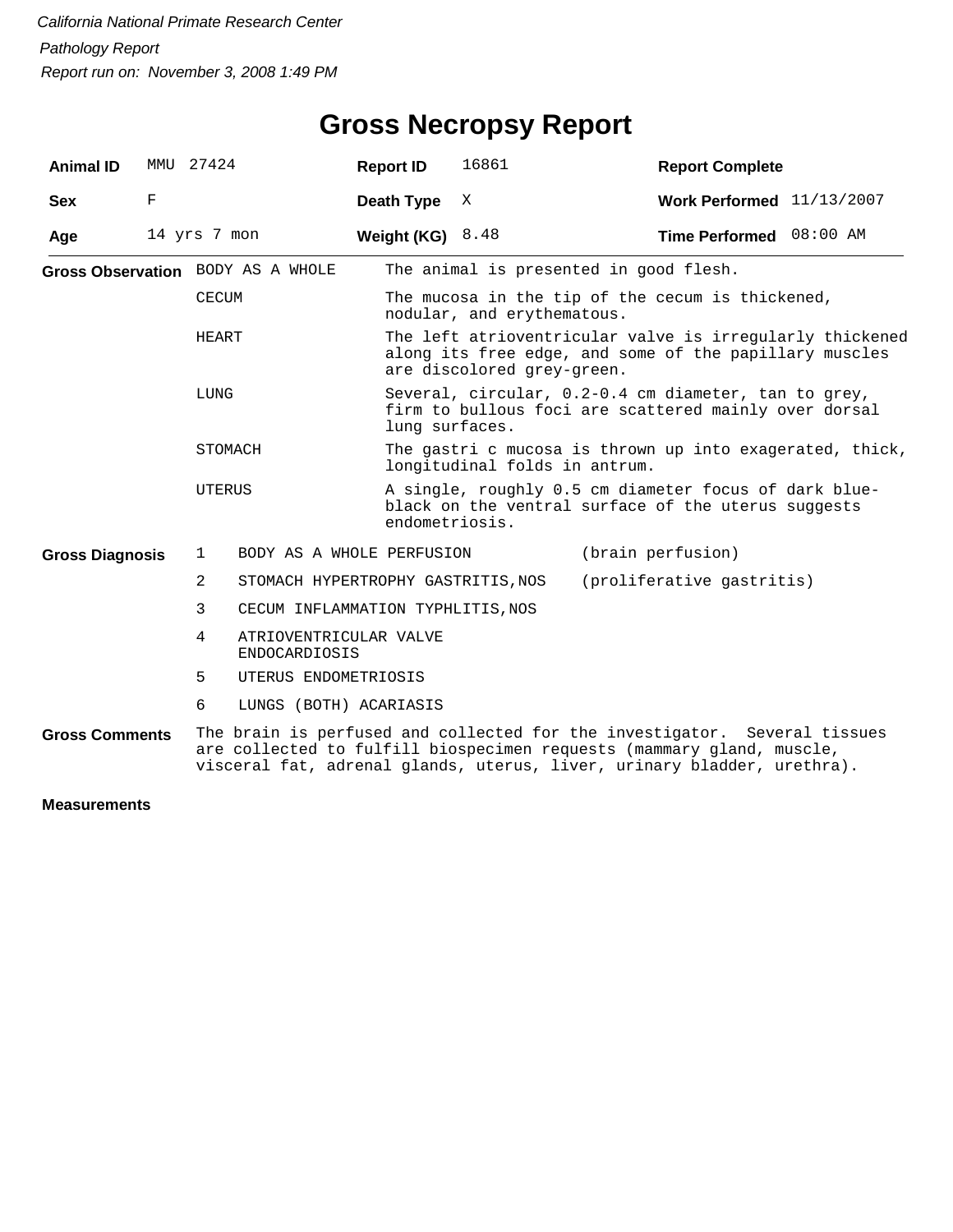| <b>Animal ID</b>       | MMU 27424    |                                                                                                                                                                                                                               |                                                | <b>Report ID</b>   | 16861                                                                                                                           | <b>Report Complete</b>                                                                                             |  |  |  |  |
|------------------------|--------------|-------------------------------------------------------------------------------------------------------------------------------------------------------------------------------------------------------------------------------|------------------------------------------------|--------------------|---------------------------------------------------------------------------------------------------------------------------------|--------------------------------------------------------------------------------------------------------------------|--|--|--|--|
| <b>Sex</b>             | F            |                                                                                                                                                                                                                               |                                                | Death Type         | X                                                                                                                               | Work Performed $11/13/2007$                                                                                        |  |  |  |  |
| Age                    | 14 yrs 7 mon |                                                                                                                                                                                                                               |                                                | Weight (KG) $8.48$ |                                                                                                                                 | Time Performed 08:00 AM                                                                                            |  |  |  |  |
|                        |              |                                                                                                                                                                                                                               | Gross Observation BODY AS A WHOLE              |                    |                                                                                                                                 | The animal is presented in good flesh.                                                                             |  |  |  |  |
|                        |              | CECUM                                                                                                                                                                                                                         |                                                |                    | The mucosa in the tip of the cecum is thickened,<br>nodular, and erythematous.                                                  |                                                                                                                    |  |  |  |  |
|                        |              | HEART                                                                                                                                                                                                                         |                                                |                    | are discolored grey-green.                                                                                                      | The left atrioventricular valve is irregularly thickened<br>along its free edge, and some of the papillary muscles |  |  |  |  |
|                        |              | LUNG                                                                                                                                                                                                                          |                                                |                    | Several, circular, 0.2-0.4 cm diameter, tan to grey,<br>firm to bullous foci are scattered mainly over dorsal<br>lung surfaces. |                                                                                                                    |  |  |  |  |
|                        |              | STOMACH                                                                                                                                                                                                                       |                                                |                    | longitudinal folds in antrum.                                                                                                   | The gastri c mucosa is thrown up into exagerated, thick,                                                           |  |  |  |  |
|                        |              | UTERUS                                                                                                                                                                                                                        |                                                |                    | A single, roughly 0.5 cm diameter focus of dark blue-<br>black on the ventral surface of the uterus suggests<br>endometriosis.  |                                                                                                                    |  |  |  |  |
| <b>Gross Diagnosis</b> |              | 1                                                                                                                                                                                                                             | BODY AS A WHOLE PERFUSION                      |                    |                                                                                                                                 | (brain perfusion)                                                                                                  |  |  |  |  |
|                        |              | 2                                                                                                                                                                                                                             | STOMACH HYPERTROPHY GASTRITIS, NOS             |                    |                                                                                                                                 | (proliferative gastritis)                                                                                          |  |  |  |  |
|                        |              | 3                                                                                                                                                                                                                             | CECUM INFLAMMATION TYPHLITIS, NOS              |                    |                                                                                                                                 |                                                                                                                    |  |  |  |  |
|                        |              | 4                                                                                                                                                                                                                             | ATRIOVENTRICULAR VALVE<br><b>ENDOCARDIOSIS</b> |                    |                                                                                                                                 |                                                                                                                    |  |  |  |  |
|                        |              | 5<br>UTERUS ENDOMETRIOSIS                                                                                                                                                                                                     |                                                |                    |                                                                                                                                 |                                                                                                                    |  |  |  |  |
|                        |              | 6                                                                                                                                                                                                                             | LUNGS (BOTH) ACARIASIS                         |                    |                                                                                                                                 |                                                                                                                    |  |  |  |  |
| <b>Gross Comments</b>  |              | The brain is perfused and collected for the investigator. Several tissues<br>are collected to fulfill biospecimen requests (mammary gland, muscle,<br>visceral fat, adrenal glands, uterus, liver, urinary bladder, urethra). |                                                |                    |                                                                                                                                 |                                                                                                                    |  |  |  |  |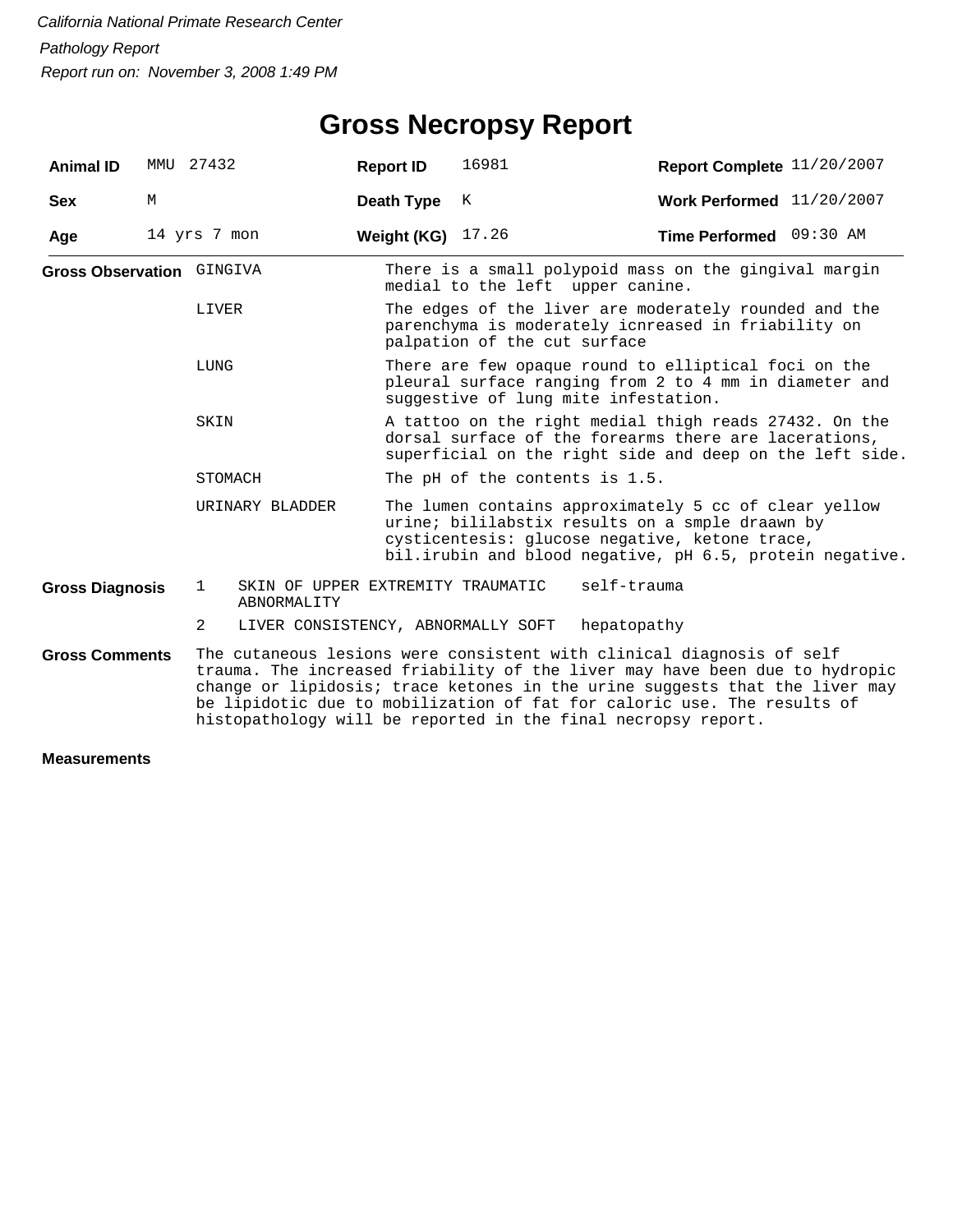## **Gross Necropsy Report**

| <b>Animal ID</b>                                   | MMU | 27432                                   | <b>Report ID</b>                 | 16981                                                                                                                                                                                                                                                                                                                                                                           | Report Complete 11/20/2007  |  |  |  |
|----------------------------------------------------|-----|-----------------------------------------|----------------------------------|---------------------------------------------------------------------------------------------------------------------------------------------------------------------------------------------------------------------------------------------------------------------------------------------------------------------------------------------------------------------------------|-----------------------------|--|--|--|
| <b>Sex</b>                                         | М   |                                         | Death Type                       | K                                                                                                                                                                                                                                                                                                                                                                               | Work Performed $11/20/2007$ |  |  |  |
| Age                                                |     | 14 yrs 7 mon                            | Weight (KG)                      | 17.26                                                                                                                                                                                                                                                                                                                                                                           | Time Performed 09:30 AM     |  |  |  |
| Gross Observation GINGIVA<br>LIVER<br>LUNG<br>SKIN |     |                                         | medial to the left upper canine. | There is a small polypoid mass on the gingival margin                                                                                                                                                                                                                                                                                                                           |                             |  |  |  |
|                                                    |     |                                         |                                  | The edges of the liver are moderately rounded and the<br>parenchyma is moderately icnreased in friability on<br>palpation of the cut surface                                                                                                                                                                                                                                    |                             |  |  |  |
|                                                    |     |                                         |                                  | There are few opaque round to elliptical foci on the<br>pleural surface ranging from 2 to 4 mm in diameter and<br>suggestive of lung mite infestation.                                                                                                                                                                                                                          |                             |  |  |  |
|                                                    |     |                                         |                                  | A tattoo on the right medial thigh reads 27432. On the<br>dorsal surface of the forearms there are lacerations,<br>superficial on the right side and deep on the left side.                                                                                                                                                                                                     |                             |  |  |  |
|                                                    |     | STOMACH                                 | The pH of the contents is 1.5.   |                                                                                                                                                                                                                                                                                                                                                                                 |                             |  |  |  |
|                                                    |     | URINARY BLADDER                         |                                  | The lumen contains approximately 5 cc of clear yellow<br>urine; bililabstix results on a smple draawn by<br>cysticentesis: glucose negative, ketone trace,<br>bil.irubin and blood negative, pH 6.5, protein negative.                                                                                                                                                          |                             |  |  |  |
| <b>Gross Diagnosis</b>                             |     | $\mathbf{1}$<br>ABNORMALITY             |                                  | self-trauma<br>SKIN OF UPPER EXTREMITY TRAUMATIC                                                                                                                                                                                                                                                                                                                                |                             |  |  |  |
|                                                    |     | 2<br>LIVER CONSISTENCY, ABNORMALLY SOFT |                                  | hepatopathy                                                                                                                                                                                                                                                                                                                                                                     |                             |  |  |  |
| <b>Gross Comments</b>                              |     |                                         |                                  | The cutaneous lesions were consistent with clinical diagnosis of self<br>trauma. The increased friability of the liver may have been due to hydropic<br>change or lipidosis; trace ketones in the urine suggests that the liver may<br>be lipidotic due to mobilization of fat for caloric use. The results of<br>histopathology will be reported in the final necropsy report. |                             |  |  |  |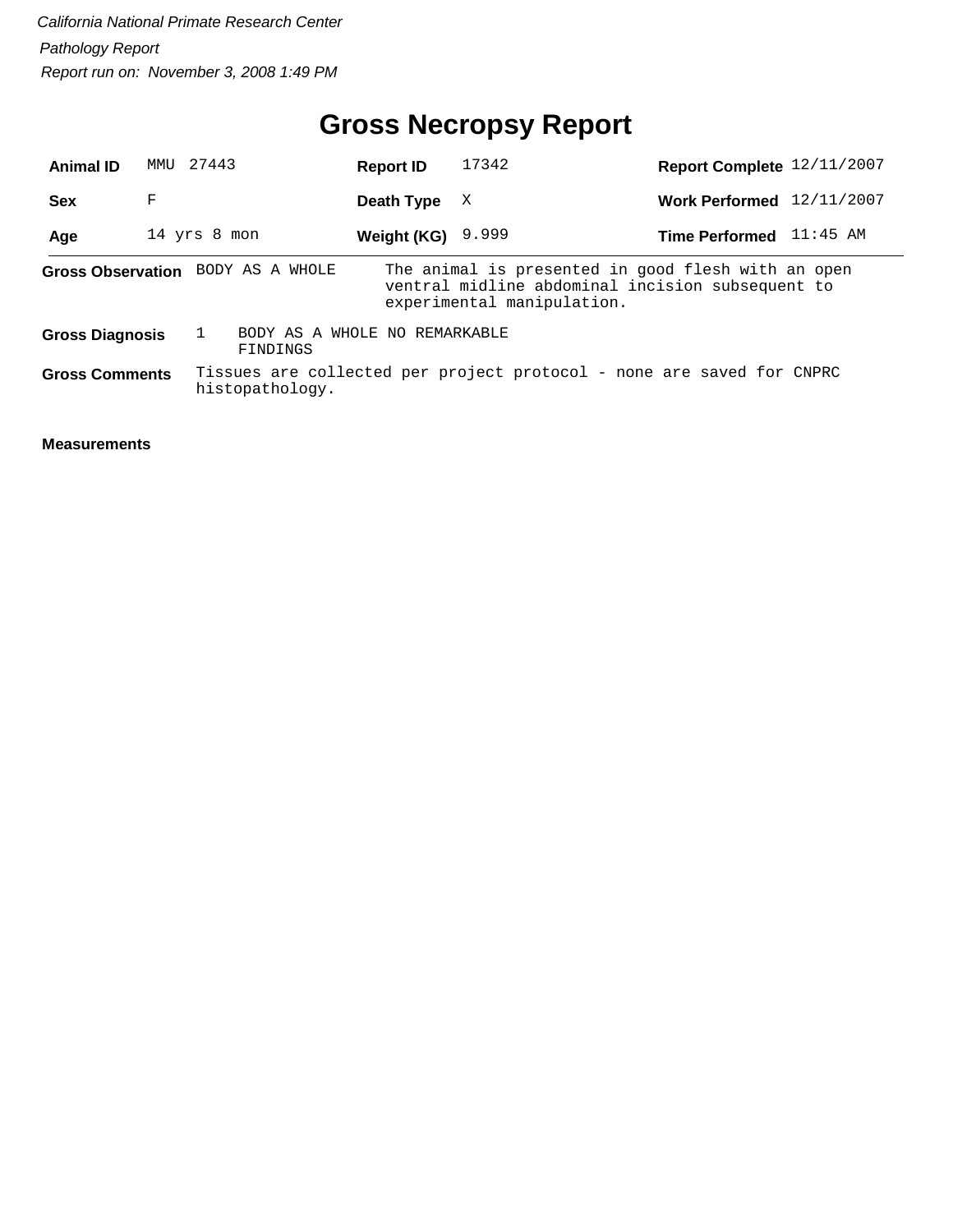## **Gross Necropsy Report**

| <b>Animal ID</b>       | 27443<br>MMU |                                           | <b>Report ID</b> | 17342                                                                                                                                | Report Complete 12/11/2007 |            |
|------------------------|--------------|-------------------------------------------|------------------|--------------------------------------------------------------------------------------------------------------------------------------|----------------------------|------------|
| <b>Sex</b>             | F            |                                           | Death Type       | X                                                                                                                                    | <b>Work Performed</b>      | 12/11/2007 |
| Age                    | 14 yrs 8 mon |                                           | Weight (KG)      | 9.999                                                                                                                                | Time Performed 11:45 AM    |            |
|                        |              | Gross Observation BODY AS A WHOLE         |                  | The animal is presented in good flesh with an open<br>ventral midline abdominal incision subsequent to<br>experimental manipulation. |                            |            |
| <b>Gross Diagnosis</b> |              | BODY AS A WHOLE NO REMARKABLE<br>FINDINGS |                  |                                                                                                                                      |                            |            |
| <b>Gross Comments</b>  |              | histopathology.                           |                  | Tissues are collected per project protocol - none are saved for CNPRC                                                                |                            |            |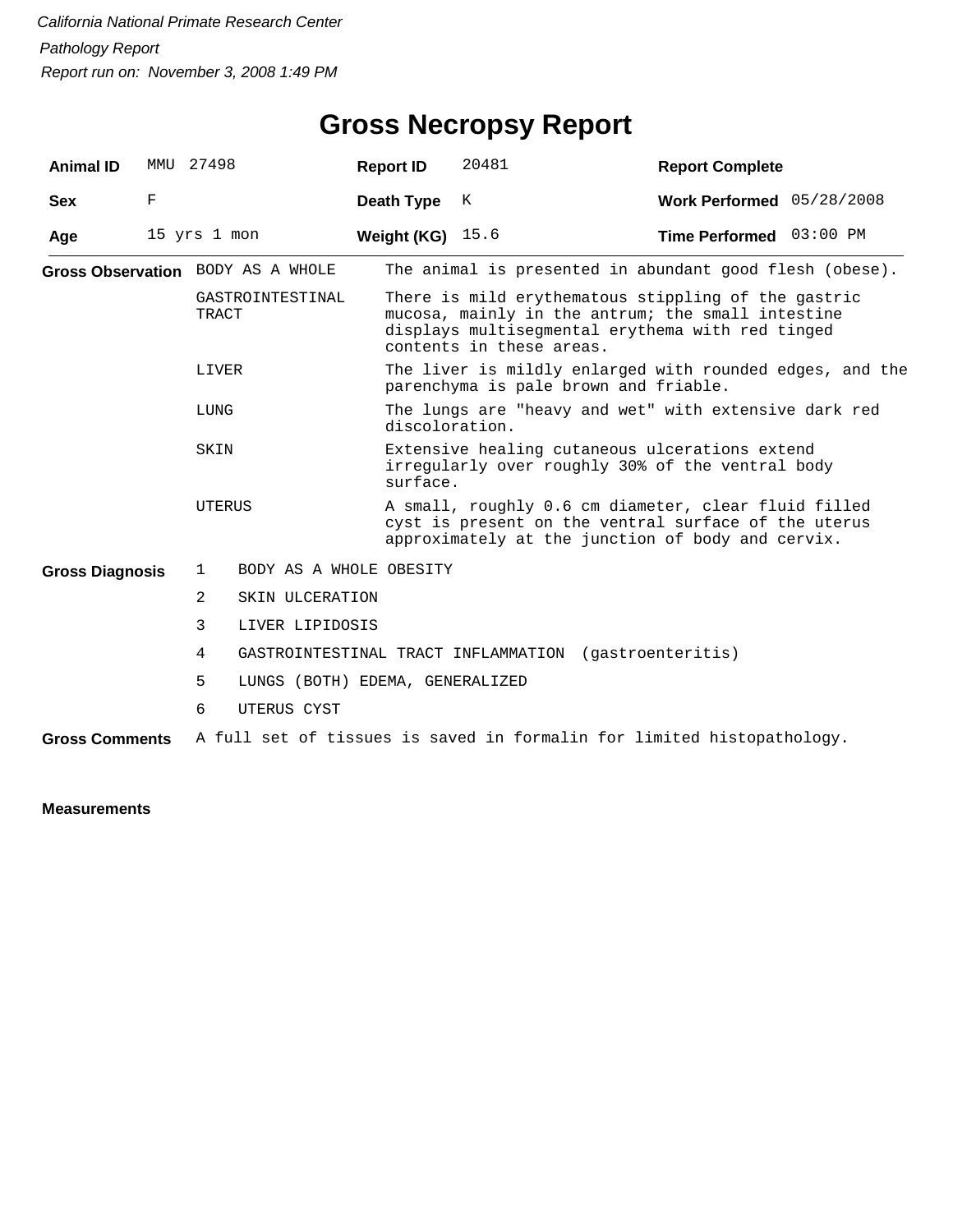## **Gross Necropsy Report**

| <b>Animal ID</b>       | MMU         | 27498                             | <b>Report ID</b>        | 20481                                                                                                                                                                                    | <b>Report Complete</b>                                  |  |  |  |
|------------------------|-------------|-----------------------------------|-------------------------|------------------------------------------------------------------------------------------------------------------------------------------------------------------------------------------|---------------------------------------------------------|--|--|--|
| <b>Sex</b>             | $\mathbf F$ |                                   | Death Type              | K                                                                                                                                                                                        | Work Performed 05/28/2008                               |  |  |  |
| Age                    |             | 15 yrs 1 mon                      | Weight (KG)             | 15.6                                                                                                                                                                                     | Time Performed 03:00 PM                                 |  |  |  |
|                        |             | Gross Observation BODY AS A WHOLE |                         |                                                                                                                                                                                          | The animal is presented in abundant good flesh (obese). |  |  |  |
|                        |             | GASTROINTESTINAL<br>TRACT         |                         | There is mild erythematous stippling of the gastric<br>mucosa, mainly in the antrum; the small intestine<br>displays multisegmental erythema with red tinged<br>contents in these areas. |                                                         |  |  |  |
|                        |             | LIVER                             |                         | The liver is mildly enlarged with rounded edges, and the<br>parenchyma is pale brown and friable.                                                                                        |                                                         |  |  |  |
|                        |             | LUNG                              | discoloration.          |                                                                                                                                                                                          | The lungs are "heavy and wet" with extensive dark red   |  |  |  |
|                        |             | SKIN                              |                         | Extensive healing cutaneous ulcerations extend<br>irregularly over roughly 30% of the ventral body<br>surface.                                                                           |                                                         |  |  |  |
|                        |             | UTERUS                            |                         | A small, roughly 0.6 cm diameter, clear fluid filled<br>cyst is present on the ventral surface of the uterus<br>approximately at the junction of body and cervix.                        |                                                         |  |  |  |
| <b>Gross Diagnosis</b> |             | $\mathbf{1}$                      | BODY AS A WHOLE OBESITY |                                                                                                                                                                                          |                                                         |  |  |  |
|                        |             | 2<br>SKIN ULCERATION              |                         |                                                                                                                                                                                          |                                                         |  |  |  |
|                        |             | 3<br>LIVER LIPIDOSIS              |                         |                                                                                                                                                                                          |                                                         |  |  |  |
|                        |             | 4                                 |                         | GASTROINTESTINAL TRACT INFLAMMATION (gastroenteritis)                                                                                                                                    |                                                         |  |  |  |
|                        |             | 5                                 |                         | LUNGS (BOTH) EDEMA, GENERALIZED                                                                                                                                                          |                                                         |  |  |  |
|                        |             | 6<br>UTERUS CYST                  |                         |                                                                                                                                                                                          |                                                         |  |  |  |
| <b>Gross Comments</b>  |             |                                   |                         | A full set of tissues is saved in formalin for limited histopathology.                                                                                                                   |                                                         |  |  |  |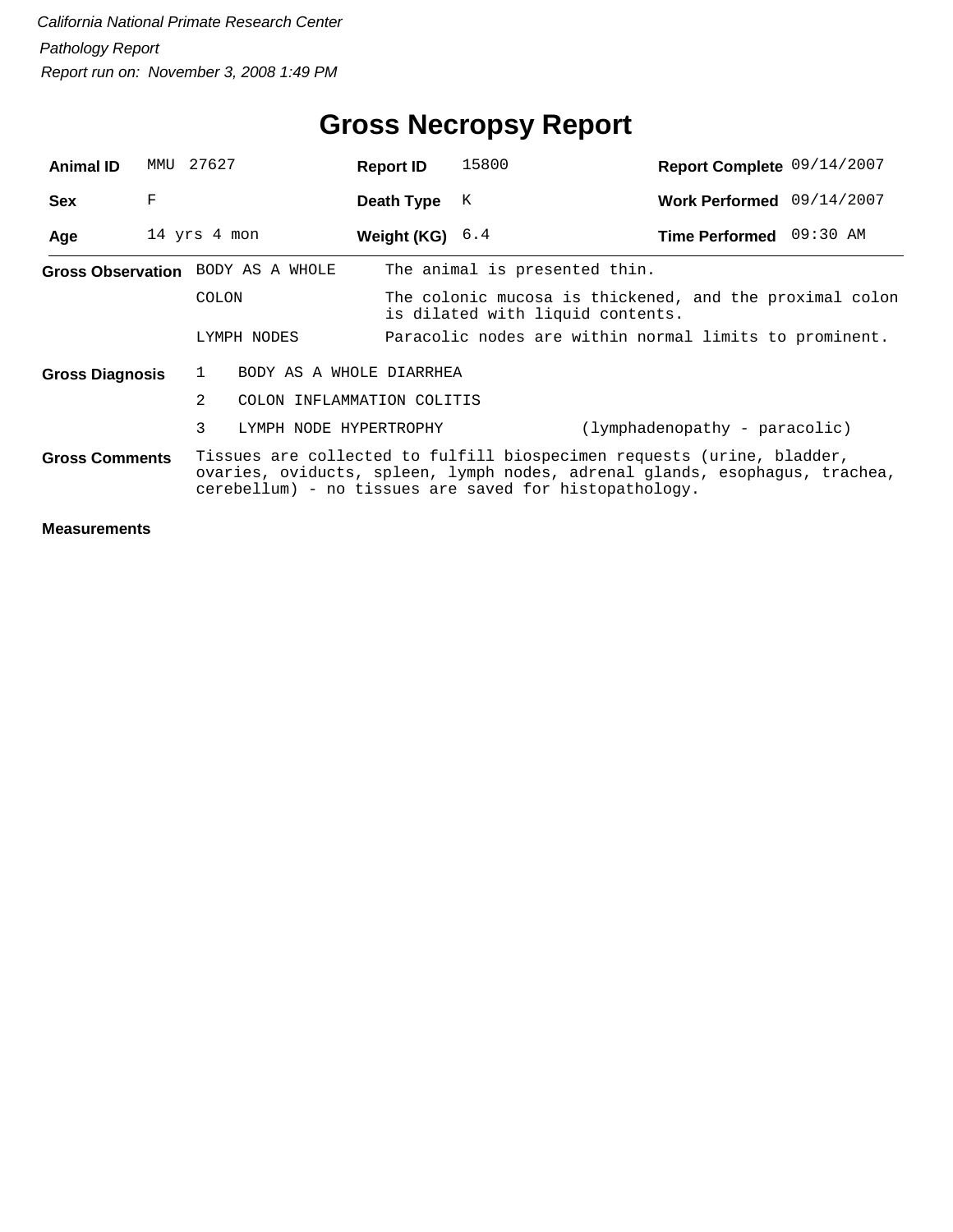| <b>Animal ID</b>                  | MMU | 27627        |                            | <b>Report ID</b>                                                                                                                                                                                                | 15800                                                                                       | Report Complete 09/14/2007    |  |  |  |  |
|-----------------------------------|-----|--------------|----------------------------|-----------------------------------------------------------------------------------------------------------------------------------------------------------------------------------------------------------------|---------------------------------------------------------------------------------------------|-------------------------------|--|--|--|--|
| <b>Sex</b>                        | F   |              |                            | Death Type                                                                                                                                                                                                      | K                                                                                           | Work Performed 09/14/2007     |  |  |  |  |
| Age                               |     | 14 yrs 4 mon |                            | Weight (KG) $6.4$                                                                                                                                                                                               |                                                                                             | Time Performed 09:30 AM       |  |  |  |  |
| Gross Observation BODY AS A WHOLE |     |              |                            |                                                                                                                                                                                                                 | The animal is presented thin.                                                               |                               |  |  |  |  |
| COLON                             |     |              |                            |                                                                                                                                                                                                                 | The colonic mucosa is thickened, and the proximal colon<br>is dilated with liquid contents. |                               |  |  |  |  |
|                                   |     | LYMPH NODES  |                            |                                                                                                                                                                                                                 | Paracolic nodes are within normal limits to prominent.                                      |                               |  |  |  |  |
| <b>Gross Diagnosis</b>            |     | 1            | BODY AS A WHOLE DIARRHEA   |                                                                                                                                                                                                                 |                                                                                             |                               |  |  |  |  |
|                                   |     | 2            | COLON INFLAMMATION COLITIS |                                                                                                                                                                                                                 |                                                                                             |                               |  |  |  |  |
|                                   |     | 3            | LYMPH NODE HYPERTROPHY     |                                                                                                                                                                                                                 |                                                                                             | (lymphadenopathy - paracolic) |  |  |  |  |
| <b>Gross Comments</b>             |     |              |                            | Tissues are collected to fulfill biospecimen requests (urine, bladder,<br>ovaries, oviducts, spleen, lymph nodes, adrenal glands, esophagus, trachea,<br>cerebellum) - no tissues are saved for histopathology. |                                                                                             |                               |  |  |  |  |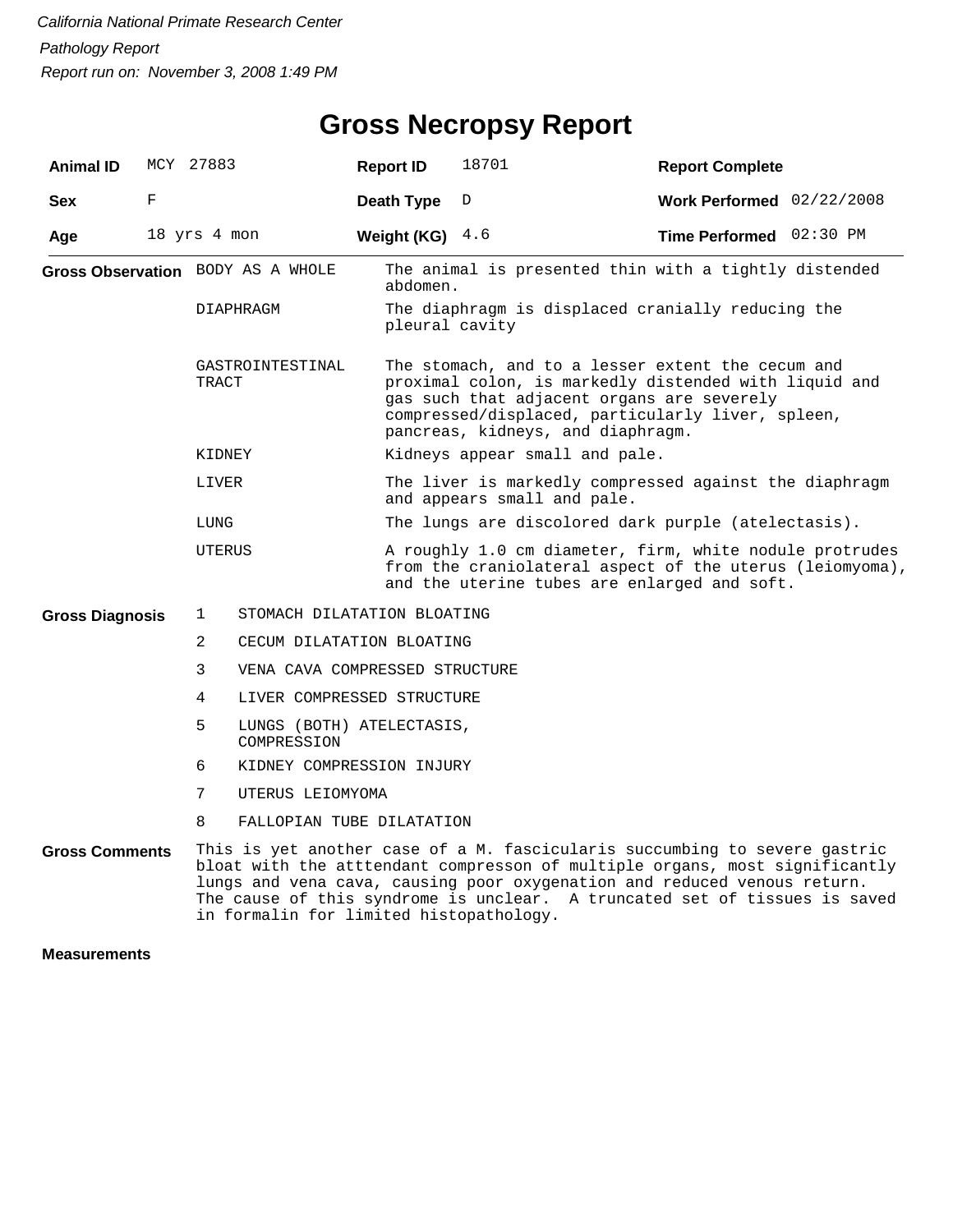## **Gross Necropsy Report**

| <b>Animal ID</b>       |   | MCY 27883                                     | <b>Report ID</b>           | 18701                                                                                                                                                                                                                                                                                                               | <b>Report Complete</b>    |  |  |  |  |  |
|------------------------|---|-----------------------------------------------|----------------------------|---------------------------------------------------------------------------------------------------------------------------------------------------------------------------------------------------------------------------------------------------------------------------------------------------------------------|---------------------------|--|--|--|--|--|
| <b>Sex</b>             | F |                                               | Death Type                 | D                                                                                                                                                                                                                                                                                                                   | Work Performed 02/22/2008 |  |  |  |  |  |
| Age                    |   | 18 yrs 4 mon                                  | Weight (KG) $4.6$          |                                                                                                                                                                                                                                                                                                                     | Time Performed 02:30 PM   |  |  |  |  |  |
|                        |   | Gross Observation BODY AS A WHOLE             |                            | The animal is presented thin with a tightly distended<br>abdomen.                                                                                                                                                                                                                                                   |                           |  |  |  |  |  |
|                        |   | DIAPHRAGM                                     |                            | The diaphragm is displaced cranially reducing the<br>pleural cavity                                                                                                                                                                                                                                                 |                           |  |  |  |  |  |
|                        |   | GASTROINTESTINAL<br>TRACT                     |                            | The stomach, and to a lesser extent the cecum and<br>proximal colon, is markedly distended with liquid and<br>gas such that adjacent organs are severely<br>compressed/displaced, particularly liver, spleen,<br>pancreas, kidneys, and diaphragm.                                                                  |                           |  |  |  |  |  |
|                        |   | KIDNEY                                        |                            | Kidneys appear small and pale.                                                                                                                                                                                                                                                                                      |                           |  |  |  |  |  |
|                        |   | LIVER                                         |                            | The liver is markedly compressed against the diaphragm<br>and appears small and pale.                                                                                                                                                                                                                               |                           |  |  |  |  |  |
|                        |   | LUNG                                          |                            | The lungs are discolored dark purple (atelectasis).                                                                                                                                                                                                                                                                 |                           |  |  |  |  |  |
|                        |   | UTERUS                                        |                            | A roughly 1.0 cm diameter, firm, white nodule protrudes<br>from the craniolateral aspect of the uterus (leiomyoma),<br>and the uterine tubes are enlarged and soft.                                                                                                                                                 |                           |  |  |  |  |  |
| <b>Gross Diagnosis</b> |   | 1<br>STOMACH DILATATION BLOATING              |                            |                                                                                                                                                                                                                                                                                                                     |                           |  |  |  |  |  |
|                        |   | $\overline{a}$<br>CECUM DILATATION BLOATING   |                            |                                                                                                                                                                                                                                                                                                                     |                           |  |  |  |  |  |
|                        |   | 3<br>VENA CAVA COMPRESSED STRUCTURE           |                            |                                                                                                                                                                                                                                                                                                                     |                           |  |  |  |  |  |
|                        |   | 4                                             | LIVER COMPRESSED STRUCTURE |                                                                                                                                                                                                                                                                                                                     |                           |  |  |  |  |  |
|                        |   | 5<br>LUNGS (BOTH) ATELECTASIS,<br>COMPRESSION |                            |                                                                                                                                                                                                                                                                                                                     |                           |  |  |  |  |  |
|                        |   | 6<br>KIDNEY COMPRESSION INJURY                |                            |                                                                                                                                                                                                                                                                                                                     |                           |  |  |  |  |  |
|                        |   | 7<br>UTERUS LEIOMYOMA                         |                            |                                                                                                                                                                                                                                                                                                                     |                           |  |  |  |  |  |
|                        |   | 8<br>FALLOPIAN TUBE DILATATION                |                            |                                                                                                                                                                                                                                                                                                                     |                           |  |  |  |  |  |
| <b>Gross Comments</b>  |   | in formalin for limited histopathology.       |                            | This is yet another case of a M. fascicularis succumbing to severe gastric<br>bloat with the atttendant compresson of multiple organs, most significantly<br>lungs and vena cava, causing poor oxygenation and reduced venous return.<br>The cause of this syndrome is unclear. A truncated set of tissues is saved |                           |  |  |  |  |  |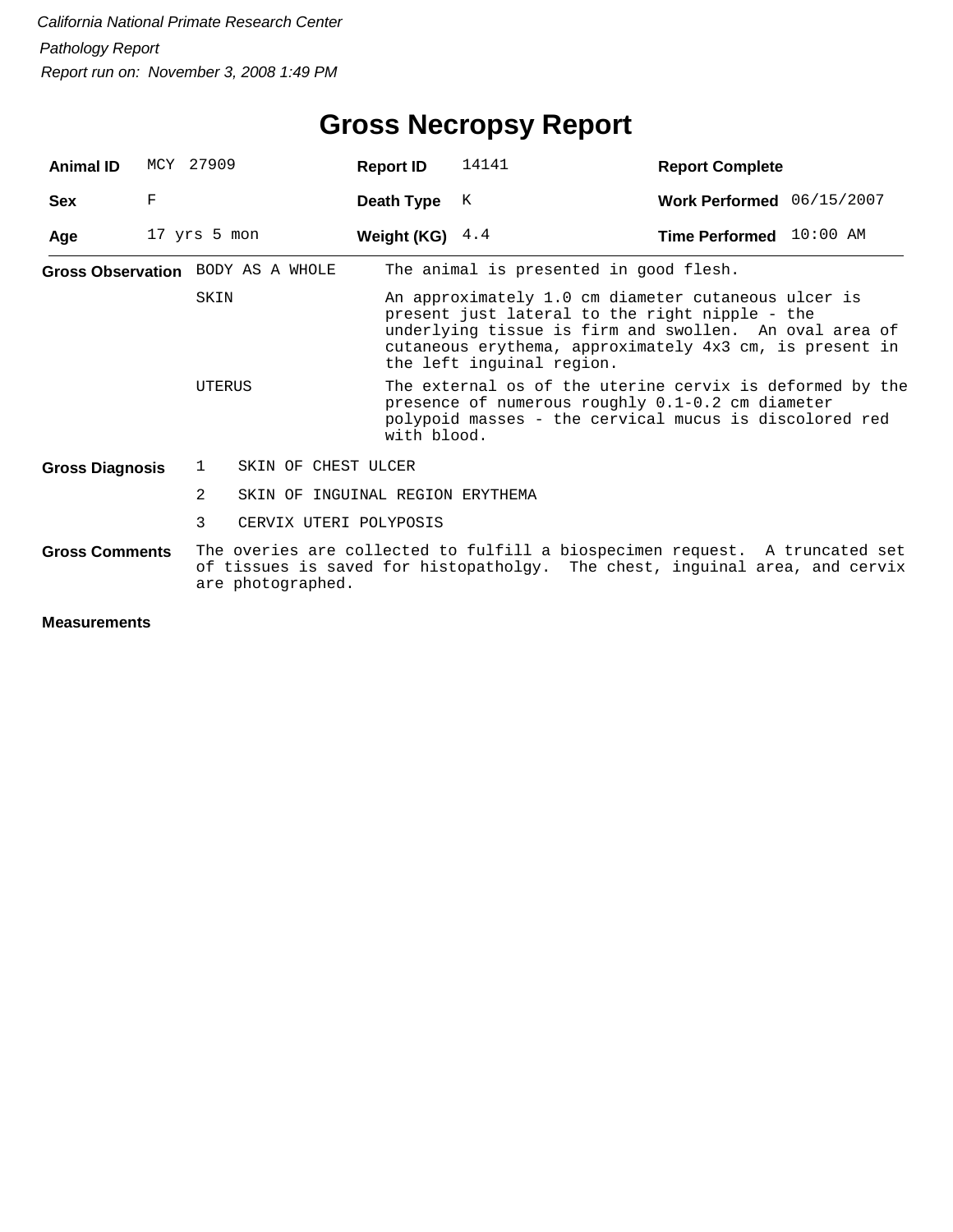## **Gross Necropsy Report**

| Animal ID              |                                                                                                                                                                                                 | MCY 27909                                          | <b>Report ID</b>  | 14141                                                                                                                                                                                                                                                   | <b>Report Complete</b>    |  |  |  |
|------------------------|-------------------------------------------------------------------------------------------------------------------------------------------------------------------------------------------------|----------------------------------------------------|-------------------|---------------------------------------------------------------------------------------------------------------------------------------------------------------------------------------------------------------------------------------------------------|---------------------------|--|--|--|
| <b>Sex</b>             | F                                                                                                                                                                                               |                                                    | Death Type        | K                                                                                                                                                                                                                                                       | Work Performed 06/15/2007 |  |  |  |
| Age                    |                                                                                                                                                                                                 | 17 yrs 5 mon                                       | Weight (KG) $4.4$ |                                                                                                                                                                                                                                                         | Time Performed 10:00 AM   |  |  |  |
|                        |                                                                                                                                                                                                 | Gross Observation BODY AS A WHOLE                  |                   | The animal is presented in good flesh.                                                                                                                                                                                                                  |                           |  |  |  |
|                        |                                                                                                                                                                                                 | SKIN                                               |                   | An approximately 1.0 cm diameter cutaneous ulcer is<br>present just lateral to the right nipple - the<br>underlying tissue is firm and swollen. An oval area of<br>cutaneous erythema, approximately 4x3 cm, is present in<br>the left inguinal region. |                           |  |  |  |
|                        | The external os of the uterine cervix is deformed by the<br>UTERUS<br>presence of numerous roughly 0.1-0.2 cm diameter<br>polypoid masses - the cervical mucus is discolored red<br>with blood. |                                                    |                   |                                                                                                                                                                                                                                                         |                           |  |  |  |
| <b>Gross Diagnosis</b> |                                                                                                                                                                                                 | SKIN OF CHEST ULCER<br>1                           |                   |                                                                                                                                                                                                                                                         |                           |  |  |  |
|                        |                                                                                                                                                                                                 | $\mathfrak{D}$<br>SKIN OF INGUINAL REGION ERYTHEMA |                   |                                                                                                                                                                                                                                                         |                           |  |  |  |
|                        |                                                                                                                                                                                                 | 3<br>CERVIX UTERI POLYPOSIS                        |                   |                                                                                                                                                                                                                                                         |                           |  |  |  |
| <b>Gross Comments</b>  |                                                                                                                                                                                                 | are photographed.                                  |                   | The overies are collected to fulfill a biospecimen request. A truncated set<br>of tissues is saved for histopatholgy. The chest, inguinal area, and cervix                                                                                              |                           |  |  |  |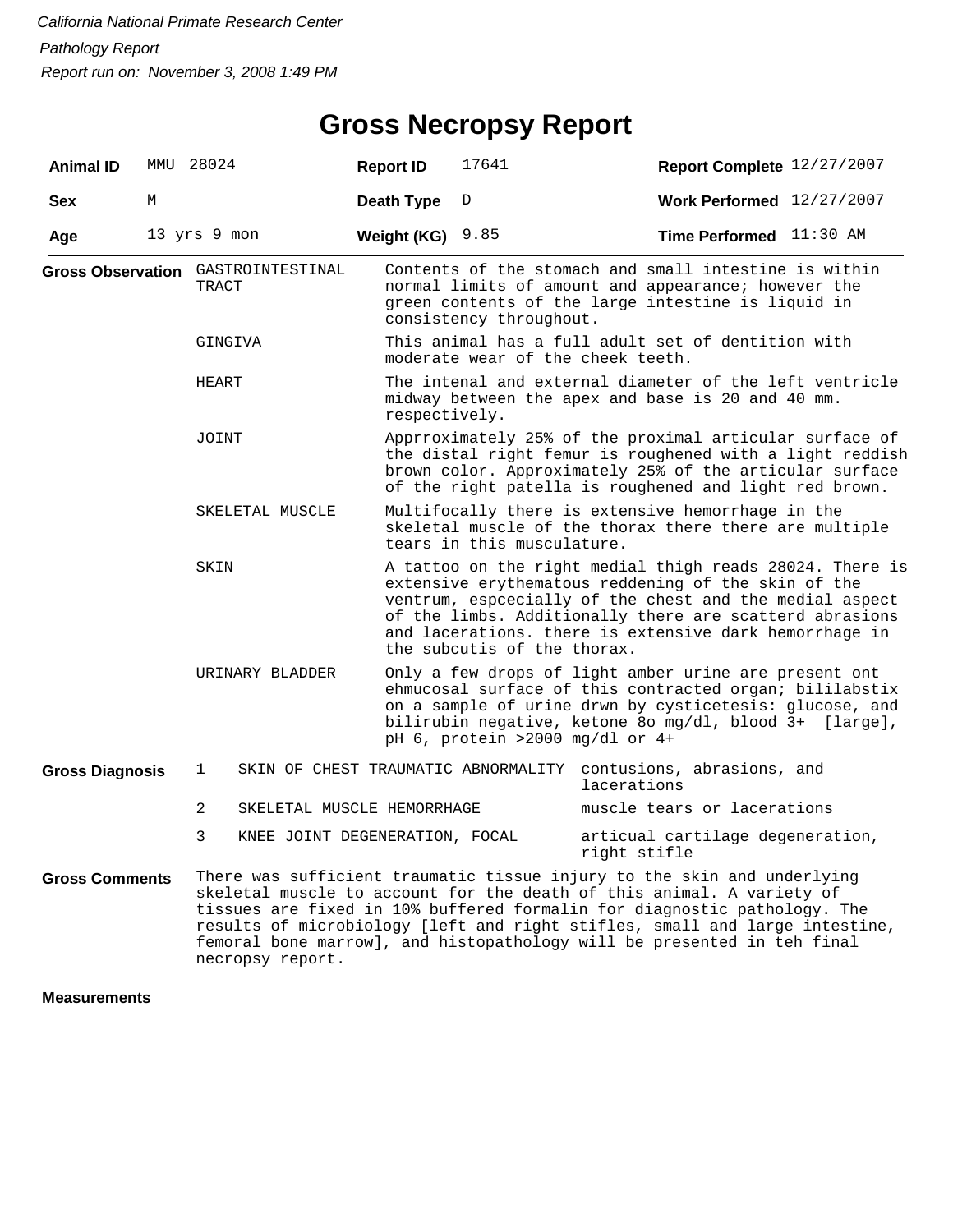| <b>Animal ID</b>       |       | MMU 28024                                          | <b>Report ID</b>                                                                                                                                                                                                                         |                                                                                                                                                                                                                                                                                                                                                                                        | 17641                      | Report Complete 12/27/2007                                                                                  |                                  |  |  |  |
|------------------------|-------|----------------------------------------------------|------------------------------------------------------------------------------------------------------------------------------------------------------------------------------------------------------------------------------------------|----------------------------------------------------------------------------------------------------------------------------------------------------------------------------------------------------------------------------------------------------------------------------------------------------------------------------------------------------------------------------------------|----------------------------|-------------------------------------------------------------------------------------------------------------|----------------------------------|--|--|--|
| <b>Sex</b>             | М     |                                                    | Death Type                                                                                                                                                                                                                               |                                                                                                                                                                                                                                                                                                                                                                                        | D                          | Work Performed $12/27/2007$                                                                                 |                                  |  |  |  |
| Age                    |       | 13 yrs 9 mon                                       | Weight (KG) $9.85$                                                                                                                                                                                                                       |                                                                                                                                                                                                                                                                                                                                                                                        |                            | Time Performed 11:30 AM                                                                                     |                                  |  |  |  |
|                        |       | <b>Gross Observation</b> GASTROINTESTINAL<br>TRACT |                                                                                                                                                                                                                                          | Contents of the stomach and small intestine is within<br>normal limits of amount and appearance; however the<br>green contents of the large intestine is liquid in<br>consistency throughout.                                                                                                                                                                                          |                            |                                                                                                             |                                  |  |  |  |
|                        |       | GINGIVA                                            |                                                                                                                                                                                                                                          | This animal has a full adult set of dentition with<br>moderate wear of the cheek teeth.                                                                                                                                                                                                                                                                                                |                            |                                                                                                             |                                  |  |  |  |
|                        |       | HEART                                              |                                                                                                                                                                                                                                          | The intenal and external diameter of the left ventricle<br>midway between the apex and base is 20 and 40 mm.<br>respectively.                                                                                                                                                                                                                                                          |                            |                                                                                                             |                                  |  |  |  |
|                        | JOINT |                                                    | Apprroximately 25% of the proximal articular surface of<br>the distal right femur is roughened with a light reddish<br>brown color. Approximately 25% of the articular surface<br>of the right patella is roughened and light red brown. |                                                                                                                                                                                                                                                                                                                                                                                        |                            |                                                                                                             |                                  |  |  |  |
|                        |       | SKELETAL MUSCLE                                    |                                                                                                                                                                                                                                          |                                                                                                                                                                                                                                                                                                                                                                                        | tears in this musculature. | Multifocally there is extensive hemorrhage in the<br>skeletal muscle of the thorax there there are multiple |                                  |  |  |  |
|                        |       | SKIN                                               |                                                                                                                                                                                                                                          | A tattoo on the right medial thigh reads 28024. There is<br>extensive erythematous reddening of the skin of the<br>ventrum, espcecially of the chest and the medial aspect<br>of the limbs. Additionally there are scatterd abrasions<br>and lacerations. there is extensive dark hemorrhage in<br>the subcutis of the thorax.                                                         |                            |                                                                                                             |                                  |  |  |  |
| URINARY BLADDER        |       |                                                    |                                                                                                                                                                                                                                          | Only a few drops of light amber urine are present ont<br>ehmucosal surface of this contracted organ; bililabstix<br>on a sample of urine drwn by cysticetesis: glucose, and<br>bilirubin negative, ketone 80 mg/dl, blood 3+ [large],<br>pH 6, protein >2000 mg/dl or 4+                                                                                                               |                            |                                                                                                             |                                  |  |  |  |
| <b>Gross Diagnosis</b> |       | 1                                                  |                                                                                                                                                                                                                                          |                                                                                                                                                                                                                                                                                                                                                                                        |                            | SKIN OF CHEST TRAUMATIC ABNORMALITY contusions, abrasions, and<br>lacerations                               |                                  |  |  |  |
|                        |       | 2                                                  | SKELETAL MUSCLE HEMORRHAGE                                                                                                                                                                                                               |                                                                                                                                                                                                                                                                                                                                                                                        |                            | muscle tears or lacerations                                                                                 |                                  |  |  |  |
|                        |       | 3                                                  |                                                                                                                                                                                                                                          | KNEE JOINT DEGENERATION, FOCAL                                                                                                                                                                                                                                                                                                                                                         |                            | right stifle                                                                                                | articual cartilage degeneration, |  |  |  |
| <b>Gross Comments</b>  |       | necropsy report.                                   |                                                                                                                                                                                                                                          | There was sufficient traumatic tissue injury to the skin and underlying<br>skeletal muscle to account for the death of this animal. A variety of<br>tissues are fixed in 10% buffered formalin for diagnostic pathology. The<br>results of microbiology [left and right stifles, small and large intestine,<br>femoral bone marrow], and histopathology will be presented in teh final |                            |                                                                                                             |                                  |  |  |  |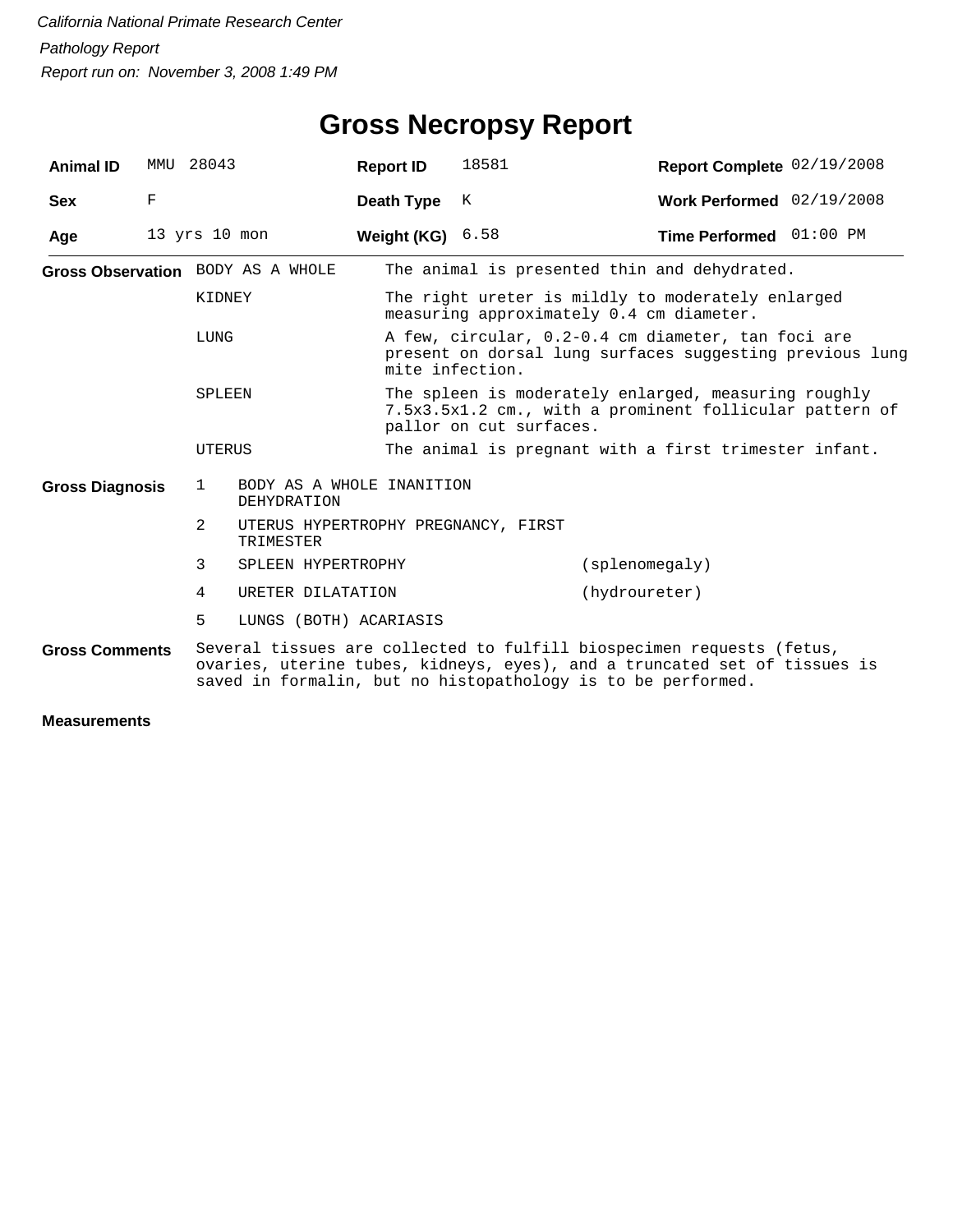| <b>Animal ID</b>       | MMU 28043         |        |                                          | <b>Report ID</b>                                                                                                                                                                                                   | 18581                                                                                                                                      | Report Complete 02/19/2008 |  |  |  |
|------------------------|-------------------|--------|------------------------------------------|--------------------------------------------------------------------------------------------------------------------------------------------------------------------------------------------------------------------|--------------------------------------------------------------------------------------------------------------------------------------------|----------------------------|--|--|--|
| <b>Sex</b>             | $\mathbf F$       |        |                                          | Death Type                                                                                                                                                                                                         | K                                                                                                                                          | Work Performed 02/19/2008  |  |  |  |
| Age                    | $13$ yrs $10$ mon |        |                                          | Weight (KG) $6.58$                                                                                                                                                                                                 |                                                                                                                                            | Time Performed 01:00 PM    |  |  |  |
|                        |                   |        | Gross Observation BODY AS A WHOLE        |                                                                                                                                                                                                                    | The animal is presented thin and dehydrated.                                                                                               |                            |  |  |  |
|                        |                   | KIDNEY |                                          |                                                                                                                                                                                                                    | The right ureter is mildly to moderately enlarged<br>measuring approximately 0.4 cm diameter.                                              |                            |  |  |  |
| LUNG                   |                   |        |                                          | A few, circular, 0.2-0.4 cm diameter, tan foci are<br>present on dorsal lung surfaces suggesting previous lung<br>mite infection.                                                                                  |                                                                                                                                            |                            |  |  |  |
| SPLEEN                 |                   |        |                                          |                                                                                                                                                                                                                    | The spleen is moderately enlarged, measuring roughly<br>7.5x3.5x1.2 cm., with a prominent follicular pattern of<br>pallor on cut surfaces. |                            |  |  |  |
|                        |                   | UTERUS |                                          |                                                                                                                                                                                                                    | The animal is pregnant with a first trimester infant.                                                                                      |                            |  |  |  |
| <b>Gross Diagnosis</b> |                   | 1      | BODY AS A WHOLE INANITION<br>DEHYDRATION |                                                                                                                                                                                                                    |                                                                                                                                            |                            |  |  |  |
|                        |                   | 2      | TRIMESTER                                |                                                                                                                                                                                                                    | UTERUS HYPERTROPHY PREGNANCY, FIRST                                                                                                        |                            |  |  |  |
|                        |                   | 3      | SPLEEN HYPERTROPHY                       |                                                                                                                                                                                                                    |                                                                                                                                            | (splacement)               |  |  |  |
|                        |                   | 4      | URETER DILATATION                        |                                                                                                                                                                                                                    |                                                                                                                                            | (hydroureter)              |  |  |  |
|                        |                   | 5      | LUNGS (BOTH) ACARIASIS                   |                                                                                                                                                                                                                    |                                                                                                                                            |                            |  |  |  |
| <b>Gross Comments</b>  |                   |        |                                          | Several tissues are collected to fulfill biospecimen requests (fetus,<br>ovaries, uterine tubes, kidneys, eyes), and a truncated set of tissues is<br>saved in formalin, but no histopathology is to be performed. |                                                                                                                                            |                            |  |  |  |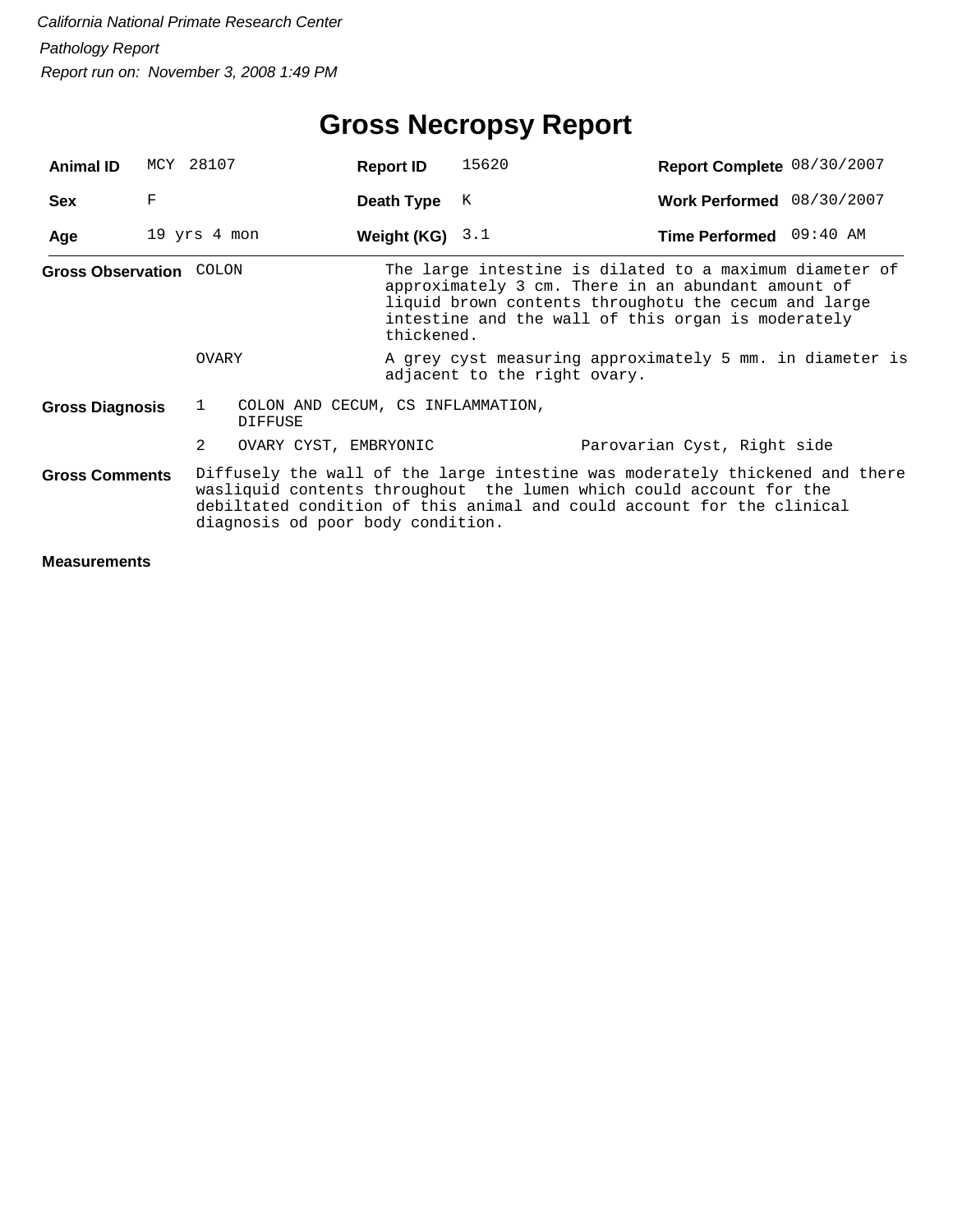## **Gross Necropsy Report**

| <b>Animal ID</b>               | MCY 28107                      |              |                                                     | <b>Report ID</b>  | 15620                        | Report Complete 08/30/2007                                                                                                                                                                                                    |  |
|--------------------------------|--------------------------------|--------------|-----------------------------------------------------|-------------------|------------------------------|-------------------------------------------------------------------------------------------------------------------------------------------------------------------------------------------------------------------------------|--|
| <b>Sex</b>                     | F                              |              |                                                     | Death Type        | K                            | Work Performed 08/30/2007                                                                                                                                                                                                     |  |
| Age                            | $19 \text{ yrs} 4 \text{ mon}$ |              |                                                     | Weight (KG) $3.1$ |                              | Time Performed 09:40 AM                                                                                                                                                                                                       |  |
| <b>Gross Observation COLON</b> |                                |              |                                                     | thickened.        |                              | The large intestine is dilated to a maximum diameter of<br>approximately 3 cm. There in an abundant amount of<br>liquid brown contents throughotu the cecum and large<br>intestine and the wall of this organ is moderately   |  |
|                                |                                | OVARY        |                                                     |                   | adjacent to the right ovary. | A grey cyst measuring approximately 5 mm. in diameter is                                                                                                                                                                      |  |
| <b>Gross Diagnosis</b>         |                                | $\mathbf{1}$ | COLON AND CECUM, CS INFLAMMATION,<br><b>DIFFUSE</b> |                   |                              |                                                                                                                                                                                                                               |  |
|                                |                                | 2            | OVARY CYST, EMBRYONIC                               |                   |                              | Parovarian Cyst, Right side                                                                                                                                                                                                   |  |
| <b>Gross Comments</b>          |                                |              | diagnosis od poor body condition.                   |                   |                              | Diffusely the wall of the large intestine was moderately thickened and there<br>wasliquid contents throughout the lumen which could account for the<br>debiltated condition of this animal and could account for the clinical |  |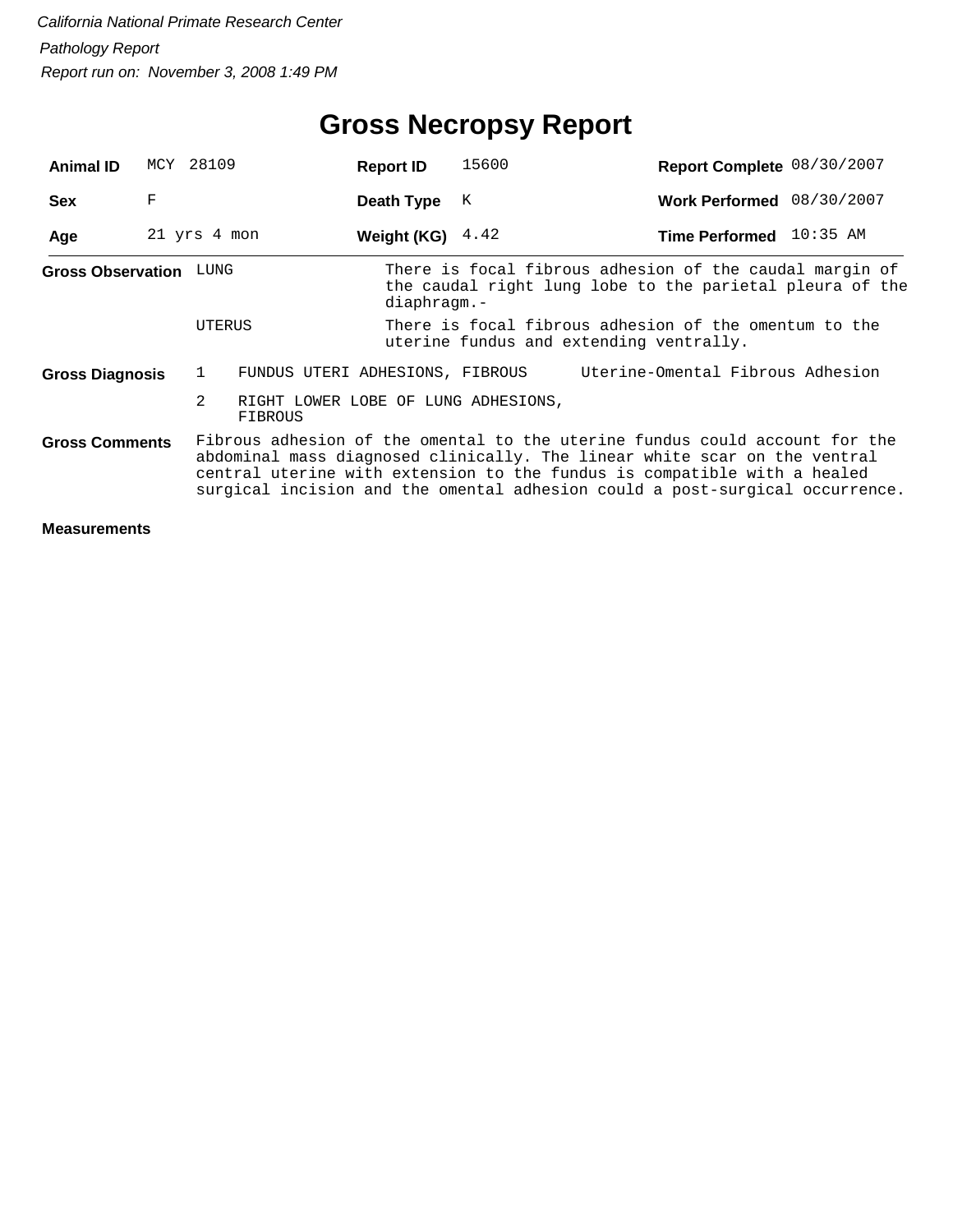## **Gross Necropsy Report**

| <b>Animal ID</b>         |   | MCY 28109    | <b>Report ID</b>                    | 15600                                                                                                                                                                                                                                                                                                                | Report Complete 08/30/2007       |  |  |  |
|--------------------------|---|--------------|-------------------------------------|----------------------------------------------------------------------------------------------------------------------------------------------------------------------------------------------------------------------------------------------------------------------------------------------------------------------|----------------------------------|--|--|--|
| <b>Sex</b>               | F |              | Death Type                          | K                                                                                                                                                                                                                                                                                                                    | Work Performed 08/30/2007        |  |  |  |
| Age                      |   | 21 yrs 4 mon | Weight (KG) $4.42$                  |                                                                                                                                                                                                                                                                                                                      | Time Performed 10:35 AM          |  |  |  |
| <b>Gross Observation</b> |   | LUNG         | diaphragm.-                         | There is focal fibrous adhesion of the caudal margin of<br>the caudal right lung lobe to the parietal pleura of the                                                                                                                                                                                                  |                                  |  |  |  |
|                          |   | UTERUS       |                                     | There is focal fibrous adhesion of the omentum to the<br>uterine fundus and extending ventrally.                                                                                                                                                                                                                     |                                  |  |  |  |
| <b>Gross Diagnosis</b>   |   | $\mathbf{1}$ | FUNDUS UTERI ADHESIONS, FIBROUS     |                                                                                                                                                                                                                                                                                                                      | Uterine-Omental Fibrous Adhesion |  |  |  |
|                          |   | 2<br>FIBROUS | RIGHT LOWER LOBE OF LUNG ADHESIONS, |                                                                                                                                                                                                                                                                                                                      |                                  |  |  |  |
| <b>Gross Comments</b>    |   |              |                                     | Fibrous adhesion of the omental to the uterine fundus could account for the<br>abdominal mass diagnosed clinically. The linear white scar on the ventral<br>central uterine with extension to the fundus is compatible with a healed<br>surgical incision and the omental adhesion could a post-surgical occurrence. |                                  |  |  |  |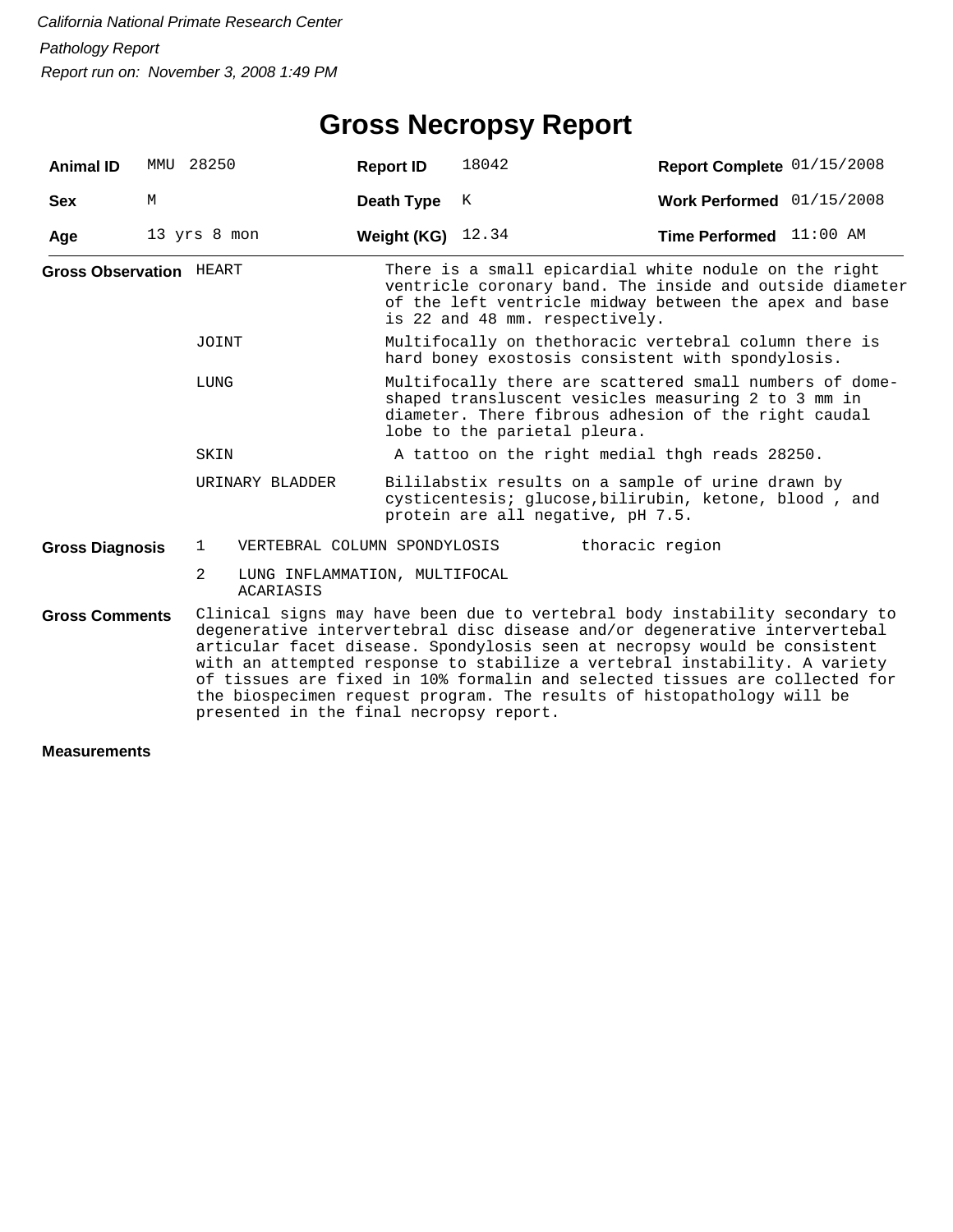## **Gross Necropsy Report**

| <b>Animal ID</b>               |   | MMU 28250                                       | <b>Report ID</b>                                                                                                                                                                                                                                                                                                                                                                                                                                                                                                         | 18042                                                                                                                                                                                                         | Report Complete 01/15/2008 |  |  |  |  |
|--------------------------------|---|-------------------------------------------------|--------------------------------------------------------------------------------------------------------------------------------------------------------------------------------------------------------------------------------------------------------------------------------------------------------------------------------------------------------------------------------------------------------------------------------------------------------------------------------------------------------------------------|---------------------------------------------------------------------------------------------------------------------------------------------------------------------------------------------------------------|----------------------------|--|--|--|--|
| <b>Sex</b>                     | М |                                                 | Death Type                                                                                                                                                                                                                                                                                                                                                                                                                                                                                                               | K                                                                                                                                                                                                             | Work Performed 01/15/2008  |  |  |  |  |
| Age                            |   | 13 yrs 8 mon                                    | Weight (KG)                                                                                                                                                                                                                                                                                                                                                                                                                                                                                                              | 12.34                                                                                                                                                                                                         | Time Performed 11:00 AM    |  |  |  |  |
| <b>Gross Observation HEART</b> |   |                                                 |                                                                                                                                                                                                                                                                                                                                                                                                                                                                                                                          | There is a small epicardial white nodule on the right<br>ventricle coronary band. The inside and outside diameter<br>of the left ventricle midway between the apex and base<br>is 22 and 48 mm. respectively. |                            |  |  |  |  |
|                                |   | JOINT                                           |                                                                                                                                                                                                                                                                                                                                                                                                                                                                                                                          | Multifocally on thethoracic vertebral column there is<br>hard boney exostosis consistent with spondylosis.                                                                                                    |                            |  |  |  |  |
|                                |   | LUNG                                            |                                                                                                                                                                                                                                                                                                                                                                                                                                                                                                                          | Multifocally there are scattered small numbers of dome-<br>shaped transluscent vesicles measuring 2 to 3 mm in<br>diameter. There fibrous adhesion of the right caudal<br>lobe to the parietal pleura.        |                            |  |  |  |  |
|                                |   | SKIN                                            |                                                                                                                                                                                                                                                                                                                                                                                                                                                                                                                          | A tattoo on the right medial thgh reads 28250.                                                                                                                                                                |                            |  |  |  |  |
|                                |   | URINARY BLADDER                                 |                                                                                                                                                                                                                                                                                                                                                                                                                                                                                                                          | Bililabstix results on a sample of urine drawn by<br>cysticentesis; glucose, bilirubin, ketone, blood, and<br>protein are all negative, pH 7.5.                                                               |                            |  |  |  |  |
| <b>Gross Diagnosis</b>         |   | VERTEBRAL COLUMN SPONDYLOSIS<br>$\mathbf{1}$    |                                                                                                                                                                                                                                                                                                                                                                                                                                                                                                                          |                                                                                                                                                                                                               | thoracic region            |  |  |  |  |
|                                |   | 2<br>LUNG INFLAMMATION, MULTIFOCAL<br>ACARIASIS |                                                                                                                                                                                                                                                                                                                                                                                                                                                                                                                          |                                                                                                                                                                                                               |                            |  |  |  |  |
| <b>Gross Comments</b>          |   |                                                 | Clinical signs may have been due to vertebral body instability secondary to<br>degenerative intervertebral disc disease and/or degenerative intervertebal<br>articular facet disease. Spondylosis seen at necropsy would be consistent<br>with an attempted response to stabilize a vertebral instability. A variety<br>of tissues are fixed in 10% formalin and selected tissues are collected for<br>the biospecimen request program. The results of histopathology will be<br>presented in the final necropsy report. |                                                                                                                                                                                                               |                            |  |  |  |  |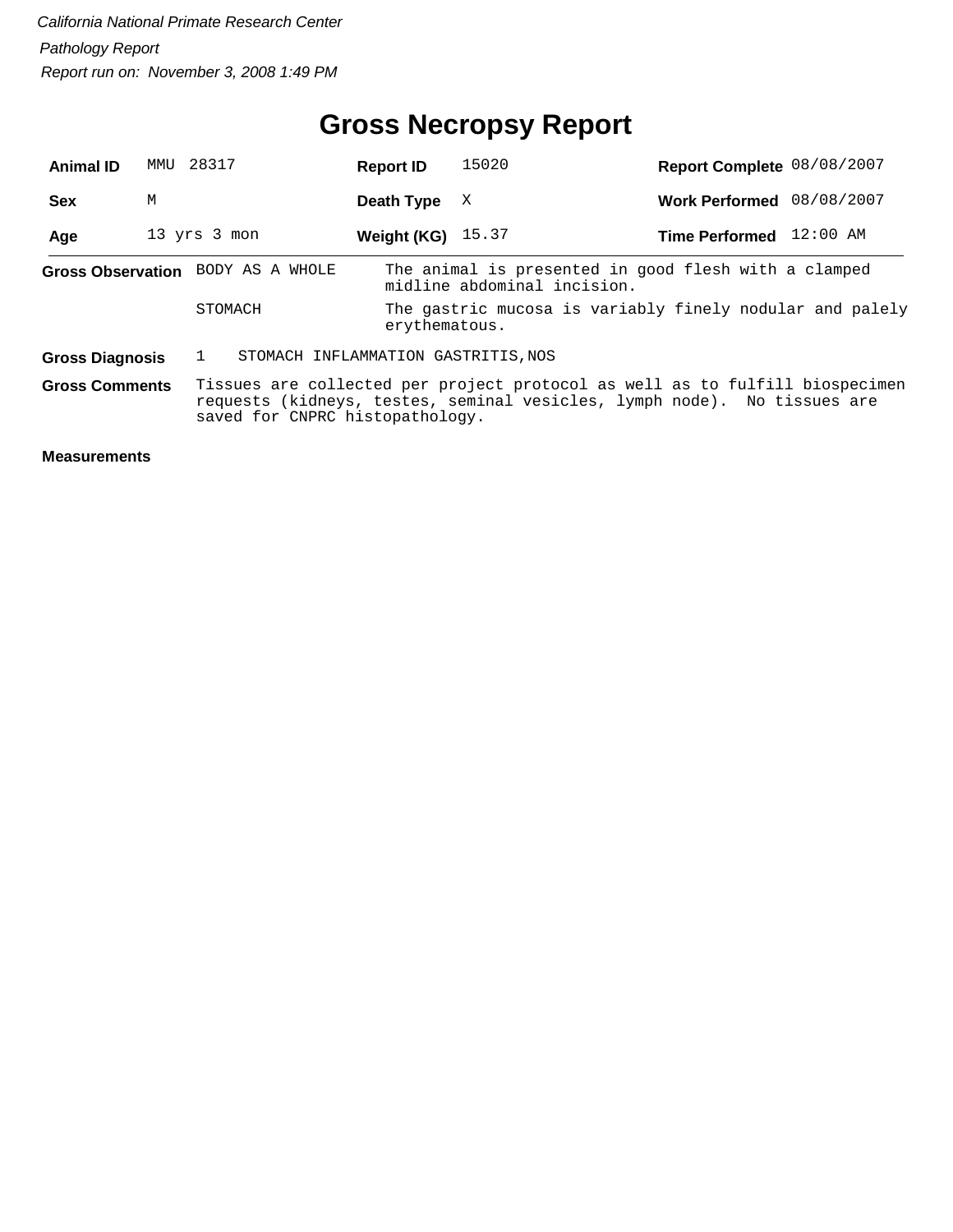## **Gross Necropsy Report**

| <b>Animal ID</b>       |                                                                                                                                                                                             | MMU 28317                           | <b>Report ID</b>    | 15020                                                                               | Report Complete 08/08/2007 |  |  |  |
|------------------------|---------------------------------------------------------------------------------------------------------------------------------------------------------------------------------------------|-------------------------------------|---------------------|-------------------------------------------------------------------------------------|----------------------------|--|--|--|
| <b>Sex</b>             | М                                                                                                                                                                                           |                                     | Death Type          | X                                                                                   | Work Performed 08/08/2007  |  |  |  |
| Age                    |                                                                                                                                                                                             | 13 yrs 3 mon                        | Weight (KG) $15.37$ |                                                                                     | Time Performed 12:00 AM    |  |  |  |
|                        |                                                                                                                                                                                             | Gross Observation BODY AS A WHOLE   |                     | The animal is presented in good flesh with a clamped<br>midline abdominal incision. |                            |  |  |  |
|                        |                                                                                                                                                                                             | STOMACH                             |                     | The gastric mucosa is variably finely nodular and palely<br>erythematous.           |                            |  |  |  |
| <b>Gross Diagnosis</b> |                                                                                                                                                                                             | STOMACH INFLAMMATION GASTRITIS, NOS |                     |                                                                                     |                            |  |  |  |
| <b>Gross Comments</b>  | Tissues are collected per project protocol as well as to fulfill biospecimen<br>requests (kidneys, testes, seminal vesicles, lymph node). No tissues are<br>saved for CNPRC histopathology. |                                     |                     |                                                                                     |                            |  |  |  |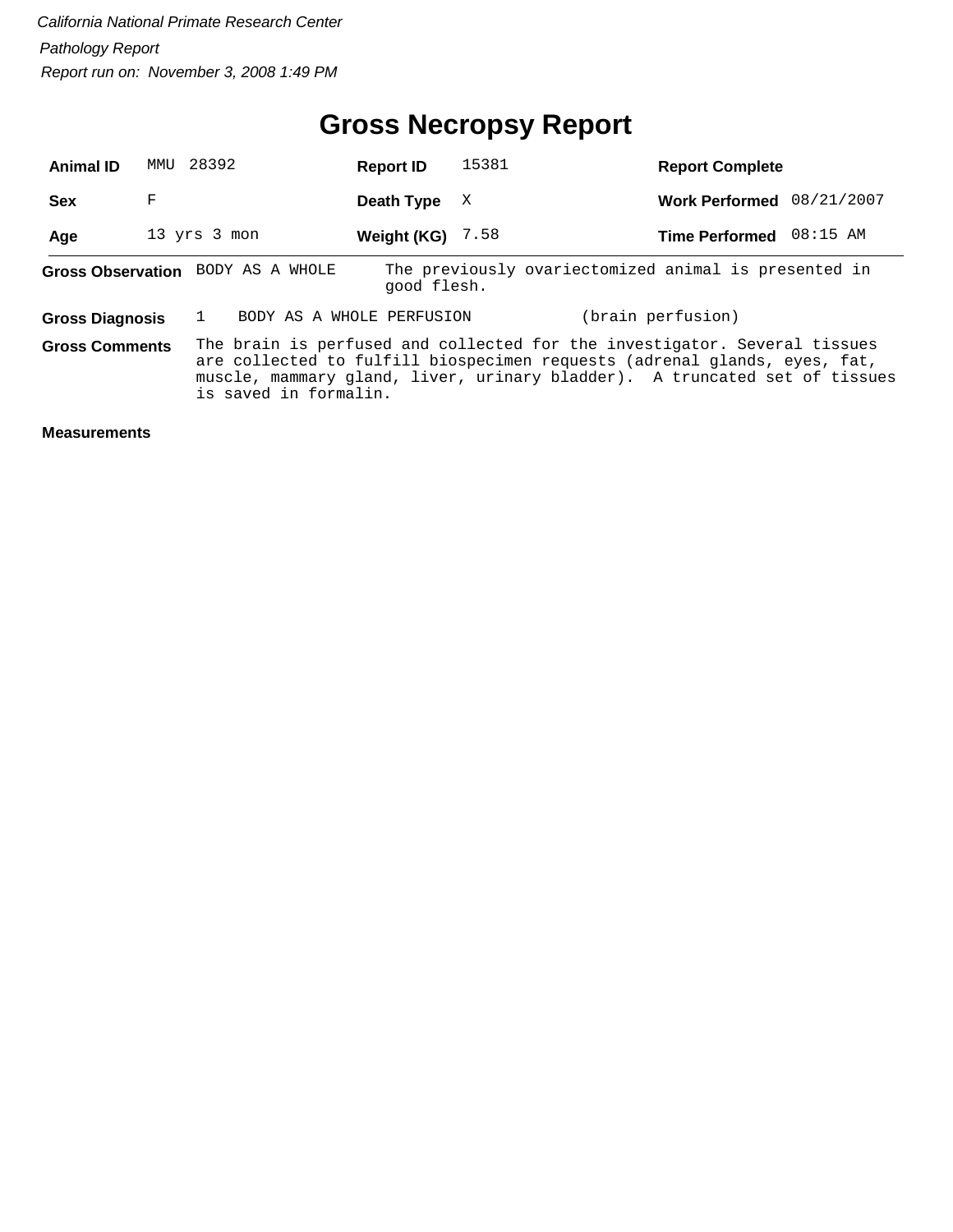## **Gross Necropsy Report**

| <b>Animal ID</b>                  |   | MMU 28392                                                                                                                                                                                                                                                     |  | <b>Report ID</b>          | 15381 | <b>Report Complete</b>                               |            |
|-----------------------------------|---|---------------------------------------------------------------------------------------------------------------------------------------------------------------------------------------------------------------------------------------------------------------|--|---------------------------|-------|------------------------------------------------------|------------|
| <b>Sex</b>                        | F |                                                                                                                                                                                                                                                               |  | Death Type                | X     | <b>Work Performed</b>                                | 08/21/2007 |
| Age                               |   | 13 yrs 3 mon                                                                                                                                                                                                                                                  |  | Weight (KG)               | 7.58  | <b>Time Performed</b>                                | 08:15 AM   |
| Gross Observation BODY AS A WHOLE |   |                                                                                                                                                                                                                                                               |  | good flesh.               |       | The previously ovariectomized animal is presented in |            |
| <b>Gross Diagnosis</b>            |   |                                                                                                                                                                                                                                                               |  | BODY AS A WHOLE PERFUSION |       | (brain perfusion)                                    |            |
| <b>Gross Comments</b>             |   | The brain is perfused and collected for the investigator. Several tissues<br>are collected to fulfill biospecimen requests (adrenal glands, eyes, fat,<br>muscle, mammary gland, liver, urinary bladder). A truncated set of tissues<br>is saved in formalin. |  |                           |       |                                                      |            |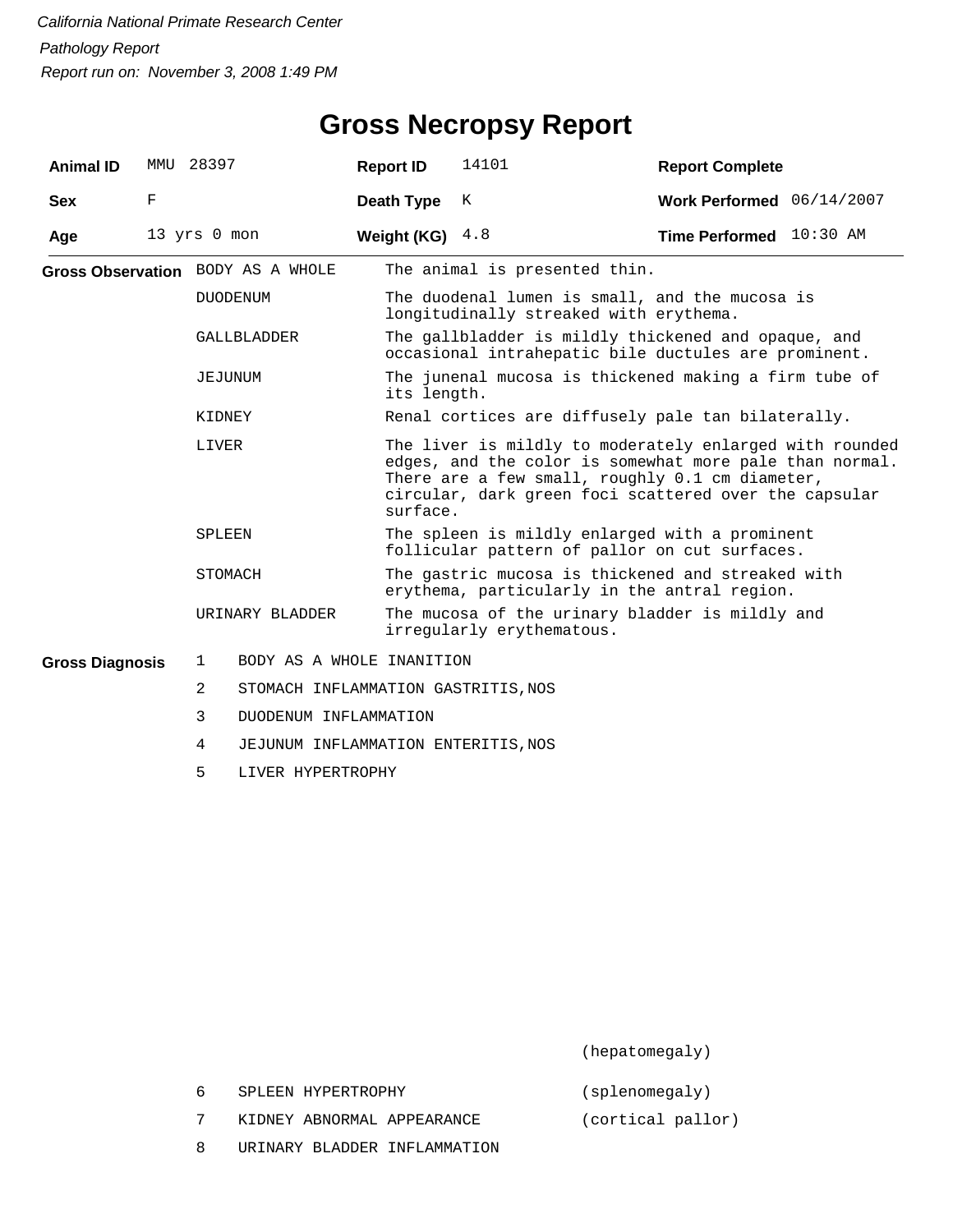| <b>Animal ID</b>       | MMU                                                                                                                                                                                                                                                 | 28397        |                                     | <b>Report ID</b> |                                                                                                             | 14101                                                                                    | <b>Report Complete</b>                                                                          |  |  |  |
|------------------------|-----------------------------------------------------------------------------------------------------------------------------------------------------------------------------------------------------------------------------------------------------|--------------|-------------------------------------|------------------|-------------------------------------------------------------------------------------------------------------|------------------------------------------------------------------------------------------|-------------------------------------------------------------------------------------------------|--|--|--|
| <b>Sex</b>             | F                                                                                                                                                                                                                                                   |              |                                     | Death Type       |                                                                                                             | K                                                                                        | Work Performed 06/14/2007                                                                       |  |  |  |
| Age                    | 13 yrs 0 mon                                                                                                                                                                                                                                        |              |                                     | Weight (KG)      |                                                                                                             | 4.8                                                                                      | Time Performed 10:30 AM                                                                         |  |  |  |
|                        |                                                                                                                                                                                                                                                     |              | Gross Observation BODY AS A WHOLE   |                  | The animal is presented thin.                                                                               |                                                                                          |                                                                                                 |  |  |  |
|                        |                                                                                                                                                                                                                                                     |              | DUODENUM                            |                  |                                                                                                             | The duodenal lumen is small, and the mucosa is<br>longitudinally streaked with erythema. |                                                                                                 |  |  |  |
|                        |                                                                                                                                                                                                                                                     |              | <b>GALLBLADDER</b>                  |                  | The gallbladder is mildly thickened and opaque, and<br>occasional intrahepatic bile ductules are prominent. |                                                                                          |                                                                                                 |  |  |  |
| JEJUNUM<br>KIDNEY      |                                                                                                                                                                                                                                                     |              |                                     |                  | The junenal mucosa is thickened making a firm tube of<br>its length.                                        |                                                                                          |                                                                                                 |  |  |  |
|                        |                                                                                                                                                                                                                                                     |              |                                     |                  | Renal cortices are diffusely pale tan bilaterally.                                                          |                                                                                          |                                                                                                 |  |  |  |
|                        | The liver is mildly to moderately enlarged with rounded<br>LIVER<br>edges, and the color is somewhat more pale than normal.<br>There are a few small, roughly 0.1 cm diameter,<br>circular, dark green foci scattered over the capsular<br>surface. |              |                                     |                  |                                                                                                             |                                                                                          |                                                                                                 |  |  |  |
|                        |                                                                                                                                                                                                                                                     | SPLEEN       |                                     |                  |                                                                                                             |                                                                                          | The spleen is mildly enlarged with a prominent<br>follicular pattern of pallor on cut surfaces. |  |  |  |
|                        |                                                                                                                                                                                                                                                     | STOMACH      |                                     |                  | The gastric mucosa is thickened and streaked with<br>erythema, particularly in the antral region.           |                                                                                          |                                                                                                 |  |  |  |
|                        |                                                                                                                                                                                                                                                     |              | URINARY BLADDER                     |                  | The mucosa of the urinary bladder is mildly and<br>irregularly erythematous.                                |                                                                                          |                                                                                                 |  |  |  |
| <b>Gross Diagnosis</b> |                                                                                                                                                                                                                                                     | $\mathbf{1}$ | BODY AS A WHOLE INANITION           |                  |                                                                                                             |                                                                                          |                                                                                                 |  |  |  |
|                        |                                                                                                                                                                                                                                                     | 2            | STOMACH INFLAMMATION GASTRITIS, NOS |                  |                                                                                                             |                                                                                          |                                                                                                 |  |  |  |
|                        |                                                                                                                                                                                                                                                     | 3            | DUODENUM INFLAMMATION               |                  |                                                                                                             |                                                                                          |                                                                                                 |  |  |  |
|                        |                                                                                                                                                                                                                                                     | 4            | JEJUNUM INFLAMMATION ENTERITIS, NOS |                  |                                                                                                             |                                                                                          |                                                                                                 |  |  |  |

5 LIVER HYPERTROPHY

(hepatomegaly)

(splenomegaly)

- 7 KIDNEY ABNORMAL APPEARANCE (cortical pallor)
- 8 URINARY BLADDER INFLAMMATION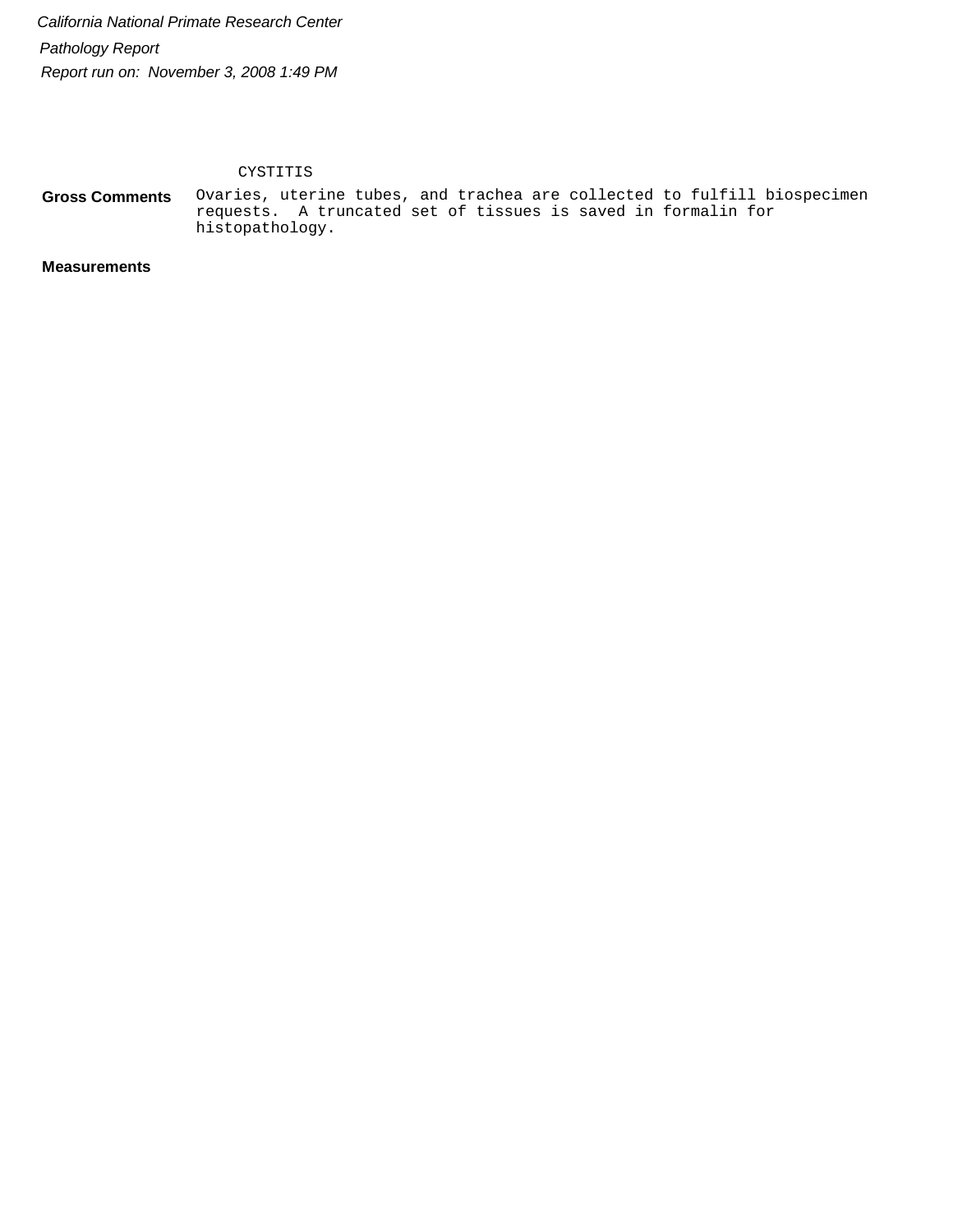CYSTITIS

Ovaries, uterine tubes, and trachea are collected to fulfill biospecimen requests. A truncated set of tissues is saved in formalin for histopathology. **Gross Comments**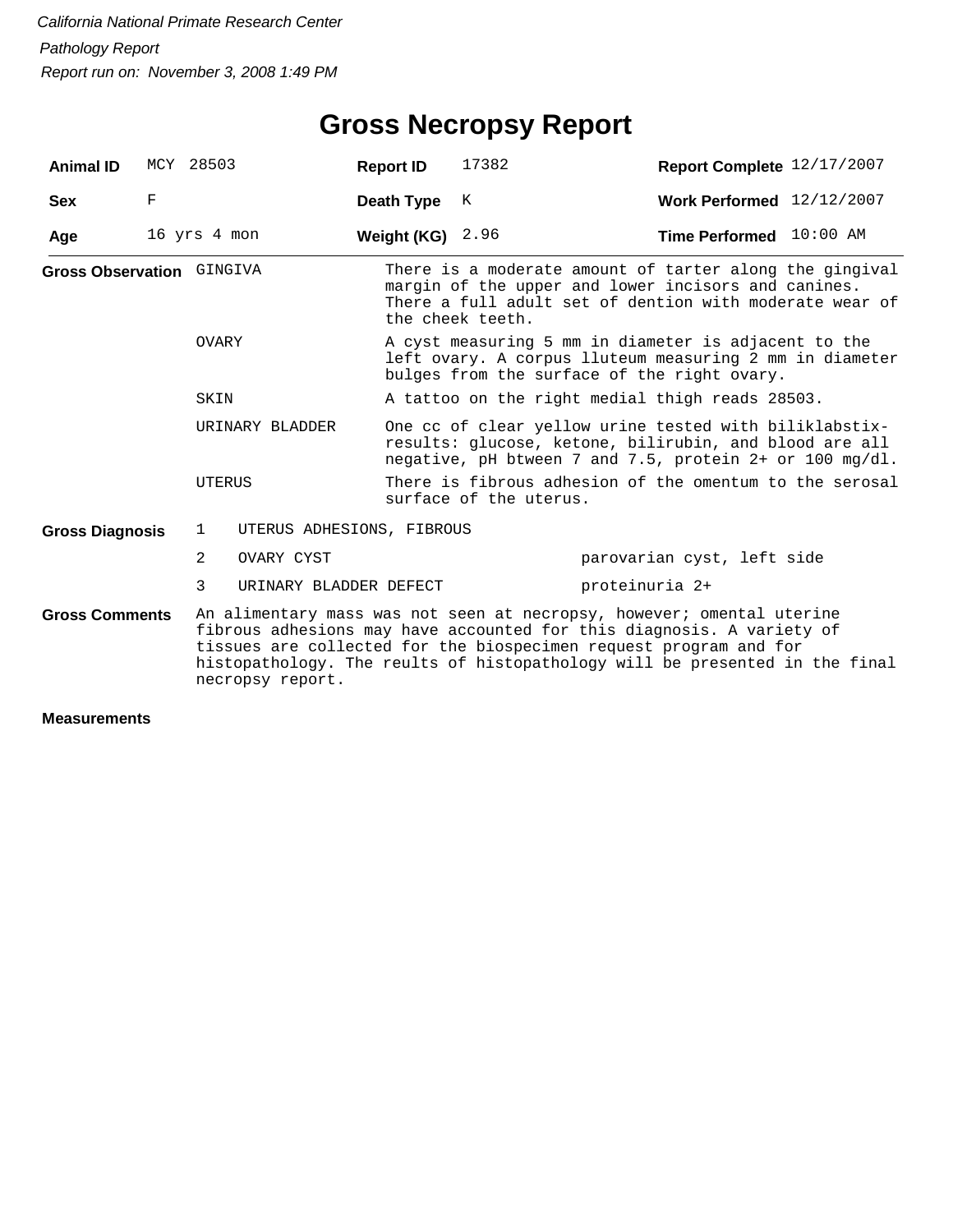## **Gross Necropsy Report**

| <b>Animal ID</b>                                                     | MCY 28503    |                                                                                                                                                                                                                                                                                                                        |                                                                                                                                                                               | <b>Report ID</b>   | 17382                                                                                                                                                          | Report Complete 12/17/2007                                                                                                                                                |  |  |  |
|----------------------------------------------------------------------|--------------|------------------------------------------------------------------------------------------------------------------------------------------------------------------------------------------------------------------------------------------------------------------------------------------------------------------------|-------------------------------------------------------------------------------------------------------------------------------------------------------------------------------|--------------------|----------------------------------------------------------------------------------------------------------------------------------------------------------------|---------------------------------------------------------------------------------------------------------------------------------------------------------------------------|--|--|--|
| <b>Sex</b>                                                           | F            |                                                                                                                                                                                                                                                                                                                        |                                                                                                                                                                               | Death Type         | К                                                                                                                                                              | Work Performed 12/12/2007                                                                                                                                                 |  |  |  |
| Age                                                                  | 16 yrs 4 mon |                                                                                                                                                                                                                                                                                                                        |                                                                                                                                                                               | Weight (KG) $2.96$ |                                                                                                                                                                | Time Performed 10:00 AM                                                                                                                                                   |  |  |  |
| <b>Gross Observation GINGIVA</b><br>OVARY<br>SKIN<br>URINARY BLADDER |              |                                                                                                                                                                                                                                                                                                                        |                                                                                                                                                                               |                    | the cheek teeth.                                                                                                                                               | There is a moderate amount of tarter along the gingival<br>margin of the upper and lower incisors and canines.<br>There a full adult set of dention with moderate wear of |  |  |  |
|                                                                      |              |                                                                                                                                                                                                                                                                                                                        |                                                                                                                                                                               |                    | A cyst measuring 5 mm in diameter is adjacent to the<br>left ovary. A corpus lluteum measuring 2 mm in diameter<br>bulges from the surface of the right ovary. |                                                                                                                                                                           |  |  |  |
|                                                                      |              |                                                                                                                                                                                                                                                                                                                        |                                                                                                                                                                               |                    |                                                                                                                                                                | A tattoo on the right medial thigh reads 28503.                                                                                                                           |  |  |  |
|                                                                      |              |                                                                                                                                                                                                                                                                                                                        | One cc of clear yellow urine tested with biliklabstix-<br>results: glucose, ketone, bilirubin, and blood are all<br>negative, pH btween 7 and 7.5, protein $2+$ or 100 mg/dl. |                    |                                                                                                                                                                |                                                                                                                                                                           |  |  |  |
|                                                                      |              | UTERUS                                                                                                                                                                                                                                                                                                                 |                                                                                                                                                                               |                    | There is fibrous adhesion of the omentum to the serosal<br>surface of the uterus.                                                                              |                                                                                                                                                                           |  |  |  |
| <b>Gross Diagnosis</b>                                               |              | $\mathbf{1}$                                                                                                                                                                                                                                                                                                           | UTERUS ADHESIONS, FIBROUS                                                                                                                                                     |                    |                                                                                                                                                                |                                                                                                                                                                           |  |  |  |
|                                                                      |              | $\mathcal{L}$                                                                                                                                                                                                                                                                                                          | OVARY CYST                                                                                                                                                                    |                    |                                                                                                                                                                | parovarian cyst, left side                                                                                                                                                |  |  |  |
|                                                                      |              | 3                                                                                                                                                                                                                                                                                                                      | URINARY BLADDER DEFECT                                                                                                                                                        |                    |                                                                                                                                                                | proteinuria 2+                                                                                                                                                            |  |  |  |
| <b>Gross Comments</b>                                                |              | An alimentary mass was not seen at necropsy, however; omental uterine<br>fibrous adhesions may have accounted for this diagnosis. A variety of<br>tissues are collected for the biospecimen request program and for<br>histopathology. The reults of histopathology will be presented in the final<br>necropsy report. |                                                                                                                                                                               |                    |                                                                                                                                                                |                                                                                                                                                                           |  |  |  |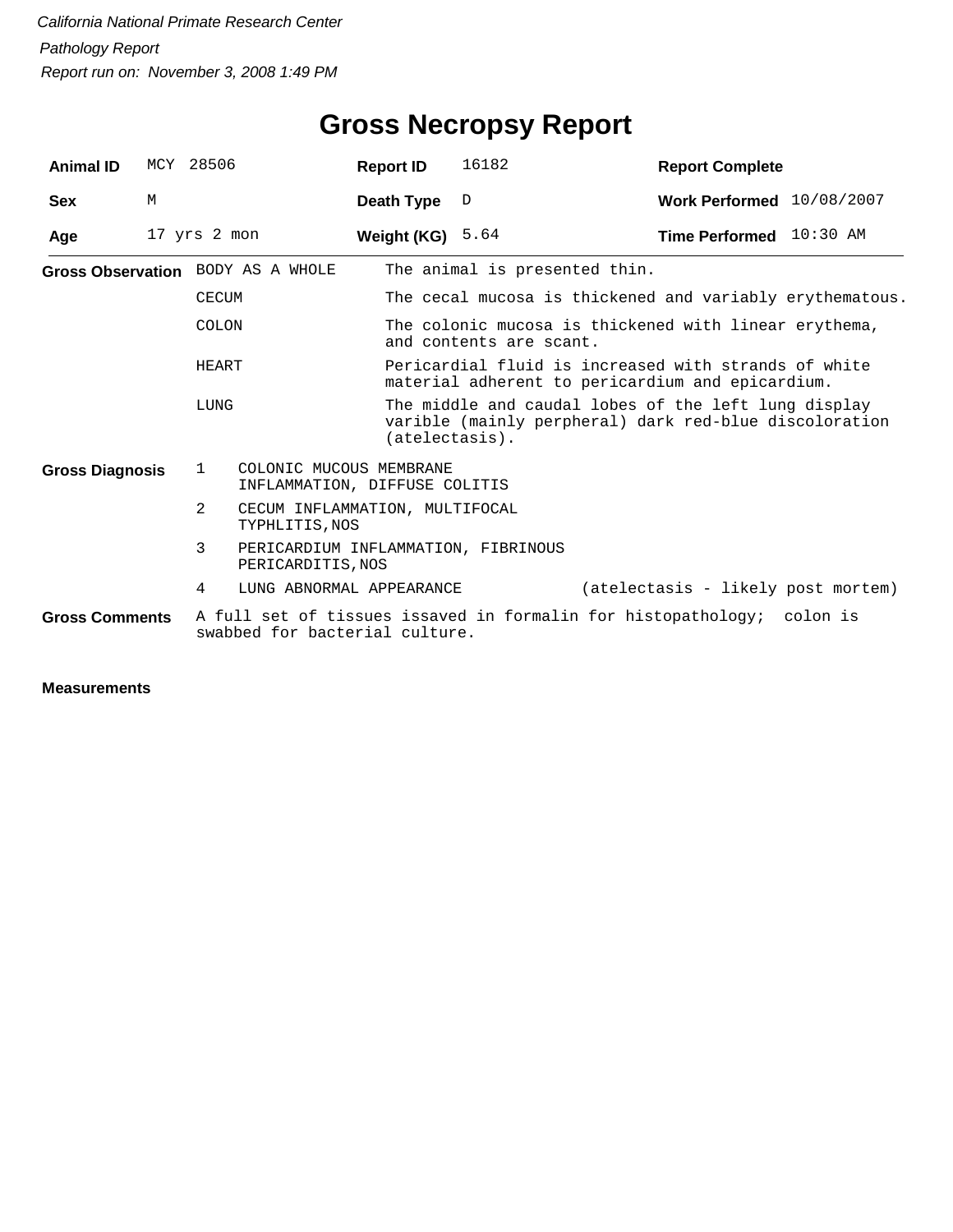| <b>Animal ID</b>       |   | MCY 28506                                                                                                | <b>Report ID</b>                                         | 16182                                                                                                                                     | <b>Report Complete</b>                                                                                   |  |  |  |
|------------------------|---|----------------------------------------------------------------------------------------------------------|----------------------------------------------------------|-------------------------------------------------------------------------------------------------------------------------------------------|----------------------------------------------------------------------------------------------------------|--|--|--|
| <b>Sex</b>             | M |                                                                                                          | Death Type                                               | D                                                                                                                                         | Work Performed 10/08/2007                                                                                |  |  |  |
| Age                    |   | 17 yrs 2 mon                                                                                             | Weight (KG)                                              | 5.64                                                                                                                                      | Time Performed 10:30 AM                                                                                  |  |  |  |
|                        |   | Gross Observation BODY AS A WHOLE                                                                        |                                                          | The animal is presented thin.                                                                                                             |                                                                                                          |  |  |  |
|                        |   | <b>CECUM</b>                                                                                             |                                                          |                                                                                                                                           | The cecal mucosa is thickened and variably erythematous.                                                 |  |  |  |
|                        |   | COLON                                                                                                    |                                                          | and contents are scant.                                                                                                                   | The colonic mucosa is thickened with linear erythema,                                                    |  |  |  |
|                        |   | HEART                                                                                                    |                                                          |                                                                                                                                           | Pericardial fluid is increased with strands of white<br>material adherent to pericardium and epicardium. |  |  |  |
| LUNG                   |   |                                                                                                          |                                                          | The middle and caudal lobes of the left lung display<br>varible (mainly perpheral) dark red-blue discoloration<br>$(\text{atelectasis}).$ |                                                                                                          |  |  |  |
| <b>Gross Diagnosis</b> |   | 1                                                                                                        | COLONIC MUCOUS MEMBRANE<br>INFLAMMATION, DIFFUSE COLITIS |                                                                                                                                           |                                                                                                          |  |  |  |
|                        |   | 2<br>CECUM INFLAMMATION, MULTIFOCAL<br>TYPHLITIS, NOS                                                    |                                                          |                                                                                                                                           |                                                                                                          |  |  |  |
|                        |   | 3<br>PERICARDITIS, NOS                                                                                   | PERICARDIUM INFLAMMATION, FIBRINOUS                      |                                                                                                                                           |                                                                                                          |  |  |  |
|                        |   | 4                                                                                                        | LUNG ABNORMAL APPEARANCE                                 |                                                                                                                                           | (atelectasis - likely post mortem)                                                                       |  |  |  |
| <b>Gross Comments</b>  |   | A full set of tissues issaved in formalin for histopathology; colon is<br>swabbed for bacterial culture. |                                                          |                                                                                                                                           |                                                                                                          |  |  |  |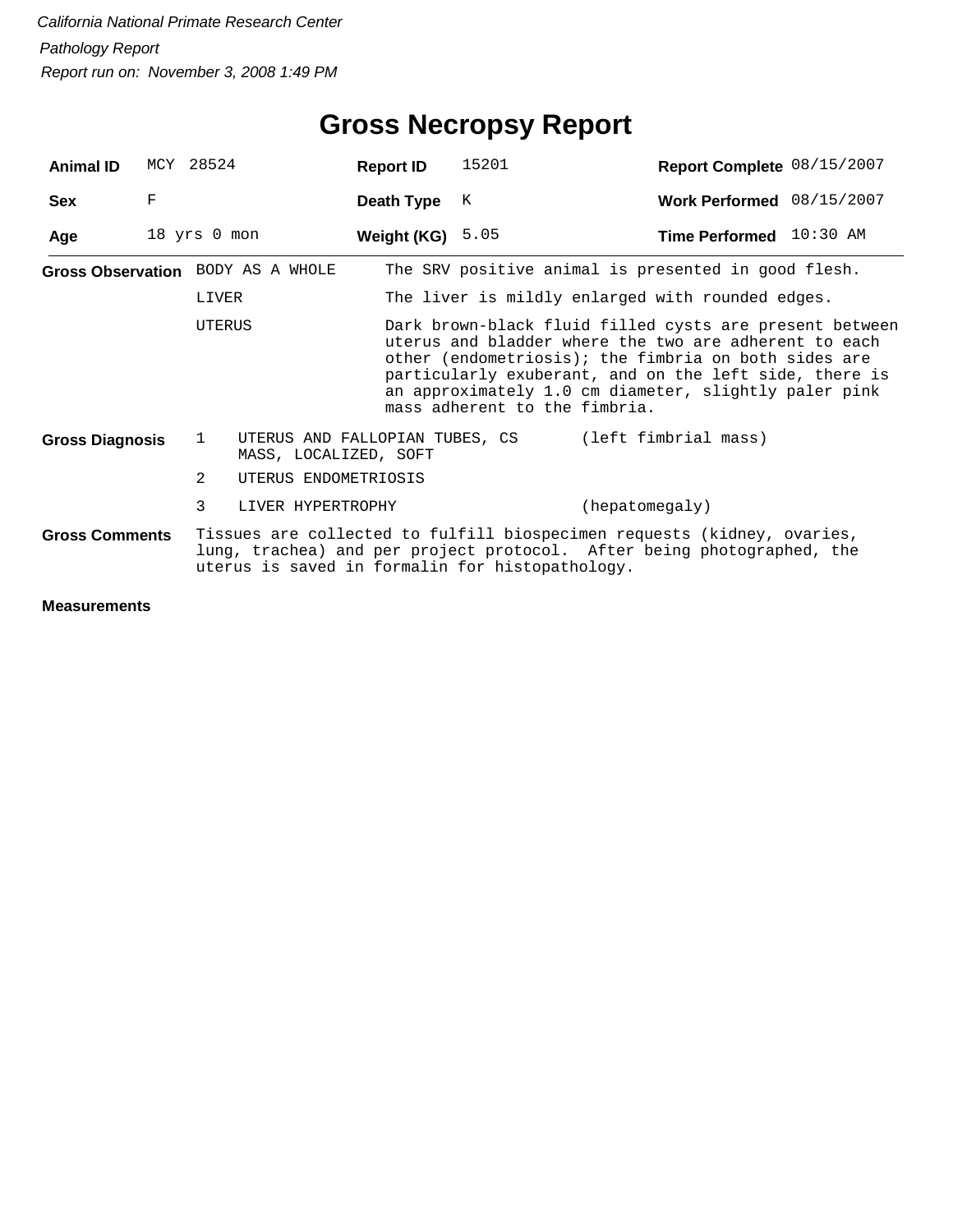| <b>Animal ID</b>                                                                                                                                                                                                                                                                                                                       |   | MCY 28524    |                                                         | <b>Report ID</b>   | 15201                                            | Report Complete 08/15/2007                          |  |  |  |
|----------------------------------------------------------------------------------------------------------------------------------------------------------------------------------------------------------------------------------------------------------------------------------------------------------------------------------------|---|--------------|---------------------------------------------------------|--------------------|--------------------------------------------------|-----------------------------------------------------|--|--|--|
| <b>Sex</b>                                                                                                                                                                                                                                                                                                                             | F |              |                                                         | Death Type         | K                                                | Work Performed 08/15/2007                           |  |  |  |
| Age                                                                                                                                                                                                                                                                                                                                    |   | 18 yrs 0 mon |                                                         | Weight (KG) $5.05$ |                                                  | Time Performed 10:30 AM                             |  |  |  |
|                                                                                                                                                                                                                                                                                                                                        |   |              | Gross Observation BODY AS A WHOLE                       |                    |                                                  | The SRV positive animal is presented in good flesh. |  |  |  |
|                                                                                                                                                                                                                                                                                                                                        |   | LIVER        |                                                         |                    | The liver is mildly enlarged with rounded edges. |                                                     |  |  |  |
| Dark brown-black fluid filled cysts are present between<br>UTERUS<br>uterus and bladder where the two are adherent to each<br>other (endometriosis); the fimbria on both sides are<br>particularly exuberant, and on the left side, there is<br>an approximately 1.0 cm diameter, slightly paler pink<br>mass adherent to the fimbria. |   |              |                                                         |                    |                                                  |                                                     |  |  |  |
| <b>Gross Diagnosis</b>                                                                                                                                                                                                                                                                                                                 |   | 1            | UTERUS AND FALLOPIAN TUBES, CS<br>MASS, LOCALIZED, SOFT |                    |                                                  | (left fimbrial mass)                                |  |  |  |
|                                                                                                                                                                                                                                                                                                                                        |   | 2            | UTERUS ENDOMETRIOSIS                                    |                    |                                                  |                                                     |  |  |  |
|                                                                                                                                                                                                                                                                                                                                        |   | 3            | LIVER HYPERTROPHY                                       |                    |                                                  | (hepatomegaly)                                      |  |  |  |
| Tissues are collected to fulfill biospecimen requests (kidney, ovaries,<br><b>Gross Comments</b><br>lung, trachea) and per project protocol. After being photographed, the<br>uterus is saved in formalin for histopathology.                                                                                                          |   |              |                                                         |                    |                                                  |                                                     |  |  |  |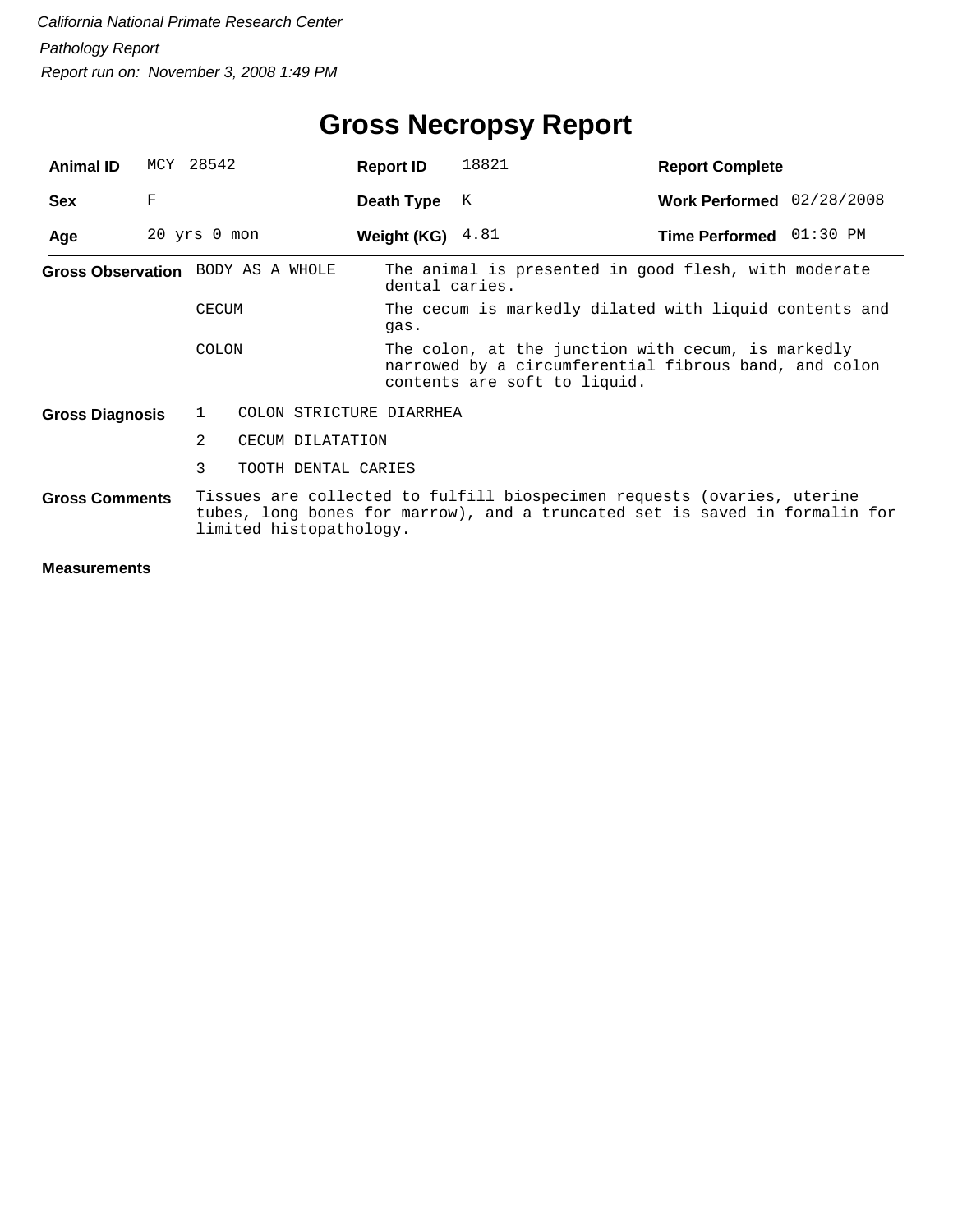| <b>Animal ID</b>                                                                                                                                                                                           |   | MCY 28542        |                                   | <b>Report ID</b>   | 18821                                                                                                                                       | <b>Report Complete</b>    |  |  |
|------------------------------------------------------------------------------------------------------------------------------------------------------------------------------------------------------------|---|------------------|-----------------------------------|--------------------|---------------------------------------------------------------------------------------------------------------------------------------------|---------------------------|--|--|
| <b>Sex</b>                                                                                                                                                                                                 | F |                  |                                   | Death Type         | K                                                                                                                                           | Work Performed 02/28/2008 |  |  |
| Age                                                                                                                                                                                                        |   | $20$ yrs $0$ mon |                                   | Weight (KG) $4.81$ |                                                                                                                                             | Time Performed 01:30 PM   |  |  |
|                                                                                                                                                                                                            |   |                  | Gross Observation BODY AS A WHOLE | dental caries.     | The animal is presented in good flesh, with moderate                                                                                        |                           |  |  |
|                                                                                                                                                                                                            |   | <b>CECUM</b>     |                                   | qas.               | The cecum is markedly dilated with liquid contents and                                                                                      |                           |  |  |
|                                                                                                                                                                                                            |   | <b>COLON</b>     |                                   |                    | The colon, at the junction with cecum, is markedly<br>narrowed by a circumferential fibrous band, and colon<br>contents are soft to liquid. |                           |  |  |
| <b>Gross Diagnosis</b>                                                                                                                                                                                     |   | 1                | COLON STRICTURE DIARRHEA          |                    |                                                                                                                                             |                           |  |  |
|                                                                                                                                                                                                            |   | 2                | CECUM DILATATION                  |                    |                                                                                                                                             |                           |  |  |
|                                                                                                                                                                                                            |   | 3                | TOOTH DENTAL CARIES               |                    |                                                                                                                                             |                           |  |  |
| Tissues are collected to fulfill biospecimen requests (ovaries, uterine<br><b>Gross Comments</b><br>tubes, long bones for marrow), and a truncated set is saved in formalin for<br>limited histopathology. |   |                  |                                   |                    |                                                                                                                                             |                           |  |  |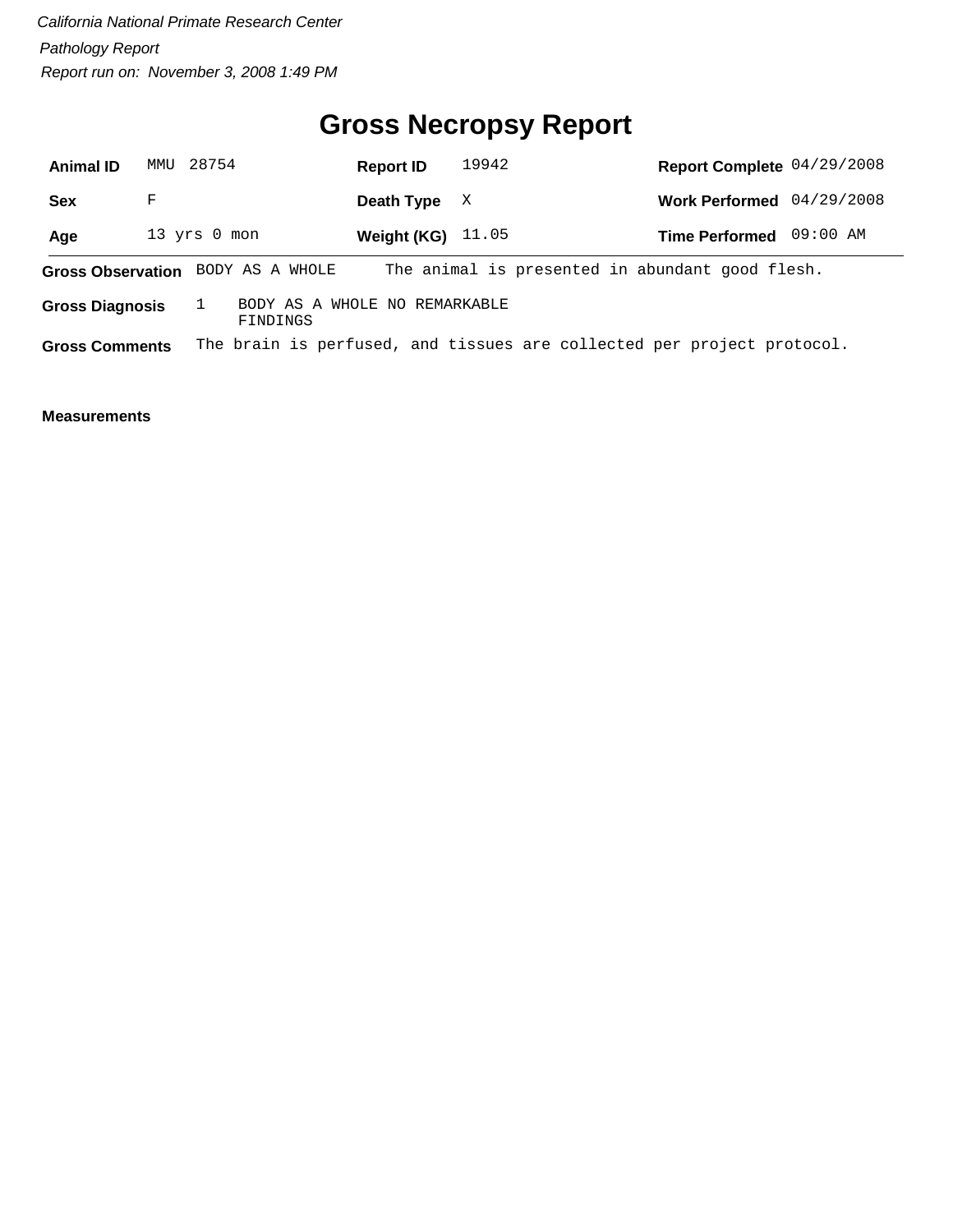## **Gross Necropsy Report**

| <b>Animal ID</b>      |                                                                     | MMU 28754                         | <b>Report ID</b>           | 19942 |  | Report Complete 04/29/2008                                             |          |
|-----------------------|---------------------------------------------------------------------|-----------------------------------|----------------------------|-------|--|------------------------------------------------------------------------|----------|
| <b>Sex</b>            | F                                                                   |                                   | Death Type                 | X     |  | Work Performed 04/29/2008                                              |          |
| Age                   |                                                                     | 13 yrs 0 mon                      | <b>Weight (KG)</b> $11.05$ |       |  | <b>Time Performed</b>                                                  | 09:00 AM |
|                       |                                                                     | Gross Observation BODY AS A WHOLE |                            |       |  | The animal is presented in abundant good flesh.                        |          |
|                       | BODY AS A WHOLE NO REMARKABLE<br><b>Gross Diagnosis</b><br>FINDINGS |                                   |                            |       |  |                                                                        |          |
| <b>Gross Comments</b> |                                                                     |                                   |                            |       |  | The brain is perfused, and tissues are collected per project protocol. |          |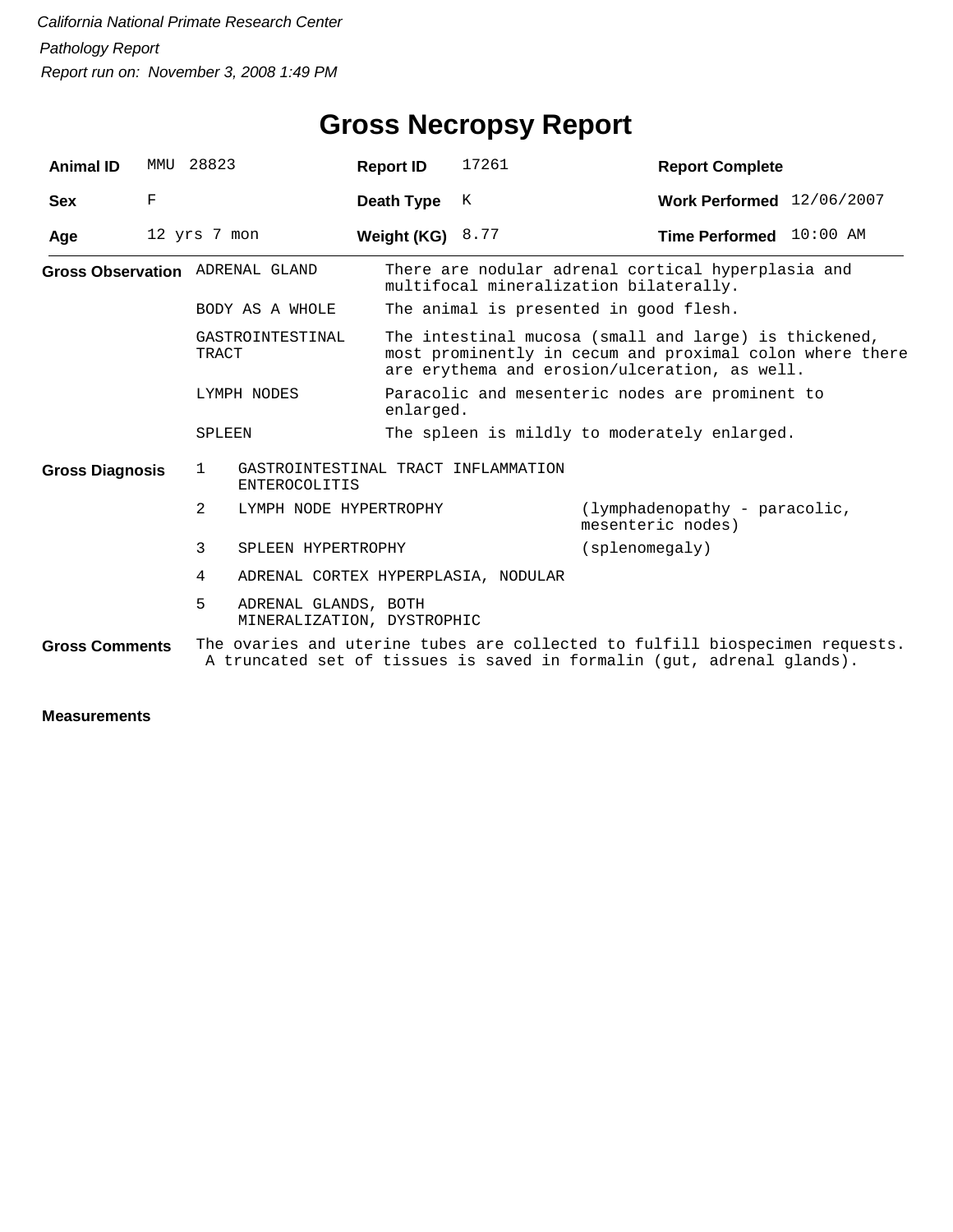## **Gross Necropsy Report**

| <b>Animal ID</b>       | MMU | 28823                                                   |                                     | <b>Report ID</b>   | 17261                                                                                                                                                              | <b>Report Complete</b>                                                                                                                                 |  |  |  |
|------------------------|-----|---------------------------------------------------------|-------------------------------------|--------------------|--------------------------------------------------------------------------------------------------------------------------------------------------------------------|--------------------------------------------------------------------------------------------------------------------------------------------------------|--|--|--|
| <b>Sex</b>             | F   |                                                         |                                     | Death Type         | K                                                                                                                                                                  | Work Performed 12/06/2007                                                                                                                              |  |  |  |
| Age                    |     | 12 yrs 7 mon                                            |                                     | Weight (KG) $8.77$ |                                                                                                                                                                    | Time Performed 10:00 AM                                                                                                                                |  |  |  |
|                        |     | <b>Gross Observation</b> ADRENAL GLAND                  |                                     |                    | There are nodular adrenal cortical hyperplasia and<br>multifocal mineralization bilaterally.                                                                       |                                                                                                                                                        |  |  |  |
|                        |     | BODY AS A WHOLE                                         |                                     |                    | The animal is presented in good flesh.                                                                                                                             |                                                                                                                                                        |  |  |  |
|                        |     | GASTROINTESTINAL<br>TRACT                               |                                     |                    | The intestinal mucosa (small and large) is thickened,<br>most prominently in cecum and proximal colon where there<br>are erythema and erosion/ulceration, as well. |                                                                                                                                                        |  |  |  |
|                        |     | LYMPH NODES                                             |                                     | enlarged.          |                                                                                                                                                                    | Paracolic and mesenteric nodes are prominent to                                                                                                        |  |  |  |
|                        |     | <b>SPLEEN</b>                                           |                                     |                    |                                                                                                                                                                    | The spleen is mildly to moderately enlarged.                                                                                                           |  |  |  |
| <b>Gross Diagnosis</b> |     | 1                                                       | <b>ENTEROCOLITIS</b>                |                    | GASTROINTESTINAL TRACT INFLAMMATION                                                                                                                                |                                                                                                                                                        |  |  |  |
|                        |     | $\mathcal{L}$                                           | LYMPH NODE HYPERTROPHY              |                    |                                                                                                                                                                    | (lymphadenopathy - paracolic,<br>mesenteric nodes)                                                                                                     |  |  |  |
|                        |     | 3                                                       | SPLEEN HYPERTROPHY                  |                    | (splenomegaly)                                                                                                                                                     |                                                                                                                                                        |  |  |  |
|                        |     | 4                                                       | ADRENAL CORTEX HYPERPLASIA, NODULAR |                    |                                                                                                                                                                    |                                                                                                                                                        |  |  |  |
|                        |     | 5<br>ADRENAL GLANDS, BOTH<br>MINERALIZATION, DYSTROPHIC |                                     |                    |                                                                                                                                                                    |                                                                                                                                                        |  |  |  |
| <b>Gross Comments</b>  |     |                                                         |                                     |                    |                                                                                                                                                                    | The ovaries and uterine tubes are collected to fulfill biospecimen requests.<br>A truncated set of tissues is saved in formalin (qut, adrenal glands). |  |  |  |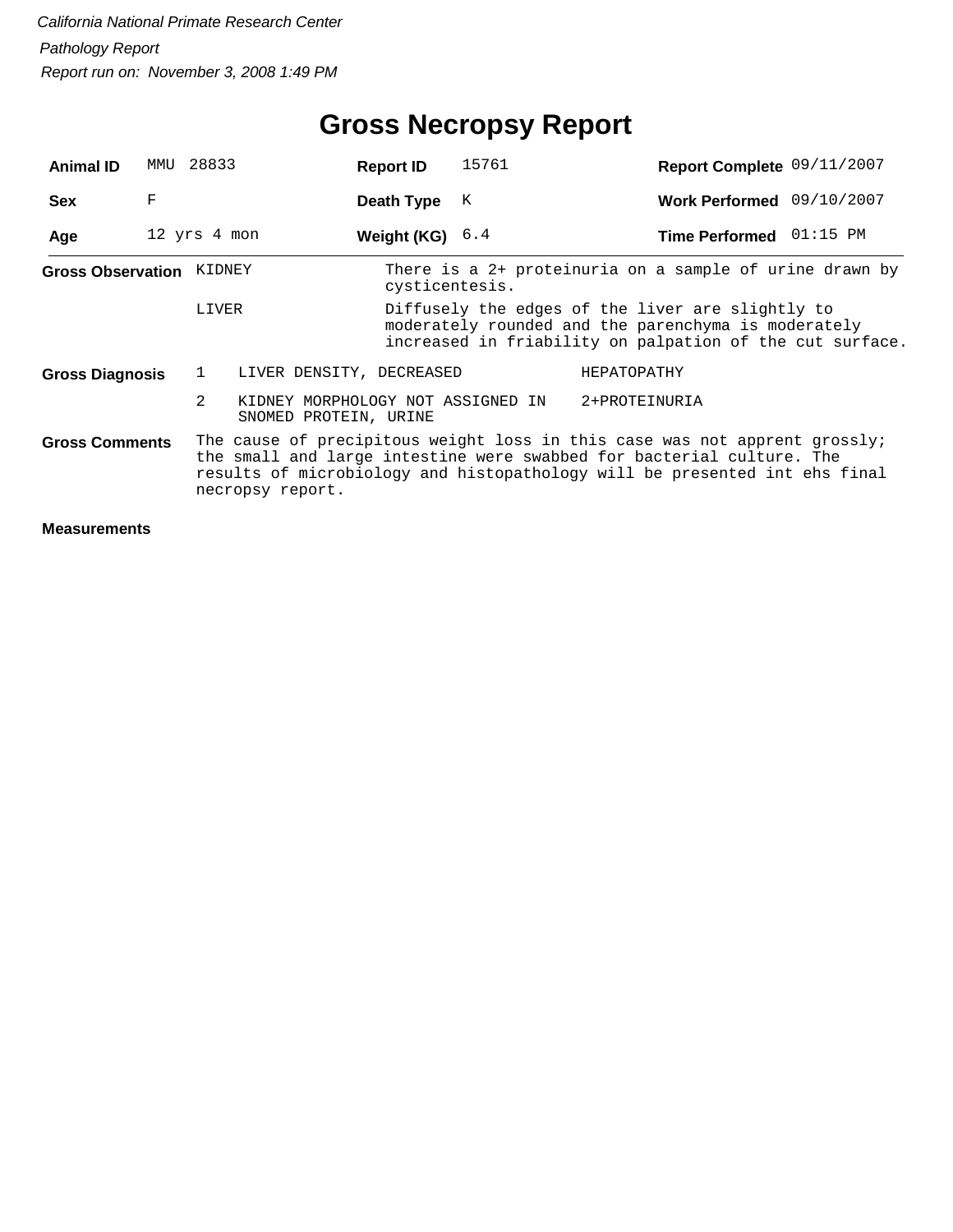## **Gross Necropsy Report**

| <b>Animal ID</b>                | MMU | 28833                                                                        | <b>Report ID</b> | 15761 | Report Complete 09/11/2007                                                                                                                                                                                                        |  |
|---------------------------------|-----|------------------------------------------------------------------------------|------------------|-------|-----------------------------------------------------------------------------------------------------------------------------------------------------------------------------------------------------------------------------------|--|
| <b>Sex</b>                      | F   |                                                                              | Death Type       | К     | Work Performed 09/10/2007                                                                                                                                                                                                         |  |
| Age                             |     | 12 yrs 4 mon                                                                 | Weight (KG)      | 6.4   | Time Performed 01:15 PM                                                                                                                                                                                                           |  |
| <b>Gross Observation KIDNEY</b> |     |                                                                              | cysticentesis.   |       | There is a 2+ proteinuria on a sample of urine drawn by                                                                                                                                                                           |  |
|                                 |     | LIVER                                                                        |                  |       | Diffusely the edges of the liver are slightly to<br>moderately rounded and the parenchyma is moderately<br>increased in friability on palpation of the cut surface.                                                               |  |
| <b>Gross Diagnosis</b>          |     | $\mathbf{1}$<br>LIVER DENSITY, DECREASED                                     |                  |       | HEPATOPATHY                                                                                                                                                                                                                       |  |
|                                 |     | $\mathfrak{D}$<br>KIDNEY MORPHOLOGY NOT ASSIGNED IN<br>SNOMED PROTEIN, URINE |                  |       | 2+PROTEINURIA                                                                                                                                                                                                                     |  |
| <b>Gross Comments</b>           |     | necropsy report.                                                             |                  |       | The cause of precipitous weight loss in this case was not apprent grossly;<br>the small and large intestine were swabbed for bacterial culture. The<br>results of microbiology and histopathology will be presented int ehs final |  |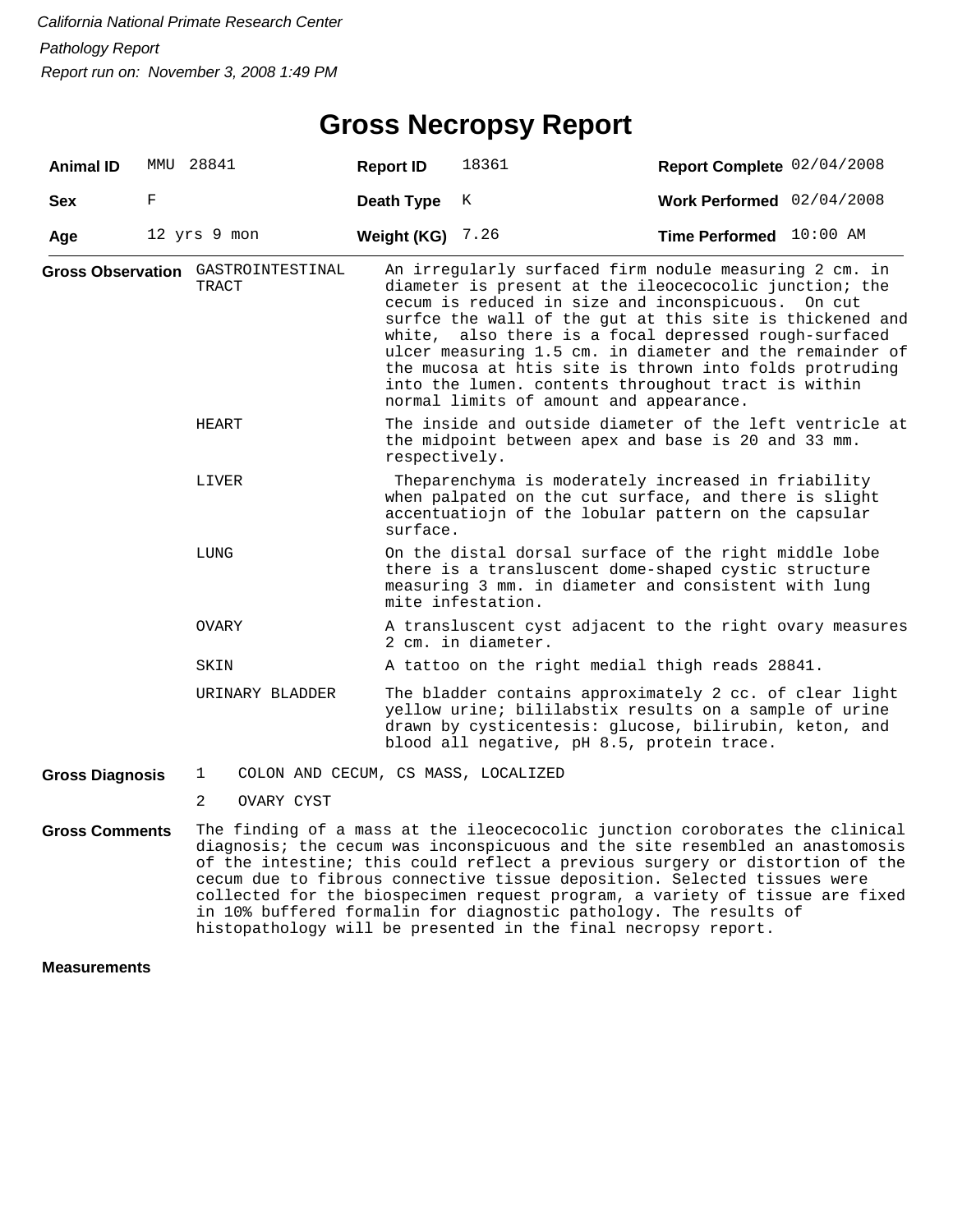### **Gross Necropsy Report**

| <b>Animal ID</b>       |   | MMU 28841                                   | <b>Report ID</b> | 18361                                                                                                                                                                                                                                                                                                                                                                                                                                                                                                                | Report Complete 02/04/2008 |  |  |  |
|------------------------|---|---------------------------------------------|------------------|----------------------------------------------------------------------------------------------------------------------------------------------------------------------------------------------------------------------------------------------------------------------------------------------------------------------------------------------------------------------------------------------------------------------------------------------------------------------------------------------------------------------|----------------------------|--|--|--|
| <b>Sex</b>             | F |                                             | Death Type       | К                                                                                                                                                                                                                                                                                                                                                                                                                                                                                                                    | Work Performed 02/04/2008  |  |  |  |
| Age                    |   | 12 yrs 9 mon                                | Weight (KG)      | 7.26                                                                                                                                                                                                                                                                                                                                                                                                                                                                                                                 | Time Performed 10:00 AM    |  |  |  |
|                        |   | Gross Observation GASTROINTESTINAL<br>TRACT |                  | An irregularly surfaced firm nodule measuring 2 cm. in<br>diameter is present at the ileocecocolic junction; the<br>cecum is reduced in size and inconspicuous. On cut<br>surfce the wall of the gut at this site is thickened and<br>white, also there is a focal depressed rough-surfaced<br>ulcer measuring 1.5 cm. in diameter and the remainder of<br>the mucosa at htis site is thrown into folds protruding<br>into the lumen. contents throughout tract is within<br>normal limits of amount and appearance. |                            |  |  |  |
|                        |   | HEART                                       | respectively.    | The inside and outside diameter of the left ventricle at<br>the midpoint between apex and base is 20 and 33 mm.                                                                                                                                                                                                                                                                                                                                                                                                      |                            |  |  |  |
|                        |   | LIVER                                       |                  | Theparenchyma is moderately increased in friability<br>when palpated on the cut surface, and there is slight<br>accentuatiojn of the lobular pattern on the capsular<br>surface.                                                                                                                                                                                                                                                                                                                                     |                            |  |  |  |
|                        |   | LUNG                                        |                  | On the distal dorsal surface of the right middle lobe<br>there is a transluscent dome-shaped cystic structure<br>measuring 3 mm. in diameter and consistent with lung<br>mite infestation.                                                                                                                                                                                                                                                                                                                           |                            |  |  |  |
|                        |   | OVARY                                       |                  | A transluscent cyst adjacent to the right ovary measures<br>2 cm. in diameter.                                                                                                                                                                                                                                                                                                                                                                                                                                       |                            |  |  |  |
|                        |   | SKIN                                        |                  | A tattoo on the right medial thigh reads 28841.                                                                                                                                                                                                                                                                                                                                                                                                                                                                      |                            |  |  |  |
|                        |   | URINARY BLADDER                             |                  | The bladder contains approximately 2 cc. of clear light<br>yellow urine; bililabstix results on a sample of urine<br>drawn by cysticentesis: glucose, bilirubin, keton, and<br>blood all negative, pH 8.5, protein trace.                                                                                                                                                                                                                                                                                            |                            |  |  |  |
| <b>Gross Diagnosis</b> |   | $\mathbf{1}$                                |                  | COLON AND CECUM, CS MASS, LOCALIZED                                                                                                                                                                                                                                                                                                                                                                                                                                                                                  |                            |  |  |  |
|                        |   | $\overline{2}$<br>OVARY CYST                |                  |                                                                                                                                                                                                                                                                                                                                                                                                                                                                                                                      |                            |  |  |  |
| <b>Gross Comments</b>  |   |                                             |                  | The finding of a mass at the ileocecocolic junction coroborates the clinical<br>diagnosis; the cecum was inconspicuous and the site resembled an anastomosis<br>of the intestine; this could reflect a previous surgery or distortion of the<br>cecum due to fibrous connective tissue deposition. Selected tissues were<br>collected for the biospecimen request program, a variety of tissue are fixed                                                                                                             |                            |  |  |  |

in 10% buffered formalin for diagnostic pathology. The results of histopathology will be presented in the final necropsy report.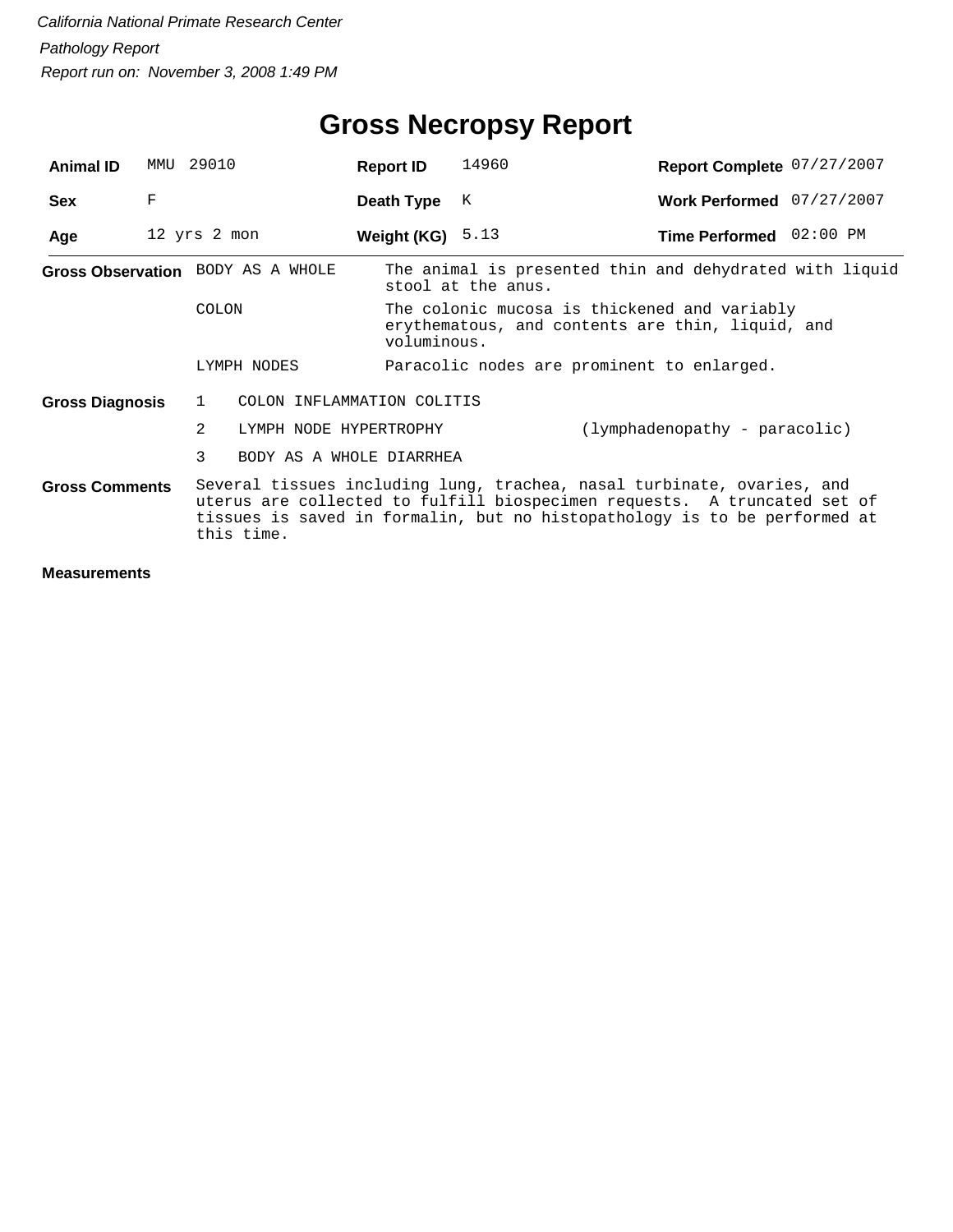| <b>Animal ID</b>                                                                                                                                                                                                                                                       | MMU | 29010                             |                            | <b>Report ID</b>   | 14960                                                                         | Report Complete 07/27/2007                                                                       |  |  |  |
|------------------------------------------------------------------------------------------------------------------------------------------------------------------------------------------------------------------------------------------------------------------------|-----|-----------------------------------|----------------------------|--------------------|-------------------------------------------------------------------------------|--------------------------------------------------------------------------------------------------|--|--|--|
| <b>Sex</b>                                                                                                                                                                                                                                                             | F   |                                   |                            | Death Type         | К                                                                             | Work Performed 07/27/2007                                                                        |  |  |  |
| Age                                                                                                                                                                                                                                                                    |     | 12 yrs 2 mon                      |                            | Weight (KG) $5.13$ |                                                                               | Time Performed 02:00 PM                                                                          |  |  |  |
|                                                                                                                                                                                                                                                                        |     | Gross Observation BODY AS A WHOLE |                            |                    | The animal is presented thin and dehydrated with liquid<br>stool at the anus. |                                                                                                  |  |  |  |
|                                                                                                                                                                                                                                                                        |     | <b>COLON</b>                      |                            | voluminous.        |                                                                               | The colonic mucosa is thickened and variably<br>erythematous, and contents are thin, liquid, and |  |  |  |
|                                                                                                                                                                                                                                                                        |     |                                   | LYMPH NODES                |                    |                                                                               | Paracolic nodes are prominent to enlarged.                                                       |  |  |  |
| <b>Gross Diagnosis</b>                                                                                                                                                                                                                                                 |     | $\mathbf{1}$                      | COLON INFLAMMATION COLITIS |                    |                                                                               |                                                                                                  |  |  |  |
|                                                                                                                                                                                                                                                                        |     | $\mathfrak{D}$                    | LYMPH NODE HYPERTROPHY     |                    |                                                                               | (lymphadenopathy - paracolic)                                                                    |  |  |  |
|                                                                                                                                                                                                                                                                        |     | 3                                 | BODY AS A WHOLE DIARRHEA   |                    |                                                                               |                                                                                                  |  |  |  |
| Several tissues including lung, trachea, nasal turbinate, ovaries, and<br><b>Gross Comments</b><br>uterus are collected to fulfill biospecimen requests. A truncated set of<br>tissues is saved in formalin, but no histopathology is to be performed at<br>this time. |     |                                   |                            |                    |                                                                               |                                                                                                  |  |  |  |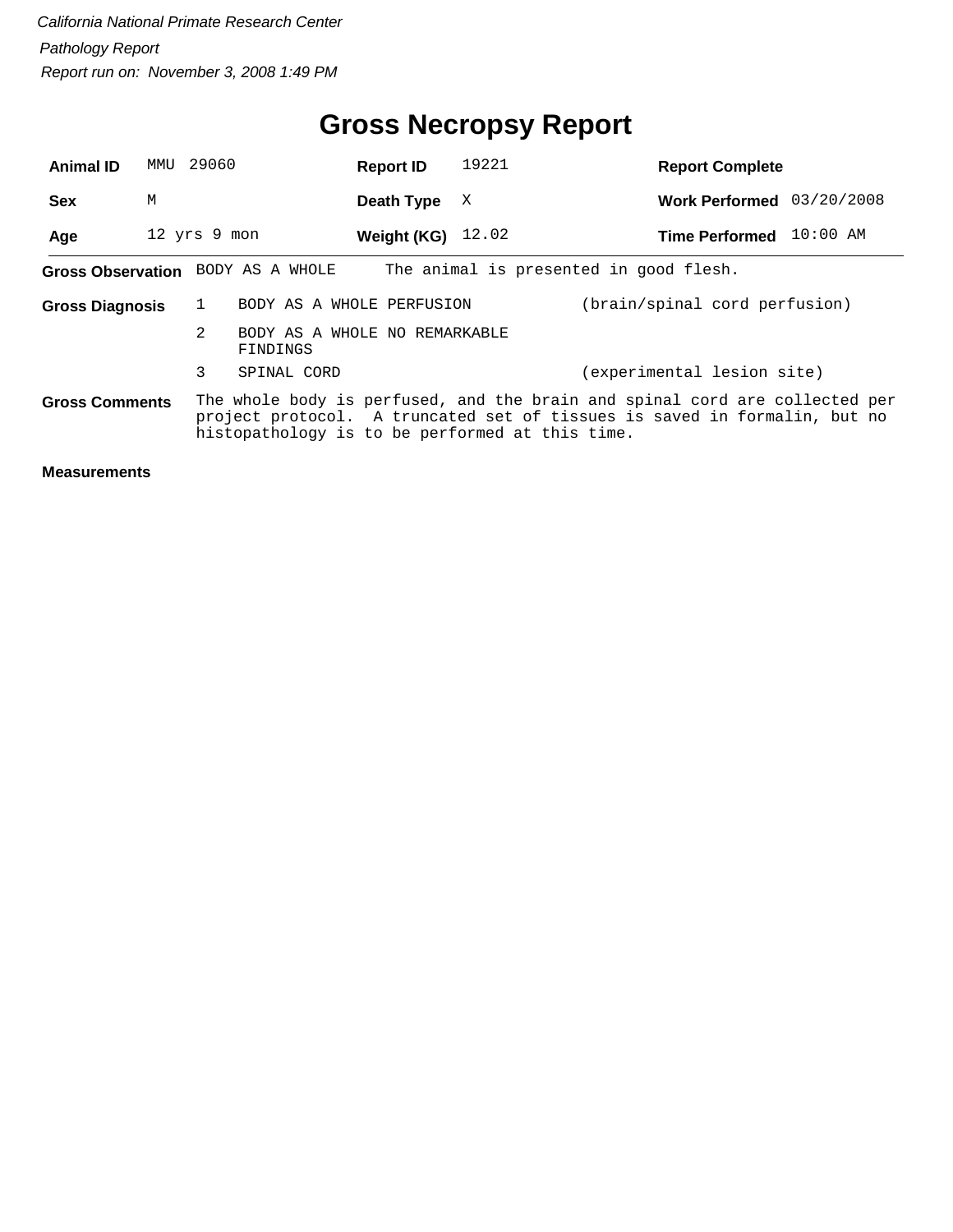### **Gross Necropsy Report**

| <b>Animal ID</b>                                                                                                                                                                                                                     | MMU | 29060                             |                               | <b>Report ID</b> | 19221 | <b>Report Complete</b>                 |            |
|--------------------------------------------------------------------------------------------------------------------------------------------------------------------------------------------------------------------------------------|-----|-----------------------------------|-------------------------------|------------------|-------|----------------------------------------|------------|
| <b>Sex</b>                                                                                                                                                                                                                           | M   |                                   |                               | Death Type       | X     | <b>Work Performed</b>                  | 03/20/2008 |
| Age                                                                                                                                                                                                                                  |     | 12 yrs 9 mon                      |                               | Weight (KG)      | 12.02 | <b>Time Performed</b>                  | $10:00$ AM |
|                                                                                                                                                                                                                                      |     | Gross Observation BODY AS A WHOLE |                               |                  |       | The animal is presented in good flesh. |            |
| <b>Gross Diagnosis</b>                                                                                                                                                                                                               |     |                                   | BODY AS A WHOLE PERFUSION     |                  |       | (brain/spinal cord perfusion)          |            |
|                                                                                                                                                                                                                                      |     | 2<br>FINDINGS                     | BODY AS A WHOLE NO REMARKABLE |                  |       |                                        |            |
|                                                                                                                                                                                                                                      |     | 3                                 | SPINAL CORD                   |                  |       | (experimental lesion site)             |            |
| The whole body is perfused, and the brain and spinal cord are collected per<br><b>Gross Comments</b><br>project protocol. A truncated set of tissues is saved in formalin, but no<br>histopathology is to be performed at this time. |     |                                   |                               |                  |       |                                        |            |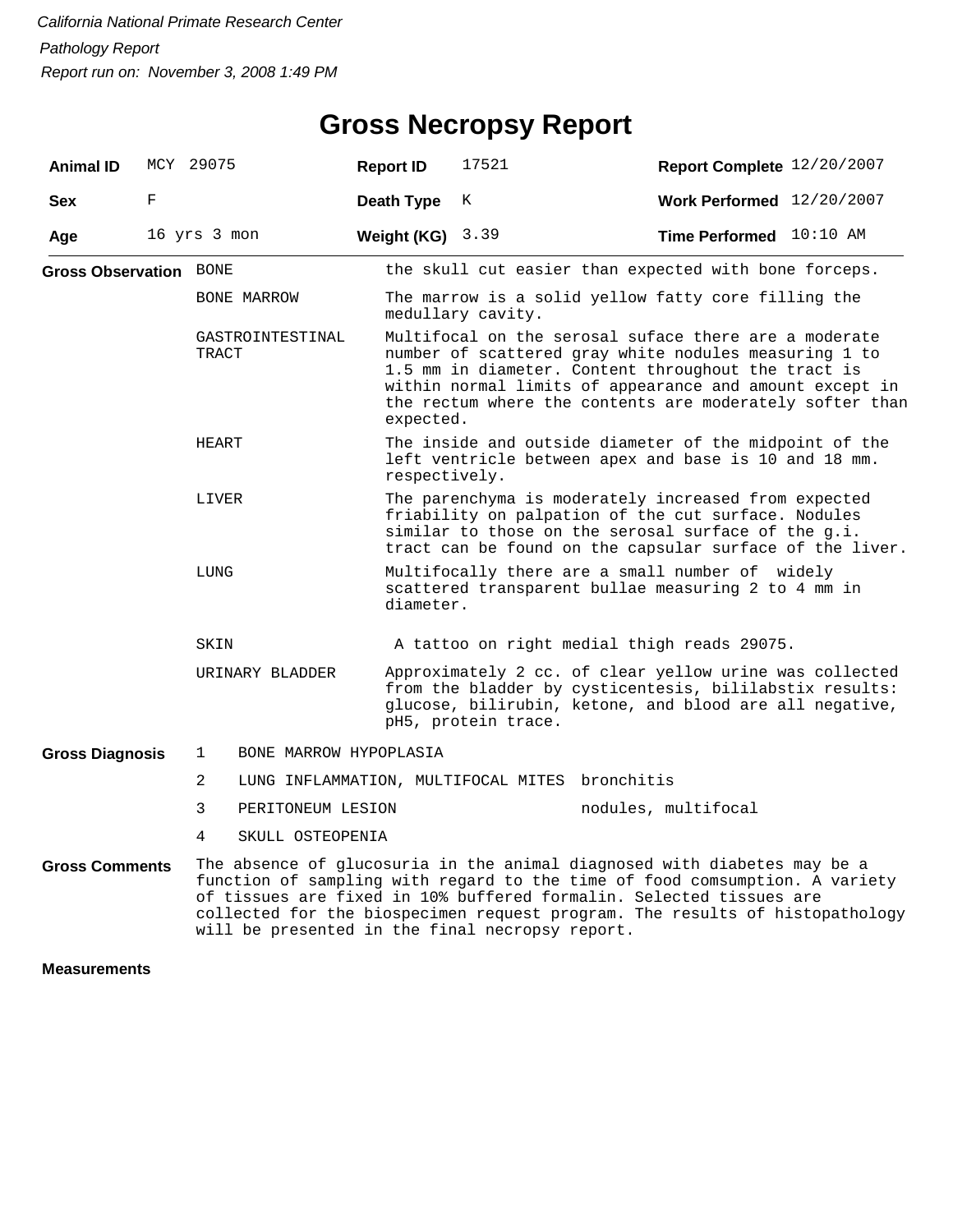## **Gross Necropsy Report**

| <b>Animal ID</b>              |   | MCY 29075                   | <b>Report ID</b>                            | 17521                                                                                                                                                                                                                                                                                                                                                             | Report Complete 12/20/2007  |  |  |  |
|-------------------------------|---|-----------------------------|---------------------------------------------|-------------------------------------------------------------------------------------------------------------------------------------------------------------------------------------------------------------------------------------------------------------------------------------------------------------------------------------------------------------------|-----------------------------|--|--|--|
| <b>Sex</b>                    | F |                             | Death Type                                  | K                                                                                                                                                                                                                                                                                                                                                                 | Work Performed $12/20/2007$ |  |  |  |
| Age                           |   | 16 yrs 3 mon                | Weight (KG)                                 | 3.39                                                                                                                                                                                                                                                                                                                                                              | Time Performed 10:10 AM     |  |  |  |
| <b>Gross Observation BONE</b> |   |                             |                                             | the skull cut easier than expected with bone forceps.                                                                                                                                                                                                                                                                                                             |                             |  |  |  |
|                               |   | BONE MARROW                 |                                             | The marrow is a solid yellow fatty core filling the<br>medullary cavity.                                                                                                                                                                                                                                                                                          |                             |  |  |  |
| GASTROINTESTINAL<br>TRACT     |   |                             | expected.                                   | Multifocal on the serosal suface there are a moderate<br>number of scattered gray white nodules measuring 1 to<br>1.5 mm in diameter. Content throughout the tract is<br>within normal limits of appearance and amount except in<br>the rectum where the contents are moderately softer than                                                                      |                             |  |  |  |
| HEART                         |   |                             |                                             | The inside and outside diameter of the midpoint of the<br>left ventricle between apex and base is 10 and 18 mm.<br>respectively.                                                                                                                                                                                                                                  |                             |  |  |  |
| LIVER                         |   |                             |                                             | The parenchyma is moderately increased from expected<br>friability on palpation of the cut surface. Nodules<br>similar to those on the serosal surface of the g.i.<br>tract can be found on the capsular surface of the liver.                                                                                                                                    |                             |  |  |  |
|                               |   | LUNG                        |                                             | Multifocally there are a small number of widely<br>scattered transparent bullae measuring 2 to 4 mm in<br>diameter.                                                                                                                                                                                                                                               |                             |  |  |  |
|                               |   | SKIN                        | A tattoo on right medial thigh reads 29075. |                                                                                                                                                                                                                                                                                                                                                                   |                             |  |  |  |
|                               |   | URINARY BLADDER             |                                             | Approximately 2 cc. of clear yellow urine was collected<br>from the bladder by cysticentesis, bililabstix results:<br>glucose, bilirubin, ketone, and blood are all negative,<br>pH5, protein trace.                                                                                                                                                              |                             |  |  |  |
| <b>Gross Diagnosis</b>        |   | BONE MARROW HYPOPLASIA<br>1 |                                             |                                                                                                                                                                                                                                                                                                                                                                   |                             |  |  |  |
|                               |   | 2                           |                                             | LUNG INFLAMMATION, MULTIFOCAL MITES bronchitis                                                                                                                                                                                                                                                                                                                    |                             |  |  |  |
|                               |   | 3<br>PERITONEUM LESION      |                                             |                                                                                                                                                                                                                                                                                                                                                                   | nodules, multifocal         |  |  |  |
|                               |   | 4<br>SKULL OSTEOPENIA       |                                             |                                                                                                                                                                                                                                                                                                                                                                   |                             |  |  |  |
| <b>Gross Comments</b>         |   |                             |                                             | The absence of glucosuria in the animal diagnosed with diabetes may be a<br>function of sampling with regard to the time of food comsumption. A variety<br>of tissues are fixed in 10% buffered formalin. Selected tissues are<br>collected for the biospecimen request program. The results of histopathology<br>will be presented in the final necropsy report. |                             |  |  |  |
| <b>Measurements</b>           |   |                             |                                             |                                                                                                                                                                                                                                                                                                                                                                   |                             |  |  |  |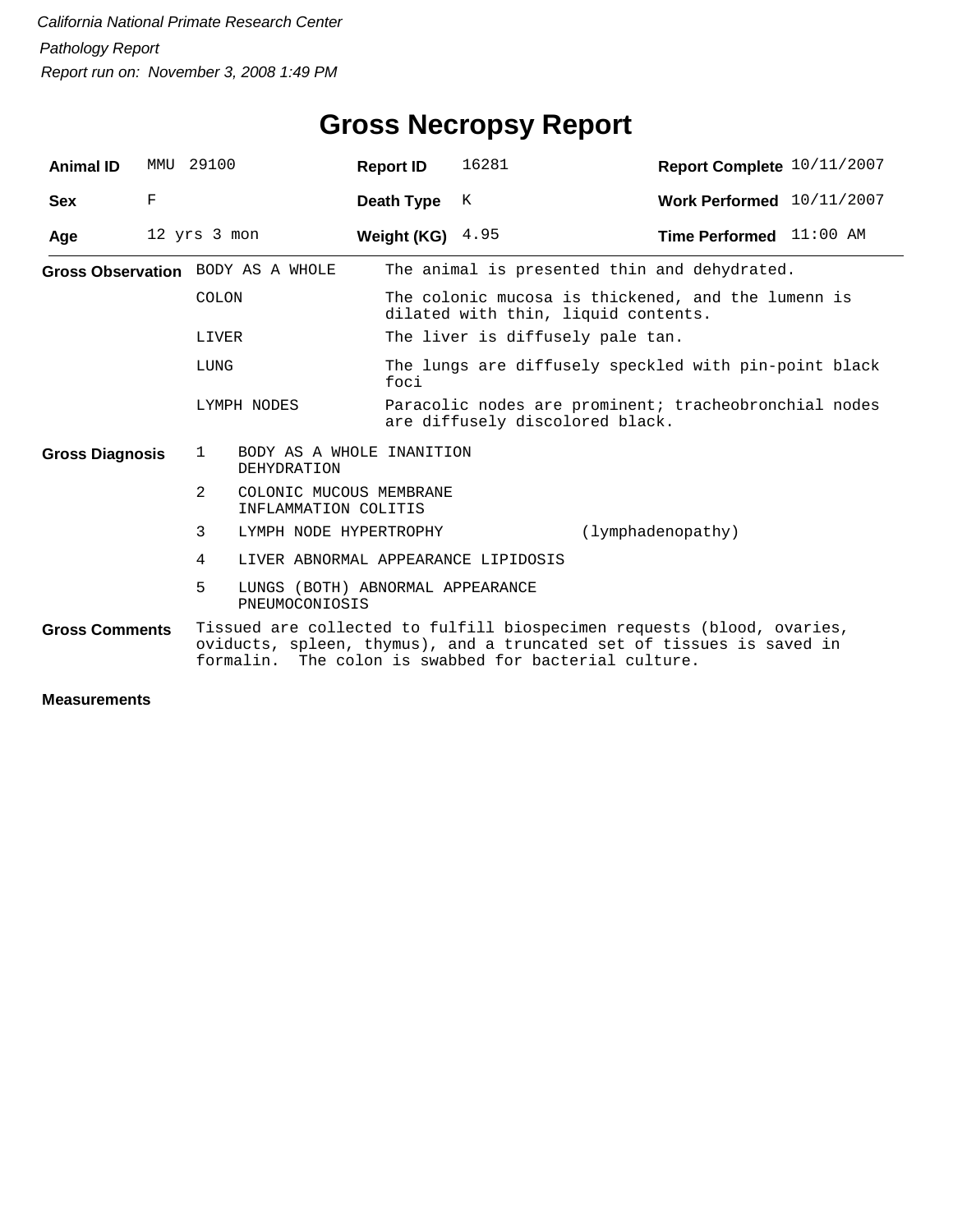| <b>Animal ID</b>       |   | MMU 29100                                                         | <b>Report ID</b>                                                                                                                                                                               | 16281                                                                                     | Report Complete 10/11/2007                            |  |  |  |
|------------------------|---|-------------------------------------------------------------------|------------------------------------------------------------------------------------------------------------------------------------------------------------------------------------------------|-------------------------------------------------------------------------------------------|-------------------------------------------------------|--|--|--|
| <b>Sex</b>             | F |                                                                   | Death Type                                                                                                                                                                                     | K                                                                                         | Work Performed 10/11/2007                             |  |  |  |
| Age                    |   | 12 yrs 3 mon                                                      | Weight (KG) $4.95$                                                                                                                                                                             |                                                                                           | Time Performed 11:00 AM                               |  |  |  |
|                        |   | Gross Observation BODY AS A WHOLE                                 |                                                                                                                                                                                                |                                                                                           | The animal is presented thin and dehydrated.          |  |  |  |
|                        |   | COLON                                                             |                                                                                                                                                                                                | The colonic mucosa is thickened, and the lumenn is<br>dilated with thin, liquid contents. |                                                       |  |  |  |
|                        |   | LIVER                                                             |                                                                                                                                                                                                | The liver is diffusely pale tan.                                                          |                                                       |  |  |  |
|                        |   | LUNG                                                              | foci                                                                                                                                                                                           | The lungs are diffusely speckled with pin-point black                                     |                                                       |  |  |  |
|                        |   | LYMPH NODES                                                       |                                                                                                                                                                                                | are diffusely discolored black.                                                           | Paracolic nodes are prominent; tracheobronchial nodes |  |  |  |
| <b>Gross Diagnosis</b> |   | $\mathbf{1}$<br>BODY AS A WHOLE INANITION<br><b>DEHYDRATION</b>   |                                                                                                                                                                                                |                                                                                           |                                                       |  |  |  |
|                        |   | $\overline{2}$<br>COLONIC MUCOUS MEMBRANE<br>INFLAMMATION COLITIS |                                                                                                                                                                                                |                                                                                           |                                                       |  |  |  |
|                        |   | 3<br>LYMPH NODE HYPERTROPHY                                       |                                                                                                                                                                                                |                                                                                           | (lymphadenopathy)                                     |  |  |  |
|                        |   | 4<br>LIVER ABNORMAL APPEARANCE LIPIDOSIS                          |                                                                                                                                                                                                |                                                                                           |                                                       |  |  |  |
|                        |   | 5<br>LUNGS (BOTH) ABNORMAL APPEARANCE<br>PNEUMOCONIOSIS           |                                                                                                                                                                                                |                                                                                           |                                                       |  |  |  |
| <b>Gross Comments</b>  |   | formalin.                                                         | Tissued are collected to fulfill biospecimen requests (blood, ovaries,<br>oviducts, spleen, thymus), and a truncated set of tissues is saved in<br>The colon is swabbed for bacterial culture. |                                                                                           |                                                       |  |  |  |
| в.                     |   |                                                                   |                                                                                                                                                                                                |                                                                                           |                                                       |  |  |  |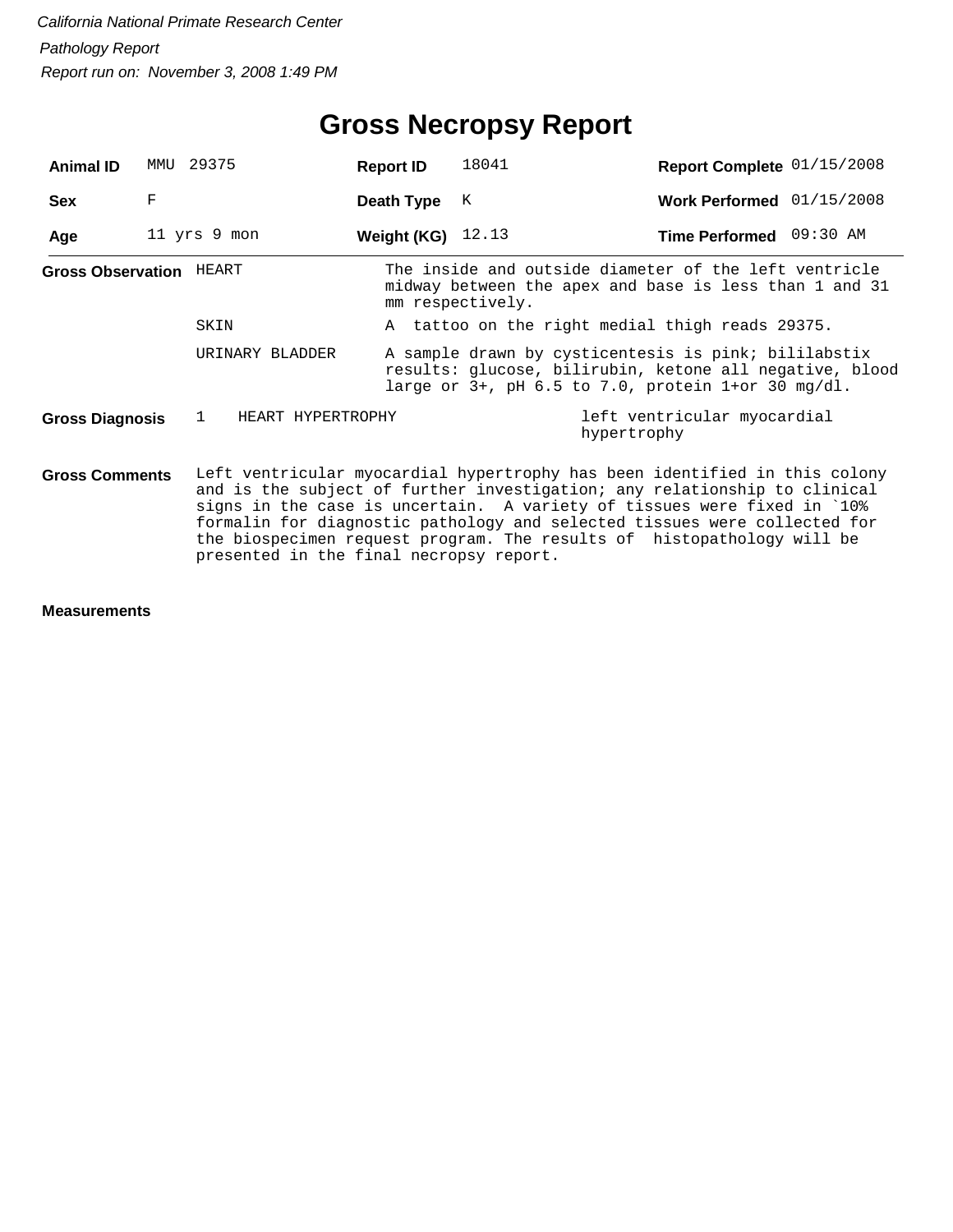## **Gross Necropsy Report**

| <b>Animal ID</b>                                                                                                                                                                                                                                                                                                                                                                                                                                              | MMU | 29375                  | <b>Report ID</b>    | 18041                                                                                                                                                                       | Report Complete 01/15/2008                                                                                      |  |  |  |  |
|---------------------------------------------------------------------------------------------------------------------------------------------------------------------------------------------------------------------------------------------------------------------------------------------------------------------------------------------------------------------------------------------------------------------------------------------------------------|-----|------------------------|---------------------|-----------------------------------------------------------------------------------------------------------------------------------------------------------------------------|-----------------------------------------------------------------------------------------------------------------|--|--|--|--|
| <b>Sex</b>                                                                                                                                                                                                                                                                                                                                                                                                                                                    | F   |                        | Death Type          | K                                                                                                                                                                           | Work Performed 01/15/2008                                                                                       |  |  |  |  |
| Age                                                                                                                                                                                                                                                                                                                                                                                                                                                           |     | 11 yrs 9 mon           | Weight (KG) $12.13$ |                                                                                                                                                                             | Time Performed 09:30 AM                                                                                         |  |  |  |  |
| <b>Gross Observation HEART</b>                                                                                                                                                                                                                                                                                                                                                                                                                                |     |                        |                     | mm respectively.                                                                                                                                                            | The inside and outside diameter of the left ventricle<br>midway between the apex and base is less than 1 and 31 |  |  |  |  |
|                                                                                                                                                                                                                                                                                                                                                                                                                                                               |     | SKIN                   |                     | A tattoo on the right medial thigh reads 29375.                                                                                                                             |                                                                                                                 |  |  |  |  |
|                                                                                                                                                                                                                                                                                                                                                                                                                                                               |     | URINARY BLADDER        |                     | A sample drawn by cysticentesis is pink; bililabstix<br>results: glucose, bilirubin, ketone all negative, blood<br>large or $3+$ , pH 6.5 to 7.0, protein $1+$ or 30 mg/dl. |                                                                                                                 |  |  |  |  |
| Gross Diagnosis                                                                                                                                                                                                                                                                                                                                                                                                                                               |     | HEART HYPERTROPHY<br>1 |                     |                                                                                                                                                                             | left ventricular myocardial<br>hypertrophy                                                                      |  |  |  |  |
| Left ventricular myocardial hypertrophy has been identified in this colony<br><b>Gross Comments</b><br>and is the subject of further investigation; any relationship to clinical<br>signs in the case is uncertain. A variety of tissues were fixed in `10%<br>formalin for diagnostic pathology and selected tissues were collected for<br>the biospecimen request program. The results of histopathology will be<br>presented in the final necropsy report. |     |                        |                     |                                                                                                                                                                             |                                                                                                                 |  |  |  |  |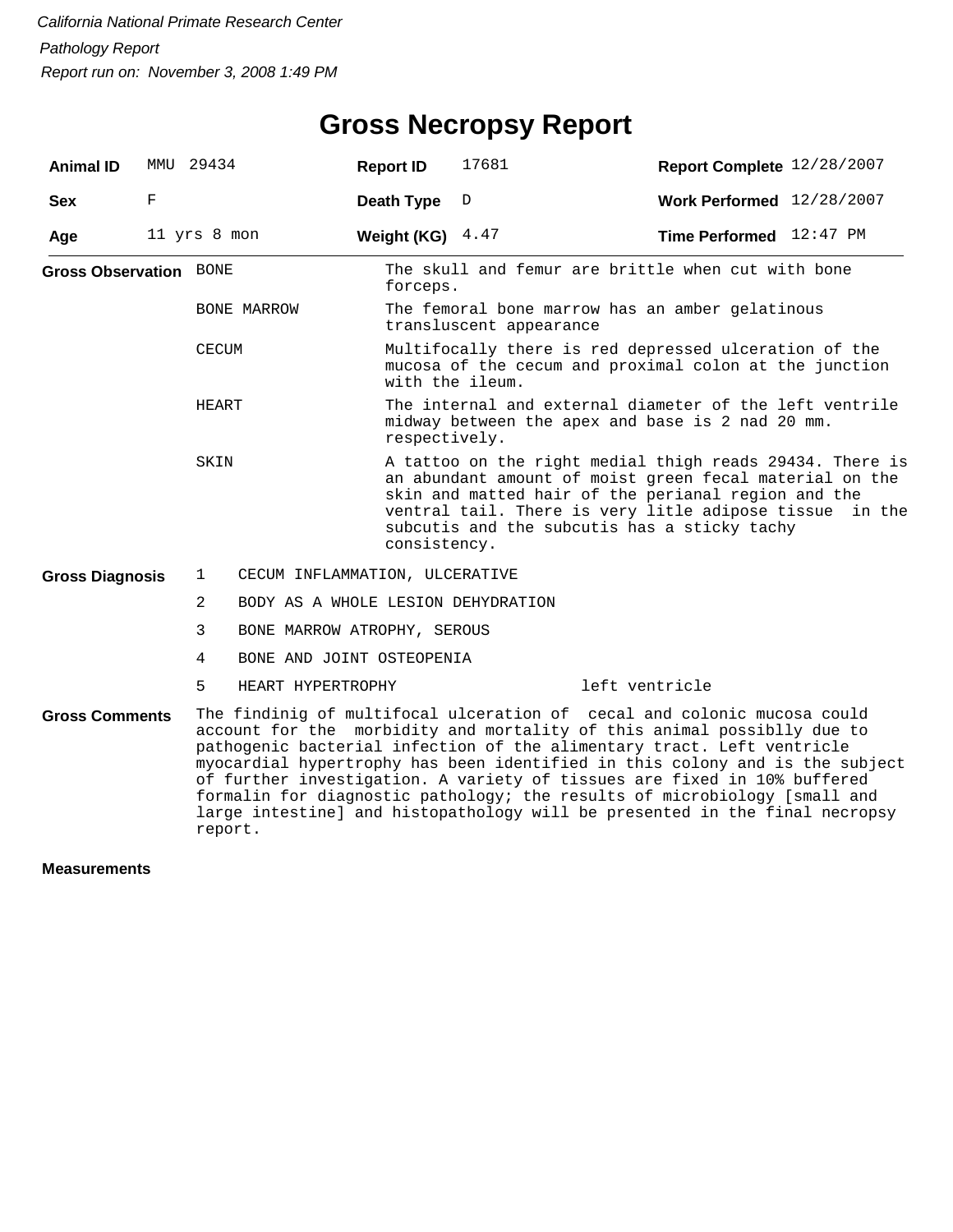## **Gross Necropsy Report**

| <b>Animal ID</b>              | MMU | 29434          | <b>Report ID</b>                   | 17681                                                                                                                                                                                                                                                                                                    | Report Complete 12/28/2007                                                                                                                                                                                                                                                                                                                                                                                                                                                                                                                           |  |  |  |  |
|-------------------------------|-----|----------------|------------------------------------|----------------------------------------------------------------------------------------------------------------------------------------------------------------------------------------------------------------------------------------------------------------------------------------------------------|------------------------------------------------------------------------------------------------------------------------------------------------------------------------------------------------------------------------------------------------------------------------------------------------------------------------------------------------------------------------------------------------------------------------------------------------------------------------------------------------------------------------------------------------------|--|--|--|--|
| <b>Sex</b>                    | F   |                | Death Type                         | D                                                                                                                                                                                                                                                                                                        | Work Performed 12/28/2007                                                                                                                                                                                                                                                                                                                                                                                                                                                                                                                            |  |  |  |  |
| Age                           |     | 11 yrs 8 mon   | Weight (KG)                        | 4.47                                                                                                                                                                                                                                                                                                     | <b>Time Performed</b> $12:47$ PM                                                                                                                                                                                                                                                                                                                                                                                                                                                                                                                     |  |  |  |  |
| <b>Gross Observation BONE</b> |     |                |                                    | The skull and femur are brittle when cut with bone<br>forceps.                                                                                                                                                                                                                                           |                                                                                                                                                                                                                                                                                                                                                                                                                                                                                                                                                      |  |  |  |  |
|                               |     | BONE MARROW    |                                    | The femoral bone marrow has an amber gelatinous<br>transluscent appearance                                                                                                                                                                                                                               |                                                                                                                                                                                                                                                                                                                                                                                                                                                                                                                                                      |  |  |  |  |
|                               |     | <b>CECUM</b>   |                                    | Multifocally there is red depressed ulceration of the<br>mucosa of the cecum and proximal colon at the junction<br>with the ileum.                                                                                                                                                                       |                                                                                                                                                                                                                                                                                                                                                                                                                                                                                                                                                      |  |  |  |  |
|                               |     | HEART          |                                    | The internal and external diameter of the left ventrile<br>midway between the apex and base is 2 nad 20 mm.<br>respectively.                                                                                                                                                                             |                                                                                                                                                                                                                                                                                                                                                                                                                                                                                                                                                      |  |  |  |  |
|                               |     | SKIN           |                                    | A tattoo on the right medial thigh reads 29434. There is<br>an abundant amount of moist green fecal material on the<br>skin and matted hair of the perianal region and the<br>ventral tail. There is very litle adipose tissue<br>in the<br>subcutis and the subcutis has a sticky tachy<br>consistency. |                                                                                                                                                                                                                                                                                                                                                                                                                                                                                                                                                      |  |  |  |  |
| <b>Gross Diagnosis</b>        |     | $\mathbf{1}$   | CECUM INFLAMMATION, ULCERATIVE     |                                                                                                                                                                                                                                                                                                          |                                                                                                                                                                                                                                                                                                                                                                                                                                                                                                                                                      |  |  |  |  |
|                               |     | $\overline{2}$ | BODY AS A WHOLE LESION DEHYDRATION |                                                                                                                                                                                                                                                                                                          |                                                                                                                                                                                                                                                                                                                                                                                                                                                                                                                                                      |  |  |  |  |
|                               |     | 3              | BONE MARROW ATROPHY, SEROUS        |                                                                                                                                                                                                                                                                                                          |                                                                                                                                                                                                                                                                                                                                                                                                                                                                                                                                                      |  |  |  |  |
|                               |     | 4              | BONE AND JOINT OSTEOPENIA          |                                                                                                                                                                                                                                                                                                          |                                                                                                                                                                                                                                                                                                                                                                                                                                                                                                                                                      |  |  |  |  |
|                               |     | 5              | HEART HYPERTROPHY                  |                                                                                                                                                                                                                                                                                                          | left ventricle                                                                                                                                                                                                                                                                                                                                                                                                                                                                                                                                       |  |  |  |  |
| <b>Gross Comments</b>         |     | report.        |                                    |                                                                                                                                                                                                                                                                                                          | The findinig of multifocal ulceration of cecal and colonic mucosa could<br>account for the morbidity and mortality of this animal possiblly due to<br>pathogenic bacterial infection of the alimentary tract. Left ventricle<br>myocardial hypertrophy has been identified in this colony and is the subject<br>of further investigation. A variety of tissues are fixed in 10% buffered<br>formalin for diagnostic pathology; the results of microbiology [small and<br>large intestine] and histopathology will be presented in the final necropsy |  |  |  |  |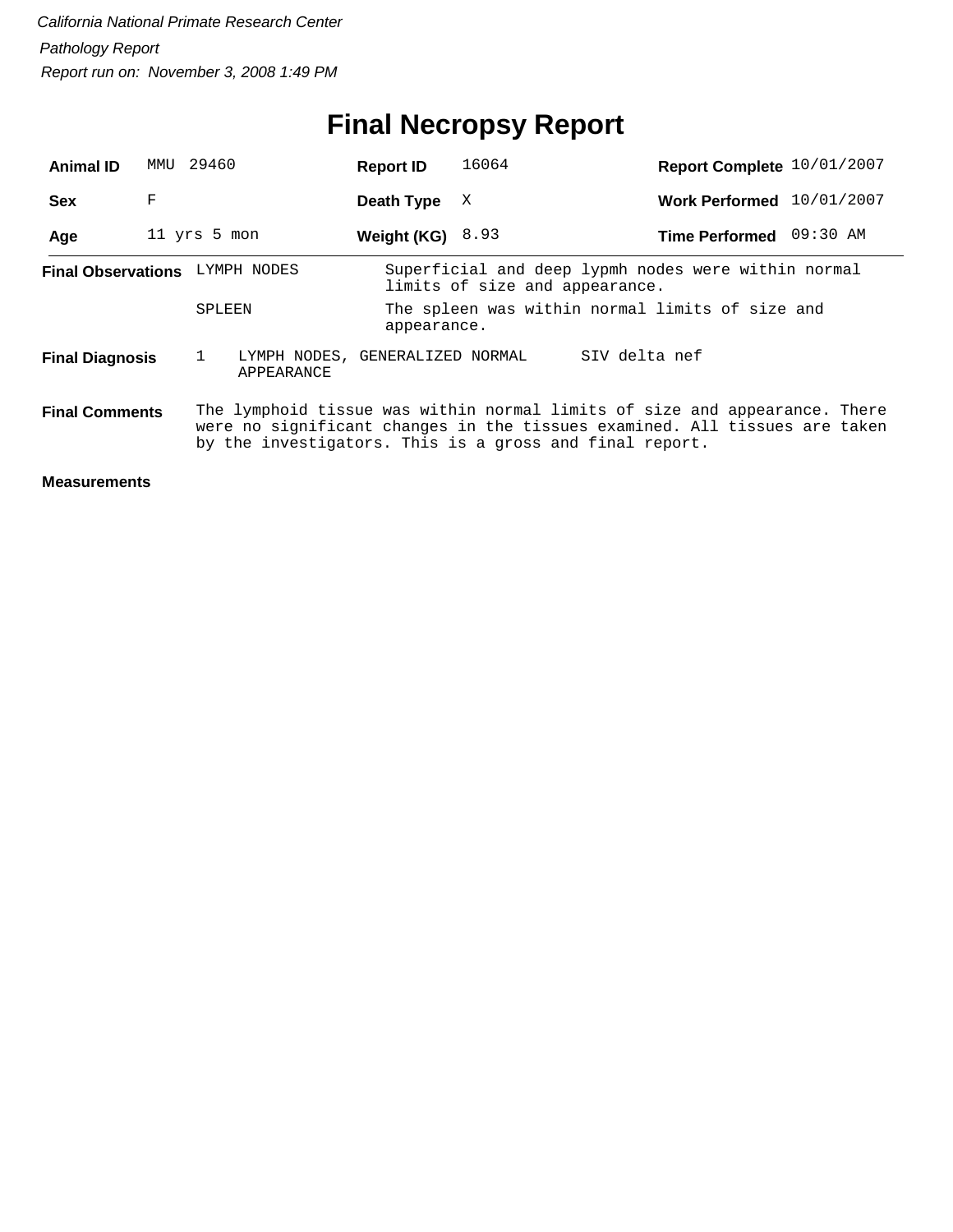# **Final Necropsy Report**

| <b>Animal ID</b>                                                                                                                                                                                                                             | MMU          | 29460        |                                               | <b>Report ID</b>                                               | 16064                                                                                 | Report Complete 10/01/2007 |  |  |  |
|----------------------------------------------------------------------------------------------------------------------------------------------------------------------------------------------------------------------------------------------|--------------|--------------|-----------------------------------------------|----------------------------------------------------------------|---------------------------------------------------------------------------------------|----------------------------|--|--|--|
| <b>Sex</b>                                                                                                                                                                                                                                   | F            |              |                                               | Death Type                                                     | X                                                                                     | Work Performed 10/01/2007  |  |  |  |
| Age                                                                                                                                                                                                                                          | 11 yrs 5 mon |              |                                               | Weight (KG) $8.93$                                             |                                                                                       | Time Performed 09:30 AM    |  |  |  |
| Final Observations LYMPH NODES                                                                                                                                                                                                               |              |              |                                               |                                                                | Superficial and deep lypmh nodes were within normal<br>limits of size and appearance. |                            |  |  |  |
|                                                                                                                                                                                                                                              |              | SPLEEN       |                                               | The spleen was within normal limits of size and<br>appearance. |                                                                                       |                            |  |  |  |
| <b>Final Diagnosis</b>                                                                                                                                                                                                                       |              | $\mathbf{1}$ | LYMPH NODES, GENERALIZED NORMAL<br>APPEARANCE |                                                                |                                                                                       | SIV delta nef              |  |  |  |
| The lymphoid tissue was within normal limits of size and appearance. There<br><b>Final Comments</b><br>were no significant changes in the tissues examined. All tissues are taken<br>by the investigators. This is a gross and final report. |              |              |                                               |                                                                |                                                                                       |                            |  |  |  |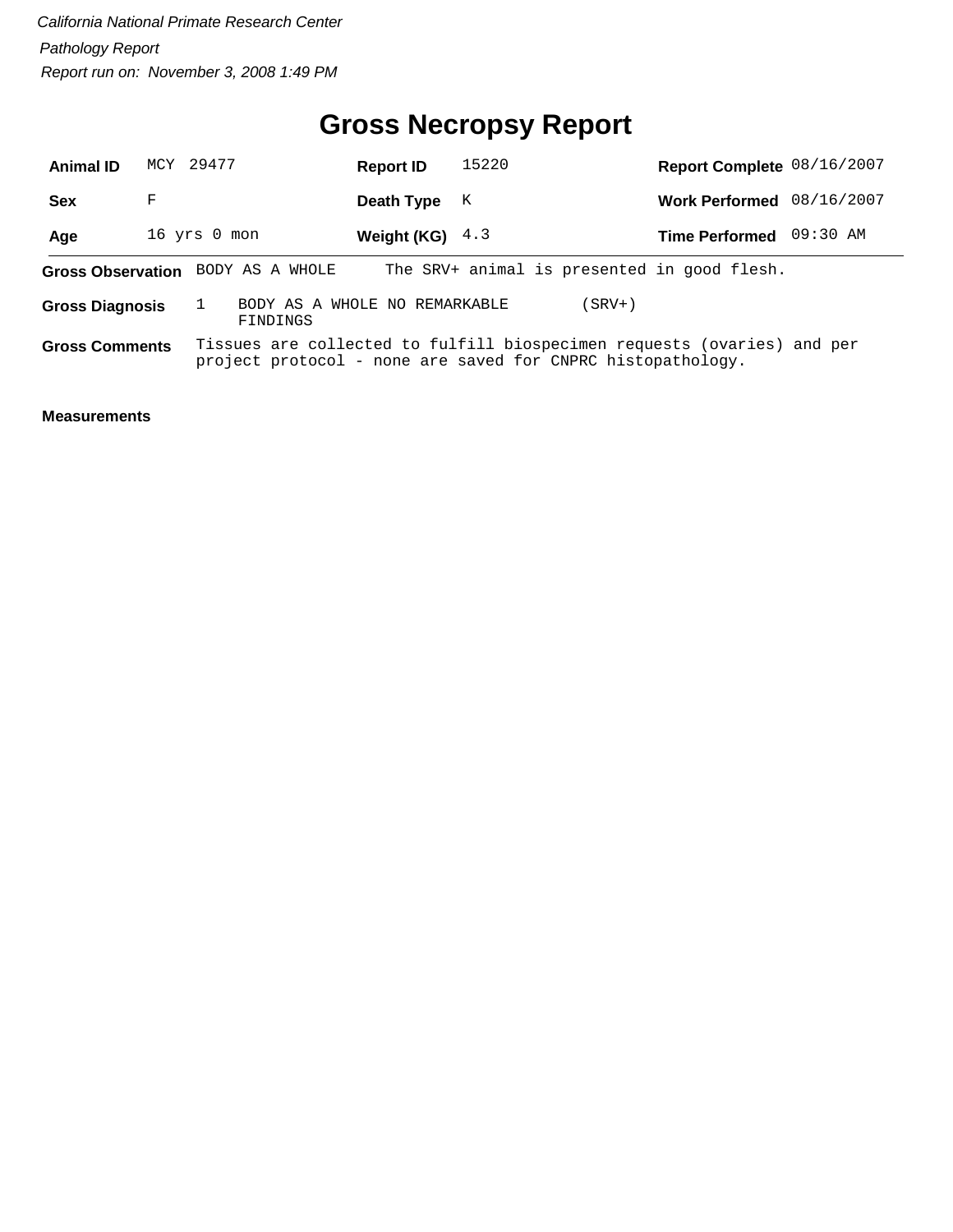## **Gross Necropsy Report**

| <b>Animal ID</b>       | MCY 29477 |                                           | <b>Report ID</b>  | 15220                                                                                                                                  | Report Complete 08/16/2007 |  |
|------------------------|-----------|-------------------------------------------|-------------------|----------------------------------------------------------------------------------------------------------------------------------------|----------------------------|--|
| <b>Sex</b>             | F         |                                           | Death Type        | K                                                                                                                                      | Work Performed 08/16/2007  |  |
| Age                    |           | 16 yrs 0 mon                              | Weight (KG) $4.3$ |                                                                                                                                        | Time Performed 09:30 AM    |  |
|                        |           | Gross Observation BODY AS A WHOLE         |                   | The SRV+ animal is presented in good flesh.                                                                                            |                            |  |
| <b>Gross Diagnosis</b> |           | BODY AS A WHOLE NO REMARKABLE<br>FINDINGS |                   | (SRV+)                                                                                                                                 |                            |  |
| <b>Gross Comments</b>  |           |                                           |                   | Tissues are collected to fulfill biospecimen requests (ovaries) and per<br>project protocol - none are saved for CNPRC histopathology. |                            |  |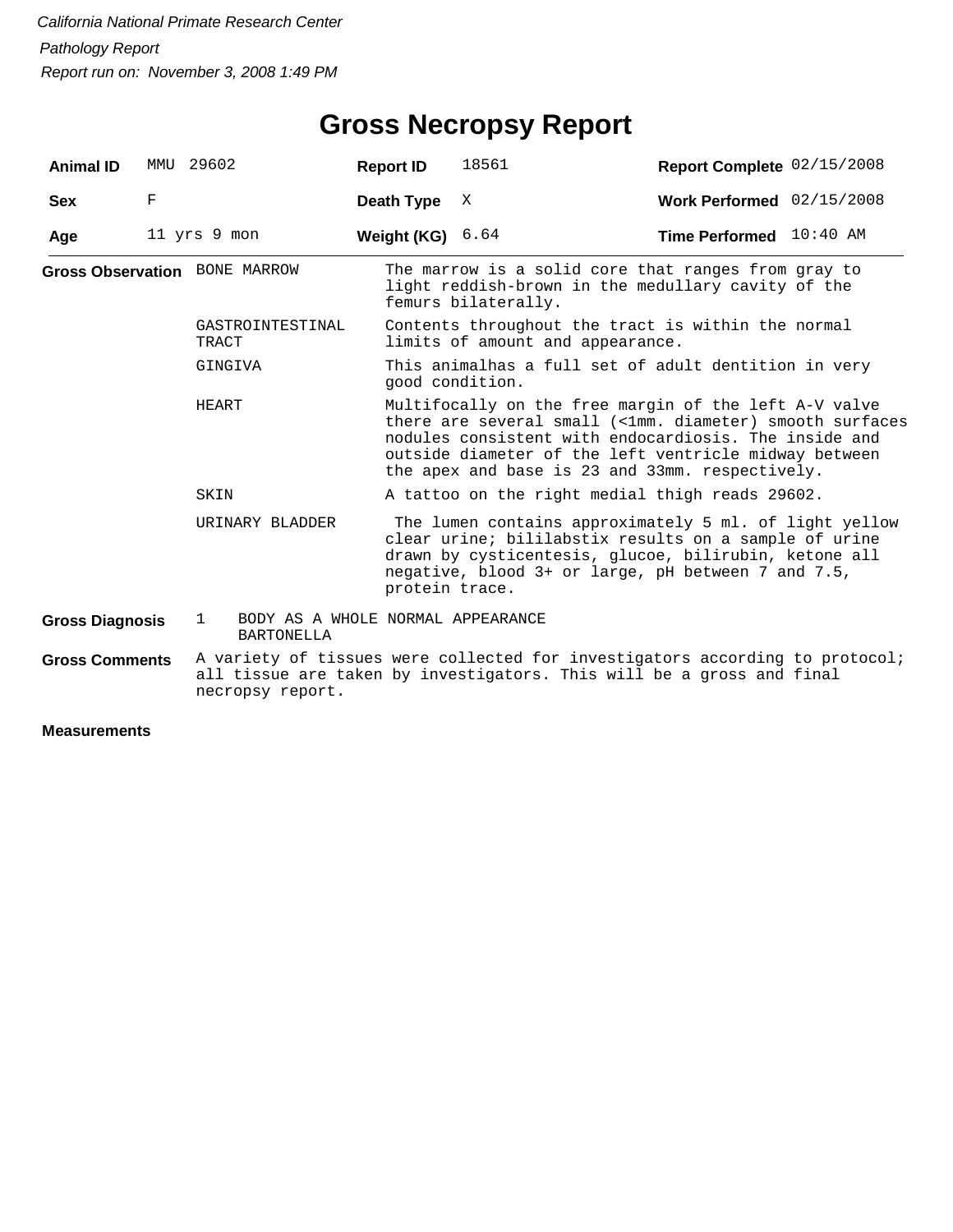## **Gross Necropsy Report**

| <b>Animal ID</b>       | MMU | 29602                                                                  | <b>Report ID</b>                                                        | 18561                                                                                                                                                                                                                                            | Report Complete 02/15/2008                                                                                                                                                                                                                                                             |  |  |  |  |  |
|------------------------|-----|------------------------------------------------------------------------|-------------------------------------------------------------------------|--------------------------------------------------------------------------------------------------------------------------------------------------------------------------------------------------------------------------------------------------|----------------------------------------------------------------------------------------------------------------------------------------------------------------------------------------------------------------------------------------------------------------------------------------|--|--|--|--|--|
| <b>Sex</b>             | F   |                                                                        | Death Type                                                              | X                                                                                                                                                                                                                                                | Work Performed 02/15/2008                                                                                                                                                                                                                                                              |  |  |  |  |  |
| Age                    |     | 11 yrs 9 mon                                                           | Weight (KG)                                                             | 6.64                                                                                                                                                                                                                                             | Time Performed 10:40 AM                                                                                                                                                                                                                                                                |  |  |  |  |  |
|                        |     | <b>Gross Observation BONE MARROW</b>                                   |                                                                         | femurs bilaterally.                                                                                                                                                                                                                              | The marrow is a solid core that ranges from gray to<br>light reddish-brown in the medullary cavity of the                                                                                                                                                                              |  |  |  |  |  |
|                        |     | GASTROINTESTINAL<br>TRACT                                              |                                                                         | limits of amount and appearance.                                                                                                                                                                                                                 | Contents throughout the tract is within the normal                                                                                                                                                                                                                                     |  |  |  |  |  |
|                        |     | GINGIVA                                                                | This animalhas a full set of adult dentition in very<br>good condition. |                                                                                                                                                                                                                                                  |                                                                                                                                                                                                                                                                                        |  |  |  |  |  |
|                        |     | HEART                                                                  |                                                                         |                                                                                                                                                                                                                                                  | Multifocally on the free margin of the left A-V valve<br>there are several small (<1mm. diameter) smooth surfaces<br>nodules consistent with endocardiosis. The inside and<br>outside diameter of the left ventricle midway between<br>the apex and base is 23 and 33mm. respectively. |  |  |  |  |  |
|                        |     | SKIN                                                                   |                                                                         | A tattoo on the right medial thigh reads 29602.                                                                                                                                                                                                  |                                                                                                                                                                                                                                                                                        |  |  |  |  |  |
|                        |     | URINARY BLADDER                                                        |                                                                         | The lumen contains approximately 5 ml. of light yellow<br>clear urine; bililabstix results on a sample of urine<br>drawn by cysticentesis, glucoe, bilirubin, ketone all<br>negative, blood 3+ or large, pH between 7 and 7.5,<br>protein trace. |                                                                                                                                                                                                                                                                                        |  |  |  |  |  |
| <b>Gross Diagnosis</b> |     | BODY AS A WHOLE NORMAL APPEARANCE<br>$\mathbf{1}$<br><b>BARTONELLA</b> |                                                                         |                                                                                                                                                                                                                                                  |                                                                                                                                                                                                                                                                                        |  |  |  |  |  |
| <b>Gross Comments</b>  |     | necropsy report.                                                       |                                                                         |                                                                                                                                                                                                                                                  | A variety of tissues were collected for investigators according to protocol;<br>all tissue are taken by investigators. This will be a gross and final                                                                                                                                  |  |  |  |  |  |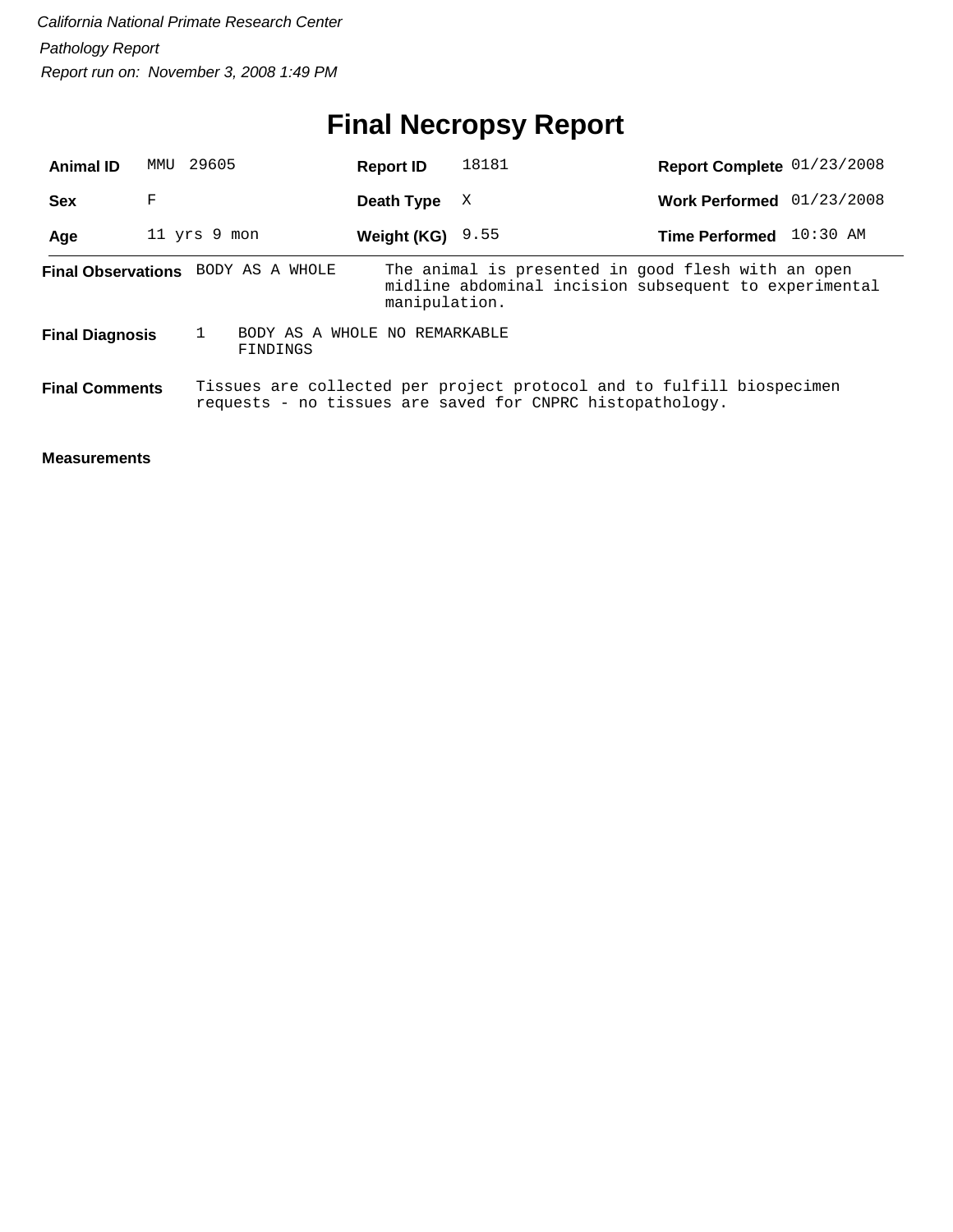# **Final Necropsy Report**

| <b>Animal ID</b>       | 29605<br>MMU |                                           | <b>Report ID</b>   | 18181                                                                                                                              | Report Complete 01/23/2008 |            |
|------------------------|--------------|-------------------------------------------|--------------------|------------------------------------------------------------------------------------------------------------------------------------|----------------------------|------------|
| <b>Sex</b>             | F            |                                           | Death Type         | X                                                                                                                                  | <b>Work Performed</b>      | 01/23/2008 |
| Age                    | 11 yrs 9 mon |                                           | Weight (KG) $9.55$ |                                                                                                                                    | <b>Time Performed</b>      | $10:30$ AM |
|                        |              | Final Observations BODY AS A WHOLE        | manipulation.      | The animal is presented in good flesh with an open<br>midline abdominal incision subsequent to experimental                        |                            |            |
| <b>Final Diagnosis</b> |              | BODY AS A WHOLE NO REMARKABLE<br>FINDINGS |                    |                                                                                                                                    |                            |            |
| <b>Final Comments</b>  |              |                                           |                    | Tissues are collected per project protocol and to fulfill biospecimen<br>requests - no tissues are saved for CNPRC histopathology. |                            |            |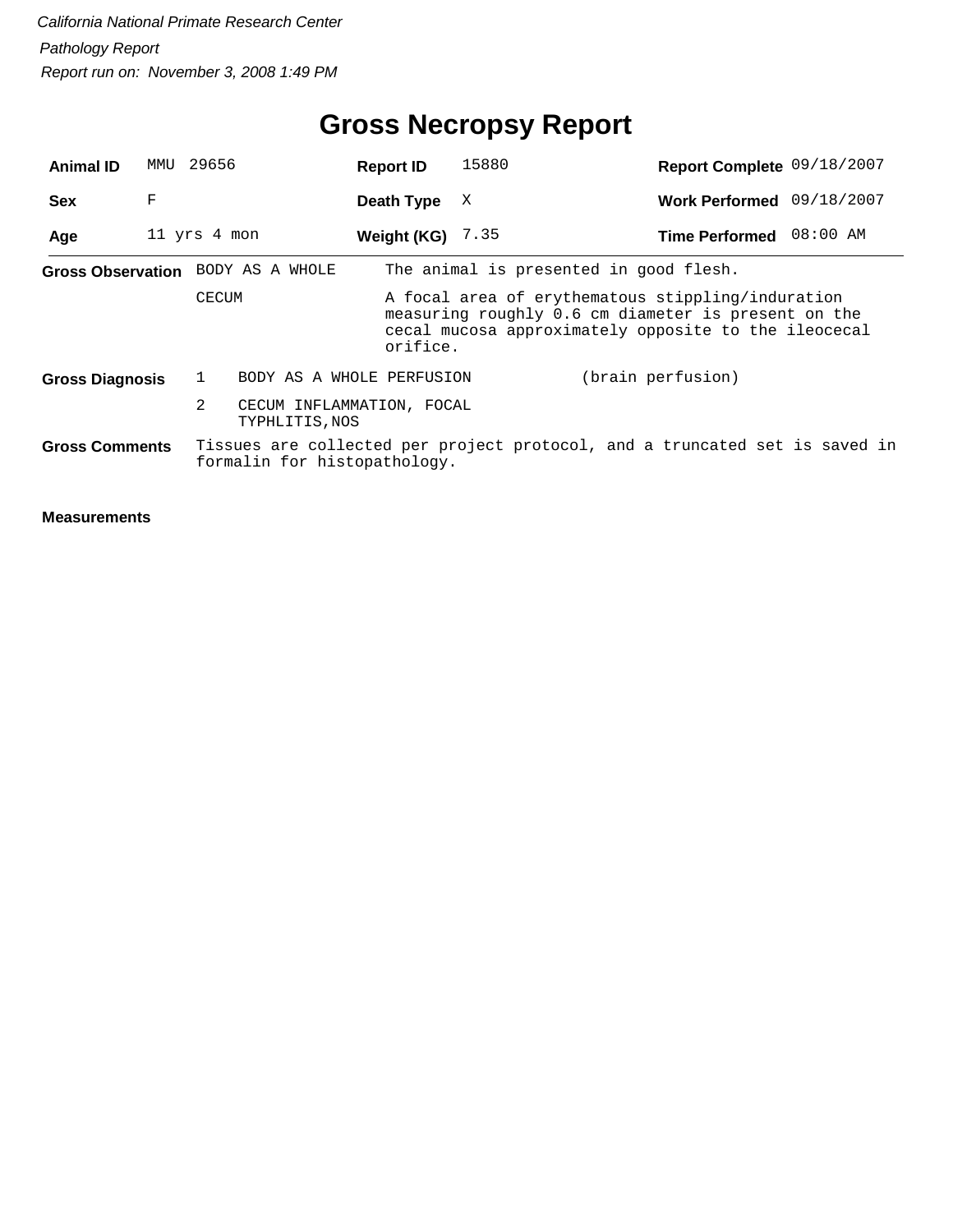| <b>Animal ID</b>                  | MMTJ | 29656        |                                             | <b>Report ID</b>   | 15880                                  | Report Complete 09/18/2007                                                                                                                                       |  |
|-----------------------------------|------|--------------|---------------------------------------------|--------------------|----------------------------------------|------------------------------------------------------------------------------------------------------------------------------------------------------------------|--|
| <b>Sex</b>                        | F    |              |                                             | Death Type         | X                                      | Work Performed 09/18/2007                                                                                                                                        |  |
| Age                               |      | 11 yrs 4 mon |                                             | Weight (KG) $7.35$ |                                        | Time Performed 08:00 AM                                                                                                                                          |  |
| Gross Observation BODY AS A WHOLE |      |              |                                             |                    | The animal is presented in good flesh. |                                                                                                                                                                  |  |
|                                   |      | CECUM        |                                             | orifice.           |                                        | A focal area of erythematous stippling/induration<br>measuring roughly 0.6 cm diameter is present on the<br>cecal mucosa approximately opposite to the ileocecal |  |
| <b>Gross Diagnosis</b>            |      |              | BODY AS A WHOLE PERFUSION                   |                    |                                        | (brain perfusion)                                                                                                                                                |  |
|                                   |      | 2            | CECUM INFLAMMATION, FOCAL<br>TYPHLITIS, NOS |                    |                                        |                                                                                                                                                                  |  |
| <b>Gross Comments</b>             |      |              | formalin for histopathology.                |                    |                                        | Tissues are collected per project protocol, and a truncated set is saved in                                                                                      |  |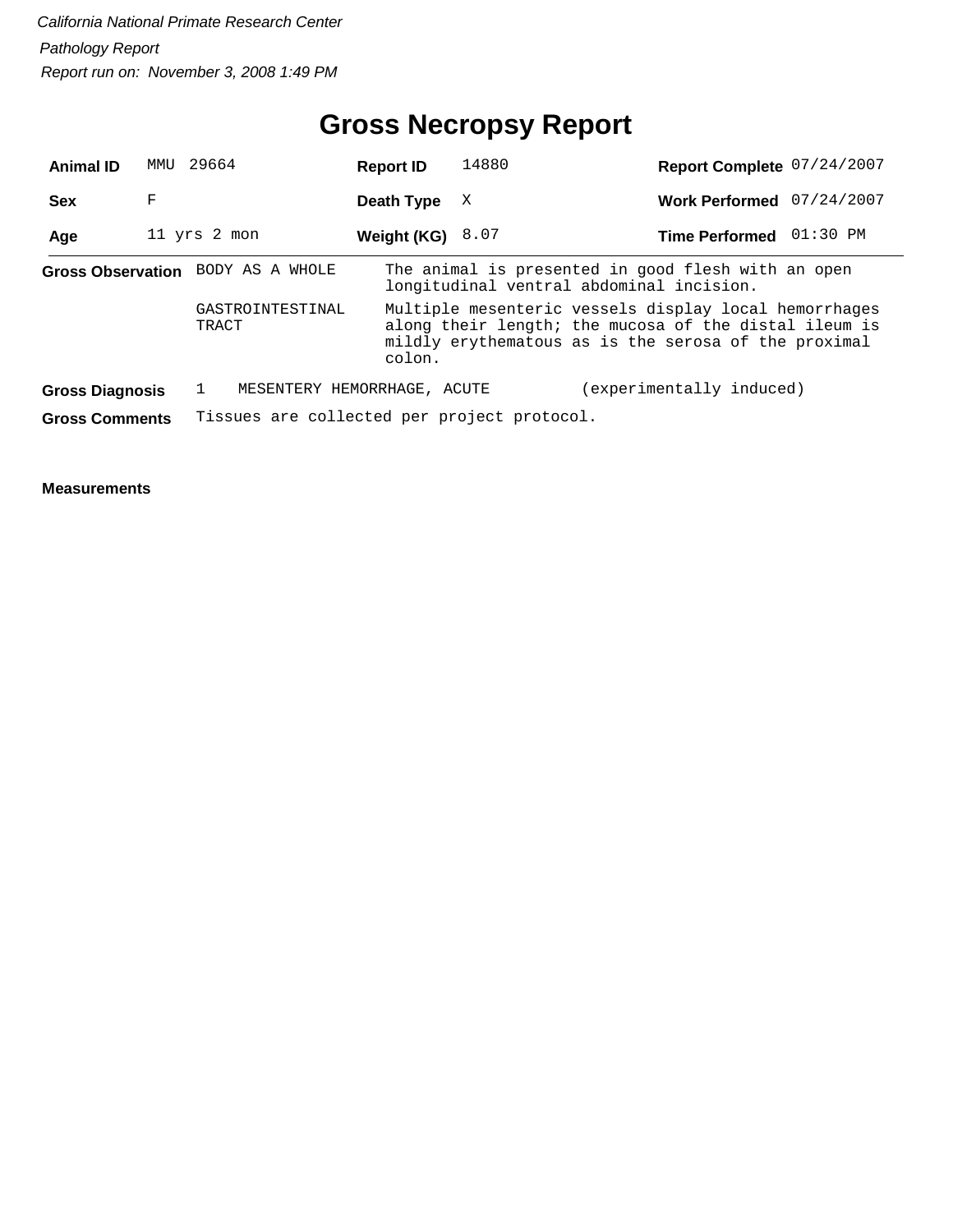## **Gross Necropsy Report**

| <b>Animal ID</b>       | MMU | 29664                                       | <b>Report ID</b> | 14880                                                                                          | Report Complete 07/24/2007                                                                                                                                             |  |  |  |  |
|------------------------|-----|---------------------------------------------|------------------|------------------------------------------------------------------------------------------------|------------------------------------------------------------------------------------------------------------------------------------------------------------------------|--|--|--|--|
| <b>Sex</b>             | F   |                                             | Death Type       | X                                                                                              | 07/24/2007<br><b>Work Performed</b>                                                                                                                                    |  |  |  |  |
| Age                    |     | 11 yrs 2 mon                                | Weight (KG)      | 8.07                                                                                           | $01:30$ PM<br><b>Time Performed</b>                                                                                                                                    |  |  |  |  |
|                        |     | Gross Observation BODY AS A WHOLE           |                  | The animal is presented in good flesh with an open<br>longitudinal ventral abdominal incision. |                                                                                                                                                                        |  |  |  |  |
|                        |     | GASTROINTESTINAL<br>TRACT                   | colon.           |                                                                                                | Multiple mesenteric vessels display local hemorrhages<br>along their length; the mucosa of the distal ileum is<br>mildly erythematous as is the serosa of the proximal |  |  |  |  |
| <b>Gross Diagnosis</b> |     | MESENTERY HEMORRHAGE, ACUTE                 |                  |                                                                                                | (experimentally induced)                                                                                                                                               |  |  |  |  |
| <b>Gross Comments</b>  |     | Tissues are collected per project protocol. |                  |                                                                                                |                                                                                                                                                                        |  |  |  |  |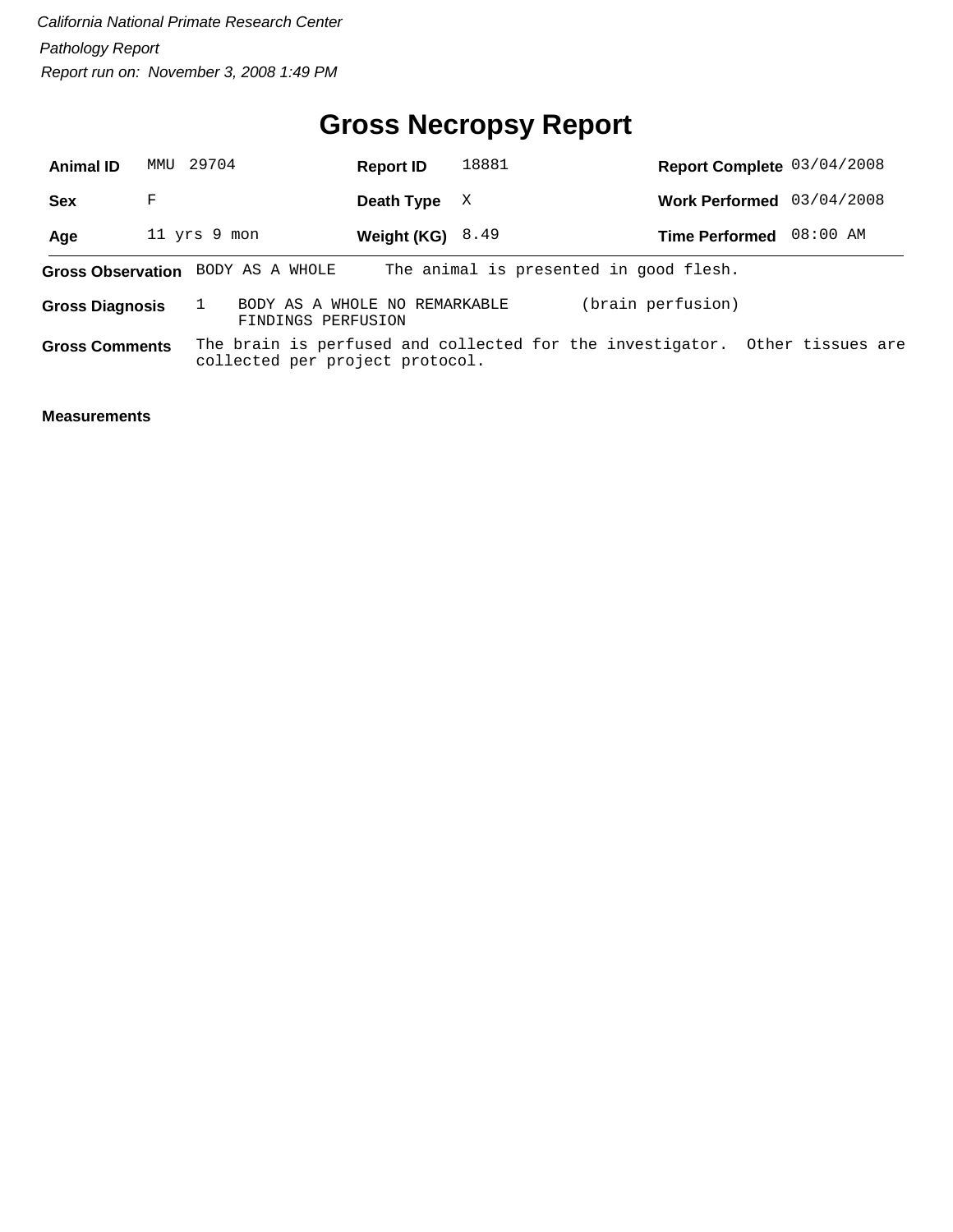## **Gross Necropsy Report**

| <b>Animal ID</b>                  |   | MMU 29704    | <b>Report ID</b>                                    |                    | 18881 | Report Complete 03/04/2008                                                  |  |  |
|-----------------------------------|---|--------------|-----------------------------------------------------|--------------------|-------|-----------------------------------------------------------------------------|--|--|
| <b>Sex</b>                        | F |              |                                                     | Death Type         | - X   | Work Performed 03/04/2008                                                   |  |  |
| Age                               |   | 11 yrs 9 mon |                                                     | Weight $(KG)$ 8.49 |       | Time Performed 08:00 AM                                                     |  |  |
| Gross Observation BODY AS A WHOLE |   |              |                                                     |                    |       | The animal is presented in good flesh.                                      |  |  |
| <b>Gross Diagnosis</b>            |   |              | BODY AS A WHOLE NO REMARKABLE<br>FINDINGS PERFUSION |                    |       | (brain perfusion)                                                           |  |  |
| <b>Gross Comments</b>             |   |              | collected per project protocol.                     |                    |       | The brain is perfused and collected for the investigator. Other tissues are |  |  |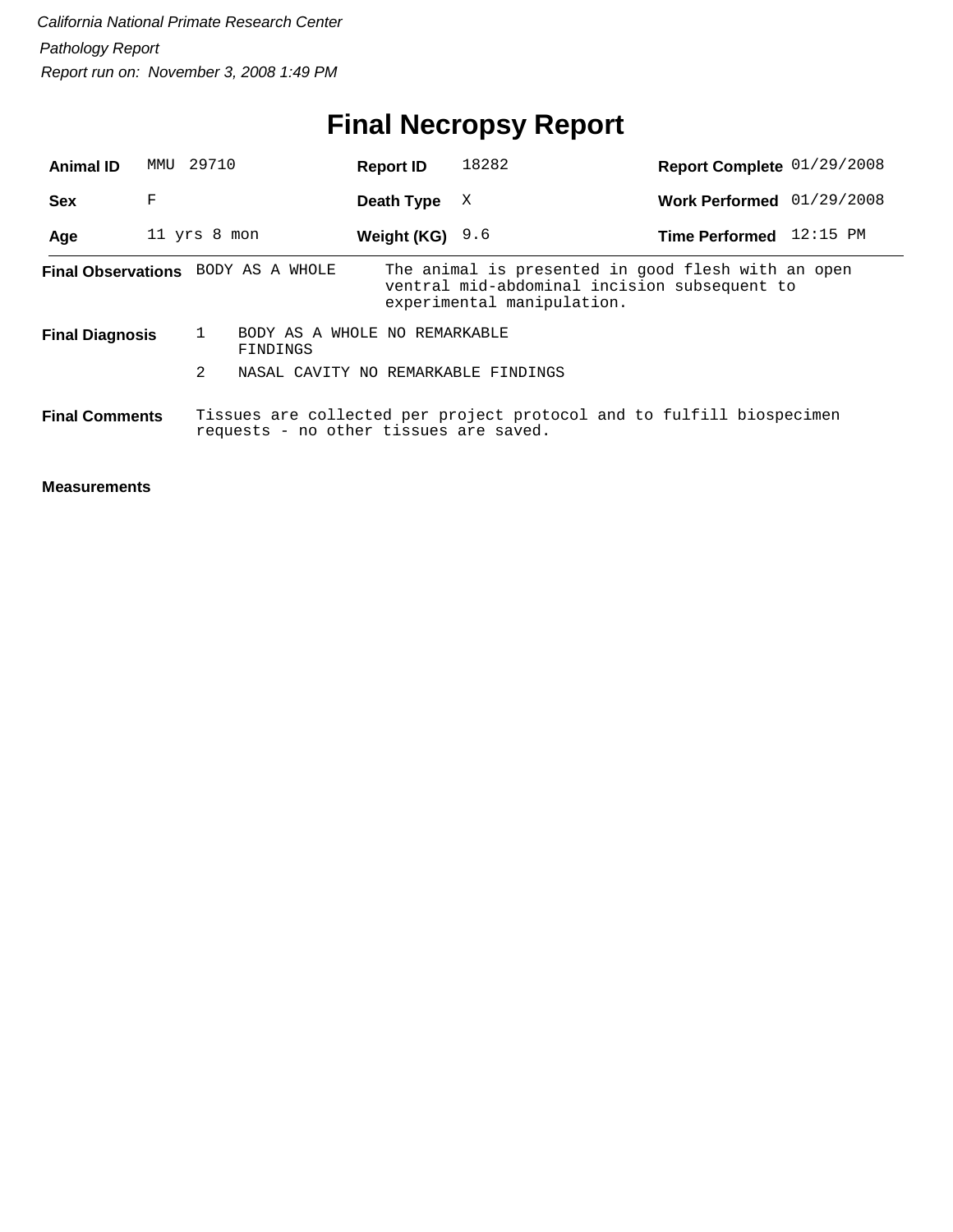# **Final Necropsy Report**

| <b>Animal ID</b>       | MMU          | 29710 |                                           | <b>Report ID</b>  | 18282                                                                                                                            | Report Complete 01/29/2008 |  |
|------------------------|--------------|-------|-------------------------------------------|-------------------|----------------------------------------------------------------------------------------------------------------------------------|----------------------------|--|
| <b>Sex</b>             | F            |       |                                           | Death Type        | X                                                                                                                                | Work Performed 01/29/2008  |  |
| Age                    | 11 yrs 8 mon |       |                                           | Weight (KG) $9.6$ |                                                                                                                                  | Time Performed 12:15 PM    |  |
|                        |              |       | <b>Final Observations</b> BODY AS A WHOLE |                   | The animal is presented in good flesh with an open<br>ventral mid-abdominal incision subsequent to<br>experimental manipulation. |                            |  |
| <b>Final Diagnosis</b> |              |       | BODY AS A WHOLE NO REMARKABLE<br>FINDINGS |                   |                                                                                                                                  |                            |  |
|                        |              | 2     | NASAL CAVITY NO REMARKABLE FINDINGS       |                   |                                                                                                                                  |                            |  |
| <b>Final Comments</b>  |              |       | requests - no other tissues are saved.    |                   | Tissues are collected per project protocol and to fulfill biospecimen                                                            |                            |  |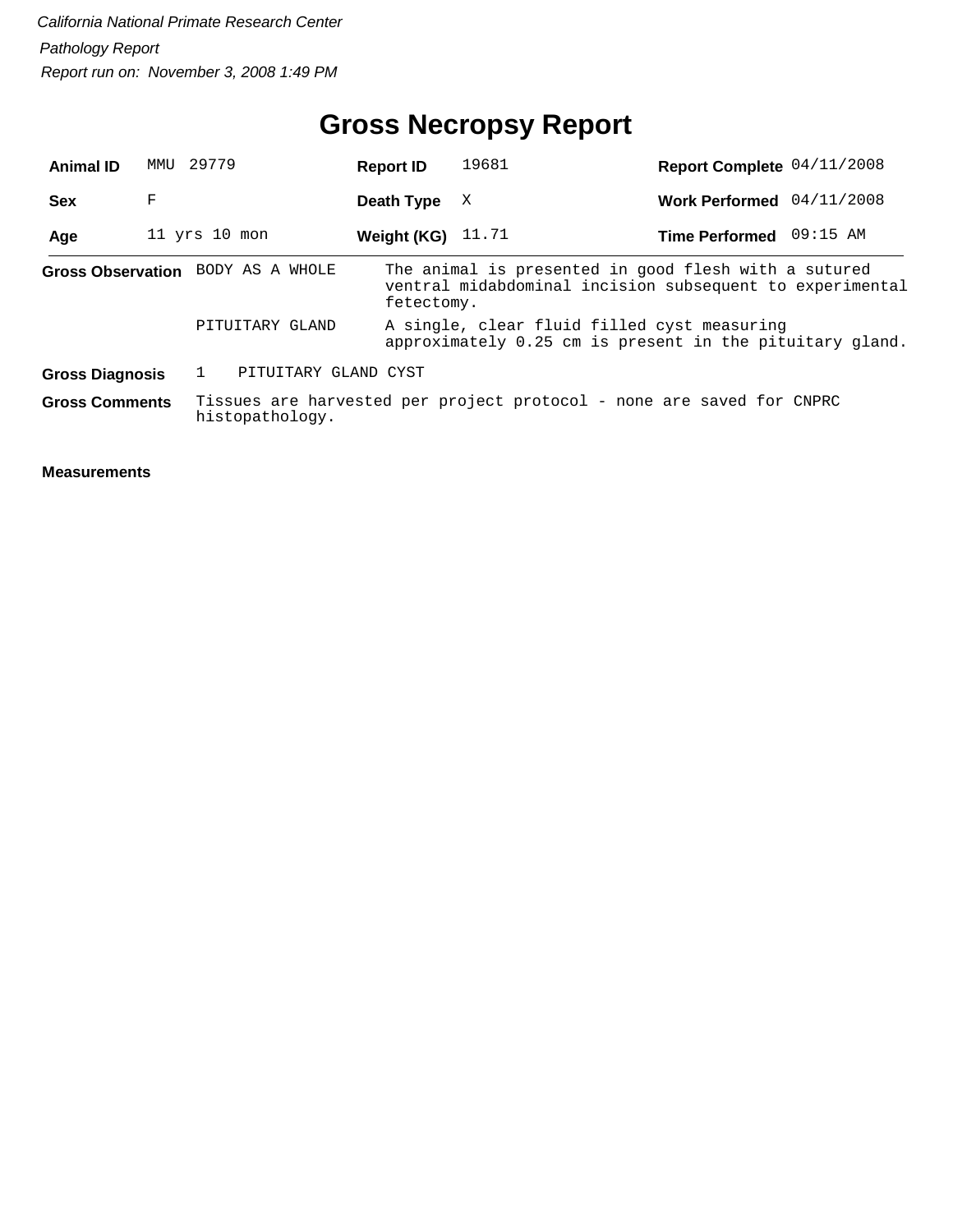## **Gross Necropsy Report**

| <b>Animal ID</b>                  | MMU | 29779             |                 | <b>Report ID</b>     | 19681 | Report Complete 04/11/2008                                                                                       |  |
|-----------------------------------|-----|-------------------|-----------------|----------------------|-------|------------------------------------------------------------------------------------------------------------------|--|
| <b>Sex</b>                        | F   |                   |                 | Death Type           | X     | Work Performed 04/11/2008                                                                                        |  |
| Age                               |     | $11$ yrs $10$ mon |                 | Weight (KG)          | 11.71 | Time Performed 09:15 AM                                                                                          |  |
| Gross Observation BODY AS A WHOLE |     |                   |                 | fetectomy.           |       | The animal is presented in good flesh with a sutured<br>ventral midabdominal incision subsequent to experimental |  |
|                                   |     |                   | PITUITARY GLAND |                      |       | A single, clear fluid filled cyst measuring<br>approximately 0.25 cm is present in the pituitary gland.          |  |
| <b>Gross Diagnosis</b>            |     |                   |                 | PITUITARY GLAND CYST |       |                                                                                                                  |  |
| <b>Gross Comments</b>             |     |                   | histopathology. |                      |       | Tissues are harvested per project protocol - none are saved for CNPRC                                            |  |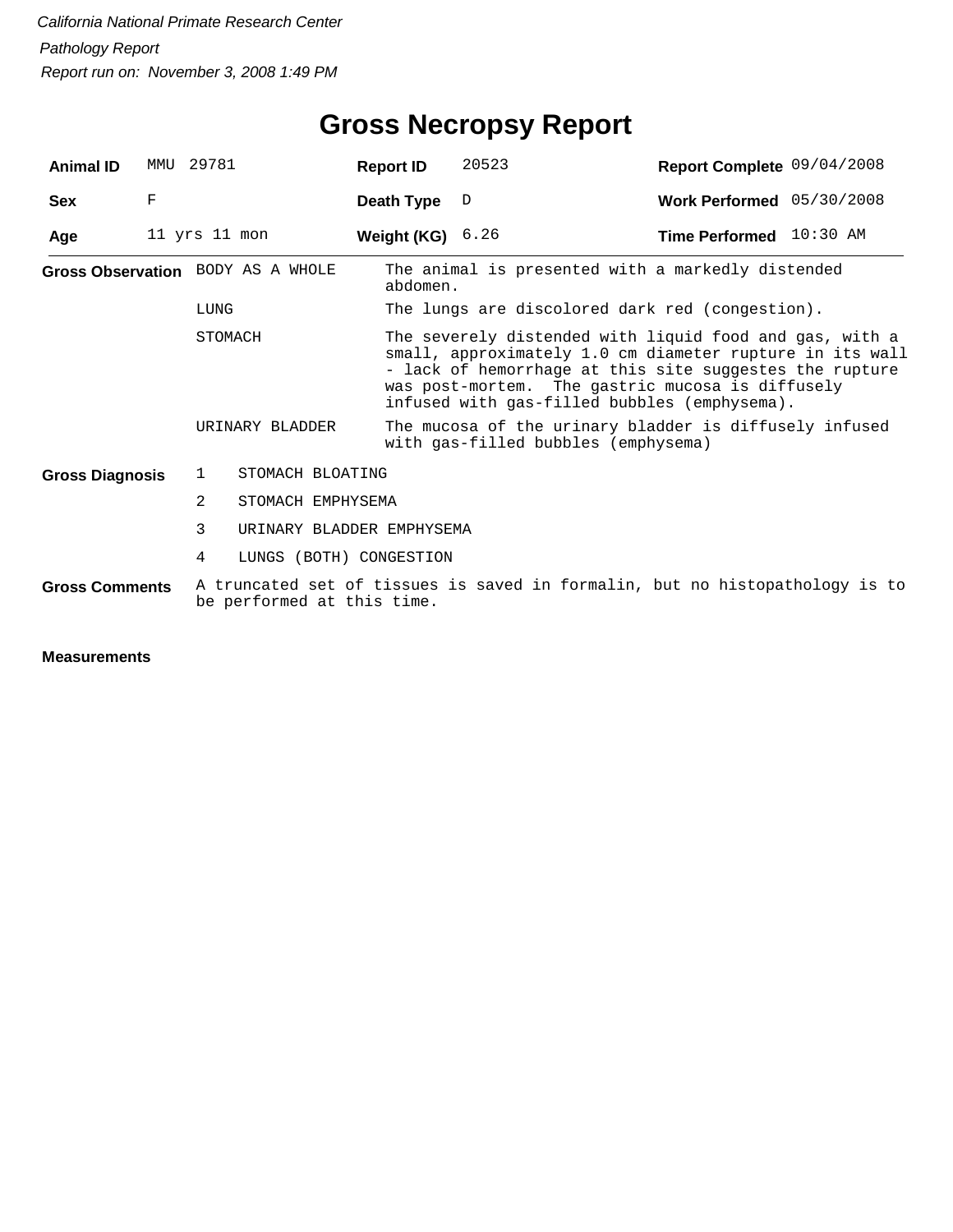| <b>Animal ID</b>       | MMTJ | 29781                             | <b>Report ID</b>   | 20523                                                                                                                                                                                                                                                                              | Report Complete 09/04/2008 |  |  |  |
|------------------------|------|-----------------------------------|--------------------|------------------------------------------------------------------------------------------------------------------------------------------------------------------------------------------------------------------------------------------------------------------------------------|----------------------------|--|--|--|
| <b>Sex</b>             | F    |                                   | Death Type         | D                                                                                                                                                                                                                                                                                  | Work Performed 05/30/2008  |  |  |  |
| Age                    |      | 11 yrs 11 mon                     | Weight (KG) $6.26$ |                                                                                                                                                                                                                                                                                    | Time Performed 10:30 AM    |  |  |  |
|                        |      | Gross Observation BODY AS A WHOLE | abdomen.           | The animal is presented with a markedly distended                                                                                                                                                                                                                                  |                            |  |  |  |
|                        |      | LUNG                              |                    | The lungs are discolored dark red (congestion).                                                                                                                                                                                                                                    |                            |  |  |  |
|                        |      | STOMACH                           |                    | The severely distended with liquid food and gas, with a<br>small, approximately 1.0 cm diameter rupture in its wall<br>- lack of hemorrhage at this site suggestes the rupture<br>was post-mortem. The gastric mucosa is diffusely<br>infused with gas-filled bubbles (emphysema). |                            |  |  |  |
|                        |      | URINARY BLADDER                   |                    | The mucosa of the urinary bladder is diffusely infused<br>with gas-filled bubbles (emphysema)                                                                                                                                                                                      |                            |  |  |  |
| <b>Gross Diagnosis</b> |      | STOMACH BLOATING<br>1             |                    |                                                                                                                                                                                                                                                                                    |                            |  |  |  |
|                        |      | 2<br>STOMACH EMPHYSEMA            |                    |                                                                                                                                                                                                                                                                                    |                            |  |  |  |
|                        |      | 3<br>URINARY BLADDER EMPHYSEMA    |                    |                                                                                                                                                                                                                                                                                    |                            |  |  |  |
|                        |      | 4<br>LUNGS (BOTH) CONGESTION      |                    |                                                                                                                                                                                                                                                                                    |                            |  |  |  |
| <b>Gross Comments</b>  |      | be performed at this time.        |                    | A truncated set of tissues is saved in formalin, but no histopathology is to                                                                                                                                                                                                       |                            |  |  |  |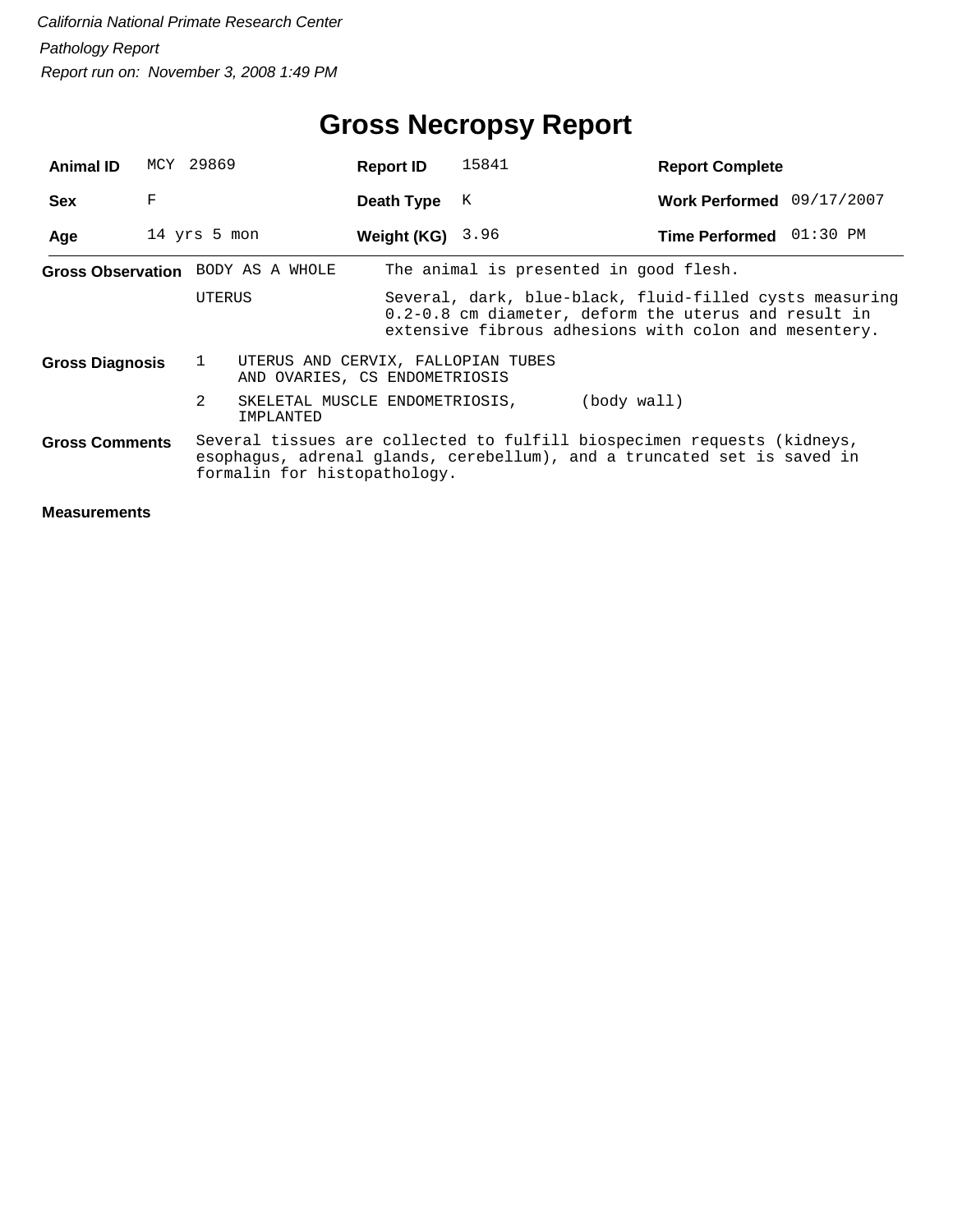| <b>Animal ID</b>                  |                        | MCY 29869      |                                                                     | <b>Report ID</b>   | 15841                                                                                                                                              | <b>Report Complete</b>                                                                                                                                                   |                           |  |  |  |
|-----------------------------------|------------------------|----------------|---------------------------------------------------------------------|--------------------|----------------------------------------------------------------------------------------------------------------------------------------------------|--------------------------------------------------------------------------------------------------------------------------------------------------------------------------|---------------------------|--|--|--|
| <b>Sex</b>                        | F                      |                |                                                                     | Death Type         | K                                                                                                                                                  |                                                                                                                                                                          | Work Performed 09/17/2007 |  |  |  |
| Age                               |                        | 14 yrs 5 mon   |                                                                     | Weight (KG) $3.96$ |                                                                                                                                                    | Time Performed 01:30 PM                                                                                                                                                  |                           |  |  |  |
| Gross Observation BODY AS A WHOLE |                        |                |                                                                     |                    |                                                                                                                                                    | The animal is presented in good flesh.                                                                                                                                   |                           |  |  |  |
|                                   |                        | UTERUS         |                                                                     |                    |                                                                                                                                                    | Several, dark, blue-black, fluid-filled cysts measuring<br>0.2-0.8 cm diameter, deform the uterus and result in<br>extensive fibrous adhesions with colon and mesentery. |                           |  |  |  |
|                                   | <b>Gross Diagnosis</b> |                | UTERUS AND CERVIX, FALLOPIAN TUBES<br>AND OVARIES, CS ENDOMETRIOSIS |                    |                                                                                                                                                    |                                                                                                                                                                          |                           |  |  |  |
|                                   |                        | $\overline{2}$ | SKELETAL MUSCLE ENDOMETRIOSIS,<br>IMPLANTED                         |                    |                                                                                                                                                    | (body wall)                                                                                                                                                              |                           |  |  |  |
| <b>Gross Comments</b>             |                        |                | formalin for histopathology.                                        |                    | Several tissues are collected to fulfill biospecimen requests (kidneys,<br>esophagus, adrenal glands, cerebellum), and a truncated set is saved in |                                                                                                                                                                          |                           |  |  |  |
| <b>Measurements</b>               |                        |                |                                                                     |                    |                                                                                                                                                    |                                                                                                                                                                          |                           |  |  |  |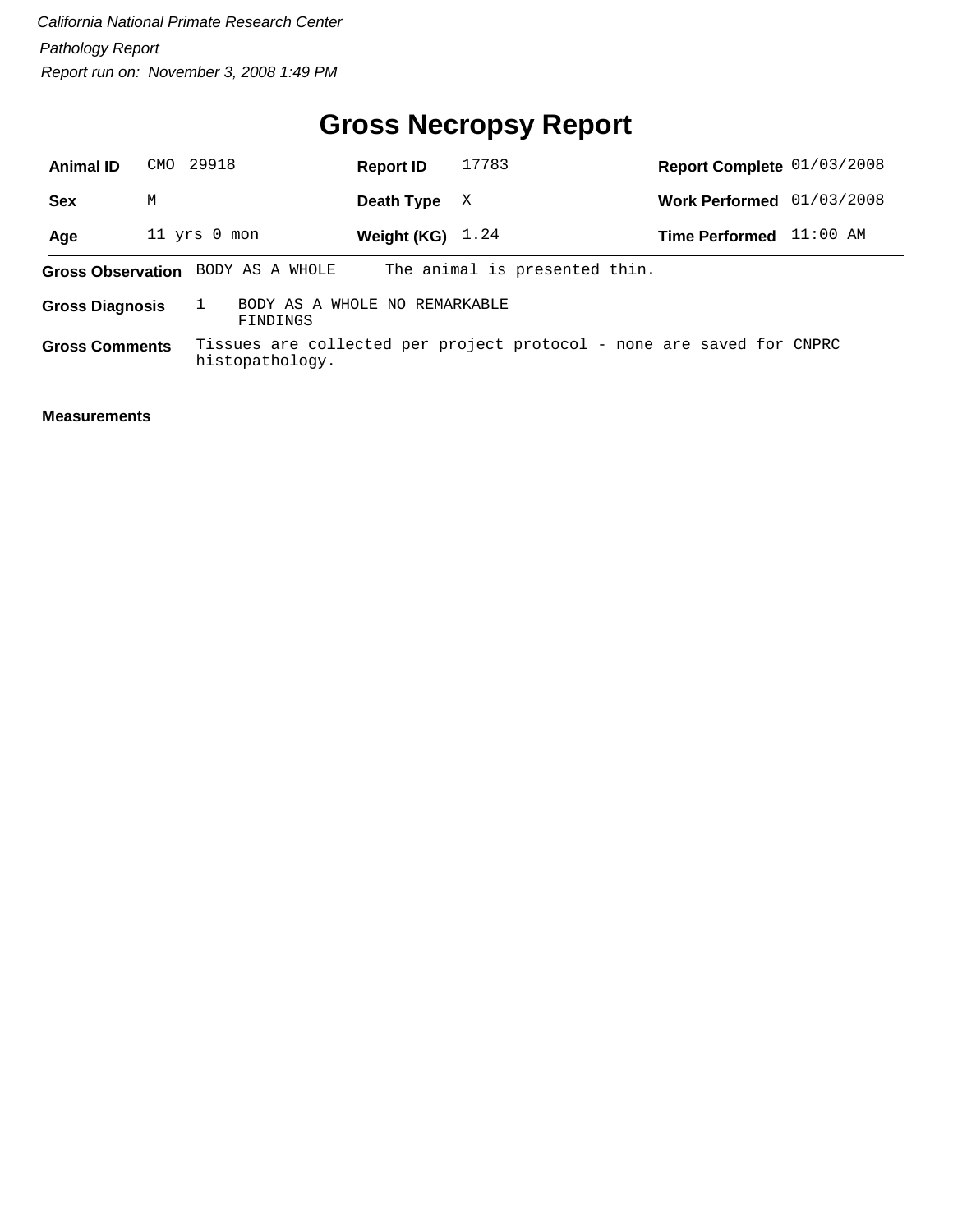# **Gross Necropsy Report**

| <b>Animal ID</b>      | CMO 29918                                                           |                                   | <b>Report ID</b>   | 17783                                                                 | Report Complete 01/03/2008 |            |  |
|-----------------------|---------------------------------------------------------------------|-----------------------------------|--------------------|-----------------------------------------------------------------------|----------------------------|------------|--|
| <b>Sex</b>            | M                                                                   |                                   | Death Type         | X                                                                     | Work Performed 01/03/2008  |            |  |
| Age                   |                                                                     | 11 yrs 0 mon                      | Weight (KG) $1.24$ |                                                                       | <b>Time Performed</b>      | $11:00$ AM |  |
|                       |                                                                     | Gross Observation BODY AS A WHOLE |                    | The animal is presented thin.                                         |                            |            |  |
|                       | BODY AS A WHOLE NO REMARKABLE<br><b>Gross Diagnosis</b><br>FINDINGS |                                   |                    |                                                                       |                            |            |  |
| <b>Gross Comments</b> |                                                                     | histopathology.                   |                    | Tissues are collected per project protocol - none are saved for CNPRC |                            |            |  |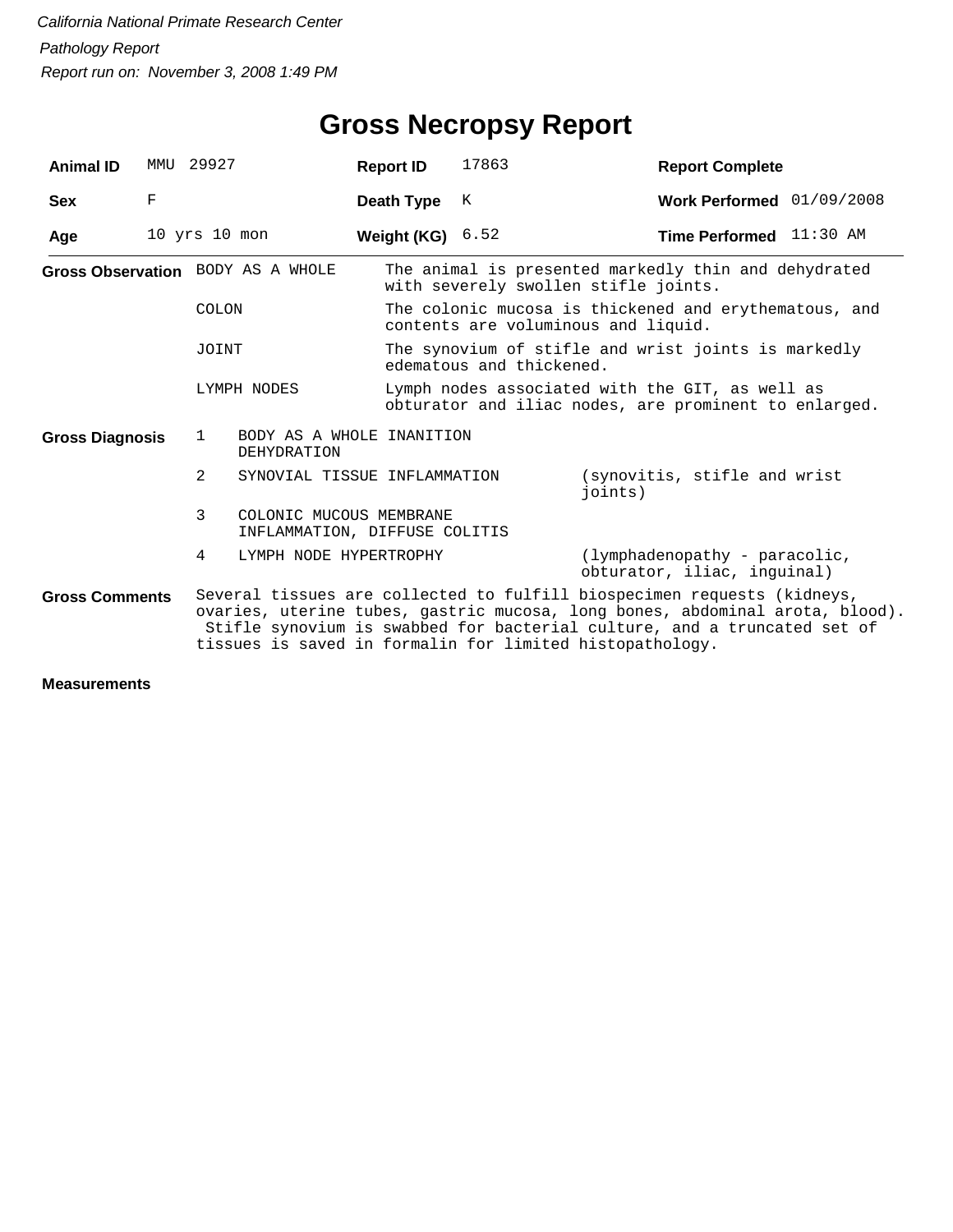| <b>Animal ID</b>                                                                                                                                                                                                                                                                                                         |   | MMU 29927                          | <b>Report ID</b>                                         | 17863                                                                                        | <b>Report Complete</b>                                                                                   |  |  |  |
|--------------------------------------------------------------------------------------------------------------------------------------------------------------------------------------------------------------------------------------------------------------------------------------------------------------------------|---|------------------------------------|----------------------------------------------------------|----------------------------------------------------------------------------------------------|----------------------------------------------------------------------------------------------------------|--|--|--|
| <b>Sex</b>                                                                                                                                                                                                                                                                                                               | F |                                    | Death Type                                               | K                                                                                            | Work Performed 01/09/2008                                                                                |  |  |  |
| Age                                                                                                                                                                                                                                                                                                                      |   | $10$ yrs $10$ mon                  | <b>Weight (KG)</b> $6.52$                                |                                                                                              | <b>Time Performed</b> $11:30$ AM                                                                         |  |  |  |
|                                                                                                                                                                                                                                                                                                                          |   | Gross Observation BODY AS A WHOLE  |                                                          | The animal is presented markedly thin and dehydrated<br>with severely swollen stifle joints. |                                                                                                          |  |  |  |
|                                                                                                                                                                                                                                                                                                                          |   | COLON                              |                                                          |                                                                                              | The colonic mucosa is thickened and erythematous, and<br>contents are voluminous and liquid.             |  |  |  |
|                                                                                                                                                                                                                                                                                                                          |   | JOINT                              |                                                          | edematous and thickened.                                                                     | The synovium of stifle and wrist joints is markedly                                                      |  |  |  |
|                                                                                                                                                                                                                                                                                                                          |   | LYMPH NODES                        |                                                          |                                                                                              | Lymph nodes associated with the GIT, as well as<br>obturator and iliac nodes, are prominent to enlarged. |  |  |  |
| <b>Gross Diagnosis</b>                                                                                                                                                                                                                                                                                                   |   | $\mathbf{1}$<br><b>DEHYDRATION</b> | BODY AS A WHOLE INANITION                                |                                                                                              |                                                                                                          |  |  |  |
|                                                                                                                                                                                                                                                                                                                          |   | 2                                  | SYNOVIAL TISSUE INFLAMMATION                             |                                                                                              | (synovitis, stifle and wrist)<br>joints)                                                                 |  |  |  |
|                                                                                                                                                                                                                                                                                                                          |   | 3                                  | COLONIC MUCOUS MEMBRANE<br>INFLAMMATION, DIFFUSE COLITIS |                                                                                              |                                                                                                          |  |  |  |
|                                                                                                                                                                                                                                                                                                                          |   | 4                                  | LYMPH NODE HYPERTROPHY                                   |                                                                                              | (lymphadenopathy - paracolic,<br>obturator, iliac, inquinal)                                             |  |  |  |
| Several tissues are collected to fulfill biospecimen requests (kidneys,<br><b>Gross Comments</b><br>ovaries, uterine tubes, gastric mucosa, long bones, abdominal arota, blood).<br>Stifle synovium is swabbed for bacterial culture, and a truncated set of<br>tissues is saved in formalin for limited histopathology. |   |                                    |                                                          |                                                                                              |                                                                                                          |  |  |  |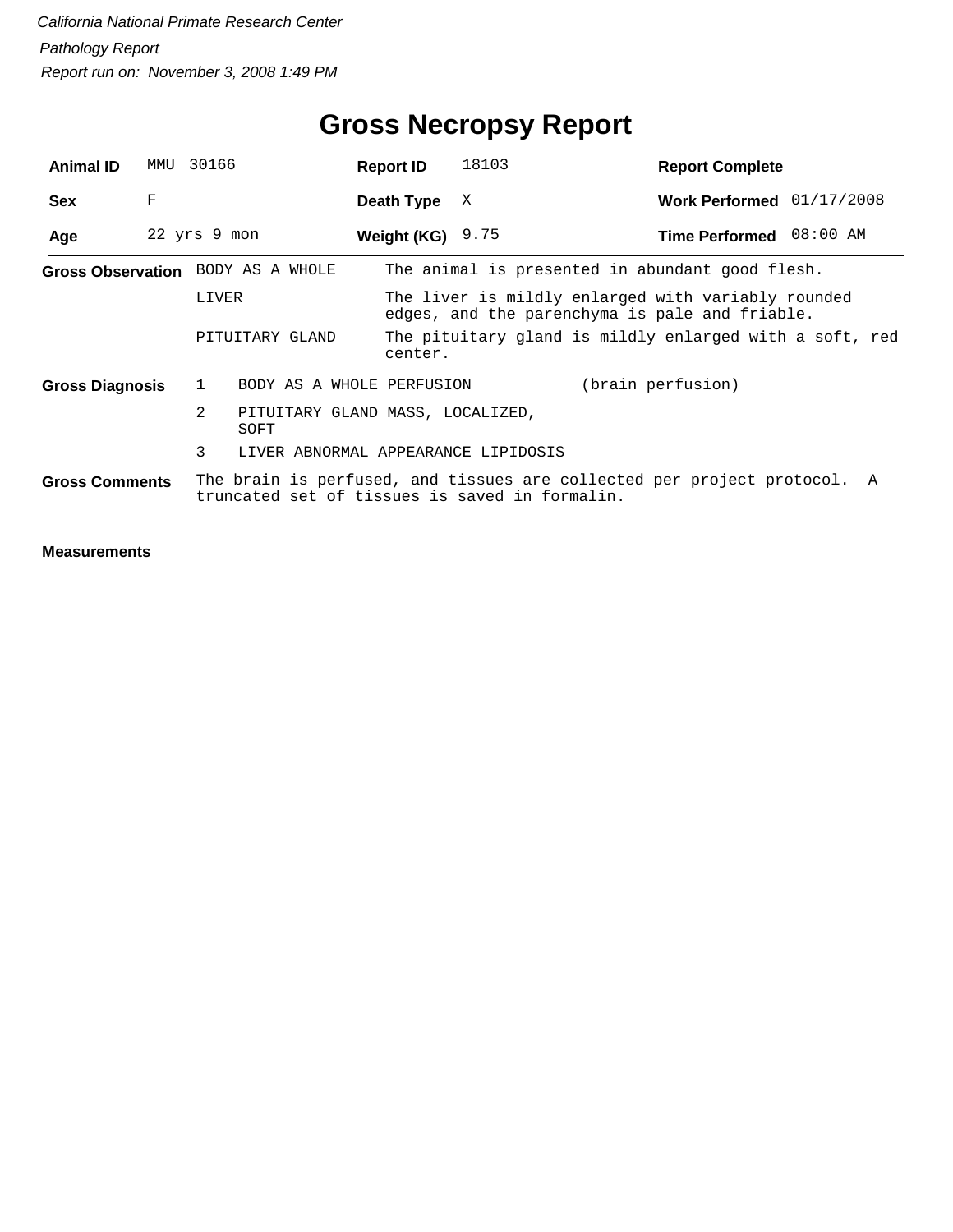| <b>Animal ID</b>                  | MMU | 30166        |                                          | <b>Report ID</b>   | 18103                                          | <b>Report Complete</b>                                                                               |  |
|-----------------------------------|-----|--------------|------------------------------------------|--------------------|------------------------------------------------|------------------------------------------------------------------------------------------------------|--|
| <b>Sex</b>                        | F   |              |                                          | Death Type         | X                                              | Work Performed 01/17/2008                                                                            |  |
| Age                               |     | 22 yrs 9 mon |                                          | Weight (KG) $9.75$ |                                                | Time Performed 08:00 AM                                                                              |  |
| Gross Observation BODY AS A WHOLE |     |              |                                          |                    |                                                | The animal is presented in abundant good flesh.                                                      |  |
|                                   |     | LIVER        |                                          |                    |                                                | The liver is mildly enlarged with variably rounded<br>edges, and the parenchyma is pale and friable. |  |
|                                   |     |              | PITUITARY GLAND                          | center.            |                                                | The pituitary gland is mildly enlarged with a soft, red                                              |  |
| <b>Gross Diagnosis</b>            |     | $\mathbf{1}$ | BODY AS A WHOLE PERFUSION                |                    |                                                | (brain perfusion)                                                                                    |  |
|                                   |     | 2            | PITUITARY GLAND MASS, LOCALIZED,<br>SOFT |                    |                                                |                                                                                                      |  |
|                                   |     | 3            | LIVER ABNORMAL APPEARANCE LIPIDOSIS      |                    |                                                |                                                                                                      |  |
| <b>Gross Comments</b>             |     |              |                                          |                    | truncated set of tissues is saved in formalin. | The brain is perfused, and tissues are collected per project protocol. A                             |  |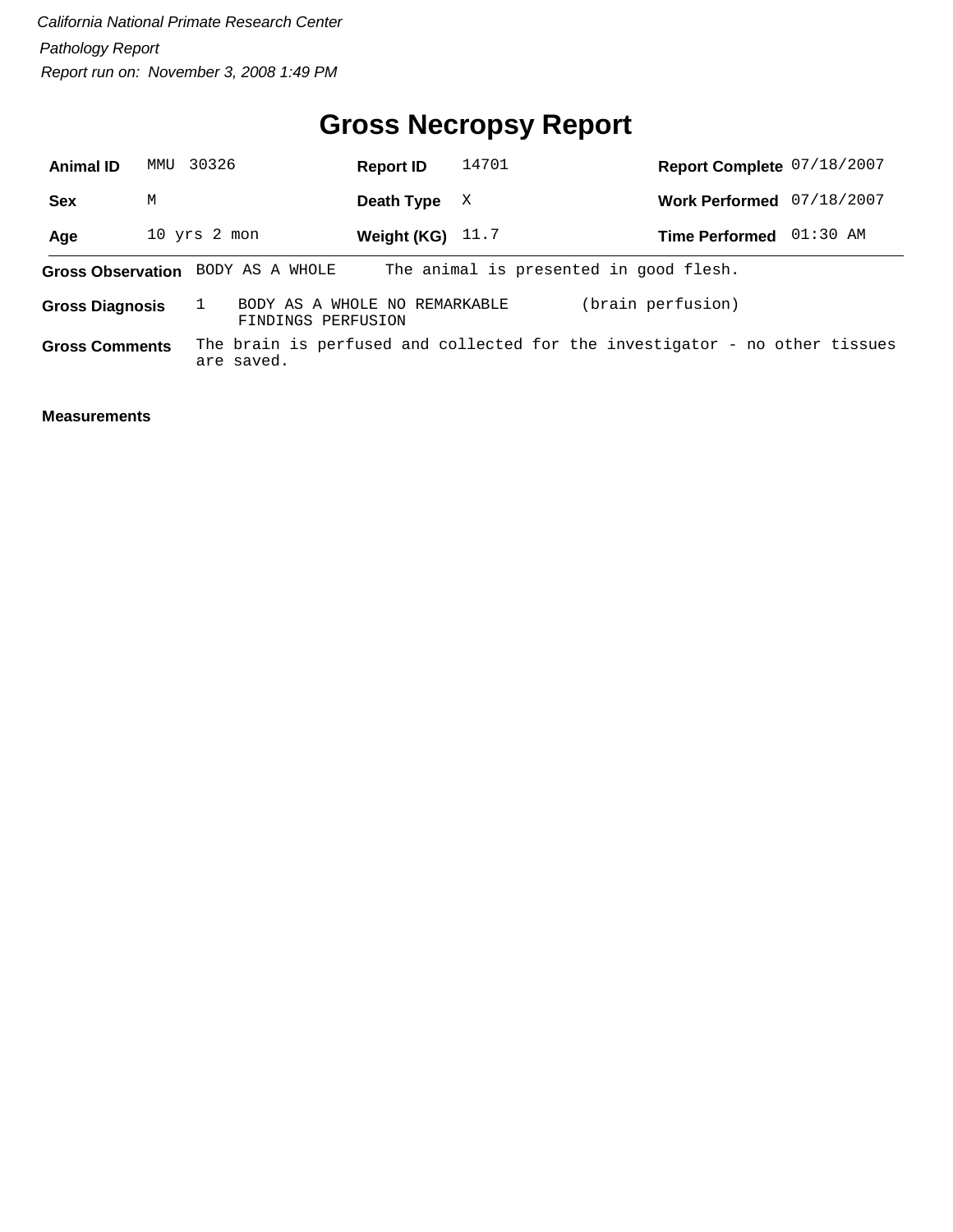# **Gross Necropsy Report**

| <b>Animal ID</b>       | MMU                                                                         | 30326                                               | <b>Report ID</b>   | 14701 |                       | Report Complete 07/18/2007                                                  |  |
|------------------------|-----------------------------------------------------------------------------|-----------------------------------------------------|--------------------|-------|-----------------------|-----------------------------------------------------------------------------|--|
| <b>Sex</b>             | M                                                                           |                                                     | Death Type         | X     |                       | Work Performed 07/18/2007                                                   |  |
| Age                    |                                                                             | 10 yrs 2 mon                                        | Weight (KG) $11.7$ |       | <b>Time Performed</b> | 01:30 AM                                                                    |  |
|                        | The animal is presented in good flesh.<br>Gross Observation BODY AS A WHOLE |                                                     |                    |       |                       |                                                                             |  |
| <b>Gross Diagnosis</b> |                                                                             | BODY AS A WHOLE NO REMARKABLE<br>FINDINGS PERFUSION |                    |       | (brain perfusion)     |                                                                             |  |
| <b>Gross Comments</b>  |                                                                             | are saved.                                          |                    |       |                       | The brain is perfused and collected for the investigator - no other tissues |  |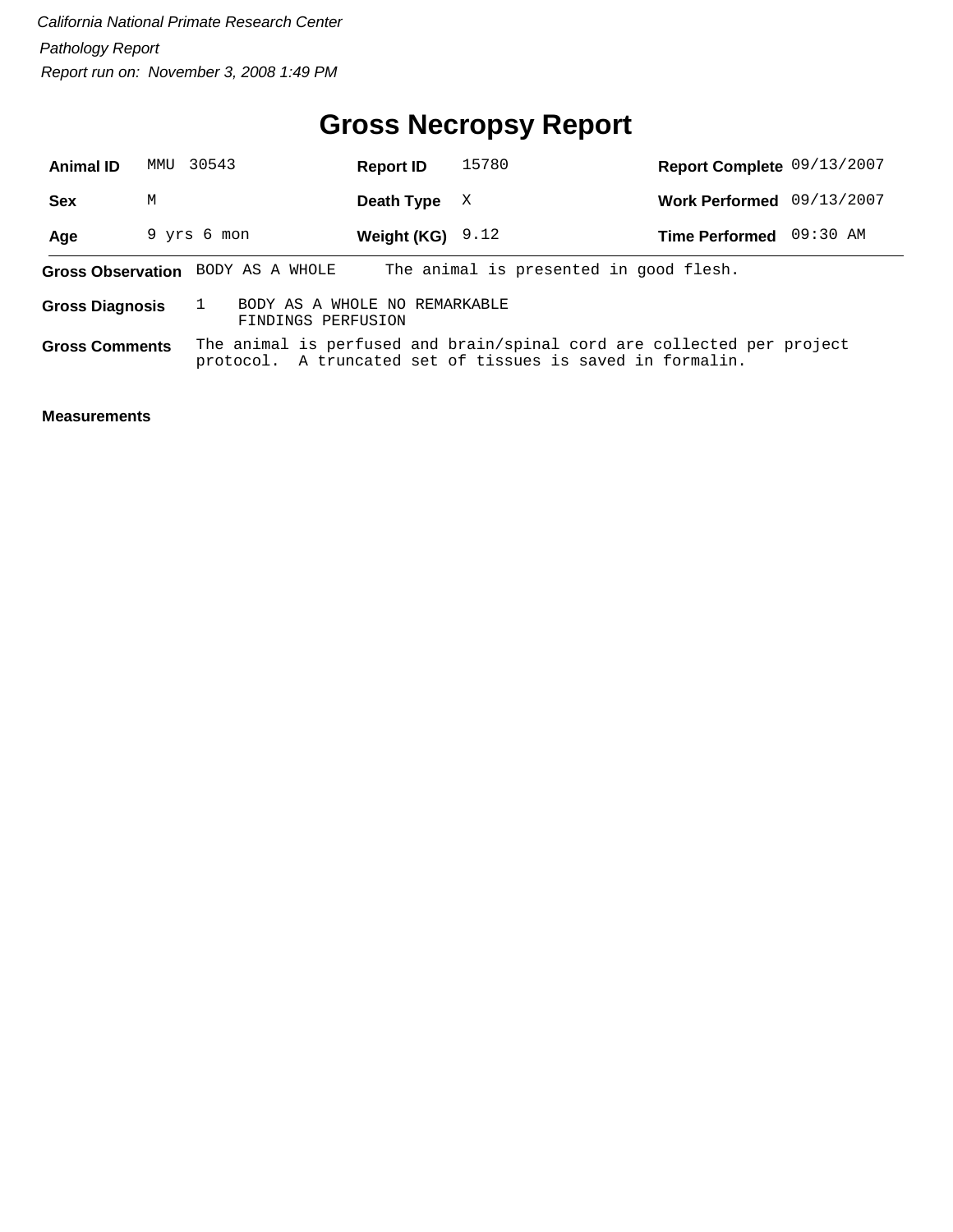# **Gross Necropsy Report**

| <b>Animal ID</b>       | MMU                                                                         | 30543                                               | <b>Report ID</b>   | 15780                                                                                                                                | Report Complete 09/13/2007 |  |  |  |
|------------------------|-----------------------------------------------------------------------------|-----------------------------------------------------|--------------------|--------------------------------------------------------------------------------------------------------------------------------------|----------------------------|--|--|--|
| <b>Sex</b>             | М                                                                           |                                                     | Death Type         | X                                                                                                                                    | Work Performed 09/13/2007  |  |  |  |
| Age                    |                                                                             | 9 yrs 6 mon                                         | Weight (KG) $9.12$ |                                                                                                                                      | Time Performed 09:30 AM    |  |  |  |
|                        | The animal is presented in good flesh.<br>Gross Observation BODY AS A WHOLE |                                                     |                    |                                                                                                                                      |                            |  |  |  |
| <b>Gross Diagnosis</b> |                                                                             | BODY AS A WHOLE NO REMARKABLE<br>FINDINGS PERFUSION |                    |                                                                                                                                      |                            |  |  |  |
| <b>Gross Comments</b>  |                                                                             |                                                     |                    | The animal is perfused and brain/spinal cord are collected per project<br>protocol. A truncated set of tissues is saved in formalin. |                            |  |  |  |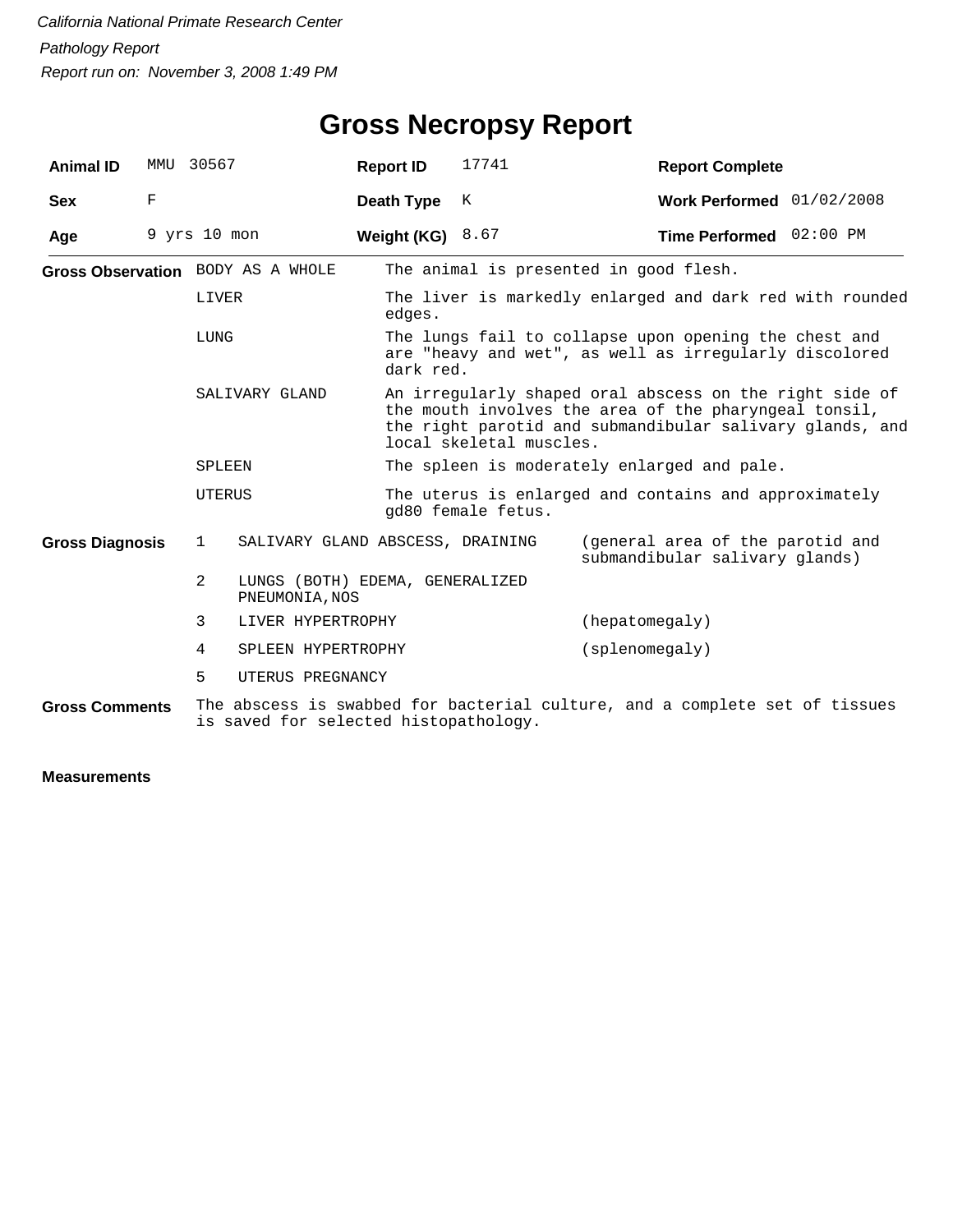| <b>Animal ID</b>       | MMU              | 30567                             |                                                   | <b>Report ID</b> | 17741                                                                                                                                                                                                   | <b>Report Complete</b>                                                                                          |  |  |
|------------------------|------------------|-----------------------------------|---------------------------------------------------|------------------|---------------------------------------------------------------------------------------------------------------------------------------------------------------------------------------------------------|-----------------------------------------------------------------------------------------------------------------|--|--|
| <b>Sex</b>             | F                |                                   |                                                   | Death Type       | K                                                                                                                                                                                                       | Work Performed 01/02/2008                                                                                       |  |  |
| Age                    | $9$ yrs $10$ mon |                                   |                                                   | Weight (KG)      | 8.67                                                                                                                                                                                                    | Time Performed 02:00 PM                                                                                         |  |  |
|                        |                  | Gross Observation BODY AS A WHOLE |                                                   |                  | The animal is presented in good flesh.                                                                                                                                                                  |                                                                                                                 |  |  |
|                        |                  | LIVER                             |                                                   | edges.           | The liver is markedly enlarged and dark red with rounded                                                                                                                                                |                                                                                                                 |  |  |
| LUNG<br>SALIVARY GLAND |                  |                                   |                                                   | dark red.        |                                                                                                                                                                                                         | The lungs fail to collapse upon opening the chest and<br>are "heavy and wet", as well as irregularly discolored |  |  |
|                        |                  |                                   |                                                   |                  | An irregularly shaped oral abscess on the right side of<br>the mouth involves the area of the pharyngeal tonsil,<br>the right parotid and submandibular salivary glands, and<br>local skeletal muscles. |                                                                                                                 |  |  |
|                        |                  | SPLEEN                            |                                                   |                  |                                                                                                                                                                                                         | The spleen is moderately enlarged and pale.                                                                     |  |  |
|                        |                  | UTERUS                            |                                                   |                  | The uterus is enlarged and contains and approximately<br>qd80 female fetus.                                                                                                                             |                                                                                                                 |  |  |
| <b>Gross Diagnosis</b> |                  | $\mathbf{1}$                      | SALIVARY GLAND ABSCESS, DRAINING                  |                  |                                                                                                                                                                                                         | (general area of the parotid and<br>submandibular salivary glands)                                              |  |  |
|                        |                  | $\overline{2}$                    | LUNGS (BOTH) EDEMA, GENERALIZED<br>PNEUMONIA, NOS |                  |                                                                                                                                                                                                         |                                                                                                                 |  |  |
|                        |                  | 3                                 | LIVER HYPERTROPHY                                 |                  |                                                                                                                                                                                                         | (hepatomegaly)                                                                                                  |  |  |
|                        |                  | 4                                 | SPLEEN HYPERTROPHY                                |                  |                                                                                                                                                                                                         | (splacement)                                                                                                    |  |  |
|                        |                  | 5                                 | UTERUS PREGNANCY                                  |                  |                                                                                                                                                                                                         |                                                                                                                 |  |  |
| <b>Gross Comments</b>  |                  |                                   | is saved for selected histopathology.             |                  |                                                                                                                                                                                                         | The abscess is swabbed for bacterial culture, and a complete set of tissues                                     |  |  |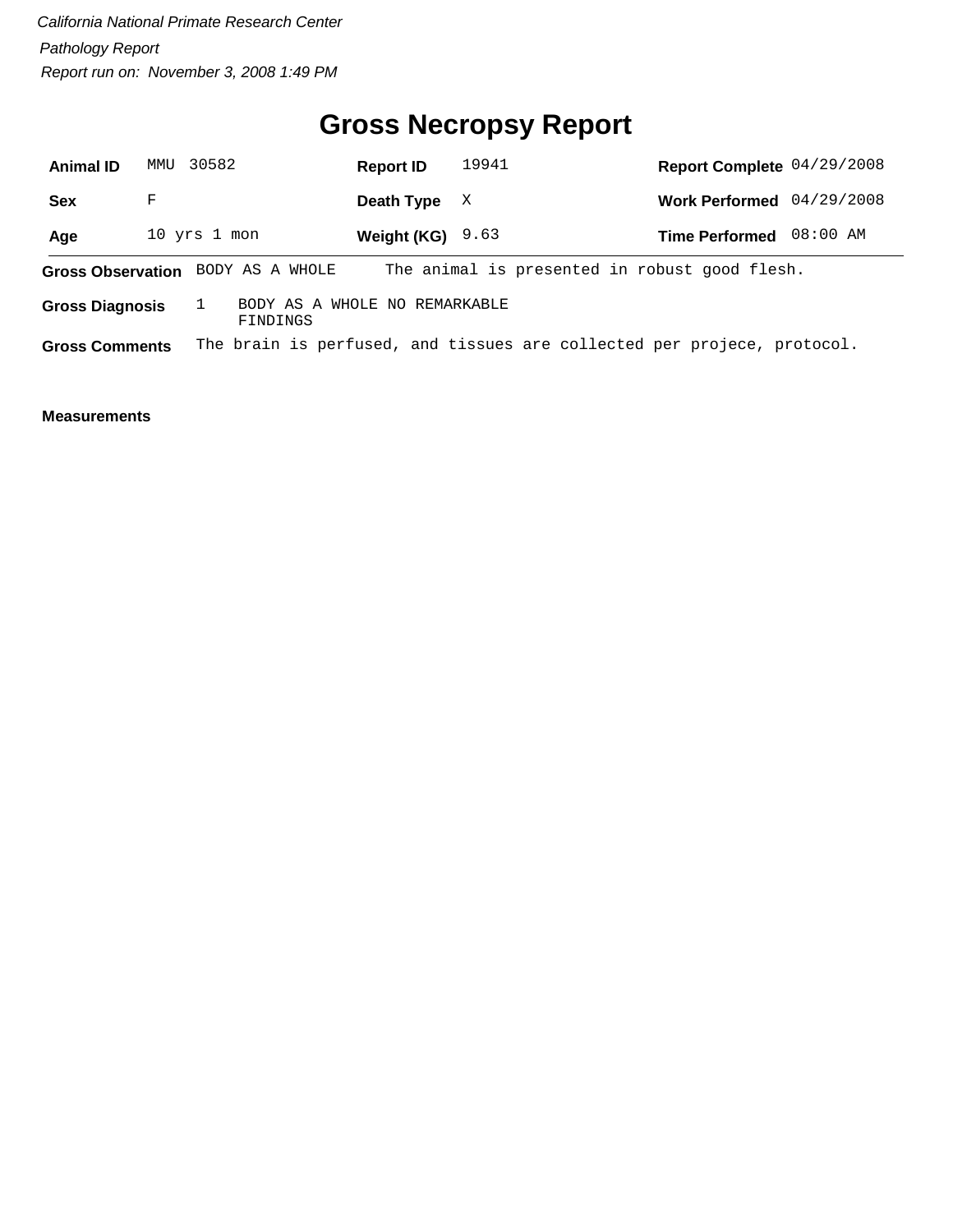# **Gross Necropsy Report**

| <b>Animal ID</b>       | 30582<br>MMU                                                                       |                                           | <b>Report ID</b>   | 19941 |                                                                         | Report Complete 04/29/2008 |          |
|------------------------|------------------------------------------------------------------------------------|-------------------------------------------|--------------------|-------|-------------------------------------------------------------------------|----------------------------|----------|
| <b>Sex</b>             | F                                                                                  |                                           | Death Type         | X     |                                                                         | Work Performed 04/29/2008  |          |
| Age                    | 10 yrs 1 mon                                                                       |                                           | Weight (KG) $9.63$ |       |                                                                         | <b>Time Performed</b>      | 08:00 AM |
|                        | The animal is presented in robust good flesh.<br>Gross Observation BODY AS A WHOLE |                                           |                    |       |                                                                         |                            |          |
| <b>Gross Diagnosis</b> |                                                                                    | BODY AS A WHOLE NO REMARKABLE<br>FINDINGS |                    |       |                                                                         |                            |          |
| <b>Gross Comments</b>  |                                                                                    |                                           |                    |       | The brain is perfused, and tissues are collected per projece, protocol. |                            |          |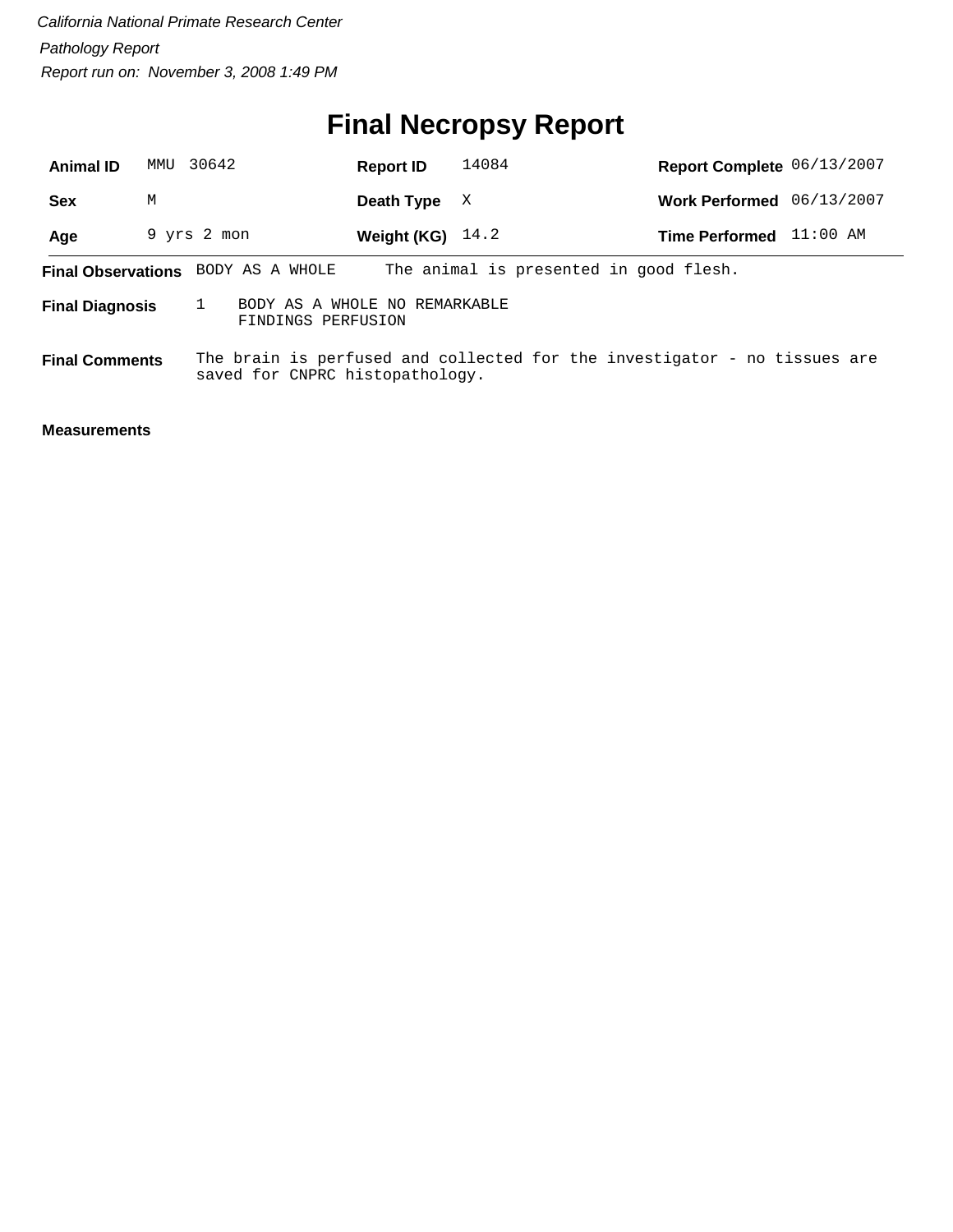# **Final Necropsy Report**

| <b>Animal ID</b>       | MMU | 30642                                               | <b>Report ID</b>   | 14084                                                                     | Report Complete 06/13/2007 |            |
|------------------------|-----|-----------------------------------------------------|--------------------|---------------------------------------------------------------------------|----------------------------|------------|
| Sex                    | M   |                                                     | Death Type         | X                                                                         | Work Performed 06/13/2007  |            |
| Age                    |     | 9 yrs 2 mon                                         | Weight (KG) $14.2$ |                                                                           | <b>Time Performed</b>      | $11:00$ AM |
|                        |     | Final Observations BODY AS A WHOLE                  |                    | The animal is presented in good flesh.                                    |                            |            |
| <b>Final Diagnosis</b> |     | BODY AS A WHOLE NO REMARKABLE<br>FINDINGS PERFUSION |                    |                                                                           |                            |            |
| <b>Final Comments</b>  |     | saved for CNPRC histopathology.                     |                    | The brain is perfused and collected for the investigator - no tissues are |                            |            |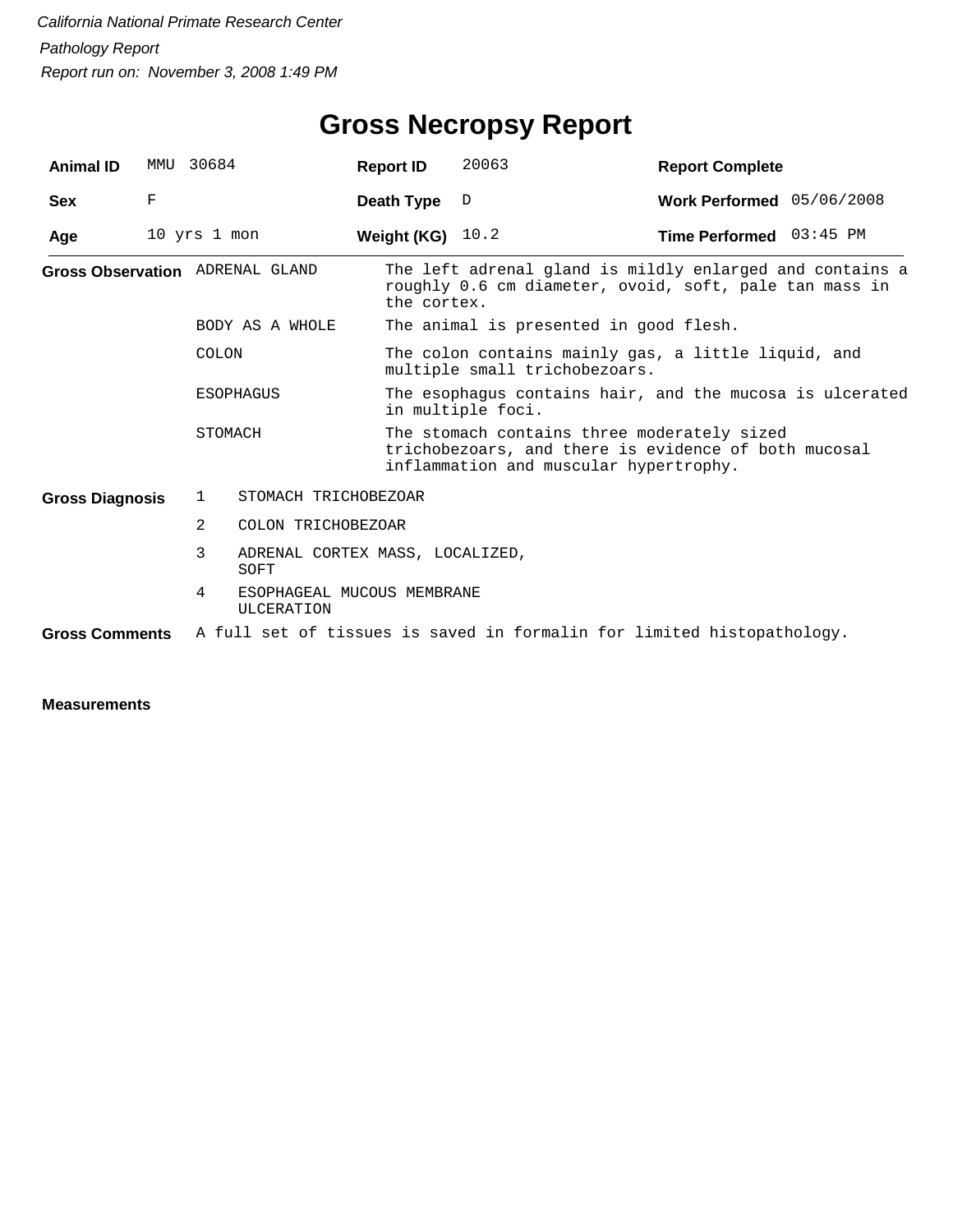| <b>Animal ID</b>                       |   | MMU 30684                                     | <b>Report ID</b> | 20063                                                                                                                                         | <b>Report Complete</b>           |  |  |  |
|----------------------------------------|---|-----------------------------------------------|------------------|-----------------------------------------------------------------------------------------------------------------------------------------------|----------------------------------|--|--|--|
| <b>Sex</b>                             | F |                                               | Death Type       | D                                                                                                                                             | Work Performed $05/06/2008$      |  |  |  |
| Age                                    |   | 10 yrs 1 mon                                  | Weight (KG)      | 10.2                                                                                                                                          | <b>Time Performed</b> $03:45$ PM |  |  |  |
| <b>Gross Observation</b> ADRENAL GLAND |   |                                               | the cortex.      | The left adrenal gland is mildly enlarged and contains a<br>roughly 0.6 cm diameter, ovoid, soft, pale tan mass in                            |                                  |  |  |  |
|                                        |   | BODY AS A WHOLE                               |                  | The animal is presented in good flesh.                                                                                                        |                                  |  |  |  |
|                                        |   | COLON                                         |                  | The colon contains mainly gas, a little liquid, and<br>multiple small trichobezoars.                                                          |                                  |  |  |  |
|                                        |   | <b>ESOPHAGUS</b>                              |                  | The esophagus contains hair, and the mucosa is ulcerated<br>in multiple foci.                                                                 |                                  |  |  |  |
|                                        |   | STOMACH                                       |                  | The stomach contains three moderately sized<br>trichobezoars, and there is evidence of both mucosal<br>inflammation and muscular hypertrophy. |                                  |  |  |  |
| <b>Gross Diagnosis</b>                 |   | 1<br>STOMACH TRICHOBEZOAR                     |                  |                                                                                                                                               |                                  |  |  |  |
|                                        |   | $\overline{2}$<br>COLON TRICHOBEZOAR          |                  |                                                                                                                                               |                                  |  |  |  |
|                                        |   | 3<br>SOFT                                     |                  | ADRENAL CORTEX MASS, LOCALIZED,                                                                                                               |                                  |  |  |  |
|                                        |   | 4<br>ESOPHAGEAL MUCOUS MEMBRANE<br>ULCERATION |                  |                                                                                                                                               |                                  |  |  |  |
| <b>Gross Comments</b>                  |   |                                               |                  | A full set of tissues is saved in formalin for limited histopathology.                                                                        |                                  |  |  |  |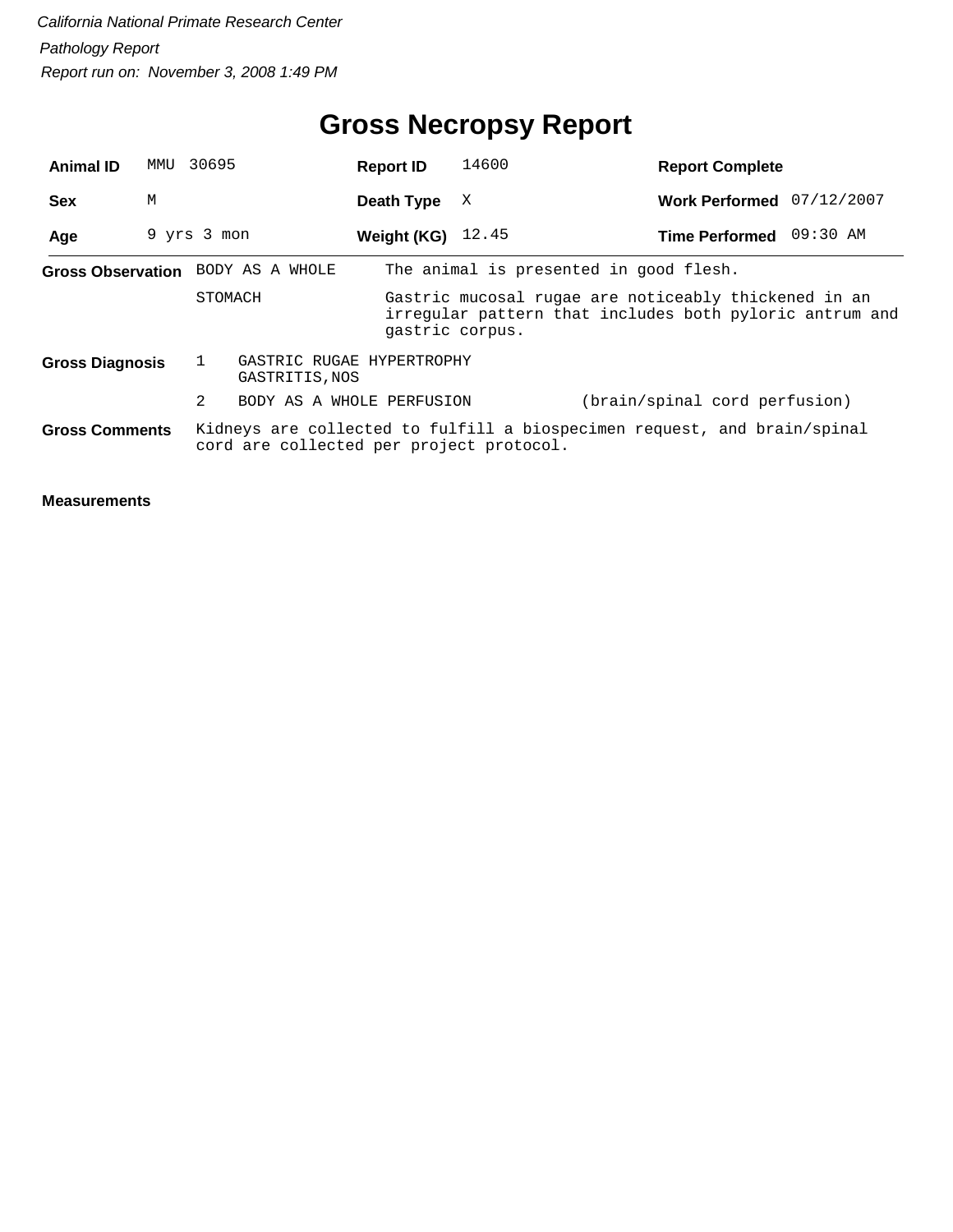# **Gross Necropsy Report**

| <b>Animal ID</b>       |   | MMU 30695                         | <b>Report ID</b>                         | 14600           | <b>Report Complete</b>                                                                                          |  |
|------------------------|---|-----------------------------------|------------------------------------------|-----------------|-----------------------------------------------------------------------------------------------------------------|--|
| <b>Sex</b>             | M |                                   | Death Type                               | X               | Work Performed 07/12/2007                                                                                       |  |
| Age                    |   | 9 yrs 3 mon                       | Weight (KG) $12.45$                      |                 | Time Performed 09:30 AM                                                                                         |  |
|                        |   | Gross Observation BODY AS A WHOLE |                                          |                 | The animal is presented in good flesh.                                                                          |  |
|                        |   | STOMACH                           |                                          | qastric corpus. | Gastric mucosal rugae are noticeably thickened in an<br>irregular pattern that includes both pyloric antrum and |  |
| <b>Gross Diagnosis</b> |   | GASTRITIS, NOS                    | GASTRIC RUGAE HYPERTROPHY                |                 |                                                                                                                 |  |
|                        |   | $\overline{2}$                    | BODY AS A WHOLE PERFUSION                |                 | (brain/spinal cord perfusion)                                                                                   |  |
| <b>Gross Comments</b>  |   |                                   | cord are collected per project protocol. |                 | Kidneys are collected to fulfill a biospecimen request, and brain/spinal                                        |  |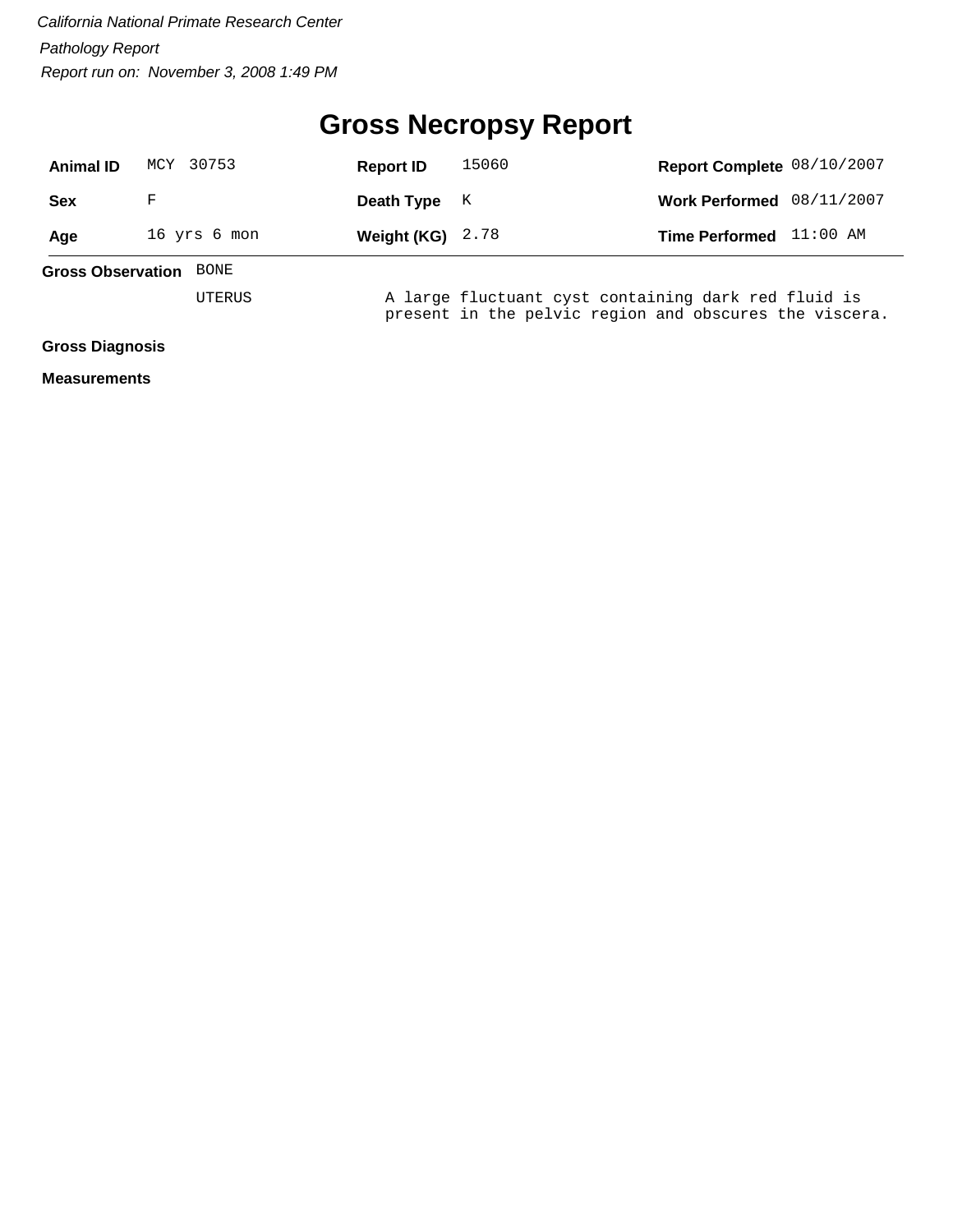# **Gross Necropsy Report**

| <b>Animal ID</b>       | 30753<br>MCY                     | <b>Report ID</b>   | 15060                                                                                                         | Report Complete 08/10/2007 |            |  |  |  |
|------------------------|----------------------------------|--------------------|---------------------------------------------------------------------------------------------------------------|----------------------------|------------|--|--|--|
| <b>Sex</b>             | F                                | Death Type         | K                                                                                                             | <b>Work Performed</b>      | 08/11/2007 |  |  |  |
| Age                    | 16 yrs 6 mon                     | Weight (KG) $2.78$ |                                                                                                               | <b>Time Performed</b>      | 11:00 AM   |  |  |  |
|                        | <b>Gross Observation</b><br>BONE |                    |                                                                                                               |                            |            |  |  |  |
|                        | UTERUS                           |                    | A large fluctuant cyst containing dark red fluid is<br>present in the pelvic region and obscures the viscera. |                            |            |  |  |  |
| <b>Gross Diagnosis</b> |                                  |                    |                                                                                                               |                            |            |  |  |  |
| <b>Measurements</b>    |                                  |                    |                                                                                                               |                            |            |  |  |  |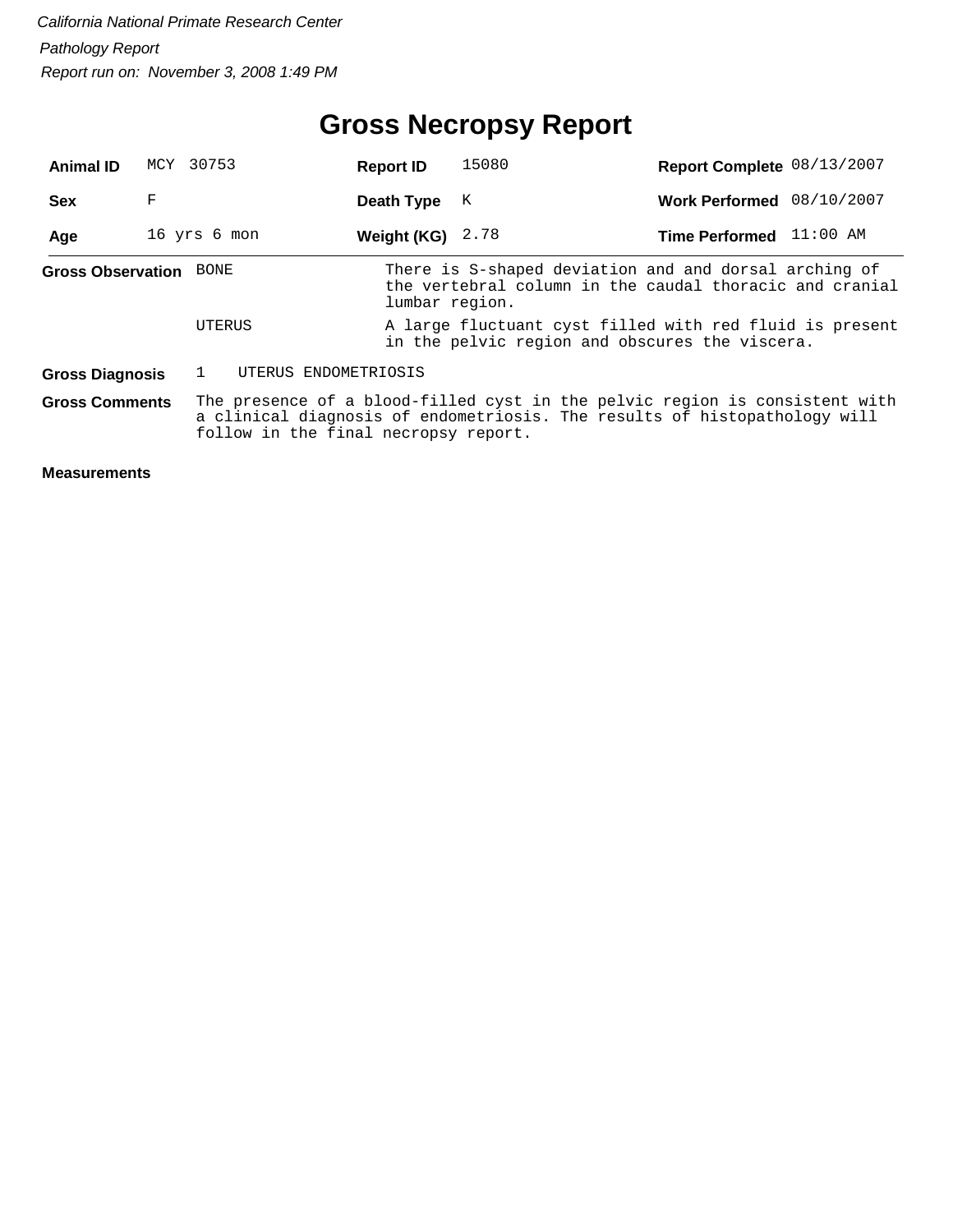# **Gross Necropsy Report**

| <b>Animal ID</b>              |   | MCY 30753                            | <b>Report ID</b>   | 15080                                                                                                                                                    | Report Complete 08/13/2007 |            |
|-------------------------------|---|--------------------------------------|--------------------|----------------------------------------------------------------------------------------------------------------------------------------------------------|----------------------------|------------|
| <b>Sex</b>                    | F |                                      | Death Type         | K                                                                                                                                                        | Work Performed 08/10/2007  |            |
| Age                           |   | 16 yrs 6 mon                         | Weight (KG) $2.78$ |                                                                                                                                                          | <b>Time Performed</b>      | $11:00$ AM |
| <b>Gross Observation</b> BONE |   |                                      | lumbar region.     | There is S-shaped deviation and and dorsal arching of<br>the vertebral column in the caudal thoracic and cranial                                         |                            |            |
|                               |   | UTERUS                               |                    | A large fluctuant cyst filled with red fluid is present<br>in the pelvic region and obscures the viscera.                                                |                            |            |
| <b>Gross Diagnosis</b>        |   | UTERUS ENDOMETRIOSIS                 |                    |                                                                                                                                                          |                            |            |
| <b>Gross Comments</b>         |   | follow in the final necropsy report. |                    | The presence of a blood-filled cyst in the pelvic region is consistent with<br>a clinical diagnosis of endometriosis. The results of histopathology will |                            |            |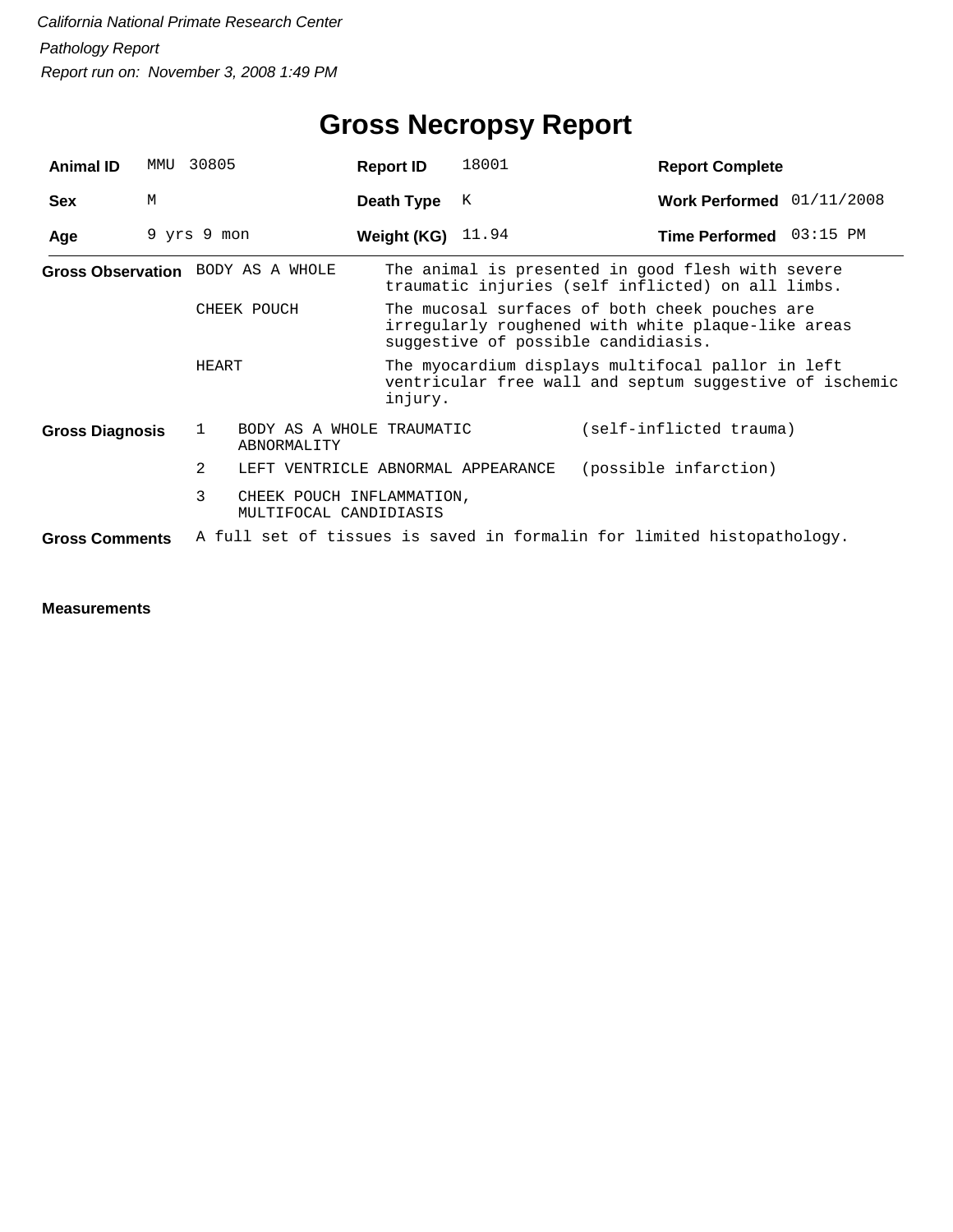# **Gross Necropsy Report**

| <b>Animal ID</b>       | MMU | 30805                                                    | <b>Report ID</b>                                                                                                        | 18001                                                                                                                                       | <b>Report Complete</b>                                                                                 |  |  |
|------------------------|-----|----------------------------------------------------------|-------------------------------------------------------------------------------------------------------------------------|---------------------------------------------------------------------------------------------------------------------------------------------|--------------------------------------------------------------------------------------------------------|--|--|
| <b>Sex</b>             | M   |                                                          | Death Type                                                                                                              | К                                                                                                                                           | Work Performed 01/11/2008                                                                              |  |  |
| Age                    |     | 9 yrs 9 mon                                              | Weight (KG) $11.94$                                                                                                     |                                                                                                                                             | Time Performed 03:15 PM                                                                                |  |  |
|                        |     | Gross Observation BODY AS A WHOLE                        |                                                                                                                         |                                                                                                                                             | The animal is presented in good flesh with severe<br>traumatic injuries (self inflicted) on all limbs. |  |  |
|                        |     | CHEEK POUCH                                              |                                                                                                                         | The mucosal surfaces of both cheek pouches are<br>irregularly roughened with white plaque-like areas<br>suggestive of possible candidiasis. |                                                                                                        |  |  |
|                        |     | HEART                                                    | The myocardium displays multifocal pallor in left<br>ventricular free wall and septum suggestive of ischemic<br>injury. |                                                                                                                                             |                                                                                                        |  |  |
| <b>Gross Diagnosis</b> |     | BODY AS A WHOLE TRAUMATIC<br>ı.<br>ABNORMALITY           |                                                                                                                         |                                                                                                                                             | (self-inflicted trauma)                                                                                |  |  |
|                        |     | 2<br>LEFT VENTRICLE ABNORMAL APPEARANCE                  |                                                                                                                         |                                                                                                                                             | (possible infarction)                                                                                  |  |  |
|                        |     | 3<br>CHEEK POUCH INFLAMMATION,<br>MULTIFOCAL CANDIDIASIS |                                                                                                                         |                                                                                                                                             |                                                                                                        |  |  |
| <b>Gross Comments</b>  |     |                                                          |                                                                                                                         |                                                                                                                                             | A full set of tissues is saved in formalin for limited histopathology.                                 |  |  |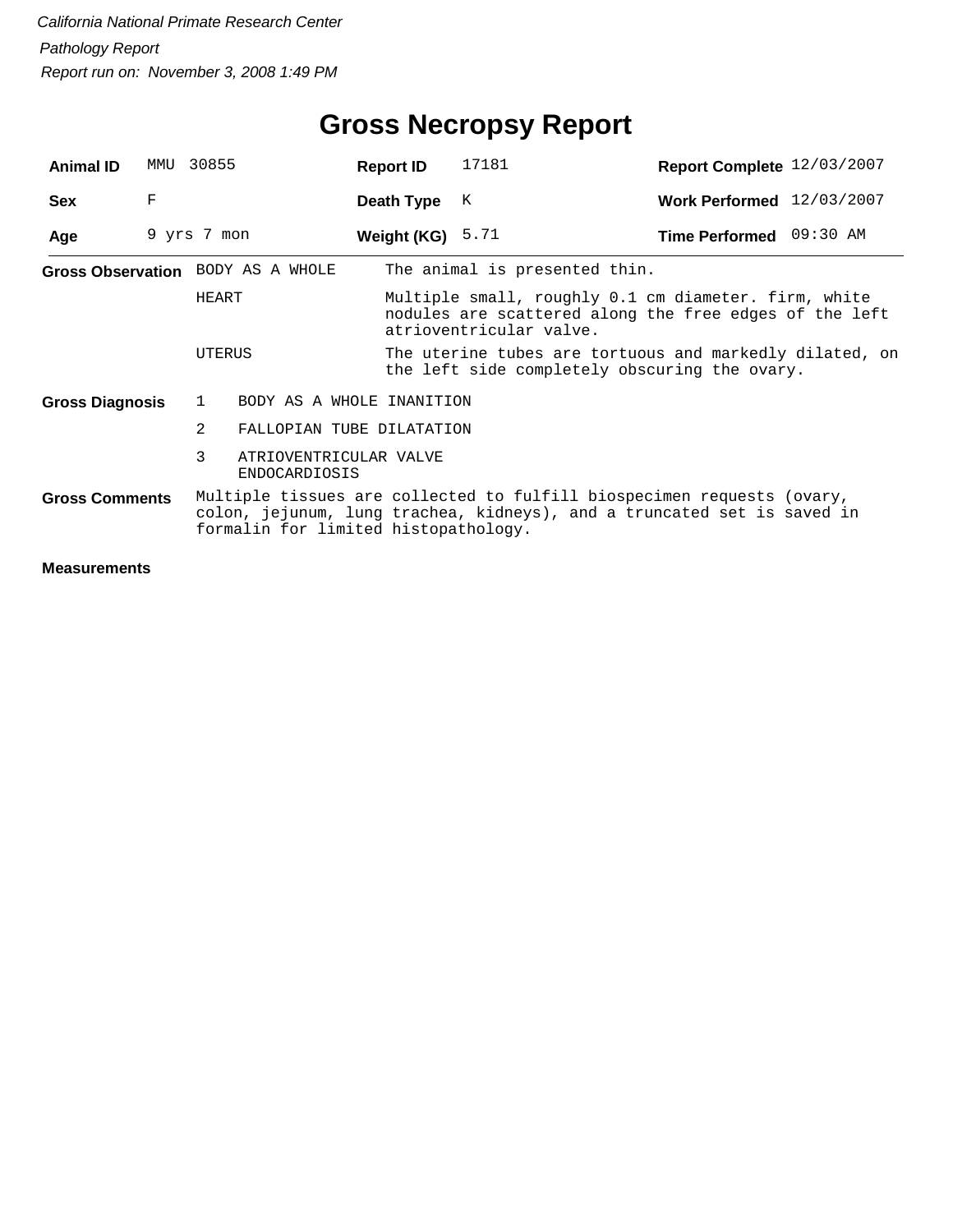| <b>Animal ID</b>                  | MMU | 30855        |                                                | <b>Report ID</b>   | 17181                                                                                                                                             | Report Complete 12/03/2007 |  |
|-----------------------------------|-----|--------------|------------------------------------------------|--------------------|---------------------------------------------------------------------------------------------------------------------------------------------------|----------------------------|--|
| <b>Sex</b>                        | F   |              |                                                | Death Type         | K                                                                                                                                                 | Work Performed 12/03/2007  |  |
| Age                               |     | 9 yrs 7 mon  |                                                | Weight (KG) $5.71$ |                                                                                                                                                   | Time Performed 09:30 AM    |  |
| Gross Observation BODY AS A WHOLE |     |              |                                                |                    | The animal is presented thin.                                                                                                                     |                            |  |
|                                   |     | HEART        |                                                |                    | Multiple small, roughly 0.1 cm diameter. firm, white<br>nodules are scattered along the free edges of the left<br>atrioventricular valve.         |                            |  |
|                                   |     | UTERUS       |                                                |                    | The uterine tubes are tortuous and markedly dilated, on<br>the left side completely obscuring the ovary.                                          |                            |  |
| <b>Gross Diagnosis</b>            |     | $\mathbf{1}$ | BODY AS A WHOLE INANITION                      |                    |                                                                                                                                                   |                            |  |
|                                   |     | 2            | FALLOPIAN TUBE DILATATION                      |                    |                                                                                                                                                   |                            |  |
|                                   |     | 3            | ATRIOVENTRICULAR VALVE<br><b>ENDOCARDIOSIS</b> |                    |                                                                                                                                                   |                            |  |
| <b>Gross Comments</b>             |     |              | formalin for limited histopathology.           |                    | Multiple tissues are collected to fulfill biospecimen requests (ovary,<br>colon, jejunum, lung trachea, kidneys), and a truncated set is saved in |                            |  |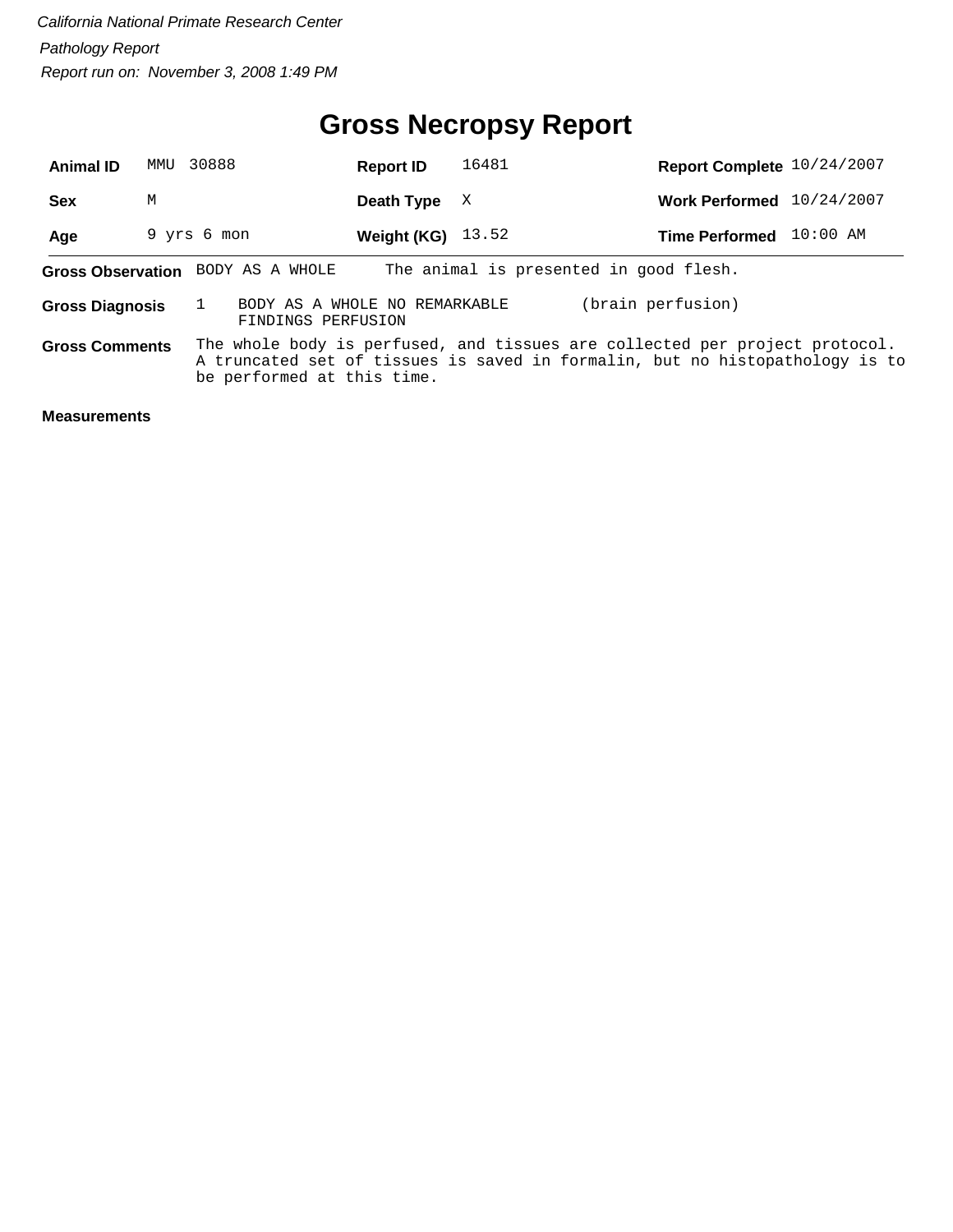# **Gross Necropsy Report**

| <b>Animal ID</b>       | MMU | 30888                                               | <b>Report ID</b>    | 16481 | Report Complete 10/24/2007                                                                                                                                  |            |
|------------------------|-----|-----------------------------------------------------|---------------------|-------|-------------------------------------------------------------------------------------------------------------------------------------------------------------|------------|
| <b>Sex</b>             | M   |                                                     | Death Type          | X     | <b>Work Performed</b>                                                                                                                                       | 10/24/2007 |
| Age                    |     | 9 yrs 6 mon                                         | Weight (KG) $13.52$ |       | <b>Time Performed</b>                                                                                                                                       | $10:00$ AM |
|                        |     | Gross Observation BODY AS A WHOLE                   |                     |       | The animal is presented in good flesh.                                                                                                                      |            |
| <b>Gross Diagnosis</b> |     | BODY AS A WHOLE NO REMARKABLE<br>FINDINGS PERFUSION |                     |       | (brain perfusion)                                                                                                                                           |            |
| <b>Gross Comments</b>  |     | be performed at this time.                          |                     |       | The whole body is perfused, and tissues are collected per project protocol.<br>A truncated set of tissues is saved in formalin, but no histopathology is to |            |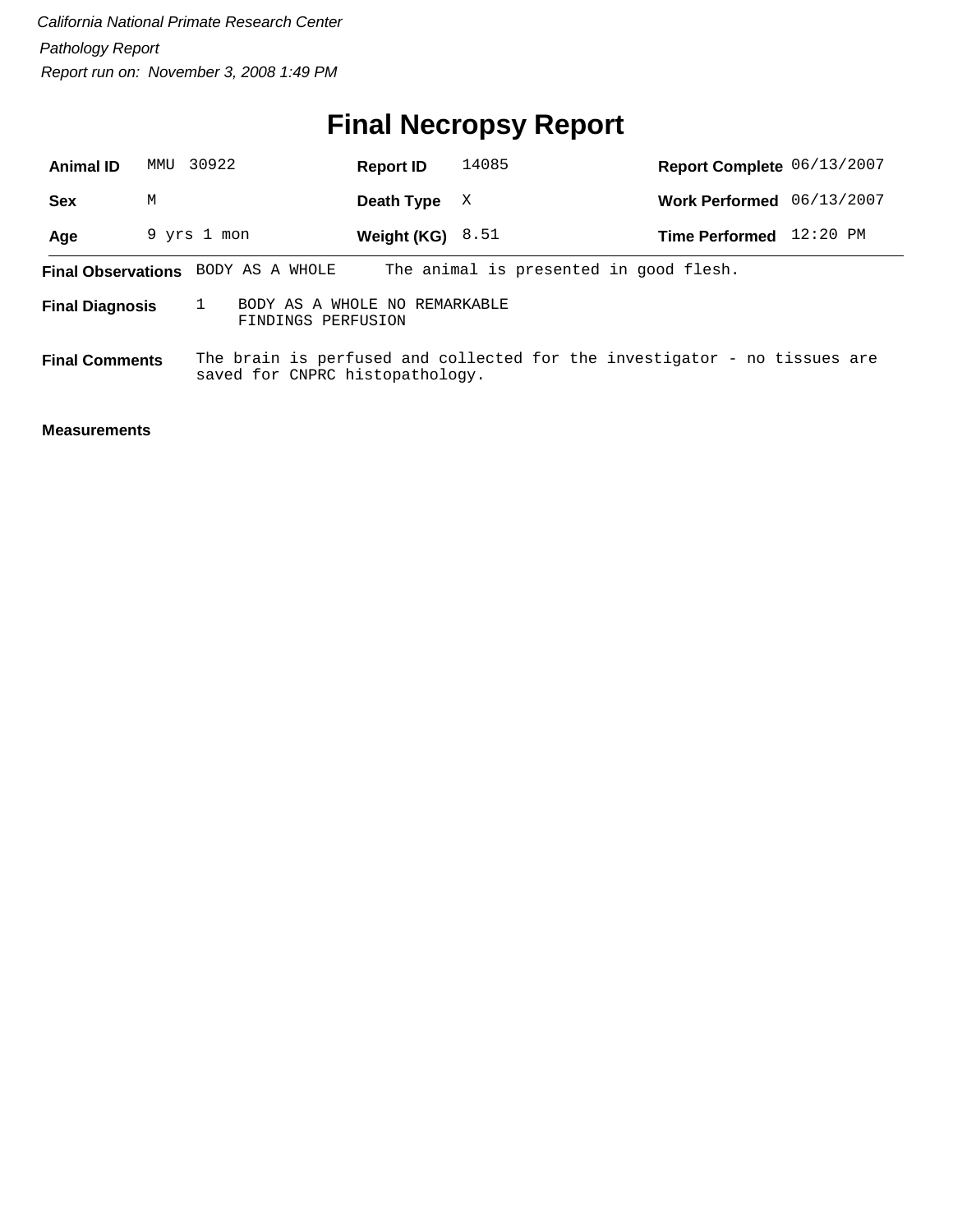# **Final Necropsy Report**

| <b>Animal ID</b>       | MMU | 30922                                               | <b>Report ID</b>   | 14085                                                                     | Report Complete 06/13/2007 |            |
|------------------------|-----|-----------------------------------------------------|--------------------|---------------------------------------------------------------------------|----------------------------|------------|
| <b>Sex</b>             | M   |                                                     | Death Type         | X                                                                         | Work Performed 06/13/2007  |            |
| Age                    |     | 9 yrs 1 mon                                         | Weight (KG) $8.51$ |                                                                           | <b>Time Performed</b>      | $12:20$ PM |
|                        |     | <b>Final Observations</b> BODY AS A WHOLE           |                    | The animal is presented in good flesh.                                    |                            |            |
| <b>Final Diagnosis</b> |     | BODY AS A WHOLE NO REMARKABLE<br>FINDINGS PERFUSION |                    |                                                                           |                            |            |
| <b>Final Comments</b>  |     | saved for CNPRC histopathology.                     |                    | The brain is perfused and collected for the investigator - no tissues are |                            |            |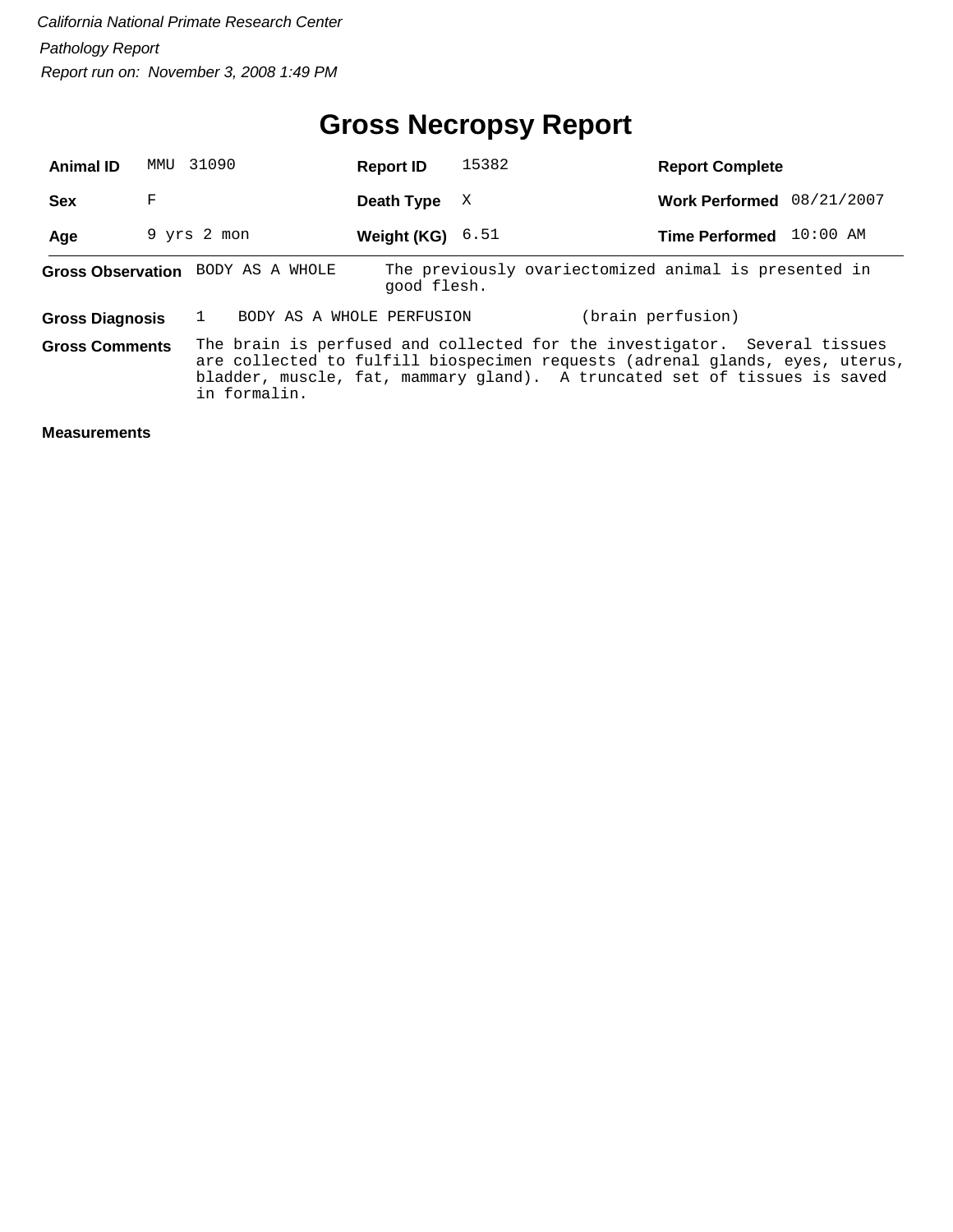| <b>Animal ID</b>       |   | MMU 31090                         | <b>Report ID</b>   | 15382 | <b>Report Complete</b>                                                                                                                                                                                                                 |  |
|------------------------|---|-----------------------------------|--------------------|-------|----------------------------------------------------------------------------------------------------------------------------------------------------------------------------------------------------------------------------------------|--|
| <b>Sex</b>             | F |                                   | Death Type         | X     | Work Performed 08/21/2007                                                                                                                                                                                                              |  |
| Age                    |   | 9 yrs 2 mon                       | Weight (KG) $6.51$ |       | Time Performed 10:00 AM                                                                                                                                                                                                                |  |
|                        |   | Gross Observation BODY AS A WHOLE | good flesh.        |       | The previously ovariectomized animal is presented in                                                                                                                                                                                   |  |
| <b>Gross Diagnosis</b> |   | BODY AS A WHOLE PERFUSION         |                    |       | (brain perfusion)                                                                                                                                                                                                                      |  |
| <b>Gross Comments</b>  |   | in formalin.                      |                    |       | The brain is perfused and collected for the investigator. Several tissues<br>are collected to fulfill biospecimen requests (adrenal glands, eyes, uterus,<br>bladder, muscle, fat, mammary gland). A truncated set of tissues is saved |  |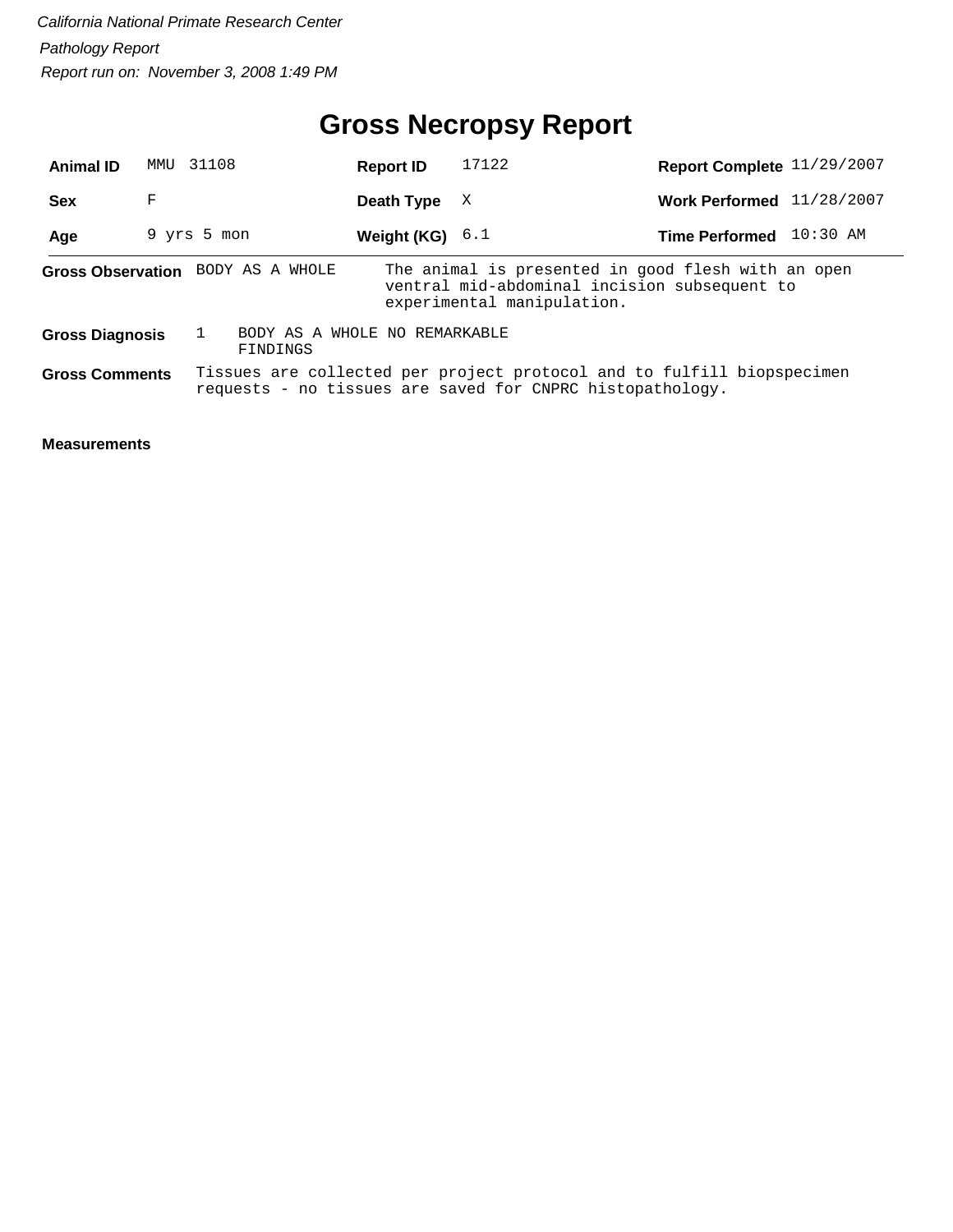# **Gross Necropsy Report**

| <b>Animal ID</b>       | MMU | 31108                             | <b>Report ID</b>              | 17122                                                                                                                               | Report Complete 11/29/2007  |          |
|------------------------|-----|-----------------------------------|-------------------------------|-------------------------------------------------------------------------------------------------------------------------------------|-----------------------------|----------|
| <b>Sex</b>             | F   |                                   | Death Type                    | X                                                                                                                                   | Work Performed $11/28/2007$ |          |
| Age                    |     | 9 yrs 5 mon                       | Weight (KG) $6.1$             |                                                                                                                                     | <b>Time Performed</b>       | 10:30 AM |
|                        |     | Gross Observation BODY AS A WHOLE |                               | The animal is presented in good flesh with an open<br>ventral mid-abdominal incision subsequent to<br>experimental manipulation.    |                             |          |
| <b>Gross Diagnosis</b> |     | FINDINGS                          | BODY AS A WHOLE NO REMARKABLE |                                                                                                                                     |                             |          |
| <b>Gross Comments</b>  |     |                                   |                               | Tissues are collected per project protocol and to fulfill biopspecimen<br>requests - no tissues are saved for CNPRC histopathology. |                             |          |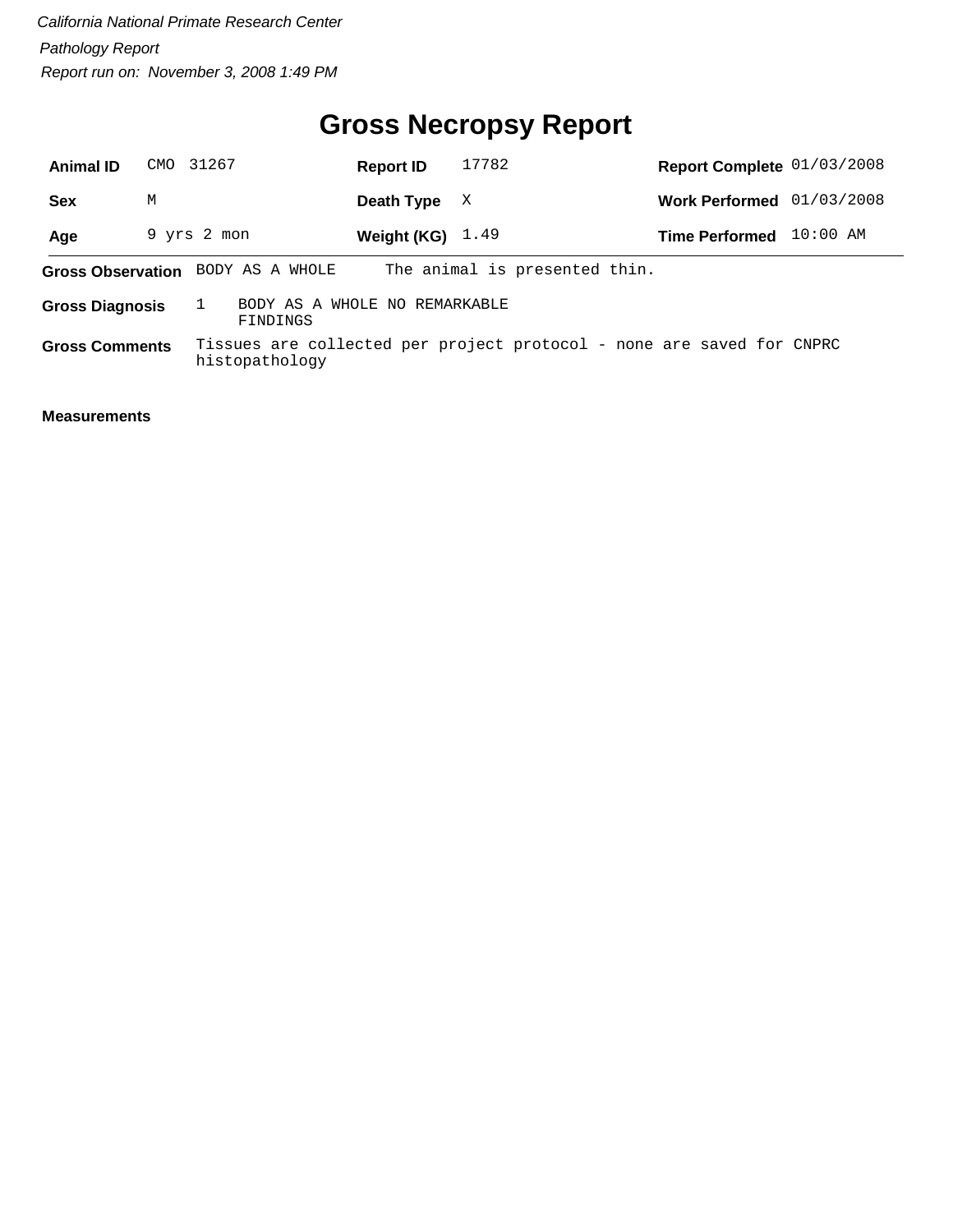# **Gross Necropsy Report**

| <b>Animal ID</b>       |   | CMO 31267                         | <b>Report ID</b>              | 17782                                                                 | Report Complete 01/03/2008 |            |
|------------------------|---|-----------------------------------|-------------------------------|-----------------------------------------------------------------------|----------------------------|------------|
| Sex                    | М |                                   | Death Type                    | X                                                                     | <b>Work Performed</b>      | 01/03/2008 |
| Age                    |   | 9 yrs 2 mon                       | Weight (KG) $1.49$            |                                                                       | <b>Time Performed</b>      | $10:00$ AM |
|                        |   | Gross Observation BODY AS A WHOLE |                               | The animal is presented thin.                                         |                            |            |
| <b>Gross Diagnosis</b> |   | FINDINGS                          | BODY AS A WHOLE NO REMARKABLE |                                                                       |                            |            |
| <b>Gross Comments</b>  |   | histopathology                    |                               | Tissues are collected per project protocol - none are saved for CNPRC |                            |            |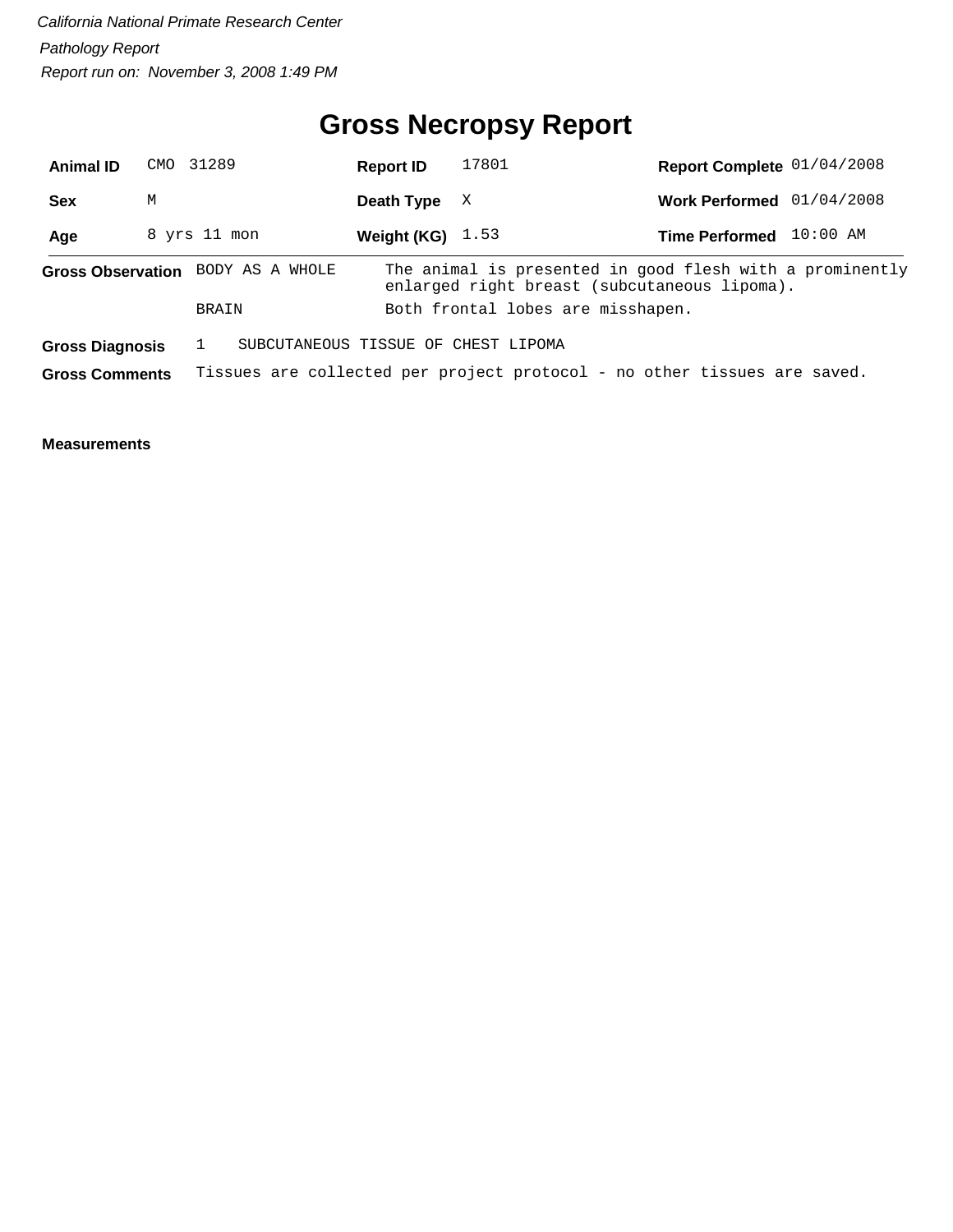# **Gross Necropsy Report**

| <b>Animal ID</b>       |   | CMO 31289                         | <b>Report ID</b>   | 17801                               | Report Complete 01/04/2008                                                                               |          |
|------------------------|---|-----------------------------------|--------------------|-------------------------------------|----------------------------------------------------------------------------------------------------------|----------|
| <b>Sex</b>             | M |                                   | Death Type         | X                                   | Work Performed 01/04/2008                                                                                |          |
| Age                    |   | 8 yrs 11 mon                      | Weight (KG) $1.53$ |                                     | <b>Time Performed</b>                                                                                    | 10:00 AM |
|                        |   | Gross Observation BODY AS A WHOLE |                    |                                     | The animal is presented in good flesh with a prominently<br>enlarged right breast (subcutaneous lipoma). |          |
|                        |   | <b>BRAIN</b>                      |                    | Both frontal lobes are misshapen.   |                                                                                                          |          |
| <b>Gross Diagnosis</b> |   |                                   |                    | SUBCUTANEOUS TISSUE OF CHEST LIPOMA |                                                                                                          |          |
| <b>Gross Comments</b>  |   |                                   |                    |                                     | Tissues are collected per project protocol - no other tissues are saved.                                 |          |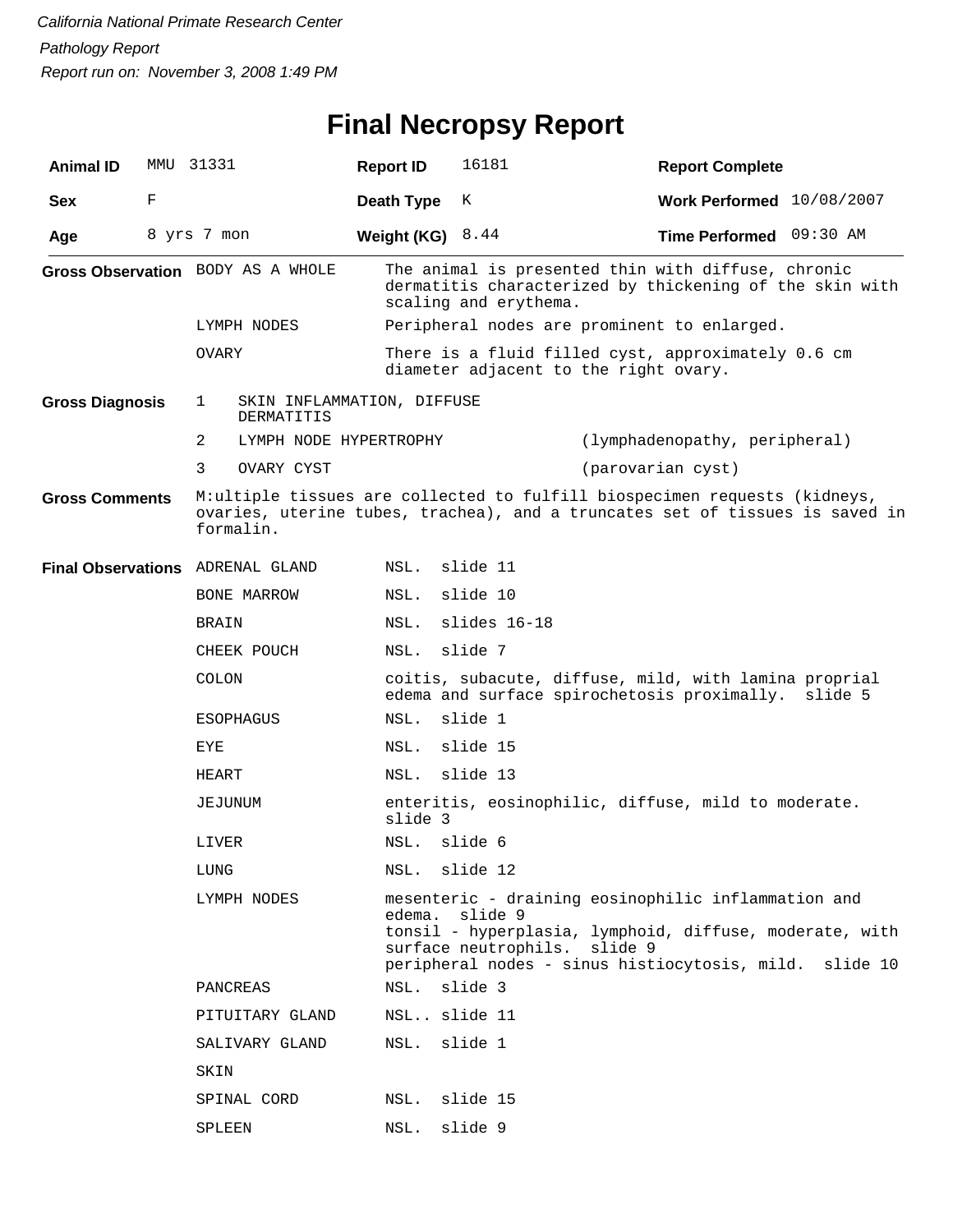# **Final Necropsy Report**

| <b>Animal ID</b>       |   | MMU 31331                                     | <b>Report ID</b>   | 16181                 | <b>Report Complete</b>                                                                                                                                                                 |
|------------------------|---|-----------------------------------------------|--------------------|-----------------------|----------------------------------------------------------------------------------------------------------------------------------------------------------------------------------------|
| <b>Sex</b>             | F |                                               | Death Type         | K                     | Work Performed 10/08/2007                                                                                                                                                              |
| Age                    |   | 8 yrs 7 mon                                   | Weight (KG) $8.44$ |                       | Time Performed 09:30 AM                                                                                                                                                                |
|                        |   | Gross Observation BODY AS A WHOLE             |                    | scaling and erythema. | The animal is presented thin with diffuse, chronic<br>dermatitis characterized by thickening of the skin with                                                                          |
|                        |   | LYMPH NODES                                   |                    |                       | Peripheral nodes are prominent to enlarged.                                                                                                                                            |
|                        |   | OVARY                                         |                    |                       | There is a fluid filled cyst, approximately 0.6 cm<br>diameter adjacent to the right ovary.                                                                                            |
| <b>Gross Diagnosis</b> |   | 1<br>SKIN INFLAMMATION, DIFFUSE<br>DERMATITIS |                    |                       |                                                                                                                                                                                        |
|                        |   | 2<br>LYMPH NODE HYPERTROPHY                   |                    |                       | (lymphadenopathy, peripheral)                                                                                                                                                          |
|                        |   | 3<br>OVARY CYST                               |                    |                       | (parovarian cyst)                                                                                                                                                                      |
| <b>Gross Comments</b>  |   | formalin.                                     |                    |                       | M:ultiple tissues are collected to fulfill biospecimen requests (kidneys,<br>ovaries, uterine tubes, trachea), and a truncates set of tissues is saved in                              |
|                        |   | Final Observations ADRENAL GLAND              | NSL.               | slide 11              |                                                                                                                                                                                        |
|                        |   | BONE MARROW                                   | NSL.               | slide 10              |                                                                                                                                                                                        |
|                        |   | <b>BRAIN</b>                                  | NSL.               | slides 16-18          |                                                                                                                                                                                        |
|                        |   | CHEEK POUCH                                   | NSL.               | slide 7               |                                                                                                                                                                                        |
|                        |   | COLON                                         |                    |                       | coitis, subacute, diffuse, mild, with lamina proprial<br>edema and surface spirochetosis proximally.<br>slide 5                                                                        |
|                        |   | <b>ESOPHAGUS</b>                              | NSL.               | slide 1               |                                                                                                                                                                                        |
|                        |   | EYE                                           | NSL.               | slide 15              |                                                                                                                                                                                        |
|                        |   | HEART                                         | NSL.               | slide 13              |                                                                                                                                                                                        |
|                        |   | JEJUNUM                                       | slide 3            |                       | enteritis, eosinophilic, diffuse, mild to moderate.                                                                                                                                    |
|                        |   | LIVER                                         | NSL.               | slide 6               |                                                                                                                                                                                        |
|                        |   | LUNG                                          | NSL.               | slide 12              |                                                                                                                                                                                        |
|                        |   | LYMPH NODES                                   | edema. slide 9     | surface neutrophils.  | mesenteric - draining eosinophilic inflammation and<br>tonsil - hyperplasia, lymphoid, diffuse, moderate, with<br>slide 9<br>peripheral nodes - sinus histiocytosis, mild.<br>slide 10 |
|                        |   | PANCREAS                                      | NSL.               | slide 3               |                                                                                                                                                                                        |
|                        |   | PITUITARY GLAND                               | NSL slide 11       |                       |                                                                                                                                                                                        |
|                        |   | SALIVARY GLAND                                | NSL.               | slide 1               |                                                                                                                                                                                        |
|                        |   | SKIN                                          |                    |                       |                                                                                                                                                                                        |
|                        |   | SPINAL CORD                                   | NSL.               | slide 15              |                                                                                                                                                                                        |
|                        |   | SPLEEN                                        | NSL.               | slide 9               |                                                                                                                                                                                        |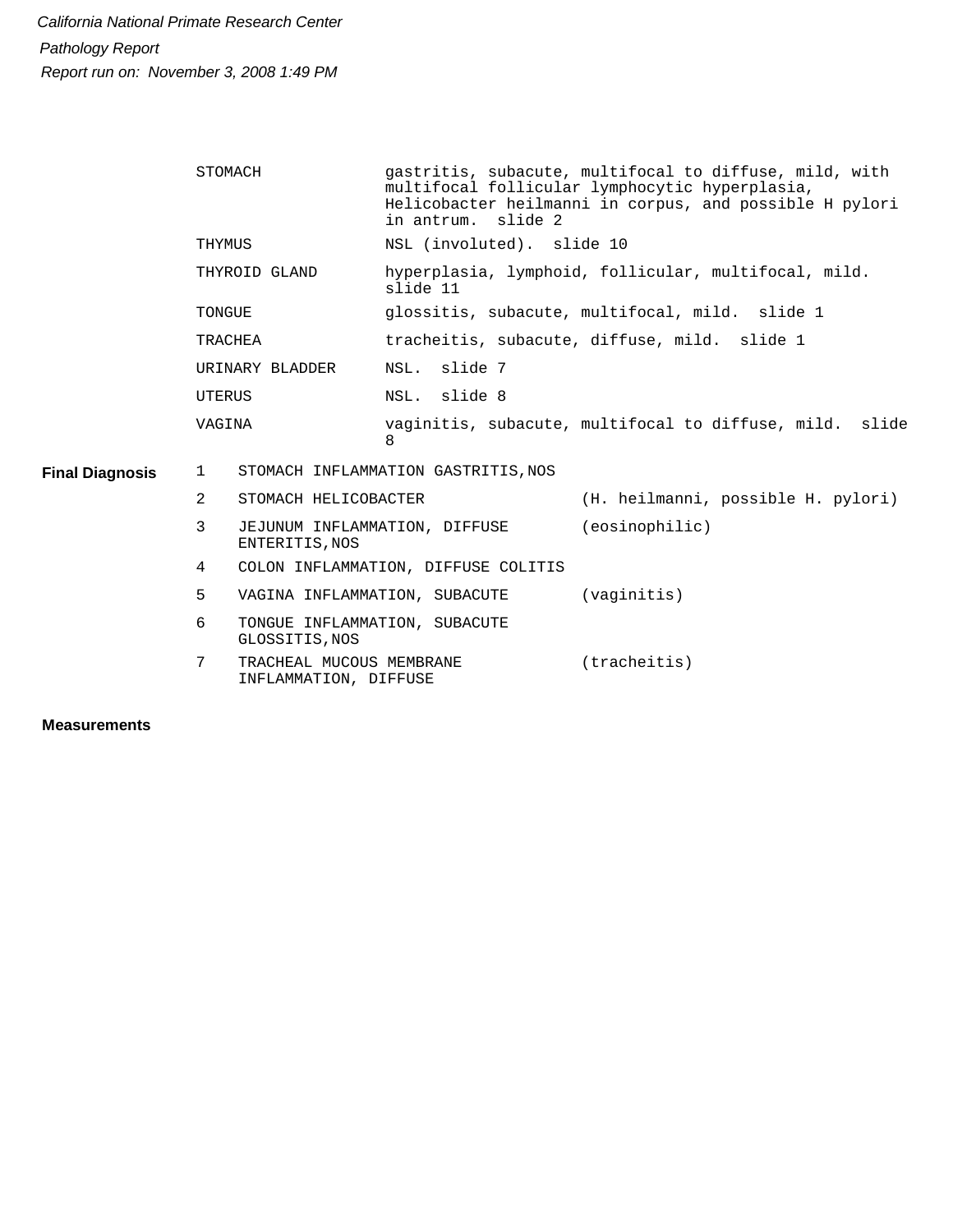|                        | STOMACH                                                | gastritis, subacute, multifocal to diffuse, mild, with<br>multifocal follicular lymphocytic hyperplasia,<br>Helicobacter heilmanni in corpus, and possible H pylori<br>in antrum. slide 2 |  |  |  |
|------------------------|--------------------------------------------------------|-------------------------------------------------------------------------------------------------------------------------------------------------------------------------------------------|--|--|--|
|                        | THYMUS                                                 | NSL (involuted). slide 10                                                                                                                                                                 |  |  |  |
|                        | THYROID GLAND                                          | hyperplasia, lymphoid, follicular, multifocal, mild.<br>slide 11                                                                                                                          |  |  |  |
|                        | TONGUE                                                 | glossitis, subacute, multifocal, mild. slide 1                                                                                                                                            |  |  |  |
|                        | TRACHEA                                                | tracheitis, subacute, diffuse, mild. slide 1                                                                                                                                              |  |  |  |
|                        | URINARY BLADDER                                        | NSL. slide 7                                                                                                                                                                              |  |  |  |
|                        | UTERUS                                                 | NSL. slide 8                                                                                                                                                                              |  |  |  |
|                        | VAGINA                                                 | vaginitis, subacute, multifocal to diffuse, mild. slide<br>8                                                                                                                              |  |  |  |
| <b>Final Diagnosis</b> | $\mathbf{1}$                                           | STOMACH INFLAMMATION GASTRITIS, NOS                                                                                                                                                       |  |  |  |
|                        | $\overline{2}$<br>STOMACH HELICOBACTER                 | (H. heilmanni, possible H. pylori)                                                                                                                                                        |  |  |  |
|                        | 3<br>ENTERITIS, NOS                                    | (eosinophilic)<br>JEJUNUM INFLAMMATION, DIFFUSE                                                                                                                                           |  |  |  |
|                        | 4                                                      | COLON INFLAMMATION, DIFFUSE COLITIS                                                                                                                                                       |  |  |  |
|                        | 5                                                      | (vaginitis)<br>VAGINA INFLAMMATION, SUBACUTE                                                                                                                                              |  |  |  |
|                        | 6<br>GLOSSITIS, NOS                                    | TONGUE INFLAMMATION, SUBACUTE                                                                                                                                                             |  |  |  |
|                        | 7<br>TRACHEAL MUCOUS MEMBRANE<br>INFLAMMATION, DIFFUSE | (tracheitis)                                                                                                                                                                              |  |  |  |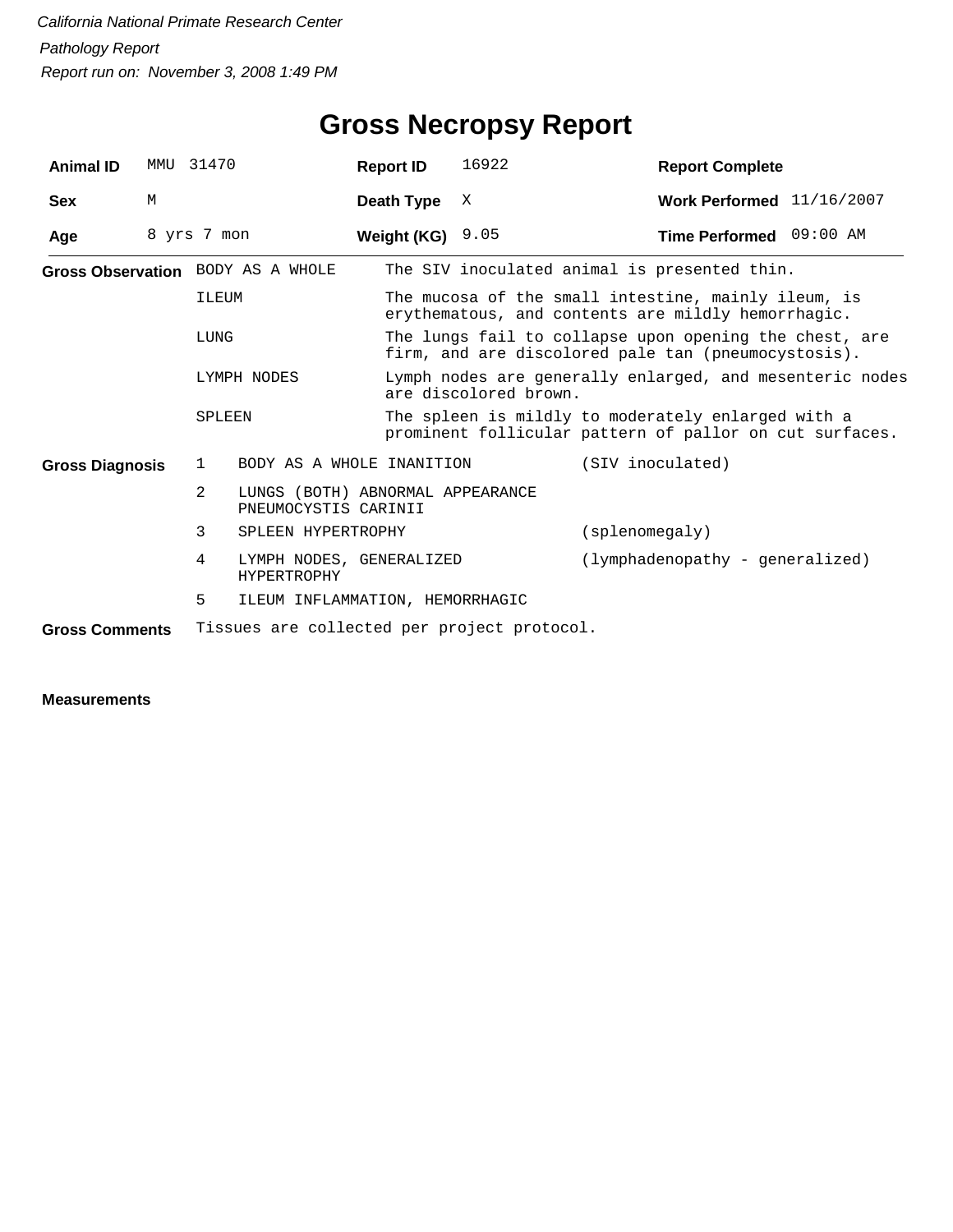| <b>Animal ID</b>       | MMU | 31470          |                                                          | <b>Report ID</b> | 16922                 | <b>Report Complete</b>                                                                                        |  |
|------------------------|-----|----------------|----------------------------------------------------------|------------------|-----------------------|---------------------------------------------------------------------------------------------------------------|--|
| <b>Sex</b>             | M   |                |                                                          | Death Type       | Χ                     | Work Performed 11/16/2007                                                                                     |  |
| Age                    |     | 8 yrs 7 mon    |                                                          | Weight (KG)      | 9.05                  | Time Performed 09:00 AM                                                                                       |  |
|                        |     |                | Gross Observation BODY AS A WHOLE                        |                  |                       | The SIV inoculated animal is presented thin.                                                                  |  |
|                        |     | ILEUM          |                                                          |                  |                       | The mucosa of the small intestine, mainly ileum, is<br>erythematous, and contents are mildly hemorrhagic.     |  |
|                        |     | LUNG           |                                                          |                  |                       | The lungs fail to collapse upon opening the chest, are<br>firm, and are discolored pale tan (pneumocystosis). |  |
|                        |     |                | LYMPH NODES                                              |                  | are discolored brown. | Lymph nodes are generally enlarged, and mesenteric nodes                                                      |  |
|                        |     | SPLEEN         |                                                          |                  |                       | The spleen is mildly to moderately enlarged with a<br>prominent follicular pattern of pallor on cut surfaces. |  |
| <b>Gross Diagnosis</b> |     | $\mathbf{1}$   | BODY AS A WHOLE INANITION                                |                  |                       | (SIV inoculated)                                                                                              |  |
|                        |     | $\overline{2}$ | LUNGS (BOTH) ABNORMAL APPEARANCE<br>PNEUMOCYSTIS CARINII |                  |                       |                                                                                                               |  |
|                        |     | 3              | SPLEEN HYPERTROPHY                                       |                  |                       | (splenomegaly)                                                                                                |  |
|                        |     | 4              | LYMPH NODES, GENERALIZED<br>HYPERTROPHY                  |                  |                       | $(1ymphadenopathy - generalized)$                                                                             |  |
|                        |     | 5              | ILEUM INFLAMMATION, HEMORRHAGIC                          |                  |                       |                                                                                                               |  |
| <b>Gross Comments</b>  |     |                | Tissues are collected per project protocol.              |                  |                       |                                                                                                               |  |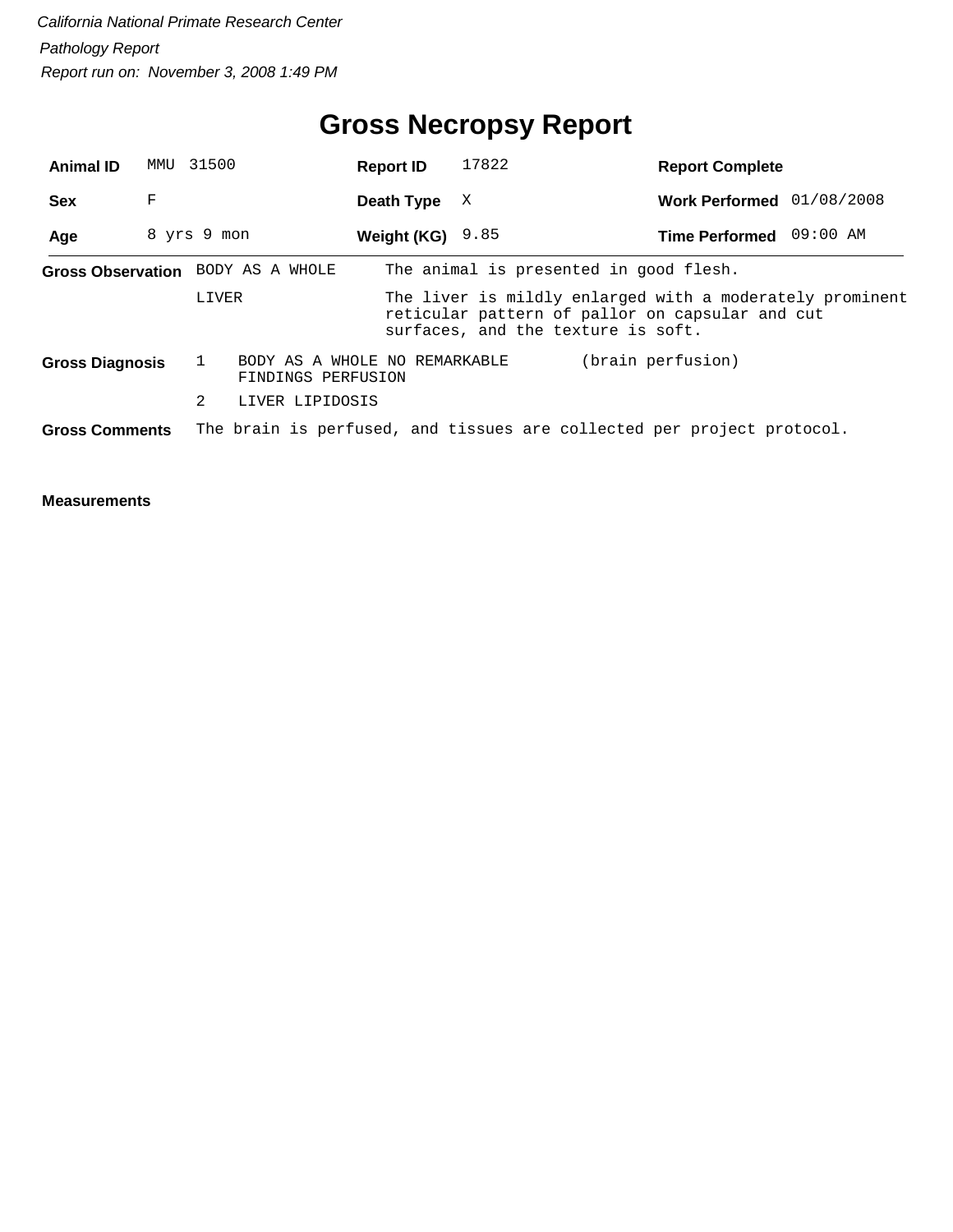# **Gross Necropsy Report**

| <b>Animal ID</b>      |   | MMU 31500                                           | <b>Report ID</b> | 17822                                                                                                                                             | <b>Report Complete</b>    |  |
|-----------------------|---|-----------------------------------------------------|------------------|---------------------------------------------------------------------------------------------------------------------------------------------------|---------------------------|--|
| <b>Sex</b>            | F |                                                     | Death Type       | X                                                                                                                                                 | Work Performed 01/08/2008 |  |
| Age                   |   | 8 yrs 9 mon                                         | Weight (KG)      | 9.85                                                                                                                                              | Time Performed 09:00 AM   |  |
|                       |   | Gross Observation BODY AS A WHOLE                   |                  | The animal is presented in good flesh.                                                                                                            |                           |  |
|                       |   | LIVER                                               |                  | The liver is mildly enlarged with a moderately prominent<br>reticular pattern of pallor on capsular and cut<br>surfaces, and the texture is soft. |                           |  |
| Gross Diagnosis       |   | BODY AS A WHOLE NO REMARKABLE<br>FINDINGS PERFUSION |                  |                                                                                                                                                   | (brain perfusion)         |  |
|                       |   | 2<br>LIVER LIPIDOSIS                                |                  |                                                                                                                                                   |                           |  |
| <b>Gross Comments</b> |   |                                                     |                  | The brain is perfused, and tissues are collected per project protocol.                                                                            |                           |  |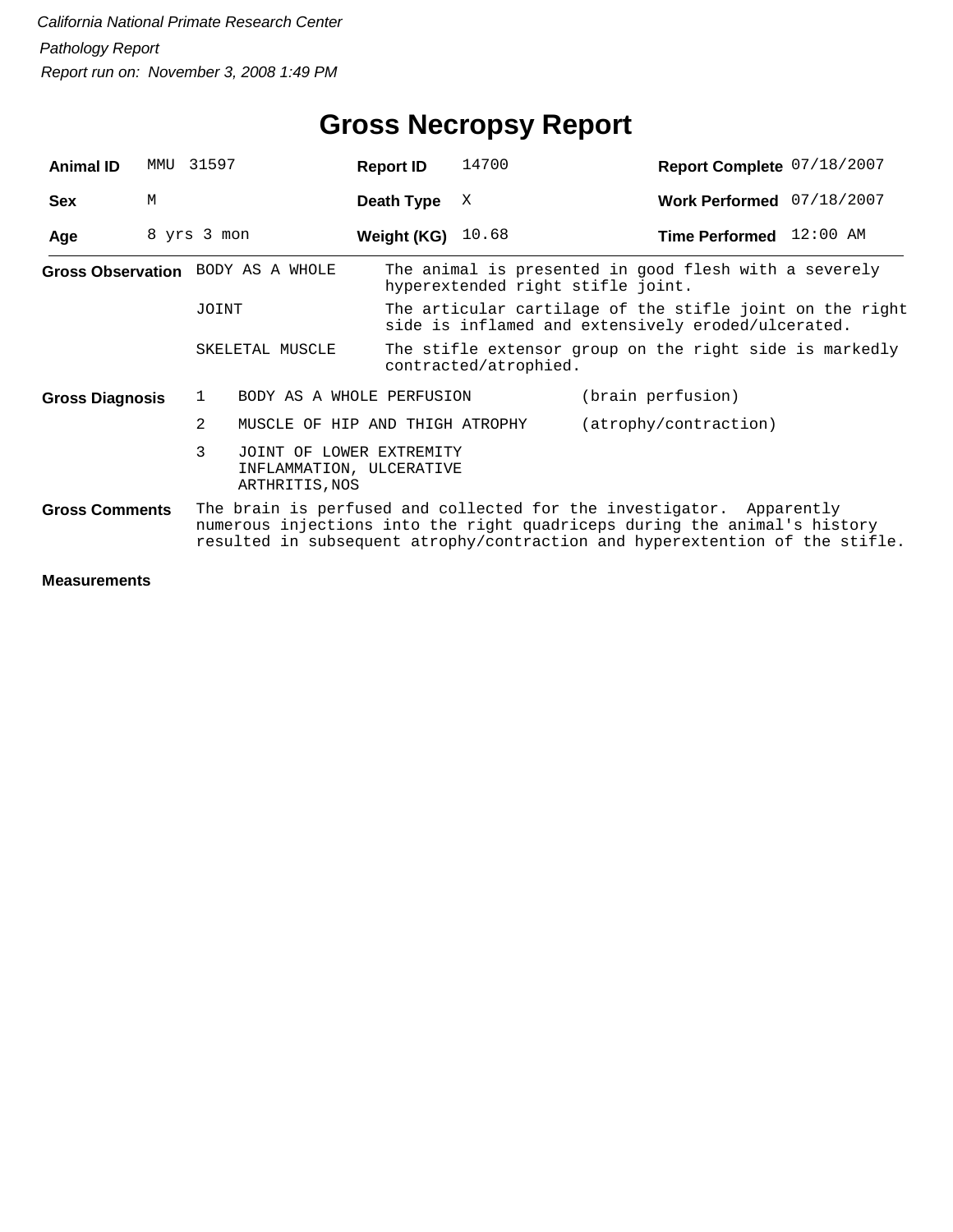| <b>Animal ID</b>                                                                                                                                                                                                                                           | MMU | 31597       |                                                                        | <b>Report ID</b>   | 14700                             | Report Complete 07/18/2007                                                                                     |  |
|------------------------------------------------------------------------------------------------------------------------------------------------------------------------------------------------------------------------------------------------------------|-----|-------------|------------------------------------------------------------------------|--------------------|-----------------------------------|----------------------------------------------------------------------------------------------------------------|--|
| <b>Sex</b>                                                                                                                                                                                                                                                 | M   |             |                                                                        | Death Type         | х                                 | Work Performed 07/18/2007                                                                                      |  |
| Age                                                                                                                                                                                                                                                        |     | 8 yrs 3 mon |                                                                        | <b>Weight (KG)</b> | 10.68                             | Time Performed 12:00 AM                                                                                        |  |
|                                                                                                                                                                                                                                                            |     |             | Gross Observation BODY AS A WHOLE                                      |                    | hyperextended right stifle joint. | The animal is presented in good flesh with a severely                                                          |  |
|                                                                                                                                                                                                                                                            |     | JOINT       |                                                                        |                    |                                   | The articular cartilage of the stifle joint on the right<br>side is inflamed and extensively eroded/ulcerated. |  |
|                                                                                                                                                                                                                                                            |     |             | SKELETAL MUSCLE                                                        |                    | contracted/atrophied.             | The stifle extensor group on the right side is markedly                                                        |  |
| <b>Gross Diagnosis</b>                                                                                                                                                                                                                                     |     | 1           | BODY AS A WHOLE PERFUSION                                              |                    |                                   | (brain perfusion)                                                                                              |  |
|                                                                                                                                                                                                                                                            |     | 2           | MUSCLE OF HIP AND THIGH ATROPHY                                        |                    |                                   | (atrophy/contraction)                                                                                          |  |
|                                                                                                                                                                                                                                                            |     | 3           | JOINT OF LOWER EXTREMITY<br>INFLAMMATION, ULCERATIVE<br>ARTHRITIS, NOS |                    |                                   |                                                                                                                |  |
| The brain is perfused and collected for the investigator. Apparently<br><b>Gross Comments</b><br>numerous injections into the right quadriceps during the animal's history<br>resulted in subsequent atrophy/contraction and hyperextention of the stifle. |     |             |                                                                        |                    |                                   |                                                                                                                |  |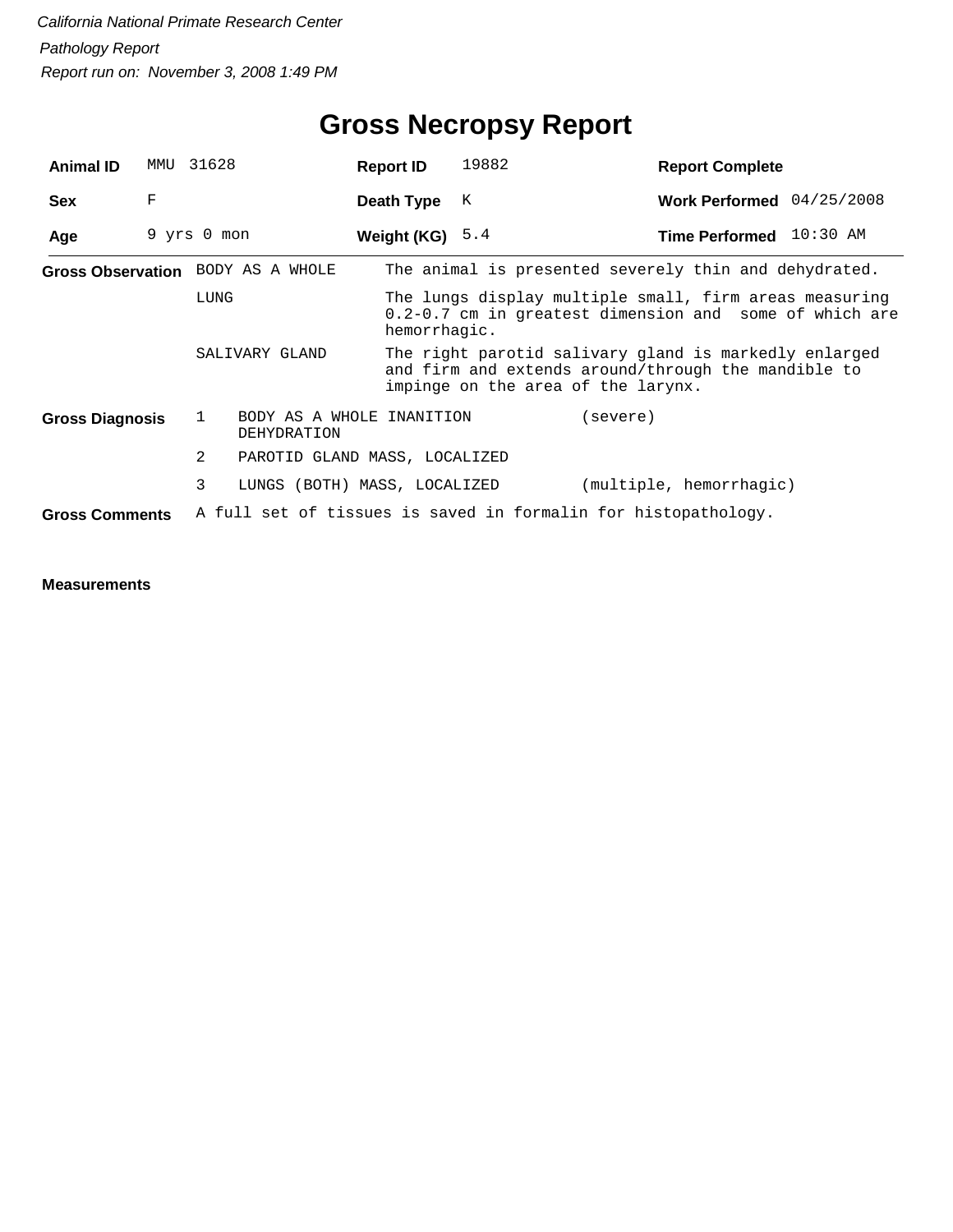| <b>Animal ID</b>       | MMU | 31628                                           | <b>Report ID</b>  | 19882                              | <b>Report Complete</b>                                                                                           |  |
|------------------------|-----|-------------------------------------------------|-------------------|------------------------------------|------------------------------------------------------------------------------------------------------------------|--|
| <b>Sex</b>             | F   |                                                 | Death Type        | К                                  | Work Performed 04/25/2008                                                                                        |  |
| Age                    |     | 9 yrs 0 mon                                     | Weight (KG) $5.4$ |                                    | Time Performed 10:30 AM                                                                                          |  |
|                        |     | Gross Observation BODY AS A WHOLE               |                   |                                    | The animal is presented severely thin and dehydrated.                                                            |  |
|                        |     | LUNG                                            | hemorrhagic.      |                                    | The lungs display multiple small, firm areas measuring<br>0.2-0.7 cm in greatest dimension and some of which are |  |
|                        |     | SALIVARY GLAND                                  |                   | impinge on the area of the larynx. | The right parotid salivary gland is markedly enlarged<br>and firm and extends around/through the mandible to     |  |
| <b>Gross Diagnosis</b> |     | BODY AS A WHOLE INANITION<br>1<br>DEHYDRATION   |                   |                                    | (severe)                                                                                                         |  |
|                        |     | $\overline{2}$<br>PAROTID GLAND MASS, LOCALIZED |                   |                                    |                                                                                                                  |  |
|                        |     | 3<br>LUNGS (BOTH) MASS, LOCALIZED               |                   |                                    | (multiple, hemorrhagic)                                                                                          |  |
| <b>Gross Comments</b>  |     |                                                 |                   |                                    | A full set of tissues is saved in formalin for histopathology.                                                   |  |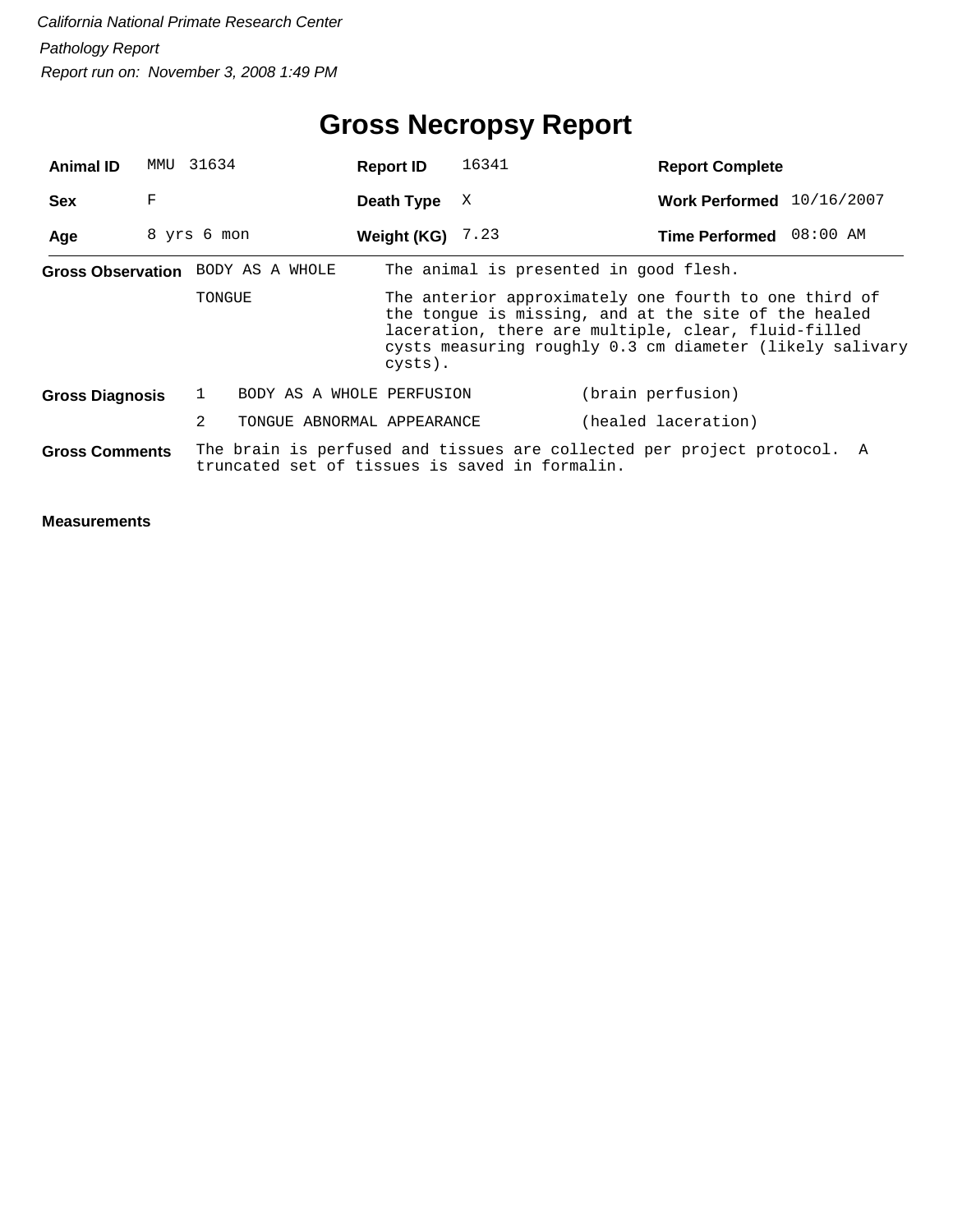| <b>Animal ID</b>       | MMU 31634   |        |                                                | <b>Report ID</b>   |         | 16341                                  | <b>Report Complete</b>                                                                                                                                                                                                           |  |
|------------------------|-------------|--------|------------------------------------------------|--------------------|---------|----------------------------------------|----------------------------------------------------------------------------------------------------------------------------------------------------------------------------------------------------------------------------------|--|
| <b>Sex</b>             | F           |        |                                                | Death Type         |         | X                                      | Work Performed 10/16/2007                                                                                                                                                                                                        |  |
| Age                    | 8 yrs 6 mon |        |                                                | Weight (KG) $7.23$ |         |                                        | Time Performed 08:00 AM                                                                                                                                                                                                          |  |
|                        |             |        | Gross Observation BODY AS A WHOLE              |                    |         | The animal is presented in good flesh. |                                                                                                                                                                                                                                  |  |
|                        |             | TONGUE |                                                |                    | cysts). |                                        | The anterior approximately one fourth to one third of<br>the tongue is missing, and at the site of the healed<br>laceration, there are multiple, clear, fluid-filled<br>cysts measuring roughly 0.3 cm diameter (likely salivary |  |
| <b>Gross Diagnosis</b> |             | 1      | BODY AS A WHOLE PERFUSION                      |                    |         |                                        | (brain perfusion)                                                                                                                                                                                                                |  |
|                        |             | 2      | TONGUE ABNORMAL APPEARANCE                     |                    |         |                                        | (healed laceration)                                                                                                                                                                                                              |  |
| <b>Gross Comments</b>  |             |        | truncated set of tissues is saved in formalin. |                    |         |                                        | The brain is perfused and tissues are collected per project protocol. A                                                                                                                                                          |  |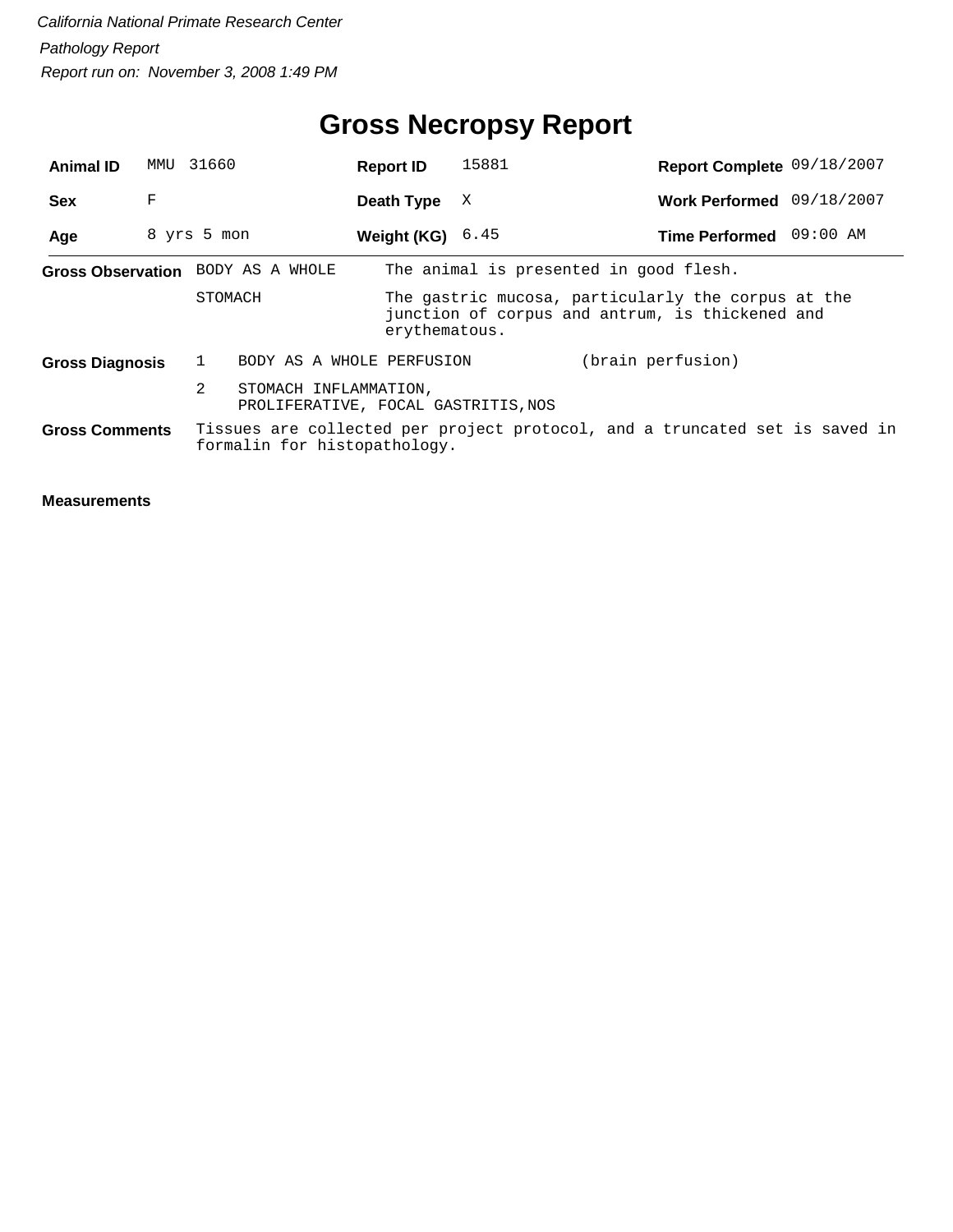# **Gross Necropsy Report**

| <b>Animal ID</b>       | MMU | 31660                             | <b>Report ID</b>                                             | 15881                                                                                                 | Report Complete 09/18/2007 |  |
|------------------------|-----|-----------------------------------|--------------------------------------------------------------|-------------------------------------------------------------------------------------------------------|----------------------------|--|
| <b>Sex</b>             | F   |                                   | Death Type                                                   | X                                                                                                     | Work Performed 09/18/2007  |  |
| Age                    |     | 8 yrs 5 mon                       | Weight (KG)                                                  | 6.45                                                                                                  | Time Performed 09:00 AM    |  |
|                        |     | Gross Observation BODY AS A WHOLE |                                                              | The animal is presented in good flesh.                                                                |                            |  |
|                        |     | STOMACH                           | erythematous.                                                | The gastric mucosa, particularly the corpus at the<br>junction of corpus and antrum, is thickened and |                            |  |
| <b>Gross Diagnosis</b> |     |                                   | BODY AS A WHOLE PERFUSION                                    |                                                                                                       | (brain perfusion)          |  |
|                        |     | 2                                 | STOMACH INFLAMMATION,<br>PROLIFERATIVE, FOCAL GASTRITIS, NOS |                                                                                                       |                            |  |
| <b>Gross Comments</b>  |     | formalin for histopathology.      |                                                              | Tissues are collected per project protocol, and a truncated set is saved in                           |                            |  |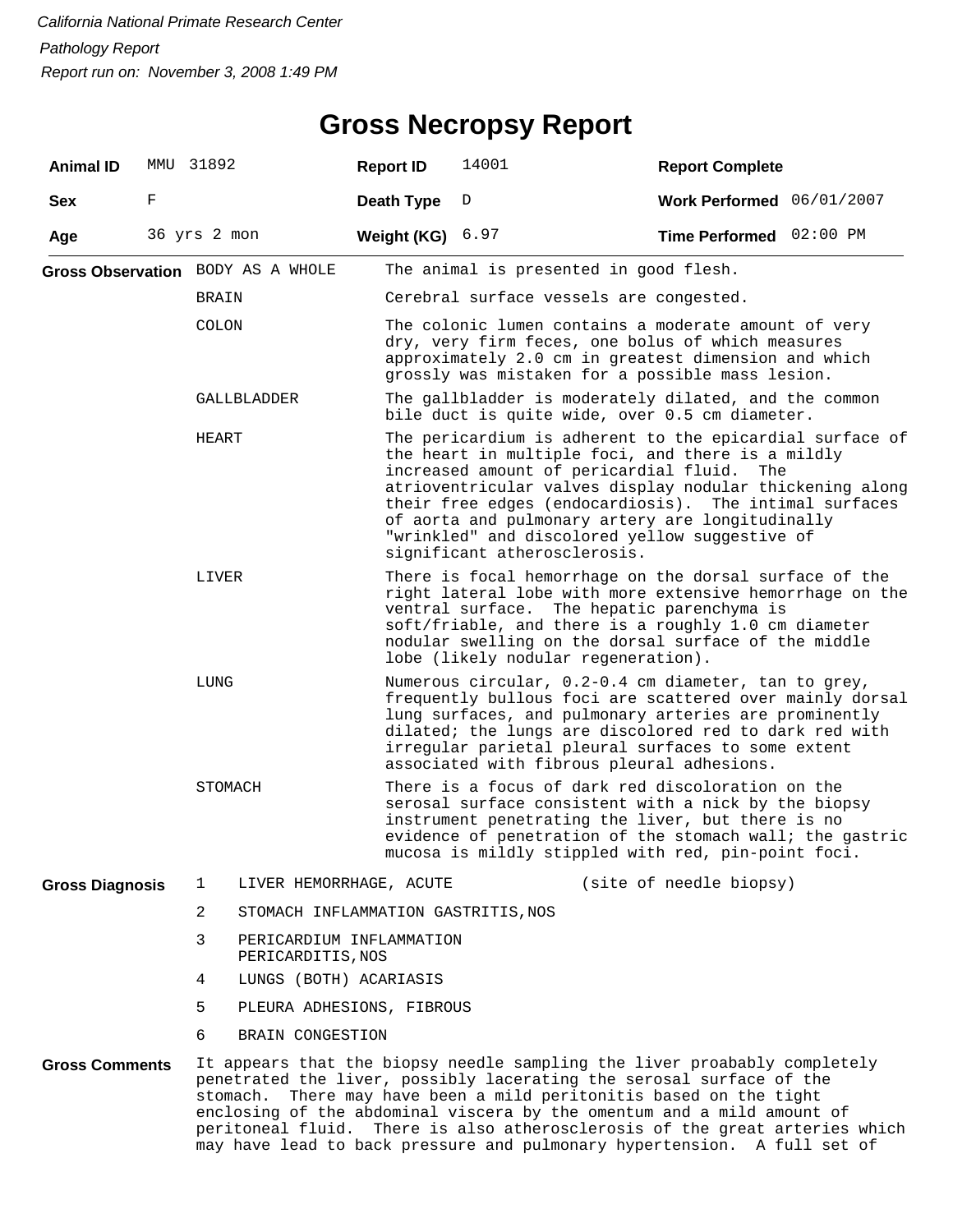#### **Gross Necropsy Report**

| <b>Animal ID</b>       |             | MMU 31892      |                                               | <b>Report ID</b> | 14001                                                                                                                                                                                                                                                                                                                                                                                                                                               | <b>Report Complete</b>    |  |  |  |  |  |  |
|------------------------|-------------|----------------|-----------------------------------------------|------------------|-----------------------------------------------------------------------------------------------------------------------------------------------------------------------------------------------------------------------------------------------------------------------------------------------------------------------------------------------------------------------------------------------------------------------------------------------------|---------------------------|--|--|--|--|--|--|
| <b>Sex</b>             | F           |                |                                               | Death Type       | D                                                                                                                                                                                                                                                                                                                                                                                                                                                   | Work Performed 06/01/2007 |  |  |  |  |  |  |
| Age                    |             | 36 yrs 2 mon   |                                               | Weight (KG)      | 6.97                                                                                                                                                                                                                                                                                                                                                                                                                                                | Time Performed 02:00 PM   |  |  |  |  |  |  |
|                        |             |                | Gross Observation BODY AS A WHOLE             |                  | The animal is presented in good flesh.                                                                                                                                                                                                                                                                                                                                                                                                              |                           |  |  |  |  |  |  |
|                        |             | BRAIN          |                                               |                  | Cerebral surface vessels are congested.                                                                                                                                                                                                                                                                                                                                                                                                             |                           |  |  |  |  |  |  |
|                        |             | <b>COLON</b>   |                                               |                  | The colonic lumen contains a moderate amount of very<br>dry, very firm feces, one bolus of which measures<br>approximately 2.0 cm in greatest dimension and which<br>grossly was mistaken for a possible mass lesion.                                                                                                                                                                                                                               |                           |  |  |  |  |  |  |
|                        | GALLBLADDER |                |                                               |                  | The gallbladder is moderately dilated, and the common<br>bile duct is quite wide, over 0.5 cm diameter.                                                                                                                                                                                                                                                                                                                                             |                           |  |  |  |  |  |  |
| HEART                  |             |                |                                               |                  | The pericardium is adherent to the epicardial surface of<br>the heart in multiple foci, and there is a mildly<br>increased amount of pericardial fluid.<br>atrioventricular valves display nodular thickening along<br>their free edges (endocardiosis). The intimal surfaces<br>of aorta and pulmonary artery are longitudinally<br>"wrinkled" and discolored yellow suggestive of<br>significant atherosclerosis.                                 | The                       |  |  |  |  |  |  |
|                        |             | LIVER          |                                               |                  | There is focal hemorrhage on the dorsal surface of the<br>right lateral lobe with more extensive hemorrhage on the<br>ventral surface. The hepatic parenchyma is<br>soft/friable, and there is a roughly 1.0 cm diameter<br>nodular swelling on the dorsal surface of the middle<br>lobe (likely nodular regeneration).                                                                                                                             |                           |  |  |  |  |  |  |
|                        |             | LUNG           |                                               |                  | Numerous circular, 0.2-0.4 cm diameter, tan to grey,<br>frequently bullous foci are scattered over mainly dorsal<br>lung surfaces, and pulmonary arteries are prominently<br>dilated; the lungs are discolored red to dark red with<br>irregular parietal pleural surfaces to some extent<br>associated with fibrous pleural adhesions.                                                                                                             |                           |  |  |  |  |  |  |
|                        |             | STOMACH        |                                               |                  | There is a focus of dark red discoloration on the<br>serosal surface consistent with a nick by the biopsy<br>instrument penetrating the liver, but there is no<br>evidence of penetration of the stomach wall; the gastric<br>mucosa is mildly stippled with red, pin-point foci.                                                                                                                                                                   |                           |  |  |  |  |  |  |
| <b>Gross Diagnosis</b> |             | $\mathbf{1}$   | LIVER HEMORRHAGE, ACUTE                       |                  |                                                                                                                                                                                                                                                                                                                                                                                                                                                     | (site of needle biopsy)   |  |  |  |  |  |  |
|                        |             | $\overline{2}$ | STOMACH INFLAMMATION GASTRITIS, NOS           |                  |                                                                                                                                                                                                                                                                                                                                                                                                                                                     |                           |  |  |  |  |  |  |
|                        |             | 3              | PERICARDIUM INFLAMMATION<br>PERICARDITIS, NOS |                  |                                                                                                                                                                                                                                                                                                                                                                                                                                                     |                           |  |  |  |  |  |  |
|                        |             | 4              | LUNGS (BOTH) ACARIASIS                        |                  |                                                                                                                                                                                                                                                                                                                                                                                                                                                     |                           |  |  |  |  |  |  |
|                        |             | 5              | PLEURA ADHESIONS, FIBROUS                     |                  |                                                                                                                                                                                                                                                                                                                                                                                                                                                     |                           |  |  |  |  |  |  |
|                        |             | 6              | BRAIN CONGESTION                              |                  |                                                                                                                                                                                                                                                                                                                                                                                                                                                     |                           |  |  |  |  |  |  |
| <b>Gross Comments</b>  |             |                | stomach.                                      |                  | It appears that the biopsy needle sampling the liver proabably completely<br>penetrated the liver, possibly lacerating the serosal surface of the<br>There may have been a mild peritonitis based on the tight<br>enclosing of the abdominal viscera by the omentum and a mild amount of<br>peritoneal fluid. There is also atherosclerosis of the great arteries which<br>may have lead to back pressure and pulmonary hypertension. A full set of |                           |  |  |  |  |  |  |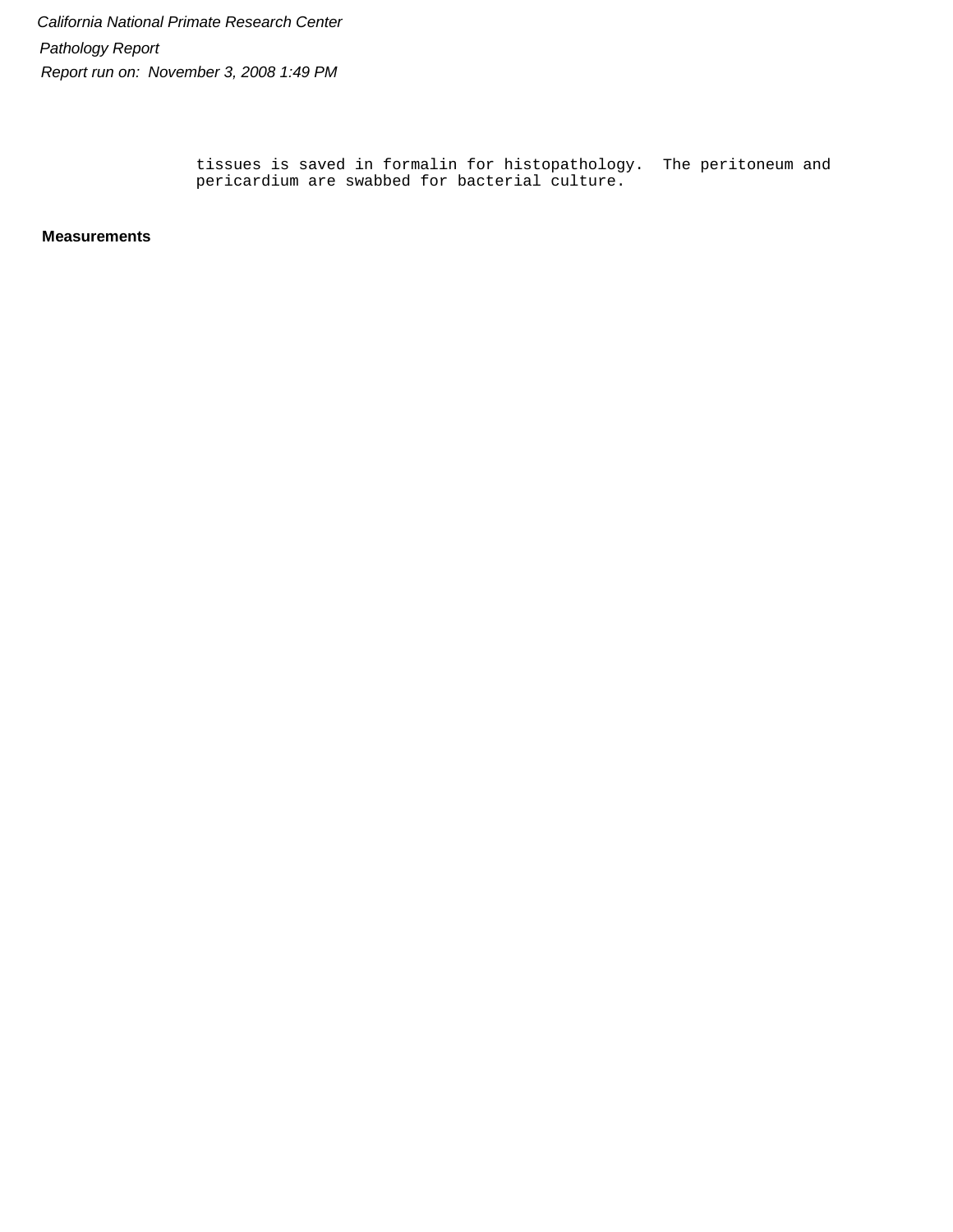> tissues is saved in formalin for histopathology. The peritoneum and pericardium are swabbed for bacterial culture.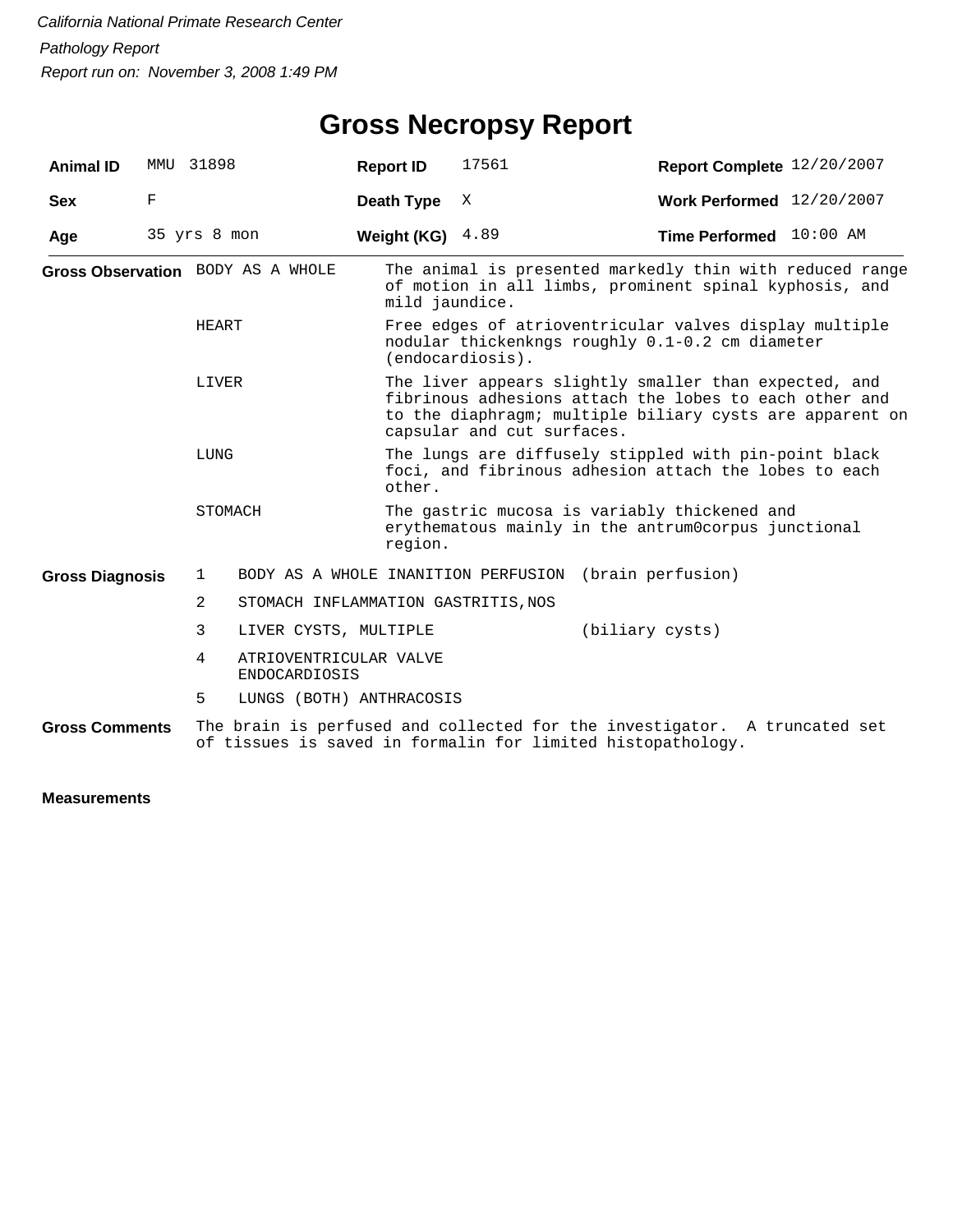#### **Gross Necropsy Report**

| <b>Animal ID</b>       |   | MMU 31898                                           | <b>Report ID</b>                    | 17561                                                                                                                                                                                                     | Report Complete 12/20/2007                                                                                                               |  |  |  |  |  |
|------------------------|---|-----------------------------------------------------|-------------------------------------|-----------------------------------------------------------------------------------------------------------------------------------------------------------------------------------------------------------|------------------------------------------------------------------------------------------------------------------------------------------|--|--|--|--|--|
| <b>Sex</b>             | F |                                                     | Death Type                          | Χ                                                                                                                                                                                                         | <b>Work Performed</b> 12/20/2007                                                                                                         |  |  |  |  |  |
| Age                    |   | 35 yrs 8 mon                                        | Weight (KG)                         | 4.89                                                                                                                                                                                                      | Time Performed 10:00 AM                                                                                                                  |  |  |  |  |  |
|                        |   | Gross Observation BODY AS A WHOLE                   | mild jaundice.                      |                                                                                                                                                                                                           | The animal is presented markedly thin with reduced range<br>of motion in all limbs, prominent spinal kyphosis, and                       |  |  |  |  |  |
|                        |   | HEART                                               |                                     | Free edges of atrioventricular valves display multiple<br>nodular thickenkngs roughly 0.1-0.2 cm diameter<br>(endocardiosis).                                                                             |                                                                                                                                          |  |  |  |  |  |
|                        |   | LIVER                                               |                                     | The liver appears slightly smaller than expected, and<br>fibrinous adhesions attach the lobes to each other and<br>to the diaphragm; multiple biliary cysts are apparent on<br>capsular and cut surfaces. |                                                                                                                                          |  |  |  |  |  |
|                        |   | LUNG                                                | other.                              | The lungs are diffusely stippled with pin-point black<br>foci, and fibrinous adhesion attach the lobes to each                                                                                            |                                                                                                                                          |  |  |  |  |  |
|                        |   | STOMACH                                             | region.                             |                                                                                                                                                                                                           | The gastric mucosa is variably thickened and<br>erythematous mainly in the antrum0corpus junctional                                      |  |  |  |  |  |
| <b>Gross Diagnosis</b> |   | $\mathbf{1}$                                        | BODY AS A WHOLE INANITION PERFUSION |                                                                                                                                                                                                           | (brain perfusion)                                                                                                                        |  |  |  |  |  |
|                        |   | 2                                                   | STOMACH INFLAMMATION GASTRITIS, NOS |                                                                                                                                                                                                           |                                                                                                                                          |  |  |  |  |  |
|                        |   | 3<br>LIVER CYSTS, MULTIPLE                          |                                     |                                                                                                                                                                                                           | (biliary cysts)                                                                                                                          |  |  |  |  |  |
|                        |   | 4<br>ATRIOVENTRICULAR VALVE<br><b>ENDOCARDIOSIS</b> |                                     |                                                                                                                                                                                                           |                                                                                                                                          |  |  |  |  |  |
|                        |   | 5                                                   | LUNGS (BOTH) ANTHRACOSIS            |                                                                                                                                                                                                           |                                                                                                                                          |  |  |  |  |  |
| <b>Gross Comments</b>  |   |                                                     |                                     |                                                                                                                                                                                                           | The brain is perfused and collected for the investigator. A truncated set<br>of tissues is saved in formalin for limited histopathology. |  |  |  |  |  |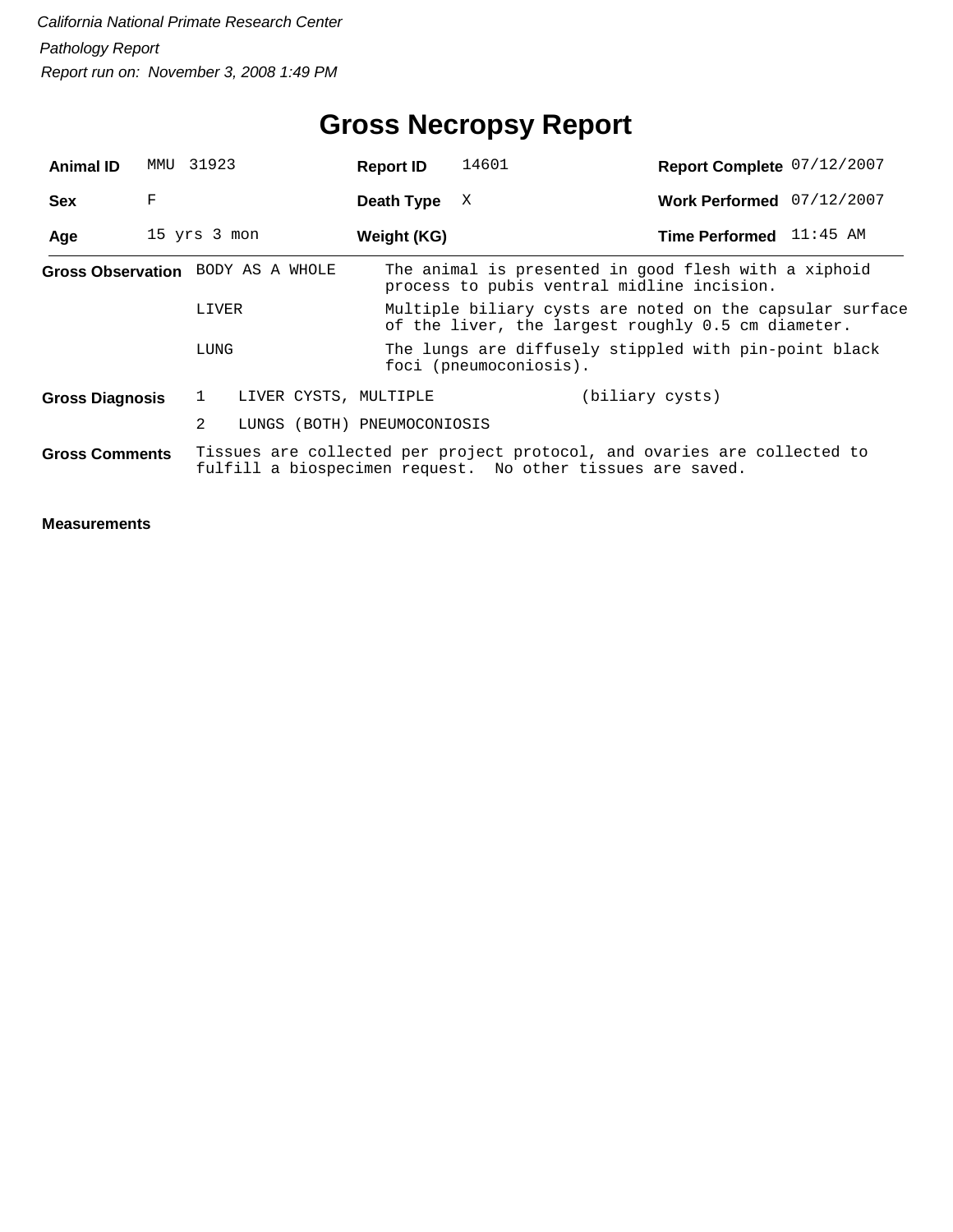# **Gross Necropsy Report**

| <b>Animal ID</b>                  | MMU | 31923        |  | <b>Report ID</b>                                                                                               | 14601                  |  |                                                                                                                                        |  | Report Complete 07/12/2007 |
|-----------------------------------|-----|--------------|--|----------------------------------------------------------------------------------------------------------------|------------------------|--|----------------------------------------------------------------------------------------------------------------------------------------|--|----------------------------|
| <b>Sex</b>                        | F   |              |  | Death Type                                                                                                     | X                      |  |                                                                                                                                        |  | Work Performed 07/12/2007  |
| Age                               |     | 15 yrs 3 mon |  | Weight (KG)                                                                                                    |                        |  | Time Performed 11:45 AM                                                                                                                |  |                            |
| Gross Observation BODY AS A WHOLE |     |              |  |                                                                                                                |                        |  | The animal is presented in good flesh with a xiphoid<br>process to pubis ventral midline incision.                                     |  |                            |
|                                   |     | LIVER        |  | Multiple biliary cysts are noted on the capsular surface<br>of the liver, the largest roughly 0.5 cm diameter. |                        |  |                                                                                                                                        |  |                            |
|                                   |     | LUNG         |  |                                                                                                                | foci (pneumoconiosis). |  | The lungs are diffusely stippled with pin-point black                                                                                  |  |                            |
| <b>Gross Diagnosis</b>            |     | 1            |  | LIVER CYSTS, MULTIPLE                                                                                          |                        |  | (biliary cysts)                                                                                                                        |  |                            |
|                                   |     | 2            |  | LUNGS (BOTH) PNEUMOCONIOSIS                                                                                    |                        |  |                                                                                                                                        |  |                            |
| <b>Gross Comments</b>             |     |              |  |                                                                                                                |                        |  | Tissues are collected per project protocol, and ovaries are collected to<br>fulfill a biospecimen request. No other tissues are saved. |  |                            |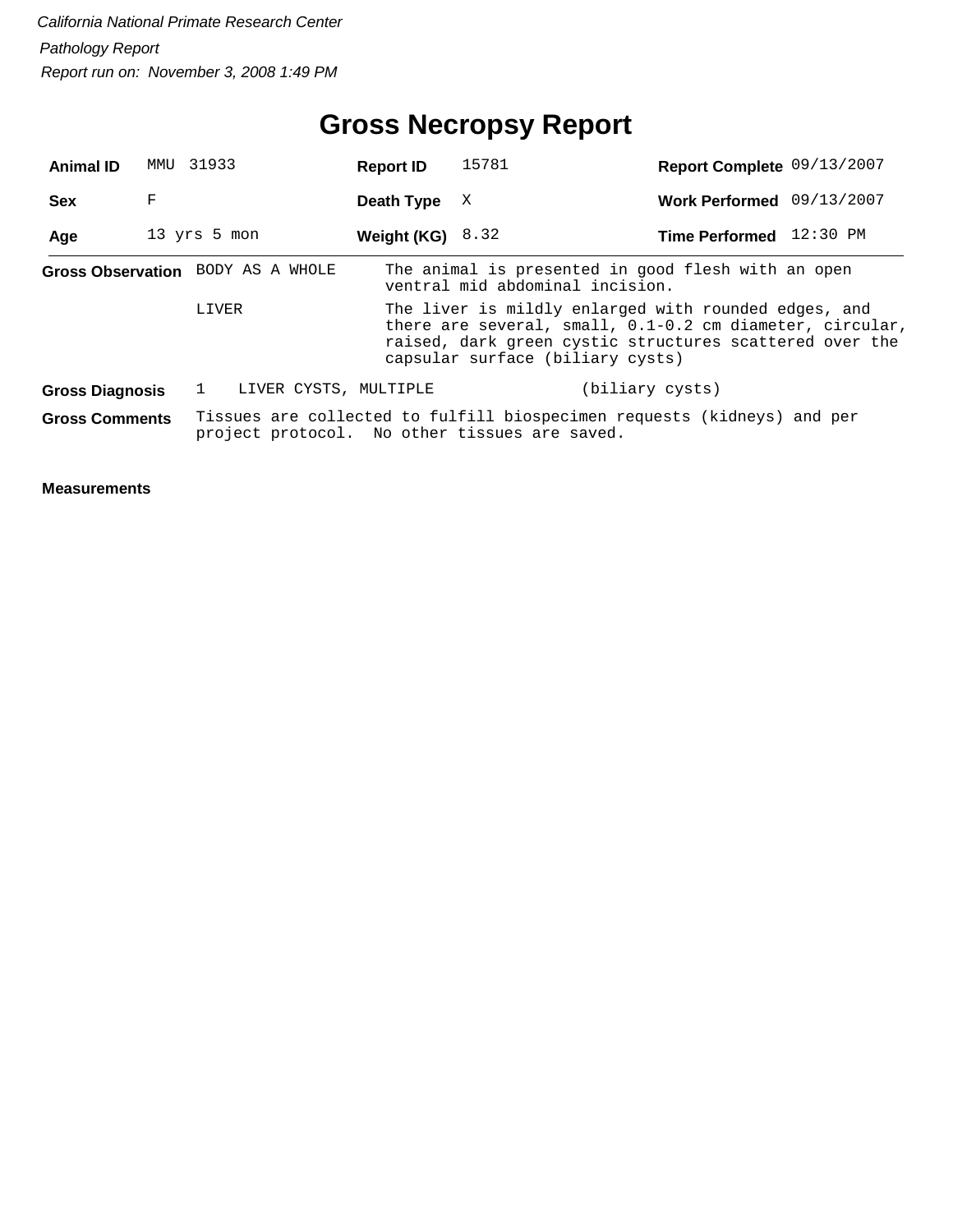# **Gross Necropsy Report**

| <b>Animal ID</b>                  | MMU 31933    |       |                       | <b>Report ID</b> | 15781 |                                                                                                                          |                         | Report Complete 09/13/2007                                                                                          |
|-----------------------------------|--------------|-------|-----------------------|------------------|-------|--------------------------------------------------------------------------------------------------------------------------|-------------------------|---------------------------------------------------------------------------------------------------------------------|
| <b>Sex</b>                        | F            |       |                       | Death Type       | X     |                                                                                                                          |                         | Work Performed 09/13/2007                                                                                           |
| Age                               | 13 yrs 5 mon |       |                       | Weight (KG)      | 8.32  |                                                                                                                          | Time Performed 12:30 PM |                                                                                                                     |
| Gross Observation BODY AS A WHOLE |              |       |                       |                  |       | The animal is presented in good flesh with an open<br>ventral mid abdominal incision.                                    |                         |                                                                                                                     |
|                                   |              | LIVER |                       |                  |       | The liver is mildly enlarged with rounded edges, and<br>capsular surface (biliary cysts)                                 |                         | there are several, small, 0.1-0.2 cm diameter, circular,<br>raised, dark green cystic structures scattered over the |
| <b>Gross Diagnosis</b>            |              |       | LIVER CYSTS, MULTIPLE |                  |       | (biliary cysts)                                                                                                          |                         |                                                                                                                     |
| <b>Gross Comments</b>             |              |       |                       |                  |       | Tissues are collected to fulfill biospecimen requests (kidneys) and per<br>project protocol. No other tissues are saved. |                         |                                                                                                                     |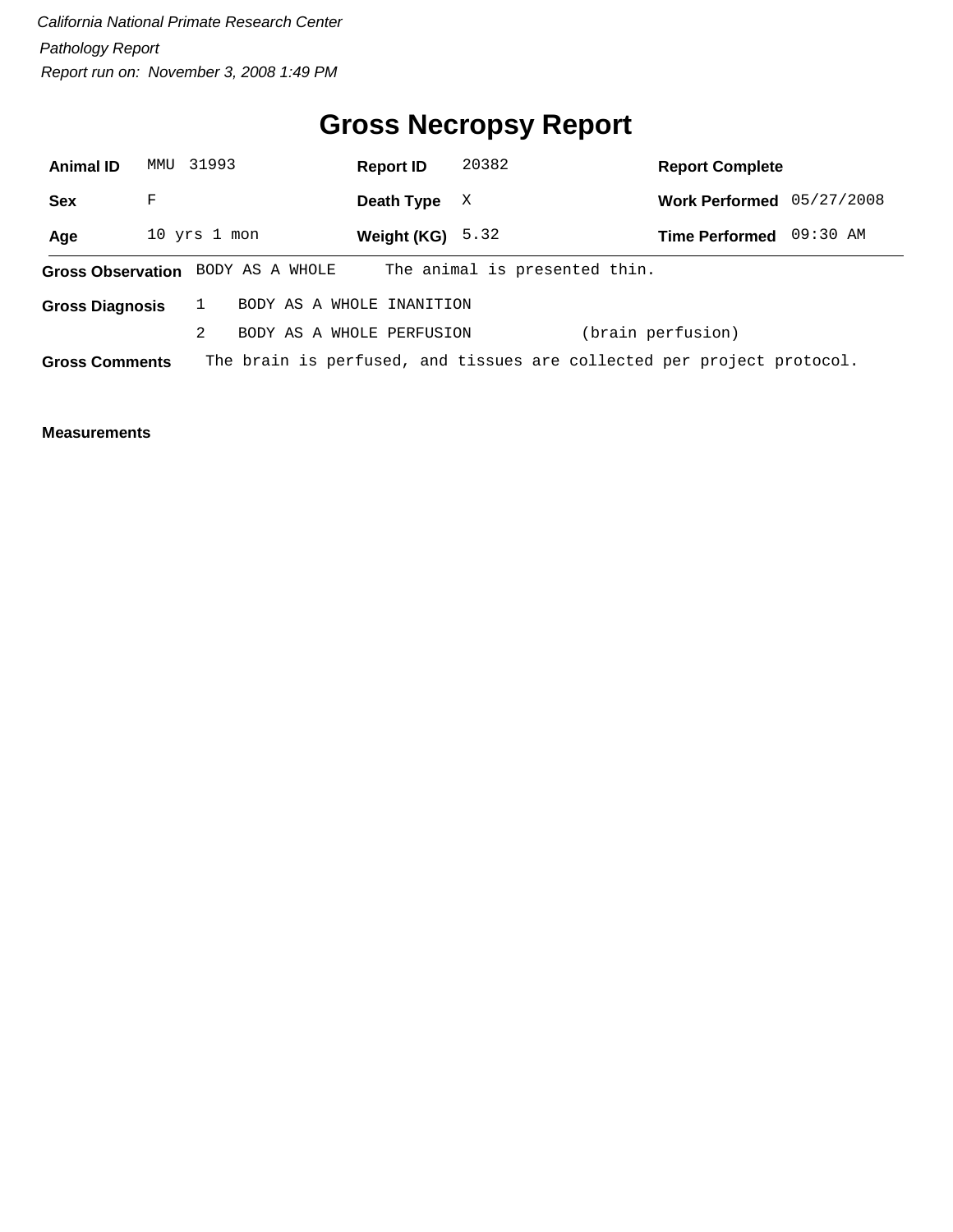# **Gross Necropsy Report**

| <b>Animal ID</b>         | MMU          | 31993 |                 |  | <b>Report ID</b>          | 20382 |                                                                        |                   | <b>Report Complete</b> |            |  |
|--------------------------|--------------|-------|-----------------|--|---------------------------|-------|------------------------------------------------------------------------|-------------------|------------------------|------------|--|
| <b>Sex</b>               | F            |       |                 |  | Death Type                | X     |                                                                        |                   | <b>Work Performed</b>  | 05/27/2008 |  |
| Age                      | 10 yrs 1 mon |       |                 |  | Weight (KG) $5.32$        |       |                                                                        |                   | <b>Time Performed</b>  | 09:30 AM   |  |
| <b>Gross Observation</b> |              |       | BODY AS A WHOLE |  |                           |       | The animal is presented thin.                                          |                   |                        |            |  |
| <b>Gross Diagnosis</b>   |              |       |                 |  | BODY AS A WHOLE INANITION |       |                                                                        |                   |                        |            |  |
|                          |              | 2     |                 |  | BODY AS A WHOLE PERFUSION |       |                                                                        | (brain perfusion) |                        |            |  |
| <b>Gross Comments</b>    |              |       |                 |  |                           |       | The brain is perfused, and tissues are collected per project protocol. |                   |                        |            |  |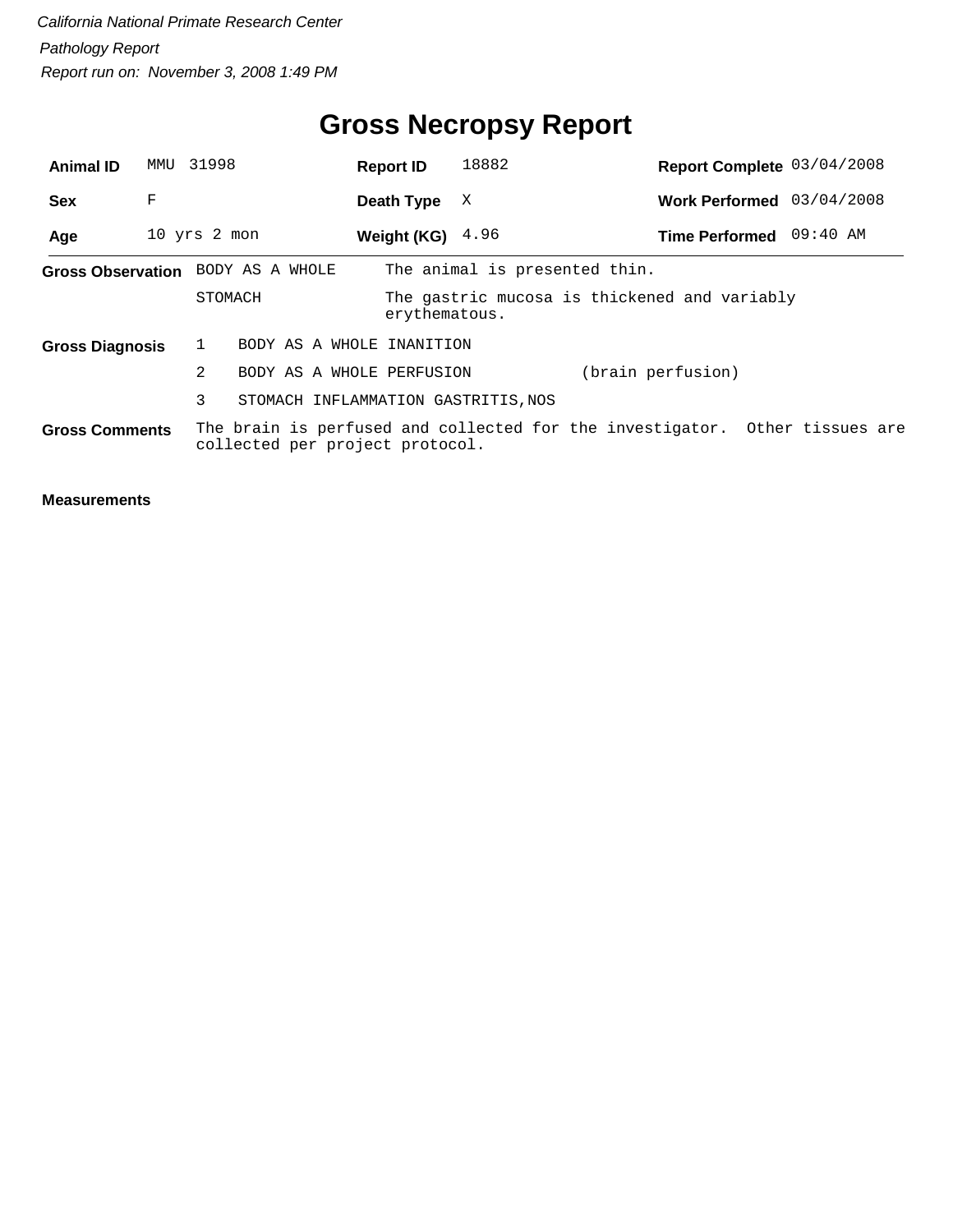# **Gross Necropsy Report**

| <b>Animal ID</b>       | MMU | 31998                             | <b>Report ID</b>                    | 18882                         |                                                                             | Report Complete 03/04/2008 |
|------------------------|-----|-----------------------------------|-------------------------------------|-------------------------------|-----------------------------------------------------------------------------|----------------------------|
| <b>Sex</b>             | F   |                                   | Death Type                          | X                             |                                                                             | Work Performed 03/04/2008  |
| Age                    |     | 10 yrs 2 mon                      | Weight (KG) $4.96$                  |                               | Time Performed 09:40 AM                                                     |                            |
|                        |     | Gross Observation BODY AS A WHOLE |                                     | The animal is presented thin. |                                                                             |                            |
|                        |     | STOMACH                           | erythematous.                       |                               | The gastric mucosa is thickened and variably                                |                            |
| <b>Gross Diagnosis</b> |     |                                   | BODY AS A WHOLE INANITION           |                               |                                                                             |                            |
|                        |     | 2                                 | BODY AS A WHOLE PERFUSION           |                               | (brain perfusion)                                                           |                            |
|                        |     | 3                                 | STOMACH INFLAMMATION GASTRITIS, NOS |                               |                                                                             |                            |
| <b>Gross Comments</b>  |     | collected per project protocol.   |                                     |                               | The brain is perfused and collected for the investigator. Other tissues are |                            |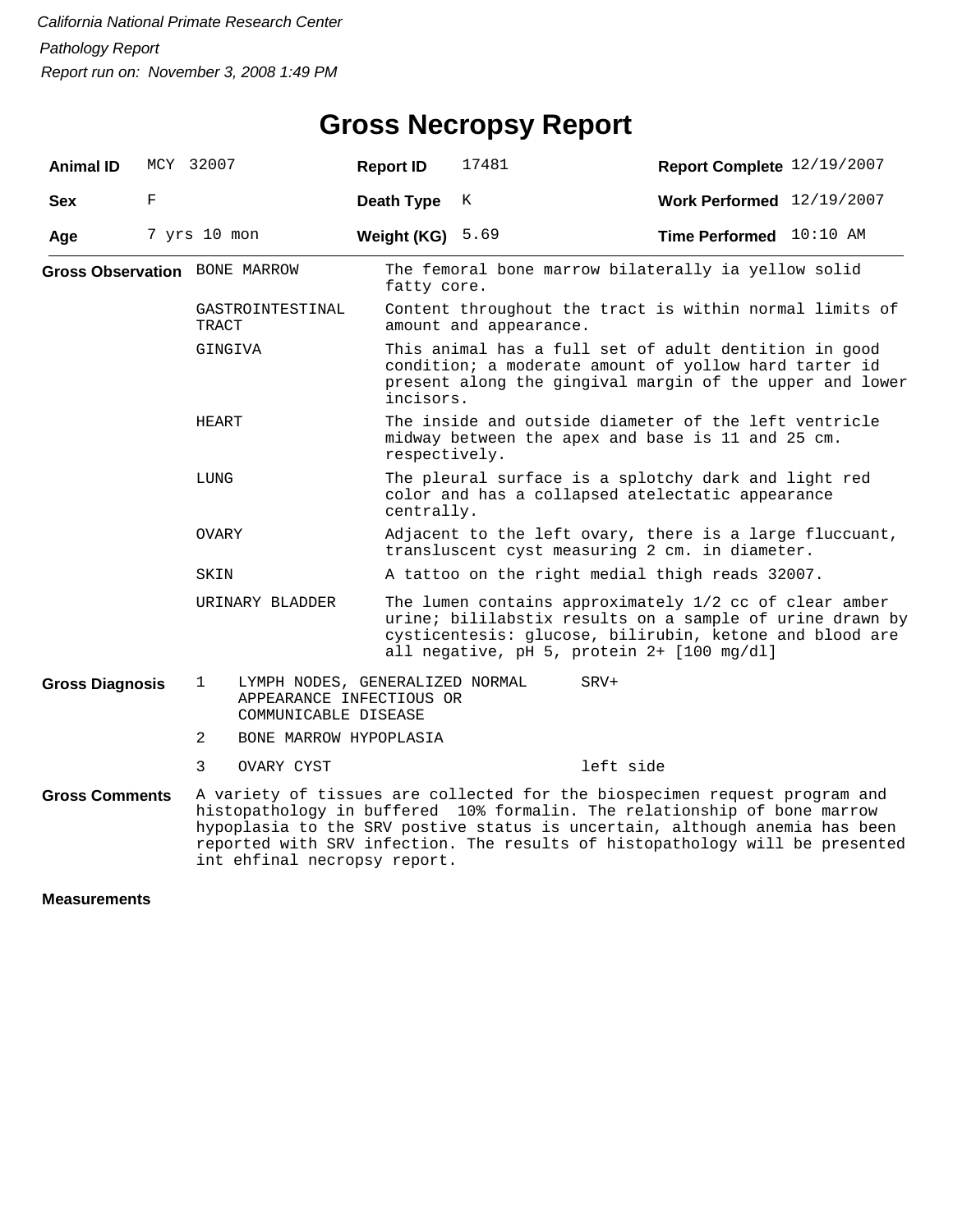#### **Gross Necropsy Report**

| <b>Animal ID</b>                     | MCY 32007    |                                      |                                                                                     | <b>Report ID</b>  | 17481                                                                                                                                                                                                                                                                                                                 | Report Complete 12/19/2007 |  |  |  |
|--------------------------------------|--------------|--------------------------------------|-------------------------------------------------------------------------------------|-------------------|-----------------------------------------------------------------------------------------------------------------------------------------------------------------------------------------------------------------------------------------------------------------------------------------------------------------------|----------------------------|--|--|--|
| <b>Sex</b>                           | F            |                                      |                                                                                     | <b>Death Type</b> | Κ                                                                                                                                                                                                                                                                                                                     | Work Performed 12/19/2007  |  |  |  |
| Age                                  | 7 yrs 10 mon |                                      |                                                                                     | Weight (KG)       | 5.69                                                                                                                                                                                                                                                                                                                  | Time Performed 10:10 AM    |  |  |  |
| <b>Gross Observation</b> BONE MARROW |              |                                      |                                                                                     | fatty core.       | The femoral bone marrow bilaterally ia yellow solid                                                                                                                                                                                                                                                                   |                            |  |  |  |
|                                      |              | GASTROINTESTINAL<br>TRACT<br>GINGIVA |                                                                                     |                   | Content throughout the tract is within normal limits of<br>amount and appearance.                                                                                                                                                                                                                                     |                            |  |  |  |
|                                      |              |                                      |                                                                                     |                   | This animal has a full set of adult dentition in good<br>condition; a moderate amount of yollow hard tarter id<br>present along the gingival margin of the upper and lower<br>incisors.                                                                                                                               |                            |  |  |  |
|                                      |              | HEART                                |                                                                                     |                   | The inside and outside diameter of the left ventricle<br>midway between the apex and base is 11 and 25 cm.<br>respectively.                                                                                                                                                                                           |                            |  |  |  |
|                                      |              | LUNG                                 |                                                                                     | centrally.        | The pleural surface is a splotchy dark and light red<br>color and has a collapsed atelectatic appearance                                                                                                                                                                                                              |                            |  |  |  |
|                                      |              | OVARY                                |                                                                                     |                   | Adjacent to the left ovary, there is a large fluccuant,<br>transluscent cyst measuring 2 cm. in diameter.                                                                                                                                                                                                             |                            |  |  |  |
|                                      |              | SKIN                                 |                                                                                     |                   | A tattoo on the right medial thigh reads 32007.                                                                                                                                                                                                                                                                       |                            |  |  |  |
|                                      |              | URINARY BLADDER                      |                                                                                     |                   | The lumen contains approximately 1/2 cc of clear amber<br>urine; bililabstix results on a sample of urine drawn by<br>cysticentesis: glucose, bilirubin, ketone and blood are<br>all negative, pH 5, protein 2+ [100 mg/dl]                                                                                           |                            |  |  |  |
| <b>Gross Diagnosis</b>               |              | 1                                    | LYMPH NODES, GENERALIZED NORMAL<br>APPEARANCE INFECTIOUS OR<br>COMMUNICABLE DISEASE |                   | $SRV+$                                                                                                                                                                                                                                                                                                                |                            |  |  |  |
|                                      |              | 2                                    | BONE MARROW HYPOPLASIA                                                              |                   |                                                                                                                                                                                                                                                                                                                       |                            |  |  |  |
|                                      |              | 3                                    | OVARY CYST                                                                          |                   | left side                                                                                                                                                                                                                                                                                                             |                            |  |  |  |
| <b>Gross Comments</b>                |              |                                      | int ehfinal necropsy report.                                                        |                   | A variety of tissues are collected for the biospecimen request program and<br>histopathology in buffered 10% formalin. The relationship of bone marrow<br>hypoplasia to the SRV postive status is uncertain, although anemia has been<br>reported with SRV infection. The results of histopathology will be presented |                            |  |  |  |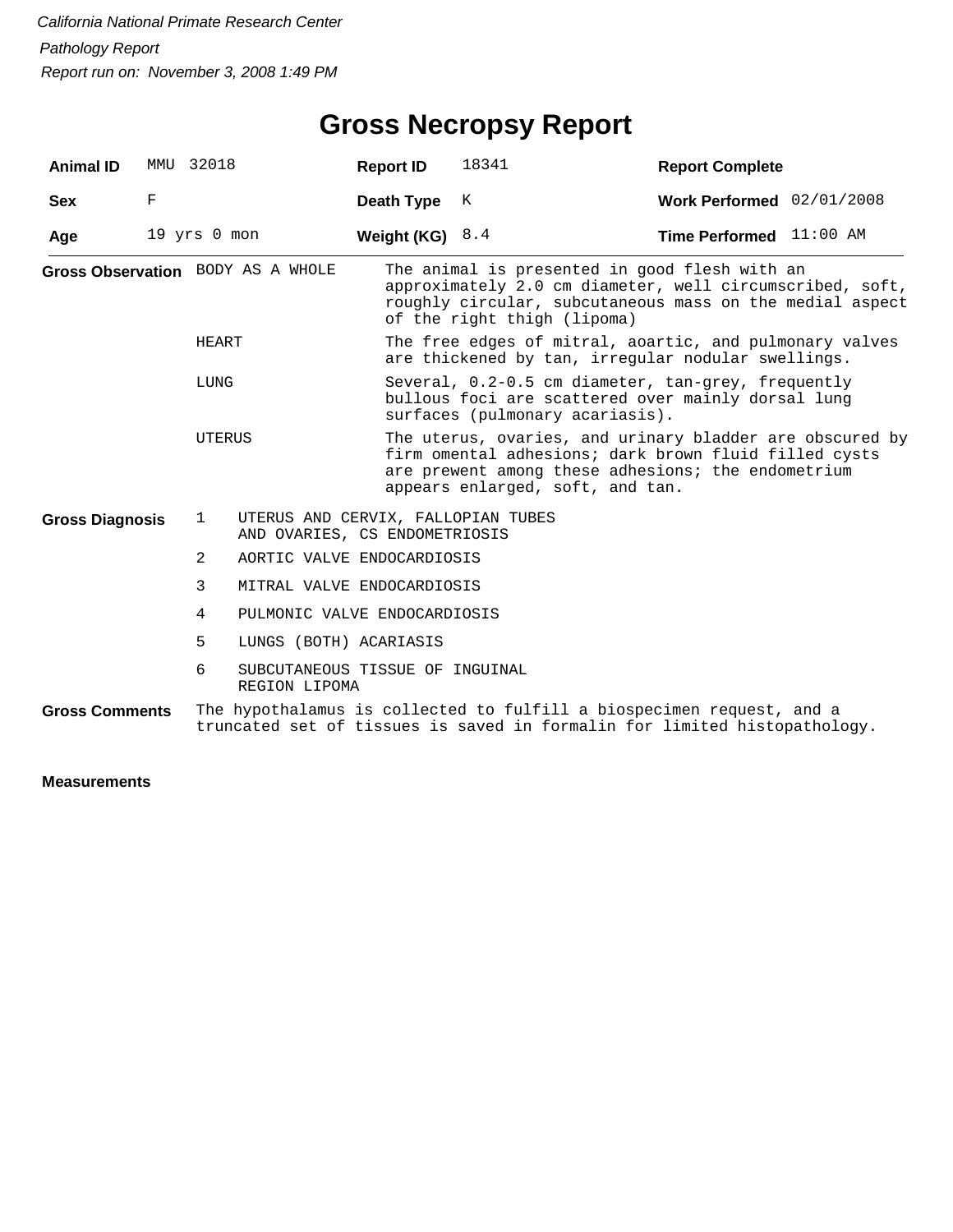#### **Gross Necropsy Report**

| <b>Animal ID</b>       | MMU    | 32018            |                                                                     | <b>Report ID</b>                                                                                                                              | 18341                                                                                                                                                                                                       | <b>Report Complete</b>           |  |  |  |
|------------------------|--------|------------------|---------------------------------------------------------------------|-----------------------------------------------------------------------------------------------------------------------------------------------|-------------------------------------------------------------------------------------------------------------------------------------------------------------------------------------------------------------|----------------------------------|--|--|--|
| <b>Sex</b>             | F      |                  |                                                                     | Death Type                                                                                                                                    | K                                                                                                                                                                                                           | Work Performed 02/01/2008        |  |  |  |
| Age                    |        | $19$ yrs $0$ mon |                                                                     | Weight (KG) $8.4$                                                                                                                             |                                                                                                                                                                                                             | <b>Time Performed</b> $11:00$ AM |  |  |  |
|                        |        |                  | Gross Observation BODY AS A WHOLE                                   |                                                                                                                                               | The animal is presented in good flesh with an<br>approximately 2.0 cm diameter, well circumscribed, soft,<br>roughly circular, subcutaneous mass on the medial aspect<br>of the right thigh (lipoma)        |                                  |  |  |  |
| HEART<br>LUNG          |        |                  |                                                                     |                                                                                                                                               | The free edges of mitral, aoartic, and pulmonary valves<br>are thickened by tan, irreqular nodular swellings.                                                                                               |                                  |  |  |  |
|                        |        |                  |                                                                     | Several, $0.2-0.5$ cm diameter, tan-grey, frequently<br>bullous foci are scattered over mainly dorsal lung<br>surfaces (pulmonary acariasis). |                                                                                                                                                                                                             |                                  |  |  |  |
|                        | UTERUS |                  |                                                                     |                                                                                                                                               | The uterus, ovaries, and urinary bladder are obscured by<br>firm omental adhesions; dark brown fluid filled cysts<br>are prewent among these adhesions; the endometrium<br>appears enlarged, soft, and tan. |                                  |  |  |  |
| <b>Gross Diagnosis</b> |        | $\mathbf{1}$     | UTERUS AND CERVIX, FALLOPIAN TUBES<br>AND OVARIES, CS ENDOMETRIOSIS |                                                                                                                                               |                                                                                                                                                                                                             |                                  |  |  |  |
|                        |        | 2                | AORTIC VALVE ENDOCARDIOSIS                                          |                                                                                                                                               |                                                                                                                                                                                                             |                                  |  |  |  |
|                        |        | 3                | MITRAL VALVE ENDOCARDIOSIS                                          |                                                                                                                                               |                                                                                                                                                                                                             |                                  |  |  |  |
|                        |        | 4                | PULMONIC VALVE ENDOCARDIOSIS                                        |                                                                                                                                               |                                                                                                                                                                                                             |                                  |  |  |  |
|                        |        | 5                | LUNGS (BOTH) ACARIASIS                                              |                                                                                                                                               |                                                                                                                                                                                                             |                                  |  |  |  |
|                        |        | 6                | SUBCUTANEOUS TISSUE OF INGUINAL<br>REGION LIPOMA                    |                                                                                                                                               |                                                                                                                                                                                                             |                                  |  |  |  |
| <b>Gross Comments</b>  |        |                  |                                                                     |                                                                                                                                               | The hypothalamus is collected to fulfill a biospecimen request, and a<br>truncated set of tissues is saved in formalin for limited histopathology.                                                          |                                  |  |  |  |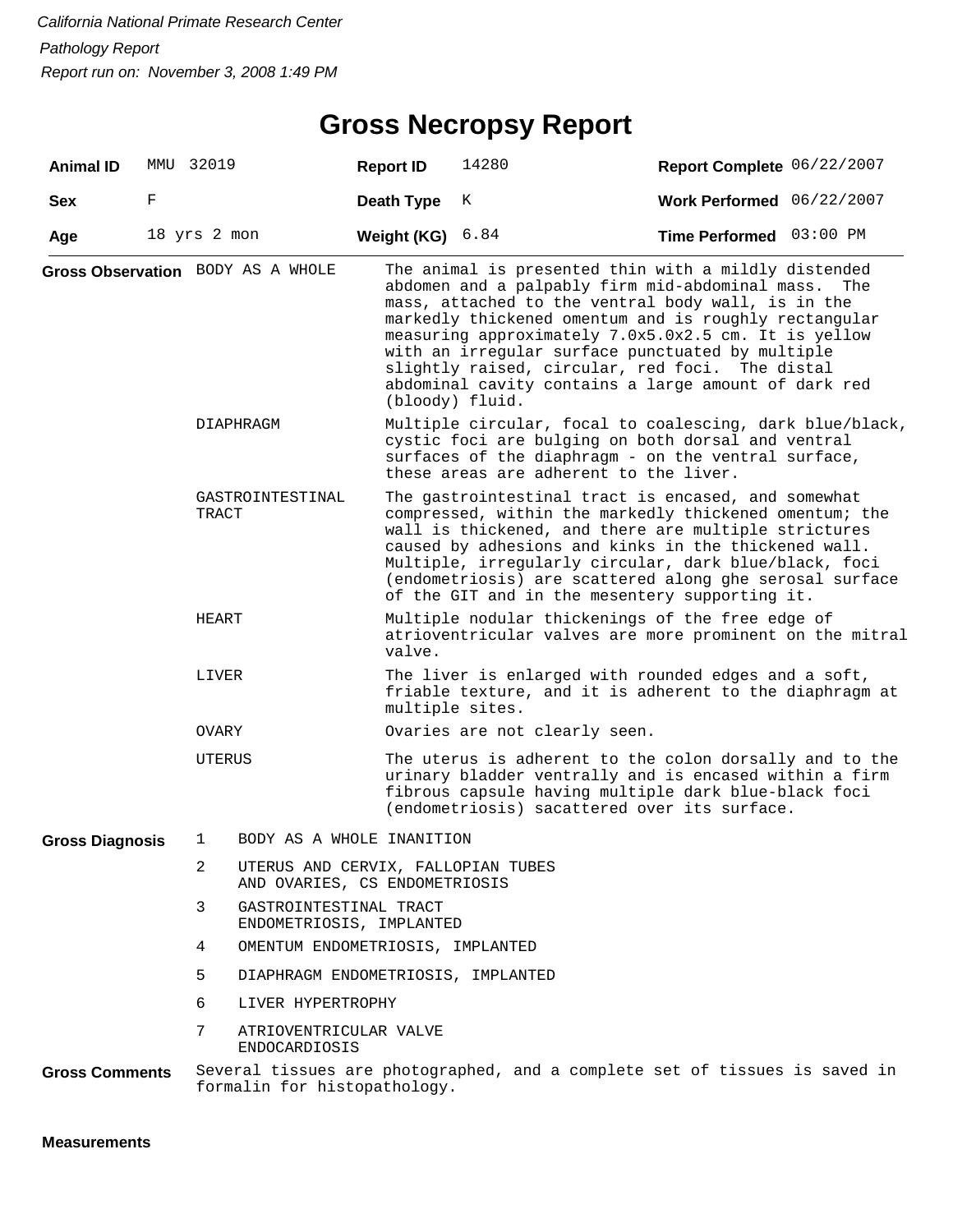#### **Gross Necropsy Report**

| <b>Animal ID</b>       |   | MMU 32019      |                                                    |  | <b>Report ID</b>                                                                                                                                                                                                                                                                                                                                                                                    | 14280                                                                                                                                                                                                                                                                                                                                                                                                                                         | Report Complete 06/22/2007 |     |  |  |
|------------------------|---|----------------|----------------------------------------------------|--|-----------------------------------------------------------------------------------------------------------------------------------------------------------------------------------------------------------------------------------------------------------------------------------------------------------------------------------------------------------------------------------------------------|-----------------------------------------------------------------------------------------------------------------------------------------------------------------------------------------------------------------------------------------------------------------------------------------------------------------------------------------------------------------------------------------------------------------------------------------------|----------------------------|-----|--|--|
| <b>Sex</b>             | F |                |                                                    |  | Death Type                                                                                                                                                                                                                                                                                                                                                                                          | K                                                                                                                                                                                                                                                                                                                                                                                                                                             | Work Performed 06/22/2007  |     |  |  |
| Age                    |   | 18 yrs 2 mon   |                                                    |  | Weight (KG)                                                                                                                                                                                                                                                                                                                                                                                         | 6.84                                                                                                                                                                                                                                                                                                                                                                                                                                          | Time Performed 03:00 PM    |     |  |  |
|                        |   |                | Gross Observation BODY AS A WHOLE                  |  | (bloody) fluid.                                                                                                                                                                                                                                                                                                                                                                                     | The animal is presented thin with a mildly distended<br>abdomen and a palpably firm mid-abdominal mass.<br>mass, attached to the ventral body wall, is in the<br>markedly thickened omentum and is roughly rectangular<br>measuring approximately 7.0x5.0x2.5 cm. It is yellow<br>with an irregular surface punctuated by multiple<br>slightly raised, circular, red foci. The distal<br>abdominal cavity contains a large amount of dark red |                            | The |  |  |
|                        |   | DIAPHRAGM      |                                                    |  | Multiple circular, focal to coalescing, dark blue/black,<br>cystic foci are bulging on both dorsal and ventral<br>surfaces of the diaphragm - on the ventral surface,<br>these areas are adherent to the liver.                                                                                                                                                                                     |                                                                                                                                                                                                                                                                                                                                                                                                                                               |                            |     |  |  |
|                        |   | TRACT          | GASTROINTESTINAL                                   |  | The gastrointestinal tract is encased, and somewhat<br>compressed, within the markedly thickened omentum; the<br>wall is thickened, and there are multiple strictures<br>caused by adhesions and kinks in the thickened wall.<br>Multiple, irregularly circular, dark blue/black, foci<br>(endometriosis) are scattered along ghe serosal surface<br>of the GIT and in the mesentery supporting it. |                                                                                                                                                                                                                                                                                                                                                                                                                                               |                            |     |  |  |
|                        |   | HEART          |                                                    |  | valve.                                                                                                                                                                                                                                                                                                                                                                                              | Multiple nodular thickenings of the free edge of<br>atrioventricular valves are more prominent on the mitral                                                                                                                                                                                                                                                                                                                                  |                            |     |  |  |
|                        |   | LIVER          |                                                    |  | The liver is enlarged with rounded edges and a soft,<br>friable texture, and it is adherent to the diaphragm at<br>multiple sites.                                                                                                                                                                                                                                                                  |                                                                                                                                                                                                                                                                                                                                                                                                                                               |                            |     |  |  |
|                        |   | OVARY          |                                                    |  | Ovaries are not clearly seen.                                                                                                                                                                                                                                                                                                                                                                       |                                                                                                                                                                                                                                                                                                                                                                                                                                               |                            |     |  |  |
|                        |   | UTERUS         |                                                    |  | The uterus is adherent to the colon dorsally and to the<br>urinary bladder ventrally and is encased within a firm<br>fibrous capsule having multiple dark blue-black foci<br>(endometriosis) sacattered over its surface.                                                                                                                                                                           |                                                                                                                                                                                                                                                                                                                                                                                                                                               |                            |     |  |  |
| <b>Gross Diagnosis</b> |   | 1              | BODY AS A WHOLE INANITION                          |  |                                                                                                                                                                                                                                                                                                                                                                                                     |                                                                                                                                                                                                                                                                                                                                                                                                                                               |                            |     |  |  |
|                        |   | $\overline{2}$ |                                                    |  | UTERUS AND CERVIX, FALLOPIAN TUBES<br>AND OVARIES, CS ENDOMETRIOSIS                                                                                                                                                                                                                                                                                                                                 |                                                                                                                                                                                                                                                                                                                                                                                                                                               |                            |     |  |  |
|                        |   | 3              | GASTROINTESTINAL TRACT<br>ENDOMETRIOSIS, IMPLANTED |  |                                                                                                                                                                                                                                                                                                                                                                                                     |                                                                                                                                                                                                                                                                                                                                                                                                                                               |                            |     |  |  |
|                        |   | 4              | OMENTUM ENDOMETRIOSIS, IMPLANTED                   |  |                                                                                                                                                                                                                                                                                                                                                                                                     |                                                                                                                                                                                                                                                                                                                                                                                                                                               |                            |     |  |  |
|                        |   | 5              | DIAPHRAGM ENDOMETRIOSIS, IMPLANTED                 |  |                                                                                                                                                                                                                                                                                                                                                                                                     |                                                                                                                                                                                                                                                                                                                                                                                                                                               |                            |     |  |  |
|                        |   | 6              | LIVER HYPERTROPHY                                  |  |                                                                                                                                                                                                                                                                                                                                                                                                     |                                                                                                                                                                                                                                                                                                                                                                                                                                               |                            |     |  |  |
|                        |   | 7              | ATRIOVENTRICULAR VALVE<br><b>ENDOCARDIOSIS</b>     |  |                                                                                                                                                                                                                                                                                                                                                                                                     |                                                                                                                                                                                                                                                                                                                                                                                                                                               |                            |     |  |  |
| <b>Gross Comments</b>  |   |                | formalin for histopathology.                       |  |                                                                                                                                                                                                                                                                                                                                                                                                     | Several tissues are photographed, and a complete set of tissues is saved in                                                                                                                                                                                                                                                                                                                                                                   |                            |     |  |  |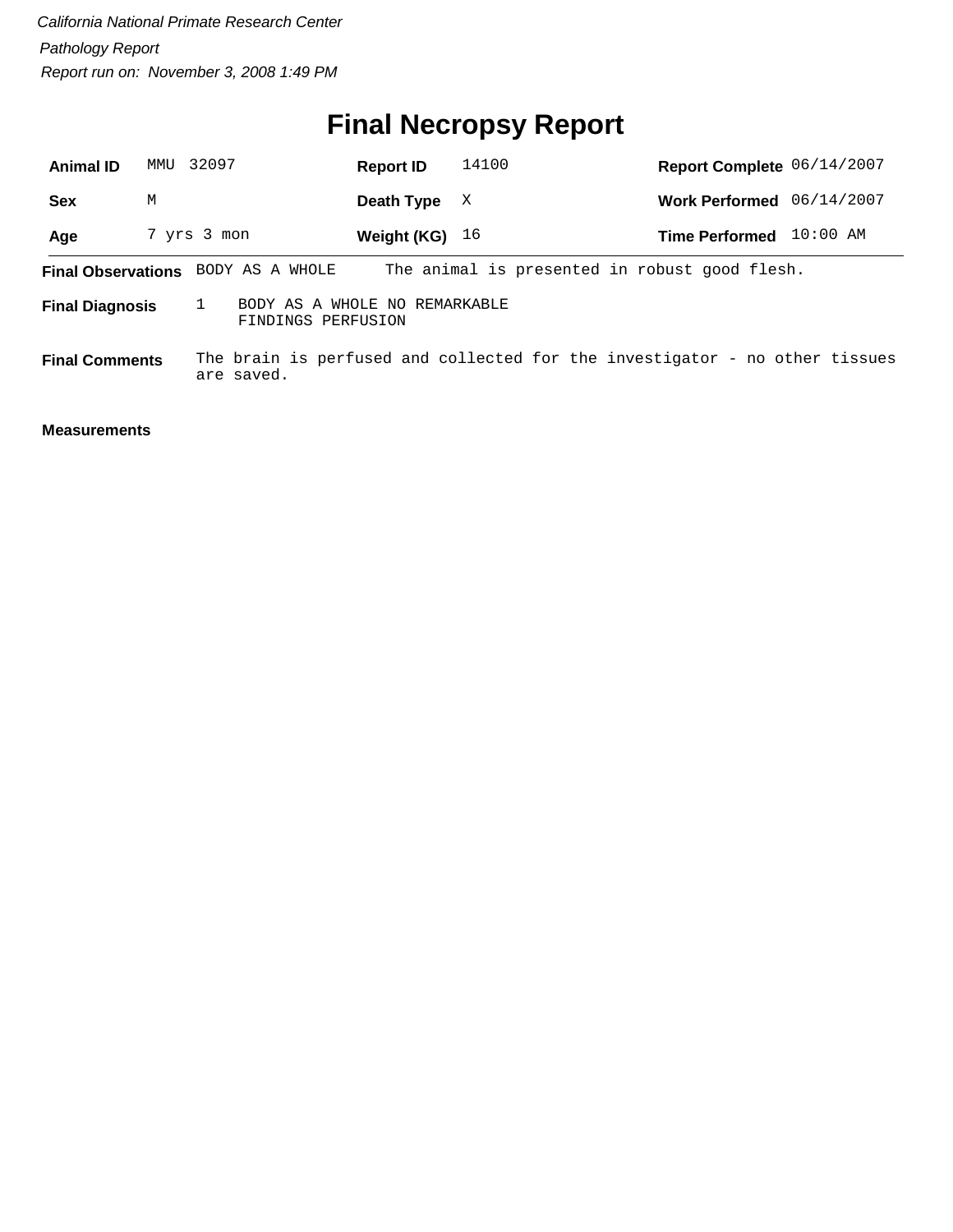# **Final Necropsy Report**

| <b>Animal ID</b>          | MMU | 32097                                               | <b>Report ID</b> | 14100 | Report Complete 06/14/2007                                                  |            |
|---------------------------|-----|-----------------------------------------------------|------------------|-------|-----------------------------------------------------------------------------|------------|
| <b>Sex</b>                | M   |                                                     | Death Type       | X     | Work Performed 06/14/2007                                                   |            |
| Age                       |     | 7 yrs 3 mon                                         | Weight (KG) $16$ |       | <b>Time Performed</b>                                                       | $10:00$ AM |
| <b>Final Observations</b> |     | BODY AS A WHOLE                                     |                  |       | The animal is presented in robust good flesh.                               |            |
| <b>Final Diagnosis</b>    |     | BODY AS A WHOLE NO REMARKABLE<br>FINDINGS PERFUSION |                  |       |                                                                             |            |
| <b>Final Comments</b>     |     | are saved.                                          |                  |       | The brain is perfused and collected for the investigator - no other tissues |            |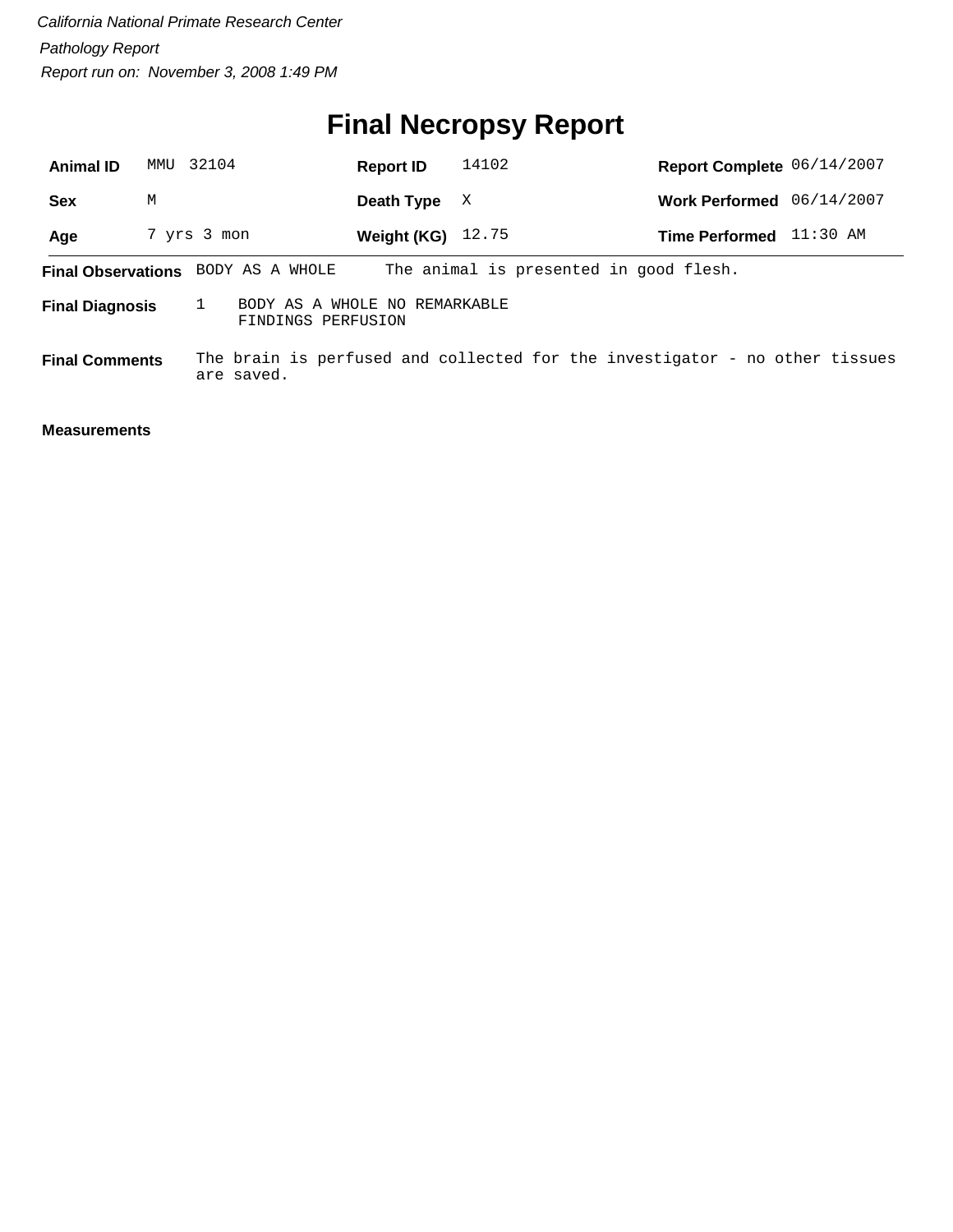# **Final Necropsy Report**

| <b>Animal ID</b>       | MMU | 32104                                               | <b>Report ID</b> | 14102                                  | Report Complete 06/14/2007                                                  |          |
|------------------------|-----|-----------------------------------------------------|------------------|----------------------------------------|-----------------------------------------------------------------------------|----------|
| <b>Sex</b>             | M   |                                                     | Death Type       | X                                      | Work Performed 06/14/2007                                                   |          |
| Age                    |     | 7 yrs 3 mon                                         | Weight (KG)      | 12.75                                  | <b>Time Performed</b>                                                       | 11:30 AM |
|                        |     | Final Observations BODY AS A WHOLE                  |                  | The animal is presented in good flesh. |                                                                             |          |
| <b>Final Diagnosis</b> |     | BODY AS A WHOLE NO REMARKABLE<br>FINDINGS PERFUSION |                  |                                        |                                                                             |          |
| <b>Final Comments</b>  |     | are saved.                                          |                  |                                        | The brain is perfused and collected for the investigator - no other tissues |          |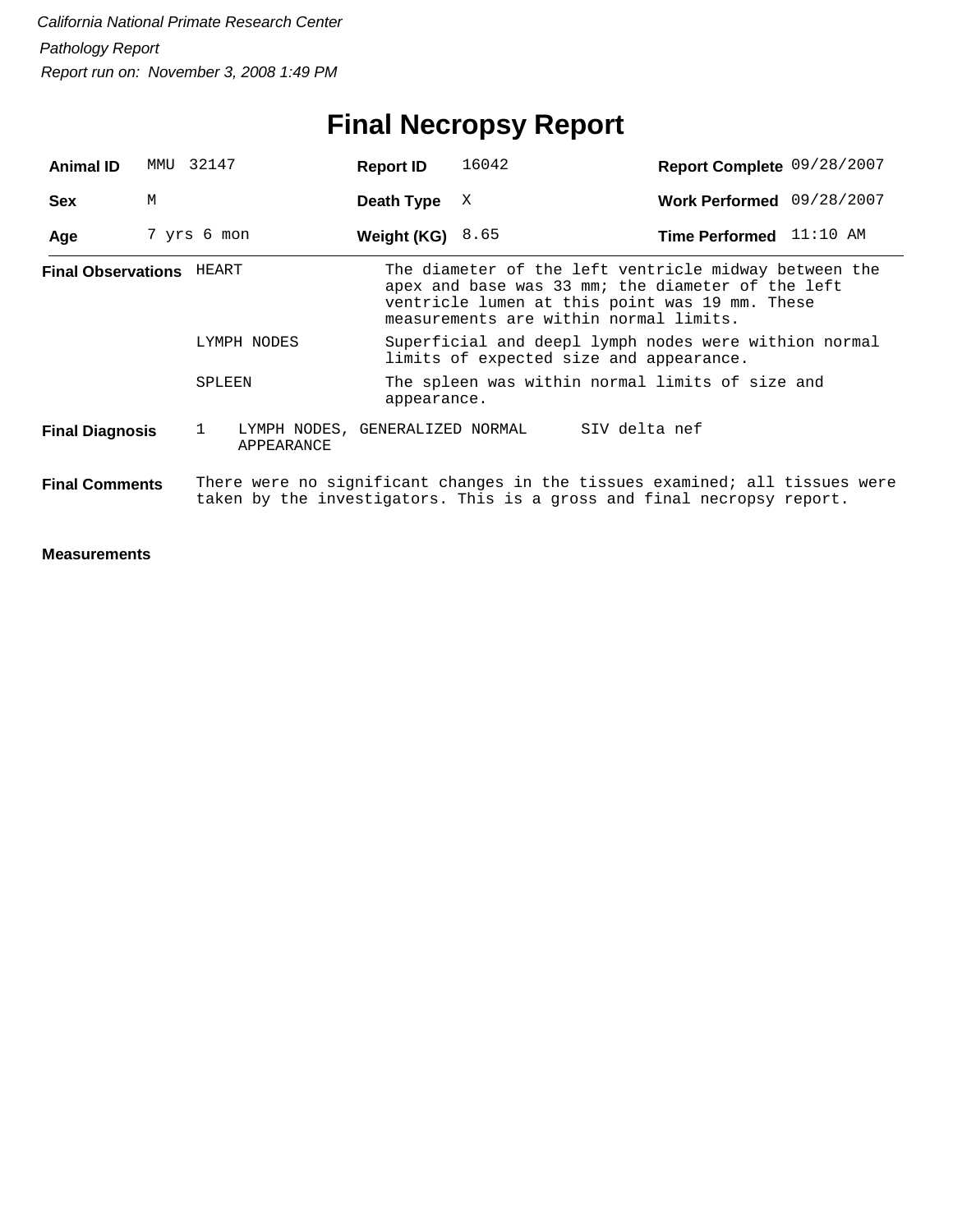## **Final Necropsy Report**

| <b>Animal ID</b>                | MMU 32147   |        |                                               | <b>Report ID</b>                                                                                                                                                                                       |             | 16042                                                                                                                                                 |               | Report Complete 09/28/2007 |  |
|---------------------------------|-------------|--------|-----------------------------------------------|--------------------------------------------------------------------------------------------------------------------------------------------------------------------------------------------------------|-------------|-------------------------------------------------------------------------------------------------------------------------------------------------------|---------------|----------------------------|--|
| <b>Sex</b>                      | M           |        |                                               | Death Type                                                                                                                                                                                             |             | X                                                                                                                                                     |               | Work Performed 09/28/2007  |  |
| Age                             | 7 yrs 6 mon |        |                                               | Weight (KG) $8.65$                                                                                                                                                                                     |             |                                                                                                                                                       |               | Time Performed 11:10 AM    |  |
| <b>Final Observations HEART</b> |             |        |                                               | The diameter of the left ventricle midway between the<br>apex and base was 33 mm; the diameter of the left<br>ventricle lumen at this point was 19 mm. These<br>measurements are within normal limits. |             |                                                                                                                                                       |               |                            |  |
| LYMPH NODES                     |             |        |                                               | Superficial and deepl lymph nodes were withion normal<br>limits of expected size and appearance.                                                                                                       |             |                                                                                                                                                       |               |                            |  |
|                                 |             | SPLEEN |                                               |                                                                                                                                                                                                        | appearance. | The spleen was within normal limits of size and                                                                                                       |               |                            |  |
| <b>Final Diagnosis</b>          |             | 1      | LYMPH NODES, GENERALIZED NORMAL<br>APPEARANCE |                                                                                                                                                                                                        |             |                                                                                                                                                       | SIV delta nef |                            |  |
| <b>Final Comments</b>           |             |        |                                               |                                                                                                                                                                                                        |             | There were no significant changes in the tissues examined; all tissues were<br>taken by the investigators. This is a gross and final necropsy report. |               |                            |  |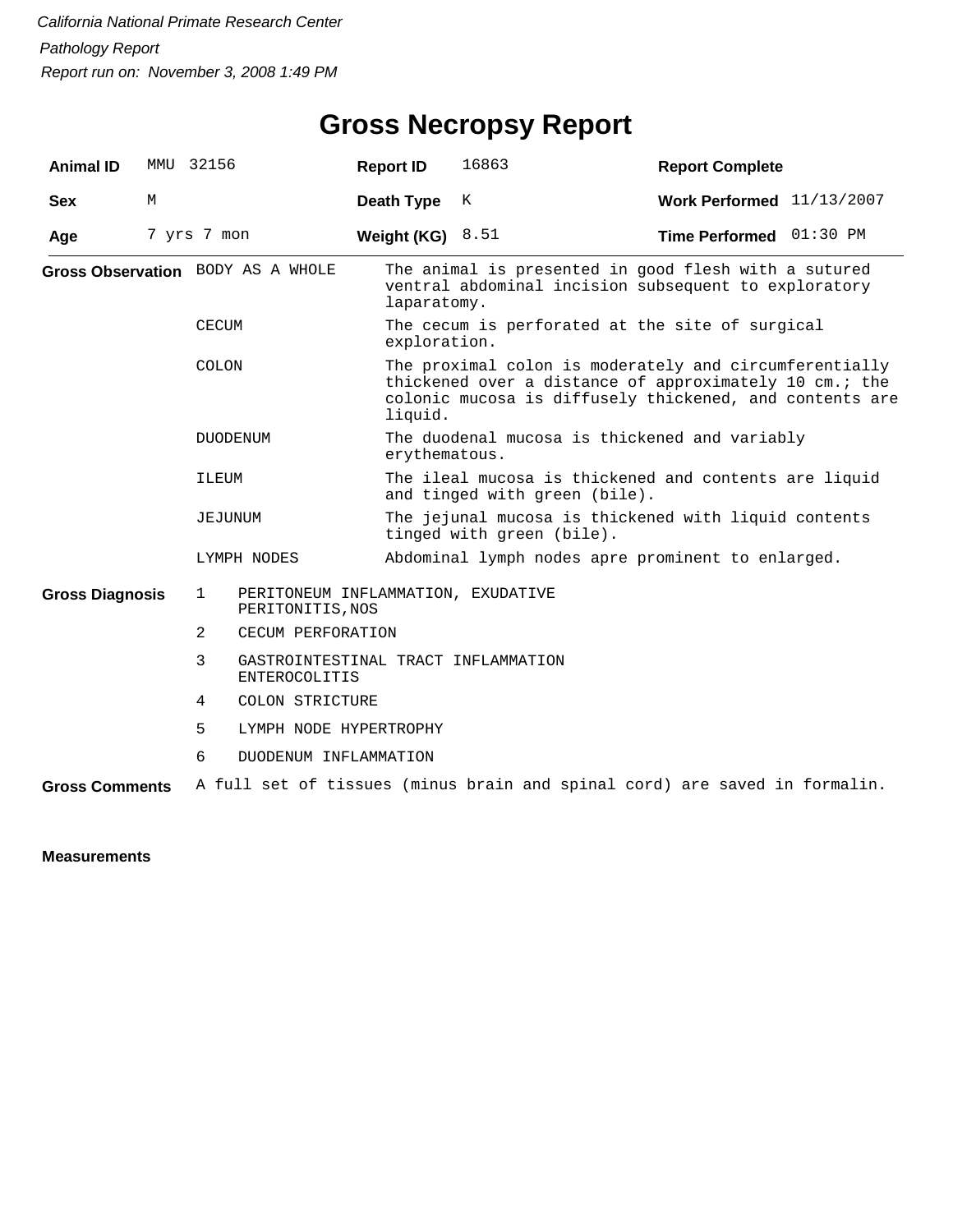## **Gross Necropsy Report**

| <b>Animal ID</b>       |   | MMU 32156      |                                                             | <b>Report ID</b>                                                                  | 16863                                                                                                                                                                       | <b>Report Complete</b>                                                                                       |  |  |  |
|------------------------|---|----------------|-------------------------------------------------------------|-----------------------------------------------------------------------------------|-----------------------------------------------------------------------------------------------------------------------------------------------------------------------------|--------------------------------------------------------------------------------------------------------------|--|--|--|
| <b>Sex</b>             | M |                |                                                             | Death Type                                                                        | К                                                                                                                                                                           | Work Performed $11/13/2007$                                                                                  |  |  |  |
| Age                    |   | 7 yrs 7 mon    |                                                             | Weight (KG) $8.51$                                                                |                                                                                                                                                                             | Time Performed 01:30 PM                                                                                      |  |  |  |
|                        |   |                | Gross Observation BODY AS A WHOLE                           | laparatomy.                                                                       |                                                                                                                                                                             | The animal is presented in good flesh with a sutured<br>ventral abdominal incision subsequent to exploratory |  |  |  |
|                        |   | <b>CECUM</b>   |                                                             | exploration.                                                                      |                                                                                                                                                                             | The cecum is perforated at the site of surgical                                                              |  |  |  |
|                        |   | COLON          |                                                             | liquid.                                                                           | The proximal colon is moderately and circumferentially<br>thickened over a distance of approximately 10 cm.; the<br>colonic mucosa is diffusely thickened, and contents are |                                                                                                              |  |  |  |
|                        |   | DUODENUM       |                                                             | erythematous.                                                                     |                                                                                                                                                                             | The duodenal mucosa is thickened and variably                                                                |  |  |  |
|                        |   | ILEUM          |                                                             |                                                                                   | and tinged with green (bile).                                                                                                                                               | The ileal mucosa is thickened and contents are liquid                                                        |  |  |  |
|                        |   | JEJUNUM        |                                                             | The jejunal mucosa is thickened with liquid contents<br>tinged with green (bile). |                                                                                                                                                                             |                                                                                                              |  |  |  |
|                        |   |                | LYMPH NODES                                                 |                                                                                   |                                                                                                                                                                             | Abdominal lymph nodes apre prominent to enlarged.                                                            |  |  |  |
| <b>Gross Diagnosis</b> |   | $\mathbf{1}$   | PERITONEUM INFLAMMATION, EXUDATIVE<br>PERITONITIS, NOS      |                                                                                   |                                                                                                                                                                             |                                                                                                              |  |  |  |
|                        |   | $\overline{2}$ | CECUM PERFORATION                                           |                                                                                   |                                                                                                                                                                             |                                                                                                              |  |  |  |
|                        |   | 3              | GASTROINTESTINAL TRACT INFLAMMATION<br><b>ENTEROCOLITIS</b> |                                                                                   |                                                                                                                                                                             |                                                                                                              |  |  |  |
|                        |   | 4              | COLON STRICTURE                                             |                                                                                   |                                                                                                                                                                             |                                                                                                              |  |  |  |
|                        |   | 5              | LYMPH NODE HYPERTROPHY                                      |                                                                                   |                                                                                                                                                                             |                                                                                                              |  |  |  |
|                        |   | 6              | DUODENUM INFLAMMATION                                       |                                                                                   |                                                                                                                                                                             |                                                                                                              |  |  |  |
| <b>Gross Comments</b>  |   |                |                                                             |                                                                                   |                                                                                                                                                                             | A full set of tissues (minus brain and spinal cord) are saved in formalin.                                   |  |  |  |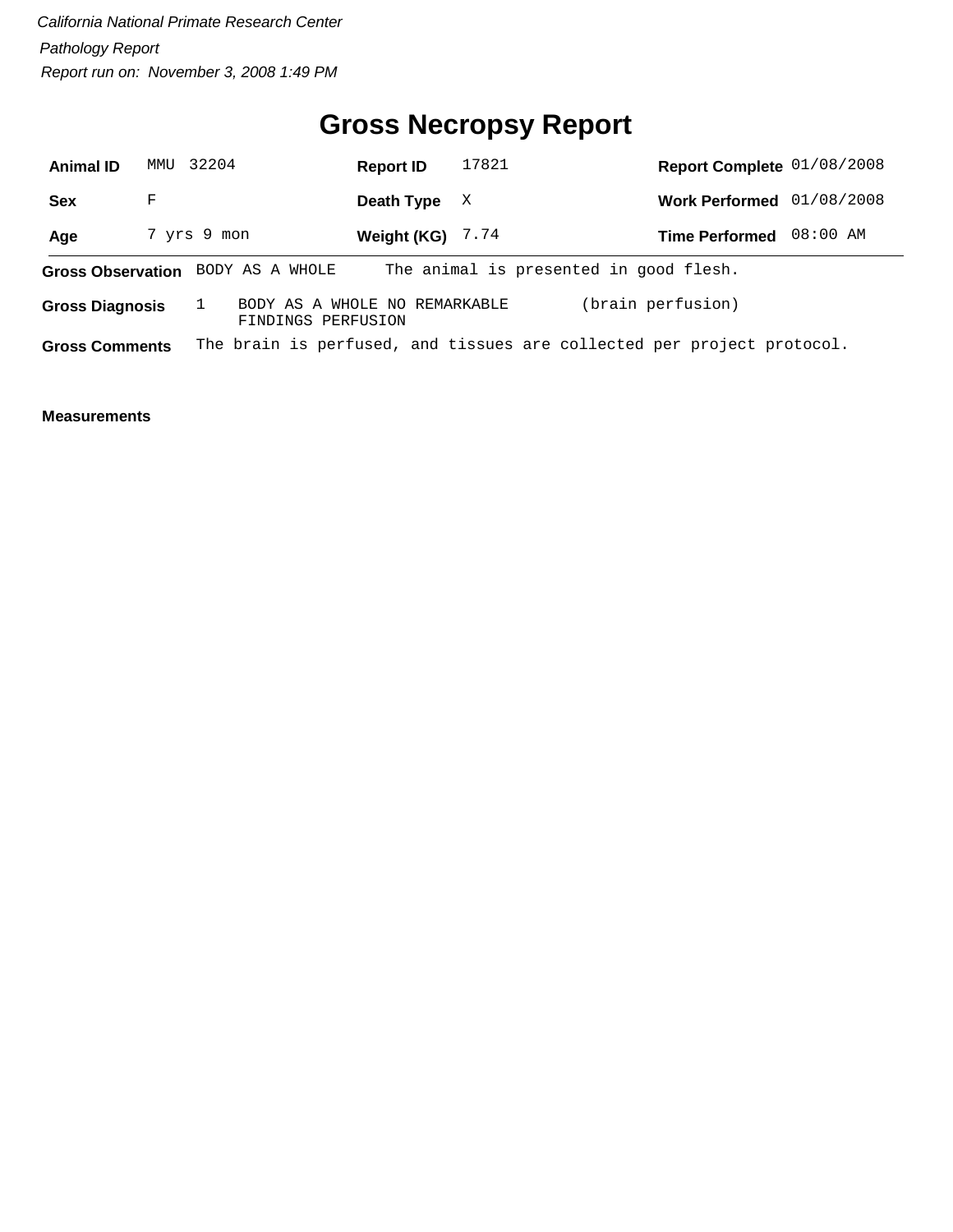## **Gross Necropsy Report**

| <b>Animal ID</b>       |   | MMU 32204                                           | <b>Report ID</b>   | 17821 | Report Complete 01/08/2008                                             |            |
|------------------------|---|-----------------------------------------------------|--------------------|-------|------------------------------------------------------------------------|------------|
| <b>Sex</b>             | F |                                                     | Death Type         | X     | <b>Work Performed</b>                                                  | 01/08/2008 |
| Age                    |   | 7 yrs 9 mon                                         | Weight (KG) $7.74$ |       | <b>Time Performed</b>                                                  | 08:00 AM   |
|                        |   | Gross Observation BODY AS A WHOLE                   |                    |       | The animal is presented in good flesh.                                 |            |
| <b>Gross Diagnosis</b> |   | BODY AS A WHOLE NO REMARKABLE<br>FINDINGS PERFUSION |                    |       | (brain perfusion)                                                      |            |
| <b>Gross Comments</b>  |   |                                                     |                    |       | The brain is perfused, and tissues are collected per project protocol. |            |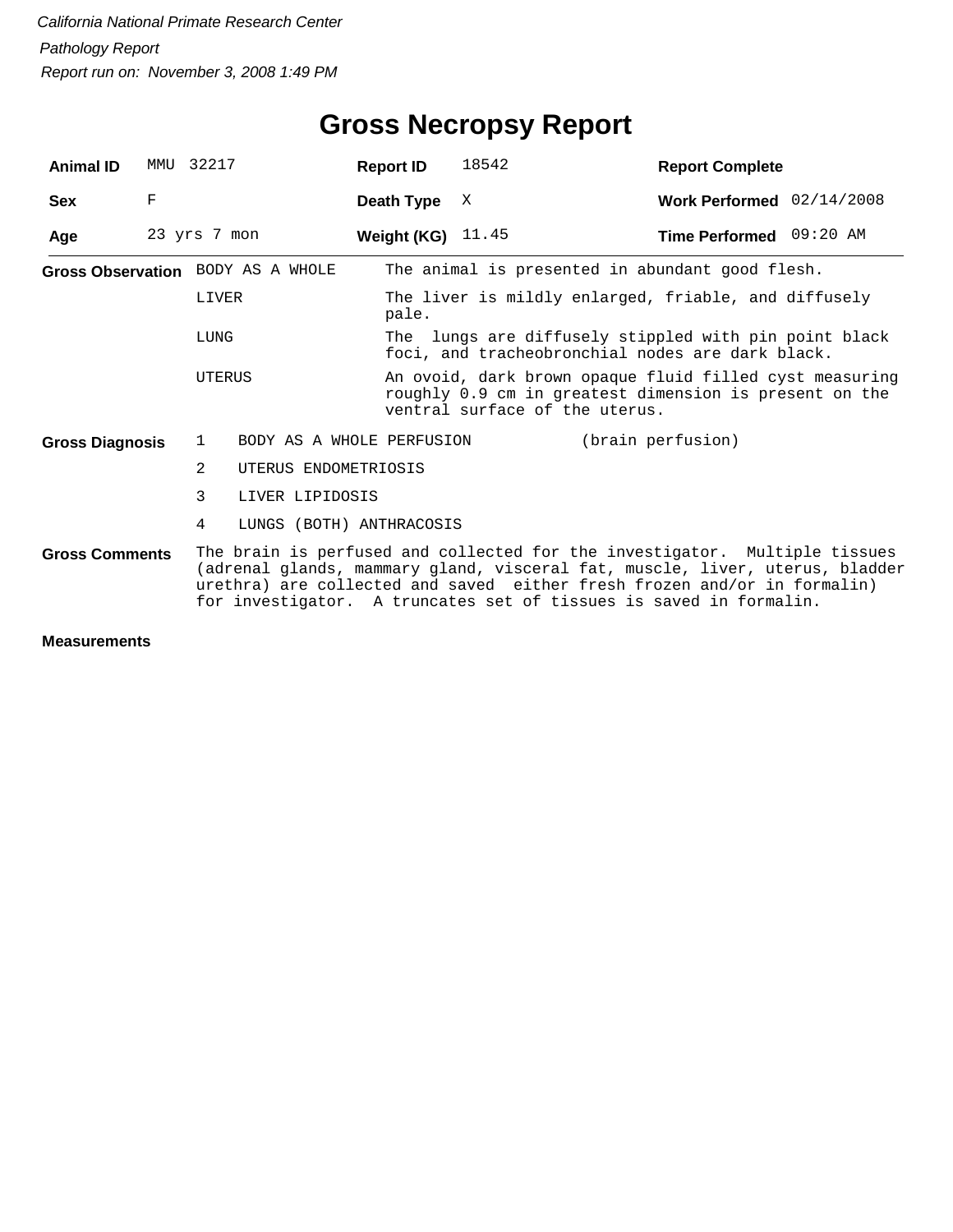| <b>Animal ID</b>       |   | MMU 32217                                                                                                                                                                                                                                                                                                    |                           | <b>Report ID</b>               | 18542                                                                                                             | <b>Report Complete</b>                               |  |  |  |
|------------------------|---|--------------------------------------------------------------------------------------------------------------------------------------------------------------------------------------------------------------------------------------------------------------------------------------------------------------|---------------------------|--------------------------------|-------------------------------------------------------------------------------------------------------------------|------------------------------------------------------|--|--|--|
| <b>Sex</b>             | F |                                                                                                                                                                                                                                                                                                              |                           | Death Type                     | X                                                                                                                 | Work Performed 02/14/2008                            |  |  |  |
| Age                    |   | 23 yrs 7 mon                                                                                                                                                                                                                                                                                                 |                           | Weight (KG) $11.45$            |                                                                                                                   | Time Performed 09:20 AM                              |  |  |  |
|                        |   | Gross Observation BODY AS A WHOLE                                                                                                                                                                                                                                                                            |                           |                                | The animal is presented in abundant good flesh.                                                                   |                                                      |  |  |  |
|                        |   | LIVER                                                                                                                                                                                                                                                                                                        |                           | pale.                          |                                                                                                                   | The liver is mildly enlarged, friable, and diffusely |  |  |  |
|                        |   | LUNG                                                                                                                                                                                                                                                                                                         |                           |                                | The lungs are diffusely stippled with pin point black<br>foci, and tracheobronchial nodes are dark black.         |                                                      |  |  |  |
|                        |   | UTERUS                                                                                                                                                                                                                                                                                                       |                           | ventral surface of the uterus. | An ovoid, dark brown opaque fluid filled cyst measuring<br>roughly 0.9 cm in greatest dimension is present on the |                                                      |  |  |  |
| <b>Gross Diagnosis</b> |   | $\mathbf{1}$                                                                                                                                                                                                                                                                                                 | BODY AS A WHOLE PERFUSION |                                |                                                                                                                   | (brain perfusion)                                    |  |  |  |
|                        |   | $\mathfrak{D}$                                                                                                                                                                                                                                                                                               | UTERUS ENDOMETRIOSIS      |                                |                                                                                                                   |                                                      |  |  |  |
|                        |   | 3                                                                                                                                                                                                                                                                                                            | LIVER LIPIDOSIS           |                                |                                                                                                                   |                                                      |  |  |  |
|                        |   | 4                                                                                                                                                                                                                                                                                                            | LUNGS (BOTH) ANTHRACOSIS  |                                |                                                                                                                   |                                                      |  |  |  |
| <b>Gross Comments</b>  |   | The brain is perfused and collected for the investigator. Multiple tissues<br>(adrenal glands, mammary gland, visceral fat, muscle, liver, uterus, bladder<br>urethra) are collected and saved either fresh frozen and/or in formalin)<br>for investigator. A truncates set of tissues is saved in formalin. |                           |                                |                                                                                                                   |                                                      |  |  |  |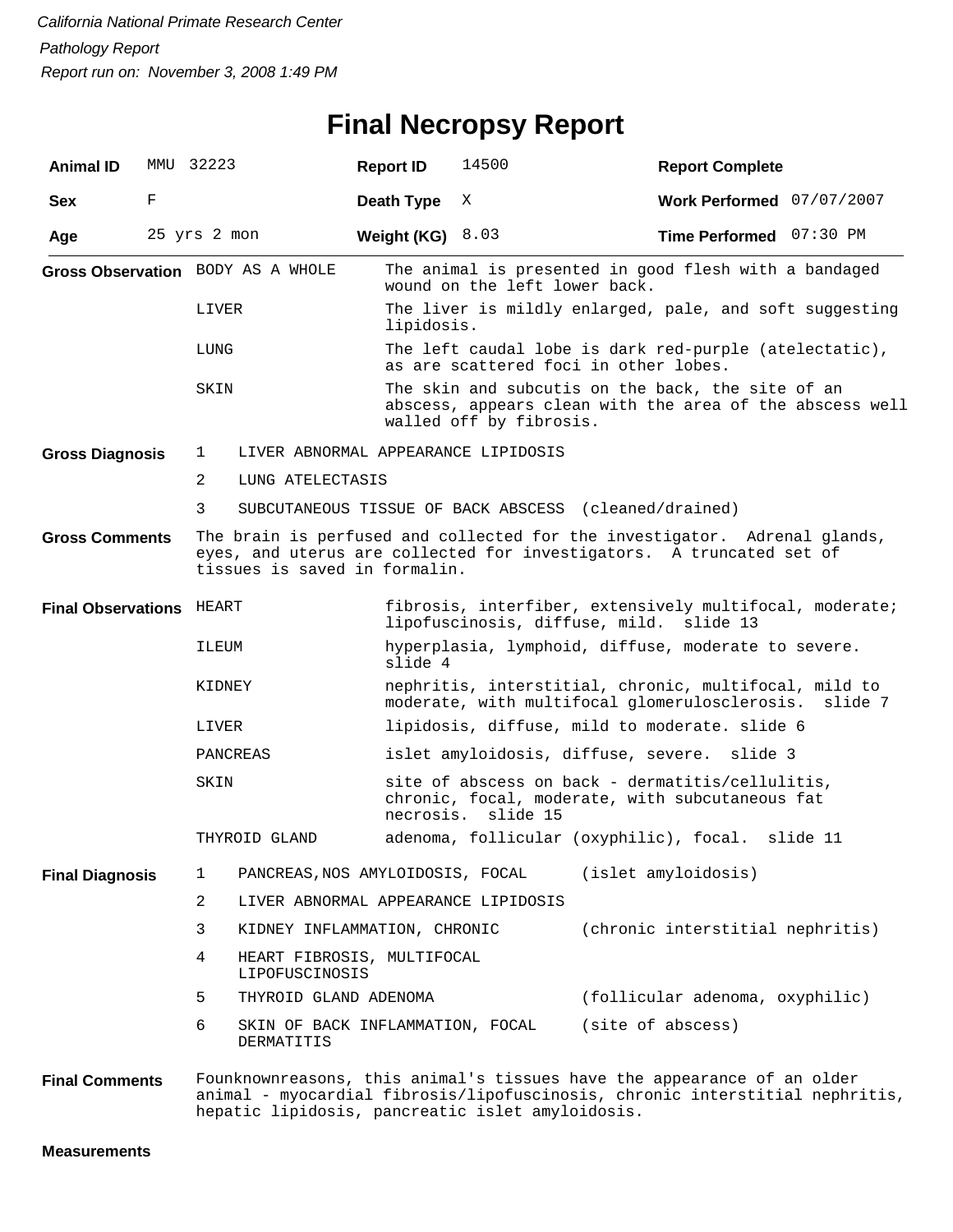#### **Final Necropsy Report**

| <b>Animal ID</b>                  |   | MMU 32223      |                                                | <b>Report ID</b>                               | 14500                                                                                                                                    | <b>Report Complete</b>                                                                                                                                  |          |  |  |  |
|-----------------------------------|---|----------------|------------------------------------------------|------------------------------------------------|------------------------------------------------------------------------------------------------------------------------------------------|---------------------------------------------------------------------------------------------------------------------------------------------------------|----------|--|--|--|
| <b>Sex</b>                        | F |                |                                                | Death Type                                     | Χ                                                                                                                                        | Work Performed 07/07/2007                                                                                                                               |          |  |  |  |
| Age                               |   | 25 yrs 2 mon   |                                                | Weight (KG) $8.03$                             |                                                                                                                                          | Time Performed 07:30 PM                                                                                                                                 |          |  |  |  |
| Gross Observation BODY AS A WHOLE |   |                |                                                |                                                | The animal is presented in good flesh with a bandaged<br>wound on the left lower back.                                                   |                                                                                                                                                         |          |  |  |  |
|                                   |   | LIVER          |                                                |                                                | The liver is mildly enlarged, pale, and soft suggesting<br>lipidosis.                                                                    |                                                                                                                                                         |          |  |  |  |
|                                   |   | LUNG           |                                                |                                                | The left caudal lobe is dark red-purple (atelectatic),<br>as are scattered foci in other lobes.                                          |                                                                                                                                                         |          |  |  |  |
|                                   |   | SKIN           |                                                |                                                | The skin and subcutis on the back, the site of an<br>abscess, appears clean with the area of the abscess well<br>walled off by fibrosis. |                                                                                                                                                         |          |  |  |  |
| <b>Gross Diagnosis</b>            |   | 1              | LIVER ABNORMAL APPEARANCE LIPIDOSIS            |                                                |                                                                                                                                          |                                                                                                                                                         |          |  |  |  |
|                                   |   | 2              | LUNG ATELECTASIS                               |                                                |                                                                                                                                          |                                                                                                                                                         |          |  |  |  |
|                                   |   | 3              |                                                |                                                | SUBCUTANEOUS TISSUE OF BACK ABSCESS (cleaned/drained)                                                                                    |                                                                                                                                                         |          |  |  |  |
| <b>Gross Comments</b>             |   |                | tissues is saved in formalin.                  |                                                |                                                                                                                                          | The brain is perfused and collected for the investigator. Adrenal glands,<br>eyes, and uterus are collected for investigators. A truncated set of       |          |  |  |  |
| <b>Final Observations HEART</b>   |   |                |                                                |                                                | lipofuscinosis, diffuse, mild.                                                                                                           | fibrosis, interfiber, extensively multifocal, moderate;<br>slide 13                                                                                     |          |  |  |  |
|                                   |   | ILEUM          |                                                | slide 4                                        |                                                                                                                                          | hyperplasia, lymphoid, diffuse, moderate to severe.                                                                                                     |          |  |  |  |
|                                   |   | KIDNEY         |                                                |                                                |                                                                                                                                          | nephritis, interstitial, chronic, multifocal, mild to<br>moderate, with multifocal glomerulosclerosis.                                                  | slide 7  |  |  |  |
|                                   |   | LIVER          |                                                | lipidosis, diffuse, mild to moderate. slide 6  |                                                                                                                                          |                                                                                                                                                         |          |  |  |  |
|                                   |   | PANCREAS       |                                                | islet amyloidosis, diffuse, severe.<br>slide 3 |                                                                                                                                          |                                                                                                                                                         |          |  |  |  |
|                                   |   | SKIN           |                                                |                                                | site of abscess on back - dermatitis/cellulitis,<br>chronic, focal, moderate, with subcutaneous fat<br>necrosis.<br>slide 15             |                                                                                                                                                         |          |  |  |  |
|                                   |   |                | THYROID GLAND                                  |                                                |                                                                                                                                          | adenoma, follicular (oxyphilic), focal.                                                                                                                 | slide 11 |  |  |  |
| <b>Final Diagnosis</b>            |   | 1              | PANCREAS, NOS AMYLOIDOSIS, FOCAL               |                                                |                                                                                                                                          | (islet amyloidosis)                                                                                                                                     |          |  |  |  |
|                                   |   | $\overline{a}$ | LIVER ABNORMAL APPEARANCE LIPIDOSIS            |                                                |                                                                                                                                          |                                                                                                                                                         |          |  |  |  |
|                                   |   | 3              | KIDNEY INFLAMMATION, CHRONIC                   |                                                |                                                                                                                                          | (chronic interstitial nephritis)                                                                                                                        |          |  |  |  |
|                                   |   | 4              | HEART FIBROSIS, MULTIFOCAL<br>LIPOFUSCINOSIS   |                                                |                                                                                                                                          |                                                                                                                                                         |          |  |  |  |
|                                   |   | 5              | THYROID GLAND ADENOMA                          |                                                |                                                                                                                                          | (follicular adenoma, oxyphilic)                                                                                                                         |          |  |  |  |
|                                   |   | 6              | SKIN OF BACK INFLAMMATION, FOCAL<br>DERMATITIS |                                                |                                                                                                                                          | (site of abscess)                                                                                                                                       |          |  |  |  |
| <b>Final Comments</b>             |   |                |                                                |                                                | hepatic lipidosis, pancreatic islet amyloidosis.                                                                                         | Founknownreasons, this animal's tissues have the appearance of an older<br>animal - myocardial fibrosis/lipofuscinosis, chronic interstitial nephritis, |          |  |  |  |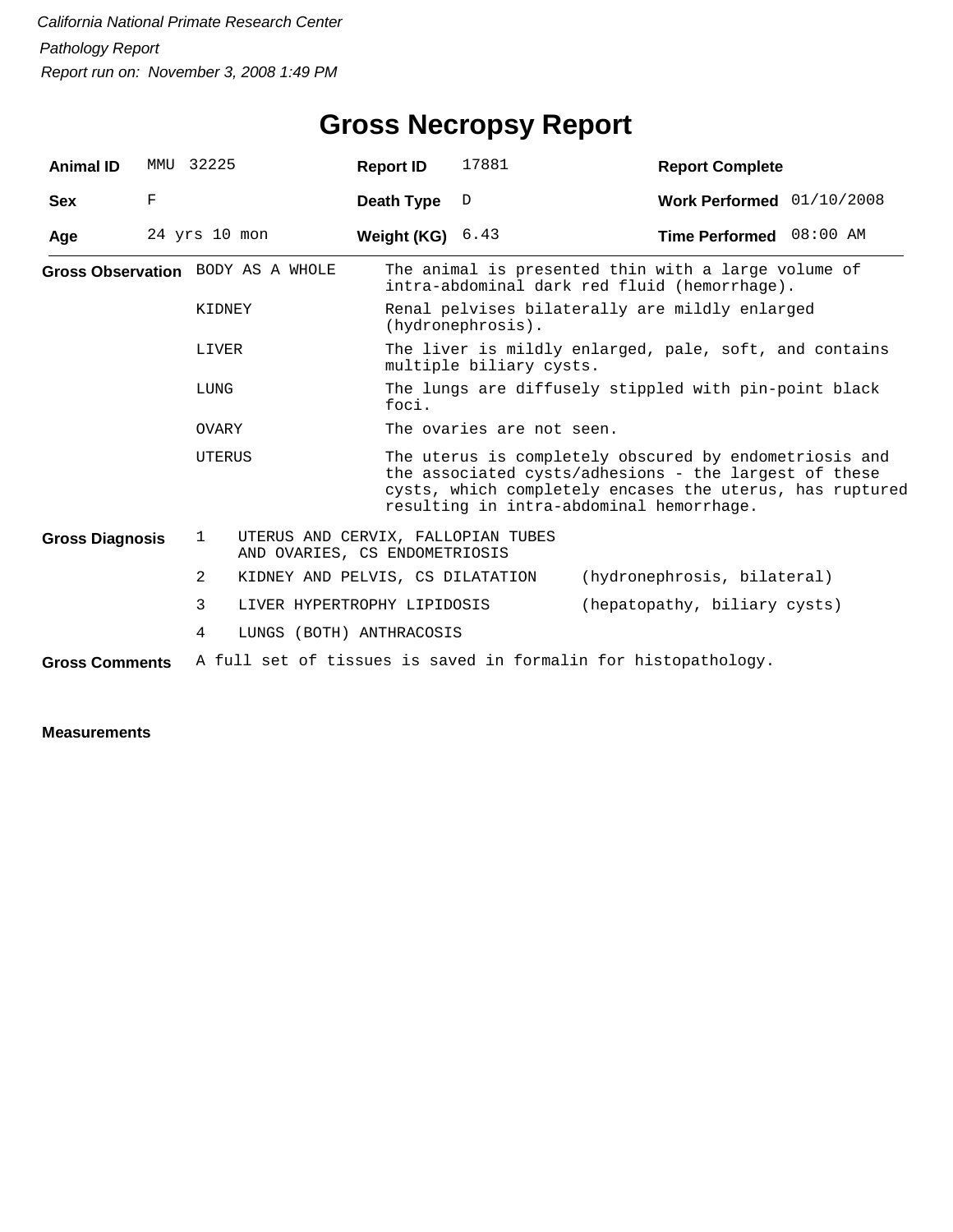## **Gross Necropsy Report**

| <b>Animal ID</b>       | MMU | 32225                             |                                                                     | <b>Report ID</b> | 17881                                                                                               | <b>Report Complete</b>                                                                                                                                                                                                  |  |  |  |
|------------------------|-----|-----------------------------------|---------------------------------------------------------------------|------------------|-----------------------------------------------------------------------------------------------------|-------------------------------------------------------------------------------------------------------------------------------------------------------------------------------------------------------------------------|--|--|--|
| <b>Sex</b>             | F   |                                   |                                                                     | Death Type       | $\mathbb D$                                                                                         | Work Performed 01/10/2008                                                                                                                                                                                               |  |  |  |
| Age                    |     | $24$ yrs $10$ mon                 |                                                                     | Weight (KG)      | 6.43                                                                                                | Time Performed 08:00 AM                                                                                                                                                                                                 |  |  |  |
|                        |     | Gross Observation BODY AS A WHOLE |                                                                     |                  | The animal is presented thin with a large volume of<br>intra-abdominal dark red fluid (hemorrhage). |                                                                                                                                                                                                                         |  |  |  |
|                        |     | KIDNEY                            |                                                                     |                  | Renal pelvises bilaterally are mildly enlarged<br>(hydronephrosis).                                 |                                                                                                                                                                                                                         |  |  |  |
|                        |     | LIVER                             |                                                                     |                  | The liver is mildly enlarged, pale, soft, and contains<br>multiple biliary cysts.                   |                                                                                                                                                                                                                         |  |  |  |
|                        |     | LUNG                              |                                                                     | foci.            |                                                                                                     | The lungs are diffusely stippled with pin-point black                                                                                                                                                                   |  |  |  |
|                        |     | OVARY                             |                                                                     |                  | The ovaries are not seen.                                                                           |                                                                                                                                                                                                                         |  |  |  |
|                        |     | UTERUS                            |                                                                     |                  |                                                                                                     | The uterus is completely obscured by endometriosis and<br>the associated cysts/adhesions - the largest of these<br>cysts, which completely encases the uterus, has ruptured<br>resulting in intra-abdominal hemorrhage. |  |  |  |
| <b>Gross Diagnosis</b> |     | 1                                 | UTERUS AND CERVIX, FALLOPIAN TUBES<br>AND OVARIES, CS ENDOMETRIOSIS |                  |                                                                                                     |                                                                                                                                                                                                                         |  |  |  |
|                        |     | 2                                 | KIDNEY AND PELVIS, CS DILATATION                                    |                  |                                                                                                     | (hydronephrosis, bilateral)                                                                                                                                                                                             |  |  |  |
|                        |     | 3                                 | LIVER HYPERTROPHY LIPIDOSIS                                         |                  |                                                                                                     | (hepatopathy, biliary cysts)                                                                                                                                                                                            |  |  |  |
|                        |     | 4                                 | LUNGS (BOTH) ANTHRACOSIS                                            |                  |                                                                                                     |                                                                                                                                                                                                                         |  |  |  |
| <b>Gross Comments</b>  |     |                                   |                                                                     |                  |                                                                                                     | A full set of tissues is saved in formalin for histopathology.                                                                                                                                                          |  |  |  |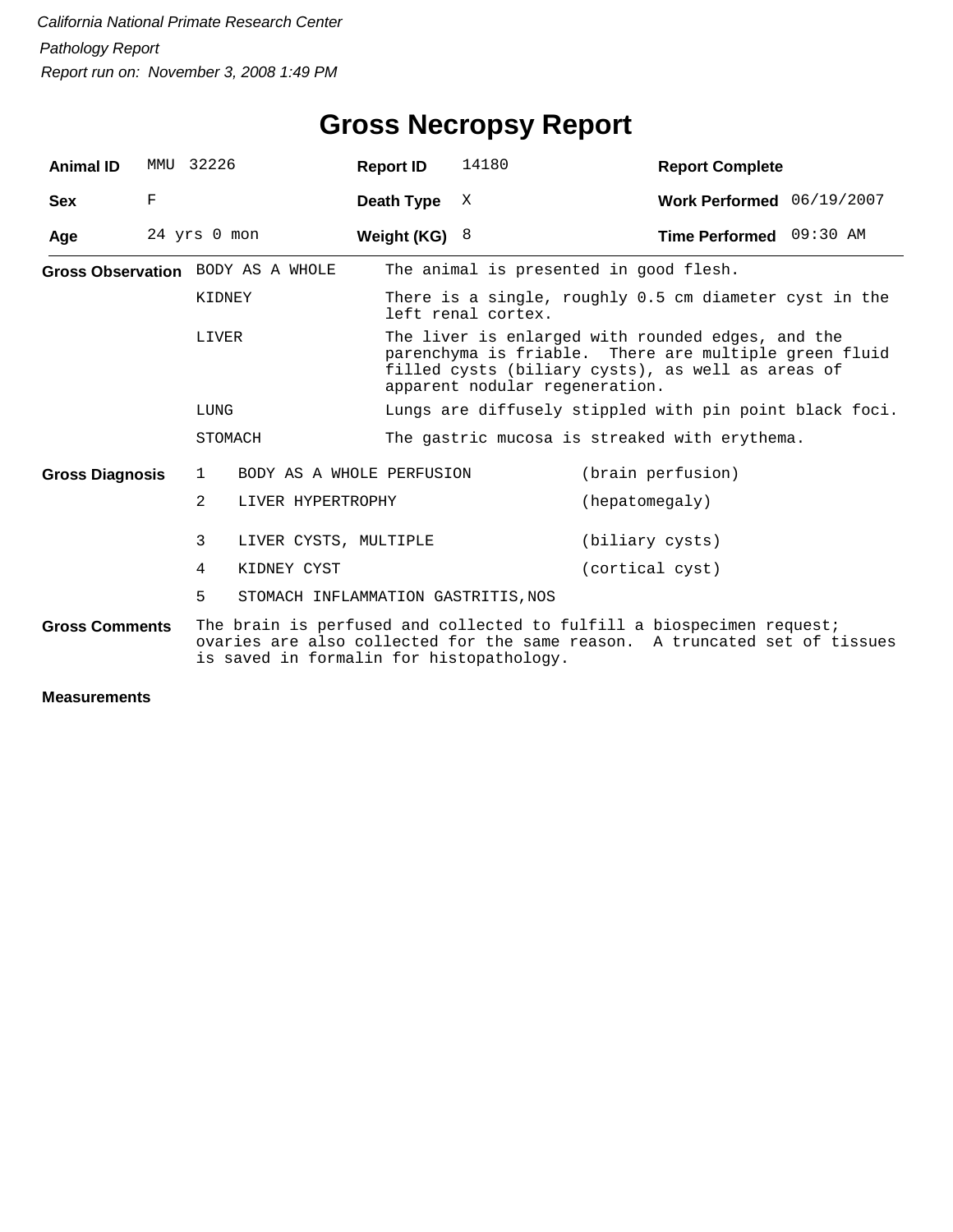| <b>Animal ID</b>       | MMU 32226    |                |                                          | <b>Report ID</b> | 14180                                                                                                                                                                                             | <b>Report Complete</b>                                                                                                                              |  |  |
|------------------------|--------------|----------------|------------------------------------------|------------------|---------------------------------------------------------------------------------------------------------------------------------------------------------------------------------------------------|-----------------------------------------------------------------------------------------------------------------------------------------------------|--|--|
| <b>Sex</b>             | F            |                |                                          | Death Type       | X                                                                                                                                                                                                 | Work Performed 06/19/2007                                                                                                                           |  |  |
| Age                    | 24 yrs 0 mon |                |                                          | Weight (KG) $8$  |                                                                                                                                                                                                   | Time Performed 09:30 AM                                                                                                                             |  |  |
|                        |              |                | Gross Observation BODY AS A WHOLE        |                  |                                                                                                                                                                                                   | The animal is presented in good flesh.                                                                                                              |  |  |
|                        |              | KIDNEY         |                                          |                  | left renal cortex.                                                                                                                                                                                | There is a single, roughly 0.5 cm diameter cyst in the                                                                                              |  |  |
|                        |              | LIVER          |                                          |                  | The liver is enlarged with rounded edges, and the<br>parenchyma is friable. There are multiple green fluid<br>filled cysts (biliary cysts), as well as areas of<br>apparent nodular regeneration. |                                                                                                                                                     |  |  |
|                        |              | LUNG           |                                          |                  |                                                                                                                                                                                                   | Lungs are diffusely stippled with pin point black foci.                                                                                             |  |  |
|                        |              | STOMACH        |                                          |                  |                                                                                                                                                                                                   | The gastric mucosa is streaked with erythema.                                                                                                       |  |  |
| <b>Gross Diagnosis</b> |              | $\mathbf{1}$   | BODY AS A WHOLE PERFUSION                |                  |                                                                                                                                                                                                   | (brain perfusion)                                                                                                                                   |  |  |
|                        |              | $\overline{2}$ | LIVER HYPERTROPHY                        |                  |                                                                                                                                                                                                   | (hepatomegaly)                                                                                                                                      |  |  |
|                        |              | 3              | LIVER CYSTS, MULTIPLE                    |                  |                                                                                                                                                                                                   | (biliary cysts)                                                                                                                                     |  |  |
|                        |              | 4              | KIDNEY CYST                              |                  |                                                                                                                                                                                                   | (cortical cyst)                                                                                                                                     |  |  |
|                        |              | 5              | STOMACH INFLAMMATION GASTRITIS, NOS      |                  |                                                                                                                                                                                                   |                                                                                                                                                     |  |  |
| <b>Gross Comments</b>  |              |                | is saved in formalin for histopathology. |                  |                                                                                                                                                                                                   | The brain is perfused and collected to fulfill a biospecimen request;<br>ovaries are also collected for the same reason. A truncated set of tissues |  |  |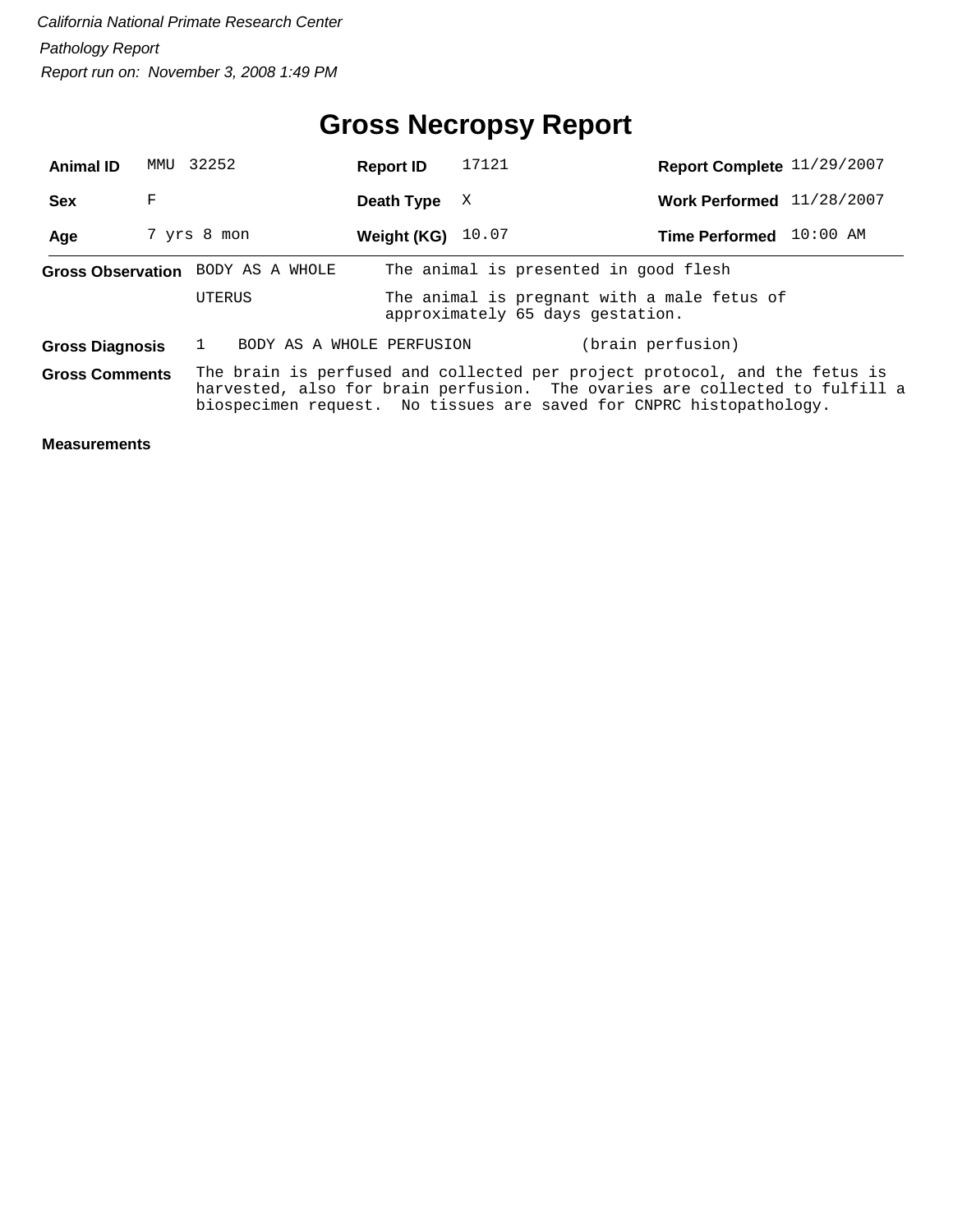| <b>Animal ID</b>                                                                                                                                                                                                                                          | MMU | 32252                             | <b>Report ID</b> | 17121 | Report Complete 11/29/2007                                                      |            |
|-----------------------------------------------------------------------------------------------------------------------------------------------------------------------------------------------------------------------------------------------------------|-----|-----------------------------------|------------------|-------|---------------------------------------------------------------------------------|------------|
| <b>Sex</b>                                                                                                                                                                                                                                                | F   |                                   | Death Type       | X     | Work Performed 11/28/2007                                                       |            |
| Age                                                                                                                                                                                                                                                       |     | 7 yrs 8 mon                       | Weight (KG)      | 10.07 | <b>Time Performed</b>                                                           | $10:00$ AM |
|                                                                                                                                                                                                                                                           |     | Gross Observation BODY AS A WHOLE |                  |       | The animal is presented in good flesh                                           |            |
|                                                                                                                                                                                                                                                           |     | UTERUS                            |                  |       | The animal is pregnant with a male fetus of<br>approximately 65 days gestation. |            |
| <b>Gross Diagnosis</b>                                                                                                                                                                                                                                    |     | BODY AS A WHOLE PERFUSION         |                  |       | (brain perfusion)                                                               |            |
| The brain is perfused and collected per project protocol, and the fetus is<br><b>Gross Comments</b><br>harvested, also for brain perfusion. The ovaries are collected to fulfill a<br>biospecimen request. No tissues are saved for CNPRC histopathology. |     |                                   |                  |       |                                                                                 |            |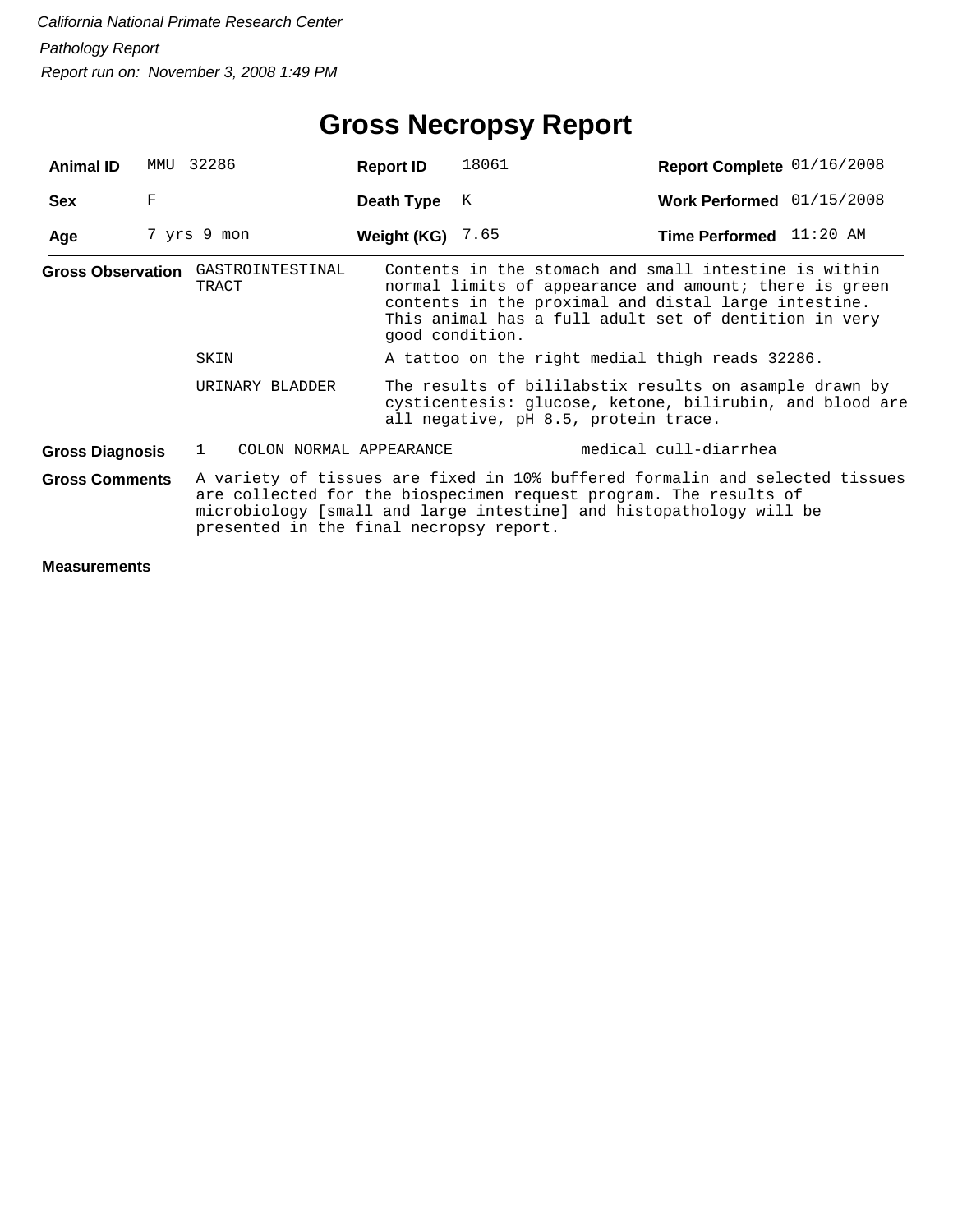| <b>Animal ID</b>       | MMU | 32286                                       | <b>Report ID</b>   | 18061                                                                                                                                                                                                                            | Report Complete 01/16/2008 |  |
|------------------------|-----|---------------------------------------------|--------------------|----------------------------------------------------------------------------------------------------------------------------------------------------------------------------------------------------------------------------------|----------------------------|--|
| <b>Sex</b>             | F   |                                             | Death Type         | К                                                                                                                                                                                                                                | Work Performed 01/15/2008  |  |
| Age                    |     | 7 yrs 9 mon                                 | Weight (KG) $7.65$ |                                                                                                                                                                                                                                  | Time Performed 11:20 AM    |  |
|                        |     | Gross Observation GASTROINTESTINAL<br>TRACT | good condition.    | Contents in the stomach and small intestine is within<br>normal limits of appearance and amount; there is green<br>contents in the proximal and distal large intestine.<br>This animal has a full adult set of dentition in very |                            |  |
|                        |     | SKIN                                        |                    | A tattoo on the right medial thigh reads 32286.                                                                                                                                                                                  |                            |  |
|                        |     | URINARY BLADDER                             |                    | The results of bililabstix results on asample drawn by<br>cysticentesis: glucose, ketone, bilirubin, and blood are<br>all negative, pH 8.5, protein trace.                                                                       |                            |  |
| <b>Gross Diagnosis</b> |     | COLON NORMAL APPEARANCE<br>1.               |                    |                                                                                                                                                                                                                                  | medical cull-diarrhea      |  |
| <b>Gross Comments</b>  |     | presented in the final necropsy report.     |                    | A variety of tissues are fixed in 10% buffered formalin and selected tissues<br>are collected for the biospecimen request program. The results of<br>microbiology [small and large intestine] and histopathology will be         |                            |  |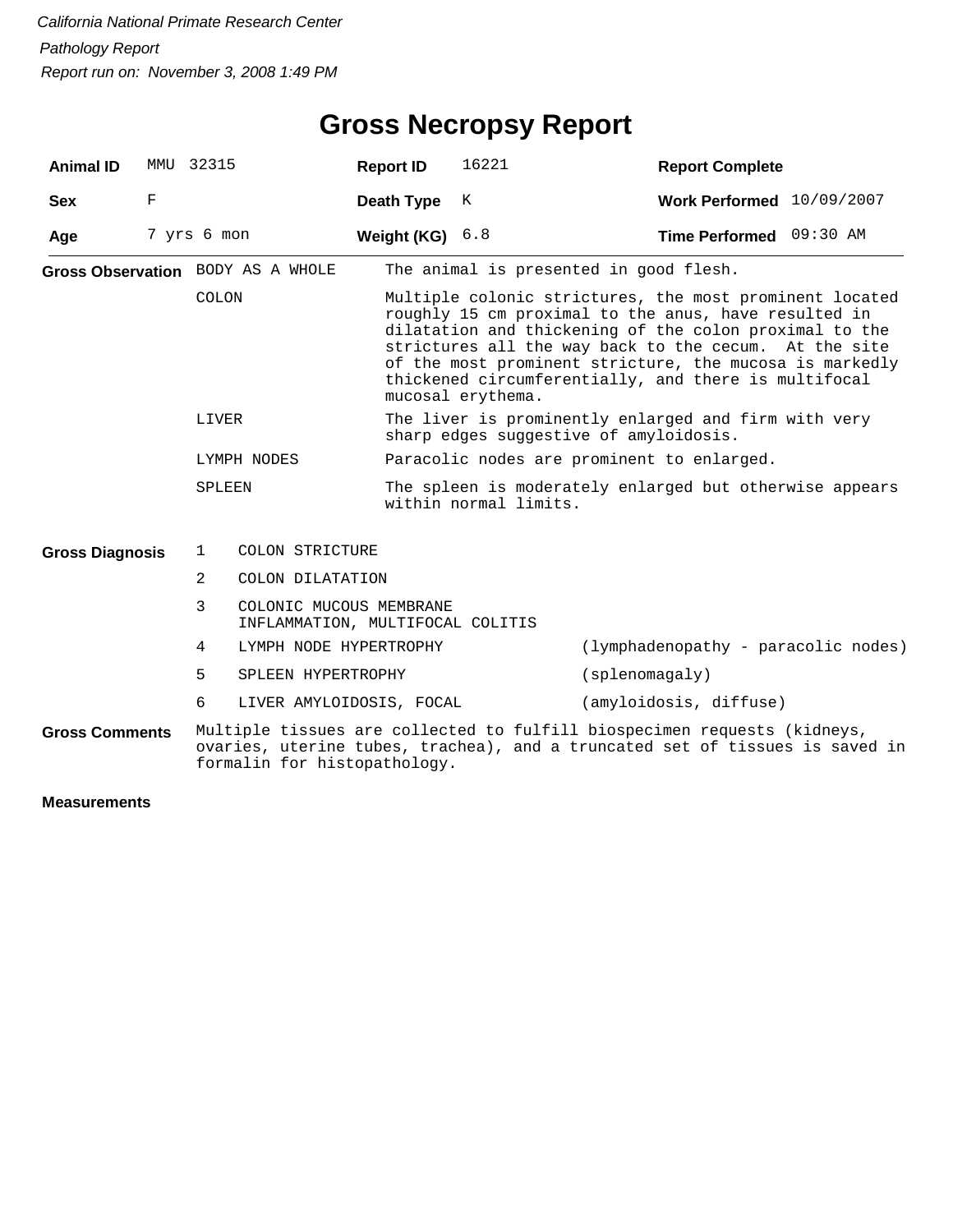| <b>Animal ID</b>       |   | MMU 32315   |                                                             | <b>Report ID</b>                                                                 | 16221                                                                                                                                                                                                                                                                                                                                                                      | <b>Report Complete</b>                                                                                                                                   |  |  |
|------------------------|---|-------------|-------------------------------------------------------------|----------------------------------------------------------------------------------|----------------------------------------------------------------------------------------------------------------------------------------------------------------------------------------------------------------------------------------------------------------------------------------------------------------------------------------------------------------------------|----------------------------------------------------------------------------------------------------------------------------------------------------------|--|--|
| <b>Sex</b>             | F |             |                                                             | Death Type                                                                       | K                                                                                                                                                                                                                                                                                                                                                                          | Work Performed 10/09/2007                                                                                                                                |  |  |
| Age                    |   | 7 yrs 6 mon |                                                             | Weight (KG) $6.8$                                                                |                                                                                                                                                                                                                                                                                                                                                                            | Time Performed 09:30 AM                                                                                                                                  |  |  |
|                        |   |             | Gross Observation BODY AS A WHOLE                           |                                                                                  | The animal is presented in good flesh.                                                                                                                                                                                                                                                                                                                                     |                                                                                                                                                          |  |  |
|                        |   | COLON       |                                                             |                                                                                  | Multiple colonic strictures, the most prominent located<br>roughly 15 cm proximal to the anus, have resulted in<br>dilatation and thickening of the colon proximal to the<br>strictures all the way back to the cecum. At the site<br>of the most prominent stricture, the mucosa is markedly<br>thickened circumferentially, and there is multifocal<br>mucosal erythema. |                                                                                                                                                          |  |  |
|                        |   | LIVER       |                                                             |                                                                                  | The liver is prominently enlarged and firm with very<br>sharp edges suggestive of amyloidosis.                                                                                                                                                                                                                                                                             |                                                                                                                                                          |  |  |
|                        |   |             | LYMPH NODES                                                 |                                                                                  |                                                                                                                                                                                                                                                                                                                                                                            | Paracolic nodes are prominent to enlarged.                                                                                                               |  |  |
| SPLEEN                 |   |             |                                                             | The spleen is moderately enlarged but otherwise appears<br>within normal limits. |                                                                                                                                                                                                                                                                                                                                                                            |                                                                                                                                                          |  |  |
| <b>Gross Diagnosis</b> |   | 1           | COLON STRICTURE                                             |                                                                                  |                                                                                                                                                                                                                                                                                                                                                                            |                                                                                                                                                          |  |  |
|                        |   | 2           | COLON DILATATION                                            |                                                                                  |                                                                                                                                                                                                                                                                                                                                                                            |                                                                                                                                                          |  |  |
|                        |   | 3           | COLONIC MUCOUS MEMBRANE<br>INFLAMMATION, MULTIFOCAL COLITIS |                                                                                  |                                                                                                                                                                                                                                                                                                                                                                            |                                                                                                                                                          |  |  |
|                        |   | 4           | LYMPH NODE HYPERTROPHY                                      |                                                                                  |                                                                                                                                                                                                                                                                                                                                                                            | (lymphadenopathy - paracolic nodes)                                                                                                                      |  |  |
|                        |   | 5           | SPLEEN HYPERTROPHY                                          |                                                                                  |                                                                                                                                                                                                                                                                                                                                                                            | (spherical y)                                                                                                                                            |  |  |
|                        |   | 6           | LIVER AMYLOIDOSIS, FOCAL                                    |                                                                                  |                                                                                                                                                                                                                                                                                                                                                                            | (amyloidosis, diffuse)                                                                                                                                   |  |  |
| <b>Gross Comments</b>  |   |             | formalin for histopathology.                                |                                                                                  |                                                                                                                                                                                                                                                                                                                                                                            | Multiple tissues are collected to fulfill biospecimen requests (kidneys,<br>ovaries, uterine tubes, trachea), and a truncated set of tissues is saved in |  |  |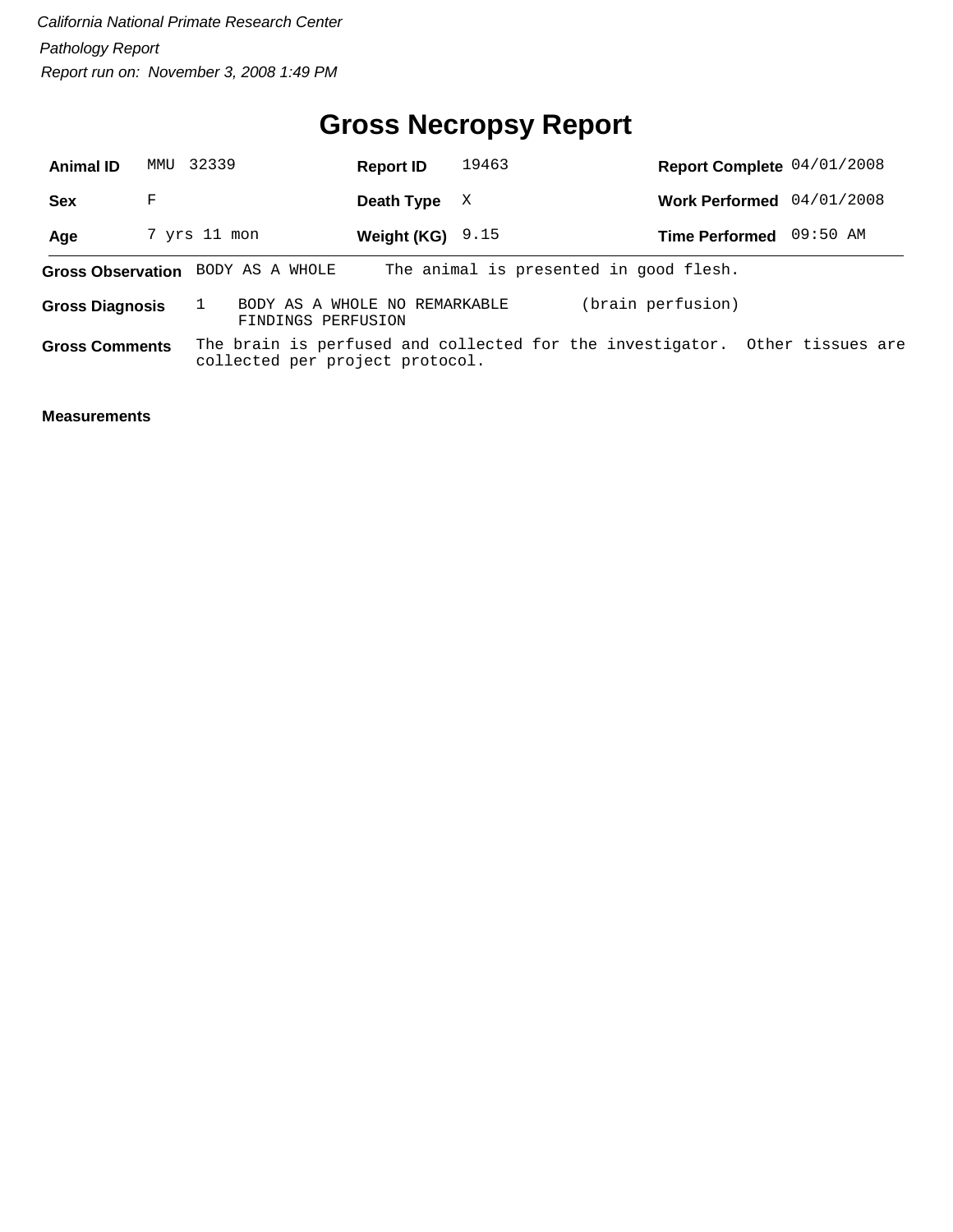#### **Gross Necropsy Report**

| <b>Animal ID</b>       |   | MMU 32339                         | <b>Report ID</b>                                    | 19463 |                                                                             | Report Complete 04/01/2008 |
|------------------------|---|-----------------------------------|-----------------------------------------------------|-------|-----------------------------------------------------------------------------|----------------------------|
| <b>Sex</b>             | F |                                   | Death Type                                          | X     |                                                                             | Work Performed 04/01/2008  |
| Age                    |   | 7 yrs 11 mon                      | Weight (KG) $9.15$                                  |       |                                                                             | Time Performed 09:50 AM    |
|                        |   | Gross Observation BODY AS A WHOLE |                                                     |       | The animal is presented in good flesh.                                      |                            |
| <b>Gross Diagnosis</b> |   |                                   | BODY AS A WHOLE NO REMARKABLE<br>FINDINGS PERFUSION |       | (brain perfusion)                                                           |                            |
| <b>Gross Comments</b>  |   |                                   | collected per project protocol.                     |       | The brain is perfused and collected for the investigator. Other tissues are |                            |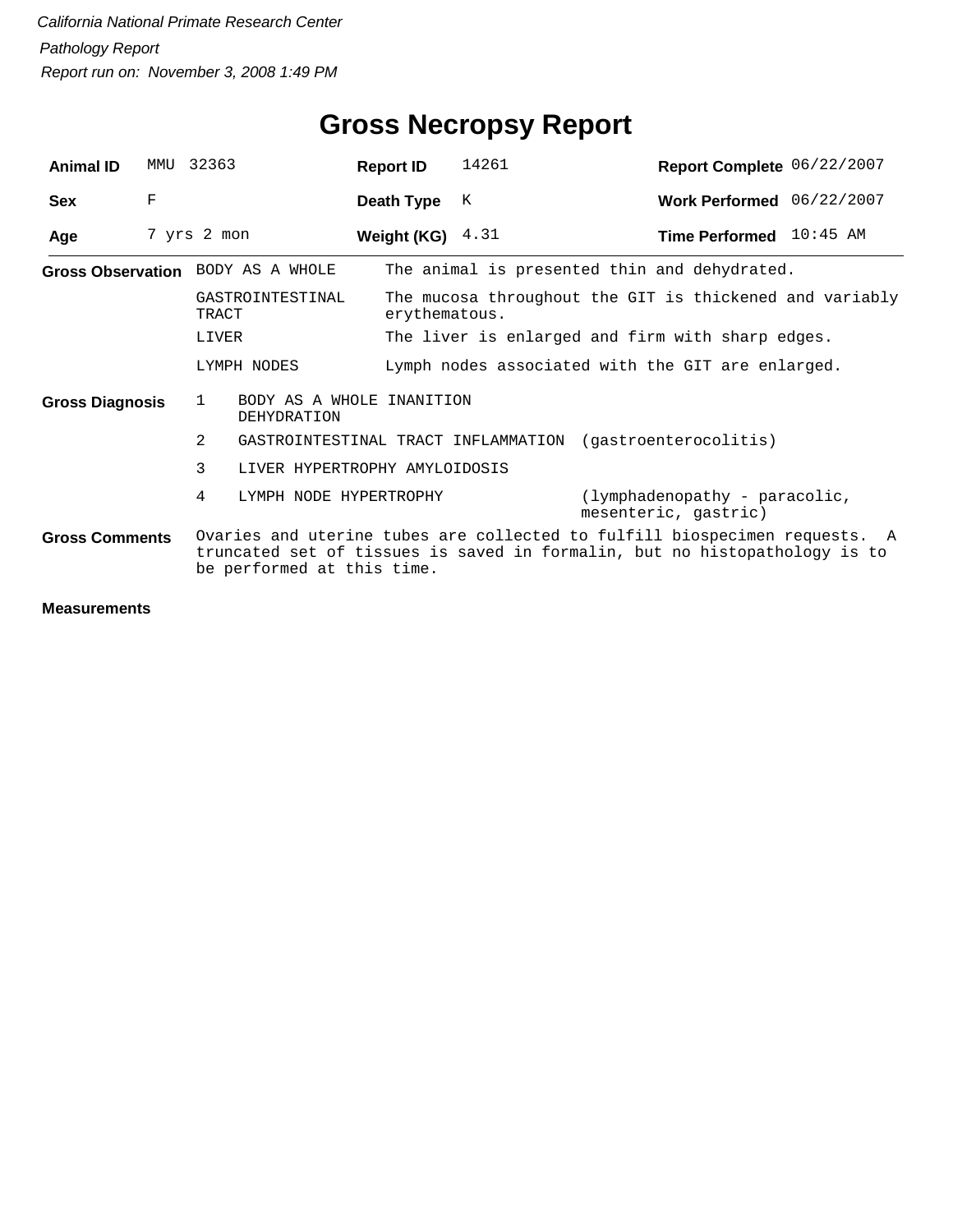| <b>Animal ID</b>                                                                                                                                                                                                | MMTJ | 32363                                          | <b>Report ID</b>   | 14261                                                                    | Report Complete 06/22/2007                                |  |  |  |
|-----------------------------------------------------------------------------------------------------------------------------------------------------------------------------------------------------------------|------|------------------------------------------------|--------------------|--------------------------------------------------------------------------|-----------------------------------------------------------|--|--|--|
| <b>Sex</b>                                                                                                                                                                                                      | F    |                                                | Death Type         | К                                                                        | Work Performed 06/22/2007                                 |  |  |  |
| Age                                                                                                                                                                                                             |      | 7 yrs 2 mon                                    | Weight (KG) $4.31$ |                                                                          | Time Performed 10:45 AM                                   |  |  |  |
|                                                                                                                                                                                                                 |      | Gross Observation BODY AS A WHOLE              |                    |                                                                          | The animal is presented thin and dehydrated.              |  |  |  |
|                                                                                                                                                                                                                 |      | GASTROINTESTINAL<br>TRACT                      |                    | The mucosa throughout the GIT is thickened and variably<br>erythematous. |                                                           |  |  |  |
| LIVER                                                                                                                                                                                                           |      |                                                |                    |                                                                          | The liver is enlarged and firm with sharp edges.          |  |  |  |
|                                                                                                                                                                                                                 |      | LYMPH NODES                                    |                    |                                                                          | Lymph nodes associated with the GIT are enlarged.         |  |  |  |
| <b>Gross Diagnosis</b>                                                                                                                                                                                          |      | BODY AS A WHOLE INANITION<br>-1<br>DEHYDRATION |                    |                                                                          |                                                           |  |  |  |
|                                                                                                                                                                                                                 |      | 2                                              |                    |                                                                          | GASTROINTESTINAL TRACT INFLAMMATION (gastroenterocolitis) |  |  |  |
|                                                                                                                                                                                                                 |      | 3<br>LIVER HYPERTROPHY AMYLOIDOSIS             |                    |                                                                          |                                                           |  |  |  |
|                                                                                                                                                                                                                 |      | 4<br>LYMPH NODE HYPERTROPHY                    |                    |                                                                          | (lymphadenopathy - paracolic,<br>mesenteric, gastric)     |  |  |  |
| Ovaries and uterine tubes are collected to fulfill biospecimen requests. A<br><b>Gross Comments</b><br>truncated set of tissues is saved in formalin, but no histopathology is to<br>be performed at this time. |      |                                                |                    |                                                                          |                                                           |  |  |  |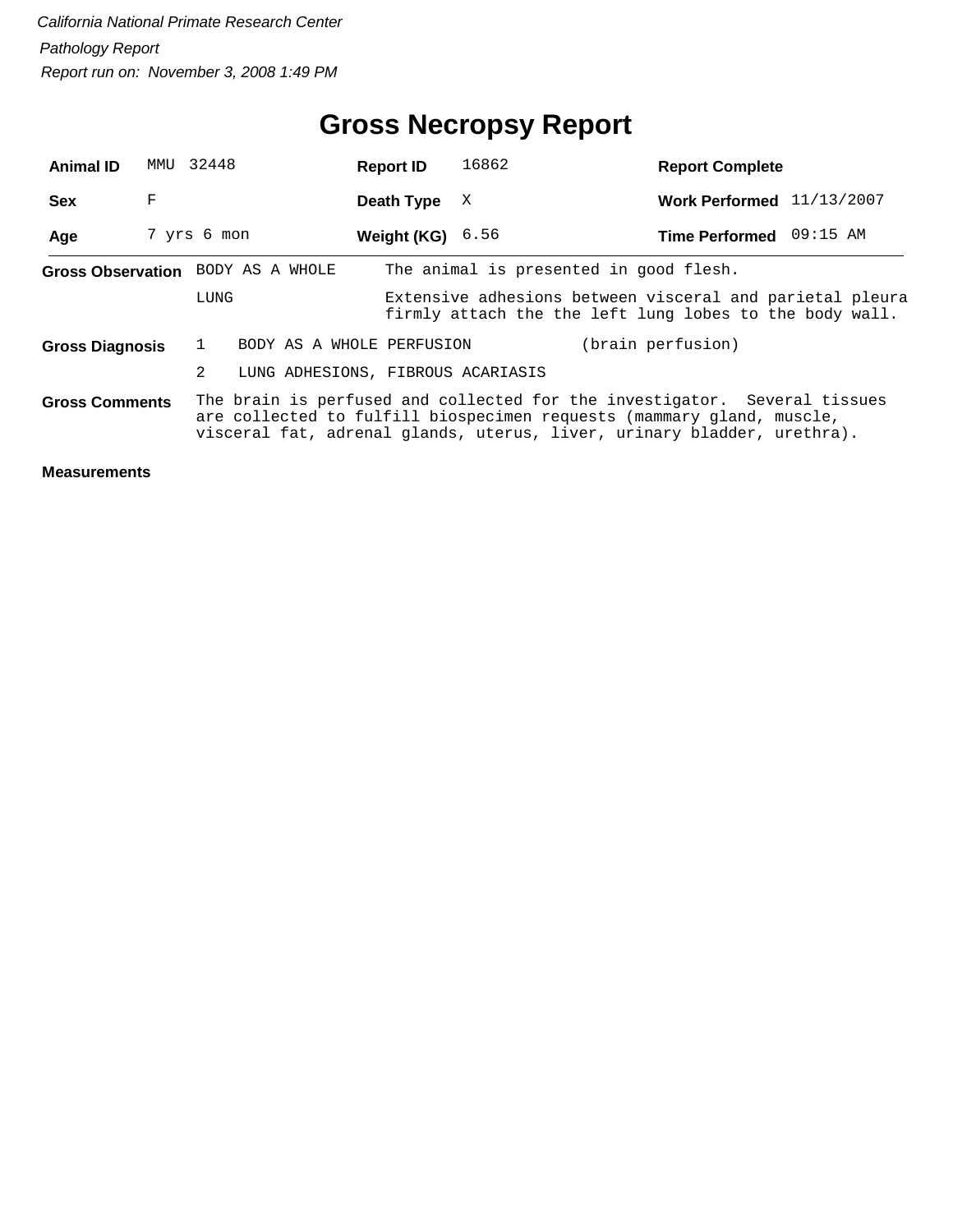| <b>Animal ID</b>       |   | MMU 32448                              | <b>Report ID</b> | 16862                                                                                                                                                                                                                         | <b>Report Complete</b>    |  |
|------------------------|---|----------------------------------------|------------------|-------------------------------------------------------------------------------------------------------------------------------------------------------------------------------------------------------------------------------|---------------------------|--|
| <b>Sex</b>             | F |                                        | Death Type       | X                                                                                                                                                                                                                             | Work Performed 11/13/2007 |  |
| Age                    |   | 7 yrs 6 mon                            | Weight (KG)      | 6.56                                                                                                                                                                                                                          | Time Performed 09:15 AM   |  |
|                        |   | Gross Observation BODY AS A WHOLE      |                  | The animal is presented in good flesh.                                                                                                                                                                                        |                           |  |
|                        |   | LUNG                                   |                  | Extensive adhesions between visceral and parietal pleura<br>firmly attach the the left lung lobes to the body wall.                                                                                                           |                           |  |
| <b>Gross Diagnosis</b> |   | BODY AS A WHOLE PERFUSION              |                  |                                                                                                                                                                                                                               | (brain perfusion)         |  |
|                        |   | 2<br>LUNG ADHESIONS, FIBROUS ACARIASIS |                  |                                                                                                                                                                                                                               |                           |  |
| <b>Gross Comments</b>  |   |                                        |                  | The brain is perfused and collected for the investigator. Several tissues<br>are collected to fulfill biospecimen requests (mammary gland, muscle,<br>visceral fat, adrenal glands, uterus, liver, urinary bladder, urethra). |                           |  |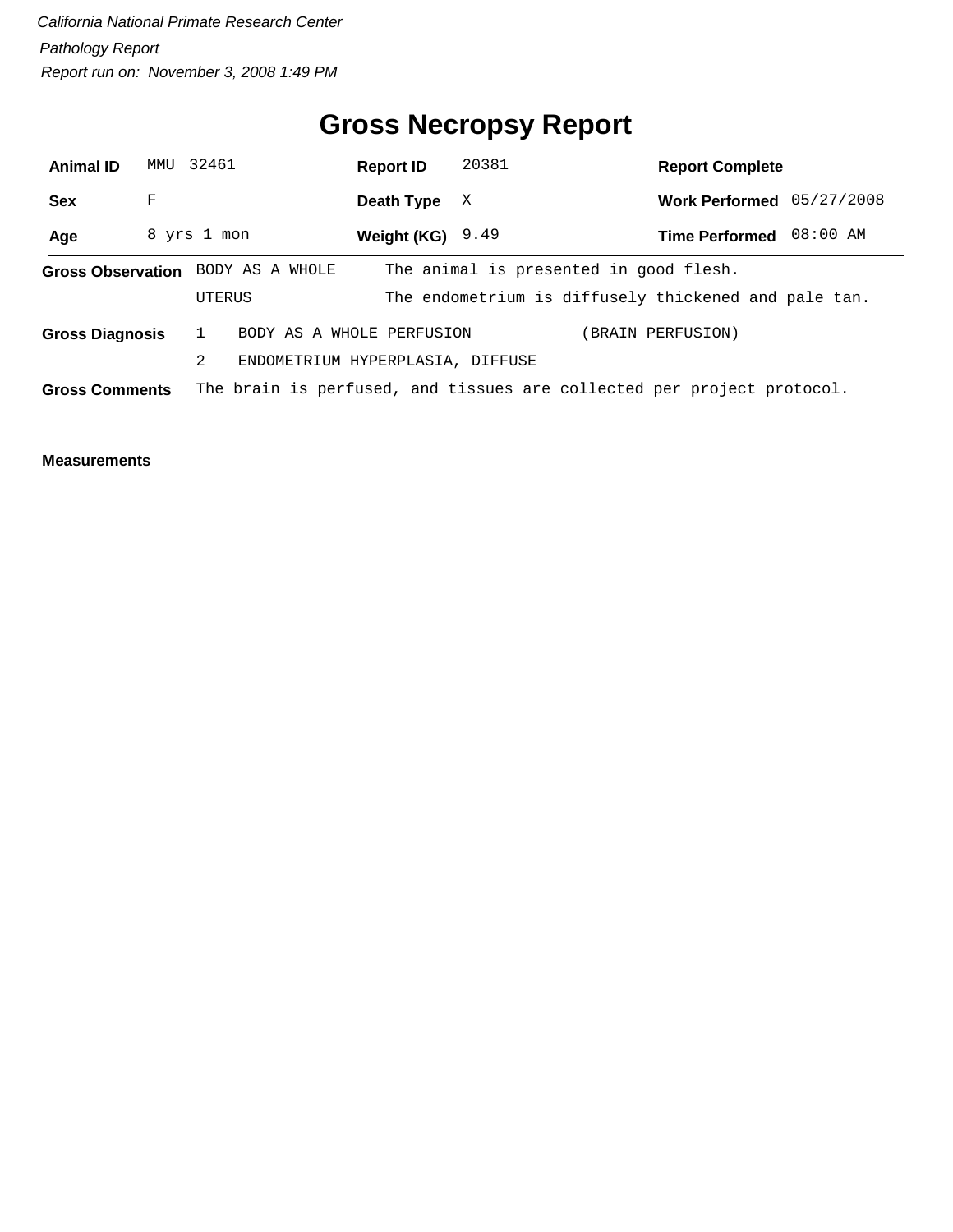## **Gross Necropsy Report**

| <b>Animal ID</b>                                                                                | MMU | 32461                             | <b>Report ID</b>                 | 20381 | <b>Report Complete</b>                               |          |
|-------------------------------------------------------------------------------------------------|-----|-----------------------------------|----------------------------------|-------|------------------------------------------------------|----------|
| <b>Sex</b>                                                                                      | F   |                                   | Death Type                       | X     | Work Performed $05/27/2008$                          |          |
| Age                                                                                             |     | 8 yrs 1 mon                       | Weight (KG) $9.49$               |       | <b>Time Performed</b>                                | 08:00 AM |
|                                                                                                 |     | Gross Observation BODY AS A WHOLE |                                  |       | The animal is presented in good flesh.               |          |
|                                                                                                 |     | UTERUS                            |                                  |       | The endometrium is diffusely thickened and pale tan. |          |
| <b>Gross Diagnosis</b>                                                                          |     |                                   | BODY AS A WHOLE PERFUSION        |       | (BRAIN PERFUSION)                                    |          |
|                                                                                                 |     | 2                                 | ENDOMETRIUM HYPERPLASIA, DIFFUSE |       |                                                      |          |
| The brain is perfused, and tissues are collected per project protocol.<br><b>Gross Comments</b> |     |                                   |                                  |       |                                                      |          |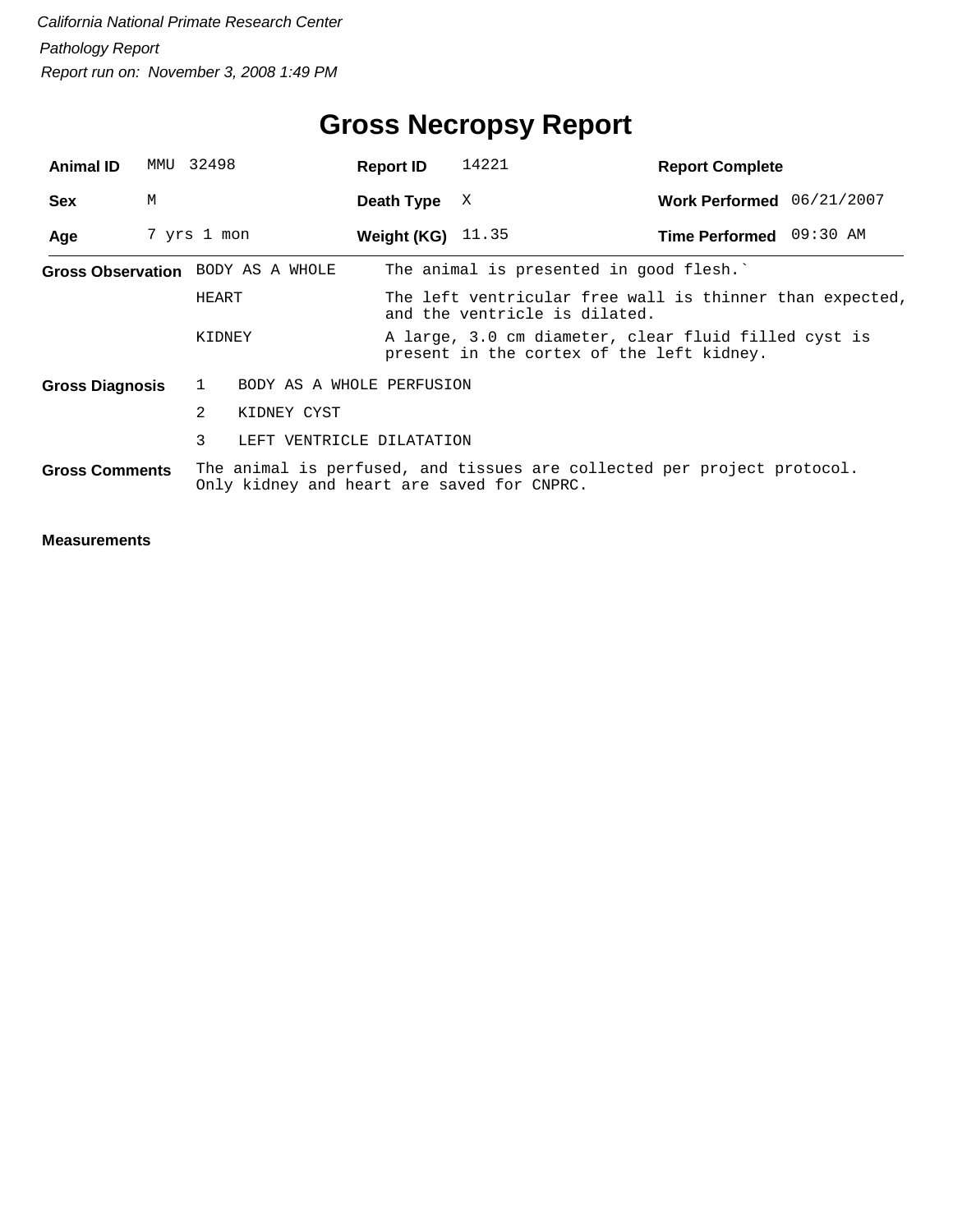## **Gross Necropsy Report**

| <b>Animal ID</b>       | MMU 32498   |              |                                   | <b>Report ID</b>                                                                          | 14221                                                                                                                 | <b>Report Complete</b>    |  |  |
|------------------------|-------------|--------------|-----------------------------------|-------------------------------------------------------------------------------------------|-----------------------------------------------------------------------------------------------------------------------|---------------------------|--|--|
| <b>Sex</b>             | М           |              |                                   | Death Type                                                                                | X                                                                                                                     | Work Performed 06/21/2007 |  |  |
| Age                    | 7 yrs 1 mon |              |                                   | <b>Weight (KG)</b> $11.35$                                                                |                                                                                                                       | Time Performed 09:30 AM   |  |  |
|                        |             |              | Gross Observation BODY AS A WHOLE |                                                                                           | The animal is presented in good flesh.                                                                                |                           |  |  |
|                        |             | HEART        |                                   | The left ventricular free wall is thinner than expected,<br>and the ventricle is dilated. |                                                                                                                       |                           |  |  |
|                        |             | KIDNEY       |                                   |                                                                                           | A large, 3.0 cm diameter, clear fluid filled cyst is<br>present in the cortex of the left kidney.                     |                           |  |  |
| <b>Gross Diagnosis</b> |             | $\mathbf{1}$ | BODY AS A WHOLE PERFUSION         |                                                                                           |                                                                                                                       |                           |  |  |
|                        |             | 2            | KIDNEY CYST                       |                                                                                           |                                                                                                                       |                           |  |  |
|                        |             | 3            | LEFT VENTRICLE DILATATION         |                                                                                           |                                                                                                                       |                           |  |  |
| <b>Gross Comments</b>  |             |              |                                   |                                                                                           | The animal is perfused, and tissues are collected per project protocol.<br>Only kidney and heart are saved for CNPRC. |                           |  |  |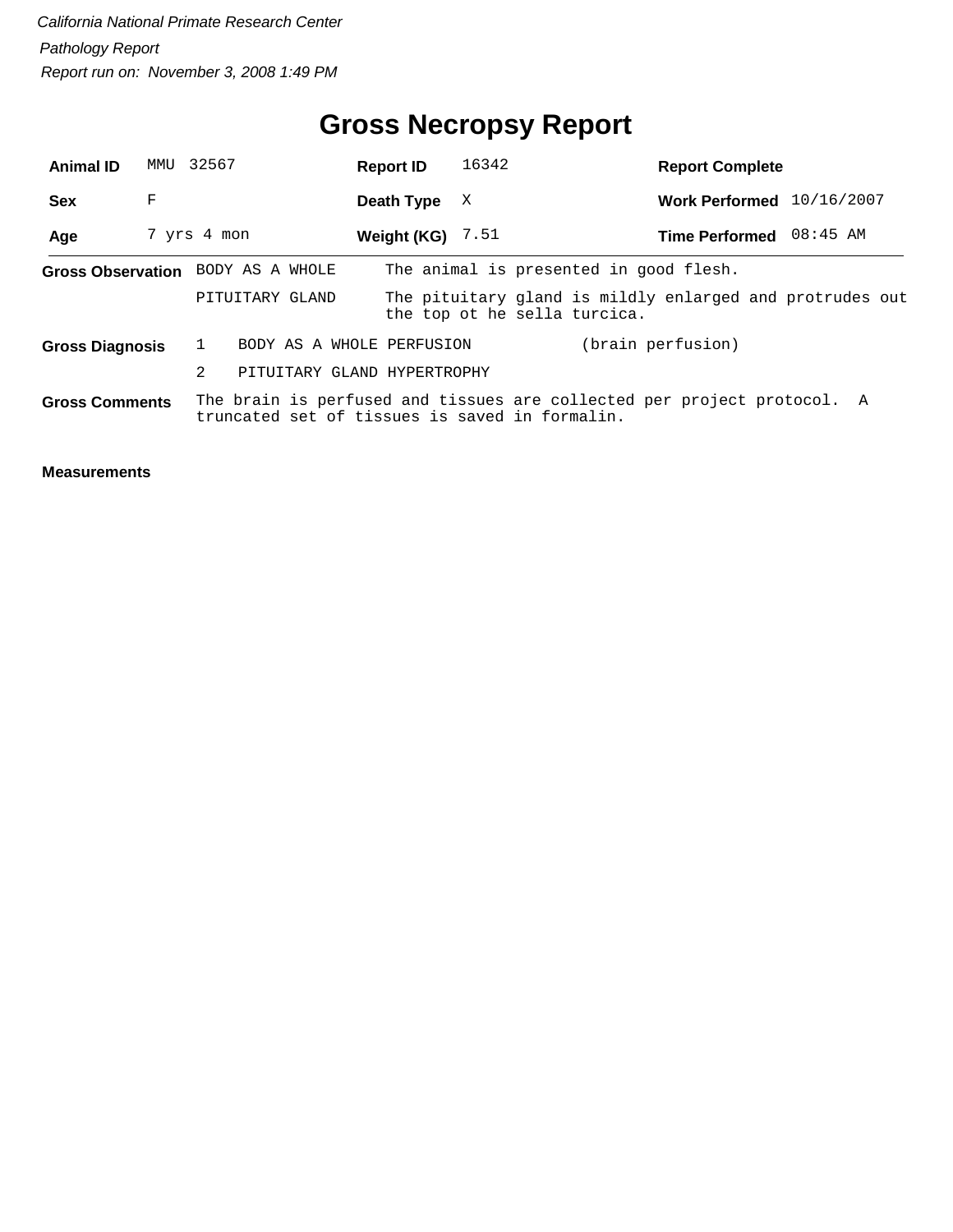## **Gross Necropsy Report**

| <b>Animal ID</b>       |   | MMU 32567                                      | <b>Report ID</b>            | 16342                        | <b>Report Complete</b>                                                  |  |
|------------------------|---|------------------------------------------------|-----------------------------|------------------------------|-------------------------------------------------------------------------|--|
| <b>Sex</b>             | F |                                                | Death Type                  | X                            | Work Performed 10/16/2007                                               |  |
| Age                    |   | 7 yrs 4 mon                                    | Weight (KG)                 | 7.51                         | Time Performed 08:45 AM                                                 |  |
|                        |   | Gross Observation BODY AS A WHOLE              |                             |                              | The animal is presented in good flesh.                                  |  |
|                        |   | PITUITARY GLAND                                |                             | the top ot he sella turcica. | The pituitary gland is mildly enlarged and protrudes out                |  |
| <b>Gross Diagnosis</b> |   |                                                | BODY AS A WHOLE PERFUSION   |                              | (brain perfusion)                                                       |  |
|                        |   | 2                                              | PITUITARY GLAND HYPERTROPHY |                              |                                                                         |  |
| <b>Gross Comments</b>  |   | truncated set of tissues is saved in formalin. |                             |                              | The brain is perfused and tissues are collected per project protocol. A |  |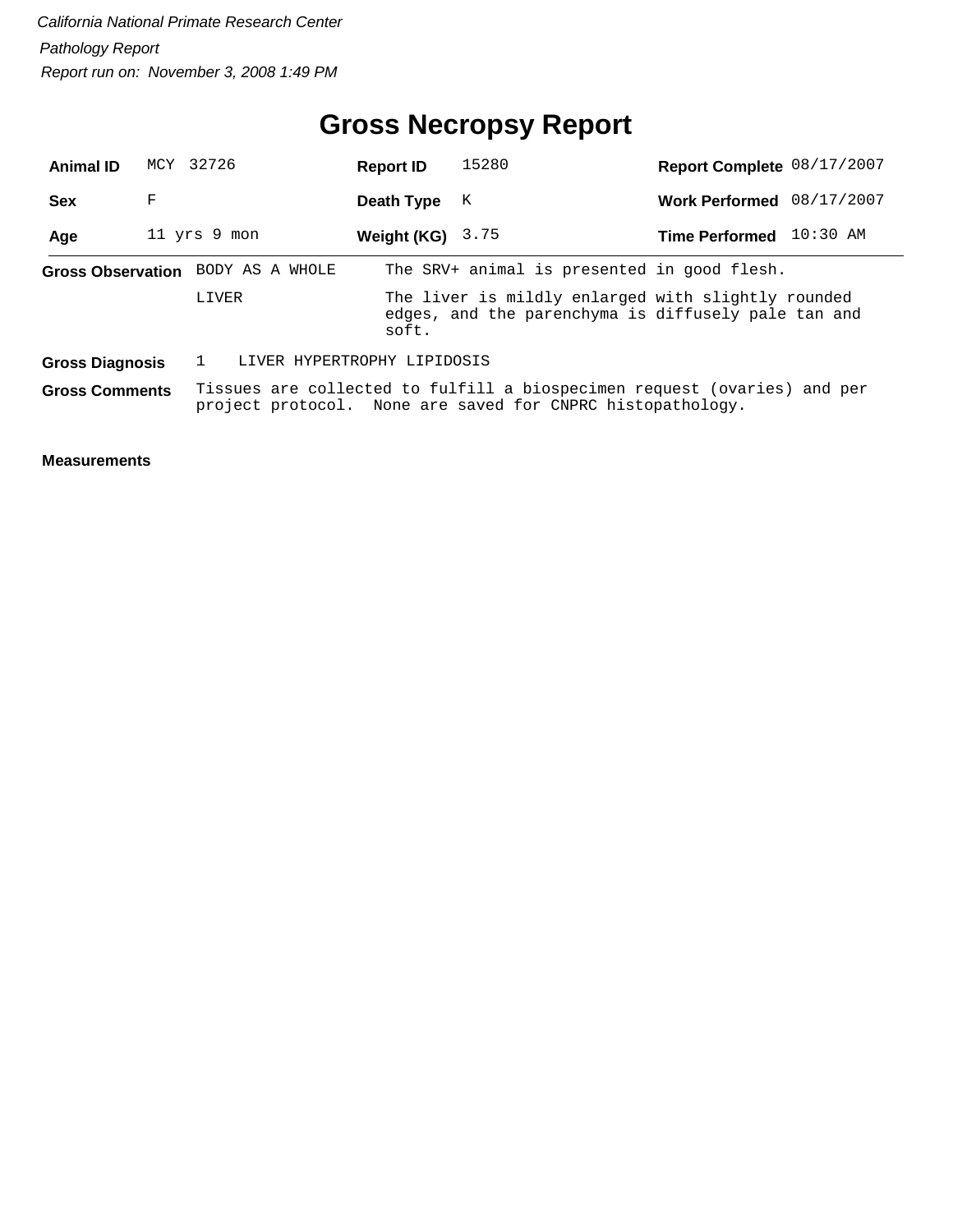## **Gross Necropsy Report**

| <b>Animal ID</b>       |   | MCY 32726                         | <b>Report ID</b>                                                                                                                       | 15280                                                                                                     | Report Complete 08/17/2007 |            |
|------------------------|---|-----------------------------------|----------------------------------------------------------------------------------------------------------------------------------------|-----------------------------------------------------------------------------------------------------------|----------------------------|------------|
| <b>Sex</b>             | F |                                   | Death Type                                                                                                                             | К                                                                                                         | <b>Work Performed</b>      | 08/17/2007 |
| Age                    |   | 11 yrs 9 mon                      | Weight (KG) $3.75$                                                                                                                     |                                                                                                           | <b>Time Performed</b>      | $10:30$ AM |
|                        |   | Gross Observation BODY AS A WHOLE |                                                                                                                                        | The SRV+ animal is presented in good flesh.                                                               |                            |            |
|                        |   | LIVER                             | soft.                                                                                                                                  | The liver is mildly enlarged with slightly rounded<br>edges, and the parenchyma is diffusely pale tan and |                            |            |
| <b>Gross Diagnosis</b> |   | LIVER HYPERTROPHY LIPIDOSIS       |                                                                                                                                        |                                                                                                           |                            |            |
| <b>Gross Comments</b>  |   |                                   | Tissues are collected to fulfill a biospecimen request (ovaries) and per<br>project protocol. None are saved for CNPRC histopathology. |                                                                                                           |                            |            |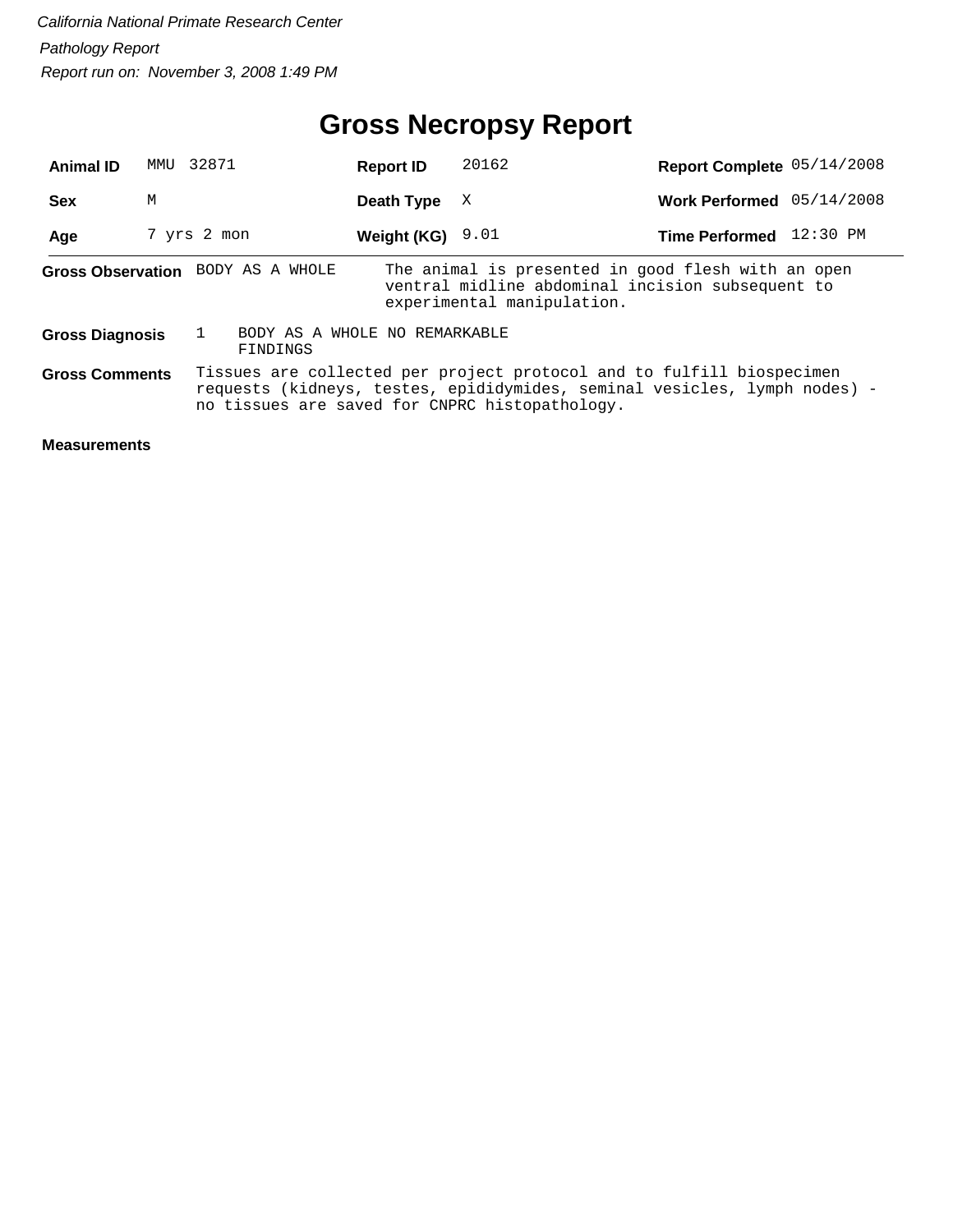## **Gross Necropsy Report**

| <b>Animal ID</b>       | MMU | 32871                             | <b>Report ID</b>              | 20162                                                                                                                                                                                                | Report Complete 05/14/2008 |          |
|------------------------|-----|-----------------------------------|-------------------------------|------------------------------------------------------------------------------------------------------------------------------------------------------------------------------------------------------|----------------------------|----------|
| <b>Sex</b>             | М   |                                   | Death Type                    | X                                                                                                                                                                                                    | Work Performed 05/14/2008  |          |
| Age                    |     | 7 yrs 2 mon                       | Weight (KG) $9.01$            |                                                                                                                                                                                                      | <b>Time Performed</b>      | 12:30 PM |
|                        |     | Gross Observation BODY AS A WHOLE |                               | The animal is presented in good flesh with an open<br>ventral midline abdominal incision subsequent to<br>experimental manipulation.                                                                 |                            |          |
| <b>Gross Diagnosis</b> |     | FINDINGS                          | BODY AS A WHOLE NO REMARKABLE |                                                                                                                                                                                                      |                            |          |
| <b>Gross Comments</b>  |     |                                   |                               | Tissues are collected per project protocol and to fulfill biospecimen<br>requests (kidneys, testes, epididymides, seminal vesicles, lymph nodes) -<br>no tissues are saved for CNPRC histopathology. |                            |          |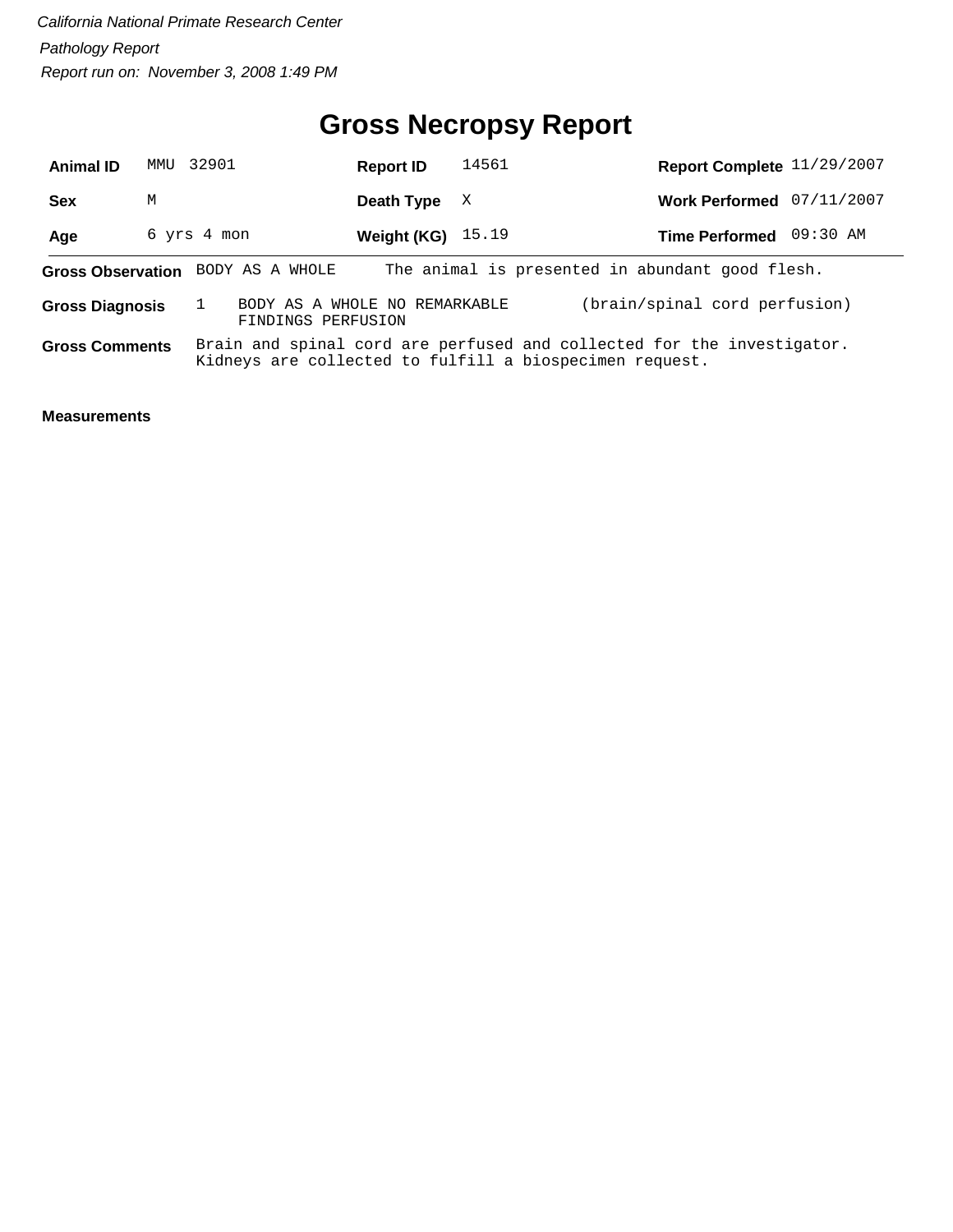#### **Gross Necropsy Report**

| <b>Animal ID</b>                                                                                               | MMTJ | 32901       | <b>Report ID</b>    | 14561 | Report Complete 11/29/2007                                                                                                        |  |  |
|----------------------------------------------------------------------------------------------------------------|------|-------------|---------------------|-------|-----------------------------------------------------------------------------------------------------------------------------------|--|--|
| <b>Sex</b>                                                                                                     | М    |             | Death Type          | X     | Work Performed 07/11/2007                                                                                                         |  |  |
| Age                                                                                                            |      | 6 yrs 4 mon | Weight (KG) $15.19$ |       | Time Performed 09:30 AM                                                                                                           |  |  |
| The animal is presented in abundant good flesh.<br>BODY AS A WHOLE<br><b>Gross Observation</b>                 |      |             |                     |       |                                                                                                                                   |  |  |
| (brain/spinal cord perfusion)<br>BODY AS A WHOLE NO REMARKABLE<br><b>Gross Diagnosis</b><br>FINDINGS PERFUSION |      |             |                     |       |                                                                                                                                   |  |  |
| <b>Gross Comments</b>                                                                                          |      |             |                     |       | Brain and spinal cord are perfused and collected for the investigator.<br>Kidneys are collected to fulfill a biospecimen request. |  |  |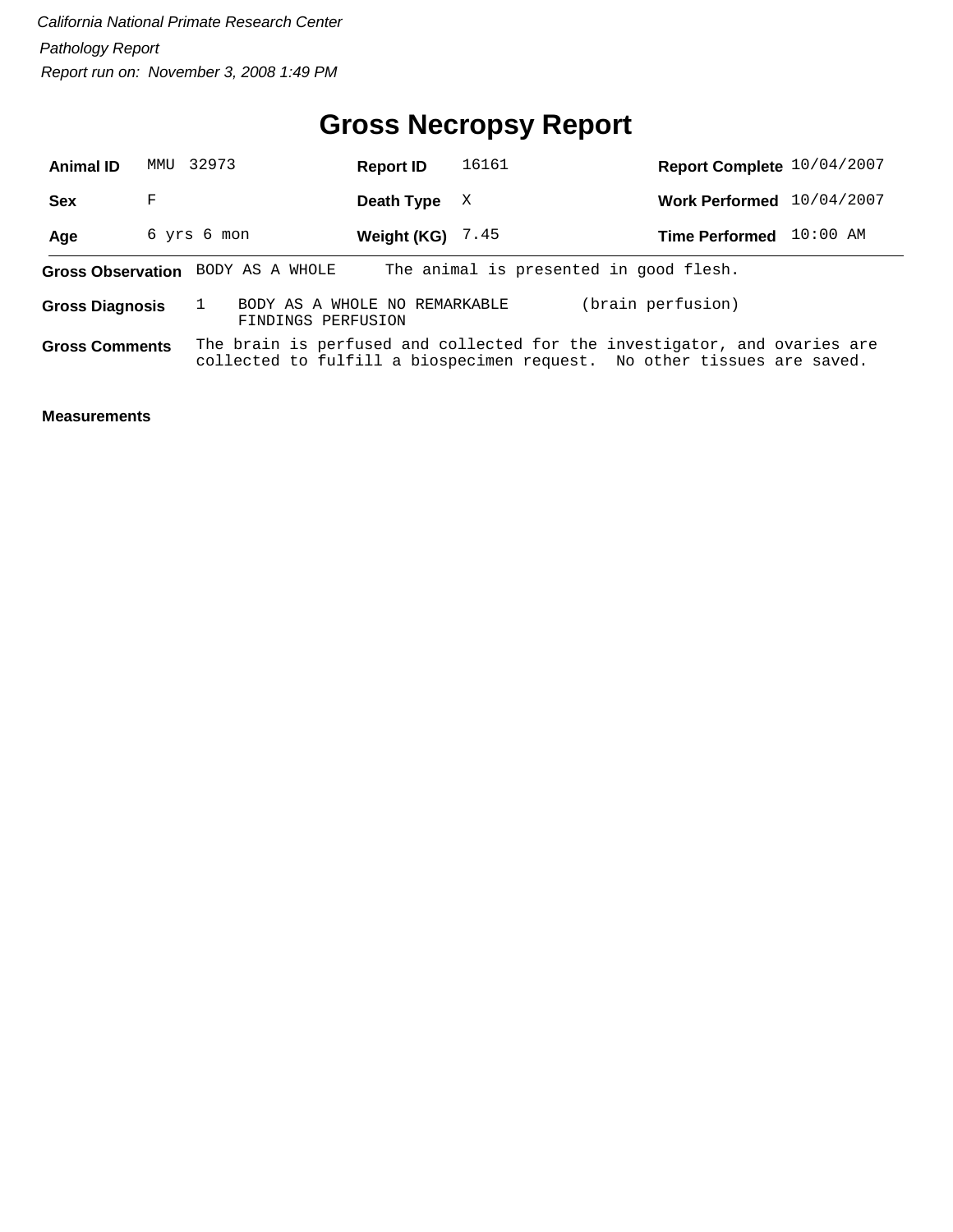#### **Gross Necropsy Report**

| <b>Animal ID</b>       | MMTJ | 32973                                               | <b>Report ID</b>   | 16161                                                                                                                                                | Report Complete 10/04/2007 |            |
|------------------------|------|-----------------------------------------------------|--------------------|------------------------------------------------------------------------------------------------------------------------------------------------------|----------------------------|------------|
| <b>Sex</b>             | F    |                                                     | Death Type         | X                                                                                                                                                    | Work Performed 10/04/2007  |            |
| Age                    |      | 6 yrs 6 mon                                         | Weight (KG) $7.45$ |                                                                                                                                                      | <b>Time Performed</b>      | $10:00$ AM |
|                        |      | Gross Observation BODY AS A WHOLE                   |                    | The animal is presented in good flesh.                                                                                                               |                            |            |
| <b>Gross Diagnosis</b> |      | BODY AS A WHOLE NO REMARKABLE<br>FINDINGS PERFUSION |                    |                                                                                                                                                      | (brain perfusion)          |            |
| <b>Gross Comments</b>  |      |                                                     |                    | The brain is perfused and collected for the investigator, and ovaries are<br>collected to fulfill a biospecimen request. No other tissues are saved. |                            |            |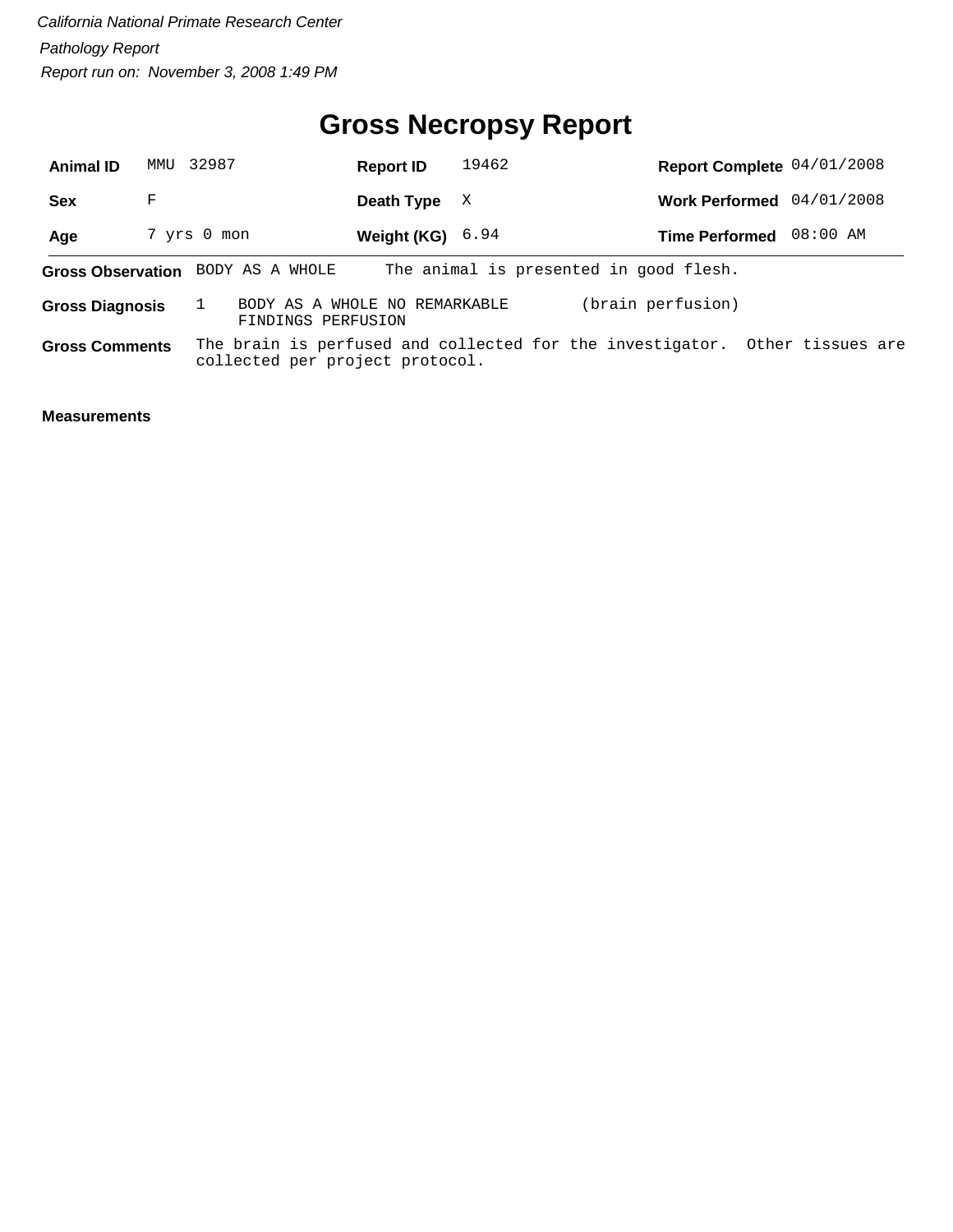#### **Gross Necropsy Report**

| <b>Animal ID</b>       | MMU | 32987                             | <b>Report ID</b>              | 19462 |                                                                             | Report Complete 04/01/2008 |  |
|------------------------|-----|-----------------------------------|-------------------------------|-------|-----------------------------------------------------------------------------|----------------------------|--|
| <b>Sex</b>             | F   |                                   | Death Type                    | X     |                                                                             | Work Performed 04/01/2008  |  |
| Age                    |     | 7 yrs 0 mon                       | Weight (KG) $6.94$            |       |                                                                             | Time Performed 08:00 AM    |  |
|                        |     | Gross Observation BODY AS A WHOLE |                               |       | The animal is presented in good flesh.                                      |                            |  |
| <b>Gross Diagnosis</b> |     | FINDINGS PERFUSION                | BODY AS A WHOLE NO REMARKABLE |       | (brain perfusion)                                                           |                            |  |
| <b>Gross Comments</b>  |     | collected per project protocol.   |                               |       | The brain is perfused and collected for the investigator. Other tissues are |                            |  |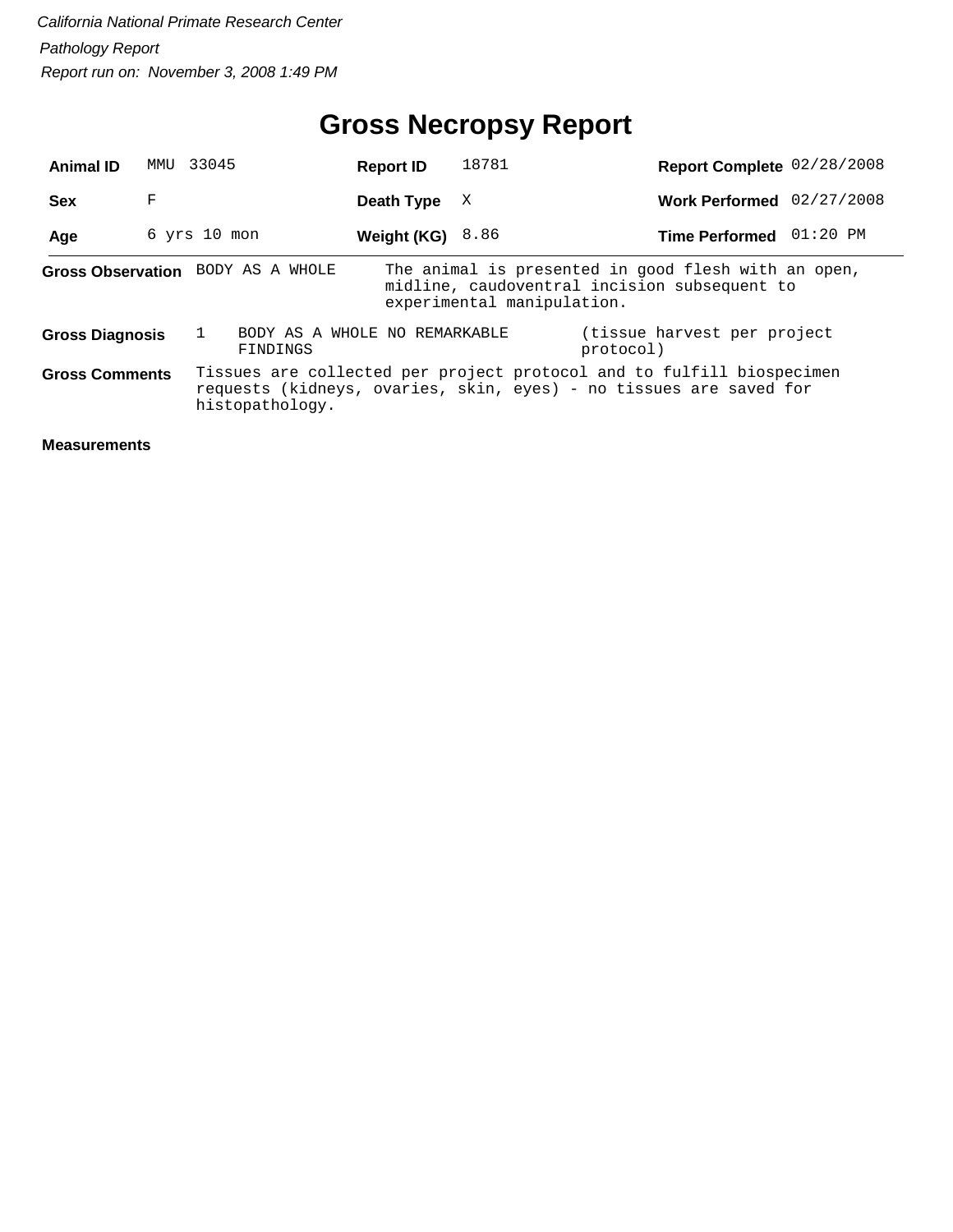| <b>Animal ID</b>       | MMU | 33045                                     | <b>Report ID</b>   | 18781                      | Report Complete 02/28/2008                                                                                                                  |  |
|------------------------|-----|-------------------------------------------|--------------------|----------------------------|---------------------------------------------------------------------------------------------------------------------------------------------|--|
| <b>Sex</b>             | F   |                                           | Death Type         | X                          | Work Performed 02/27/2008                                                                                                                   |  |
| Age                    |     | $6$ yrs $10$ mon                          | Weight (KG) $8.86$ |                            | Time Performed 01:20 PM                                                                                                                     |  |
|                        |     | Gross Observation BODY AS A WHOLE         |                    | experimental manipulation. | The animal is presented in good flesh with an open,<br>midline, caudoventral incision subsequent to                                         |  |
| <b>Gross Diagnosis</b> |     | BODY AS A WHOLE NO REMARKABLE<br>FINDINGS |                    |                            | (tissue harvest per project)<br>protocol)                                                                                                   |  |
| <b>Gross Comments</b>  |     | histopathology.                           |                    |                            | Tissues are collected per project protocol and to fulfill biospecimen<br>requests (kidneys, ovaries, skin, eyes) - no tissues are saved for |  |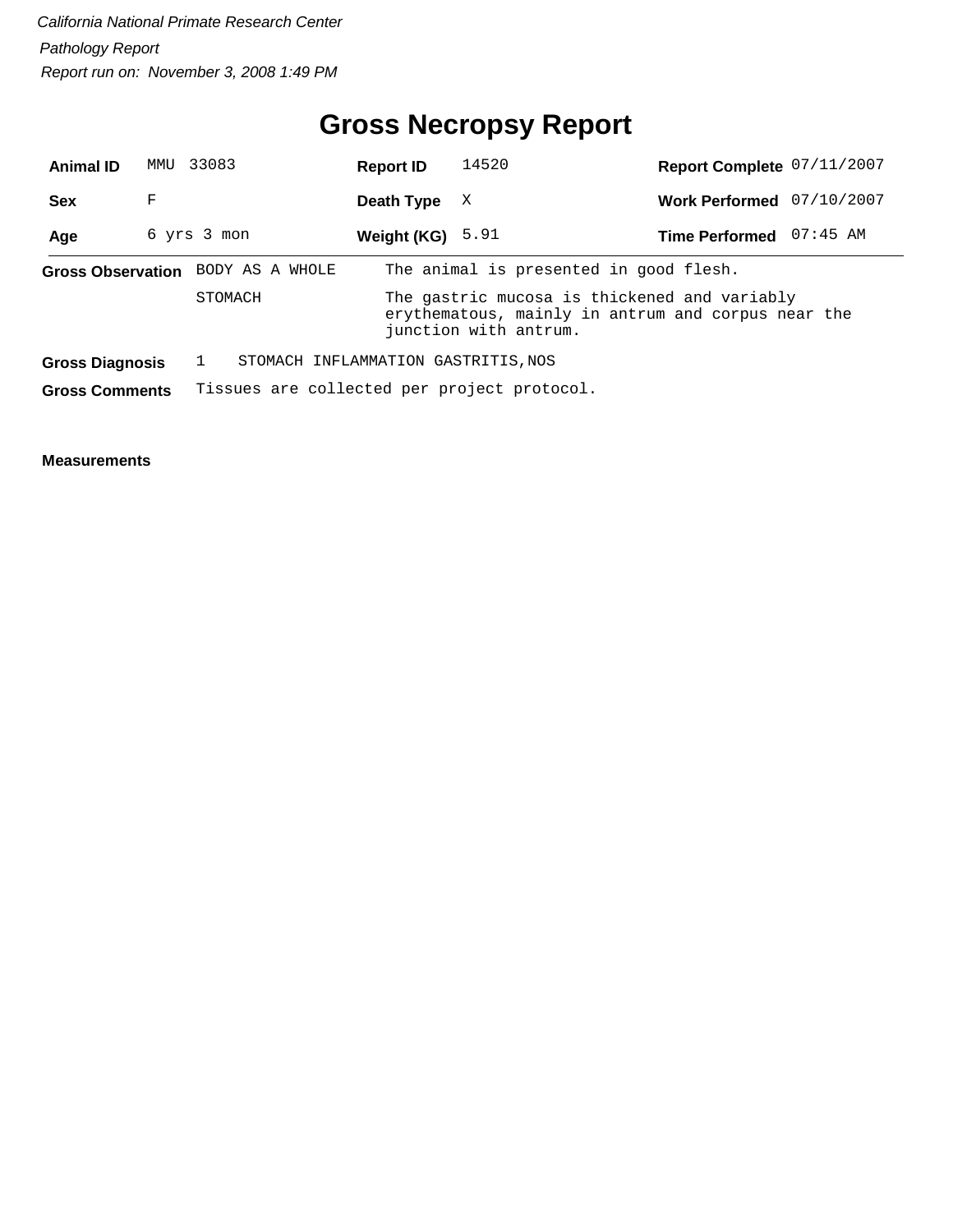#### **Gross Necropsy Report**

| <b>Animal ID</b>       | MMU | 33083                                       | <b>Report ID</b>                                                                                                            | 14520                                  | Report Complete 07/11/2007 |            |  |  |  |
|------------------------|-----|---------------------------------------------|-----------------------------------------------------------------------------------------------------------------------------|----------------------------------------|----------------------------|------------|--|--|--|
| <b>Sex</b>             | F   |                                             | Death Type                                                                                                                  | X                                      | <b>Work Performed</b>      | 07/10/2007 |  |  |  |
| Age                    |     | 6 yrs 3 mon                                 | Weight (KG) $5.91$                                                                                                          |                                        | Time Performed 07:45 AM    |            |  |  |  |
|                        |     | Gross Observation BODY AS A WHOLE           |                                                                                                                             | The animal is presented in good flesh. |                            |            |  |  |  |
|                        |     | STOMACH                                     | The gastric mucosa is thickened and variably<br>erythematous, mainly in antrum and corpus near the<br>junction with antrum. |                                        |                            |            |  |  |  |
| <b>Gross Diagnosis</b> |     | STOMACH INFLAMMATION GASTRITIS, NOS         |                                                                                                                             |                                        |                            |            |  |  |  |
| <b>Gross Comments</b>  |     | Tissues are collected per project protocol. |                                                                                                                             |                                        |                            |            |  |  |  |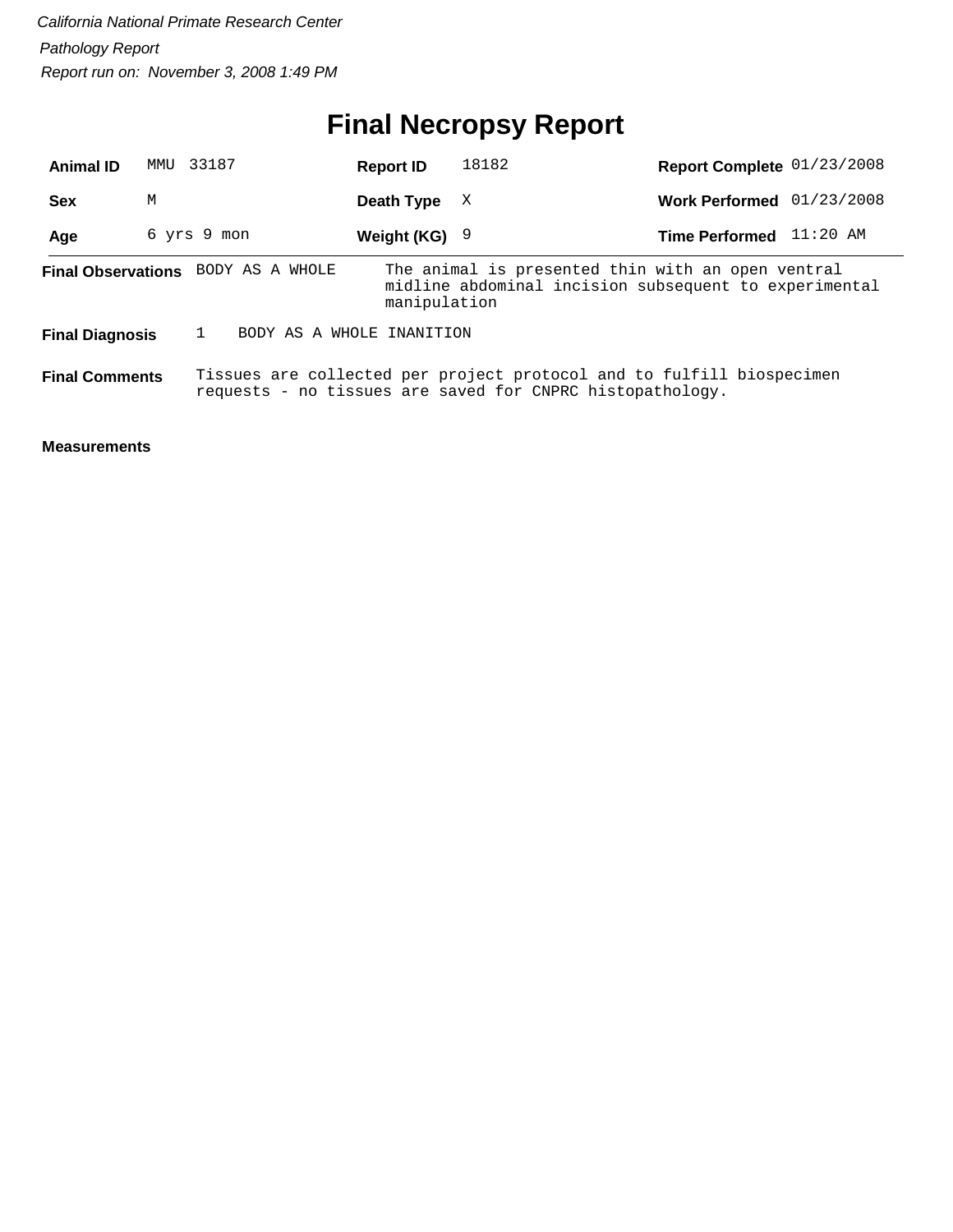# **Final Necropsy Report**

| <b>Animal ID</b>       | MMU         | 33187                                     | <b>Report ID</b>  | 18182                                                                                                                              | Report Complete 01/23/2008 |            |
|------------------------|-------------|-------------------------------------------|-------------------|------------------------------------------------------------------------------------------------------------------------------------|----------------------------|------------|
| <b>Sex</b>             | М           |                                           | Death Type        | X                                                                                                                                  | <b>Work Performed</b>      | 01/23/2008 |
| Age                    | 6 yrs 9 mon |                                           | Weight $(KG)$ $9$ |                                                                                                                                    | <b>Time Performed</b>      | $11:20$ AM |
|                        |             | <b>Final Observations</b> BODY AS A WHOLE | manipulation      | The animal is presented thin with an open ventral<br>midline abdominal incision subsequent to experimental                         |                            |            |
| <b>Final Diagnosis</b> |             | BODY AS A WHOLE INANITION                 |                   |                                                                                                                                    |                            |            |
| <b>Final Comments</b>  |             |                                           |                   | Tissues are collected per project protocol and to fulfill biospecimen<br>requests - no tissues are saved for CNPRC histopathology. |                            |            |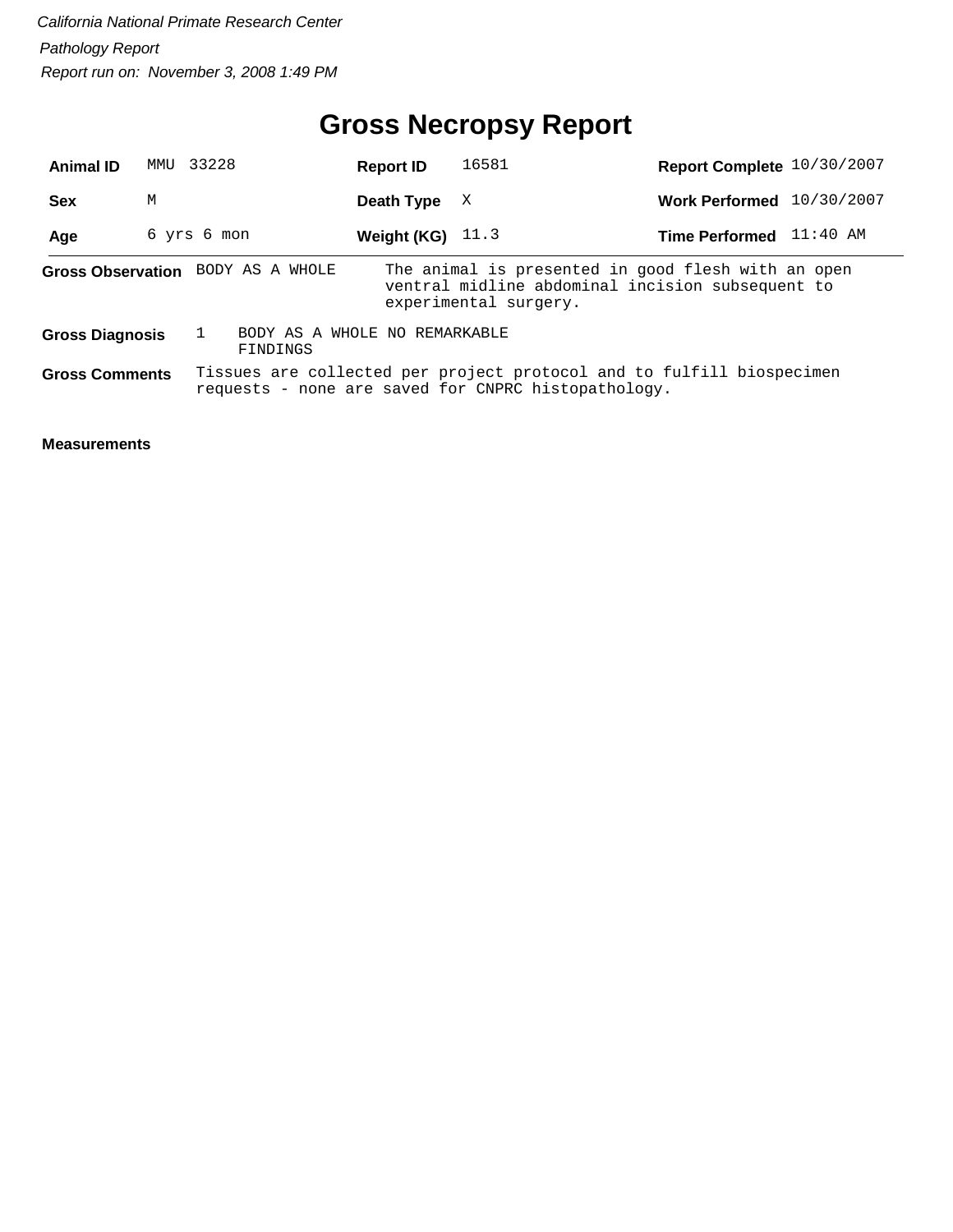## **Gross Necropsy Report**

| <b>Animal ID</b>       | 33228<br>MMU |                                           | <b>Report ID</b>   | 16581                                                                                                                           | Report Complete 10/30/2007 |            |
|------------------------|--------------|-------------------------------------------|--------------------|---------------------------------------------------------------------------------------------------------------------------------|----------------------------|------------|
| <b>Sex</b>             | М            |                                           | Death Type         | X                                                                                                                               | <b>Work Performed</b>      | 10/30/2007 |
| Age                    | 6 yrs 6 mon  |                                           | Weight (KG) $11.3$ |                                                                                                                                 | <b>Time Performed</b>      | 11:40 AM   |
|                        |              | Gross Observation BODY AS A WHOLE         |                    | The animal is presented in good flesh with an open<br>ventral midline abdominal incision subsequent to<br>experimental surgery. |                            |            |
| <b>Gross Diagnosis</b> |              | BODY AS A WHOLE NO REMARKABLE<br>FINDINGS |                    |                                                                                                                                 |                            |            |
| <b>Gross Comments</b>  |              |                                           |                    | Tissues are collected per project protocol and to fulfill biospecimen<br>requests - none are saved for CNPRC histopathology.    |                            |            |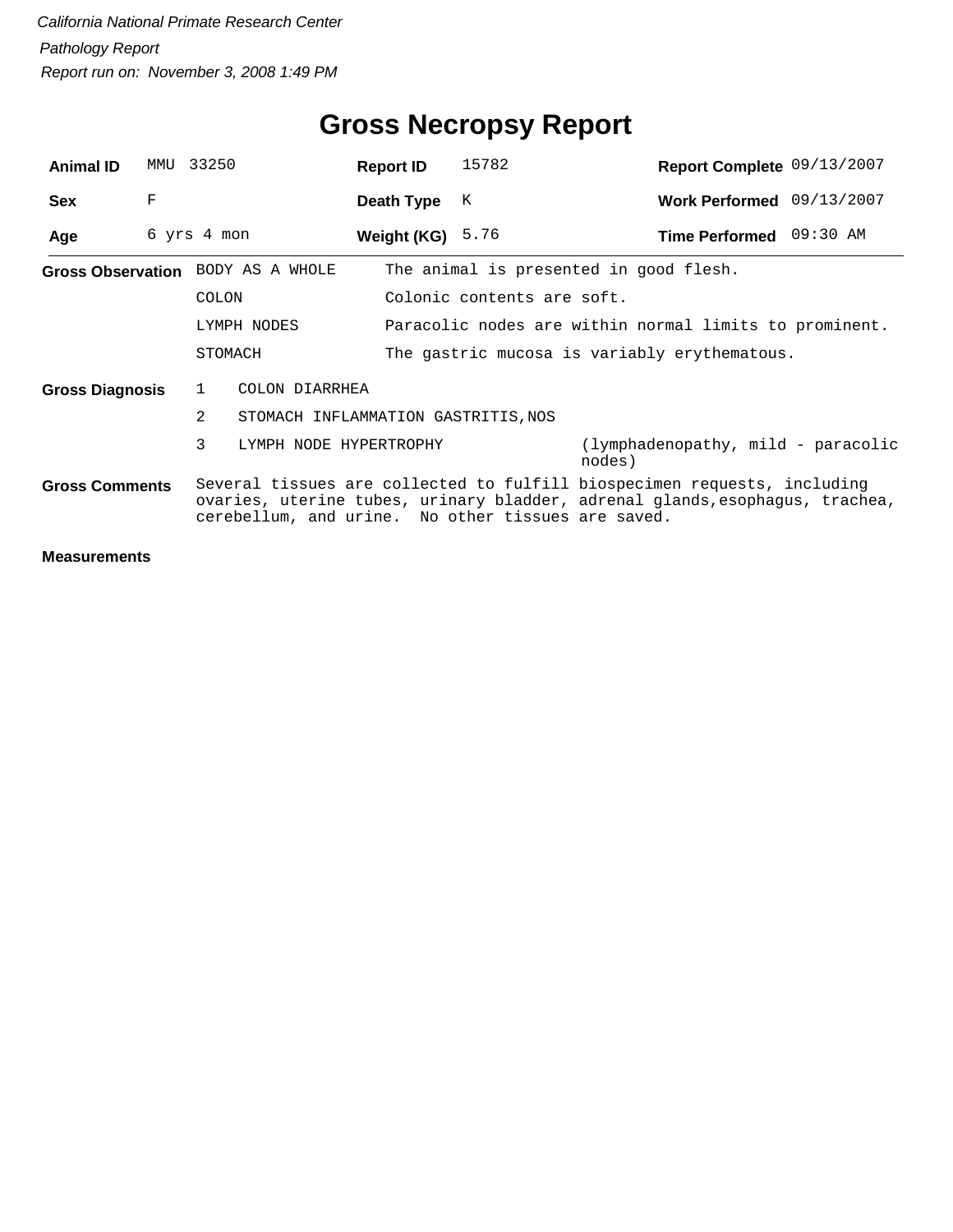| <b>Animal ID</b>       | MMU | 33250                                              | <b>Report ID</b>                                       | 15782                      | Report Complete 09/13/2007                                                                                                                               |  |  |  |  |
|------------------------|-----|----------------------------------------------------|--------------------------------------------------------|----------------------------|----------------------------------------------------------------------------------------------------------------------------------------------------------|--|--|--|--|
| <b>Sex</b>             | F   |                                                    | Death Type                                             | K                          | Work Performed 09/13/2007                                                                                                                                |  |  |  |  |
| Age                    |     | 6 yrs 4 mon                                        | Weight (KG) $5.76$                                     |                            | Time Performed 09:30 AM                                                                                                                                  |  |  |  |  |
|                        |     | Gross Observation BODY AS A WHOLE                  |                                                        |                            | The animal is presented in good flesh.                                                                                                                   |  |  |  |  |
|                        |     | <b>COLON</b>                                       |                                                        | Colonic contents are soft. |                                                                                                                                                          |  |  |  |  |
|                        |     | LYMPH NODES                                        | Paracolic nodes are within normal limits to prominent. |                            |                                                                                                                                                          |  |  |  |  |
|                        |     | STOMACH                                            |                                                        |                            | The gastric mucosa is variably erythematous.                                                                                                             |  |  |  |  |
| <b>Gross Diagnosis</b> |     | COLON DIARRHEA<br>1                                |                                                        |                            |                                                                                                                                                          |  |  |  |  |
|                        |     | 2<br>STOMACH INFLAMMATION GASTRITIS, NOS           |                                                        |                            |                                                                                                                                                          |  |  |  |  |
|                        |     | 3<br>LYMPH NODE HYPERTROPHY                        |                                                        |                            | (lymphadenopathy, mild - paracolic<br>nodes)                                                                                                             |  |  |  |  |
| <b>Gross Comments</b>  |     | cerebellum, and urine. No other tissues are saved. |                                                        |                            | Several tissues are collected to fulfill biospecimen requests, including<br>ovaries, uterine tubes, urinary bladder, adrenal glands, esophagus, trachea, |  |  |  |  |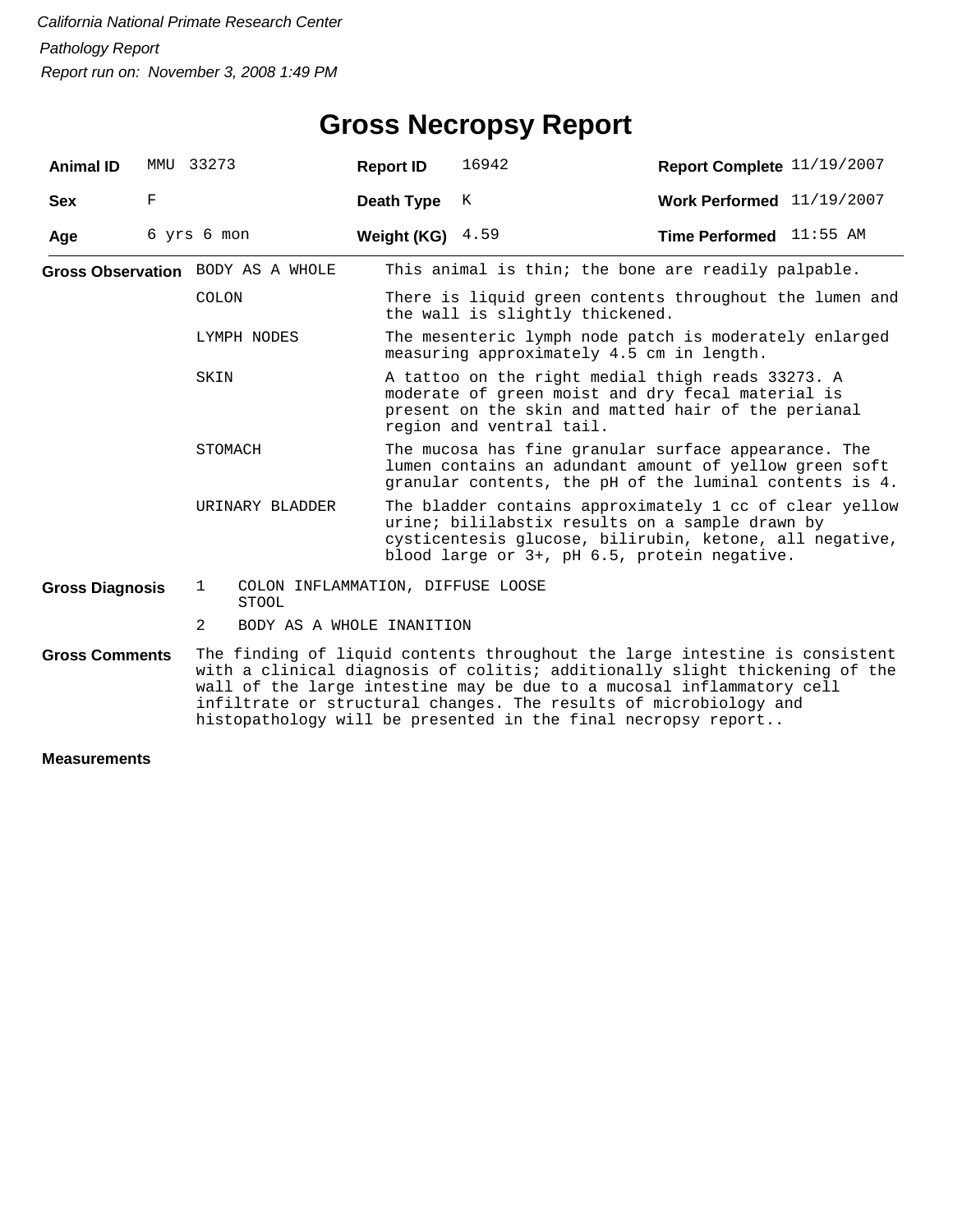| <b>Animal ID</b>       | MMU 33273   |                |                                                   | <b>Report ID</b>   | 16942                                                                                                                                                                                                                                                                                                                                                                     | Report Complete 11/19/2007     |  |  |  |
|------------------------|-------------|----------------|---------------------------------------------------|--------------------|---------------------------------------------------------------------------------------------------------------------------------------------------------------------------------------------------------------------------------------------------------------------------------------------------------------------------------------------------------------------------|--------------------------------|--|--|--|
| <b>Sex</b>             | $_{\rm F}$  |                |                                                   | Death Type         | K                                                                                                                                                                                                                                                                                                                                                                         | Work Performed 11/19/2007      |  |  |  |
| Age                    | 6 yrs 6 mon |                |                                                   | Weight (KG) $4.59$ |                                                                                                                                                                                                                                                                                                                                                                           | <b>Time Performed</b> 11:55 AM |  |  |  |
|                        |             |                | Gross Observation BODY AS A WHOLE                 |                    | This animal is thin; the bone are readily palpable.                                                                                                                                                                                                                                                                                                                       |                                |  |  |  |
|                        |             | <b>COLON</b>   |                                                   |                    | There is liquid green contents throughout the lumen and<br>the wall is slightly thickened.                                                                                                                                                                                                                                                                                |                                |  |  |  |
| LYMPH NODES<br>SKIN    |             |                |                                                   |                    | The mesenteric lymph node patch is moderately enlarged<br>measuring approximately 4.5 cm in length.                                                                                                                                                                                                                                                                       |                                |  |  |  |
|                        |             |                |                                                   |                    | A tattoo on the right medial thigh reads 33273. A<br>moderate of green moist and dry fecal material is<br>present on the skin and matted hair of the perianal<br>region and ventral tail.                                                                                                                                                                                 |                                |  |  |  |
|                        |             | STOMACH        |                                                   |                    | The mucosa has fine granular surface appearance. The<br>lumen contains an adundant amount of yellow green soft<br>granular contents, the pH of the luminal contents is 4.                                                                                                                                                                                                 |                                |  |  |  |
|                        |             |                | URINARY BLADDER                                   |                    | The bladder contains approximately 1 cc of clear yellow<br>urine; bililabstix results on a sample drawn by<br>cysticentesis glucose, bilirubin, ketone, all negative,<br>blood large or 3+, pH 6.5, protein negative.                                                                                                                                                     |                                |  |  |  |
| <b>Gross Diagnosis</b> |             | 1              | COLON INFLAMMATION, DIFFUSE LOOSE<br><b>STOOL</b> |                    |                                                                                                                                                                                                                                                                                                                                                                           |                                |  |  |  |
|                        |             | $\overline{2}$ | BODY AS A WHOLE INANITION                         |                    |                                                                                                                                                                                                                                                                                                                                                                           |                                |  |  |  |
| <b>Gross Comments</b>  |             |                |                                                   |                    | The finding of liquid contents throughout the large intestine is consistent<br>with a clinical diagnosis of colitis; additionally slight thickening of the<br>wall of the large intestine may be due to a mucosal inflammatory cell<br>infiltrate or structural changes. The results of microbiology and<br>histopathology will be presented in the final necropsy report |                                |  |  |  |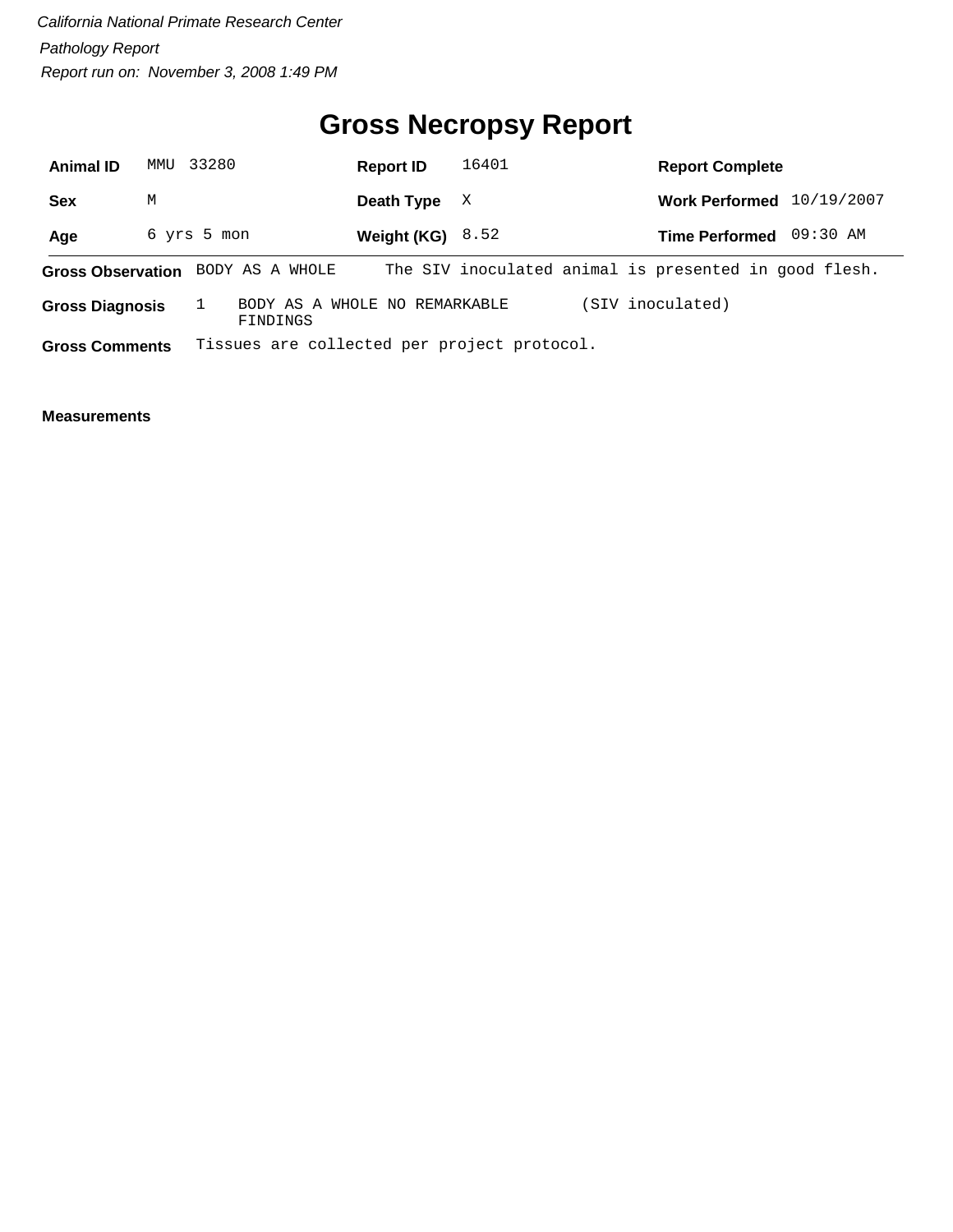## **Gross Necropsy Report**

| <b>Animal ID</b>                  | 33280<br>MMU |  | 16401<br><b>Report ID</b> |  |  | <b>Report Complete</b> |  |                                             |  |  |                                                       |  |  |          |            |
|-----------------------------------|--------------|--|---------------------------|--|--|------------------------|--|---------------------------------------------|--|--|-------------------------------------------------------|--|--|----------|------------|
| <b>Sex</b>                        | М            |  |                           |  |  | Death Type             |  | X                                           |  |  | <b>Work Performed</b>                                 |  |  |          | 10/19/2007 |
| Age                               | 6 yrs 5 mon  |  |                           |  |  |                        |  | Weight (KG) $8.52$                          |  |  | <b>Time Performed</b>                                 |  |  | 09:30 AM |            |
| Gross Observation BODY AS A WHOLE |              |  |                           |  |  |                        |  |                                             |  |  | The SIV inoculated animal is presented in good flesh. |  |  |          |            |
| <b>Gross Diagnosis</b>            |              |  | FINDINGS                  |  |  |                        |  | BODY AS A WHOLE NO REMARKABLE               |  |  | (SIV inoculated)                                      |  |  |          |            |
| <b>Gross Comments</b>             |              |  |                           |  |  |                        |  | Tissues are collected per project protocol. |  |  |                                                       |  |  |          |            |

 $\overline{\phantom{0}}$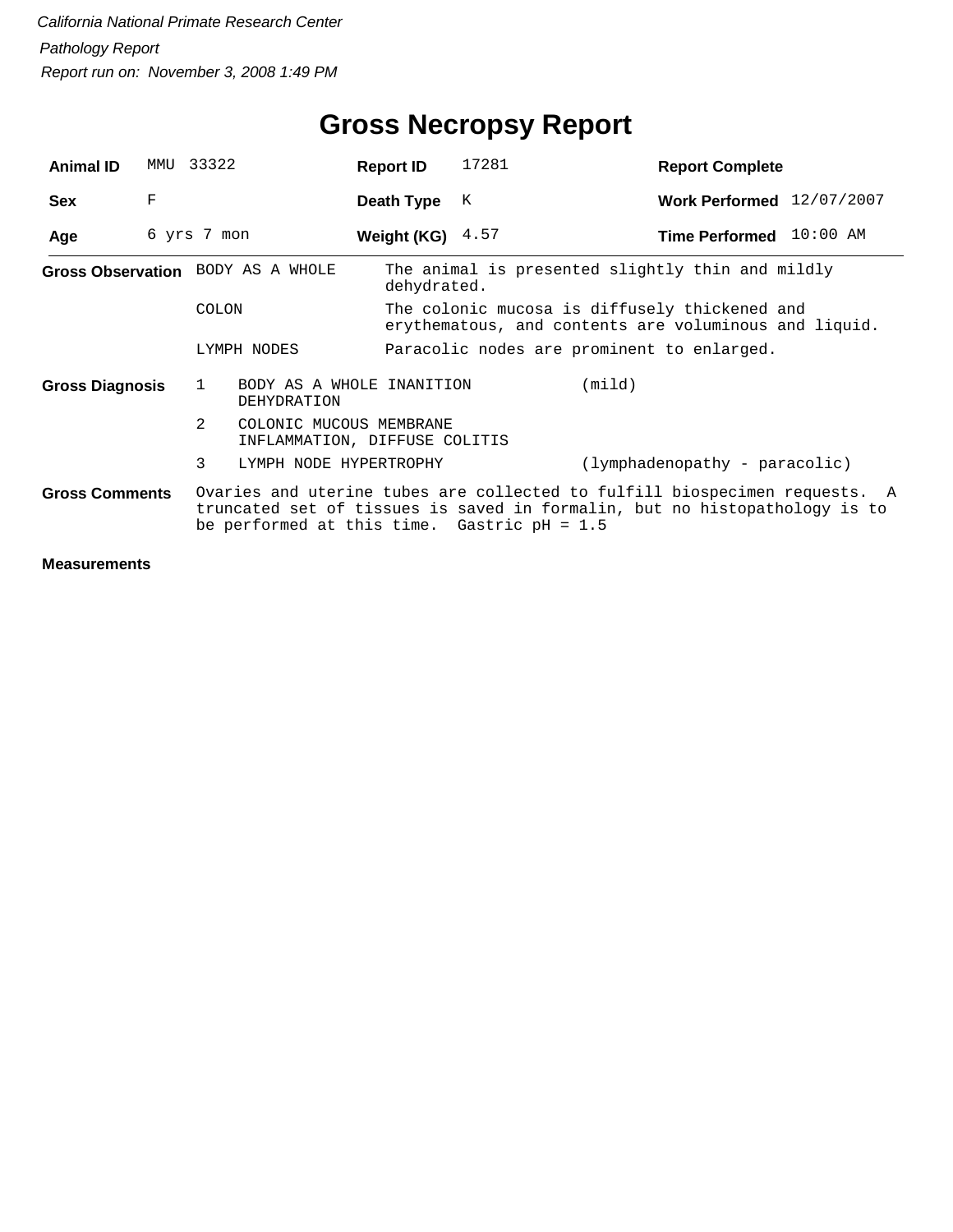| <b>Animal ID</b>       | MMU | 33322                                                         | <b>Report ID</b>   | 17281                                            | <b>Report Complete</b>                                                                                                                                   |
|------------------------|-----|---------------------------------------------------------------|--------------------|--------------------------------------------------|----------------------------------------------------------------------------------------------------------------------------------------------------------|
| <b>Sex</b>             | F   |                                                               | Death Type         | K                                                | Work Performed 12/07/2007                                                                                                                                |
| Age                    |     | 6 yrs 7 mon                                                   | Weight (KG) $4.57$ |                                                  | Time Performed 10:00 AM                                                                                                                                  |
|                        |     | Gross Observation BODY AS A WHOLE                             | dehydrated.        | The animal is presented slightly thin and mildly |                                                                                                                                                          |
|                        |     | COLON                                                         |                    | The colonic mucosa is diffusely thickened and    | erythematous, and contents are voluminous and liquid.                                                                                                    |
|                        |     | LYMPH NODES                                                   |                    | Paracolic nodes are prominent to enlarged.       |                                                                                                                                                          |
| <b>Gross Diagnosis</b> |     | BODY AS A WHOLE INANITION<br>1<br>DEHYDRATION                 |                    | (mind)                                           |                                                                                                                                                          |
|                        |     | 2<br>COLONIC MUCOUS MEMBRANE<br>INFLAMMATION, DIFFUSE COLITIS |                    |                                                  |                                                                                                                                                          |
|                        |     | 3<br>LYMPH NODE HYPERTROPHY                                   |                    |                                                  | (lymphadenopathy - paracolic)                                                                                                                            |
| <b>Gross Comments</b>  |     | be performed at this time. Gastric $pH = 1.5$                 |                    |                                                  | Ovaries and uterine tubes are collected to fulfill biospecimen requests. A<br>truncated set of tissues is saved in formalin, but no histopathology is to |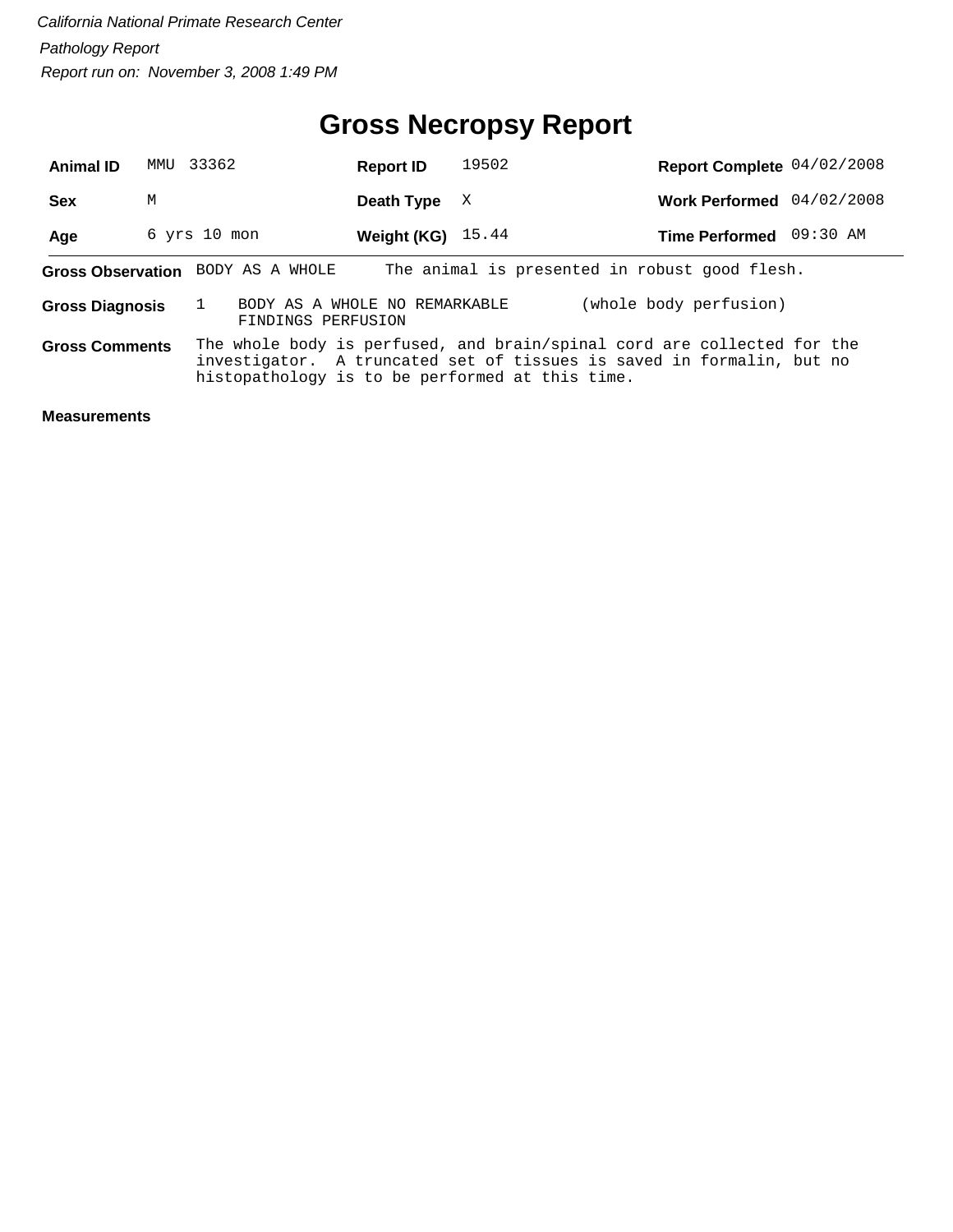#### **Gross Necropsy Report**

| <b>Animal ID</b>       |   | MMU 33362                                           | <b>Report ID</b>    | 19502                                                                                                                                                                                               | Report Complete 04/02/2008 |  |
|------------------------|---|-----------------------------------------------------|---------------------|-----------------------------------------------------------------------------------------------------------------------------------------------------------------------------------------------------|----------------------------|--|
| <b>Sex</b>             | М |                                                     | Death Type          | X                                                                                                                                                                                                   | Work Performed 04/02/2008  |  |
| Age                    |   | $6$ yrs $10$ mon                                    | Weight (KG) $15.44$ |                                                                                                                                                                                                     | Time Performed 09:30 AM    |  |
|                        |   | Gross Observation BODY AS A WHOLE                   |                     | The animal is presented in robust good flesh.                                                                                                                                                       |                            |  |
| <b>Gross Diagnosis</b> |   | BODY AS A WHOLE NO REMARKABLE<br>FINDINGS PERFUSION |                     |                                                                                                                                                                                                     | (whole body perfusion)     |  |
| <b>Gross Comments</b>  |   |                                                     |                     | The whole body is perfused, and brain/spinal cord are collected for the<br>investigator. A truncated set of tissues is saved in formalin, but no<br>histopathology is to be performed at this time. |                            |  |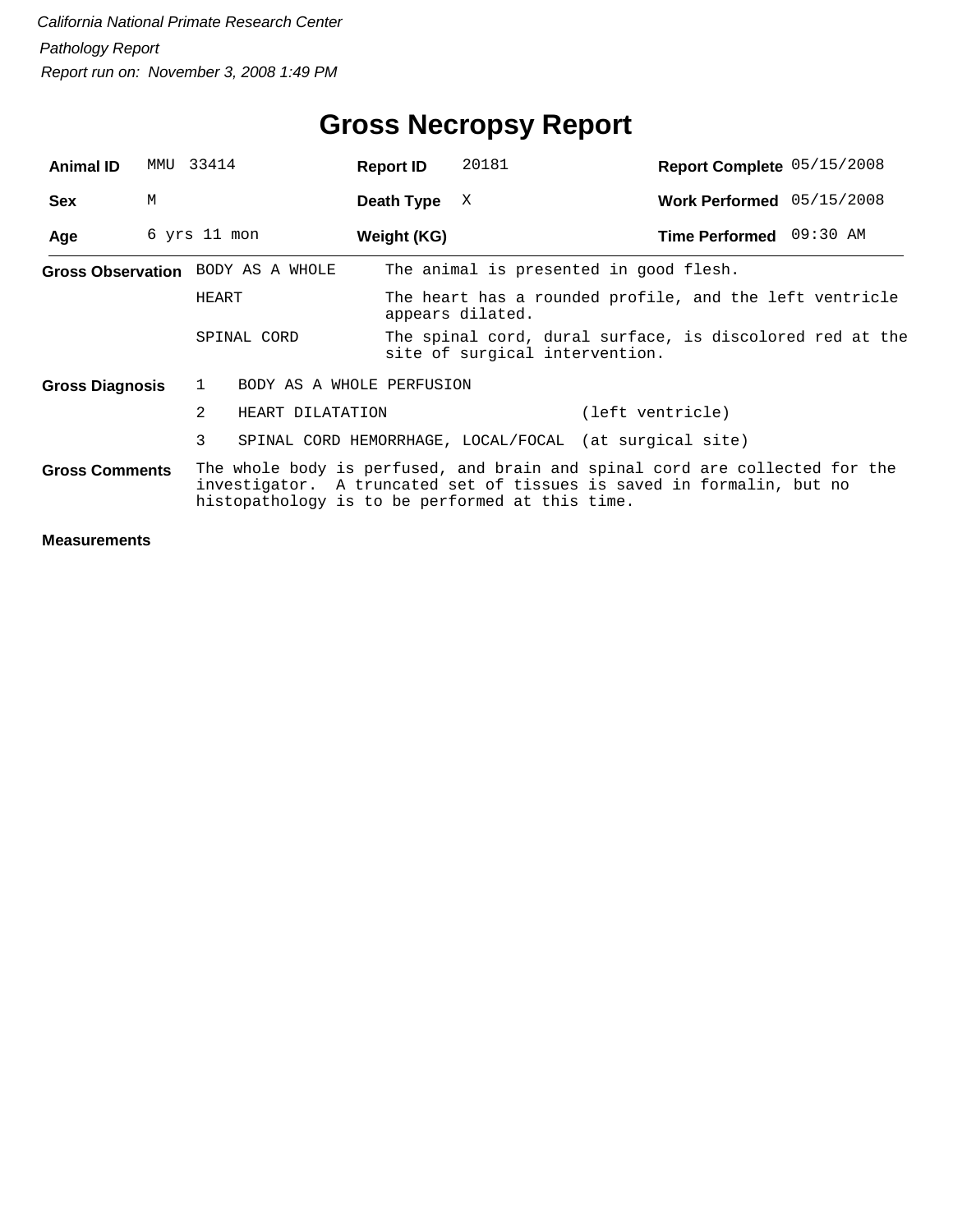| <b>Animal ID</b>       | MMU | 33414                                     | <b>Report ID</b> | 20181                                                                                                                                                                                                   | Report Complete 05/15/2008 |  |
|------------------------|-----|-------------------------------------------|------------------|---------------------------------------------------------------------------------------------------------------------------------------------------------------------------------------------------------|----------------------------|--|
| <b>Sex</b>             | M   |                                           | Death Type       | X                                                                                                                                                                                                       | Work Performed 05/15/2008  |  |
| Age                    |     | 6 yrs 11 mon                              | Weight (KG)      |                                                                                                                                                                                                         | Time Performed 09:30 AM    |  |
|                        |     | Gross Observation BODY AS A WHOLE         |                  | The animal is presented in good flesh.                                                                                                                                                                  |                            |  |
|                        |     | HEART                                     |                  | The heart has a rounded profile, and the left ventricle<br>appears dilated.                                                                                                                             |                            |  |
|                        |     | SPINAL CORD                               |                  | The spinal cord, dural surface, is discolored red at the<br>site of surgical intervention.                                                                                                              |                            |  |
| <b>Gross Diagnosis</b> |     | $\mathbf{1}$<br>BODY AS A WHOLE PERFUSION |                  |                                                                                                                                                                                                         |                            |  |
|                        |     | 2<br>HEART DILATATION                     |                  |                                                                                                                                                                                                         | (left ventricle)           |  |
|                        |     | 3                                         |                  | SPINAL CORD HEMORRHAGE, LOCAL/FOCAL (at surgical site)                                                                                                                                                  |                            |  |
| <b>Gross Comments</b>  |     |                                           |                  | The whole body is perfused, and brain and spinal cord are collected for the<br>investigator. A truncated set of tissues is saved in formalin, but no<br>histopathology is to be performed at this time. |                            |  |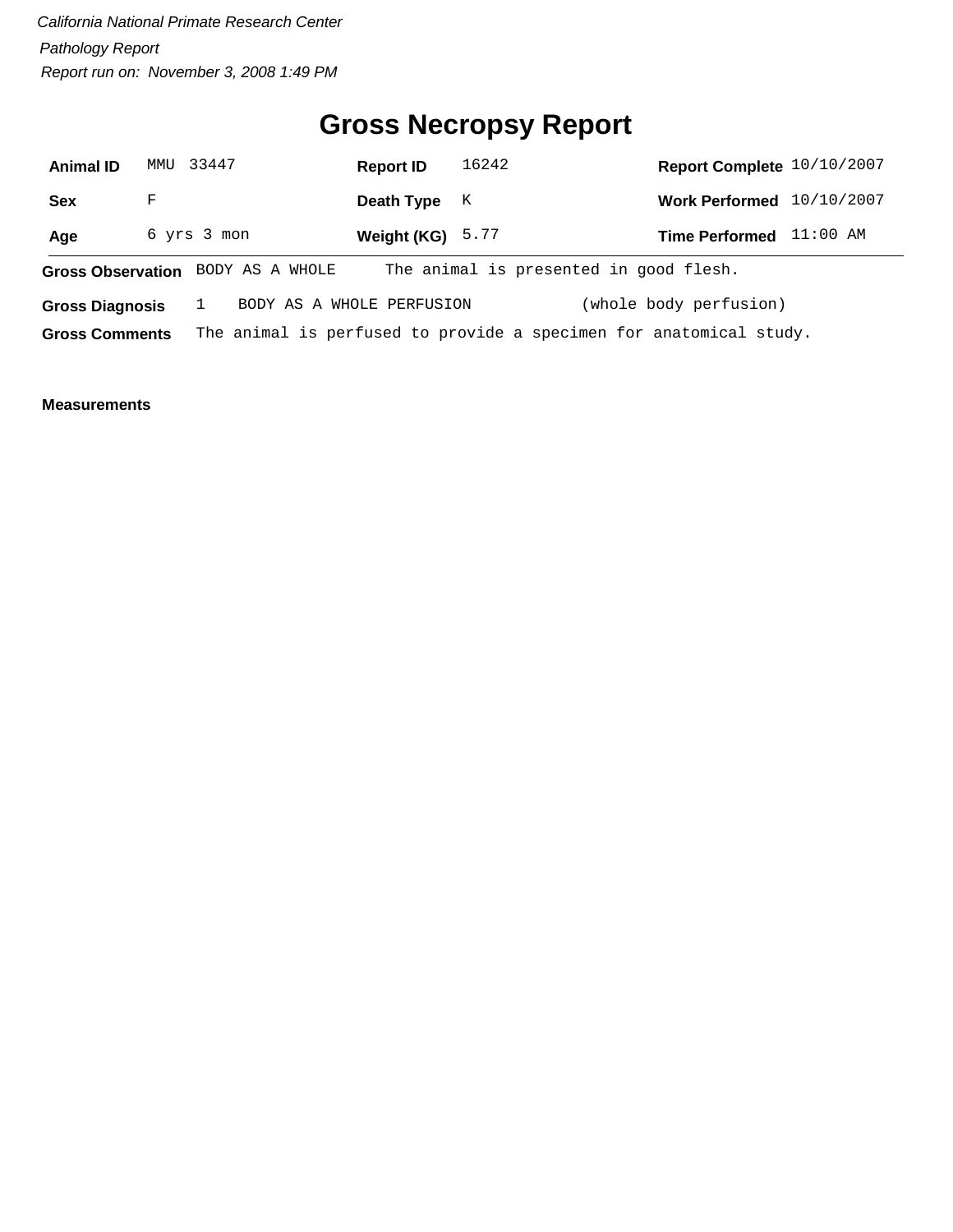## **Gross Necropsy Report**

| <b>Animal ID</b>                  |   | MMU 33447   |  | <b>Report ID</b>          | 16242 |  | Report Complete 10/10/2007                                         |          |
|-----------------------------------|---|-------------|--|---------------------------|-------|--|--------------------------------------------------------------------|----------|
| <b>Sex</b>                        | F |             |  | Death Type                | K     |  | Work Performed 10/10/2007                                          |          |
| Age                               |   | 6 yrs 3 mon |  | Weight (KG) $5.77$        |       |  | <b>Time Performed</b>                                              | 11:00 AM |
| Gross Observation BODY AS A WHOLE |   |             |  |                           |       |  | The animal is presented in good flesh.                             |          |
| <b>Gross Diagnosis</b>            |   |             |  | BODY AS A WHOLE PERFUSION |       |  | (whole body perfusion)                                             |          |
| <b>Gross Comments</b>             |   |             |  |                           |       |  | The animal is perfused to provide a specimen for anatomical study. |          |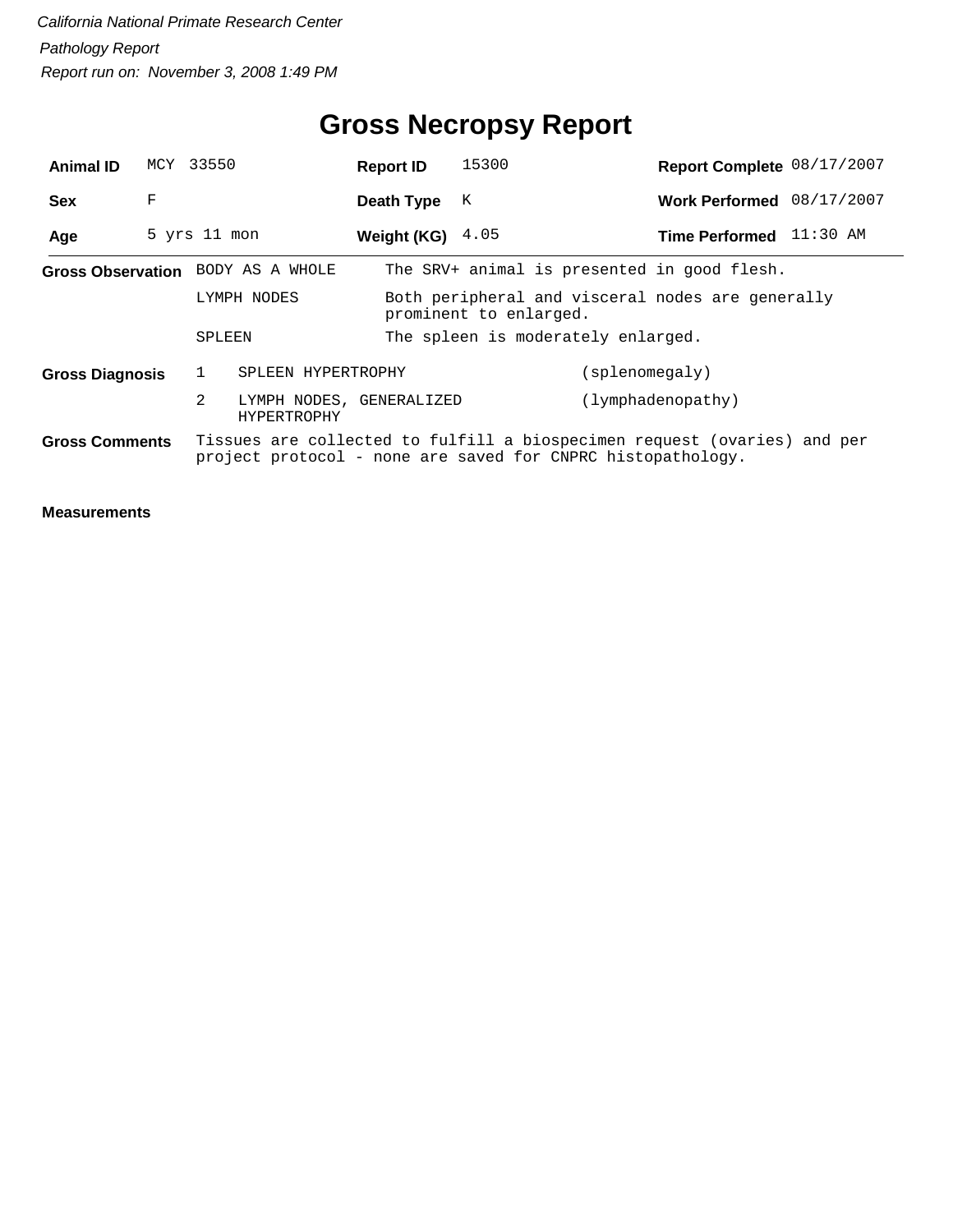## **Gross Necropsy Report**

| <b>Animal ID</b>                  |   | MCY 33550    |                                         | <b>Report ID</b> | 15300                              |                                                                                                                                         | Report Complete 08/17/2007 |
|-----------------------------------|---|--------------|-----------------------------------------|------------------|------------------------------------|-----------------------------------------------------------------------------------------------------------------------------------------|----------------------------|
| <b>Sex</b>                        | F |              |                                         | Death Type       | K                                  |                                                                                                                                         | Work Performed 08/17/2007  |
| Age                               |   | 5 yrs 11 mon |                                         | Weight (KG)      | 4.05                               |                                                                                                                                         | Time Performed 11:30 AM    |
| Gross Observation BODY AS A WHOLE |   |              |                                         |                  |                                    | The SRV+ animal is presented in good flesh.                                                                                             |                            |
| LYMPH NODES                       |   |              |                                         |                  | prominent to enlarged.             | Both peripheral and visceral nodes are generally                                                                                        |                            |
|                                   |   | SPLEEN       |                                         |                  | The spleen is moderately enlarged. |                                                                                                                                         |                            |
| <b>Gross Diagnosis</b>            |   |              | SPLEEN HYPERTROPHY                      |                  |                                    | (splenomegaly)                                                                                                                          |                            |
|                                   |   | 2            | LYMPH NODES, GENERALIZED<br>HYPERTROPHY |                  |                                    | (lymphadenopathy)                                                                                                                       |                            |
| <b>Gross Comments</b>             |   |              |                                         |                  |                                    | Tissues are collected to fulfill a biospecimen request (ovaries) and per<br>project protocol - none are saved for CNPRC histopathology. |                            |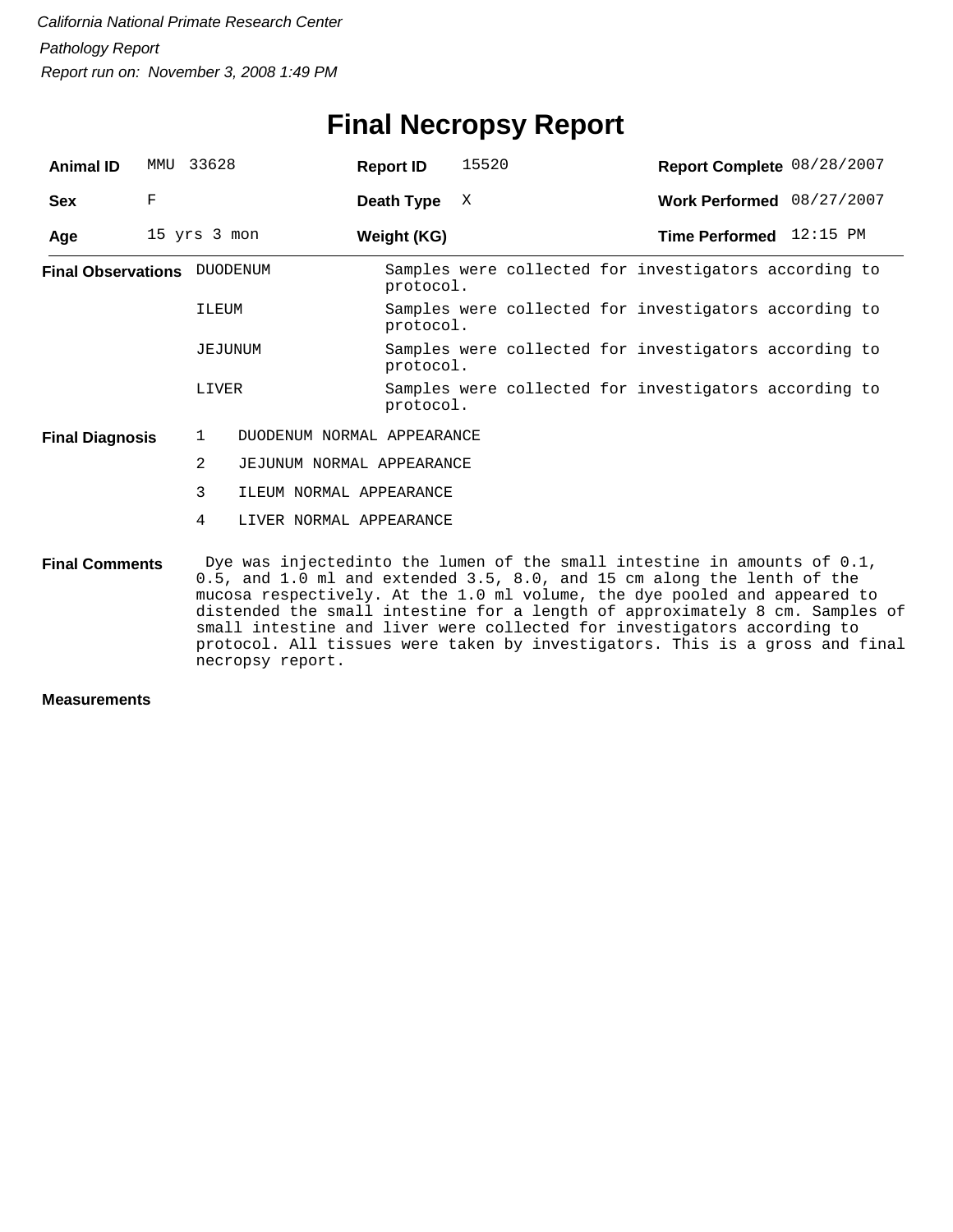#### **Final Necropsy Report**

| <b>Animal ID</b>                                                                                                                                                            | MMU | 33628          | <b>Report ID</b>           | 15520 | Report Complete 08/28/2007                                                                                                                                                                                                                                                                                               |  |  |  |
|-----------------------------------------------------------------------------------------------------------------------------------------------------------------------------|-----|----------------|----------------------------|-------|--------------------------------------------------------------------------------------------------------------------------------------------------------------------------------------------------------------------------------------------------------------------------------------------------------------------------|--|--|--|
| <b>Sex</b>                                                                                                                                                                  | F   |                | Death Type                 | X     | Work Performed 08/27/2007                                                                                                                                                                                                                                                                                                |  |  |  |
| Age                                                                                                                                                                         |     | 15 yrs 3 mon   | Weight (KG)                |       | Time Performed 12:15 PM                                                                                                                                                                                                                                                                                                  |  |  |  |
| <b>Final Observations</b> DUODENUM                                                                                                                                          |     |                | protocol.                  |       | Samples were collected for investigators according to                                                                                                                                                                                                                                                                    |  |  |  |
|                                                                                                                                                                             |     | ILEUM          | protocol.                  |       | Samples were collected for investigators according to                                                                                                                                                                                                                                                                    |  |  |  |
|                                                                                                                                                                             |     | JEJUNUM        | protocol.                  |       | Samples were collected for investigators according to                                                                                                                                                                                                                                                                    |  |  |  |
|                                                                                                                                                                             |     | LIVER          | protocol.                  |       | Samples were collected for investigators according to                                                                                                                                                                                                                                                                    |  |  |  |
| <b>Final Diagnosis</b>                                                                                                                                                      |     | $\mathbf{1}$   | DUODENUM NORMAL APPEARANCE |       |                                                                                                                                                                                                                                                                                                                          |  |  |  |
|                                                                                                                                                                             |     | $\overline{2}$ | JEJUNUM NORMAL APPEARANCE  |       |                                                                                                                                                                                                                                                                                                                          |  |  |  |
|                                                                                                                                                                             |     | 3              | ILEUM NORMAL APPEARANCE    |       |                                                                                                                                                                                                                                                                                                                          |  |  |  |
|                                                                                                                                                                             |     | 4              | LIVER NORMAL APPEARANCE    |       |                                                                                                                                                                                                                                                                                                                          |  |  |  |
| <b>Final Comments</b><br>0.5, and 1.0 ml and extended 3.5, 8.0, and 15 cm along the lenth of the<br>small intestine and liver were collected for investigators according to |     |                |                            |       | Dye was injectedinto the lumen of the small intestine in amounts of $0.1$ ,<br>mucosa respectively. At the 1.0 ml volume, the dye pooled and appeared to<br>distended the small intestine for a length of approximately 8 cm. Samples of<br>protocol. All tissues were taken by investigators. This is a gross and final |  |  |  |

**Measurements**

necropsy report.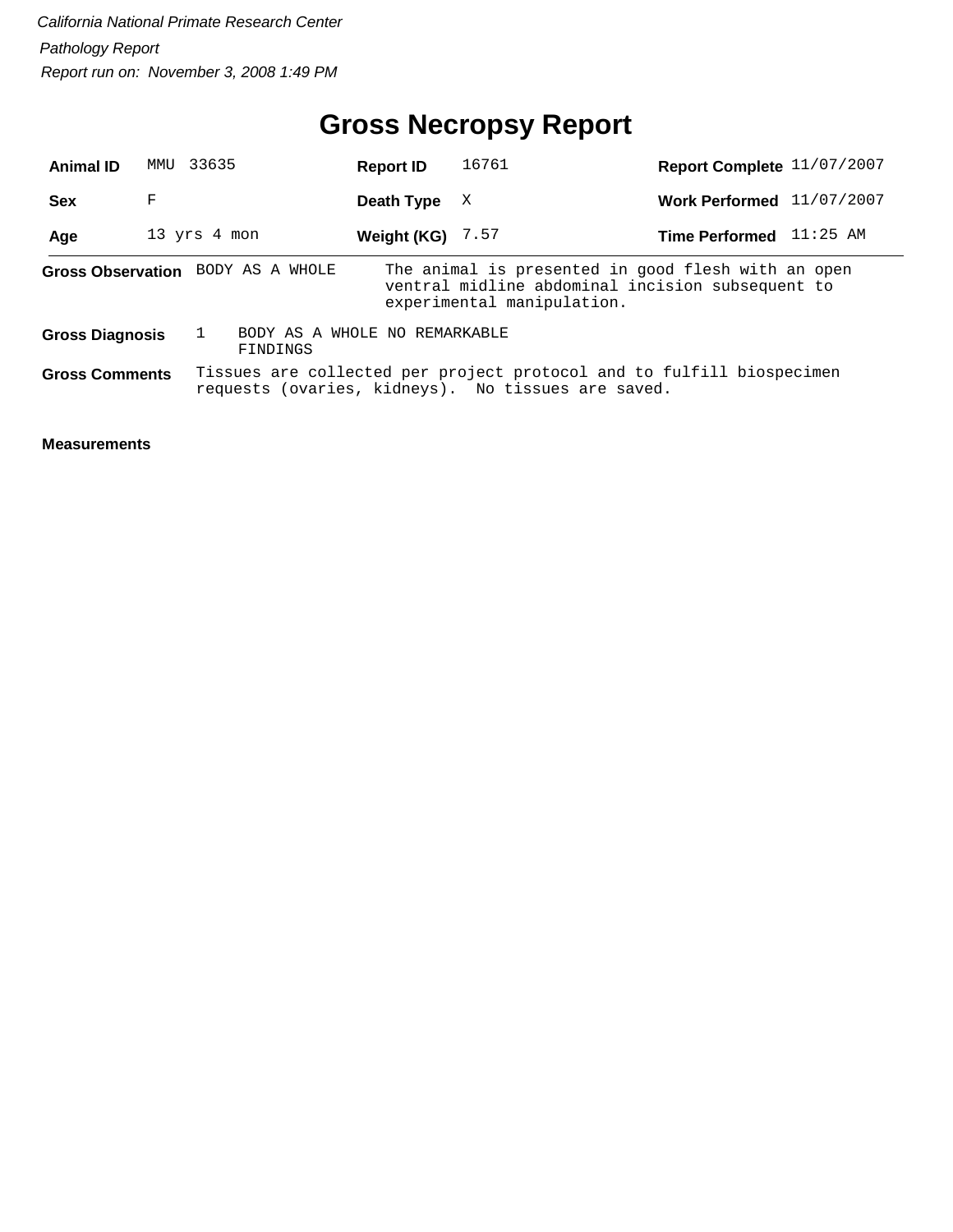## **Gross Necropsy Report**

| <b>Animal ID</b>       | 33635<br>MMU |                                           | <b>Report ID</b>   | 16761                                                                                                                                | Report Complete 11/07/2007 |          |
|------------------------|--------------|-------------------------------------------|--------------------|--------------------------------------------------------------------------------------------------------------------------------------|----------------------------|----------|
| <b>Sex</b>             | F            |                                           | Death Type         | X                                                                                                                                    | Work Performed 11/07/2007  |          |
| Age                    | 13 yrs 4 mon |                                           | Weight (KG) $7.57$ |                                                                                                                                      | <b>Time Performed</b>      | 11:25 AM |
|                        |              | Gross Observation BODY AS A WHOLE         |                    | The animal is presented in good flesh with an open<br>ventral midline abdominal incision subsequent to<br>experimental manipulation. |                            |          |
| <b>Gross Diagnosis</b> |              | BODY AS A WHOLE NO REMARKABLE<br>FINDINGS |                    |                                                                                                                                      |                            |          |
| <b>Gross Comments</b>  |              |                                           |                    | Tissues are collected per project protocol and to fulfill biospecimen<br>requests (ovaries, kidneys). No tissues are saved.          |                            |          |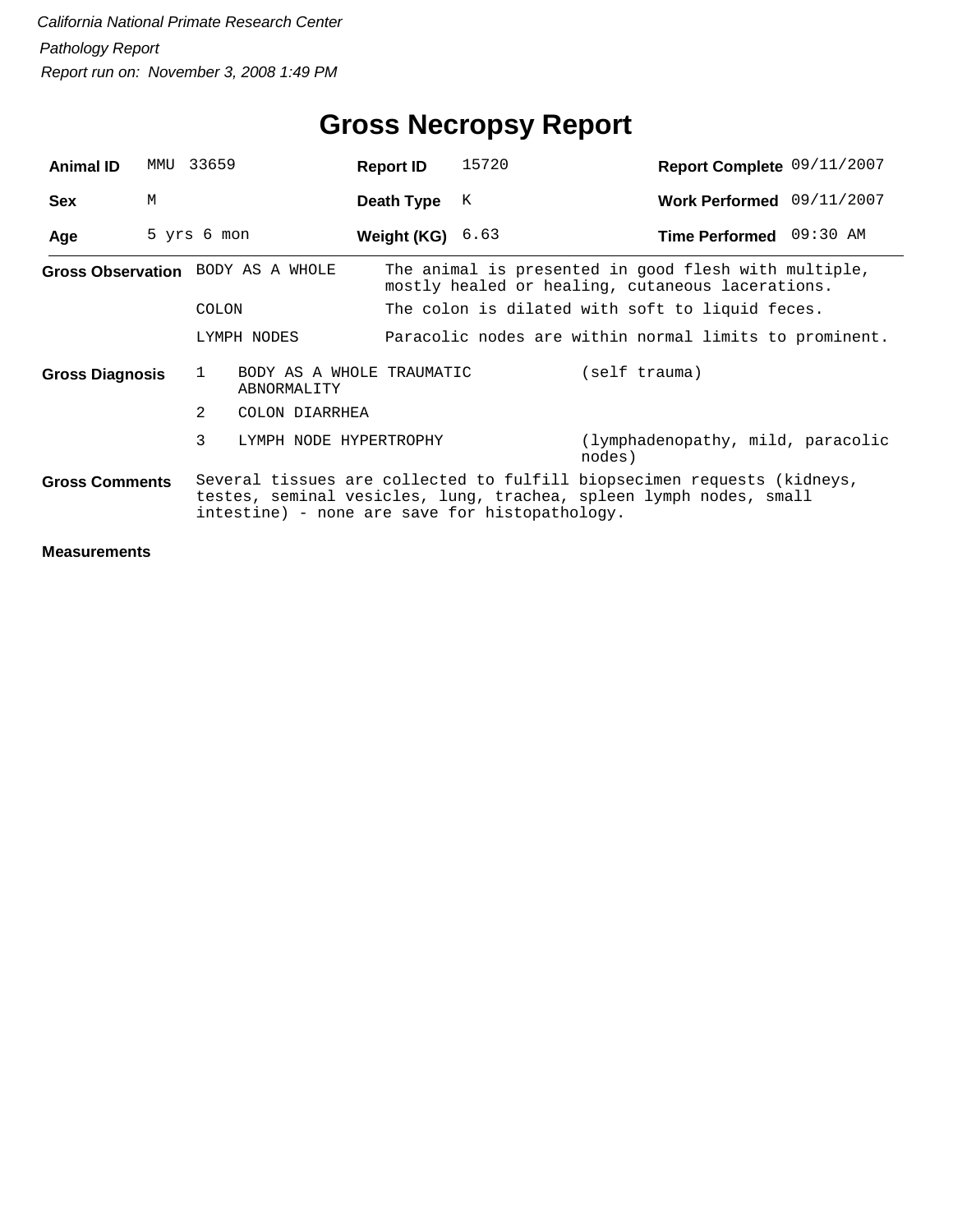| <b>Animal ID</b>                  | MMU | 33659                                         |                                                | <b>Report ID</b>                                       | 15720 | Report Complete 09/11/2007                                                                                                                    |  |  |  |
|-----------------------------------|-----|-----------------------------------------------|------------------------------------------------|--------------------------------------------------------|-------|-----------------------------------------------------------------------------------------------------------------------------------------------|--|--|--|
| <b>Sex</b>                        | M   |                                               |                                                | Death Type                                             | К     | Work Performed 09/11/2007                                                                                                                     |  |  |  |
| Age                               |     | 5 yrs 6 mon                                   |                                                | <b>Weight (KG)</b> $6.63$                              |       | Time Performed 09:30 AM                                                                                                                       |  |  |  |
| Gross Observation BODY AS A WHOLE |     |                                               |                                                |                                                        |       | The animal is presented in good flesh with multiple,<br>mostly healed or healing, cutaneous lacerations.                                      |  |  |  |
| <b>COLON</b>                      |     |                                               |                                                |                                                        |       | The colon is dilated with soft to liquid feces.                                                                                               |  |  |  |
|                                   |     |                                               | LYMPH NODES                                    | Paracolic nodes are within normal limits to prominent. |       |                                                                                                                                               |  |  |  |
| Gross Diagnosis                   |     | BODY AS A WHOLE TRAUMATIC<br>1<br>ABNORMALITY |                                                |                                                        |       | (self trauma)                                                                                                                                 |  |  |  |
|                                   |     | 2                                             | COLON DIARRHEA                                 |                                                        |       |                                                                                                                                               |  |  |  |
|                                   |     | 3                                             | LYMPH NODE HYPERTROPHY                         |                                                        |       | (lymphadenopathy, mild, paracolic<br>nodes)                                                                                                   |  |  |  |
| <b>Gross Comments</b>             |     |                                               | intestine) - none are save for histopathology. |                                                        |       | Several tissues are collected to fulfill biopsecimen requests (kidneys,<br>testes, seminal vesicles, lung, trachea, spleen lymph nodes, small |  |  |  |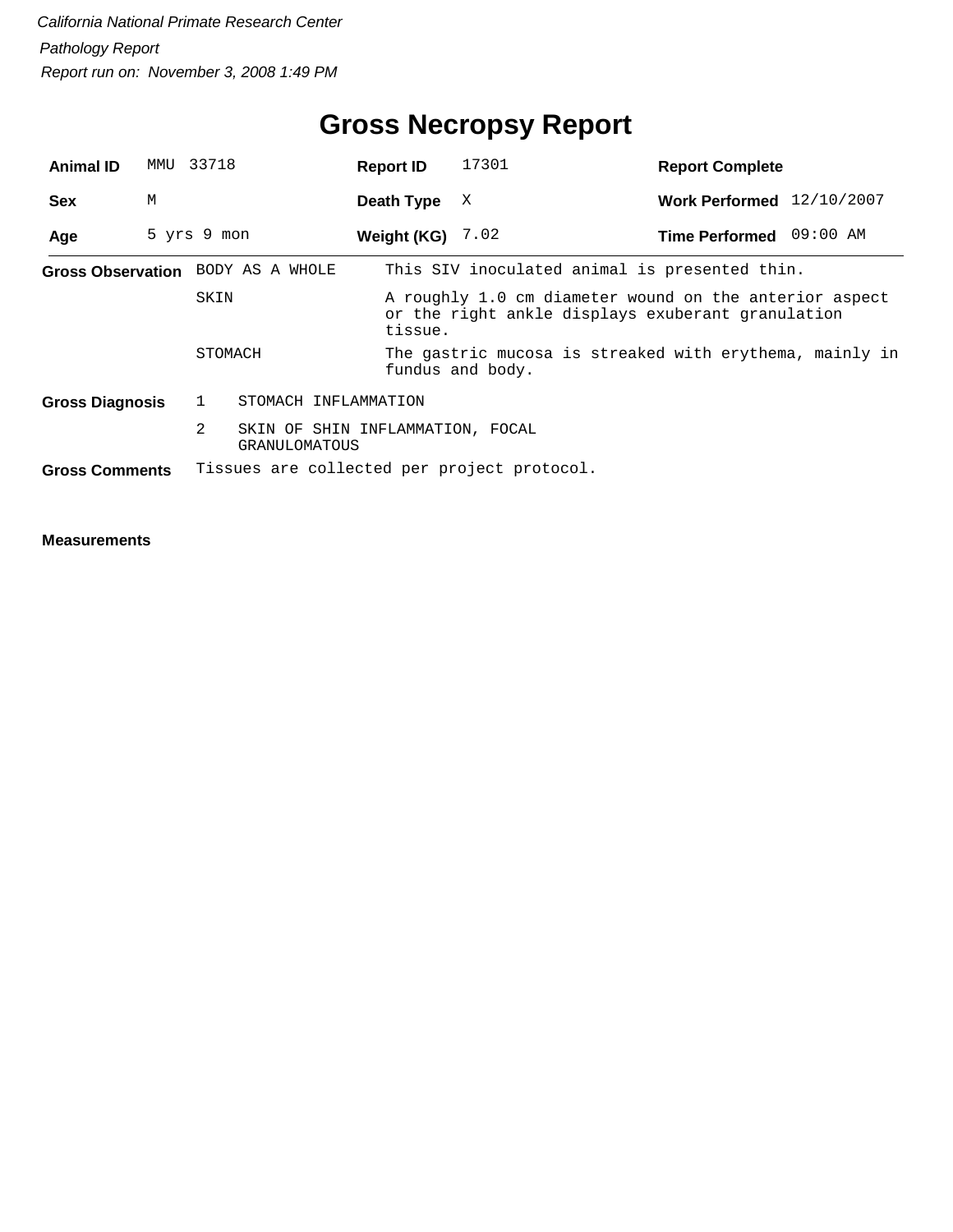| <b>Animal ID</b>       | MMU         | 33718        |                                                   | <b>Report ID</b>   | 17301            | <b>Report Complete</b>                                                                                      |  |
|------------------------|-------------|--------------|---------------------------------------------------|--------------------|------------------|-------------------------------------------------------------------------------------------------------------|--|
| <b>Sex</b>             | M           |              |                                                   | Death Type         | X                | Work Performed 12/10/2007                                                                                   |  |
| Age                    | 5 yrs 9 mon |              |                                                   | Weight (KG) $7.02$ |                  | Time Performed 09:00 AM                                                                                     |  |
|                        |             |              | Gross Observation BODY AS A WHOLE                 |                    |                  | This SIV inoculated animal is presented thin.                                                               |  |
|                        |             | SKIN         |                                                   | tissue.            |                  | A roughly 1.0 cm diameter wound on the anterior aspect<br>or the right ankle displays exuberant granulation |  |
|                        |             | STOMACH      |                                                   |                    | fundus and body. | The gastric mucosa is streaked with erythema, mainly in                                                     |  |
| <b>Gross Diagnosis</b> |             | $\mathbf{1}$ | STOMACH INFLAMMATION                              |                    |                  |                                                                                                             |  |
|                        |             | 2            | SKIN OF SHIN INFLAMMATION, FOCAL<br>GRANULOMATOUS |                    |                  |                                                                                                             |  |
| <b>Gross Comments</b>  |             |              | Tissues are collected per project protocol.       |                    |                  |                                                                                                             |  |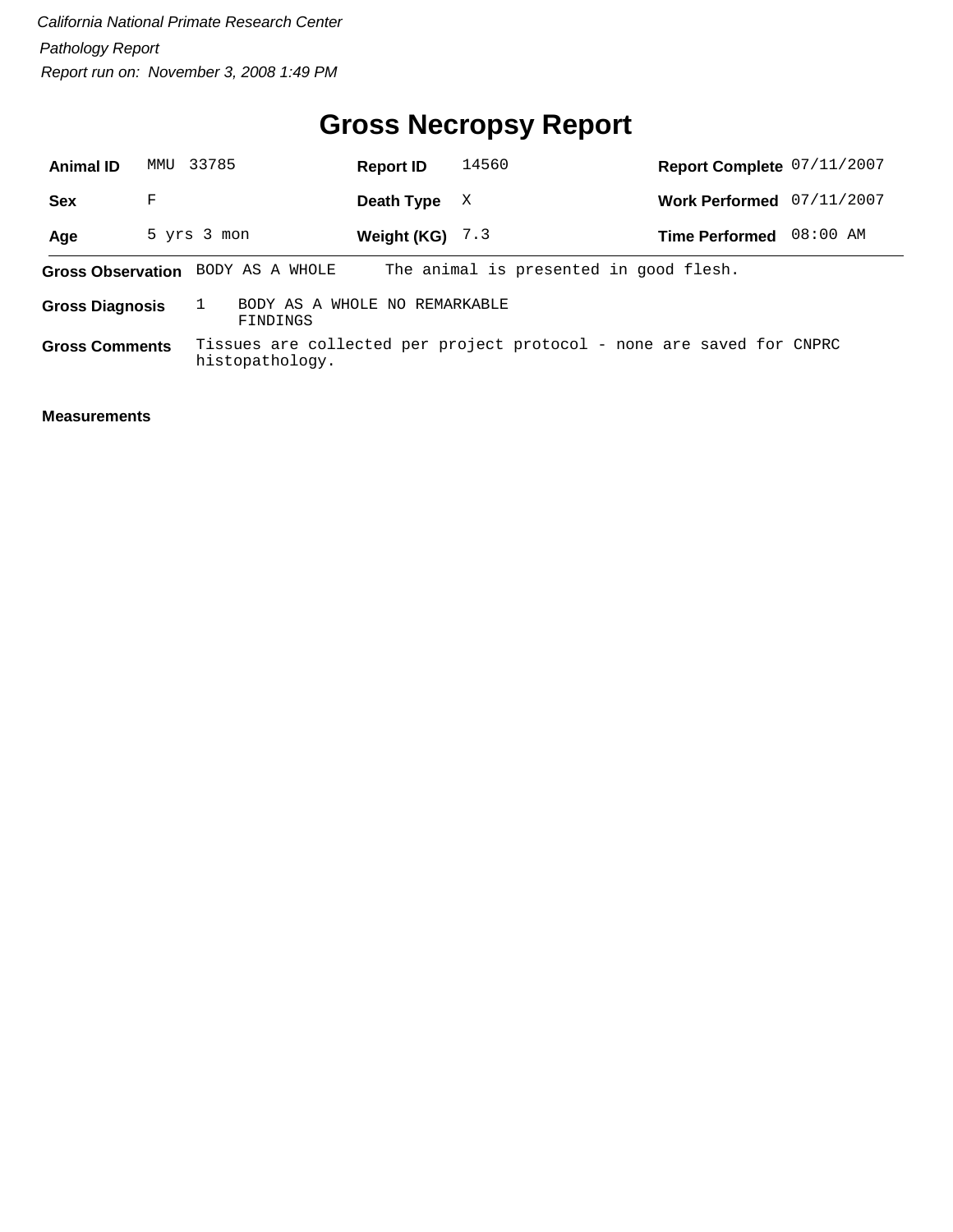## **Gross Necropsy Report**

| <b>Animal ID</b>       |   | MMU 33785                         | <b>Report ID</b>              | 14560                                                                 | Report Complete 07/11/2007 |            |
|------------------------|---|-----------------------------------|-------------------------------|-----------------------------------------------------------------------|----------------------------|------------|
| <b>Sex</b>             | F |                                   | Death Type                    | X                                                                     | <b>Work Performed</b>      | 07/11/2007 |
| Age                    |   | 5 yrs 3 mon                       | Weight (KG) $7.3$             |                                                                       | <b>Time Performed</b>      | 08:00 AM   |
|                        |   | Gross Observation BODY AS A WHOLE |                               | The animal is presented in good flesh.                                |                            |            |
| <b>Gross Diagnosis</b> |   | FINDINGS                          | BODY AS A WHOLE NO REMARKABLE |                                                                       |                            |            |
| <b>Gross Comments</b>  |   | histopathology.                   |                               | Tissues are collected per project protocol - none are saved for CNPRC |                            |            |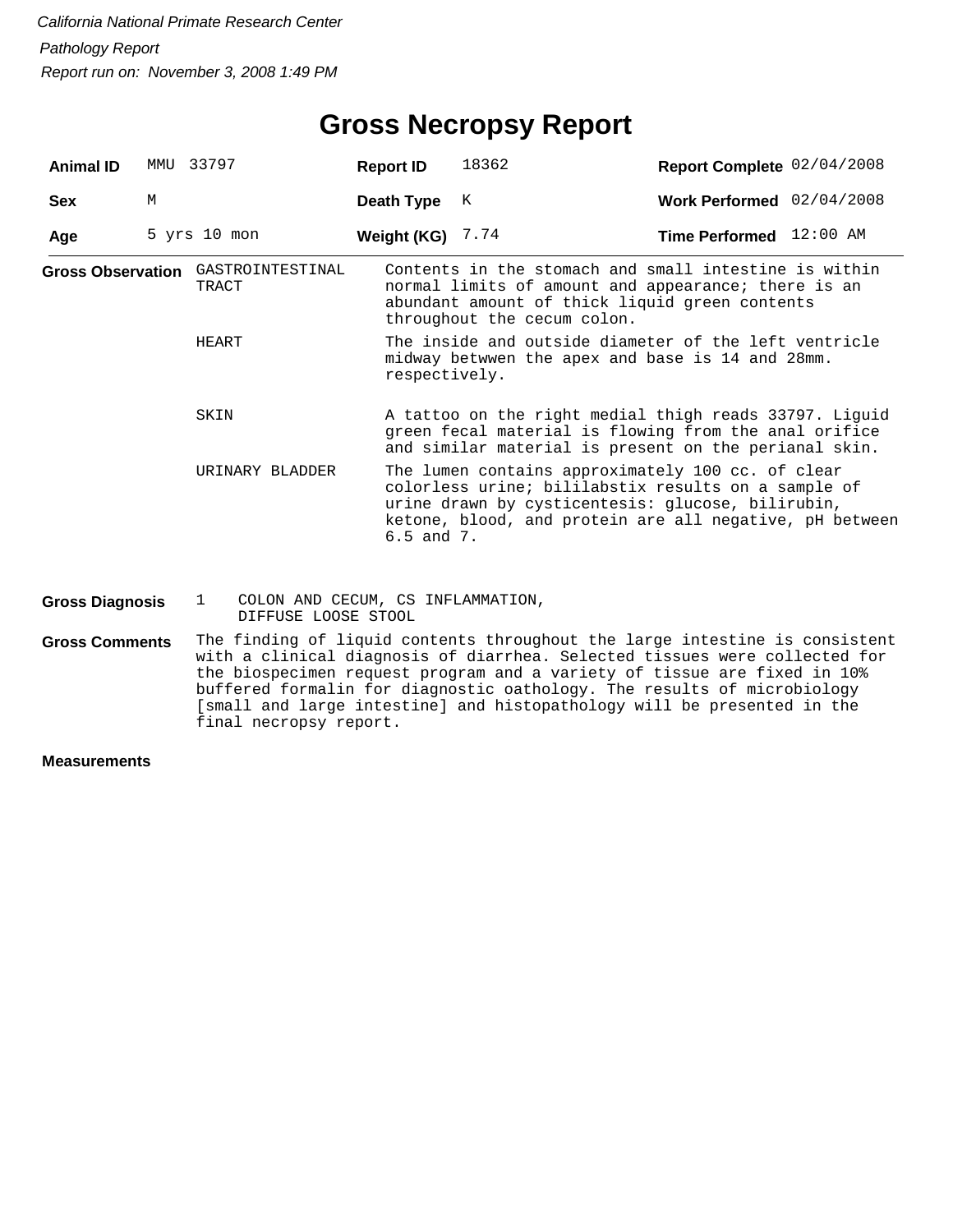| <b>Animal ID</b>       | MMU | 33797                                                                    | <b>Report ID</b>   | 18362                                                                                                                                                                                                                                 | Report Complete 02/04/2008 |  |
|------------------------|-----|--------------------------------------------------------------------------|--------------------|---------------------------------------------------------------------------------------------------------------------------------------------------------------------------------------------------------------------------------------|----------------------------|--|
| <b>Sex</b>             | M   |                                                                          | Death Type         | К                                                                                                                                                                                                                                     | Work Performed 02/04/2008  |  |
| Age                    |     | $5$ yrs $10$ mon                                                         | Weight (KG) $7.74$ |                                                                                                                                                                                                                                       | Time Performed 12:00 AM    |  |
|                        |     | Gross Observation GASTROINTESTINAL<br>TRACT                              |                    | Contents in the stomach and small intestine is within<br>normal limits of amount and appearance; there is an<br>abundant amount of thick liquid green contents<br>throughout the cecum colon.                                         |                            |  |
|                        |     | HEART                                                                    | respectively.      | The inside and outside diameter of the left ventricle<br>midway betwwen the apex and base is 14 and 28mm.                                                                                                                             |                            |  |
|                        |     | SKIN                                                                     |                    | A tattoo on the right medial thigh reads 33797. Liguid<br>green fecal material is flowing from the anal orifice<br>and similar material is present on the perianal skin.                                                              |                            |  |
|                        |     | URINARY BLADDER                                                          | $6.5$ and $7.$     | The lumen contains approximately 100 cc. of clear<br>colorless urine; bililabstix results on a sample of<br>urine drawn by cysticentesis: glucose, bilirubin,<br>ketone, blood, and protein are all negative, pH between              |                            |  |
| <b>Gross Diagnosis</b> |     | COLON AND CECUM, CS INFLAMMATION,<br>$\mathbf{1}$<br>DIFFUSE LOOSE STOOL |                    |                                                                                                                                                                                                                                       |                            |  |
| <b>Gross Comments</b>  |     |                                                                          |                    | The finding of liquid contents throughout the large intestine is consistent<br>with a clinical diagnosis of diarrhea. Selected tissues were collected for<br>the biography compating program and a wariety of tiggue are fixed in 10% |                            |  |

the biospecimen request program and a variety of tissue are fixed in 10% buffered formalin for diagnostic oathology. The results of microbiology [small and large intestine] and histopathology will be presented in the final necropsy report.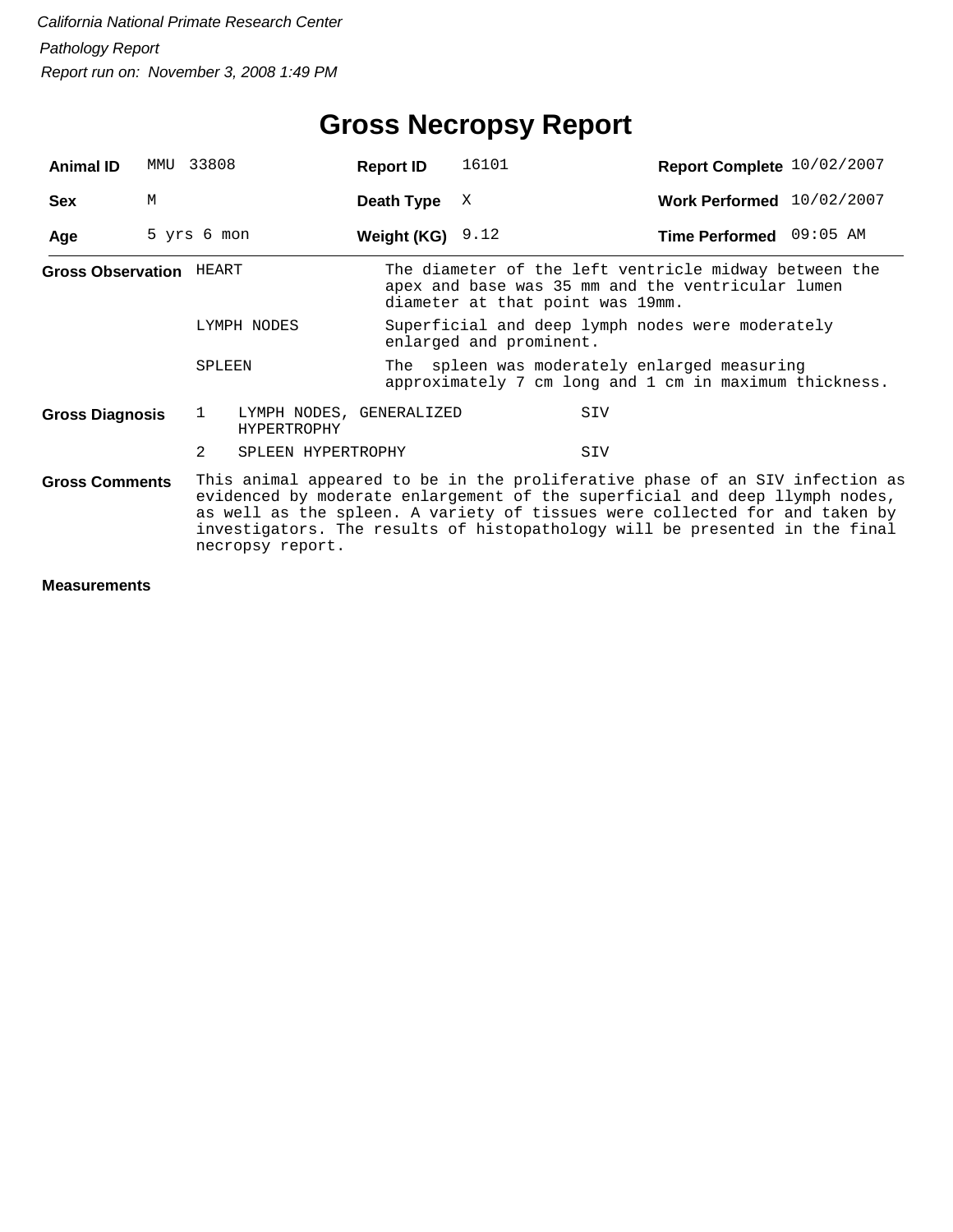## **Gross Necropsy Report**

| <b>Animal ID</b>                                                                                                                                                                                                                                                                                                                                                       | MMU 33808   |        |                                                | <b>Report ID</b>   | 16101                                                                       | Report Complete 10/02/2007                                                                                                                     |  |  |  |  |
|------------------------------------------------------------------------------------------------------------------------------------------------------------------------------------------------------------------------------------------------------------------------------------------------------------------------------------------------------------------------|-------------|--------|------------------------------------------------|--------------------|-----------------------------------------------------------------------------|------------------------------------------------------------------------------------------------------------------------------------------------|--|--|--|--|
| <b>Sex</b>                                                                                                                                                                                                                                                                                                                                                             | М           |        |                                                | Death Type         | X                                                                           | Work Performed 10/02/2007                                                                                                                      |  |  |  |  |
| Age                                                                                                                                                                                                                                                                                                                                                                    | 5 yrs 6 mon |        |                                                | Weight (KG) $9.12$ |                                                                             | Time Performed 09:05 AM                                                                                                                        |  |  |  |  |
| <b>Gross Observation HEART</b>                                                                                                                                                                                                                                                                                                                                         |             |        |                                                |                    |                                                                             | The diameter of the left ventricle midway between the<br>apex and base was 35 mm and the ventricular lumen<br>diameter at that point was 19mm. |  |  |  |  |
|                                                                                                                                                                                                                                                                                                                                                                        |             |        | LYMPH NODES                                    |                    | Superficial and deep lymph nodes were moderately<br>enlarged and prominent. |                                                                                                                                                |  |  |  |  |
|                                                                                                                                                                                                                                                                                                                                                                        |             | SPLEEN |                                                |                    |                                                                             | The spleen was moderately enlarged measuring<br>approximately 7 cm long and 1 cm in maximum thickness.                                         |  |  |  |  |
| <b>Gross Diagnosis</b>                                                                                                                                                                                                                                                                                                                                                 |             | 1      | LYMPH NODES, GENERALIZED<br><b>HYPERTROPHY</b> |                    |                                                                             | SIV                                                                                                                                            |  |  |  |  |
|                                                                                                                                                                                                                                                                                                                                                                        |             | 2      | SPLEEN HYPERTROPHY                             |                    |                                                                             | SIV                                                                                                                                            |  |  |  |  |
| This animal appeared to be in the proliferative phase of an SIV infection as<br><b>Gross Comments</b><br>evidenced by moderate enlargement of the superficial and deep llymph nodes,<br>as well as the spleen. A variety of tissues were collected for and taken by<br>investigators. The results of histopathology will be presented in the final<br>necropsy report. |             |        |                                                |                    |                                                                             |                                                                                                                                                |  |  |  |  |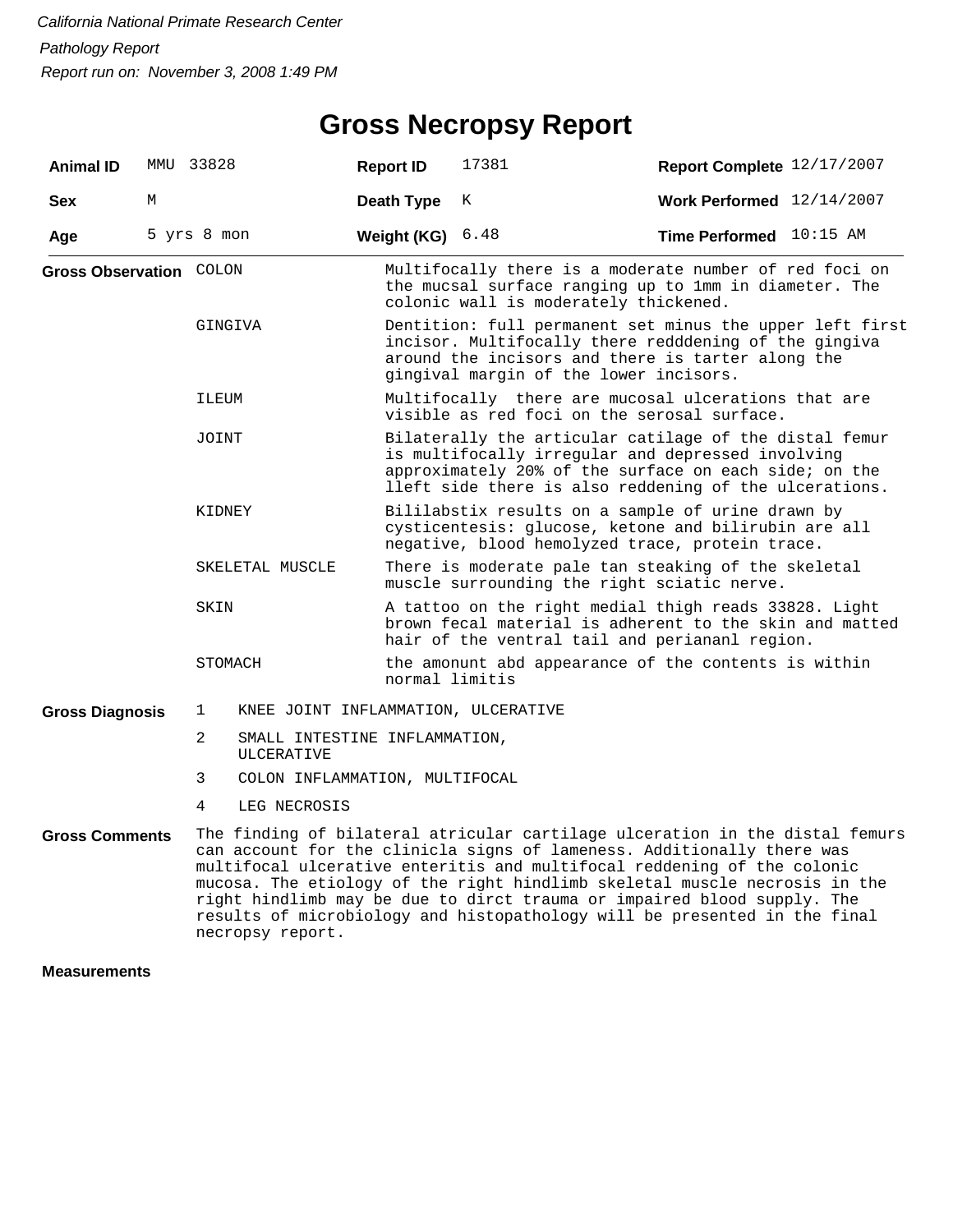#### **Gross Necropsy Report**

| <b>Animal ID</b>               | MMU 33828   |                |                                             | <b>Report ID</b> | 17381                                                                                                                                                                                                                                                                                                                                                                                      | Report Complete 12/17/2007       |  |  |  |  |
|--------------------------------|-------------|----------------|---------------------------------------------|------------------|--------------------------------------------------------------------------------------------------------------------------------------------------------------------------------------------------------------------------------------------------------------------------------------------------------------------------------------------------------------------------------------------|----------------------------------|--|--|--|--|
| <b>Sex</b>                     | M           |                |                                             | Death Type       | K                                                                                                                                                                                                                                                                                                                                                                                          | Work Performed $12/14/2007$      |  |  |  |  |
| Age                            | 5 yrs 8 mon |                |                                             | Weight (KG)      | 6.48                                                                                                                                                                                                                                                                                                                                                                                       | <b>Time Performed</b> $10:15$ AM |  |  |  |  |
| <b>Gross Observation COLON</b> |             |                |                                             |                  | Multifocally there is a moderate number of red foci on<br>the mucsal surface ranging up to 1mm in diameter. The<br>colonic wall is moderately thickened.                                                                                                                                                                                                                                   |                                  |  |  |  |  |
|                                |             |                | GINGIVA                                     |                  | Dentition: full permanent set minus the upper left first<br>incisor. Multifocally there redddening of the gingiva<br>around the incisors and there is tarter along the<br>gingival margin of the lower incisors.                                                                                                                                                                           |                                  |  |  |  |  |
|                                |             | ILEUM          |                                             |                  | Multifocally there are mucosal ulcerations that are<br>visible as red foci on the serosal surface.                                                                                                                                                                                                                                                                                         |                                  |  |  |  |  |
|                                |             | JOINT          |                                             |                  | Bilaterally the articular catilage of the distal femur<br>is multifocally irregular and depressed involving<br>approximately 20% of the surface on each side; on the<br>lleft side there is also reddening of the ulcerations.                                                                                                                                                             |                                  |  |  |  |  |
|                                |             | KIDNEY         |                                             |                  | Bililabstix results on a sample of urine drawn by<br>cysticentesis: glucose, ketone and bilirubin are all<br>negative, blood hemolyzed trace, protein trace.                                                                                                                                                                                                                               |                                  |  |  |  |  |
|                                |             |                | SKELETAL MUSCLE                             |                  | There is moderate pale tan steaking of the skeletal<br>muscle surrounding the right sciatic nerve.                                                                                                                                                                                                                                                                                         |                                  |  |  |  |  |
|                                |             | SKIN           |                                             |                  | A tattoo on the right medial thigh reads 33828. Light<br>brown fecal material is adherent to the skin and matted<br>hair of the ventral tail and periananl region.                                                                                                                                                                                                                         |                                  |  |  |  |  |
|                                |             |                | STOMACH                                     |                  | the amonunt abd appearance of the contents is within<br>normal limitis                                                                                                                                                                                                                                                                                                                     |                                  |  |  |  |  |
| <b>Gross Diagnosis</b>         |             | 1              | KNEE JOINT INFLAMMATION, ULCERATIVE         |                  |                                                                                                                                                                                                                                                                                                                                                                                            |                                  |  |  |  |  |
|                                |             | $\overline{2}$ | SMALL INTESTINE INFLAMMATION,<br>ULCERATIVE |                  |                                                                                                                                                                                                                                                                                                                                                                                            |                                  |  |  |  |  |
|                                |             | 3              | COLON INFLAMMATION, MULTIFOCAL              |                  |                                                                                                                                                                                                                                                                                                                                                                                            |                                  |  |  |  |  |
|                                |             | 4              | LEG NECROSIS                                |                  |                                                                                                                                                                                                                                                                                                                                                                                            |                                  |  |  |  |  |
| <b>Gross Comments</b>          |             |                |                                             |                  | The finding of bilateral atricular cartilage ulceration in the distal femurs<br>can account for the clinicla signs of lameness. Additionally there was<br>multifocal ulcerative enteritis and multifocal reddening of the colonic<br>mucosa. The etiology of the right hindlimb skeletal muscle necrosis in the<br>right hindlimb may be due to dirct trauma or impaired blood supply. The |                                  |  |  |  |  |

results of microbiology and histopathology will be presented in the final

#### **Measurements**

necropsy report.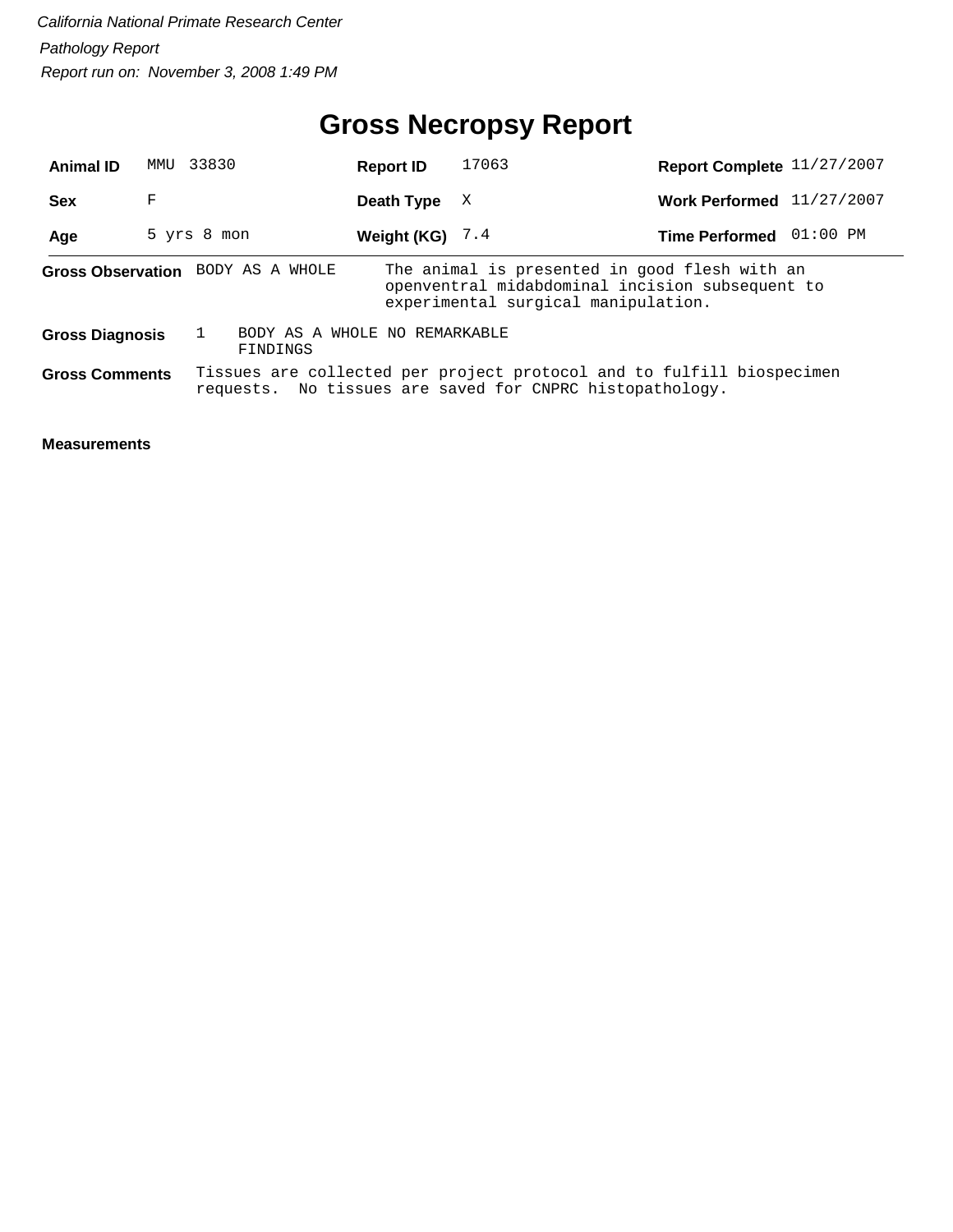## **Gross Necropsy Report**

| <b>Animal ID</b>       | MMU | 33830       |                                           | <b>Report ID</b>  | 17063                                                                                                                                   | Report Complete 11/27/2007 |            |
|------------------------|-----|-------------|-------------------------------------------|-------------------|-----------------------------------------------------------------------------------------------------------------------------------------|----------------------------|------------|
| <b>Sex</b>             | F   |             |                                           | Death Type        | X                                                                                                                                       | <b>Work Performed</b>      | 11/27/2007 |
| Age                    |     | 5 yrs 8 mon |                                           | Weight (KG) $7.4$ |                                                                                                                                         | <b>Time Performed</b>      | 01:00 PM   |
|                        |     |             | Gross Observation BODY AS A WHOLE         |                   | The animal is presented in good flesh with an<br>openventral midabdominal incision subsequent to<br>experimental surgical manipulation. |                            |            |
| <b>Gross Diagnosis</b> |     |             | BODY AS A WHOLE NO REMARKABLE<br>FINDINGS |                   |                                                                                                                                         |                            |            |
| <b>Gross Comments</b>  |     |             |                                           |                   | Tissues are collected per project protocol and to fulfill biospecimen<br>requests. No tissues are saved for CNPRC histopathology.       |                            |            |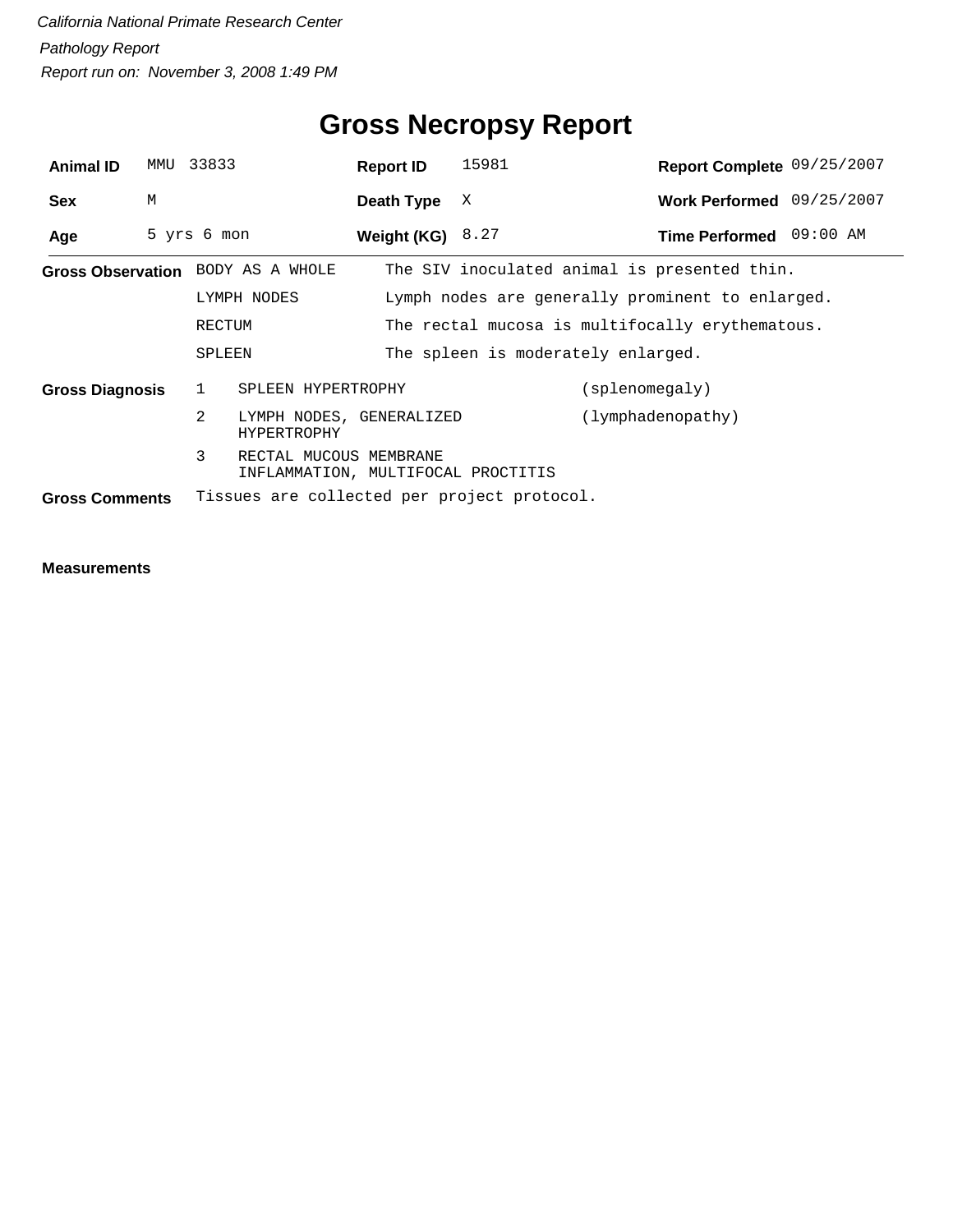| <b>Animal ID</b>       | MMU         | 33833                   |                                                              |  | <b>Report ID</b>   | 15981                                       |                | Report Complete 09/25/2007                       |  |
|------------------------|-------------|-------------------------|--------------------------------------------------------------|--|--------------------|---------------------------------------------|----------------|--------------------------------------------------|--|
| <b>Sex</b>             | M           |                         |                                                              |  | Death Type         | X                                           |                | Work Performed 09/25/2007                        |  |
| Age                    | 5 yrs 6 mon |                         |                                                              |  | Weight (KG) $8.27$ |                                             |                | Time Performed 09:00 AM                          |  |
|                        |             |                         | Gross Observation BODY AS A WHOLE                            |  |                    |                                             |                | The SIV inoculated animal is presented thin.     |  |
|                        |             |                         | LYMPH NODES                                                  |  |                    |                                             |                | Lymph nodes are generally prominent to enlarged. |  |
|                        |             | RECTUM                  |                                                              |  |                    |                                             |                | The rectal mucosa is multifocally erythematous.  |  |
|                        |             | SPLEEN                  |                                                              |  |                    | The spleen is moderately enlarged.          |                |                                                  |  |
| <b>Gross Diagnosis</b> |             | SPLEEN HYPERTROPHY<br>1 |                                                              |  |                    |                                             | (splenomegaly) |                                                  |  |
|                        |             | $\overline{2}$          | LYMPH NODES, GENERALIZED<br>HYPERTROPHY                      |  |                    |                                             |                | (lymphadenopathy)                                |  |
|                        |             | 3                       | RECTAL MUCOUS MEMBRANE<br>INFLAMMATION, MULTIFOCAL PROCTITIS |  |                    |                                             |                |                                                  |  |
| <b>Gross Comments</b>  |             |                         |                                                              |  |                    | Tissues are collected per project protocol. |                |                                                  |  |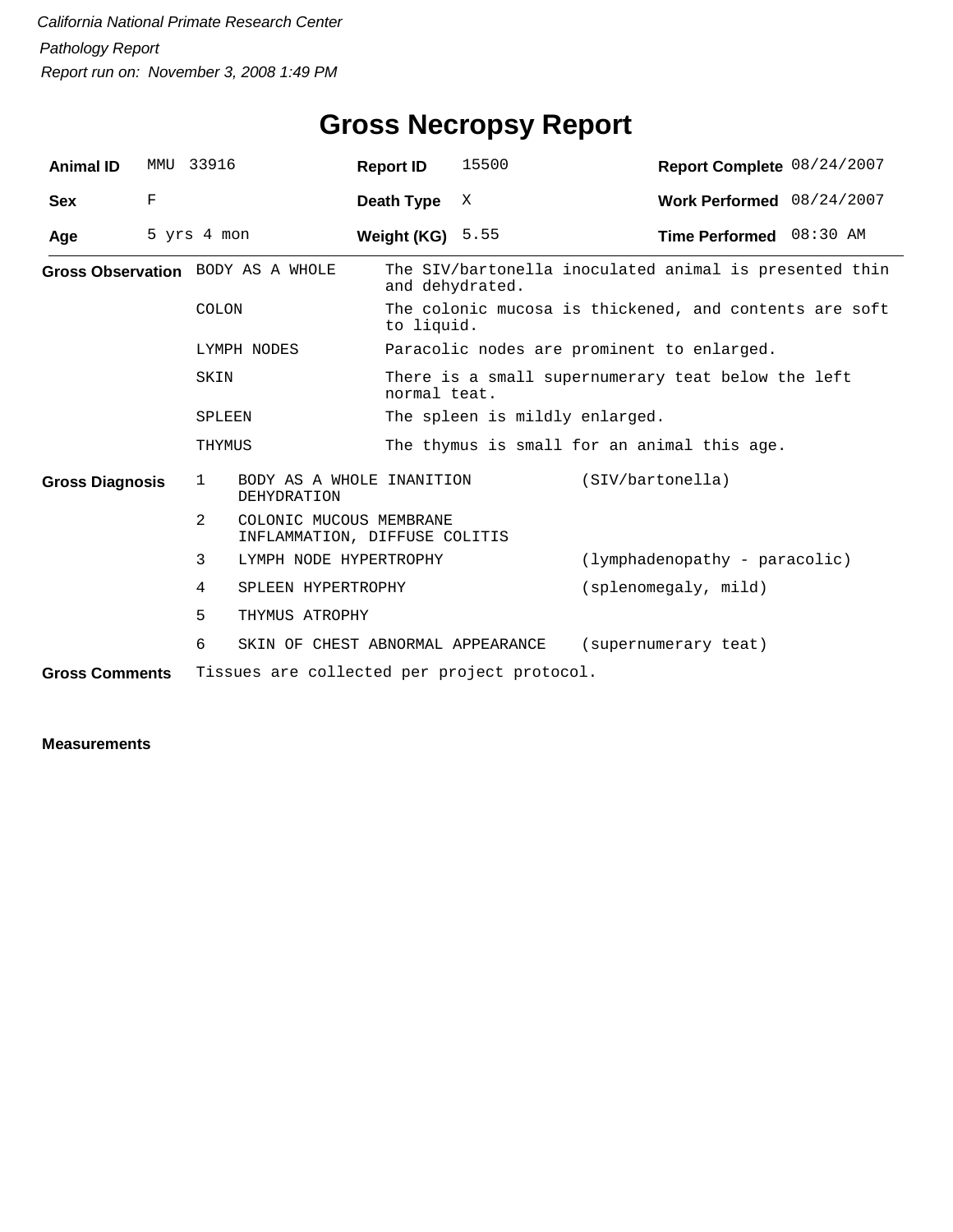| <b>Animal ID</b>       |   | MMU 33916                         |                                                          | <b>Report ID</b>                                                     | 15500                          |                                                        | Report Complete 08/24/2007 |  |
|------------------------|---|-----------------------------------|----------------------------------------------------------|----------------------------------------------------------------------|--------------------------------|--------------------------------------------------------|----------------------------|--|
| <b>Sex</b>             | F |                                   |                                                          | Death Type                                                           | X                              |                                                        | Work Performed 08/24/2007  |  |
| Age                    |   | 5 yrs 4 mon                       |                                                          | Weight (KG) $5.55$                                                   |                                | Time Performed 08:30 AM                                |                            |  |
|                        |   | Gross Observation BODY AS A WHOLE |                                                          | and dehydrated.                                                      |                                | The SIV/bartonella inoculated animal is presented thin |                            |  |
|                        |   | COLON                             |                                                          | The colonic mucosa is thickened, and contents are soft<br>to liquid. |                                |                                                        |                            |  |
|                        |   | LYMPH NODES                       |                                                          | Paracolic nodes are prominent to enlarged.                           |                                |                                                        |                            |  |
|                        |   | SKIN                              |                                                          | normal teat.                                                         |                                | There is a small supernumerary teat below the left     |                            |  |
|                        |   | SPLEEN                            |                                                          |                                                                      | The spleen is mildly enlarged. |                                                        |                            |  |
|                        |   | THYMUS                            |                                                          | The thymus is small for an animal this age.                          |                                |                                                        |                            |  |
| <b>Gross Diagnosis</b> |   | $\mathbf{1}$                      | BODY AS A WHOLE INANITION<br><b>DEHYDRATION</b>          |                                                                      |                                | (SIV/bartonella)                                       |                            |  |
|                        |   | $\mathcal{L}$                     | COLONIC MUCOUS MEMBRANE<br>INFLAMMATION, DIFFUSE COLITIS |                                                                      |                                |                                                        |                            |  |
|                        |   | 3                                 | LYMPH NODE HYPERTROPHY                                   |                                                                      |                                | (lymphadenopathy - paracolic)                          |                            |  |
|                        |   | 4                                 | SPLEEN HYPERTROPHY                                       |                                                                      |                                | (splenomegaly, mild)                                   |                            |  |
|                        |   | 5                                 | THYMUS ATROPHY                                           |                                                                      |                                |                                                        |                            |  |
|                        |   | 6                                 |                                                          | SKIN OF CHEST ABNORMAL APPEARANCE                                    |                                | (supernumerary teat)                                   |                            |  |
| <b>Gross Comments</b>  |   |                                   | Tissues are collected per project protocol.              |                                                                      |                                |                                                        |                            |  |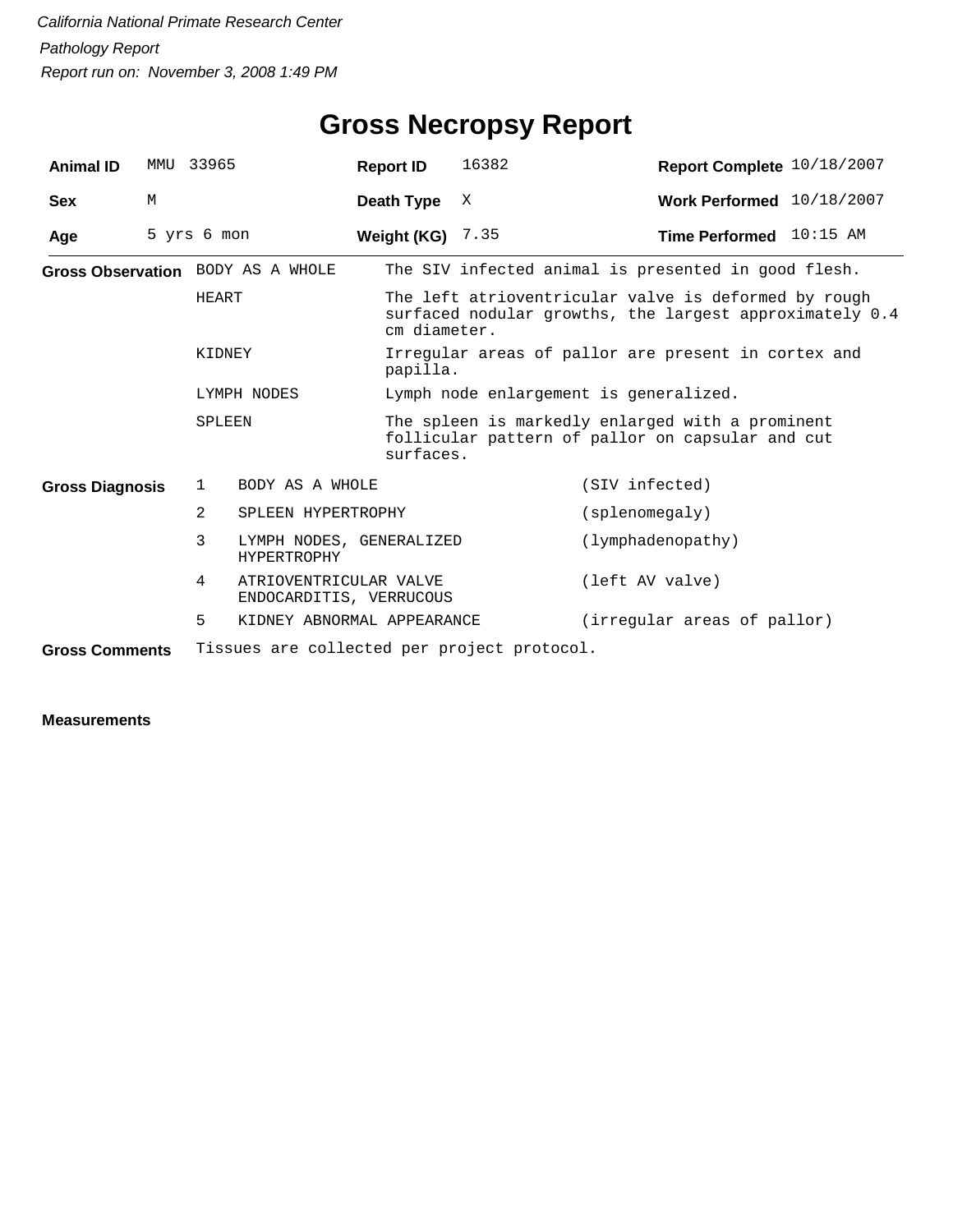| <b>Animal ID</b>       |   | MMU 33965                                   | <b>Report ID</b>                                  | 16382                                                                                                                           | Report Complete 10/18/2007             |  |  |  |
|------------------------|---|---------------------------------------------|---------------------------------------------------|---------------------------------------------------------------------------------------------------------------------------------|----------------------------------------|--|--|--|
| <b>Sex</b>             | М |                                             | Death Type                                        | X                                                                                                                               | Work Performed 10/18/2007              |  |  |  |
| Age                    |   | 5 yrs 6 mon                                 | Weight (KG) $7.35$                                |                                                                                                                                 | <b>Time Performed</b> $10:15$ AM       |  |  |  |
|                        |   | Gross Observation BODY AS A WHOLE           |                                                   | The SIV infected animal is presented in good flesh.                                                                             |                                        |  |  |  |
|                        |   | HEART                                       |                                                   | The left atrioventricular valve is deformed by rough<br>surfaced nodular growths, the largest approximately 0.4<br>cm diameter. |                                        |  |  |  |
|                        |   | KIDNEY                                      |                                                   | Irregular areas of pallor are present in cortex and<br>papilla.                                                                 |                                        |  |  |  |
|                        |   | LYMPH NODES                                 |                                                   |                                                                                                                                 | Lymph node enlargement is generalized. |  |  |  |
|                        |   | SPLEEN                                      |                                                   | The spleen is markedly enlarged with a prominent<br>follicular pattern of pallor on capsular and cut<br>surfaces.               |                                        |  |  |  |
| <b>Gross Diagnosis</b> |   | BODY AS A WHOLE<br>1                        |                                                   |                                                                                                                                 | (SIV infected)                         |  |  |  |
|                        |   | $\overline{2}$<br>SPLEEN HYPERTROPHY        |                                                   |                                                                                                                                 | (splenomegaly)                         |  |  |  |
|                        |   | 3<br><b>HYPERTROPHY</b>                     | LYMPH NODES, GENERALIZED                          |                                                                                                                                 | (lymphadenopathy)                      |  |  |  |
|                        |   | 4                                           | ATRIOVENTRICULAR VALVE<br>ENDOCARDITIS, VERRUCOUS |                                                                                                                                 | (left AV valve)                        |  |  |  |
|                        |   | 5                                           | KIDNEY ABNORMAL APPEARANCE                        |                                                                                                                                 | (irregular areas of pallor)            |  |  |  |
| <b>Gross Comments</b>  |   | Tissues are collected per project protocol. |                                                   |                                                                                                                                 |                                        |  |  |  |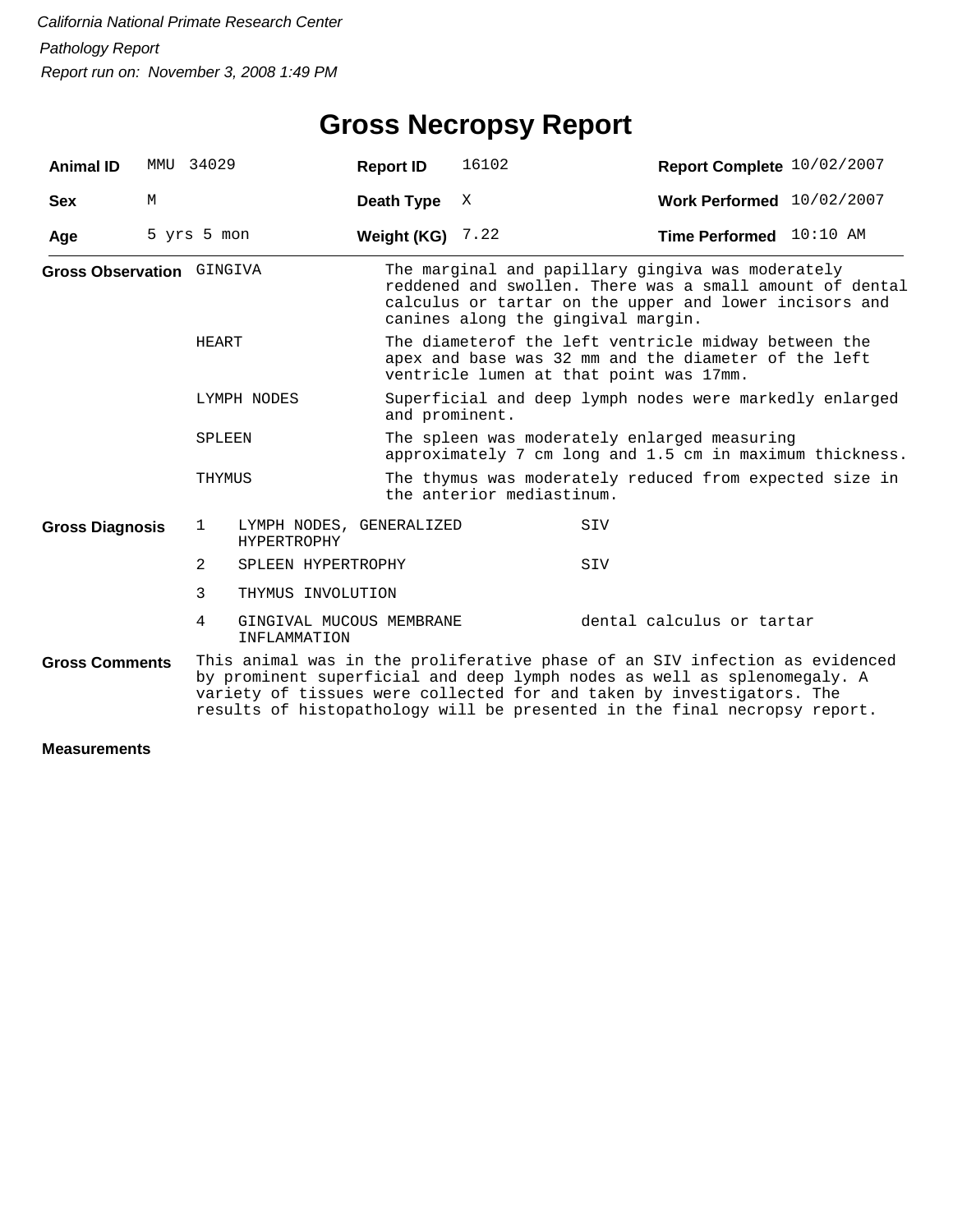## **Gross Necropsy Report**

| <b>Animal ID</b>          | MMU 34029   |              |                                                | <b>Report ID</b>                                                                                         | 16102                                                                                                                                                                                                         | Report Complete 10/02/2007                                                                                                                                                                                                                                                                                    |  |  |  |
|---------------------------|-------------|--------------|------------------------------------------------|----------------------------------------------------------------------------------------------------------|---------------------------------------------------------------------------------------------------------------------------------------------------------------------------------------------------------------|---------------------------------------------------------------------------------------------------------------------------------------------------------------------------------------------------------------------------------------------------------------------------------------------------------------|--|--|--|
| <b>Sex</b>                | M           |              |                                                | Death Type                                                                                               | X                                                                                                                                                                                                             | Work Performed $10/02/2007$                                                                                                                                                                                                                                                                                   |  |  |  |
| Age                       | 5 yrs 5 mon |              |                                                | Weight (KG)                                                                                              | 7.22                                                                                                                                                                                                          | Time Performed 10:10 AM                                                                                                                                                                                                                                                                                       |  |  |  |
| Gross Observation GINGIVA |             |              |                                                |                                                                                                          | The marginal and papillary gingiva was moderately<br>reddened and swollen. There was a small amount of dental<br>calculus or tartar on the upper and lower incisors and<br>canines along the gingival margin. |                                                                                                                                                                                                                                                                                                               |  |  |  |
|                           |             | HEART        |                                                |                                                                                                          | The diameterof the left ventricle midway between the<br>apex and base was 32 mm and the diameter of the left<br>ventricle lumen at that point was 17mm.                                                       |                                                                                                                                                                                                                                                                                                               |  |  |  |
| LYMPH NODES               |             |              |                                                |                                                                                                          | Superficial and deep lymph nodes were markedly enlarged<br>and prominent.                                                                                                                                     |                                                                                                                                                                                                                                                                                                               |  |  |  |
| SPLEEN                    |             |              |                                                | The spleen was moderately enlarged measuring<br>approximately 7 cm long and 1.5 cm in maximum thickness. |                                                                                                                                                                                                               |                                                                                                                                                                                                                                                                                                               |  |  |  |
|                           |             | THYMUS       |                                                |                                                                                                          | The thymus was moderately reduced from expected size in<br>the anterior mediastinum.                                                                                                                          |                                                                                                                                                                                                                                                                                                               |  |  |  |
| <b>Gross Diagnosis</b>    |             | $\mathbf{1}$ | LYMPH NODES, GENERALIZED<br><b>HYPERTROPHY</b> |                                                                                                          |                                                                                                                                                                                                               | SIV                                                                                                                                                                                                                                                                                                           |  |  |  |
|                           |             | 2            | SPLEEN HYPERTROPHY                             |                                                                                                          |                                                                                                                                                                                                               | SIV                                                                                                                                                                                                                                                                                                           |  |  |  |
|                           |             | 3            | THYMUS INVOLUTION                              |                                                                                                          |                                                                                                                                                                                                               |                                                                                                                                                                                                                                                                                                               |  |  |  |
|                           |             | 4            | GINGIVAL MUCOUS MEMBRANE<br>INFLAMMATION       |                                                                                                          |                                                                                                                                                                                                               | dental calculus or tartar                                                                                                                                                                                                                                                                                     |  |  |  |
| <b>Gross Comments</b>     |             |              |                                                |                                                                                                          |                                                                                                                                                                                                               | This animal was in the proliferative phase of an SIV infection as evidenced<br>by prominent superficial and deep lymph nodes as well as splenomegaly. A<br>variety of tissues were collected for and taken by investigators. The<br>results of histopathology will be presented in the final necropsy report. |  |  |  |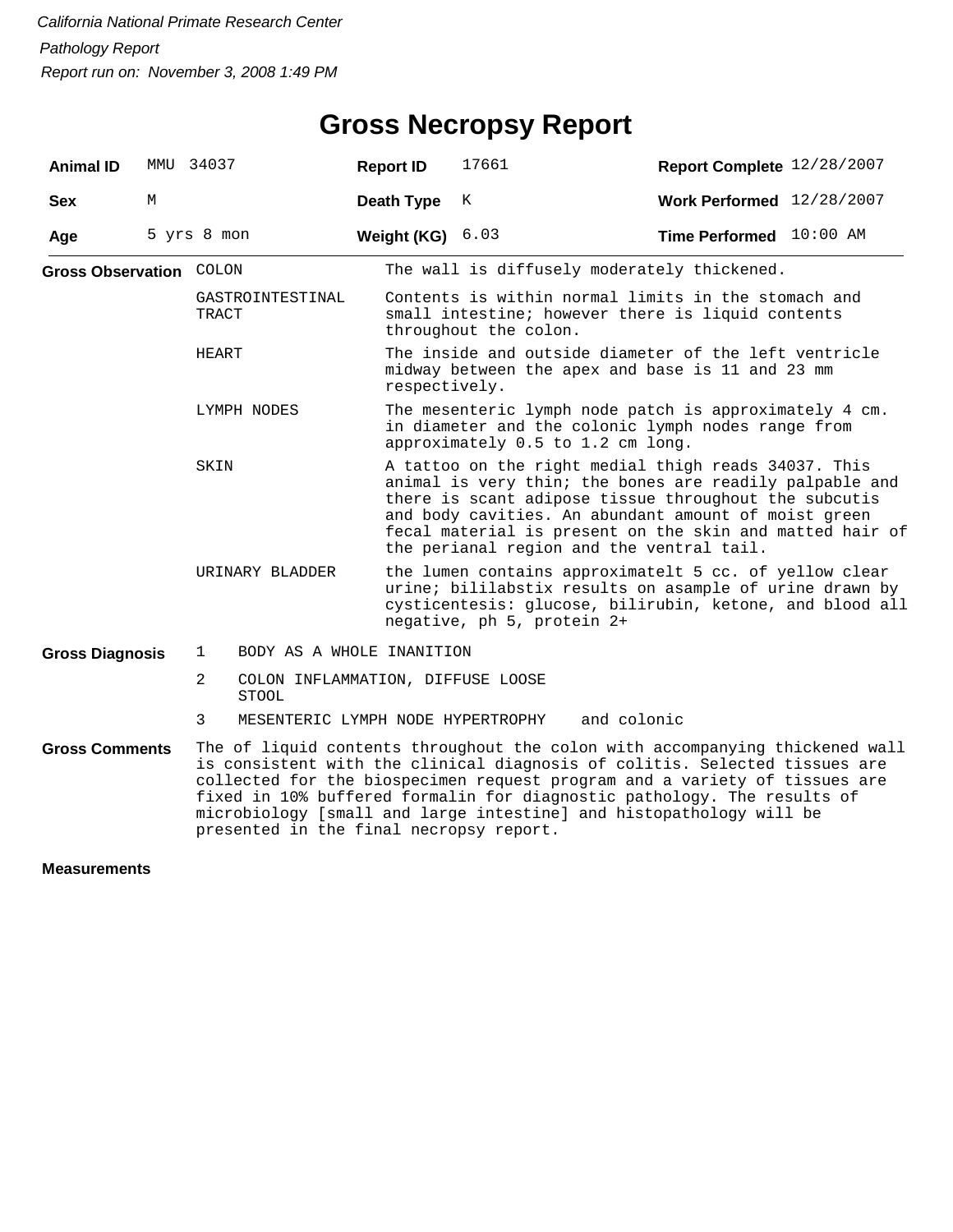#### **Gross Necropsy Report**

| <b>Animal ID</b>               | MMU | 34037                                                  | <b>Report ID</b> | 17661                                                                                                                                                                                                                                                                                                                                     | Report Complete 12/28/2007                                                                                                                                                                                                                                                                                                                                                                 |  |  |  |  |
|--------------------------------|-----|--------------------------------------------------------|------------------|-------------------------------------------------------------------------------------------------------------------------------------------------------------------------------------------------------------------------------------------------------------------------------------------------------------------------------------------|--------------------------------------------------------------------------------------------------------------------------------------------------------------------------------------------------------------------------------------------------------------------------------------------------------------------------------------------------------------------------------------------|--|--|--|--|
| <b>Sex</b>                     | M   |                                                        | Death Type       | K                                                                                                                                                                                                                                                                                                                                         | <b>Work Performed</b> 12/28/2007                                                                                                                                                                                                                                                                                                                                                           |  |  |  |  |
| Age                            |     | 5 yrs 8 mon                                            | Weight (KG)      | 6.03                                                                                                                                                                                                                                                                                                                                      | Time Performed 10:00 AM                                                                                                                                                                                                                                                                                                                                                                    |  |  |  |  |
| <b>Gross Observation COLON</b> |     |                                                        |                  | The wall is diffusely moderately thickened.                                                                                                                                                                                                                                                                                               |                                                                                                                                                                                                                                                                                                                                                                                            |  |  |  |  |
|                                |     | GASTROINTESTINAL<br>TRACT                              |                  | throughout the colon.                                                                                                                                                                                                                                                                                                                     | Contents is within normal limits in the stomach and<br>small intestine; however there is liquid contents                                                                                                                                                                                                                                                                                   |  |  |  |  |
|                                |     | HEART                                                  |                  | The inside and outside diameter of the left ventricle<br>midway between the apex and base is 11 and 23 mm<br>respectively.                                                                                                                                                                                                                |                                                                                                                                                                                                                                                                                                                                                                                            |  |  |  |  |
|                                |     | LYMPH NODES                                            |                  | approximately 0.5 to 1.2 cm long.                                                                                                                                                                                                                                                                                                         | The mesenteric lymph node patch is approximately 4 cm.<br>in diameter and the colonic lymph nodes range from                                                                                                                                                                                                                                                                               |  |  |  |  |
|                                |     | SKIN                                                   |                  | A tattoo on the right medial thigh reads 34037. This<br>animal is very thin; the bones are readily palpable and<br>there is scant adipose tissue throughout the subcutis<br>and body cavities. An abundant amount of moist green<br>fecal material is present on the skin and matted hair of<br>the perianal region and the ventral tail. |                                                                                                                                                                                                                                                                                                                                                                                            |  |  |  |  |
|                                |     | URINARY BLADDER                                        |                  | the lumen contains approximatelt 5 cc. of yellow clear<br>urine; bililabstix results on asample of urine drawn by<br>cysticentesis: glucose, bilirubin, ketone, and blood all<br>negative, ph 5, protein 2+                                                                                                                               |                                                                                                                                                                                                                                                                                                                                                                                            |  |  |  |  |
| <b>Gross Diagnosis</b>         |     | $\mathbf{1}$<br>BODY AS A WHOLE INANITION              |                  |                                                                                                                                                                                                                                                                                                                                           |                                                                                                                                                                                                                                                                                                                                                                                            |  |  |  |  |
|                                |     | 2<br>COLON INFLAMMATION, DIFFUSE LOOSE<br><b>STOOL</b> |                  |                                                                                                                                                                                                                                                                                                                                           |                                                                                                                                                                                                                                                                                                                                                                                            |  |  |  |  |
|                                |     | MESENTERIC LYMPH NODE HYPERTROPHY<br>and colonic<br>3  |                  |                                                                                                                                                                                                                                                                                                                                           |                                                                                                                                                                                                                                                                                                                                                                                            |  |  |  |  |
| <b>Gross Comments</b>          |     |                                                        |                  |                                                                                                                                                                                                                                                                                                                                           | The of liquid contents throughout the colon with accompanying thickened wall<br>is consistent with the clinical diagnosis of colitis. Selected tissues are<br>collected for the biospecimen request program and a variety of tissues are<br>fixed in 10% buffered formalin for diagnostic pathology. The results of<br>microbiology [small and large intestine] and histopathology will be |  |  |  |  |

presented in the final necropsy report.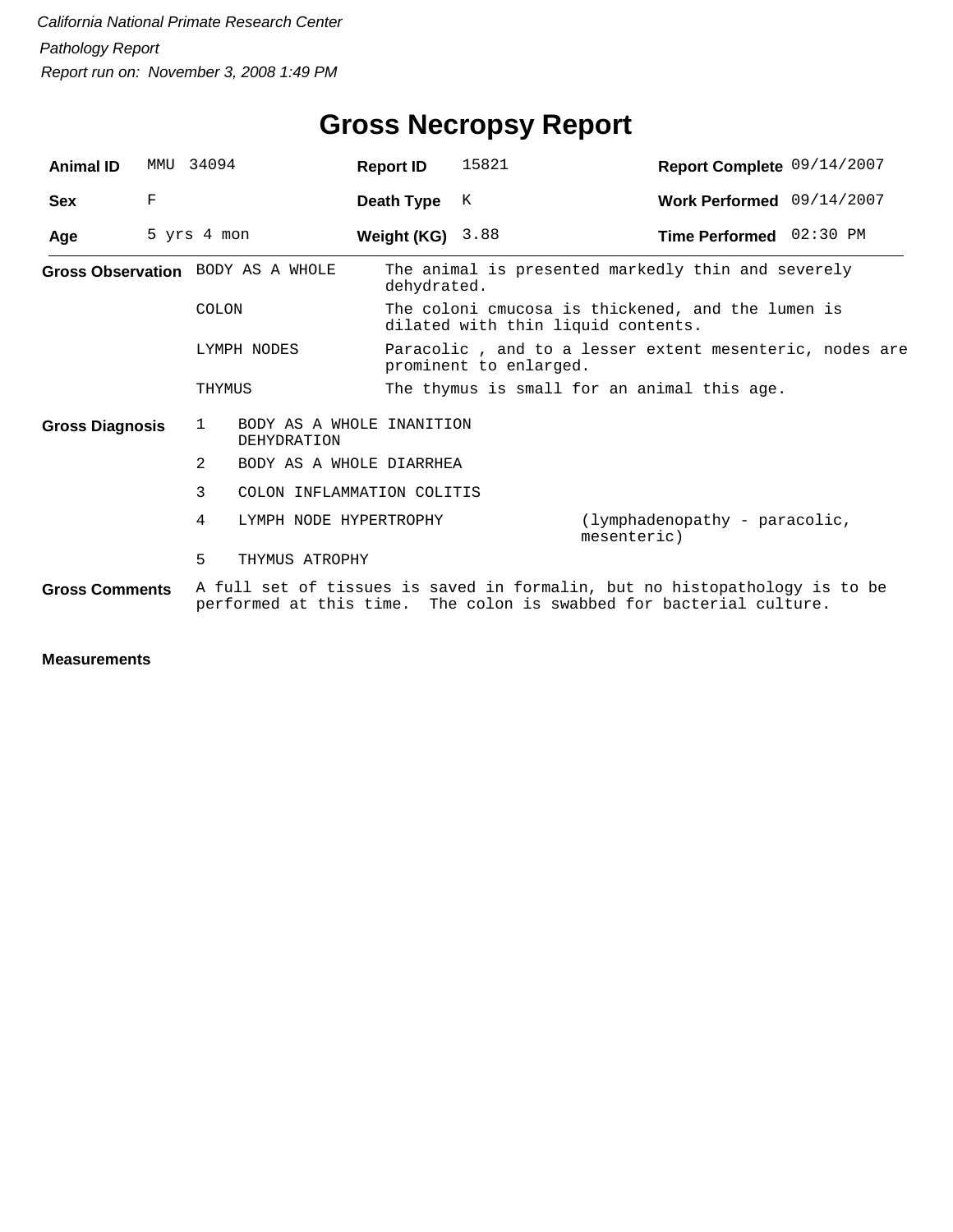| <b>Animal ID</b>       | MMU         | 34094                             |                                                 | <b>Report ID</b> | 15821                                                                                   | Report Complete 09/14/2007                                                 |  |  |  |
|------------------------|-------------|-----------------------------------|-------------------------------------------------|------------------|-----------------------------------------------------------------------------------------|----------------------------------------------------------------------------|--|--|--|
| <b>Sex</b>             | F           |                                   |                                                 | Death Type       | K                                                                                       | Work Performed 09/14/2007                                                  |  |  |  |
| Age                    | 5 yrs 4 mon |                                   | Weight (KG)                                     | 3.88             | Time Performed 02:30 PM                                                                 |                                                                            |  |  |  |
|                        |             | Gross Observation BODY AS A WHOLE |                                                 | dehydrated.      |                                                                                         | The animal is presented markedly thin and severely                         |  |  |  |
|                        |             | COLON                             |                                                 |                  | The coloni cmucosa is thickened, and the lumen is<br>dilated with thin liquid contents. |                                                                            |  |  |  |
|                        |             | LYMPH NODES                       |                                                 |                  | Paracolic, and to a lesser extent mesenteric, nodes are<br>prominent to enlarged.       |                                                                            |  |  |  |
|                        |             | THYMUS                            |                                                 |                  |                                                                                         | The thymus is small for an animal this age.                                |  |  |  |
| <b>Gross Diagnosis</b> |             | $\mathbf{1}$                      | BODY AS A WHOLE INANITION<br><b>DEHYDRATION</b> |                  |                                                                                         |                                                                            |  |  |  |
|                        |             | 2.                                | BODY AS A WHOLE DIARRHEA                        |                  |                                                                                         |                                                                            |  |  |  |
|                        |             | 3                                 | COLON INFLAMMATION COLITIS                      |                  |                                                                                         |                                                                            |  |  |  |
|                        |             | 4                                 | LYMPH NODE HYPERTROPHY                          |                  |                                                                                         | (lymphadenopathy - paracolic,<br>mesenteric)                               |  |  |  |
|                        |             | 5                                 | THYMUS ATROPHY                                  |                  |                                                                                         |                                                                            |  |  |  |
| <b>Gross Comments</b>  |             |                                   |                                                 |                  |                                                                                         | A full set of tissues is saved in formalin, but no histopathology is to be |  |  |  |

performed at this time. The colon is swabbed for bacterial culture.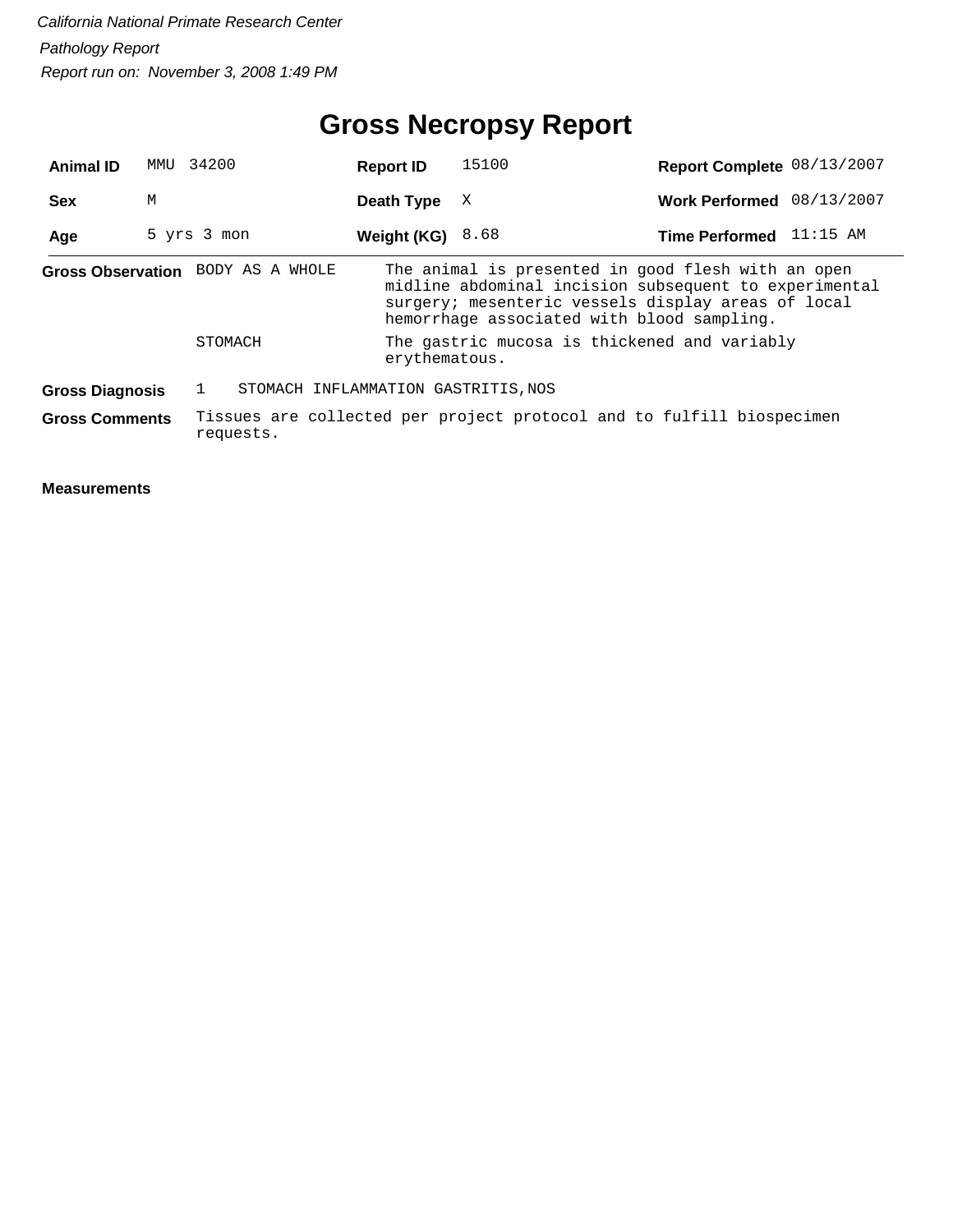## **Gross Necropsy Report**

| <b>Animal ID</b>       | MMU | 34200                               | <b>Report ID</b>                                                      | 15100                                                                                                                                                                                                           | Report Complete 08/13/2007 |  |  |  |  |
|------------------------|-----|-------------------------------------|-----------------------------------------------------------------------|-----------------------------------------------------------------------------------------------------------------------------------------------------------------------------------------------------------------|----------------------------|--|--|--|--|
| <b>Sex</b>             | М   |                                     | Death Type                                                            | X                                                                                                                                                                                                               | Work Performed 08/13/2007  |  |  |  |  |
| Age                    |     | 5 yrs 3 mon                         | Weight (KG)                                                           | 8.68                                                                                                                                                                                                            | Time Performed 11:15 AM    |  |  |  |  |
|                        |     | Gross Observation BODY AS A WHOLE   |                                                                       | The animal is presented in good flesh with an open<br>midline abdominal incision subsequent to experimental<br>surgery; mesenteric vessels display areas of local<br>hemorrhage associated with blood sampling. |                            |  |  |  |  |
|                        |     | STOMACH                             |                                                                       | The gastric mucosa is thickened and variably<br>erythematous.                                                                                                                                                   |                            |  |  |  |  |
| <b>Gross Diagnosis</b> |     | STOMACH INFLAMMATION GASTRITIS, NOS |                                                                       |                                                                                                                                                                                                                 |                            |  |  |  |  |
| <b>Gross Comments</b>  |     | requests.                           | Tissues are collected per project protocol and to fulfill biospecimen |                                                                                                                                                                                                                 |                            |  |  |  |  |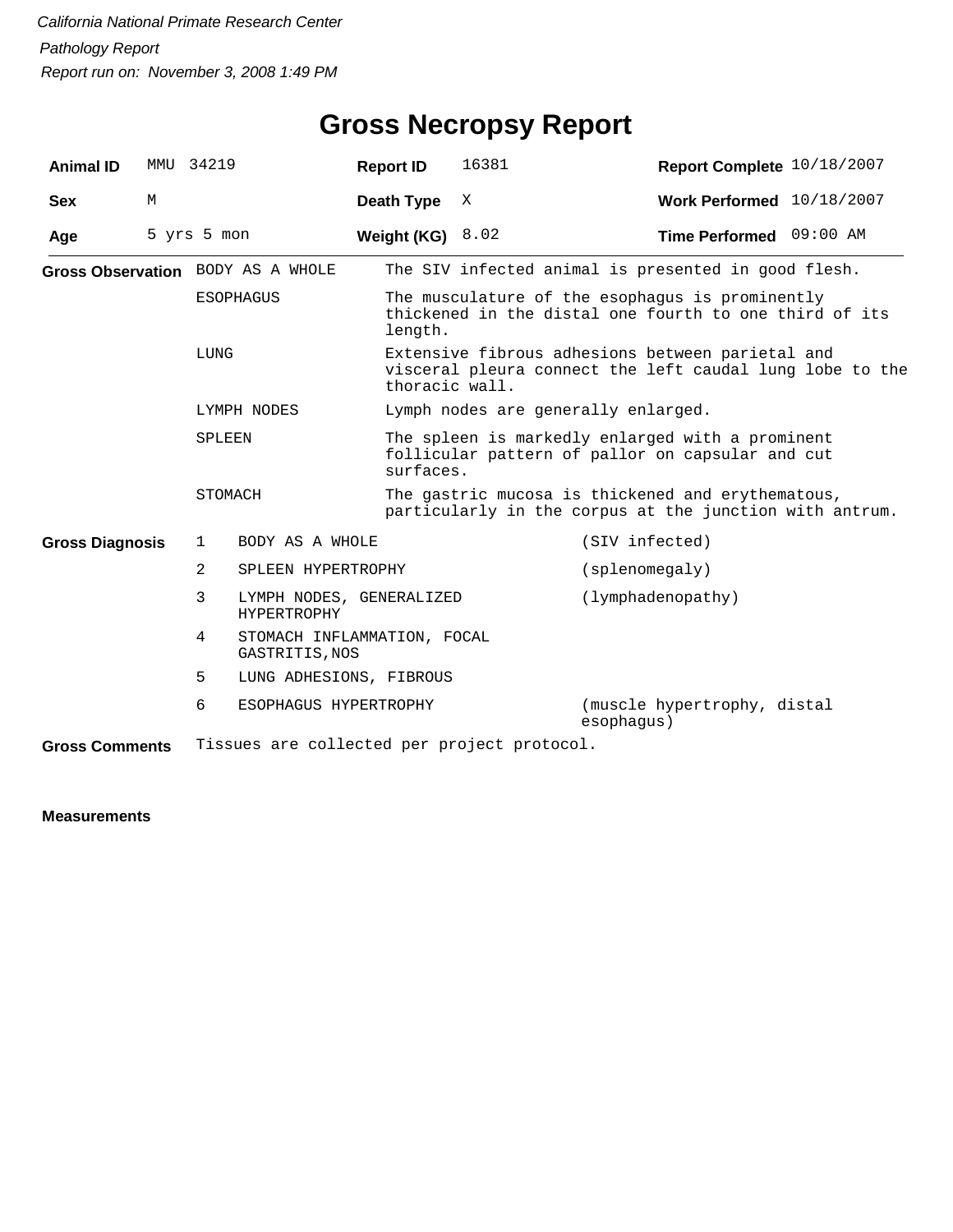| <b>Animal ID</b>       |   | MMU 34219   |                                                | <b>Report ID</b> | 16381                                                                                                                          | Report Complete 10/18/2007                |  |  |  |
|------------------------|---|-------------|------------------------------------------------|------------------|--------------------------------------------------------------------------------------------------------------------------------|-------------------------------------------|--|--|--|
| <b>Sex</b>             | М |             |                                                | Death Type       | X                                                                                                                              | Work Performed 10/18/2007                 |  |  |  |
| Age                    |   | 5 yrs 5 mon |                                                | Weight (KG)      | 8.02                                                                                                                           | Time Performed 09:00 AM                   |  |  |  |
|                        |   |             | Gross Observation BODY AS A WHOLE              |                  | The SIV infected animal is presented in good flesh.                                                                            |                                           |  |  |  |
|                        |   |             | <b>ESOPHAGUS</b>                               | length.          | The musculature of the esophagus is prominently<br>thickened in the distal one fourth to one third of its                      |                                           |  |  |  |
|                        |   | LUNG        |                                                |                  | Extensive fibrous adhesions between parietal and<br>visceral pleura connect the left caudal lung lobe to the<br>thoracic wall. |                                           |  |  |  |
|                        |   |             | LYMPH NODES                                    |                  |                                                                                                                                | Lymph nodes are generally enlarged.       |  |  |  |
|                        |   | SPLEEN      |                                                |                  | The spleen is markedly enlarged with a prominent<br>follicular pattern of pallor on capsular and cut<br>surfaces.              |                                           |  |  |  |
|                        |   | STOMACH     |                                                |                  | The gastric mucosa is thickened and erythematous,<br>particularly in the corpus at the junction with antrum.                   |                                           |  |  |  |
| <b>Gross Diagnosis</b> |   | 1           | BODY AS A WHOLE                                |                  |                                                                                                                                | (SIV infected)                            |  |  |  |
|                        |   | 2           | SPLEEN HYPERTROPHY                             |                  |                                                                                                                                | (splacement)                              |  |  |  |
|                        |   | 3           | LYMPH NODES, GENERALIZED<br><b>HYPERTROPHY</b> |                  |                                                                                                                                | (lymphadenopathy)                         |  |  |  |
|                        |   | 4           | STOMACH INFLAMMATION, FOCAL<br>GASTRITIS, NOS  |                  |                                                                                                                                |                                           |  |  |  |
|                        |   | 5           | LUNG ADHESIONS, FIBROUS                        |                  |                                                                                                                                |                                           |  |  |  |
|                        |   | 6           | ESOPHAGUS HYPERTROPHY                          |                  |                                                                                                                                | (muscle hypertrophy, distal<br>esophaqus) |  |  |  |
| <b>Gross Comments</b>  |   |             |                                                |                  | Tissues are collected per project protocol.                                                                                    |                                           |  |  |  |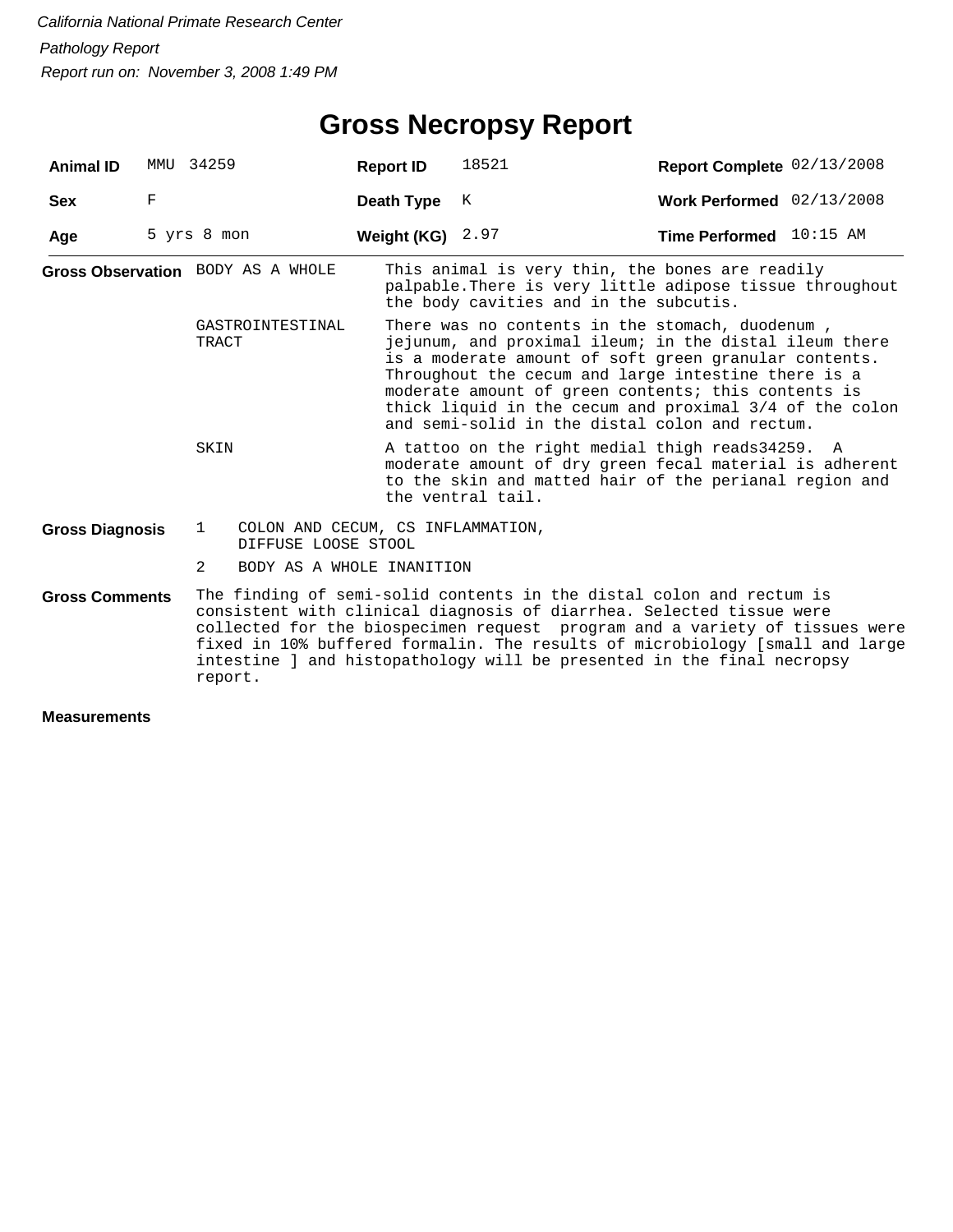## **Gross Necropsy Report**

| <b>Animal ID</b>                  | MMU | 34259                             |                                                          | <b>Report ID</b>   | 18521                                                                                                                                                                                                                                                                                                                                                                                         | Report Complete 02/13/2008  |  |  |  |
|-----------------------------------|-----|-----------------------------------|----------------------------------------------------------|--------------------|-----------------------------------------------------------------------------------------------------------------------------------------------------------------------------------------------------------------------------------------------------------------------------------------------------------------------------------------------------------------------------------------------|-----------------------------|--|--|--|
| <b>Sex</b>                        | F   |                                   |                                                          | Death Type         | K                                                                                                                                                                                                                                                                                                                                                                                             | Work Performed $02/13/2008$ |  |  |  |
| Age                               |     | 5 yrs 8 mon                       |                                                          | Weight (KG) $2.97$ |                                                                                                                                                                                                                                                                                                                                                                                               | Time Performed 10:15 AM     |  |  |  |
| Gross Observation BODY AS A WHOLE |     |                                   |                                                          |                    | This animal is very thin, the bones are readily<br>palpable. There is very little adipose tissue throughout<br>the body cavities and in the subcutis.                                                                                                                                                                                                                                         |                             |  |  |  |
|                                   |     | GASTROINTESTINAL<br>TRACT<br>SKIN |                                                          |                    | There was no contents in the stomach, duodenum,<br>jejunum, and proximal ileum; in the distal ileum there<br>is a moderate amount of soft green granular contents.<br>Throughout the cecum and large intestine there is a<br>moderate amount of green contents; this contents is<br>thick liquid in the cecum and proximal 3/4 of the colon<br>and semi-solid in the distal colon and rectum. |                             |  |  |  |
|                                   |     |                                   |                                                          |                    | A tattoo on the right medial thigh reads34259. A<br>moderate amount of dry green fecal material is adherent<br>to the skin and matted hair of the perianal region and<br>the ventral tail.                                                                                                                                                                                                    |                             |  |  |  |
| <b>Gross Diagnosis</b>            |     | 1                                 | COLON AND CECUM, CS INFLAMMATION,<br>DIFFUSE LOOSE STOOL |                    |                                                                                                                                                                                                                                                                                                                                                                                               |                             |  |  |  |
|                                   |     | 2                                 | BODY AS A WHOLE INANITION                                |                    |                                                                                                                                                                                                                                                                                                                                                                                               |                             |  |  |  |
| <b>Gross Comments</b>             |     | report.                           |                                                          |                    | The finding of semi-solid contents in the distal colon and rectum is<br>consistent with clinical diagnosis of diarrhea. Selected tissue were<br>collected for the biospecimen request program and a variety of tissues were<br>fixed in 10% buffered formalin. The results of microbiology [small and large<br>intestine ] and histopathology will be presented in the final necropsy         |                             |  |  |  |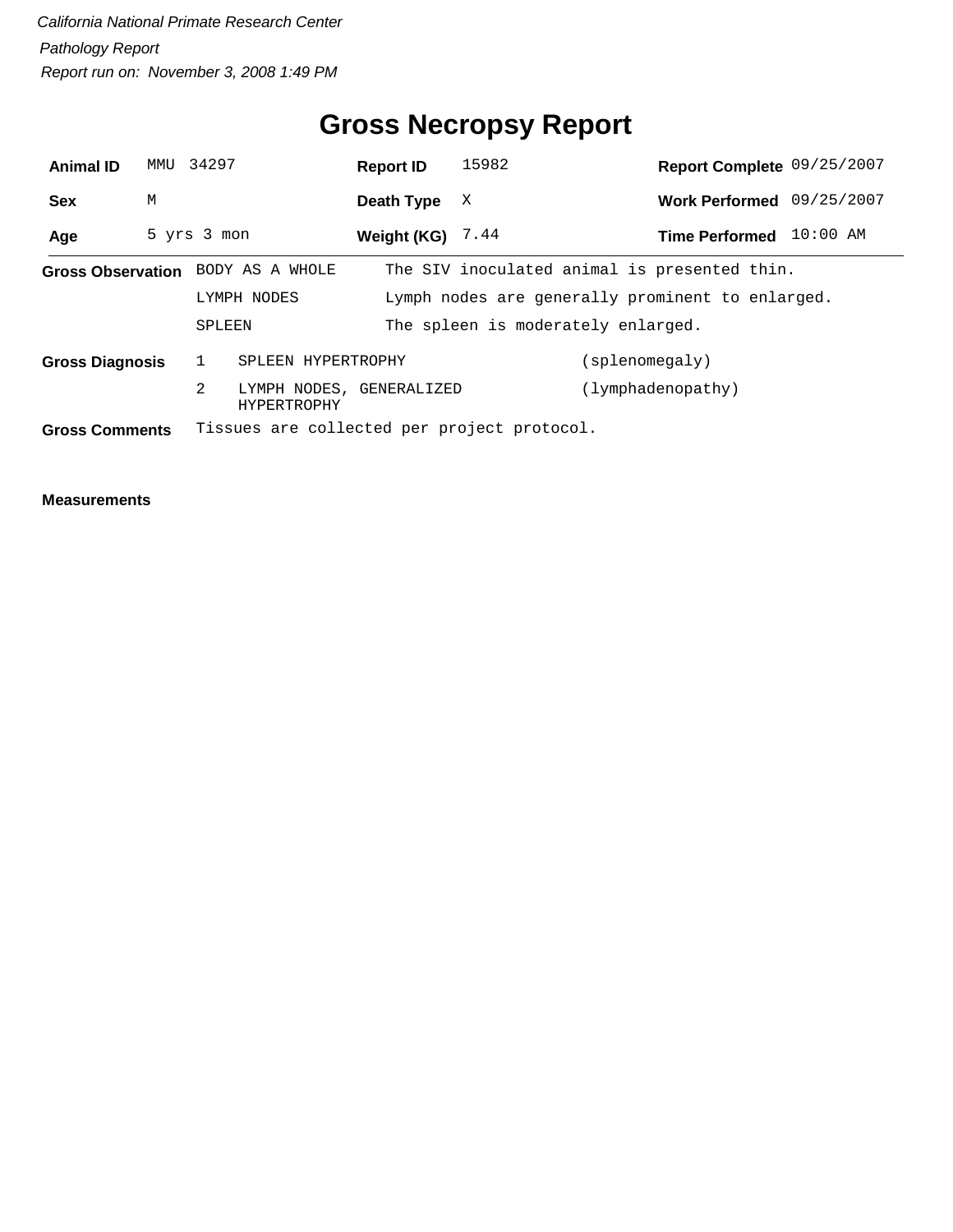## **Gross Necropsy Report**

| <b>Animal ID</b>                                                     | MMU 34297 |             |                                         | <b>Report ID</b>   | 15982                                            | Report Complete 09/25/2007                   |            |
|----------------------------------------------------------------------|-----------|-------------|-----------------------------------------|--------------------|--------------------------------------------------|----------------------------------------------|------------|
| <b>Sex</b>                                                           | М         |             |                                         | Death Type         | X                                                | Work Performed 09/25/2007                    |            |
| Age                                                                  |           | 5 yrs 3 mon |                                         | Weight (KG) $7.44$ |                                                  | <b>Time Performed</b>                        | $10:00$ AM |
| Gross Observation BODY AS A WHOLE                                    |           |             |                                         |                    |                                                  | The SIV inoculated animal is presented thin. |            |
|                                                                      |           | LYMPH NODES |                                         |                    | Lymph nodes are generally prominent to enlarged. |                                              |            |
|                                                                      |           | SPLEEN      |                                         |                    | The spleen is moderately enlarged.               |                                              |            |
| <b>Gross Diagnosis</b>                                               |           |             | SPLEEN HYPERTROPHY                      |                    |                                                  | (splenomegaly)                               |            |
|                                                                      |           | 2           | LYMPH NODES, GENERALIZED<br>HYPERTROPHY |                    |                                                  | (lymphadenopathy)                            |            |
| Tissues are collected per project protocol.<br><b>Gross Comments</b> |           |             |                                         |                    |                                                  |                                              |            |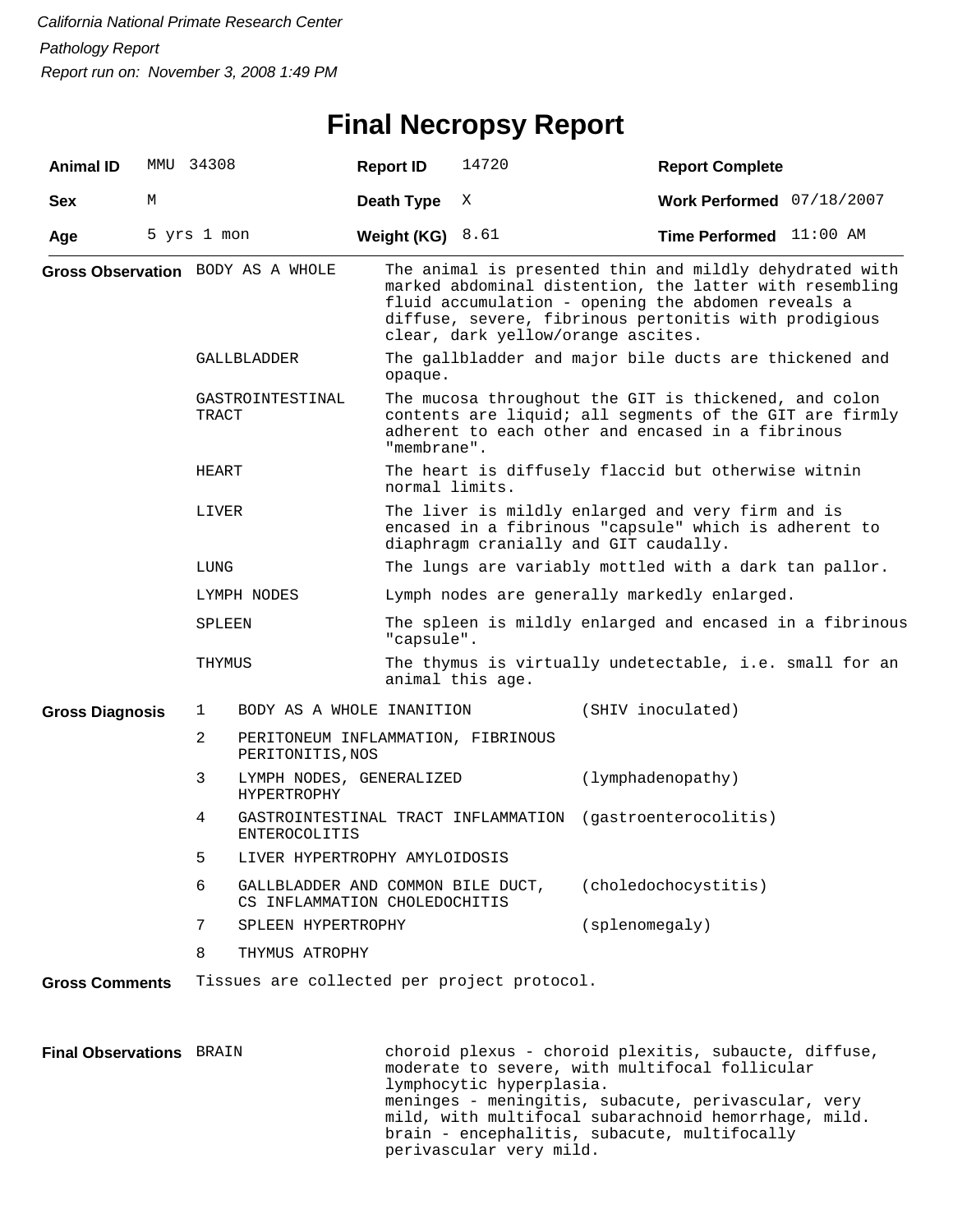#### **Final Necropsy Report**

| <b>Animal ID</b>                |   | MMU 34308                                                               | <b>Report ID</b>   | 14720                                                                                                                                                                                                                                                                   | <b>Report Complete</b>                                                                                  |  |  |  |  |
|---------------------------------|---|-------------------------------------------------------------------------|--------------------|-------------------------------------------------------------------------------------------------------------------------------------------------------------------------------------------------------------------------------------------------------------------------|---------------------------------------------------------------------------------------------------------|--|--|--|--|
| <b>Sex</b>                      | М |                                                                         | Death Type         | X                                                                                                                                                                                                                                                                       | Work Performed 07/18/2007                                                                               |  |  |  |  |
| Age                             |   | 5 yrs 1 mon                                                             | Weight (KG) $8.61$ |                                                                                                                                                                                                                                                                         | Time Performed 11:00 AM                                                                                 |  |  |  |  |
|                                 |   | Gross Observation BODY AS A WHOLE                                       |                    | The animal is presented thin and mildly dehydrated with<br>marked abdominal distention, the latter with resembling<br>fluid accumulation - opening the abdomen reveals a<br>diffuse, severe, fibrinous pertonitis with prodigious<br>clear, dark yellow/orange ascites. |                                                                                                         |  |  |  |  |
|                                 |   | GALLBLADDER                                                             | opaque.            |                                                                                                                                                                                                                                                                         | The gallbladder and major bile ducts are thickened and                                                  |  |  |  |  |
|                                 |   | GASTROINTESTINAL<br>TRACT                                               |                    | The mucosa throughout the GIT is thickened, and colon<br>contents are liquid; all segments of the GIT are firmly<br>adherent to each other and encased in a fibrinous<br>"membrane".                                                                                    |                                                                                                         |  |  |  |  |
|                                 |   | HEART                                                                   |                    | The heart is diffusely flaccid but otherwise witnin<br>normal limits.                                                                                                                                                                                                   |                                                                                                         |  |  |  |  |
|                                 |   | LIVER                                                                   |                    | The liver is mildly enlarged and very firm and is<br>encased in a fibrinous "capsule" which is adherent to<br>diaphragm cranially and GIT caudally.                                                                                                                     |                                                                                                         |  |  |  |  |
|                                 |   | LUNG                                                                    |                    |                                                                                                                                                                                                                                                                         | The lungs are variably mottled with a dark tan pallor.                                                  |  |  |  |  |
|                                 |   | LYMPH NODES                                                             |                    |                                                                                                                                                                                                                                                                         | Lymph nodes are generally markedly enlarged.                                                            |  |  |  |  |
|                                 |   | SPLEEN                                                                  | "capsule".         |                                                                                                                                                                                                                                                                         | The spleen is mildly enlarged and encased in a fibrinous                                                |  |  |  |  |
|                                 |   | THYMUS                                                                  |                    | The thymus is virtually undetectable, i.e. small for an<br>animal this age.                                                                                                                                                                                             |                                                                                                         |  |  |  |  |
| <b>Gross Diagnosis</b>          |   | BODY AS A WHOLE INANITION<br>$\mathbf{1}$                               |                    | (SHIV inoculated)                                                                                                                                                                                                                                                       |                                                                                                         |  |  |  |  |
|                                 |   | 2<br>PERITONEUM INFLAMMATION, FIBRINOUS<br>PERITONITIS, NOS             |                    |                                                                                                                                                                                                                                                                         |                                                                                                         |  |  |  |  |
|                                 |   | 3<br>LYMPH NODES, GENERALIZED<br><b>HYPERTROPHY</b>                     |                    | (lymphadenopathy)                                                                                                                                                                                                                                                       |                                                                                                         |  |  |  |  |
|                                 |   | 4<br><b>ENTEROCOLITIS</b>                                               |                    | GASTROINTESTINAL TRACT INFLAMMATION                                                                                                                                                                                                                                     | (gastroenterocolitis)                                                                                   |  |  |  |  |
|                                 |   | 5                                                                       |                    | LIVER HYPERTROPHY AMYLOIDOSIS                                                                                                                                                                                                                                           |                                                                                                         |  |  |  |  |
|                                 |   | 6<br>GALLBLADDER AND COMMON BILE DUCT,<br>CS INFLAMMATION CHOLEDOCHITIS |                    |                                                                                                                                                                                                                                                                         | (choledochocystitis)                                                                                    |  |  |  |  |
|                                 |   | 7<br>SPLEEN HYPERTROPHY                                                 |                    |                                                                                                                                                                                                                                                                         | (splenomegaly)                                                                                          |  |  |  |  |
|                                 |   | 8<br>THYMUS ATROPHY                                                     |                    |                                                                                                                                                                                                                                                                         |                                                                                                         |  |  |  |  |
| <b>Gross Comments</b>           |   | Tissues are collected per project protocol.                             |                    |                                                                                                                                                                                                                                                                         |                                                                                                         |  |  |  |  |
| <b>Final Observations BRAIN</b> |   |                                                                         |                    | lymphocytic hyperplasia.                                                                                                                                                                                                                                                | choroid plexus - choroid plexitis, subaucte, diffuse,<br>moderate to severe, with multifocal follicular |  |  |  |  |

meninges - meningitis, subacute, perivascular, very mild, with multifocal subarachnoid hemorrhage, mild. brain - encephalitis, subacute, multifocally perivascular very mild.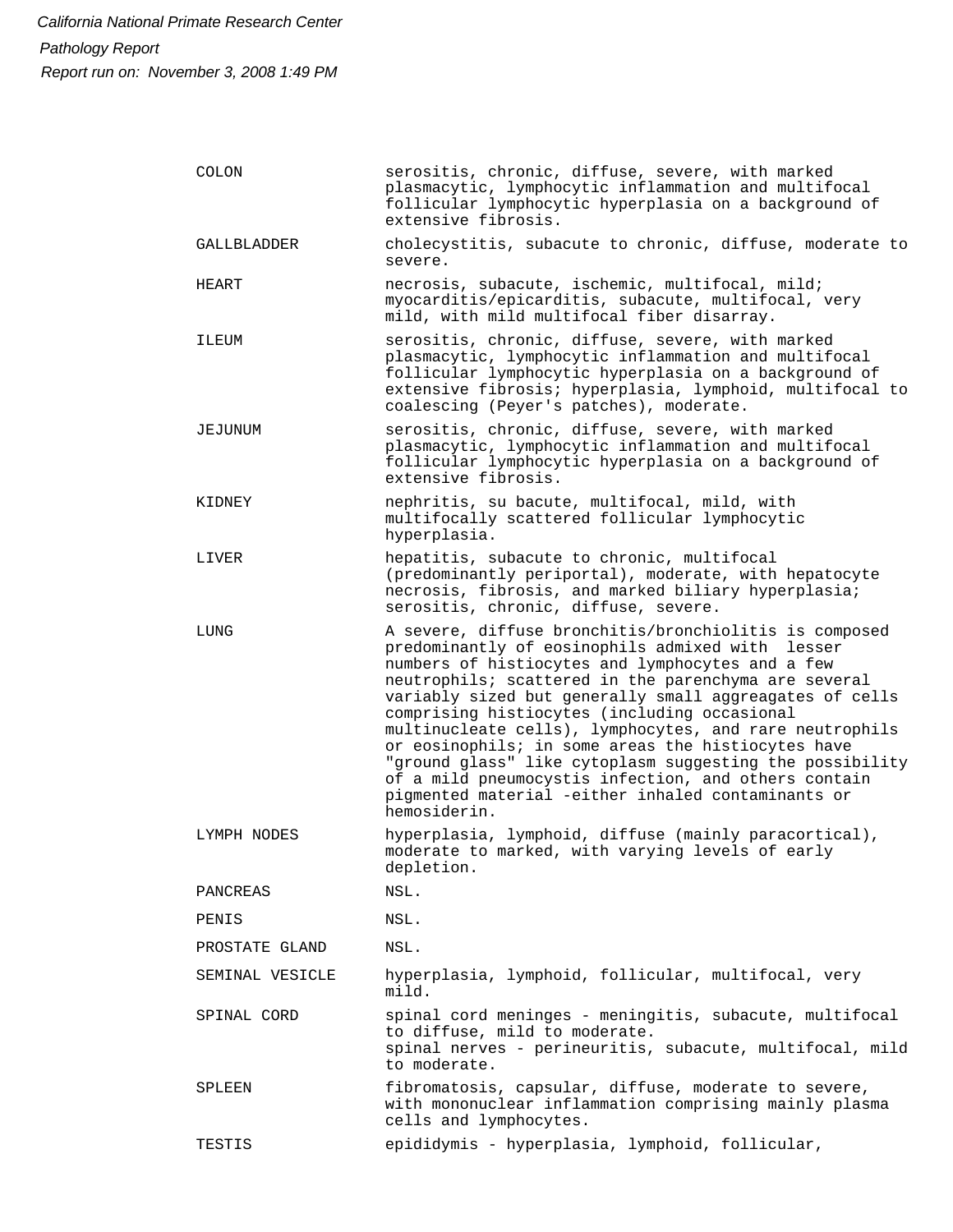| COLON           | serositis, chronic, diffuse, severe, with marked<br>plasmacytic, lymphocytic inflammation and multifocal<br>follicular lymphocytic hyperplasia on a background of<br>extensive fibrosis.                                                                                                                                                                                                                                                                                                                                                                                                                                                     |
|-----------------|----------------------------------------------------------------------------------------------------------------------------------------------------------------------------------------------------------------------------------------------------------------------------------------------------------------------------------------------------------------------------------------------------------------------------------------------------------------------------------------------------------------------------------------------------------------------------------------------------------------------------------------------|
| GALLBLADDER     | cholecystitis, subacute to chronic, diffuse, moderate to<br>severe.                                                                                                                                                                                                                                                                                                                                                                                                                                                                                                                                                                          |
| HEART           | necrosis, subacute, ischemic, multifocal, mild;<br>myocarditis/epicarditis, subacute, multifocal, very<br>mild, with mild multifocal fiber disarray.                                                                                                                                                                                                                                                                                                                                                                                                                                                                                         |
| ILEUM           | serositis, chronic, diffuse, severe, with marked<br>plasmacytic, lymphocytic inflammation and multifocal<br>follicular lymphocytic hyperplasia on a background of<br>extensive fibrosis; hyperplasia, lymphoid, multifocal to<br>coalescing (Peyer's patches), moderate.                                                                                                                                                                                                                                                                                                                                                                     |
| JEJUNUM         | serositis, chronic, diffuse, severe, with marked<br>plasmacytic, lymphocytic inflammation and multifocal<br>follicular lymphocytic hyperplasia on a background of<br>extensive fibrosis.                                                                                                                                                                                                                                                                                                                                                                                                                                                     |
| KIDNEY          | nephritis, su bacute, multifocal, mild, with<br>multifocally scattered follicular lymphocytic<br>hyperplasia.                                                                                                                                                                                                                                                                                                                                                                                                                                                                                                                                |
| LIVER           | hepatitis, subacute to chronic, multifocal<br>(predominantly periportal), moderate, with hepatocyte<br>necrosis, fibrosis, and marked biliary hyperplasia;<br>serositis, chronic, diffuse, severe.                                                                                                                                                                                                                                                                                                                                                                                                                                           |
| LUNG            | A severe, diffuse bronchitis/bronchiolitis is composed<br>predominantly of eosinophils admixed with lesser<br>numbers of histiocytes and lymphocytes and a few<br>neutrophils; scattered in the parenchyma are several<br>variably sized but generally small aggreagates of cells<br>comprising histiocytes (including occasional<br>multinucleate cells), lymphocytes, and rare neutrophils<br>or eosinophils; in some areas the histiocytes have<br>"ground glass" like cytoplasm suggesting the possibility<br>of a mild pneumocystis infection, and others contain<br>pigmented material -either inhaled contaminants or<br>hemosiderin. |
| LYMPH NODES     | hyperplasia, lymphoid, diffuse (mainly paracortical),<br>moderate to marked, with varying levels of early<br>depletion.                                                                                                                                                                                                                                                                                                                                                                                                                                                                                                                      |
| PANCREAS        | NSL.                                                                                                                                                                                                                                                                                                                                                                                                                                                                                                                                                                                                                                         |
| PENIS           | NSL.                                                                                                                                                                                                                                                                                                                                                                                                                                                                                                                                                                                                                                         |
| PROSTATE GLAND  | NSL.                                                                                                                                                                                                                                                                                                                                                                                                                                                                                                                                                                                                                                         |
| SEMINAL VESICLE | hyperplasia, lymphoid, follicular, multifocal, very<br>mild.                                                                                                                                                                                                                                                                                                                                                                                                                                                                                                                                                                                 |
| SPINAL CORD     | spinal cord meninges - meningitis, subacute, multifocal<br>to diffuse, mild to moderate.<br>spinal nerves - perineuritis, subacute, multifocal, mild<br>to moderate.                                                                                                                                                                                                                                                                                                                                                                                                                                                                         |
| SPLEEN          | fibromatosis, capsular, diffuse, moderate to severe,<br>with mononuclear inflammation comprising mainly plasma<br>cells and lymphocytes.                                                                                                                                                                                                                                                                                                                                                                                                                                                                                                     |
| TESTIS          | epididymis - hyperplasia, lymphoid, follicular,                                                                                                                                                                                                                                                                                                                                                                                                                                                                                                                                                                                              |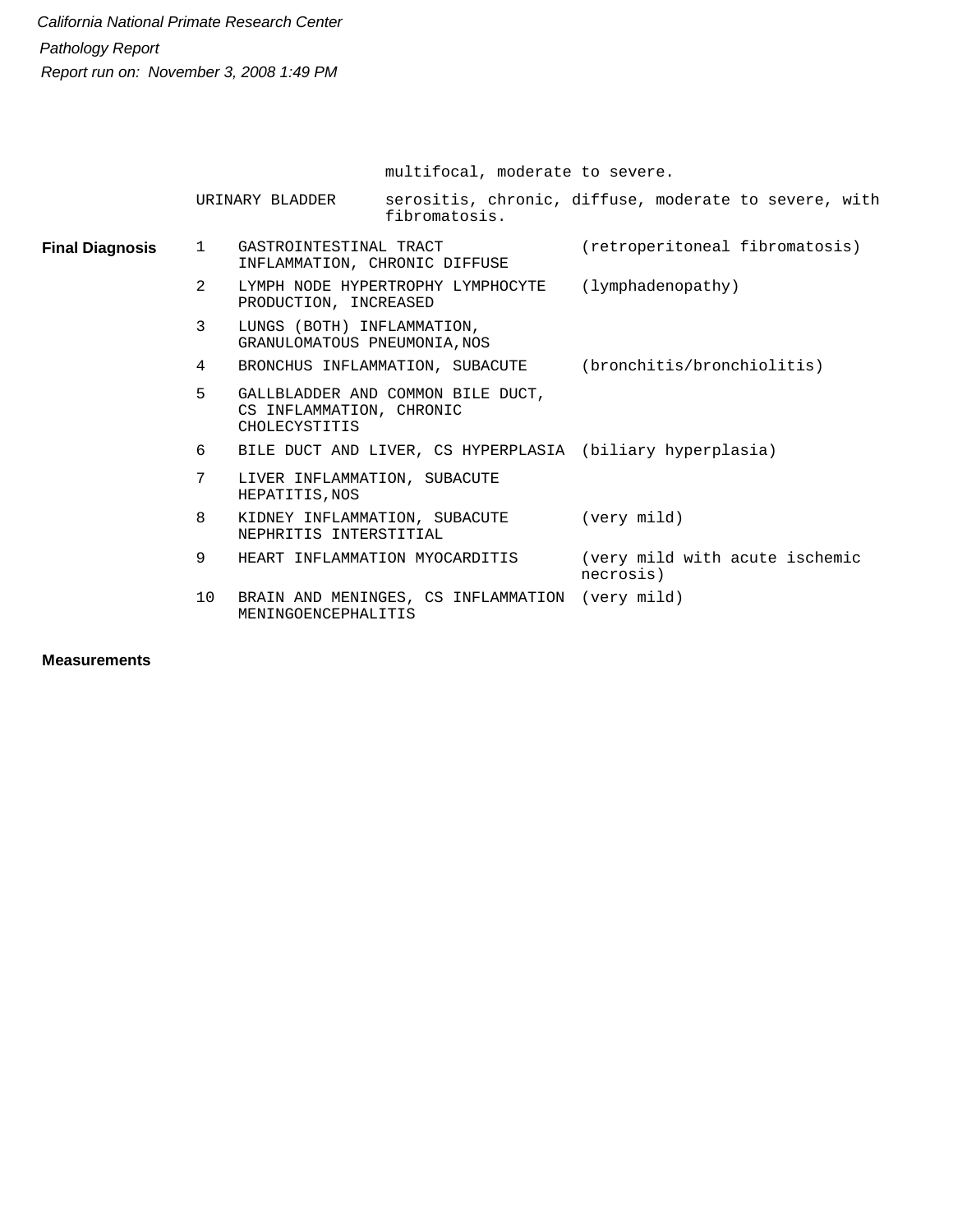multifocal, moderate to severe.

|                        |              | URINARY BLADDER                                                                | serositis, chronic, diffuse, moderate to severe, with<br>fibromatosis. |             |                            |                                |  |
|------------------------|--------------|--------------------------------------------------------------------------------|------------------------------------------------------------------------|-------------|----------------------------|--------------------------------|--|
| <b>Final Diagnosis</b> | $\mathbf{1}$ | GASTROINTESTINAL TRACT<br>INFLAMMATION, CHRONIC DIFFUSE                        |                                                                        |             |                            | (retroperitoneal fibromatosis) |  |
|                        | 2            | LYMPH NODE HYPERTROPHY LYMPHOCYTE<br>PRODUCTION, INCREASED                     |                                                                        |             | (lymphadenopathy)          |                                |  |
|                        | 3            | LUNGS (BOTH) INFLAMMATION,<br>GRANULOMATOUS PNEUMONIA, NOS                     |                                                                        |             |                            |                                |  |
|                        | 4            | BRONCHUS INFLAMMATION, SUBACUTE                                                |                                                                        |             | (bronchitis/bronchiolitis) |                                |  |
|                        | 5            | GALLBLADDER AND COMMON BILE DUCT,<br>CS INFLAMMATION, CHRONIC<br>CHOLECYSTITIS |                                                                        |             |                            |                                |  |
|                        | 6            | BILE DUCT AND LIVER, CS HYPERPLASIA (biliary hyperplasia)                      |                                                                        |             |                            |                                |  |
|                        | 7            | LIVER INFLAMMATION, SUBACUTE<br>HEPATITIS, NOS                                 |                                                                        |             |                            |                                |  |
|                        | 8            | KIDNEY INFLAMMATION, SUBACUTE<br>NEPHRITIS INTERSTITIAL                        |                                                                        | (very mild) |                            |                                |  |
|                        | 9            | HEART INFLAMMATION MYOCARDITIS                                                 |                                                                        | necrosis)   |                            | (very mild with acute ischemic |  |
|                        | 10           | BRAIN AND MENINGES, CS INFLAMMATION (very mild)<br>MENINGOENCEPHALITIS         |                                                                        |             |                            |                                |  |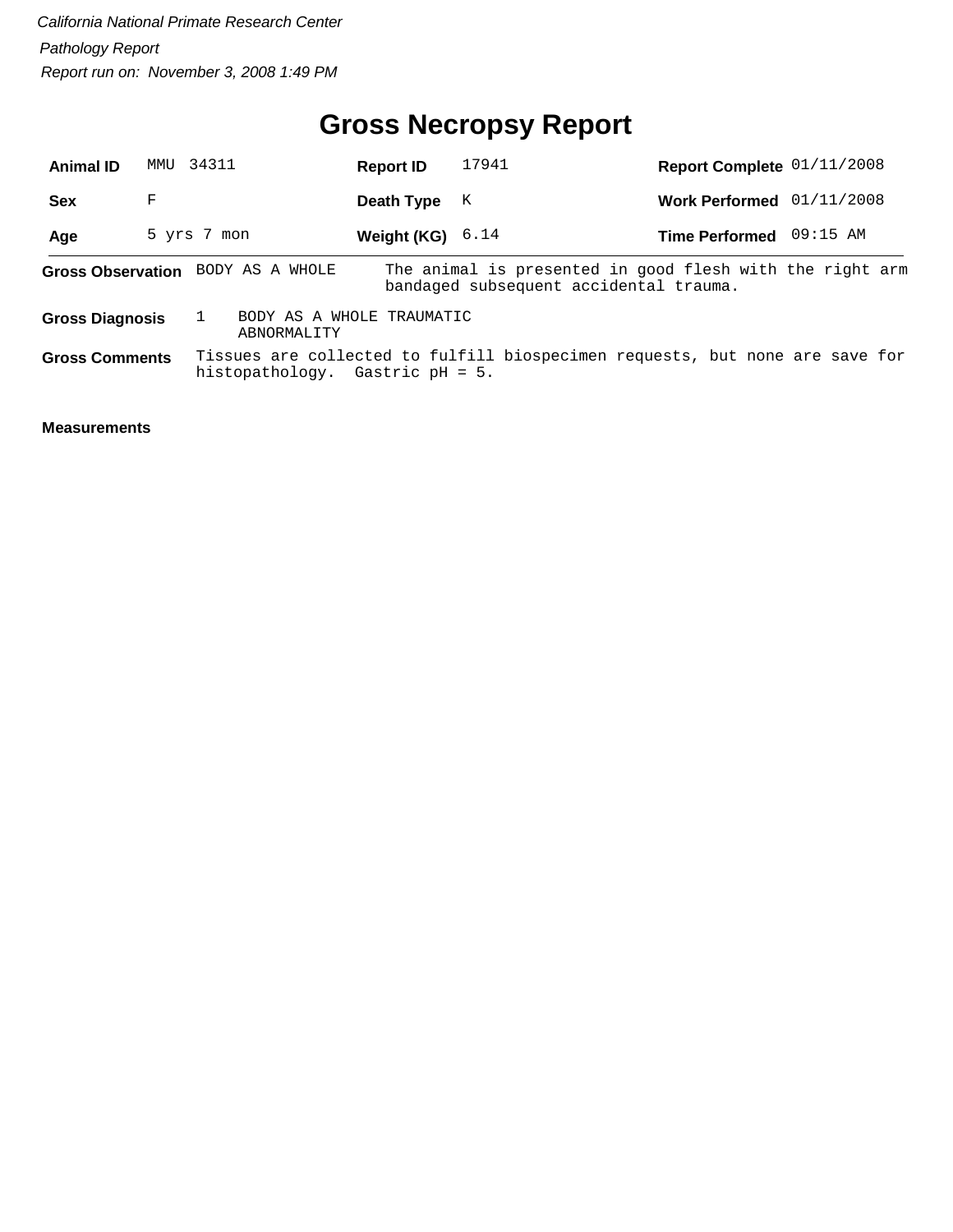## **Gross Necropsy Report**

| <b>Animal ID</b>       |   | MMU 34311                                | <b>Report ID</b> | 17941 | Report Complete 01/11/2008                                                                         |            |  |
|------------------------|---|------------------------------------------|------------------|-------|----------------------------------------------------------------------------------------------------|------------|--|
| <b>Sex</b>             | F |                                          | Death Type       | К     | <b>Work Performed</b>                                                                              | 01/11/2008 |  |
| Age                    |   | 5 yrs 7 mon                              | Weight (KG)      | 6.14  | Time Performed 09:15 AM                                                                            |            |  |
|                        |   | Gross Observation BODY AS A WHOLE        |                  |       | The animal is presented in good flesh with the right arm<br>bandaged subsequent accidental trauma. |            |  |
| <b>Gross Diagnosis</b> |   | BODY AS A WHOLE TRAUMATIC<br>ABNORMALITY |                  |       |                                                                                                    |            |  |
| <b>Gross Comments</b>  |   | histopathology. Gastric $pH = 5$ .       |                  |       | Tissues are collected to fulfill biospecimen requests, but none are save for                       |            |  |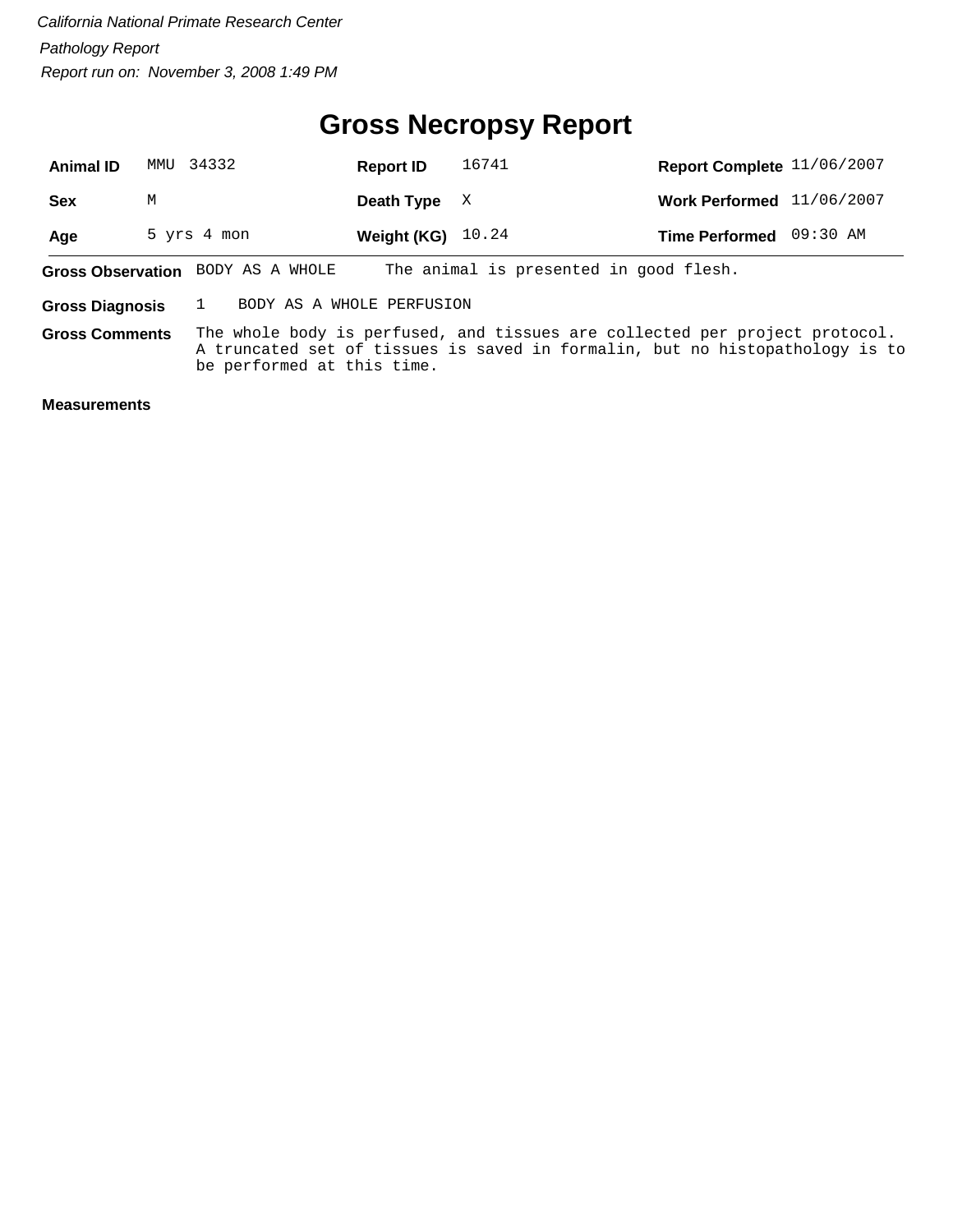#### **Gross Necropsy Report**

| <b>Animal ID</b> | MMU 34332                         | <b>Report ID</b>    | 16741                                  | Report Complete 11/06/2007 |  |
|------------------|-----------------------------------|---------------------|----------------------------------------|----------------------------|--|
| <b>Sex</b>       | М                                 | Death Type $X$      |                                        | Work Performed 11/06/2007  |  |
| Age              | 5 yrs 4 mon                       | Weight (KG) $10.24$ |                                        | Time Performed 09:30 AM    |  |
|                  | Gross Observation BODY AS A WHOLE |                     | The animal is presented in good flesh. |                            |  |

**Gross Diagnosis** 1 BODY AS A WHOLE PERFUSION

The whole body is perfused, and tissues are collected per project protocol. A truncated set of tissues is saved in formalin, but no histopathology is to be performed at this time. **Gross Comments**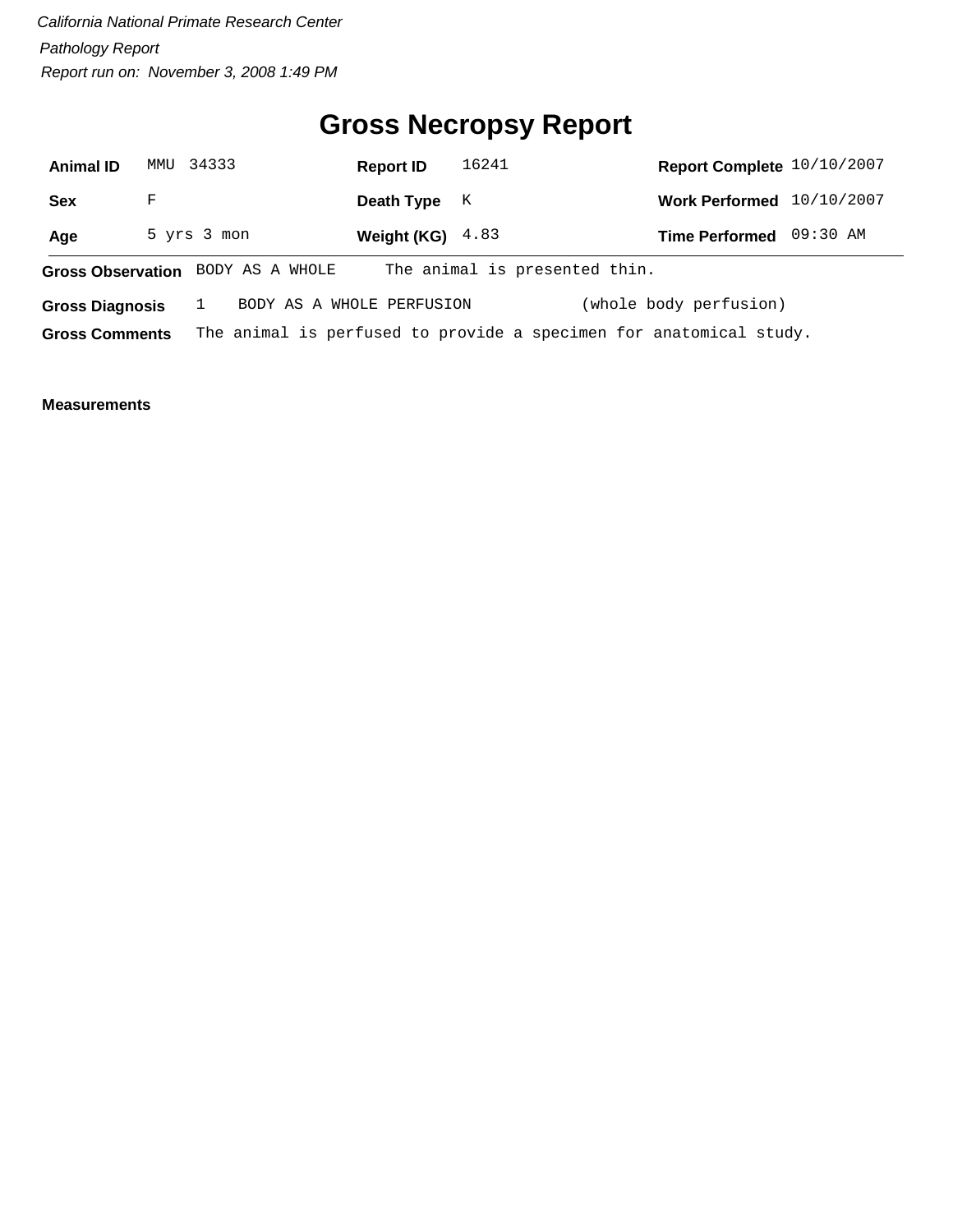## **Gross Necropsy Report**

| <b>Animal ID</b>       |   | MMU 34333                         | <b>Report ID</b>   | 16241                         | Report Complete 10/10/2007                                         |  |
|------------------------|---|-----------------------------------|--------------------|-------------------------------|--------------------------------------------------------------------|--|
| <b>Sex</b>             | F |                                   | Death Type         | K                             | Work Performed 10/10/2007                                          |  |
| Age                    |   | 5 yrs 3 mon                       | Weight (KG) $4.83$ |                               | Time Performed 09:30 AM                                            |  |
|                        |   | Gross Observation BODY AS A WHOLE |                    | The animal is presented thin. |                                                                    |  |
| <b>Gross Diagnosis</b> |   | BODY AS A WHOLE PERFUSION         |                    |                               | (whole body perfusion)                                             |  |
| <b>Gross Comments</b>  |   |                                   |                    |                               | The animal is perfused to provide a specimen for anatomical study. |  |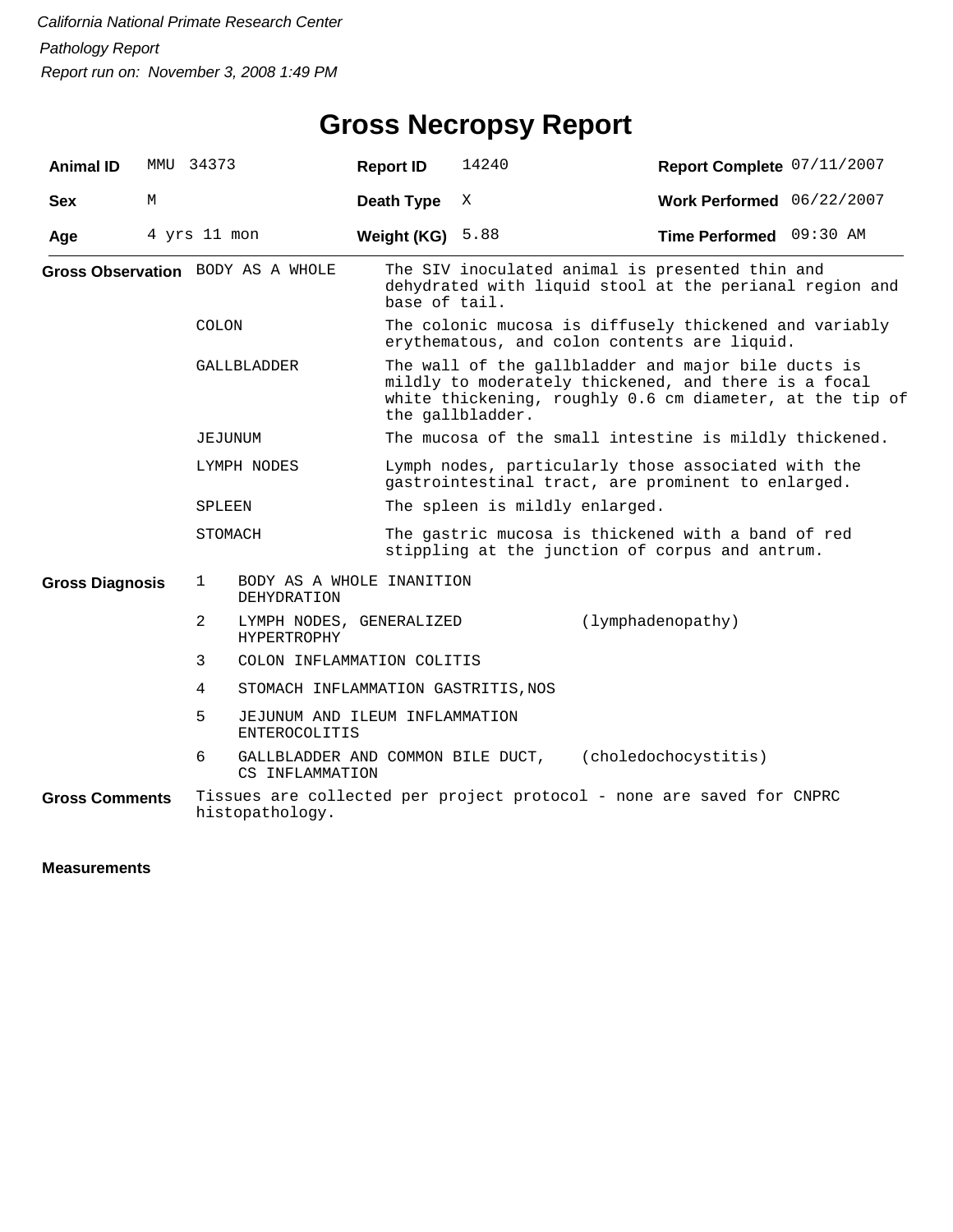## **Gross Necropsy Report**

| <b>Animal ID</b>       |   | MMU 34373                       |                                                        | <b>Report ID</b>  | 14240                                                                                                                                                                                       | Report Complete 07/11/2007 |  |  |
|------------------------|---|---------------------------------|--------------------------------------------------------|-------------------|---------------------------------------------------------------------------------------------------------------------------------------------------------------------------------------------|----------------------------|--|--|
| <b>Sex</b>             | М |                                 |                                                        | <b>Death Type</b> | X                                                                                                                                                                                           | Work Performed 06/22/2007  |  |  |
| Age                    |   | 4 yrs 11 mon                    |                                                        | Weight (KG)       | 5.88                                                                                                                                                                                        | Time Performed 09:30 AM    |  |  |
|                        |   |                                 | Gross Observation BODY AS A WHOLE                      | base of tail.     | The SIV inoculated animal is presented thin and<br>dehydrated with liquid stool at the perianal region and                                                                                  |                            |  |  |
|                        |   | <b>COLON</b>                    |                                                        |                   | The colonic mucosa is diffusely thickened and variably<br>erythematous, and colon contents are liquid.                                                                                      |                            |  |  |
|                        |   |                                 | GALLBLADDER                                            |                   | The wall of the gallbladder and major bile ducts is<br>mildly to moderately thickened, and there is a focal<br>white thickening, roughly 0.6 cm diameter, at the tip of<br>the gallbladder. |                            |  |  |
|                        |   | JEJUNUM                         |                                                        |                   | The mucosa of the small intestine is mildly thickened.                                                                                                                                      |                            |  |  |
|                        |   |                                 | LYMPH NODES                                            |                   | Lymph nodes, particularly those associated with the<br>gastrointestinal tract, are prominent to enlarged.                                                                                   |                            |  |  |
|                        |   | SPLEEN                          |                                                        |                   | The spleen is mildly enlarged.                                                                                                                                                              |                            |  |  |
|                        |   | STOMACH                         |                                                        |                   | The gastric mucosa is thickened with a band of red<br>stippling at the junction of corpus and antrum.                                                                                       |                            |  |  |
| <b>Gross Diagnosis</b> |   | $\mathbf{1}$                    | BODY AS A WHOLE INANITION<br><b>DEHYDRATION</b>        |                   |                                                                                                                                                                                             |                            |  |  |
|                        |   | 2                               | LYMPH NODES, GENERALIZED<br><b>HYPERTROPHY</b>         |                   |                                                                                                                                                                                             | (lymphadenopathy)          |  |  |
|                        |   | 3<br>COLON INFLAMMATION COLITIS |                                                        |                   |                                                                                                                                                                                             |                            |  |  |
|                        |   | 4                               | STOMACH INFLAMMATION GASTRITIS, NOS                    |                   |                                                                                                                                                                                             |                            |  |  |
|                        |   | 5                               | JEJUNUM AND ILEUM INFLAMMATION<br><b>ENTEROCOLITIS</b> |                   |                                                                                                                                                                                             |                            |  |  |
|                        |   | 6                               | GALLBLADDER AND COMMON BILE DUCT,<br>CS INFLAMMATION   |                   |                                                                                                                                                                                             | (choledochocystitis)       |  |  |
| <b>Gross Comments</b>  |   |                                 | histopathology.                                        |                   | Tissues are collected per project protocol - none are saved for CNPRC                                                                                                                       |                            |  |  |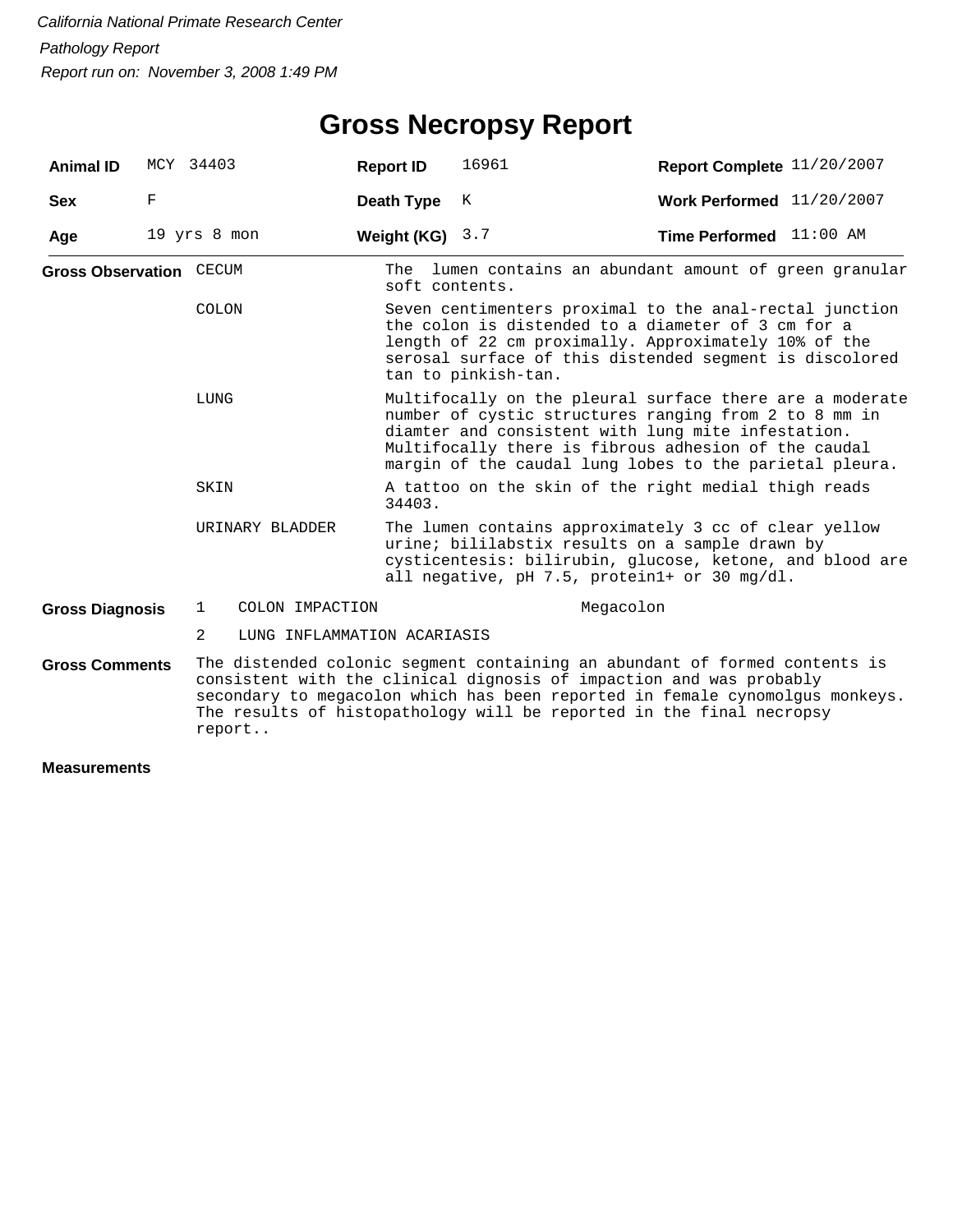## **Gross Necropsy Report**

| <b>Animal ID</b>               |   | MCY 34403    |                             | <b>Report ID</b> | 16961                                                                                                                                                                                                                                                                                                     | Report Complete 11/20/2007  |  |  |  |
|--------------------------------|---|--------------|-----------------------------|------------------|-----------------------------------------------------------------------------------------------------------------------------------------------------------------------------------------------------------------------------------------------------------------------------------------------------------|-----------------------------|--|--|--|
| <b>Sex</b>                     | F |              |                             | Death Type       | К                                                                                                                                                                                                                                                                                                         | Work Performed $11/20/2007$ |  |  |  |
| Age                            |   | 19 yrs 8 mon |                             | Weight (KG)      | 3.7                                                                                                                                                                                                                                                                                                       | Time Performed 11:00 AM     |  |  |  |
| <b>Gross Observation CECUM</b> |   |              |                             | soft contents.   | The lumen contains an abundant amount of green granular                                                                                                                                                                                                                                                   |                             |  |  |  |
|                                |   | <b>COLON</b> |                             |                  | Seven centimenters proximal to the anal-rectal junction<br>the colon is distended to a diameter of 3 cm for a<br>length of 22 cm proximally. Approximately 10% of the<br>serosal surface of this distended segment is discolored<br>tan to pinkish-tan.                                                   |                             |  |  |  |
|                                |   | LUNG         |                             |                  | Multifocally on the pleural surface there are a moderate<br>number of cystic structures ranging from 2 to 8 mm in<br>diamter and consistent with lung mite infestation.<br>Multifocally there is fibrous adhesion of the caudal<br>margin of the caudal lung lobes to the parietal pleura.                |                             |  |  |  |
|                                |   | SKIN         |                             | 34403.           | A tattoo on the skin of the right medial thigh reads                                                                                                                                                                                                                                                      |                             |  |  |  |
|                                |   |              | URINARY BLADDER             |                  | The lumen contains approximately 3 cc of clear yellow<br>urine; bililabstix results on a sample drawn by<br>cysticentesis: bilirubin, glucose, ketone, and blood are<br>all negative, pH 7.5, protein1+ or 30 mg/dl.                                                                                      |                             |  |  |  |
| <b>Gross Diagnosis</b>         |   | $\mathbf{1}$ | COLON IMPACTION             |                  |                                                                                                                                                                                                                                                                                                           | Megacolon                   |  |  |  |
|                                |   | 2            | LUNG INFLAMMATION ACARIASIS |                  |                                                                                                                                                                                                                                                                                                           |                             |  |  |  |
| <b>Gross Comments</b>          |   | report       |                             |                  | The distended colonic segment containing an abundant of formed contents is<br>consistent with the clinical dignosis of impaction and was probably<br>secondary to megacolon which has been reported in female cynomolgus monkeys.<br>The results of histopathology will be reported in the final necropsy |                             |  |  |  |
| <b>Measurements</b>            |   |              |                             |                  |                                                                                                                                                                                                                                                                                                           |                             |  |  |  |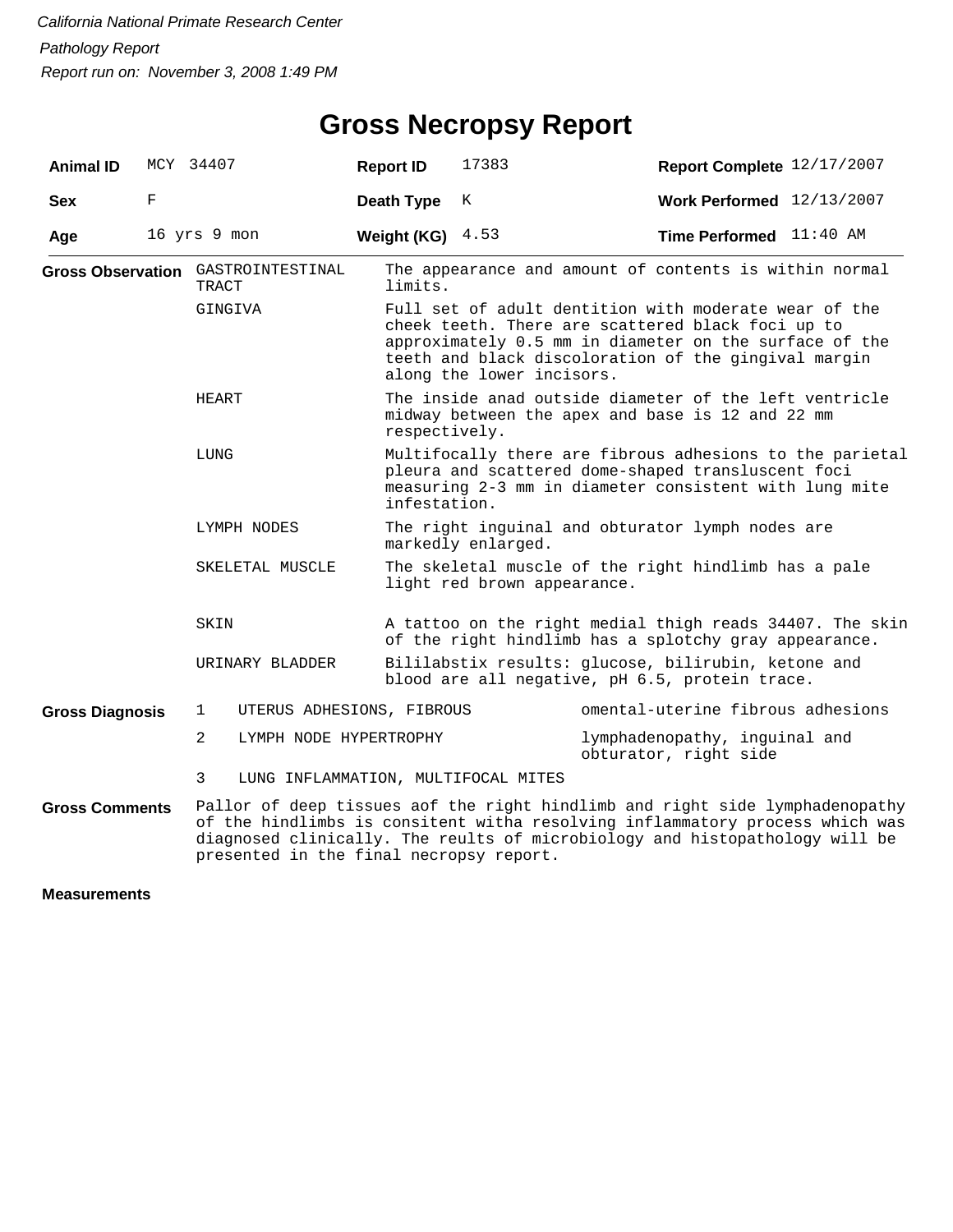| <b>Animal ID</b>       |   | MCY 34407                                          | <b>Report ID</b>                                                                                                                                                                         | 17383                                                                                                                                                                                                                                                     | Report Complete 12/17/2007                                                                                                                                                                                                                  |  |  |  |
|------------------------|---|----------------------------------------------------|------------------------------------------------------------------------------------------------------------------------------------------------------------------------------------------|-----------------------------------------------------------------------------------------------------------------------------------------------------------------------------------------------------------------------------------------------------------|---------------------------------------------------------------------------------------------------------------------------------------------------------------------------------------------------------------------------------------------|--|--|--|
| <b>Sex</b>             | F |                                                    | <b>Death Type</b>                                                                                                                                                                        | Κ                                                                                                                                                                                                                                                         | Work Performed 12/13/2007                                                                                                                                                                                                                   |  |  |  |
| Age                    |   | 16 yrs 9 mon                                       | Weight (KG)                                                                                                                                                                              | 4.53                                                                                                                                                                                                                                                      | <b>Time Performed</b> 11:40 AM                                                                                                                                                                                                              |  |  |  |
|                        |   | <b>Gross Observation</b> GASTROINTESTINAL<br>TRACT | limits.                                                                                                                                                                                  | The appearance and amount of contents is within normal                                                                                                                                                                                                    |                                                                                                                                                                                                                                             |  |  |  |
|                        |   | GINGIVA                                            |                                                                                                                                                                                          | Full set of adult dentition with moderate wear of the<br>cheek teeth. There are scattered black foci up to<br>approximately 0.5 mm in diameter on the surface of the<br>teeth and black discoloration of the gingival margin<br>along the lower incisors. |                                                                                                                                                                                                                                             |  |  |  |
|                        |   | HEART                                              |                                                                                                                                                                                          | The inside anad outside diameter of the left ventricle<br>midway between the apex and base is 12 and 22 mm<br>respectively.                                                                                                                               |                                                                                                                                                                                                                                             |  |  |  |
|                        |   | LUNG                                               | Multifocally there are fibrous adhesions to the parietal<br>pleura and scattered dome-shaped transluscent foci<br>measuring 2-3 mm in diameter consistent with lung mite<br>infestation. |                                                                                                                                                                                                                                                           |                                                                                                                                                                                                                                             |  |  |  |
|                        |   | LYMPH NODES                                        | The right inguinal and obturator lymph nodes are<br>markedly enlarged.                                                                                                                   |                                                                                                                                                                                                                                                           |                                                                                                                                                                                                                                             |  |  |  |
|                        |   | SKELETAL MUSCLE                                    |                                                                                                                                                                                          | The skeletal muscle of the right hindlimb has a pale<br>light red brown appearance.                                                                                                                                                                       |                                                                                                                                                                                                                                             |  |  |  |
|                        |   | SKIN                                               |                                                                                                                                                                                          | A tattoo on the right medial thigh reads 34407. The skin<br>of the right hindlimb has a splotchy gray appearance.                                                                                                                                         |                                                                                                                                                                                                                                             |  |  |  |
|                        |   | URINARY BLADDER                                    |                                                                                                                                                                                          | Bililabstix results: glucose, bilirubin, ketone and<br>blood are all negative, pH 6.5, protein trace.                                                                                                                                                     |                                                                                                                                                                                                                                             |  |  |  |
| <b>Gross Diagnosis</b> |   | UTERUS ADHESIONS, FIBROUS<br>1                     |                                                                                                                                                                                          |                                                                                                                                                                                                                                                           | omental-uterine fibrous adhesions                                                                                                                                                                                                           |  |  |  |
|                        |   | 2<br>LYMPH NODE HYPERTROPHY                        |                                                                                                                                                                                          |                                                                                                                                                                                                                                                           | lymphadenopathy, inguinal and<br>obturator, right side                                                                                                                                                                                      |  |  |  |
|                        |   | LUNG INFLAMMATION, MULTIFOCAL MITES<br>3           |                                                                                                                                                                                          |                                                                                                                                                                                                                                                           |                                                                                                                                                                                                                                             |  |  |  |
| <b>Gross Comments</b>  |   |                                                    |                                                                                                                                                                                          |                                                                                                                                                                                                                                                           | Pallor of deep tissues aof the right hindlimb and right side lymphadenopathy<br>of the hindlimbs is consitent witha resolving inflammatory process which was<br>diagnosed clinically. The reults of microbiology and histopathology will be |  |  |  |

presented in the final necropsy report.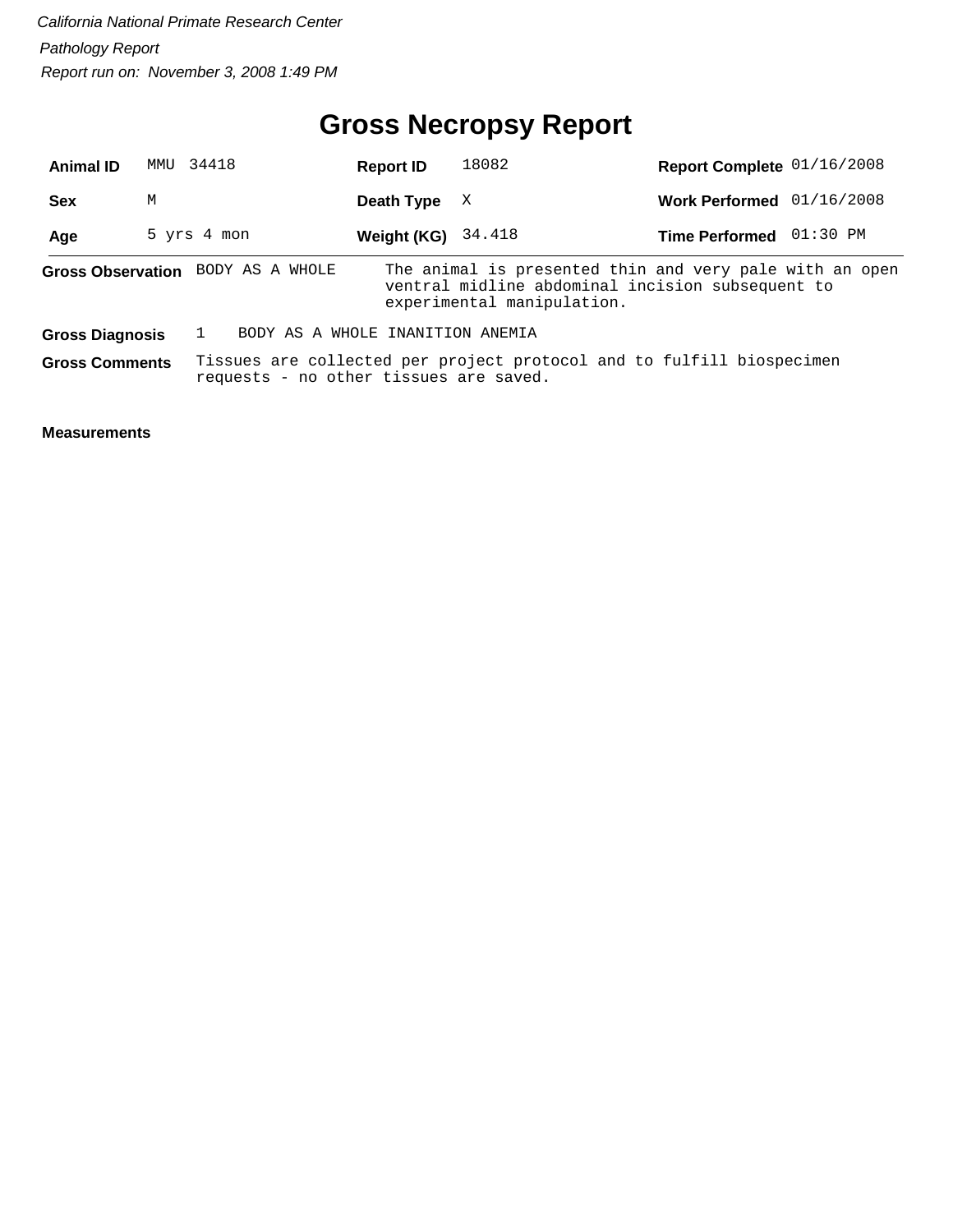## **Gross Necropsy Report**

| <b>Animal ID</b>       |   | MMU 34418                              | <b>Report ID</b> | 18082                                                                                                                                     | Report Complete 01/16/2008  |  |
|------------------------|---|----------------------------------------|------------------|-------------------------------------------------------------------------------------------------------------------------------------------|-----------------------------|--|
| <b>Sex</b>             | M |                                        | Death Type       | X                                                                                                                                         | Work Performed $01/16/2008$ |  |
| Age                    |   | 5 yrs 4 mon                            | Weight (KG)      | 34.418                                                                                                                                    | Time Performed 01:30 PM     |  |
|                        |   | Gross Observation BODY AS A WHOLE      |                  | The animal is presented thin and very pale with an open<br>ventral midline abdominal incision subsequent to<br>experimental manipulation. |                             |  |
| <b>Gross Diagnosis</b> |   | BODY AS A WHOLE INANITION ANEMIA       |                  |                                                                                                                                           |                             |  |
| <b>Gross Comments</b>  |   | requests - no other tissues are saved. |                  | Tissues are collected per project protocol and to fulfill biospecimen                                                                     |                             |  |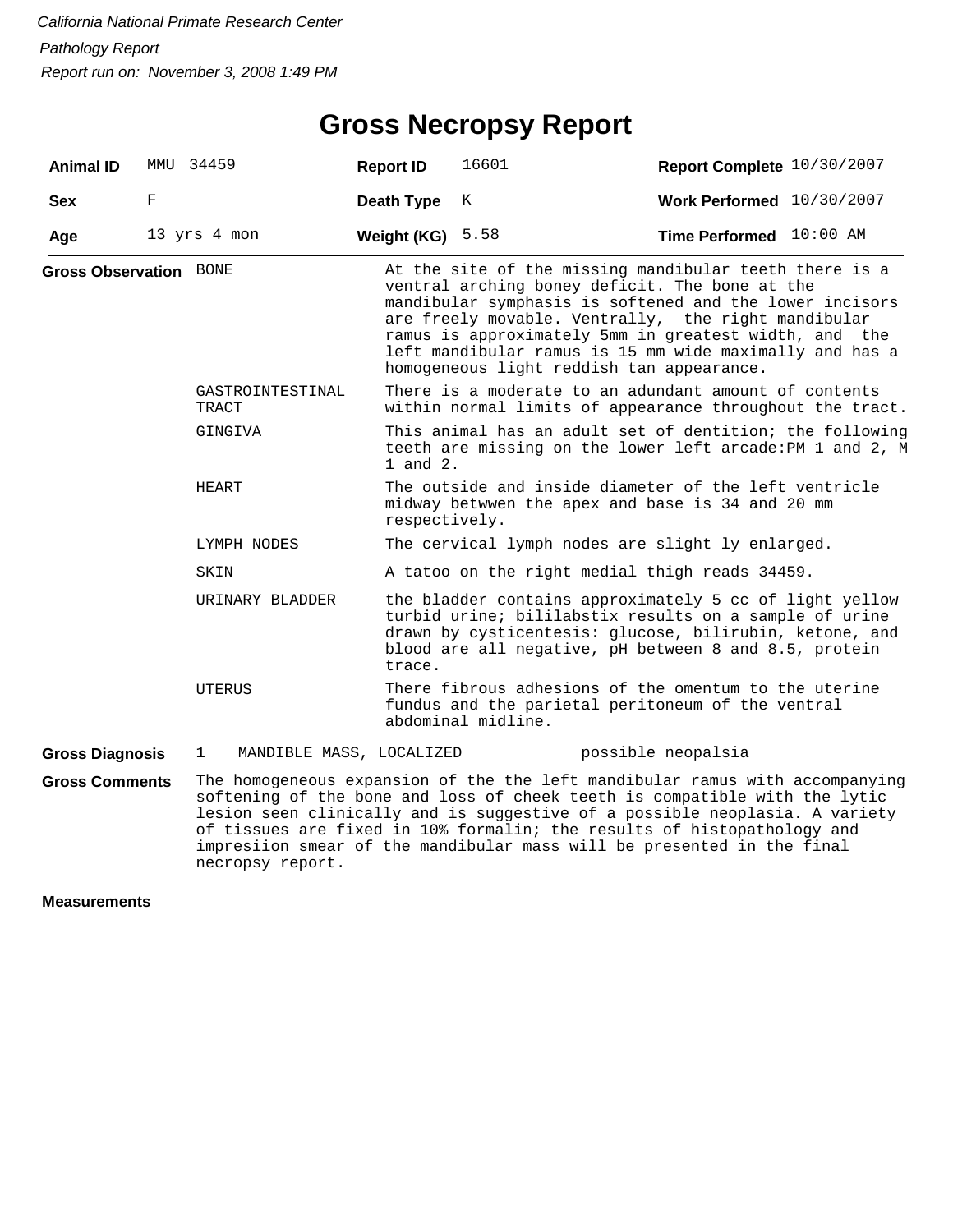#### **Gross Necropsy Report**

| <b>Animal ID</b>              |   | MMU 34459                                | <b>Report ID</b>                                                                                                                  | 16601                                                                                                                                                                                                                                 | Report Complete 10/30/2007                                                                                                                                                                                                                                                                                                                                                                  |  |  |  |  |
|-------------------------------|---|------------------------------------------|-----------------------------------------------------------------------------------------------------------------------------------|---------------------------------------------------------------------------------------------------------------------------------------------------------------------------------------------------------------------------------------|---------------------------------------------------------------------------------------------------------------------------------------------------------------------------------------------------------------------------------------------------------------------------------------------------------------------------------------------------------------------------------------------|--|--|--|--|
| <b>Sex</b>                    | F |                                          | Death Type                                                                                                                        | K                                                                                                                                                                                                                                     | Work Performed 10/30/2007                                                                                                                                                                                                                                                                                                                                                                   |  |  |  |  |
| Age                           |   | 13 yrs 4 mon                             | Weight (KG)                                                                                                                       | 5.58                                                                                                                                                                                                                                  | Time Performed 10:00 AM                                                                                                                                                                                                                                                                                                                                                                     |  |  |  |  |
| <b>Gross Observation BONE</b> |   |                                          |                                                                                                                                   |                                                                                                                                                                                                                                       | At the site of the missing mandibular teeth there is a<br>ventral arching boney deficit. The bone at the<br>mandibular symphasis is softened and the lower incisors<br>are freely movable. Ventrally, the right mandibular<br>ramus is approximately 5mm in greatest width, and the<br>left mandibular ramus is 15 mm wide maximally and has a<br>homogeneous light reddish tan appearance. |  |  |  |  |
|                               |   | GASTROINTESTINAL<br>TRACT                |                                                                                                                                   | There is a moderate to an adundant amount of contents<br>within normal limits of appearance throughout the tract.                                                                                                                     |                                                                                                                                                                                                                                                                                                                                                                                             |  |  |  |  |
|                               |   | GINGIVA                                  | This animal has an adult set of dentition; the following<br>teeth are missing on the lower left arcade: PM 1 and 2, M<br>1 and 2. |                                                                                                                                                                                                                                       |                                                                                                                                                                                                                                                                                                                                                                                             |  |  |  |  |
|                               |   | HEART                                    | respectively.                                                                                                                     |                                                                                                                                                                                                                                       | The outside and inside diameter of the left ventricle<br>midway betwwen the apex and base is 34 and 20 mm                                                                                                                                                                                                                                                                                   |  |  |  |  |
|                               |   | LYMPH NODES                              |                                                                                                                                   | The cervical lymph nodes are slight ly enlarged.                                                                                                                                                                                      |                                                                                                                                                                                                                                                                                                                                                                                             |  |  |  |  |
|                               |   | SKIN                                     |                                                                                                                                   |                                                                                                                                                                                                                                       | A tatoo on the right medial thigh reads 34459.                                                                                                                                                                                                                                                                                                                                              |  |  |  |  |
|                               |   | URINARY BLADDER                          | trace.                                                                                                                            | the bladder contains approximately 5 cc of light yellow<br>turbid urine; bililabstix results on a sample of urine<br>drawn by cysticentesis: glucose, bilirubin, ketone, and<br>blood are all negative, pH between 8 and 8.5, protein |                                                                                                                                                                                                                                                                                                                                                                                             |  |  |  |  |
|                               |   | UTERUS                                   |                                                                                                                                   | abdominal midline.                                                                                                                                                                                                                    | There fibrous adhesions of the omentum to the uterine<br>fundus and the parietal peritoneum of the ventral                                                                                                                                                                                                                                                                                  |  |  |  |  |
| <b>Gross Diagnosis</b>        |   | $\mathbf{1}$<br>MANDIBLE MASS, LOCALIZED |                                                                                                                                   |                                                                                                                                                                                                                                       | possible neopalsia                                                                                                                                                                                                                                                                                                                                                                          |  |  |  |  |
| <b>Gross Comments</b>         |   |                                          |                                                                                                                                   |                                                                                                                                                                                                                                       | The homogeneous expansion of the the left mandibular ramus with accompanying<br>softening of the bone and loss of cheek teeth is compatible with the lytic                                                                                                                                                                                                                                  |  |  |  |  |

lesion seen clinically and is suggestive of a possible neoplasia. A variety of tissues are fixed in 10% formalin; the results of histopathology and impresiion smear of the mandibular mass will be presented in the final necropsy report.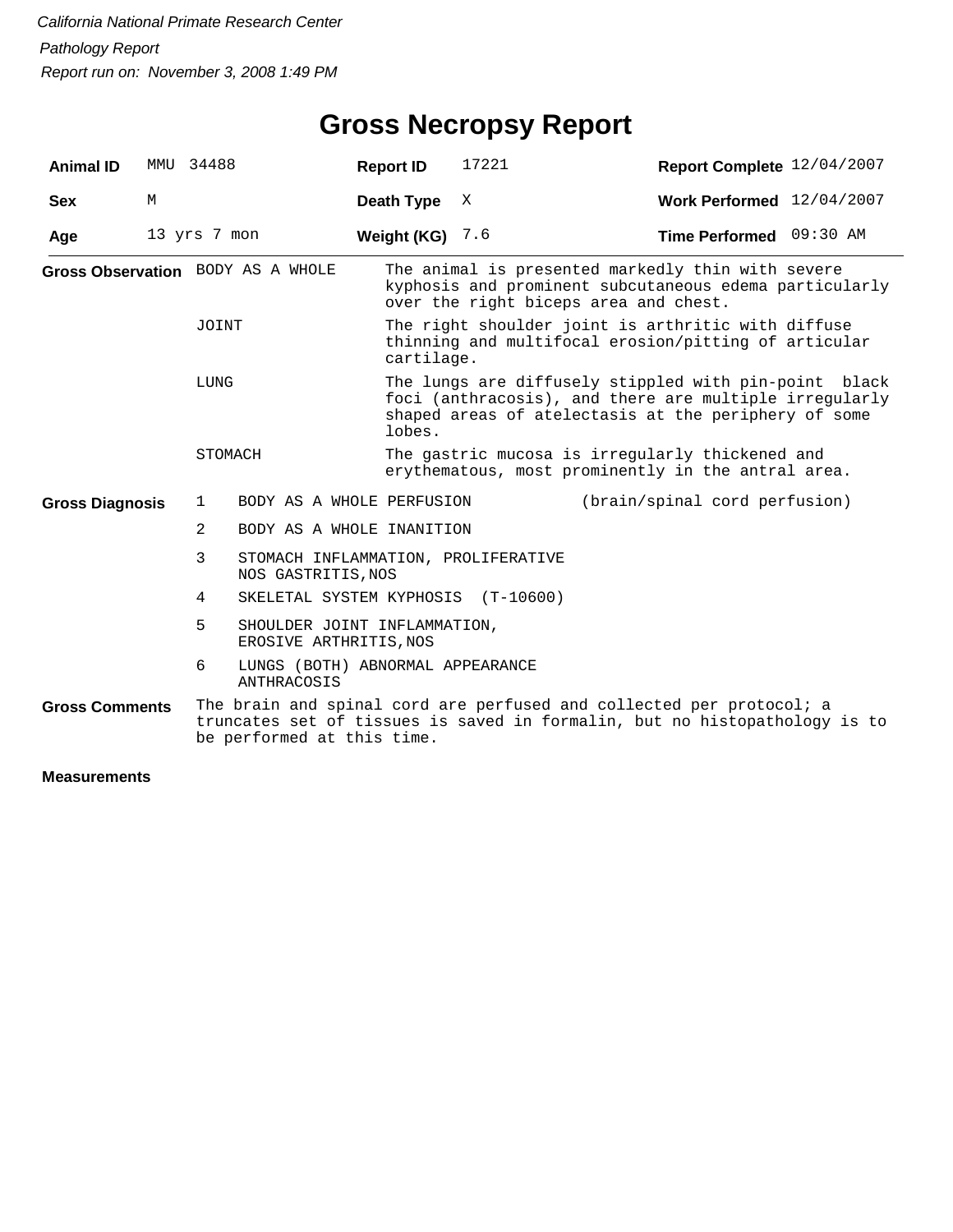## **Gross Necropsy Report**

| <b>Animal ID</b>       |   | MMU 34488      |                                                           | <b>Report ID</b>                   | 17221                                 | Report Complete 12/04/2007                                                                                                                                              |  |  |
|------------------------|---|----------------|-----------------------------------------------------------|------------------------------------|---------------------------------------|-------------------------------------------------------------------------------------------------------------------------------------------------------------------------|--|--|
| <b>Sex</b>             | М |                |                                                           | Death Type                         | X                                     | Work Performed 12/04/2007                                                                                                                                               |  |  |
| Age                    |   | 13 yrs 7 mon   |                                                           | Weight (KG)                        | 7.6                                   | Time Performed 09:30 AM                                                                                                                                                 |  |  |
|                        |   |                | Gross Observation BODY AS A WHOLE                         |                                    | over the right biceps area and chest. | The animal is presented markedly thin with severe<br>kyphosis and prominent subcutaneous edema particularly                                                             |  |  |
|                        |   | JOINT          |                                                           | cartilage.                         |                                       | The right shoulder joint is arthritic with diffuse<br>thinning and multifocal erosion/pitting of articular                                                              |  |  |
|                        |   | LUNG           |                                                           | lobes.                             |                                       | The lungs are diffusely stippled with pin-point black<br>foci (anthracosis), and there are multiple irregularly<br>shaped areas of atelectasis at the periphery of some |  |  |
|                        |   | STOMACH        |                                                           |                                    |                                       | The gastric mucosa is irregularly thickened and<br>erythematous, most prominently in the antral area.                                                                   |  |  |
| <b>Gross Diagnosis</b> |   | 1              |                                                           | BODY AS A WHOLE PERFUSION          |                                       | (brain/spinal cord perfusion)                                                                                                                                           |  |  |
|                        |   | $\overline{2}$ |                                                           | BODY AS A WHOLE INANITION          |                                       |                                                                                                                                                                         |  |  |
|                        |   | 3              | STOMACH INFLAMMATION, PROLIFERATIVE<br>NOS GASTRITIS, NOS |                                    |                                       |                                                                                                                                                                         |  |  |
|                        |   | 4              |                                                           | SKELETAL SYSTEM KYPHOSIS (T-10600) |                                       |                                                                                                                                                                         |  |  |
|                        |   | 5              | EROSIVE ARTHRITIS, NOS                                    | SHOULDER JOINT INFLAMMATION,       |                                       |                                                                                                                                                                         |  |  |
|                        |   | 6              | <b>ANTHRACOSIS</b>                                        | LUNGS (BOTH) ABNORMAL APPEARANCE   |                                       |                                                                                                                                                                         |  |  |
| <b>Gross Comments</b>  |   |                | be performed at this time.                                |                                    |                                       | The brain and spinal cord are perfused and collected per protocol; a<br>truncates set of tissues is saved in formalin, but no histopathology is to                      |  |  |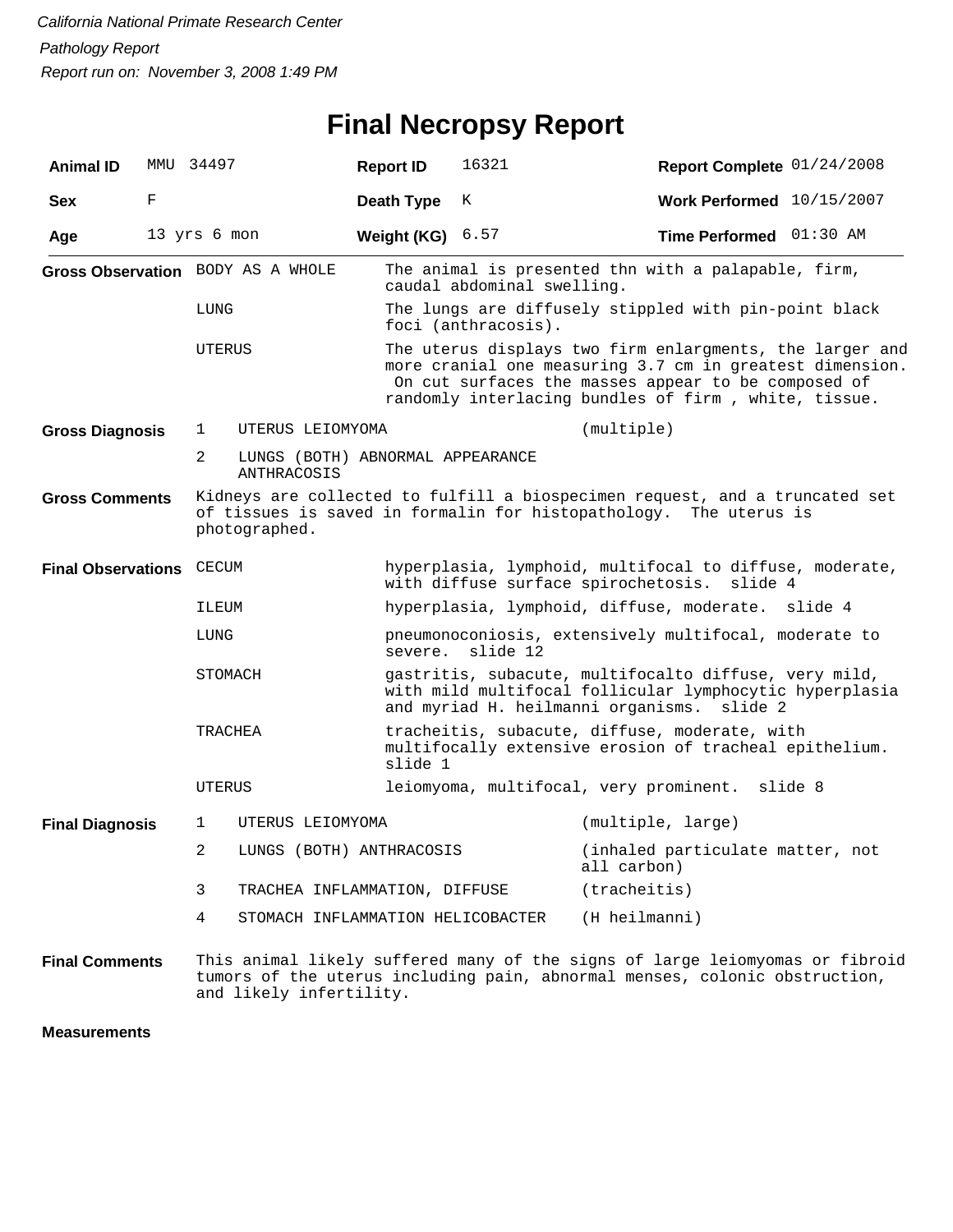## **Final Necropsy Report**

| <b>Animal ID</b>                |   | MMU 34497                                                                                                                                                         | <b>Report ID</b>                                       |                                                                                                                                                                   | 16321                             | Report Complete 01/24/2008                                                                                                                                                                                                          |         |  |
|---------------------------------|---|-------------------------------------------------------------------------------------------------------------------------------------------------------------------|--------------------------------------------------------|-------------------------------------------------------------------------------------------------------------------------------------------------------------------|-----------------------------------|-------------------------------------------------------------------------------------------------------------------------------------------------------------------------------------------------------------------------------------|---------|--|
| <b>Sex</b>                      | F |                                                                                                                                                                   |                                                        | Death Type                                                                                                                                                        | К                                 | Work Performed 10/15/2007                                                                                                                                                                                                           |         |  |
| Age                             |   | 13 yrs 6 mon                                                                                                                                                      |                                                        | Weight (KG)                                                                                                                                                       | 6.57                              | Time Performed 01:30 AM                                                                                                                                                                                                             |         |  |
|                                 |   | Gross Observation BODY AS A WHOLE                                                                                                                                 |                                                        |                                                                                                                                                                   | caudal abdominal swelling.        | The animal is presented thn with a palapable, firm,                                                                                                                                                                                 |         |  |
|                                 |   | LUNG                                                                                                                                                              |                                                        | The lungs are diffusely stippled with pin-point black<br>foci (anthracosis).                                                                                      |                                   |                                                                                                                                                                                                                                     |         |  |
|                                 |   | UTERUS                                                                                                                                                            |                                                        |                                                                                                                                                                   |                                   | The uterus displays two firm enlargments, the larger and<br>more cranial one measuring 3.7 cm in greatest dimension.<br>On cut surfaces the masses appear to be composed of<br>randomly interlacing bundles of firm, white, tissue. |         |  |
| <b>Gross Diagnosis</b>          |   | UTERUS LEIOMYOMA<br>1                                                                                                                                             |                                                        |                                                                                                                                                                   |                                   | (multiple)                                                                                                                                                                                                                          |         |  |
|                                 |   | 2                                                                                                                                                                 | LUNGS (BOTH) ABNORMAL APPEARANCE<br><b>ANTHRACOSIS</b> |                                                                                                                                                                   |                                   |                                                                                                                                                                                                                                     |         |  |
| <b>Gross Comments</b>           |   | Kidneys are collected to fulfill a biospecimen request, and a truncated set<br>of tissues is saved in formalin for histopathology. The uterus is<br>photographed. |                                                        |                                                                                                                                                                   |                                   |                                                                                                                                                                                                                                     |         |  |
| <b>Final Observations CECUM</b> |   |                                                                                                                                                                   |                                                        |                                                                                                                                                                   |                                   | hyperplasia, lymphoid, multifocal to diffuse, moderate,<br>with diffuse surface spirochetosis.<br>slide 4                                                                                                                           |         |  |
|                                 |   | ILEUM                                                                                                                                                             |                                                        |                                                                                                                                                                   |                                   | hyperplasia, lymphoid, diffuse, moderate. slide 4                                                                                                                                                                                   |         |  |
|                                 |   | LUNG                                                                                                                                                              |                                                        | pneumonoconiosis, extensively multifocal, moderate to<br>slide 12<br>severe.                                                                                      |                                   |                                                                                                                                                                                                                                     |         |  |
|                                 |   | STOMACH                                                                                                                                                           |                                                        | gastritis, subacute, multifocalto diffuse, very mild,<br>with mild multifocal follicular lymphocytic hyperplasia<br>and myriad H. heilmanni organisms.<br>slide 2 |                                   |                                                                                                                                                                                                                                     |         |  |
|                                 |   | TRACHEA                                                                                                                                                           |                                                        | tracheitis, subacute, diffuse, moderate, with<br>multifocally extensive erosion of tracheal epithelium.<br>slide 1                                                |                                   |                                                                                                                                                                                                                                     |         |  |
|                                 |   | UTERUS                                                                                                                                                            |                                                        |                                                                                                                                                                   |                                   | leiomyoma, multifocal, very prominent.                                                                                                                                                                                              | slide 8 |  |
| <b>Final Diagnosis</b>          |   | UTERUS LEIOMYOMA<br>1                                                                                                                                             |                                                        |                                                                                                                                                                   |                                   | (multiple, large)                                                                                                                                                                                                                   |         |  |
|                                 |   | LUNGS (BOTH) ANTHRACOSIS<br>2                                                                                                                                     |                                                        |                                                                                                                                                                   |                                   | (inhaled particulate matter, not<br>all carbon)                                                                                                                                                                                     |         |  |
|                                 |   | 3                                                                                                                                                                 |                                                        | TRACHEA INFLAMMATION, DIFFUSE                                                                                                                                     |                                   | (traches)                                                                                                                                                                                                                           |         |  |
|                                 |   | 4                                                                                                                                                                 |                                                        |                                                                                                                                                                   | STOMACH INFLAMMATION HELICOBACTER | (H heilmanni)                                                                                                                                                                                                                       |         |  |
| <b>Final Comments</b>           |   | and likely infertility.                                                                                                                                           |                                                        |                                                                                                                                                                   |                                   | This animal likely suffered many of the signs of large leiomyomas or fibroid<br>tumors of the uterus including pain, abnormal menses, colonic obstruction,                                                                          |         |  |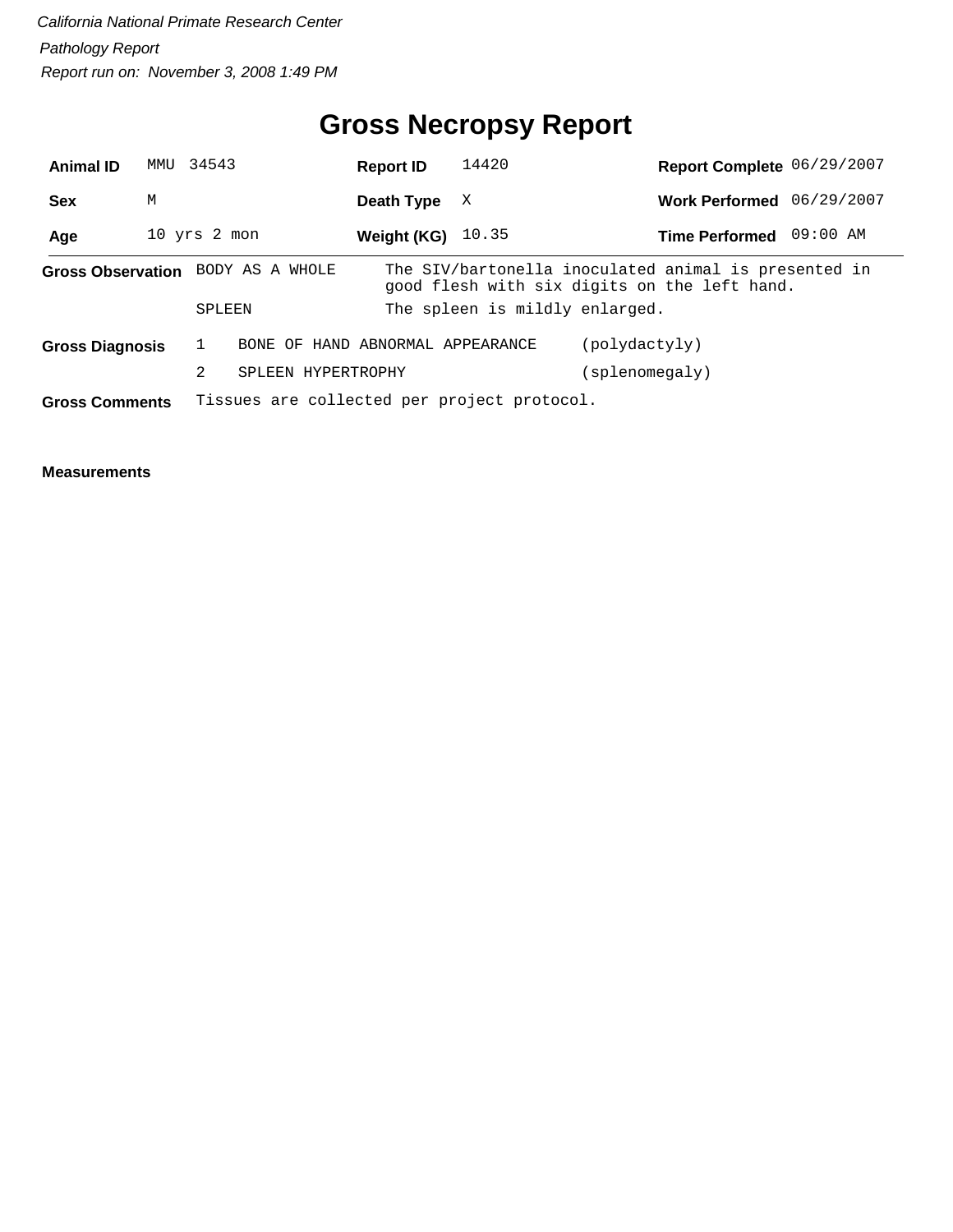## **Gross Necropsy Report**

| <b>Animal ID</b>       | MMU          | 34543  |                                   | <b>Report ID</b> | 14420                                       | Report Complete 06/29/2007                                                                           |          |
|------------------------|--------------|--------|-----------------------------------|------------------|---------------------------------------------|------------------------------------------------------------------------------------------------------|----------|
| <b>Sex</b>             | М            |        |                                   | Death Type       | X                                           | Work Performed 06/29/2007                                                                            |          |
| Age                    | 10 yrs 2 mon |        |                                   | Weight (KG)      | 10.35                                       | <b>Time Performed</b>                                                                                | 09:00 AM |
|                        |              |        | Gross Observation BODY AS A WHOLE |                  |                                             | The SIV/bartonella inoculated animal is presented in<br>good flesh with six digits on the left hand. |          |
|                        |              | SPLEEN |                                   |                  | The spleen is mildly enlarged.              |                                                                                                      |          |
| <b>Gross Diagnosis</b> |              |        | BONE OF HAND ABNORMAL APPEARANCE  |                  |                                             | (polydactyly)                                                                                        |          |
|                        |              | 2      | SPLEEN HYPERTROPHY                |                  |                                             | (splenomegaly)                                                                                       |          |
| <b>Gross Comments</b>  |              |        |                                   |                  | Tissues are collected per project protocol. |                                                                                                      |          |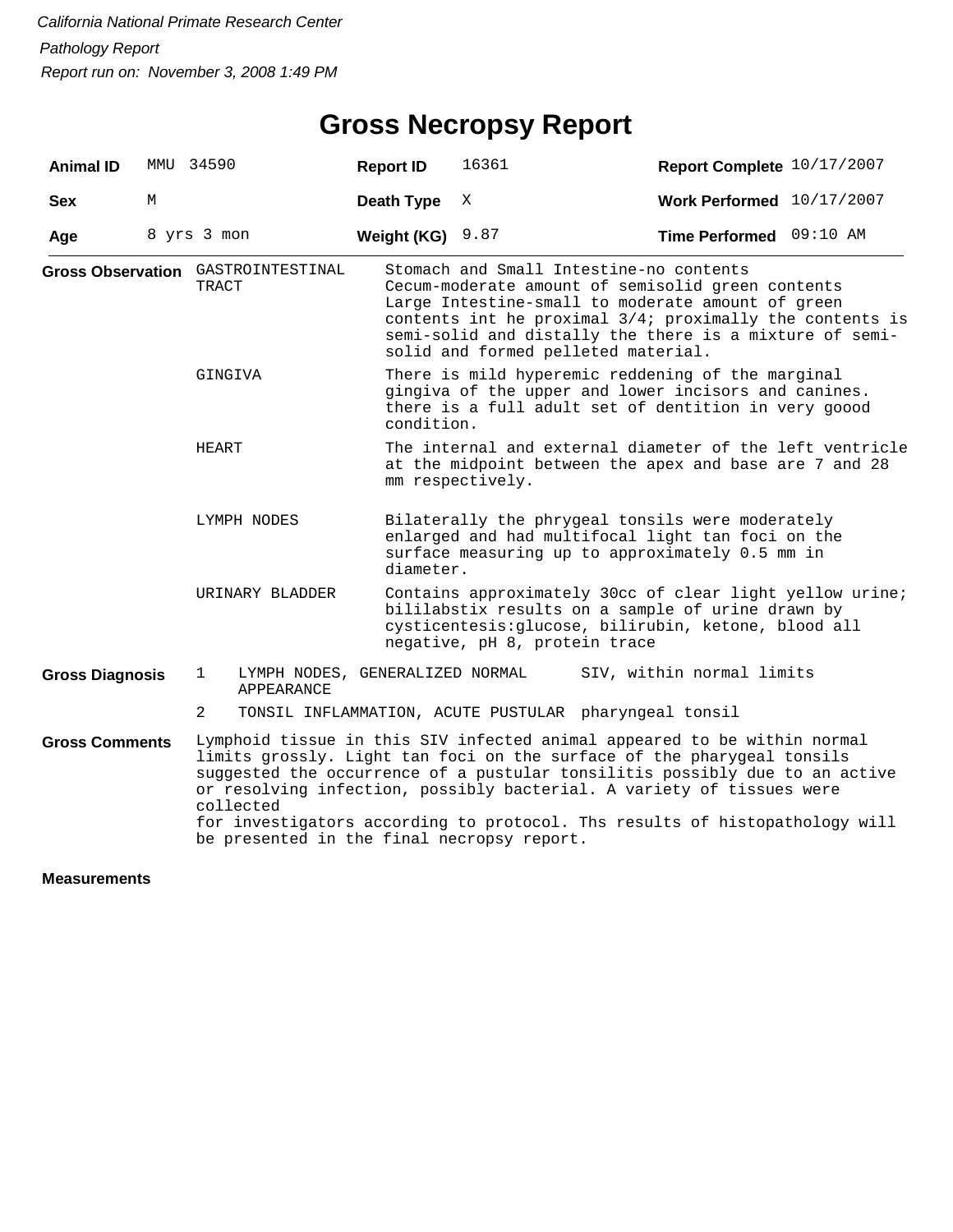# **Gross Necropsy Report**

| <b>Animal ID</b>       |   | MMU 34590                                               | <b>Report ID</b>                                                                                                                                                                | 16361                                                                                                                                                                                                  | Report Complete 10/17/2007                                                                                                                                                                                                                                                                                                                                                                |  |  |
|------------------------|---|---------------------------------------------------------|---------------------------------------------------------------------------------------------------------------------------------------------------------------------------------|--------------------------------------------------------------------------------------------------------------------------------------------------------------------------------------------------------|-------------------------------------------------------------------------------------------------------------------------------------------------------------------------------------------------------------------------------------------------------------------------------------------------------------------------------------------------------------------------------------------|--|--|
| <b>Sex</b>             | М |                                                         | Death Type                                                                                                                                                                      | X                                                                                                                                                                                                      | Work Performed 10/17/2007                                                                                                                                                                                                                                                                                                                                                                 |  |  |
| Age                    |   | 8 yrs 3 mon                                             | Weight (KG)                                                                                                                                                                     | 9.87                                                                                                                                                                                                   | Time Performed 09:10 AM                                                                                                                                                                                                                                                                                                                                                                   |  |  |
|                        |   | <b>Gross Observation</b> GASTROINTESTINAL<br>TRACT      |                                                                                                                                                                                 | Stomach and Small Intestine-no contents<br>solid and formed pelleted material.                                                                                                                         | Cecum-moderate amount of semisolid green contents<br>Large Intestine-small to moderate amount of green<br>contents int he proximal 3/4; proximally the contents is<br>semi-solid and distally the there is a mixture of semi-                                                                                                                                                             |  |  |
|                        |   | GINGIVA                                                 | There is mild hyperemic reddening of the marginal<br>gingiva of the upper and lower incisors and canines.<br>there is a full adult set of dentition in very goood<br>condition. |                                                                                                                                                                                                        |                                                                                                                                                                                                                                                                                                                                                                                           |  |  |
|                        |   | HEART                                                   | The internal and external diameter of the left ventricle<br>at the midpoint between the apex and base are 7 and 28<br>mm respectively.                                          |                                                                                                                                                                                                        |                                                                                                                                                                                                                                                                                                                                                                                           |  |  |
|                        |   | LYMPH NODES                                             |                                                                                                                                                                                 | Bilaterally the phrygeal tonsils were moderately<br>enlarged and had multifocal light tan foci on the<br>surface measuring up to approximately 0.5 mm in<br>diameter.                                  |                                                                                                                                                                                                                                                                                                                                                                                           |  |  |
|                        |   | URINARY BLADDER                                         |                                                                                                                                                                                 | Contains approximately 30cc of clear light yellow urine;<br>bililabstix results on a sample of urine drawn by<br>cysticentesis: glucose, bilirubin, ketone, blood all<br>negative, pH 8, protein trace |                                                                                                                                                                                                                                                                                                                                                                                           |  |  |
| <b>Gross Diagnosis</b> |   | 1<br>LYMPH NODES, GENERALIZED NORMAL<br>APPEARANCE      |                                                                                                                                                                                 |                                                                                                                                                                                                        | SIV, within normal limits                                                                                                                                                                                                                                                                                                                                                                 |  |  |
|                        |   | 2                                                       |                                                                                                                                                                                 | TONSIL INFLAMMATION, ACUTE PUSTULAR pharyngeal tonsil                                                                                                                                                  |                                                                                                                                                                                                                                                                                                                                                                                           |  |  |
| <b>Gross Comments</b>  |   | collected<br>be presented in the final necropsy report. |                                                                                                                                                                                 |                                                                                                                                                                                                        | Lymphoid tissue in this SIV infected animal appeared to be within normal<br>limits grossly. Light tan foci on the surface of the pharygeal tonsils<br>suggested the occurrence of a pustular tonsilitis possibly due to an active<br>or resolving infection, possibly bacterial. A variety of tissues were<br>for investigators according to protocol. Ths results of histopathology will |  |  |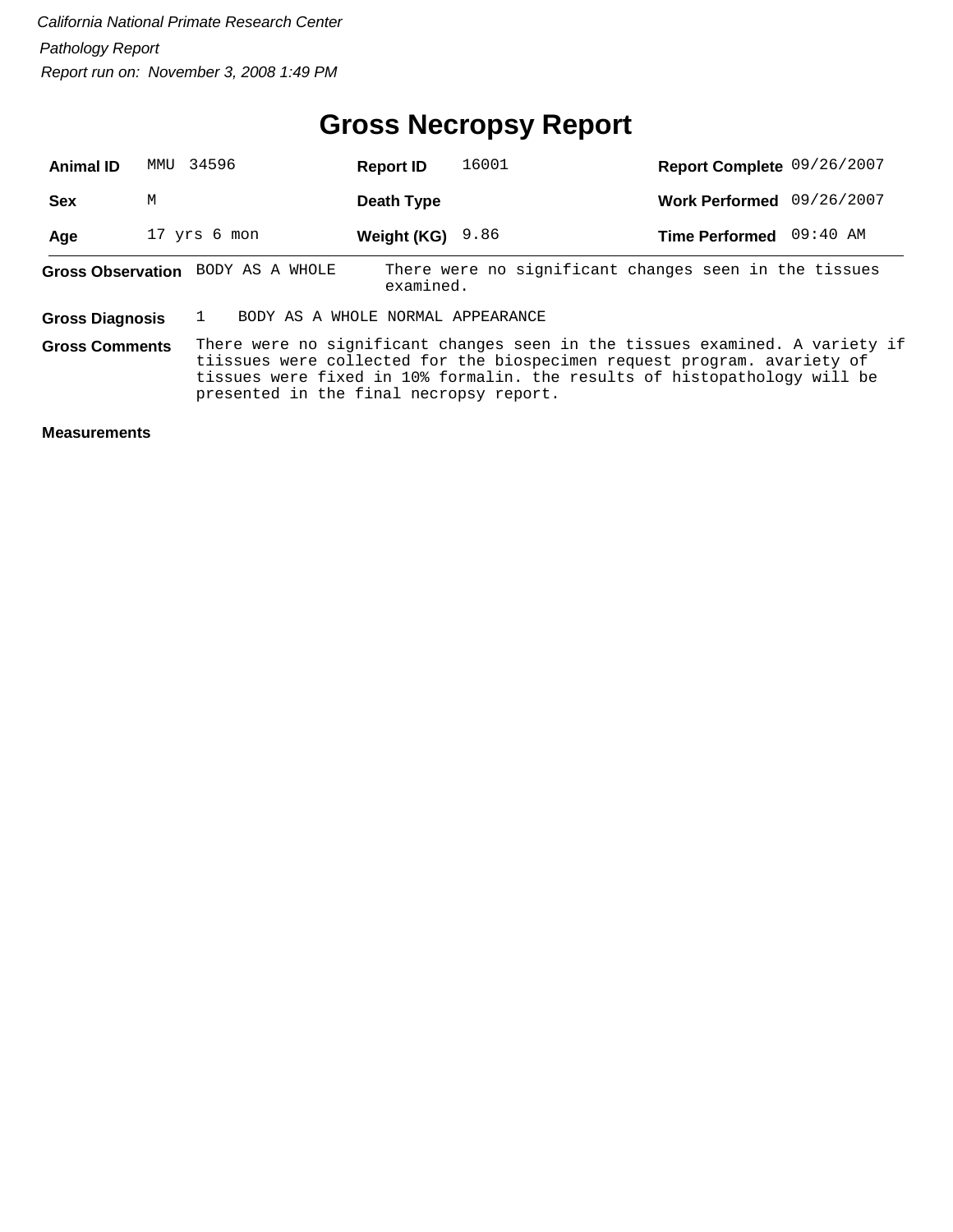#### **Gross Necropsy Report**

| <b>Animal ID</b>       | MMU | 34596                             | <b>Report ID</b> | 16001 | Report Complete 09/26/2007                                                                                                                                                                                                            |          |
|------------------------|-----|-----------------------------------|------------------|-------|---------------------------------------------------------------------------------------------------------------------------------------------------------------------------------------------------------------------------------------|----------|
| <b>Sex</b>             | М   |                                   | Death Type       |       | Work Performed 09/26/2007                                                                                                                                                                                                             |          |
| Age                    |     | 17 yrs 6 mon                      | Weight (KG)      | 9.86  | <b>Time Performed</b>                                                                                                                                                                                                                 | 09:40 AM |
|                        |     | Gross Observation BODY AS A WHOLE | examined.        |       | There were no significant changes seen in the tissues                                                                                                                                                                                 |          |
| <b>Gross Diagnosis</b> |     | BODY AS A WHOLE NORMAL APPEARANCE |                  |       |                                                                                                                                                                                                                                       |          |
| <b>Gross Comments</b>  |     |                                   |                  |       | There were no significant changes seen in the tissues examined. A variety if<br>tiissues were collected for the biospecimen request program. avariety of<br>tissues were fixed in 10% formalin. the results of histopathology will be |          |

presented in the final necropsy report.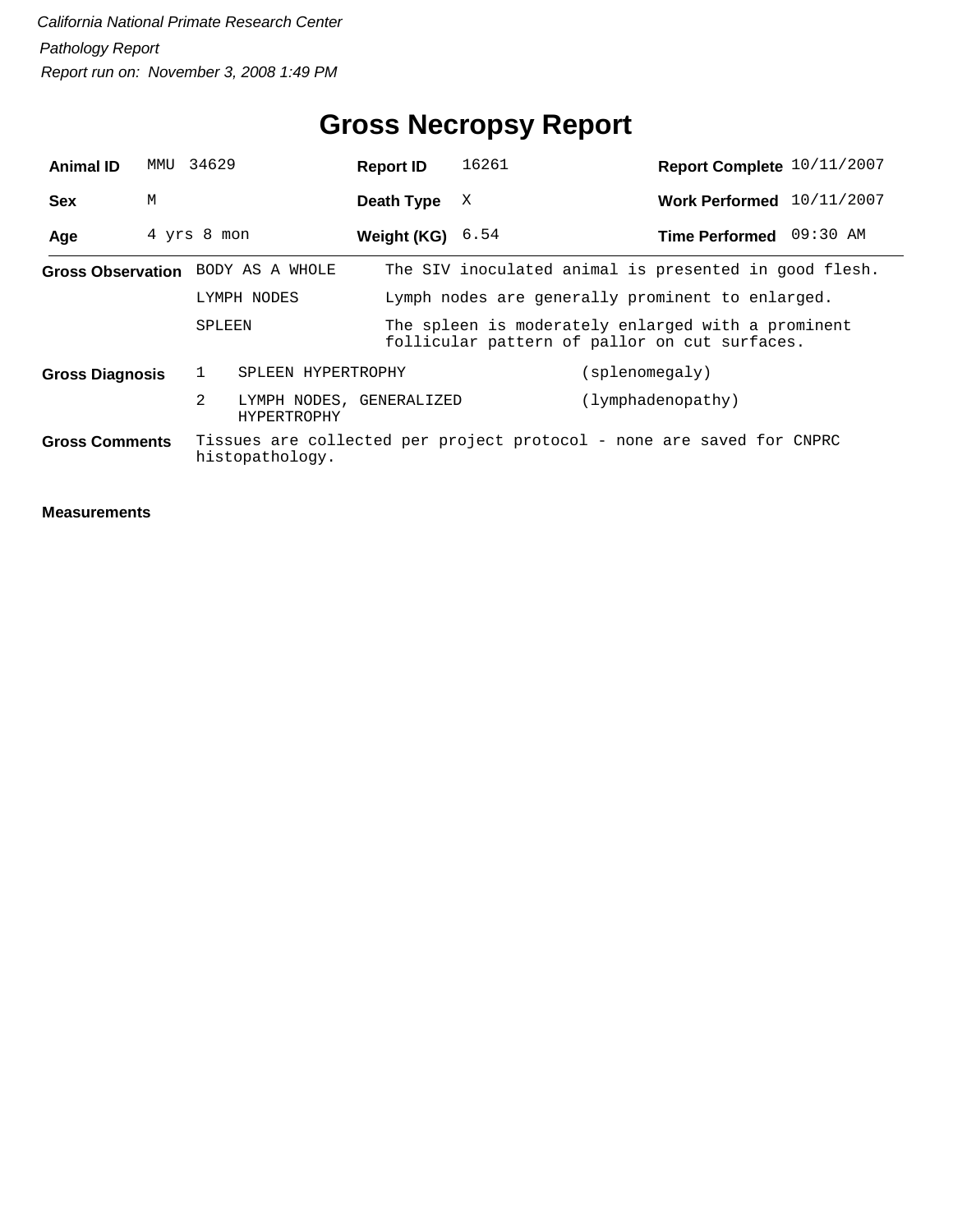# **Gross Necropsy Report**

| <b>Animal ID</b>       |   | MMU 34629                            | <b>Report ID</b>          | 16261 | Report Complete 10/11/2007                                                                          |  |
|------------------------|---|--------------------------------------|---------------------------|-------|-----------------------------------------------------------------------------------------------------|--|
| <b>Sex</b>             | М |                                      | Death Type                | X     | Work Performed 10/11/2007                                                                           |  |
| Age                    |   | 4 yrs 8 mon                          | <b>Weight (KG)</b> $6.54$ |       | Time Performed 09:30 AM                                                                             |  |
|                        |   | Gross Observation BODY AS A WHOLE    |                           |       | The SIV inoculated animal is presented in good flesh.                                               |  |
|                        |   | LYMPH NODES                          |                           |       | Lymph nodes are generally prominent to enlarged.                                                    |  |
|                        |   | SPLEEN                               |                           |       | The spleen is moderately enlarged with a prominent<br>follicular pattern of pallor on cut surfaces. |  |
| <b>Gross Diagnosis</b> |   | 1                                    | SPLEEN HYPERTROPHY        |       | (splenomegaly)                                                                                      |  |
|                        |   | $\overline{2}$<br><b>HYPERTROPHY</b> | LYMPH NODES, GENERALIZED  |       | (lymphadenopathy)                                                                                   |  |
| <b>Gross Comments</b>  |   | histopathology.                      |                           |       | Tissues are collected per project protocol - none are saved for CNPRC                               |  |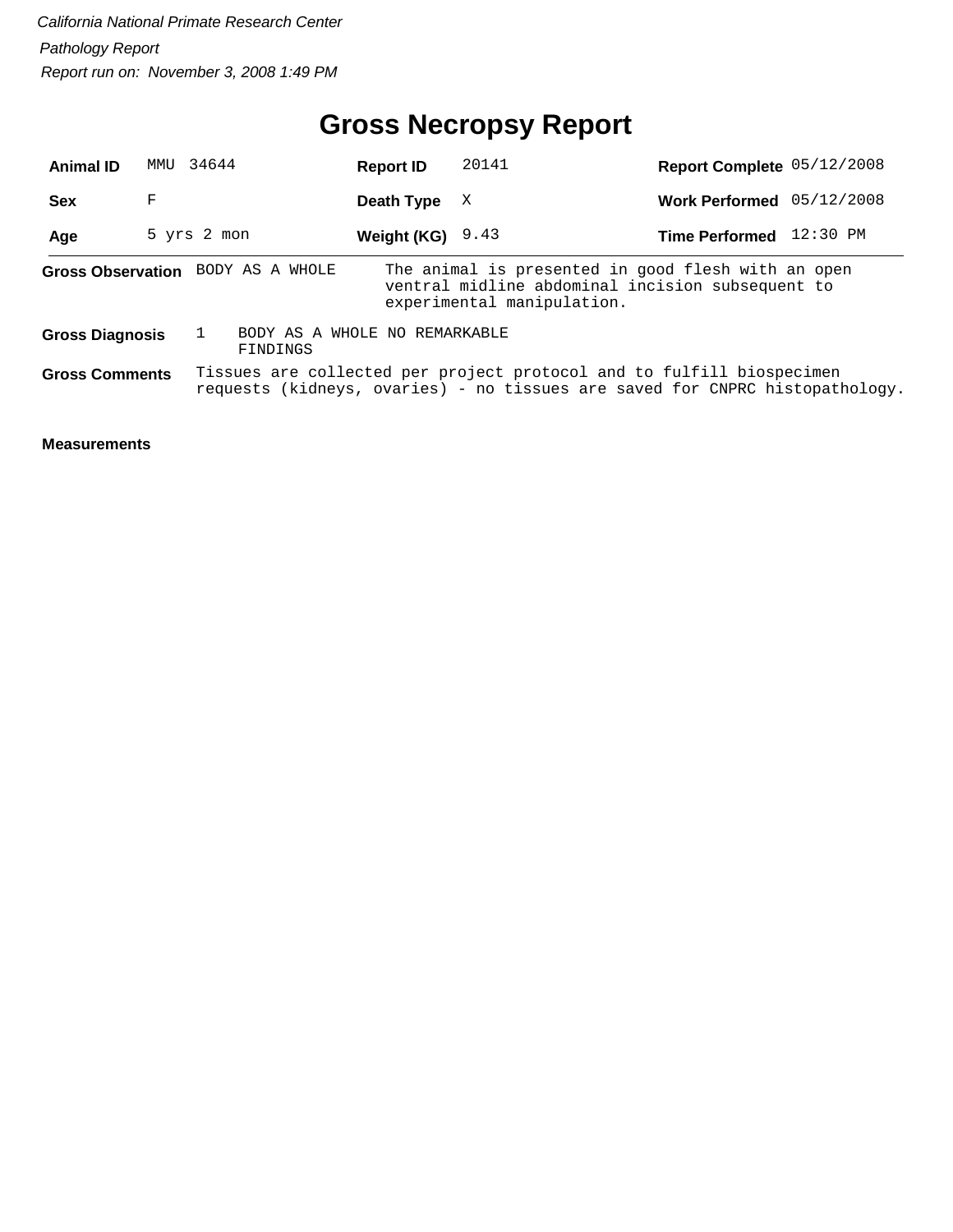# **Gross Necropsy Report**

| <b>Animal ID</b>       | MMU | 34644                             | <b>Report ID</b>              | 20141                      | Report Complete 05/12/2008                                                                                                                            |  |
|------------------------|-----|-----------------------------------|-------------------------------|----------------------------|-------------------------------------------------------------------------------------------------------------------------------------------------------|--|
| <b>Sex</b>             | F   |                                   | Death Type                    | X                          | Work Performed 05/12/2008                                                                                                                             |  |
| Age                    |     | 5 yrs 2 mon                       | Weight (KG) $9.43$            |                            | Time Performed 12:30 PM                                                                                                                               |  |
|                        |     | Gross Observation BODY AS A WHOLE |                               | experimental manipulation. | The animal is presented in good flesh with an open<br>ventral midline abdominal incision subsequent to                                                |  |
| <b>Gross Diagnosis</b> |     | FINDINGS                          | BODY AS A WHOLE NO REMARKABLE |                            |                                                                                                                                                       |  |
| <b>Gross Comments</b>  |     |                                   |                               |                            | Tissues are collected per project protocol and to fulfill biospecimen<br>requests (kidneys, ovaries) - no tissues are saved for CNPRC histopathology. |  |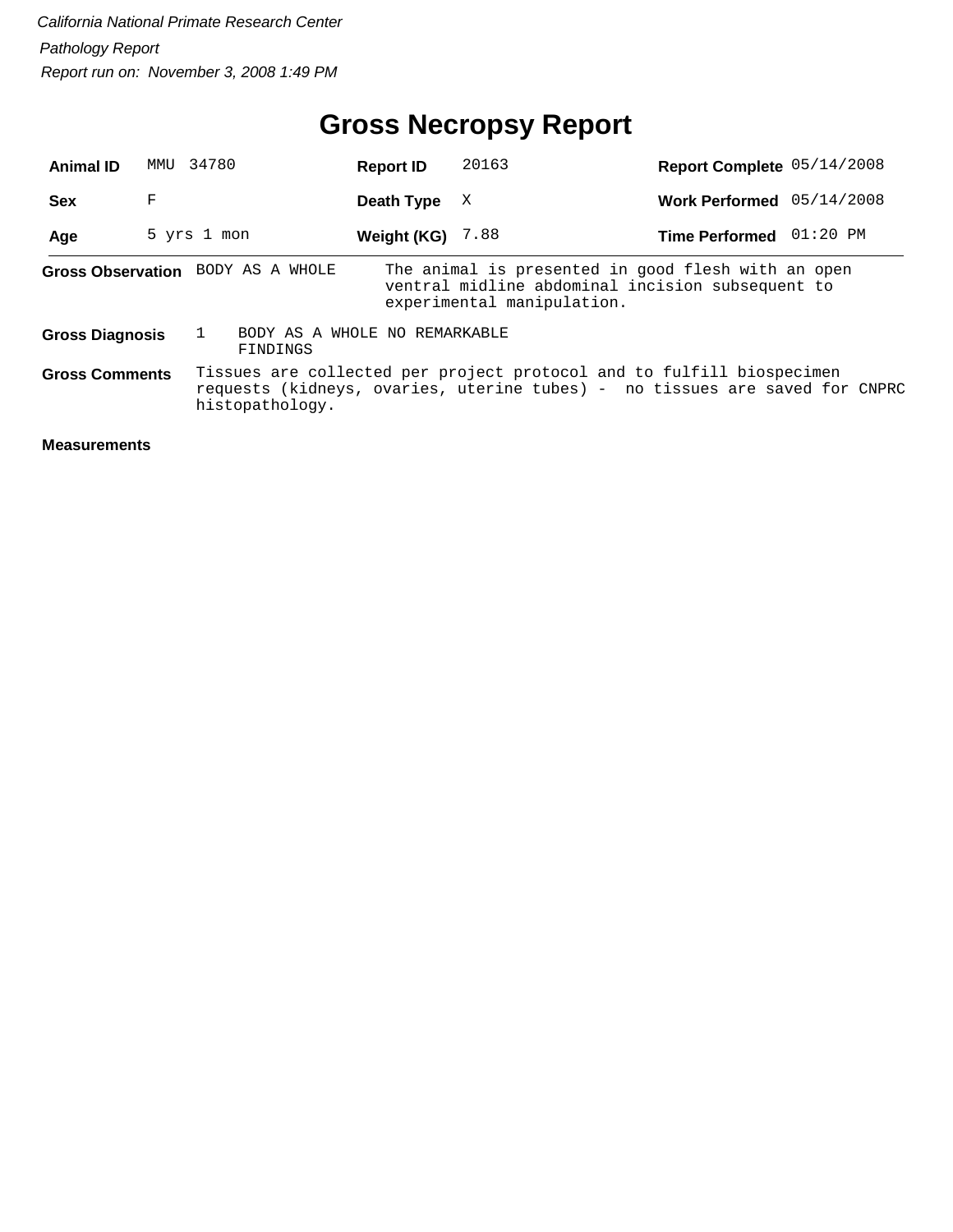# **Gross Necropsy Report**

| <b>Animal ID</b>       | MMU | 34780                                     | <b>Report ID</b> | 20163                                                                                                                                                | Report Complete 05/14/2008 |  |
|------------------------|-----|-------------------------------------------|------------------|------------------------------------------------------------------------------------------------------------------------------------------------------|----------------------------|--|
| <b>Sex</b>             | F   |                                           | Death Type       | X                                                                                                                                                    | Work Performed 05/14/2008  |  |
| Age                    |     | 5 yrs 1 mon                               | Weight (KG)      | 7.88                                                                                                                                                 | Time Performed 01:20 PM    |  |
|                        |     | Gross Observation BODY AS A WHOLE         |                  | The animal is presented in good flesh with an open<br>ventral midline abdominal incision subsequent to<br>experimental manipulation.                 |                            |  |
| <b>Gross Diagnosis</b> |     | BODY AS A WHOLE NO REMARKABLE<br>FINDINGS |                  |                                                                                                                                                      |                            |  |
| <b>Gross Comments</b>  |     | histopathology.                           |                  | Tissues are collected per project protocol and to fulfill biospecimen<br>requests (kidneys, ovaries, uterine tubes) - no tissues are saved for CNPRC |                            |  |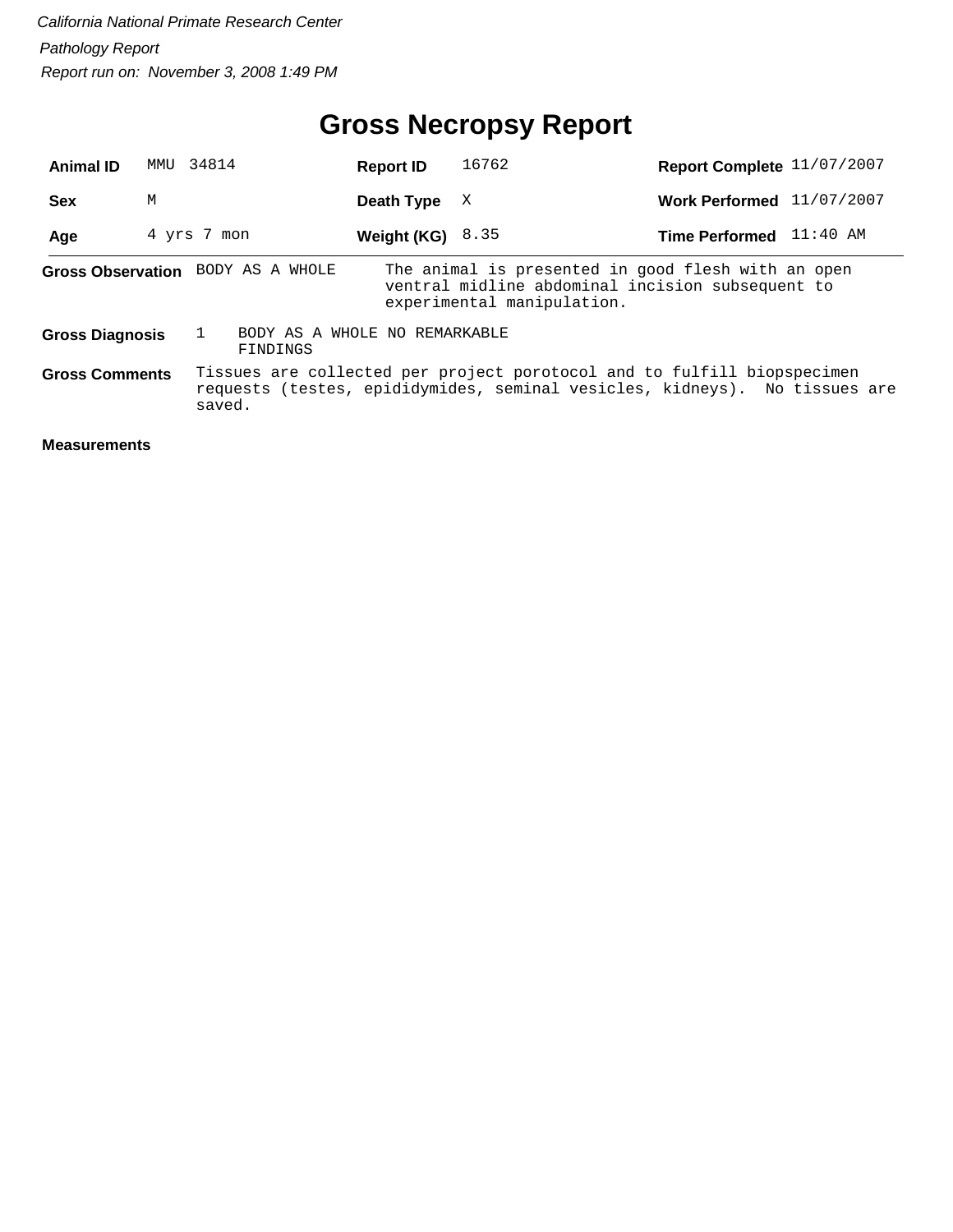# **Gross Necropsy Report**

| <b>Animal ID</b>       | MMU | 34814                                     | <b>Report ID</b>   | 16762                                                                                                                                                 | Report Complete 11/07/2007 |  |
|------------------------|-----|-------------------------------------------|--------------------|-------------------------------------------------------------------------------------------------------------------------------------------------------|----------------------------|--|
| <b>Sex</b>             | М   |                                           | Death Type         | X                                                                                                                                                     | Work Performed 11/07/2007  |  |
| Age                    |     | 4 yrs 7 mon                               | Weight (KG) $8.35$ |                                                                                                                                                       | Time Performed 11:40 AM    |  |
|                        |     | Gross Observation BODY AS A WHOLE         |                    | The animal is presented in good flesh with an open<br>ventral midline abdominal incision subsequent to<br>experimental manipulation.                  |                            |  |
| <b>Gross Diagnosis</b> |     | BODY AS A WHOLE NO REMARKABLE<br>FINDINGS |                    |                                                                                                                                                       |                            |  |
| <b>Gross Comments</b>  |     | saved.                                    |                    | Tissues are collected per project porotocol and to fulfill biopspecimen<br>requests (testes, epididymides, seminal vesicles, kidneys). No tissues are |                            |  |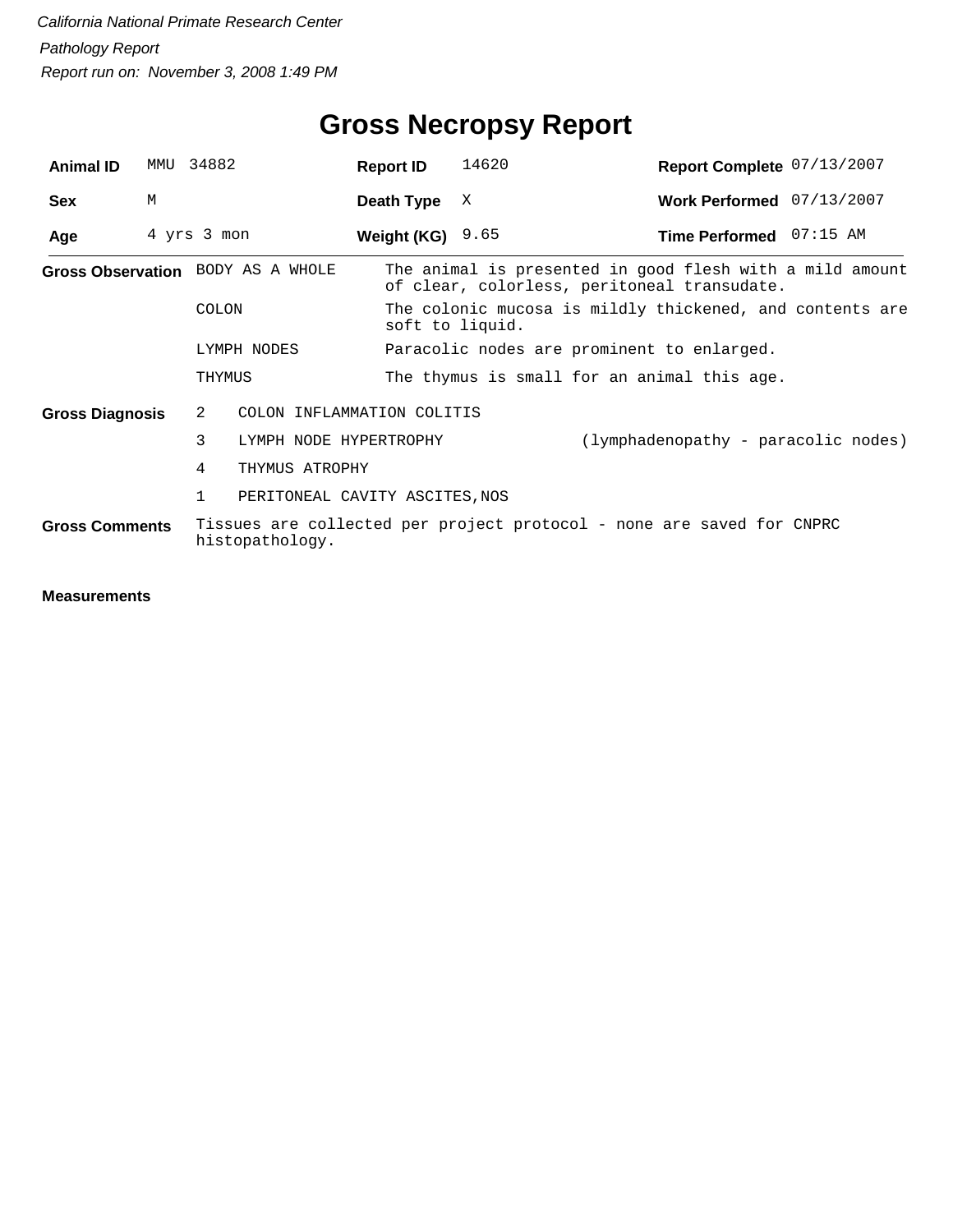| <b>Animal ID</b>                  | MMU | 34882               | <b>Report ID</b>                            | 14620                                                                       | Report Complete 07/13/2007                                                                              |  |  |
|-----------------------------------|-----|---------------------|---------------------------------------------|-----------------------------------------------------------------------------|---------------------------------------------------------------------------------------------------------|--|--|
| <b>Sex</b>                        | M   |                     | Death Type                                  | X                                                                           | Work Performed 07/13/2007                                                                               |  |  |
| Age                               |     | 4 yrs 3 mon         | Weight (KG) $9.65$                          |                                                                             | Time Performed 07:15 AM                                                                                 |  |  |
| Gross Observation BODY AS A WHOLE |     |                     |                                             |                                                                             | The animal is presented in good flesh with a mild amount<br>of clear, colorless, peritoneal transudate. |  |  |
|                                   |     | COLON               |                                             | The colonic mucosa is mildly thickened, and contents are<br>soft to liquid. |                                                                                                         |  |  |
|                                   |     | LYMPH NODES         |                                             |                                                                             | Paracolic nodes are prominent to enlarged.                                                              |  |  |
|                                   |     | THYMUS              | The thymus is small for an animal this age. |                                                                             |                                                                                                         |  |  |
| <b>Gross Diagnosis</b>            |     | 2                   | COLON INFLAMMATION COLITIS                  |                                                                             |                                                                                                         |  |  |
|                                   |     | 3                   | LYMPH NODE HYPERTROPHY                      |                                                                             | (lymphadenopathy - paracolic nodes)                                                                     |  |  |
|                                   |     | 4<br>THYMUS ATROPHY |                                             |                                                                             |                                                                                                         |  |  |
|                                   |     | $\mathbf{1}$        | PERITONEAL CAVITY ASCITES, NOS              |                                                                             |                                                                                                         |  |  |
| <b>Gross Comments</b>             |     | histopathology.     |                                             |                                                                             | Tissues are collected per project protocol - none are saved for CNPRC                                   |  |  |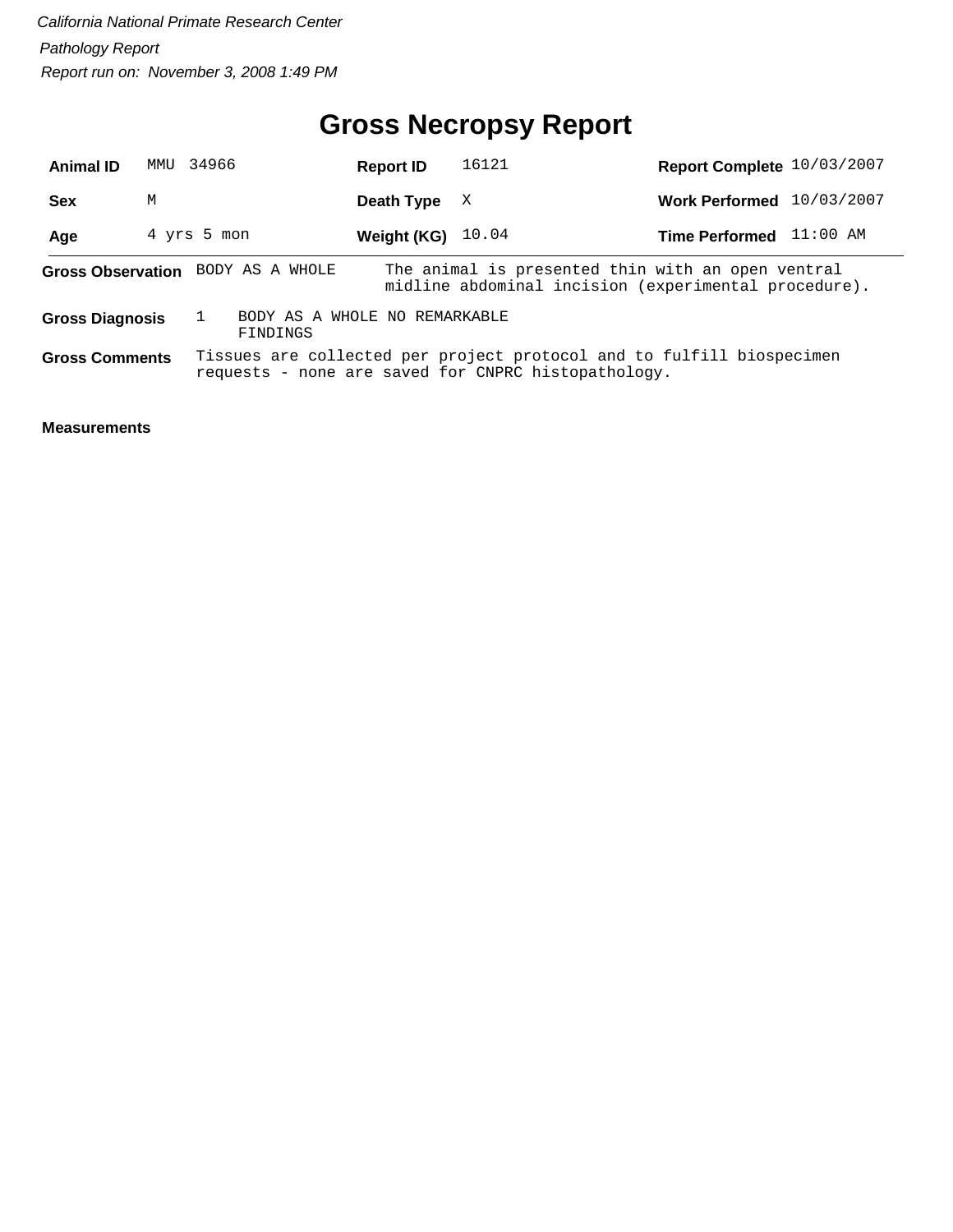# **Gross Necropsy Report**

| <b>Animal ID</b>       | MMU 34966 |                                           | <b>Report ID</b> | 16121                                                                                                                        | Report Complete 10/03/2007 |            |
|------------------------|-----------|-------------------------------------------|------------------|------------------------------------------------------------------------------------------------------------------------------|----------------------------|------------|
| Sex                    | М         |                                           | Death Type       | X                                                                                                                            | <b>Work Performed</b>      | 10/03/2007 |
| Age                    |           | 4 yrs 5 mon                               | Weight (KG)      | 10.04                                                                                                                        | Time Performed 11:00 AM    |            |
|                        |           | Gross Observation BODY AS A WHOLE         |                  | The animal is presented thin with an open ventral<br>midline abdominal incision (experimental procedure).                    |                            |            |
| <b>Gross Diagnosis</b> |           | BODY AS A WHOLE NO REMARKABLE<br>FINDINGS |                  |                                                                                                                              |                            |            |
| <b>Gross Comments</b>  |           |                                           |                  | Tissues are collected per project protocol and to fulfill biospecimen<br>requests - none are saved for CNPRC histopathology. |                            |            |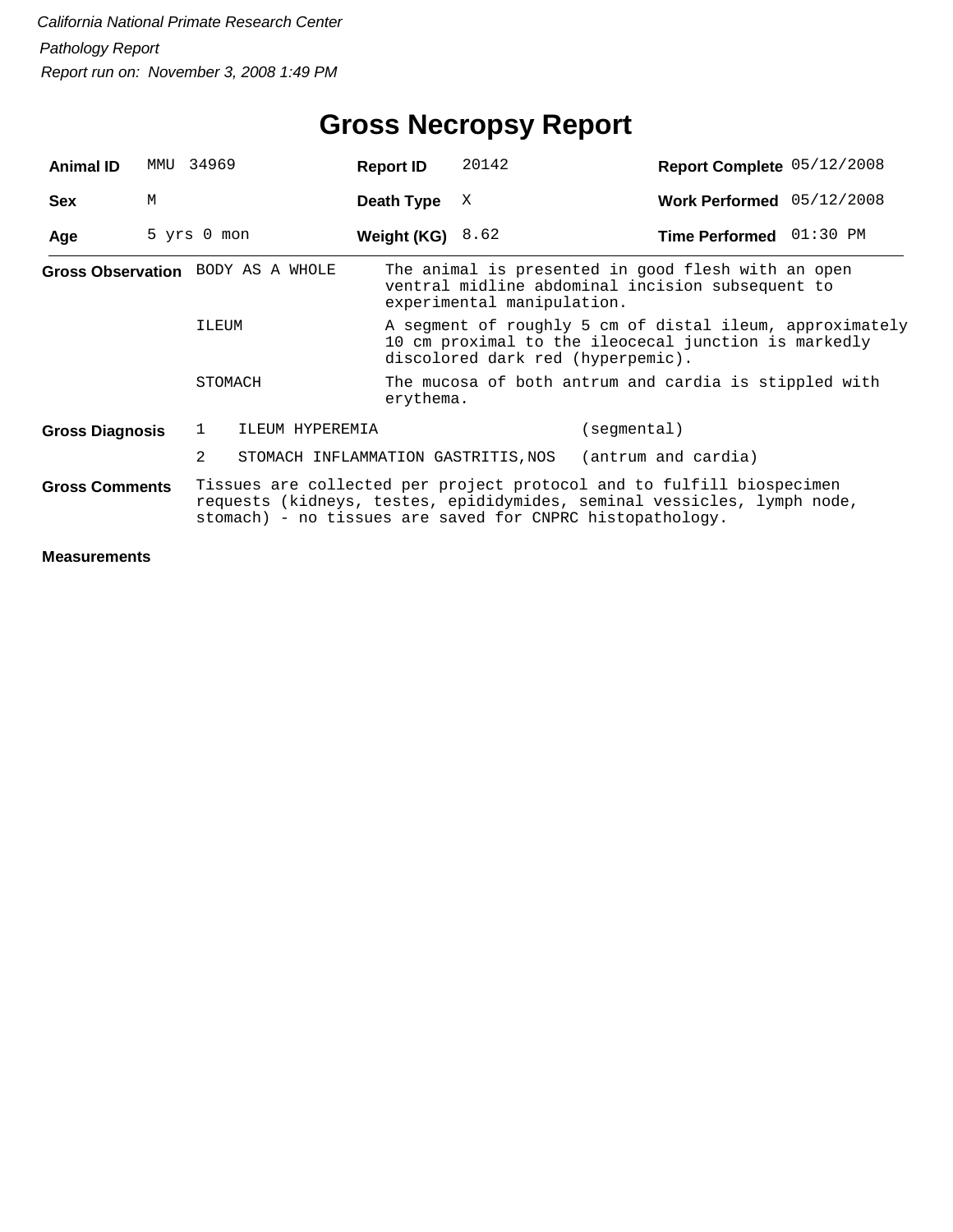# **Gross Necropsy Report**

| <b>Animal ID</b>       | MMU | 34969       |                                   | <b>Report ID</b>   | 20142                                                                                                                                                 | Report Complete 05/12/2008                                                                                                                                                                                    |  |  |  |
|------------------------|-----|-------------|-----------------------------------|--------------------|-------------------------------------------------------------------------------------------------------------------------------------------------------|---------------------------------------------------------------------------------------------------------------------------------------------------------------------------------------------------------------|--|--|--|
| <b>Sex</b>             | M   |             |                                   | Death Type         | Χ                                                                                                                                                     | Work Performed 05/12/2008                                                                                                                                                                                     |  |  |  |
| Age                    |     | 5 yrs 0 mon |                                   | Weight (KG) $8.62$ |                                                                                                                                                       | Time Performed 01:30 PM                                                                                                                                                                                       |  |  |  |
|                        |     |             | Gross Observation BODY AS A WHOLE |                    | experimental manipulation.                                                                                                                            | The animal is presented in good flesh with an open<br>ventral midline abdominal incision subsequent to                                                                                                        |  |  |  |
|                        |     | ILEUM       |                                   |                    | A segment of roughly 5 cm of distal ileum, approximately<br>10 cm proximal to the ileocecal junction is markedly<br>discolored dark red (hyperpemic). |                                                                                                                                                                                                               |  |  |  |
|                        |     | STOMACH     |                                   |                    | The mucosa of both antrum and cardia is stippled with<br>erythema.                                                                                    |                                                                                                                                                                                                               |  |  |  |
| <b>Gross Diagnosis</b> |     | 1           | ILEUM HYPEREMIA                   |                    |                                                                                                                                                       | (segmental)                                                                                                                                                                                                   |  |  |  |
|                        |     | 2           |                                   |                    | STOMACH INFLAMMATION GASTRITIS, NOS                                                                                                                   | (antrum and cardia)                                                                                                                                                                                           |  |  |  |
| <b>Gross Comments</b>  |     |             |                                   |                    |                                                                                                                                                       | Tissues are collected per project protocol and to fulfill biospecimen<br>requests (kidneys, testes, epididymides, seminal vessicles, lymph node,<br>stomach) - no tissues are saved for CNPRC histopathology. |  |  |  |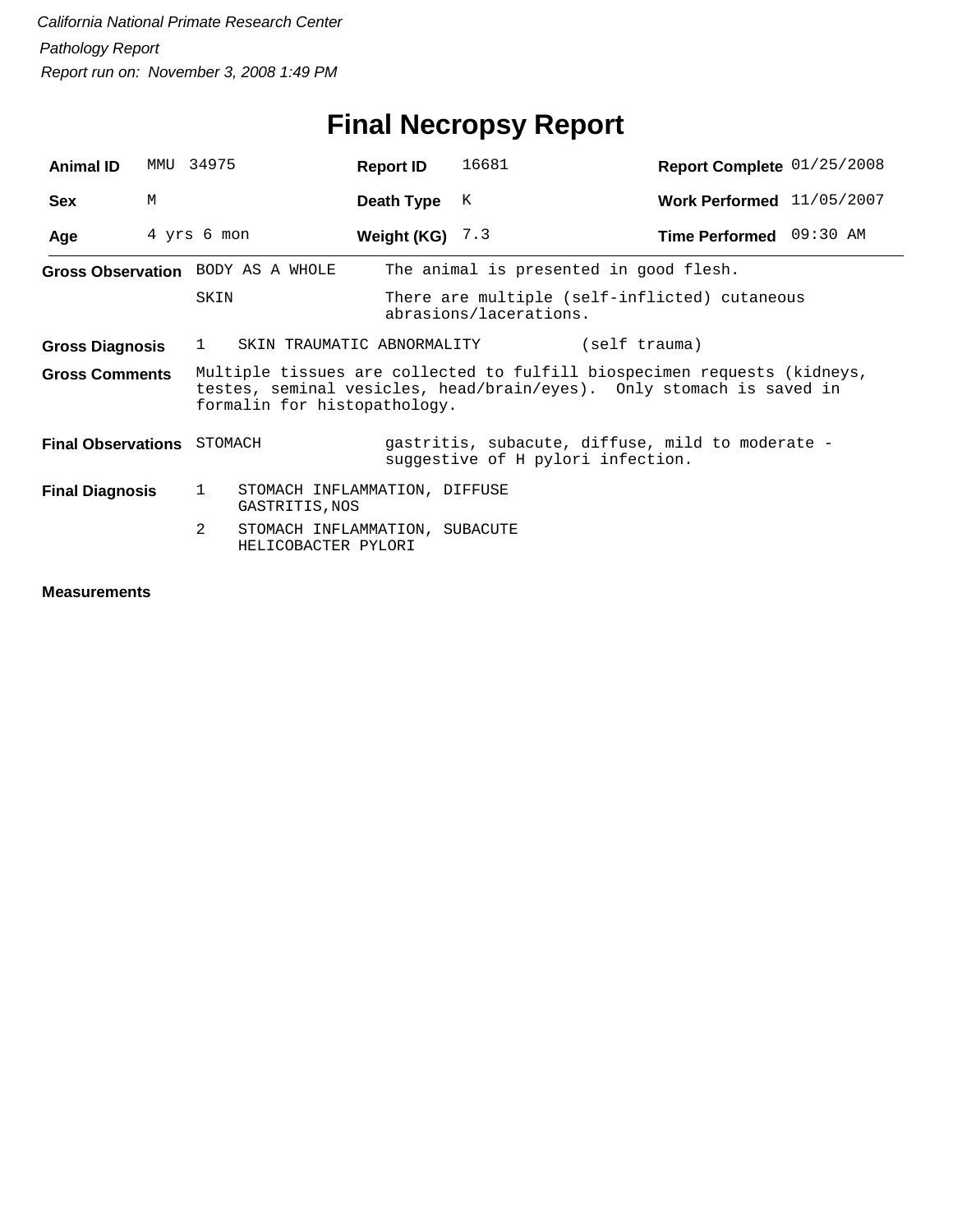# **Final Necropsy Report**

| <b>Animal ID</b>                                                                                                                                                                                          |   | MMU 34975                                                  | <b>Report ID</b>  | 16681                                                                                 | Report Complete 01/25/2008 |  |
|-----------------------------------------------------------------------------------------------------------------------------------------------------------------------------------------------------------|---|------------------------------------------------------------|-------------------|---------------------------------------------------------------------------------------|----------------------------|--|
| <b>Sex</b>                                                                                                                                                                                                | M |                                                            | Death Type        | K                                                                                     | Work Performed 11/05/2007  |  |
| Age                                                                                                                                                                                                       |   | 4 yrs 6 mon                                                | Weight (KG) $7.3$ |                                                                                       | Time Performed 09:30 AM    |  |
|                                                                                                                                                                                                           |   | Gross Observation BODY AS A WHOLE                          |                   | The animal is presented in good flesh.                                                |                            |  |
|                                                                                                                                                                                                           |   | SKIN                                                       |                   | There are multiple (self-inflicted) cutaneous<br>abrasions/lacerations.               |                            |  |
| <b>Gross Diagnosis</b>                                                                                                                                                                                    |   | SKIN TRAUMATIC ABNORMALITY<br>1                            |                   | (self trauma)                                                                         |                            |  |
| Multiple tissues are collected to fulfill biospecimen requests (kidneys,<br><b>Gross Comments</b><br>testes, seminal vesicles, head/brain/eyes). Only stomach is saved in<br>formalin for histopathology. |   |                                                            |                   |                                                                                       |                            |  |
| <b>Final Observations</b> STOMACH                                                                                                                                                                         |   |                                                            |                   | gastritis, subacute, diffuse, mild to moderate -<br>suggestive of H pylori infection. |                            |  |
| <b>Final Diagnosis</b>                                                                                                                                                                                    |   | STOMACH INFLAMMATION, DIFFUSE<br>1<br>GASTRITIS, NOS       |                   |                                                                                       |                            |  |
|                                                                                                                                                                                                           |   | 2<br>STOMACH INFLAMMATION, SUBACUTE<br>HELICOBACTER PYLORI |                   |                                                                                       |                            |  |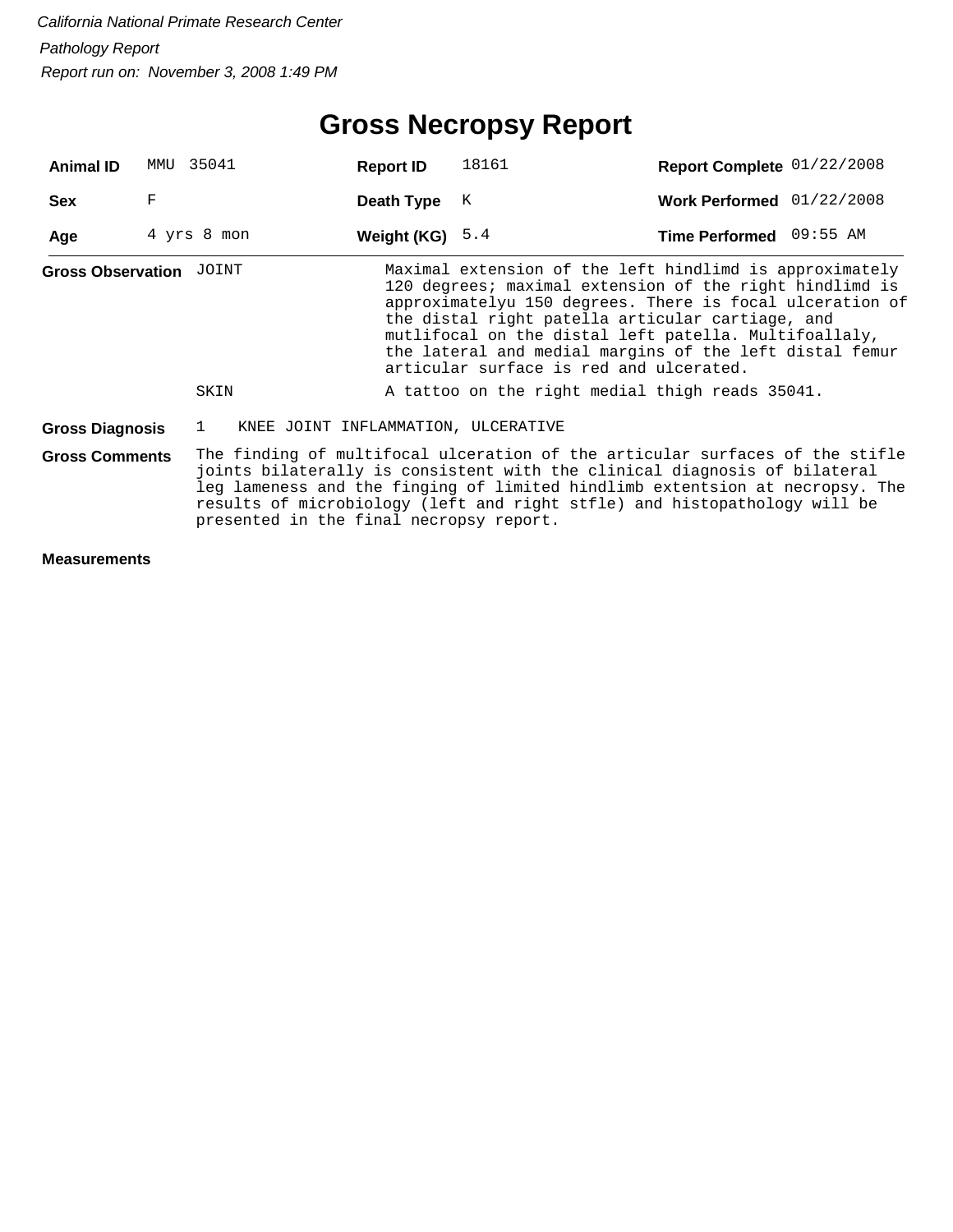# **Gross Necropsy Report**

| <b>Animal ID</b>                                                 | MMU | 35041                                               | <b>Report ID</b> | 18161                                                                                                                                                                                                                                                                                                                                                                                             | Report Complete 01/22/2008 |  |
|------------------------------------------------------------------|-----|-----------------------------------------------------|------------------|---------------------------------------------------------------------------------------------------------------------------------------------------------------------------------------------------------------------------------------------------------------------------------------------------------------------------------------------------------------------------------------------------|----------------------------|--|
| <b>Sex</b>                                                       | F   |                                                     | Death Type       | К                                                                                                                                                                                                                                                                                                                                                                                                 | Work Performed 01/22/2008  |  |
| Age                                                              |     | 4 yrs 8 mon                                         | Weight (KG)      | 5.4                                                                                                                                                                                                                                                                                                                                                                                               | Time Performed 09:55 AM    |  |
| <b>Gross Observation JOINT</b>                                   |     |                                                     |                  | Maximal extension of the left hindlimd is approximately<br>120 degrees; maximal extension of the right hindlimd is<br>approximatelyu 150 degrees. There is focal ulceration of<br>the distal right patella articular cartiage, and<br>mutlifocal on the distal left patella. Multifoallaly,<br>the lateral and medial margins of the left distal femur<br>articular surface is red and ulcerated. |                            |  |
|                                                                  |     | SKIN                                                |                  | A tattoo on the right medial thigh reads 35041.                                                                                                                                                                                                                                                                                                                                                   |                            |  |
| <b>Gross Diagnosis</b>                                           |     | KNEE JOINT INFLAMMATION, ULCERATIVE<br>$\mathbf{1}$ |                  |                                                                                                                                                                                                                                                                                                                                                                                                   |                            |  |
| <b>Gross Comments</b><br>presented in the final necropsy report. |     |                                                     |                  | The finding of multifocal ulceration of the articular surfaces of the stifle<br>joints bilaterally is consistent with the clinical diagnosis of bilateral<br>leg lameness and the finging of limited hindlimb extentsion at necropsy. The<br>results of microbiology (left and right stfle) and histopathology will be                                                                            |                            |  |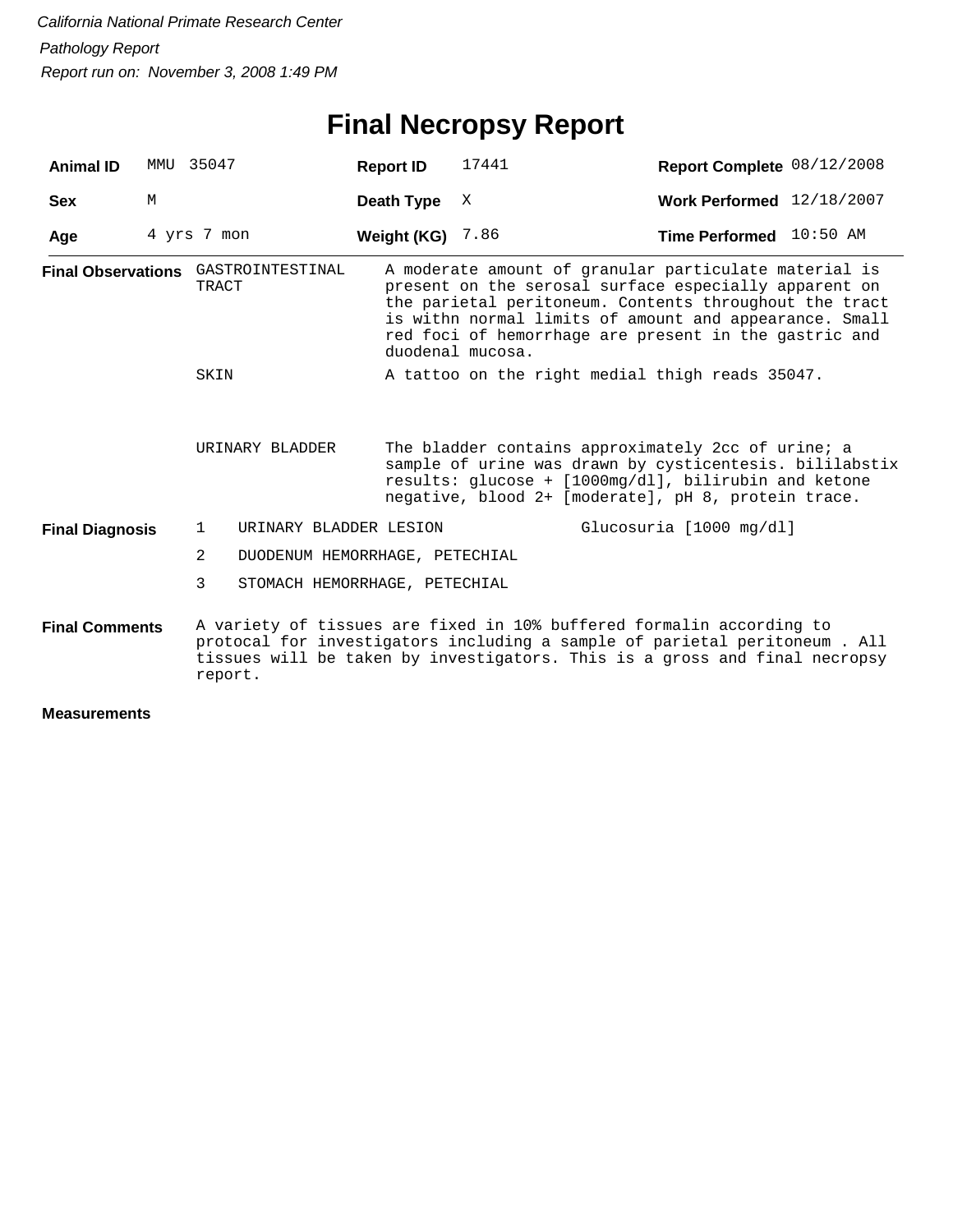# **Final Necropsy Report**

| <b>Animal ID</b>       | MMU 35047   |                                                     |                                | <b>Report ID</b>        | 17441                                                                                                                                                                                                                                                                                                           | Report Complete 08/12/2008                                                                                                                                                                                                       |  |  |
|------------------------|-------------|-----------------------------------------------------|--------------------------------|-------------------------|-----------------------------------------------------------------------------------------------------------------------------------------------------------------------------------------------------------------------------------------------------------------------------------------------------------------|----------------------------------------------------------------------------------------------------------------------------------------------------------------------------------------------------------------------------------|--|--|
| <b>Sex</b>             | M           |                                                     |                                | Death Type              | Χ                                                                                                                                                                                                                                                                                                               | Work Performed 12/18/2007                                                                                                                                                                                                        |  |  |
| Age                    | 4 yrs 7 mon |                                                     |                                | <b>Weight (KG)</b> 7.86 |                                                                                                                                                                                                                                                                                                                 | Time Performed 10:50 AM                                                                                                                                                                                                          |  |  |
|                        |             | <b>Final Observations</b> GASTROINTESTINAL<br>TRACT |                                |                         | A moderate amount of granular particulate material is<br>present on the serosal surface especially apparent on<br>the parietal peritoneum. Contents throughout the tract<br>is withn normal limits of amount and appearance. Small<br>red foci of hemorrhage are present in the gastric and<br>duodenal mucosa. |                                                                                                                                                                                                                                  |  |  |
|                        |             | SKIN                                                |                                |                         |                                                                                                                                                                                                                                                                                                                 | A tattoo on the right medial thigh reads 35047.                                                                                                                                                                                  |  |  |
|                        |             | URINARY BLADDER                                     |                                |                         | The bladder contains approximately 2cc of urine; a<br>sample of urine was drawn by cysticentesis. bililabstix<br>results: glucose + [1000mg/dl], bilirubin and ketone<br>negative, blood 2+ [moderate], pH 8, protein trace.                                                                                    |                                                                                                                                                                                                                                  |  |  |
| <b>Final Diagnosis</b> |             | $\mathbf{1}$                                        | URINARY BLADDER LESION         |                         |                                                                                                                                                                                                                                                                                                                 | Glucosuria [1000 mg/dl]                                                                                                                                                                                                          |  |  |
|                        |             | 2                                                   | DUODENUM HEMORRHAGE, PETECHIAL |                         |                                                                                                                                                                                                                                                                                                                 |                                                                                                                                                                                                                                  |  |  |
|                        |             | 3                                                   | STOMACH HEMORRHAGE, PETECHIAL  |                         |                                                                                                                                                                                                                                                                                                                 |                                                                                                                                                                                                                                  |  |  |
| <b>Final Comments</b>  |             | report.                                             |                                |                         |                                                                                                                                                                                                                                                                                                                 | A variety of tissues are fixed in 10% buffered formalin according to<br>protocal for investigators including a sample of parietal peritoneum . All<br>tissues will be taken by investigators. This is a gross and final necropsy |  |  |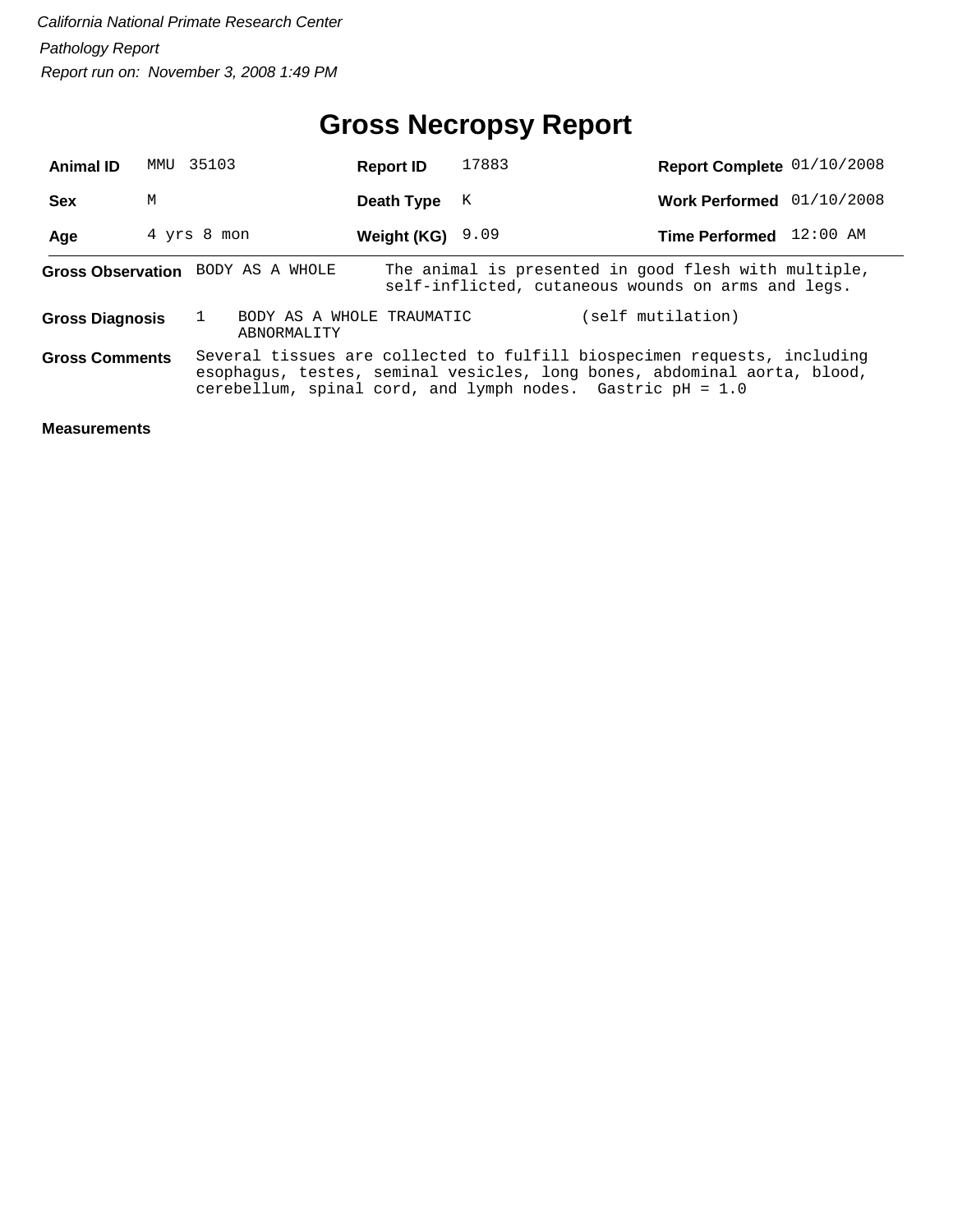# **Gross Necropsy Report**

| <b>Animal ID</b>       | MMU | 35103                                                        | <b>Report ID</b> | 17883 | Report Complete 01/10/2008                                                                                                                           |  |
|------------------------|-----|--------------------------------------------------------------|------------------|-------|------------------------------------------------------------------------------------------------------------------------------------------------------|--|
| <b>Sex</b>             | М   |                                                              | Death Type       | K     | Work Performed 01/10/2008                                                                                                                            |  |
| Age                    |     | 4 yrs 8 mon                                                  | Weight (KG)      | 9.09  | Time Performed 12:00 AM                                                                                                                              |  |
|                        |     | Gross Observation BODY AS A WHOLE                            |                  |       | The animal is presented in good flesh with multiple,<br>self-inflicted, cutaneous wounds on arms and legs.                                           |  |
| <b>Gross Diagnosis</b> |     | BODY AS A WHOLE TRAUMATIC<br>ABNORMALITY                     |                  |       | (self mutilation)                                                                                                                                    |  |
| <b>Gross Comments</b>  |     | cerebellum, spinal cord, and lymph nodes. Gastric $pH = 1.0$ |                  |       | Several tissues are collected to fulfill biospecimen requests, including<br>esophagus, testes, seminal vesicles, long bones, abdominal aorta, blood, |  |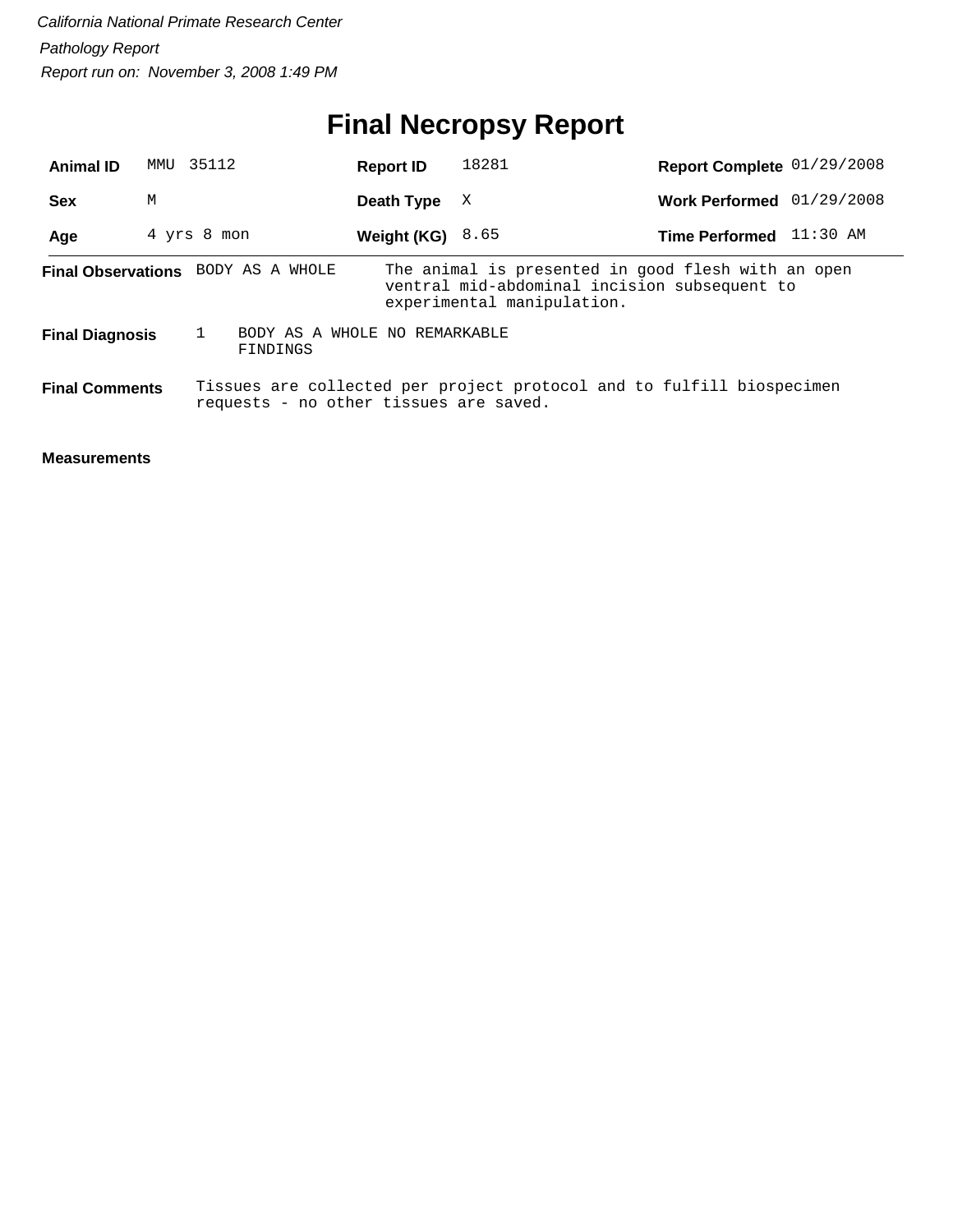# **Final Necropsy Report**

| <b>Animal ID</b>          | MMU | 35112                                     | <b>Report ID</b> | 18281                                                                                                                            | Report Complete 01/29/2008 |  |
|---------------------------|-----|-------------------------------------------|------------------|----------------------------------------------------------------------------------------------------------------------------------|----------------------------|--|
| <b>Sex</b>                | М   |                                           | Death Type       | X                                                                                                                                | Work Performed 01/29/2008  |  |
| Age                       |     | 4 yrs 8 mon                               | Weight (KG)      | 8.65                                                                                                                             | Time Performed 11:30 AM    |  |
| <b>Final Observations</b> |     | BODY AS A WHOLE                           |                  | The animal is presented in good flesh with an open<br>ventral mid-abdominal incision subsequent to<br>experimental manipulation. |                            |  |
| <b>Final Diagnosis</b>    |     | BODY AS A WHOLE NO REMARKABLE<br>FINDINGS |                  |                                                                                                                                  |                            |  |
| <b>Final Comments</b>     |     | requests - no other tissues are saved.    |                  | Tissues are collected per project protocol and to fulfill biospecimen                                                            |                            |  |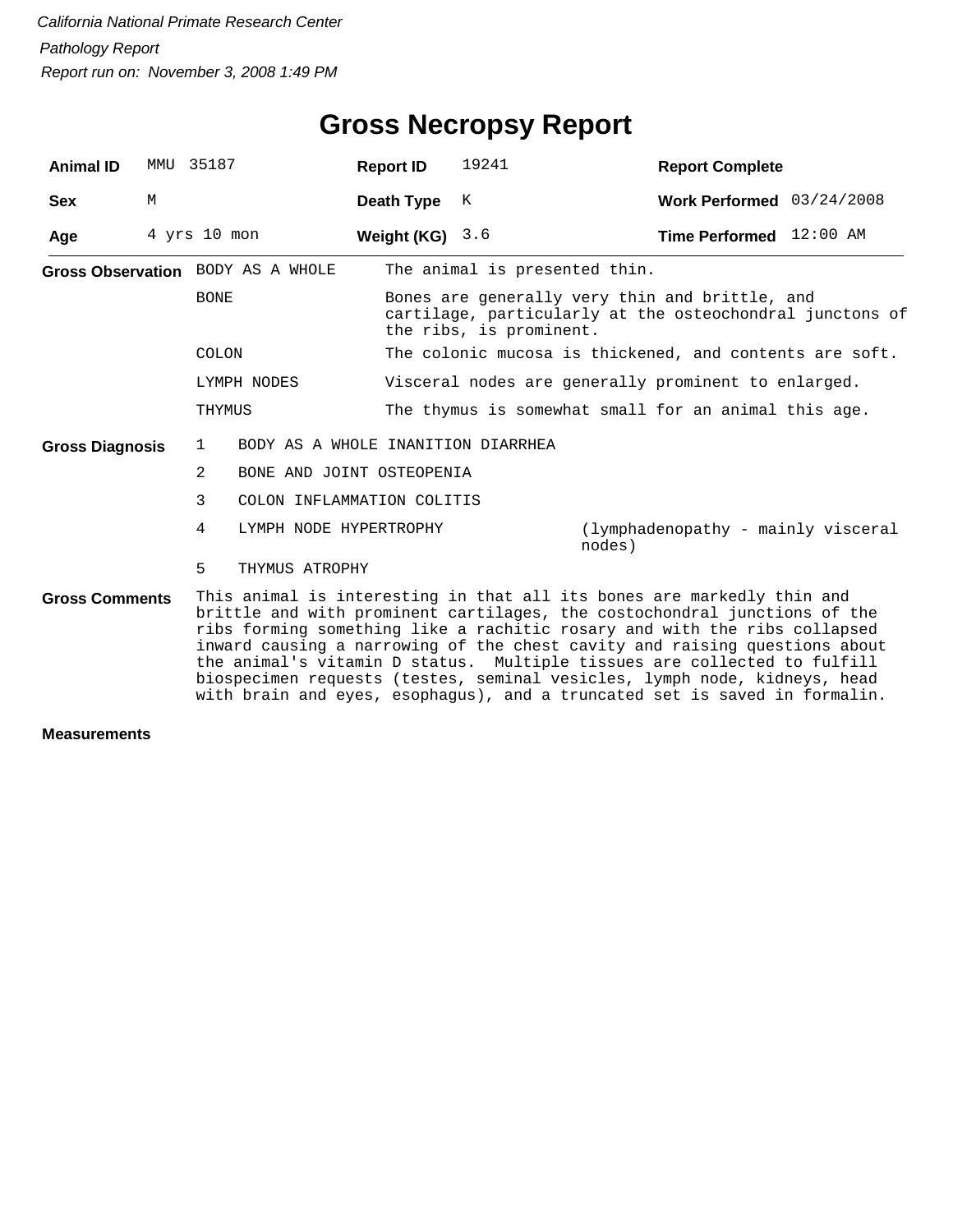| <b>Animal ID</b>                                                                                                                                                                                                                                                                                                                                                                                                                                                                                                                                                               | MMU | 35187                                       | <b>Report ID</b>                                    | 19241                                                                                                                                 | <b>Report Complete</b>                                  |  |  |  |
|--------------------------------------------------------------------------------------------------------------------------------------------------------------------------------------------------------------------------------------------------------------------------------------------------------------------------------------------------------------------------------------------------------------------------------------------------------------------------------------------------------------------------------------------------------------------------------|-----|---------------------------------------------|-----------------------------------------------------|---------------------------------------------------------------------------------------------------------------------------------------|---------------------------------------------------------|--|--|--|
| <b>Sex</b>                                                                                                                                                                                                                                                                                                                                                                                                                                                                                                                                                                     | М   |                                             | Death Type                                          | K                                                                                                                                     | Work Performed $03/24/2008$                             |  |  |  |
| Age                                                                                                                                                                                                                                                                                                                                                                                                                                                                                                                                                                            |     | 4 yrs 10 mon                                | Weight (KG) $3.6$                                   |                                                                                                                                       | Time Performed 12:00 AM                                 |  |  |  |
|                                                                                                                                                                                                                                                                                                                                                                                                                                                                                                                                                                                |     | Gross Observation BODY AS A WHOLE           |                                                     | The animal is presented thin.                                                                                                         |                                                         |  |  |  |
|                                                                                                                                                                                                                                                                                                                                                                                                                                                                                                                                                                                |     | <b>BONE</b>                                 |                                                     | Bones are generally very thin and brittle, and<br>cartilage, particularly at the osteochondral junctons of<br>the ribs, is prominent. |                                                         |  |  |  |
|                                                                                                                                                                                                                                                                                                                                                                                                                                                                                                                                                                                |     | COLON                                       |                                                     |                                                                                                                                       | The colonic mucosa is thickened, and contents are soft. |  |  |  |
|                                                                                                                                                                                                                                                                                                                                                                                                                                                                                                                                                                                |     | LYMPH NODES                                 | Visceral nodes are generally prominent to enlarged. |                                                                                                                                       |                                                         |  |  |  |
|                                                                                                                                                                                                                                                                                                                                                                                                                                                                                                                                                                                |     | THYMUS                                      |                                                     |                                                                                                                                       | The thymus is somewhat small for an animal this age.    |  |  |  |
| <b>Gross Diagnosis</b>                                                                                                                                                                                                                                                                                                                                                                                                                                                                                                                                                         |     | 1                                           | BODY AS A WHOLE INANITION DIARRHEA                  |                                                                                                                                       |                                                         |  |  |  |
|                                                                                                                                                                                                                                                                                                                                                                                                                                                                                                                                                                                |     | $\overline{2}$<br>BONE AND JOINT OSTEOPENIA |                                                     |                                                                                                                                       |                                                         |  |  |  |
|                                                                                                                                                                                                                                                                                                                                                                                                                                                                                                                                                                                |     | 3                                           | COLON INFLAMMATION COLITIS                          |                                                                                                                                       |                                                         |  |  |  |
|                                                                                                                                                                                                                                                                                                                                                                                                                                                                                                                                                                                |     | 4                                           | LYMPH NODE HYPERTROPHY                              |                                                                                                                                       | (lymphadenopathy - mainly visceral<br>nodes)            |  |  |  |
|                                                                                                                                                                                                                                                                                                                                                                                                                                                                                                                                                                                |     | 5<br>THYMUS ATROPHY                         |                                                     |                                                                                                                                       |                                                         |  |  |  |
| This animal is interesting in that all its bones are markedly thin and<br><b>Gross Comments</b><br>brittle and with prominent cartilages, the costochondral junctions of the<br>ribs forming something like a rachitic rosary and with the ribs collapsed<br>inward causing a narrowing of the chest cavity and raising questions about<br>the animal's vitamin D status. Multiple tissues are collected to fulfill<br>biospecimen requests (testes, seminal vesicles, lymph node, kidneys, head<br>with brain and eyes, esophagus), and a truncated set is saved in formalin. |     |                                             |                                                     |                                                                                                                                       |                                                         |  |  |  |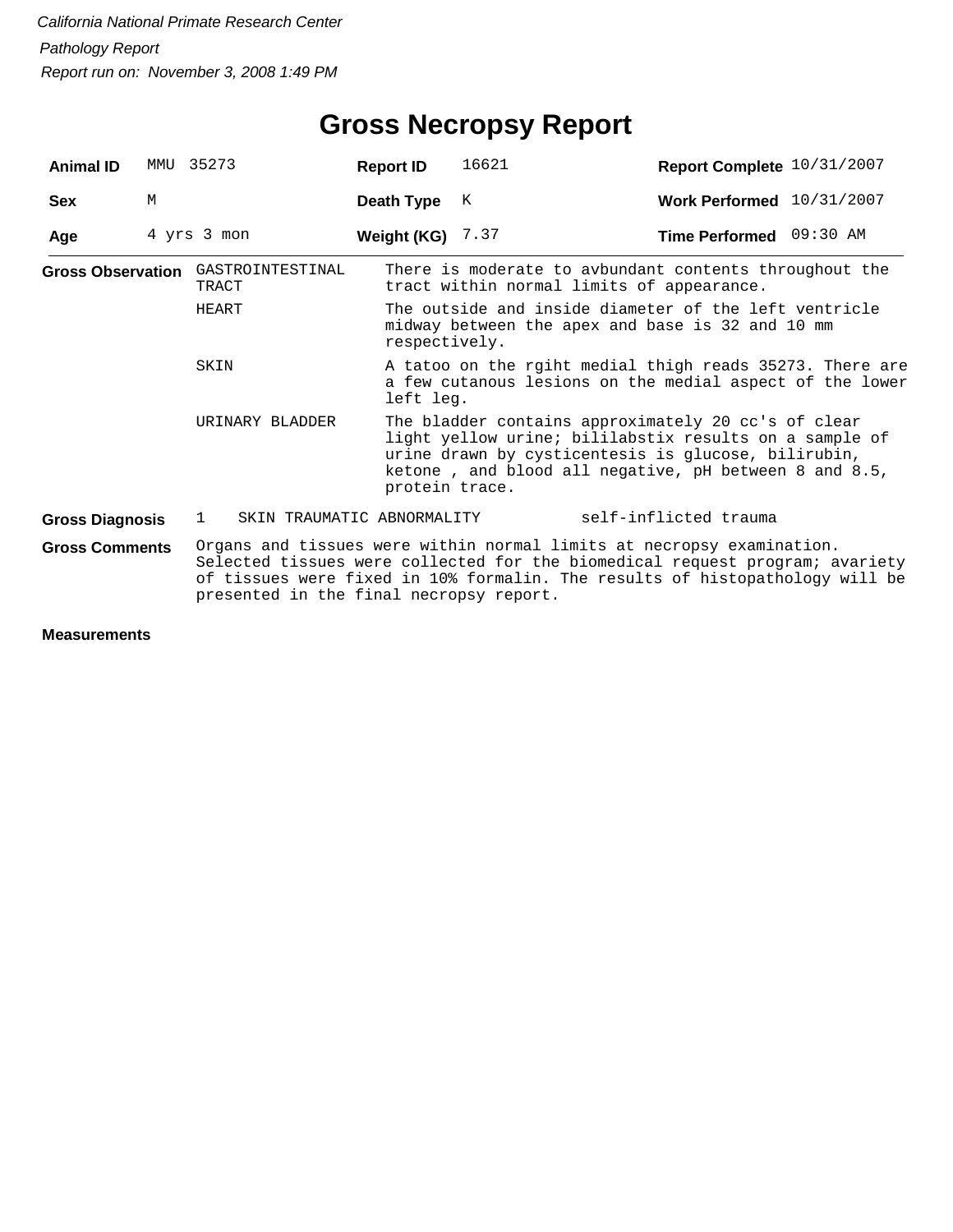| <b>Animal ID</b>       |   | MMU 35273                                                                                                                                 | <b>Report ID</b>                                                                                                                                                                                                                                                                 | 16621                                                                                                                                                                                                                         | Report Complete 10/31/2007 |  |  |  |
|------------------------|---|-------------------------------------------------------------------------------------------------------------------------------------------|----------------------------------------------------------------------------------------------------------------------------------------------------------------------------------------------------------------------------------------------------------------------------------|-------------------------------------------------------------------------------------------------------------------------------------------------------------------------------------------------------------------------------|----------------------------|--|--|--|
| Sex                    | M |                                                                                                                                           | Death Type                                                                                                                                                                                                                                                                       | K                                                                                                                                                                                                                             | Work Performed 10/31/2007  |  |  |  |
| Age                    |   | 4 yrs 3 mon                                                                                                                               | Weight (KG) $7.37$                                                                                                                                                                                                                                                               |                                                                                                                                                                                                                               | Time Performed 09:30 AM    |  |  |  |
|                        |   | <b>Gross Observation</b> GASTROINTESTINAL<br>TRACT                                                                                        |                                                                                                                                                                                                                                                                                  | There is moderate to avbundant contents throughout the<br>tract within normal limits of appearance.                                                                                                                           |                            |  |  |  |
|                        |   | HEART                                                                                                                                     |                                                                                                                                                                                                                                                                                  | The outside and inside diameter of the left ventricle<br>midway between the apex and base is 32 and 10 mm<br>respectively.                                                                                                    |                            |  |  |  |
|                        |   | A tatoo on the rgiht medial thigh reads 35273. There are<br>SKIN<br>a few cutanous lesions on the medial aspect of the lower<br>left leg. |                                                                                                                                                                                                                                                                                  |                                                                                                                                                                                                                               |                            |  |  |  |
|                        |   | URINARY BLADDER                                                                                                                           | protein trace.                                                                                                                                                                                                                                                                   | The bladder contains approximately 20 cc's of clear<br>light yellow urine; bililabstix results on a sample of<br>urine drawn by cysticentesis is glucose, bilirubin,<br>ketone, and blood all negative, pH between 8 and 8.5, |                            |  |  |  |
| <b>Gross Diagnosis</b> |   | SKIN TRAUMATIC ABNORMALITY<br>$\mathbf{1}$                                                                                                |                                                                                                                                                                                                                                                                                  |                                                                                                                                                                                                                               | self-inflicted trauma      |  |  |  |
| <b>Gross Comments</b>  |   |                                                                                                                                           | Organs and tissues were within normal limits at necropsy examination.<br>Selected tissues were collected for the biomedical request program; avariety<br>of tissues were fixed in 10% formalin. The results of histopathology will be<br>presented in the final necropsy report. |                                                                                                                                                                                                                               |                            |  |  |  |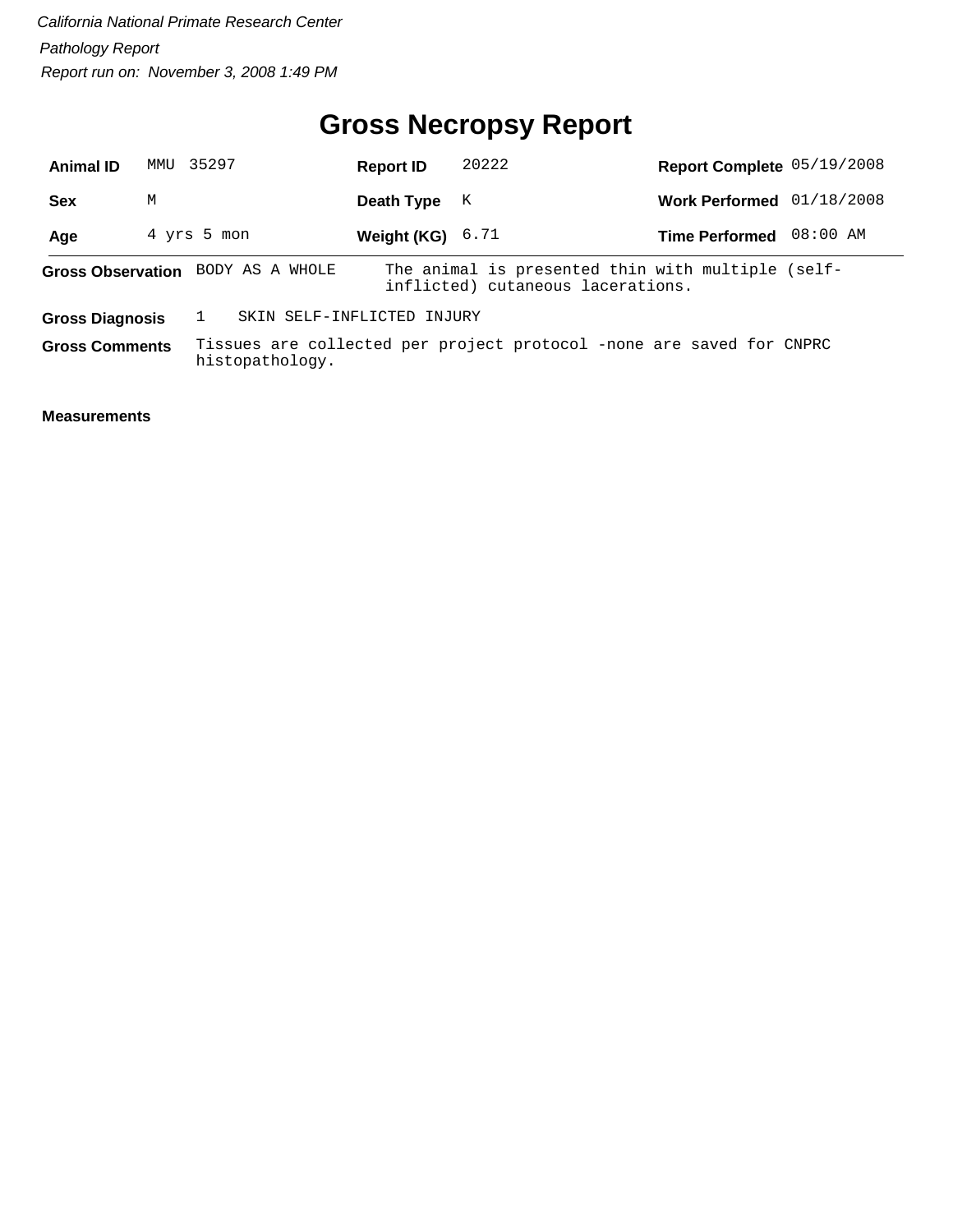# **Gross Necropsy Report**

| <b>Animal ID</b>      |                                                      | MMU 35297   |                                   | <b>Report ID</b>   | 20222                                                                                  | Report Complete 05/19/2008 |          |
|-----------------------|------------------------------------------------------|-------------|-----------------------------------|--------------------|----------------------------------------------------------------------------------------|----------------------------|----------|
| <b>Sex</b>            | M                                                    |             |                                   | Death Type         | K                                                                                      | Work Performed 01/18/2008  |          |
| Age                   |                                                      | 4 yrs 5 mon |                                   | Weight (KG) $6.71$ |                                                                                        | <b>Time Performed</b>      | 08:00 AM |
|                       |                                                      |             | Gross Observation BODY AS A WHOLE |                    | The animal is presented thin with multiple (self-<br>inflicted) cutaneous lacerations. |                            |          |
|                       | SKIN SELF-INFLICTED INJURY<br><b>Gross Diagnosis</b> |             |                                   |                    |                                                                                        |                            |          |
| <b>Gross Comments</b> |                                                      |             | histopathology.                   |                    | Tissues are collected per project protocol -none are saved for CNPRC                   |                            |          |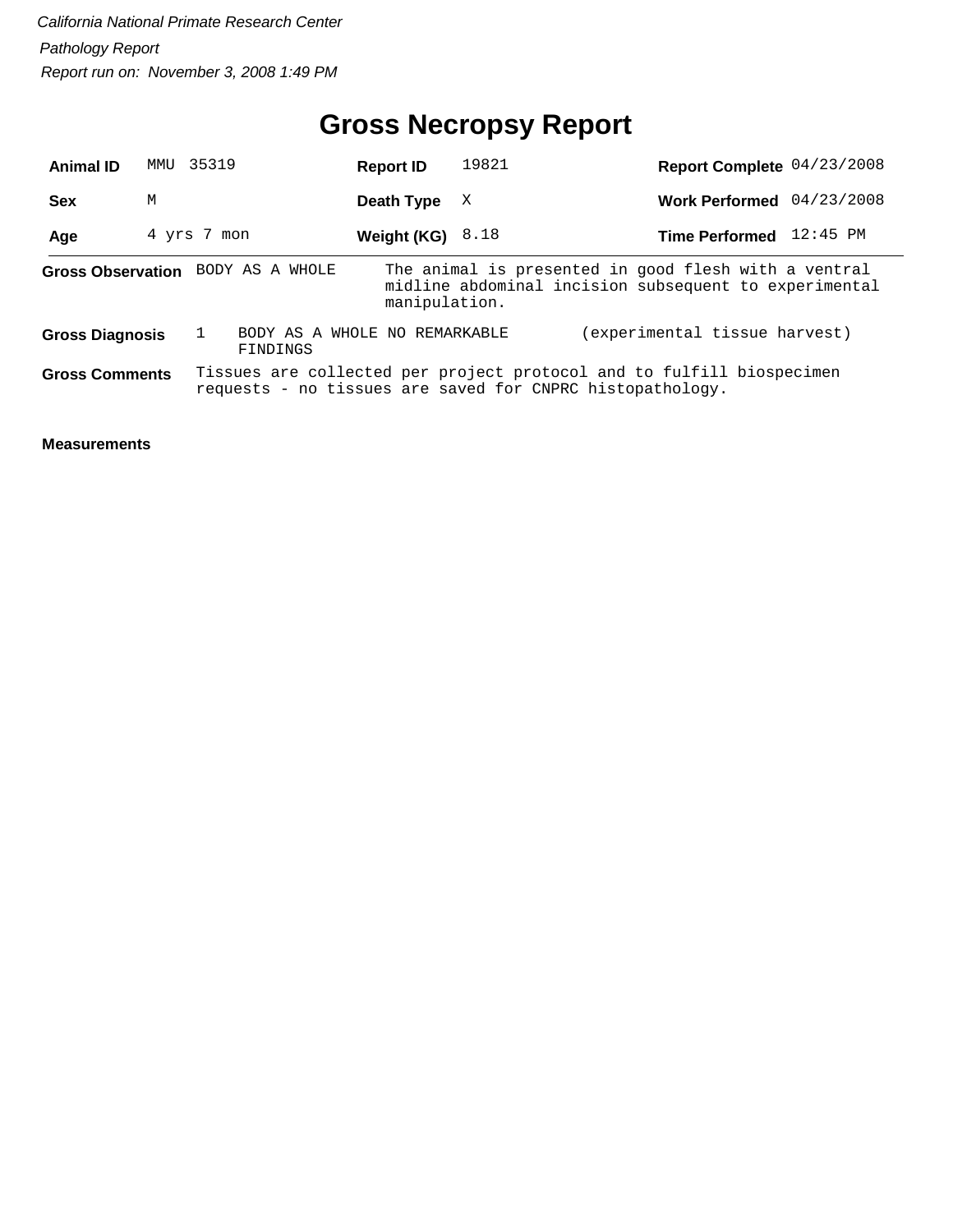# **Gross Necropsy Report**

| <b>Animal ID</b>       | MMU | 35319                             | <b>Report ID</b>              | 19821 | Report Complete 04/23/2008                                                                                                         |            |
|------------------------|-----|-----------------------------------|-------------------------------|-------|------------------------------------------------------------------------------------------------------------------------------------|------------|
| <b>Sex</b>             | M   |                                   | Death Type                    | X     | <b>Work Performed</b>                                                                                                              | 04/23/2008 |
| Age                    |     | 4 yrs 7 mon                       | Weight (KG) $8.18$            |       | <b>Time Performed</b>                                                                                                              | 12:45 PM   |
|                        |     | Gross Observation BODY AS A WHOLE | manipulation.                 |       | The animal is presented in good flesh with a ventral<br>midline abdominal incision subsequent to experimental                      |            |
| <b>Gross Diagnosis</b> |     | FINDINGS                          | BODY AS A WHOLE NO REMARKABLE |       | (experimental tissue harvest)                                                                                                      |            |
| <b>Gross Comments</b>  |     |                                   |                               |       | Tissues are collected per project protocol and to fulfill biospecimen<br>requests - no tissues are saved for CNPRC histopathology. |            |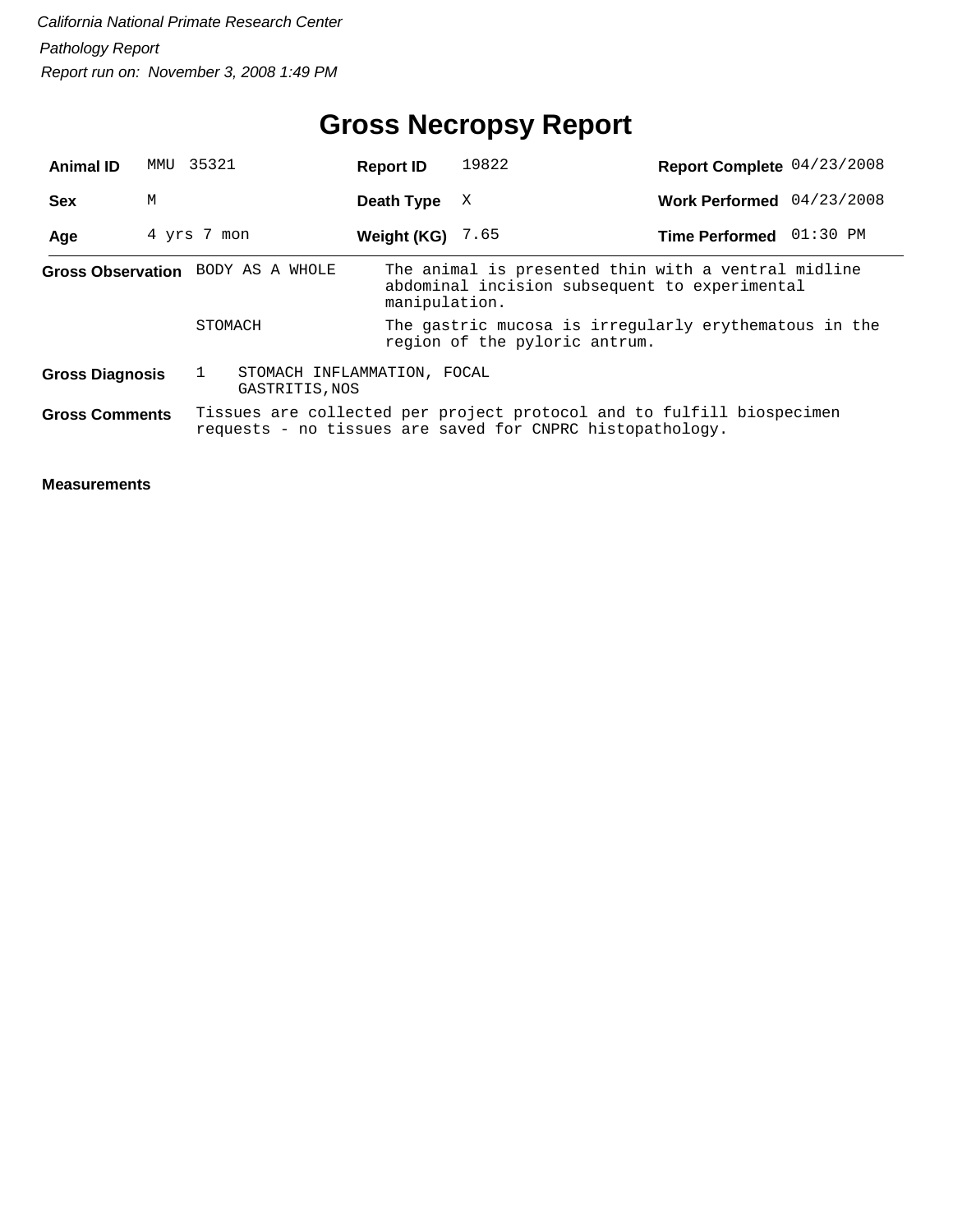# **Gross Necropsy Report**

| <b>Animal ID</b>                  | MMU | 35321                                         |  | <b>Report ID</b>   | 19822                                                                                                                              | Report Complete 04/23/2008 |  |
|-----------------------------------|-----|-----------------------------------------------|--|--------------------|------------------------------------------------------------------------------------------------------------------------------------|----------------------------|--|
| <b>Sex</b>                        | M   |                                               |  | Death Type         | X                                                                                                                                  | Work Performed 04/23/2008  |  |
| Age                               |     | 4 yrs 7 mon                                   |  | Weight (KG) $7.65$ |                                                                                                                                    | Time Performed 01:30 PM    |  |
| Gross Observation BODY AS A WHOLE |     |                                               |  | manipulation.      | The animal is presented thin with a ventral midline<br>abdominal incision subsequent to experimental                               |                            |  |
|                                   |     | STOMACH                                       |  |                    | The gastric mucosa is irregularly erythematous in the<br>region of the pyloric antrum.                                             |                            |  |
| <b>Gross Diagnosis</b>            |     | STOMACH INFLAMMATION, FOCAL<br>GASTRITIS, NOS |  |                    |                                                                                                                                    |                            |  |
| <b>Gross Comments</b>             |     |                                               |  |                    | Tissues are collected per project protocol and to fulfill biospecimen<br>requests - no tissues are saved for CNPRC histopathology. |                            |  |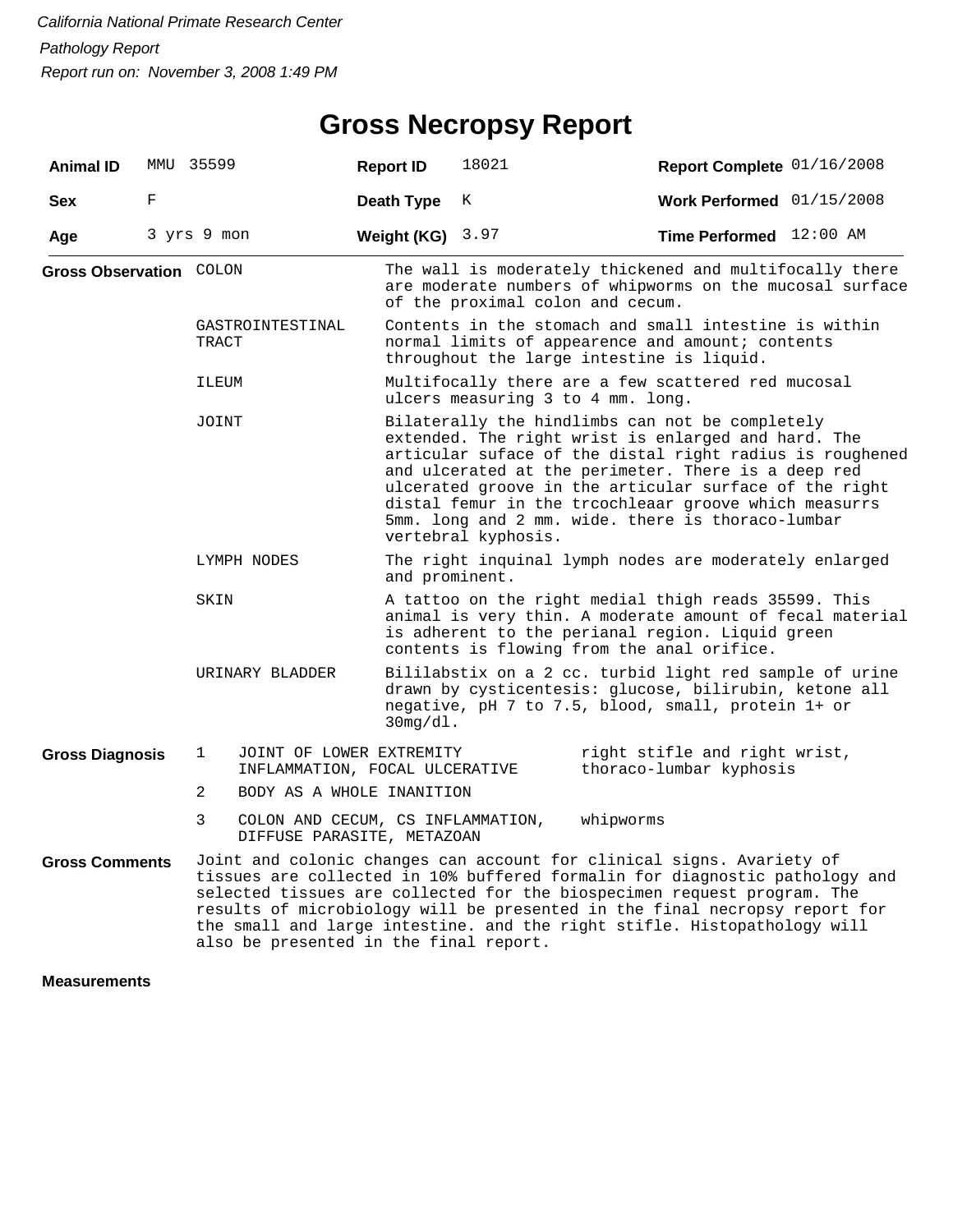### **Gross Necropsy Report**

| <b>Animal ID</b>        |   | MMU 35599                              | <b>Report ID</b>                                                | 18021                                                                                                                                                                                                                                                                                                                                                                                                                    | Report Complete 01/16/2008                                                                                                                                                                                                                                                                                                                                                                |  |
|-------------------------|---|----------------------------------------|-----------------------------------------------------------------|--------------------------------------------------------------------------------------------------------------------------------------------------------------------------------------------------------------------------------------------------------------------------------------------------------------------------------------------------------------------------------------------------------------------------|-------------------------------------------------------------------------------------------------------------------------------------------------------------------------------------------------------------------------------------------------------------------------------------------------------------------------------------------------------------------------------------------|--|
| <b>Sex</b>              | F |                                        | Death Type                                                      | K                                                                                                                                                                                                                                                                                                                                                                                                                        | Work Performed $01/15/2008$                                                                                                                                                                                                                                                                                                                                                               |  |
| Age                     |   | 3 yrs 9 mon                            | Weight (KG) $3.97$                                              |                                                                                                                                                                                                                                                                                                                                                                                                                          | Time Performed 12:00 AM                                                                                                                                                                                                                                                                                                                                                                   |  |
| Gross Observation COLON |   |                                        |                                                                 | of the proximal colon and cecum.                                                                                                                                                                                                                                                                                                                                                                                         | The wall is moderately thickened and multifocally there<br>are moderate numbers of whipworms on the mucosal surface                                                                                                                                                                                                                                                                       |  |
|                         |   | GASTROINTESTINAL<br>TRACT              |                                                                 |                                                                                                                                                                                                                                                                                                                                                                                                                          | Contents in the stomach and small intestine is within<br>normal limits of appearence and amount; contents<br>throughout the large intestine is liquid.                                                                                                                                                                                                                                    |  |
|                         |   | ILEUM                                  |                                                                 | ulcers measuring 3 to 4 mm. long.                                                                                                                                                                                                                                                                                                                                                                                        | Multifocally there are a few scattered red mucosal                                                                                                                                                                                                                                                                                                                                        |  |
|                         |   | JOINT                                  |                                                                 | Bilaterally the hindlimbs can not be completely<br>extended. The right wrist is enlarged and hard. The<br>articular suface of the distal right radius is roughened<br>and ulcerated at the perimeter. There is a deep red<br>ulcerated groove in the articular surface of the right<br>distal femur in the troochleaar groove which measurrs<br>5mm. long and 2 mm. wide. there is thoraco-lumbar<br>vertebral kyphosis. |                                                                                                                                                                                                                                                                                                                                                                                           |  |
|                         |   | LYMPH NODES                            | and prominent.                                                  |                                                                                                                                                                                                                                                                                                                                                                                                                          | The right inquinal lymph nodes are moderately enlarged                                                                                                                                                                                                                                                                                                                                    |  |
|                         |   | SKIN                                   |                                                                 |                                                                                                                                                                                                                                                                                                                                                                                                                          | A tattoo on the right medial thigh reads 35599. This<br>animal is very thin. A moderate amount of fecal material<br>is adherent to the perianal region. Liquid green<br>contents is flowing from the anal orifice.                                                                                                                                                                        |  |
|                         |   | URINARY BLADDER                        | $30mg/d1$ .                                                     |                                                                                                                                                                                                                                                                                                                                                                                                                          | Bililabstix on a 2 cc. turbid light red sample of urine<br>drawn by cysticentesis: glucose, bilirubin, ketone all<br>negative, pH 7 to 7.5, blood, small, protein 1+ or                                                                                                                                                                                                                   |  |
| <b>Gross Diagnosis</b>  |   | $\mathbf 1$                            | JOINT OF LOWER EXTREMITY<br>INFLAMMATION, FOCAL ULCERATIVE      |                                                                                                                                                                                                                                                                                                                                                                                                                          | right stifle and right wrist,<br>thoraco-lumbar kyphosis                                                                                                                                                                                                                                                                                                                                  |  |
|                         |   | $\overline{2}$                         | BODY AS A WHOLE INANITION                                       |                                                                                                                                                                                                                                                                                                                                                                                                                          |                                                                                                                                                                                                                                                                                                                                                                                           |  |
|                         |   | 3                                      | COLON AND CECUM, CS INFLAMMATION,<br>DIFFUSE PARASITE, METAZOAN |                                                                                                                                                                                                                                                                                                                                                                                                                          | whipworms                                                                                                                                                                                                                                                                                                                                                                                 |  |
| <b>Gross Comments</b>   |   | also be presented in the final report. |                                                                 |                                                                                                                                                                                                                                                                                                                                                                                                                          | Joint and colonic changes can account for clinical signs. Avariety of<br>tissues are collected in 10% buffered formalin for diagnostic pathology and<br>selected tissues are collected for the biospecimen request program. The<br>results of microbiology will be presented in the final necropsy report for<br>the small and large intestine. and the right stifle. Histopathology will |  |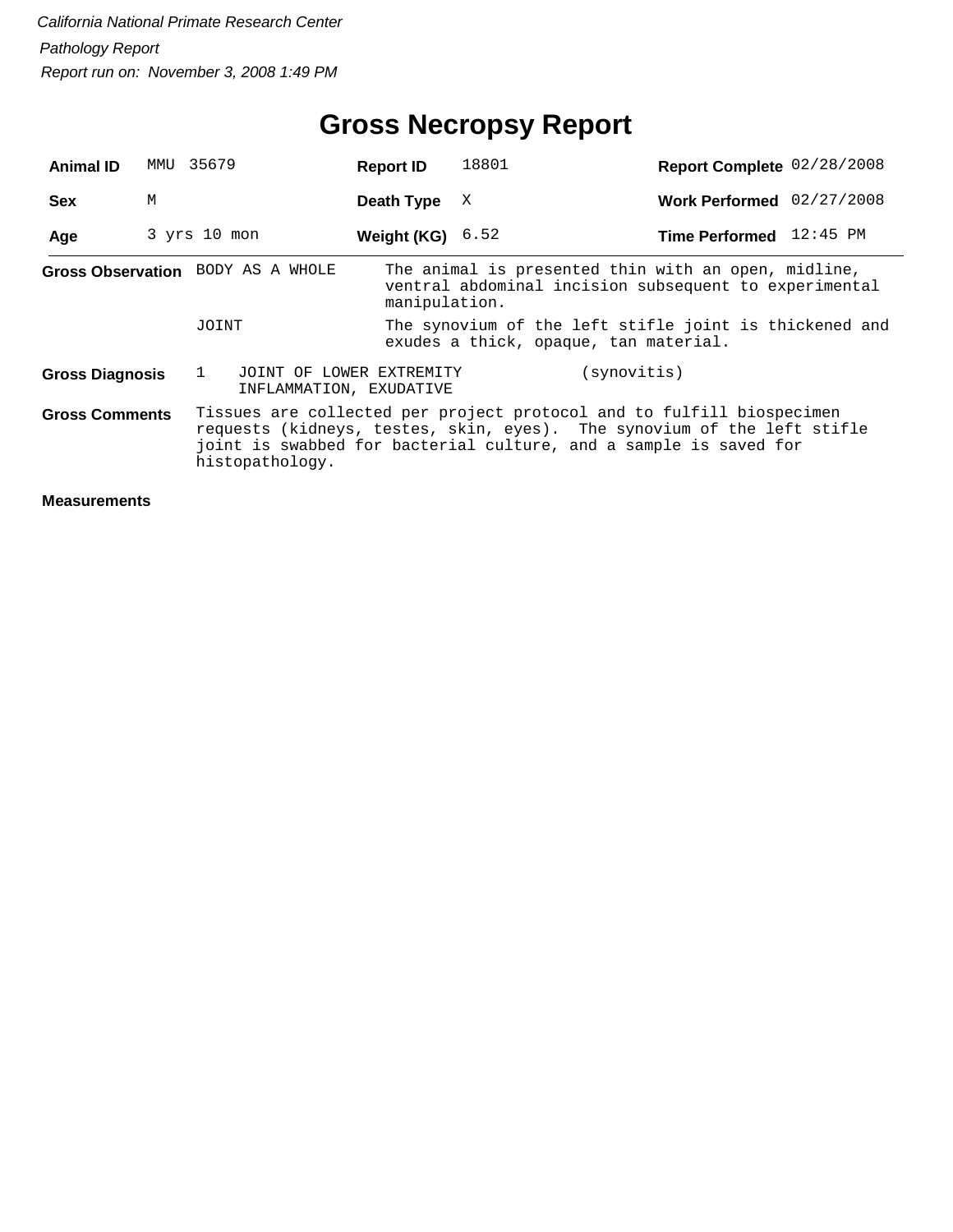| <b>Animal ID</b>                                                                                                                                                                                                                                                  | MMU                                                                                                          | 35679                             | <b>Report ID</b>          | 18801                                 | Report Complete 02/28/2008                                                                                   |
|-------------------------------------------------------------------------------------------------------------------------------------------------------------------------------------------------------------------------------------------------------------------|--------------------------------------------------------------------------------------------------------------|-----------------------------------|---------------------------|---------------------------------------|--------------------------------------------------------------------------------------------------------------|
| <b>Sex</b>                                                                                                                                                                                                                                                        | M                                                                                                            |                                   | Death Type                | X                                     | Work Performed 02/27/2008                                                                                    |
| Age                                                                                                                                                                                                                                                               |                                                                                                              | $3$ yrs $10$ mon                  | <b>Weight (KG)</b> $6.52$ |                                       | Time Performed 12:45 PM                                                                                      |
|                                                                                                                                                                                                                                                                   |                                                                                                              | Gross Observation BODY AS A WHOLE | manipulation.             |                                       | The animal is presented thin with an open, midline,<br>ventral abdominal incision subsequent to experimental |
|                                                                                                                                                                                                                                                                   |                                                                                                              | JOINT                             |                           | exudes a thick, opaque, tan material. | The synovium of the left stifle joint is thickened and                                                       |
|                                                                                                                                                                                                                                                                   | (synovitis)<br><b>Gross Diagnosis</b><br>JOINT OF LOWER EXTREMITY<br>$\mathbf{1}$<br>INFLAMMATION, EXUDATIVE |                                   |                           |                                       |                                                                                                              |
| Tissues are collected per project protocol and to fulfill biospecimen<br><b>Gross Comments</b><br>requests (kidneys, testes, skin, eyes). The synovium of the left stifle<br>joint is swabbed for bacterial culture, and a sample is saved for<br>histopathology. |                                                                                                              |                                   |                           |                                       |                                                                                                              |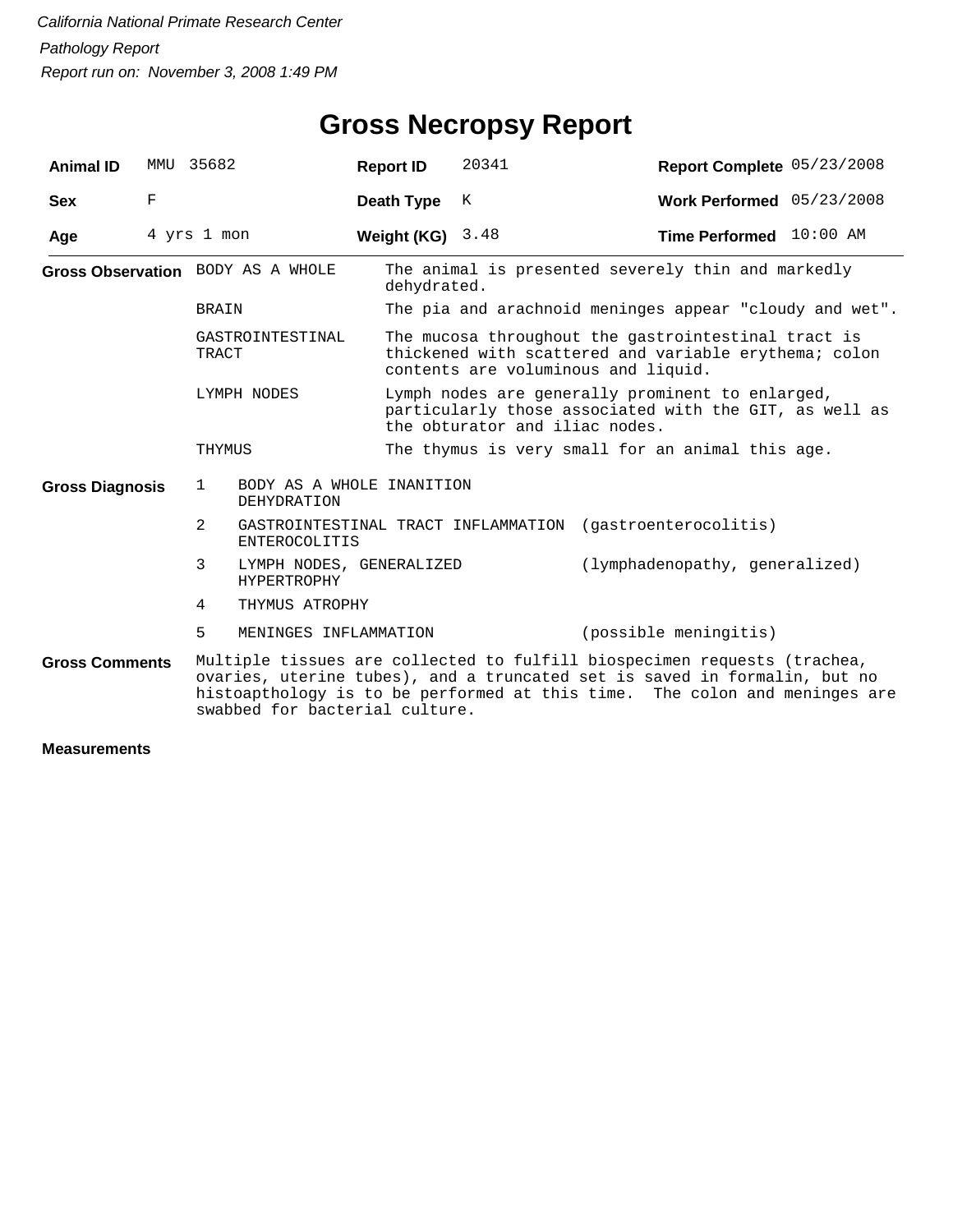| <b>Animal ID</b>          |                                                                                                                                                                                                                                                                       | MMU 35682                                                | <b>Report ID</b>                                                                                                                             | 20341                                                                                                                                               | Report Complete 05/23/2008                                |  |  |  |
|---------------------------|-----------------------------------------------------------------------------------------------------------------------------------------------------------------------------------------------------------------------------------------------------------------------|----------------------------------------------------------|----------------------------------------------------------------------------------------------------------------------------------------------|-----------------------------------------------------------------------------------------------------------------------------------------------------|-----------------------------------------------------------|--|--|--|
| <b>Sex</b>                | $\mathbf F$                                                                                                                                                                                                                                                           |                                                          | Death Type                                                                                                                                   | К                                                                                                                                                   | Work Performed $05/23/2008$                               |  |  |  |
| Age                       |                                                                                                                                                                                                                                                                       | 4 yrs 1 mon                                              | Weight (KG) $3.48$                                                                                                                           |                                                                                                                                                     | Time Performed 10:00 AM                                   |  |  |  |
|                           |                                                                                                                                                                                                                                                                       | Gross Observation BODY AS A WHOLE                        | dehydrated.                                                                                                                                  |                                                                                                                                                     | The animal is presented severely thin and markedly        |  |  |  |
|                           |                                                                                                                                                                                                                                                                       | BRAIN                                                    |                                                                                                                                              | The pia and arachnoid meninges appear "cloudy and wet".                                                                                             |                                                           |  |  |  |
| GASTROINTESTINAL<br>TRACT |                                                                                                                                                                                                                                                                       |                                                          |                                                                                                                                              | The mucosa throughout the gastrointestinal tract is<br>thickened with scattered and variable erythema; colon<br>contents are voluminous and liquid. |                                                           |  |  |  |
| LYMPH NODES               |                                                                                                                                                                                                                                                                       |                                                          | Lymph nodes are generally prominent to enlarged,<br>particularly those associated with the GIT, as well as<br>the obturator and iliac nodes. |                                                                                                                                                     |                                                           |  |  |  |
|                           |                                                                                                                                                                                                                                                                       | THYMUS                                                   |                                                                                                                                              | The thymus is very small for an animal this age.                                                                                                    |                                                           |  |  |  |
| <b>Gross Diagnosis</b>    |                                                                                                                                                                                                                                                                       | BODY AS A WHOLE INANITION<br>$\mathbf{1}$<br>DEHYDRATION |                                                                                                                                              |                                                                                                                                                     |                                                           |  |  |  |
|                           |                                                                                                                                                                                                                                                                       | $\overline{2}$<br><b>ENTEROCOLITIS</b>                   |                                                                                                                                              |                                                                                                                                                     | GASTROINTESTINAL TRACT INFLAMMATION (gastroenterocolitis) |  |  |  |
|                           |                                                                                                                                                                                                                                                                       | 3<br>LYMPH NODES, GENERALIZED<br>HYPERTROPHY             |                                                                                                                                              |                                                                                                                                                     | (lymphadenopathy, generalized)                            |  |  |  |
|                           |                                                                                                                                                                                                                                                                       | 4<br>THYMUS ATROPHY                                      |                                                                                                                                              |                                                                                                                                                     |                                                           |  |  |  |
|                           |                                                                                                                                                                                                                                                                       | 5<br>MENINGES INFLAMMATION                               |                                                                                                                                              |                                                                                                                                                     | (possible meningitis)                                     |  |  |  |
| <b>Gross Comments</b>     | Multiple tissues are collected to fulfill biospecimen requests (trachea,<br>ovaries, uterine tubes), and a truncated set is saved in formalin, but no<br>histoapthology is to be performed at this time. The colon and meninges are<br>swabbed for bacterial culture. |                                                          |                                                                                                                                              |                                                                                                                                                     |                                                           |  |  |  |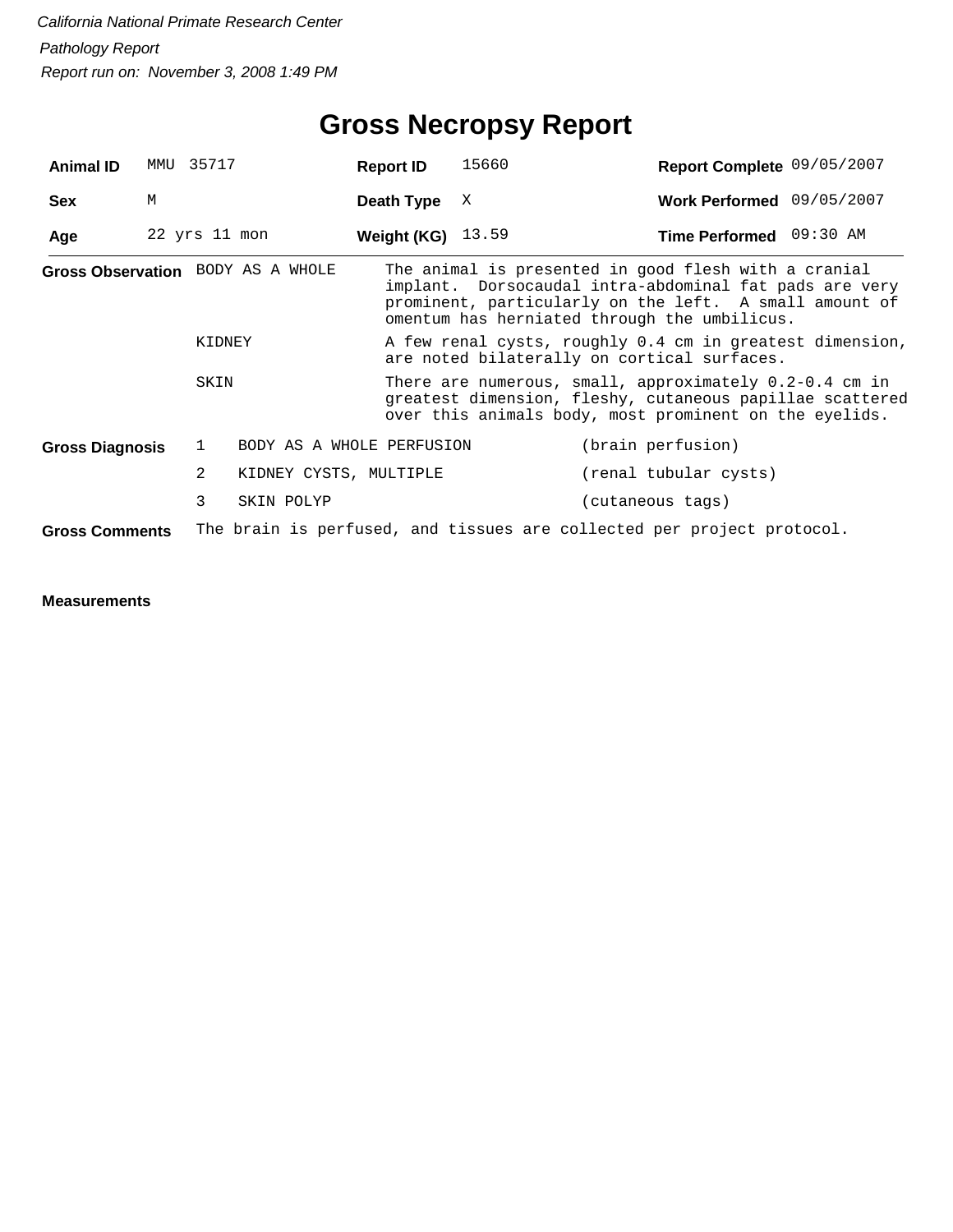# **Gross Necropsy Report**

| <b>Animal ID</b>       | MMU | 35717             |                                   | <b>Report ID</b>    | 15660                                                                                                                                                                          | Report Complete 09/05/2007                                                                                                                                                                                               |  |
|------------------------|-----|-------------------|-----------------------------------|---------------------|--------------------------------------------------------------------------------------------------------------------------------------------------------------------------------|--------------------------------------------------------------------------------------------------------------------------------------------------------------------------------------------------------------------------|--|
| <b>Sex</b>             | M   |                   |                                   | Death Type          | X                                                                                                                                                                              | Work Performed 09/05/2007                                                                                                                                                                                                |  |
| Age                    |     | $22$ yrs $11$ mon |                                   | Weight (KG) $13.59$ |                                                                                                                                                                                | Time Performed 09:30 AM                                                                                                                                                                                                  |  |
|                        |     |                   | Gross Observation BODY AS A WHOLE |                     |                                                                                                                                                                                | The animal is presented in good flesh with a cranial<br>implant. Dorsocaudal intra-abdominal fat pads are very<br>prominent, particularly on the left. A small amount of<br>omentum has herniated through the umbilicus. |  |
|                        |     | KIDNEY            |                                   |                     |                                                                                                                                                                                | A few renal cysts, roughly 0.4 cm in greatest dimension,<br>are noted bilaterally on cortical surfaces.                                                                                                                  |  |
|                        |     | SKIN              |                                   |                     | There are numerous, small, approximately $0.2-0.4$ cm in<br>greatest dimension, fleshy, cutaneous papillae scattered<br>over this animals body, most prominent on the eyelids. |                                                                                                                                                                                                                          |  |
| <b>Gross Diagnosis</b> |     | 1                 | BODY AS A WHOLE PERFUSION         |                     |                                                                                                                                                                                | (brain perfusion)                                                                                                                                                                                                        |  |
|                        |     | $\overline{2}$    | KIDNEY CYSTS, MULTIPLE            |                     |                                                                                                                                                                                | (renal tubular cysts)                                                                                                                                                                                                    |  |
|                        |     | 3                 | SKIN POLYP                        |                     |                                                                                                                                                                                | (cutaneous tags)                                                                                                                                                                                                         |  |
| <b>Gross Comments</b>  |     |                   |                                   |                     |                                                                                                                                                                                | The brain is perfused, and tissues are collected per project protocol.                                                                                                                                                   |  |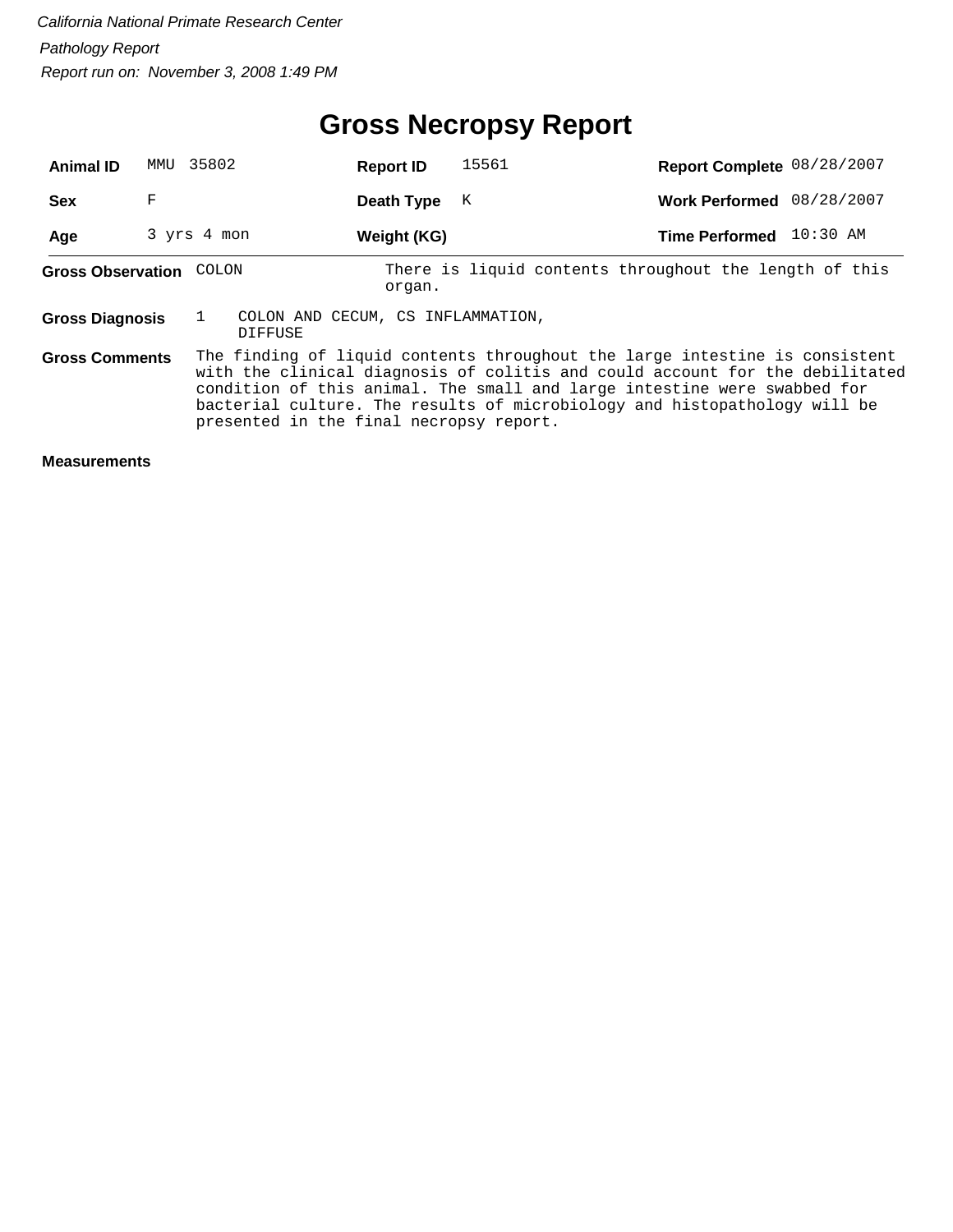# **Gross Necropsy Report**

| <b>Animal ID</b>         | MMU | 35802                                   | <b>Report ID</b>                  | 15561 | Report Complete 08/28/2007                                                                                                                                                                                                                                                                                           |            |
|--------------------------|-----|-----------------------------------------|-----------------------------------|-------|----------------------------------------------------------------------------------------------------------------------------------------------------------------------------------------------------------------------------------------------------------------------------------------------------------------------|------------|
| <b>Sex</b>               | F   |                                         | Death Type                        | K     | <b>Work Performed</b>                                                                                                                                                                                                                                                                                                | 08/28/2007 |
| Age                      |     | 3 yrs 4 mon                             | Weight (KG)                       |       | Time Performed 10:30 AM                                                                                                                                                                                                                                                                                              |            |
| <b>Gross Observation</b> |     | COLON                                   | organ.                            |       | There is liquid contents throughout the length of this                                                                                                                                                                                                                                                               |            |
| <b>Gross Diagnosis</b>   |     | DIFFUSE                                 | COLON AND CECUM, CS INFLAMMATION, |       |                                                                                                                                                                                                                                                                                                                      |            |
| <b>Gross Comments</b>    |     | presented in the final necropsy report. |                                   |       | The finding of liquid contents throughout the large intestine is consistent<br>with the clinical diagnosis of colitis and could account for the debilitated<br>condition of this animal. The small and large intestine were swabbed for<br>bacterial culture. The results of microbiology and histopathology will be |            |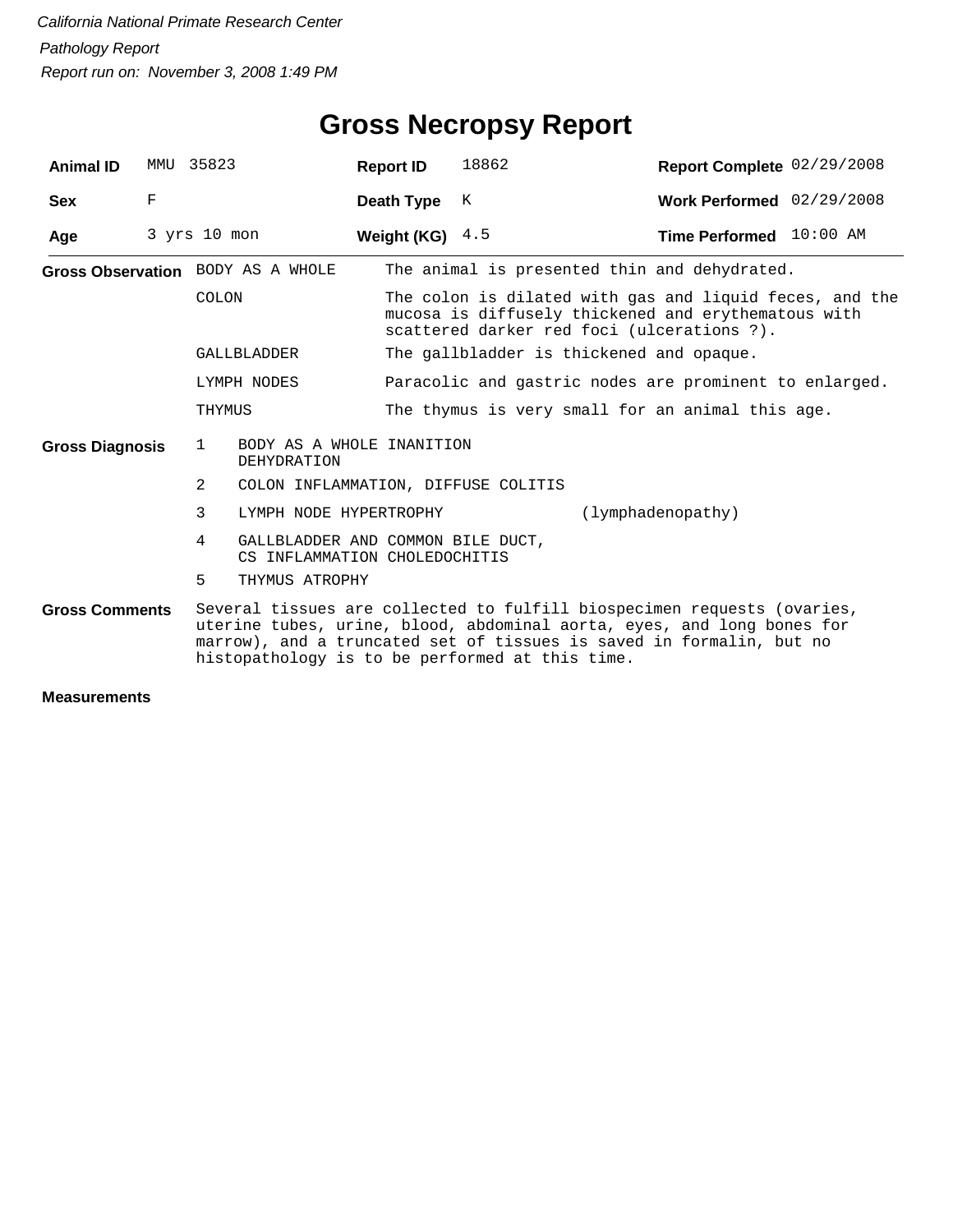| <b>Animal ID</b>       |   | MMU 35823                          | <b>Report ID</b>                                                                                                                                                                                                                                                             | 18862                                                                                                                                                        | Report Complete 02/29/2008 |  |  |  |
|------------------------|---|------------------------------------|------------------------------------------------------------------------------------------------------------------------------------------------------------------------------------------------------------------------------------------------------------------------------|--------------------------------------------------------------------------------------------------------------------------------------------------------------|----------------------------|--|--|--|
| <b>Sex</b>             | F |                                    | Death Type                                                                                                                                                                                                                                                                   | K                                                                                                                                                            | Work Performed 02/29/2008  |  |  |  |
| Age                    |   | $3$ yrs $10$ mon                   | Weight (KG) $4.5$                                                                                                                                                                                                                                                            |                                                                                                                                                              | Time Performed 10:00 AM    |  |  |  |
|                        |   | Gross Observation BODY AS A WHOLE  |                                                                                                                                                                                                                                                                              | The animal is presented thin and dehydrated.                                                                                                                 |                            |  |  |  |
|                        |   | COLON                              |                                                                                                                                                                                                                                                                              | The colon is dilated with gas and liquid feces, and the<br>mucosa is diffusely thickened and erythematous with<br>scattered darker red foci (ulcerations ?). |                            |  |  |  |
|                        |   | GALLBLADDER                        |                                                                                                                                                                                                                                                                              | The gallbladder is thickened and opaque.                                                                                                                     |                            |  |  |  |
|                        |   | LYMPH NODES                        |                                                                                                                                                                                                                                                                              | Paracolic and gastric nodes are prominent to enlarged.                                                                                                       |                            |  |  |  |
|                        |   | THYMUS                             |                                                                                                                                                                                                                                                                              | The thymus is very small for an animal this age.                                                                                                             |                            |  |  |  |
| <b>Gross Diagnosis</b> |   | $\mathbf{1}$<br><b>DEHYDRATION</b> | BODY AS A WHOLE INANITION                                                                                                                                                                                                                                                    |                                                                                                                                                              |                            |  |  |  |
|                        |   | 2                                  |                                                                                                                                                                                                                                                                              | COLON INFLAMMATION, DIFFUSE COLITIS                                                                                                                          |                            |  |  |  |
|                        |   | 3<br>LYMPH NODE HYPERTROPHY        |                                                                                                                                                                                                                                                                              |                                                                                                                                                              | (lymphadenopathy)          |  |  |  |
|                        |   | 4                                  | GALLBLADDER AND COMMON BILE DUCT,<br>CS INFLAMMATION CHOLEDOCHITIS                                                                                                                                                                                                           |                                                                                                                                                              |                            |  |  |  |
|                        |   | 5<br>THYMUS ATROPHY                |                                                                                                                                                                                                                                                                              |                                                                                                                                                              |                            |  |  |  |
| <b>Gross Comments</b>  |   |                                    | Several tissues are collected to fulfill biospecimen requests (ovaries,<br>uterine tubes, urine, blood, abdominal aorta, eyes, and long bones for<br>marrow), and a truncated set of tissues is saved in formalin, but no<br>histopathology is to be performed at this time. |                                                                                                                                                              |                            |  |  |  |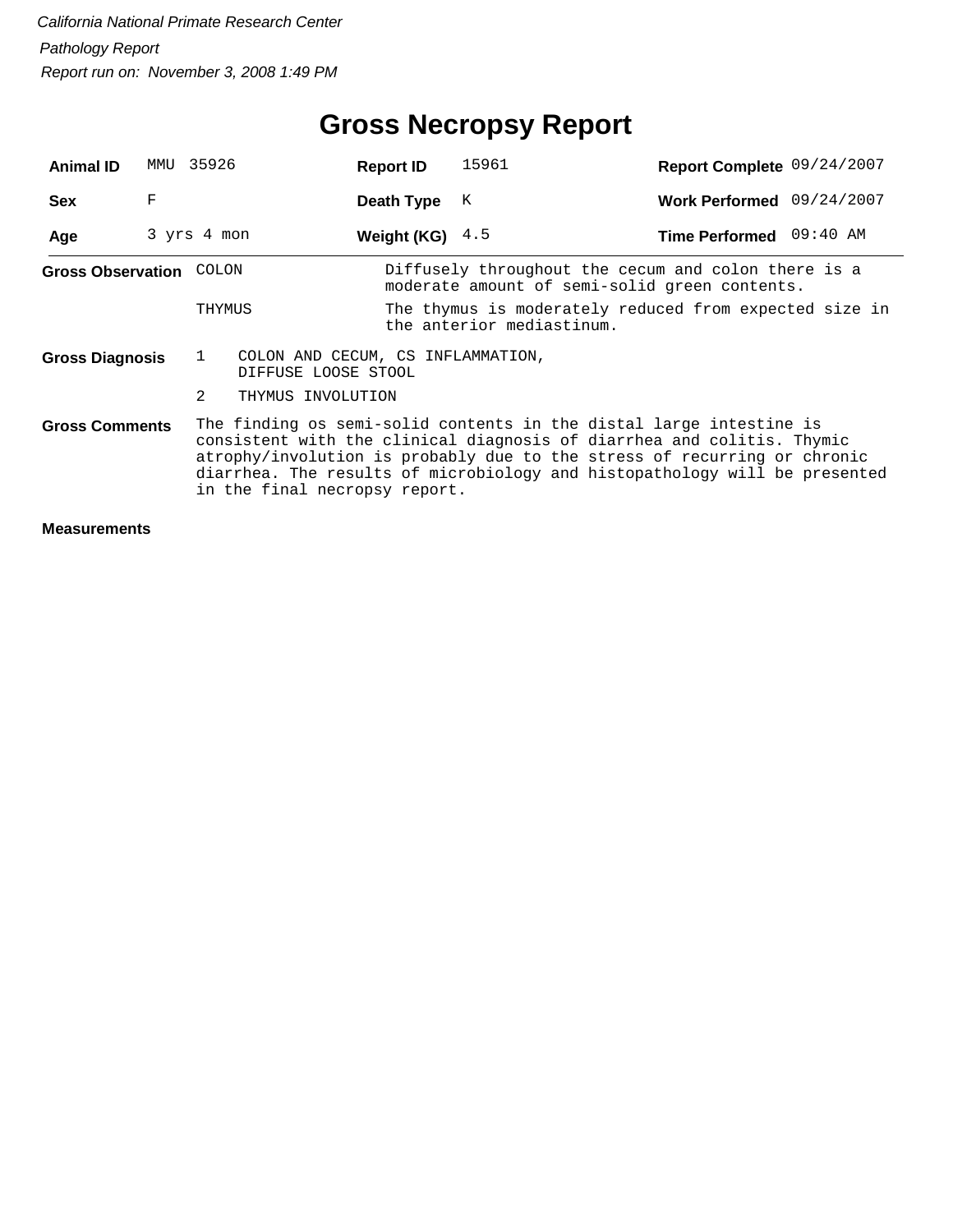# **Gross Necropsy Report**

| <b>Animal ID</b>         | MMU 35926   |                |                                                          | <b>Report ID</b>  | 15961                                                                                                                                                                                                                                                                                                   | Report Complete 09/24/2007 |  |
|--------------------------|-------------|----------------|----------------------------------------------------------|-------------------|---------------------------------------------------------------------------------------------------------------------------------------------------------------------------------------------------------------------------------------------------------------------------------------------------------|----------------------------|--|
| <b>Sex</b>               | F           |                |                                                          | Death Type        | К                                                                                                                                                                                                                                                                                                       | Work Performed 09/24/2007  |  |
| Age                      | 3 yrs 4 mon |                |                                                          | Weight (KG) $4.5$ |                                                                                                                                                                                                                                                                                                         | Time Performed 09:40 AM    |  |
| <b>Gross Observation</b> |             | COLON          |                                                          |                   | Diffusely throughout the cecum and colon there is a<br>moderate amount of semi-solid green contents.                                                                                                                                                                                                    |                            |  |
|                          |             | THYMUS         |                                                          |                   | The thymus is moderately reduced from expected size in<br>the anterior mediastinum.                                                                                                                                                                                                                     |                            |  |
| <b>Gross Diagnosis</b>   |             | $\mathbf{1}$   | COLON AND CECUM, CS INFLAMMATION,<br>DIFFUSE LOOSE STOOL |                   |                                                                                                                                                                                                                                                                                                         |                            |  |
|                          |             | $\mathfrak{D}$ | THYMUS INVOLUTION                                        |                   |                                                                                                                                                                                                                                                                                                         |                            |  |
| <b>Gross Comments</b>    |             |                | in the final necropsy report.                            |                   | The finding os semi-solid contents in the distal large intestine is<br>consistent with the clinical diagnosis of diarrhea and colitis. Thymic<br>atrophy/involution is probably due to the stress of recurring or chronic<br>diarrhea. The results of microbiology and histopathology will be presented |                            |  |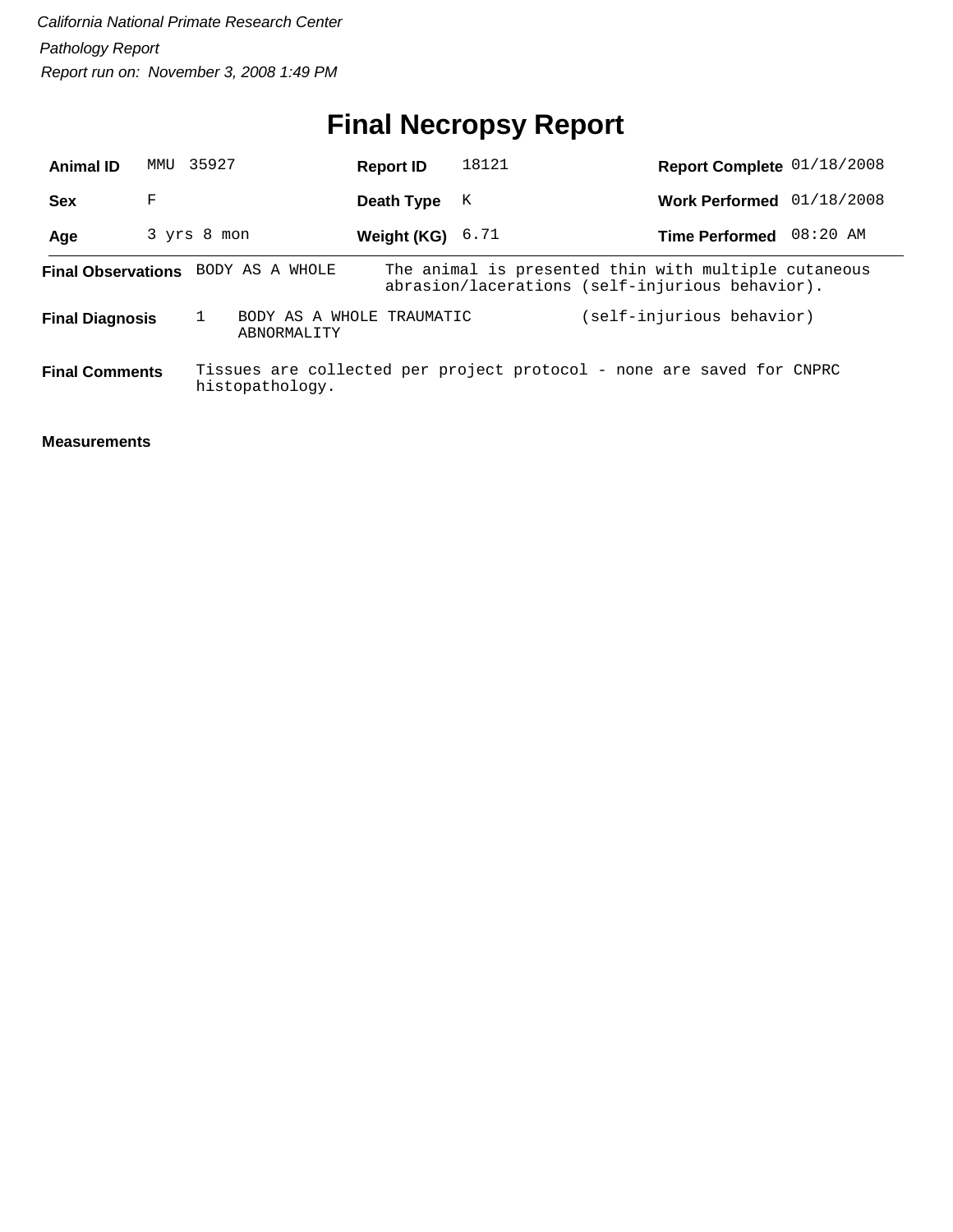# **Final Necropsy Report**

| <b>Animal ID</b>                          | MMTJ        | 35927 |                 | <b>Report ID</b>          | 18121 | Report Complete 01/18/2008                                                                              |            |
|-------------------------------------------|-------------|-------|-----------------|---------------------------|-------|---------------------------------------------------------------------------------------------------------|------------|
| <b>Sex</b>                                | F           |       |                 | Death Type                | K     | <b>Work Performed</b>                                                                                   | 01/18/2008 |
| Age                                       | 3 yrs 8 mon |       |                 | Weight (KG) $6.71$        |       | <b>Time Performed</b>                                                                                   | 08:20 AM   |
| <b>Final Observations</b> BODY AS A WHOLE |             |       |                 |                           |       | The animal is presented thin with multiple cutaneous<br>abrasion/lacerations (self-injurious behavior). |            |
| <b>Final Diagnosis</b>                    |             |       | ABNORMALITY     | BODY AS A WHOLE TRAUMATIC |       | (self-injurious behavior)                                                                               |            |
| <b>Final Comments</b>                     |             |       | histopathology. |                           |       | Tissues are collected per project protocol - none are saved for CNPRC                                   |            |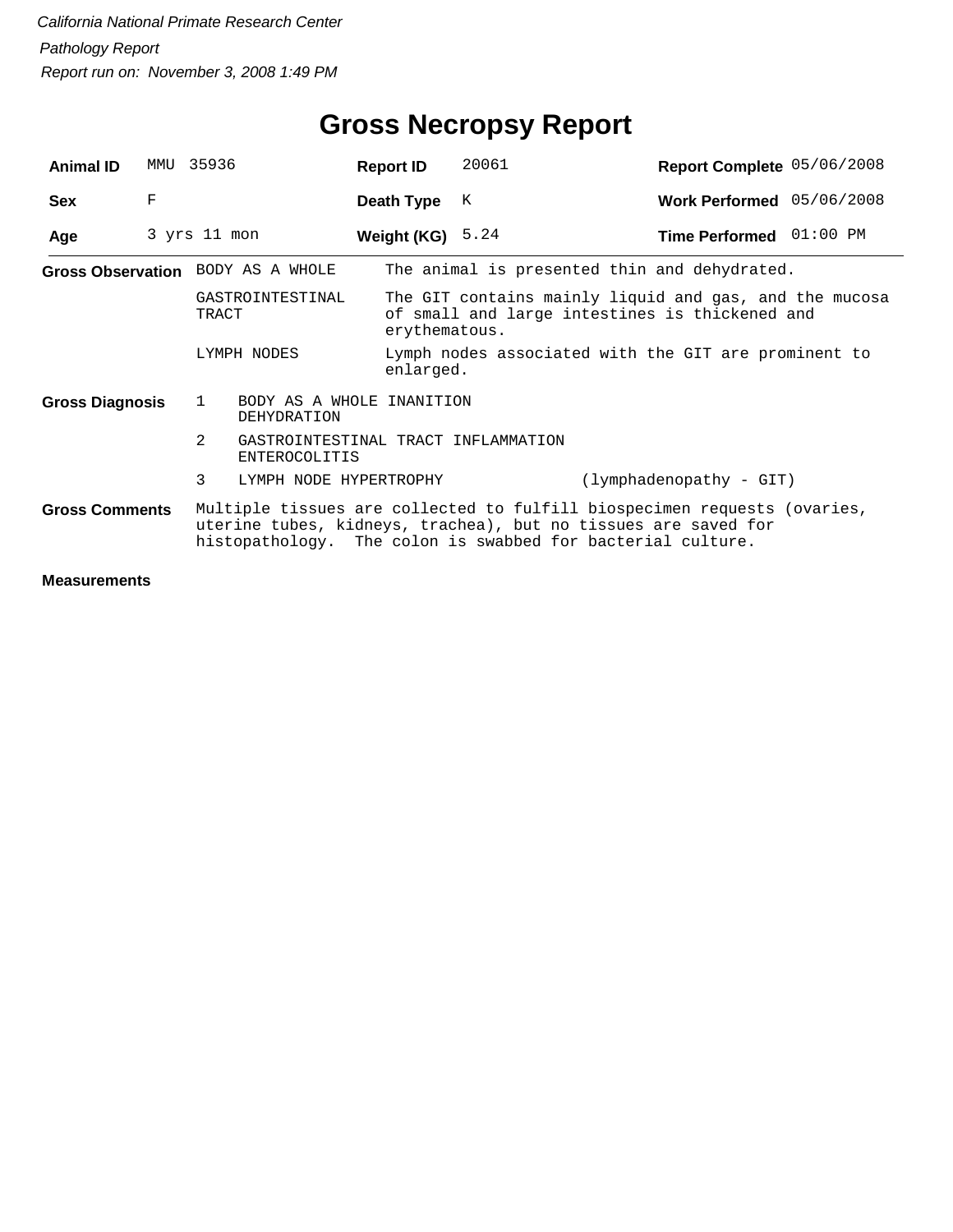| <b>Animal ID</b>       | MMU | 35936                                                                  | <b>Report ID</b>   | 20061                                                                                                                                                                                                     | Report Complete 05/06/2008 |  |
|------------------------|-----|------------------------------------------------------------------------|--------------------|-----------------------------------------------------------------------------------------------------------------------------------------------------------------------------------------------------------|----------------------------|--|
| <b>Sex</b>             | F   |                                                                        | Death Type         | К                                                                                                                                                                                                         | Work Performed 05/06/2008  |  |
| Age                    |     | 3 yrs 11 mon                                                           | Weight (KG) $5.24$ |                                                                                                                                                                                                           | Time Performed 01:00 PM    |  |
|                        |     | Gross Observation BODY AS A WHOLE                                      |                    | The animal is presented thin and dehydrated.                                                                                                                                                              |                            |  |
|                        |     | GASTROINTESTINAL<br>TRACT                                              |                    | The GIT contains mainly liquid and gas, and the mucosa<br>of small and large intestines is thickened and<br>erythematous.                                                                                 |                            |  |
|                        |     | LYMPH NODES                                                            | enlarged.          | Lymph nodes associated with the GIT are prominent to                                                                                                                                                      |                            |  |
| <b>Gross Diagnosis</b> |     | BODY AS A WHOLE INANITION<br>1<br>DEHYDRATION                          |                    |                                                                                                                                                                                                           |                            |  |
|                        |     | $\overline{2}$<br>GASTROINTESTINAL TRACT INFLAMMATION<br>ENTEROCOLITIS |                    |                                                                                                                                                                                                           |                            |  |
|                        |     | 3<br>LYMPH NODE HYPERTROPHY                                            |                    | (lymphadenopathy - GIT)                                                                                                                                                                                   |                            |  |
| <b>Gross Comments</b>  |     |                                                                        |                    | Multiple tissues are collected to fulfill biospecimen requests (ovaries,<br>uterine tubes, kidneys, trachea), but no tissues are saved for<br>histopathology. The colon is swabbed for bacterial culture. |                            |  |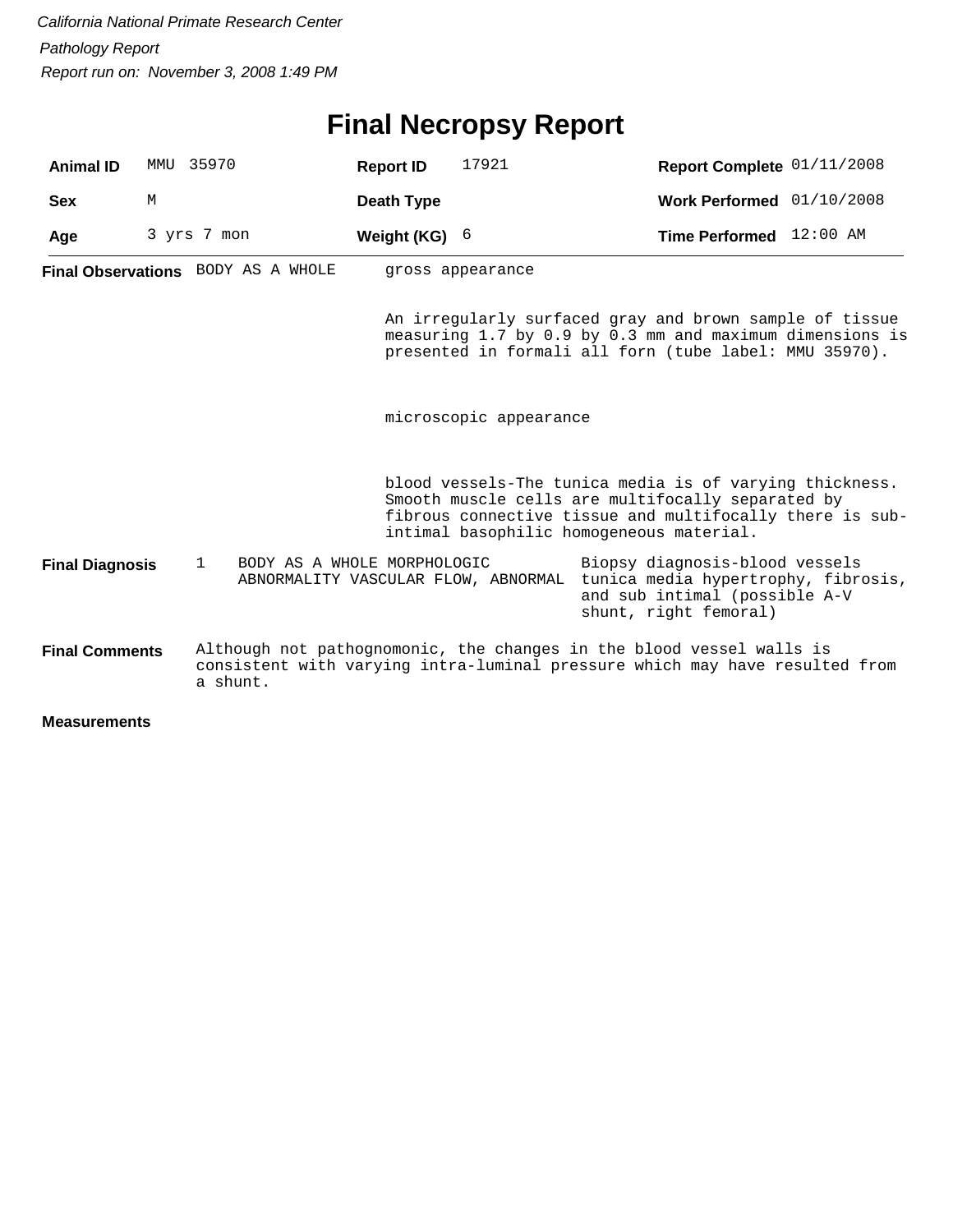# **Final Necropsy Report**

| <b>Animal ID</b>       |   | MMU 35970                                                                          | <b>Report ID</b> | 17921                  | Report Complete 01/11/2008                                                                                                                                                                                           |  |
|------------------------|---|------------------------------------------------------------------------------------|------------------|------------------------|----------------------------------------------------------------------------------------------------------------------------------------------------------------------------------------------------------------------|--|
| <b>Sex</b>             | М |                                                                                    | Death Type       |                        | Work Performed 01/10/2008                                                                                                                                                                                            |  |
| Age                    |   | 3 yrs 7 mon                                                                        | Weight (KG) $6$  |                        | Time Performed 12:00 AM                                                                                                                                                                                              |  |
|                        |   | <b>Final Observations</b> BODY AS A WHOLE                                          |                  | gross appearance       |                                                                                                                                                                                                                      |  |
|                        |   |                                                                                    |                  |                        | An irregularly surfaced gray and brown sample of tissue<br>measuring 1.7 by 0.9 by 0.3 mm and maximum dimensions is<br>presented in formali all forn (tube label: MMU 35970).                                        |  |
|                        |   |                                                                                    |                  | microscopic appearance |                                                                                                                                                                                                                      |  |
|                        |   |                                                                                    |                  |                        | blood vessels-The tunica media is of varying thickness.<br>Smooth muscle cells are multifocally separated by<br>fibrous connective tissue and multifocally there is sub-<br>intimal basophilic homogeneous material. |  |
| <b>Final Diagnosis</b> |   | BODY AS A WHOLE MORPHOLOGIC<br>$\mathbf{1}$<br>ABNORMALITY VASCULAR FLOW, ABNORMAL |                  |                        | Biopsy diagnosis-blood vessels<br>tunica media hypertrophy, fibrosis,<br>and sub intimal (possible A-V<br>shunt, right femoral)                                                                                      |  |
| <b>Final Comments</b>  |   | a shunt.                                                                           |                  |                        | Although not pathognomonic, the changes in the blood vessel walls is<br>consistent with varying intra-luminal pressure which may have resulted from                                                                  |  |
| <b>Measurements</b>    |   |                                                                                    |                  |                        |                                                                                                                                                                                                                      |  |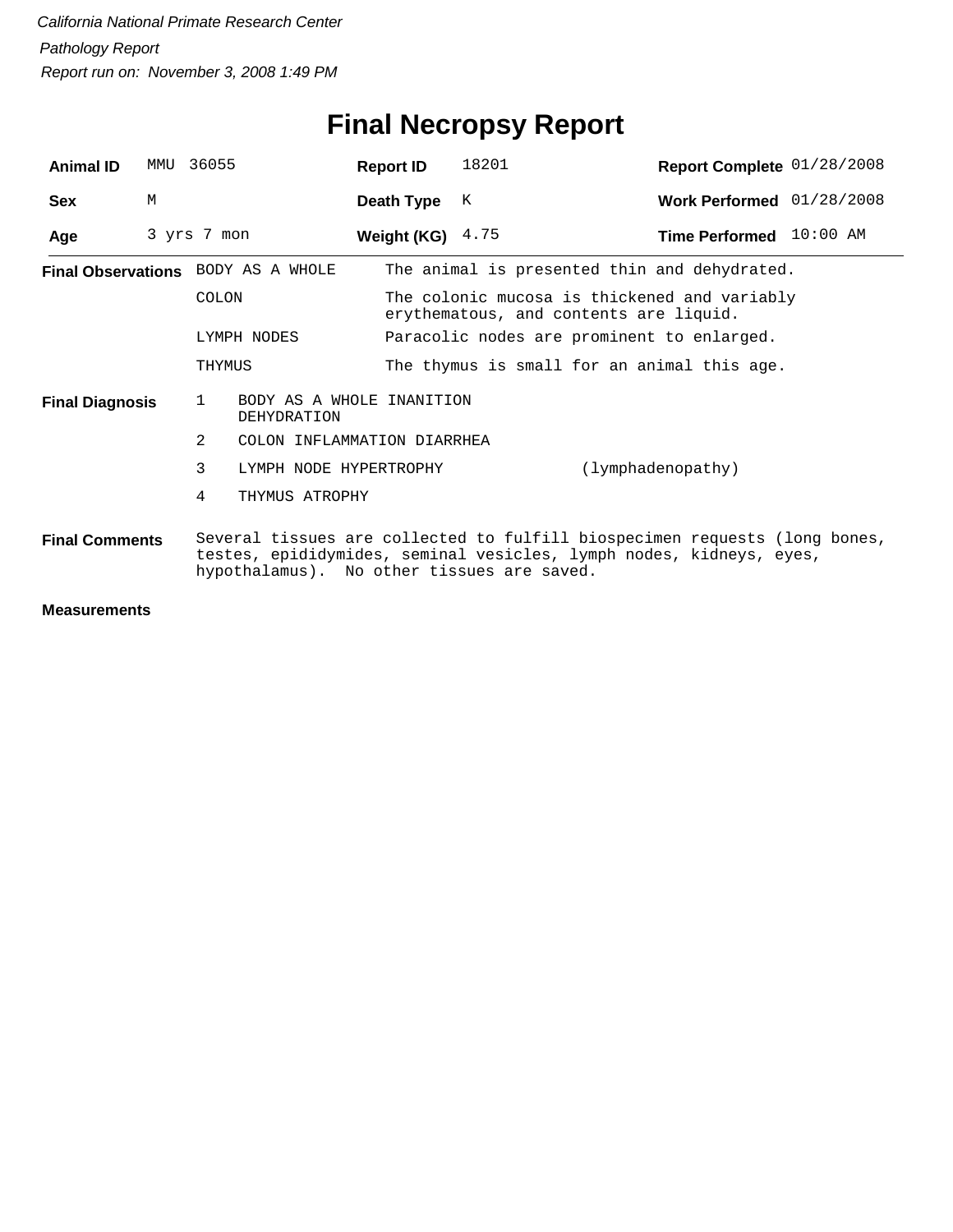# **Final Necropsy Report**

| <b>Animal ID</b>       | MMTJ | 36055        |                                             | <b>Report ID</b>   | 18201                                                                                  | Report Complete 01/28/2008                                                                                                                        |  |  |  |
|------------------------|------|--------------|---------------------------------------------|--------------------|----------------------------------------------------------------------------------------|---------------------------------------------------------------------------------------------------------------------------------------------------|--|--|--|
| <b>Sex</b>             | M    |              |                                             | Death Type         | K                                                                                      | Work Performed 01/28/2008                                                                                                                         |  |  |  |
| Age                    |      | 3 yrs 7 mon  |                                             | Weight (KG) $4.75$ |                                                                                        | Time Performed 10:00 AM                                                                                                                           |  |  |  |
|                        |      |              | <b>Final Observations</b> BODY AS A WHOLE   |                    |                                                                                        | The animal is presented thin and dehydrated.                                                                                                      |  |  |  |
|                        |      | <b>COLON</b> |                                             |                    | The colonic mucosa is thickened and variably<br>erythematous, and contents are liquid. |                                                                                                                                                   |  |  |  |
| LYMPH NODES<br>THYMUS  |      |              |                                             |                    | Paracolic nodes are prominent to enlarged.                                             |                                                                                                                                                   |  |  |  |
|                        |      |              |                                             |                    |                                                                                        | The thymus is small for an animal this age.                                                                                                       |  |  |  |
| <b>Final Diagnosis</b> |      | 1            | BODY AS A WHOLE INANITION<br>DEHYDRATION    |                    |                                                                                        |                                                                                                                                                   |  |  |  |
|                        |      | 2            | COLON INFLAMMATION DIARRHEA                 |                    |                                                                                        |                                                                                                                                                   |  |  |  |
|                        |      | 3            | (lymphadenopathy)<br>LYMPH NODE HYPERTROPHY |                    |                                                                                        |                                                                                                                                                   |  |  |  |
|                        |      | 4            | THYMUS ATROPHY                              |                    |                                                                                        |                                                                                                                                                   |  |  |  |
| <b>Final Comments</b>  |      |              | hypothalamus). No other tissues are saved.  |                    |                                                                                        | Several tissues are collected to fulfill biospecimen requests (long bones,<br>testes, epididymides, seminal vesicles, lymph nodes, kidneys, eyes, |  |  |  |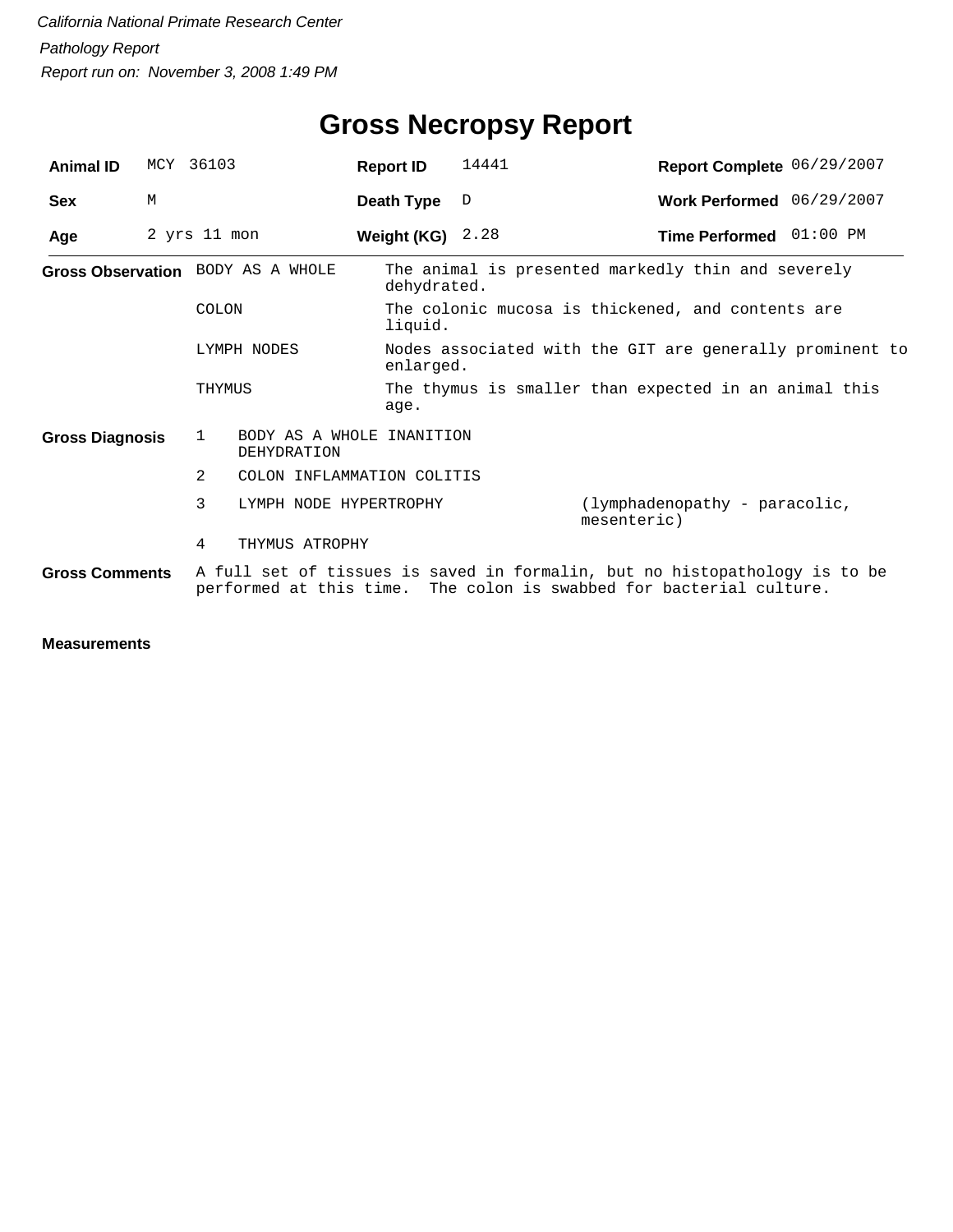| <b>Animal ID</b>       |   | MCY 36103                                                                                                                                         | <b>Report ID</b>           | 14441                                                                 | Report Complete 06/29/2007                            |  |  |  |
|------------------------|---|---------------------------------------------------------------------------------------------------------------------------------------------------|----------------------------|-----------------------------------------------------------------------|-------------------------------------------------------|--|--|--|
| <b>Sex</b>             | M |                                                                                                                                                   | Death Type                 | D                                                                     | Work Performed 06/29/2007                             |  |  |  |
| Age                    |   | 2 yrs 11 mon                                                                                                                                      | Weight (KG) $2.28$         |                                                                       | Time Performed 01:00 PM                               |  |  |  |
|                        |   | Gross Observation BODY AS A WHOLE                                                                                                                 |                            | The animal is presented markedly thin and severely<br>dehydrated.     |                                                       |  |  |  |
|                        |   | COLON                                                                                                                                             | liquid.                    | The colonic mucosa is thickened, and contents are                     |                                                       |  |  |  |
|                        |   | LYMPH NODES                                                                                                                                       |                            | Nodes associated with the GIT are generally prominent to<br>enlarged. |                                                       |  |  |  |
|                        |   | THYMUS                                                                                                                                            | age.                       |                                                                       | The thymus is smaller than expected in an animal this |  |  |  |
| <b>Gross Diagnosis</b> |   | 1<br>DEHYDRATION                                                                                                                                  | BODY AS A WHOLE INANITION  |                                                                       |                                                       |  |  |  |
|                        |   | 2                                                                                                                                                 | COLON INFLAMMATION COLITIS |                                                                       |                                                       |  |  |  |
|                        |   | 3                                                                                                                                                 | LYMPH NODE HYPERTROPHY     |                                                                       | (lymphadenopathy - paracolic,<br>mesenteric)          |  |  |  |
|                        |   | 4<br>THYMUS ATROPHY                                                                                                                               |                            |                                                                       |                                                       |  |  |  |
| <b>Gross Comments</b>  |   | A full set of tissues is saved in formalin, but no histopathology is to be<br>performed at this time. The colon is swabbed for bacterial culture. |                            |                                                                       |                                                       |  |  |  |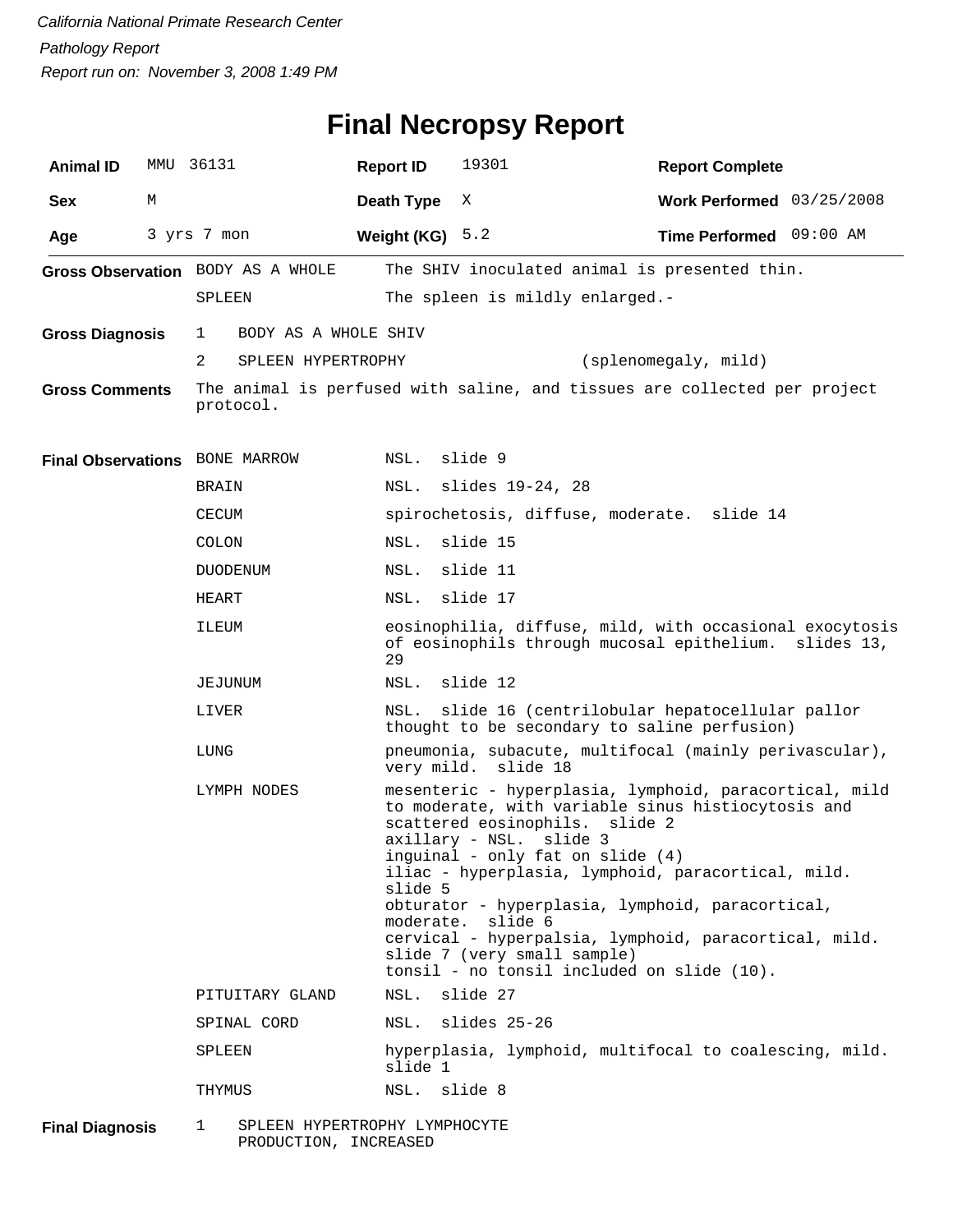### **Final Necropsy Report**

| <b>Animal ID</b>       | MMU | 36131                              | <b>Report ID</b> | 19301                                                                                                                                                                                                                                                                                                                                                                                                                                                                                    | <b>Report Complete</b>      |            |  |  |
|------------------------|-----|------------------------------------|------------------|------------------------------------------------------------------------------------------------------------------------------------------------------------------------------------------------------------------------------------------------------------------------------------------------------------------------------------------------------------------------------------------------------------------------------------------------------------------------------------------|-----------------------------|------------|--|--|
| <b>Sex</b>             | М   |                                    | Death Type       | Χ                                                                                                                                                                                                                                                                                                                                                                                                                                                                                        | Work Performed $03/25/2008$ |            |  |  |
| Age                    |     | 3 yrs 7 mon                        | Weight (KG)      | 5.2                                                                                                                                                                                                                                                                                                                                                                                                                                                                                      | Time Performed 09:00 AM     |            |  |  |
|                        |     | Gross Observation BODY AS A WHOLE  |                  | The SHIV inoculated animal is presented thin.                                                                                                                                                                                                                                                                                                                                                                                                                                            |                             |            |  |  |
|                        |     | SPLEEN                             |                  | The spleen is mildly enlarged.-                                                                                                                                                                                                                                                                                                                                                                                                                                                          |                             |            |  |  |
| <b>Gross Diagnosis</b> |     | BODY AS A WHOLE SHIV<br>1          |                  |                                                                                                                                                                                                                                                                                                                                                                                                                                                                                          |                             |            |  |  |
|                        |     | 2<br>SPLEEN HYPERTROPHY            |                  |                                                                                                                                                                                                                                                                                                                                                                                                                                                                                          | (splenomegaly, mild)        |            |  |  |
| <b>Gross Comments</b>  |     | protocol.                          |                  | The animal is perfused with saline, and tissues are collected per project                                                                                                                                                                                                                                                                                                                                                                                                                |                             |            |  |  |
|                        |     | Final Observations BONE MARROW     | NSL.             | slide 9                                                                                                                                                                                                                                                                                                                                                                                                                                                                                  |                             |            |  |  |
|                        |     | BRAIN                              | NSL.             | slides 19-24, 28                                                                                                                                                                                                                                                                                                                                                                                                                                                                         |                             |            |  |  |
|                        |     | <b>CECUM</b>                       |                  | spirochetosis, diffuse, moderate. slide 14                                                                                                                                                                                                                                                                                                                                                                                                                                               |                             |            |  |  |
|                        |     | COLON                              | NSL.             | slide 15                                                                                                                                                                                                                                                                                                                                                                                                                                                                                 |                             |            |  |  |
|                        |     | <b>DUODENUM</b>                    | NSL.             | slide 11                                                                                                                                                                                                                                                                                                                                                                                                                                                                                 |                             |            |  |  |
|                        |     | HEART                              | NSL.             | slide 17                                                                                                                                                                                                                                                                                                                                                                                                                                                                                 |                             |            |  |  |
|                        |     | ILEUM                              | 29               | eosinophilia, diffuse, mild, with occasional exocytosis<br>of eosinophils through mucosal epithelium.                                                                                                                                                                                                                                                                                                                                                                                    |                             | slides 13, |  |  |
|                        |     | JEJUNUM                            | NSL.             | slide 12                                                                                                                                                                                                                                                                                                                                                                                                                                                                                 |                             |            |  |  |
|                        |     | LIVER                              | NSL.             | slide 16 (centrilobular hepatocellular pallor<br>thought to be secondary to saline perfusion)                                                                                                                                                                                                                                                                                                                                                                                            |                             |            |  |  |
|                        |     | LUNG                               |                  | pneumonia, subacute, multifocal (mainly perivascular),<br>very mild. slide 18                                                                                                                                                                                                                                                                                                                                                                                                            |                             |            |  |  |
|                        |     | LYMPH NODES                        | slide 5          | mesenteric - hyperplasia, lymphoid, paracortical, mild<br>to moderate, with variable sinus histiocytosis and<br>scattered eosinophils.<br>slide 2<br>axillary - NSL.<br>slide 3<br>inguinal - only fat on slide (4)<br>iliac - hyperplasia, lymphoid, paracortical, mild.<br>obturator - hyperplasia, lymphoid, paracortical,<br>moderate. slide 6<br>cervical - hyperpalsia, lymphoid, paracortical, mild.<br>slide 7 (very small sample)<br>tonsil - no tonsil included on slide (10). |                             |            |  |  |
|                        |     | PITUITARY GLAND                    | NSL.             | slide 27                                                                                                                                                                                                                                                                                                                                                                                                                                                                                 |                             |            |  |  |
|                        |     | SPINAL CORD                        | NSL.             | slides 25-26                                                                                                                                                                                                                                                                                                                                                                                                                                                                             |                             |            |  |  |
|                        |     | SPLEEN                             | slide 1          | hyperplasia, lymphoid, multifocal to coalescing, mild.                                                                                                                                                                                                                                                                                                                                                                                                                                   |                             |            |  |  |
|                        |     | THYMUS                             | NSL.             | slide 8                                                                                                                                                                                                                                                                                                                                                                                                                                                                                  |                             |            |  |  |
| <b>Final Diagnosis</b> |     | SPLEEN HYPERTROPHY LYMPHOCYTE<br>1 |                  |                                                                                                                                                                                                                                                                                                                                                                                                                                                                                          |                             |            |  |  |

1 SPLEEN HYPERTROPHY LYMPHOCYTE PRODUCTION, INCREASED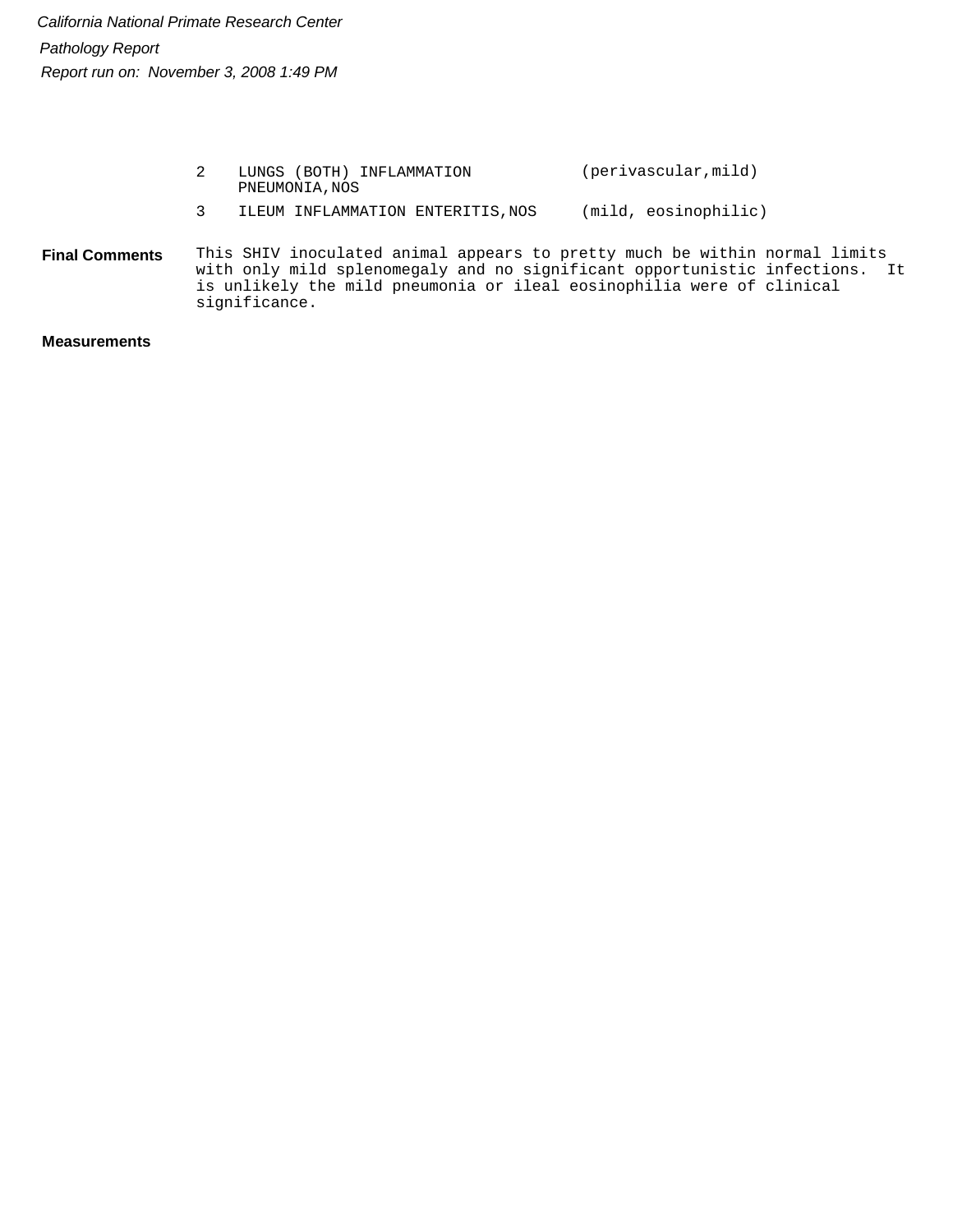|                       |   | LUNGS (BOTH) INFLAMMATION<br>PNEUMONIA, NOS                                                                                                                                                                                                         | (perivascular, mild) |  |
|-----------------------|---|-----------------------------------------------------------------------------------------------------------------------------------------------------------------------------------------------------------------------------------------------------|----------------------|--|
|                       | 3 | ILEUM INFLAMMATION ENTERITIS, NOS                                                                                                                                                                                                                   | (mild, eosinophilic) |  |
| <b>Final Comments</b> |   | This SHIV inoculated animal appears to pretty much be within normal limits<br>with only mild splenomegaly and no significant opportunistic infections. It<br>is unlikely the mild pneumonia or ileal eosinophilia were of clinical<br>significance. |                      |  |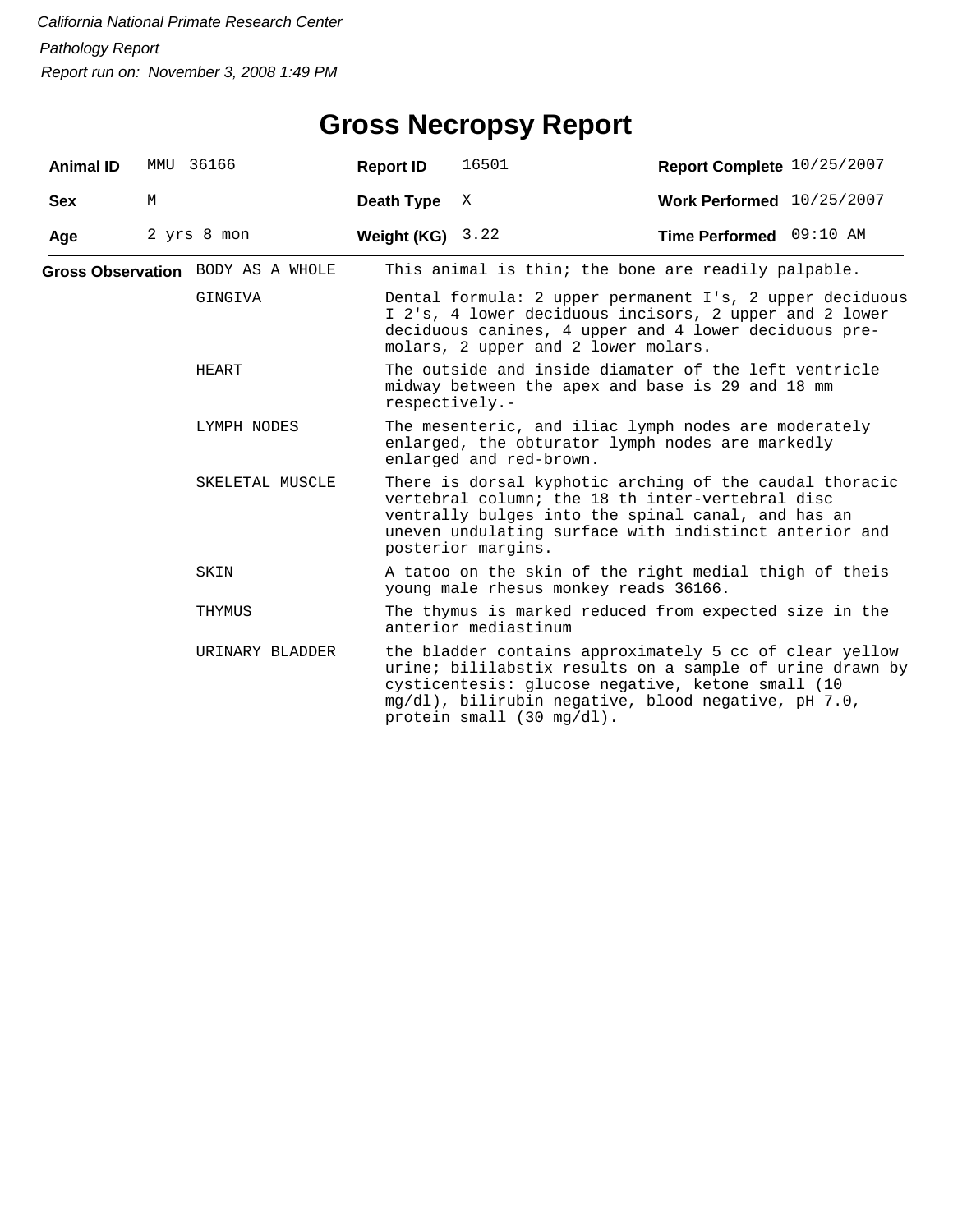# **Gross Necropsy Report**

| <b>Animal ID</b> |   | MMU 36166                         | <b>Report ID</b>                                                                                                                    | 16501                                                                                                                                                                                                                                                        | Report Complete 10/25/2007 |  |  |  |
|------------------|---|-----------------------------------|-------------------------------------------------------------------------------------------------------------------------------------|--------------------------------------------------------------------------------------------------------------------------------------------------------------------------------------------------------------------------------------------------------------|----------------------------|--|--|--|
| <b>Sex</b>       | М |                                   | Death Type                                                                                                                          | Χ                                                                                                                                                                                                                                                            | Work Performed 10/25/2007  |  |  |  |
| Age              |   | 2 yrs 8 mon                       | Weight (KG) $3.22$                                                                                                                  |                                                                                                                                                                                                                                                              | Time Performed 09:10 AM    |  |  |  |
|                  |   | Gross Observation BODY AS A WHOLE |                                                                                                                                     | This animal is thin; the bone are readily palpable.                                                                                                                                                                                                          |                            |  |  |  |
|                  |   | GINGIVA                           |                                                                                                                                     | Dental formula: 2 upper permanent I's, 2 upper deciduous<br>I 2's, 4 lower deciduous incisors, 2 upper and 2 lower<br>deciduous canines, 4 upper and 4 lower deciduous pre-<br>molars, 2 upper and 2 lower molars.                                           |                            |  |  |  |
|                  |   | HEART                             | respectively.-                                                                                                                      | The outside and inside diamater of the left ventricle<br>midway between the apex and base is 29 and 18 mm                                                                                                                                                    |                            |  |  |  |
| LYMPH NODES      |   |                                   | The mesenteric, and iliac lymph nodes are moderately<br>enlarged, the obturator lymph nodes are markedly<br>enlarged and red-brown. |                                                                                                                                                                                                                                                              |                            |  |  |  |
|                  |   | SKELETAL MUSCLE                   |                                                                                                                                     | There is dorsal kyphotic arching of the caudal thoracic<br>vertebral column; the 18 th inter-vertebral disc<br>ventrally bulges into the spinal canal, and has an<br>uneven undulating surface with indistinct anterior and<br>posterior margins.            |                            |  |  |  |
|                  |   | SKIN                              |                                                                                                                                     | A tatoo on the skin of the right medial thigh of theis<br>young male rhesus monkey reads 36166.                                                                                                                                                              |                            |  |  |  |
|                  |   | THYMUS                            |                                                                                                                                     | The thymus is marked reduced from expected size in the<br>anterior mediastinum                                                                                                                                                                               |                            |  |  |  |
|                  |   | URINARY BLADDER                   |                                                                                                                                     | the bladder contains approximately 5 cc of clear yellow<br>urine; bililabstix results on a sample of urine drawn by<br>cysticentesis: glucose negative, ketone small (10<br>mg/dl), bilirubin negative, blood negative, pH 7.0,<br>protein small (30 mg/dl). |                            |  |  |  |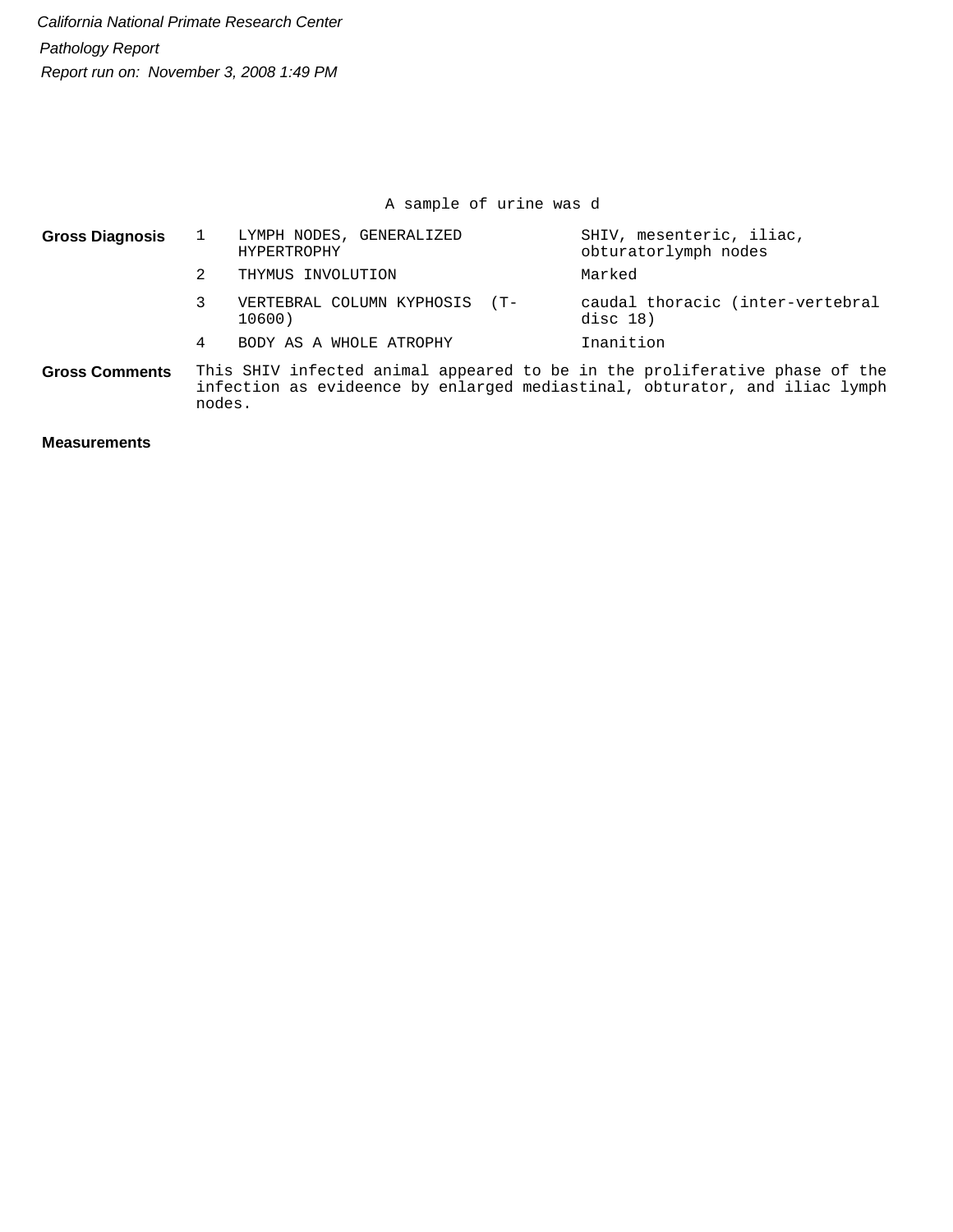A sample of urine was d

| <b>Gross Diagnosis</b> | LYMPH NODES, GENERALIZED<br>HYPERTROPHY                                    | SHIV, mesenteric, iliac,<br>obturatorlymph nodes |  |  |
|------------------------|----------------------------------------------------------------------------|--------------------------------------------------|--|--|
|                        | THYMUS INVOLUTION                                                          | Marked                                           |  |  |
|                        | VERTEBRAL COLUMN KYPHOSIS (T-<br>10600)                                    | caudal thoracic (inter-vertebral<br>disc $18)$   |  |  |
|                        | BODY AS A WHOLE ATROPHY                                                    | Inanition                                        |  |  |
| <b>Gross Comments</b>  | This SHIV infected animal appeared to be in the proliferative phase of the |                                                  |  |  |

infection as evideence by enlarged mediastinal, obturator, and iliac lymph nodes. **Gross Comments**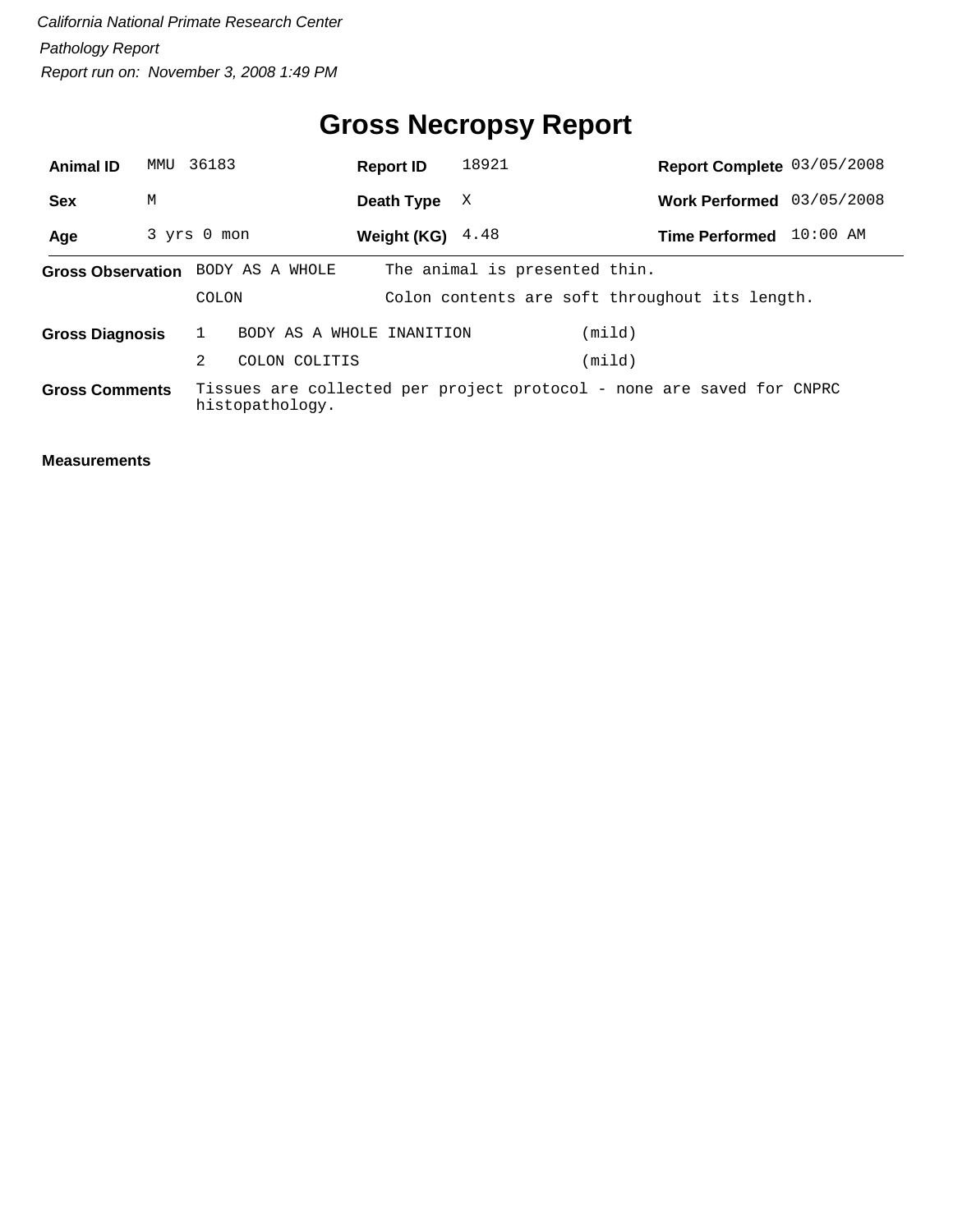# **Gross Necropsy Report**

| <b>Animal ID</b>                  | MMU | 36183        |                 |               | <b>Report ID</b>          | 18921                         |        | Report Complete 03/05/2008                                            |            |
|-----------------------------------|-----|--------------|-----------------|---------------|---------------------------|-------------------------------|--------|-----------------------------------------------------------------------|------------|
| <b>Sex</b>                        | М   |              |                 |               | Death Type                | X                             |        | Work Performed 03/05/2008                                             |            |
| Age                               |     | 3 yrs 0 mon  |                 |               | Weight (KG) $4.48$        |                               |        | <b>Time Performed</b>                                                 | $10:00$ AM |
| Gross Observation BODY AS A WHOLE |     |              |                 |               |                           | The animal is presented thin. |        |                                                                       |            |
|                                   |     | <b>COLON</b> |                 |               |                           |                               |        | Colon contents are soft throughout its length.                        |            |
| <b>Gross Diagnosis</b>            |     |              |                 |               | BODY AS A WHOLE INANITION |                               | (mild) |                                                                       |            |
|                                   |     | 2            |                 | COLON COLITIS |                           |                               | (mild) |                                                                       |            |
| <b>Gross Comments</b>             |     |              | histopathology. |               |                           |                               |        | Tissues are collected per project protocol - none are saved for CNPRC |            |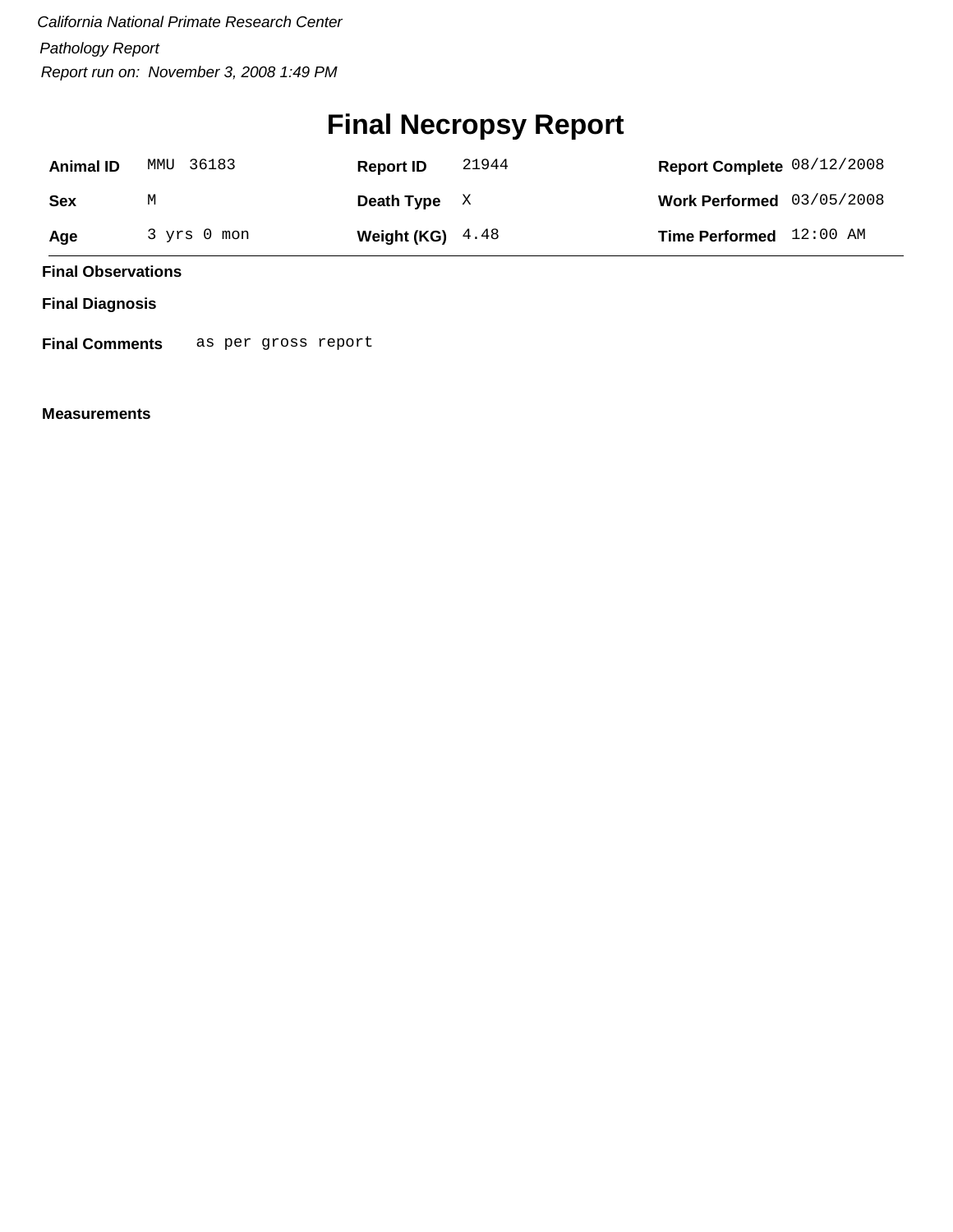# **Final Necropsy Report**

| <b>Animal ID</b> | MMU 36183   | <b>Report ID</b>   | 21944 | Report Complete 08/12/2008  |  |
|------------------|-------------|--------------------|-------|-----------------------------|--|
| Sex              | М           | Death Type $X$     |       | Work Performed $03/05/2008$ |  |
| Age              | 3 yrs 0 mon | Weight (KG) $4.48$ |       | Time Performed 12:00 AM     |  |

**Final Observations**

**Final Diagnosis**

**Final Comments** as per gross report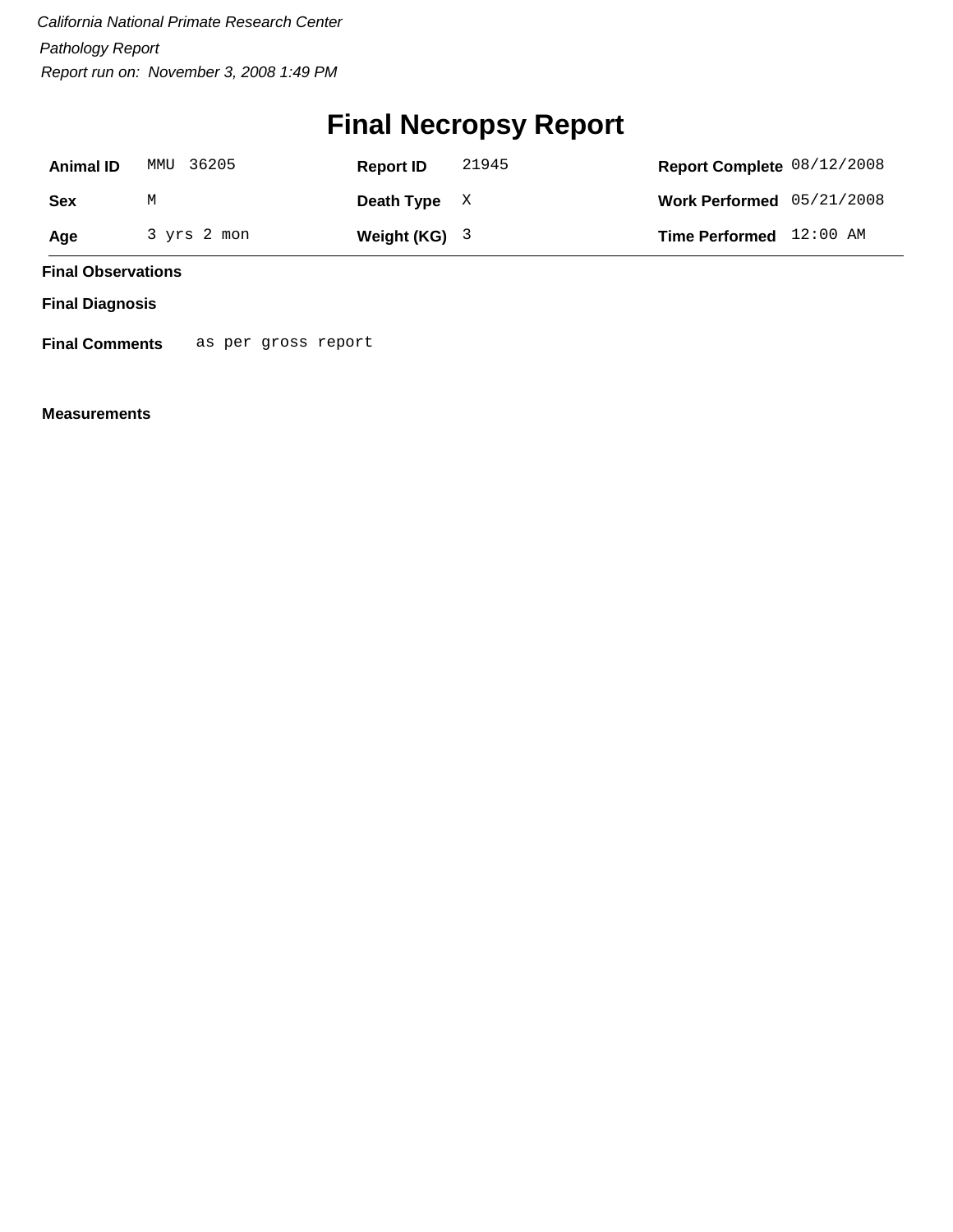## **Final Necropsy Report**

| <b>Animal ID</b> | MMU 36205   | <b>Report ID</b> | 21945 | Report Complete 08/12/2008  |  |
|------------------|-------------|------------------|-------|-----------------------------|--|
| Sex              | М           | Death Type $X$   |       | Work Performed $05/21/2008$ |  |
| Age              | 3 yrs 2 mon | Weight $(KG)$ 3  |       | Time Performed 12:00 AM     |  |

**Final Observations**

**Final Diagnosis**

**Final Comments** as per gross report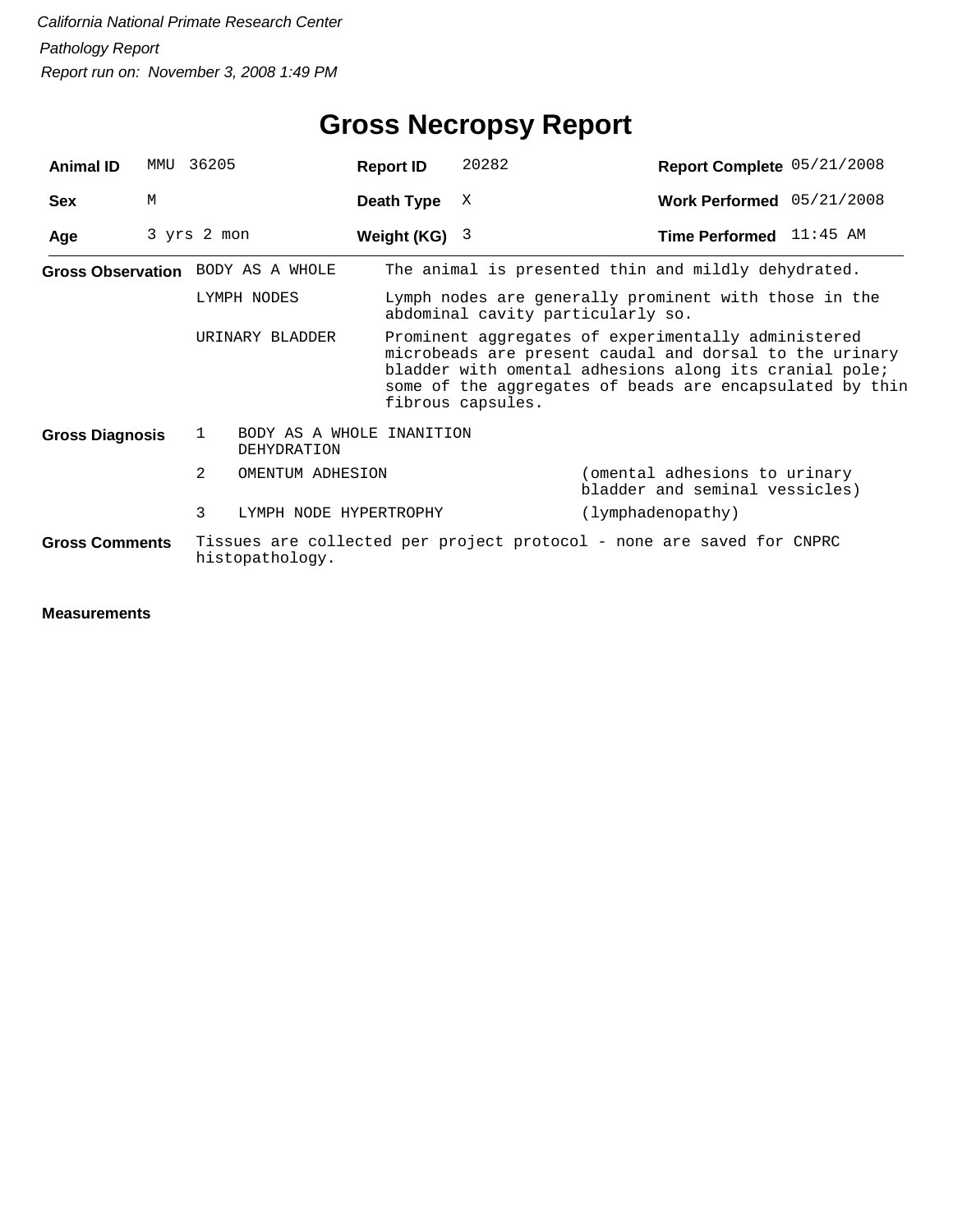| <b>Animal ID</b>                     | MMU | 36205       |                                                 | <b>Report ID</b> | 20282                                                                                                                                                                                                                                | Report Complete 05/21/2008                                            |  |
|--------------------------------------|-----|-------------|-------------------------------------------------|------------------|--------------------------------------------------------------------------------------------------------------------------------------------------------------------------------------------------------------------------------------|-----------------------------------------------------------------------|--|
| <b>Sex</b>                           | M   |             |                                                 | Death Type       | X                                                                                                                                                                                                                                    | Work Performed 05/21/2008                                             |  |
| Age                                  |     | 3 yrs 2 mon |                                                 | Weight (KG)      | - 3                                                                                                                                                                                                                                  | <b>Time Performed</b> 11:45 AM                                        |  |
|                                      |     |             | Gross Observation BODY AS A WHOLE               |                  |                                                                                                                                                                                                                                      | The animal is presented thin and mildly dehydrated.                   |  |
|                                      |     |             | LYMPH NODES                                     |                  | abdominal cavity particularly so.                                                                                                                                                                                                    | Lymph nodes are generally prominent with those in the                 |  |
| URINARY BLADDER<br>fibrous capsules. |     |             |                                                 |                  | Prominent aggregates of experimentally administered<br>microbeads are present caudal and dorsal to the urinary<br>bladder with omental adhesions along its cranial pole;<br>some of the aggregates of beads are encapsulated by thin |                                                                       |  |
| <b>Gross Diagnosis</b>               |     | 1           | BODY AS A WHOLE INANITION<br><b>DEHYDRATION</b> |                  |                                                                                                                                                                                                                                      |                                                                       |  |
|                                      |     | 2           | OMENTUM ADHESION                                |                  |                                                                                                                                                                                                                                      | (omental adhesions to urinary<br>bladder and seminal vessicles)       |  |
|                                      |     | 3           | LYMPH NODE HYPERTROPHY                          |                  |                                                                                                                                                                                                                                      | (lymphadenopathy)                                                     |  |
| <b>Gross Comments</b>                |     |             | histopathology.                                 |                  |                                                                                                                                                                                                                                      | Tissues are collected per project protocol - none are saved for CNPRC |  |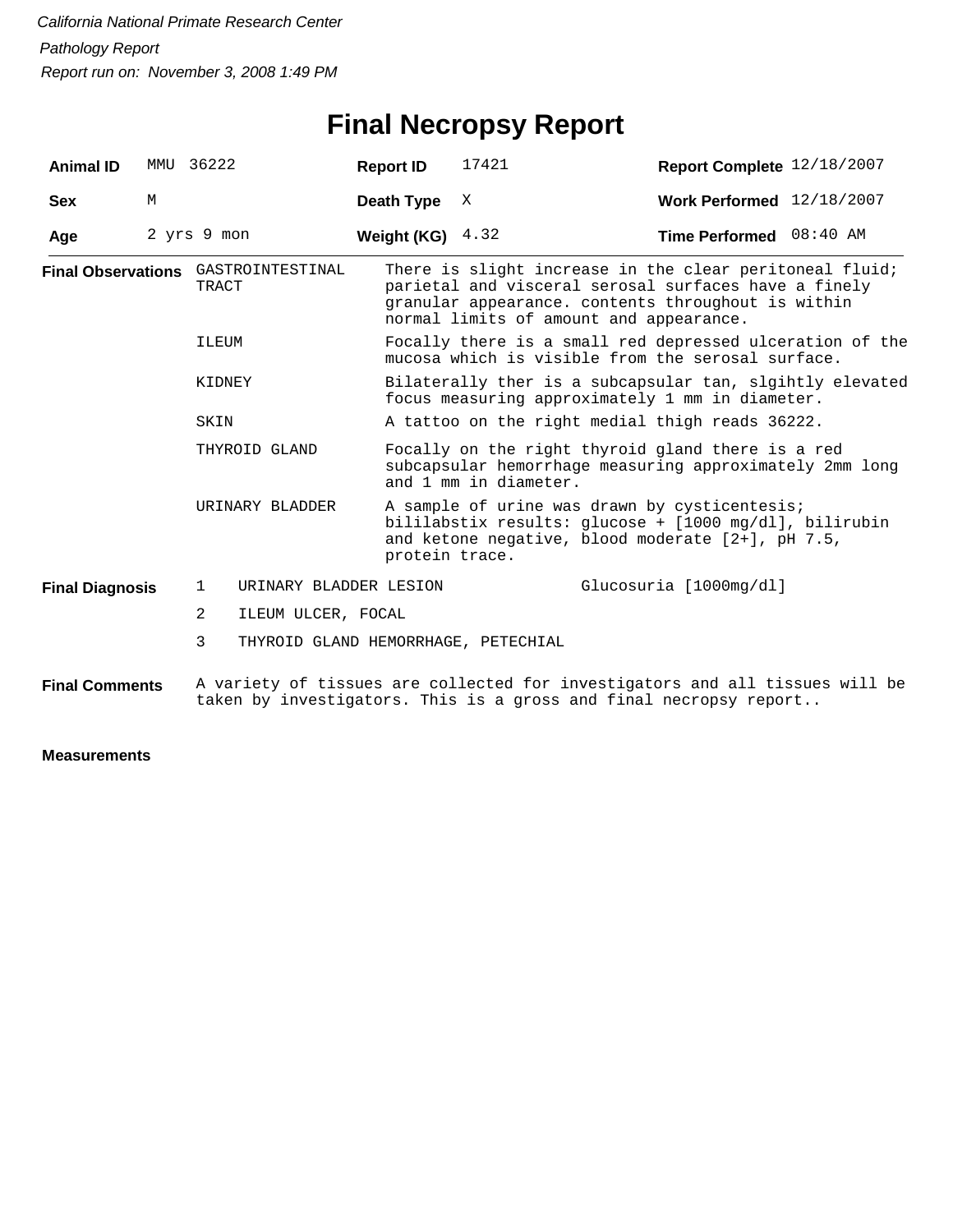# **Final Necropsy Report**

| <b>Animal ID</b>       |   | MMU 36222                                           | <b>Report ID</b>   | 17421                                                                                                                                                                                                            | Report Complete 12/18/2007                                                                                                                                   |  |  |
|------------------------|---|-----------------------------------------------------|--------------------|------------------------------------------------------------------------------------------------------------------------------------------------------------------------------------------------------------------|--------------------------------------------------------------------------------------------------------------------------------------------------------------|--|--|
| <b>Sex</b>             | М |                                                     | Death Type         | Χ                                                                                                                                                                                                                | Work Performed 12/18/2007                                                                                                                                    |  |  |
| Age                    |   | 2 yrs 9 mon                                         | Weight (KG) $4.32$ |                                                                                                                                                                                                                  | Time Performed 08:40 AM                                                                                                                                      |  |  |
|                        |   | Final Observations GASTROINTESTINAL<br><b>TRACT</b> |                    | There is slight increase in the clear peritoneal fluid;<br>parietal and visceral serosal surfaces have a finely<br>granular appearance. contents throughout is within<br>normal limits of amount and appearance. |                                                                                                                                                              |  |  |
|                        |   | ILEUM                                               |                    |                                                                                                                                                                                                                  | Focally there is a small red depressed ulceration of the<br>mucosa which is visible from the serosal surface.                                                |  |  |
|                        |   | KIDNEY                                              |                    |                                                                                                                                                                                                                  | Bilaterally ther is a subcapsular tan, slgihtly elevated<br>focus measuring approximately 1 mm in diameter.                                                  |  |  |
|                        |   | SKIN                                                |                    |                                                                                                                                                                                                                  | A tattoo on the right medial thigh reads 36222.                                                                                                              |  |  |
|                        |   | THYROID GLAND                                       |                    | and 1 mm in diameter.                                                                                                                                                                                            | Focally on the right thyroid gland there is a red<br>subcapsular hemorrhage measuring approximately 2mm long                                                 |  |  |
|                        |   | URINARY BLADDER                                     | protein trace.     |                                                                                                                                                                                                                  | A sample of urine was drawn by cysticentesis;<br>bililabstix results: glucose + [1000 mg/dl], bilirubin<br>and ketone negative, blood moderate [2+], pH 7.5, |  |  |
| <b>Final Diagnosis</b> |   | URINARY BLADDER LESION<br>1                         |                    |                                                                                                                                                                                                                  | Glucosuria [1000mg/dl]                                                                                                                                       |  |  |
|                        |   | 2<br>ILEUM ULCER, FOCAL                             |                    |                                                                                                                                                                                                                  |                                                                                                                                                              |  |  |
|                        |   | 3<br>THYROID GLAND HEMORRHAGE, PETECHIAL            |                    |                                                                                                                                                                                                                  |                                                                                                                                                              |  |  |
| <b>Final Comments</b>  |   |                                                     |                    |                                                                                                                                                                                                                  | A variety of tissues are collected for investigators and all tissues will be<br>taken by investigators. This is a gross and final necropsy report            |  |  |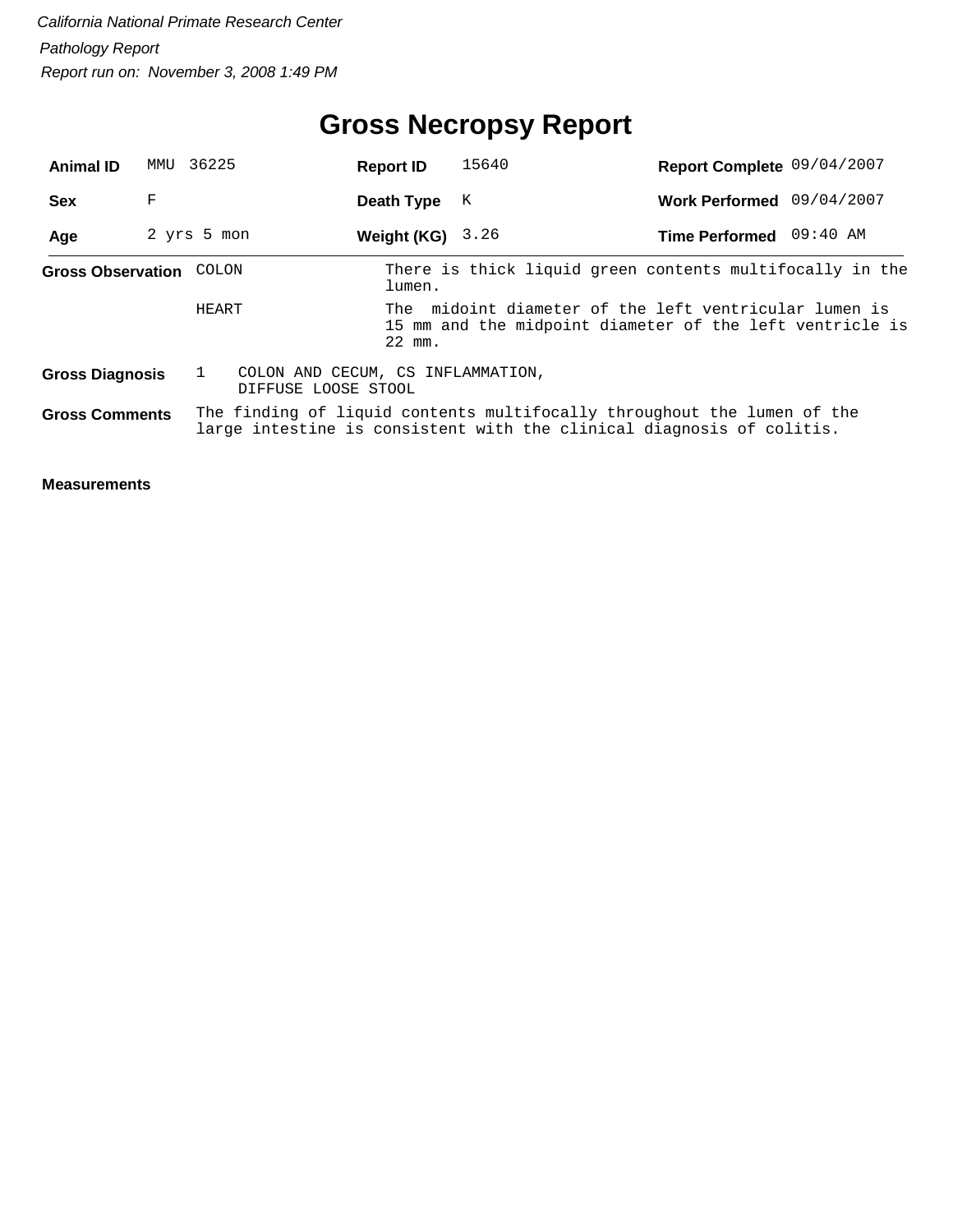## **Gross Necropsy Report**

| <b>Animal ID</b>         | MMU | 36225                                                    | <b>Report ID</b> | 15640                                                                                                                                            | Report Complete 09/04/2007 |  |
|--------------------------|-----|----------------------------------------------------------|------------------|--------------------------------------------------------------------------------------------------------------------------------------------------|----------------------------|--|
| <b>Sex</b>               | F   |                                                          | Death Type       | Κ                                                                                                                                                | Work Performed 09/04/2007  |  |
| Age                      |     | 2 yrs 5 mon                                              | Weight (KG)      | 3.26                                                                                                                                             | Time Performed 09:40 AM    |  |
| <b>Gross Observation</b> |     | COLON                                                    | lumen.           | There is thick liquid green contents multifocally in the                                                                                         |                            |  |
|                          |     | HEART                                                    | 22 mm.           | The midoint diameter of the left ventricular lumen is<br>15 mm and the midpoint diameter of the left ventricle is                                |                            |  |
| <b>Gross Diagnosis</b>   |     | COLON AND CECUM, CS INFLAMMATION,<br>DIFFUSE LOOSE STOOL |                  |                                                                                                                                                  |                            |  |
| <b>Gross Comments</b>    |     |                                                          |                  | The finding of liquid contents multifocally throughout the lumen of the<br>large intestine is consistent with the clinical diagnosis of colitis. |                            |  |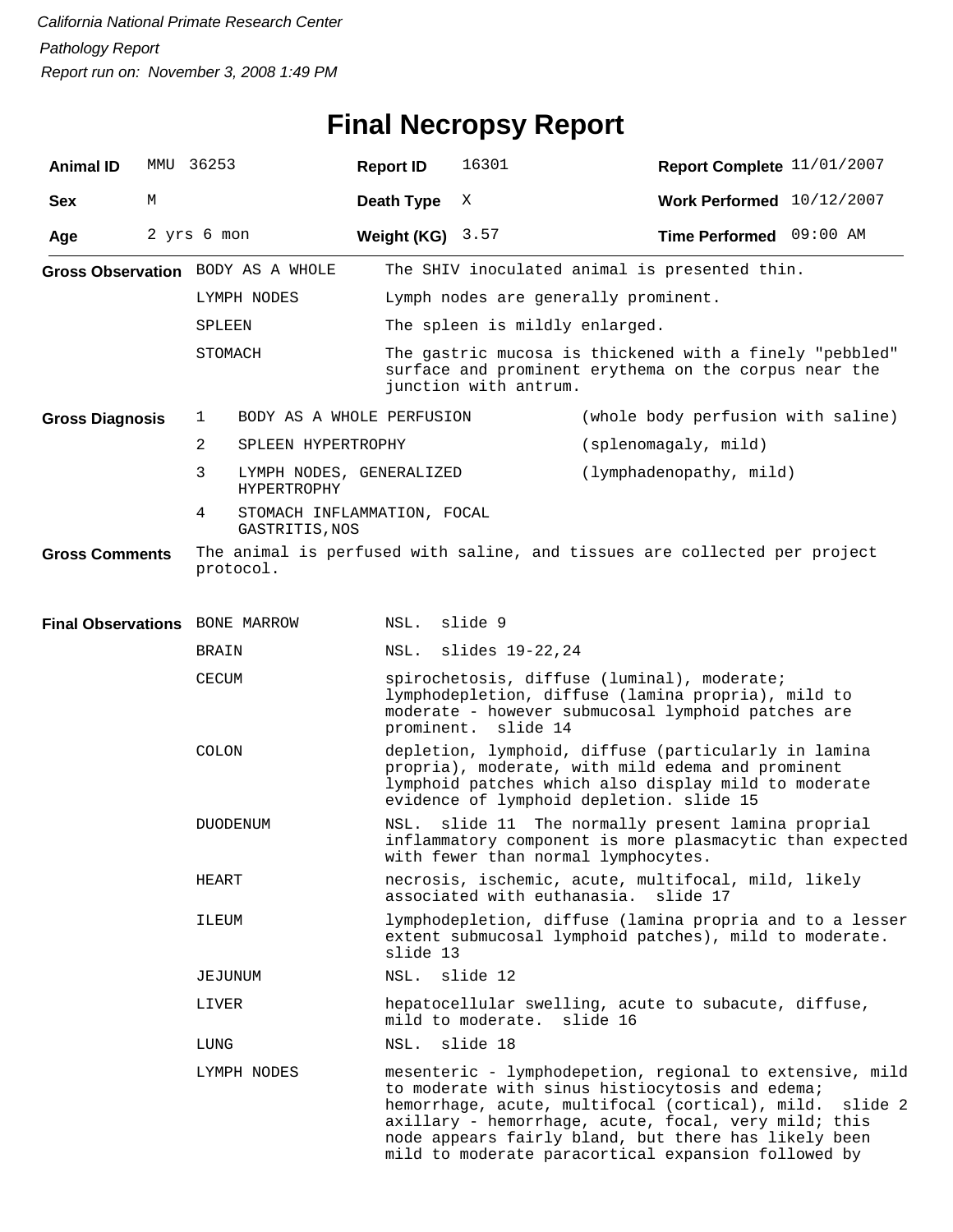## **Final Necropsy Report**

| <b>Animal ID</b>               | MMU         | 36253         |                                                                                        | <b>Report ID</b> |                                                                                                                                                                                                                                                                                                                                                  | 16301                                    |          | Report Complete 11/01/2007                                                                                                                                        |  |
|--------------------------------|-------------|---------------|----------------------------------------------------------------------------------------|------------------|--------------------------------------------------------------------------------------------------------------------------------------------------------------------------------------------------------------------------------------------------------------------------------------------------------------------------------------------------|------------------------------------------|----------|-------------------------------------------------------------------------------------------------------------------------------------------------------------------|--|
| <b>Sex</b>                     | М           |               |                                                                                        | Death Type       |                                                                                                                                                                                                                                                                                                                                                  | Χ                                        |          | Work Performed 10/12/2007                                                                                                                                         |  |
| Age                            | 2 yrs 6 mon |               |                                                                                        | Weight (KG)      |                                                                                                                                                                                                                                                                                                                                                  | 3.57                                     |          | Time Performed 09:00 AM                                                                                                                                           |  |
|                                |             |               | Gross Observation BODY AS A WHOLE                                                      |                  |                                                                                                                                                                                                                                                                                                                                                  |                                          |          | The SHIV inoculated animal is presented thin.                                                                                                                     |  |
|                                |             |               | LYMPH NODES                                                                            |                  |                                                                                                                                                                                                                                                                                                                                                  | Lymph nodes are generally prominent.     |          |                                                                                                                                                                   |  |
|                                |             | <b>SPLEEN</b> |                                                                                        |                  |                                                                                                                                                                                                                                                                                                                                                  | The spleen is mildly enlarged.           |          |                                                                                                                                                                   |  |
|                                |             | STOMACH       |                                                                                        |                  | The gastric mucosa is thickened with a finely "pebbled"<br>surface and prominent erythema on the corpus near the<br>junction with antrum.                                                                                                                                                                                                        |                                          |          |                                                                                                                                                                   |  |
| <b>Gross Diagnosis</b>         |             | 1             | BODY AS A WHOLE PERFUSION                                                              |                  |                                                                                                                                                                                                                                                                                                                                                  |                                          |          | (whole body perfusion with saline)                                                                                                                                |  |
|                                |             | 2             | SPLEEN HYPERTROPHY                                                                     |                  |                                                                                                                                                                                                                                                                                                                                                  |                                          |          | (splenomagaly, mild)                                                                                                                                              |  |
|                                |             | 3             | LYMPH NODES, GENERALIZED<br><b>HYPERTROPHY</b>                                         |                  |                                                                                                                                                                                                                                                                                                                                                  |                                          |          | (lymphadenopathy, mild)                                                                                                                                           |  |
|                                |             | 4             | STOMACH INFLAMMATION, FOCAL<br>GASTRITIS, NOS                                          |                  |                                                                                                                                                                                                                                                                                                                                                  |                                          |          |                                                                                                                                                                   |  |
| <b>Gross Comments</b>          |             |               | The animal is perfused with saline, and tissues are collected per project<br>protocol. |                  |                                                                                                                                                                                                                                                                                                                                                  |                                          |          |                                                                                                                                                                   |  |
| Final Observations BONE MARROW |             |               |                                                                                        | NSL.             |                                                                                                                                                                                                                                                                                                                                                  | slide 9                                  |          |                                                                                                                                                                   |  |
|                                |             | BRAIN         |                                                                                        | NSL.             |                                                                                                                                                                                                                                                                                                                                                  | slides 19-22, 24                         |          |                                                                                                                                                                   |  |
|                                |             | CECUM         |                                                                                        |                  | spirochetosis, diffuse (luminal), moderate;<br>lymphodepletion, diffuse (lamina propria), mild to<br>moderate - however submucosal lymphoid patches are<br>prominent. slide 14                                                                                                                                                                   |                                          |          |                                                                                                                                                                   |  |
|                                |             | <b>COLON</b>  |                                                                                        |                  |                                                                                                                                                                                                                                                                                                                                                  | evidence of lymphoid depletion. slide 15 |          | depletion, lymphoid, diffuse (particularly in lamina<br>propria), moderate, with mild edema and prominent<br>lymphoid patches which also display mild to moderate |  |
|                                |             |               | <b>DUODENUM</b>                                                                        | NSL.             |                                                                                                                                                                                                                                                                                                                                                  | with fewer than normal lymphocytes.      |          | slide 11 The normally present lamina proprial<br>inflammatory component is more plasmacytic than expected                                                         |  |
|                                |             | HEART         |                                                                                        |                  |                                                                                                                                                                                                                                                                                                                                                  | associated with euthanasia. slide 17     |          | necrosis, ischemic, acute, multifocal, mild, likely                                                                                                               |  |
|                                |             | ILEUM         |                                                                                        | slide 13         |                                                                                                                                                                                                                                                                                                                                                  |                                          |          | lymphodepletion, diffuse (lamina propria and to a lesser<br>extent submucosal lymphoid patches), mild to moderate.                                                |  |
|                                |             |               | JEJUNUM                                                                                | NSL.             |                                                                                                                                                                                                                                                                                                                                                  | slide 12                                 |          |                                                                                                                                                                   |  |
|                                |             | LIVER         |                                                                                        |                  |                                                                                                                                                                                                                                                                                                                                                  | mild to moderate.                        | slide 16 | hepatocellular swelling, acute to subacute, diffuse,                                                                                                              |  |
|                                |             | LUNG          |                                                                                        | NSL.             |                                                                                                                                                                                                                                                                                                                                                  | slide 18                                 |          |                                                                                                                                                                   |  |
|                                |             | LYMPH NODES   |                                                                                        |                  | mesenteric - lymphodepetion, regional to extensive, mild<br>to moderate with sinus histiocytosis and edema;<br>hemorrhage, acute, multifocal (cortical), mild.<br>slide 2<br>axillary - hemorrhage, acute, focal, very mild; this<br>node appears fairly bland, but there has likely been<br>mild to moderate paracortical expansion followed by |                                          |          |                                                                                                                                                                   |  |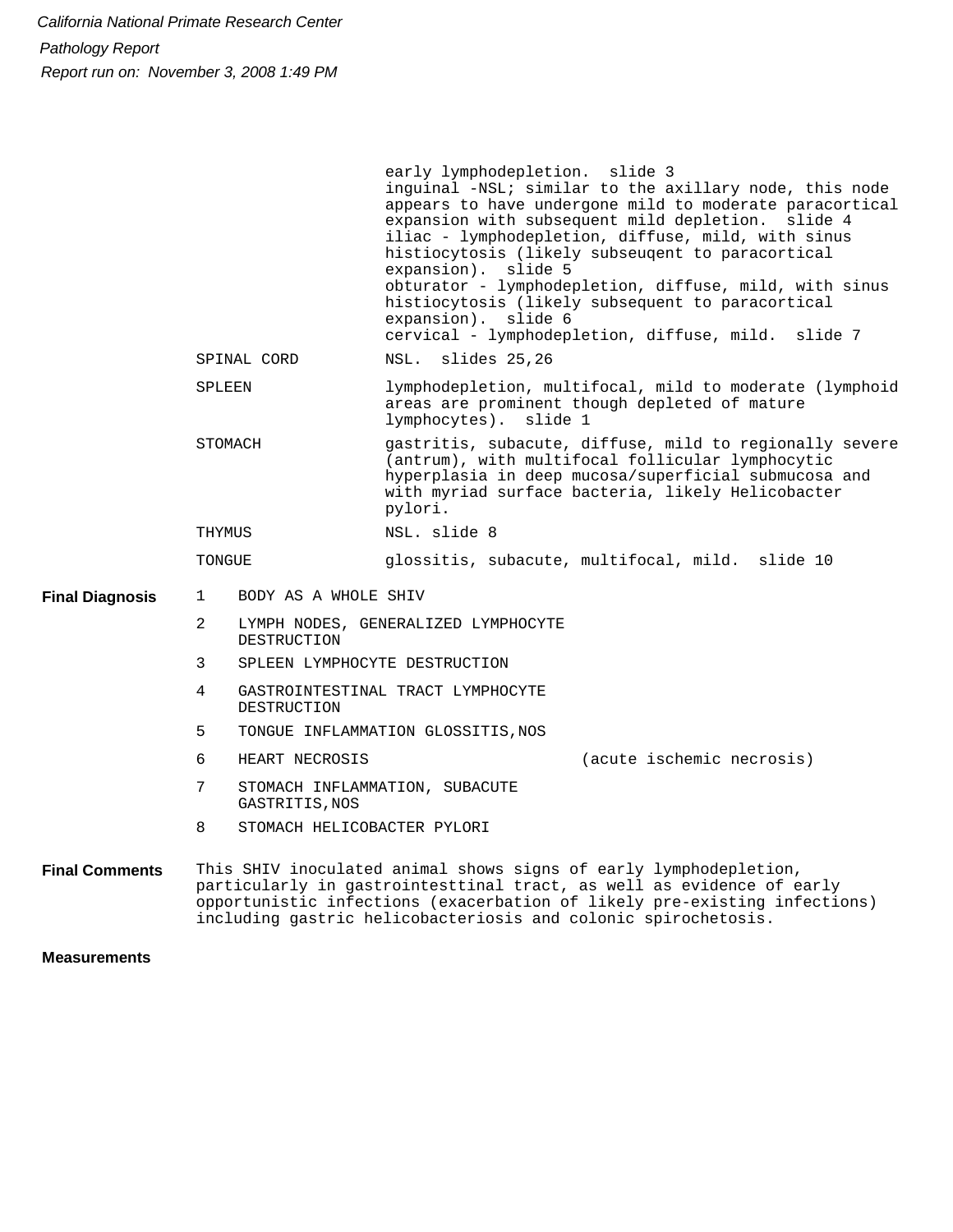1 2 3 4 5 6 7 8 BODY AS A WHOLE SHIV LYMPH NODES, GENERALIZED LYMPHOCYTE DESTRUCTION SPLEEN LYMPHOCYTE DESTRUCTION GASTROINTESTINAL TRACT LYMPHOCYTE DESTRUCTION TONGUE INFLAMMATION GLOSSITIS, NOS HEART NECROSIS STOMACH INFLAMMATION, SUBACUTE GASTRITIS,NOS STOMACH HELICOBACTER PYLORI **Final Diagnosis** SPINAL CORD SPLEEN STOMACH THYMUS TONGUE early lymphodepletion. slide 3 inguinal -NSL; similar to the axillary node, this node appears to have undergone mild to moderate paracortical expansion with subsequent mild depletion. slide 4 iliac - lymphodepletion, diffuse, mild, with sinus histiocytosis (likely subseuqent to paracortical expansion). slide 5 obturator - lymphodepletion, diffuse, mild, with sinus histiocytosis (likely subsequent to paracortical expansion). slide 6 cervical - lymphodepletion, diffuse, mild. slide 7 NSL. slides 25,26 lymphodepletion, multifocal, mild to moderate (lymphoid areas are prominent though depleted of mature lymphocytes). slide 1 gastritis, subacute, diffuse, mild to regionally severe (antrum), with multifocal follicular lymphocytic hyperplasia in deep mucosa/superficial submucosa and with myriad surface bacteria, likely Helicobacter pylori. NSL. slide 8 glossitis, subacute, multifocal, mild. slide 10 This SHIV inoculated animal shows signs of early lymphodepletion, particularly in gastrointesttinal tract, as well as evidence of early opportunistic infections (exacerbation of likely pre-existing infections) **Final Comments** (acute ischemic necrosis)

including gastric helicobacteriosis and colonic spirochetosis.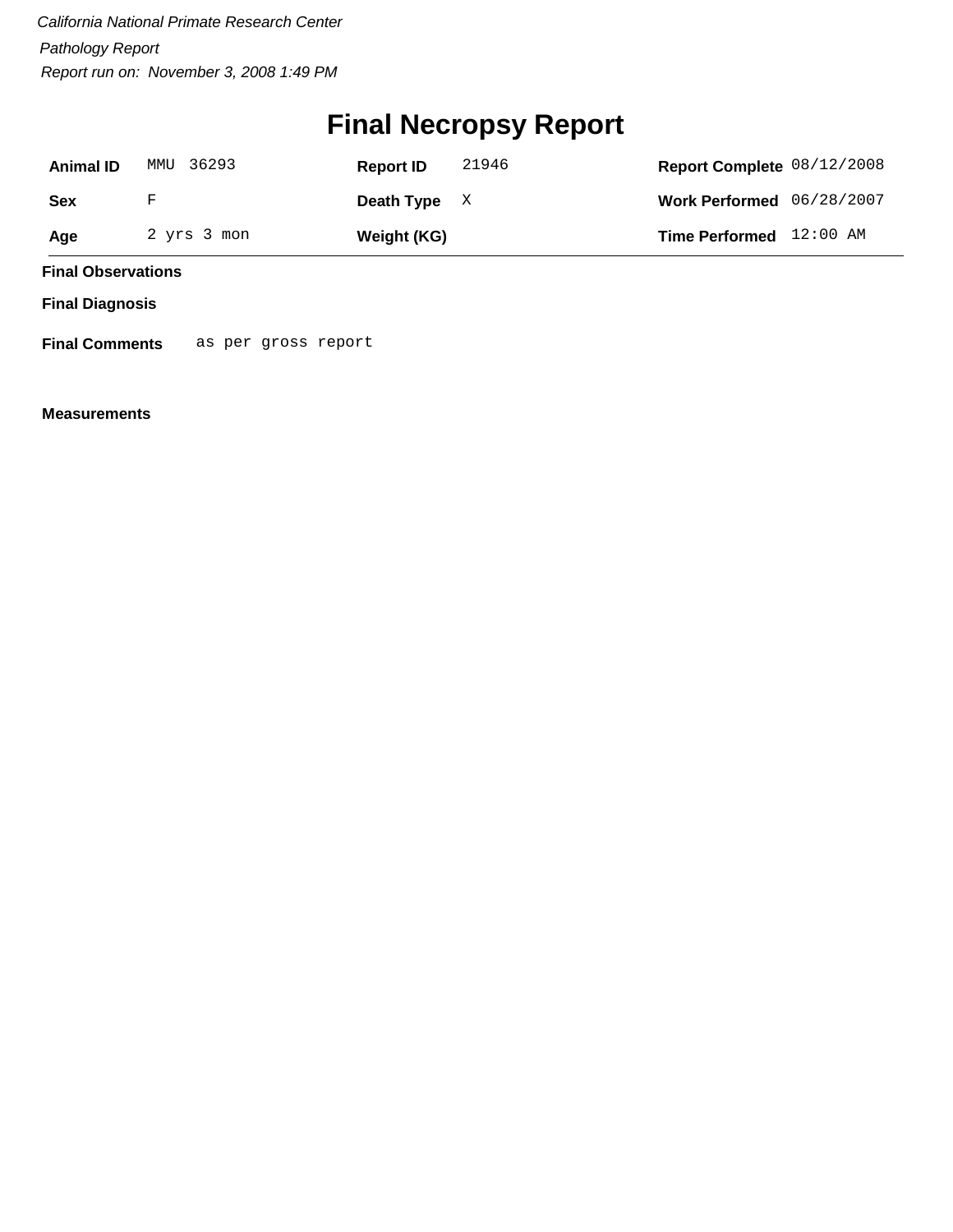## **Final Necropsy Report**

| <b>Animal ID</b> | MMU 36293   | 21946<br><b>Report ID</b> | Report Complete 08/12/2008  |
|------------------|-------------|---------------------------|-----------------------------|
| Sex              | F           | Death Type $X$            | Work Performed $06/28/2007$ |
| Age              | 2 yrs 3 mon | Weight (KG)               | Time Performed 12:00 AM     |

**Final Observations**

**Final Diagnosis**

**Final Comments** as per gross report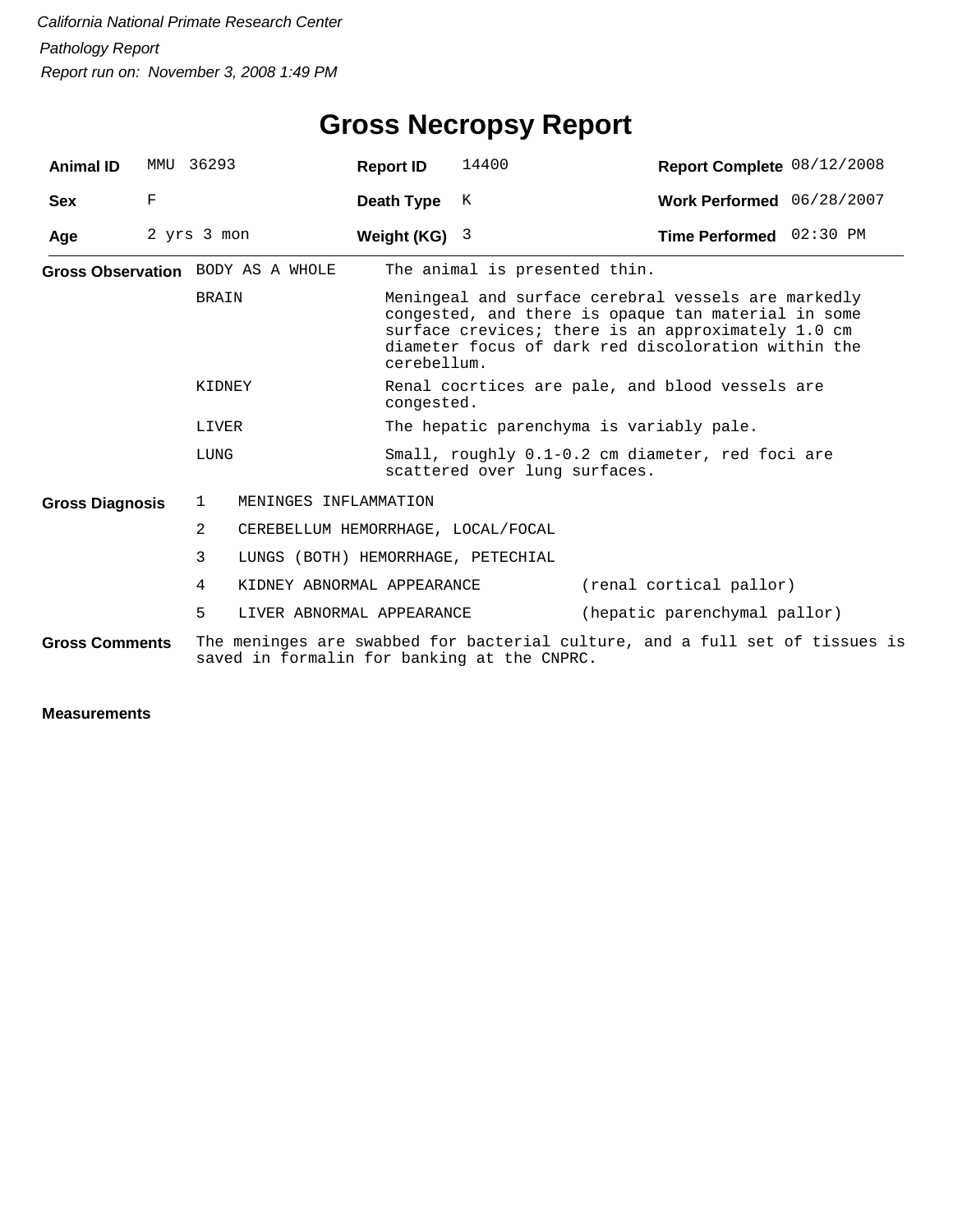| <b>Animal ID</b>       | MMU | 36293                             | <b>Report ID</b>                                          | 14400                                                                                                                                                                                                                                  | Report Complete 08/12/2008 |  |  |  |
|------------------------|-----|-----------------------------------|-----------------------------------------------------------|----------------------------------------------------------------------------------------------------------------------------------------------------------------------------------------------------------------------------------------|----------------------------|--|--|--|
| <b>Sex</b>             | F   |                                   | Death Type                                                | K                                                                                                                                                                                                                                      | Work Performed 06/28/2007  |  |  |  |
| Age                    |     | 2 yrs 3 mon                       | Weight $(KG)$ 3                                           |                                                                                                                                                                                                                                        | Time Performed 02:30 PM    |  |  |  |
|                        |     | Gross Observation BODY AS A WHOLE |                                                           | The animal is presented thin.                                                                                                                                                                                                          |                            |  |  |  |
|                        |     | <b>BRAIN</b>                      |                                                           | Meningeal and surface cerebral vessels are markedly<br>congested, and there is opaque tan material in some<br>surface crevices; there is an approximately 1.0 cm<br>diameter focus of dark red discoloration within the<br>cerebellum. |                            |  |  |  |
|                        |     | KIDNEY                            |                                                           | Renal cocrtices are pale, and blood vessels are<br>congested.                                                                                                                                                                          |                            |  |  |  |
|                        |     | LIVER                             |                                                           | The hepatic parenchyma is variably pale.                                                                                                                                                                                               |                            |  |  |  |
|                        |     | LUNG                              |                                                           | Small, roughly 0.1-0.2 cm diameter, red foci are<br>scattered over lung surfaces.                                                                                                                                                      |                            |  |  |  |
| <b>Gross Diagnosis</b> |     | 1                                 | MENINGES INFLAMMATION                                     |                                                                                                                                                                                                                                        |                            |  |  |  |
|                        |     | 2                                 | CEREBELLUM HEMORRHAGE, LOCAL/FOCAL                        |                                                                                                                                                                                                                                        |                            |  |  |  |
|                        |     | 3                                 | LUNGS (BOTH) HEMORRHAGE, PETECHIAL                        |                                                                                                                                                                                                                                        |                            |  |  |  |
|                        |     | 4                                 | KIDNEY ABNORMAL APPEARANCE                                |                                                                                                                                                                                                                                        | (renal cortical pallor)    |  |  |  |
|                        |     | 5                                 | (hepatic parenchymal pallor)<br>LIVER ABNORMAL APPEARANCE |                                                                                                                                                                                                                                        |                            |  |  |  |
| <b>Gross Comments</b>  |     |                                   |                                                           | The meninges are swabbed for bacterial culture, and a full set of tissues is<br>saved in formalin for banking at the CNPRC.                                                                                                            |                            |  |  |  |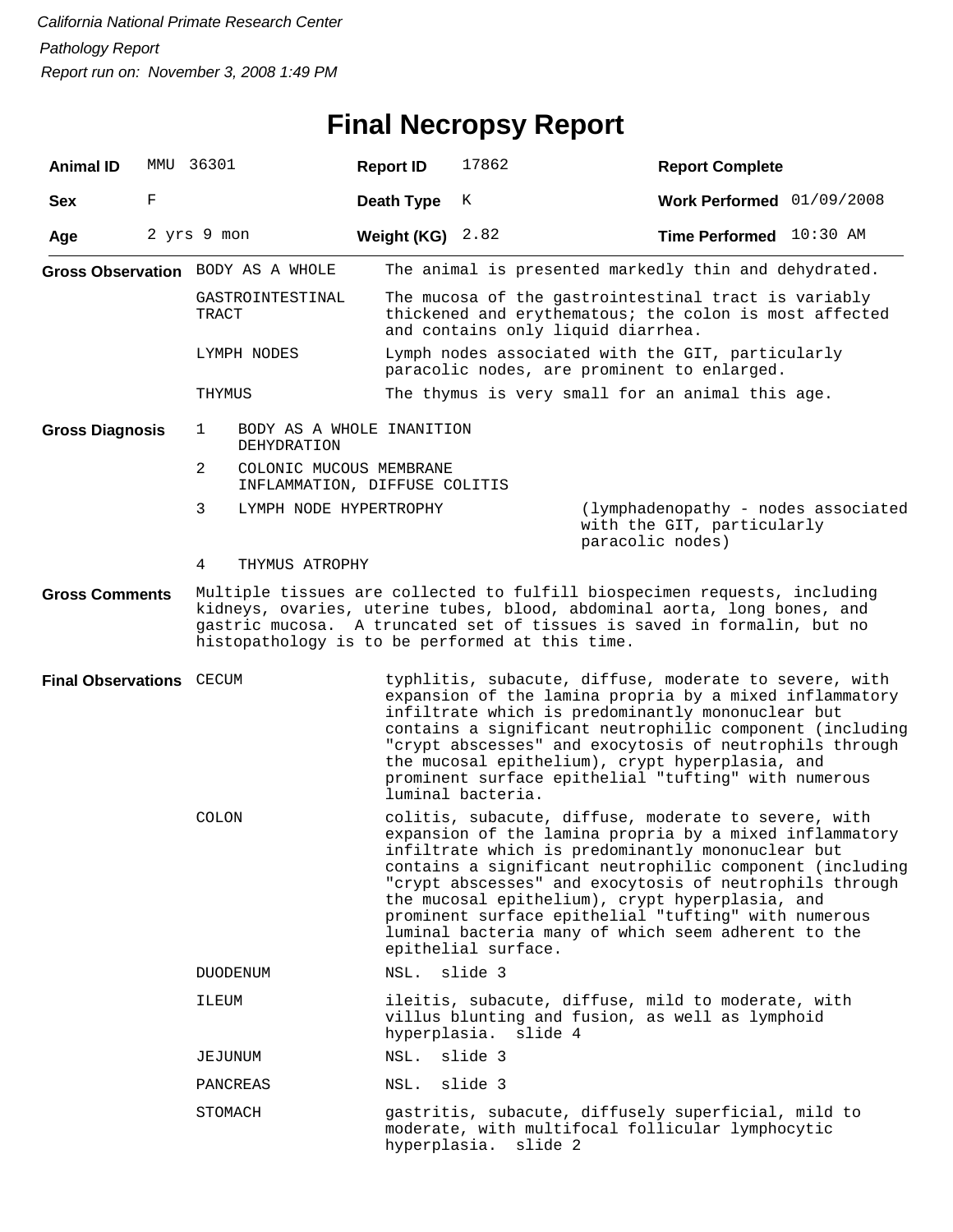## **Final Necropsy Report**

| <b>Animal ID</b>         |   | MMU 36301                                                     | <b>Report ID</b>                                                                                                                                                                                                                                                                                                                                                                                                                                                                     | 17862                | <b>Report Complete</b>                                                                                                                                                                                                                                                                                                                                                                                   |  |
|--------------------------|---|---------------------------------------------------------------|--------------------------------------------------------------------------------------------------------------------------------------------------------------------------------------------------------------------------------------------------------------------------------------------------------------------------------------------------------------------------------------------------------------------------------------------------------------------------------------|----------------------|----------------------------------------------------------------------------------------------------------------------------------------------------------------------------------------------------------------------------------------------------------------------------------------------------------------------------------------------------------------------------------------------------------|--|
| <b>Sex</b>               | F |                                                               | Death Type                                                                                                                                                                                                                                                                                                                                                                                                                                                                           | K                    | Work Performed 01/09/2008                                                                                                                                                                                                                                                                                                                                                                                |  |
| Age                      |   | 2 yrs 9 mon                                                   | Weight (KG)                                                                                                                                                                                                                                                                                                                                                                                                                                                                          | 2.82                 | Time Performed 10:30 AM                                                                                                                                                                                                                                                                                                                                                                                  |  |
|                          |   | Gross Observation BODY AS A WHOLE                             |                                                                                                                                                                                                                                                                                                                                                                                                                                                                                      |                      | The animal is presented markedly thin and dehydrated.                                                                                                                                                                                                                                                                                                                                                    |  |
|                          |   | GASTROINTESTINAL<br>TRACT                                     |                                                                                                                                                                                                                                                                                                                                                                                                                                                                                      |                      | The mucosa of the gastrointestinal tract is variably<br>thickened and erythematous; the colon is most affected<br>and contains only liquid diarrhea.                                                                                                                                                                                                                                                     |  |
|                          |   | LYMPH NODES                                                   |                                                                                                                                                                                                                                                                                                                                                                                                                                                                                      |                      | Lymph nodes associated with the GIT, particularly<br>paracolic nodes, are prominent to enlarged.                                                                                                                                                                                                                                                                                                         |  |
|                          |   | THYMUS                                                        |                                                                                                                                                                                                                                                                                                                                                                                                                                                                                      |                      | The thymus is very small for an animal this age.                                                                                                                                                                                                                                                                                                                                                         |  |
| <b>Gross Diagnosis</b>   |   | BODY AS A WHOLE INANITION<br>1<br>DEHYDRATION                 |                                                                                                                                                                                                                                                                                                                                                                                                                                                                                      |                      |                                                                                                                                                                                                                                                                                                                                                                                                          |  |
|                          |   | 2<br>COLONIC MUCOUS MEMBRANE<br>INFLAMMATION, DIFFUSE COLITIS |                                                                                                                                                                                                                                                                                                                                                                                                                                                                                      |                      |                                                                                                                                                                                                                                                                                                                                                                                                          |  |
|                          |   | 3<br>LYMPH NODE HYPERTROPHY                                   |                                                                                                                                                                                                                                                                                                                                                                                                                                                                                      |                      | (lymphadenopathy - nodes associated<br>with the GIT, particularly<br>paracolic nodes)                                                                                                                                                                                                                                                                                                                    |  |
|                          |   | 4<br>THYMUS ATROPHY                                           |                                                                                                                                                                                                                                                                                                                                                                                                                                                                                      |                      |                                                                                                                                                                                                                                                                                                                                                                                                          |  |
| <b>Gross Comments</b>    |   | histopathology is to be performed at this time.               |                                                                                                                                                                                                                                                                                                                                                                                                                                                                                      |                      | Multiple tissues are collected to fulfill biospecimen requests, including<br>kidneys, ovaries, uterine tubes, blood, abdominal aorta, long bones, and<br>gastric mucosa. A truncated set of tissues is saved in formalin, but no                                                                                                                                                                         |  |
| Final Observations CECUM |   |                                                               |                                                                                                                                                                                                                                                                                                                                                                                                                                                                                      | luminal bacteria.    | typhlitis, subacute, diffuse, moderate to severe, with<br>expansion of the lamina propria by a mixed inflammatory<br>infiltrate which is predominantly mononuclear but<br>contains a significant neutrophilic component (including<br>"crypt abscesses" and exocytosis of neutrophils through<br>the mucosal epithelium), crypt hyperplasia, and<br>prominent surface epithelial "tufting" with numerous |  |
|                          |   | <b>COLON</b>                                                  | colitis, subacute, diffuse, moderate to severe, with<br>expansion of the lamina propria by a mixed inflammatory<br>infiltrate which is predominantly mononuclear but<br>contains a significant neutrophilic component (including<br>"crypt abscesses" and exocytosis of neutrophils through<br>the mucosal epithelium), crypt hyperplasia, and<br>prominent surface epithelial "tufting" with numerous<br>luminal bacteria many of which seem adherent to the<br>epithelial surface. |                      |                                                                                                                                                                                                                                                                                                                                                                                                          |  |
|                          |   | <b>DUODENUM</b>                                               | NSL.                                                                                                                                                                                                                                                                                                                                                                                                                                                                                 | slide 3              |                                                                                                                                                                                                                                                                                                                                                                                                          |  |
|                          |   | ILEUM                                                         |                                                                                                                                                                                                                                                                                                                                                                                                                                                                                      | hyperplasia. slide 4 | ileitis, subacute, diffuse, mild to moderate, with<br>villus blunting and fusion, as well as lymphoid                                                                                                                                                                                                                                                                                                    |  |
|                          |   | JEJUNUM                                                       | NSL.                                                                                                                                                                                                                                                                                                                                                                                                                                                                                 | slide 3              |                                                                                                                                                                                                                                                                                                                                                                                                          |  |
|                          |   | PANCREAS                                                      | NSL.                                                                                                                                                                                                                                                                                                                                                                                                                                                                                 | slide 3              |                                                                                                                                                                                                                                                                                                                                                                                                          |  |
|                          |   | STOMACH                                                       |                                                                                                                                                                                                                                                                                                                                                                                                                                                                                      | hyperplasia. slide 2 | gastritis, subacute, diffusely superficial, mild to<br>moderate, with multifocal follicular lymphocytic                                                                                                                                                                                                                                                                                                  |  |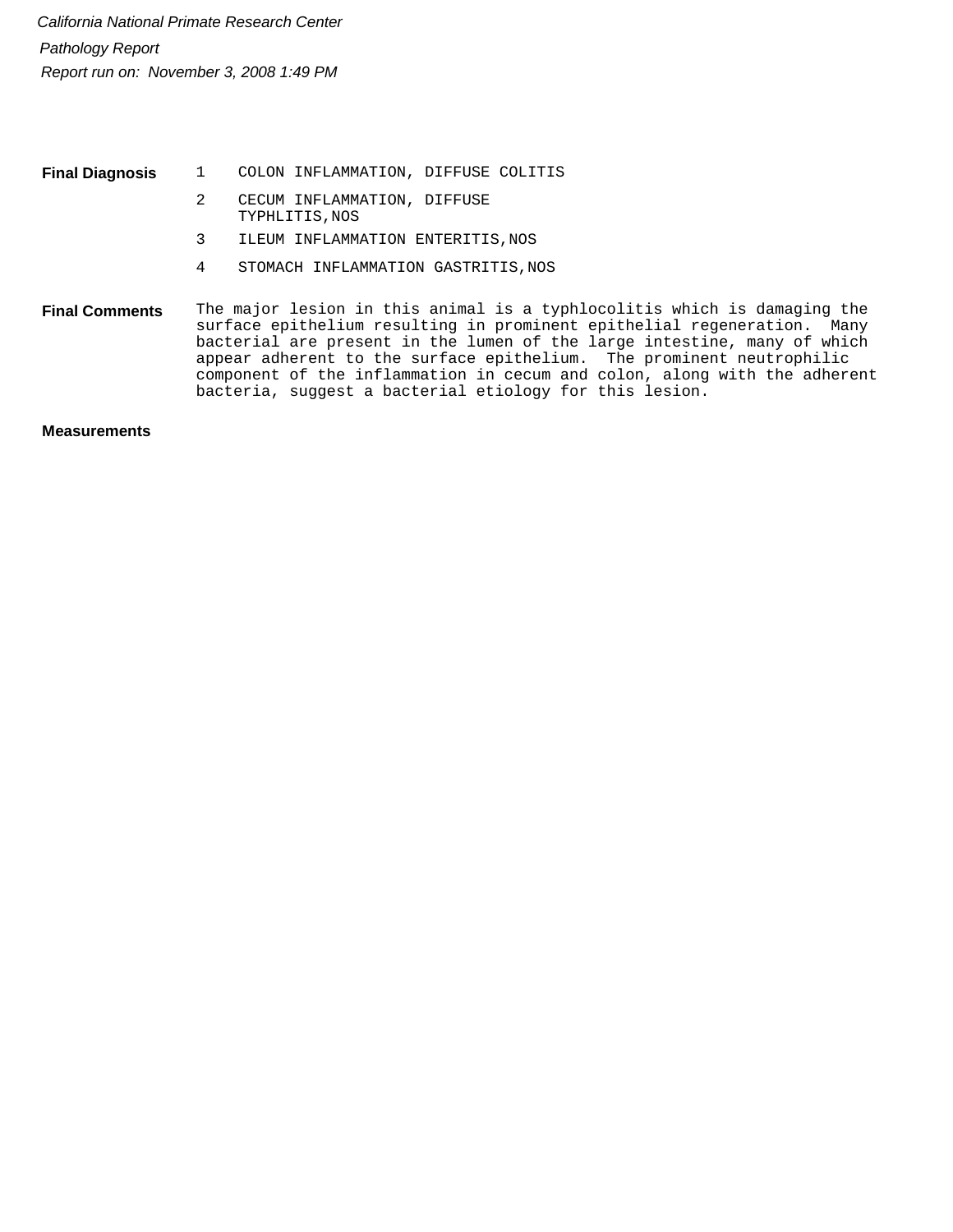1 COLON INFLAMMATION, DIFFUSE COLITIS **Final Diagnosis**

- 2 CECUM INFLAMMATION, DIFFUSE TYPHLITIS,NOS
- 3 ILEUM INFLAMMATION ENTERITIS, NOS
- 4 STOMACH INFLAMMATION GASTRITIS, NOS

The major lesion in this animal is a typhlocolitis which is damaging the surface epithelium resulting in prominent epithelial regeneration. Many bacterial are present in the lumen of the large intestine, many of which appear adherent to the surface epithelium. The prominent neutrophilic component of the inflammation in cecum and colon, along with the adherent bacteria, suggest a bacterial etiology for this lesion. **Final Comments**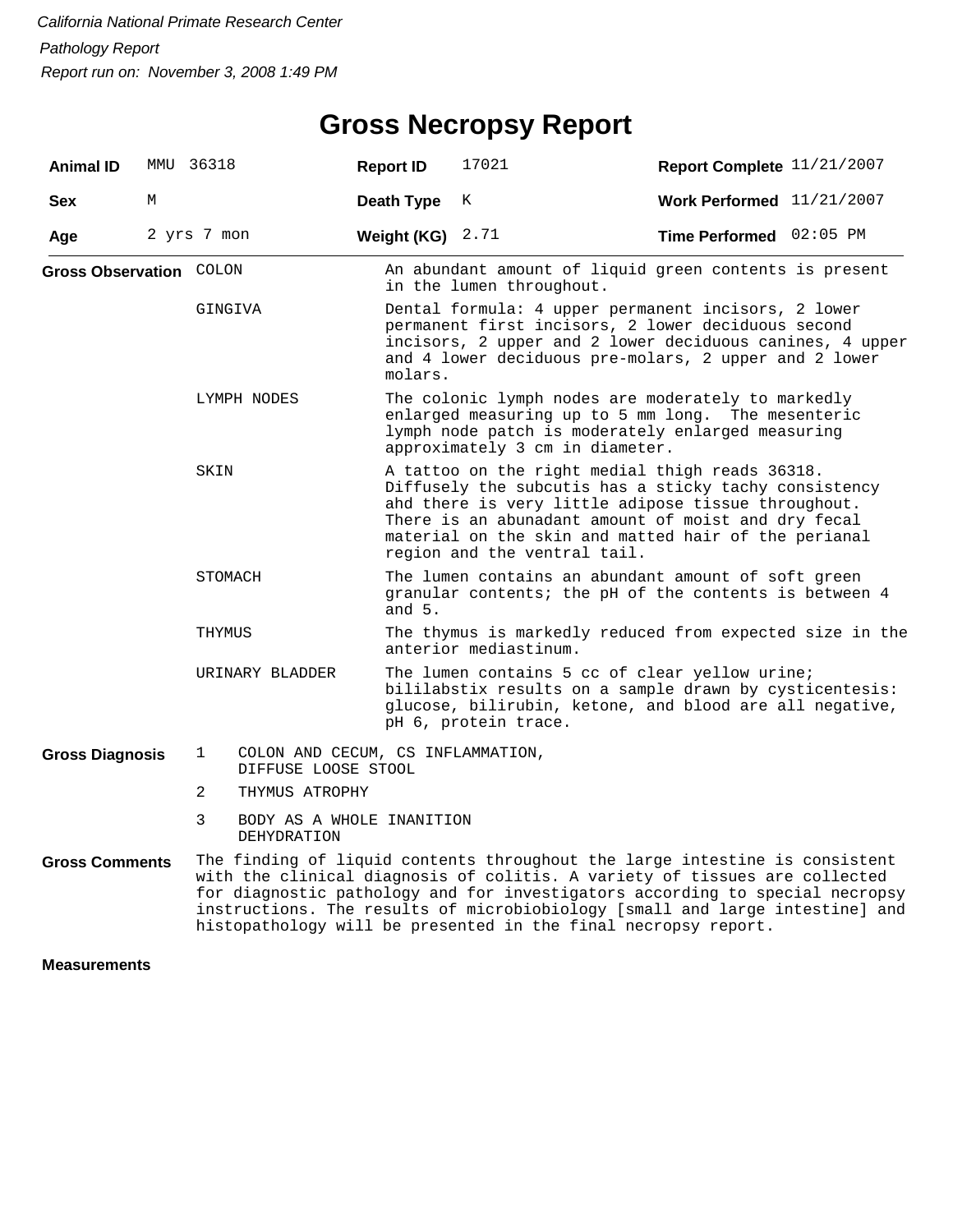### **Gross Necropsy Report**

| <b>Animal ID</b>        |   | MMU 36318                                                                                                                                                                                                                                                                                                                                                                                   | <b>Report ID</b>                                                                                                                                                                                                                                                                                               | 17021                                                                                                                                                                                                                          | Report Complete 11/21/2007 |  |  |  |  |  |
|-------------------------|---|---------------------------------------------------------------------------------------------------------------------------------------------------------------------------------------------------------------------------------------------------------------------------------------------------------------------------------------------------------------------------------------------|----------------------------------------------------------------------------------------------------------------------------------------------------------------------------------------------------------------------------------------------------------------------------------------------------------------|--------------------------------------------------------------------------------------------------------------------------------------------------------------------------------------------------------------------------------|----------------------------|--|--|--|--|--|
| <b>Sex</b>              | М |                                                                                                                                                                                                                                                                                                                                                                                             | Death Type                                                                                                                                                                                                                                                                                                     | К                                                                                                                                                                                                                              | Work Performed 11/21/2007  |  |  |  |  |  |
| Age                     |   | 2 yrs 7 mon                                                                                                                                                                                                                                                                                                                                                                                 | Weight (KG)                                                                                                                                                                                                                                                                                                    | 2.71                                                                                                                                                                                                                           | Time Performed 02:05 PM    |  |  |  |  |  |
| Gross Observation COLON |   |                                                                                                                                                                                                                                                                                                                                                                                             |                                                                                                                                                                                                                                                                                                                | An abundant amount of liquid green contents is present<br>in the lumen throughout.                                                                                                                                             |                            |  |  |  |  |  |
|                         |   | GINGIVA                                                                                                                                                                                                                                                                                                                                                                                     | molars.                                                                                                                                                                                                                                                                                                        | Dental formula: 4 upper permanent incisors, 2 lower<br>permanent first incisors, 2 lower deciduous second<br>incisors, 2 upper and 2 lower deciduous canines, 4 upper<br>and 4 lower deciduous pre-molars, 2 upper and 2 lower |                            |  |  |  |  |  |
|                         |   | LYMPH NODES                                                                                                                                                                                                                                                                                                                                                                                 |                                                                                                                                                                                                                                                                                                                | The colonic lymph nodes are moderately to markedly<br>enlarged measuring up to 5 mm long. The mesenteric<br>lymph node patch is moderately enlarged measuring<br>approximately 3 cm in diameter.                               |                            |  |  |  |  |  |
|                         |   | SKIN                                                                                                                                                                                                                                                                                                                                                                                        | A tattoo on the right medial thigh reads 36318.<br>Diffusely the subcutis has a sticky tachy consistency<br>ahd there is very little adipose tissue throughout.<br>There is an abunadant amount of moist and dry fecal<br>material on the skin and matted hair of the perianal<br>region and the ventral tail. |                                                                                                                                                                                                                                |                            |  |  |  |  |  |
|                         |   | STOMACH                                                                                                                                                                                                                                                                                                                                                                                     | and $5.$                                                                                                                                                                                                                                                                                                       | The lumen contains an abundant amount of soft green<br>granular contents; the pH of the contents is between 4                                                                                                                  |                            |  |  |  |  |  |
|                         |   | THYMUS                                                                                                                                                                                                                                                                                                                                                                                      |                                                                                                                                                                                                                                                                                                                | The thymus is markedly reduced from expected size in the<br>anterior mediastinum.                                                                                                                                              |                            |  |  |  |  |  |
|                         |   | URINARY BLADDER                                                                                                                                                                                                                                                                                                                                                                             |                                                                                                                                                                                                                                                                                                                | The lumen contains 5 cc of clear yellow urine;<br>bililabstix results on a sample drawn by cysticentesis:<br>glucose, bilirubin, ketone, and blood are all negative,<br>pH 6, protein trace.                                   |                            |  |  |  |  |  |
| <b>Gross Diagnosis</b>  |   | 1<br>COLON AND CECUM, CS INFLAMMATION,<br>DIFFUSE LOOSE STOOL                                                                                                                                                                                                                                                                                                                               |                                                                                                                                                                                                                                                                                                                |                                                                                                                                                                                                                                |                            |  |  |  |  |  |
|                         |   | $\overline{2}$<br>THYMUS ATROPHY                                                                                                                                                                                                                                                                                                                                                            |                                                                                                                                                                                                                                                                                                                |                                                                                                                                                                                                                                |                            |  |  |  |  |  |
|                         |   | 3<br>BODY AS A WHOLE INANITION<br>DEHYDRATION                                                                                                                                                                                                                                                                                                                                               |                                                                                                                                                                                                                                                                                                                |                                                                                                                                                                                                                                |                            |  |  |  |  |  |
| <b>Gross Comments</b>   |   | The finding of liquid contents throughout the large intestine is consistent<br>with the clinical diagnosis of colitis. A variety of tissues are collected<br>for diagnostic pathology and for investigators according to special necropsy<br>instructions. The results of microbiobiology [small and large intestine] and<br>histopathology will be presented in the final necropsy report. |                                                                                                                                                                                                                                                                                                                |                                                                                                                                                                                                                                |                            |  |  |  |  |  |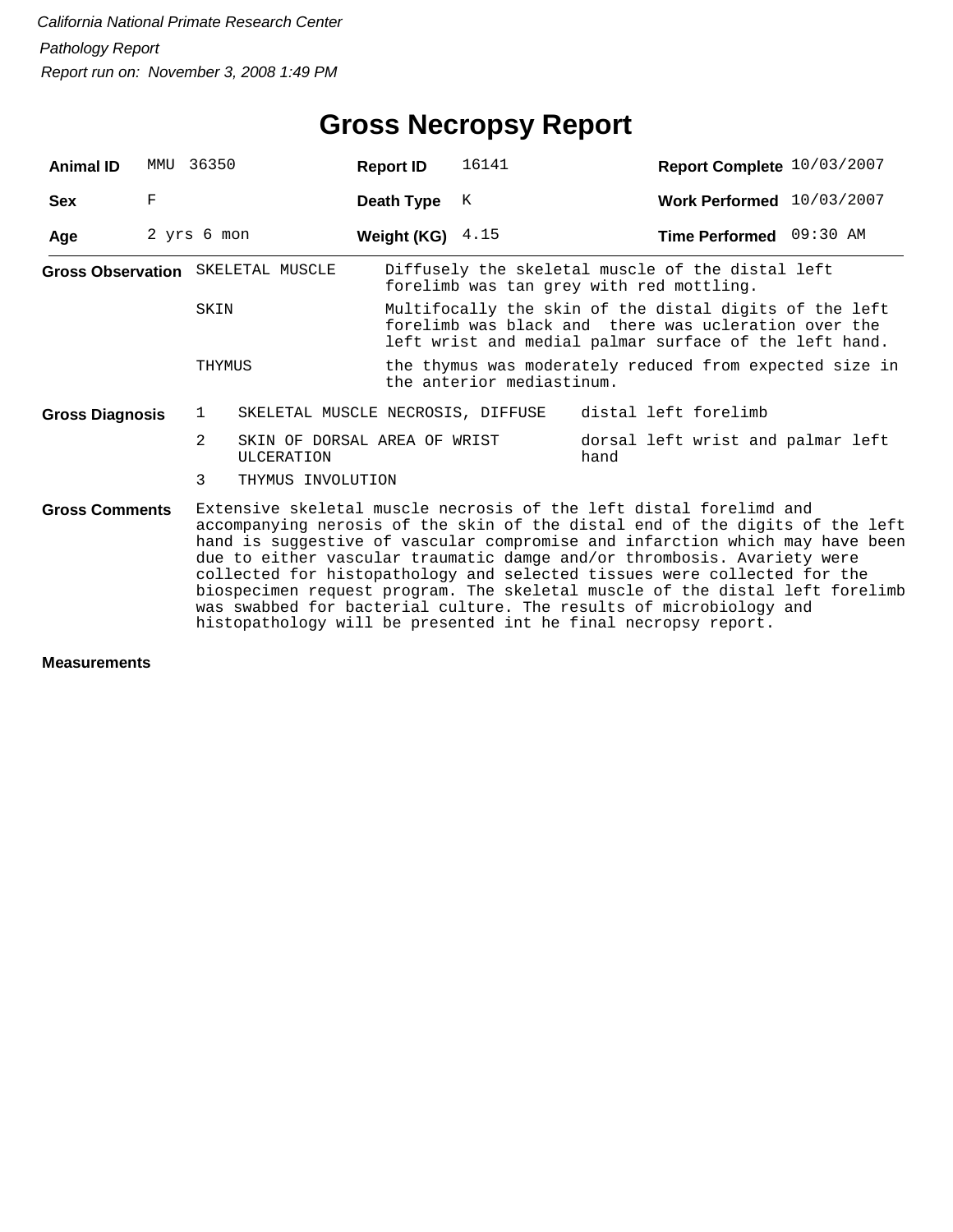| <b>Animal ID</b>                  | MMU                                                                                                                                                                                                                                                                                                                                                                                                                                                                                                                                                                                                               | 36350          |                                                   | <b>Report ID</b>   | 16141                                                                                                                                                                    | Report Complete 10/03/2007                                                                   |  |  |
|-----------------------------------|-------------------------------------------------------------------------------------------------------------------------------------------------------------------------------------------------------------------------------------------------------------------------------------------------------------------------------------------------------------------------------------------------------------------------------------------------------------------------------------------------------------------------------------------------------------------------------------------------------------------|----------------|---------------------------------------------------|--------------------|--------------------------------------------------------------------------------------------------------------------------------------------------------------------------|----------------------------------------------------------------------------------------------|--|--|
| <b>Sex</b>                        | $\mathbf F$                                                                                                                                                                                                                                                                                                                                                                                                                                                                                                                                                                                                       |                |                                                   | Death Type         | K                                                                                                                                                                        | Work Performed 10/03/2007                                                                    |  |  |
| Age                               |                                                                                                                                                                                                                                                                                                                                                                                                                                                                                                                                                                                                                   | 2 yrs 6 mon    |                                                   | Weight (KG) $4.15$ |                                                                                                                                                                          | Time Performed 09:30 AM                                                                      |  |  |
| Gross Observation SKELETAL MUSCLE |                                                                                                                                                                                                                                                                                                                                                                                                                                                                                                                                                                                                                   |                |                                                   |                    |                                                                                                                                                                          | Diffusely the skeletal muscle of the distal left<br>forelimb was tan grey with red mottling. |  |  |
|                                   |                                                                                                                                                                                                                                                                                                                                                                                                                                                                                                                                                                                                                   | SKIN           |                                                   |                    | Multifocally the skin of the distal digits of the left<br>forelimb was black and there was ucleration over the<br>left wrist and medial palmar surface of the left hand. |                                                                                              |  |  |
|                                   |                                                                                                                                                                                                                                                                                                                                                                                                                                                                                                                                                                                                                   | THYMUS         |                                                   |                    | the anterior mediastinum.                                                                                                                                                | the thymus was moderately reduced from expected size in                                      |  |  |
| <b>Gross Diagnosis</b>            |                                                                                                                                                                                                                                                                                                                                                                                                                                                                                                                                                                                                                   | $\mathbf{1}$   | SKELETAL MUSCLE NECROSIS, DIFFUSE                 |                    |                                                                                                                                                                          | distal left forelimb                                                                         |  |  |
|                                   |                                                                                                                                                                                                                                                                                                                                                                                                                                                                                                                                                                                                                   | $\overline{2}$ | SKIN OF DORSAL AREA OF WRIST<br><b>ULCERATION</b> |                    |                                                                                                                                                                          | dorsal left wrist and palmar left<br>hand                                                    |  |  |
|                                   |                                                                                                                                                                                                                                                                                                                                                                                                                                                                                                                                                                                                                   | 3              | THYMUS INVOLUTION                                 |                    |                                                                                                                                                                          |                                                                                              |  |  |
| <b>Gross Comments</b>             | Extensive skeletal muscle necrosis of the left distal forelimd and<br>accompanying nerosis of the skin of the distal end of the digits of the left<br>hand is suggestive of vascular compromise and infarction which may have been<br>due to either vascular traumatic damge and/or thrombosis. Avariety were<br>collected for histopathology and selected tissues were collected for the<br>biospecimen request program. The skeletal muscle of the distal left forelimb<br>was swabbed for bacterial culture. The results of microbiology and<br>histopathology will be presented int he final necropsy report. |                |                                                   |                    |                                                                                                                                                                          |                                                                                              |  |  |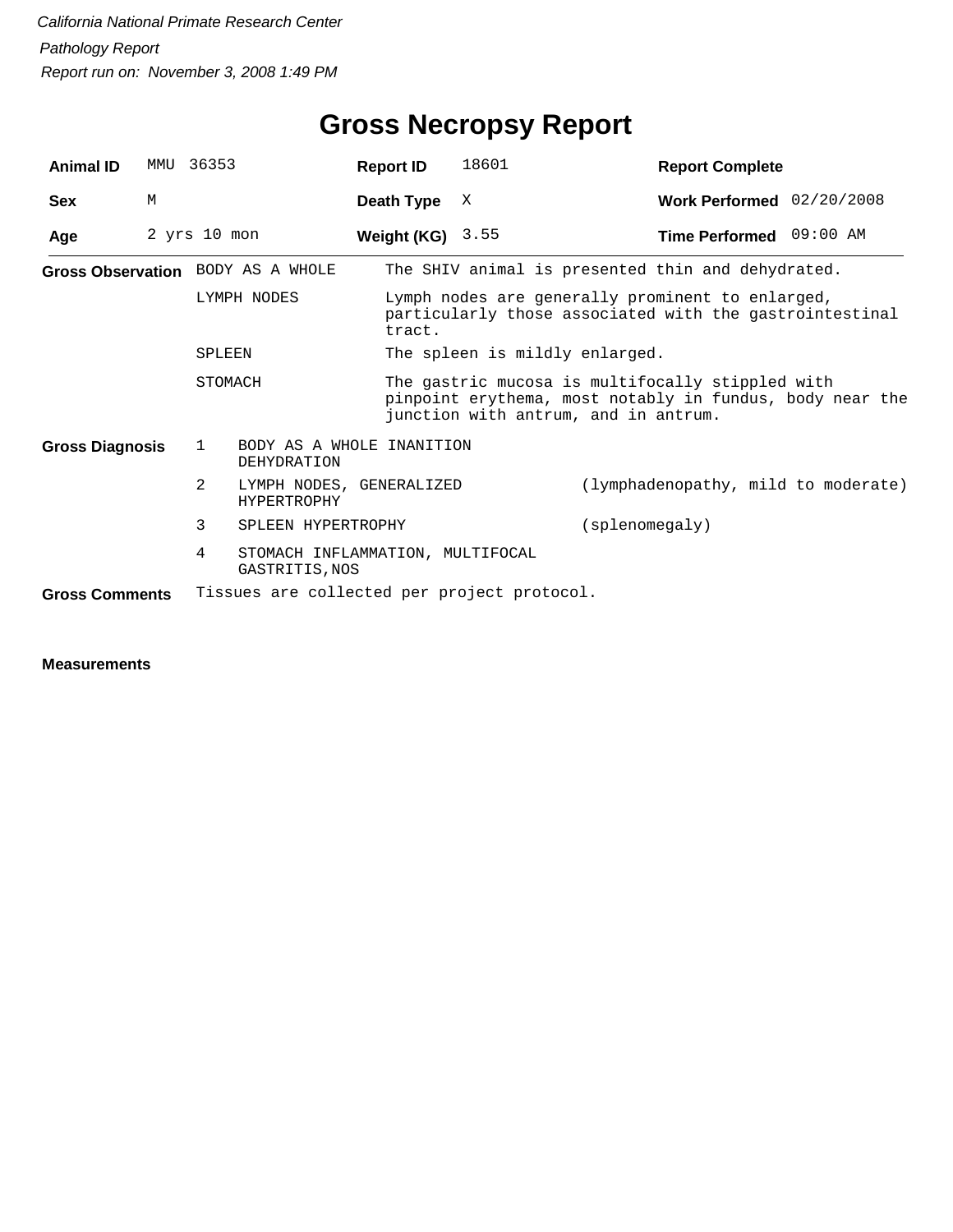| <b>Animal ID</b>       |   | MMU 36353                                               | <b>Report ID</b>   | 18601                                                                                                                                                | <b>Report Complete</b>              |  |  |  |
|------------------------|---|---------------------------------------------------------|--------------------|------------------------------------------------------------------------------------------------------------------------------------------------------|-------------------------------------|--|--|--|
| <b>Sex</b>             | M |                                                         | Death Type         | X                                                                                                                                                    | Work Performed 02/20/2008           |  |  |  |
| Age                    |   | $2$ yrs $10$ mon                                        | Weight (KG) $3.55$ |                                                                                                                                                      | Time Performed 09:00 AM             |  |  |  |
|                        |   | Gross Observation BODY AS A WHOLE                       |                    | The SHIV animal is presented thin and dehydrated.                                                                                                    |                                     |  |  |  |
|                        |   | LYMPH NODES                                             | tract.             | Lymph nodes are generally prominent to enlarged,<br>particularly those associated with the gastrointestinal                                          |                                     |  |  |  |
|                        |   | SPLEEN                                                  |                    | The spleen is mildly enlarged.                                                                                                                       |                                     |  |  |  |
| STOMACH                |   |                                                         |                    | The gastric mucosa is multifocally stippled with<br>pinpoint erythema, most notably in fundus, body near the<br>junction with antrum, and in antrum. |                                     |  |  |  |
| <b>Gross Diagnosis</b> |   | BODY AS A WHOLE INANITION<br>1<br><b>DEHYDRATION</b>    |                    |                                                                                                                                                      |                                     |  |  |  |
|                        |   | 2<br>LYMPH NODES, GENERALIZED<br><b>HYPERTROPHY</b>     |                    |                                                                                                                                                      | (lymphadenopathy, mild to moderate) |  |  |  |
|                        |   | 3<br>SPLEEN HYPERTROPHY                                 |                    |                                                                                                                                                      | (splenomegaly)                      |  |  |  |
|                        |   | 4<br>STOMACH INFLAMMATION, MULTIFOCAL<br>GASTRITIS, NOS |                    |                                                                                                                                                      |                                     |  |  |  |
| <b>Gross Comments</b>  |   | Tissues are collected per project protocol.             |                    |                                                                                                                                                      |                                     |  |  |  |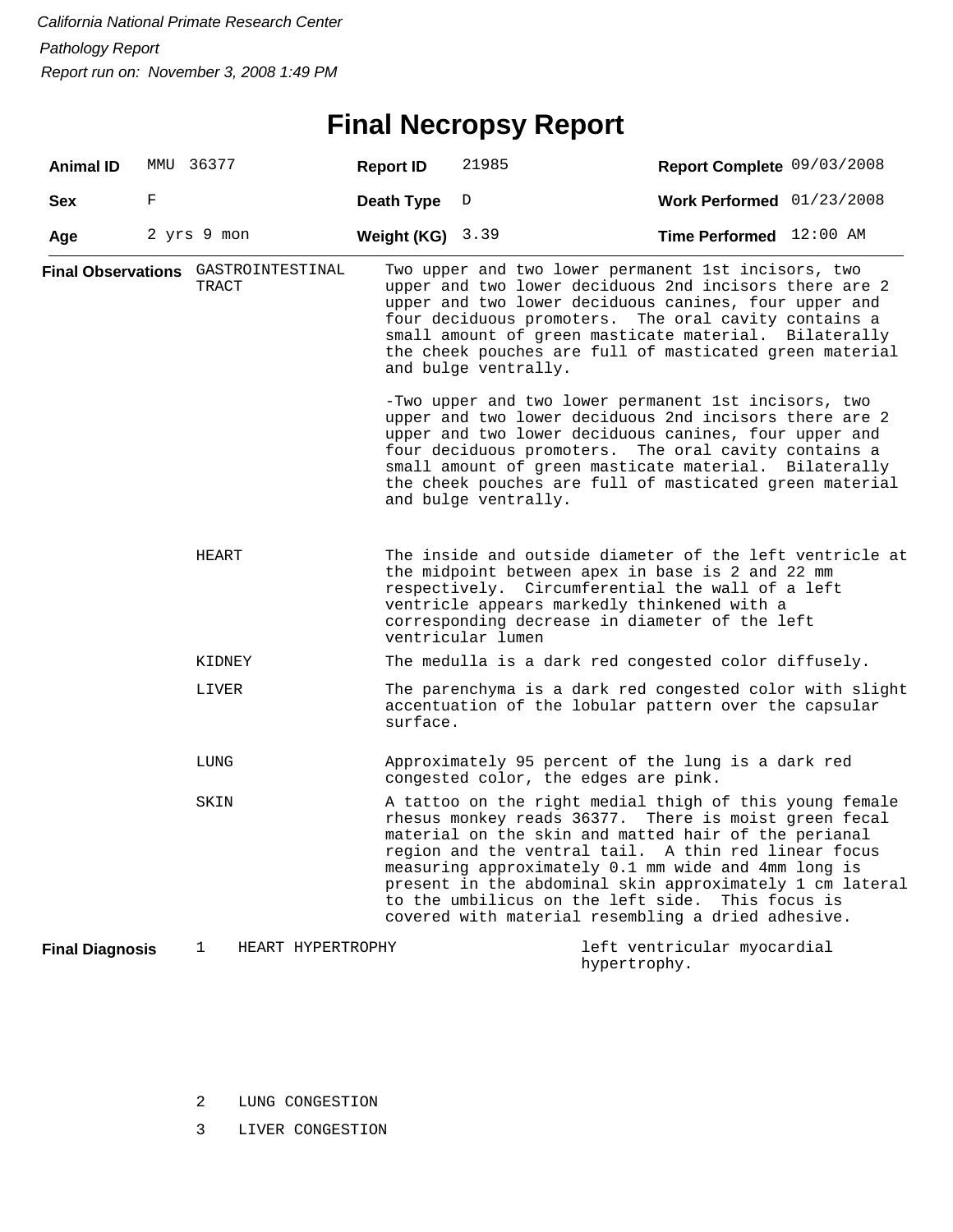## **Final Necropsy Report**

| <b>Animal ID</b>                    |       | MMU 36377   |                   | <b>Report ID</b>                                                                                                                                                                                                                                                                                                                                                            | 21985                                                                                                                                                                                                                                                             | Report Complete 09/03/2008                                                                                                                                                                                                                                                                                                                                                                                                 |  |  |
|-------------------------------------|-------|-------------|-------------------|-----------------------------------------------------------------------------------------------------------------------------------------------------------------------------------------------------------------------------------------------------------------------------------------------------------------------------------------------------------------------------|-------------------------------------------------------------------------------------------------------------------------------------------------------------------------------------------------------------------------------------------------------------------|----------------------------------------------------------------------------------------------------------------------------------------------------------------------------------------------------------------------------------------------------------------------------------------------------------------------------------------------------------------------------------------------------------------------------|--|--|
| <b>Sex</b>                          | F     |             |                   | Death Type                                                                                                                                                                                                                                                                                                                                                                  | D                                                                                                                                                                                                                                                                 | Work Performed 01/23/2008                                                                                                                                                                                                                                                                                                                                                                                                  |  |  |
| Age                                 |       | 2 yrs 9 mon |                   | Weight (KG) $3.39$                                                                                                                                                                                                                                                                                                                                                          |                                                                                                                                                                                                                                                                   | Time Performed 12:00 AM                                                                                                                                                                                                                                                                                                                                                                                                    |  |  |
| Final Observations GASTROINTESTINAL |       | TRACT       |                   |                                                                                                                                                                                                                                                                                                                                                                             | and bulge ventrally.                                                                                                                                                                                                                                              | Two upper and two lower permanent 1st incisors, two<br>upper and two lower deciduous 2nd incisors there are 2<br>upper and two lower deciduous canines, four upper and<br>four deciduous promoters. The oral cavity contains a<br>small amount of green masticate material. Bilaterally<br>the cheek pouches are full of masticated green material                                                                         |  |  |
|                                     |       |             |                   | -Two upper and two lower permanent 1st incisors, two<br>upper and two lower deciduous 2nd incisors there are 2<br>upper and two lower deciduous canines, four upper and<br>four deciduous promoters. The oral cavity contains a<br>small amount of green masticate material. Bilaterally<br>the cheek pouches are full of masticated green material<br>and bulge ventrally. |                                                                                                                                                                                                                                                                   |                                                                                                                                                                                                                                                                                                                                                                                                                            |  |  |
|                                     | HEART |             |                   | ventricular lumen                                                                                                                                                                                                                                                                                                                                                           | The inside and outside diameter of the left ventricle at<br>the midpoint between apex in base is 2 and 22 mm<br>respectively. Circumferential the wall of a left<br>ventricle appears markedly thinkened with a<br>corresponding decrease in diameter of the left |                                                                                                                                                                                                                                                                                                                                                                                                                            |  |  |
|                                     |       | KIDNEY      |                   | The medulla is a dark red congested color diffusely.                                                                                                                                                                                                                                                                                                                        |                                                                                                                                                                                                                                                                   |                                                                                                                                                                                                                                                                                                                                                                                                                            |  |  |
|                                     |       | LIVER       |                   | surface.                                                                                                                                                                                                                                                                                                                                                                    |                                                                                                                                                                                                                                                                   | The parenchyma is a dark red congested color with slight<br>accentuation of the lobular pattern over the capsular                                                                                                                                                                                                                                                                                                          |  |  |
|                                     |       | LUNG        |                   |                                                                                                                                                                                                                                                                                                                                                                             | congested color, the edges are pink.                                                                                                                                                                                                                              | Approximately 95 percent of the lung is a dark red                                                                                                                                                                                                                                                                                                                                                                         |  |  |
|                                     |       | SKIN        |                   |                                                                                                                                                                                                                                                                                                                                                                             | to the umbilicus on the left side.                                                                                                                                                                                                                                | A tattoo on the right medial thigh of this young female<br>rhesus monkey reads 36377. There is moist green fecal<br>material on the skin and matted hair of the perianal<br>region and the ventral tail. A thin red linear focus<br>measuring approximately 0.1 mm wide and 4mm long is<br>present in the abdominal skin approximately 1 cm lateral<br>This focus is<br>covered with material resembling a dried adhesive. |  |  |
| <b>Final Diagnosis</b>              |       | 1           | HEART HYPERTROPHY |                                                                                                                                                                                                                                                                                                                                                                             |                                                                                                                                                                                                                                                                   | left ventricular myocardial<br>hypertrophy.                                                                                                                                                                                                                                                                                                                                                                                |  |  |

- 2 LUNG CONGESTION
- 3 LIVER CONGESTION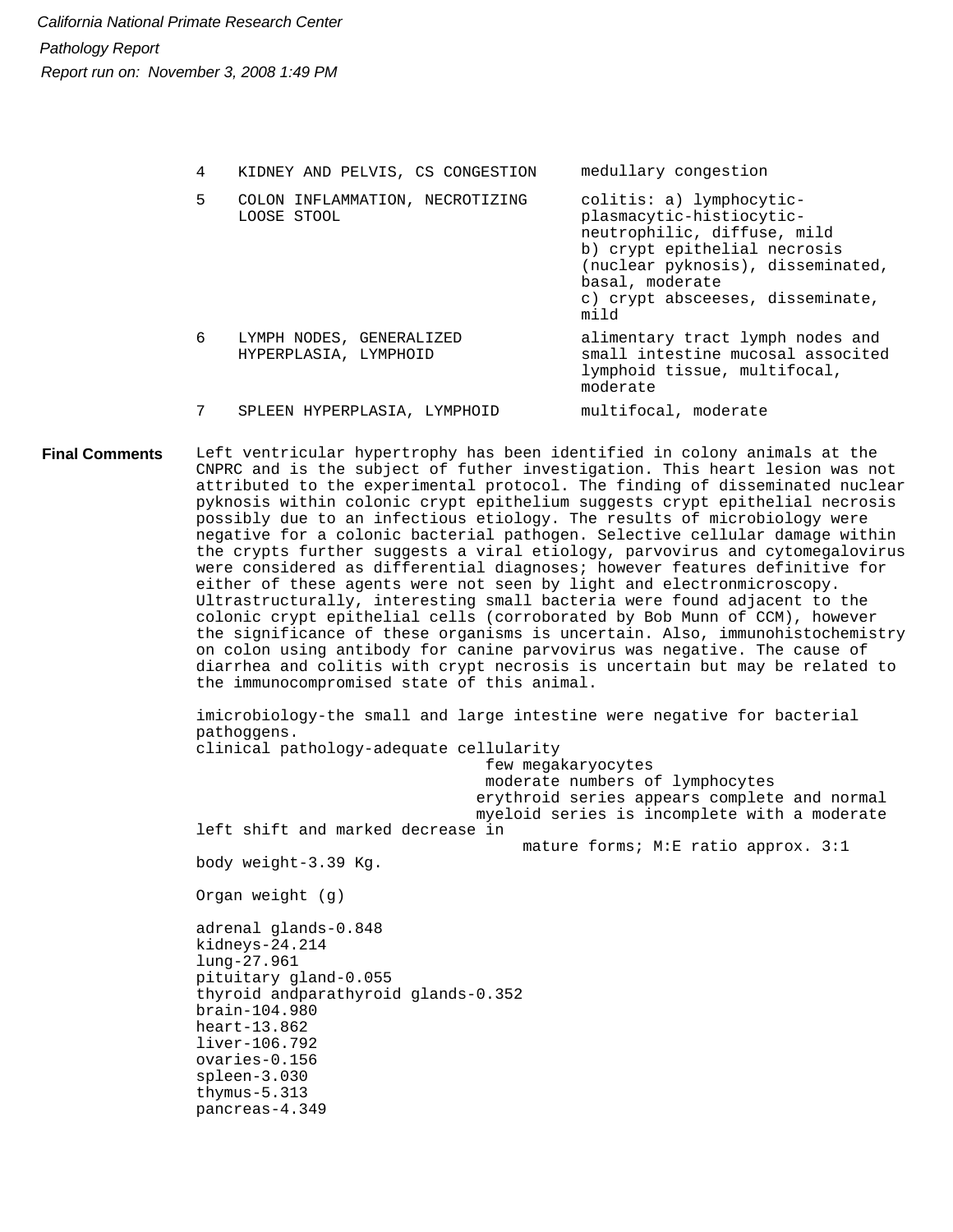| 4 | KIDNEY AND PELVIS, CS CONGESTION                  | medullary congestion                                                                                                                                                                                                    |
|---|---------------------------------------------------|-------------------------------------------------------------------------------------------------------------------------------------------------------------------------------------------------------------------------|
| 5 | COLON INFLAMMATION, NECROTIZING<br>LOOSE STOOL    | colitis: a) lymphocytic-<br>plasmacytic-histiocytic-<br>neutrophilic, diffuse, mild<br>b) crypt epithelial necrosis<br>(nuclear pyknosis), disseminated,<br>basal, moderate<br>c) crypt absceeses, disseminate,<br>mild |
| 6 | LYMPH NODES, GENERALIZED<br>HYPERPLASIA, LYMPHOID | alimentary tract lymph nodes and<br>small intestine mucosal associted<br>lymphoid tissue, multifocal,<br>moderate                                                                                                       |
|   | SPLEEN HYPERPLASIA, LYMPHOID                      | multifocal, moderate                                                                                                                                                                                                    |

Left ventricular hypertrophy has been identified in colony animals at the CNPRC and is the subject of futher investigation. This heart lesion was not attributed to the experimental protocol. The finding of disseminated nuclear pyknosis within colonic crypt epithelium suggests crypt epithelial necrosis possibly due to an infectious etiology. The results of microbiology were negative for a colonic bacterial pathogen. Selective cellular damage within the crypts further suggests a viral etiology, parvovirus and cytomegalovirus were considered as differential diagnoses; however features definitive for either of these agents were not seen by light and electronmicroscopy. Ultrastructurally, interesting small bacteria were found adjacent to the colonic crypt epithelial cells (corroborated by Bob Munn of CCM), however the significance of these organisms is uncertain. Also, immunohistochemistry on colon using antibody for canine parvovirus was negative. The cause of diarrhea and colitis with crypt necrosis is uncertain but may be related to the immunocompromised state of this animal. **Final Comments**

> imicrobiology-the small and large intestine were negative for bacterial pathoggens. clinical pathology-adequate cellularity few megakaryocytes moderate numbers of lymphocytes erythroid series appears complete and normal myeloid series is incomplete with a moderate left shift and marked decrease in mature forms; M:E ratio approx. 3:1 body weight-3.39 Kg. Organ weight (g) adrenal glands-0.848 kidneys-24.214 lung-27.961 pituitary gland-0.055 thyroid andparathyroid glands-0.352 brain-104.980 heart-13.862 liver-106.792 ovaries-0.156 spleen-3.030 thymus-5.313 pancreas-4.349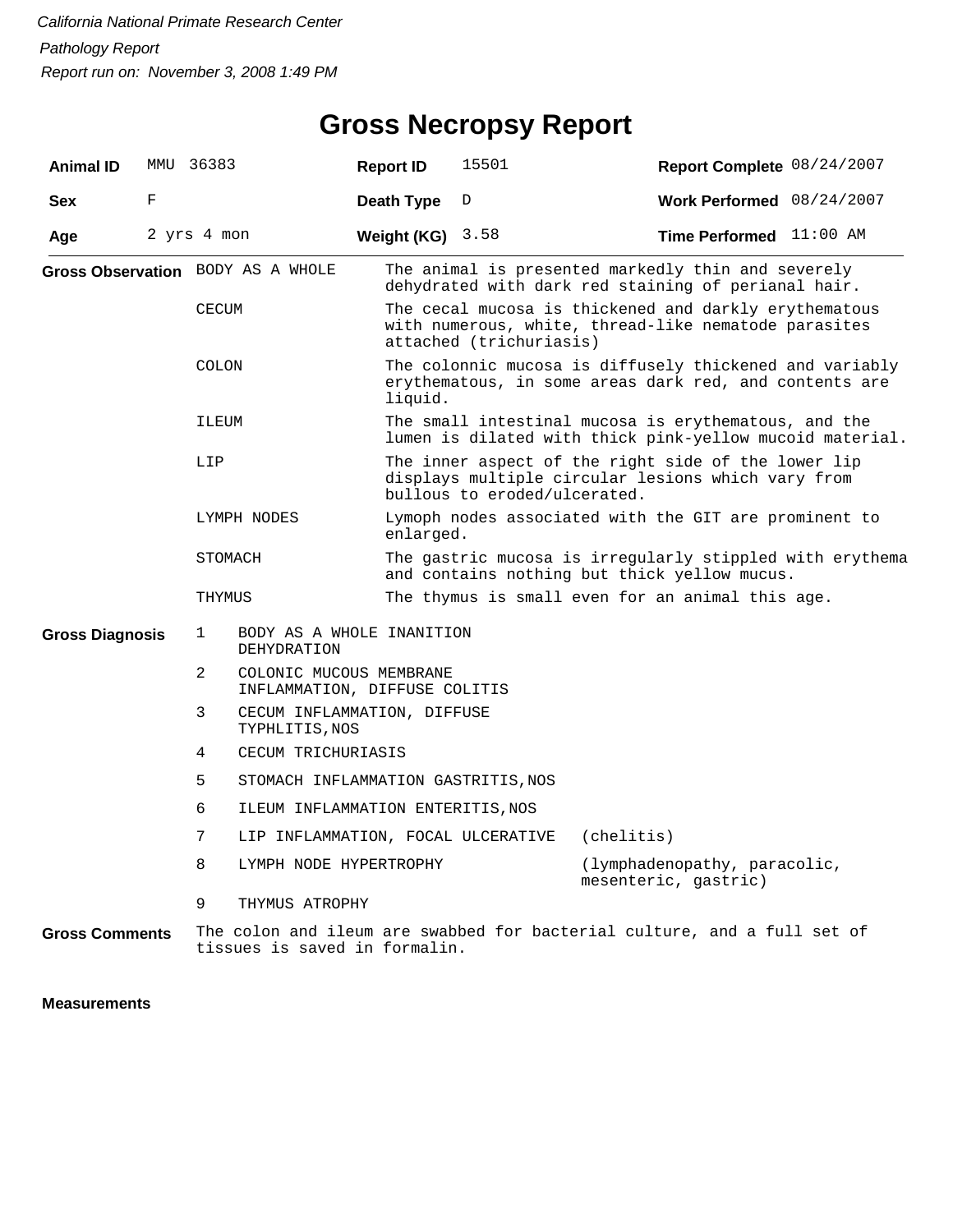## **Gross Necropsy Report**

| <b>Animal ID</b>       |   | MMU 36383                         |                                                                                                                           | <b>Report ID</b>   | 15501                                                                                                                                     | Report Complete 08/24/2007                                                                                        |                              |  |  |
|------------------------|---|-----------------------------------|---------------------------------------------------------------------------------------------------------------------------|--------------------|-------------------------------------------------------------------------------------------------------------------------------------------|-------------------------------------------------------------------------------------------------------------------|------------------------------|--|--|
| <b>Sex</b>             | F |                                   |                                                                                                                           | Death Type         | D                                                                                                                                         | Work Performed 08/24/2007                                                                                         |                              |  |  |
| Age                    |   | 2 yrs 4 mon                       |                                                                                                                           | Weight (KG) $3.58$ |                                                                                                                                           | Time Performed 11:00 AM                                                                                           |                              |  |  |
|                        |   | Gross Observation BODY AS A WHOLE |                                                                                                                           |                    | The animal is presented markedly thin and severely<br>dehydrated with dark red staining of perianal hair.                                 |                                                                                                                   |                              |  |  |
|                        |   | <b>CECUM</b>                      |                                                                                                                           |                    | The cecal mucosa is thickened and darkly erythematous<br>with numerous, white, thread-like nematode parasites<br>attached (trichuriasis)  |                                                                                                                   |                              |  |  |
|                        |   | COLON                             |                                                                                                                           | liquid.            |                                                                                                                                           | The colonnic mucosa is diffusely thickened and variably<br>erythematous, in some areas dark red, and contents are |                              |  |  |
|                        |   |                                   | The small intestinal mucosa is erythematous, and the<br>ILEUM<br>lumen is dilated with thick pink-yellow mucoid material. |                    |                                                                                                                                           |                                                                                                                   |                              |  |  |
|                        |   | LIP                               |                                                                                                                           |                    | The inner aspect of the right side of the lower lip<br>displays multiple circular lesions which vary from<br>bullous to eroded/ulcerated. |                                                                                                                   |                              |  |  |
|                        |   |                                   | LYMPH NODES                                                                                                               | enlarged.          |                                                                                                                                           | Lymoph nodes associated with the GIT are prominent to                                                             |                              |  |  |
|                        |   | STOMACH                           |                                                                                                                           |                    |                                                                                                                                           | The gastric mucosa is irregularly stippled with erythema<br>and contains nothing but thick yellow mucus.          |                              |  |  |
|                        |   | THYMUS                            |                                                                                                                           |                    | The thymus is small even for an animal this age.                                                                                          |                                                                                                                   |                              |  |  |
| <b>Gross Diagnosis</b> |   | $\mathbf 1$                       | BODY AS A WHOLE INANITION<br>DEHYDRATION                                                                                  |                    |                                                                                                                                           |                                                                                                                   |                              |  |  |
|                        |   | 2                                 | COLONIC MUCOUS MEMBRANE<br>INFLAMMATION, DIFFUSE COLITIS                                                                  |                    |                                                                                                                                           |                                                                                                                   |                              |  |  |
|                        |   | 3                                 | CECUM INFLAMMATION, DIFFUSE<br>TYPHLITIS, NOS                                                                             |                    |                                                                                                                                           |                                                                                                                   |                              |  |  |
|                        |   | 4                                 | CECUM TRICHURIASIS                                                                                                        |                    |                                                                                                                                           |                                                                                                                   |                              |  |  |
|                        |   | 5                                 | STOMACH INFLAMMATION GASTRITIS, NOS                                                                                       |                    |                                                                                                                                           |                                                                                                                   |                              |  |  |
|                        |   | 6                                 | ILEUM INFLAMMATION ENTERITIS, NOS                                                                                         |                    |                                                                                                                                           |                                                                                                                   |                              |  |  |
|                        |   | 7                                 | LIP INFLAMMATION, FOCAL ULCERATIVE                                                                                        |                    |                                                                                                                                           | (chelitis)                                                                                                        |                              |  |  |
|                        |   | 8                                 | LYMPH NODE HYPERTROPHY                                                                                                    |                    |                                                                                                                                           | mesenteric, gastric)                                                                                              | (lymphadenopathy, paracolic, |  |  |
|                        |   | 9                                 | THYMUS ATROPHY                                                                                                            |                    |                                                                                                                                           |                                                                                                                   |                              |  |  |
| <b>Gross Comments</b>  |   |                                   | tissues is saved in formalin.                                                                                             |                    |                                                                                                                                           | The colon and ileum are swabbed for bacterial culture, and a full set of                                          |                              |  |  |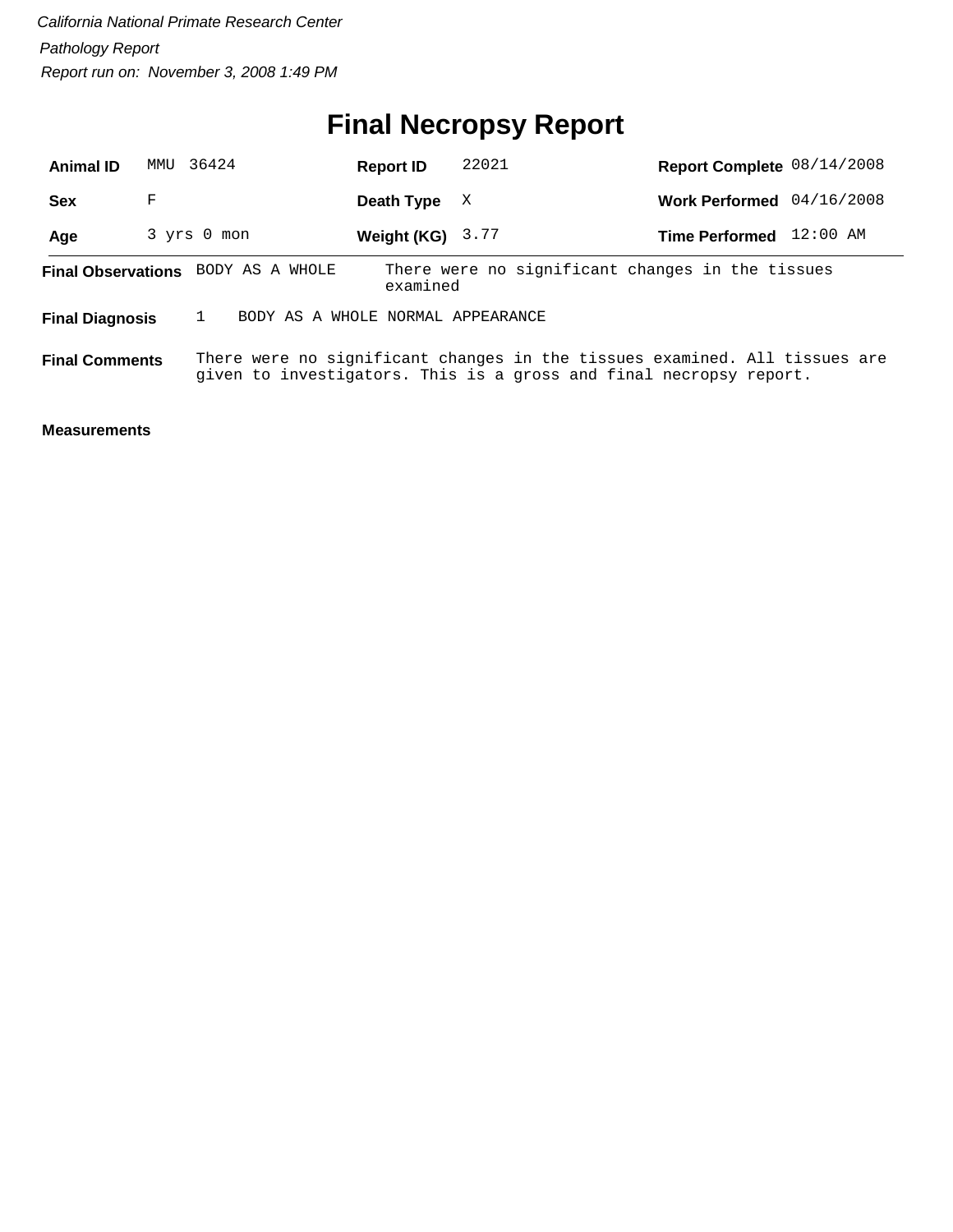# **Final Necropsy Report**

| <b>Animal ID</b>                                            | MMU | 36424                              | <b>Report ID</b>   | 22021                                                                                                                                            | Report Complete 08/14/2008 |            |
|-------------------------------------------------------------|-----|------------------------------------|--------------------|--------------------------------------------------------------------------------------------------------------------------------------------------|----------------------------|------------|
| <b>Sex</b>                                                  | F   |                                    | Death Type         | X                                                                                                                                                | <b>Work Performed</b>      | 04/16/2008 |
| Age                                                         |     | 3 yrs 0 mon                        | Weight (KG) $3.77$ |                                                                                                                                                  | <b>Time Performed</b>      | 12:00 AM   |
|                                                             |     | Final Observations BODY AS A WHOLE | examined           | There were no significant changes in the tissues                                                                                                 |                            |            |
| BODY AS A WHOLE NORMAL APPEARANCE<br><b>Final Diagnosis</b> |     |                                    |                    |                                                                                                                                                  |                            |            |
| <b>Final Comments</b>                                       |     |                                    |                    | There were no significant changes in the tissues examined. All tissues are<br>given to investigators. This is a gross and final necropsy report. |                            |            |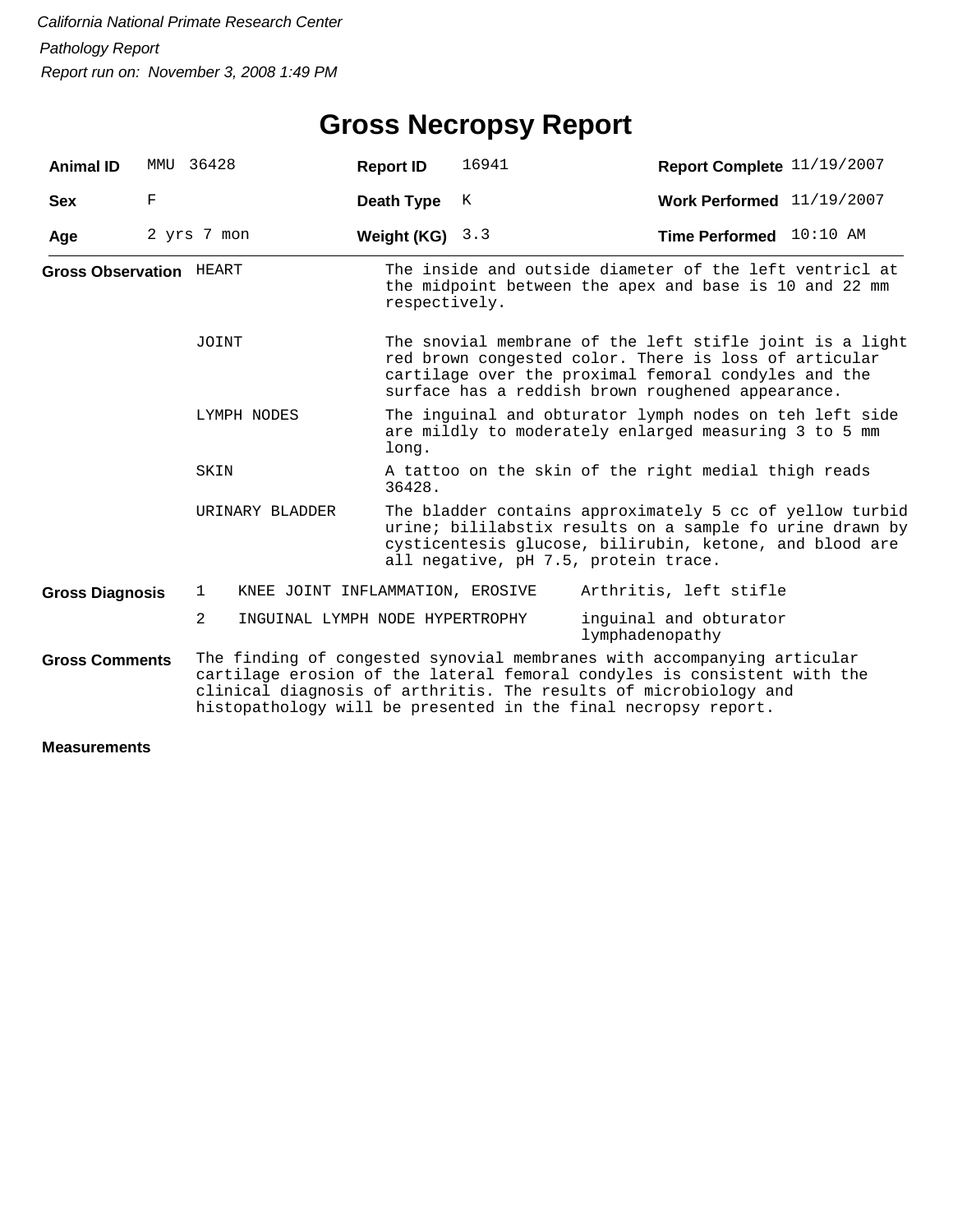## **Gross Necropsy Report**

| <b>Animal ID</b>               | MMU                                       | 36428           | <b>Report ID</b>                                                                                                 | 16941                                                                                                                                                                                                                          | Report Complete 11/19/2007                                                                                                                                                                                                                                                                |  |  |  |
|--------------------------------|-------------------------------------------|-----------------|------------------------------------------------------------------------------------------------------------------|--------------------------------------------------------------------------------------------------------------------------------------------------------------------------------------------------------------------------------|-------------------------------------------------------------------------------------------------------------------------------------------------------------------------------------------------------------------------------------------------------------------------------------------|--|--|--|
| <b>Sex</b>                     | F                                         |                 | Death Type                                                                                                       | K                                                                                                                                                                                                                              | Work Performed $11/19/2007$                                                                                                                                                                                                                                                               |  |  |  |
| Age                            |                                           | 2 yrs 7 mon     | Weight (KG)                                                                                                      | 3.3                                                                                                                                                                                                                            | Time Performed 10:10 AM                                                                                                                                                                                                                                                                   |  |  |  |
| <b>Gross Observation HEART</b> |                                           |                 | respectively.                                                                                                    |                                                                                                                                                                                                                                | The inside and outside diameter of the left ventricl at<br>the midpoint between the apex and base is 10 and 22 mm                                                                                                                                                                         |  |  |  |
| JOINT                          |                                           |                 |                                                                                                                  | The snovial membrane of the left stifle joint is a light<br>red brown congested color. There is loss of articular<br>cartilage over the proximal femoral condyles and the<br>surface has a reddish brown roughened appearance. |                                                                                                                                                                                                                                                                                           |  |  |  |
| LYMPH NODES                    |                                           | long.           | The inguinal and obturator lymph nodes on teh left side<br>are mildly to moderately enlarged measuring 3 to 5 mm |                                                                                                                                                                                                                                |                                                                                                                                                                                                                                                                                           |  |  |  |
|                                |                                           | SKIN            | 36428.                                                                                                           | A tattoo on the skin of the right medial thigh reads                                                                                                                                                                           |                                                                                                                                                                                                                                                                                           |  |  |  |
|                                |                                           | URINARY BLADDER |                                                                                                                  |                                                                                                                                                                                                                                | The bladder contains approximately 5 cc of yellow turbid<br>urine; bililabstix results on a sample fo urine drawn by<br>cysticentesis glucose, bilirubin, ketone, and blood are<br>all negative, pH 7.5, protein trace.                                                                   |  |  |  |
| <b>Gross Diagnosis</b>         |                                           | $\mathbf{1}$    | KNEE JOINT INFLAMMATION, EROSIVE                                                                                 |                                                                                                                                                                                                                                | Arthritis, left stifle                                                                                                                                                                                                                                                                    |  |  |  |
|                                | inguinal and obturator<br>lymphadenopathy |                 |                                                                                                                  |                                                                                                                                                                                                                                |                                                                                                                                                                                                                                                                                           |  |  |  |
| <b>Gross Comments</b>          |                                           |                 |                                                                                                                  |                                                                                                                                                                                                                                | The finding of congested synovial membranes with accompanying articular<br>cartilage erosion of the lateral femoral condyles is consistent with the<br>clinical diagnosis of arthritis. The results of microbiology and<br>histopathology will be presented in the final necropsy report. |  |  |  |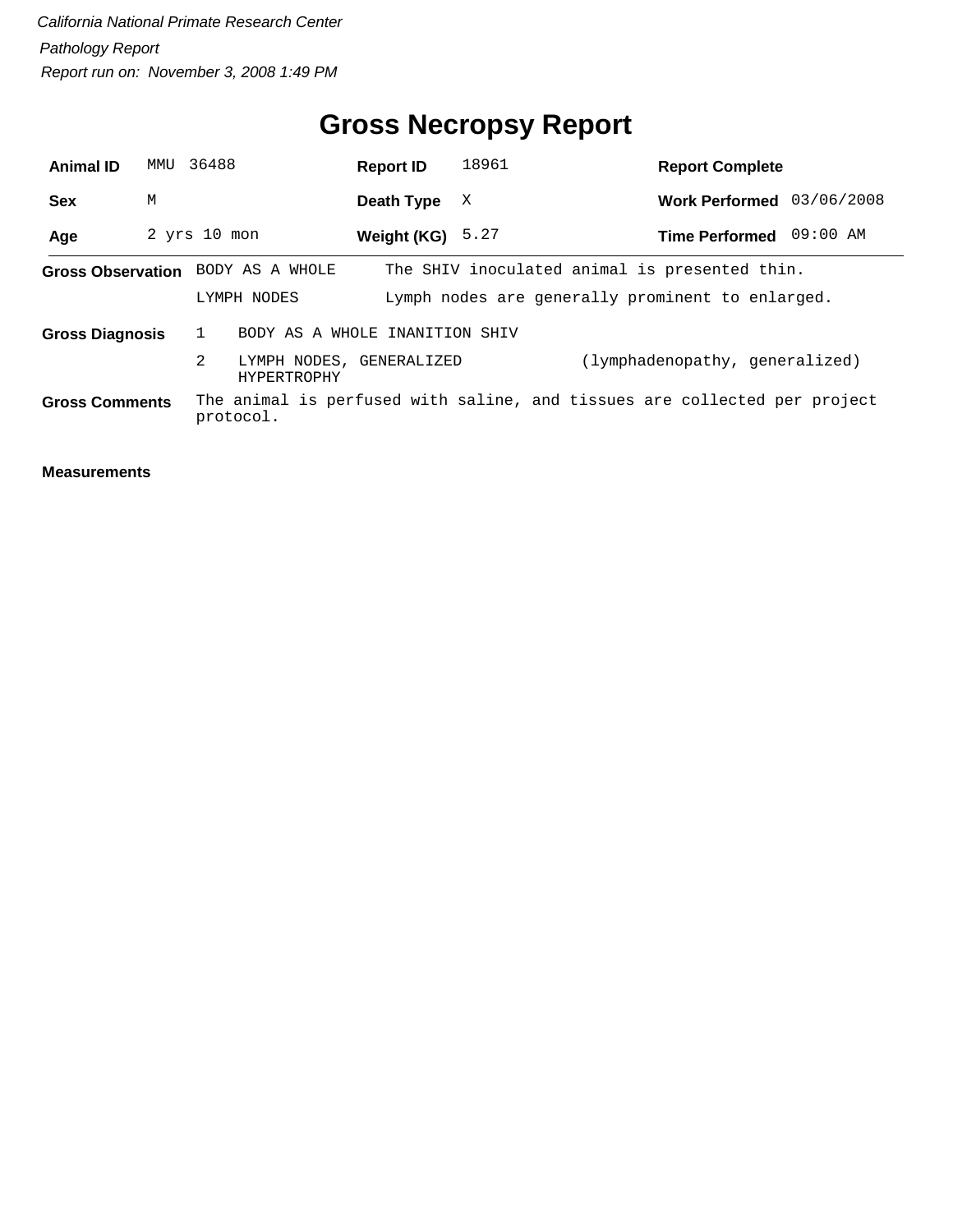## **Gross Necropsy Report**

| <b>Animal ID</b>         | MMU 36488 |                                                                                       | <b>Report ID</b>   | 18961                                                                                             | <b>Report Complete</b>         |  |
|--------------------------|-----------|---------------------------------------------------------------------------------------|--------------------|---------------------------------------------------------------------------------------------------|--------------------------------|--|
| <b>Sex</b>               | M         |                                                                                       | Death Type         | X                                                                                                 | Work Performed 03/06/2008      |  |
| Age                      |           | $2$ yrs $10$ mon                                                                      | Weight (KG) $5.27$ |                                                                                                   | Time Performed 09:00 AM        |  |
| <b>Gross Observation</b> |           | BODY AS A WHOLE<br>LYMPH NODES                                                        |                    | The SHIV inoculated animal is presented thin.<br>Lymph nodes are generally prominent to enlarged. |                                |  |
| <b>Gross Diagnosis</b>   |           | BODY AS A WHOLE INANITION SHIV<br>2<br>LYMPH NODES, GENERALIZED<br><b>HYPERTROPHY</b> |                    |                                                                                                   | (lymphadenopathy, generalized) |  |
| <b>Gross Comments</b>    |           | protocol.                                                                             |                    | The animal is perfused with saline, and tissues are collected per project                         |                                |  |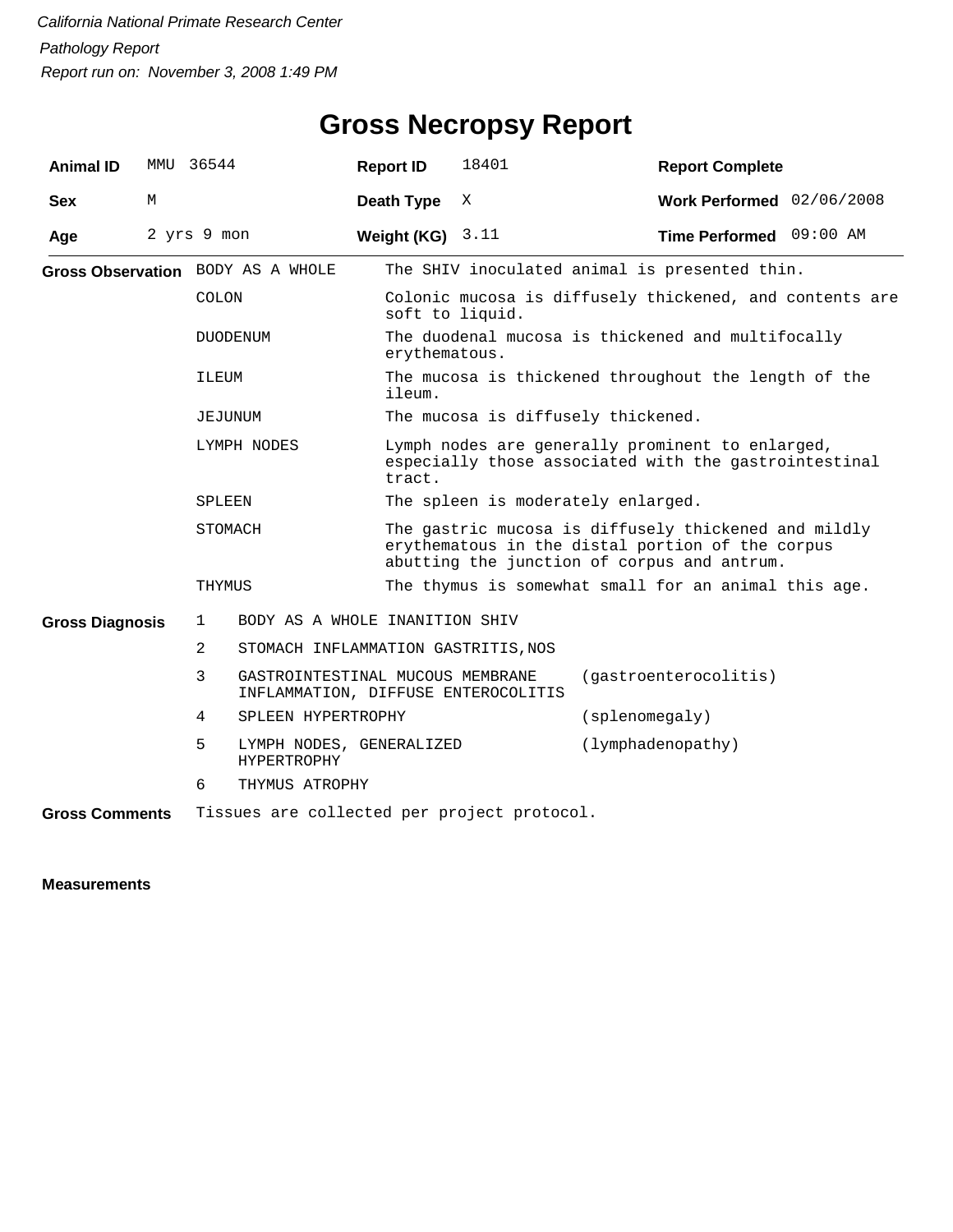| <b>Animal ID</b>       | MMU | 36544          |                                                                         | <b>Report ID</b> | 18401                                                                                                                                                   | <b>Report Complete</b>                                                                                    |  |  |
|------------------------|-----|----------------|-------------------------------------------------------------------------|------------------|---------------------------------------------------------------------------------------------------------------------------------------------------------|-----------------------------------------------------------------------------------------------------------|--|--|
| <b>Sex</b>             | M   |                |                                                                         | Death Type       | X                                                                                                                                                       | Work Performed 02/06/2008                                                                                 |  |  |
| Age                    |     | 2 yrs 9 mon    |                                                                         | Weight (KG)      | 3.11                                                                                                                                                    | Time Performed 09:00 AM                                                                                   |  |  |
|                        |     |                | Gross Observation BODY AS A WHOLE                                       |                  |                                                                                                                                                         | The SHIV inoculated animal is presented thin.                                                             |  |  |
|                        |     | <b>COLON</b>   |                                                                         |                  | Colonic mucosa is diffusely thickened, and contents are<br>soft to liquid.                                                                              |                                                                                                           |  |  |
|                        |     |                | <b>DUODENUM</b>                                                         | ervthematous.    |                                                                                                                                                         | The duodenal mucosa is thickened and multifocally                                                         |  |  |
|                        |     | ILEUM          |                                                                         | ileum.           |                                                                                                                                                         | The mucosa is thickened throughout the length of the                                                      |  |  |
|                        |     |                | JEJUNUM                                                                 |                  |                                                                                                                                                         | The mucosa is diffusely thickened.                                                                        |  |  |
|                        |     |                | LYMPH NODES                                                             | tract.           |                                                                                                                                                         | Lymph nodes are generally prominent to enlarged,<br>especially those associated with the gastrointestinal |  |  |
|                        |     | SPLEEN         |                                                                         |                  | The spleen is moderately enlarged.                                                                                                                      |                                                                                                           |  |  |
|                        |     |                | STOMACH                                                                 |                  | The gastric mucosa is diffusely thickened and mildly<br>erythematous in the distal portion of the corpus<br>abutting the junction of corpus and antrum. |                                                                                                           |  |  |
|                        |     | THYMUS         |                                                                         |                  | The thymus is somewhat small for an animal this age.                                                                                                    |                                                                                                           |  |  |
| <b>Gross Diagnosis</b> |     | $\mathbf{1}$   | BODY AS A WHOLE INANITION SHIV                                          |                  |                                                                                                                                                         |                                                                                                           |  |  |
|                        |     | $\overline{2}$ | STOMACH INFLAMMATION GASTRITIS, NOS                                     |                  |                                                                                                                                                         |                                                                                                           |  |  |
|                        |     | 3              | GASTROINTESTINAL MUCOUS MEMBRANE<br>INFLAMMATION, DIFFUSE ENTEROCOLITIS |                  |                                                                                                                                                         | (gastroenterocolitis)                                                                                     |  |  |
|                        |     | 4              | SPLEEN HYPERTROPHY                                                      |                  |                                                                                                                                                         | (splenomegaly)                                                                                            |  |  |
|                        |     | 5              | LYMPH NODES, GENERALIZED<br><b>HYPERTROPHY</b>                          |                  |                                                                                                                                                         | (lymphadenopathy)                                                                                         |  |  |
|                        |     | 6              | THYMUS ATROPHY                                                          |                  |                                                                                                                                                         |                                                                                                           |  |  |
| <b>Gross Comments</b>  |     |                | Tissues are collected per project protocol.                             |                  |                                                                                                                                                         |                                                                                                           |  |  |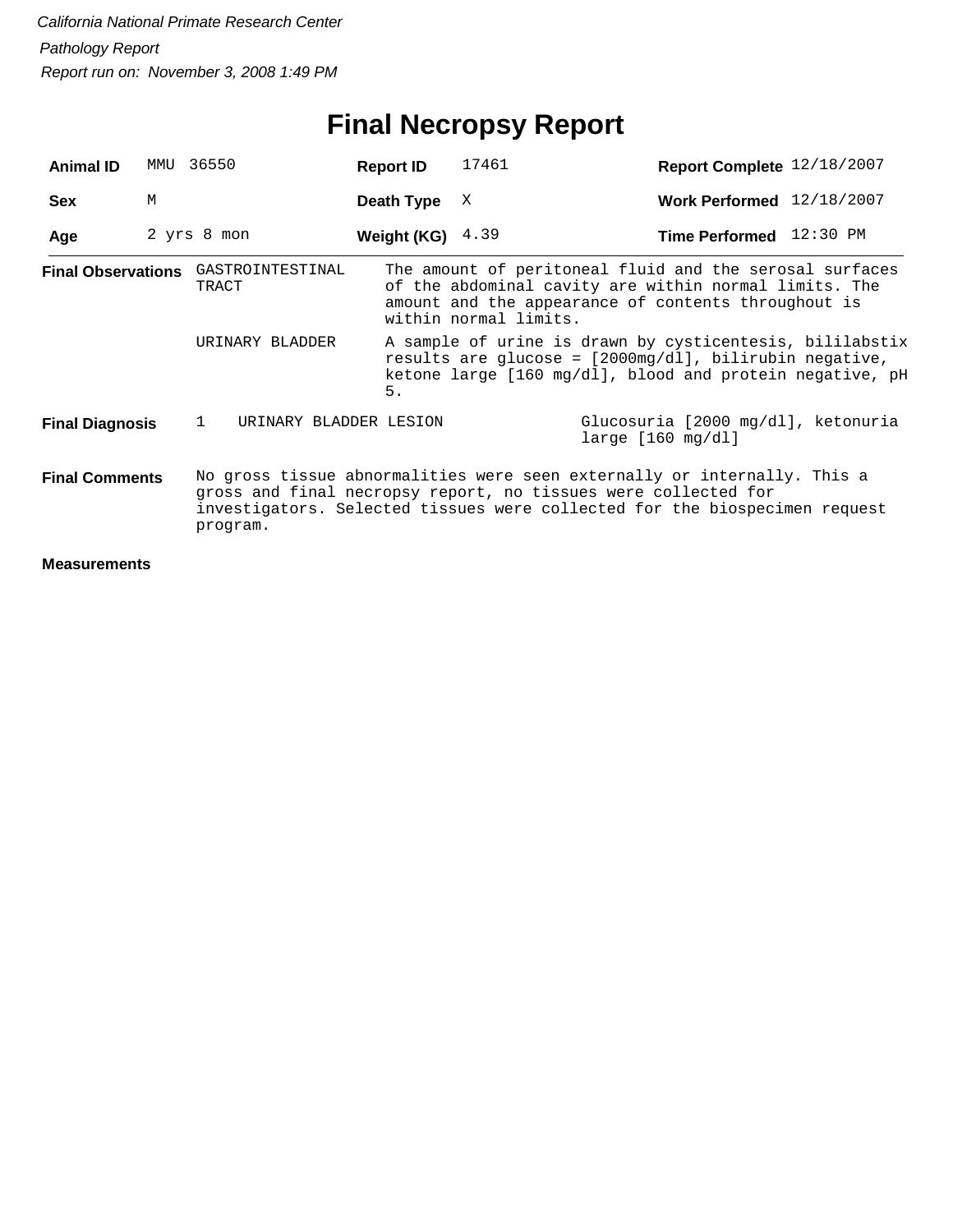## **Final Necropsy Report**

| <b>Animal ID</b>                                                 | MMU | 36550                                        | <b>Report ID</b>   | 17461                                                                                                                                                                                                                    | Report Complete 12/18/2007 |  |
|------------------------------------------------------------------|-----|----------------------------------------------|--------------------|--------------------------------------------------------------------------------------------------------------------------------------------------------------------------------------------------------------------------|----------------------------|--|
| <b>Sex</b>                                                       | M   |                                              | Death Type         | X                                                                                                                                                                                                                        | Work Performed 12/18/2007  |  |
| Age                                                              |     | 2 yrs 8 mon                                  | Weight (KG) $4.39$ |                                                                                                                                                                                                                          | Time Performed 12:30 PM    |  |
|                                                                  |     | Final Observations GASTROINTESTINAL<br>TRACT |                    | The amount of peritoneal fluid and the serosal surfaces<br>of the abdominal cavity are within normal limits. The<br>amount and the appearance of contents throughout is<br>within normal limits.                         |                            |  |
|                                                                  |     | URINARY BLADDER                              | 5.                 | A sample of urine is drawn by cysticentesis, bililabstix<br>results are glucose = $[2000mg/d1]$ , bilirubin negative,<br>ketone large $[160 \text{ mg/dl}]$ , blood and protein negative, pH                             |                            |  |
| $\mathbf{1}$<br>URINARY BLADDER LESION<br><b>Final Diagnosis</b> |     |                                              |                    | Glucosuria [2000 mg/dl], ketonuria<br>larea [160 mg/dl]                                                                                                                                                                  |                            |  |
| <b>Final Comments</b>                                            |     | program.                                     |                    | No gross tissue abnormalities were seen externally or internally. This a<br>gross and final necropsy report, no tissues were collected for<br>investigators. Selected tissues were collected for the biospecimen request |                            |  |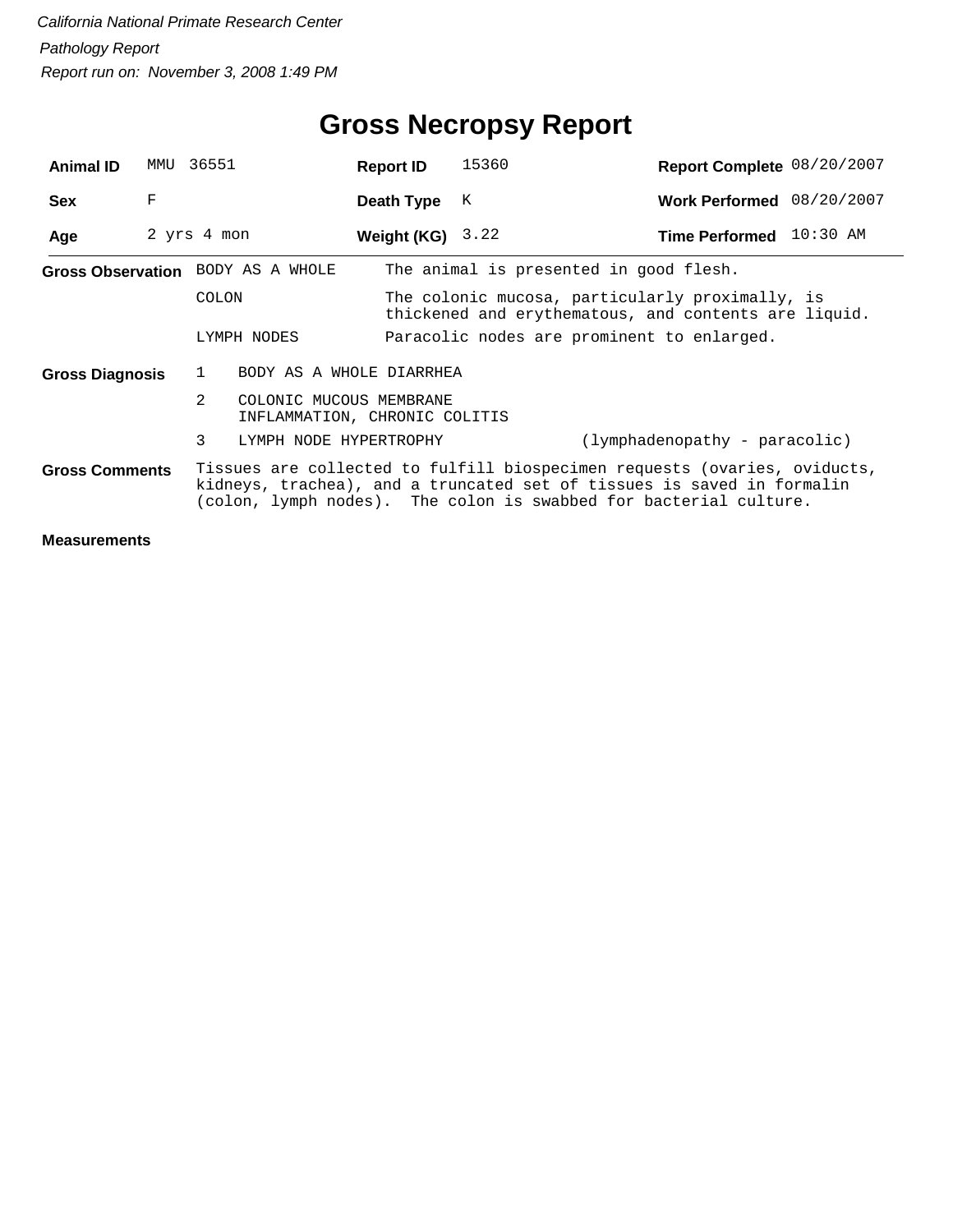| <b>Animal ID</b>       | MMU | 36551                                                                   | <b>Report ID</b>         | 15360                                                                                                                                                                                                                    | Report Complete 08/20/2007    |  |  |  |
|------------------------|-----|-------------------------------------------------------------------------|--------------------------|--------------------------------------------------------------------------------------------------------------------------------------------------------------------------------------------------------------------------|-------------------------------|--|--|--|
| <b>Sex</b>             | F   |                                                                         | Death Type               | K                                                                                                                                                                                                                        | Work Performed 08/20/2007     |  |  |  |
| Age                    |     | 2 yrs 4 mon                                                             | Weight $(KG)$ 3.22       |                                                                                                                                                                                                                          | Time Performed 10:30 AM       |  |  |  |
|                        |     | Gross Observation BODY AS A WHOLE                                       |                          | The animal is presented in good flesh.                                                                                                                                                                                   |                               |  |  |  |
|                        |     | <b>COLON</b>                                                            |                          | The colonic mucosa, particularly proximally, is<br>thickened and erythematous, and contents are liquid.                                                                                                                  |                               |  |  |  |
|                        |     | LYMPH NODES                                                             |                          | Paracolic nodes are prominent to enlarged.                                                                                                                                                                               |                               |  |  |  |
| <b>Gross Diagnosis</b> |     | $\mathbf{1}$                                                            | BODY AS A WHOLE DIARRHEA |                                                                                                                                                                                                                          |                               |  |  |  |
|                        |     | $2^{\circ}$<br>COLONIC MUCOUS MEMBRANE<br>INFLAMMATION, CHRONIC COLITIS |                          |                                                                                                                                                                                                                          |                               |  |  |  |
|                        |     | 3<br>LYMPH NODE HYPERTROPHY                                             |                          |                                                                                                                                                                                                                          | (lymphadenopathy - paracolic) |  |  |  |
| <b>Gross Comments</b>  |     |                                                                         |                          | Tissues are collected to fulfill biospecimen requests (ovaries, oviducts,<br>kidneys, trachea), and a truncated set of tissues is saved in formalin<br>(colon, lymph nodes). The colon is swabbed for bacterial culture. |                               |  |  |  |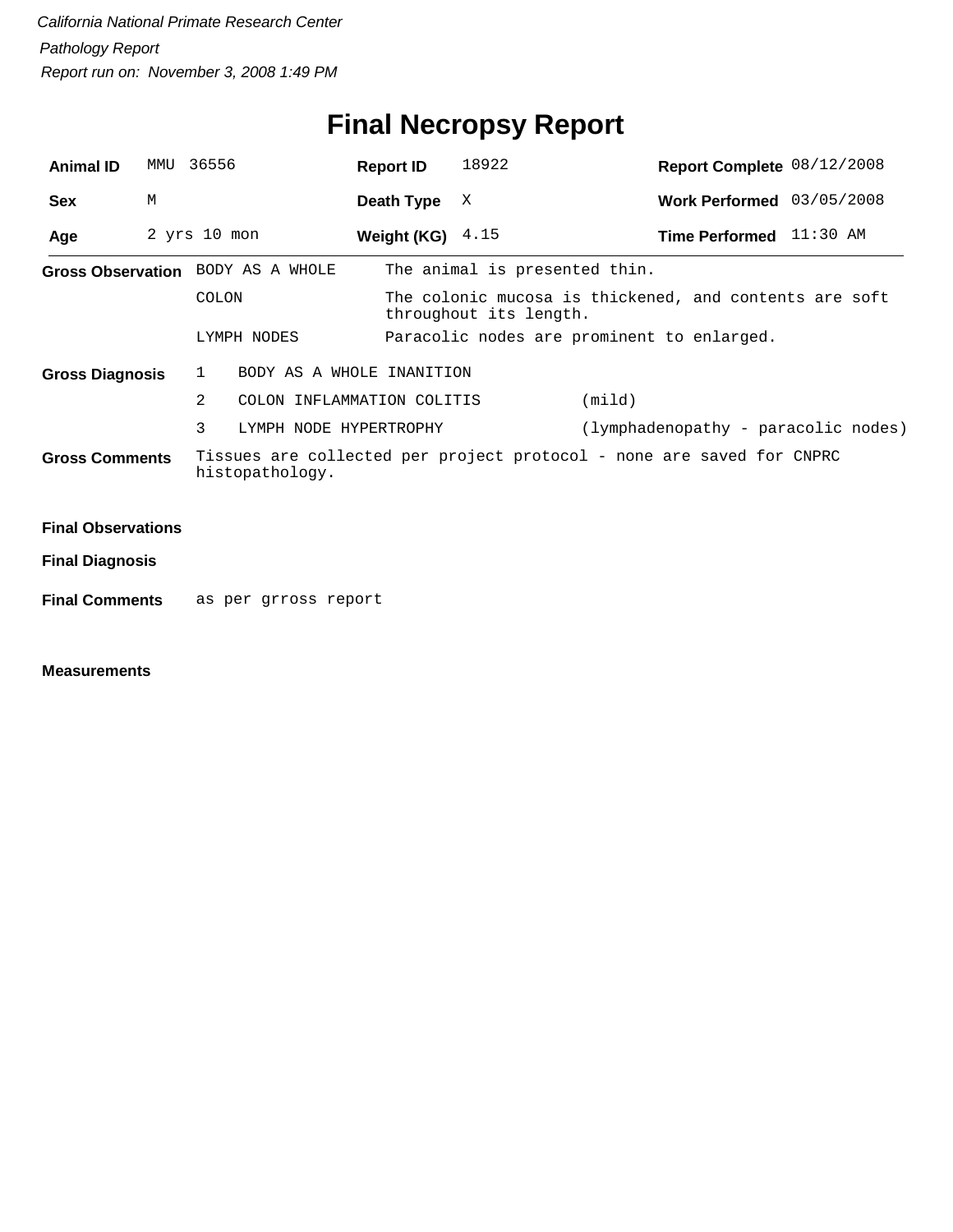## **Final Necropsy Report**

| <b>Animal ID</b>                         | MMU | 36556                       | <b>Report ID</b>           | 18922                                                                            | Report Complete 08/12/2008                                            |  |  |
|------------------------------------------|-----|-----------------------------|----------------------------|----------------------------------------------------------------------------------|-----------------------------------------------------------------------|--|--|
| <b>Sex</b>                               | M   |                             | Death Type                 | X                                                                                | Work Performed 03/05/2008                                             |  |  |
| Age                                      |     | $2$ yrs $10$ mon            | Weight (KG) $4.15$         |                                                                                  | Time Performed 11:30 AM                                               |  |  |
| Gross Observation BODY AS A WHOLE        |     |                             |                            | The animal is presented thin.                                                    |                                                                       |  |  |
|                                          |     | COLON                       |                            | The colonic mucosa is thickened, and contents are soft<br>throughout its length. |                                                                       |  |  |
|                                          |     | LYMPH NODES                 |                            |                                                                                  | Paracolic nodes are prominent to enlarged.                            |  |  |
| <b>Gross Diagnosis</b>                   |     | 1                           | BODY AS A WHOLE INANITION  |                                                                                  |                                                                       |  |  |
|                                          |     | 2                           | COLON INFLAMMATION COLITIS |                                                                                  | (mild)                                                                |  |  |
|                                          |     | 3<br>LYMPH NODE HYPERTROPHY |                            |                                                                                  | (lymphadenopathy - paracolic nodes)                                   |  |  |
| <b>Gross Comments</b><br>histopathology. |     |                             |                            |                                                                                  | Tissues are collected per project protocol - none are saved for CNPRC |  |  |
| <b>Final Observations</b>                |     |                             |                            |                                                                                  |                                                                       |  |  |
|                                          |     |                             |                            |                                                                                  |                                                                       |  |  |
| <b>Final Diagnosis</b>                   |     |                             |                            |                                                                                  |                                                                       |  |  |

**Final Comments** as per grross report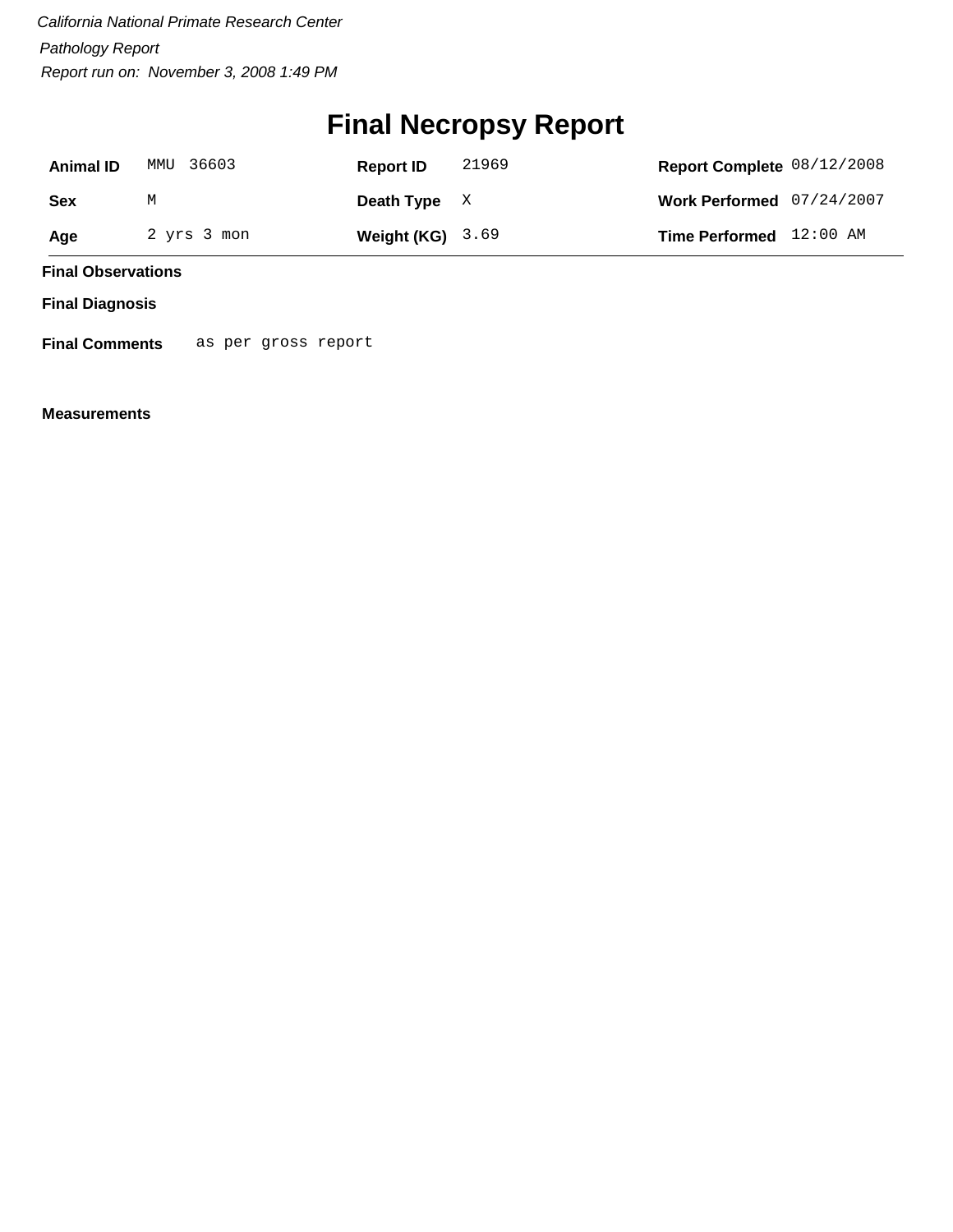## **Final Necropsy Report**

| <b>Animal ID</b> | MMU 36603   | <b>Report ID</b>   | 21969 | Report Complete 08/12/2008  |  |
|------------------|-------------|--------------------|-------|-----------------------------|--|
| Sex              | М           | Death Type $X$     |       | Work Performed $07/24/2007$ |  |
| Age              | 2 yrs 3 mon | Weight $(KG)$ 3.69 |       | Time Performed 12:00 AM     |  |

**Final Observations**

**Final Diagnosis**

**Final Comments** as per gross report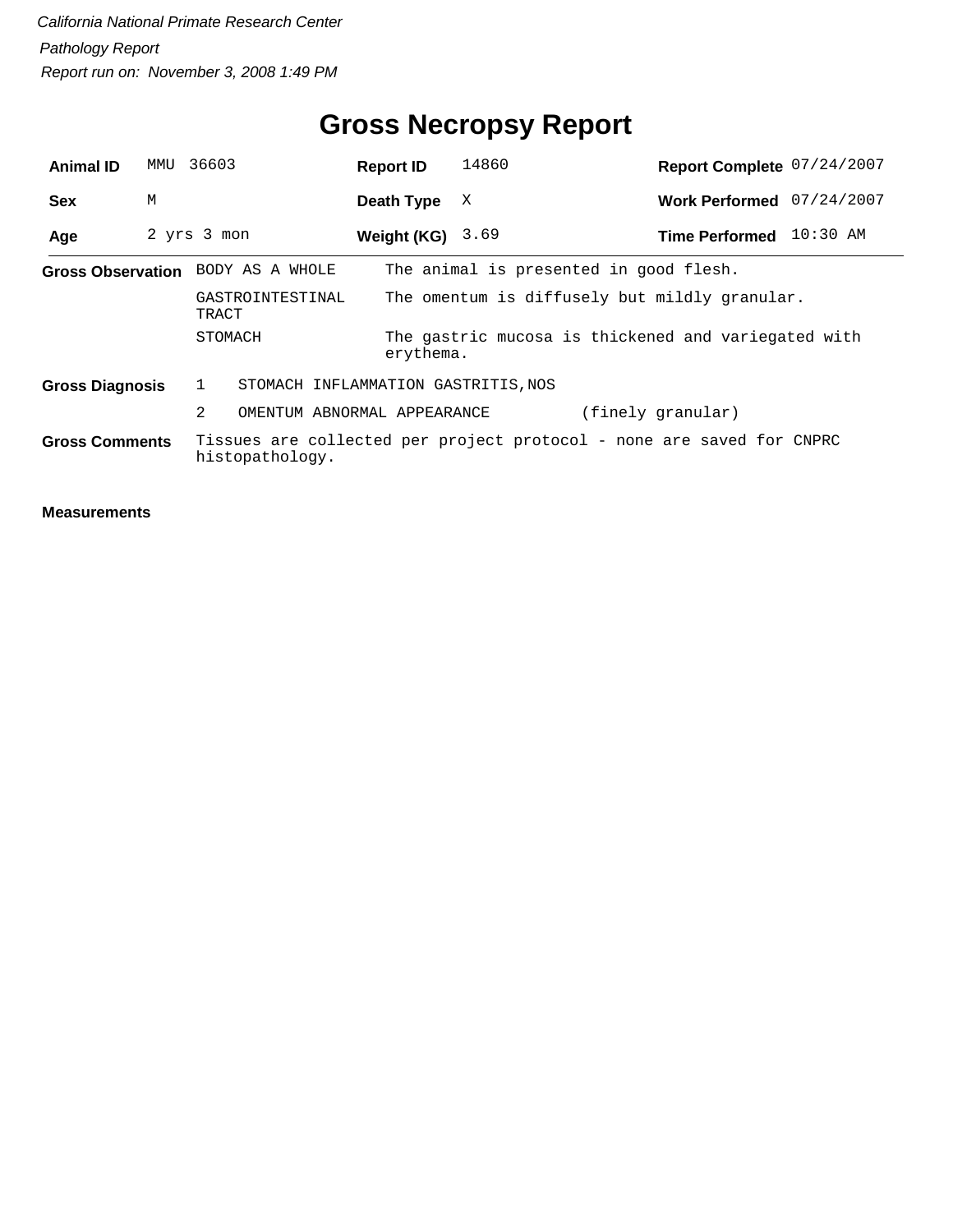## **Gross Necropsy Report**

| <b>Animal ID</b>                  | MMU | 36603                                                                      | <b>Report ID</b>   | 14860                                                                 | Report Complete 07/24/2007 |            |
|-----------------------------------|-----|----------------------------------------------------------------------------|--------------------|-----------------------------------------------------------------------|----------------------------|------------|
| <b>Sex</b>                        | М   |                                                                            | Death Type         | X                                                                     | Work Performed 07/24/2007  |            |
| Age                               |     | 2 yrs 3 mon                                                                | Weight (KG) $3.69$ |                                                                       | <b>Time Performed</b>      | $10:30$ AM |
| Gross Observation BODY AS A WHOLE |     |                                                                            |                    | The animal is presented in good flesh.                                |                            |            |
|                                   |     | The omentum is diffusely but mildly granular.<br>GASTROINTESTINAL<br>TRACT |                    |                                                                       |                            |            |
|                                   |     | STOMACH                                                                    | erythema.          | The gastric mucosa is thickened and variegated with                   |                            |            |
| <b>Gross Diagnosis</b>            |     | 1<br>STOMACH INFLAMMATION GASTRITIS, NOS                                   |                    |                                                                       |                            |            |
|                                   |     | 2<br>OMENTUM ABNORMAL APPEARANCE                                           |                    |                                                                       | (finely granular)          |            |
| <b>Gross Comments</b>             |     | histopathology.                                                            |                    | Tissues are collected per project protocol - none are saved for CNPRC |                            |            |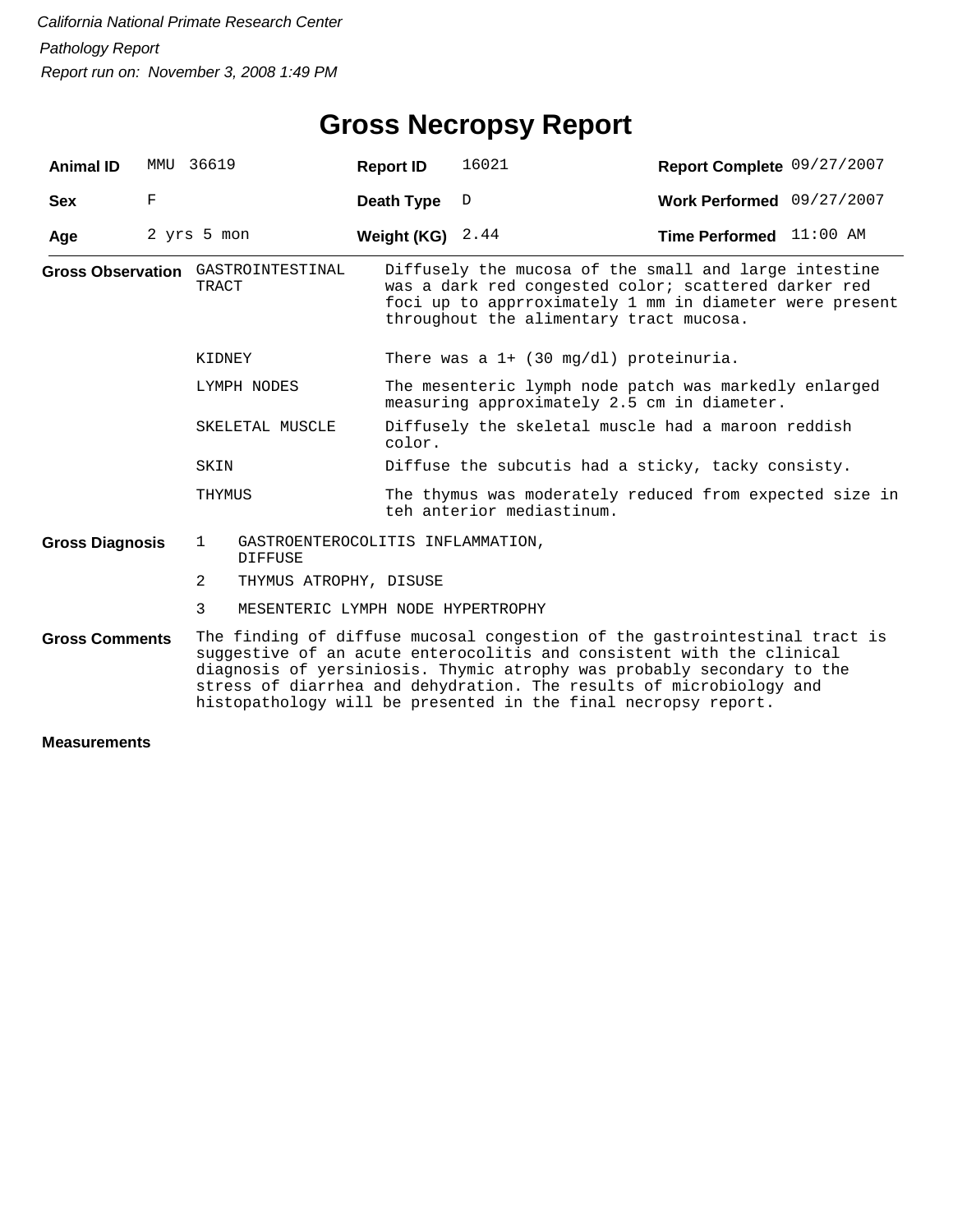| <b>Animal ID</b>                   | MMU 36619   |              |                                                     | <b>Report ID</b>   | 16021                                                                                                                                                                                                                                                                                                                                                                  | Report Complete 09/27/2007       |  |  |
|------------------------------------|-------------|--------------|-----------------------------------------------------|--------------------|------------------------------------------------------------------------------------------------------------------------------------------------------------------------------------------------------------------------------------------------------------------------------------------------------------------------------------------------------------------------|----------------------------------|--|--|
| <b>Sex</b>                         | F           |              |                                                     | Death Type         | D                                                                                                                                                                                                                                                                                                                                                                      | Work Performed 09/27/2007        |  |  |
| Age                                | 2 yrs 5 mon |              |                                                     | Weight (KG) $2.44$ |                                                                                                                                                                                                                                                                                                                                                                        | <b>Time Performed</b> $11:00$ AM |  |  |
| Gross Observation GASTROINTESTINAL |             | TRACT        |                                                     |                    | Diffusely the mucosa of the small and large intestine<br>was a dark red congested color; scattered darker red<br>foci up to apprroximately 1 mm in diameter were present<br>throughout the alimentary tract mucosa.                                                                                                                                                    |                                  |  |  |
|                                    |             | KIDNEY       |                                                     |                    | There was a $1+$ (30 mg/dl) proteinuria.                                                                                                                                                                                                                                                                                                                               |                                  |  |  |
|                                    |             | LYMPH NODES  |                                                     |                    | The mesenteric lymph node patch was markedly enlarged<br>measuring approximately 2.5 cm in diameter.                                                                                                                                                                                                                                                                   |                                  |  |  |
|                                    |             |              | SKELETAL MUSCLE                                     | color.             | Diffusely the skeletal muscle had a maroon reddish                                                                                                                                                                                                                                                                                                                     |                                  |  |  |
|                                    |             | SKIN         |                                                     |                    | Diffuse the subcutis had a sticky, tacky consisty.                                                                                                                                                                                                                                                                                                                     |                                  |  |  |
|                                    |             | THYMUS       |                                                     |                    | The thymus was moderately reduced from expected size in<br>teh anterior mediastinum.                                                                                                                                                                                                                                                                                   |                                  |  |  |
| <b>Gross Diagnosis</b>             |             | $\mathbf{1}$ | GASTROENTEROCOLITIS INFLAMMATION,<br><b>DIFFUSE</b> |                    |                                                                                                                                                                                                                                                                                                                                                                        |                                  |  |  |
|                                    |             | 2            | THYMUS ATROPHY, DISUSE                              |                    |                                                                                                                                                                                                                                                                                                                                                                        |                                  |  |  |
|                                    |             | 3            | MESENTERIC LYMPH NODE HYPERTROPHY                   |                    |                                                                                                                                                                                                                                                                                                                                                                        |                                  |  |  |
| <b>Gross Comments</b>              |             |              |                                                     |                    | The finding of diffuse mucosal congestion of the gastrointestinal tract is<br>suggestive of an acute enterocolitis and consistent with the clinical<br>diagnosis of yersiniosis. Thymic atrophy was probably secondary to the<br>stress of diarrhea and dehydration. The results of microbiology and<br>histopathology will be presented in the final necropsy report. |                                  |  |  |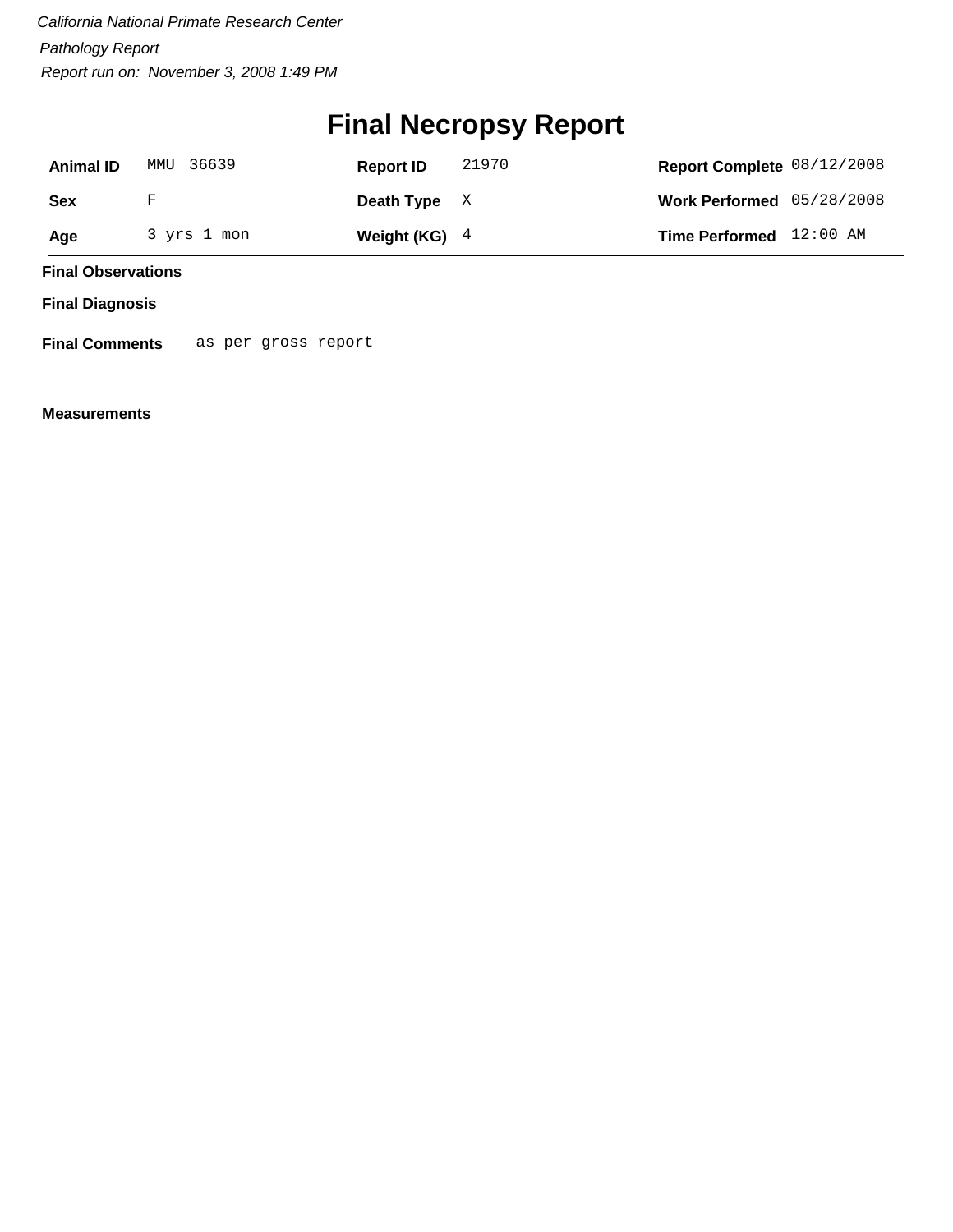## **Final Necropsy Report**

| <b>Animal ID</b> | MMU 36639   | <b>Report ID</b> | 21970 | Report Complete 08/12/2008 |  |
|------------------|-------------|------------------|-------|----------------------------|--|
| Sex              | F           | Death Type $X$   |       | Work Performed 05/28/2008  |  |
| Age              | 3 yrs 1 mon | Weight (KG) $4$  |       | Time Performed 12:00 AM    |  |

**Final Observations**

**Final Diagnosis**

**Final Comments** as per gross report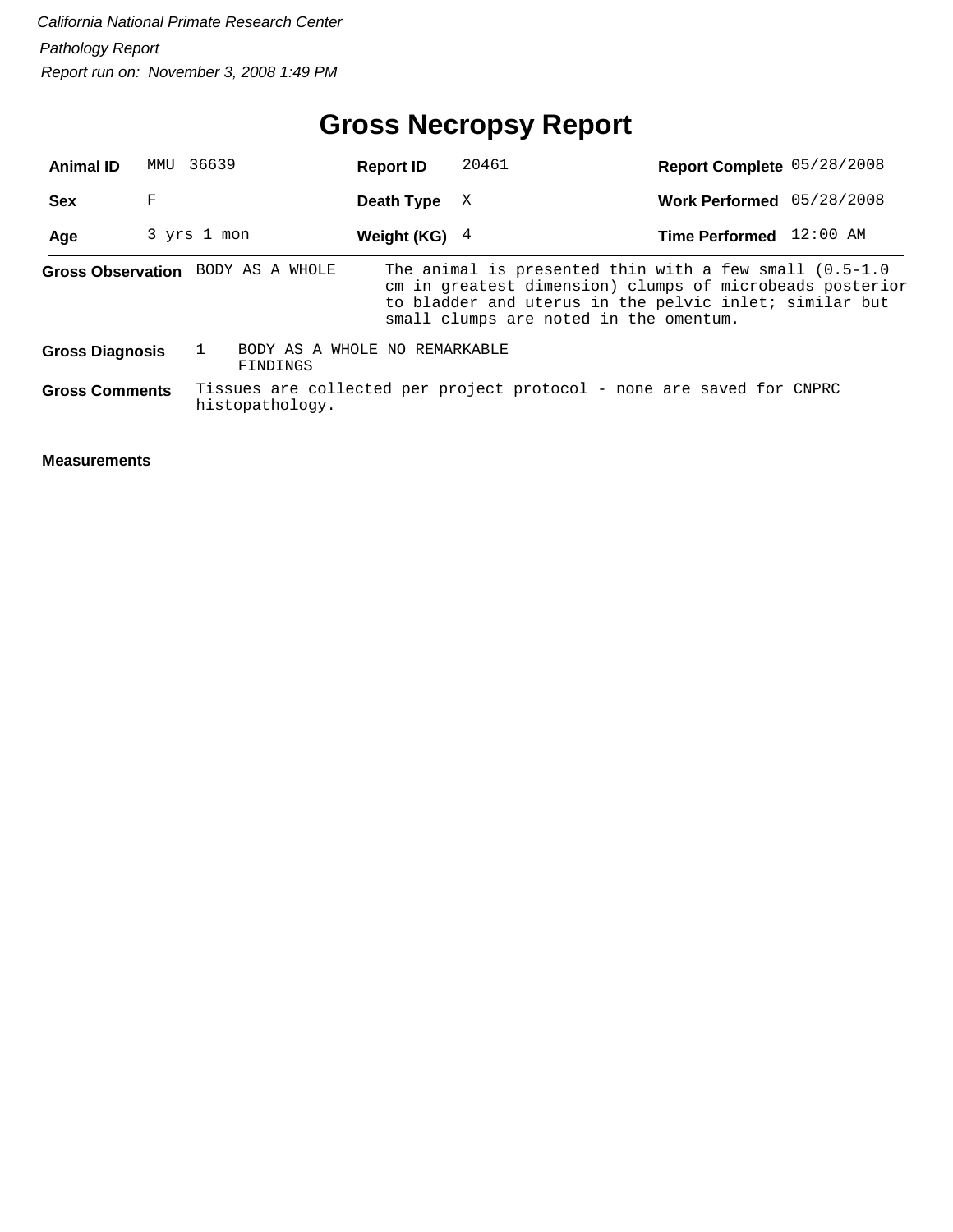## **Gross Necropsy Report**

| <b>Animal ID</b>       | MMU | 36639                             | <b>Report ID</b>              | 20461                                                                                                                                                                                                                     | Report Complete 05/28/2008 |  |
|------------------------|-----|-----------------------------------|-------------------------------|---------------------------------------------------------------------------------------------------------------------------------------------------------------------------------------------------------------------------|----------------------------|--|
| <b>Sex</b>             | F   |                                   | Death Type                    | X                                                                                                                                                                                                                         | Work Performed 05/28/2008  |  |
| Age                    |     | 3 yrs 1 mon                       | Weight (KG) $4$               |                                                                                                                                                                                                                           | Time Performed 12:00 AM    |  |
|                        |     | Gross Observation BODY AS A WHOLE |                               | The animal is presented thin with a few small $(0.5-1.0)$<br>cm in greatest dimension) clumps of microbeads posterior<br>to bladder and uterus in the pelvic inlet; similar but<br>small clumps are noted in the omentum. |                            |  |
| <b>Gross Diagnosis</b> |     | FINDINGS                          | BODY AS A WHOLE NO REMARKABLE |                                                                                                                                                                                                                           |                            |  |
| <b>Gross Comments</b>  |     | histopathology.                   |                               | Tissues are collected per project protocol - none are saved for CNPRC                                                                                                                                                     |                            |  |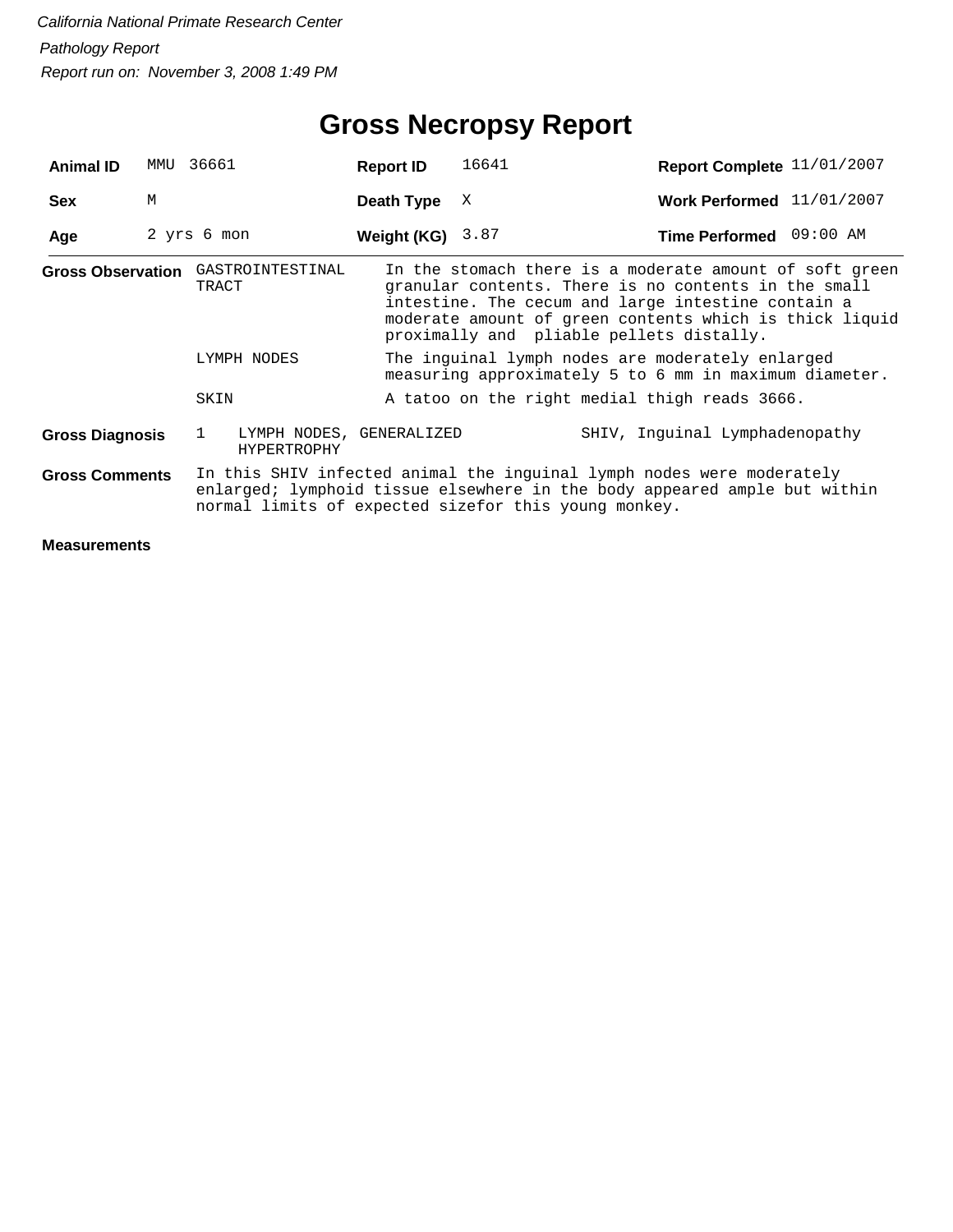| <b>Animal ID</b>       | MMU         | 36661                                                                                                      |                                                | <b>Report ID</b>   | 16641 |                                                                                                                                                                                                                                                                              | Report Complete 11/01/2007 |  |
|------------------------|-------------|------------------------------------------------------------------------------------------------------------|------------------------------------------------|--------------------|-------|------------------------------------------------------------------------------------------------------------------------------------------------------------------------------------------------------------------------------------------------------------------------------|----------------------------|--|
| <b>Sex</b>             | M           |                                                                                                            |                                                | Death Type         | X     |                                                                                                                                                                                                                                                                              | Work Performed 11/01/2007  |  |
| Age                    | 2 yrs 6 mon |                                                                                                            |                                                | Weight (KG) $3.87$ |       |                                                                                                                                                                                                                                                                              | Time Performed 09:00 AM    |  |
|                        |             | TRACT                                                                                                      | Gross Observation GASTROINTESTINAL             |                    |       | In the stomach there is a moderate amount of soft green<br>granular contents. There is no contents in the small<br>intestine. The cecum and large intestine contain a<br>moderate amount of green contents which is thick liquid<br>proximally and pliable pellets distally. |                            |  |
| LYMPH NODES            |             | The inquinal lymph nodes are moderately enlarged<br>measuring approximately 5 to 6 mm in maximum diameter. |                                                |                    |       |                                                                                                                                                                                                                                                                              |                            |  |
|                        |             | SKIN                                                                                                       |                                                |                    |       | A tatoo on the right medial thigh reads 3666.                                                                                                                                                                                                                                |                            |  |
| <b>Gross Diagnosis</b> |             | $\mathbf{1}$                                                                                               | LYMPH NODES, GENERALIZED<br><b>HYPERTROPHY</b> |                    |       | SHIV, Inquinal Lymphadenopathy                                                                                                                                                                                                                                               |                            |  |
| <b>Gross Comments</b>  |             |                                                                                                            |                                                |                    |       | In this SHIV infected animal the inguinal lymph nodes were moderately<br>enlarged; lymphoid tissue elsewhere in the body appeared ample but within<br>normal limits of expected sizefor this young monkey.                                                                   |                            |  |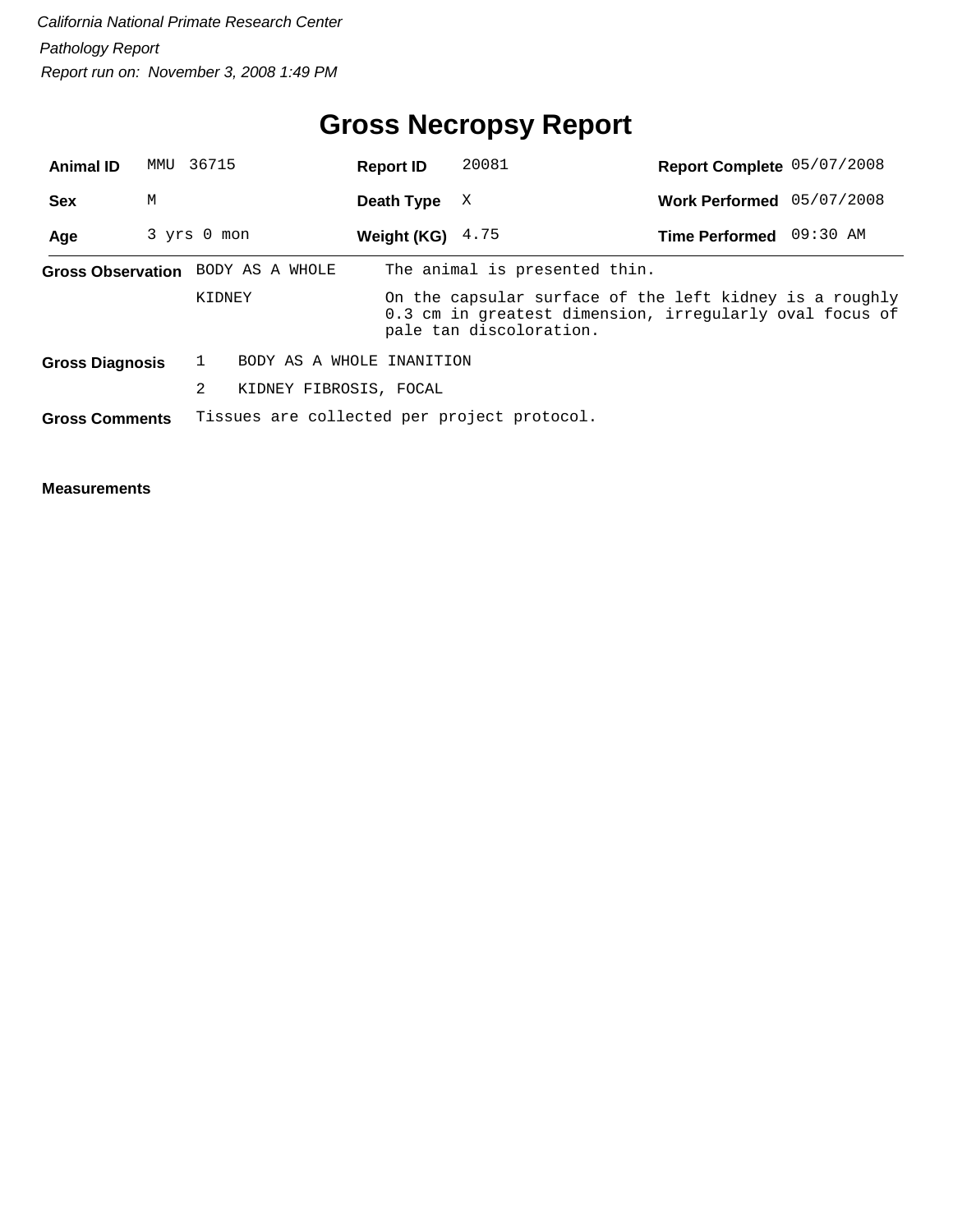## **Gross Necropsy Report**

| <b>Animal ID</b>       | MMU 36715   |        |                                   | <b>Report ID</b>   | 20081                                                                                                                                         | Report Complete 05/07/2008 |  |
|------------------------|-------------|--------|-----------------------------------|--------------------|-----------------------------------------------------------------------------------------------------------------------------------------------|----------------------------|--|
| <b>Sex</b>             | М           |        |                                   | Death Type         | X                                                                                                                                             | Work Performed 05/07/2008  |  |
| Age                    | 3 yrs 0 mon |        |                                   | Weight (KG) $4.75$ |                                                                                                                                               | Time Performed 09:30 AM    |  |
|                        |             |        | Gross Observation BODY AS A WHOLE |                    | The animal is presented thin.                                                                                                                 |                            |  |
|                        |             | KIDNEY |                                   |                    | On the capsular surface of the left kidney is a roughly<br>0.3 cm in greatest dimension, irregularly oval focus of<br>pale tan discoloration. |                            |  |
| <b>Gross Diagnosis</b> |             |        | BODY AS A WHOLE INANITION         |                    |                                                                                                                                               |                            |  |
|                        |             | 2      | KIDNEY FIBROSIS, FOCAL            |                    |                                                                                                                                               |                            |  |
| <b>Gross Comments</b>  |             |        |                                   |                    | Tissues are collected per project protocol.                                                                                                   |                            |  |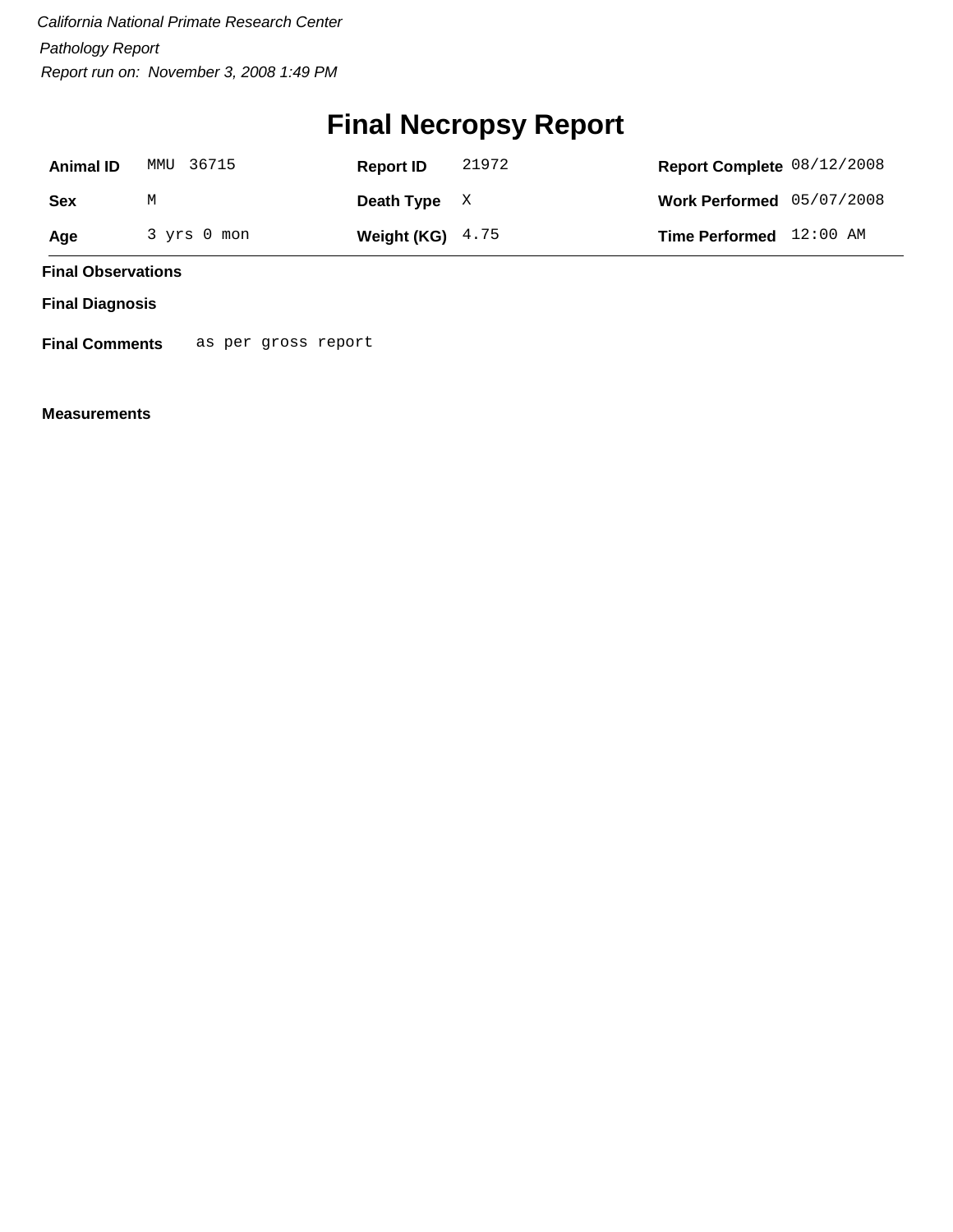## **Final Necropsy Report**

| <b>Animal ID</b> | MMU 36715   | <b>Report ID</b>   | 21972 | Report Complete 08/12/2008 |  |
|------------------|-------------|--------------------|-------|----------------------------|--|
| Sex              | М           | Death Type $X$     |       | Work Performed 05/07/2008  |  |
| Age              | 3 yrs 0 mon | Weight (KG) $4.75$ |       | Time Performed 12:00 AM    |  |

**Final Observations**

**Final Diagnosis**

**Final Comments** as per gross report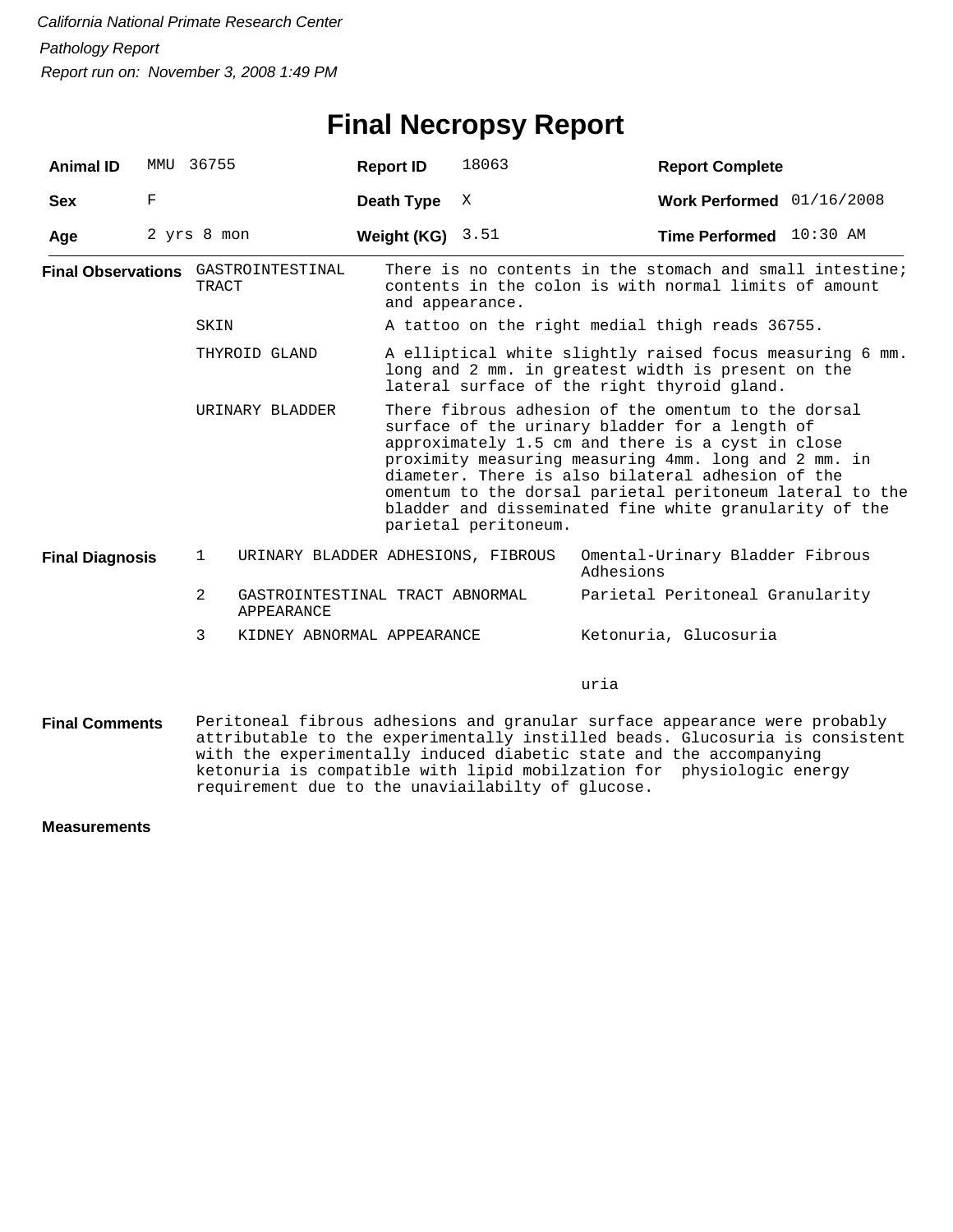#### **Final Necropsy Report**

| <b>Animal ID</b>       | MMU | 36755                                               | <b>Report ID</b>   | 18063                                                                                                                                                                                                                                                                                                                                                                                                                 | <b>Report Complete</b>                                                                                                                                                                                                            |  |  |
|------------------------|-----|-----------------------------------------------------|--------------------|-----------------------------------------------------------------------------------------------------------------------------------------------------------------------------------------------------------------------------------------------------------------------------------------------------------------------------------------------------------------------------------------------------------------------|-----------------------------------------------------------------------------------------------------------------------------------------------------------------------------------------------------------------------------------|--|--|
| <b>Sex</b>             | F   |                                                     | Death Type         | Χ                                                                                                                                                                                                                                                                                                                                                                                                                     | Work Performed 01/16/2008                                                                                                                                                                                                         |  |  |
| Age                    |     | 2 yrs 8 mon                                         | Weight (KG) $3.51$ |                                                                                                                                                                                                                                                                                                                                                                                                                       | Time Performed 10:30 AM                                                                                                                                                                                                           |  |  |
|                        |     | <b>Final Observations</b> GASTROINTESTINAL<br>TRACT |                    | and appearance.                                                                                                                                                                                                                                                                                                                                                                                                       | There is no contents in the stomach and small intestine;<br>contents in the colon is with normal limits of amount                                                                                                                 |  |  |
|                        |     | SKIN                                                |                    |                                                                                                                                                                                                                                                                                                                                                                                                                       | A tattoo on the right medial thigh reads 36755.                                                                                                                                                                                   |  |  |
|                        |     | THYROID GLAND                                       |                    |                                                                                                                                                                                                                                                                                                                                                                                                                       | A elliptical white slightly raised focus measuring 6 mm.<br>long and 2 mm. in greatest width is present on the<br>lateral surface of the right thyroid gland.                                                                     |  |  |
|                        |     | URINARY BLADDER                                     |                    | There fibrous adhesion of the omentum to the dorsal<br>surface of the urinary bladder for a length of<br>approximately 1.5 cm and there is a cyst in close<br>proximity measuring measuring 4mm. long and 2 mm. in<br>diameter. There is also bilateral adhesion of the<br>omentum to the dorsal parietal peritoneum lateral to the<br>bladder and disseminated fine white granularity of the<br>parietal peritoneum. |                                                                                                                                                                                                                                   |  |  |
| <b>Final Diagnosis</b> |     | URINARY BLADDER ADHESIONS, FIBROUS<br>$\mathbf{1}$  |                    |                                                                                                                                                                                                                                                                                                                                                                                                                       | Omental-Urinary Bladder Fibrous<br>Adhesions                                                                                                                                                                                      |  |  |
|                        |     | 2<br>GASTROINTESTINAL TRACT ABNORMAL<br>APPEARANCE  |                    |                                                                                                                                                                                                                                                                                                                                                                                                                       | Parietal Peritoneal Granularity                                                                                                                                                                                                   |  |  |
|                        |     | 3<br>KIDNEY ABNORMAL APPEARANCE                     |                    |                                                                                                                                                                                                                                                                                                                                                                                                                       | Ketonuria, Glucosuria                                                                                                                                                                                                             |  |  |
|                        |     |                                                     |                    |                                                                                                                                                                                                                                                                                                                                                                                                                       | uria                                                                                                                                                                                                                              |  |  |
| <b>Final Comments</b>  |     |                                                     |                    |                                                                                                                                                                                                                                                                                                                                                                                                                       | Peritoneal fibrous adhesions and granular surface appearance were probably<br>attributable to the experimentally instilled beads. Glucosuria is consistent<br>with the experimentally induced diabetic state and the accompanying |  |  |

ketonuria is compatible with lipid mobilzation for physiologic energy

requirement due to the unaviailabilty of glucose.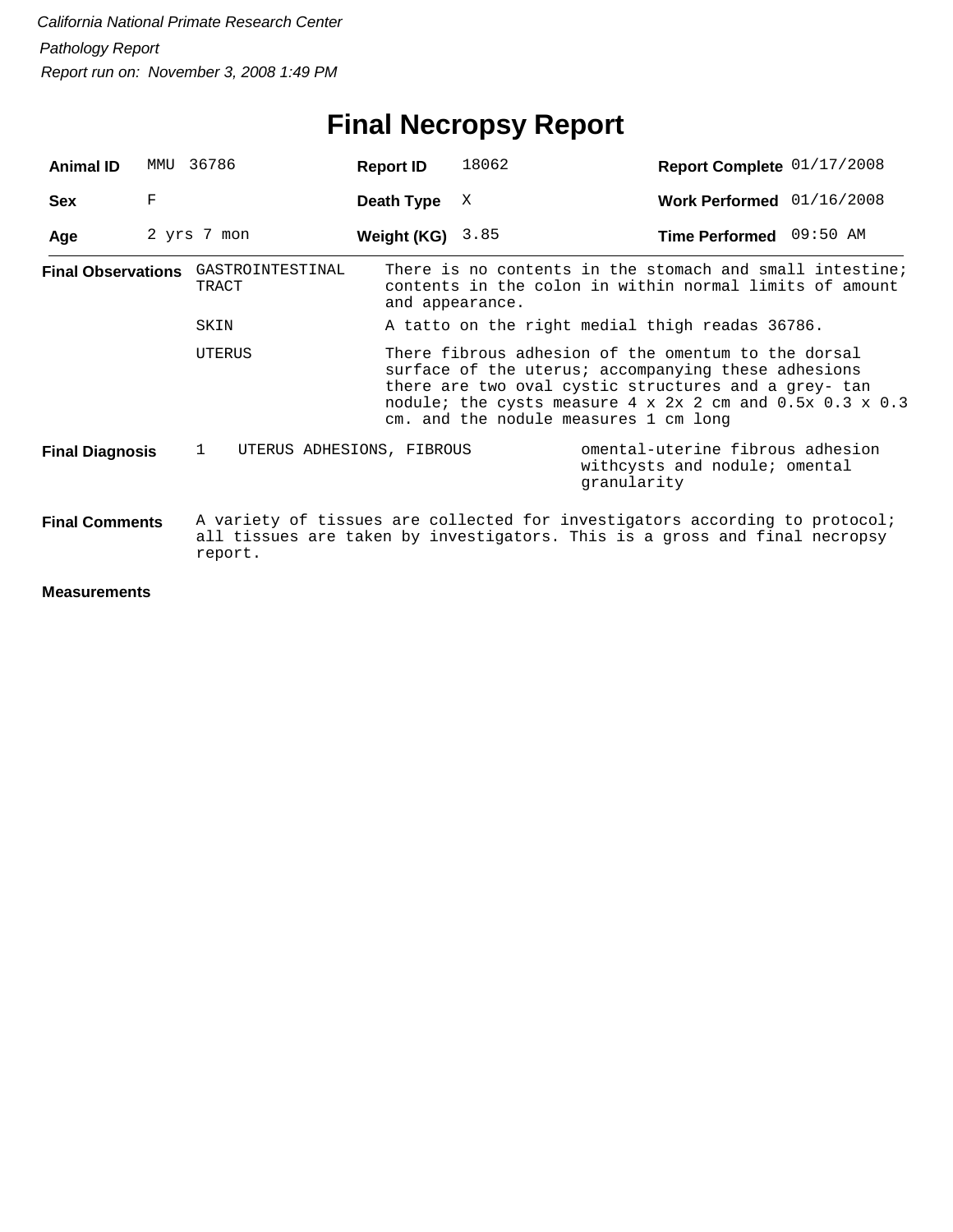# **Final Necropsy Report**

| <b>Animal ID</b>          | MMU | 36786                                     | <b>Report ID</b> | 18062                                                                                                                                                                                                                                                                                             | Report Complete 01/17/2008                                                                                                                                |  |  |  |
|---------------------------|-----|-------------------------------------------|------------------|---------------------------------------------------------------------------------------------------------------------------------------------------------------------------------------------------------------------------------------------------------------------------------------------------|-----------------------------------------------------------------------------------------------------------------------------------------------------------|--|--|--|
| <b>Sex</b>                | F   |                                           | Death Type       | X                                                                                                                                                                                                                                                                                                 | Work Performed 01/16/2008                                                                                                                                 |  |  |  |
| Age                       |     | 2 yrs 7 mon                               | Weight (KG)      | 3.85                                                                                                                                                                                                                                                                                              | Time Performed 09:50 AM                                                                                                                                   |  |  |  |
| <b>Final Observations</b> |     | GASTROINTESTINAL<br>TRACT                 | and appearance.  |                                                                                                                                                                                                                                                                                                   | There is no contents in the stomach and small intestine;<br>contents in the colon in within normal limits of amount                                       |  |  |  |
|                           |     | SKIN                                      |                  |                                                                                                                                                                                                                                                                                                   | A tatto on the right medial thigh readas 36786.                                                                                                           |  |  |  |
|                           |     | <b>UTERUS</b>                             |                  | There fibrous adhesion of the omentum to the dorsal<br>surface of the uterus; accompanying these adhesions<br>there are two oval cystic structures and a grey- tan<br>nodule; the cysts measure $4 \times 2 \times 2$ cm and $0.5 \times 0.3 \times 0.3$<br>cm. and the nodule measures 1 cm long |                                                                                                                                                           |  |  |  |
| <b>Final Diagnosis</b>    |     | $\mathbf{1}$<br>UTERUS ADHESIONS, FIBROUS |                  |                                                                                                                                                                                                                                                                                                   | omental-uterine fibrous adhesion<br>withcysts and nodule; omental<br>qranularity                                                                          |  |  |  |
| <b>Final Comments</b>     |     | report.                                   |                  |                                                                                                                                                                                                                                                                                                   | A variety of tissues are collected for investigators according to protocol;<br>all tissues are taken by investigators. This is a gross and final necropsy |  |  |  |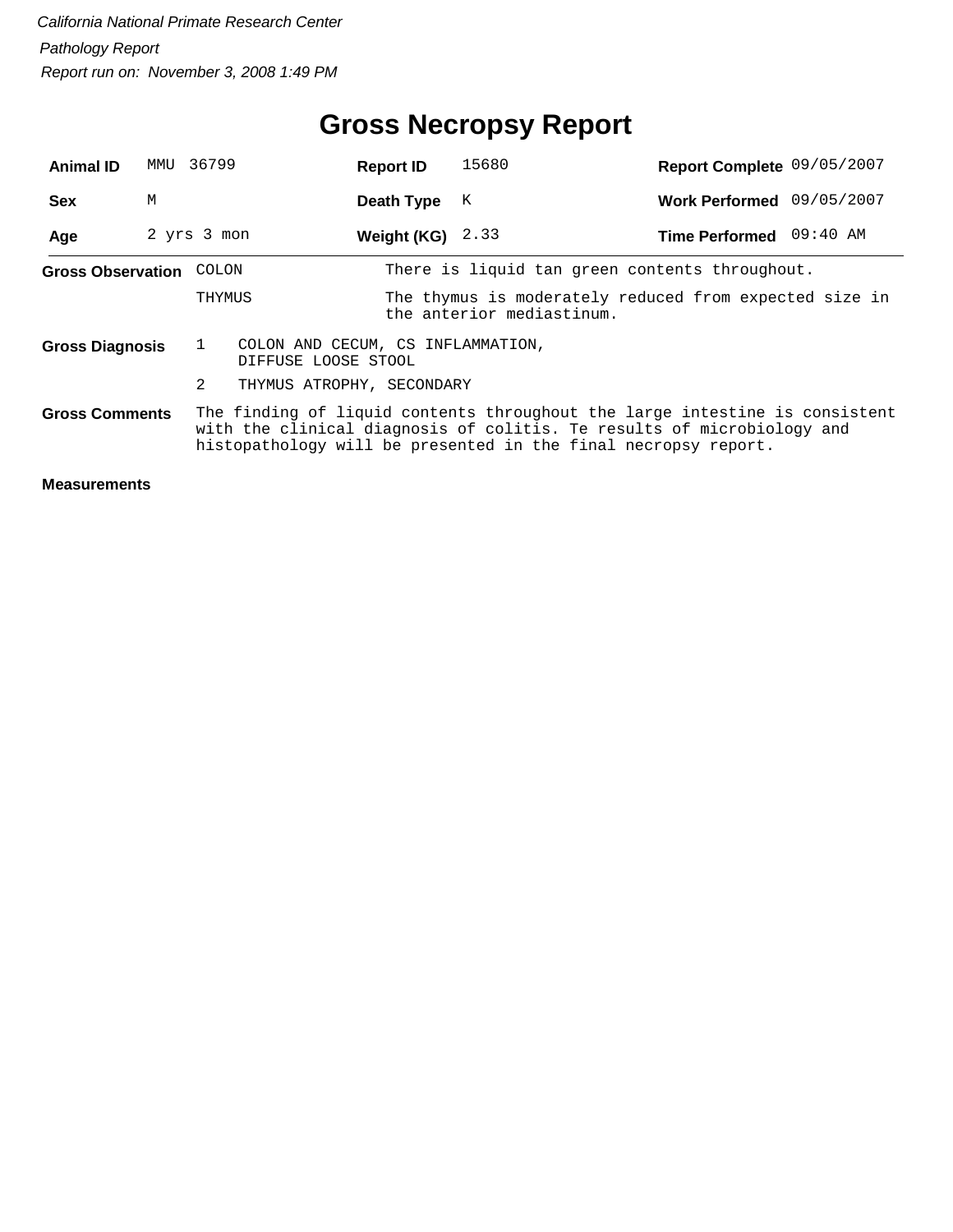## **Gross Necropsy Report**

| <b>Animal ID</b>         | MMU | 36799                                                                                                                                                                                                                   | <b>Report ID</b>   | 15680                                                                               | Report Complete 09/05/2007 |  |  |
|--------------------------|-----|-------------------------------------------------------------------------------------------------------------------------------------------------------------------------------------------------------------------------|--------------------|-------------------------------------------------------------------------------------|----------------------------|--|--|
| <b>Sex</b>               | М   |                                                                                                                                                                                                                         | Death Type         | K                                                                                   | Work Performed 09/05/2007  |  |  |
| Age                      |     | 2 yrs 3 mon                                                                                                                                                                                                             | Weight (KG) $2.33$ |                                                                                     | Time Performed 09:40 AM    |  |  |
| <b>Gross Observation</b> |     | COLON                                                                                                                                                                                                                   |                    | There is liquid tan green contents throughout.                                      |                            |  |  |
|                          |     | THYMUS                                                                                                                                                                                                                  |                    | The thymus is moderately reduced from expected size in<br>the anterior mediastinum. |                            |  |  |
| <b>Gross Diagnosis</b>   |     | $\mathbf{1}$<br>COLON AND CECUM, CS INFLAMMATION,<br>DIFFUSE LOOSE STOOL                                                                                                                                                |                    |                                                                                     |                            |  |  |
|                          |     | 2<br>THYMUS ATROPHY, SECONDARY                                                                                                                                                                                          |                    |                                                                                     |                            |  |  |
| <b>Gross Comments</b>    |     | The finding of liquid contents throughout the large intestine is consistent<br>with the clinical diagnosis of colitis. Te results of microbiology and<br>histopathology will be presented in the final necropsy report. |                    |                                                                                     |                            |  |  |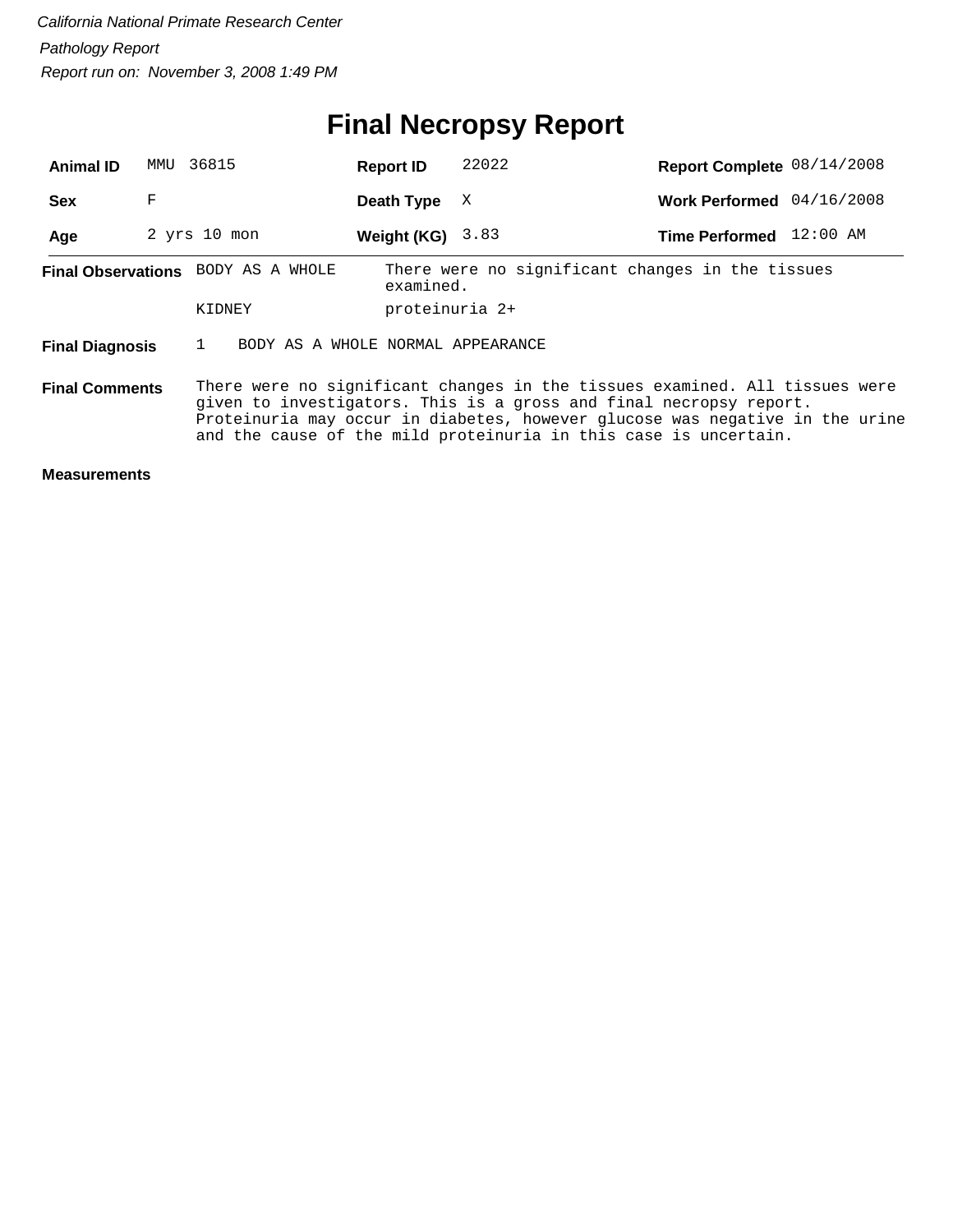### **Final Necropsy Report**

| <b>Animal ID</b>                                                                                                                                                                                                                                                                                                               | MMU | 36815                              | <b>Report ID</b> | 22022                                            | Report Complete 08/14/2008 |  |
|--------------------------------------------------------------------------------------------------------------------------------------------------------------------------------------------------------------------------------------------------------------------------------------------------------------------------------|-----|------------------------------------|------------------|--------------------------------------------------|----------------------------|--|
| <b>Sex</b>                                                                                                                                                                                                                                                                                                                     | F   |                                    | Death Type       | X                                                | Work Performed 04/16/2008  |  |
| Age                                                                                                                                                                                                                                                                                                                            |     | $2$ yrs $10$ mon                   | Weight (KG)      | 3.83                                             | Time Performed 12:00 AM    |  |
|                                                                                                                                                                                                                                                                                                                                |     | Final Observations BODY AS A WHOLE | examined.        | There were no significant changes in the tissues |                            |  |
|                                                                                                                                                                                                                                                                                                                                |     | KIDNEY                             | proteinuria 2+   |                                                  |                            |  |
| <b>Final Diagnosis</b>                                                                                                                                                                                                                                                                                                         |     | BODY AS A WHOLE NORMAL APPEARANCE  |                  |                                                  |                            |  |
| There were no significant changes in the tissues examined. All tissues were<br><b>Final Comments</b><br>given to investigators. This is a gross and final necropsy report.<br>Proteinuria may occur in diabetes, however glucose was negative in the urine<br>and the cause of the mild proteinuria in this case is uncertain. |     |                                    |                  |                                                  |                            |  |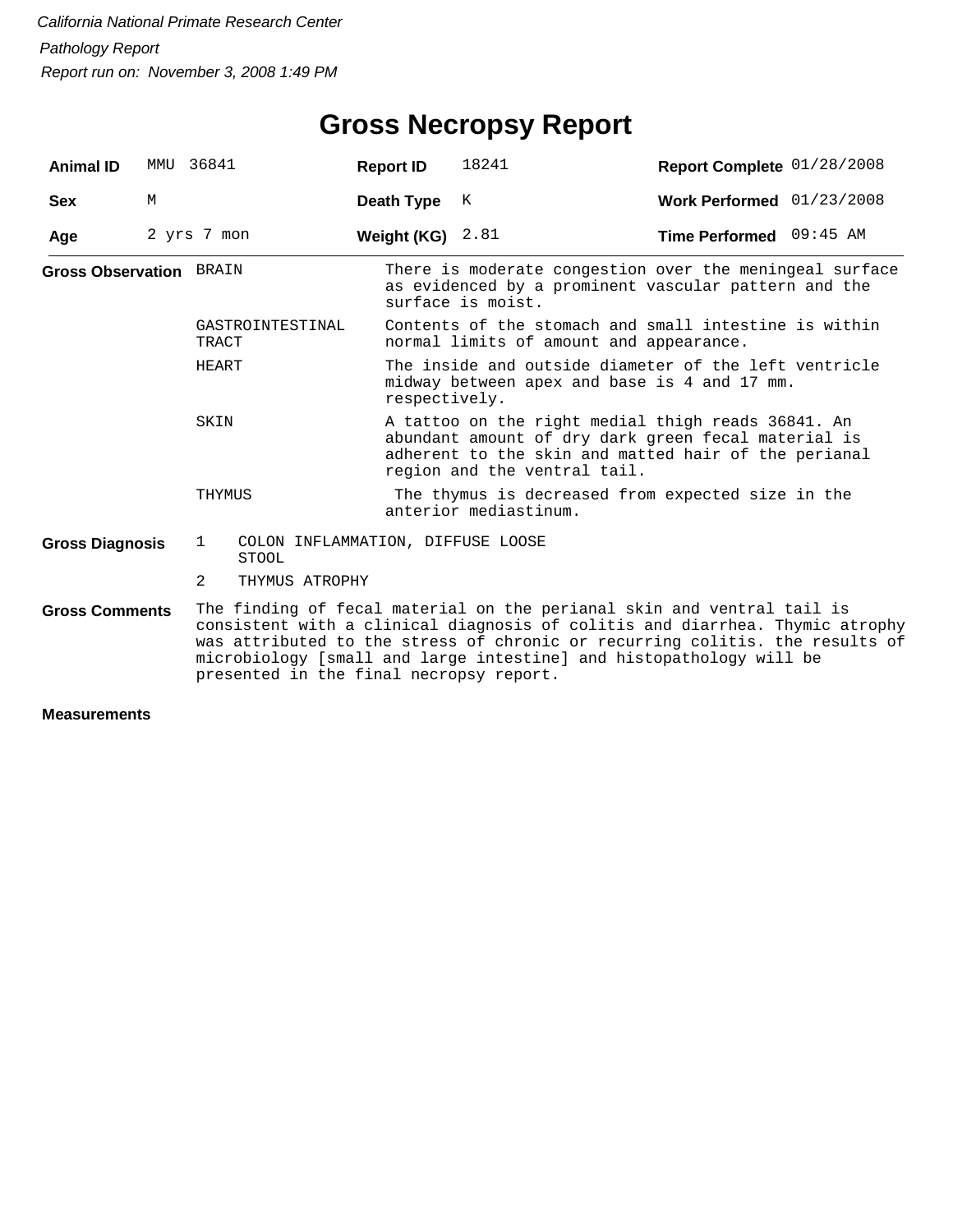# **Gross Necropsy Report**

| <b>Animal ID</b>               |   | MMU 36841                 |                                                   | <b>Report ID</b> | 18241                                                                                                                                                                                             | Report Complete 01/28/2008                                                                                                                                                                                                                                                                                    |  |  |
|--------------------------------|---|---------------------------|---------------------------------------------------|------------------|---------------------------------------------------------------------------------------------------------------------------------------------------------------------------------------------------|---------------------------------------------------------------------------------------------------------------------------------------------------------------------------------------------------------------------------------------------------------------------------------------------------------------|--|--|
| <b>Sex</b>                     | M |                           |                                                   | Death Type       | K                                                                                                                                                                                                 | Work Performed 01/23/2008                                                                                                                                                                                                                                                                                     |  |  |
| Age                            |   | 2 yrs 7 mon               |                                                   | Weight (KG)      | 2.81                                                                                                                                                                                              | Time Performed 09:45 AM                                                                                                                                                                                                                                                                                       |  |  |
| <b>Gross Observation BRAIN</b> |   |                           |                                                   |                  | surface is moist.                                                                                                                                                                                 | There is moderate congestion over the meningeal surface<br>as evidenced by a prominent vascular pattern and the                                                                                                                                                                                               |  |  |
|                                |   | GASTROINTESTINAL<br>TRACT |                                                   |                  | Contents of the stomach and small intestine is within<br>normal limits of amount and appearance.                                                                                                  |                                                                                                                                                                                                                                                                                                               |  |  |
|                                |   | HEART                     |                                                   |                  | The inside and outside diameter of the left ventricle<br>midway between apex and base is 4 and 17 mm.<br>respectively.                                                                            |                                                                                                                                                                                                                                                                                                               |  |  |
|                                |   | SKIN                      |                                                   |                  | A tattoo on the right medial thigh reads 36841. An<br>abundant amount of dry dark green fecal material is<br>adherent to the skin and matted hair of the perianal<br>region and the ventral tail. |                                                                                                                                                                                                                                                                                                               |  |  |
|                                |   | THYMUS                    |                                                   |                  | anterior mediastinum.                                                                                                                                                                             | The thymus is decreased from expected size in the                                                                                                                                                                                                                                                             |  |  |
| <b>Gross Diagnosis</b>         |   | 1                         | COLON INFLAMMATION, DIFFUSE LOOSE<br><b>STOOL</b> |                  |                                                                                                                                                                                                   |                                                                                                                                                                                                                                                                                                               |  |  |
|                                |   | 2                         | THYMUS ATROPHY                                    |                  |                                                                                                                                                                                                   |                                                                                                                                                                                                                                                                                                               |  |  |
| <b>Gross Comments</b>          |   |                           | presented in the final necropsy report.           |                  |                                                                                                                                                                                                   | The finding of fecal material on the perianal skin and ventral tail is<br>consistent with a clinical diagnosis of colitis and diarrhea. Thymic atrophy<br>was attributed to the stress of chronic or recurring colitis. the results of<br>microbiology [small and large intestine] and histopathology will be |  |  |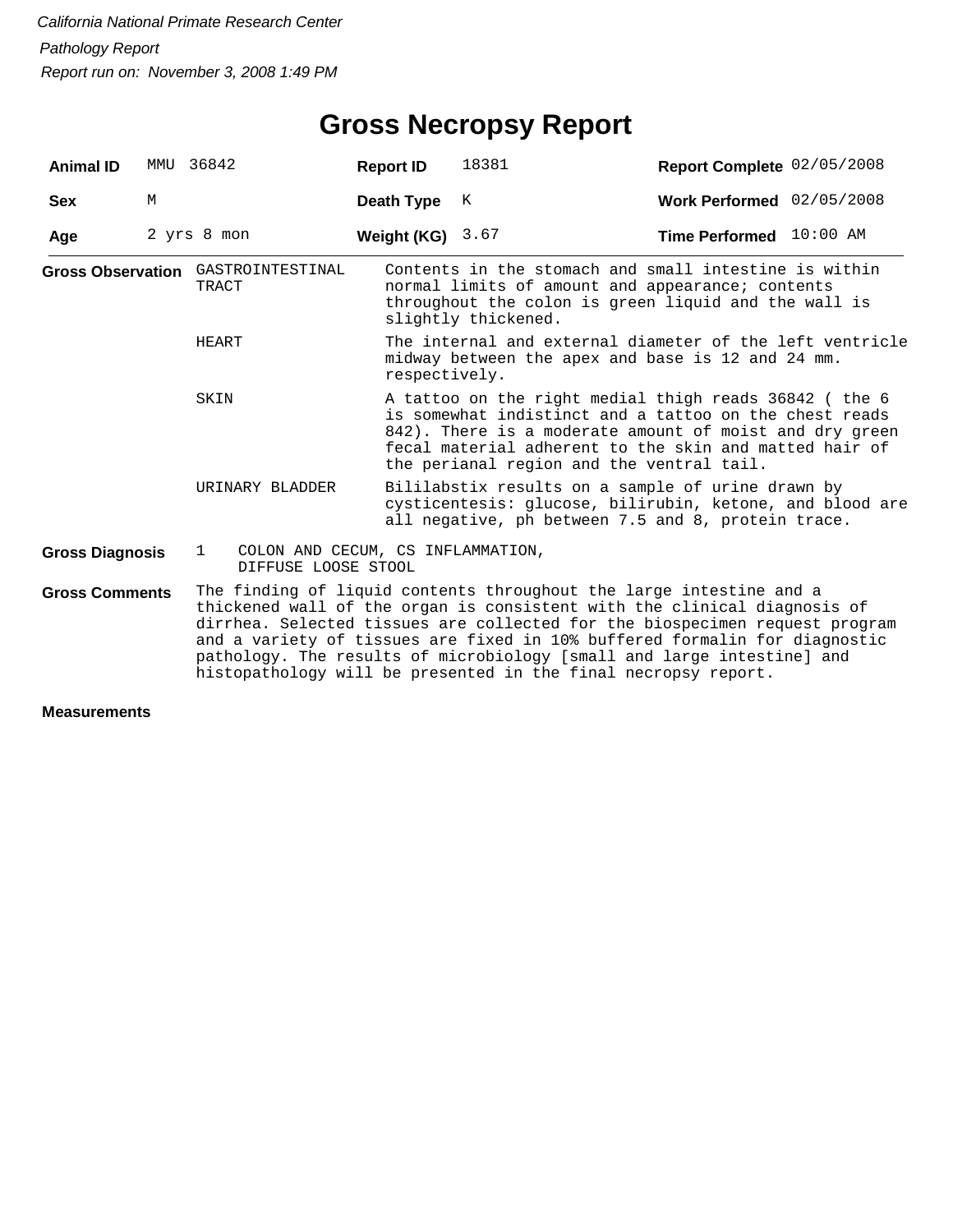| <b>Animal ID</b>       |   | MMU 36842                                                                                                                                                                                                                                                                                                                                                                                                                                                | <b>Report ID</b> | 18381                                                                                                                                                                                                                                                                             | Report Complete 02/05/2008 |  |  |  |
|------------------------|---|----------------------------------------------------------------------------------------------------------------------------------------------------------------------------------------------------------------------------------------------------------------------------------------------------------------------------------------------------------------------------------------------------------------------------------------------------------|------------------|-----------------------------------------------------------------------------------------------------------------------------------------------------------------------------------------------------------------------------------------------------------------------------------|----------------------------|--|--|--|
| <b>Sex</b>             | M |                                                                                                                                                                                                                                                                                                                                                                                                                                                          | Death Type       | К                                                                                                                                                                                                                                                                                 | Work Performed 02/05/2008  |  |  |  |
| Age                    |   | 2 yrs 8 mon                                                                                                                                                                                                                                                                                                                                                                                                                                              | Weight (KG)      | 3.67                                                                                                                                                                                                                                                                              | Time Performed 10:00 AM    |  |  |  |
|                        |   | Gross Observation GASTROINTESTINAL<br>TRACT                                                                                                                                                                                                                                                                                                                                                                                                              |                  | Contents in the stomach and small intestine is within<br>normal limits of amount and appearance; contents<br>throughout the colon is green liquid and the wall is<br>slightly thickened.                                                                                          |                            |  |  |  |
|                        |   | HEART                                                                                                                                                                                                                                                                                                                                                                                                                                                    |                  | The internal and external diameter of the left ventricle<br>midway between the apex and base is 12 and 24 mm.<br>respectively.                                                                                                                                                    |                            |  |  |  |
|                        |   | SKIN                                                                                                                                                                                                                                                                                                                                                                                                                                                     |                  | A tattoo on the right medial thigh reads 36842 (the 6<br>is somewhat indistinct and a tattoo on the chest reads<br>842). There is a moderate amount of moist and dry green<br>fecal material adherent to the skin and matted hair of<br>the perianal region and the ventral tail. |                            |  |  |  |
|                        |   | URINARY BLADDER                                                                                                                                                                                                                                                                                                                                                                                                                                          |                  | Bililabstix results on a sample of urine drawn by<br>cysticentesis: glucose, bilirubin, ketone, and blood are<br>all negative, ph between 7.5 and 8, protein trace.                                                                                                               |                            |  |  |  |
| <b>Gross Diagnosis</b> |   | COLON AND CECUM, CS INFLAMMATION,<br>$\mathbf{1}$<br>DIFFUSE LOOSE STOOL                                                                                                                                                                                                                                                                                                                                                                                 |                  |                                                                                                                                                                                                                                                                                   |                            |  |  |  |
| <b>Gross Comments</b>  |   | The finding of liquid contents throughout the large intestine and a<br>thickened wall of the organ is consistent with the clinical diagnosis of<br>dirrhea. Selected tissues are collected for the biospecimen request program<br>and a variety of tissues are fixed in 10% buffered formalin for diagnostic<br>pathology. The results of microbiology [small and large intestine] and<br>histopathology will be presented in the final necropsy report. |                  |                                                                                                                                                                                                                                                                                   |                            |  |  |  |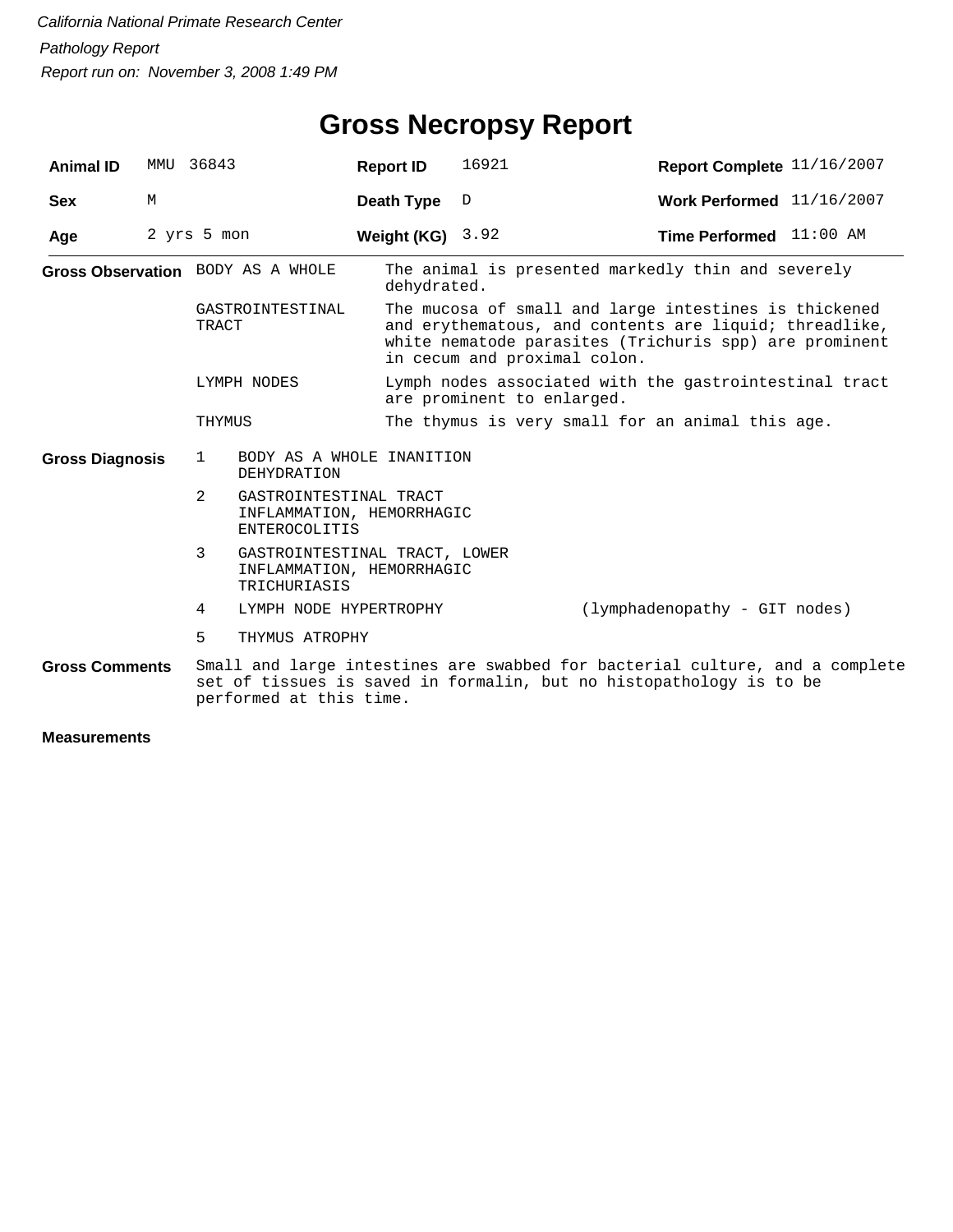# **Gross Necropsy Report**

| <b>Animal ID</b>                                               |   | MMU 36843                                                                                    | <b>Report ID</b>                                                           | 16921                                                                                                                                                                                                     | Report Complete 11/16/2007                                                   |  |  |  |
|----------------------------------------------------------------|---|----------------------------------------------------------------------------------------------|----------------------------------------------------------------------------|-----------------------------------------------------------------------------------------------------------------------------------------------------------------------------------------------------------|------------------------------------------------------------------------------|--|--|--|
| <b>Sex</b>                                                     | М |                                                                                              | Death Type                                                                 | D                                                                                                                                                                                                         | Work Performed 11/16/2007                                                    |  |  |  |
| Age                                                            |   | 2 yrs 5 mon                                                                                  | Weight (KG) $3.92$                                                         |                                                                                                                                                                                                           | Time Performed 11:00 AM                                                      |  |  |  |
| Gross Observation BODY AS A WHOLE<br>GASTROINTESTINAL<br>TRACT |   | dehydrated.                                                                                  |                                                                            | The animal is presented markedly thin and severely                                                                                                                                                        |                                                                              |  |  |  |
|                                                                |   |                                                                                              |                                                                            | The mucosa of small and large intestines is thickened<br>and erythematous, and contents are liquid; threadlike,<br>white nematode parasites (Trichuris spp) are prominent<br>in cecum and proximal colon. |                                                                              |  |  |  |
| LYMPH NODES                                                    |   |                                                                                              |                                                                            | Lymph nodes associated with the gastrointestinal tract<br>are prominent to enlarged.                                                                                                                      |                                                                              |  |  |  |
|                                                                |   | THYMUS                                                                                       |                                                                            | The thymus is very small for an animal this age.                                                                                                                                                          |                                                                              |  |  |  |
| <b>Gross Diagnosis</b>                                         |   | BODY AS A WHOLE INANITION<br>$\mathbf{1}$<br>DEHYDRATION                                     |                                                                            |                                                                                                                                                                                                           |                                                                              |  |  |  |
|                                                                |   | $\mathcal{L}$<br>GASTROINTESTINAL TRACT<br>INFLAMMATION, HEMORRHAGIC<br><b>ENTEROCOLITIS</b> |                                                                            |                                                                                                                                                                                                           |                                                                              |  |  |  |
|                                                                |   | 3                                                                                            | GASTROINTESTINAL TRACT, LOWER<br>INFLAMMATION, HEMORRHAGIC<br>TRICHURIASIS |                                                                                                                                                                                                           |                                                                              |  |  |  |
|                                                                |   | LYMPH NODE HYPERTROPHY<br>4                                                                  |                                                                            |                                                                                                                                                                                                           | (lymphadenopathy - GIT nodes)                                                |  |  |  |
|                                                                |   | 5<br>THYMUS ATROPHY                                                                          |                                                                            |                                                                                                                                                                                                           |                                                                              |  |  |  |
| <b>Gross Comments</b>                                          |   | performed at this time.                                                                      |                                                                            | set of tissues is saved in formalin, but no histopathology is to be                                                                                                                                       | Small and large intestines are swabbed for bacterial culture, and a complete |  |  |  |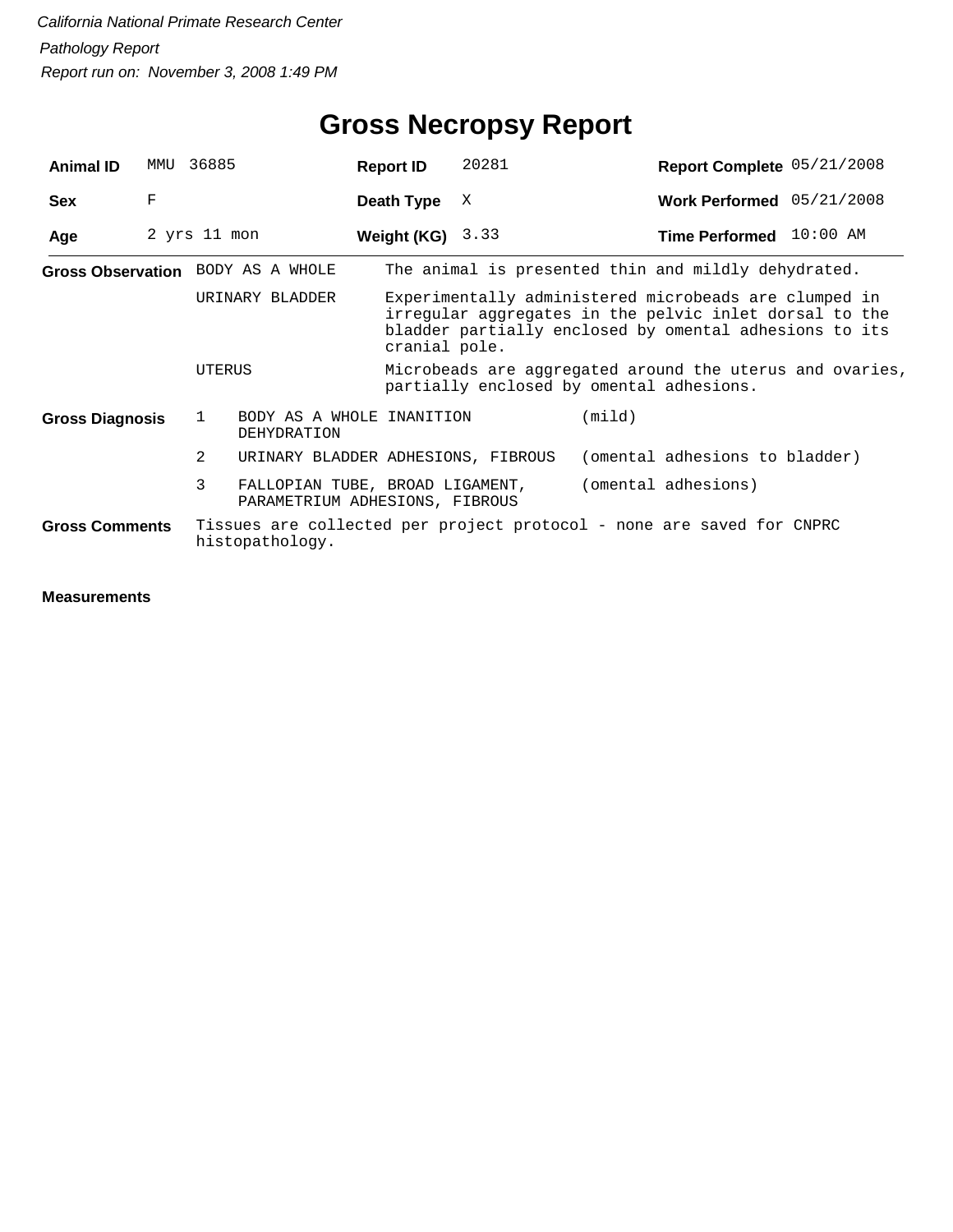| <b>Animal ID</b>       | MMU         | 36885                             | <b>Report ID</b>                                                  | 20281 | Report Complete 05/21/2008                                                                                                                                                |  |
|------------------------|-------------|-----------------------------------|-------------------------------------------------------------------|-------|---------------------------------------------------------------------------------------------------------------------------------------------------------------------------|--|
| <b>Sex</b>             | $\mathbf F$ |                                   | Death Type                                                        | X     | Work Performed 05/21/2008                                                                                                                                                 |  |
| Age                    |             | 2 yrs 11 mon                      | Weight (KG) $3.33$                                                |       | Time Performed 10:00 AM                                                                                                                                                   |  |
|                        |             | Gross Observation BODY AS A WHOLE |                                                                   |       | The animal is presented thin and mildly dehydrated.                                                                                                                       |  |
|                        |             | URINARY BLADDER                   | cranial pole.                                                     |       | Experimentally administered microbeads are clumped in<br>irregular aggregates in the pelvic inlet dorsal to the<br>bladder partially enclosed by omental adhesions to its |  |
|                        |             | UTERUS                            |                                                                   |       | Microbeads are aggregated around the uterus and ovaries,<br>partially enclosed by omental adhesions.                                                                      |  |
| <b>Gross Diagnosis</b> |             | 1<br>DEHYDRATION                  | BODY AS A WHOLE INANITION                                         |       | (mild)                                                                                                                                                                    |  |
|                        |             | $\overline{2}$                    | URINARY BLADDER ADHESIONS, FIBROUS                                |       | (omental adhesions to bladder)                                                                                                                                            |  |
|                        |             | 3                                 | FALLOPIAN TUBE, BROAD LIGAMENT,<br>PARAMETRIUM ADHESIONS, FIBROUS |       | (omental adhesions)                                                                                                                                                       |  |
| <b>Gross Comments</b>  |             | histopathology.                   |                                                                   |       | Tissues are collected per project protocol - none are saved for CNPRC                                                                                                     |  |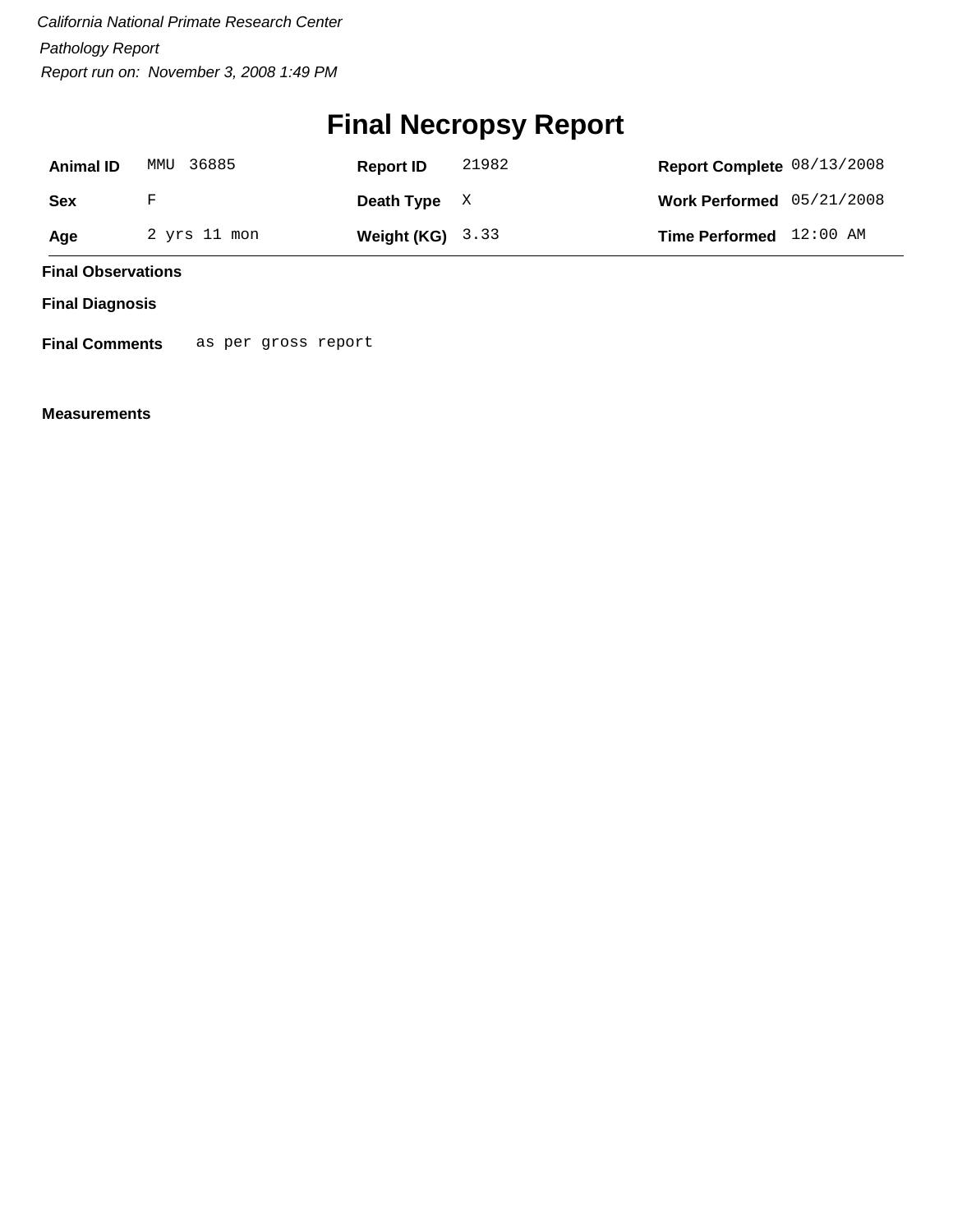# **Final Necropsy Report**

| <b>Animal ID</b> | MMU 36885    | <b>Report ID</b>   | 21982 | Report Complete 08/13/2008  |  |
|------------------|--------------|--------------------|-------|-----------------------------|--|
| <b>Sex</b>       | F            | Death Type $X$     |       | Work Performed $05/21/2008$ |  |
| Age              | 2 yrs 11 mon | Weight $(KG)$ 3.33 |       | Time Performed 12:00 AM     |  |

**Final Observations**

**Final Diagnosis**

**Final Comments** as per gross report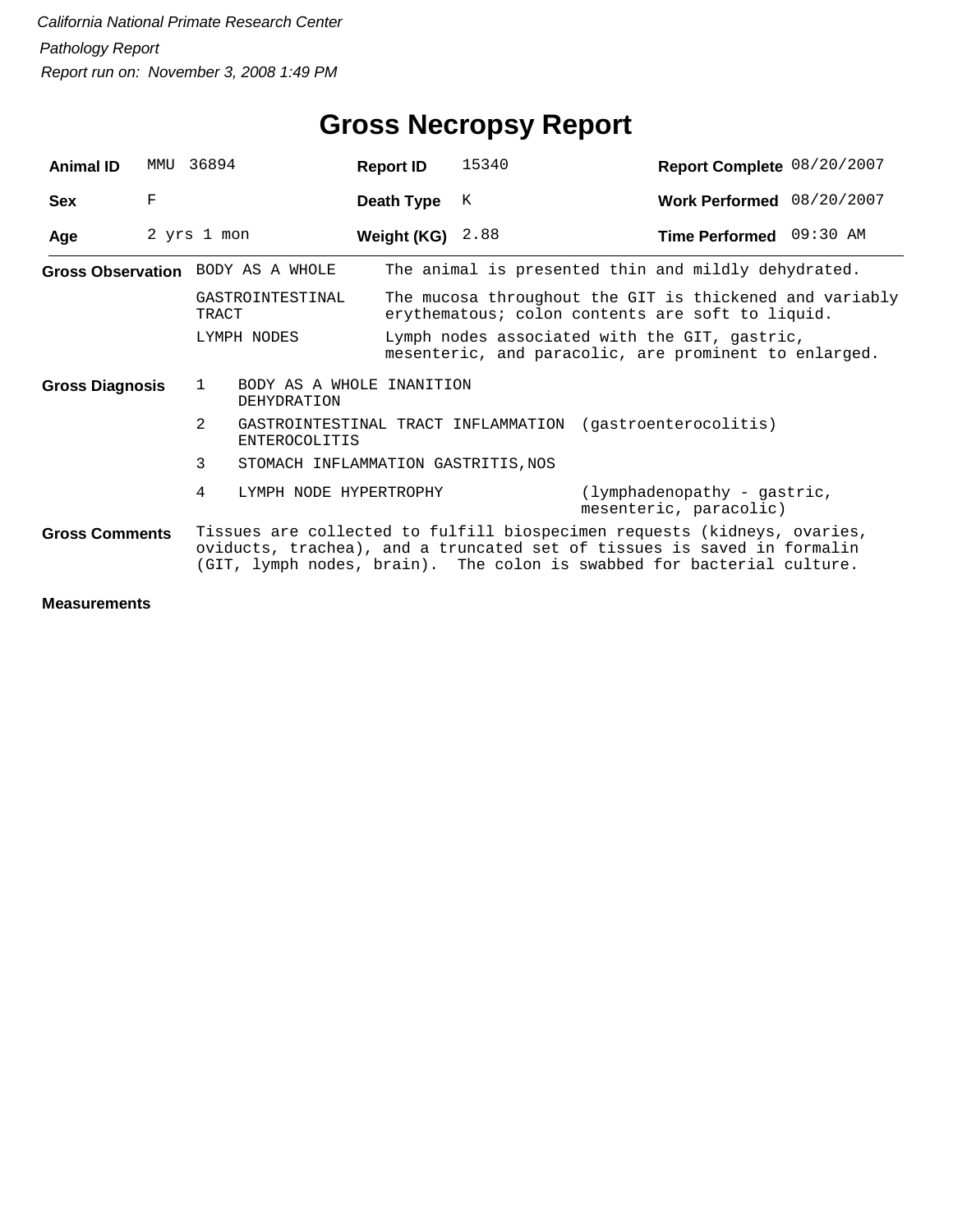| <b>Animal ID</b>       | MMTJ | 36894                                         | <b>Report ID</b> | 15340 | Report Complete 08/20/2007                                                                                                                                                                                                    |  |
|------------------------|------|-----------------------------------------------|------------------|-------|-------------------------------------------------------------------------------------------------------------------------------------------------------------------------------------------------------------------------------|--|
| <b>Sex</b>             | F    |                                               | Death Type       | K     | Work Performed 08/20/2007                                                                                                                                                                                                     |  |
| Age                    |      | 2 yrs 1 mon                                   | Weight (KG)      | 2.88  | Time Performed 09:30 AM                                                                                                                                                                                                       |  |
|                        |      | Gross Observation BODY AS A WHOLE             |                  |       | The animal is presented thin and mildly dehydrated.                                                                                                                                                                           |  |
|                        |      | GASTROINTESTINAL<br>TRACT                     |                  |       | The mucosa throughout the GIT is thickened and variably<br>erythematous; colon contents are soft to liquid.                                                                                                                   |  |
|                        |      | LYMPH NODES                                   |                  |       | Lymph nodes associated with the GIT, gastric,<br>mesenteric, and paracolic, are prominent to enlarged.                                                                                                                        |  |
| <b>Gross Diagnosis</b> |      | BODY AS A WHOLE INANITION<br>1<br>DEHYDRATION |                  |       |                                                                                                                                                                                                                               |  |
|                        |      | $\overline{2}$<br><b>ENTEROCOLITIS</b>        |                  |       | GASTROINTESTINAL TRACT INFLAMMATION (gastroenterocolitis)                                                                                                                                                                     |  |
|                        |      | 3<br>STOMACH INFLAMMATION GASTRITIS, NOS      |                  |       |                                                                                                                                                                                                                               |  |
|                        |      | 4<br>LYMPH NODE HYPERTROPHY                   |                  |       | (lymphadenopathy - gastric,<br>mesenteric, paracolic)                                                                                                                                                                         |  |
| <b>Gross Comments</b>  |      |                                               |                  |       | Tissues are collected to fulfill biospecimen requests (kidneys, ovaries,<br>oviducts, trachea), and a truncated set of tissues is saved in formalin<br>(GIT, lymph nodes, brain). The colon is swabbed for bacterial culture. |  |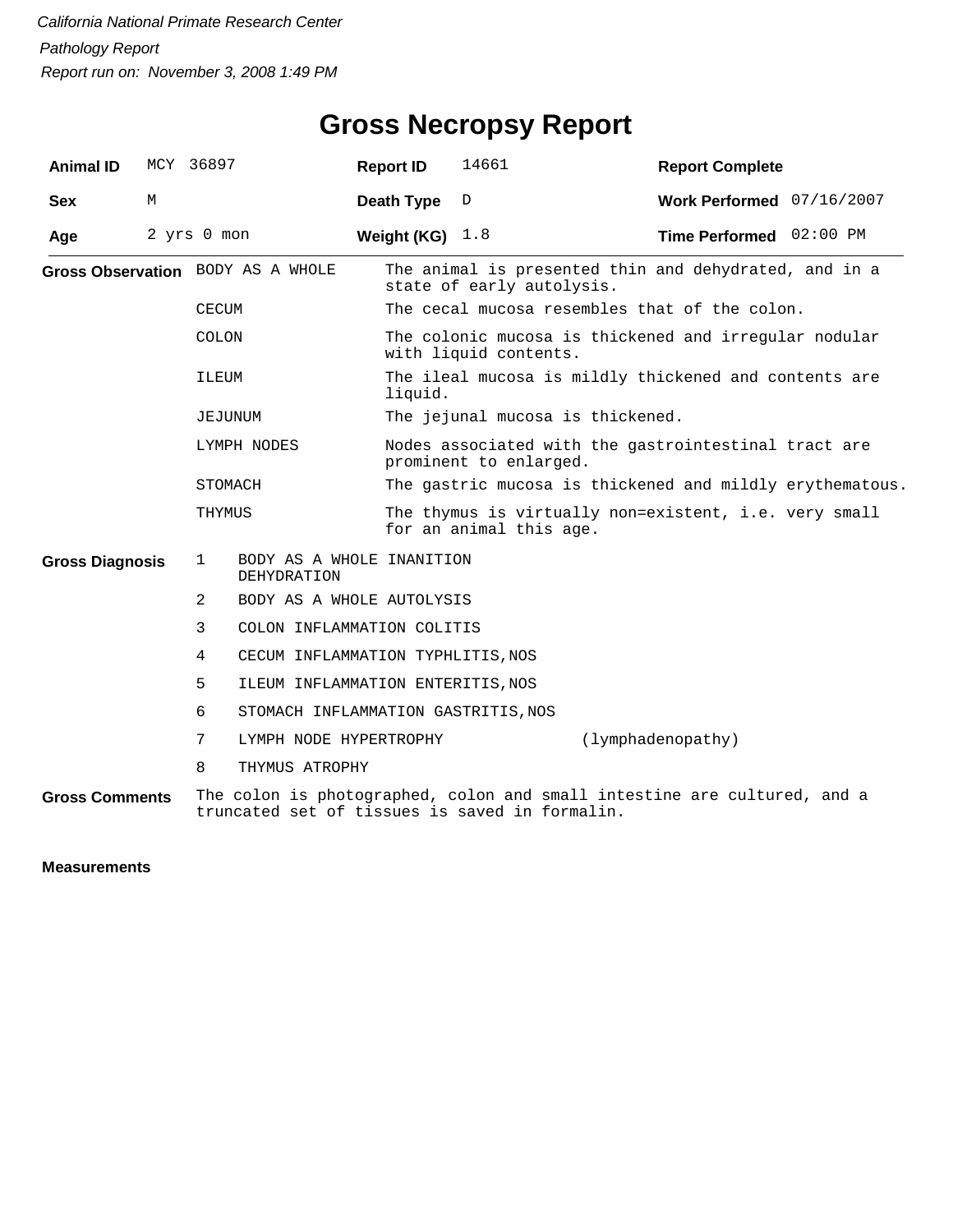#### **Gross Necropsy Report**

| <b>Animal ID</b>                         | MCY 36897 |                                   |                                                                                | <b>Report ID</b> | 14661                            | <b>Report Complete</b>                                                   |  |
|------------------------------------------|-----------|-----------------------------------|--------------------------------------------------------------------------------|------------------|----------------------------------|--------------------------------------------------------------------------|--|
| <b>Sex</b>                               | М         |                                   |                                                                                | Death Type       | D                                | Work Performed 07/16/2007                                                |  |
| Age                                      |           | 2 yrs 0 mon                       |                                                                                | Weight (KG)      | 1.8                              | Time Performed 02:00 PM                                                  |  |
|                                          |           | Gross Observation BODY AS A WHOLE |                                                                                |                  | state of early autolysis.        | The animal is presented thin and dehydrated, and in a                    |  |
|                                          |           | <b>CECUM</b>                      |                                                                                |                  |                                  | The cecal mucosa resembles that of the colon.                            |  |
| COLON<br>ILEUM<br>JEJUNUM<br>LYMPH NODES |           |                                   |                                                                                |                  | with liquid contents.            | The colonic mucosa is thickened and irregular nodular                    |  |
|                                          |           |                                   |                                                                                | liquid.          |                                  | The ileal mucosa is mildly thickened and contents are                    |  |
|                                          |           |                                   |                                                                                |                  | The jejunal mucosa is thickened. |                                                                          |  |
|                                          |           |                                   | Nodes associated with the gastrointestinal tract are<br>prominent to enlarged. |                  |                                  |                                                                          |  |
|                                          |           |                                   | STOMACH                                                                        |                  |                                  | The gastric mucosa is thickened and mildly erythematous.                 |  |
|                                          |           | THYMUS                            |                                                                                |                  | for an animal this age.          | The thymus is virtually non=existent, i.e. very small                    |  |
| <b>Gross Diagnosis</b>                   |           | 1                                 | BODY AS A WHOLE INANITION<br><b>DEHYDRATION</b>                                |                  |                                  |                                                                          |  |
|                                          |           | 2                                 | BODY AS A WHOLE AUTOLYSIS                                                      |                  |                                  |                                                                          |  |
|                                          |           | 3                                 | COLON INFLAMMATION COLITIS                                                     |                  |                                  |                                                                          |  |
|                                          |           | 4                                 | CECUM INFLAMMATION TYPHLITIS, NOS                                              |                  |                                  |                                                                          |  |
|                                          |           | 5                                 | ILEUM INFLAMMATION ENTERITIS, NOS                                              |                  |                                  |                                                                          |  |
|                                          |           | 6                                 | STOMACH INFLAMMATION GASTRITIS, NOS                                            |                  |                                  |                                                                          |  |
|                                          |           | 7                                 | LYMPH NODE HYPERTROPHY                                                         |                  |                                  | (lymphadenopathy)                                                        |  |
|                                          |           | 8                                 | THYMUS ATROPHY                                                                 |                  |                                  |                                                                          |  |
| <b>Gross Comments</b>                    |           |                                   | truncated set of tissues is saved in formalin.                                 |                  |                                  | The colon is photographed, colon and small intestine are cultured, and a |  |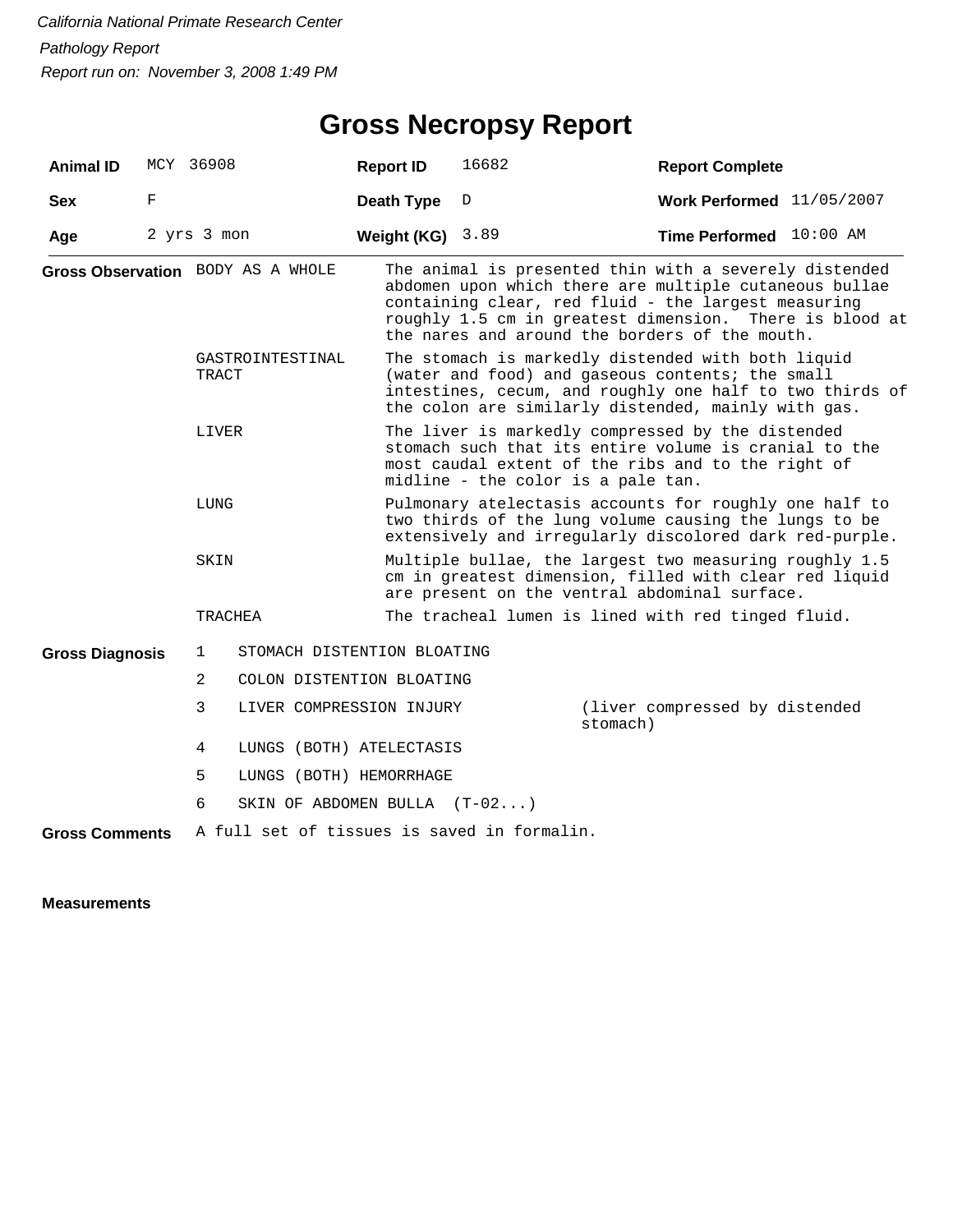# **Gross Necropsy Report**

| <b>Animal ID</b>       |   | MCY 36908                                                                       |                                | <b>Report ID</b>                                                                                                                                                           | 16682                                                                                                                                                                                                                     | <b>Report Complete</b>                                                                                                                                                                                                                                                               |  |  |  |
|------------------------|---|---------------------------------------------------------------------------------|--------------------------------|----------------------------------------------------------------------------------------------------------------------------------------------------------------------------|---------------------------------------------------------------------------------------------------------------------------------------------------------------------------------------------------------------------------|--------------------------------------------------------------------------------------------------------------------------------------------------------------------------------------------------------------------------------------------------------------------------------------|--|--|--|
| <b>Sex</b>             | F |                                                                                 |                                | Death Type                                                                                                                                                                 | D                                                                                                                                                                                                                         | Work Performed 11/05/2007                                                                                                                                                                                                                                                            |  |  |  |
| Age                    |   | 2 yrs 3 mon                                                                     |                                | Weight (KG)                                                                                                                                                                | 3.89                                                                                                                                                                                                                      | Time Performed 10:00 AM                                                                                                                                                                                                                                                              |  |  |  |
|                        |   | Gross Observation BODY AS A WHOLE<br>GASTROINTESTINAL<br>TRACT<br>LIVER<br>LUNG |                                |                                                                                                                                                                            |                                                                                                                                                                                                                           | The animal is presented thin with a severely distended<br>abdomen upon which there are multiple cutaneous bullae<br>containing clear, red fluid - the largest measuring<br>roughly 1.5 cm in greatest dimension. There is blood at<br>the nares and around the borders of the mouth. |  |  |  |
|                        |   |                                                                                 |                                |                                                                                                                                                                            | The stomach is markedly distended with both liquid<br>(water and food) and gaseous contents; the small<br>intestines, cecum, and roughly one half to two thirds of<br>the colon are similarly distended, mainly with gas. |                                                                                                                                                                                                                                                                                      |  |  |  |
|                        |   |                                                                                 |                                |                                                                                                                                                                            | The liver is markedly compressed by the distended<br>stomach such that its entire volume is cranial to the<br>most caudal extent of the ribs and to the right of<br>midline - the color is a pale tan.                    |                                                                                                                                                                                                                                                                                      |  |  |  |
|                        |   |                                                                                 |                                | Pulmonary atelectasis accounts for roughly one half to<br>two thirds of the lung volume causing the lungs to be<br>extensively and irregularly discolored dark red-purple. |                                                                                                                                                                                                                           |                                                                                                                                                                                                                                                                                      |  |  |  |
|                        |   | SKIN                                                                            |                                | Multiple bullae, the largest two measuring roughly 1.5<br>cm in greatest dimension, filled with clear red liquid<br>are present on the ventral abdominal surface.          |                                                                                                                                                                                                                           |                                                                                                                                                                                                                                                                                      |  |  |  |
|                        |   | <b>TRACHEA</b>                                                                  |                                |                                                                                                                                                                            |                                                                                                                                                                                                                           | The tracheal lumen is lined with red tinged fluid.                                                                                                                                                                                                                                   |  |  |  |
| <b>Gross Diagnosis</b> |   | 1                                                                               | STOMACH DISTENTION BLOATING    |                                                                                                                                                                            |                                                                                                                                                                                                                           |                                                                                                                                                                                                                                                                                      |  |  |  |
|                        |   | $\overline{2}$                                                                  | COLON DISTENTION BLOATING      |                                                                                                                                                                            |                                                                                                                                                                                                                           |                                                                                                                                                                                                                                                                                      |  |  |  |
|                        |   | 3                                                                               | LIVER COMPRESSION INJURY       |                                                                                                                                                                            |                                                                                                                                                                                                                           | (liver compressed by distended<br>stomach)                                                                                                                                                                                                                                           |  |  |  |
|                        |   | 4                                                                               | LUNGS (BOTH) ATELECTASIS       |                                                                                                                                                                            |                                                                                                                                                                                                                           |                                                                                                                                                                                                                                                                                      |  |  |  |
|                        |   | 5                                                                               | LUNGS (BOTH) HEMORRHAGE        |                                                                                                                                                                            |                                                                                                                                                                                                                           |                                                                                                                                                                                                                                                                                      |  |  |  |
|                        |   | 6                                                                               | SKIN OF ABDOMEN BULLA $(T-02)$ |                                                                                                                                                                            |                                                                                                                                                                                                                           |                                                                                                                                                                                                                                                                                      |  |  |  |
| <b>Gross Comments</b>  |   |                                                                                 |                                |                                                                                                                                                                            | A full set of tissues is saved in formalin.                                                                                                                                                                               |                                                                                                                                                                                                                                                                                      |  |  |  |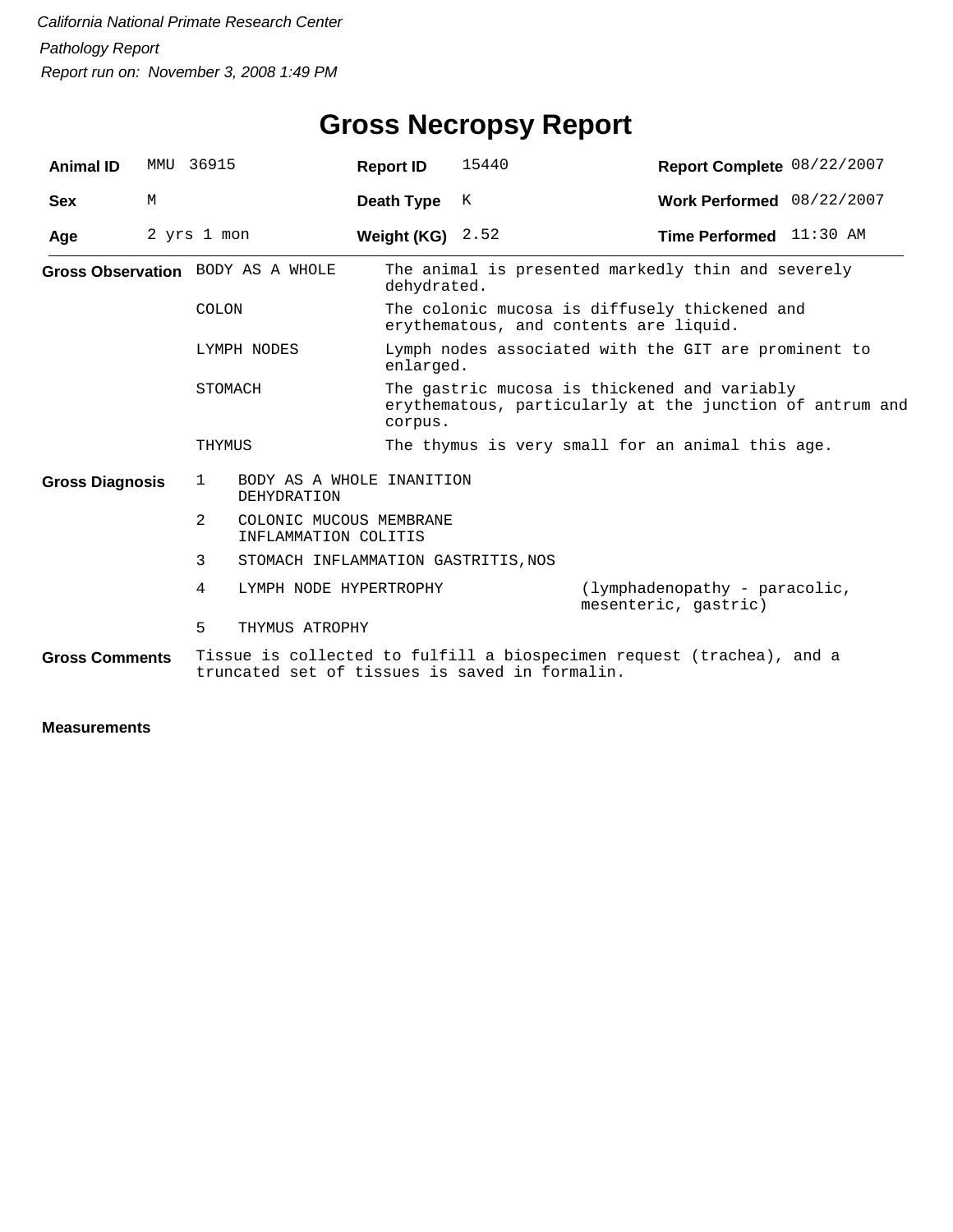# **Gross Necropsy Report**

| <b>Animal ID</b>       |   | MMU 36915                                                                                                               | <b>Report ID</b>   | 15440                                                                                                    | Report Complete 08/22/2007                            |  |  |  |
|------------------------|---|-------------------------------------------------------------------------------------------------------------------------|--------------------|----------------------------------------------------------------------------------------------------------|-------------------------------------------------------|--|--|--|
| <b>Sex</b>             | M |                                                                                                                         | Death Type         | K                                                                                                        | Work Performed 08/22/2007                             |  |  |  |
| Age                    |   | 2 yrs 1 mon                                                                                                             | Weight (KG) $2.52$ |                                                                                                          | Time Performed 11:30 AM                               |  |  |  |
|                        |   | Gross Observation BODY AS A WHOLE                                                                                       |                    | The animal is presented markedly thin and severely<br>dehydrated.                                        |                                                       |  |  |  |
|                        |   | COLON                                                                                                                   |                    | The colonic mucosa is diffusely thickened and<br>erythematous, and contents are liquid.                  |                                                       |  |  |  |
|                        |   | LYMPH NODES                                                                                                             |                    | Lymph nodes associated with the GIT are prominent to<br>enlarged.                                        |                                                       |  |  |  |
|                        |   | STOMACH                                                                                                                 | corpus.            | The gastric mucosa is thickened and variably<br>erythematous, particularly at the junction of antrum and |                                                       |  |  |  |
|                        |   | THYMUS                                                                                                                  |                    | The thymus is very small for an animal this age.                                                         |                                                       |  |  |  |
| <b>Gross Diagnosis</b> |   | BODY AS A WHOLE INANITION<br>$\mathbf{1}$<br><b>DEHYDRATION</b>                                                         |                    |                                                                                                          |                                                       |  |  |  |
|                        |   | 2<br>COLONIC MUCOUS MEMBRANE<br>INFLAMMATION COLITIS                                                                    |                    |                                                                                                          |                                                       |  |  |  |
|                        |   | 3<br>STOMACH INFLAMMATION GASTRITIS, NOS                                                                                |                    |                                                                                                          |                                                       |  |  |  |
|                        |   | 4<br>LYMPH NODE HYPERTROPHY                                                                                             |                    |                                                                                                          | (lymphadenopathy - paracolic,<br>mesenteric, gastric) |  |  |  |
|                        |   | 5<br>THYMUS ATROPHY                                                                                                     |                    |                                                                                                          |                                                       |  |  |  |
| <b>Gross Comments</b>  |   | Tissue is collected to fulfill a biospecimen request (trachea), and a<br>truncated set of tissues is saved in formalin. |                    |                                                                                                          |                                                       |  |  |  |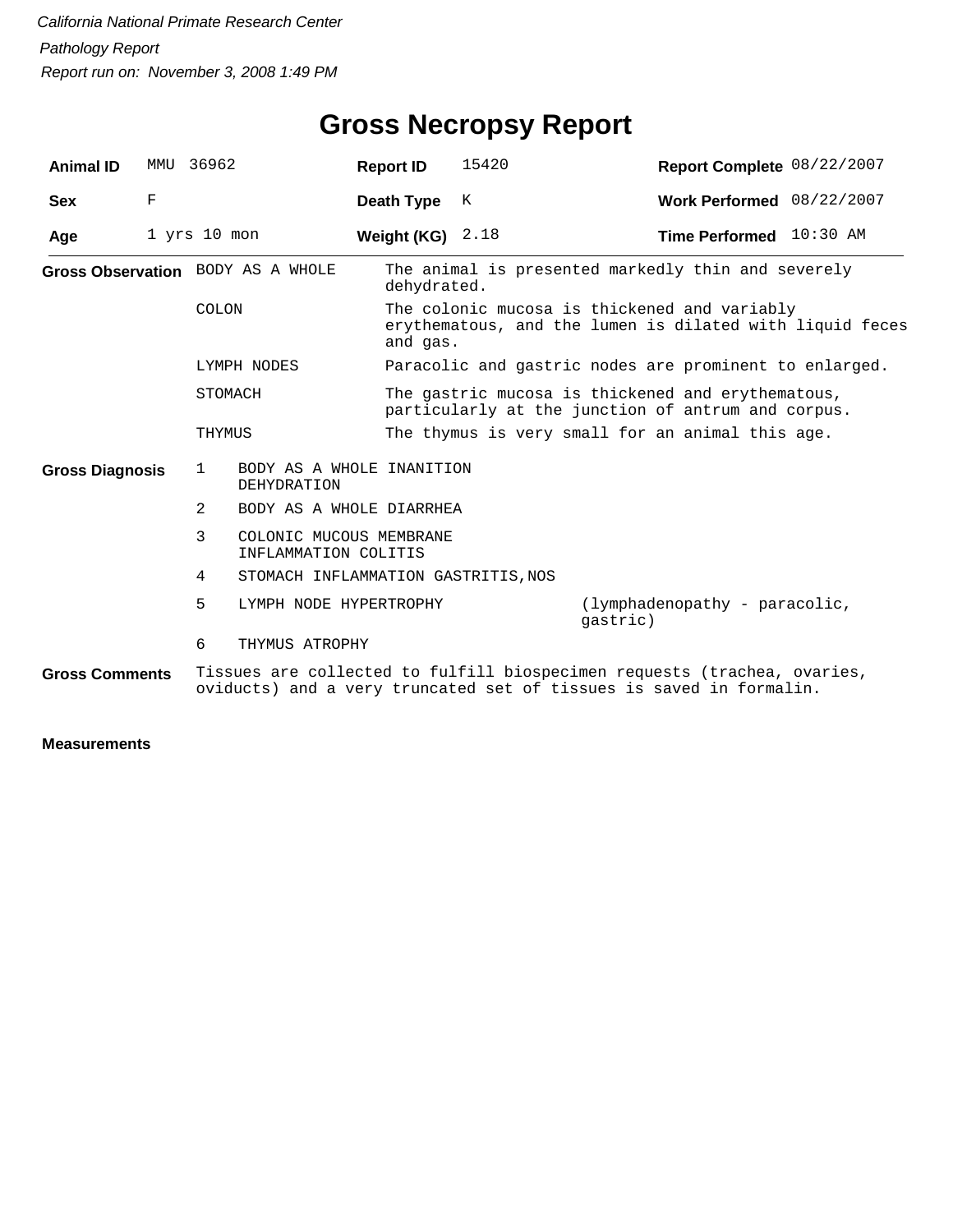# **Gross Necropsy Report**

| <b>Animal ID</b>       |             | MMU 36962                                                       | <b>Report ID</b>                                | 15420                                                                                                                | Report Complete 08/22/2007                                                                                                                      |  |  |  |
|------------------------|-------------|-----------------------------------------------------------------|-------------------------------------------------|----------------------------------------------------------------------------------------------------------------------|-------------------------------------------------------------------------------------------------------------------------------------------------|--|--|--|
| <b>Sex</b>             | $\mathbf F$ |                                                                 | Death Type                                      | К                                                                                                                    | Work Performed 08/22/2007                                                                                                                       |  |  |  |
| Age                    |             | $1$ yrs $10$ mon                                                | Weight (KG) $2.18$                              |                                                                                                                      | Time Performed 10:30 AM                                                                                                                         |  |  |  |
|                        |             | Gross Observation BODY AS A WHOLE                               | dehydrated.                                     |                                                                                                                      | The animal is presented markedly thin and severely                                                                                              |  |  |  |
|                        |             | COLON                                                           |                                                 | The colonic mucosa is thickened and variably<br>erythematous, and the lumen is dilated with liquid feces<br>and gas. |                                                                                                                                                 |  |  |  |
|                        |             | LYMPH NODES                                                     |                                                 | Paracolic and gastric nodes are prominent to enlarged.                                                               |                                                                                                                                                 |  |  |  |
|                        |             | STOMACH                                                         |                                                 | The gastric mucosa is thickened and erythematous,<br>particularly at the junction of antrum and corpus.              |                                                                                                                                                 |  |  |  |
|                        |             | THYMUS                                                          |                                                 |                                                                                                                      | The thymus is very small for an animal this age.                                                                                                |  |  |  |
| <b>Gross Diagnosis</b> |             | BODY AS A WHOLE INANITION<br>$\mathbf{1}$<br><b>DEHYDRATION</b> |                                                 |                                                                                                                      |                                                                                                                                                 |  |  |  |
|                        |             | 2<br>BODY AS A WHOLE DIARRHEA                                   |                                                 |                                                                                                                      |                                                                                                                                                 |  |  |  |
|                        |             | 3                                                               | COLONIC MUCOUS MEMBRANE<br>INFLAMMATION COLITIS |                                                                                                                      |                                                                                                                                                 |  |  |  |
|                        |             | 4<br>STOMACH INFLAMMATION GASTRITIS, NOS                        |                                                 |                                                                                                                      |                                                                                                                                                 |  |  |  |
|                        |             | 5<br>LYMPH NODE HYPERTROPHY                                     |                                                 |                                                                                                                      | (lymphadenopathy - paracolic,<br>qastric)                                                                                                       |  |  |  |
|                        |             | 6<br>THYMUS ATROPHY                                             |                                                 |                                                                                                                      |                                                                                                                                                 |  |  |  |
| <b>Gross Comments</b>  |             |                                                                 |                                                 |                                                                                                                      | Tissues are collected to fulfill biospecimen requests (trachea, ovaries,<br>oviducts) and a very truncated set of tissues is saved in formalin. |  |  |  |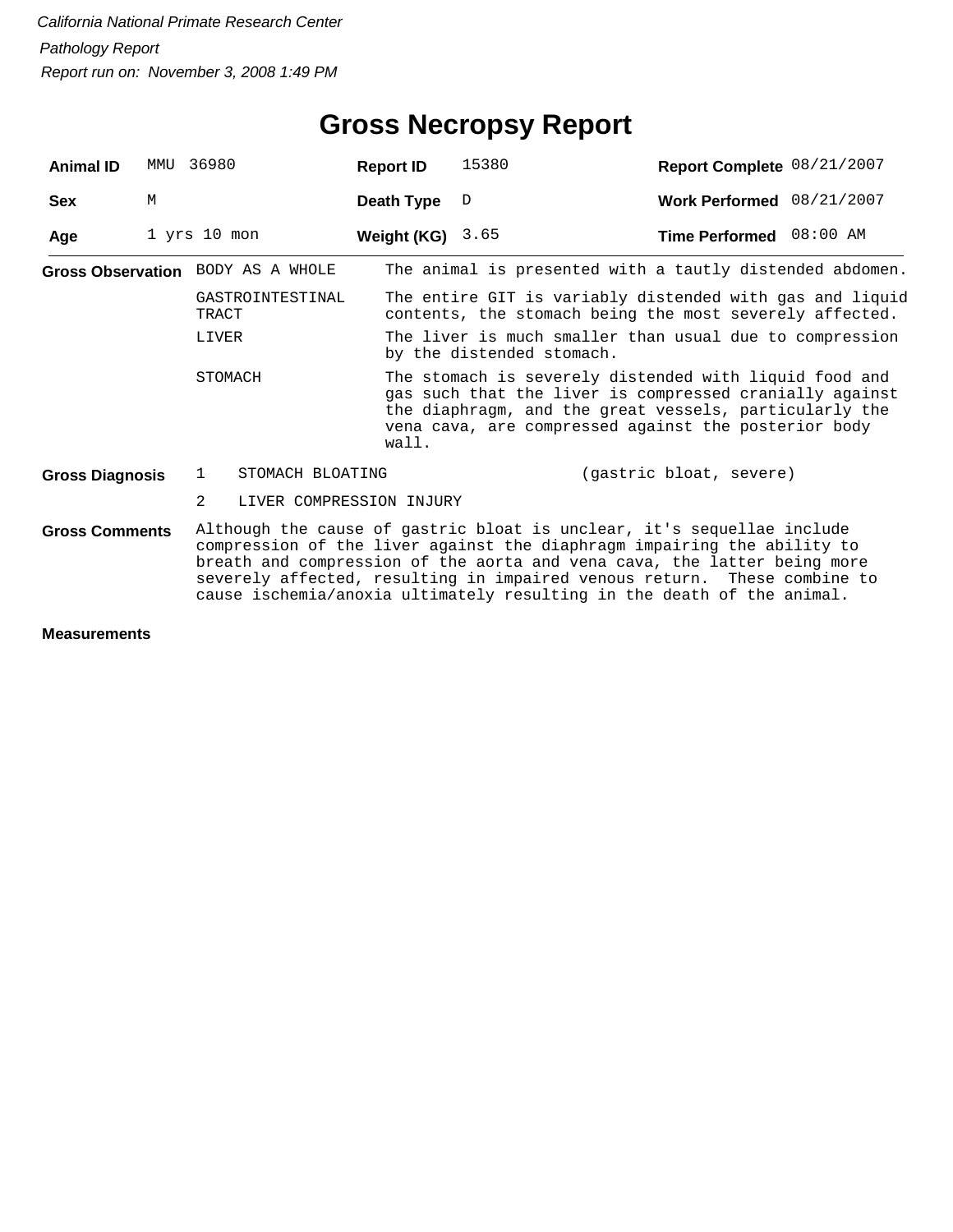| <b>Animal ID</b>                  | MMU | 36980                                                                                                                                                                                                                                                                                                                                                                               |                          | <b>Report ID</b>   | 15380                                                                                                                                                                                                                               | Report Complete 08/21/2007                                                                                          |  |  |  |
|-----------------------------------|-----|-------------------------------------------------------------------------------------------------------------------------------------------------------------------------------------------------------------------------------------------------------------------------------------------------------------------------------------------------------------------------------------|--------------------------|--------------------|-------------------------------------------------------------------------------------------------------------------------------------------------------------------------------------------------------------------------------------|---------------------------------------------------------------------------------------------------------------------|--|--|--|
| <b>Sex</b>                        | M   |                                                                                                                                                                                                                                                                                                                                                                                     |                          | Death Type         | D                                                                                                                                                                                                                                   | Work Performed 08/21/2007                                                                                           |  |  |  |
| Age                               |     | $1$ yrs $10$ mon                                                                                                                                                                                                                                                                                                                                                                    |                          | Weight (KG) $3.65$ |                                                                                                                                                                                                                                     | Time Performed 08:00 AM                                                                                             |  |  |  |
| Gross Observation BODY AS A WHOLE |     |                                                                                                                                                                                                                                                                                                                                                                                     |                          |                    |                                                                                                                                                                                                                                     | The animal is presented with a tautly distended abdomen.                                                            |  |  |  |
|                                   |     | TRACT                                                                                                                                                                                                                                                                                                                                                                               | GASTROINTESTINAL         |                    |                                                                                                                                                                                                                                     | The entire GIT is variably distended with gas and liquid<br>contents, the stomach being the most severely affected. |  |  |  |
|                                   |     | LIVER                                                                                                                                                                                                                                                                                                                                                                               |                          |                    | The liver is much smaller than usual due to compression<br>by the distended stomach.                                                                                                                                                |                                                                                                                     |  |  |  |
|                                   |     | STOMACH                                                                                                                                                                                                                                                                                                                                                                             |                          | wall.              | The stomach is severely distended with liquid food and<br>gas such that the liver is compressed cranially against<br>the diaphragm, and the great vessels, particularly the<br>vena cava, are compressed against the posterior body |                                                                                                                     |  |  |  |
| <b>Gross Diagnosis</b>            |     | $\mathbf{1}$                                                                                                                                                                                                                                                                                                                                                                        | STOMACH BLOATING         |                    |                                                                                                                                                                                                                                     | (gastric bloat, severe)                                                                                             |  |  |  |
|                                   |     | 2                                                                                                                                                                                                                                                                                                                                                                                   | LIVER COMPRESSION INJURY |                    |                                                                                                                                                                                                                                     |                                                                                                                     |  |  |  |
| <b>Gross Comments</b>             |     | Although the cause of gastric bloat is unclear, it's sequellae include<br>compression of the liver against the diaphragm impairing the ability to<br>breath and compression of the aorta and vena cava, the latter being more<br>severely affected, resulting in impaired venous return. These combine to<br>cause ischemia/anoxia ultimately resulting in the death of the animal. |                          |                    |                                                                                                                                                                                                                                     |                                                                                                                     |  |  |  |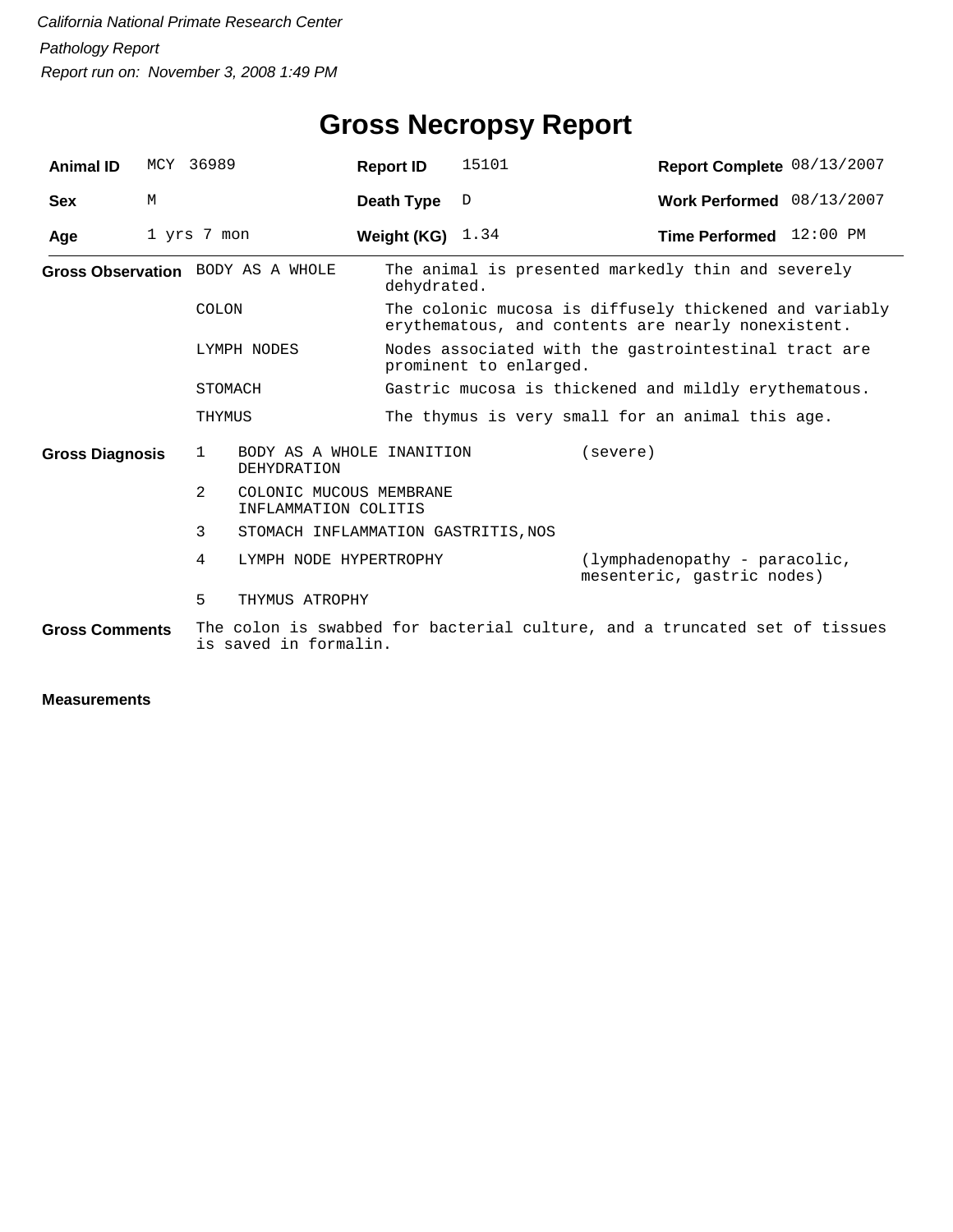# **Gross Necropsy Report**

| <b>Animal ID</b>       |   | MCY 36989                                                                                           | <b>Report ID</b>                                | 15101                                                                                                        | Report Complete 08/13/2007                                  |  |  |  |
|------------------------|---|-----------------------------------------------------------------------------------------------------|-------------------------------------------------|--------------------------------------------------------------------------------------------------------------|-------------------------------------------------------------|--|--|--|
| <b>Sex</b>             | M |                                                                                                     | Death Type                                      | $\mathbb D$                                                                                                  | Work Performed 08/13/2007                                   |  |  |  |
| Age                    |   | 1 yrs 7 mon                                                                                         | Weight (KG) $1.34$                              |                                                                                                              | Time Performed 12:00 PM                                     |  |  |  |
|                        |   | Gross Observation BODY AS A WHOLE                                                                   | dehydrated.                                     |                                                                                                              | The animal is presented markedly thin and severely          |  |  |  |
|                        |   | COLON                                                                                               |                                                 | The colonic mucosa is diffusely thickened and variably<br>erythematous, and contents are nearly nonexistent. |                                                             |  |  |  |
|                        |   | LYMPH NODES                                                                                         |                                                 | Nodes associated with the gastrointestinal tract are<br>prominent to enlarged.                               |                                                             |  |  |  |
|                        |   | STOMACH                                                                                             |                                                 |                                                                                                              | Gastric mucosa is thickened and mildly erythematous.        |  |  |  |
|                        |   | THYMUS                                                                                              |                                                 | The thymus is very small for an animal this age.                                                             |                                                             |  |  |  |
| <b>Gross Diagnosis</b> |   | $\mathbf{1}$<br><b>DEHYDRATION</b>                                                                  | BODY AS A WHOLE INANITION                       |                                                                                                              | (severe)                                                    |  |  |  |
|                        |   | 2                                                                                                   | COLONIC MUCOUS MEMBRANE<br>INFLAMMATION COLITIS |                                                                                                              |                                                             |  |  |  |
|                        |   | 3                                                                                                   | STOMACH INFLAMMATION GASTRITIS, NOS             |                                                                                                              |                                                             |  |  |  |
|                        |   | 4                                                                                                   | LYMPH NODE HYPERTROPHY                          |                                                                                                              | (lymphadenopathy - paracolic,<br>mesenteric, gastric nodes) |  |  |  |
|                        |   | 5<br>THYMUS ATROPHY                                                                                 |                                                 |                                                                                                              |                                                             |  |  |  |
| <b>Gross Comments</b>  |   | The colon is swabbed for bacterial culture, and a truncated set of tissues<br>is saved in formalin. |                                                 |                                                                                                              |                                                             |  |  |  |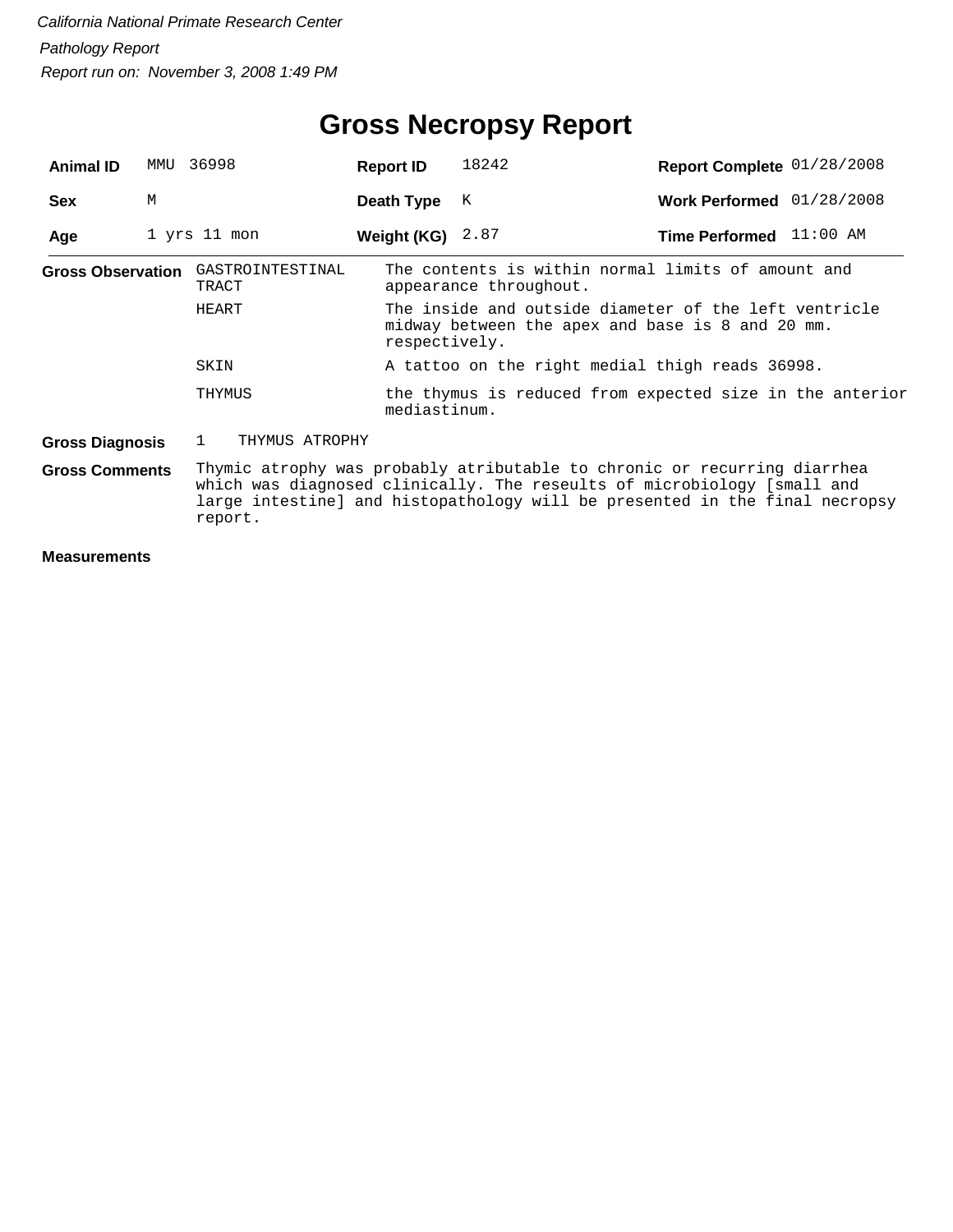| <b>Animal ID</b>         | MMU                                                                                                                                                                                                                                           | 36998                          | <b>Report ID</b> | 18242                                                                                                     | Report Complete 01/28/2008  |  |  |  |
|--------------------------|-----------------------------------------------------------------------------------------------------------------------------------------------------------------------------------------------------------------------------------------------|--------------------------------|------------------|-----------------------------------------------------------------------------------------------------------|-----------------------------|--|--|--|
| <b>Sex</b>               | M                                                                                                                                                                                                                                             |                                | Death Type       | K                                                                                                         | Work Performed $01/28/2008$ |  |  |  |
| Age                      |                                                                                                                                                                                                                                               | 1 yrs 11 mon                   | Weight (KG)      | 2.87                                                                                                      | Time Performed 11:00 AM     |  |  |  |
| <b>Gross Observation</b> |                                                                                                                                                                                                                                               | GASTROINTESTINAL<br>TRACT      |                  | The contents is within normal limits of amount and<br>appearance throughout.                              |                             |  |  |  |
|                          |                                                                                                                                                                                                                                               | HEART                          | respectively.    | The inside and outside diameter of the left ventricle<br>midway between the apex and base is 8 and 20 mm. |                             |  |  |  |
|                          |                                                                                                                                                                                                                                               | SKIN                           |                  | A tattoo on the right medial thigh reads 36998.                                                           |                             |  |  |  |
|                          |                                                                                                                                                                                                                                               | THYMUS                         |                  | the thymus is reduced from expected size in the anterior<br>mediastinum.                                  |                             |  |  |  |
| <b>Gross Diagnosis</b>   |                                                                                                                                                                                                                                               | THYMUS ATROPHY<br>$\mathbf{1}$ |                  |                                                                                                           |                             |  |  |  |
| <b>Gross Comments</b>    | Thymic atrophy was probably atributable to chronic or recurring diarrhea<br>which was diagnosed clinically. The reseults of microbiology [small and<br>large intestine] and histopathology will be presented in the final necropsy<br>report. |                                |                  |                                                                                                           |                             |  |  |  |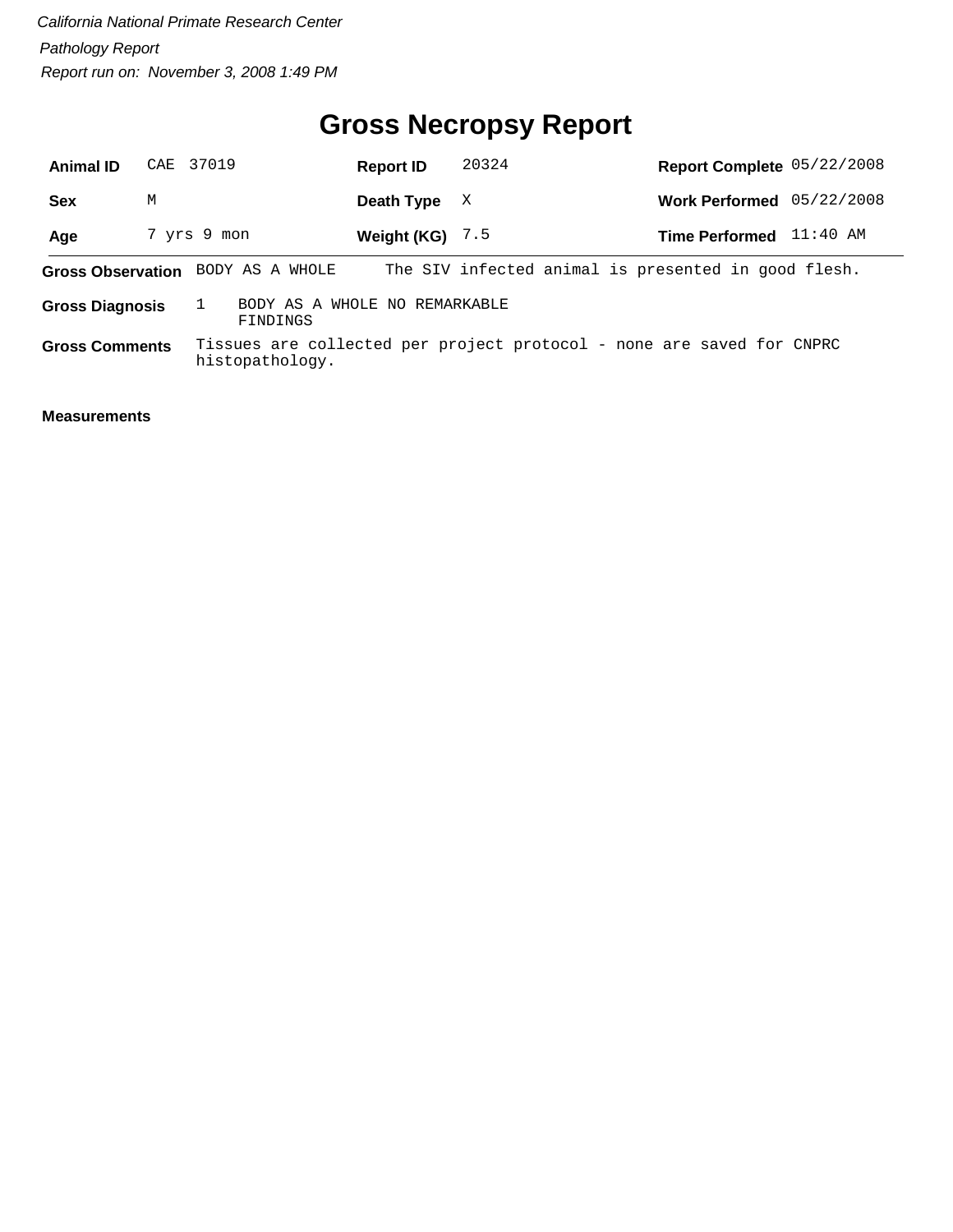# **Gross Necropsy Report**

| <b>Animal ID</b>                                                    | CAE 37019 |                 | <b>Report ID</b>  | 20324 | Report Complete 05/22/2008                                            |          |
|---------------------------------------------------------------------|-----------|-----------------|-------------------|-------|-----------------------------------------------------------------------|----------|
| <b>Sex</b>                                                          | M         |                 | Death Type        | X     | Work Performed 05/22/2008                                             |          |
| Age                                                                 |           | 7 yrs 9 mon     | Weight (KG) $7.5$ |       | <b>Time Performed</b>                                                 | 11:40 AM |
| <b>Gross Observation</b>                                            |           | BODY AS A WHOLE |                   |       | The SIV infected animal is presented in good flesh.                   |          |
| BODY AS A WHOLE NO REMARKABLE<br><b>Gross Diagnosis</b><br>FINDINGS |           |                 |                   |       |                                                                       |          |
| <b>Gross Comments</b>                                               |           | histopathology. |                   |       | Tissues are collected per project protocol - none are saved for CNPRC |          |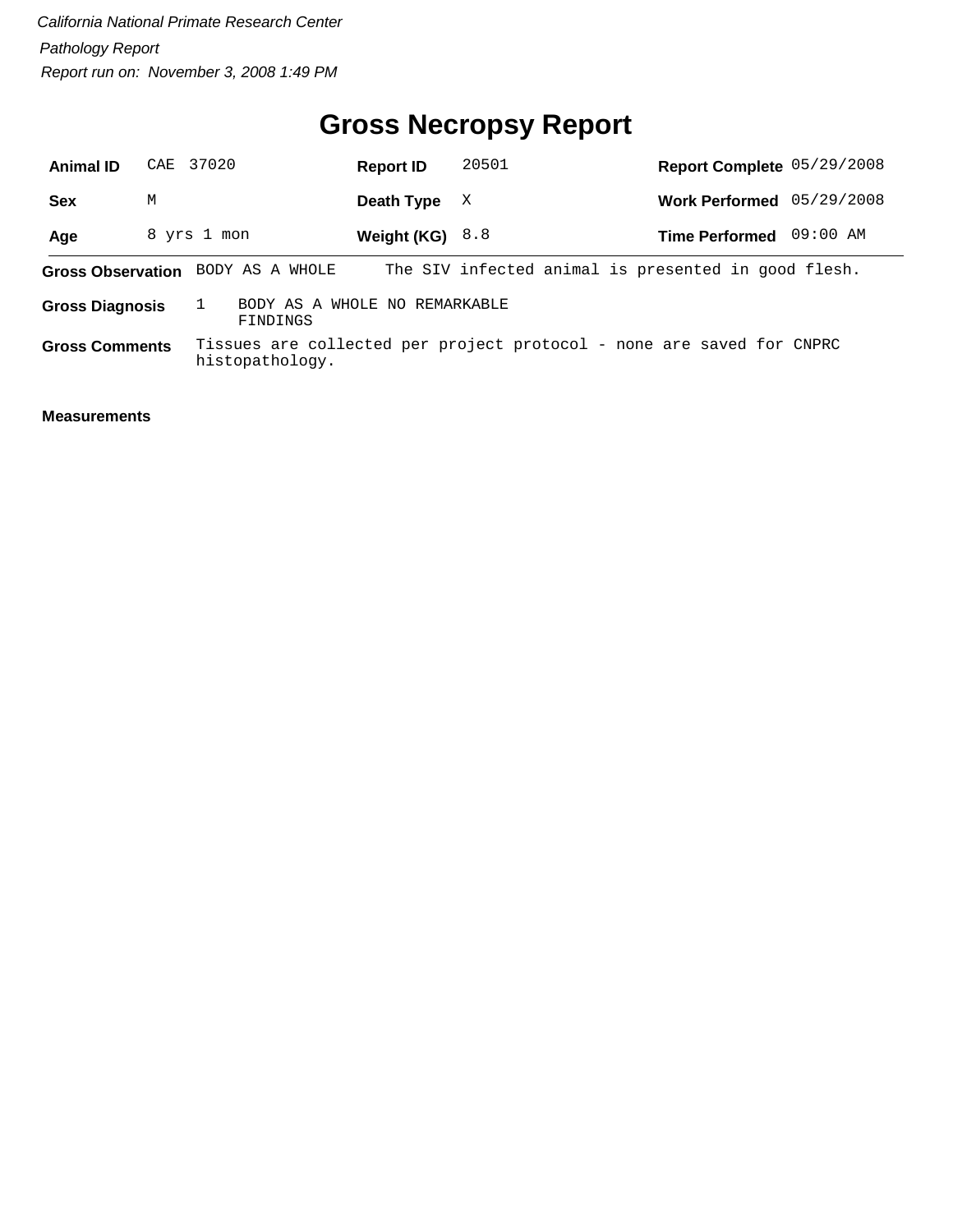# **Gross Necropsy Report**

| <b>Animal ID</b>                                                    |   | CAE 37020       | <b>Report ID</b>  | 20501 | Report Complete 05/29/2008                                            |          |
|---------------------------------------------------------------------|---|-----------------|-------------------|-------|-----------------------------------------------------------------------|----------|
| <b>Sex</b>                                                          | M |                 | Death Type        | X     | Work Performed 05/29/2008                                             |          |
| Age                                                                 |   | 8 yrs 1 mon     | Weight $(KG)$ 8.8 |       | <b>Time Performed</b>                                                 | 09:00 AM |
| <b>Gross Observation</b>                                            |   | BODY AS A WHOLE |                   |       | The SIV infected animal is presented in good flesh.                   |          |
| BODY AS A WHOLE NO REMARKABLE<br><b>Gross Diagnosis</b><br>FINDINGS |   |                 |                   |       |                                                                       |          |
| <b>Gross Comments</b>                                               |   | histopathology. |                   |       | Tissues are collected per project protocol - none are saved for CNPRC |          |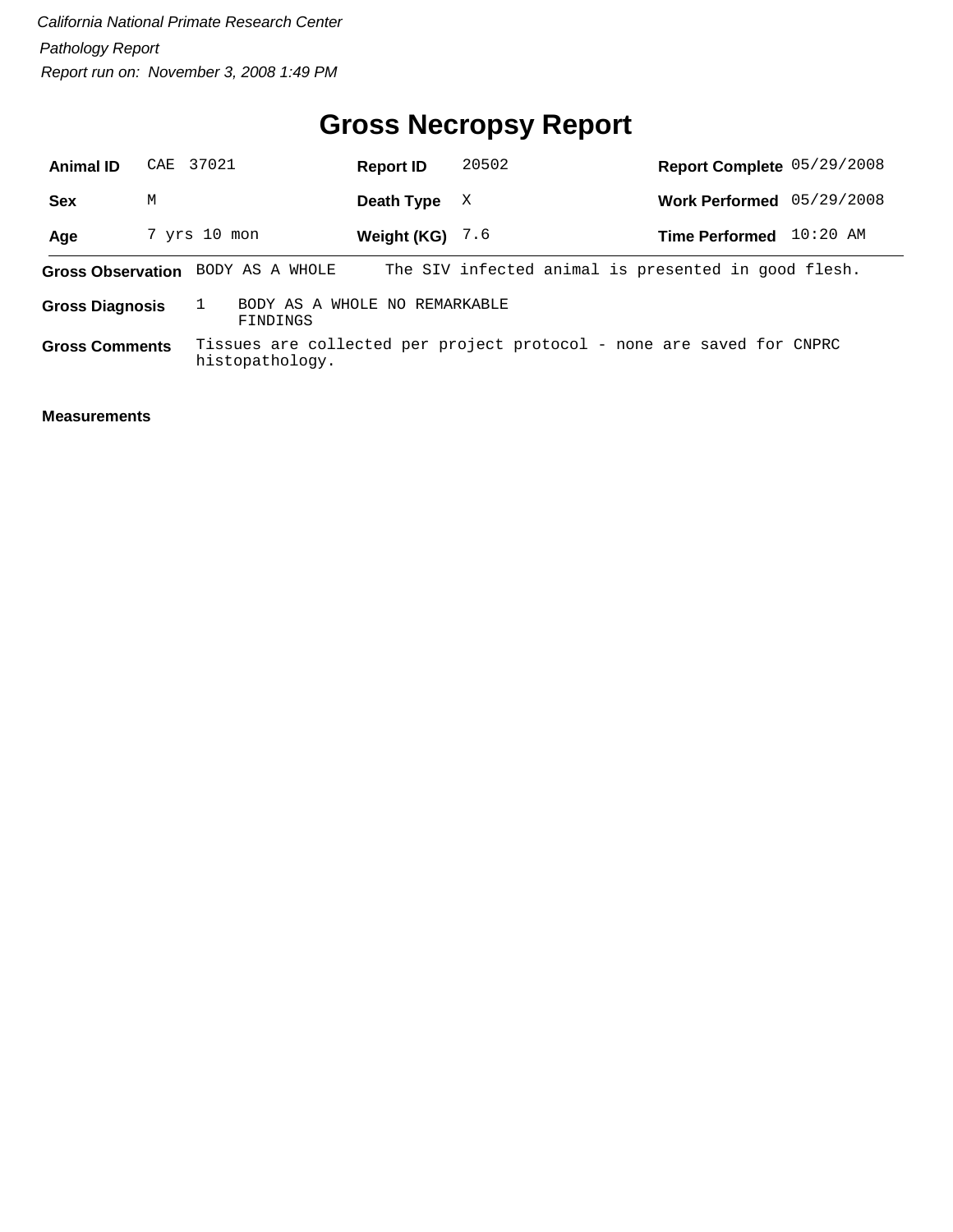# **Gross Necropsy Report**

| <b>Animal ID</b>                                                    |   | CAE 37021       | <b>Report ID</b> | 20502 | Report Complete 05/29/2008                                            |          |
|---------------------------------------------------------------------|---|-----------------|------------------|-------|-----------------------------------------------------------------------|----------|
| <b>Sex</b>                                                          | M |                 | Death Type       | X     | Work Performed 05/29/2008                                             |          |
| Age                                                                 |   | 7 yrs 10 mon    | Weight (KG)      | 7.6   | <b>Time Performed</b>                                                 | 10:20 AM |
| <b>Gross Observation</b>                                            |   | BODY AS A WHOLE |                  |       | The SIV infected animal is presented in good flesh.                   |          |
| BODY AS A WHOLE NO REMARKABLE<br><b>Gross Diagnosis</b><br>FINDINGS |   |                 |                  |       |                                                                       |          |
| <b>Gross Comments</b>                                               |   | histopathology. |                  |       | Tissues are collected per project protocol - none are saved for CNPRC |          |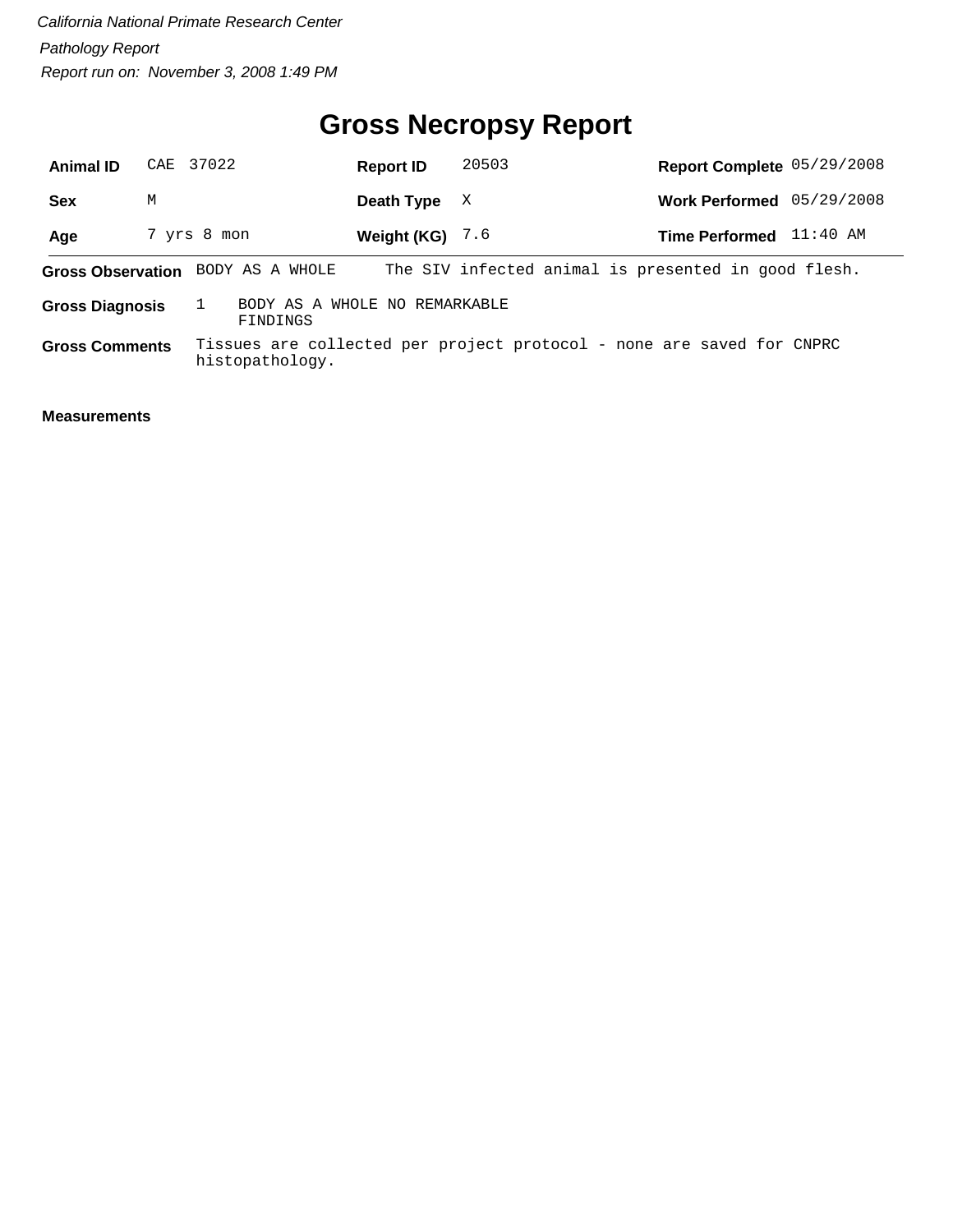# **Gross Necropsy Report**

| <b>Animal ID</b>                                                    |   | CAE 37022       | <b>Report ID</b> | 20503 | Report Complete 05/29/2008                                            |          |
|---------------------------------------------------------------------|---|-----------------|------------------|-------|-----------------------------------------------------------------------|----------|
| <b>Sex</b>                                                          | M |                 | Death Type       | X     | Work Performed 05/29/2008                                             |          |
| Age                                                                 |   | 7 yrs 8 mon     | Weight (KG)      | 7.6   | <b>Time Performed</b>                                                 | 11:40 AM |
| <b>Gross Observation</b>                                            |   | BODY AS A WHOLE |                  |       | The SIV infected animal is presented in good flesh.                   |          |
| BODY AS A WHOLE NO REMARKABLE<br><b>Gross Diagnosis</b><br>FINDINGS |   |                 |                  |       |                                                                       |          |
| <b>Gross Comments</b>                                               |   | histopathology. |                  |       | Tissues are collected per project protocol - none are saved for CNPRC |          |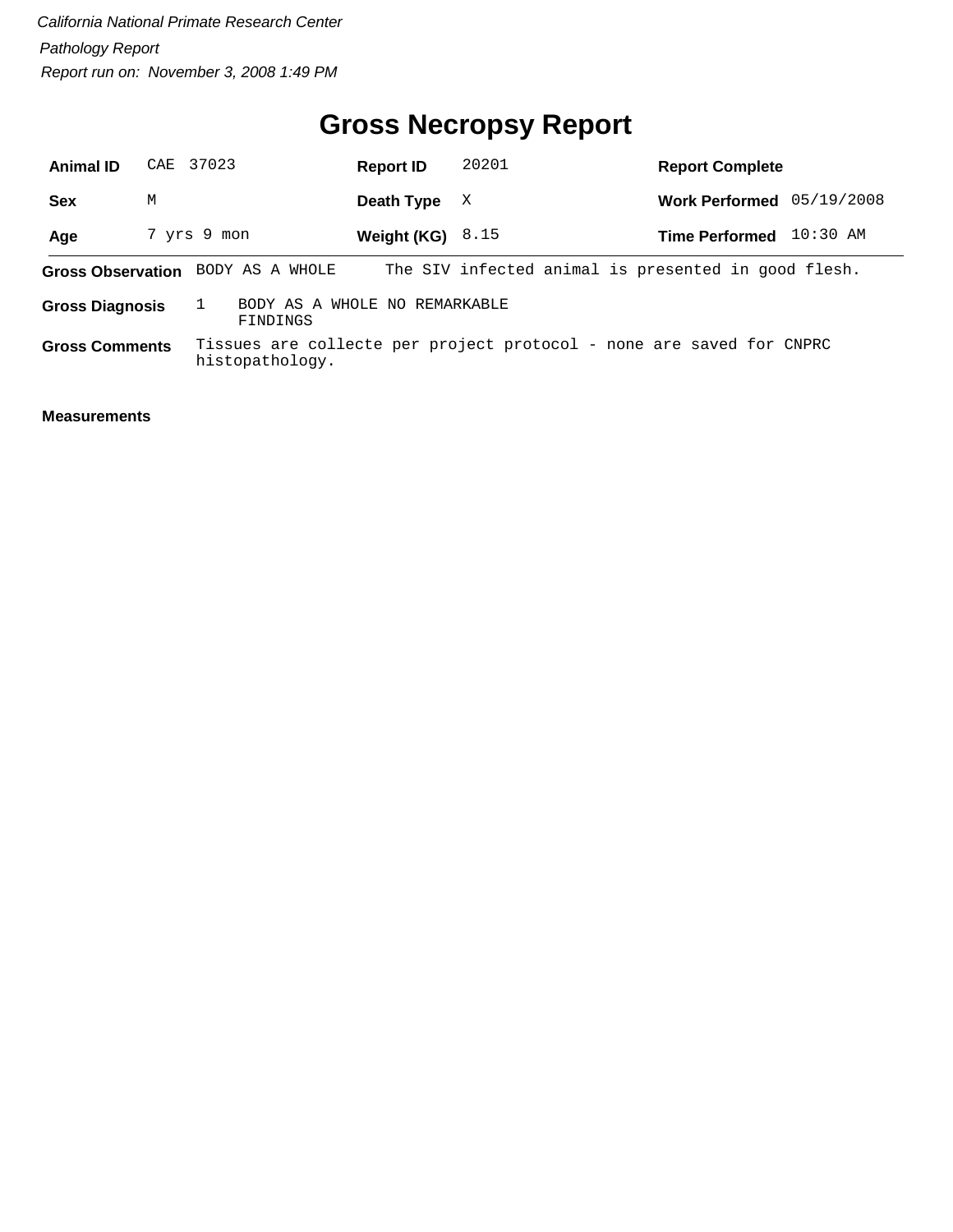# **Gross Necropsy Report**

| <b>Animal ID</b>                                                    |   | CAE 37023                         | <b>Report ID</b>   | 20201                                                                | <b>Report Complete</b>                              |
|---------------------------------------------------------------------|---|-----------------------------------|--------------------|----------------------------------------------------------------------|-----------------------------------------------------|
| <b>Sex</b>                                                          | M |                                   | Death Type         | X                                                                    | Work Performed 05/19/2008                           |
| Age                                                                 |   | 7 yrs 9 mon                       | Weight (KG) $8.15$ |                                                                      | 10:30 AM<br><b>Time Performed</b>                   |
|                                                                     |   | Gross Observation BODY AS A WHOLE |                    |                                                                      | The SIV infected animal is presented in good flesh. |
| BODY AS A WHOLE NO REMARKABLE<br><b>Gross Diagnosis</b><br>FINDINGS |   |                                   |                    |                                                                      |                                                     |
| <b>Gross Comments</b>                                               |   | histopathology.                   |                    | Tissues are collecte per project protocol - none are saved for CNPRC |                                                     |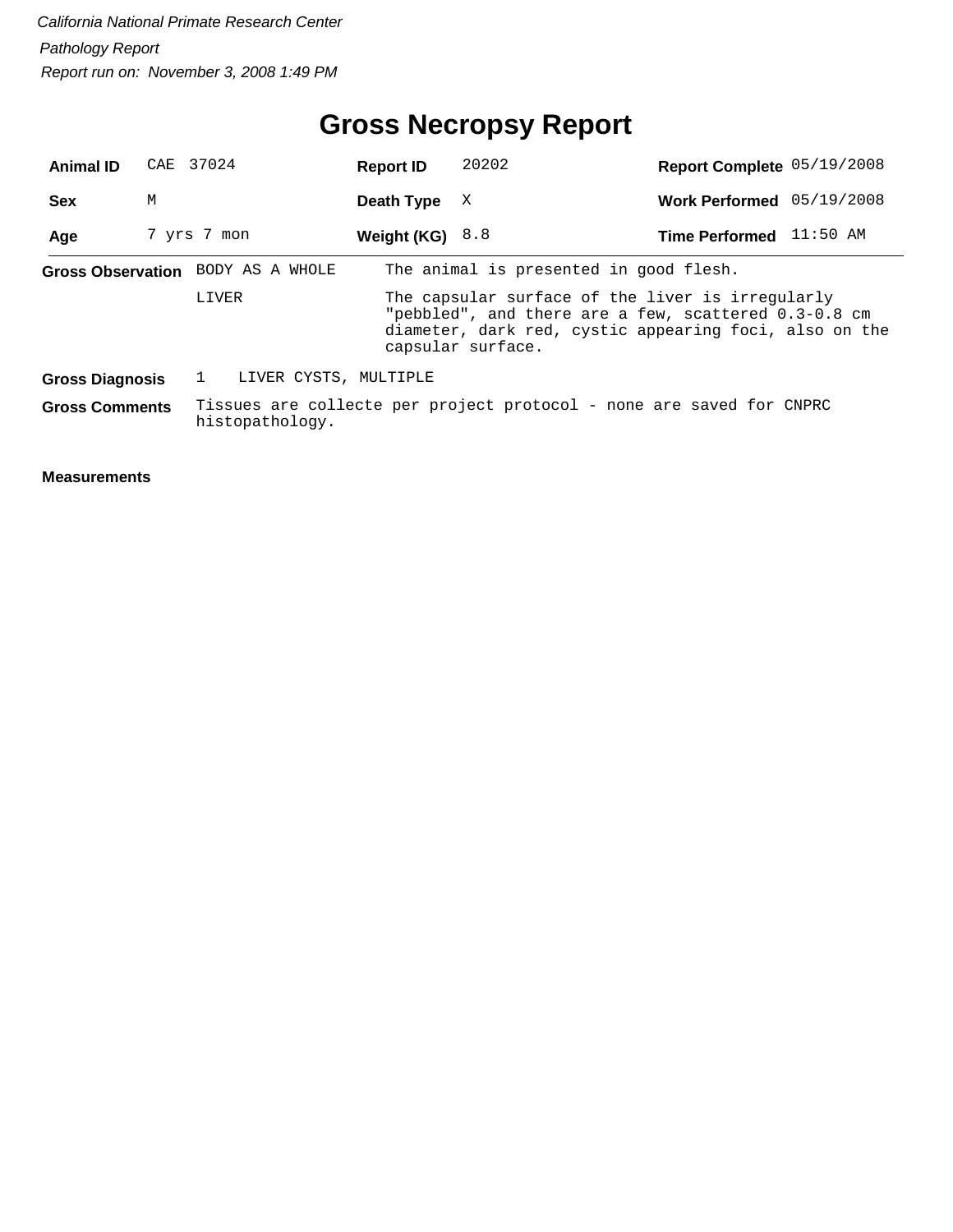# **Gross Necropsy Report**

| <b>Animal ID</b>                  | CAE 37024   |       |                 | <b>Report ID</b>                                                     | 20202                                                                                                                                                              |  | Report Complete 05/19/2008 |  |
|-----------------------------------|-------------|-------|-----------------|----------------------------------------------------------------------|--------------------------------------------------------------------------------------------------------------------------------------------------------------------|--|----------------------------|--|
| <b>Sex</b>                        | М           |       |                 | Death Type                                                           | X                                                                                                                                                                  |  | Work Performed 05/19/2008  |  |
| Age                               | 7 yrs 7 mon |       |                 | Weight (KG) $8.8$                                                    |                                                                                                                                                                    |  | Time Performed 11:50 AM    |  |
| Gross Observation BODY AS A WHOLE |             |       |                 |                                                                      | The animal is presented in good flesh.                                                                                                                             |  |                            |  |
|                                   |             | LIVER |                 | capsular surface.                                                    | The capsular surface of the liver is irregularly<br>"pebbled", and there are a few, scattered 0.3-0.8 cm<br>diameter, dark red, cystic appearing foci, also on the |  |                            |  |
| <b>Gross Diagnosis</b>            |             |       |                 | LIVER CYSTS, MULTIPLE                                                |                                                                                                                                                                    |  |                            |  |
| <b>Gross Comments</b>             |             |       | histopathology. | Tissues are collecte per project protocol - none are saved for CNPRC |                                                                                                                                                                    |  |                            |  |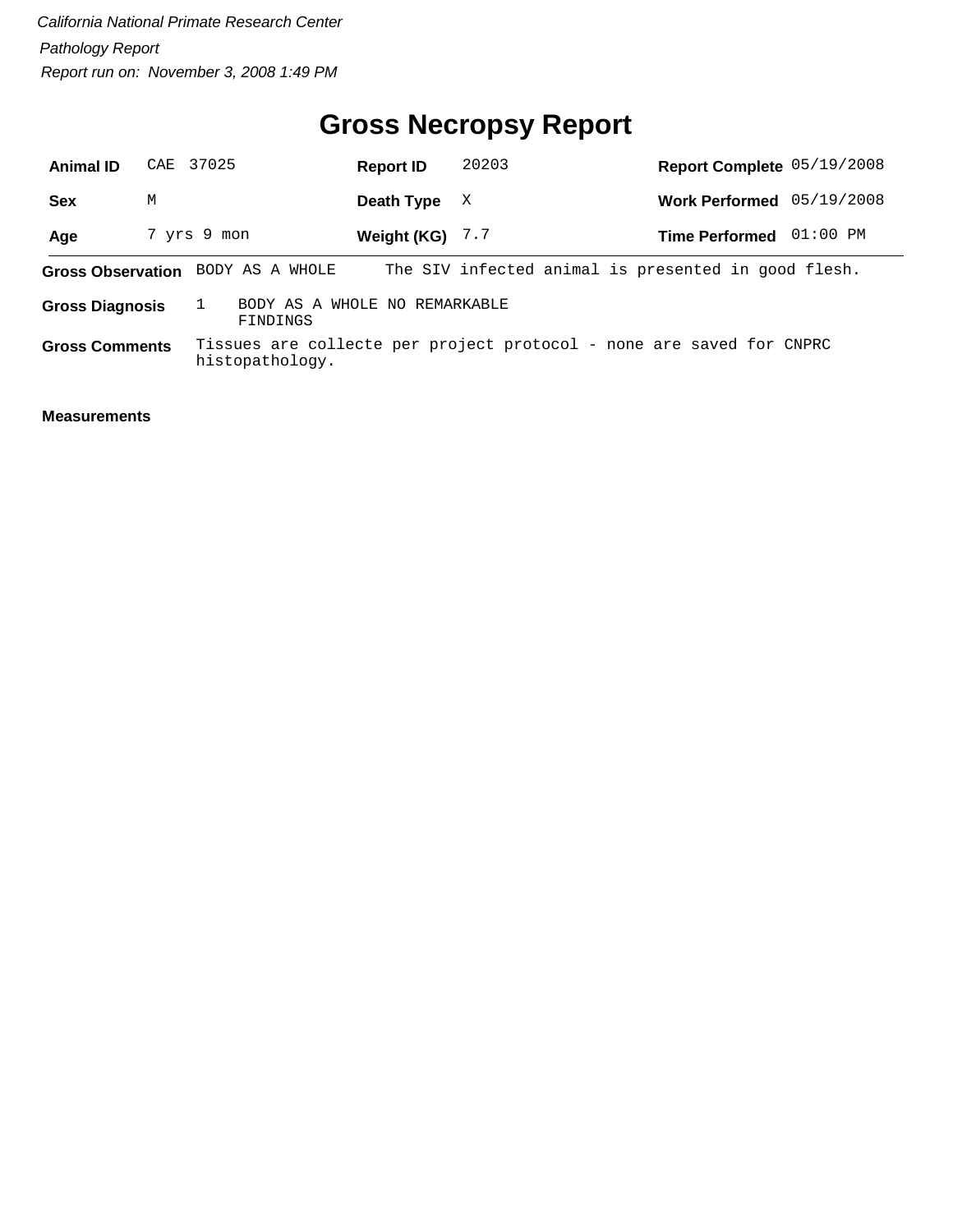# **Gross Necropsy Report**

| <b>Animal ID</b>                                                    |   | CAE 37025   |                 | <b>Report ID</b>  | 20203 | Report Complete 05/19/2008                                           |          |
|---------------------------------------------------------------------|---|-------------|-----------------|-------------------|-------|----------------------------------------------------------------------|----------|
| <b>Sex</b>                                                          | М |             |                 | Death Type        | X     | Work Performed 05/19/2008                                            |          |
| Age                                                                 |   | 7 yrs 9 mon |                 | Weight (KG) $7.7$ |       | <b>Time Performed</b>                                                | 01:00 PM |
| Gross Observation BODY AS A WHOLE                                   |   |             |                 |                   |       | The SIV infected animal is presented in good flesh.                  |          |
| BODY AS A WHOLE NO REMARKABLE<br><b>Gross Diagnosis</b><br>FINDINGS |   |             |                 |                   |       |                                                                      |          |
| <b>Gross Comments</b>                                               |   |             | histopathology. |                   |       | Tissues are collecte per project protocol - none are saved for CNPRC |          |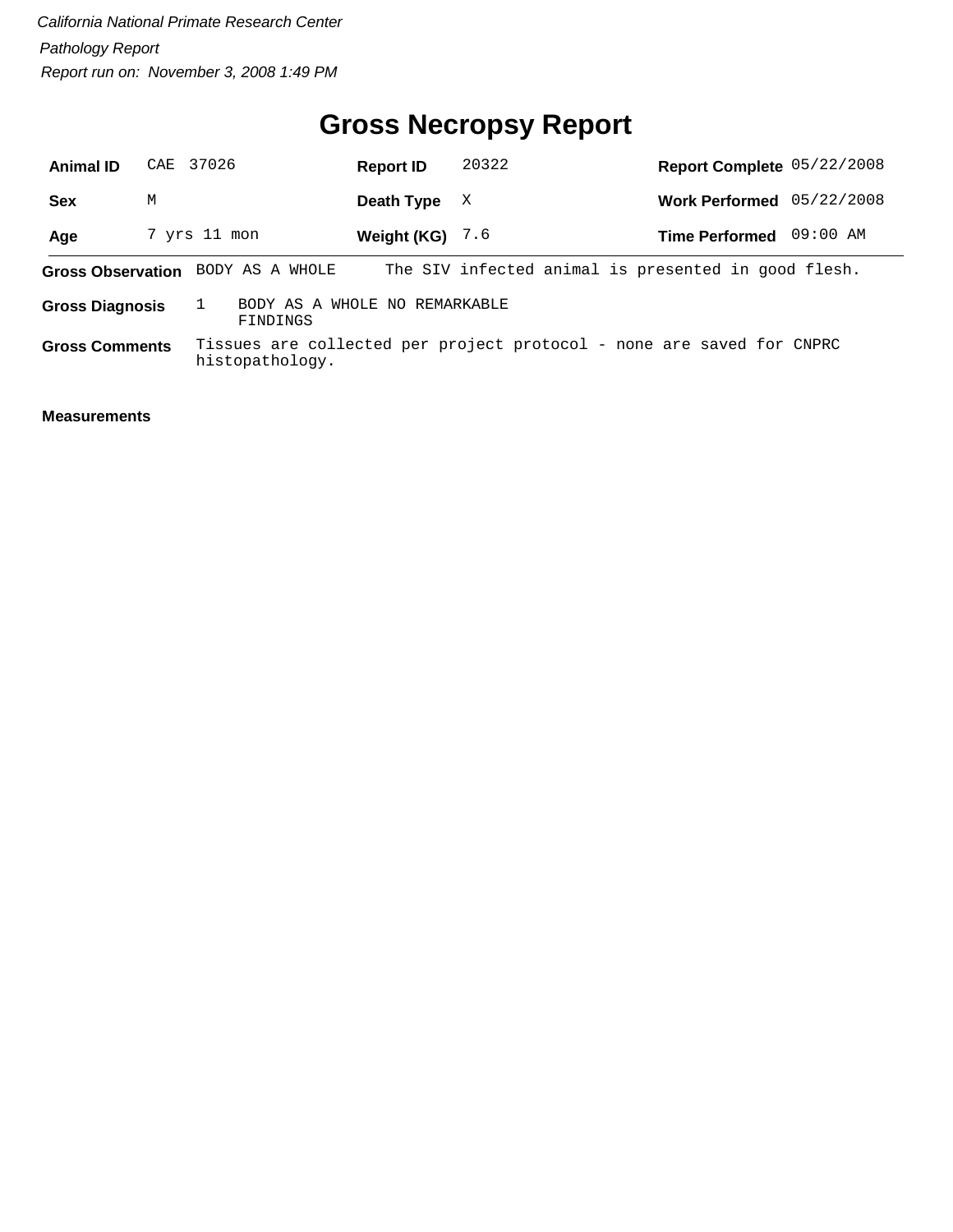# **Gross Necropsy Report**

| <b>Animal ID</b>         |   | CAE 37026       |                                           | <b>Report ID</b>  | 20322 | Report Complete 05/22/2008                                            |          |
|--------------------------|---|-----------------|-------------------------------------------|-------------------|-------|-----------------------------------------------------------------------|----------|
| <b>Sex</b>               | M |                 |                                           | Death Type        | X     | Work Performed 05/22/2008                                             |          |
| Age                      |   | 7 yrs 11 mon    |                                           | Weight (KG) $7.6$ |       | <b>Time Performed</b>                                                 | 09:00 AM |
| <b>Gross Observation</b> |   | BODY AS A WHOLE |                                           |                   |       | The SIV infected animal is presented in good flesh.                   |          |
| <b>Gross Diagnosis</b>   |   |                 | BODY AS A WHOLE NO REMARKABLE<br>FINDINGS |                   |       |                                                                       |          |
| <b>Gross Comments</b>    |   | histopathology. |                                           |                   |       | Tissues are collected per project protocol - none are saved for CNPRC |          |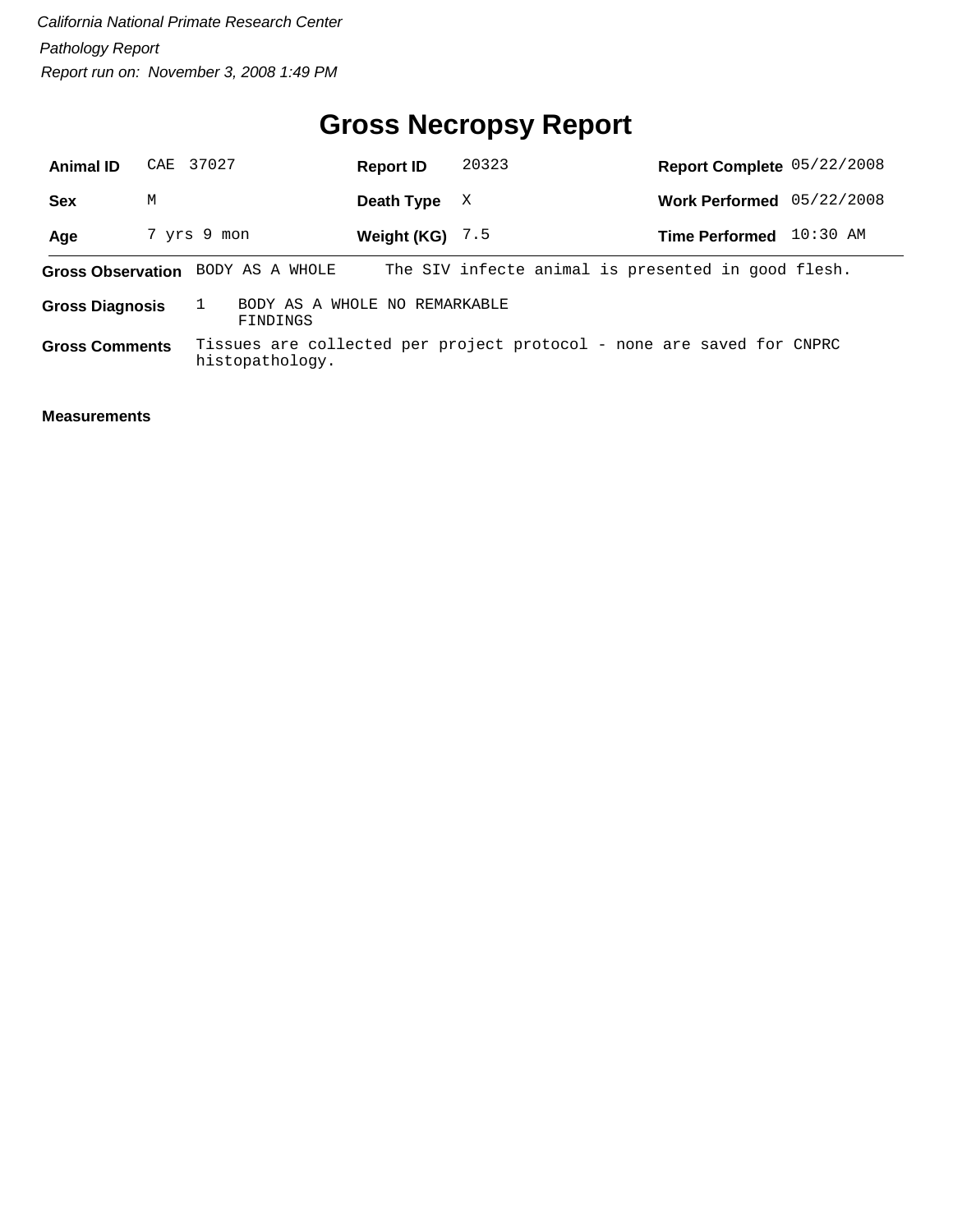# **Gross Necropsy Report**

| <b>Animal ID</b>       | CAE 37027   |                                   | <b>Report ID</b>              | 20323 | Report Complete 05/22/2008                                            |          |
|------------------------|-------------|-----------------------------------|-------------------------------|-------|-----------------------------------------------------------------------|----------|
| <b>Sex</b>             | М           |                                   | Death Type                    | X     | Work Performed 05/22/2008                                             |          |
| Age                    | 7 yrs 9 mon |                                   | Weight (KG) $7.5$             |       | <b>Time Performed</b>                                                 | 10:30 AM |
|                        |             | Gross Observation BODY AS A WHOLE |                               |       | The SIV infecte animal is presented in good flesh.                    |          |
| <b>Gross Diagnosis</b> |             | FINDINGS                          | BODY AS A WHOLE NO REMARKABLE |       |                                                                       |          |
| <b>Gross Comments</b>  |             | histopathology.                   |                               |       | Tissues are collected per project protocol - none are saved for CNPRC |          |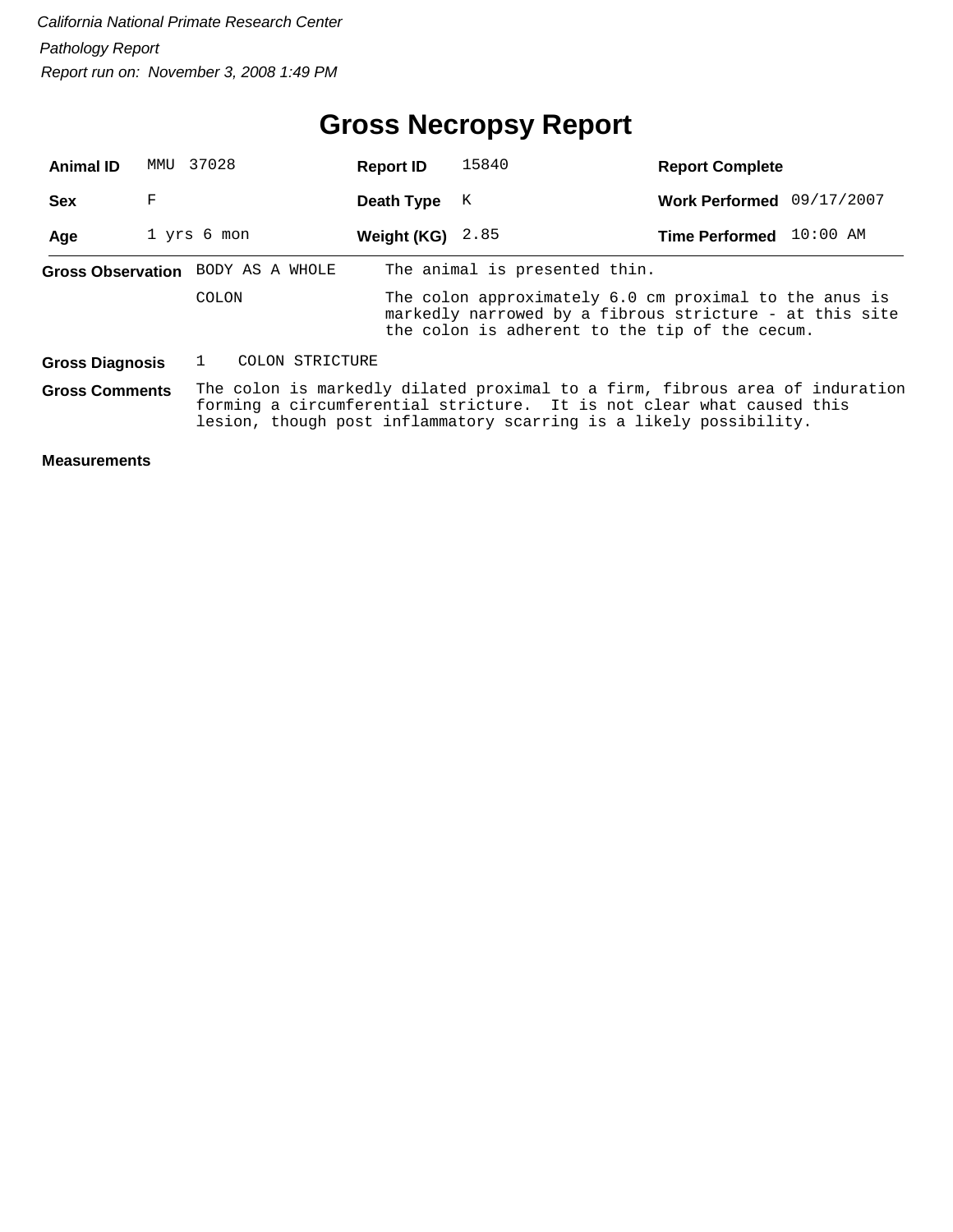| <b>Animal ID</b>                                                                                                                                                                                                                                     | MMU | 37028                             | <b>Report ID</b> | 15840                                                                                                                                                               | <b>Report Complete</b>    |  |
|------------------------------------------------------------------------------------------------------------------------------------------------------------------------------------------------------------------------------------------------------|-----|-----------------------------------|------------------|---------------------------------------------------------------------------------------------------------------------------------------------------------------------|---------------------------|--|
| <b>Sex</b>                                                                                                                                                                                                                                           | F   |                                   | Death Type       | К                                                                                                                                                                   | Work Performed 09/17/2007 |  |
| Age                                                                                                                                                                                                                                                  |     | 1 yrs 6 mon                       | Weight (KG)      | 2.85                                                                                                                                                                | Time Performed 10:00 AM   |  |
|                                                                                                                                                                                                                                                      |     | Gross Observation BODY AS A WHOLE |                  | The animal is presented thin.                                                                                                                                       |                           |  |
|                                                                                                                                                                                                                                                      |     | COLON                             |                  | The colon approximately 6.0 cm proximal to the anus is<br>markedly narrowed by a fibrous stricture - at this site<br>the colon is adherent to the tip of the cecum. |                           |  |
| <b>Gross Diagnosis</b>                                                                                                                                                                                                                               |     | COLON STRICTURE                   |                  |                                                                                                                                                                     |                           |  |
| The colon is markedly dilated proximal to a firm, fibrous area of induration<br><b>Gross Comments</b><br>forming a circumferential stricture. It is not clear what caused this<br>lesion, though post inflammatory scarring is a likely possibility. |     |                                   |                  |                                                                                                                                                                     |                           |  |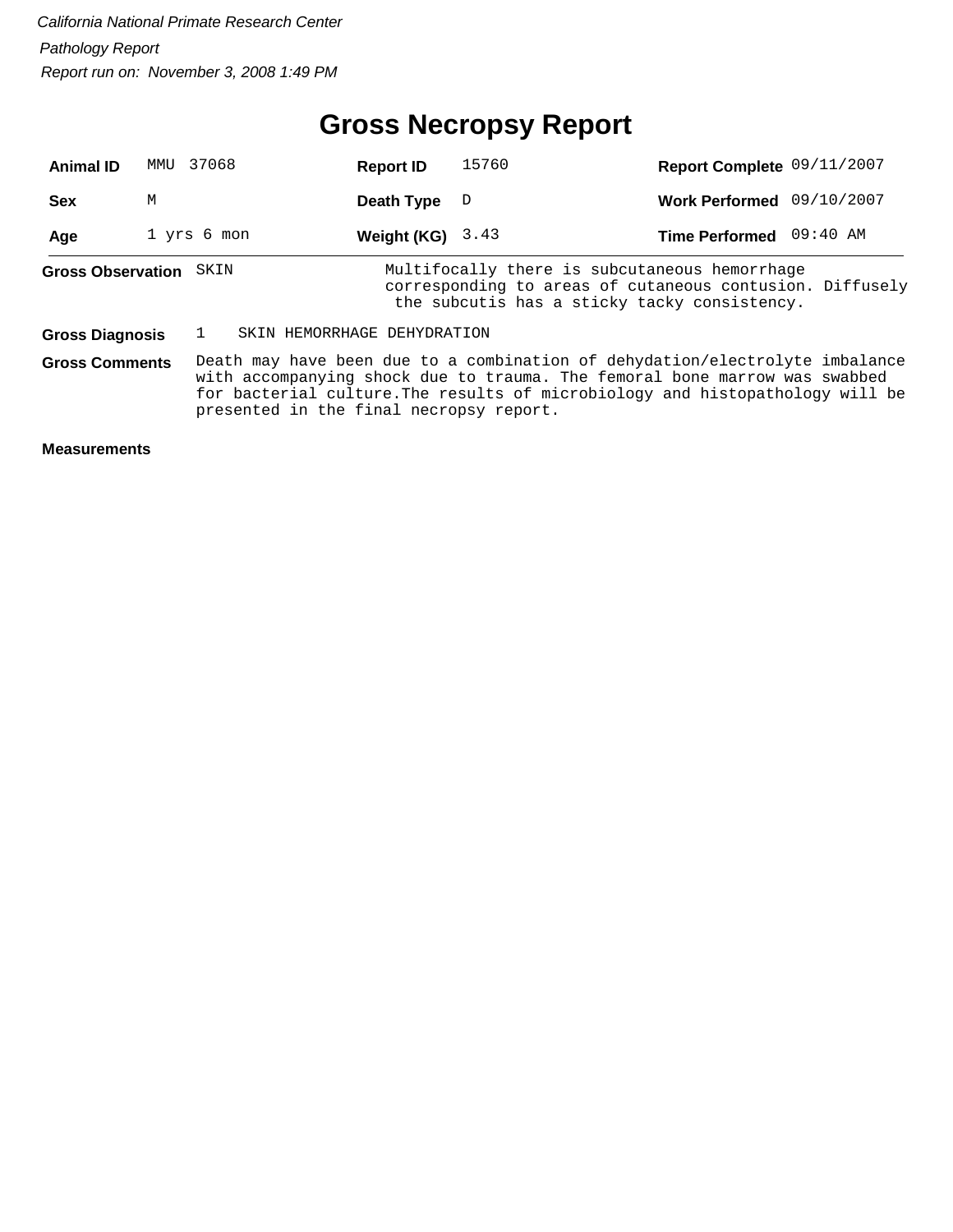# **Gross Necropsy Report**

| <b>Animal ID</b>         | MMU | 37068                                   | <b>Report ID</b>            | 15760                                                                                                                                                                                                                                       | Report Complete 09/11/2007 |  |
|--------------------------|-----|-----------------------------------------|-----------------------------|---------------------------------------------------------------------------------------------------------------------------------------------------------------------------------------------------------------------------------------------|----------------------------|--|
| <b>Sex</b>               | M   |                                         | Death Type                  | D                                                                                                                                                                                                                                           | Work Performed 09/10/2007  |  |
| Age                      |     | 1 yrs 6 mon                             | Weight (KG)                 | 3.43                                                                                                                                                                                                                                        | Time Performed 09:40 AM    |  |
| <b>Gross Observation</b> |     | SKIN                                    |                             | Multifocally there is subcutaneous hemorrhage<br>corresponding to areas of cutaneous contusion. Diffusely<br>the subcutis has a sticky tacky consistency.                                                                                   |                            |  |
| <b>Gross Diagnosis</b>   |     |                                         | SKIN HEMORRHAGE DEHYDRATION |                                                                                                                                                                                                                                             |                            |  |
| <b>Gross Comments</b>    |     | presented in the final necropsy report. |                             | Death may have been due to a combination of dehydation/electrolyte imbalance<br>with accompanying shock due to trauma. The femoral bone marrow was swabbed<br>for bacterial culture. The results of microbiology and histopathology will be |                            |  |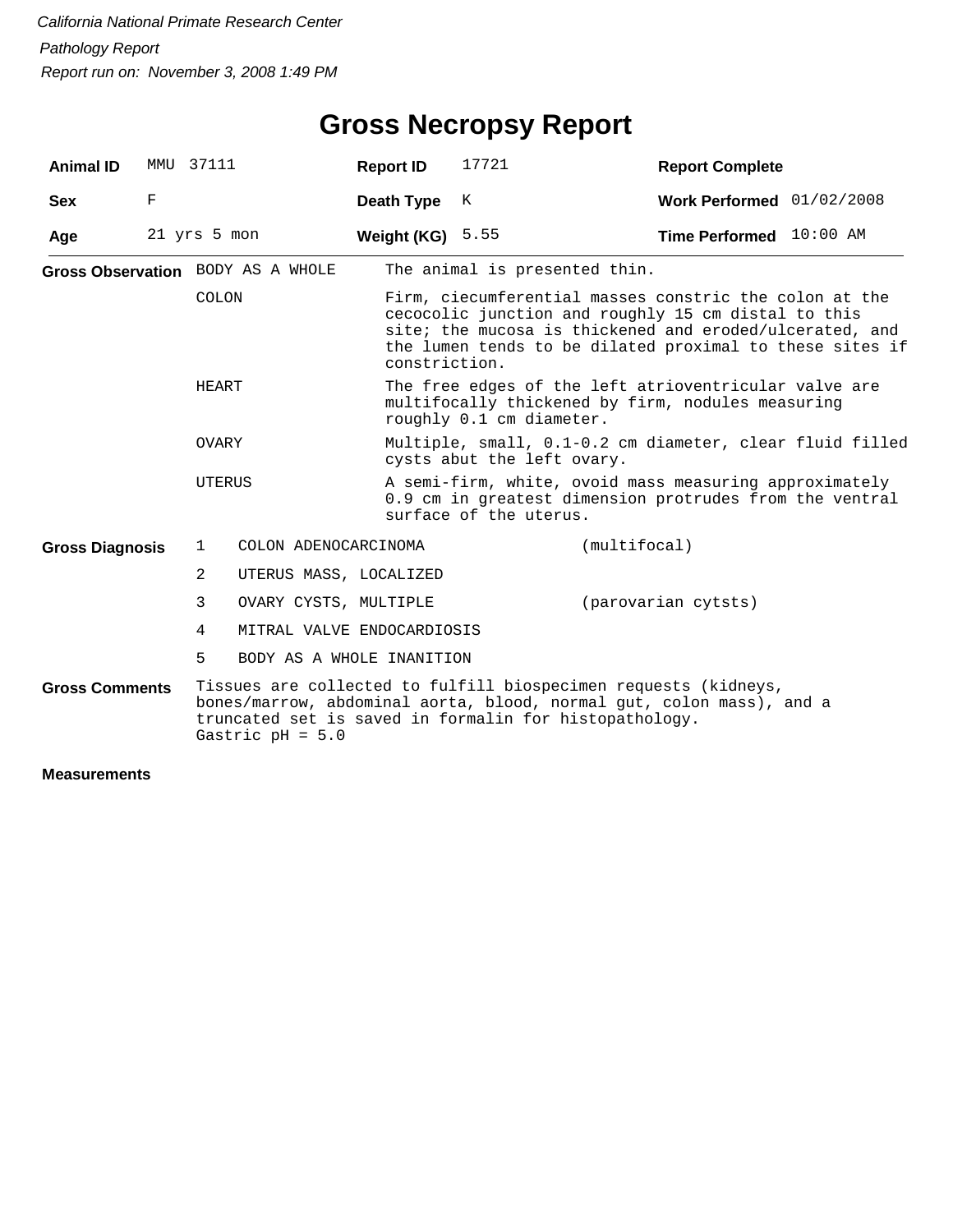| <b>Animal ID</b>       |             | MMU 37111    |                                   | <b>Report ID</b> | 17721                                                                                                                                                                                                                                | <b>Report Complete</b>    |  |
|------------------------|-------------|--------------|-----------------------------------|------------------|--------------------------------------------------------------------------------------------------------------------------------------------------------------------------------------------------------------------------------------|---------------------------|--|
| <b>Sex</b>             | $\mathbf F$ |              |                                   | Death Type       | К                                                                                                                                                                                                                                    | Work Performed 01/02/2008 |  |
| Age                    |             | 21 yrs 5 mon |                                   | Weight (KG)      | 5.55                                                                                                                                                                                                                                 | Time Performed 10:00 AM   |  |
|                        |             |              | Gross Observation BODY AS A WHOLE |                  | The animal is presented thin.                                                                                                                                                                                                        |                           |  |
|                        |             | COLON        |                                   | constriction.    | Firm, ciecumferential masses constric the colon at the<br>cecocolic junction and roughly 15 cm distal to this<br>site; the mucosa is thickened and eroded/ulcerated, and<br>the lumen tends to be dilated proximal to these sites if |                           |  |
|                        |             | HEART        |                                   |                  | The free edges of the left atrioventricular valve are<br>multifocally thickened by firm, nodules measuring<br>roughly 0.1 cm diameter.                                                                                               |                           |  |
|                        |             | OVARY        |                                   |                  | Multiple, small, 0.1-0.2 cm diameter, clear fluid filled<br>cysts abut the left ovary.                                                                                                                                               |                           |  |
|                        |             | UTERUS       |                                   |                  | A semi-firm, white, ovoid mass measuring approximately<br>0.9 cm in greatest dimension protrudes from the ventral<br>surface of the uterus.                                                                                          |                           |  |
| <b>Gross Diagnosis</b> |             | $\mathbf{1}$ | COLON ADENOCARCINOMA              |                  |                                                                                                                                                                                                                                      | (multifocal)              |  |
|                        |             | 2            | UTERUS MASS, LOCALIZED            |                  |                                                                                                                                                                                                                                      |                           |  |
|                        |             | 3            | OVARY CYSTS, MULTIPLE             |                  |                                                                                                                                                                                                                                      | (parovarian cytsts)       |  |
|                        |             | 4            | MITRAL VALVE ENDOCARDIOSIS        |                  |                                                                                                                                                                                                                                      |                           |  |
|                        |             | 5            | BODY AS A WHOLE INANITION         |                  |                                                                                                                                                                                                                                      |                           |  |
| <b>Gross Comments</b>  |             |              | Gastric $pH = 5.0$                |                  | Tissues are collected to fulfill biospecimen requests (kidneys,<br>bones/marrow, abdominal aorta, blood, normal gut, colon mass), and a<br>truncated set is saved in formalin for histopathology.                                    |                           |  |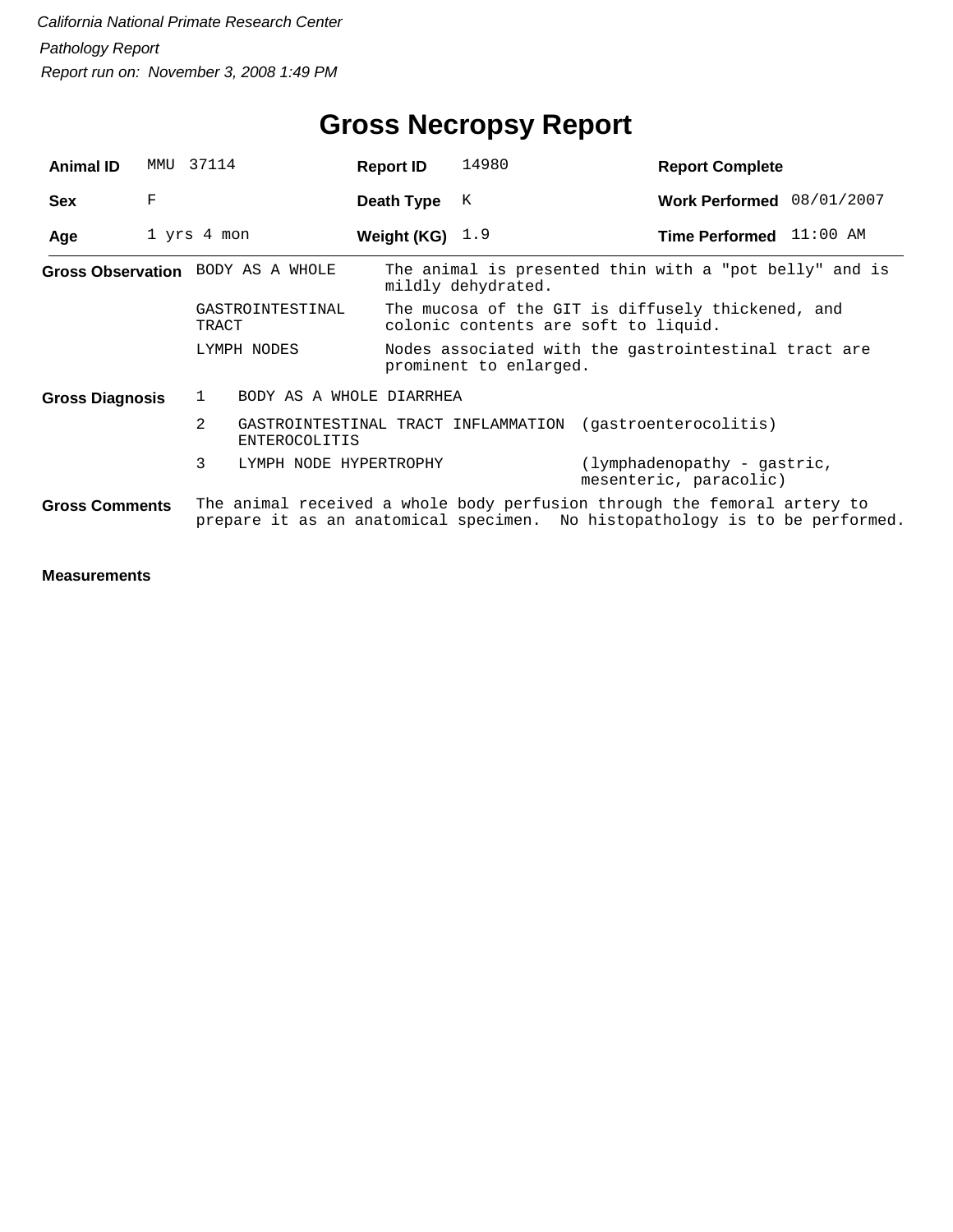| <b>Animal ID</b>       | MMU | 37114                                  | <b>Report ID</b>  | 14980                  | <b>Report Complete</b>                                                                                                                                  |  |
|------------------------|-----|----------------------------------------|-------------------|------------------------|---------------------------------------------------------------------------------------------------------------------------------------------------------|--|
| <b>Sex</b>             | F   |                                        | Death Type        | К                      | Work Performed 08/01/2007                                                                                                                               |  |
| Age                    |     | 1 yrs 4 mon                            | Weight (KG) $1.9$ |                        | Time Performed 11:00 AM                                                                                                                                 |  |
|                        |     | Gross Observation BODY AS A WHOLE      |                   | mildly dehydrated.     | The animal is presented thin with a "pot belly" and is                                                                                                  |  |
|                        |     | GASTROINTESTINAL<br>TRACT              |                   |                        | The mucosa of the GIT is diffusely thickened, and<br>colonic contents are soft to liquid.                                                               |  |
|                        |     | LYMPH NODES                            |                   | prominent to enlarged. | Nodes associated with the gastrointestinal tract are                                                                                                    |  |
| <b>Gross Diagnosis</b> |     | BODY AS A WHOLE DIARRHEA<br>1          |                   |                        |                                                                                                                                                         |  |
|                        |     | $\overline{2}$<br><b>ENTEROCOLITIS</b> |                   |                        | GASTROINTESTINAL TRACT INFLAMMATION (qastroenterocolitis)                                                                                               |  |
|                        |     | 3<br>LYMPH NODE HYPERTROPHY            |                   |                        | (lymphadenopathy - gastric,<br>mesenteric, paracolic)                                                                                                   |  |
| <b>Gross Comments</b>  |     |                                        |                   |                        | The animal received a whole body perfusion through the femoral artery to<br>prepare it as an anatomical specimen. No histopathology is to be performed. |  |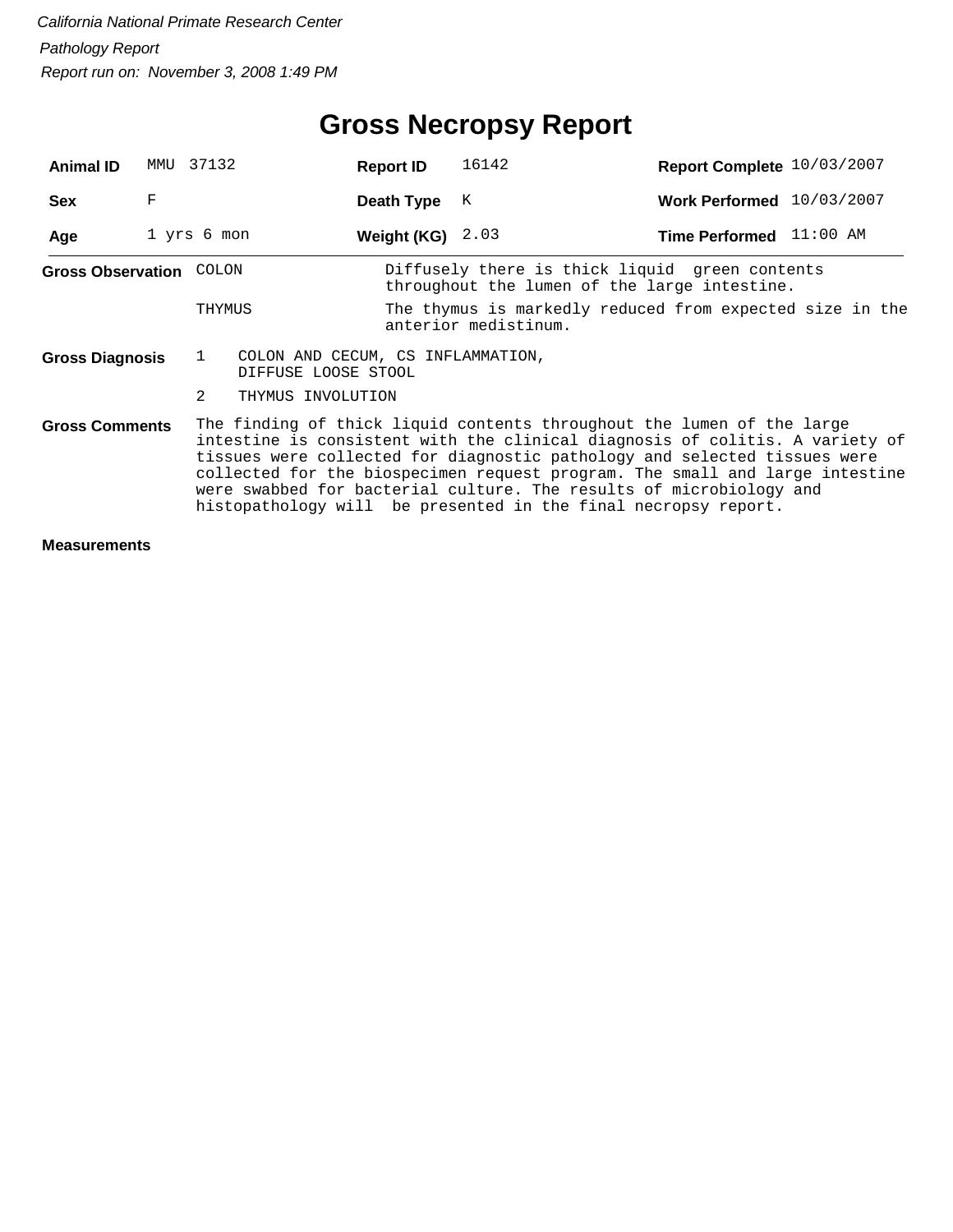# **Gross Necropsy Report**

| <b>Animal ID</b>        | MMU | 37132                                                                    | <b>Report ID</b>   | 16142                                                                                                                                                                                                                                                                                                                                                                                                                                                        | Report Complete 10/03/2007 |  |
|-------------------------|-----|--------------------------------------------------------------------------|--------------------|--------------------------------------------------------------------------------------------------------------------------------------------------------------------------------------------------------------------------------------------------------------------------------------------------------------------------------------------------------------------------------------------------------------------------------------------------------------|----------------------------|--|
| <b>Sex</b>              | F   |                                                                          | Death Type         | К                                                                                                                                                                                                                                                                                                                                                                                                                                                            | Work Performed 10/03/2007  |  |
| Age                     |     | 1 yrs 6 mon                                                              | Weight (KG) $2.03$ |                                                                                                                                                                                                                                                                                                                                                                                                                                                              | Time Performed 11:00 AM    |  |
| Gross Observation COLON |     |                                                                          |                    | Diffusely there is thick liquid green contents<br>throughout the lumen of the large intestine.                                                                                                                                                                                                                                                                                                                                                               |                            |  |
|                         |     | THYMUS                                                                   |                    | The thymus is markedly reduced from expected size in the<br>anterior medistinum.                                                                                                                                                                                                                                                                                                                                                                             |                            |  |
| <b>Gross Diagnosis</b>  |     | $\mathbf{1}$<br>COLON AND CECUM, CS INFLAMMATION,<br>DIFFUSE LOOSE STOOL |                    |                                                                                                                                                                                                                                                                                                                                                                                                                                                              |                            |  |
|                         |     | 2<br>THYMUS INVOLUTION                                                   |                    |                                                                                                                                                                                                                                                                                                                                                                                                                                                              |                            |  |
| <b>Gross Comments</b>   |     |                                                                          |                    | The finding of thick liquid contents throughout the lumen of the large<br>intestine is consistent with the clinical diagnosis of colitis. A variety of<br>tissues were collected for diagnostic pathology and selected tissues were<br>collected for the biospecimen request program. The small and large intestine<br>were swabbed for bacterial culture. The results of microbiology and<br>histopathology will be presented in the final necropsy report. |                            |  |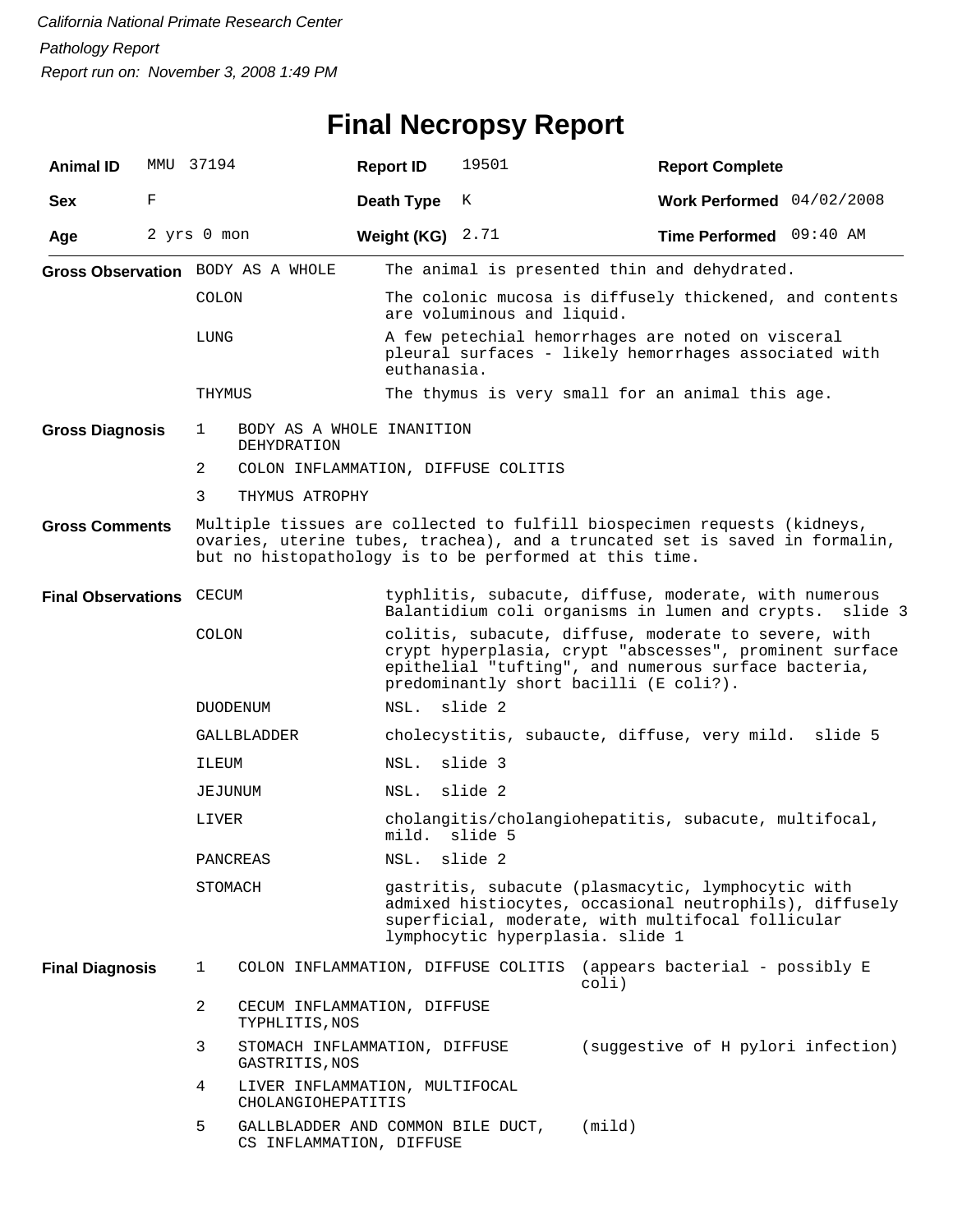# **Final Necropsy Report**

| <b>Animal ID</b>         |   | MMU 37194      |                                                               | <b>Report ID</b> | 19501                               | <b>Report Complete</b>                                                                                                                                                                                            |         |
|--------------------------|---|----------------|---------------------------------------------------------------|------------------|-------------------------------------|-------------------------------------------------------------------------------------------------------------------------------------------------------------------------------------------------------------------|---------|
| <b>Sex</b>               | F |                |                                                               | Death Type       | Κ                                   | Work Performed 04/02/2008                                                                                                                                                                                         |         |
| Age                      |   | 2 yrs 0 mon    |                                                               | Weight (KG)      | 2.71                                | Time Performed 09:40 AM                                                                                                                                                                                           |         |
|                          |   |                | Gross Observation BODY AS A WHOLE                             |                  |                                     | The animal is presented thin and dehydrated.                                                                                                                                                                      |         |
|                          |   | <b>COLON</b>   |                                                               |                  | are voluminous and liquid.          | The colonic mucosa is diffusely thickened, and contents                                                                                                                                                           |         |
|                          |   | LUNG           |                                                               | euthanasia.      |                                     | A few petechial hemorrhages are noted on visceral<br>pleural surfaces - likely hemorrhages associated with                                                                                                        |         |
|                          |   | THYMUS         |                                                               |                  |                                     | The thymus is very small for an animal this age.                                                                                                                                                                  |         |
| <b>Gross Diagnosis</b>   |   | 1              | BODY AS A WHOLE INANITION<br>DEHYDRATION                      |                  |                                     |                                                                                                                                                                                                                   |         |
|                          |   | 2              |                                                               |                  | COLON INFLAMMATION, DIFFUSE COLITIS |                                                                                                                                                                                                                   |         |
|                          |   | 3              | THYMUS ATROPHY                                                |                  |                                     |                                                                                                                                                                                                                   |         |
| <b>Gross Comments</b>    |   |                |                                                               |                  |                                     | Multiple tissues are collected to fulfill biospecimen requests (kidneys,<br>ovaries, uterine tubes, trachea), and a truncated set is saved in formalin,<br>but no histopathology is to be performed at this time. |         |
| Final Observations CECUM |   |                |                                                               |                  |                                     | typhlitis, subacute, diffuse, moderate, with numerous<br>Balantidium coli organisms in lumen and crypts.                                                                                                          | slide 3 |
|                          |   | COLON          |                                                               |                  |                                     | colitis, subacute, diffuse, moderate to severe, with<br>crypt hyperplasia, crypt "abscesses", prominent surface<br>epithelial "tufting", and numerous surface bacteria,<br>predominantly short bacilli (E coli?). |         |
|                          |   |                | DUODENUM                                                      | NSL.             | slide 2                             |                                                                                                                                                                                                                   |         |
|                          |   |                | GALLBLADDER                                                   |                  |                                     | cholecystitis, subaucte, diffuse, very mild. slide 5                                                                                                                                                              |         |
|                          |   | ILEUM          |                                                               | NSL.             | slide 3                             |                                                                                                                                                                                                                   |         |
|                          |   | JEJUNUM        |                                                               | NSL.             | slide 2                             |                                                                                                                                                                                                                   |         |
|                          |   | LIVER          |                                                               | mild.            | slide 5                             | cholangitis/cholangiohepatitis, subacute, multifocal,                                                                                                                                                             |         |
|                          |   |                | PANCREAS                                                      | NSL.             | slide 2                             |                                                                                                                                                                                                                   |         |
|                          |   | STOMACH        |                                                               |                  | lymphocytic hyperplasia. slide 1    | gastritis, subacute (plasmacytic, lymphocytic with<br>admixed histiocytes, occasional neutrophils), diffusely<br>superficial, moderate, with multifocal follicular                                                |         |
| <b>Final Diagnosis</b>   |   | 1              |                                                               |                  |                                     | COLON INFLAMMATION, DIFFUSE COLITIS (appears bacterial - possibly E<br>$\text{col}$ )                                                                                                                             |         |
|                          |   | $\overline{a}$ | CECUM INFLAMMATION, DIFFUSE<br>TYPHLITIS, NOS                 |                  |                                     |                                                                                                                                                                                                                   |         |
|                          |   | 3              | STOMACH INFLAMMATION, DIFFUSE<br>GASTRITIS, NOS               |                  |                                     | (suggestive of H pylori infection)                                                                                                                                                                                |         |
|                          |   | 4              | LIVER INFLAMMATION, MULTIFOCAL<br>CHOLANGIOHEPATITIS          |                  |                                     |                                                                                                                                                                                                                   |         |
|                          |   | 5              | GALLBLADDER AND COMMON BILE DUCT,<br>CS INFLAMMATION, DIFFUSE |                  |                                     | (mind)                                                                                                                                                                                                            |         |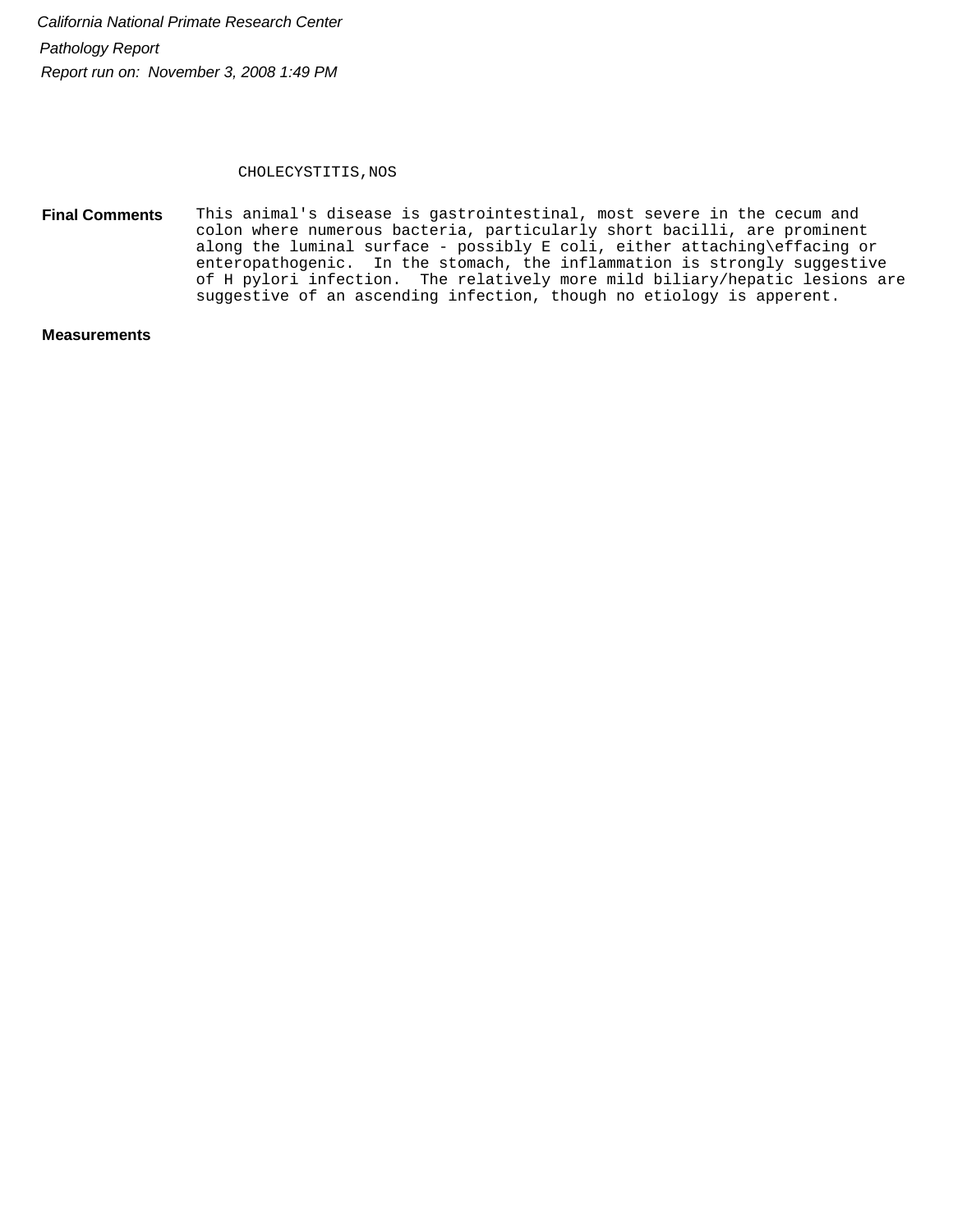#### CHOLECYSTITIS, NOS

This animal's disease is gastrointestinal, most severe in the cecum and colon where numerous bacteria, particularly short bacilli, are prominent along the luminal surface - possibly E coli, either attaching\effacing or enteropathogenic. In the stomach, the inflammation is strongly suggestive of H pylori infection. The relatively more mild biliary/hepatic lesions are suggestive of an ascending infection, though no etiology is apperent. **Final Comments**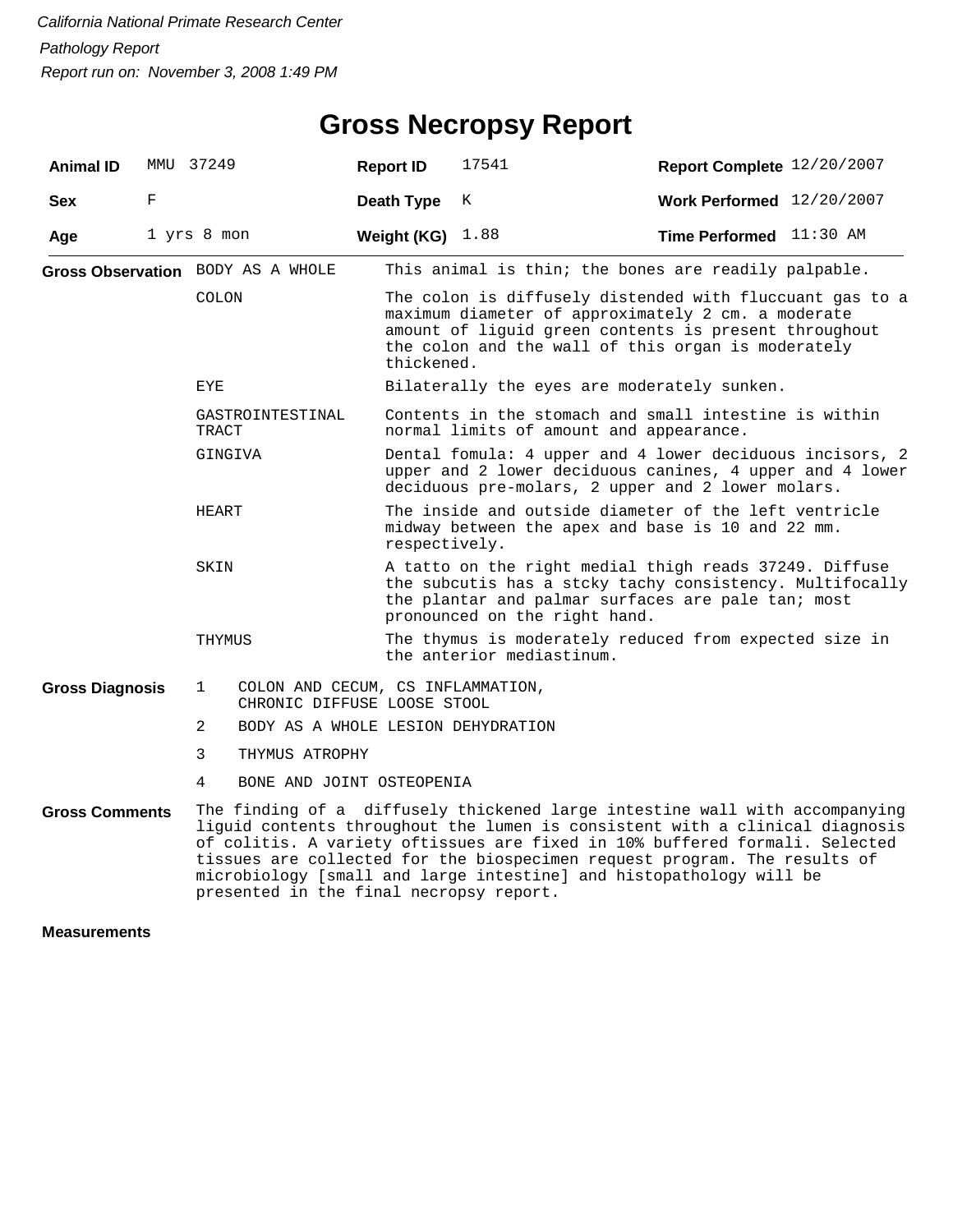| <b>Animal ID</b>       |   | MMU 37249                               | <b>Report ID</b>                                                 | 17541                                                                                                                                                                                                                                       | Report Complete 12/20/2007                                                                                                                                                                                                                                                                                                                                                                     |  |  |  |
|------------------------|---|-----------------------------------------|------------------------------------------------------------------|---------------------------------------------------------------------------------------------------------------------------------------------------------------------------------------------------------------------------------------------|------------------------------------------------------------------------------------------------------------------------------------------------------------------------------------------------------------------------------------------------------------------------------------------------------------------------------------------------------------------------------------------------|--|--|--|
| <b>Sex</b>             | F |                                         | Death Type                                                       | К                                                                                                                                                                                                                                           | Work Performed 12/20/2007                                                                                                                                                                                                                                                                                                                                                                      |  |  |  |
| Age                    |   | 1 yrs 8 mon                             | Weight (KG) $1.88$                                               |                                                                                                                                                                                                                                             | Time Performed 11:30 AM                                                                                                                                                                                                                                                                                                                                                                        |  |  |  |
|                        |   | Gross Observation BODY AS A WHOLE       |                                                                  |                                                                                                                                                                                                                                             | This animal is thin; the bones are readily palpable.                                                                                                                                                                                                                                                                                                                                           |  |  |  |
|                        |   | <b>COLON</b>                            |                                                                  | The colon is diffusely distended with fluccuant gas to a<br>maximum diameter of approximately 2 cm. a moderate<br>amount of liguid green contents is present throughout<br>the colon and the wall of this organ is moderately<br>thickened. |                                                                                                                                                                                                                                                                                                                                                                                                |  |  |  |
|                        |   | <b>EYE</b>                              |                                                                  | Bilaterally the eyes are moderately sunken.                                                                                                                                                                                                 |                                                                                                                                                                                                                                                                                                                                                                                                |  |  |  |
|                        |   | GASTROINTESTINAL<br>TRACT               |                                                                  | Contents in the stomach and small intestine is within<br>normal limits of amount and appearance.                                                                                                                                            |                                                                                                                                                                                                                                                                                                                                                                                                |  |  |  |
|                        |   | GINGIVA                                 |                                                                  | Dental fomula: 4 upper and 4 lower deciduous incisors, 2<br>upper and 2 lower deciduous canines, 4 upper and 4 lower<br>deciduous pre-molars, 2 upper and 2 lower molars.                                                                   |                                                                                                                                                                                                                                                                                                                                                                                                |  |  |  |
|                        |   | HEART                                   |                                                                  | The inside and outside diameter of the left ventricle<br>midway between the apex and base is 10 and 22 mm.<br>respectively.                                                                                                                 |                                                                                                                                                                                                                                                                                                                                                                                                |  |  |  |
|                        |   | SKIN                                    |                                                                  | pronounced on the right hand.                                                                                                                                                                                                               | A tatto on the right medial thigh reads 37249. Diffuse<br>the subcutis has a stcky tachy consistency. Multifocally<br>the plantar and palmar surfaces are pale tan; most                                                                                                                                                                                                                       |  |  |  |
|                        |   | THYMUS                                  |                                                                  | the anterior mediastinum.                                                                                                                                                                                                                   | The thymus is moderately reduced from expected size in                                                                                                                                                                                                                                                                                                                                         |  |  |  |
| <b>Gross Diagnosis</b> |   | $\mathbf{1}$                            | COLON AND CECUM, CS INFLAMMATION,<br>CHRONIC DIFFUSE LOOSE STOOL |                                                                                                                                                                                                                                             |                                                                                                                                                                                                                                                                                                                                                                                                |  |  |  |
|                        |   | 2                                       | BODY AS A WHOLE LESION DEHYDRATION                               |                                                                                                                                                                                                                                             |                                                                                                                                                                                                                                                                                                                                                                                                |  |  |  |
|                        |   | 3<br>THYMUS ATROPHY                     |                                                                  |                                                                                                                                                                                                                                             |                                                                                                                                                                                                                                                                                                                                                                                                |  |  |  |
|                        |   | 4                                       | BONE AND JOINT OSTEOPENIA                                        |                                                                                                                                                                                                                                             |                                                                                                                                                                                                                                                                                                                                                                                                |  |  |  |
| <b>Gross Comments</b>  |   | presented in the final necropsy report. |                                                                  |                                                                                                                                                                                                                                             | The finding of a diffusely thickened large intestine wall with accompanying<br>liguid contents throughout the lumen is consistent with a clinical diagnosis<br>of colitis. A variety oftissues are fixed in 10% buffered formali. Selected<br>tissues are collected for the biospecimen request program. The results of<br>microbiology [small and large intestine] and histopathology will be |  |  |  |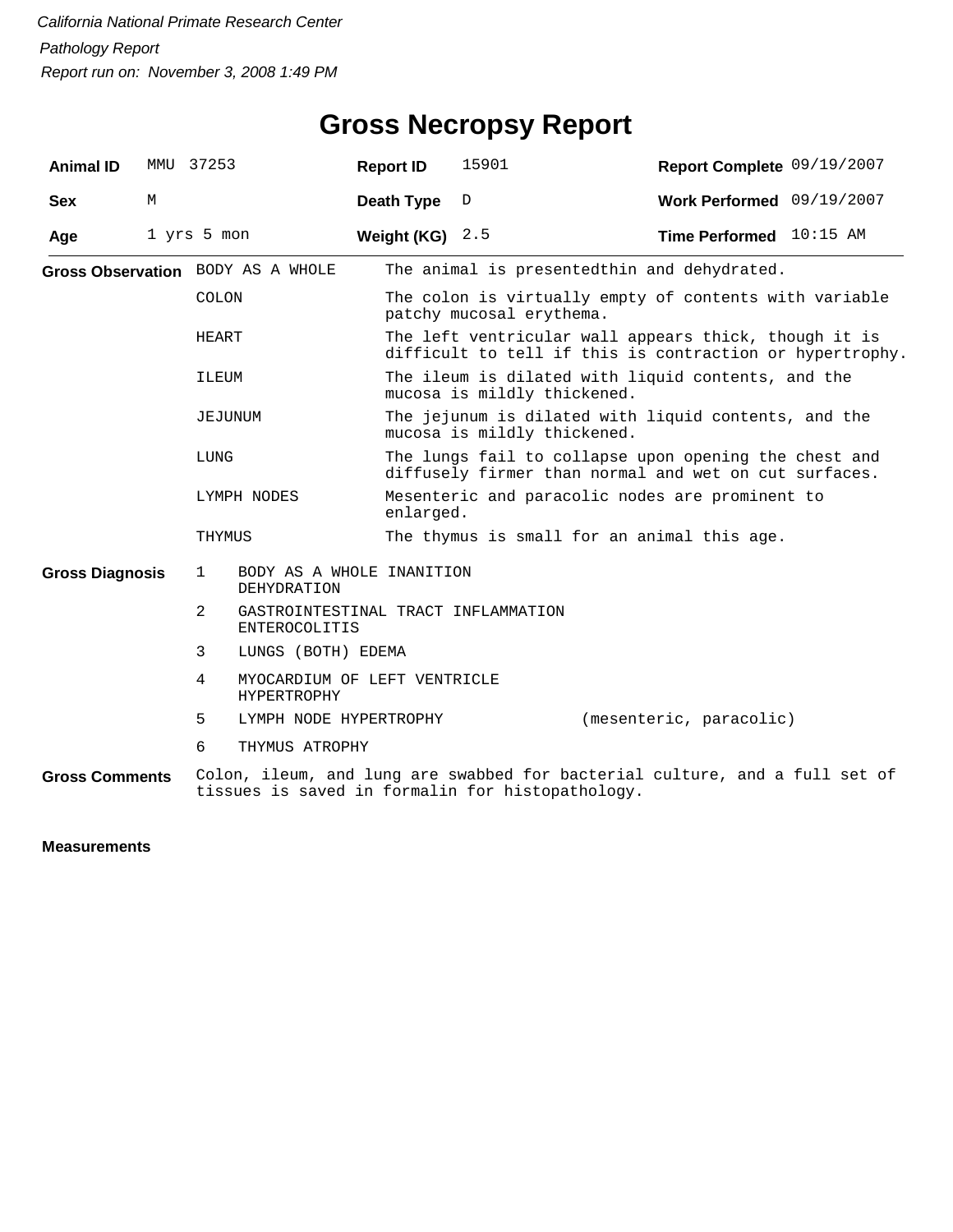| <b>Animal ID</b>       |   | MMU 37253                                                        | <b>Report ID</b>  | 15901                                                                                                          | Report Complete 09/19/2007                                                                                        |  |  |  |
|------------------------|---|------------------------------------------------------------------|-------------------|----------------------------------------------------------------------------------------------------------------|-------------------------------------------------------------------------------------------------------------------|--|--|--|
| <b>Sex</b>             | М |                                                                  | Death Type        | D                                                                                                              | Work Performed 09/19/2007                                                                                         |  |  |  |
| Age                    |   | 1 yrs 5 mon                                                      | Weight (KG) $2.5$ |                                                                                                                | Time Performed 10:15 AM                                                                                           |  |  |  |
|                        |   | Gross Observation BODY AS A WHOLE                                |                   | The animal is presentedthin and dehydrated.                                                                    |                                                                                                                   |  |  |  |
|                        |   | COLON                                                            |                   | patchy mucosal erythema.                                                                                       | The colon is virtually empty of contents with variable                                                            |  |  |  |
|                        |   | HEART                                                            |                   |                                                                                                                | The left ventricular wall appears thick, though it is<br>difficult to tell if this is contraction or hypertrophy. |  |  |  |
|                        |   | ILEUM                                                            |                   | mucosa is mildly thickened.                                                                                    | The ileum is dilated with liquid contents, and the                                                                |  |  |  |
|                        |   | JEJUNUM                                                          |                   | The jejunum is dilated with liquid contents, and the<br>mucosa is mildly thickened.                            |                                                                                                                   |  |  |  |
|                        |   | LUNG                                                             |                   | The lungs fail to collapse upon opening the chest and<br>diffusely firmer than normal and wet on cut surfaces. |                                                                                                                   |  |  |  |
|                        |   | LYMPH NODES                                                      |                   | Mesenteric and paracolic nodes are prominent to<br>enlarged.                                                   |                                                                                                                   |  |  |  |
|                        |   | THYMUS                                                           |                   | The thymus is small for an animal this age.                                                                    |                                                                                                                   |  |  |  |
| <b>Gross Diagnosis</b> |   | $\mathbf{1}$<br>BODY AS A WHOLE INANITION<br><b>DEHYDRATION</b>  |                   |                                                                                                                |                                                                                                                   |  |  |  |
|                        |   | 2<br>GASTROINTESTINAL TRACT INFLAMMATION<br><b>ENTEROCOLITIS</b> |                   |                                                                                                                |                                                                                                                   |  |  |  |
|                        |   | 3<br>LUNGS (BOTH) EDEMA                                          |                   |                                                                                                                |                                                                                                                   |  |  |  |
|                        |   | 4<br>MYOCARDIUM OF LEFT VENTRICLE<br>HYPERTROPHY                 |                   |                                                                                                                |                                                                                                                   |  |  |  |
|                        |   | 5<br>LYMPH NODE HYPERTROPHY                                      |                   |                                                                                                                | (mesenteric, paracolic)                                                                                           |  |  |  |
|                        |   | 6<br>THYMUS ATROPHY                                              |                   |                                                                                                                |                                                                                                                   |  |  |  |
| <b>Gross Comments</b>  |   |                                                                  |                   | tissues is saved in formalin for histopathology.                                                               | Colon, ileum, and lung are swabbed for bacterial culture, and a full set of                                       |  |  |  |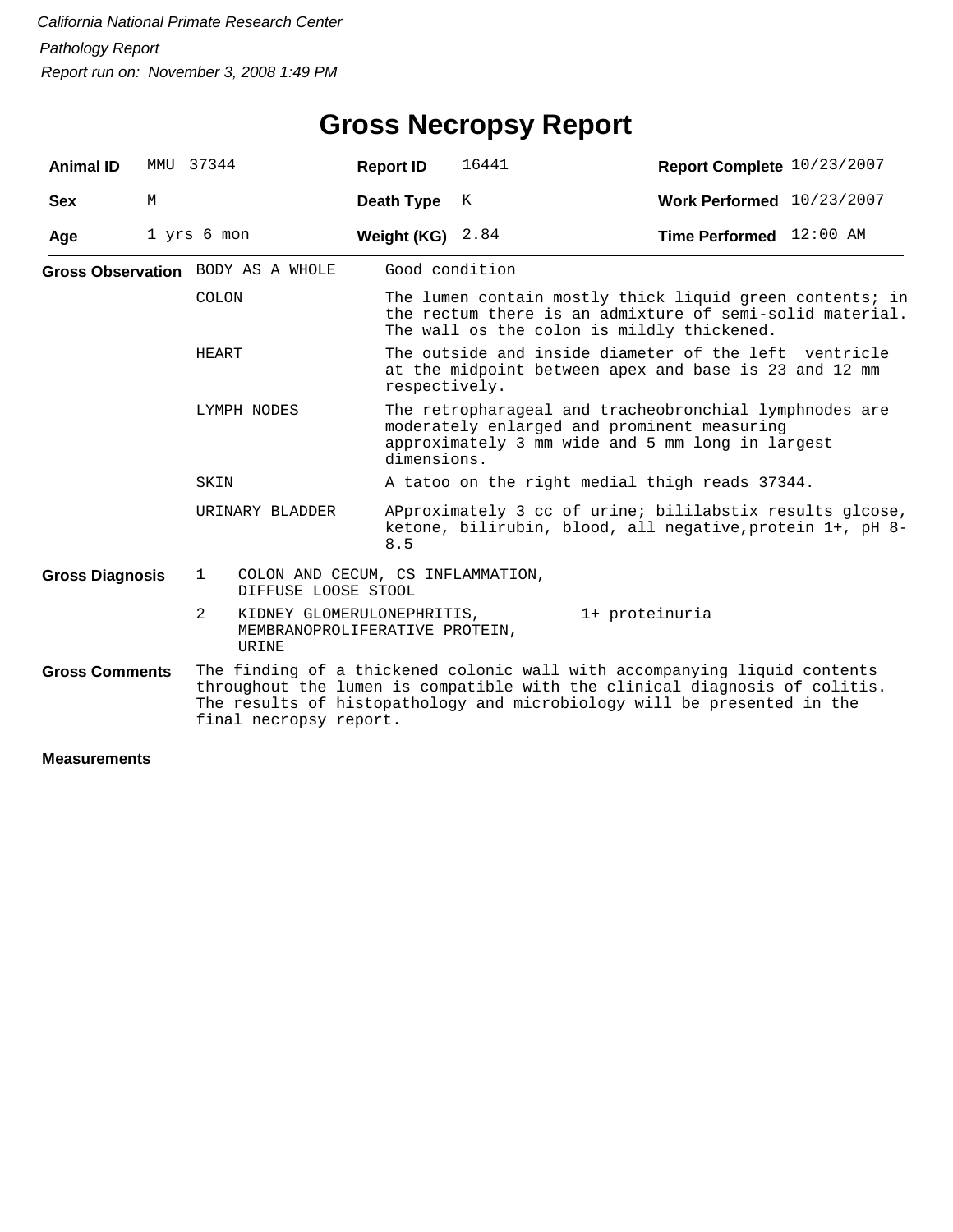| <b>Animal ID</b>       |   | MMU 37344                         | <b>Report ID</b>                                             | 16441                                                                                                                                                                    | Report Complete 10/23/2007                                                                                                                                                                                                         |  |  |  |
|------------------------|---|-----------------------------------|--------------------------------------------------------------|--------------------------------------------------------------------------------------------------------------------------------------------------------------------------|------------------------------------------------------------------------------------------------------------------------------------------------------------------------------------------------------------------------------------|--|--|--|
| <b>Sex</b>             | М |                                   | Death Type                                                   | К                                                                                                                                                                        | Work Performed 10/23/2007                                                                                                                                                                                                          |  |  |  |
| Age                    |   | 1 yrs 6 mon                       | Weight (KG)                                                  | 2.84                                                                                                                                                                     | <b>Time Performed</b> $12:00$ AM                                                                                                                                                                                                   |  |  |  |
|                        |   | Gross Observation BODY AS A WHOLE |                                                              | Good condition                                                                                                                                                           |                                                                                                                                                                                                                                    |  |  |  |
|                        |   | COLON                             |                                                              |                                                                                                                                                                          | The lumen contain mostly thick liquid green contents; in<br>the rectum there is an admixture of semi-solid material.<br>The wall os the colon is mildly thickened.                                                                 |  |  |  |
|                        |   | HEART                             |                                                              | respectively.                                                                                                                                                            | The outside and inside diameter of the left ventricle<br>at the midpoint between apex and base is 23 and 12 mm                                                                                                                     |  |  |  |
|                        |   | LYMPH NODES                       |                                                              | The retropharageal and tracheobronchial lymphnodes are<br>moderately enlarged and prominent measuring<br>approximately 3 mm wide and 5 mm long in largest<br>dimensions. |                                                                                                                                                                                                                                    |  |  |  |
|                        |   | SKIN                              |                                                              | A tatoo on the right medial thigh reads 37344.                                                                                                                           |                                                                                                                                                                                                                                    |  |  |  |
|                        |   | URINARY BLADDER                   | 8.5                                                          |                                                                                                                                                                          | APproximately 3 cc of urine; bililabstix results glcose,<br>ketone, bilirubin, blood, all negative, protein 1+, pH 8-                                                                                                              |  |  |  |
| <b>Gross Diagnosis</b> |   | $\mathbf{1}$                      | COLON AND CECUM, CS INFLAMMATION,<br>DIFFUSE LOOSE STOOL     |                                                                                                                                                                          |                                                                                                                                                                                                                                    |  |  |  |
|                        |   | 2<br>URINE                        | KIDNEY GLOMERULONEPHRITIS,<br>MEMBRANOPROLIFERATIVE PROTEIN, |                                                                                                                                                                          | 1+ proteinuria                                                                                                                                                                                                                     |  |  |  |
| <b>Gross Comments</b>  |   |                                   | final necropsy report.                                       |                                                                                                                                                                          | The finding of a thickened colonic wall with accompanying liquid contents<br>throughout the lumen is compatible with the clinical diagnosis of colitis.<br>The results of histopathology and microbiology will be presented in the |  |  |  |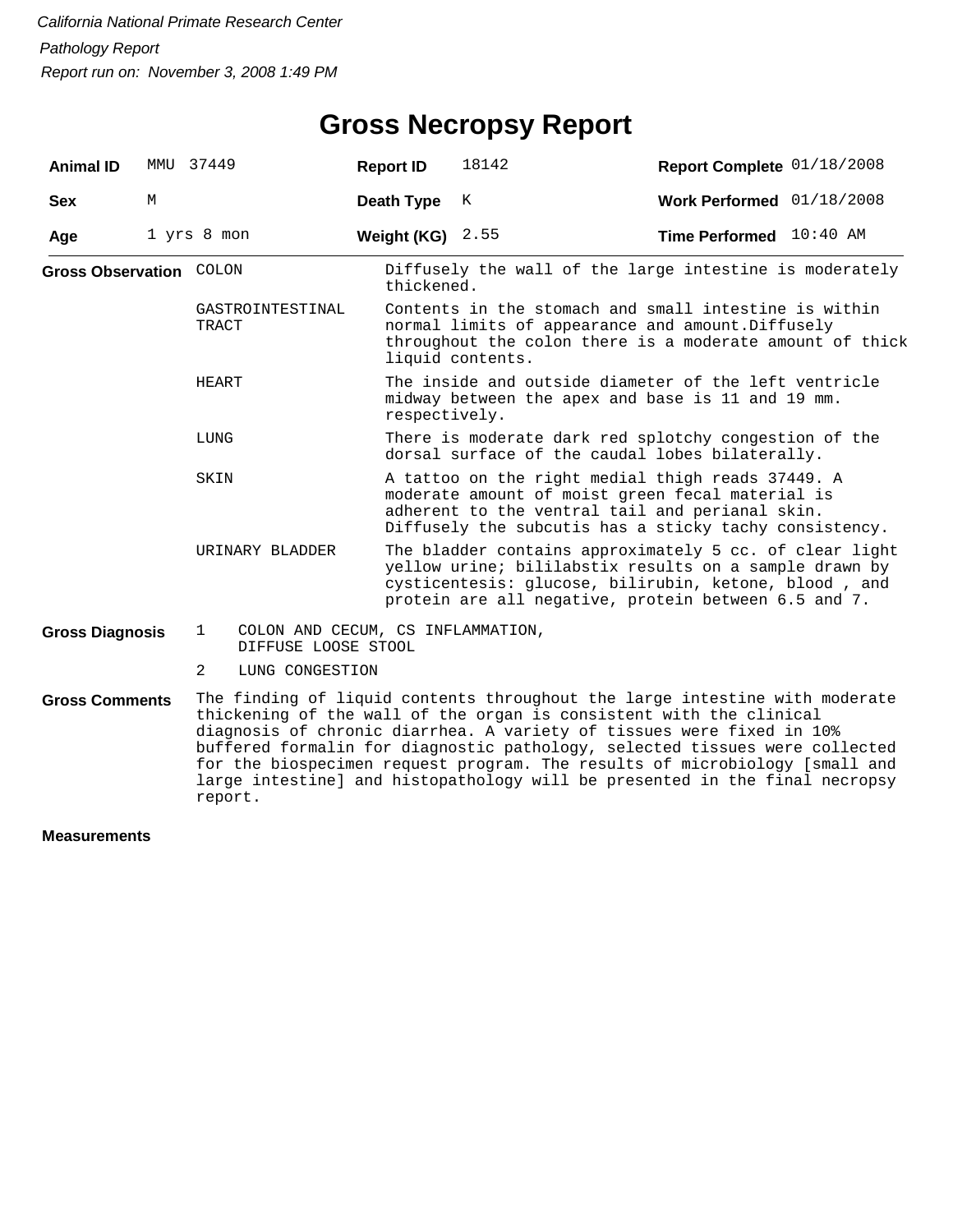# **Gross Necropsy Report**

| <b>Animal ID</b>               |   | MMU 37449                                                                | <b>Report ID</b>   | 18142                                                                                                                                                                                                                              | Report Complete 01/18/2008                                                                                                                                                                                                                                                                                                                                                                                                                                               |  |  |
|--------------------------------|---|--------------------------------------------------------------------------|--------------------|------------------------------------------------------------------------------------------------------------------------------------------------------------------------------------------------------------------------------------|--------------------------------------------------------------------------------------------------------------------------------------------------------------------------------------------------------------------------------------------------------------------------------------------------------------------------------------------------------------------------------------------------------------------------------------------------------------------------|--|--|
| <b>Sex</b>                     | М |                                                                          | Death Type         | Κ                                                                                                                                                                                                                                  | Work Performed 01/18/2008                                                                                                                                                                                                                                                                                                                                                                                                                                                |  |  |
| Age                            |   | 1 yrs 8 mon                                                              | Weight (KG) $2.55$ |                                                                                                                                                                                                                                    | Time Performed 10:40 AM                                                                                                                                                                                                                                                                                                                                                                                                                                                  |  |  |
| <b>Gross Observation COLON</b> |   |                                                                          | thickened.         |                                                                                                                                                                                                                                    | Diffusely the wall of the large intestine is moderately                                                                                                                                                                                                                                                                                                                                                                                                                  |  |  |
|                                |   | GASTROINTESTINAL<br>TRACT                                                |                    | Contents in the stomach and small intestine is within<br>normal limits of appearance and amount. Diffusely<br>throughout the colon there is a moderate amount of thick<br>liquid contents.                                         |                                                                                                                                                                                                                                                                                                                                                                                                                                                                          |  |  |
|                                |   | HEART                                                                    |                    | The inside and outside diameter of the left ventricle<br>midway between the apex and base is 11 and 19 mm.<br>respectively.                                                                                                        |                                                                                                                                                                                                                                                                                                                                                                                                                                                                          |  |  |
|                                |   | LUNG                                                                     |                    | There is moderate dark red splotchy congestion of the<br>dorsal surface of the caudal lobes bilaterally.                                                                                                                           |                                                                                                                                                                                                                                                                                                                                                                                                                                                                          |  |  |
|                                |   | SKIN                                                                     |                    | A tattoo on the right medial thigh reads 37449. A<br>moderate amount of moist green fecal material is<br>adherent to the ventral tail and perianal skin.<br>Diffusely the subcutis has a sticky tachy consistency.                 |                                                                                                                                                                                                                                                                                                                                                                                                                                                                          |  |  |
|                                |   | URINARY BLADDER                                                          |                    | The bladder contains approximately 5 cc. of clear light<br>yellow urine; bililabstix results on a sample drawn by<br>cysticentesis: glucose, bilirubin, ketone, blood, and<br>protein are all negative, protein between 6.5 and 7. |                                                                                                                                                                                                                                                                                                                                                                                                                                                                          |  |  |
| <b>Gross Diagnosis</b>         |   | $\mathbf{1}$<br>COLON AND CECUM, CS INFLAMMATION,<br>DIFFUSE LOOSE STOOL |                    |                                                                                                                                                                                                                                    |                                                                                                                                                                                                                                                                                                                                                                                                                                                                          |  |  |
|                                |   | $\overline{2}$<br>LUNG CONGESTION                                        |                    |                                                                                                                                                                                                                                    |                                                                                                                                                                                                                                                                                                                                                                                                                                                                          |  |  |
| <b>Gross Comments</b>          |   | report.                                                                  |                    |                                                                                                                                                                                                                                    | The finding of liquid contents throughout the large intestine with moderate<br>thickening of the wall of the organ is consistent with the clinical<br>diagnosis of chronic diarrhea. A variety of tissues were fixed in 10%<br>buffered formalin for diagnostic pathology, selected tissues were collected<br>for the biospecimen request program. The results of microbiology [small and<br>large intestine] and histopathology will be presented in the final necropsy |  |  |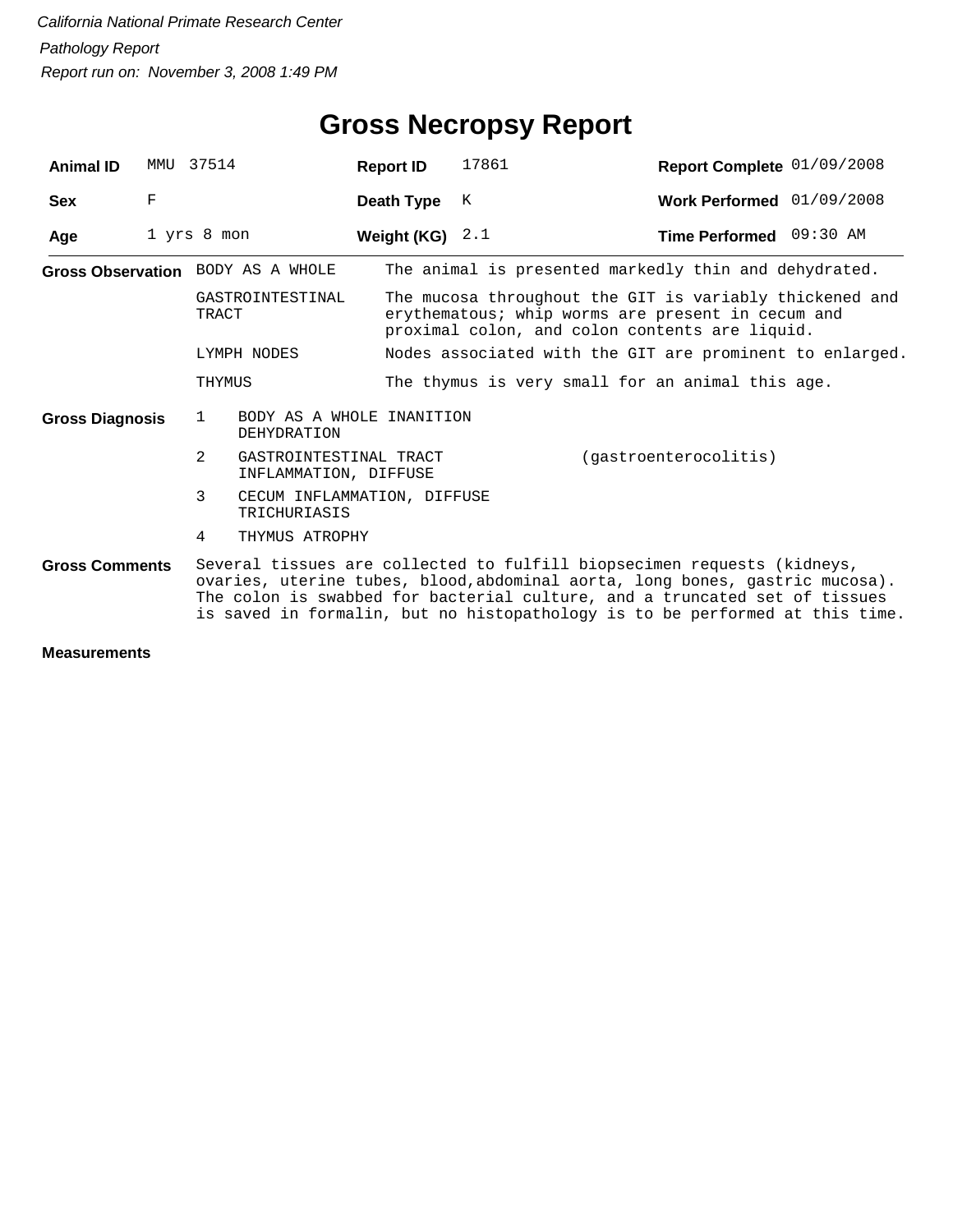| <b>Animal ID</b>       | MMU         | 37514                                                             | <b>Report ID</b> | 17861                                                                                                                                                                                                                                                                                                                 | Report Complete 01/09/2008 |  |
|------------------------|-------------|-------------------------------------------------------------------|------------------|-----------------------------------------------------------------------------------------------------------------------------------------------------------------------------------------------------------------------------------------------------------------------------------------------------------------------|----------------------------|--|
| <b>Sex</b>             | $\mathbf F$ |                                                                   | Death Type       | K                                                                                                                                                                                                                                                                                                                     | Work Performed 01/09/2008  |  |
| Age                    |             | 1 yrs 8 mon                                                       | Weight (KG)      | 2.1                                                                                                                                                                                                                                                                                                                   | Time Performed 09:30 AM    |  |
|                        |             | Gross Observation BODY AS A WHOLE                                 |                  | The animal is presented markedly thin and dehydrated.                                                                                                                                                                                                                                                                 |                            |  |
|                        |             | GASTROINTESTINAL<br>TRACT                                         |                  | The mucosa throughout the GIT is variably thickened and<br>erythematous; whip worms are present in cecum and<br>proximal colon, and colon contents are liquid.                                                                                                                                                        |                            |  |
|                        |             | LYMPH NODES                                                       |                  | Nodes associated with the GIT are prominent to enlarged.                                                                                                                                                                                                                                                              |                            |  |
|                        |             | THYMUS                                                            |                  | The thymus is very small for an animal this age.                                                                                                                                                                                                                                                                      |                            |  |
| <b>Gross Diagnosis</b> |             | BODY AS A WHOLE INANITION<br>$\mathbf{1}$<br><b>DEHYDRATION</b>   |                  |                                                                                                                                                                                                                                                                                                                       |                            |  |
|                        |             | $\overline{2}$<br>GASTROINTESTINAL TRACT<br>INFLAMMATION, DIFFUSE |                  |                                                                                                                                                                                                                                                                                                                       | (gastroenterocolitis)      |  |
|                        |             | 3<br>CECUM INFLAMMATION, DIFFUSE<br>TRICHURIASIS                  |                  |                                                                                                                                                                                                                                                                                                                       |                            |  |
|                        |             | 4<br>THYMUS ATROPHY                                               |                  |                                                                                                                                                                                                                                                                                                                       |                            |  |
| <b>Gross Comments</b>  |             |                                                                   |                  | Several tissues are collected to fulfill biopsecimen requests (kidneys,<br>ovaries, uterine tubes, blood, abdominal aorta, long bones, gastric mucosa).<br>The colon is swabbed for bacterial culture, and a truncated set of tissues<br>is saved in formalin, but no histopathology is to be performed at this time. |                            |  |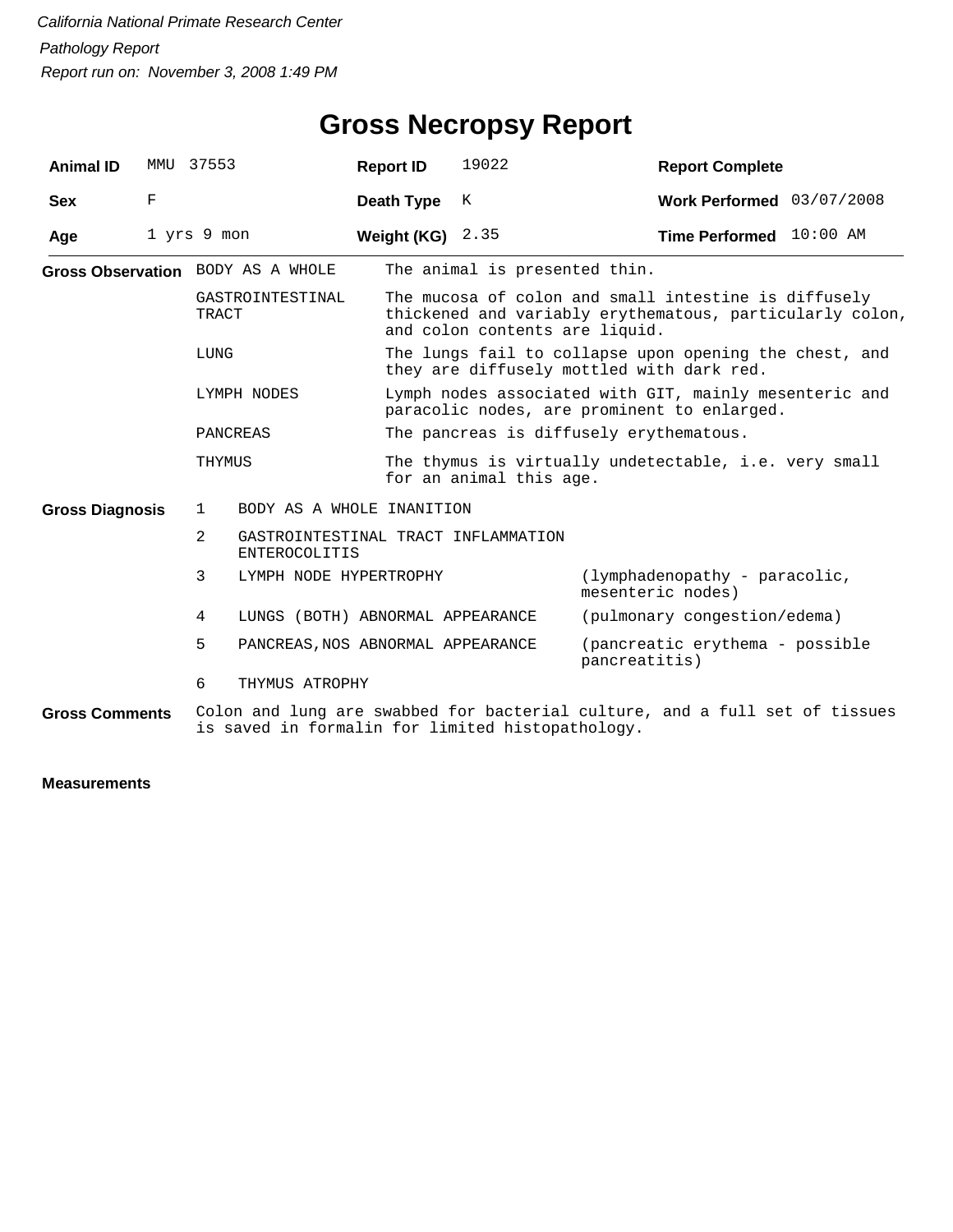| <b>Animal ID</b>        | MMU | 37553          |                                   | <b>Report ID</b>                                                                                      | 19022                                            | <b>Report Complete</b>                                                                                           |  |
|-------------------------|-----|----------------|-----------------------------------|-------------------------------------------------------------------------------------------------------|--------------------------------------------------|------------------------------------------------------------------------------------------------------------------|--|
| <b>Sex</b>              | F   |                |                                   | Death Type                                                                                            | K                                                | Work Performed 03/07/2008                                                                                        |  |
| Age                     |     | 1 yrs 9 mon    |                                   | Weight (KG)                                                                                           | 2.35                                             | Time Performed 10:00 AM                                                                                          |  |
|                         |     |                | Gross Observation BODY AS A WHOLE |                                                                                                       | The animal is presented thin.                    |                                                                                                                  |  |
|                         |     | TRACT          | GASTROINTESTINAL                  |                                                                                                       | and colon contents are liquid.                   | The mucosa of colon and small intestine is diffusely<br>thickened and variably erythematous, particularly colon, |  |
|                         |     | LUNG           |                                   |                                                                                                       |                                                  | The lungs fail to collapse upon opening the chest, and<br>they are diffusely mottled with dark red.              |  |
| LYMPH NODES<br>PANCREAS |     |                |                                   | Lymph nodes associated with GIT, mainly mesenteric and<br>paracolic nodes, are prominent to enlarged. |                                                  |                                                                                                                  |  |
|                         |     |                |                                   |                                                                                                       | The pancreas is diffusely erythematous.          |                                                                                                                  |  |
|                         |     | THYMUS         |                                   |                                                                                                       | for an animal this age.                          | The thymus is virtually undetectable, i.e. very small                                                            |  |
| <b>Gross Diagnosis</b>  |     | 1              | BODY AS A WHOLE INANITION         |                                                                                                       |                                                  |                                                                                                                  |  |
|                         |     | $\overline{2}$ | <b>ENTEROCOLITIS</b>              |                                                                                                       | GASTROINTESTINAL TRACT INFLAMMATION              |                                                                                                                  |  |
|                         |     | 3              | LYMPH NODE HYPERTROPHY            |                                                                                                       |                                                  | (lymphadenopathy - paracolic,<br>mesenteric nodes)                                                               |  |
|                         |     | 4              | LUNGS (BOTH) ABNORMAL APPEARANCE  |                                                                                                       |                                                  | (pulmonary congestion/edema)                                                                                     |  |
|                         |     | 5.             | PANCREAS, NOS ABNORMAL APPEARANCE |                                                                                                       |                                                  | (pancreatic erythema - possible<br>pancreatitis)                                                                 |  |
|                         |     | 6              | THYMUS ATROPHY                    |                                                                                                       |                                                  |                                                                                                                  |  |
| <b>Gross Comments</b>   |     |                |                                   |                                                                                                       | is saved in formalin for limited histopathology. | Colon and lung are swabbed for bacterial culture, and a full set of tissues                                      |  |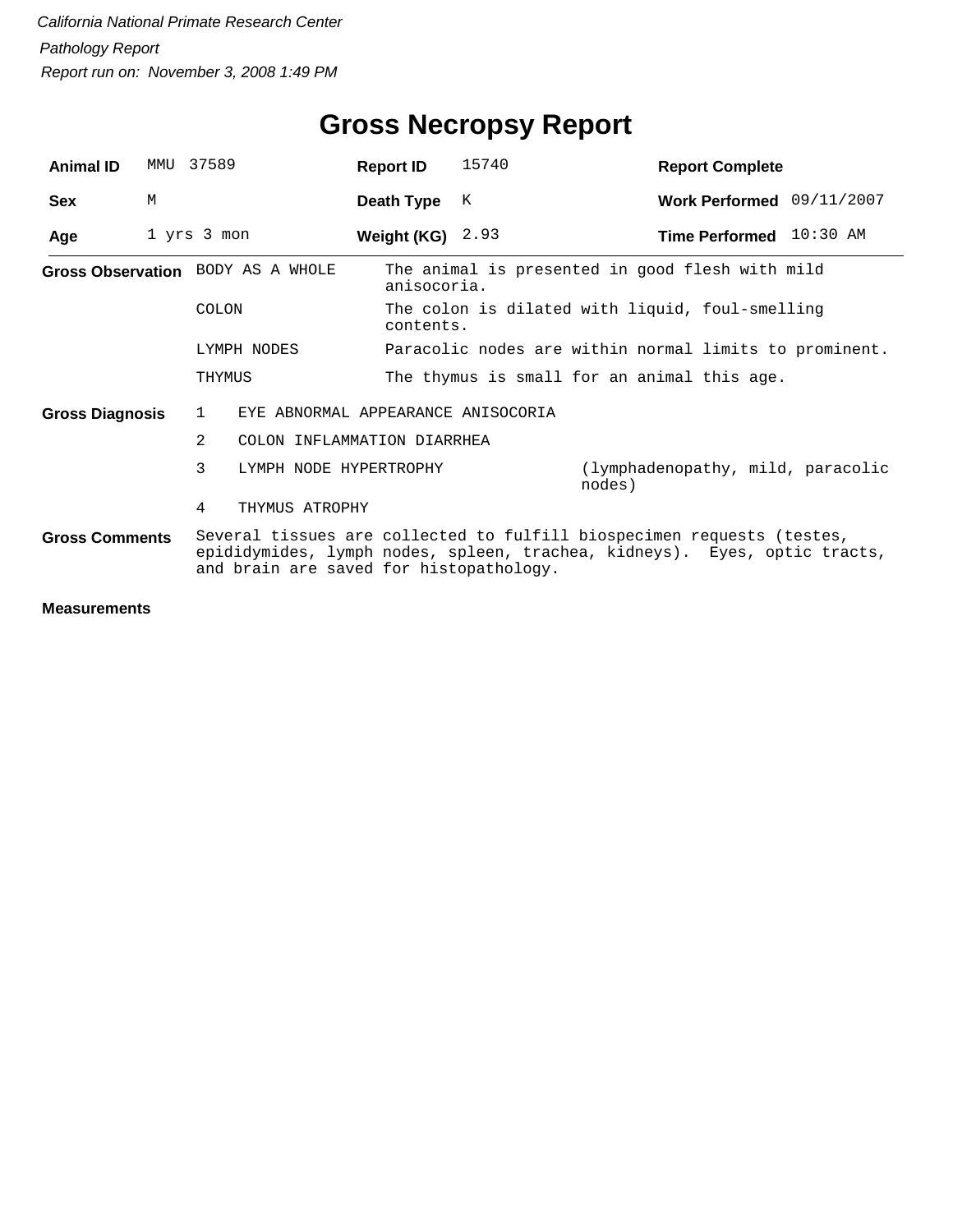| <b>Animal ID</b>       | MMU | 37589                                   | <b>Report ID</b>                   | 15740 | <b>Report Complete</b>                                                                                                                              |
|------------------------|-----|-----------------------------------------|------------------------------------|-------|-----------------------------------------------------------------------------------------------------------------------------------------------------|
| <b>Sex</b>             | M   |                                         | Death Type                         | K     | Work Performed 09/11/2007                                                                                                                           |
| Age                    |     | 1 yrs 3 mon                             | Weight (KG) $2.93$                 |       | Time Performed 10:30 AM                                                                                                                             |
|                        |     | Gross Observation BODY AS A WHOLE       | anisocoria.                        |       | The animal is presented in good flesh with mild                                                                                                     |
|                        |     | COLON                                   | contents.                          |       | The colon is dilated with liquid, foul-smelling                                                                                                     |
|                        |     | LYMPH NODES                             |                                    |       | Paracolic nodes are within normal limits to prominent.                                                                                              |
|                        |     | THYMUS                                  |                                    |       | The thymus is small for an animal this age.                                                                                                         |
| <b>Gross Diagnosis</b> |     | 1                                       | EYE ABNORMAL APPEARANCE ANISOCORIA |       |                                                                                                                                                     |
|                        |     | $\mathcal{L}$                           | COLON INFLAMMATION DIARRHEA        |       |                                                                                                                                                     |
|                        |     | 3                                       | LYMPH NODE HYPERTROPHY             |       | (lymphadenopathy, mild, paracolic<br>nodes)                                                                                                         |
|                        |     | 4<br>THYMUS ATROPHY                     |                                    |       |                                                                                                                                                     |
| <b>Gross Comments</b>  |     | and brain are saved for histopathology. |                                    |       | Several tissues are collected to fulfill biospecimen requests (testes,<br>epididymides, lymph nodes, spleen, trachea, kidneys). Eyes, optic tracts, |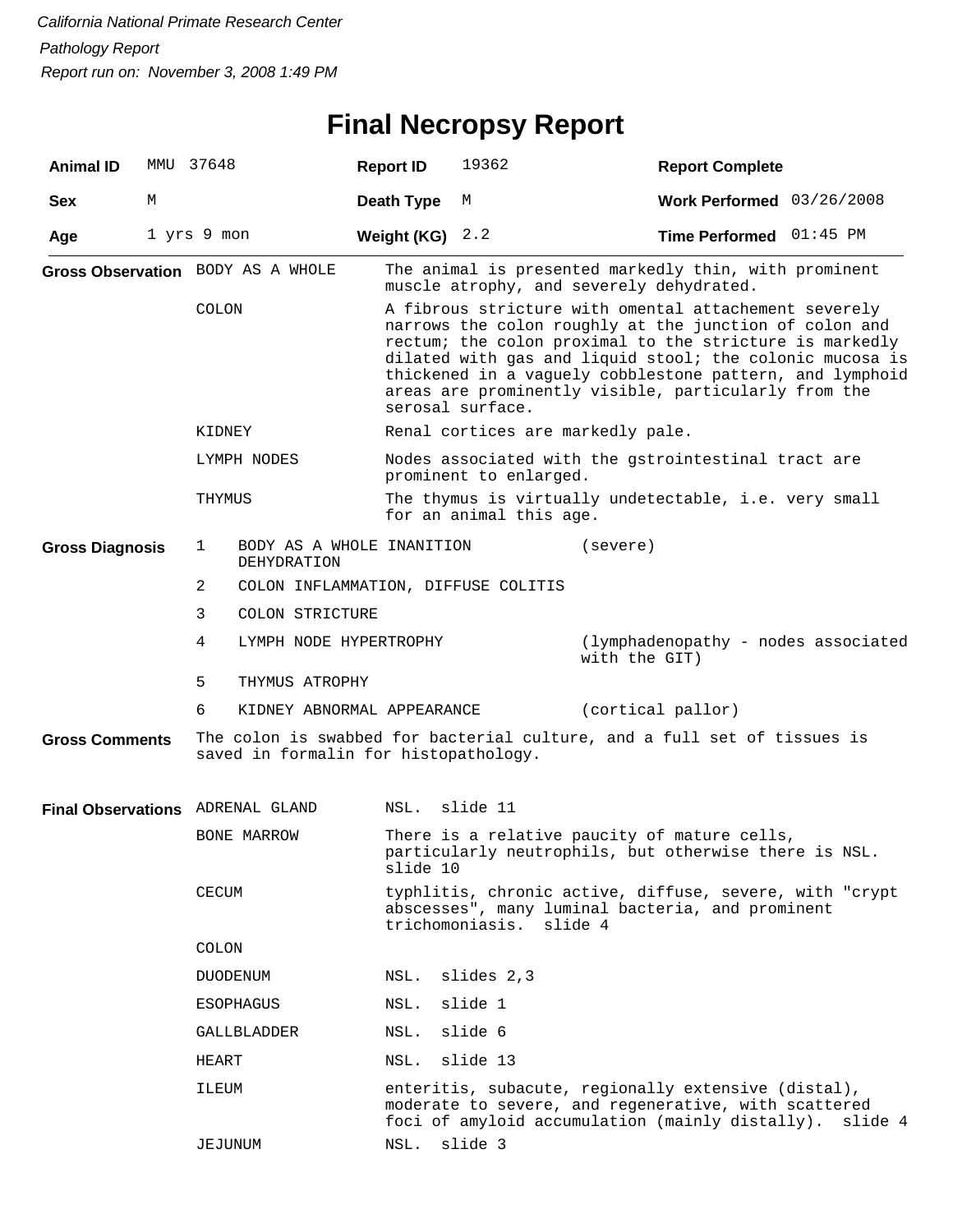# **Final Necropsy Report**

| <b>Animal ID</b>                 | MMU 37648   |                                   |                                          | <b>Report ID</b>  | 19362                                                                                                                                                                     | <b>Report Complete</b>                                                                                                                                                                                                                                                                                                                                     |                           |  |  |
|----------------------------------|-------------|-----------------------------------|------------------------------------------|-------------------|---------------------------------------------------------------------------------------------------------------------------------------------------------------------------|------------------------------------------------------------------------------------------------------------------------------------------------------------------------------------------------------------------------------------------------------------------------------------------------------------------------------------------------------------|---------------------------|--|--|
| <b>Sex</b>                       | М           |                                   |                                          | Death Type        | M                                                                                                                                                                         |                                                                                                                                                                                                                                                                                                                                                            | Work Performed 03/26/2008 |  |  |
| Age                              | 1 yrs 9 mon |                                   |                                          | Weight (KG) $2.2$ |                                                                                                                                                                           |                                                                                                                                                                                                                                                                                                                                                            | Time Performed 01:45 PM   |  |  |
|                                  |             | Gross Observation BODY AS A WHOLE |                                          |                   | The animal is presented markedly thin, with prominent<br>muscle atrophy, and severely dehydrated.                                                                         |                                                                                                                                                                                                                                                                                                                                                            |                           |  |  |
|                                  |             | COLON                             |                                          |                   | serosal surface.                                                                                                                                                          | A fibrous stricture with omental attachement severely<br>narrows the colon roughly at the junction of colon and<br>rectum; the colon proximal to the stricture is markedly<br>dilated with gas and liquid stool; the colonic mucosa is<br>thickened in a vaguely cobblestone pattern, and lymphoid<br>areas are prominently visible, particularly from the |                           |  |  |
|                                  |             | KIDNEY                            |                                          |                   | Renal cortices are markedly pale.                                                                                                                                         |                                                                                                                                                                                                                                                                                                                                                            |                           |  |  |
|                                  |             |                                   | LYMPH NODES                              |                   | prominent to enlarged.                                                                                                                                                    | Nodes associated with the gstrointestinal tract are                                                                                                                                                                                                                                                                                                        |                           |  |  |
|                                  |             | THYMUS                            |                                          |                   | for an animal this age.                                                                                                                                                   | The thymus is virtually undetectable, i.e. very small                                                                                                                                                                                                                                                                                                      |                           |  |  |
| <b>Gross Diagnosis</b>           |             | 1                                 | BODY AS A WHOLE INANITION<br>DEHYDRATION |                   |                                                                                                                                                                           | (severe)                                                                                                                                                                                                                                                                                                                                                   |                           |  |  |
|                                  |             | 2                                 | COLON INFLAMMATION, DIFFUSE COLITIS      |                   |                                                                                                                                                                           |                                                                                                                                                                                                                                                                                                                                                            |                           |  |  |
|                                  |             | 3                                 | COLON STRICTURE                          |                   |                                                                                                                                                                           |                                                                                                                                                                                                                                                                                                                                                            |                           |  |  |
|                                  |             | 4                                 | LYMPH NODE HYPERTROPHY                   |                   |                                                                                                                                                                           | (lymphadenopathy - nodes associated<br>with the GIT)                                                                                                                                                                                                                                                                                                       |                           |  |  |
|                                  |             | 5                                 | THYMUS ATROPHY                           |                   |                                                                                                                                                                           |                                                                                                                                                                                                                                                                                                                                                            |                           |  |  |
|                                  |             | 6                                 | KIDNEY ABNORMAL APPEARANCE               |                   |                                                                                                                                                                           | (cortical pallor)                                                                                                                                                                                                                                                                                                                                          |                           |  |  |
| <b>Gross Comments</b>            |             |                                   | saved in formalin for histopathology.    |                   |                                                                                                                                                                           | The colon is swabbed for bacterial culture, and a full set of tissues is                                                                                                                                                                                                                                                                                   |                           |  |  |
| Final Observations ADRENAL GLAND |             |                                   |                                          | NSL.              | slide 11                                                                                                                                                                  |                                                                                                                                                                                                                                                                                                                                                            |                           |  |  |
|                                  |             |                                   | BONE MARROW                              |                   | There is a relative paucity of mature cells,<br>particularly neutrophils, but otherwise there is NSL.<br>slide 10                                                         |                                                                                                                                                                                                                                                                                                                                                            |                           |  |  |
|                                  |             | <b>CECUM</b>                      |                                          |                   | typhlitis, chronic active, diffuse, severe, with "crypt<br>abscesses", many luminal bacteria, and prominent<br>trichomoniasis.<br>slide 4                                 |                                                                                                                                                                                                                                                                                                                                                            |                           |  |  |
|                                  |             | <b>COLON</b>                      |                                          |                   |                                                                                                                                                                           |                                                                                                                                                                                                                                                                                                                                                            |                           |  |  |
|                                  |             |                                   | DUODENUM                                 | NSL.              | slides 2,3                                                                                                                                                                |                                                                                                                                                                                                                                                                                                                                                            |                           |  |  |
|                                  |             |                                   | ESOPHAGUS                                | NSL.              | slide 1                                                                                                                                                                   |                                                                                                                                                                                                                                                                                                                                                            |                           |  |  |
|                                  |             |                                   | GALLBLADDER                              | NSL.              | slide 6                                                                                                                                                                   |                                                                                                                                                                                                                                                                                                                                                            |                           |  |  |
|                                  |             | HEART                             |                                          | NSL.              | slide 13                                                                                                                                                                  |                                                                                                                                                                                                                                                                                                                                                            |                           |  |  |
|                                  |             | ILEUM                             |                                          |                   | enteritis, subacute, regionally extensive (distal),<br>moderate to severe, and regenerative, with scattered<br>foci of amyloid accumulation (mainly distally).<br>slide 4 |                                                                                                                                                                                                                                                                                                                                                            |                           |  |  |
|                                  |             | JEJUNUM                           |                                          | NSL.              | slide 3                                                                                                                                                                   |                                                                                                                                                                                                                                                                                                                                                            |                           |  |  |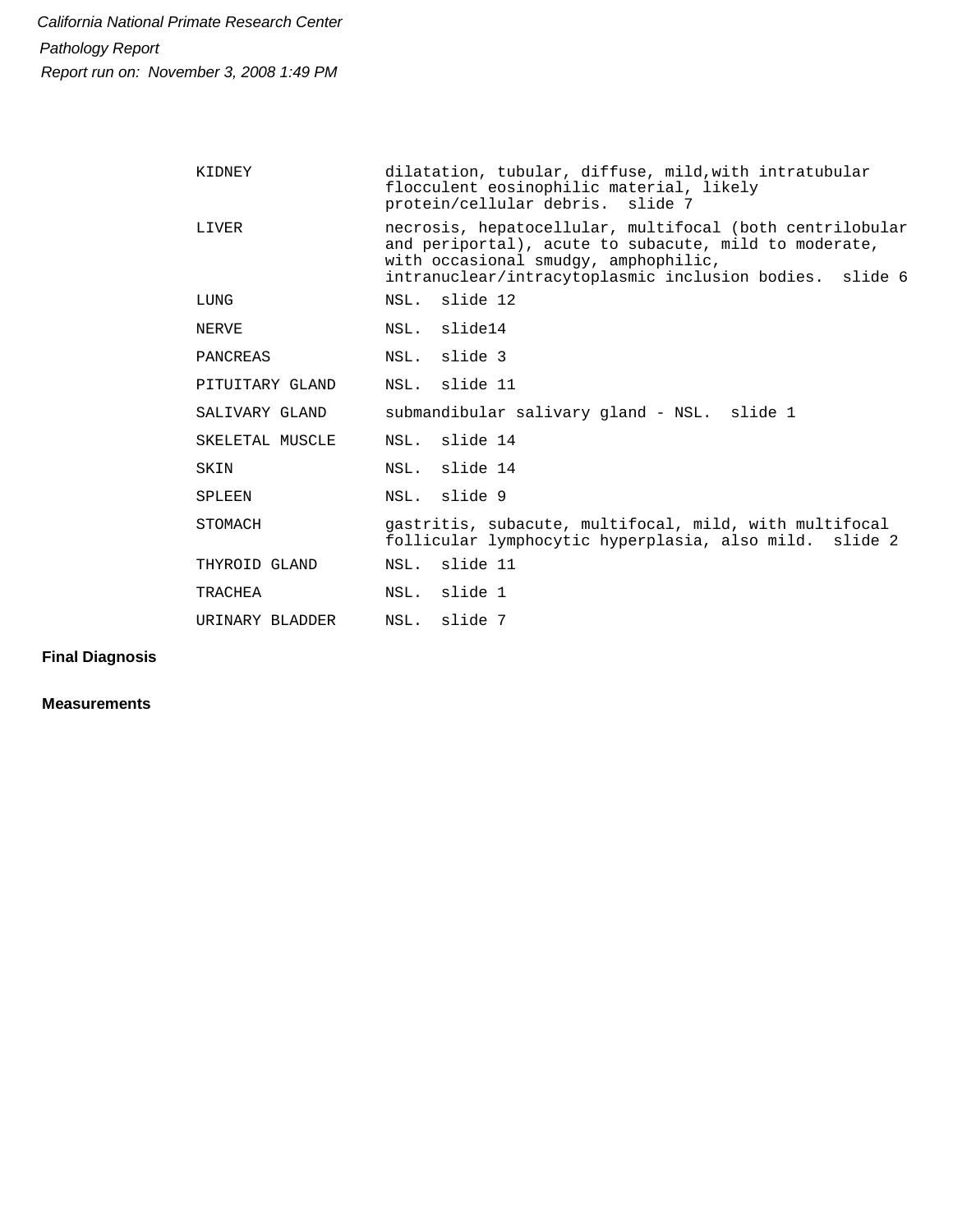| KIDNEY          | dilatation, tubular, diffuse, mild, with intratubular<br>flocculent eosinophilic material, likely<br>protein/cellular debris. slide 7                                                                                |
|-----------------|----------------------------------------------------------------------------------------------------------------------------------------------------------------------------------------------------------------------|
| LIVER           | necrosis, hepatocellular, multifocal (both centrilobular<br>and periportal), acute to subacute, mild to moderate,<br>with occasional smudgy, amphophilic,<br>intranuclear/intracytoplasmic inclusion bodies. slide 6 |
| LUNG            | NSL. slide 12                                                                                                                                                                                                        |
| NERVE           | NSL. slide14                                                                                                                                                                                                         |
| PANCREAS        | NSL. slide 3                                                                                                                                                                                                         |
| PITUITARY GLAND | NSL. slide 11                                                                                                                                                                                                        |
| SALIVARY GLAND  | submandibular salivary gland - NSL. slide 1                                                                                                                                                                          |
| SKELETAL MUSCLE | NSL. slide 14                                                                                                                                                                                                        |
| SKIN            | NSL. slide 14                                                                                                                                                                                                        |
| SPLEEN          | NSL. slide 9                                                                                                                                                                                                         |
| STOMACH         | gastritis, subacute, multifocal, mild, with multifocal<br>follicular lymphocytic hyperplasia, also mild. slide 2                                                                                                     |
| THYROID GLAND   | NSL. slide 11                                                                                                                                                                                                        |
| TRACHEA         | NSL. slide 1                                                                                                                                                                                                         |
| URINARY BLADDER | NSL. slide 7                                                                                                                                                                                                         |

**Final Diagnosis**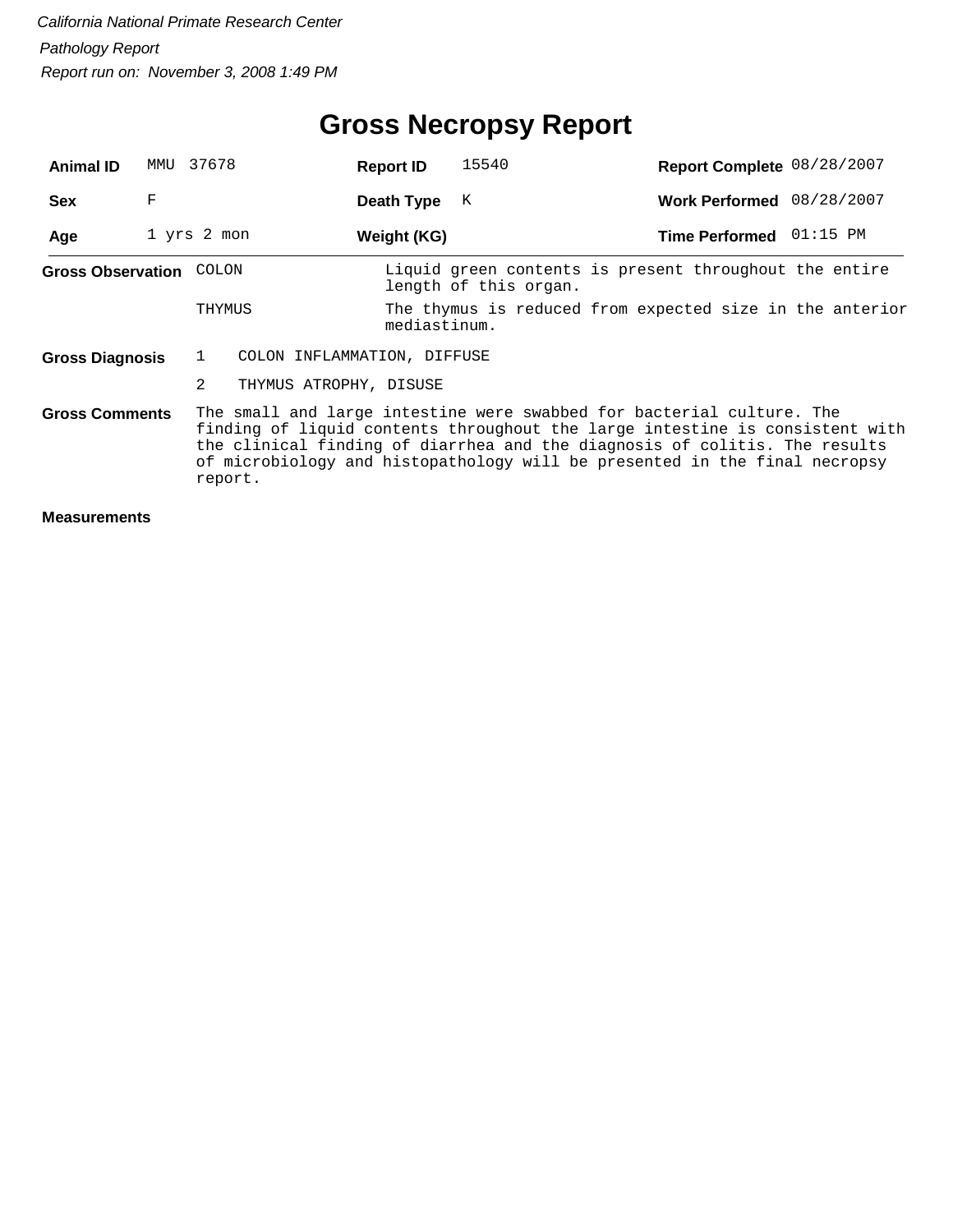# **Gross Necropsy Report**

| <b>Animal ID</b>         | MMU | 37678                            | 15540<br><b>Report ID</b>                                                                                                                                                                                                                                                                                         | Report Complete 08/28/2007                               |
|--------------------------|-----|----------------------------------|-------------------------------------------------------------------------------------------------------------------------------------------------------------------------------------------------------------------------------------------------------------------------------------------------------------------|----------------------------------------------------------|
| <b>Sex</b>               | F   |                                  | K<br>Death Type                                                                                                                                                                                                                                                                                                   | Work Performed 08/28/2007                                |
| Age                      |     | 1 yrs 2 mon                      | Weight (KG)                                                                                                                                                                                                                                                                                                       | $01:15$ PM<br><b>Time Performed</b>                      |
| <b>Gross Observation</b> |     | COLON                            | Liquid green contents is present throughout the entire<br>length of this organ.                                                                                                                                                                                                                                   |                                                          |
|                          |     | THYMUS                           | mediastinum.                                                                                                                                                                                                                                                                                                      | The thymus is reduced from expected size in the anterior |
| <b>Gross Diagnosis</b>   |     | COLON INFLAMMATION, DIFFUSE<br>1 |                                                                                                                                                                                                                                                                                                                   |                                                          |
|                          |     | 2<br>THYMUS ATROPHY, DISUSE      |                                                                                                                                                                                                                                                                                                                   |                                                          |
| <b>Gross Comments</b>    |     | report.                          | The small and large intestine were swabbed for bacterial culture. The<br>finding of liquid contents throughout the large intestine is consistent with<br>the clinical finding of diarrhea and the diagnosis of colitis. The results<br>of microbiology and histopathology will be presented in the final necropsy |                                                          |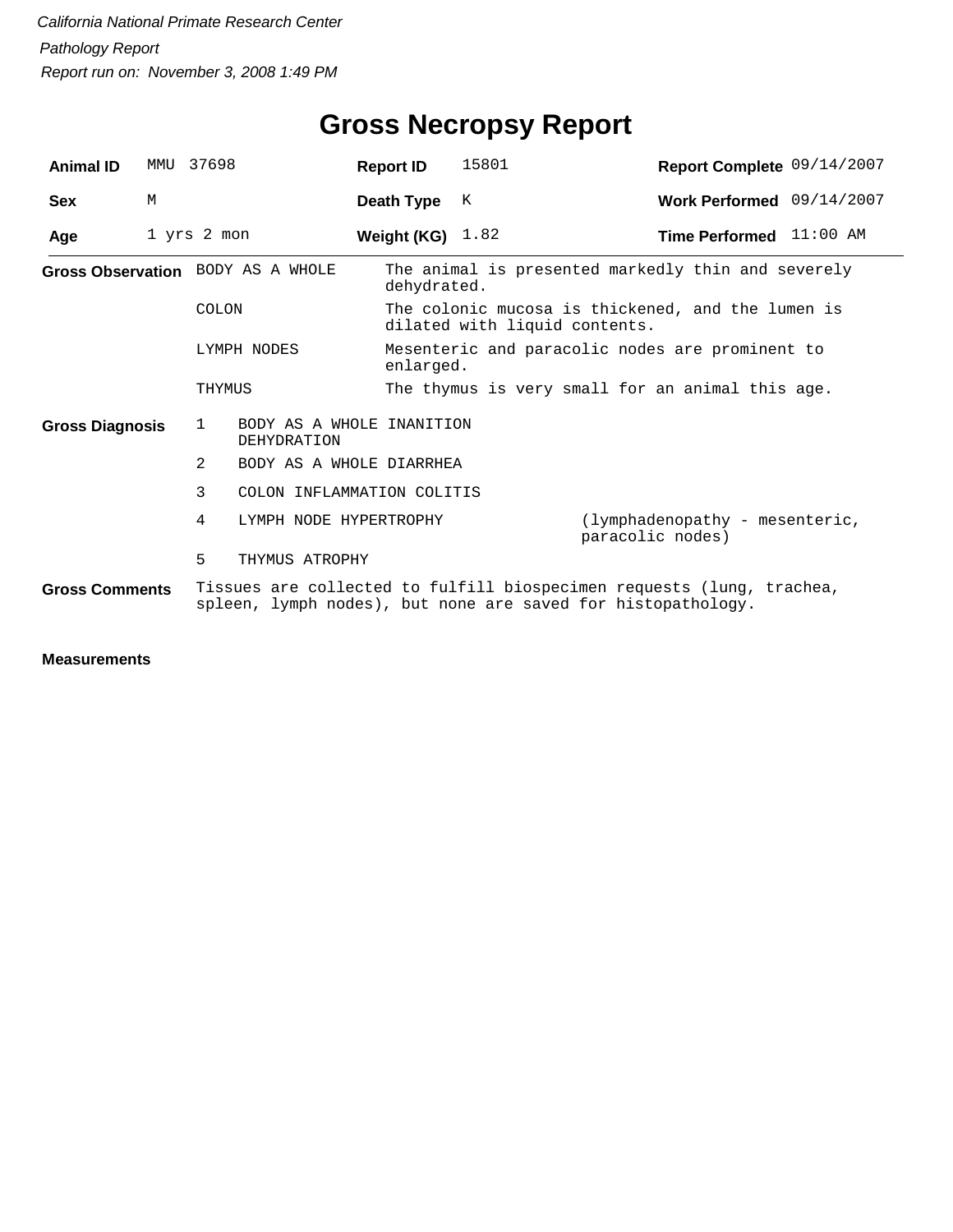| <b>Animal ID</b>       | MMU                                                                                                                                                            | 37698                                                    | <b>Report ID</b>         | 15801                                                                              | Report Complete 09/14/2007                         |  |  |  |
|------------------------|----------------------------------------------------------------------------------------------------------------------------------------------------------------|----------------------------------------------------------|--------------------------|------------------------------------------------------------------------------------|----------------------------------------------------|--|--|--|
| <b>Sex</b>             | M                                                                                                                                                              |                                                          | Death Type               | K                                                                                  | Work Performed 09/14/2007                          |  |  |  |
| Age                    |                                                                                                                                                                | 1 yrs 2 mon                                              | Weight (KG) $1.82$       |                                                                                    | Time Performed 11:00 AM                            |  |  |  |
|                        |                                                                                                                                                                | Gross Observation BODY AS A WHOLE                        | dehydrated.              |                                                                                    | The animal is presented markedly thin and severely |  |  |  |
|                        |                                                                                                                                                                | <b>COLON</b>                                             |                          | The colonic mucosa is thickened, and the lumen is<br>dilated with liquid contents. |                                                    |  |  |  |
| LYMPH NODES            |                                                                                                                                                                |                                                          |                          | Mesenteric and paracolic nodes are prominent to<br>enlarged.                       |                                                    |  |  |  |
|                        |                                                                                                                                                                | THYMUS                                                   |                          |                                                                                    | The thymus is very small for an animal this age.   |  |  |  |
| <b>Gross Diagnosis</b> |                                                                                                                                                                | $\mathbf{1}$<br>BODY AS A WHOLE INANITION<br>DEHYDRATION |                          |                                                                                    |                                                    |  |  |  |
|                        |                                                                                                                                                                | 2                                                        | BODY AS A WHOLE DIARRHEA |                                                                                    |                                                    |  |  |  |
|                        |                                                                                                                                                                | 3<br>COLON INFLAMMATION COLITIS                          |                          |                                                                                    |                                                    |  |  |  |
|                        |                                                                                                                                                                | 4<br>LYMPH NODE HYPERTROPHY                              |                          | (lymphadenopathy - mesenteric,<br>paracolic nodes)                                 |                                                    |  |  |  |
|                        |                                                                                                                                                                | 5<br>THYMUS ATROPHY                                      |                          |                                                                                    |                                                    |  |  |  |
|                        | Tissues are collected to fulfill biospecimen requests (lung, trachea,<br><b>Gross Comments</b><br>spleen, lymph nodes), but none are saved for histopathology. |                                                          |                          |                                                                                    |                                                    |  |  |  |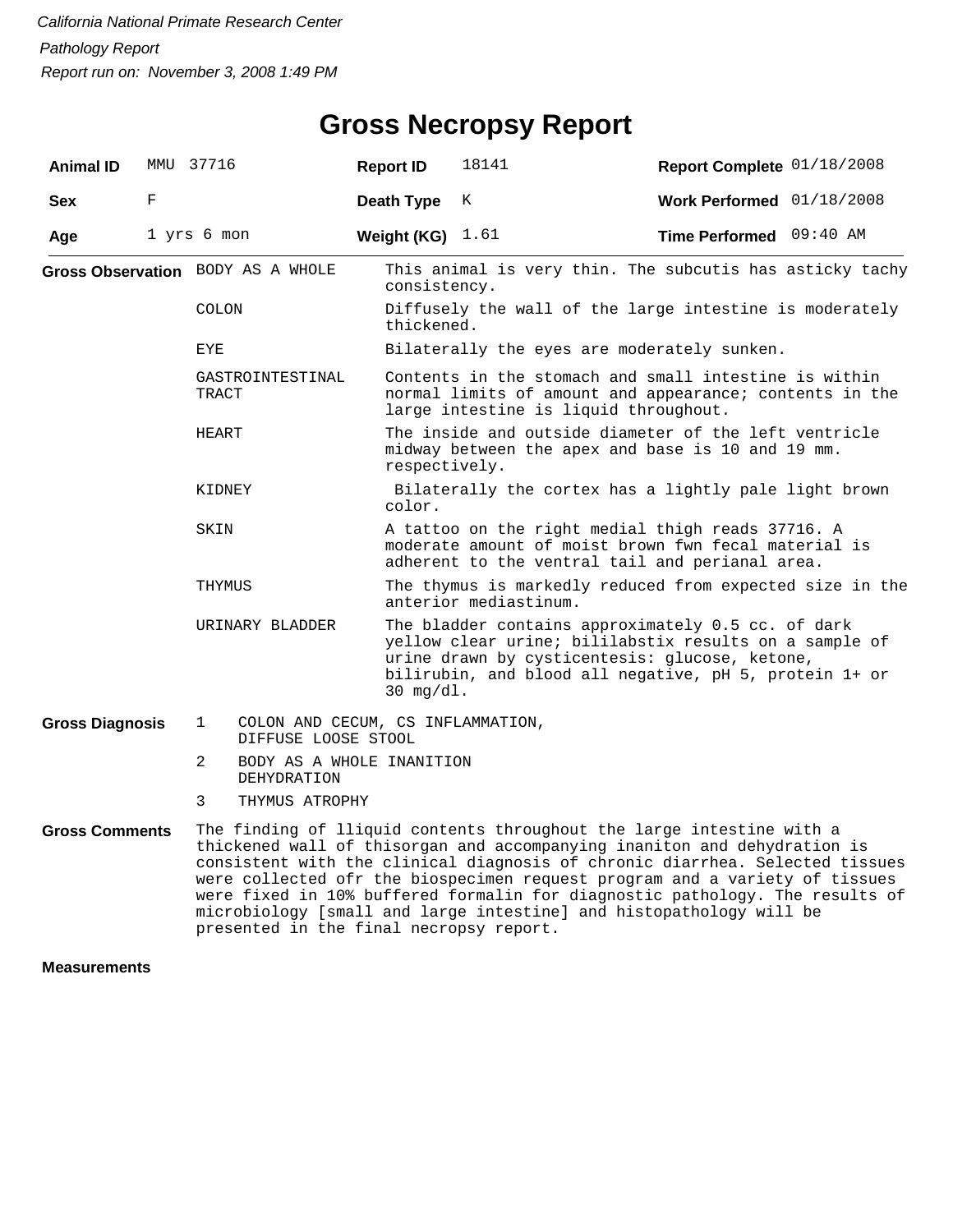| <b>Animal ID</b>       |   | MMU 37716                           | <b>Report ID</b>                  | 18141                                                                                                                                                     | Report Complete 01/18/2008                                                                                                                                                                                                                                                                                                                                                                                                                                          |  |  |  |
|------------------------|---|-------------------------------------|-----------------------------------|-----------------------------------------------------------------------------------------------------------------------------------------------------------|---------------------------------------------------------------------------------------------------------------------------------------------------------------------------------------------------------------------------------------------------------------------------------------------------------------------------------------------------------------------------------------------------------------------------------------------------------------------|--|--|--|
| <b>Sex</b>             | F |                                     | Death Type                        | K                                                                                                                                                         | Work Performed $01/18/2008$                                                                                                                                                                                                                                                                                                                                                                                                                                         |  |  |  |
| Age                    |   | 1 yrs 6 mon                         | Weight (KG) $1.61$                |                                                                                                                                                           | Time Performed 09:40 AM                                                                                                                                                                                                                                                                                                                                                                                                                                             |  |  |  |
|                        |   | Gross Observation BODY AS A WHOLE   | consistency.                      |                                                                                                                                                           | This animal is very thin. The subcutis has asticky tachy                                                                                                                                                                                                                                                                                                                                                                                                            |  |  |  |
|                        |   | COLON                               |                                   | Diffusely the wall of the large intestine is moderately<br>thickened.                                                                                     |                                                                                                                                                                                                                                                                                                                                                                                                                                                                     |  |  |  |
|                        |   | EYE                                 |                                   | Bilaterally the eyes are moderately sunken.                                                                                                               |                                                                                                                                                                                                                                                                                                                                                                                                                                                                     |  |  |  |
|                        |   | GASTROINTESTINAL<br>TRACT           |                                   | Contents in the stomach and small intestine is within<br>normal limits of amount and appearance; contents in the<br>large intestine is liquid throughout. |                                                                                                                                                                                                                                                                                                                                                                                                                                                                     |  |  |  |
|                        |   | HEART                               | respectively.                     |                                                                                                                                                           | The inside and outside diameter of the left ventricle<br>midway between the apex and base is 10 and 19 mm.                                                                                                                                                                                                                                                                                                                                                          |  |  |  |
|                        |   | KIDNEY                              | color.                            |                                                                                                                                                           | Bilaterally the cortex has a lightly pale light brown                                                                                                                                                                                                                                                                                                                                                                                                               |  |  |  |
|                        |   | SKIN                                |                                   |                                                                                                                                                           | A tattoo on the right medial thigh reads 37716. A<br>moderate amount of moist brown fwn fecal material is<br>adherent to the ventral tail and perianal area.                                                                                                                                                                                                                                                                                                        |  |  |  |
|                        |   | THYMUS                              |                                   | The thymus is markedly reduced from expected size in the<br>anterior mediastinum.                                                                         |                                                                                                                                                                                                                                                                                                                                                                                                                                                                     |  |  |  |
|                        |   | URINARY BLADDER                     | $30$ mg/dl.                       |                                                                                                                                                           | The bladder contains approximately 0.5 cc. of dark<br>yellow clear urine; bililabstix results on a sample of<br>urine drawn by cysticentesis: glucose, ketone,<br>bilirubin, and blood all negative, pH 5, protein 1+ or                                                                                                                                                                                                                                            |  |  |  |
| <b>Gross Diagnosis</b> |   | $\mathbf{1}$<br>DIFFUSE LOOSE STOOL | COLON AND CECUM, CS INFLAMMATION, |                                                                                                                                                           |                                                                                                                                                                                                                                                                                                                                                                                                                                                                     |  |  |  |
|                        |   | 2<br><b>DEHYDRATION</b>             | BODY AS A WHOLE INANITION         |                                                                                                                                                           |                                                                                                                                                                                                                                                                                                                                                                                                                                                                     |  |  |  |
|                        |   | 3<br>THYMUS ATROPHY                 |                                   |                                                                                                                                                           |                                                                                                                                                                                                                                                                                                                                                                                                                                                                     |  |  |  |
| <b>Gross Comments</b>  |   |                                     |                                   |                                                                                                                                                           | The finding of lliquid contents throughout the large intestine with a<br>thickened wall of thisorgan and accompanying inaniton and dehydration is<br>consistent with the clinical diagnosis of chronic diarrhea. Selected tissues<br>the state of the state of the state of the state of the state of the state of the state of the state of the state of the state of the state of the state of the state of the state of the state of the state of the state of t |  |  |  |

were collected ofr the biospecimen request program and a variety of tissues were fixed in 10% buffered formalin for diagnostic pathology. The results of microbiology [small and large intestine] and histopathology will be presented in the final necropsy report.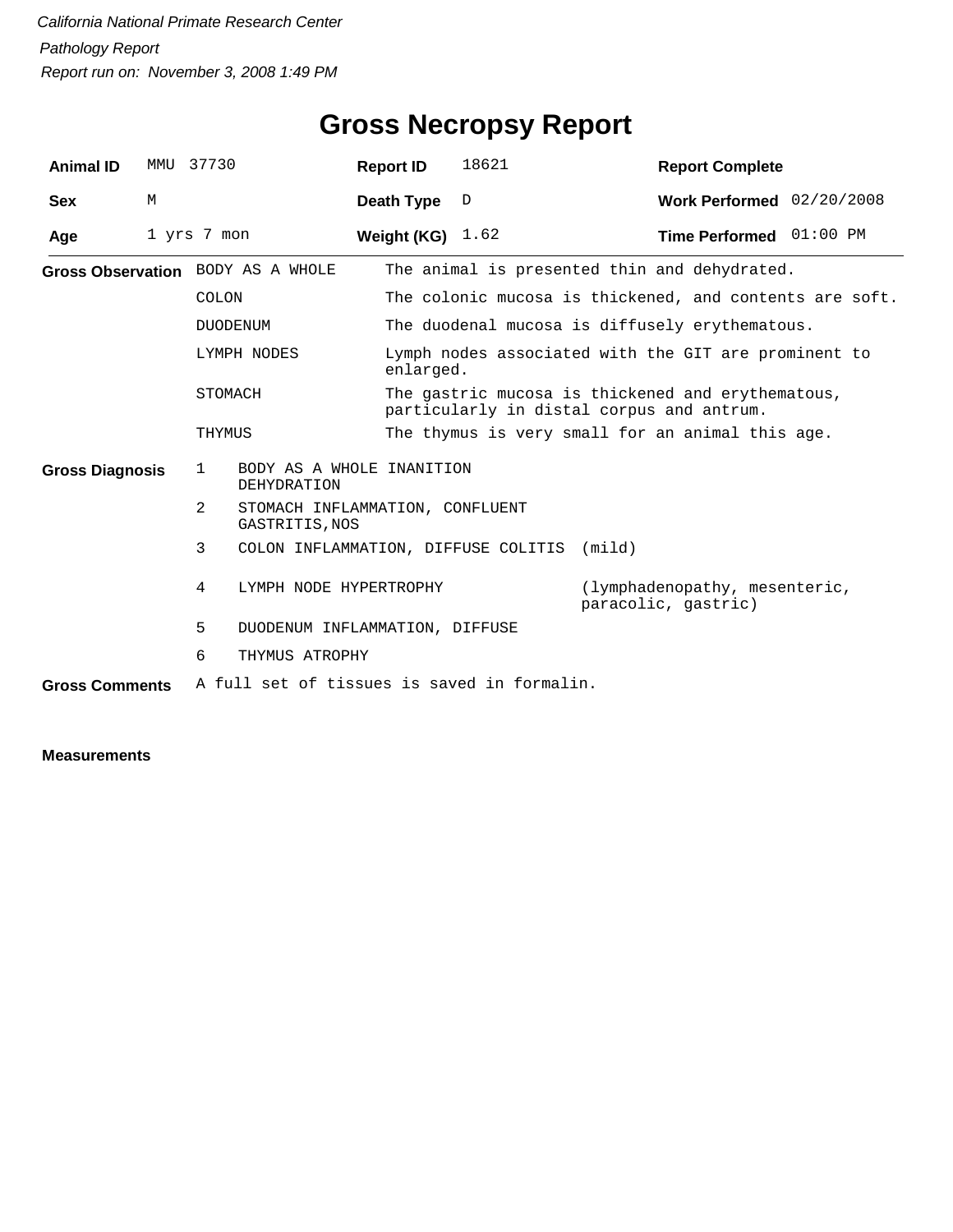| <b>Animal ID</b>       | MMU | 37730                             |                                                   | <b>Report ID</b>                                                  | 18621                                                   | <b>Report Complete</b>                                                                         |                           |  |  |
|------------------------|-----|-----------------------------------|---------------------------------------------------|-------------------------------------------------------------------|---------------------------------------------------------|------------------------------------------------------------------------------------------------|---------------------------|--|--|
| <b>Sex</b>             | M   |                                   |                                                   | Death Type                                                        | D                                                       |                                                                                                | Work Performed 02/20/2008 |  |  |
| Age                    |     | 1 yrs 7 mon                       |                                                   | Weight (KG) $1.62$                                                |                                                         | Time Performed 01:00 PM                                                                        |                           |  |  |
|                        |     | Gross Observation BODY AS A WHOLE |                                                   |                                                                   | The animal is presented thin and dehydrated.            |                                                                                                |                           |  |  |
|                        |     | COLON                             |                                                   |                                                                   | The colonic mucosa is thickened, and contents are soft. |                                                                                                |                           |  |  |
|                        |     | <b>DUODENUM</b>                   |                                                   |                                                                   | The duodenal mucosa is diffusely erythematous.          |                                                                                                |                           |  |  |
|                        |     | LYMPH NODES                       |                                                   | Lymph nodes associated with the GIT are prominent to<br>enlarged. |                                                         |                                                                                                |                           |  |  |
|                        |     | STOMACH                           |                                                   |                                                                   |                                                         | The gastric mucosa is thickened and erythematous,<br>particularly in distal corpus and antrum. |                           |  |  |
|                        |     | THYMUS                            |                                                   | The thymus is very small for an animal this age.                  |                                                         |                                                                                                |                           |  |  |
| <b>Gross Diagnosis</b> |     | 1                                 | BODY AS A WHOLE INANITION<br><b>DEHYDRATION</b>   |                                                                   |                                                         |                                                                                                |                           |  |  |
|                        |     | 2                                 | STOMACH INFLAMMATION, CONFLUENT<br>GASTRITIS, NOS |                                                                   |                                                         |                                                                                                |                           |  |  |
|                        |     | 3                                 |                                                   |                                                                   | COLON INFLAMMATION, DIFFUSE COLITIS (mild)              |                                                                                                |                           |  |  |
|                        |     | 4                                 | LYMPH NODE HYPERTROPHY                            |                                                                   |                                                         | (lymphadenopathy, mesenteric,<br>paracolic, gastric)                                           |                           |  |  |
|                        |     | 5                                 | DUODENUM INFLAMMATION, DIFFUSE                    |                                                                   |                                                         |                                                                                                |                           |  |  |
|                        |     | 6                                 | THYMUS ATROPHY                                    |                                                                   |                                                         |                                                                                                |                           |  |  |
| <b>Gross Comments</b>  |     |                                   |                                                   |                                                                   | A full set of tissues is saved in formalin.             |                                                                                                |                           |  |  |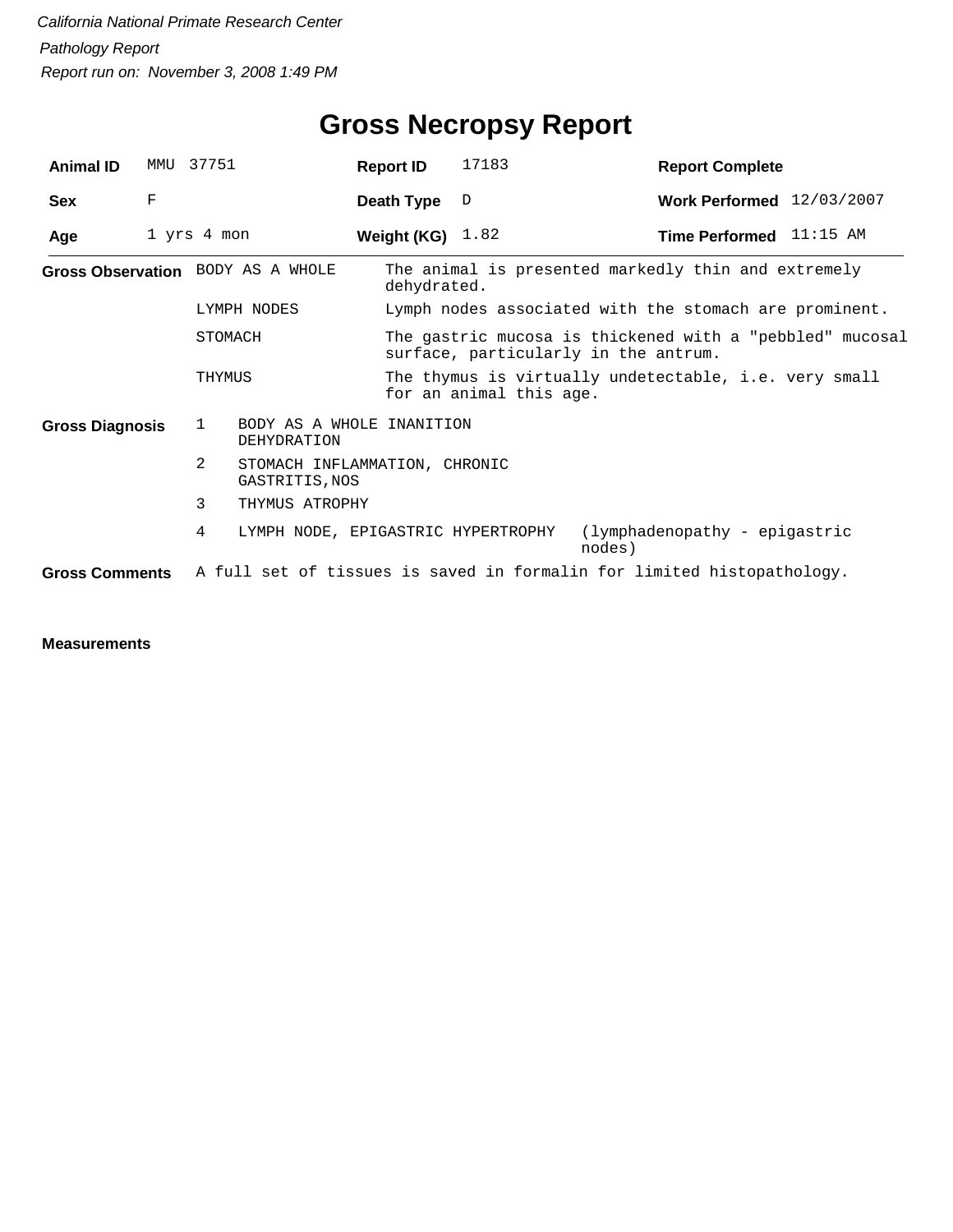| <b>Animal ID</b>                  | MMU | 37751                                         |                                                 | <b>Report ID</b>   | 17183                                                                                            | <b>Report Complete</b>                                                 |  |  |  |
|-----------------------------------|-----|-----------------------------------------------|-------------------------------------------------|--------------------|--------------------------------------------------------------------------------------------------|------------------------------------------------------------------------|--|--|--|
| <b>Sex</b>                        | F   |                                               |                                                 | Death Type         | D                                                                                                | Work Performed $12/03/2007$                                            |  |  |  |
| Age                               |     | 1 yrs 4 mon                                   |                                                 | Weight (KG) $1.82$ |                                                                                                  | <b>Time Performed</b> $11:15$ AM                                       |  |  |  |
| Gross Observation BODY AS A WHOLE |     |                                               |                                                 | dehydrated.        |                                                                                                  | The animal is presented markedly thin and extremely                    |  |  |  |
|                                   |     | LYMPH NODES                                   |                                                 |                    | Lymph nodes associated with the stomach are prominent.                                           |                                                                        |  |  |  |
|                                   |     | STOMACH                                       |                                                 |                    | The gastric mucosa is thickened with a "pebbled" mucosal<br>surface, particularly in the antrum. |                                                                        |  |  |  |
|                                   |     | THYMUS                                        |                                                 |                    | The thymus is virtually undetectable, i.e. very small<br>for an animal this age.                 |                                                                        |  |  |  |
| <b>Gross Diagnosis</b>            |     | 1<br>BODY AS A WHOLE INANITION<br>DEHYDRATION |                                                 |                    |                                                                                                  |                                                                        |  |  |  |
|                                   |     | 2                                             | STOMACH INFLAMMATION, CHRONIC<br>GASTRITIS, NOS |                    |                                                                                                  |                                                                        |  |  |  |
|                                   |     | 3                                             | THYMUS ATROPHY                                  |                    |                                                                                                  |                                                                        |  |  |  |
|                                   |     | $\overline{4}$                                | LYMPH NODE, EPIGASTRIC HYPERTROPHY              |                    |                                                                                                  | (lymphadenopathy - epigastric<br>nodes)                                |  |  |  |
| <b>Gross Comments</b>             |     |                                               |                                                 |                    |                                                                                                  | A full set of tissues is saved in formalin for limited histopathology. |  |  |  |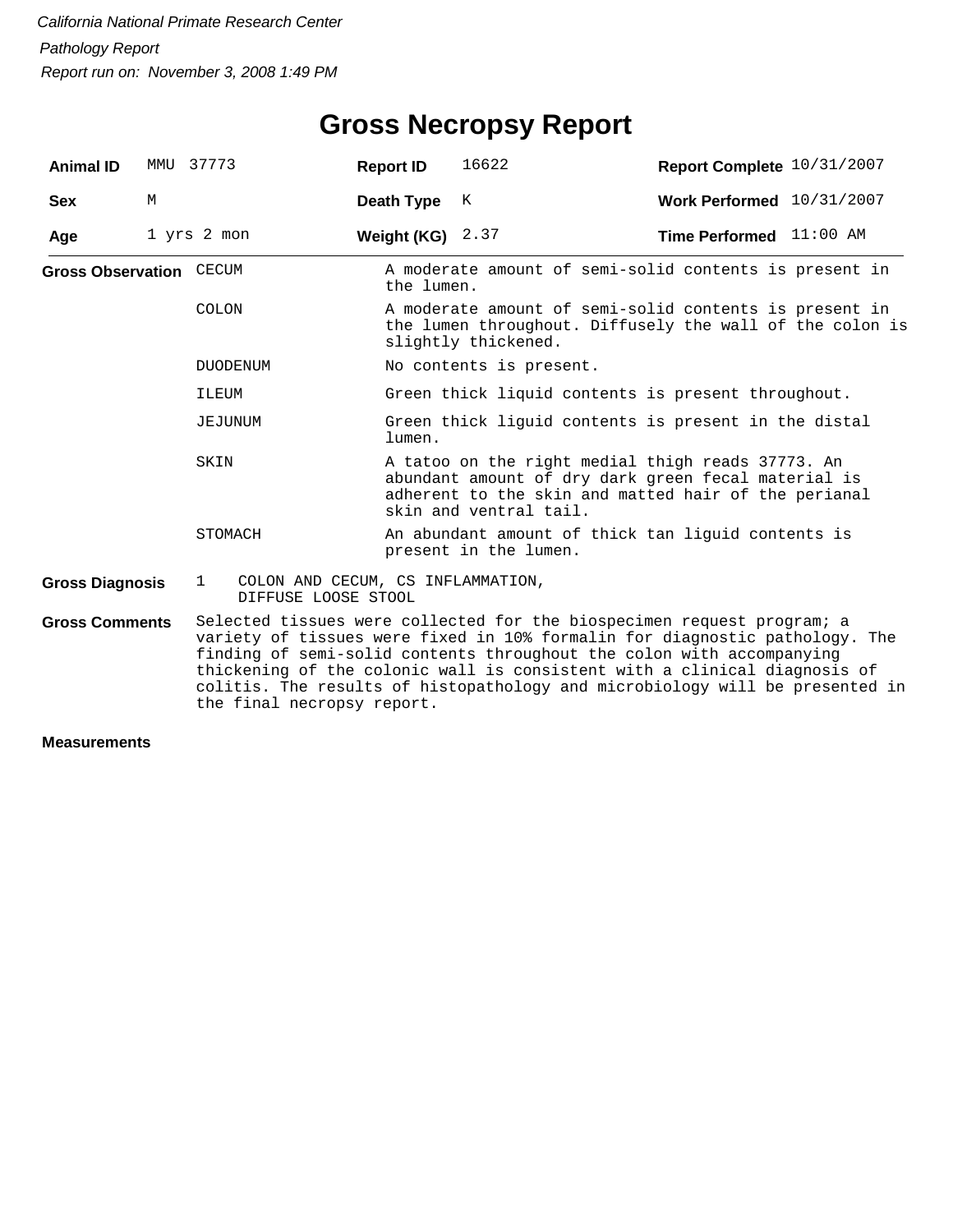# **Gross Necropsy Report**

| <b>Animal ID</b>               |   | MMU 37773                                                                | <b>Report ID</b>   | 16622                                                                                                                                                                                                                                                                                                                                                                                       | Report Complete 10/31/2007       |  |  |  |
|--------------------------------|---|--------------------------------------------------------------------------|--------------------|---------------------------------------------------------------------------------------------------------------------------------------------------------------------------------------------------------------------------------------------------------------------------------------------------------------------------------------------------------------------------------------------|----------------------------------|--|--|--|
| <b>Sex</b>                     | M |                                                                          | Death Type         | K                                                                                                                                                                                                                                                                                                                                                                                           | Work Performed 10/31/2007        |  |  |  |
| Age                            |   | 1 yrs 2 mon                                                              | Weight (KG) $2.37$ |                                                                                                                                                                                                                                                                                                                                                                                             | <b>Time Performed</b> $11:00$ AM |  |  |  |
| <b>Gross Observation CECUM</b> |   |                                                                          | the lumen.         | A moderate amount of semi-solid contents is present in                                                                                                                                                                                                                                                                                                                                      |                                  |  |  |  |
|                                |   | COLON                                                                    |                    | A moderate amount of semi-solid contents is present in<br>the lumen throughout. Diffusely the wall of the colon is<br>slightly thickened.                                                                                                                                                                                                                                                   |                                  |  |  |  |
|                                |   | <b>DUODENUM</b>                                                          |                    | No contents is present.                                                                                                                                                                                                                                                                                                                                                                     |                                  |  |  |  |
|                                |   | ILEUM                                                                    |                    | Green thick liquid contents is present throughout.                                                                                                                                                                                                                                                                                                                                          |                                  |  |  |  |
|                                |   | JEJUNUM                                                                  | lumen.             | Green thick liguid contents is present in the distal                                                                                                                                                                                                                                                                                                                                        |                                  |  |  |  |
|                                |   | SKIN                                                                     |                    | A tatoo on the right medial thigh reads 37773. An<br>abundant amount of dry dark green fecal material is<br>adherent to the skin and matted hair of the perianal<br>skin and ventral tail.                                                                                                                                                                                                  |                                  |  |  |  |
|                                |   | STOMACH                                                                  |                    | An abundant amount of thick tan liguid contents is<br>present in the lumen.                                                                                                                                                                                                                                                                                                                 |                                  |  |  |  |
| <b>Gross Diagnosis</b>         |   | COLON AND CECUM, CS INFLAMMATION,<br>$\mathbf{1}$<br>DIFFUSE LOOSE STOOL |                    |                                                                                                                                                                                                                                                                                                                                                                                             |                                  |  |  |  |
| <b>Gross Comments</b>          |   | the final necropsy report.                                               |                    | Selected tissues were collected for the biospecimen request program; a<br>variety of tissues were fixed in 10% formalin for diagnostic pathology. The<br>finding of semi-solid contents throughout the colon with accompanying<br>thickening of the colonic wall is consistent with a clinical diagnosis of<br>colitis. The results of histopathology and microbiology will be presented in |                                  |  |  |  |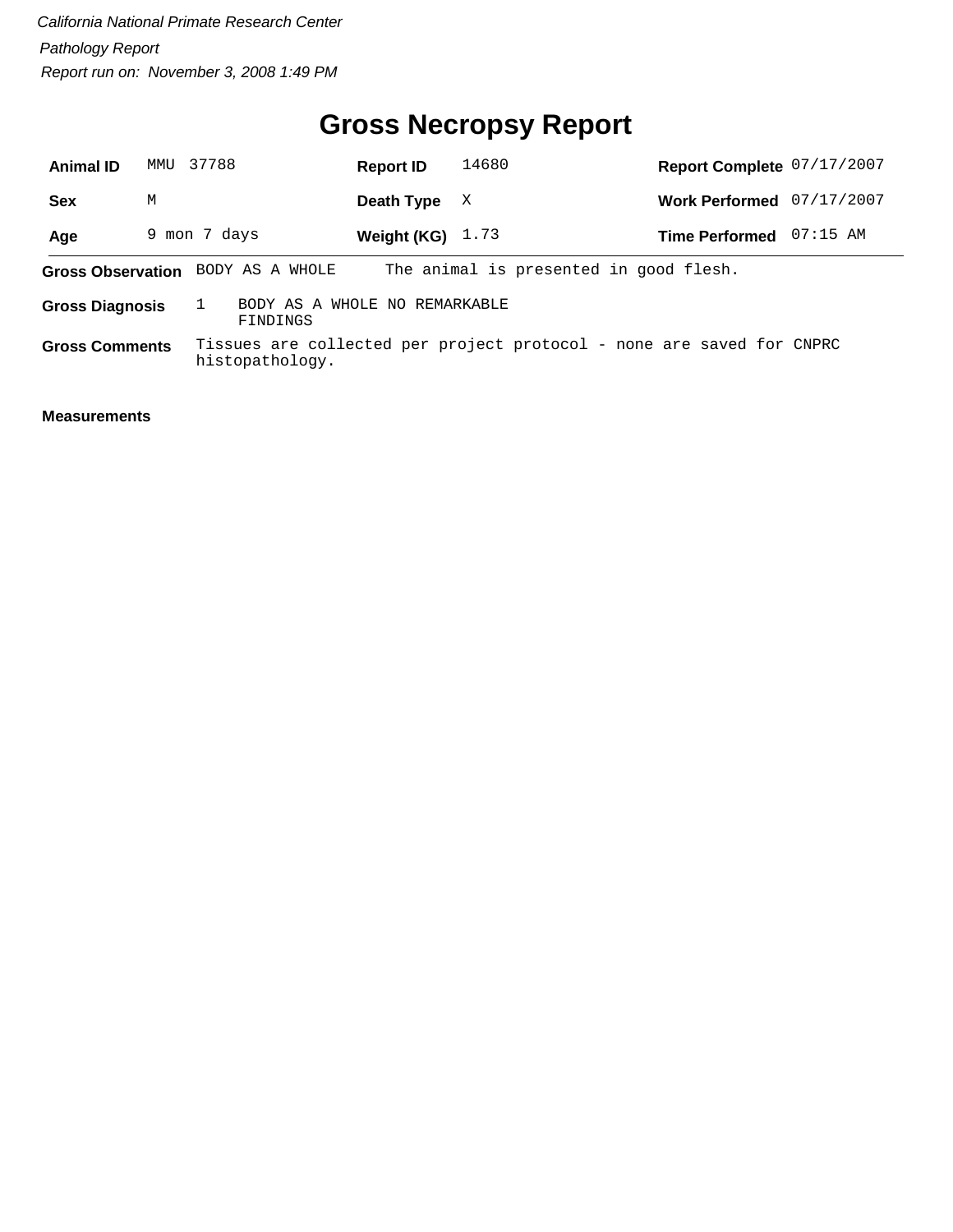# **Gross Necropsy Report**

| <b>Animal ID</b>       | MMTJ | 37788                             | <b>Report ID</b>              | 14680                                                                 | Report Complete 07/17/2007 |            |
|------------------------|------|-----------------------------------|-------------------------------|-----------------------------------------------------------------------|----------------------------|------------|
| <b>Sex</b>             | М    |                                   | Death Type                    | X                                                                     | <b>Work Performed</b>      | 07/17/2007 |
| Age                    |      | 9 mon 7 days                      | Weight (KG) $1.73$            |                                                                       | <b>Time Performed</b>      | $07:15$ AM |
|                        |      | Gross Observation BODY AS A WHOLE |                               | The animal is presented in good flesh.                                |                            |            |
| <b>Gross Diagnosis</b> |      | FINDINGS                          | BODY AS A WHOLE NO REMARKABLE |                                                                       |                            |            |
| <b>Gross Comments</b>  |      | histopathology.                   |                               | Tissues are collected per project protocol - none are saved for CNPRC |                            |            |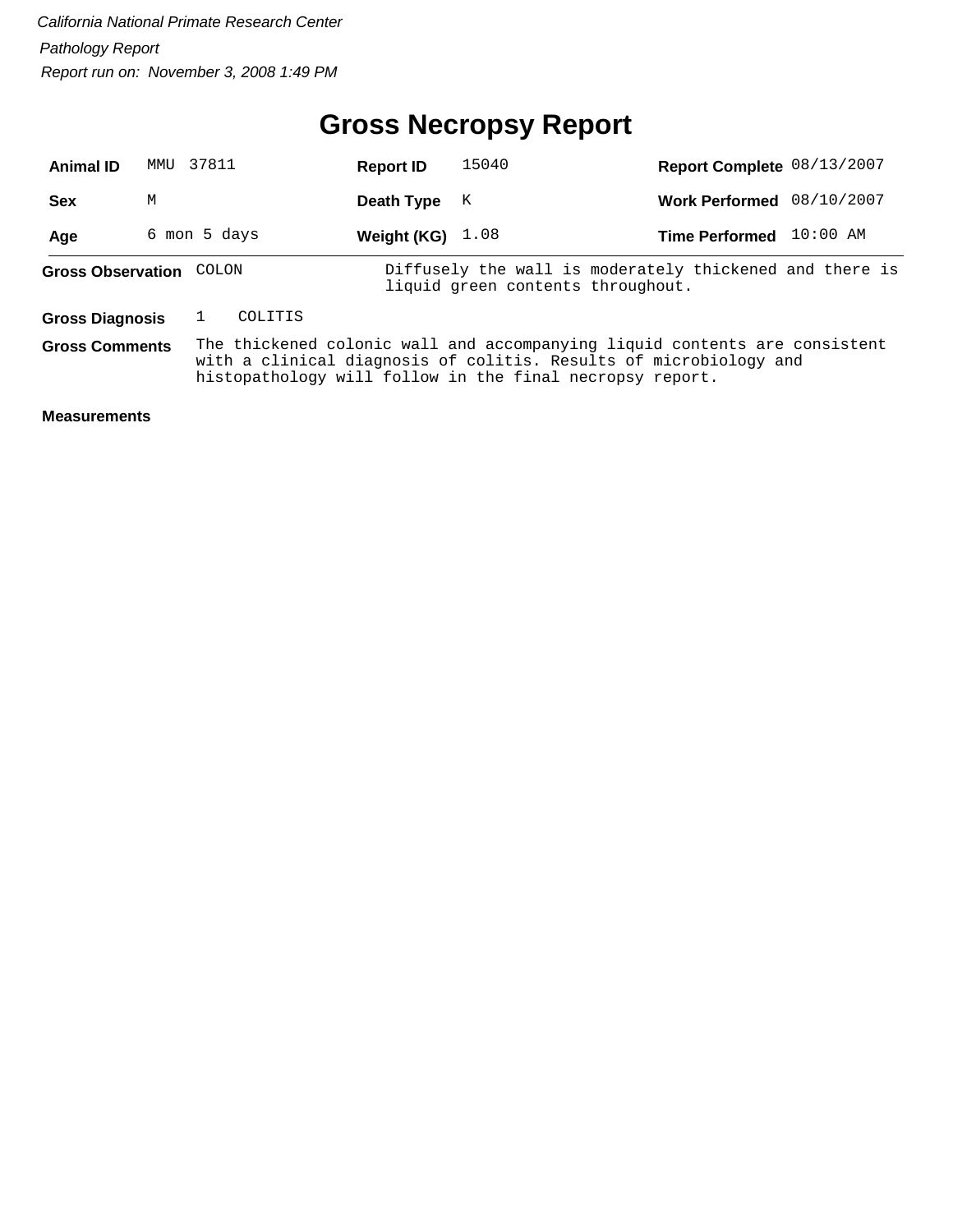# **Gross Necropsy Report**

| <b>Animal ID</b>         | MMTJ         | 37811 |         | <b>Report ID</b>   | 15040 | Report Complete 08/13/2007                                                                                                                                                                                  |          |
|--------------------------|--------------|-------|---------|--------------------|-------|-------------------------------------------------------------------------------------------------------------------------------------------------------------------------------------------------------------|----------|
| <b>Sex</b>               | M            |       |         | Death Type         | K     | Work Performed 08/10/2007                                                                                                                                                                                   |          |
| Age                      | 6 mon 5 days |       |         | Weight (KG) $1.08$ |       | <b>Time Performed</b>                                                                                                                                                                                       | 10:00 AM |
| <b>Gross Observation</b> |              | COLON |         |                    |       | Diffusely the wall is moderately thickened and there is<br>liquid green contents throughout.                                                                                                                |          |
| <b>Gross Diagnosis</b>   |              |       | COLITIS |                    |       |                                                                                                                                                                                                             |          |
| <b>Gross Comments</b>    |              |       |         |                    |       | The thickened colonic wall and accompanying liquid contents are consistent<br>with a clinical diagnosis of colitis. Results of microbiology and<br>histopathology will follow in the final necropsy report. |          |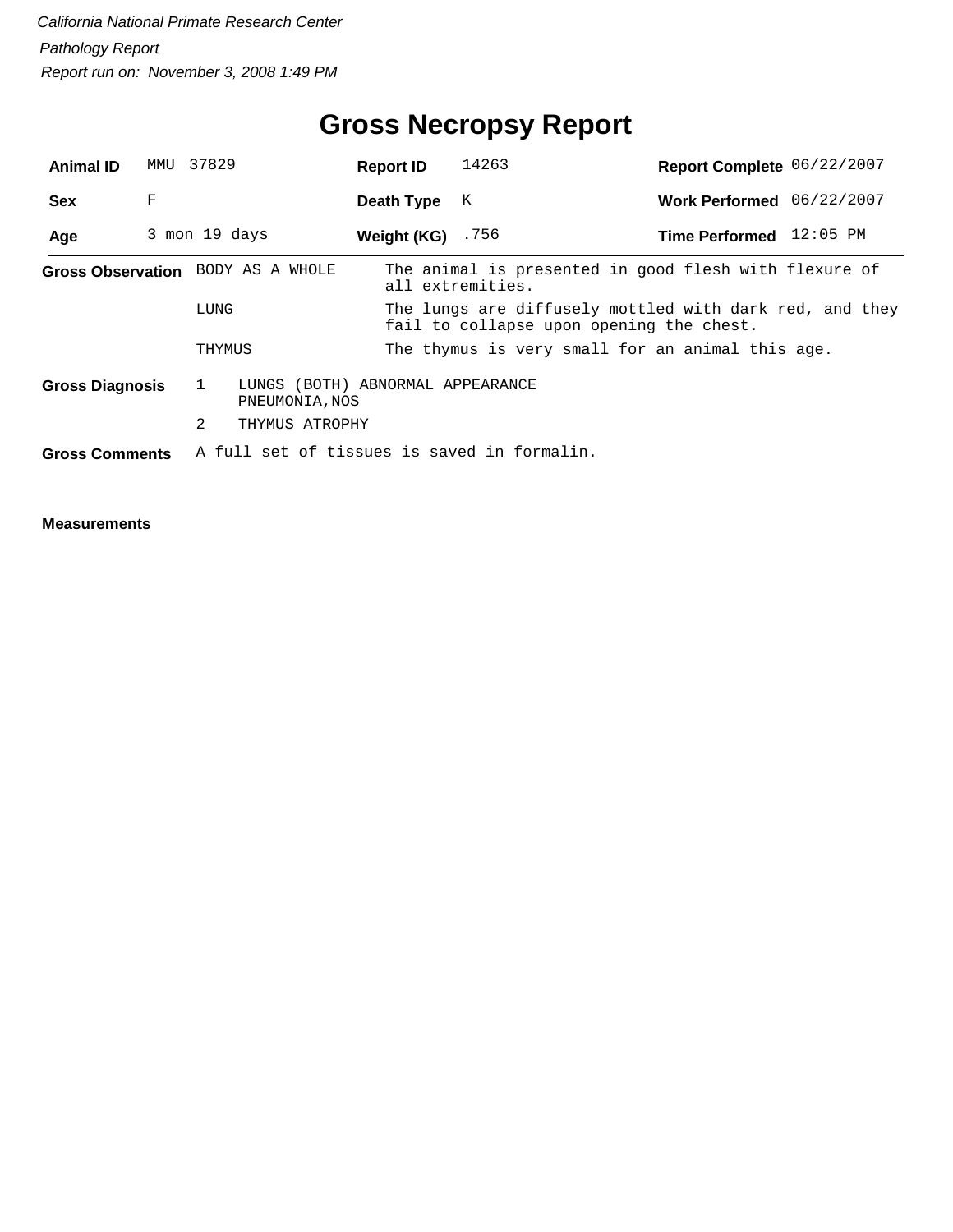# **Gross Necropsy Report**

| <b>Animal ID</b>                  | MMU           | 37829        |                                                    | <b>Report ID</b> | 14263                                                                                               | Report Complete 06/22/2007 |  |  |  |
|-----------------------------------|---------------|--------------|----------------------------------------------------|------------------|-----------------------------------------------------------------------------------------------------|----------------------------|--|--|--|
| <b>Sex</b>                        | F             |              |                                                    | Death Type       | K                                                                                                   | Work Performed 06/22/2007  |  |  |  |
| Age                               | 3 mon 19 days |              |                                                    | Weight (KG)      | .756                                                                                                | Time Performed 12:05 PM    |  |  |  |
| Gross Observation BODY AS A WHOLE |               |              |                                                    |                  | The animal is presented in good flesh with flexure of<br>all extremities.                           |                            |  |  |  |
|                                   |               | LUNG         |                                                    |                  | The lungs are diffusely mottled with dark red, and they<br>fail to collapse upon opening the chest. |                            |  |  |  |
|                                   |               | THYMUS       |                                                    |                  | The thymus is very small for an animal this age.                                                    |                            |  |  |  |
| <b>Gross Diagnosis</b>            |               | $\mathbf{1}$ | LUNGS (BOTH) ABNORMAL APPEARANCE<br>PNEUMONIA, NOS |                  |                                                                                                     |                            |  |  |  |
|                                   |               | 2            | THYMUS ATROPHY                                     |                  |                                                                                                     |                            |  |  |  |
| <b>Gross Comments</b>             |               |              |                                                    |                  | A full set of tissues is saved in formalin.                                                         |                            |  |  |  |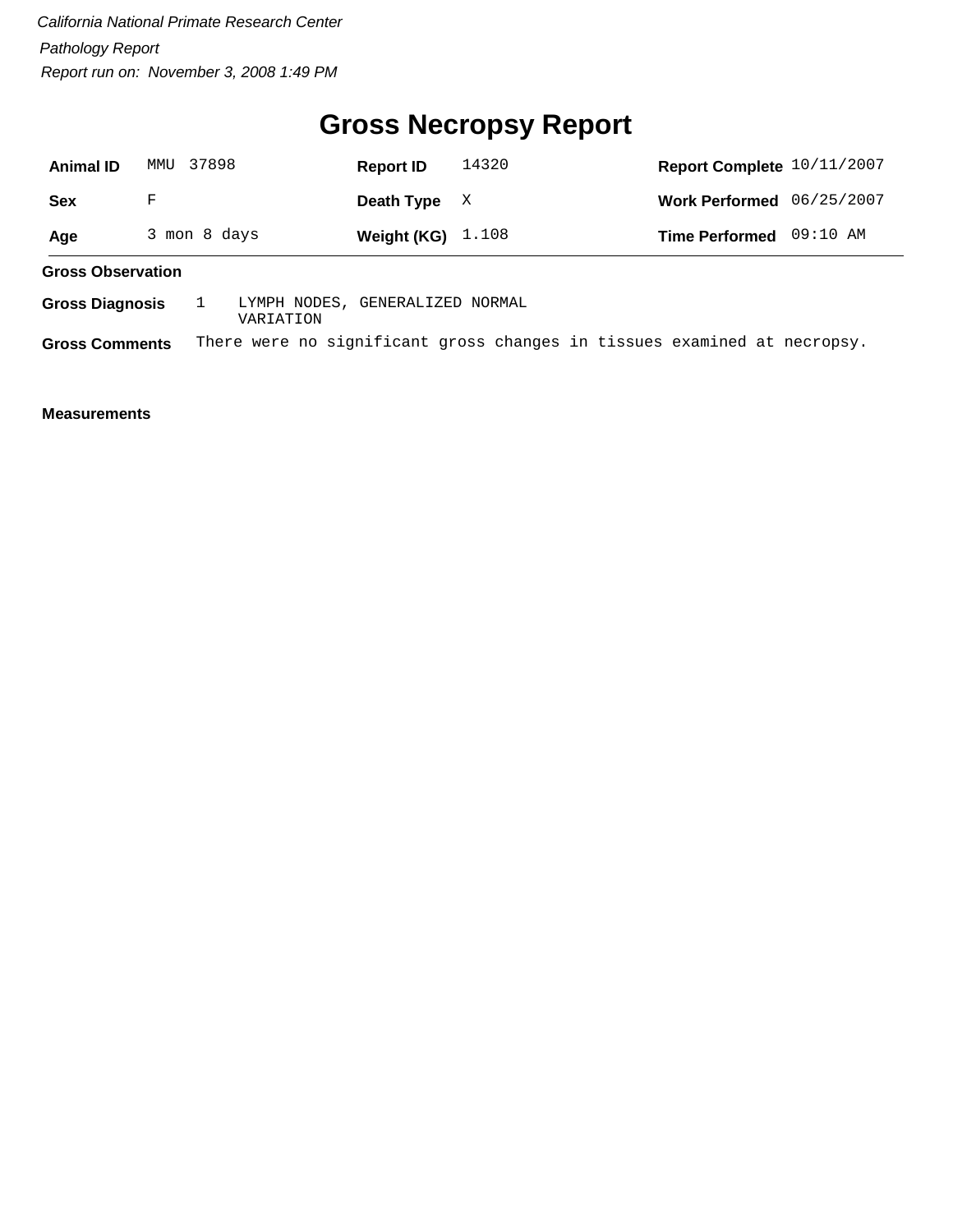## **Gross Necropsy Report**

| <b>Animal ID</b>         | MMU          | 37898 |  |  | <b>Report ID</b>                | 14320 | Report Complete 10/11/2007  |          |  |
|--------------------------|--------------|-------|--|--|---------------------------------|-------|-----------------------------|----------|--|
| Sex                      | F            |       |  |  | Death Type                      | X     | Work Performed $06/25/2007$ |          |  |
| Age                      | 3 mon 8 days |       |  |  | Weight (KG) $1.108$             |       | <b>Time Performed</b>       | 09:10 AM |  |
| <b>Gross Observation</b> |              |       |  |  |                                 |       |                             |          |  |
| <b>Gross Diagnosis</b>   |              |       |  |  | LYMPH NODES, GENERALIZED NORMAL |       |                             |          |  |

VARIATION

**Gross Comments** There were no significant gross changes in tissues examined at necropsy.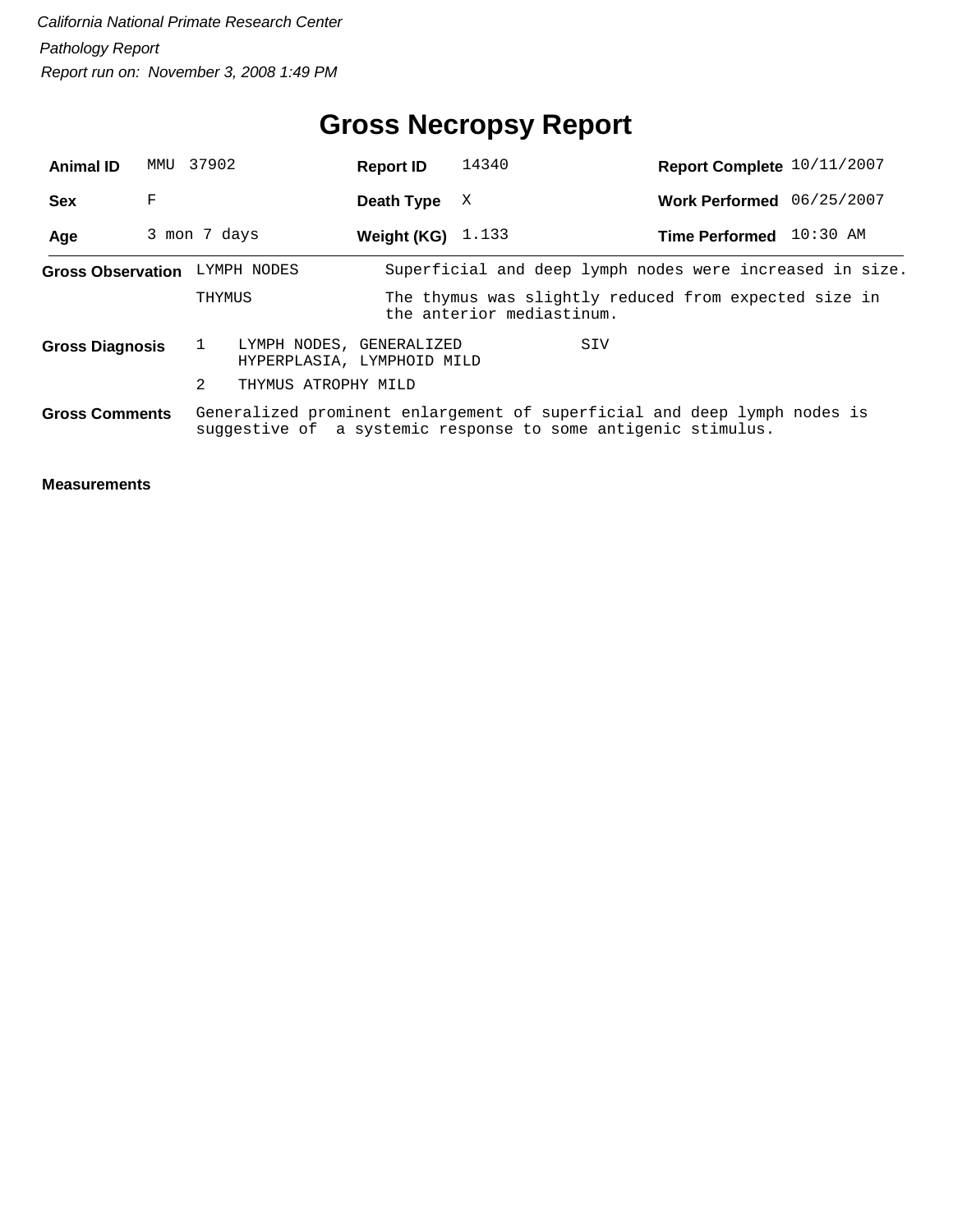# **Gross Necropsy Report**

| <b>Animal ID</b>       | MMU 37902 |                               | <b>Report ID</b>                                       | 14340                     | Report Complete 10/11/2007                                                                                                                |  |
|------------------------|-----------|-------------------------------|--------------------------------------------------------|---------------------------|-------------------------------------------------------------------------------------------------------------------------------------------|--|
| <b>Sex</b>             | F         |                               | Death Type                                             | X                         | Work Performed 06/25/2007                                                                                                                 |  |
| Age                    |           | 3 mon 7 days                  | Weight (KG) $1.133$                                    |                           | Time Performed 10:30 AM                                                                                                                   |  |
|                        |           | Gross Observation LYMPH NODES |                                                        |                           | Superficial and deep lymph nodes were increased in size.                                                                                  |  |
|                        |           | THYMUS                        |                                                        | the anterior mediastinum. | The thymus was slightly reduced from expected size in                                                                                     |  |
| <b>Gross Diagnosis</b> |           |                               | LYMPH NODES, GENERALIZED<br>HYPERPLASIA, LYMPHOID MILD |                           | SIV                                                                                                                                       |  |
|                        |           | 2<br>THYMUS ATROPHY MILD      |                                                        |                           |                                                                                                                                           |  |
| <b>Gross Comments</b>  |           |                               |                                                        |                           | Generalized prominent enlargement of superficial and deep lymph nodes is<br>suggestive of a systemic response to some antigenic stimulus. |  |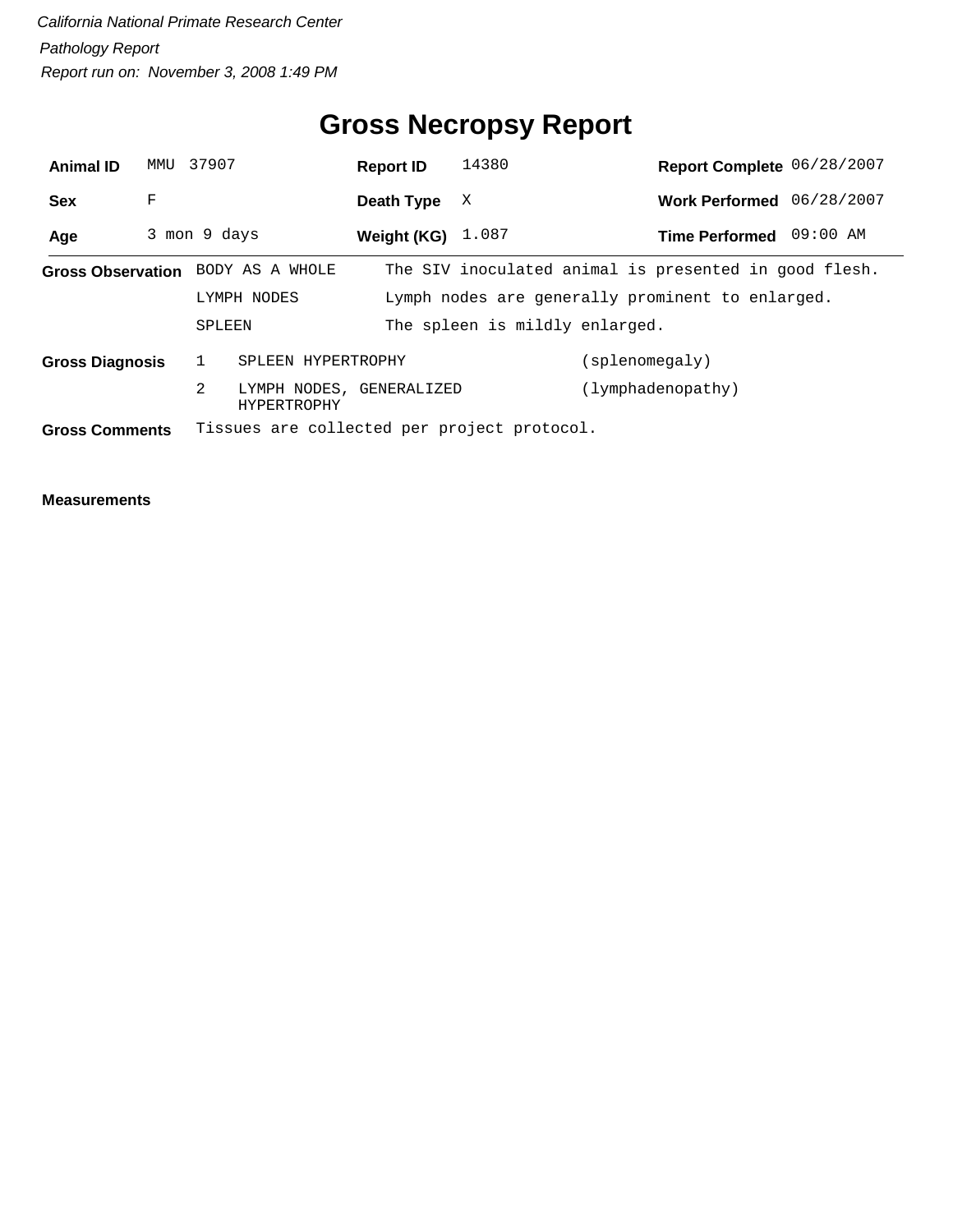# **Gross Necropsy Report**

| <b>Animal ID</b>       | MMU          | 37907        |                                                | <b>Report ID</b>           | 14380                                       | Report Complete 06/28/2007                            |  |
|------------------------|--------------|--------------|------------------------------------------------|----------------------------|---------------------------------------------|-------------------------------------------------------|--|
| <b>Sex</b>             | F            |              |                                                | Death Type                 | X                                           | Work Performed 06/28/2007                             |  |
| Age                    | 3 mon 9 days |              |                                                | <b>Weight (KG)</b> $1.087$ |                                             | 09:00 AM<br><b>Time Performed</b>                     |  |
|                        |              |              | Gross Observation BODY AS A WHOLE              |                            |                                             | The SIV inoculated animal is presented in good flesh. |  |
|                        |              |              | LYMPH NODES                                    |                            |                                             | Lymph nodes are generally prominent to enlarged.      |  |
|                        |              | SPLEEN       |                                                |                            | The spleen is mildly enlarged.              |                                                       |  |
| <b>Gross Diagnosis</b> |              | $\mathbf{1}$ | SPLEEN HYPERTROPHY                             |                            |                                             | (splenomegaly)                                        |  |
|                        |              | 2            | LYMPH NODES, GENERALIZED<br><b>HYPERTROPHY</b> |                            |                                             | (lymphadenopathy)                                     |  |
| <b>Gross Comments</b>  |              |              |                                                |                            | Tissues are collected per project protocol. |                                                       |  |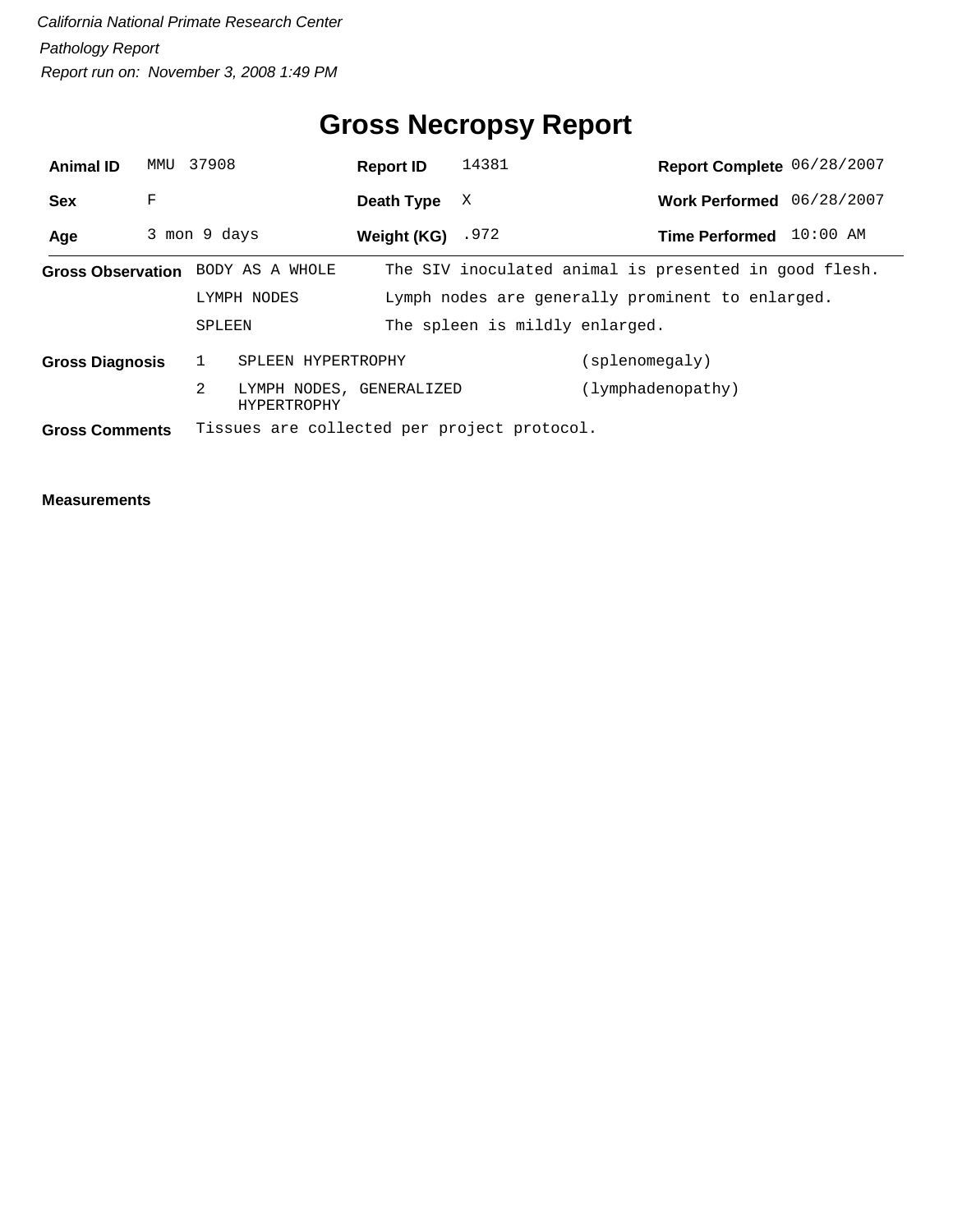# **Gross Necropsy Report**

| <b>Animal ID</b>       | MMU | 37908        |                                                | <b>Report ID</b>    | 14381                                       | Report Complete 06/28/2007                            |            |
|------------------------|-----|--------------|------------------------------------------------|---------------------|---------------------------------------------|-------------------------------------------------------|------------|
| <b>Sex</b>             | F   |              |                                                | Death Type          | X                                           | Work Performed 06/28/2007                             |            |
| Age                    |     | 3 mon 9 days |                                                | Weight $(KG)$ . 972 |                                             | <b>Time Performed</b>                                 | $10:00$ AM |
|                        |     |              | Gross Observation BODY AS A WHOLE              |                     |                                             | The SIV inoculated animal is presented in good flesh. |            |
|                        |     |              | LYMPH NODES                                    |                     |                                             | Lymph nodes are generally prominent to enlarged.      |            |
|                        |     | SPLEEN       |                                                |                     | The spleen is mildly enlarged.              |                                                       |            |
| <b>Gross Diagnosis</b> |     | $\mathbf{1}$ | SPLEEN HYPERTROPHY                             |                     |                                             | (splenomegaly)                                        |            |
|                        |     | 2            | LYMPH NODES, GENERALIZED<br><b>HYPERTROPHY</b> |                     |                                             | (lymphadenopathy)                                     |            |
| <b>Gross Comments</b>  |     |              |                                                |                     | Tissues are collected per project protocol. |                                                       |            |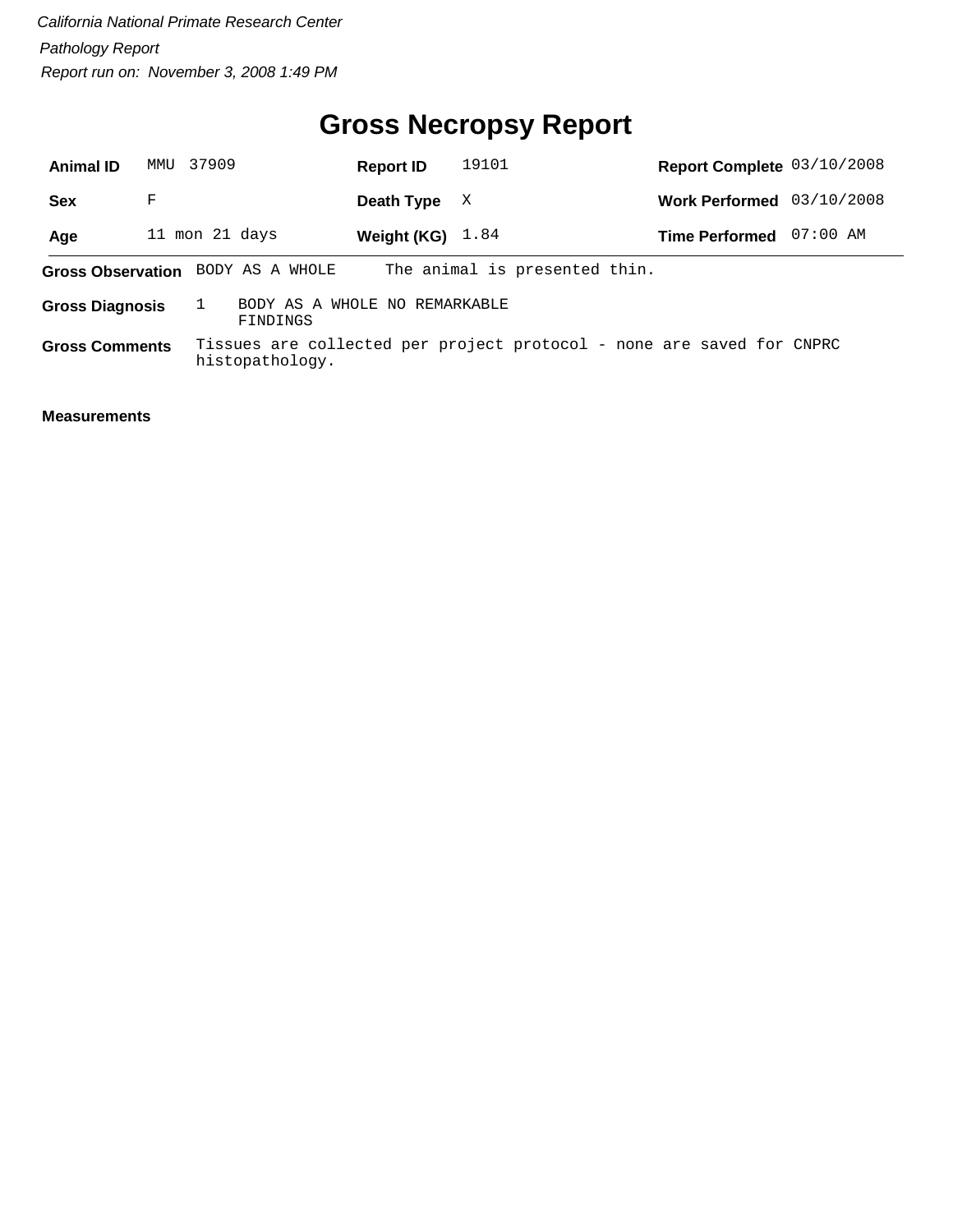# **Gross Necropsy Report**

| <b>Animal ID</b>         | MMTJ           | 37909 |                                           | <b>Report ID</b> | 19101                                                                 | Report Complete 03/10/2008 |            |
|--------------------------|----------------|-------|-------------------------------------------|------------------|-----------------------------------------------------------------------|----------------------------|------------|
| Sex                      | F              |       |                                           | Death Type       | X                                                                     | <b>Work Performed</b>      | 03/10/2008 |
| Age                      | 11 mon 21 days |       |                                           | Weight (KG)      | 1.84                                                                  | <b>Time Performed</b>      | $07:00$ AM |
| <b>Gross Observation</b> |                |       | BODY AS A WHOLE                           |                  | The animal is presented thin.                                         |                            |            |
| <b>Gross Diagnosis</b>   |                |       | BODY AS A WHOLE NO REMARKABLE<br>FINDINGS |                  |                                                                       |                            |            |
| <b>Gross Comments</b>    |                |       | histopathology.                           |                  | Tissues are collected per project protocol - none are saved for CNPRC |                            |            |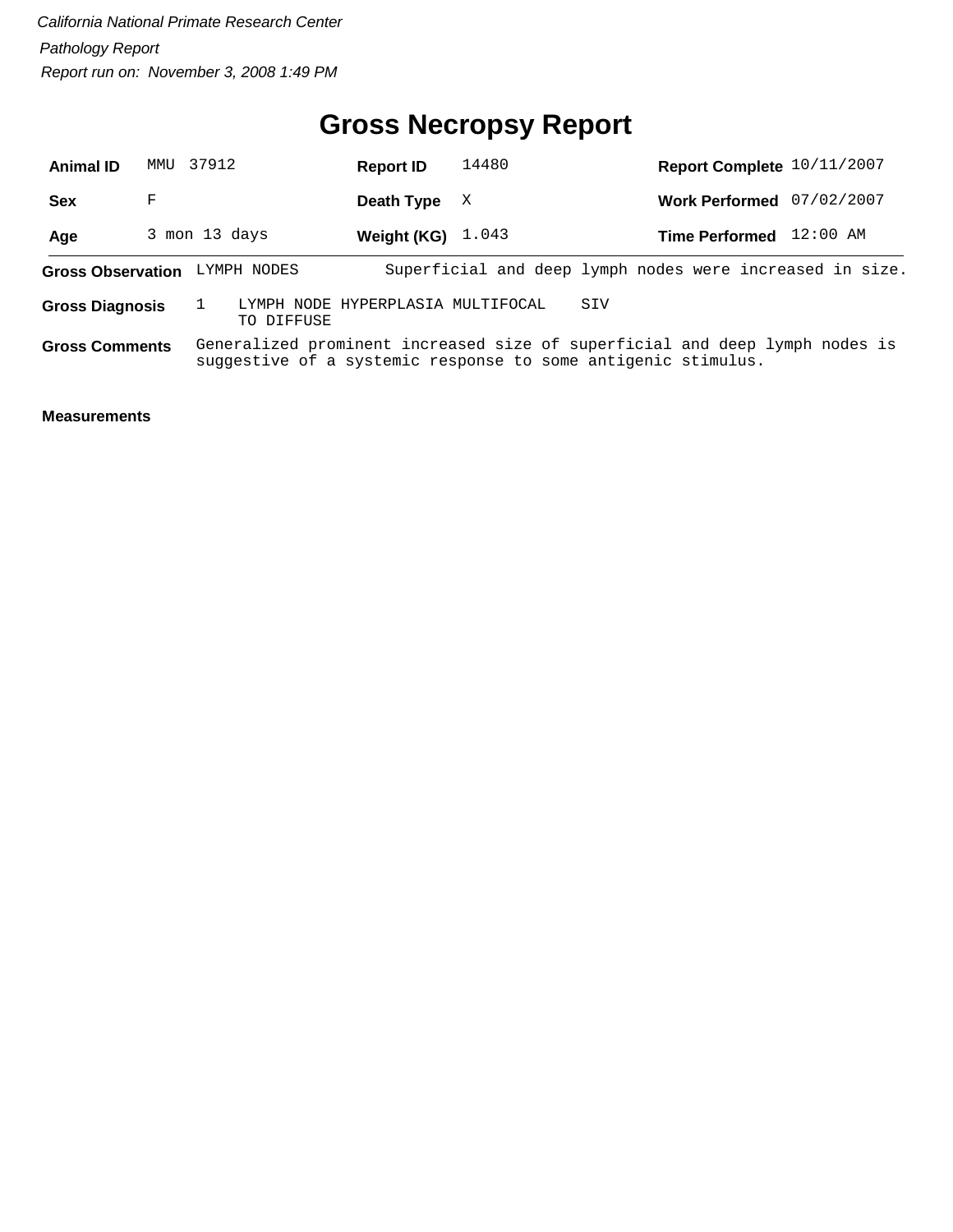## **Gross Necropsy Report**

| <b>Animal ID</b>         | MMU 37912     |                                                 | <b>Report ID</b> | 14480                                                                                                                                        |     | Report Complete 10/11/2007 |            |  |
|--------------------------|---------------|-------------------------------------------------|------------------|----------------------------------------------------------------------------------------------------------------------------------------------|-----|----------------------------|------------|--|
| Sex                      | F             |                                                 | Death Type       | X                                                                                                                                            |     | <b>Work Performed</b>      | 07/02/2007 |  |
| Age                      | 3 mon 13 days |                                                 | Weight (KG)      | 1.043                                                                                                                                        |     | Time Performed 12:00 AM    |            |  |
| <b>Gross Observation</b> |               | LYMPH NODES                                     |                  | Superficial and deep lymph nodes were increased in size.                                                                                     |     |                            |            |  |
| <b>Gross Diagnosis</b>   |               | LYMPH NODE HYPERPLASIA MULTIFOCAL<br>TO DIFFUSE |                  |                                                                                                                                              | SIV |                            |            |  |
| <b>Gross Comments</b>    |               |                                                 |                  | Generalized prominent increased size of superficial and deep lymph nodes is<br>suggestive of a systemic response to some antigenic stimulus. |     |                            |            |  |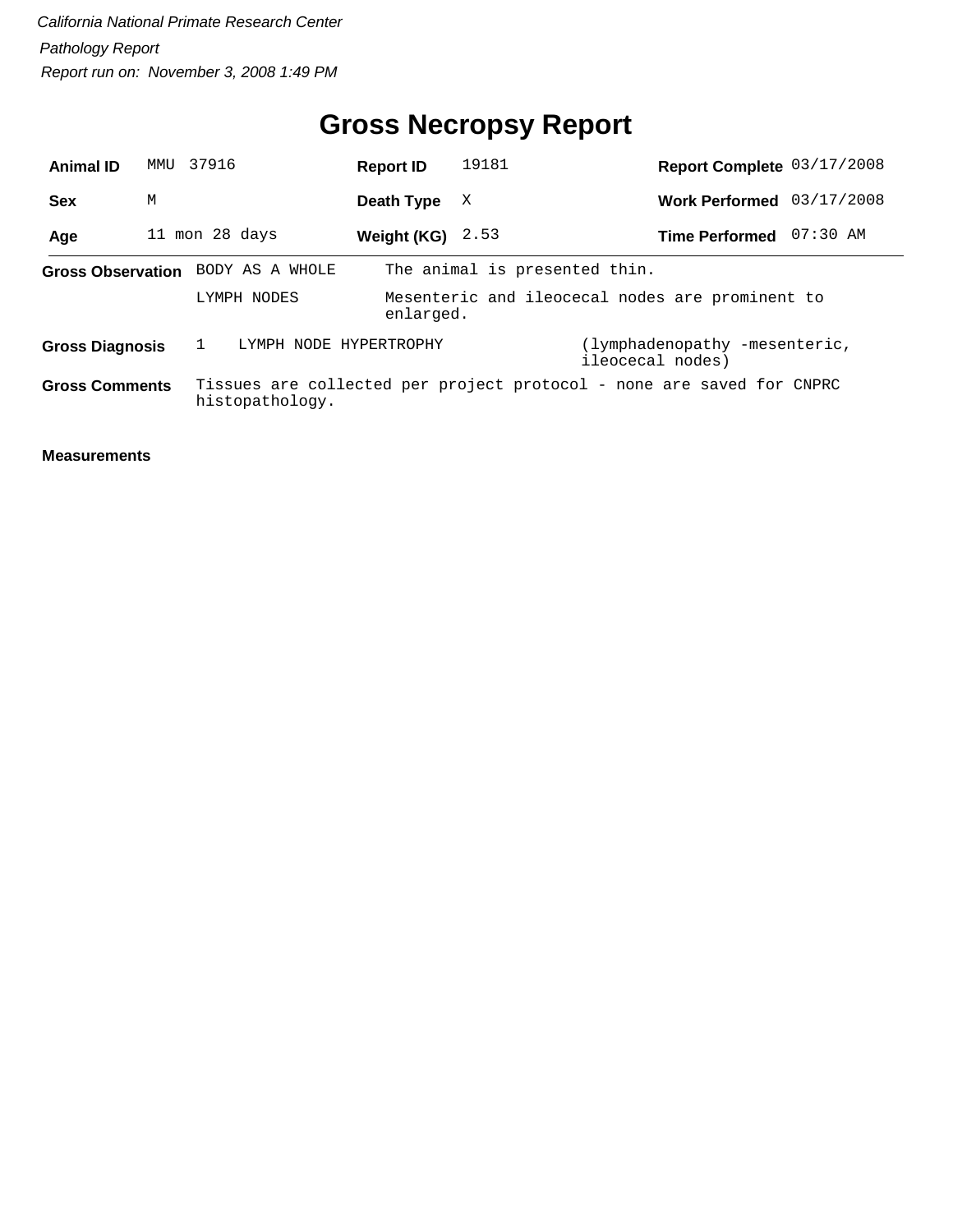# **Gross Necropsy Report**

| <b>Animal ID</b>       | MMU | 37916 |                                   | <b>Report ID</b>   | 19181                         | Report Complete 03/17/2008                                            |          |
|------------------------|-----|-------|-----------------------------------|--------------------|-------------------------------|-----------------------------------------------------------------------|----------|
| <b>Sex</b>             | M   |       |                                   | Death Type         | X                             | Work Performed 03/17/2008                                             |          |
| Age                    |     |       | 11 mon 28 days                    | Weight (KG) $2.53$ |                               | <b>Time Performed</b>                                                 | 07:30 AM |
|                        |     |       | Gross Observation BODY AS A WHOLE |                    | The animal is presented thin. |                                                                       |          |
|                        |     |       | LYMPH NODES                       | enlarged.          |                               | Mesenteric and ileocecal nodes are prominent to                       |          |
| <b>Gross Diagnosis</b> |     |       | LYMPH NODE HYPERTROPHY            |                    |                               | (lymphadenopathy -mesenteric,<br>ileocecal nodes)                     |          |
| <b>Gross Comments</b>  |     |       | histopathology.                   |                    |                               | Tissues are collected per project protocol - none are saved for CNPRC |          |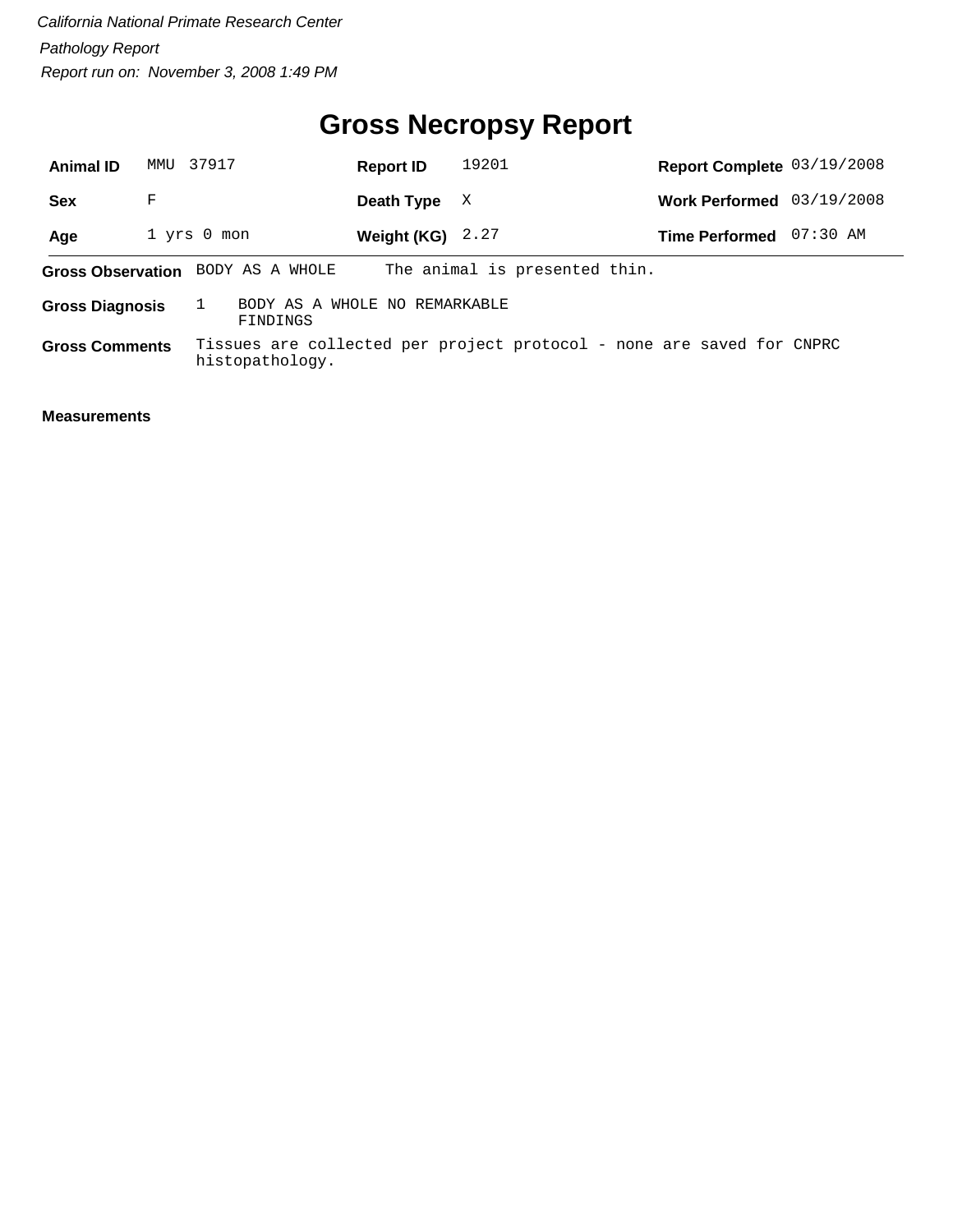# **Gross Necropsy Report**

| <b>Animal ID</b>       | MMU | 37917                                     | <b>Report ID</b>   | 19201                                                                 | Report Complete 03/19/2008 |            |
|------------------------|-----|-------------------------------------------|--------------------|-----------------------------------------------------------------------|----------------------------|------------|
| <b>Sex</b>             | F   |                                           | Death Type         | X                                                                     | <b>Work Performed</b>      | 03/19/2008 |
| Age                    |     | $1$ yrs $0$ mon                           | Weight (KG) $2.27$ |                                                                       | <b>Time Performed</b>      | 07:30 AM   |
|                        |     | Gross Observation BODY AS A WHOLE         |                    | The animal is presented thin.                                         |                            |            |
| <b>Gross Diagnosis</b> |     | BODY AS A WHOLE NO REMARKABLE<br>FINDINGS |                    |                                                                       |                            |            |
| <b>Gross Comments</b>  |     | histopathology.                           |                    | Tissues are collected per project protocol - none are saved for CNPRC |                            |            |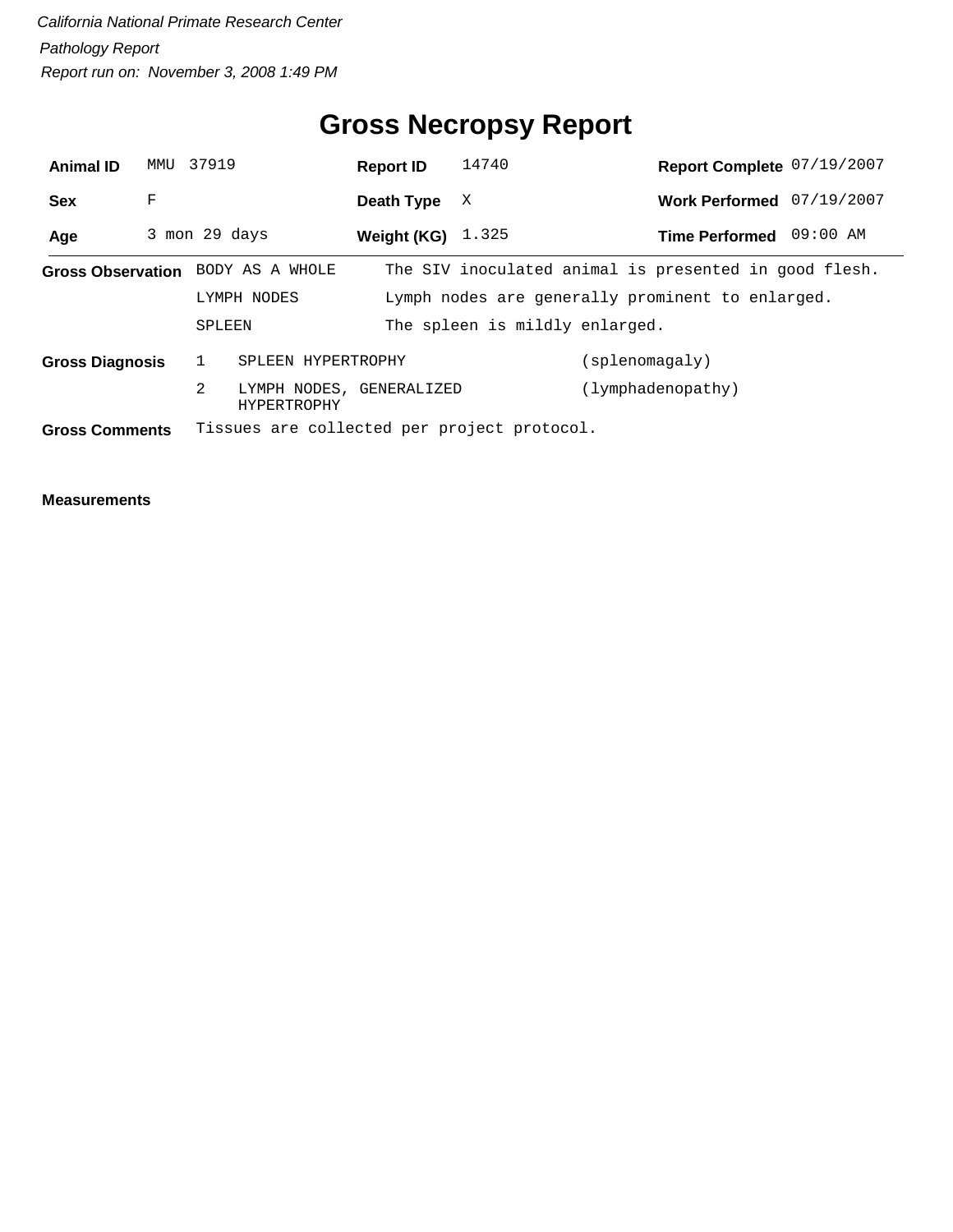# **Gross Necropsy Report**

| <b>Animal ID</b>       | MMU           | 37919        |                                         | <b>Report ID</b>    | 14740                                       |                | Report Complete 07/19/2007                            |          |
|------------------------|---------------|--------------|-----------------------------------------|---------------------|---------------------------------------------|----------------|-------------------------------------------------------|----------|
| <b>Sex</b>             | F             |              |                                         | Death Type          | X                                           |                | Work Performed 07/19/2007                             |          |
| Age                    | 3 mon 29 days |              |                                         | Weight (KG) $1.325$ |                                             |                | <b>Time Performed</b>                                 | 09:00 AM |
|                        |               |              | Gross Observation BODY AS A WHOLE       |                     |                                             |                | The SIV inoculated animal is presented in good flesh. |          |
|                        |               |              | LYMPH NODES                             |                     |                                             |                | Lymph nodes are generally prominent to enlarged.      |          |
|                        |               | SPLEEN       |                                         |                     | The spleen is mildly enlarged.              |                |                                                       |          |
| <b>Gross Diagnosis</b> |               | $\mathbf{1}$ | SPLEEN HYPERTROPHY                      |                     |                                             | (splenomagaly) |                                                       |          |
|                        |               | 2            | LYMPH NODES, GENERALIZED<br>HYPERTROPHY |                     |                                             |                | (lymphadenopathy)                                     |          |
| <b>Gross Comments</b>  |               |              |                                         |                     | Tissues are collected per project protocol. |                |                                                       |          |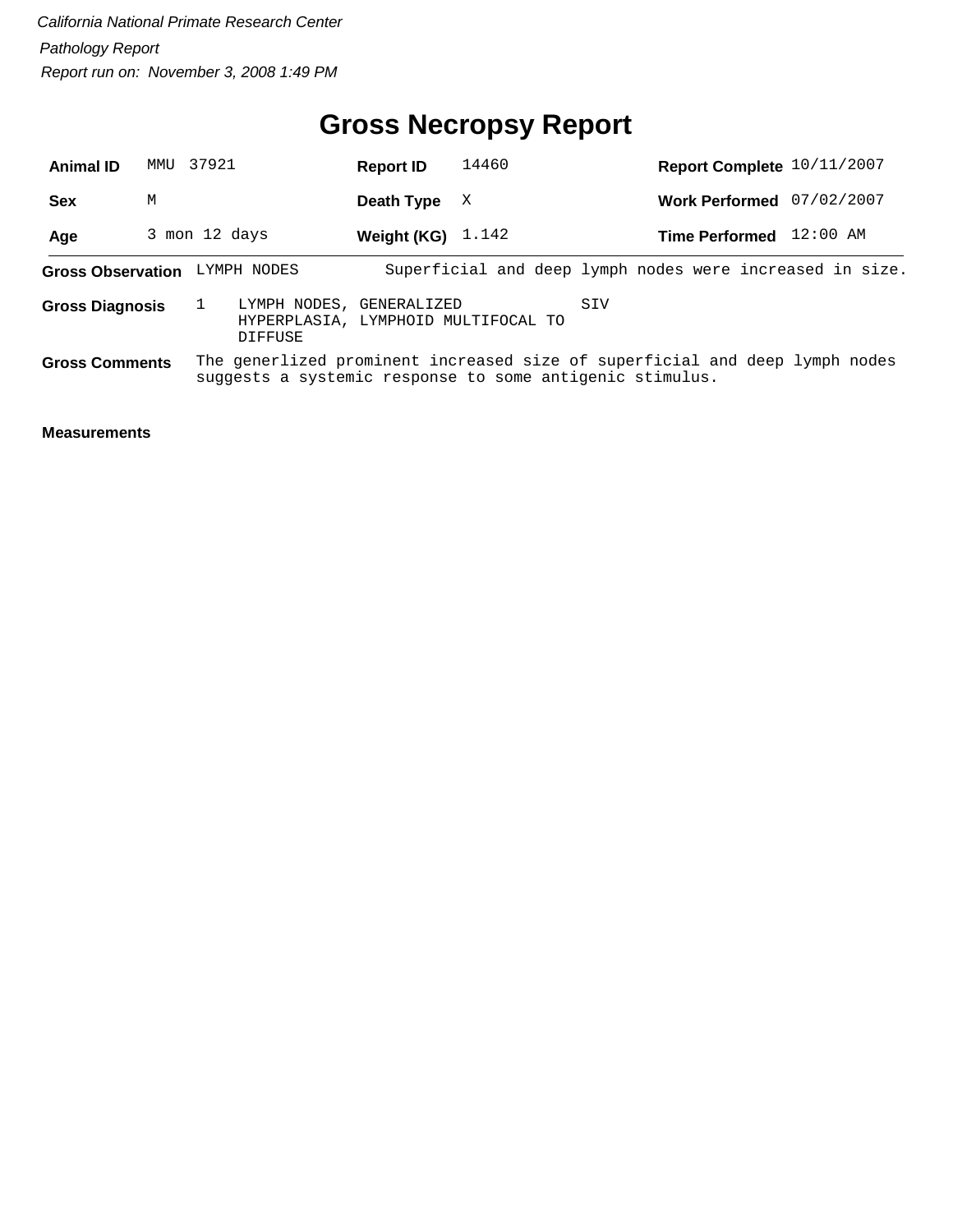## **Gross Necropsy Report**

| <b>Animal ID</b>         | MMU           | 37921 |                                                                                                                                         | <b>Report ID</b> | 14460                                                    |     | Report Complete 10/11/2007 |            |  |
|--------------------------|---------------|-------|-----------------------------------------------------------------------------------------------------------------------------------------|------------------|----------------------------------------------------------|-----|----------------------------|------------|--|
| <b>Sex</b>               | М             |       |                                                                                                                                         | Death Type       | X                                                        |     | <b>Work Performed</b>      | 07/02/2007 |  |
| Age                      | 3 mon 12 days |       |                                                                                                                                         | Weight (KG)      | 1.142                                                    |     | Time Performed 12:00 AM    |            |  |
| <b>Gross Observation</b> |               |       | LYMPH NODES                                                                                                                             |                  | Superficial and deep lymph nodes were increased in size. |     |                            |            |  |
| <b>Gross Diagnosis</b>   |               |       | LYMPH NODES, GENERALIZED<br>HYPERPLASIA, LYMPHOID MULTIFOCAL TO<br>DIFFUSE                                                              |                  |                                                          | SIV |                            |            |  |
| <b>Gross Comments</b>    |               |       | The generlized prominent increased size of superficial and deep lymph nodes<br>suggests a systemic response to some antigenic stimulus. |                  |                                                          |     |                            |            |  |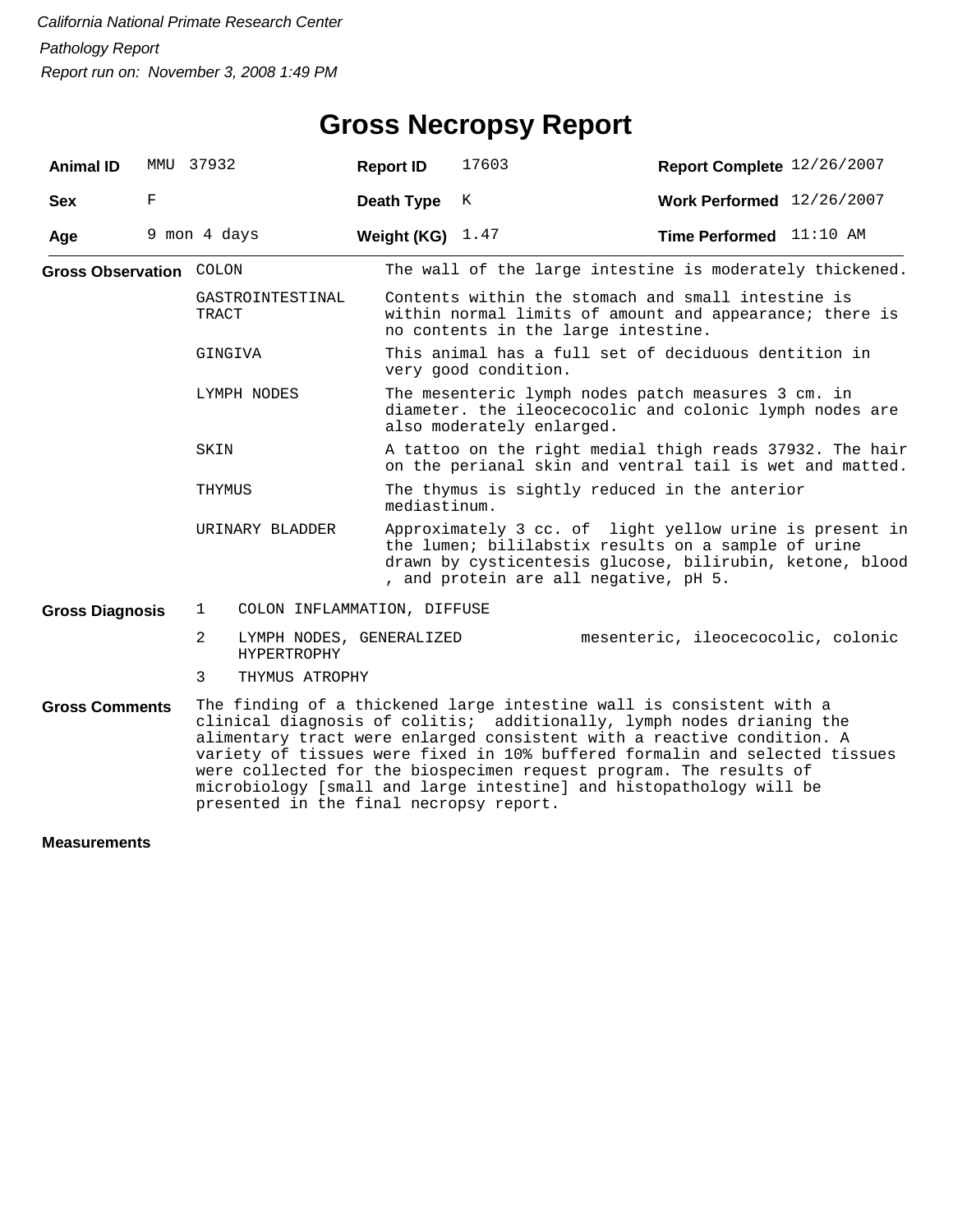# **Gross Necropsy Report**

| <b>Animal ID</b>               | MMU | 37932          |                                                | <b>Report ID</b> | 17603                     | Report Complete 12/26/2007                                                                                                                                                                                                                                                                                                                                                                                                                          |  |
|--------------------------------|-----|----------------|------------------------------------------------|------------------|---------------------------|-----------------------------------------------------------------------------------------------------------------------------------------------------------------------------------------------------------------------------------------------------------------------------------------------------------------------------------------------------------------------------------------------------------------------------------------------------|--|
| <b>Sex</b>                     | F   |                |                                                | Death Type       | K                         | Work Performed 12/26/2007                                                                                                                                                                                                                                                                                                                                                                                                                           |  |
| Age                            |     | 9 mon 4 days   |                                                | Weight (KG)      | 1.47                      | Time Performed 11:10 AM                                                                                                                                                                                                                                                                                                                                                                                                                             |  |
| <b>Gross Observation COLON</b> |     |                |                                                |                  |                           | The wall of the large intestine is moderately thickened.                                                                                                                                                                                                                                                                                                                                                                                            |  |
|                                |     | <b>TRACT</b>   | GASTROINTESTINAL                               |                  |                           | Contents within the stomach and small intestine is<br>within normal limits of amount and appearance; there is<br>no contents in the large intestine.                                                                                                                                                                                                                                                                                                |  |
|                                |     | GINGIVA        |                                                |                  | very good condition.      | This animal has a full set of deciduous dentition in                                                                                                                                                                                                                                                                                                                                                                                                |  |
|                                |     |                | LYMPH NODES                                    |                  | also moderately enlarged. | The mesenteric lymph nodes patch measures 3 cm. in<br>diameter. the ileocecocolic and colonic lymph nodes are                                                                                                                                                                                                                                                                                                                                       |  |
|                                |     | SKIN           |                                                |                  |                           | A tattoo on the right medial thigh reads 37932. The hair<br>on the perianal skin and ventral tail is wet and matted.                                                                                                                                                                                                                                                                                                                                |  |
|                                |     | THYMUS         |                                                | mediastinum.     |                           | The thymus is sightly reduced in the anterior                                                                                                                                                                                                                                                                                                                                                                                                       |  |
|                                |     |                | URINARY BLADDER                                |                  |                           | Approximately 3 cc. of light yellow urine is present in<br>the lumen; bililabstix results on a sample of urine<br>drawn by cysticentesis glucose, bilirubin, ketone, blood<br>, and protein are all negative, pH 5.                                                                                                                                                                                                                                 |  |
| <b>Gross Diagnosis</b>         |     | $\mathbf{1}$   | COLON INFLAMMATION, DIFFUSE                    |                  |                           |                                                                                                                                                                                                                                                                                                                                                                                                                                                     |  |
|                                |     | $\overline{2}$ | LYMPH NODES, GENERALIZED<br><b>HYPERTROPHY</b> |                  |                           | mesenteric, ileocecocolic, colonic                                                                                                                                                                                                                                                                                                                                                                                                                  |  |
|                                |     | 3              | THYMUS ATROPHY                                 |                  |                           |                                                                                                                                                                                                                                                                                                                                                                                                                                                     |  |
| <b>Gross Comments</b>          |     |                | presented in the final necropsy report.        |                  |                           | The finding of a thickened large intestine wall is consistent with a<br>clinical diagnosis of colitis; additionally, lymph nodes drianing the<br>alimentary tract were enlarged consistent with a reactive condition. A<br>variety of tissues were fixed in 10% buffered formalin and selected tissues<br>were collected for the biospecimen request program. The results of<br>microbiology [small and large intestine] and histopathology will be |  |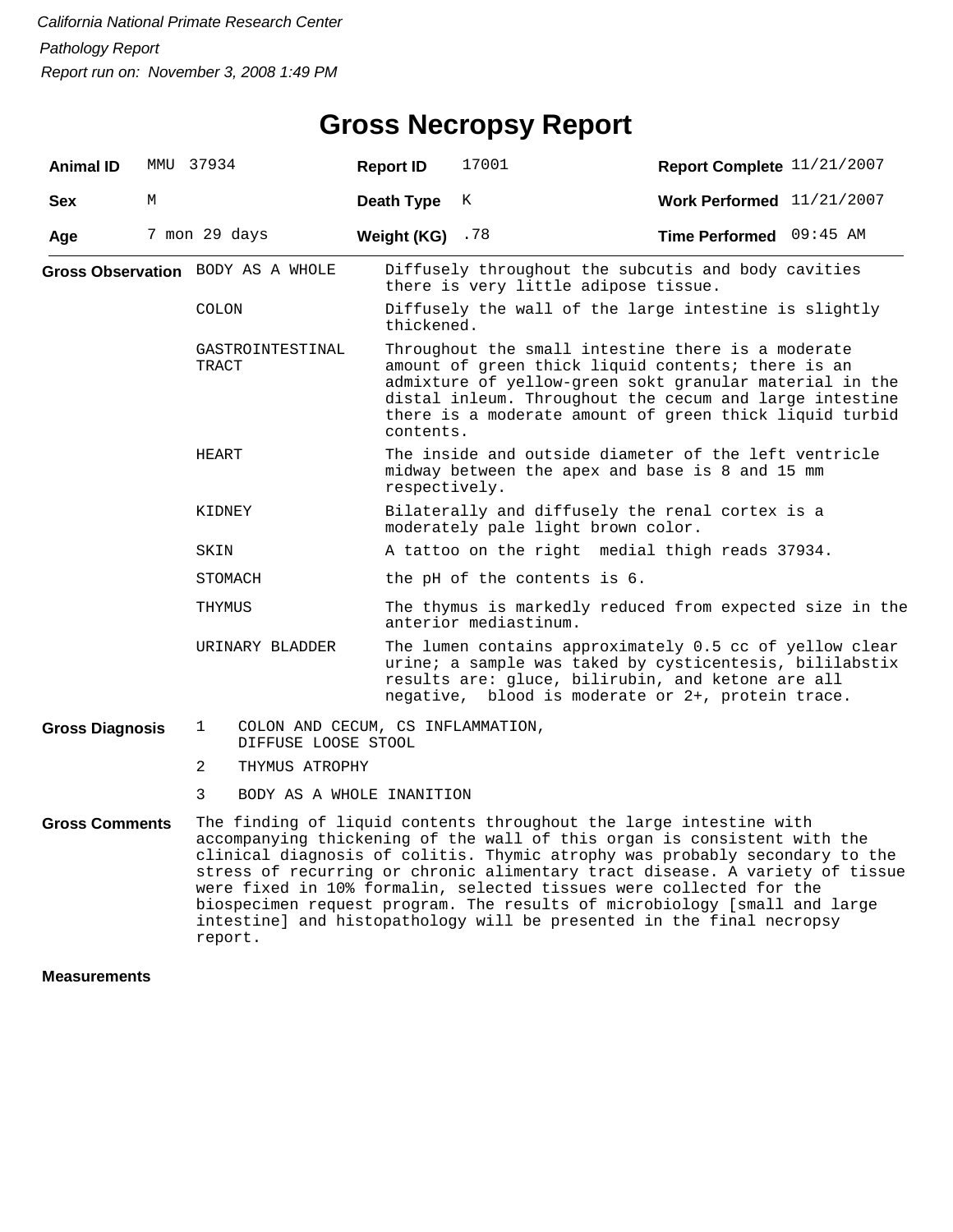| <b>Animal ID</b>       |   | MMU 37934      |                                                          | <b>Report ID</b>  | 17001                                                                                                                                                                                                                                                                                                                                                                                                                                                                                                                                      | Report Complete 11/21/2007  |  |  |  |
|------------------------|---|----------------|----------------------------------------------------------|-------------------|--------------------------------------------------------------------------------------------------------------------------------------------------------------------------------------------------------------------------------------------------------------------------------------------------------------------------------------------------------------------------------------------------------------------------------------------------------------------------------------------------------------------------------------------|-----------------------------|--|--|--|
| <b>Sex</b>             | М |                |                                                          | Death Type        | К                                                                                                                                                                                                                                                                                                                                                                                                                                                                                                                                          | Work Performed $11/21/2007$ |  |  |  |
| Age                    |   | 7 mon 29 days  |                                                          | Weight (KG) $.78$ |                                                                                                                                                                                                                                                                                                                                                                                                                                                                                                                                            | Time Performed 09:45 AM     |  |  |  |
|                        |   |                | Gross Observation BODY AS A WHOLE                        |                   | Diffusely throughout the subcutis and body cavities<br>there is very little adipose tissue.                                                                                                                                                                                                                                                                                                                                                                                                                                                |                             |  |  |  |
|                        |   | COLON          |                                                          | thickened.        | Diffusely the wall of the large intestine is slightly                                                                                                                                                                                                                                                                                                                                                                                                                                                                                      |                             |  |  |  |
|                        |   | TRACT          | GASTROINTESTINAL                                         | contents.         | Throughout the small intestine there is a moderate<br>amount of green thick liquid contents; there is an<br>admixture of yellow-green sokt granular material in the<br>distal inleum. Throughout the cecum and large intestine<br>there is a moderate amount of green thick liquid turbid                                                                                                                                                                                                                                                  |                             |  |  |  |
|                        |   | HEART          |                                                          | respectively.     | The inside and outside diameter of the left ventricle<br>midway between the apex and base is 8 and 15 mm                                                                                                                                                                                                                                                                                                                                                                                                                                   |                             |  |  |  |
|                        |   | KIDNEY         |                                                          |                   | Bilaterally and diffusely the renal cortex is a<br>moderately pale light brown color.                                                                                                                                                                                                                                                                                                                                                                                                                                                      |                             |  |  |  |
|                        |   | SKIN           |                                                          |                   | A tattoo on the right medial thigh reads 37934.                                                                                                                                                                                                                                                                                                                                                                                                                                                                                            |                             |  |  |  |
|                        |   | STOMACH        |                                                          |                   | the pH of the contents is 6.                                                                                                                                                                                                                                                                                                                                                                                                                                                                                                               |                             |  |  |  |
|                        |   | THYMUS         |                                                          |                   | The thymus is markedly reduced from expected size in the<br>anterior mediastinum.                                                                                                                                                                                                                                                                                                                                                                                                                                                          |                             |  |  |  |
|                        |   |                | URINARY BLADDER                                          |                   | The lumen contains approximately 0.5 cc of yellow clear<br>urine; a sample was taked by cysticentesis, bililabstix<br>results are: gluce, bilirubin, and ketone are all<br>negative, blood is moderate or 2+, protein trace.                                                                                                                                                                                                                                                                                                               |                             |  |  |  |
| <b>Gross Diagnosis</b> |   | 1              | COLON AND CECUM, CS INFLAMMATION,<br>DIFFUSE LOOSE STOOL |                   |                                                                                                                                                                                                                                                                                                                                                                                                                                                                                                                                            |                             |  |  |  |
|                        |   | $\overline{a}$ | THYMUS ATROPHY                                           |                   |                                                                                                                                                                                                                                                                                                                                                                                                                                                                                                                                            |                             |  |  |  |
|                        |   | 3              | BODY AS A WHOLE INANITION                                |                   |                                                                                                                                                                                                                                                                                                                                                                                                                                                                                                                                            |                             |  |  |  |
| <b>Gross Comments</b>  |   | report.        |                                                          |                   | The finding of liquid contents throughout the large intestine with<br>accompanying thickening of the wall of this organ is consistent with the<br>clinical diagnosis of colitis. Thymic atrophy was probably secondary to the<br>stress of recurring or chronic alimentary tract disease. A variety of tissue<br>were fixed in 10% formalin, selected tissues were collected for the<br>biospecimen request program. The results of microbiology [small and large<br>intestine] and histopathology will be presented in the final necropsy |                             |  |  |  |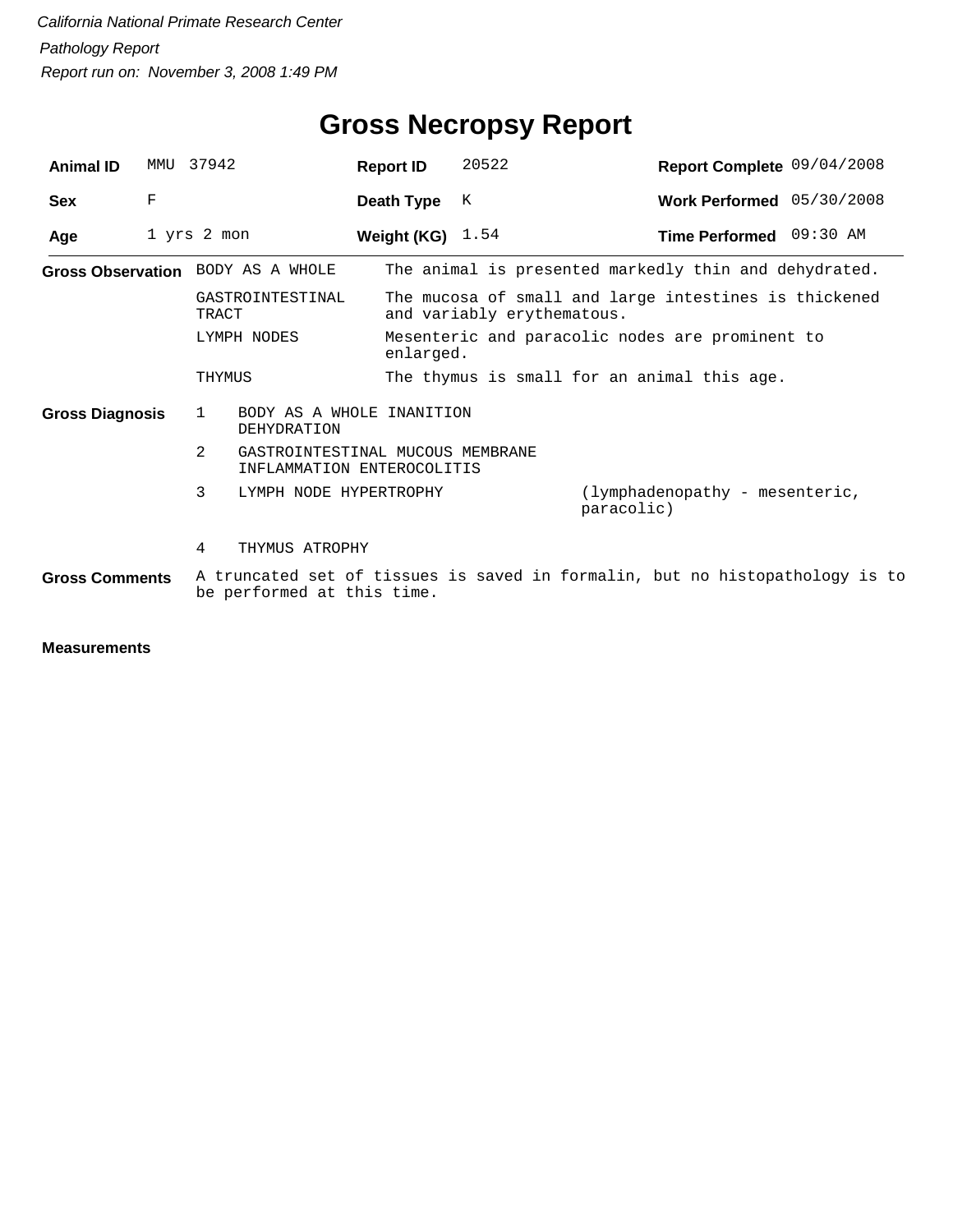| <b>Animal ID</b>       | MMU | 37942                                                                           | <b>Report ID</b>   | 20522                      | Report Complete 09/04/2008                                                   |
|------------------------|-----|---------------------------------------------------------------------------------|--------------------|----------------------------|------------------------------------------------------------------------------|
| <b>Sex</b>             | F   |                                                                                 | Death Type         | K                          | Work Performed 05/30/2008                                                    |
| Age                    |     | 1 yrs 2 mon                                                                     | Weight (KG) $1.54$ |                            | Time Performed 09:30 AM                                                      |
|                        |     | Gross Observation BODY AS A WHOLE                                               |                    |                            | The animal is presented markedly thin and dehydrated.                        |
|                        |     | GASTROINTESTINAL<br>TRACT                                                       |                    | and variably erythematous. | The mucosa of small and large intestines is thickened                        |
|                        |     | LYMPH NODES                                                                     | enlarged.          |                            | Mesenteric and paracolic nodes are prominent to                              |
|                        |     | THYMUS                                                                          |                    |                            | The thymus is small for an animal this age.                                  |
| <b>Gross Diagnosis</b> |     | BODY AS A WHOLE INANITION<br>1<br><b>DEHYDRATION</b>                            |                    |                            |                                                                              |
|                        |     | $\mathcal{L}$<br>GASTROINTESTINAL MUCOUS MEMBRANE<br>INFLAMMATION ENTEROCOLITIS |                    |                            |                                                                              |
|                        |     | 3<br>LYMPH NODE HYPERTROPHY                                                     |                    |                            | (lymphadenopathy - mesenteric,<br>paracolic)                                 |
|                        |     | 4<br>THYMUS ATROPHY                                                             |                    |                            |                                                                              |
| <b>Gross Comments</b>  |     | be performed at this time.                                                      |                    |                            | A truncated set of tissues is saved in formalin, but no histopathology is to |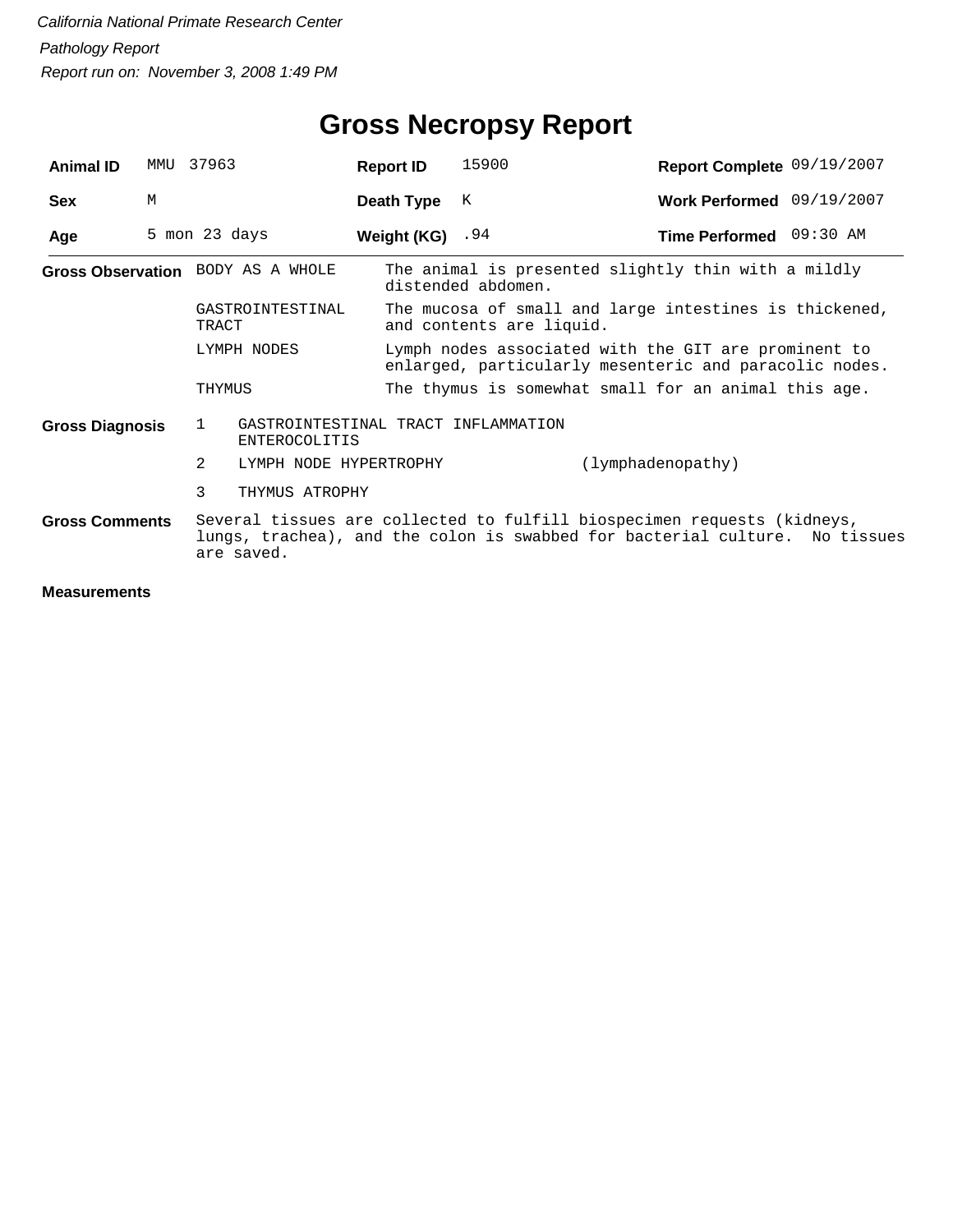| <b>Animal ID</b>       | MMU | 37963                                                                       | <b>Report ID</b>                                                                                               | 15900              | Report Complete 09/19/2007                                                                                                                             |  |
|------------------------|-----|-----------------------------------------------------------------------------|----------------------------------------------------------------------------------------------------------------|--------------------|--------------------------------------------------------------------------------------------------------------------------------------------------------|--|
| <b>Sex</b>             | M   |                                                                             | Death Type                                                                                                     | K                  | Work Performed 09/19/2007                                                                                                                              |  |
| Age                    |     | 5 mon 23 days                                                               | Weight $(KG)$ . 94                                                                                             |                    | Time Performed 09:30 AM                                                                                                                                |  |
|                        |     | Gross Observation BODY AS A WHOLE                                           |                                                                                                                | distended abdomen. | The animal is presented slightly thin with a mildly                                                                                                    |  |
|                        |     | GASTROINTESTINAL<br>TRACT                                                   | The mucosa of small and large intestines is thickened,<br>and contents are liquid.                             |                    |                                                                                                                                                        |  |
|                        |     | LYMPH NODES                                                                 | Lymph nodes associated with the GIT are prominent to<br>enlarged, particularly mesenteric and paracolic nodes. |                    |                                                                                                                                                        |  |
|                        |     | THYMUS                                                                      |                                                                                                                |                    | The thymus is somewhat small for an animal this age.                                                                                                   |  |
| <b>Gross Diagnosis</b> |     | GASTROINTESTINAL TRACT INFLAMMATION<br>$\mathbf{1}$<br><b>ENTEROCOLITIS</b> |                                                                                                                |                    |                                                                                                                                                        |  |
|                        |     | $\mathcal{L}$<br>LYMPH NODE HYPERTROPHY                                     |                                                                                                                |                    | (lymphadenopathy)                                                                                                                                      |  |
|                        |     | 3<br>THYMUS ATROPHY                                                         |                                                                                                                |                    |                                                                                                                                                        |  |
| <b>Gross Comments</b>  |     | are saved.                                                                  |                                                                                                                |                    | Several tissues are collected to fulfill biospecimen requests (kidneys,<br>lungs, trachea), and the colon is swabbed for bacterial culture. No tissues |  |
|                        |     |                                                                             |                                                                                                                |                    |                                                                                                                                                        |  |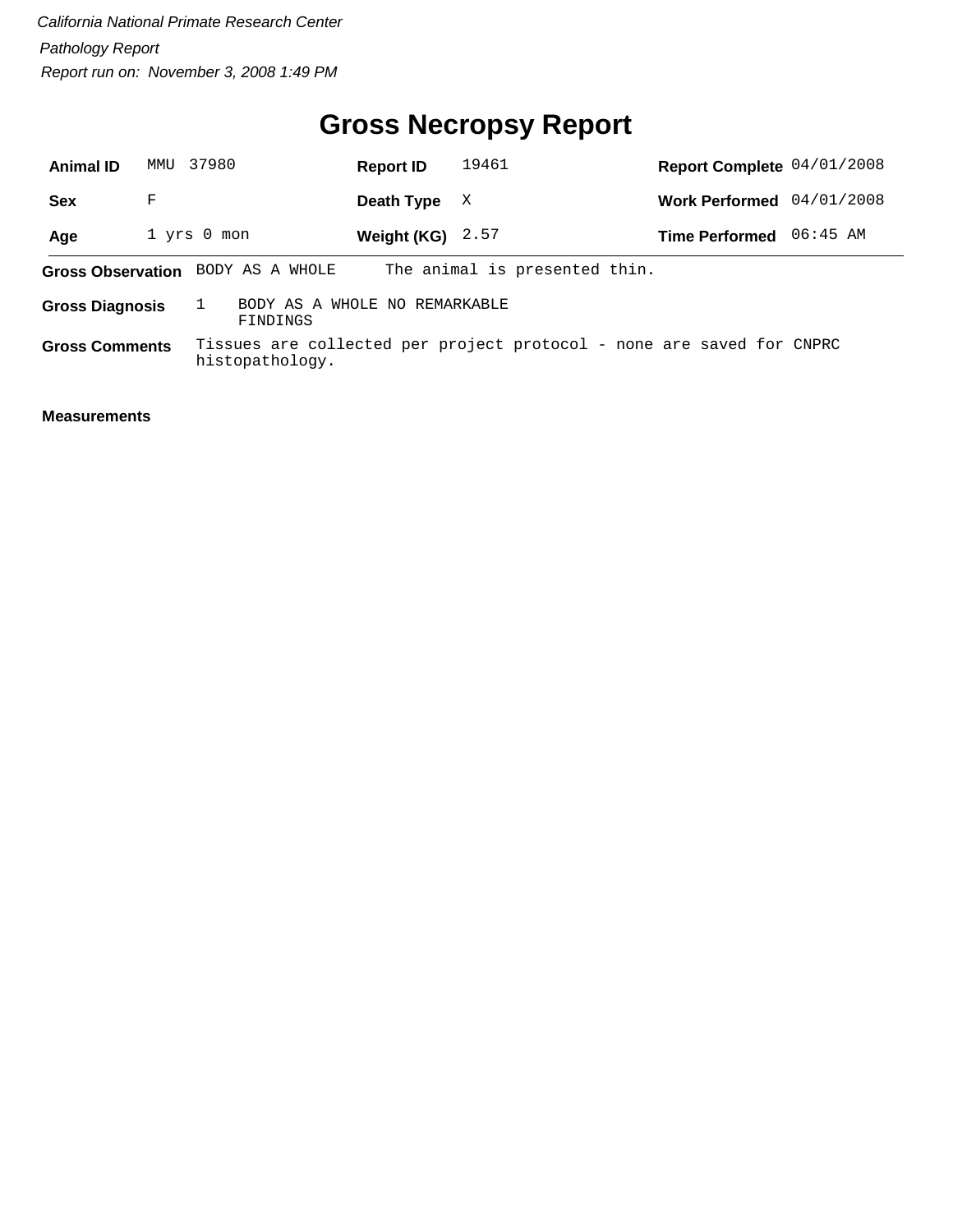# **Gross Necropsy Report**

| <b>Animal ID</b>       | MMU | 37980                                     | <b>Report ID</b>   | 19461                                                                 | Report Complete 04/01/2008 |            |
|------------------------|-----|-------------------------------------------|--------------------|-----------------------------------------------------------------------|----------------------------|------------|
| <b>Sex</b>             | F   |                                           | Death Type         | X                                                                     | <b>Work Performed</b>      | 04/01/2008 |
| Age                    |     | $1$ yrs $0$ mon                           | Weight (KG) $2.57$ |                                                                       | <b>Time Performed</b>      | 06:45 AM   |
|                        |     | Gross Observation BODY AS A WHOLE         |                    | The animal is presented thin.                                         |                            |            |
| <b>Gross Diagnosis</b> |     | BODY AS A WHOLE NO REMARKABLE<br>FINDINGS |                    |                                                                       |                            |            |
| <b>Gross Comments</b>  |     | histopathology.                           |                    | Tissues are collected per project protocol - none are saved for CNPRC |                            |            |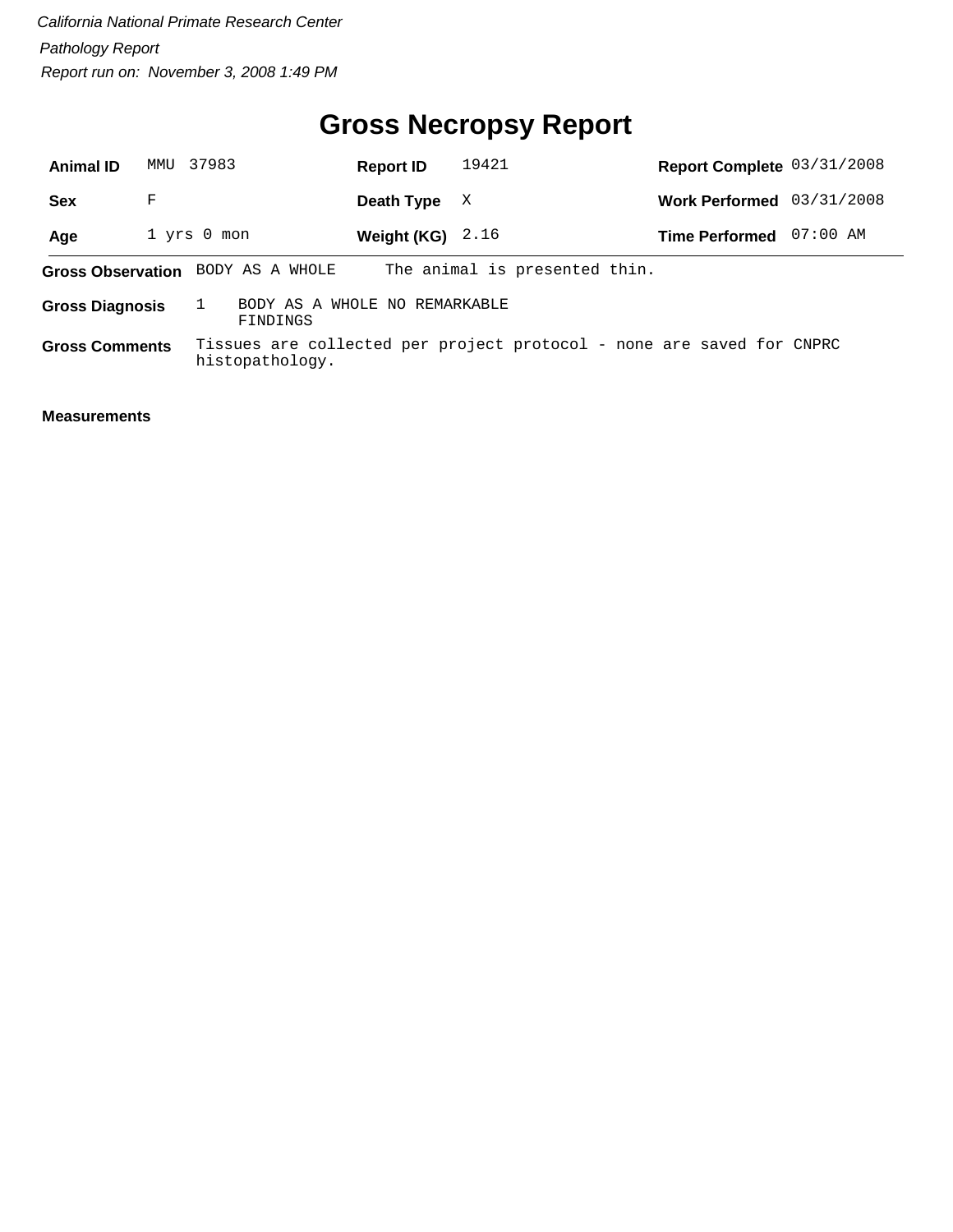# **Gross Necropsy Report**

| <b>Animal ID</b>       | MMU | 37983                                     | <b>Report ID</b>   | 19421                                                                 | Report Complete 03/31/2008 |            |
|------------------------|-----|-------------------------------------------|--------------------|-----------------------------------------------------------------------|----------------------------|------------|
| <b>Sex</b>             | F   |                                           | Death Type         | X                                                                     | <b>Work Performed</b>      | 03/31/2008 |
| Age                    |     | $1$ yrs $0$ mon                           | Weight (KG) $2.16$ |                                                                       | <b>Time Performed</b>      | $07:00$ AM |
|                        |     | Gross Observation BODY AS A WHOLE         |                    | The animal is presented thin.                                         |                            |            |
| <b>Gross Diagnosis</b> |     | BODY AS A WHOLE NO REMARKABLE<br>FINDINGS |                    |                                                                       |                            |            |
| <b>Gross Comments</b>  |     | histopathology.                           |                    | Tissues are collected per project protocol - none are saved for CNPRC |                            |            |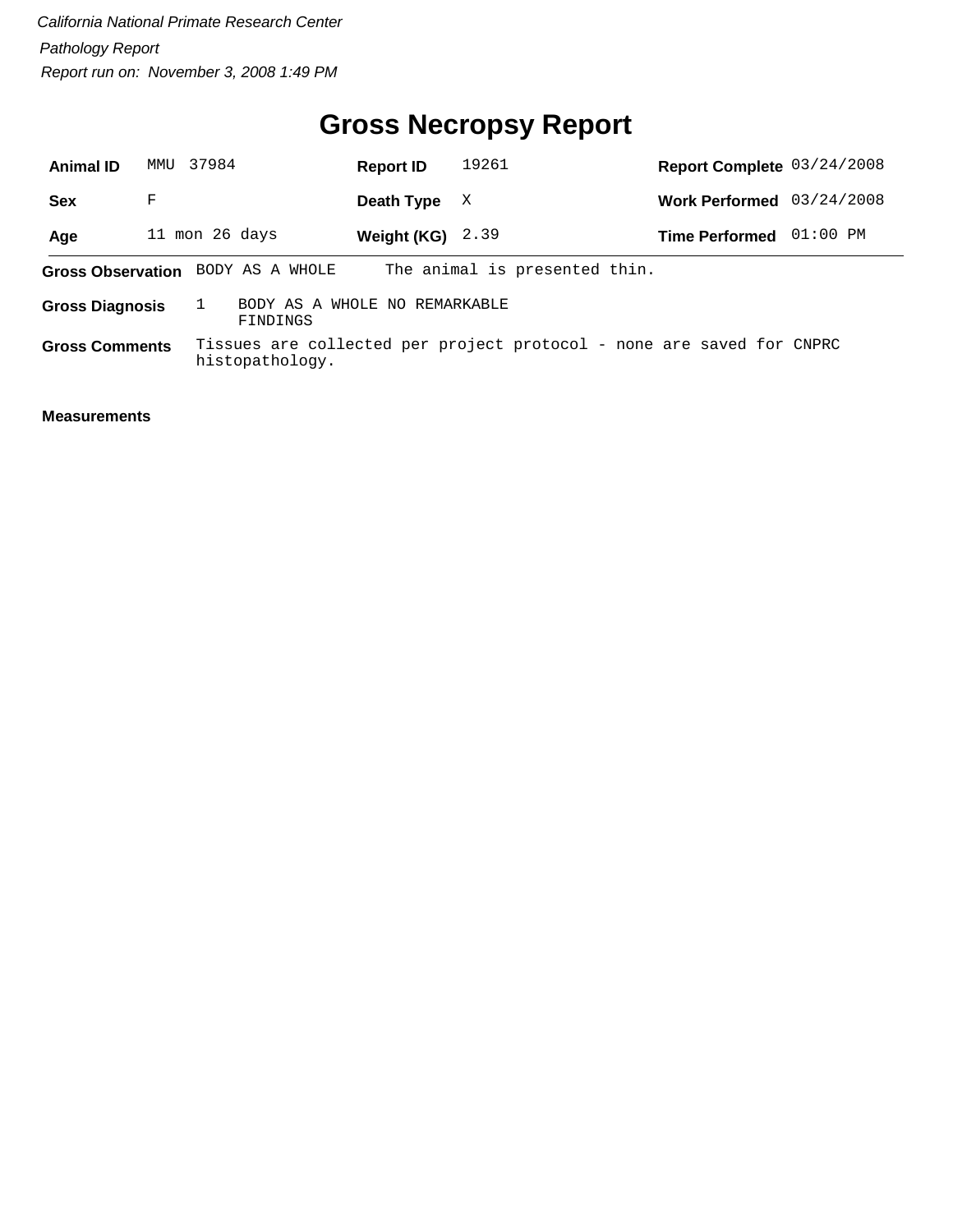# **Gross Necropsy Report**

| <b>Animal ID</b>       | MMU            | 37984 |                                           | <b>Report ID</b>   | 19261                                                                 | Report Complete 03/24/2008 |            |
|------------------------|----------------|-------|-------------------------------------------|--------------------|-----------------------------------------------------------------------|----------------------------|------------|
| <b>Sex</b>             | F              |       |                                           | Death Type         | X                                                                     | <b>Work Performed</b>      | 03/24/2008 |
| Age                    | 11 mon 26 days |       |                                           | Weight $(KG)$ 2.39 |                                                                       | <b>Time Performed</b>      | $01:00$ PM |
|                        |                |       | Gross Observation BODY AS A WHOLE         |                    | The animal is presented thin.                                         |                            |            |
| <b>Gross Diagnosis</b> |                |       | BODY AS A WHOLE NO REMARKABLE<br>FINDINGS |                    |                                                                       |                            |            |
| <b>Gross Comments</b>  |                |       | histopathology.                           |                    | Tissues are collected per project protocol - none are saved for CNPRC |                            |            |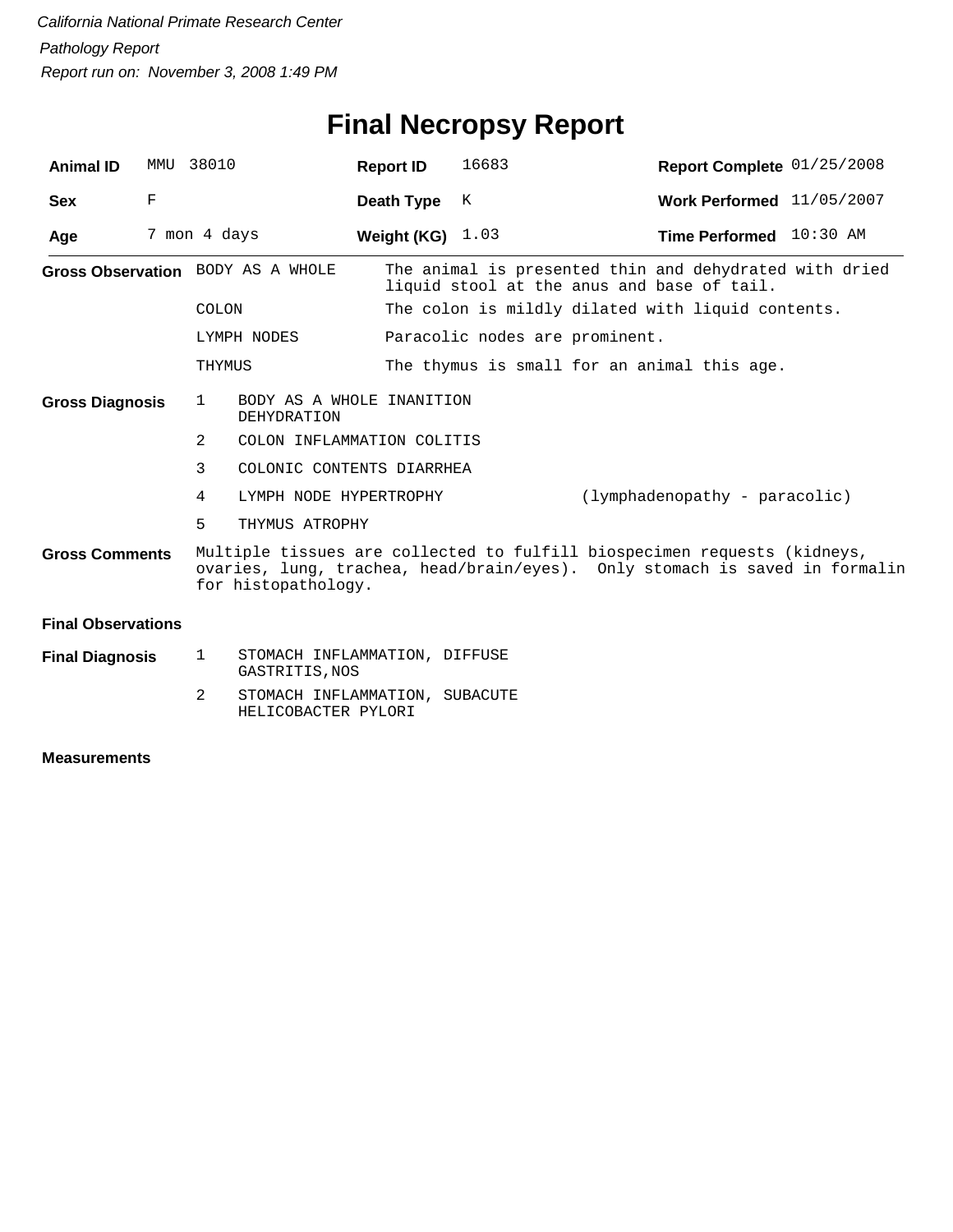# **Final Necropsy Report**

| <b>Animal ID</b>          |   | MMU 38010    |                                                       | <b>Report ID</b>   | 16683                          | Report Complete 01/25/2008                                                                                                                              |  |
|---------------------------|---|--------------|-------------------------------------------------------|--------------------|--------------------------------|---------------------------------------------------------------------------------------------------------------------------------------------------------|--|
| <b>Sex</b>                | F |              |                                                       | Death Type         | K                              | Work Performed 11/05/2007                                                                                                                               |  |
| Age                       |   | 7 mon 4 days |                                                       | Weight (KG) $1.03$ |                                | Time Performed 10:30 AM                                                                                                                                 |  |
|                           |   |              | Gross Observation BODY AS A WHOLE                     |                    |                                | The animal is presented thin and dehydrated with dried<br>liquid stool at the anus and base of tail.                                                    |  |
|                           |   | COLON        |                                                       |                    |                                | The colon is mildly dilated with liquid contents.                                                                                                       |  |
|                           |   |              | LYMPH NODES                                           |                    | Paracolic nodes are prominent. |                                                                                                                                                         |  |
|                           |   | THYMUS       |                                                       |                    |                                | The thymus is small for an animal this age.                                                                                                             |  |
| <b>Gross Diagnosis</b>    |   | $\mathbf{1}$ | BODY AS A WHOLE INANITION<br><b>DEHYDRATION</b>       |                    |                                |                                                                                                                                                         |  |
|                           |   | 2            | COLON INFLAMMATION COLITIS                            |                    |                                |                                                                                                                                                         |  |
|                           |   | 3            | COLONIC CONTENTS DIARRHEA                             |                    |                                |                                                                                                                                                         |  |
|                           |   | 4            | LYMPH NODE HYPERTROPHY                                |                    |                                | $(1ymphadenopathy - paracolic)$                                                                                                                         |  |
|                           |   | 5            | THYMUS ATROPHY                                        |                    |                                |                                                                                                                                                         |  |
| <b>Gross Comments</b>     |   |              | for histopathology.                                   |                    |                                | Multiple tissues are collected to fulfill biospecimen requests (kidneys,<br>ovaries, lung, trachea, head/brain/eyes). Only stomach is saved in formalin |  |
| <b>Final Observations</b> |   |              |                                                       |                    |                                |                                                                                                                                                         |  |
| <b>Final Diagnosis</b>    |   | 1            | STOMACH INFLAMMATION, DIFFUSE<br>GASTRITIS, NOS       |                    |                                |                                                                                                                                                         |  |
|                           |   | 2            | STOMACH INFLAMMATION, SUBACUTE<br>HELICOBACTER PYLORI |                    |                                |                                                                                                                                                         |  |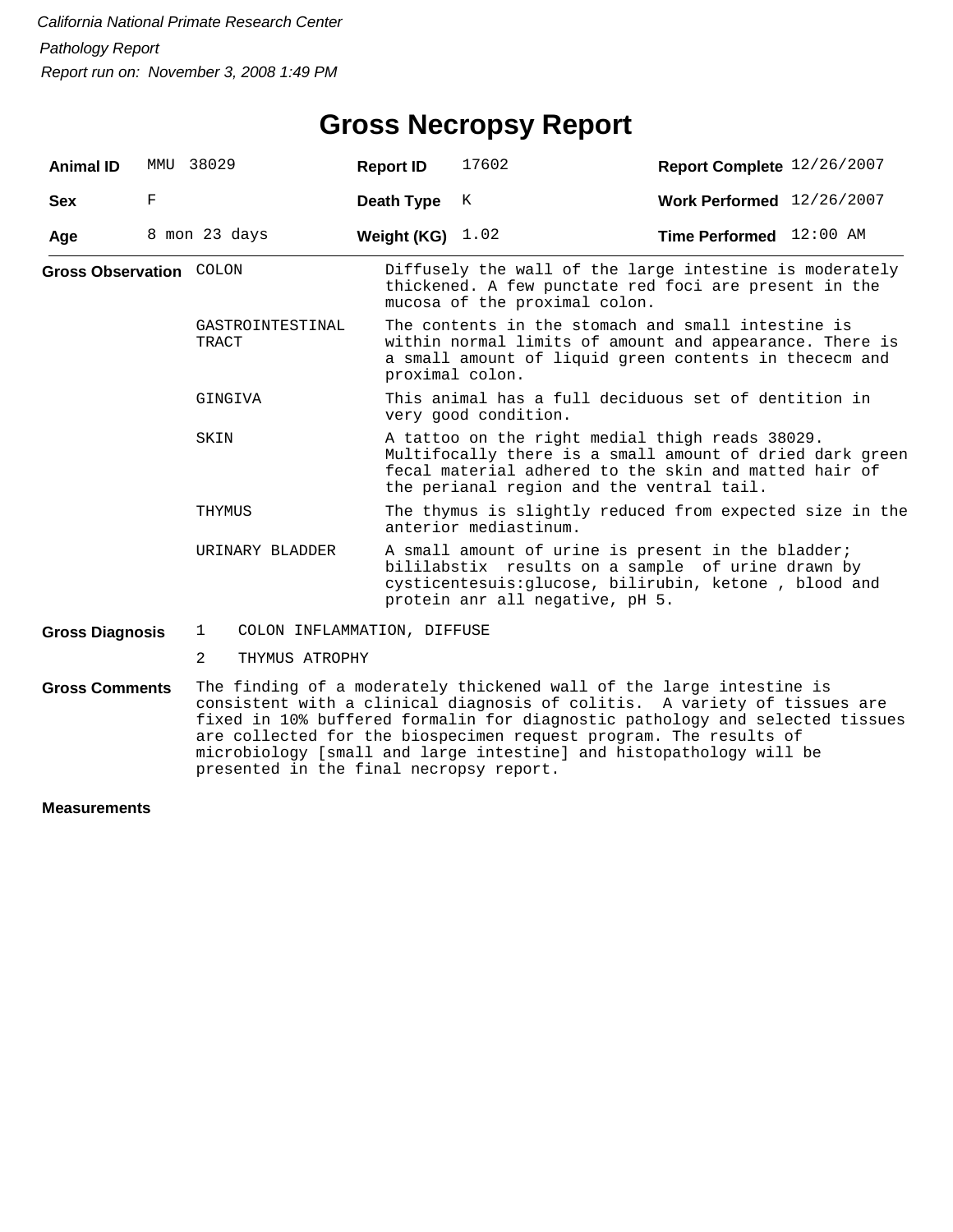## **Gross Necropsy Report**

| <b>Animal ID</b>               |   | MMU 38029                                   | <b>Report ID</b> | 17602                                                                                                                                                                                      | Report Complete 12/26/2007                                                                                                                                                                                                                                                                                                                                                    |  |  |  |
|--------------------------------|---|---------------------------------------------|------------------|--------------------------------------------------------------------------------------------------------------------------------------------------------------------------------------------|-------------------------------------------------------------------------------------------------------------------------------------------------------------------------------------------------------------------------------------------------------------------------------------------------------------------------------------------------------------------------------|--|--|--|
| <b>Sex</b>                     | F |                                             | Death Type       | K                                                                                                                                                                                          | Work Performed 12/26/2007                                                                                                                                                                                                                                                                                                                                                     |  |  |  |
| Age                            |   | 8 mon 23 days                               | Weight (KG)      | 1.02                                                                                                                                                                                       | Time Performed 12:00 AM                                                                                                                                                                                                                                                                                                                                                       |  |  |  |
| <b>Gross Observation COLON</b> |   |                                             |                  | mucosa of the proximal colon.                                                                                                                                                              | Diffusely the wall of the large intestine is moderately<br>thickened. A few punctate red foci are present in the                                                                                                                                                                                                                                                              |  |  |  |
|                                |   | GASTROINTESTINAL<br>TRACT                   |                  | The contents in the stomach and small intestine is<br>within normal limits of amount and appearance. There is<br>a small amount of liquid green contents in thececm and<br>proximal colon. |                                                                                                                                                                                                                                                                                                                                                                               |  |  |  |
|                                |   | GINGIVA                                     |                  | This animal has a full deciduous set of dentition in<br>very good condition.                                                                                                               |                                                                                                                                                                                                                                                                                                                                                                               |  |  |  |
|                                |   | SKIN                                        |                  | the perianal region and the ventral tail.                                                                                                                                                  | A tattoo on the right medial thigh reads 38029.<br>Multifocally there is a small amount of dried dark green<br>fecal material adhered to the skin and matted hair of                                                                                                                                                                                                          |  |  |  |
|                                |   | THYMUS                                      |                  | The thymus is slightly reduced from expected size in the<br>anterior mediastinum.                                                                                                          |                                                                                                                                                                                                                                                                                                                                                                               |  |  |  |
|                                |   | URINARY BLADDER                             |                  | protein anr all negative, pH 5.                                                                                                                                                            | A small amount of urine is present in the bladder;<br>bililabstix results on a sample of urine drawn by<br>cysticentesuis: glucose, bilirubin, ketone, blood and                                                                                                                                                                                                              |  |  |  |
| <b>Gross Diagnosis</b>         |   | $\mathbf{1}$<br>COLON INFLAMMATION, DIFFUSE |                  |                                                                                                                                                                                            |                                                                                                                                                                                                                                                                                                                                                                               |  |  |  |
|                                |   | 2<br>THYMUS ATROPHY                         |                  |                                                                                                                                                                                            |                                                                                                                                                                                                                                                                                                                                                                               |  |  |  |
| <b>Gross Comments</b>          |   |                                             |                  |                                                                                                                                                                                            | The finding of a moderately thickened wall of the large intestine is<br>consistent with a clinical diagnosis of colitis. A variety of tissues are<br>fixed in 10% buffered formalin for diagnostic pathology and selected tissues<br>are collected for the biospecimen request program. The results of<br>microbiology [small and large intestine] and histopathology will be |  |  |  |

presented in the final necropsy report.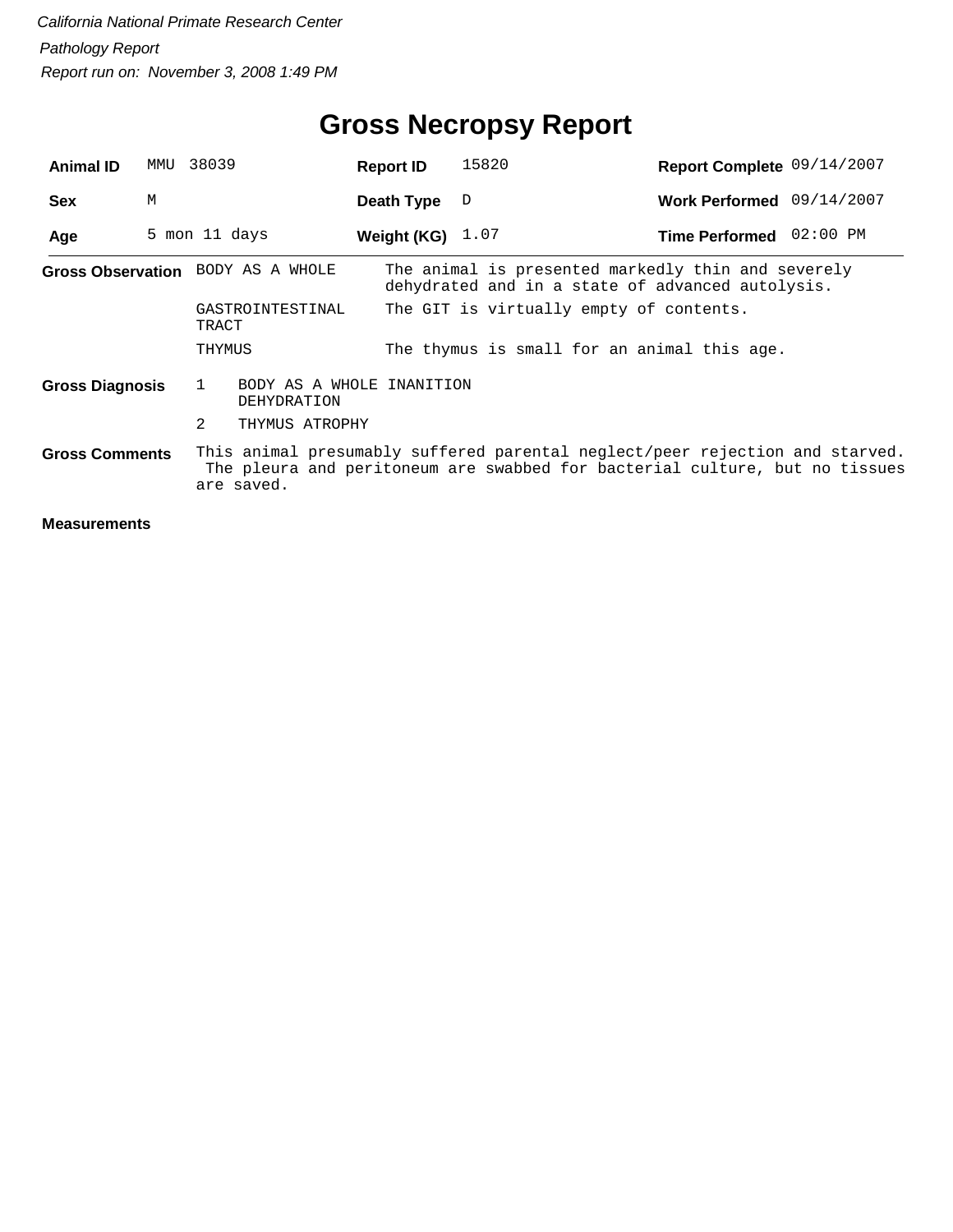# **Gross Necropsy Report**

| <b>Animal ID</b>       | MMU | 38039                                         | <b>Report ID</b>   | 15820                                                                                                                                                       | Report Complete 09/14/2007 |  |
|------------------------|-----|-----------------------------------------------|--------------------|-------------------------------------------------------------------------------------------------------------------------------------------------------------|----------------------------|--|
| <b>Sex</b>             | M   |                                               | Death Type         | D                                                                                                                                                           | Work Performed 09/14/2007  |  |
| Age                    |     | 5 mon 11 days                                 | Weight (KG) $1.07$ |                                                                                                                                                             | Time Performed 02:00 PM    |  |
|                        |     | <b>Gross Observation</b> BODY AS A WHOLE      |                    | The animal is presented markedly thin and severely<br>dehydrated and in a state of advanced autolysis.                                                      |                            |  |
|                        |     | GASTROINTESTINAL<br>TRACT                     |                    | The GIT is virtually empty of contents.                                                                                                                     |                            |  |
|                        |     | THYMUS                                        |                    | The thymus is small for an animal this age.                                                                                                                 |                            |  |
| <b>Gross Diagnosis</b> |     | BODY AS A WHOLE INANITION<br>1<br>DEHYDRATION |                    |                                                                                                                                                             |                            |  |
|                        |     | 2<br>THYMUS ATROPHY                           |                    |                                                                                                                                                             |                            |  |
| <b>Gross Comments</b>  |     | are saved.                                    |                    | This animal presumably suffered parental neglect/peer rejection and starved.<br>The pleura and peritoneum are swabbed for bacterial culture, but no tissues |                            |  |
|                        |     |                                               |                    |                                                                                                                                                             |                            |  |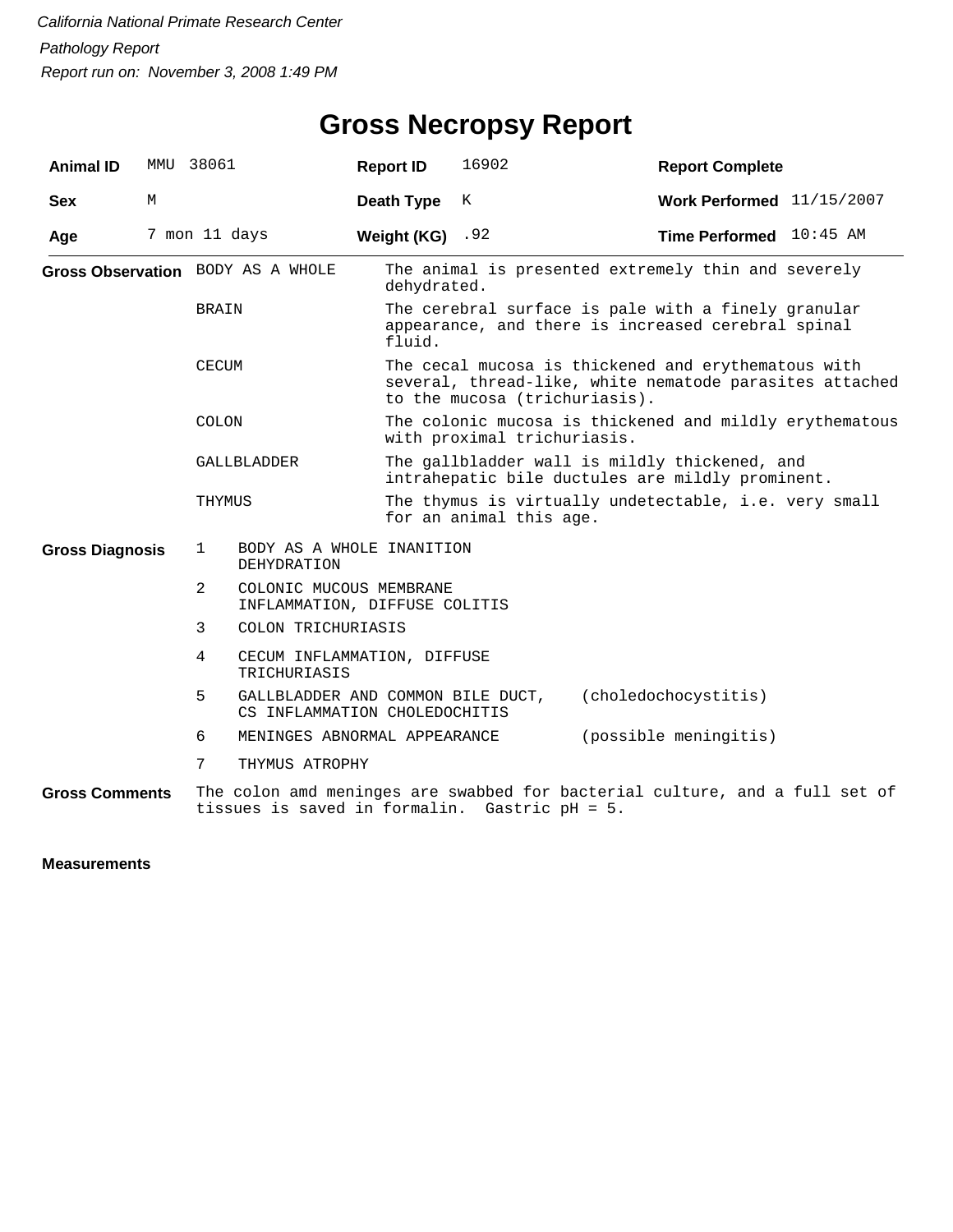## **Gross Necropsy Report**

| <b>Animal ID</b>       | MMU | 38061         |                                                                                            | <b>Report ID</b>   | 16902                                                                                                     | <b>Report Complete</b>                                                                                         |  |  |  |
|------------------------|-----|---------------|--------------------------------------------------------------------------------------------|--------------------|-----------------------------------------------------------------------------------------------------------|----------------------------------------------------------------------------------------------------------------|--|--|--|
| <b>Sex</b>             | М   |               |                                                                                            | Death Type         | K                                                                                                         | Work Performed $11/15/2007$                                                                                    |  |  |  |
| Age                    |     | 7 mon 11 days |                                                                                            | Weight $(KG)$ . 92 |                                                                                                           | Time Performed 10:45 AM                                                                                        |  |  |  |
|                        |     |               | Gross Observation BODY AS A WHOLE                                                          | dehydrated.        |                                                                                                           | The animal is presented extremely thin and severely                                                            |  |  |  |
|                        |     | <b>BRAIN</b>  |                                                                                            | fluid.             | The cerebral surface is pale with a finely granular<br>appearance, and there is increased cerebral spinal |                                                                                                                |  |  |  |
|                        |     | CECUM         |                                                                                            |                    | to the mucosa (trichuriasis).                                                                             | The cecal mucosa is thickened and erythematous with<br>several, thread-like, white nematode parasites attached |  |  |  |
|                        |     | <b>COLON</b>  |                                                                                            |                    | with proximal trichuriasis.                                                                               | The colonic mucosa is thickened and mildly erythematous                                                        |  |  |  |
|                        |     | GALLBLADDER   |                                                                                            |                    | The gallbladder wall is mildly thickened, and<br>intrahepatic bile ductules are mildly prominent.         |                                                                                                                |  |  |  |
|                        |     | THYMUS        |                                                                                            |                    | The thymus is virtually undetectable, i.e. very small<br>for an animal this age.                          |                                                                                                                |  |  |  |
| <b>Gross Diagnosis</b> |     | 1             | BODY AS A WHOLE INANITION<br><b>DEHYDRATION</b>                                            |                    |                                                                                                           |                                                                                                                |  |  |  |
|                        |     | 2             | COLONIC MUCOUS MEMBRANE<br>INFLAMMATION, DIFFUSE COLITIS                                   |                    |                                                                                                           |                                                                                                                |  |  |  |
|                        |     | 3             | COLON TRICHURIASIS                                                                         |                    |                                                                                                           |                                                                                                                |  |  |  |
|                        |     | 4             | CECUM INFLAMMATION, DIFFUSE<br>TRICHURIASIS                                                |                    |                                                                                                           |                                                                                                                |  |  |  |
|                        |     | 5             | GALLBLADDER AND COMMON BILE DUCT,<br>(choledochocystitis)<br>CS INFLAMMATION CHOLEDOCHITIS |                    |                                                                                                           |                                                                                                                |  |  |  |
|                        |     | 6             | MENINGES ABNORMAL APPEARANCE                                                               |                    |                                                                                                           | (possible meningitis)                                                                                          |  |  |  |
|                        |     | 7             | THYMUS ATROPHY                                                                             |                    |                                                                                                           |                                                                                                                |  |  |  |
| <b>Gross Comments</b>  |     |               |                                                                                            |                    |                                                                                                           | The colon amd meninges are swabbed for bacterial culture, and a full set of                                    |  |  |  |

tissues is saved in formalin. Gastric pH = 5.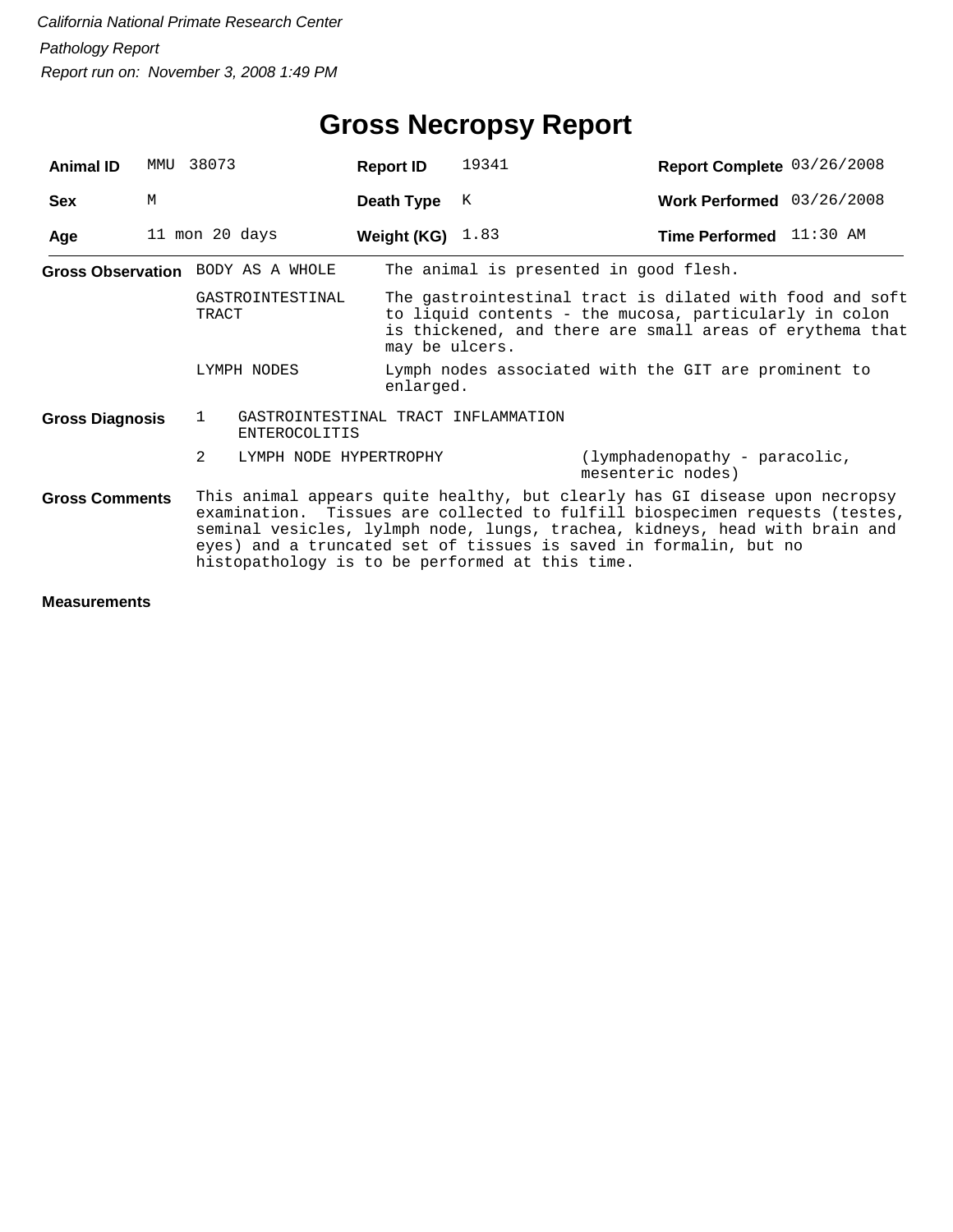| <b>Animal ID</b>       | MMU | 38073                                           | <b>Report ID</b>       | 19341                                              | Report Complete 03/26/2008                                                                                                                                                                                                                                                                                     |  |
|------------------------|-----|-------------------------------------------------|------------------------|----------------------------------------------------|----------------------------------------------------------------------------------------------------------------------------------------------------------------------------------------------------------------------------------------------------------------------------------------------------------------|--|
| <b>Sex</b>             | M   |                                                 | Death Type             | K                                                  | Work Performed 03/26/2008                                                                                                                                                                                                                                                                                      |  |
| Age                    |     | 11 mon 20 days                                  | Weight (KG)            | 1.83                                               | Time Performed 11:30 AM                                                                                                                                                                                                                                                                                        |  |
|                        |     | Gross Observation BODY AS A WHOLE               |                        |                                                    | The animal is presented in good flesh.                                                                                                                                                                                                                                                                         |  |
|                        |     | GASTROINTESTINAL<br>TRACT                       | may be ulcers.         |                                                    | The gastrointestinal tract is dilated with food and soft<br>to liquid contents - the mucosa, particularly in colon<br>is thickened, and there are small areas of erythema that                                                                                                                                 |  |
| LYMPH NODES            |     |                                                 | enlarged.              |                                                    | Lymph nodes associated with the GIT are prominent to                                                                                                                                                                                                                                                           |  |
| <b>Gross Diagnosis</b> |     | $\mathbf{1}$<br>ENTEROCOLITIS                   |                        | GASTROINTESTINAL TRACT INFLAMMATION                |                                                                                                                                                                                                                                                                                                                |  |
|                        |     | 2                                               | LYMPH NODE HYPERTROPHY | (lymphadenopathy - paracolic,<br>mesenteric nodes) |                                                                                                                                                                                                                                                                                                                |  |
| <b>Gross Comments</b>  |     | histopathology is to be performed at this time. |                        |                                                    | This animal appears quite healthy, but clearly has GI disease upon necropsy<br>examination. Tissues are collected to fulfill biospecimen requests (testes,<br>seminal vesicles, lylmph node, lungs, trachea, kidneys, head with brain and<br>eyes) and a truncated set of tissues is saved in formalin, but no |  |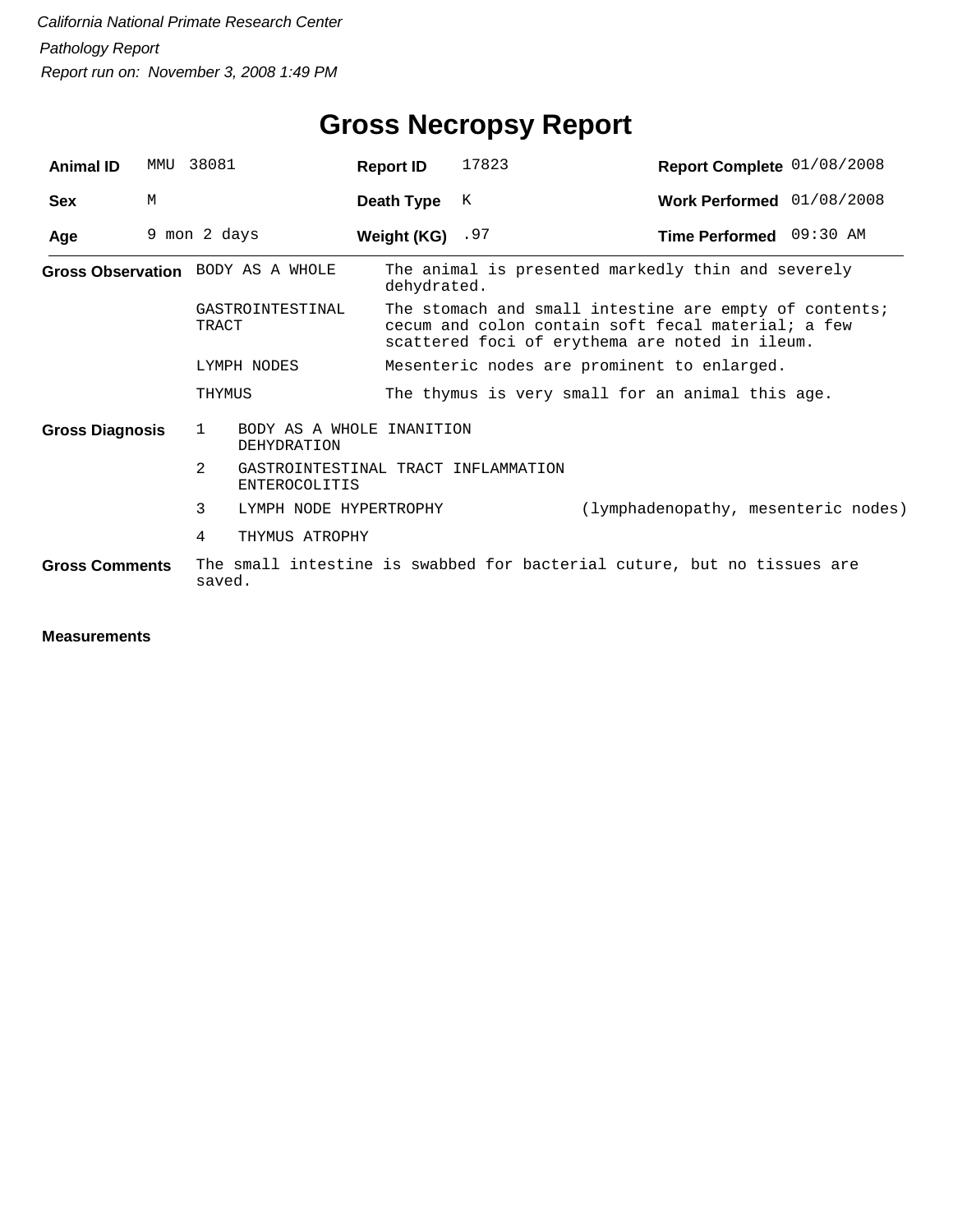# **Gross Necropsy Report**

| <b>Animal ID</b>       | MMU | 38081                             | <b>Report ID</b>                                            | 17823 | Report Complete 01/08/2008                                                                                                                                     |  |  |
|------------------------|-----|-----------------------------------|-------------------------------------------------------------|-------|----------------------------------------------------------------------------------------------------------------------------------------------------------------|--|--|
| <b>Sex</b>             | M   |                                   | Death Type                                                  | K     | Work Performed 01/08/2008                                                                                                                                      |  |  |
| Age                    |     | 9 mon 2 days                      | Weight (KG) $.97$                                           |       | Time Performed 09:30 AM                                                                                                                                        |  |  |
|                        |     | Gross Observation BODY AS A WHOLE | dehydrated.                                                 |       | The animal is presented markedly thin and severely                                                                                                             |  |  |
|                        |     | GASTROINTESTINAL<br>TRACT         |                                                             |       | The stomach and small intestine are empty of contents;<br>cecum and colon contain soft fecal material; a few<br>scattered foci of erythema are noted in ileum. |  |  |
|                        |     | LYMPH NODES                       |                                                             |       | Mesenteric nodes are prominent to enlarged.                                                                                                                    |  |  |
|                        |     | THYMUS                            |                                                             |       | The thymus is very small for an animal this age.                                                                                                               |  |  |
| <b>Gross Diagnosis</b> |     | $\mathbf{1}$<br>DEHYDRATION       | BODY AS A WHOLE INANITION                                   |       |                                                                                                                                                                |  |  |
|                        |     | 2                                 | GASTROINTESTINAL TRACT INFLAMMATION<br><b>ENTEROCOLITIS</b> |       |                                                                                                                                                                |  |  |
|                        |     | 3<br>LYMPH NODE HYPERTROPHY       |                                                             |       | (lymphadenopathy, mesenteric nodes)                                                                                                                            |  |  |
|                        |     | THYMUS ATROPHY<br>4               |                                                             |       |                                                                                                                                                                |  |  |
| <b>Gross Comments</b>  |     | saved.                            |                                                             |       | The small intestine is swabbed for bacterial cuture, but no tissues are                                                                                        |  |  |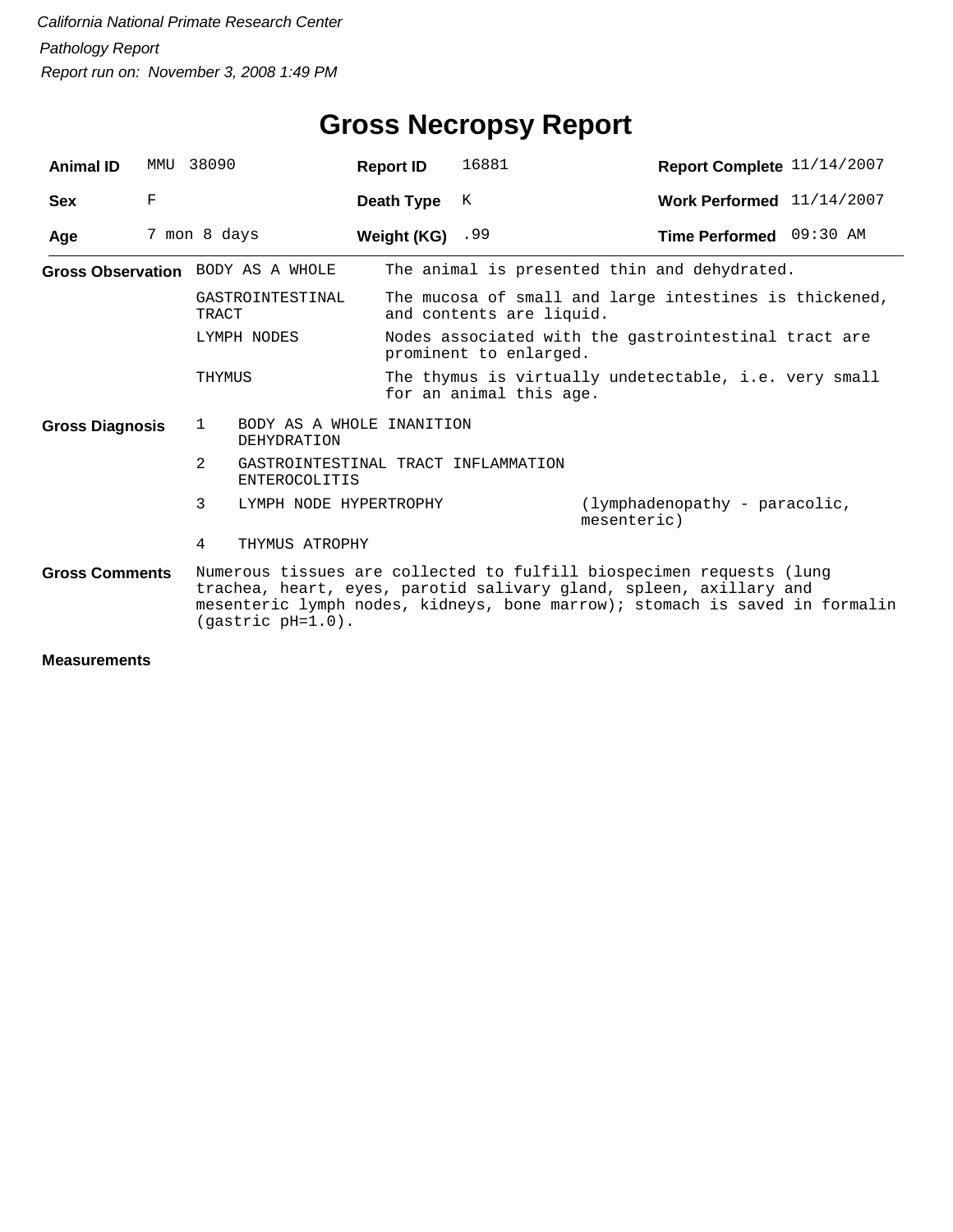| <b>Animal ID</b>       | MMU | 38090                                 | <b>Report ID</b>                    | 16881                    | Report Complete 11/14/2007                                                                                                                                                                                                |
|------------------------|-----|---------------------------------------|-------------------------------------|--------------------------|---------------------------------------------------------------------------------------------------------------------------------------------------------------------------------------------------------------------------|
| <b>Sex</b>             | F   |                                       | Death Type                          | К                        | Work Performed 11/14/2007                                                                                                                                                                                                 |
| Age                    |     | 7 mon 8 days                          | Weight (KG) $.99$                   |                          | Time Performed 09:30 AM                                                                                                                                                                                                   |
|                        |     | Gross Observation BODY AS A WHOLE     |                                     |                          | The animal is presented thin and dehydrated.                                                                                                                                                                              |
|                        |     | GASTROINTESTINAL<br>TRACT             |                                     | and contents are liquid. | The mucosa of small and large intestines is thickened,                                                                                                                                                                    |
|                        |     | LYMPH NODES                           |                                     | prominent to enlarged.   | Nodes associated with the gastrointestinal tract are                                                                                                                                                                      |
|                        |     | THYMUS                                |                                     | for an animal this age.  | The thymus is virtually undetectable, i.e. very small                                                                                                                                                                     |
| <b>Gross Diagnosis</b> |     | 1<br><b>DEHYDRATION</b>               | BODY AS A WHOLE INANITION           |                          |                                                                                                                                                                                                                           |
|                        |     | $\mathcal{L}$<br><b>ENTEROCOLITIS</b> | GASTROINTESTINAL TRACT INFLAMMATION |                          |                                                                                                                                                                                                                           |
|                        |     | 3                                     | LYMPH NODE HYPERTROPHY              |                          | (lymphadenopathy - paracolic,<br>mesenteric)                                                                                                                                                                              |
|                        |     | THYMUS ATROPHY<br>4                   |                                     |                          |                                                                                                                                                                                                                           |
| <b>Gross Comments</b>  |     | (gastric pH=1.0).                     |                                     |                          | Numerous tissues are collected to fulfill biospecimen requests (lung<br>trachea, heart, eyes, parotid salivary gland, spleen, axillary and<br>mesenteric lymph nodes, kidneys, bone marrow); stomach is saved in formalin |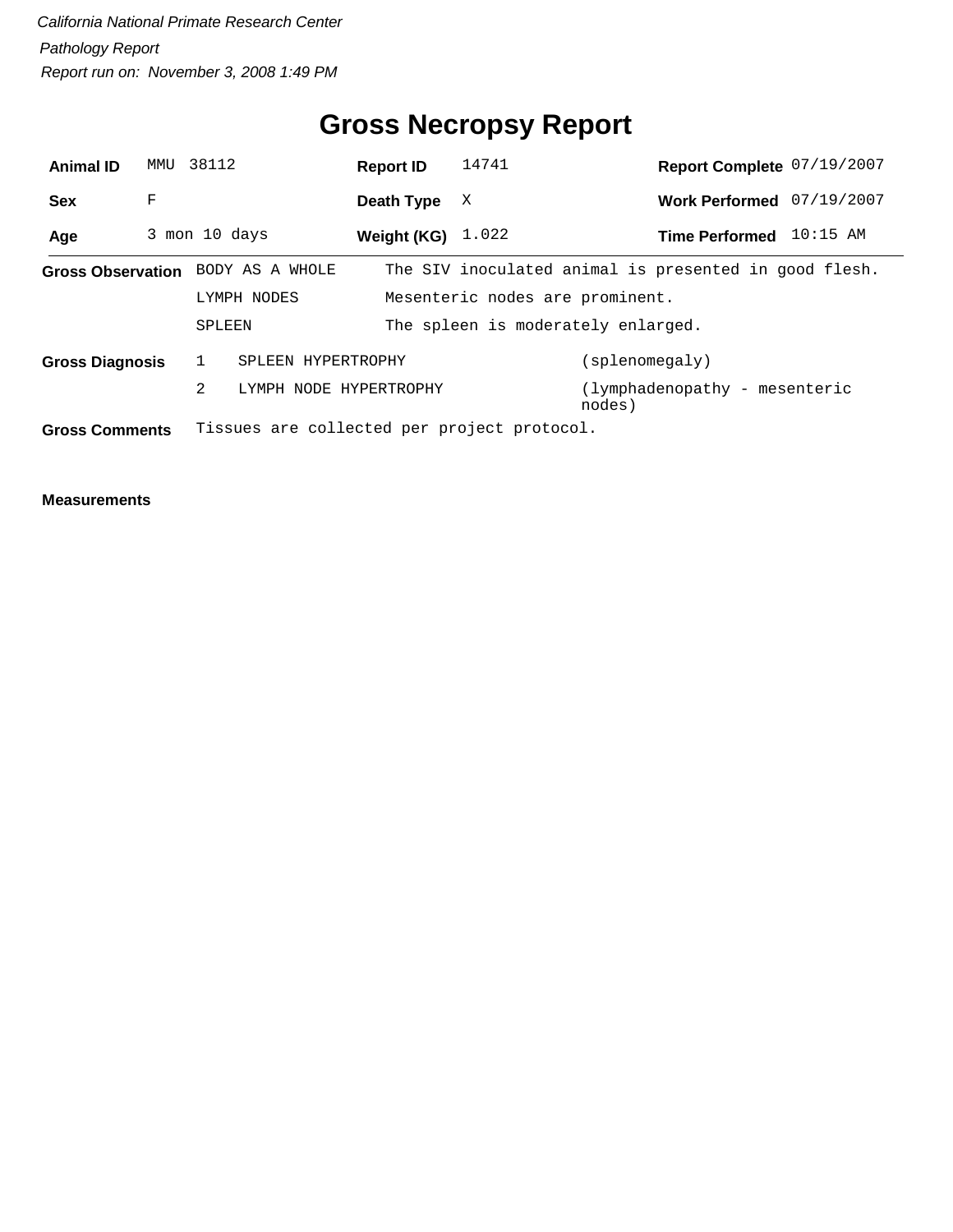# **Gross Necropsy Report**

| <b>Animal ID</b>       |   | MMU 38112                                   | <b>Report ID</b>    | 14741                              | Report Complete 07/19/2007                            |            |
|------------------------|---|---------------------------------------------|---------------------|------------------------------------|-------------------------------------------------------|------------|
| <b>Sex</b>             | F |                                             | Death Type          | X                                  | Work Performed 07/19/2007                             |            |
| Age                    |   | 3 mon 10 days                               | Weight (KG) $1.022$ |                                    | <b>Time Performed</b>                                 | $10:15$ AM |
|                        |   | Gross Observation BODY AS A WHOLE           |                     |                                    | The SIV inoculated animal is presented in good flesh. |            |
|                        |   | LYMPH NODES                                 |                     | Mesenteric nodes are prominent.    |                                                       |            |
|                        |   | SPLEEN                                      |                     | The spleen is moderately enlarged. |                                                       |            |
| <b>Gross Diagnosis</b> |   | SPLEEN HYPERTROPHY                          |                     |                                    | (splenomegaly)                                        |            |
|                        |   | 2<br>LYMPH NODE HYPERTROPHY                 |                     |                                    | (lymphadenopathy - mesenteric<br>nodes)               |            |
| <b>Gross Comments</b>  |   | Tissues are collected per project protocol. |                     |                                    |                                                       |            |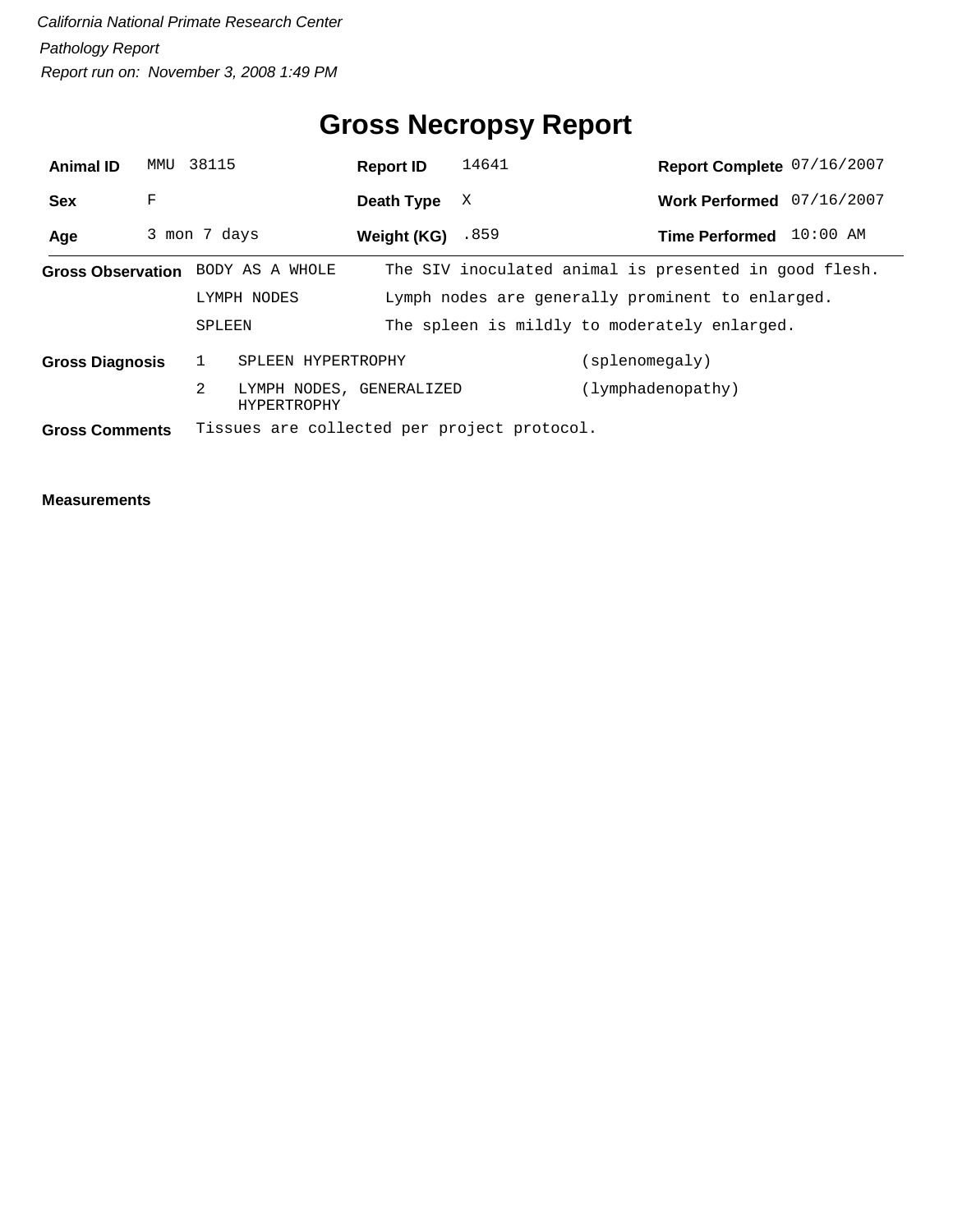## **Gross Necropsy Report**

| <b>Animal ID</b>       | MMU | 38115                             | <b>Report ID</b>         | 14641                                       | Report Complete 07/16/2007                            |
|------------------------|-----|-----------------------------------|--------------------------|---------------------------------------------|-------------------------------------------------------|
| <b>Sex</b>             | F   |                                   | Death Type               | X                                           | Work Performed 07/16/2007                             |
| Age                    |     | 3 mon 7 days                      | Weight (KG)              | .859                                        | $10:00$ AM<br><b>Time Performed</b>                   |
|                        |     | Gross Observation BODY AS A WHOLE |                          |                                             | The SIV inoculated animal is presented in good flesh. |
|                        |     | LYMPH NODES                       |                          |                                             | Lymph nodes are generally prominent to enlarged.      |
|                        |     | SPLEEN                            |                          |                                             | The spleen is mildly to moderately enlarged.          |
| <b>Gross Diagnosis</b> |     | $\mathbf{1}$                      | SPLEEN HYPERTROPHY       |                                             | (splenomegaly)                                        |
|                        |     | 2<br><b>HYPERTROPHY</b>           | LYMPH NODES, GENERALIZED |                                             | (lymphadenopathy)                                     |
| <b>Gross Comments</b>  |     |                                   |                          | Tissues are collected per project protocol. |                                                       |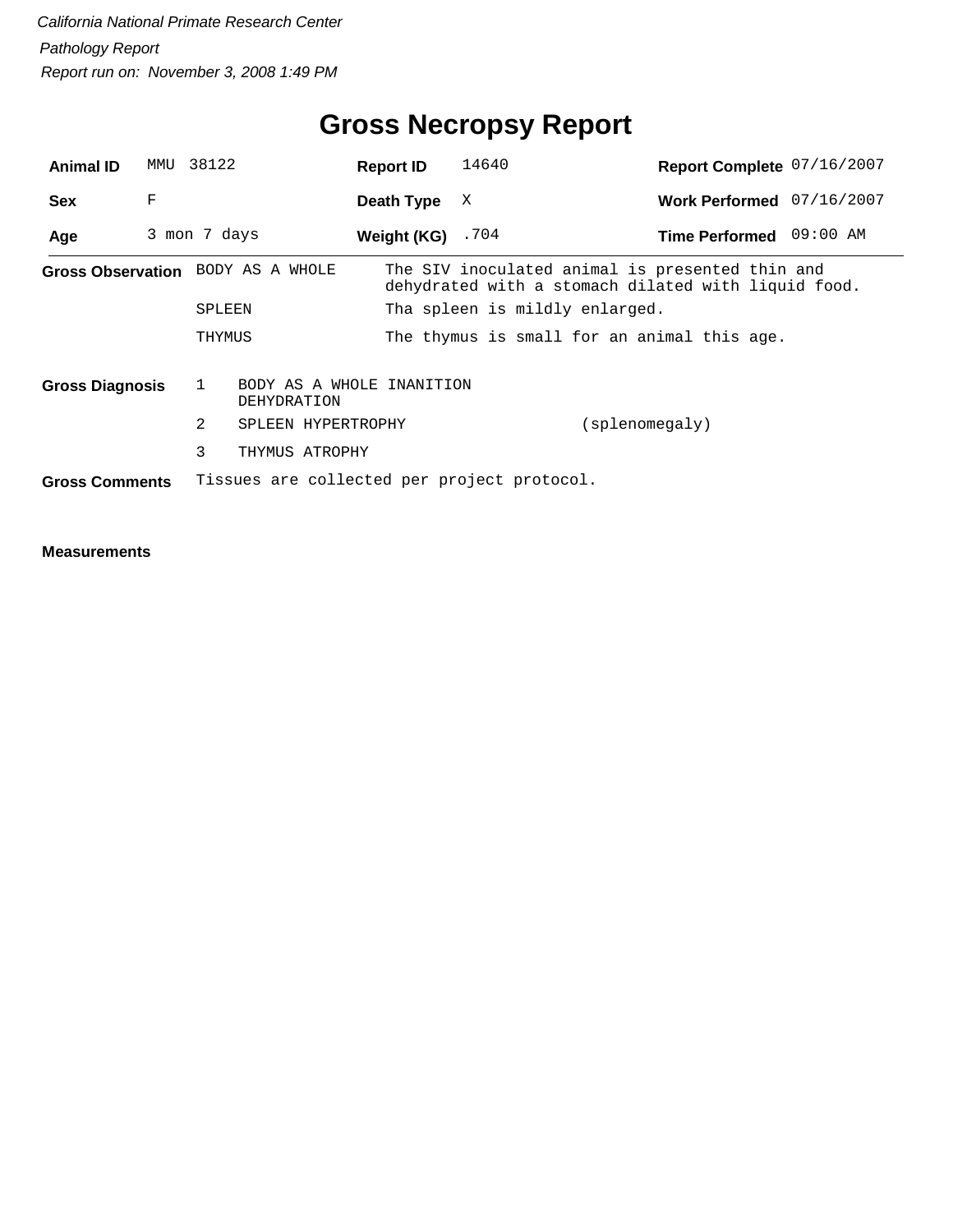## **Gross Necropsy Report**

| <b>Animal ID</b>       | MMU | 38122                                       | <b>Report ID</b>   | 14640                          | Report Complete 07/16/2007                                                                             |
|------------------------|-----|---------------------------------------------|--------------------|--------------------------------|--------------------------------------------------------------------------------------------------------|
| <b>Sex</b>             | F   |                                             | Death Type         | X                              | Work Performed 07/16/2007                                                                              |
| Age                    |     | 3 mon 7 days                                | Weight (KG) $.704$ |                                | 09:00 AM<br><b>Time Performed</b>                                                                      |
|                        |     | Gross Observation BODY AS A WHOLE           |                    |                                | The SIV inoculated animal is presented thin and<br>dehydrated with a stomach dilated with liquid food. |
|                        |     | SPLEEN                                      |                    | Tha spleen is mildly enlarged. |                                                                                                        |
|                        |     | THYMUS                                      |                    |                                | The thymus is small for an animal this age.                                                            |
| <b>Gross Diagnosis</b> |     | BODY AS A WHOLE INANITION<br>DEHYDRATION    |                    |                                |                                                                                                        |
|                        |     | 2<br>SPLEEN HYPERTROPHY                     |                    |                                | (splenomegaly)                                                                                         |
|                        |     | 3<br>THYMUS ATROPHY                         |                    |                                |                                                                                                        |
| <b>Gross Comments</b>  |     | Tissues are collected per project protocol. |                    |                                |                                                                                                        |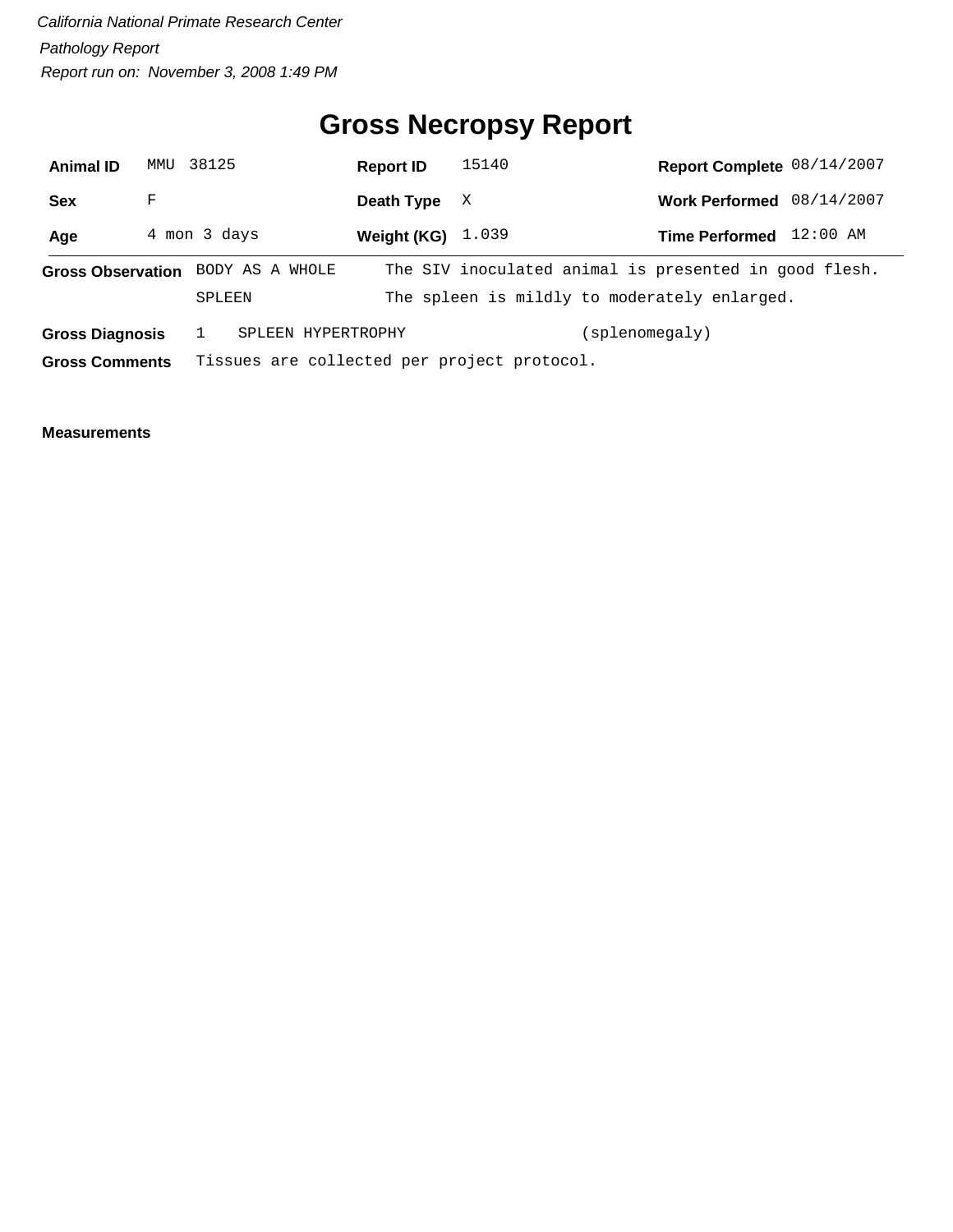## **Gross Necropsy Report**

| <b>Animal ID</b>         | MMU          | 38125                                       |                    | <b>Report ID</b> |  | 15140                                                                                                 | Report Complete 08/14/2007 |            |
|--------------------------|--------------|---------------------------------------------|--------------------|------------------|--|-------------------------------------------------------------------------------------------------------|----------------------------|------------|
| Sex                      | F            |                                             |                    | Death Type       |  | X                                                                                                     | <b>Work Performed</b>      | 08/14/2007 |
| Age                      | 4 mon 3 days |                                             |                    | Weight (KG)      |  | 1.039                                                                                                 | <b>Time Performed</b>      | $12:00$ AM |
| <b>Gross Observation</b> |              | SPLEEN                                      | BODY AS A WHOLE    |                  |  | The SIV inoculated animal is presented in good flesh.<br>The spleen is mildly to moderately enlarged. |                            |            |
| <b>Gross Diagnosis</b>   |              |                                             | SPLEEN HYPERTROPHY |                  |  |                                                                                                       | (splenomegaly)             |            |
| <b>Gross Comments</b>    |              | Tissues are collected per project protocol. |                    |                  |  |                                                                                                       |                            |            |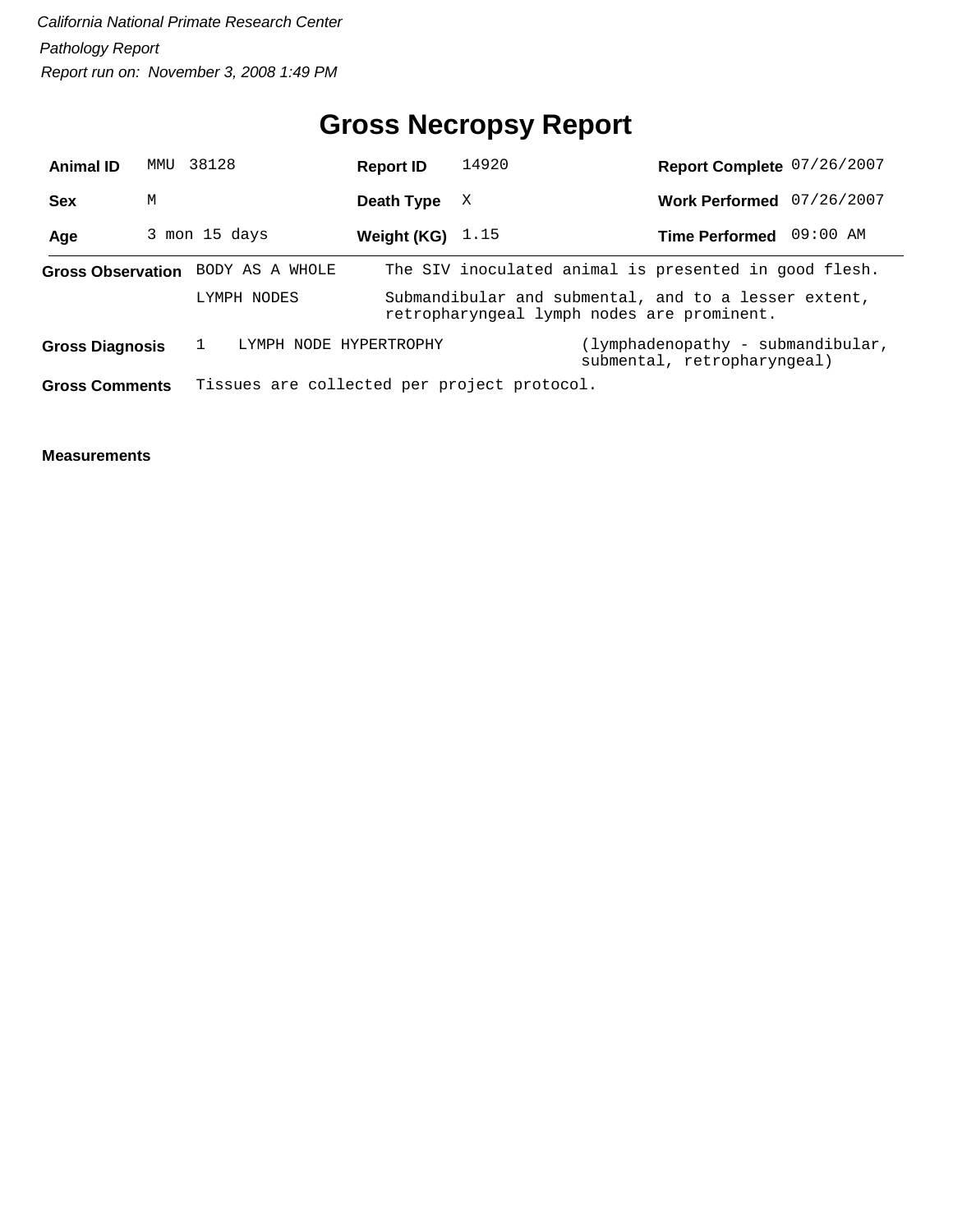## **Gross Necropsy Report**

| <b>Animal ID</b>         | MMU | 38128           | <b>Report ID</b>                            | 14920                                      | Report Complete 07/26/2007                                       |          |
|--------------------------|-----|-----------------|---------------------------------------------|--------------------------------------------|------------------------------------------------------------------|----------|
| <b>Sex</b>               | M   |                 | Death Type                                  | X                                          | Work Performed 07/26/2007                                        |          |
| Age                      |     | 3 mon 15 days   | Weight (KG) $1.15$                          |                                            | <b>Time Performed</b>                                            | 09:00 AM |
| <b>Gross Observation</b> |     | BODY AS A WHOLE |                                             |                                            | The SIV inoculated animal is presented in good flesh.            |          |
|                          |     | LYMPH NODES     |                                             | retropharyngeal lymph nodes are prominent. | Submandibular and submental, and to a lesser extent,             |          |
| <b>Gross Diagnosis</b>   |     |                 | LYMPH NODE HYPERTROPHY                      |                                            | (lymphadenopathy - submandibular,<br>submental, retropharyngeal) |          |
| <b>Gross Comments</b>    |     |                 | Tissues are collected per project protocol. |                                            |                                                                  |          |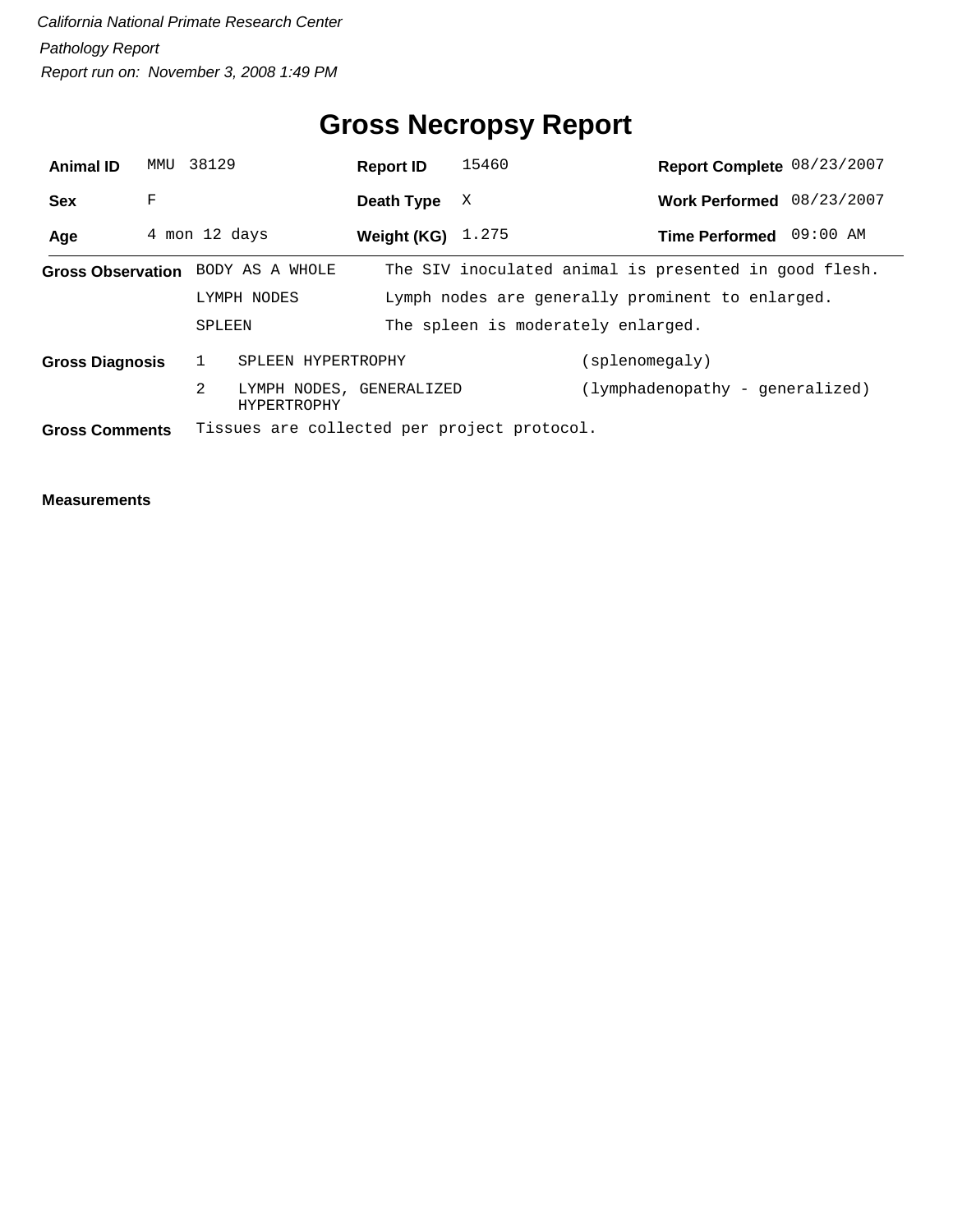## **Gross Necropsy Report**

| <b>Animal ID</b>       | MMU | 38129         |                                                | <b>Report ID</b> |                                                  | 15460                      |                | Report Complete 08/23/2007                            |  |
|------------------------|-----|---------------|------------------------------------------------|------------------|--------------------------------------------------|----------------------------|----------------|-------------------------------------------------------|--|
| <b>Sex</b>             | F   |               |                                                | Death Type       |                                                  | X                          |                | Work Performed 08/23/2007                             |  |
| Age                    |     | 4 mon 12 days |                                                |                  |                                                  | <b>Weight (KG)</b> $1.275$ |                | Time Performed 09:00 AM                               |  |
|                        |     |               | Gross Observation BODY AS A WHOLE              |                  |                                                  |                            |                | The SIV inoculated animal is presented in good flesh. |  |
|                        |     | LYMPH NODES   |                                                |                  | Lymph nodes are generally prominent to enlarged. |                            |                |                                                       |  |
|                        |     | SPLEEN        |                                                |                  | The spleen is moderately enlarged.               |                            |                |                                                       |  |
| <b>Gross Diagnosis</b> |     |               | SPLEEN HYPERTROPHY                             |                  |                                                  |                            | (splenomegaly) |                                                       |  |
|                        |     | 2             | LYMPH NODES, GENERALIZED<br><b>HYPERTROPHY</b> |                  |                                                  |                            |                | (lymphadenopathy - generalized)                       |  |
| <b>Gross Comments</b>  |     |               | Tissues are collected per project protocol.    |                  |                                                  |                            |                |                                                       |  |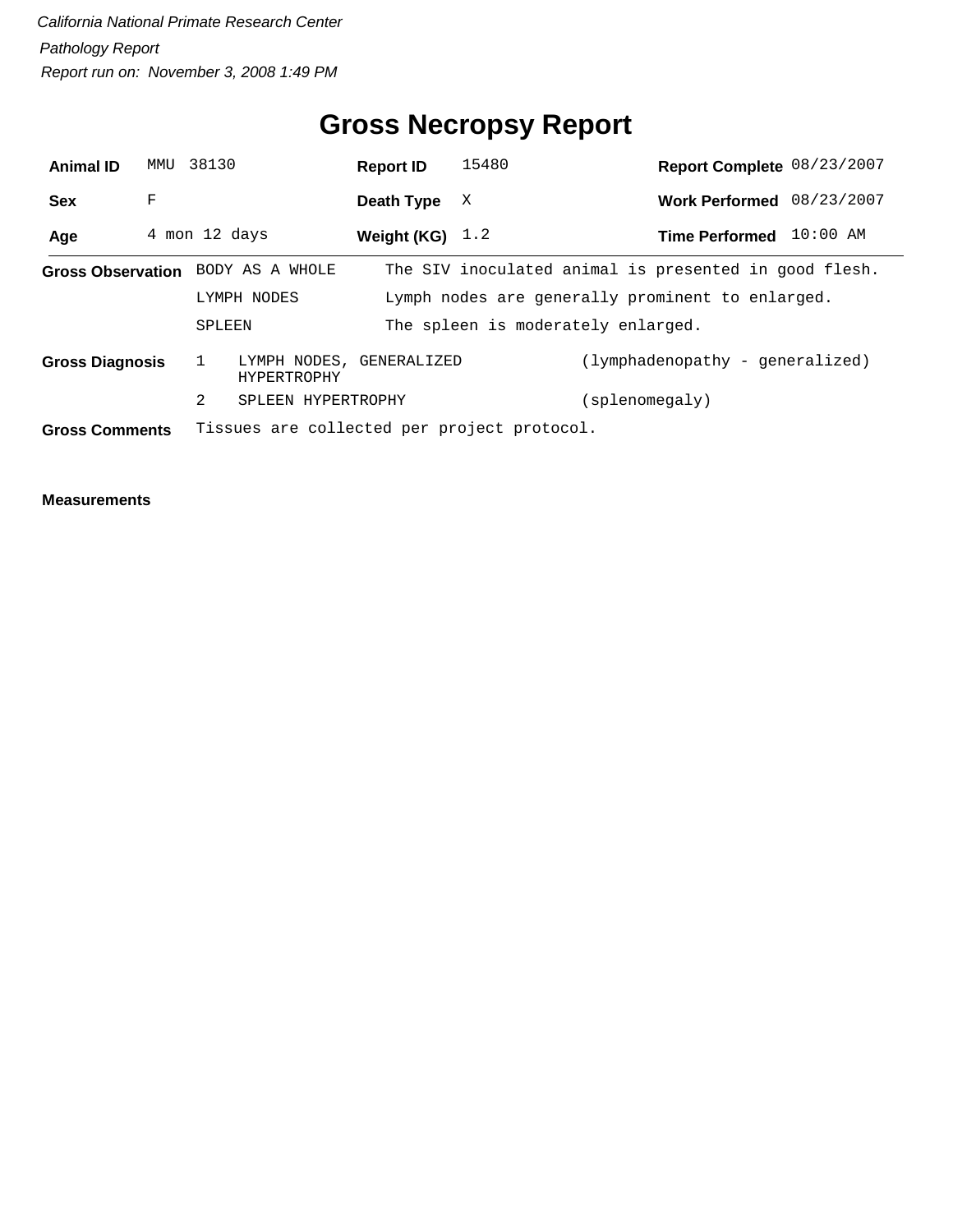## **Gross Necropsy Report**

| <b>Animal ID</b>       | MMU           | 38130       |                                         | <b>Report ID</b>                                 | 15480                                       |                                                       | Report Complete 08/23/2007 |
|------------------------|---------------|-------------|-----------------------------------------|--------------------------------------------------|---------------------------------------------|-------------------------------------------------------|----------------------------|
| <b>Sex</b>             | F             |             |                                         | Death Type                                       | X                                           |                                                       | Work Performed 08/23/2007  |
| Age                    | 4 mon 12 days |             |                                         | Weight (KG) $1.2$                                |                                             |                                                       | Time Performed 10:00 AM    |
|                        |               |             | Gross Observation BODY AS A WHOLE       |                                                  |                                             | The SIV inoculated animal is presented in good flesh. |                            |
|                        |               | LYMPH NODES |                                         | Lymph nodes are generally prominent to enlarged. |                                             |                                                       |                            |
|                        |               | SPLEEN      |                                         | The spleen is moderately enlarged.               |                                             |                                                       |                            |
| <b>Gross Diagnosis</b> |               |             | LYMPH NODES, GENERALIZED<br>HYPERTROPHY |                                                  |                                             | (lymphadenopathy - generalized)                       |                            |
|                        |               | 2           | SPLEEN HYPERTROPHY                      |                                                  |                                             | (splenomegaly)                                        |                            |
| <b>Gross Comments</b>  |               |             |                                         |                                                  | Tissues are collected per project protocol. |                                                       |                            |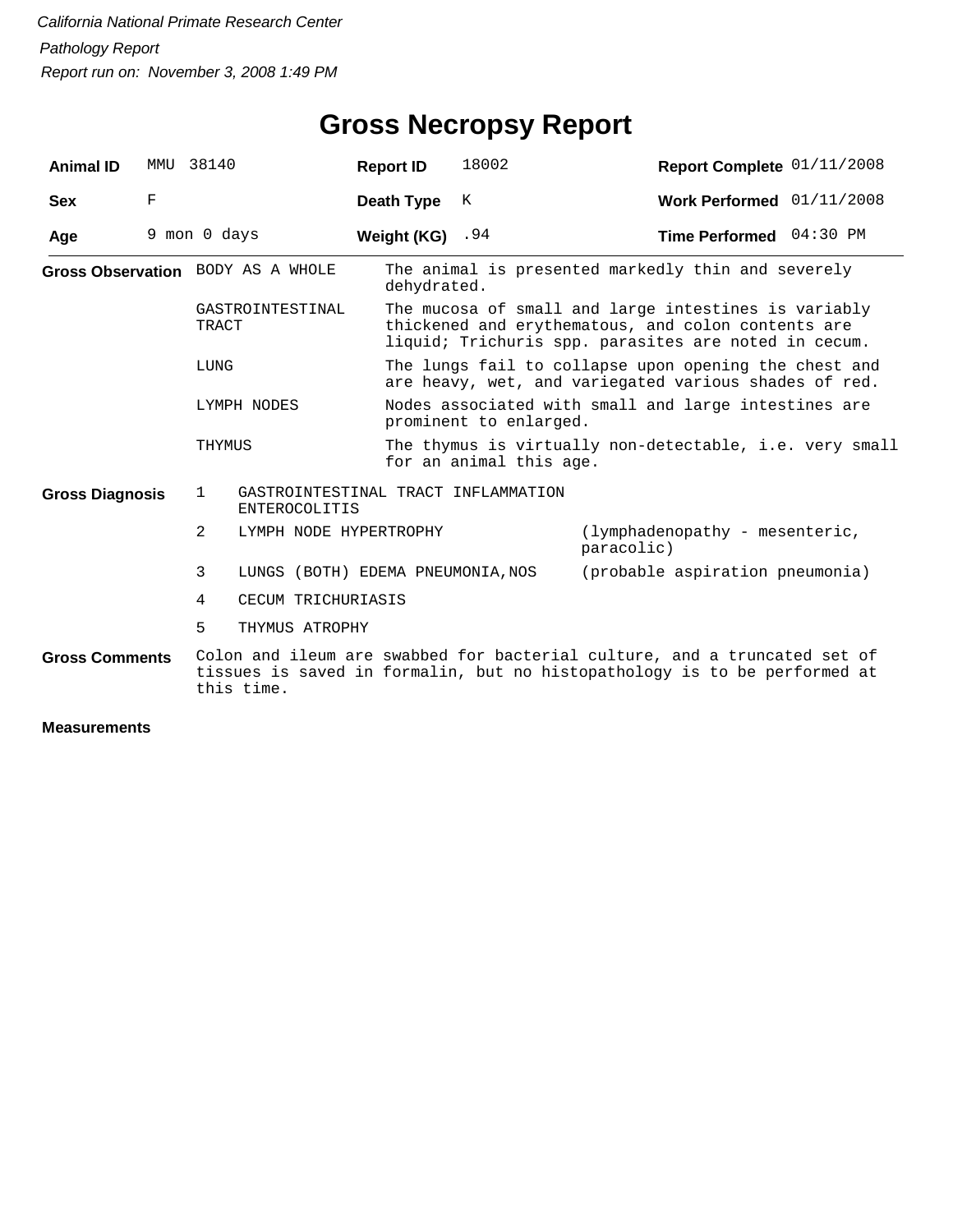| <b>Animal ID</b>       | MMU | 38140                                                                       | <b>Report ID</b> | 18002                                                                                                                                                              | Report Complete 01/11/2008                                                                                                                             |  |  |  |
|------------------------|-----|-----------------------------------------------------------------------------|------------------|--------------------------------------------------------------------------------------------------------------------------------------------------------------------|--------------------------------------------------------------------------------------------------------------------------------------------------------|--|--|--|
| <b>Sex</b>             | F   |                                                                             | Death Type       | К                                                                                                                                                                  | Work Performed $01/11/2008$                                                                                                                            |  |  |  |
| Age                    |     | 9 mon 0 days                                                                | Weight (KG)      | .94                                                                                                                                                                | Time Performed 04:30 PM                                                                                                                                |  |  |  |
|                        |     | Gross Observation BODY AS A WHOLE                                           |                  | The animal is presented markedly thin and severely<br>dehydrated.                                                                                                  |                                                                                                                                                        |  |  |  |
|                        |     | GASTROINTESTINAL<br><b>TRACT</b>                                            |                  | The mucosa of small and large intestines is variably<br>thickened and erythematous, and colon contents are<br>liquid; Trichuris spp. parasites are noted in cecum. |                                                                                                                                                        |  |  |  |
|                        |     | LUNG                                                                        |                  | The lungs fail to collapse upon opening the chest and<br>are heavy, wet, and variegated various shades of red.                                                     |                                                                                                                                                        |  |  |  |
|                        |     | LYMPH NODES                                                                 |                  | prominent to enlarged.                                                                                                                                             | Nodes associated with small and large intestines are                                                                                                   |  |  |  |
|                        |     | THYMUS                                                                      |                  | for an animal this age.                                                                                                                                            | The thymus is virtually non-detectable, i.e. very small                                                                                                |  |  |  |
| <b>Gross Diagnosis</b> |     | GASTROINTESTINAL TRACT INFLAMMATION<br>$\mathbf{1}$<br><b>ENTEROCOLITIS</b> |                  |                                                                                                                                                                    |                                                                                                                                                        |  |  |  |
|                        |     | 2<br>LYMPH NODE HYPERTROPHY                                                 |                  |                                                                                                                                                                    | (lymphadenopathy - mesenteric,<br>paracolic)                                                                                                           |  |  |  |
|                        |     | 3<br>LUNGS (BOTH) EDEMA PNEUMONIA, NOS                                      |                  |                                                                                                                                                                    | (probable aspiration pneumonia)                                                                                                                        |  |  |  |
|                        |     | 4<br>CECUM TRICHURIASIS                                                     |                  |                                                                                                                                                                    |                                                                                                                                                        |  |  |  |
|                        |     | 5<br>THYMUS ATROPHY                                                         |                  |                                                                                                                                                                    |                                                                                                                                                        |  |  |  |
| <b>Gross Comments</b>  |     | this time.                                                                  |                  |                                                                                                                                                                    | Colon and ileum are swabbed for bacterial culture, and a truncated set of<br>tissues is saved in formalin, but no histopathology is to be performed at |  |  |  |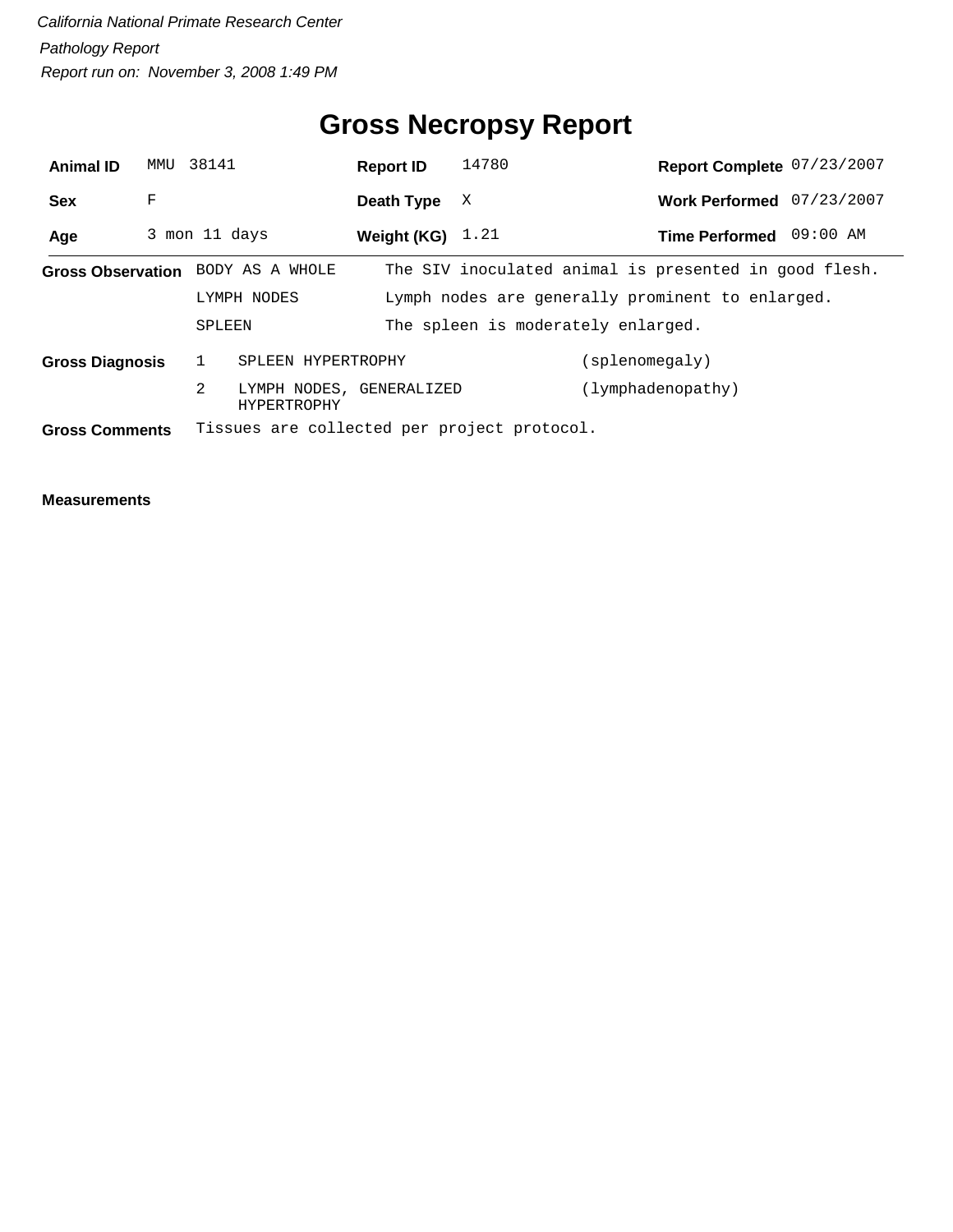## **Gross Necropsy Report**

| <b>Animal ID</b>       | MMU | 38141         |                                                | <b>Report ID</b>   |                                    | 14780                                                 |                | Report Complete 07/23/2007 |          |
|------------------------|-----|---------------|------------------------------------------------|--------------------|------------------------------------|-------------------------------------------------------|----------------|----------------------------|----------|
| <b>Sex</b>             | F   |               |                                                | Death Type         |                                    | X                                                     |                | Work Performed 07/23/2007  |          |
| Age                    |     | 3 mon 11 days |                                                | Weight (KG) $1.21$ |                                    |                                                       |                | <b>Time Performed</b>      | 09:00 AM |
|                        |     |               | Gross Observation BODY AS A WHOLE              |                    |                                    | The SIV inoculated animal is presented in good flesh. |                |                            |          |
|                        |     | LYMPH NODES   |                                                |                    |                                    | Lymph nodes are generally prominent to enlarged.      |                |                            |          |
|                        |     |               | SPLEEN                                         |                    | The spleen is moderately enlarged. |                                                       |                |                            |          |
| <b>Gross Diagnosis</b> |     |               | SPLEEN HYPERTROPHY                             |                    |                                    |                                                       | (splenomegaly) |                            |          |
|                        |     | 2             | LYMPH NODES, GENERALIZED<br><b>HYPERTROPHY</b> |                    |                                    |                                                       |                | (lymphadenopathy)          |          |
| <b>Gross Comments</b>  |     |               |                                                |                    |                                    | Tissues are collected per project protocol.           |                |                            |          |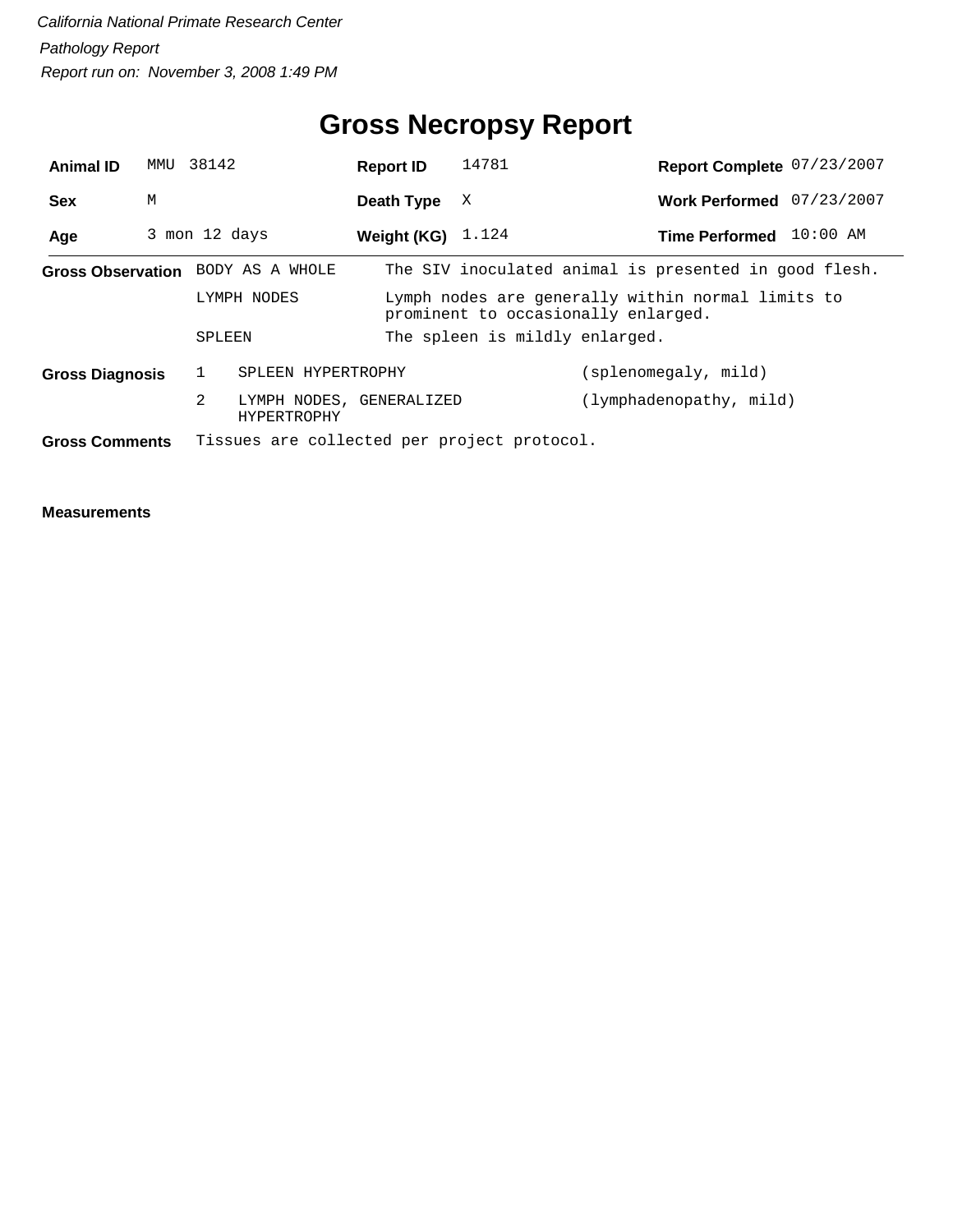## **Gross Necropsy Report**

| <b>Animal ID</b>                  | MMU | 38142         |                                                | <b>Report ID</b>    | 14781                                                                                    |                                                       | Report Complete 07/23/2007 |  |  |
|-----------------------------------|-----|---------------|------------------------------------------------|---------------------|------------------------------------------------------------------------------------------|-------------------------------------------------------|----------------------------|--|--|
| <b>Sex</b>                        | M   |               |                                                | Death Type          | X                                                                                        |                                                       | Work Performed 07/23/2007  |  |  |
| Age                               |     | 3 mon 12 days |                                                | Weight (KG) $1.124$ |                                                                                          | <b>Time Performed</b>                                 | $10:00$ AM                 |  |  |
| Gross Observation BODY AS A WHOLE |     |               |                                                |                     |                                                                                          | The SIV inoculated animal is presented in good flesh. |                            |  |  |
|                                   |     |               | LYMPH NODES                                    |                     | Lymph nodes are generally within normal limits to<br>prominent to occasionally enlarged. |                                                       |                            |  |  |
|                                   |     | SPLEEN        |                                                |                     | The spleen is mildly enlarged.                                                           |                                                       |                            |  |  |
| <b>Gross Diagnosis</b>            |     | $\mathbf{1}$  | SPLEEN HYPERTROPHY                             |                     |                                                                                          | (splenomegaly, mild)                                  |                            |  |  |
|                                   |     | 2             | LYMPH NODES, GENERALIZED<br><b>HYPERTROPHY</b> |                     |                                                                                          | (lymphadenopathy, mild)                               |                            |  |  |
| <b>Gross Comments</b>             |     |               |                                                |                     | Tissues are collected per project protocol.                                              |                                                       |                            |  |  |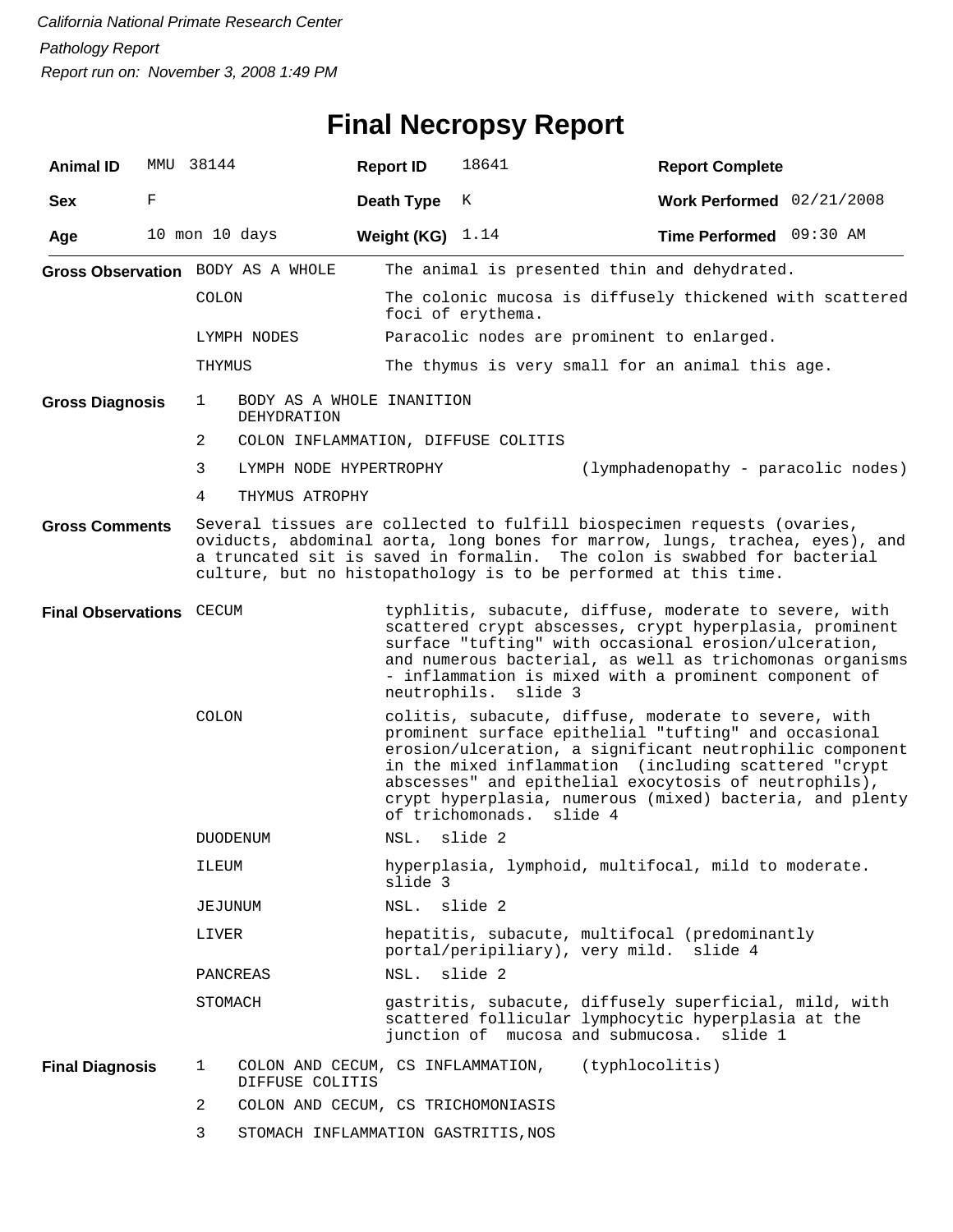# **Final Necropsy Report**

| <b>Animal ID</b>         | MMU 38144 |                |                                                      | <b>Report ID</b>   | 18641                                                                                                                                                                                                                                                                                                                                                                                  | <b>Report Complete</b>              |  |  |  |  |
|--------------------------|-----------|----------------|------------------------------------------------------|--------------------|----------------------------------------------------------------------------------------------------------------------------------------------------------------------------------------------------------------------------------------------------------------------------------------------------------------------------------------------------------------------------------------|-------------------------------------|--|--|--|--|
| <b>Sex</b>               | F         |                |                                                      | Death Type         | К                                                                                                                                                                                                                                                                                                                                                                                      | Work Performed 02/21/2008           |  |  |  |  |
| Age                      |           |                | 10 mon 10 days                                       | Weight (KG) $1.14$ |                                                                                                                                                                                                                                                                                                                                                                                        | Time Performed 09:30 AM             |  |  |  |  |
|                          |           |                | Gross Observation BODY AS A WHOLE                    |                    | The animal is presented thin and dehydrated.                                                                                                                                                                                                                                                                                                                                           |                                     |  |  |  |  |
|                          |           | <b>COLON</b>   |                                                      |                    | The colonic mucosa is diffusely thickened with scattered<br>foci of erythema.                                                                                                                                                                                                                                                                                                          |                                     |  |  |  |  |
|                          |           |                | LYMPH NODES                                          |                    | Paracolic nodes are prominent to enlarged.                                                                                                                                                                                                                                                                                                                                             |                                     |  |  |  |  |
|                          |           | THYMUS         |                                                      |                    | The thymus is very small for an animal this age.                                                                                                                                                                                                                                                                                                                                       |                                     |  |  |  |  |
| <b>Gross Diagnosis</b>   |           | 1              | BODY AS A WHOLE INANITION<br>DEHYDRATION             |                    |                                                                                                                                                                                                                                                                                                                                                                                        |                                     |  |  |  |  |
|                          |           | 2              | COLON INFLAMMATION, DIFFUSE COLITIS                  |                    |                                                                                                                                                                                                                                                                                                                                                                                        |                                     |  |  |  |  |
|                          |           | 3              | LYMPH NODE HYPERTROPHY                               |                    |                                                                                                                                                                                                                                                                                                                                                                                        | (lymphadenopathy - paracolic nodes) |  |  |  |  |
|                          |           | 4              | THYMUS ATROPHY                                       |                    |                                                                                                                                                                                                                                                                                                                                                                                        |                                     |  |  |  |  |
| <b>Gross Comments</b>    |           |                |                                                      |                    | Several tissues are collected to fulfill biospecimen requests (ovaries,<br>oviducts, abdominal aorta, long bones for marrow, lungs, trachea, eyes), and<br>a truncated sit is saved in formalin. The colon is swabbed for bacterial<br>culture, but no histopathology is to be performed at this time.                                                                                 |                                     |  |  |  |  |
| Final Observations CECUM |           |                |                                                      |                    | typhlitis, subacute, diffuse, moderate to severe, with<br>scattered crypt abscesses, crypt hyperplasia, prominent<br>surface "tufting" with occasional erosion/ulceration,<br>and numerous bacterial, as well as trichomonas organisms<br>- inflammation is mixed with a prominent component of<br>neutrophils. slide 3                                                                |                                     |  |  |  |  |
|                          |           | COLON          |                                                      |                    | colitis, subacute, diffuse, moderate to severe, with<br>prominent surface epithelial "tufting" and occasional<br>erosion/ulceration, a significant neutrophilic component<br>in the mixed inflammation (including scattered "crypt<br>abscesses" and epithelial exocytosis of neutrophils),<br>crypt hyperplasia, numerous (mixed) bacteria, and plenty<br>of trichomonads.<br>slide 4 |                                     |  |  |  |  |
|                          |           |                | <b>DUODENUM</b>                                      | NSL.               | slide 2                                                                                                                                                                                                                                                                                                                                                                                |                                     |  |  |  |  |
|                          |           | ILEUM          |                                                      | slide 3            | hyperplasia, lymphoid, multifocal, mild to moderate.                                                                                                                                                                                                                                                                                                                                   |                                     |  |  |  |  |
|                          |           | JEJUNUM        |                                                      | NSL. slide 2       |                                                                                                                                                                                                                                                                                                                                                                                        |                                     |  |  |  |  |
|                          |           | LIVER          |                                                      |                    | hepatitis, subacute, multifocal (predominantly<br>portal/peripiliary), very mild. slide 4                                                                                                                                                                                                                                                                                              |                                     |  |  |  |  |
|                          |           |                | PANCREAS                                             | NSL.               | slide 2                                                                                                                                                                                                                                                                                                                                                                                |                                     |  |  |  |  |
|                          |           | STOMACH        |                                                      |                    | gastritis, subacute, diffusely superficial, mild, with<br>scattered follicular lymphocytic hyperplasia at the<br>junction of mucosa and submucosa. slide 1                                                                                                                                                                                                                             |                                     |  |  |  |  |
| <b>Final Diagnosis</b>   |           | 1              | COLON AND CECUM, CS INFLAMMATION,<br>DIFFUSE COLITIS |                    | (typhlocolitis)                                                                                                                                                                                                                                                                                                                                                                        |                                     |  |  |  |  |
|                          |           | $\overline{2}$ | COLON AND CECUM, CS TRICHOMONIASIS                   |                    |                                                                                                                                                                                                                                                                                                                                                                                        |                                     |  |  |  |  |
|                          |           | 3              | STOMACH INFLAMMATION GASTRITIS, NOS                  |                    |                                                                                                                                                                                                                                                                                                                                                                                        |                                     |  |  |  |  |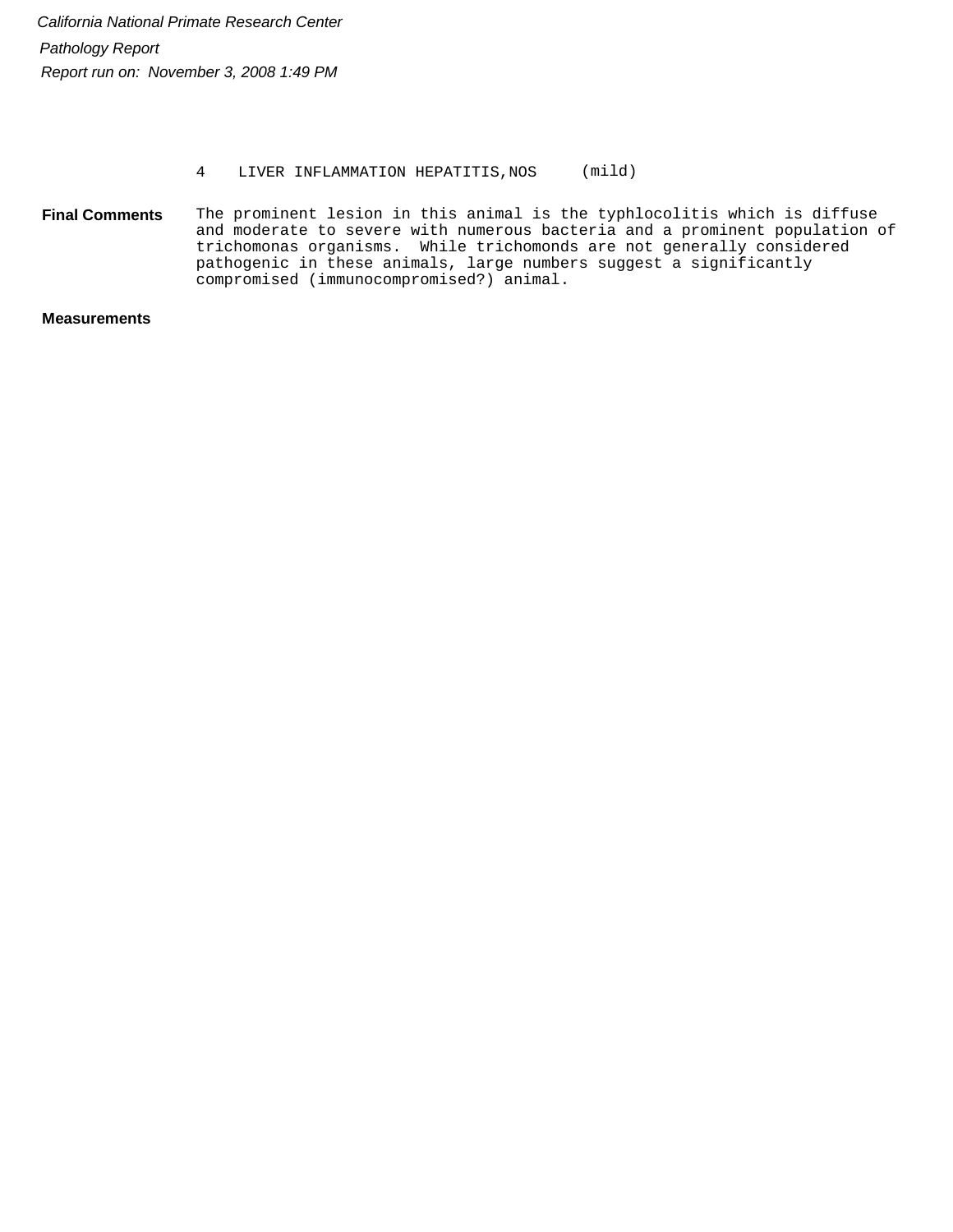#### 4 LIVER INFLAMMATION HEPATITIS,NOS (mild)

The prominent lesion in this animal is the typhlocolitis which is diffuse and moderate to severe with numerous bacteria and a prominent population of trichomonas organisms. While trichomonds are not generally considered pathogenic in these animals, large numbers suggest a significantly compromised (immunocompromised?) animal. **Final Comments**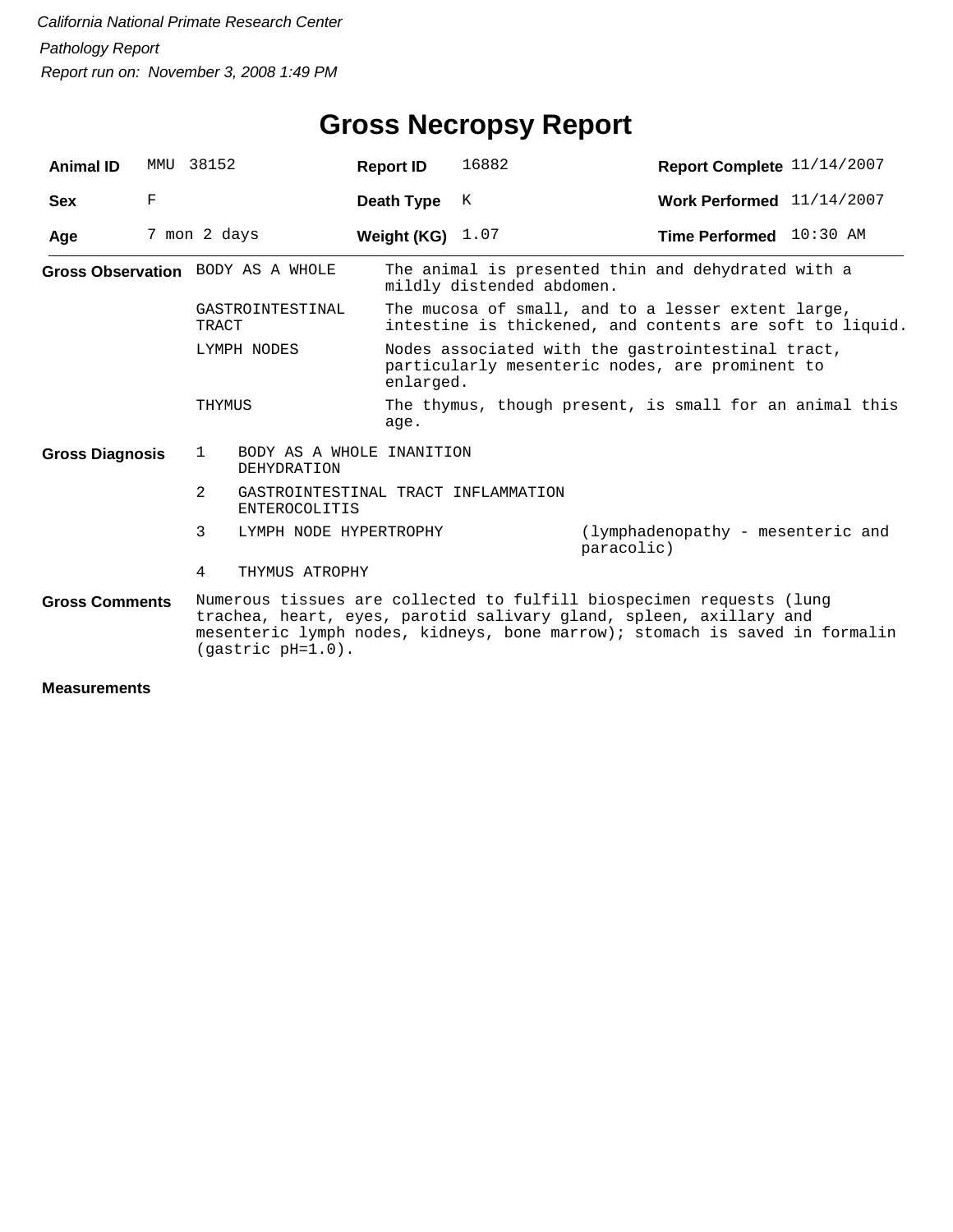| <b>Animal ID</b>       | MMU | 38152                                                                 |                                                             | <b>Report ID</b>   | 16882                                                                                                             | Report Complete 11/14/2007                                                                                                                                                                                                |  |  |  |
|------------------------|-----|-----------------------------------------------------------------------|-------------------------------------------------------------|--------------------|-------------------------------------------------------------------------------------------------------------------|---------------------------------------------------------------------------------------------------------------------------------------------------------------------------------------------------------------------------|--|--|--|
| <b>Sex</b>             | F   |                                                                       |                                                             | Death Type         | К                                                                                                                 | Work Performed 11/14/2007                                                                                                                                                                                                 |  |  |  |
| Age                    |     | 7 mon 2 days                                                          |                                                             | Weight (KG) $1.07$ |                                                                                                                   | Time Performed 10:30 AM                                                                                                                                                                                                   |  |  |  |
|                        |     | Gross Observation BODY AS A WHOLE<br>GASTROINTESTINAL<br><b>TRACT</b> |                                                             |                    | mildly distended abdomen.                                                                                         | The animal is presented thin and dehydrated with a                                                                                                                                                                        |  |  |  |
|                        |     |                                                                       |                                                             |                    |                                                                                                                   | The mucosa of small, and to a lesser extent large,<br>intestine is thickened, and contents are soft to liquid.                                                                                                            |  |  |  |
|                        |     | LYMPH NODES                                                           |                                                             |                    | Nodes associated with the gastrointestinal tract,<br>particularly mesenteric nodes, are prominent to<br>enlarged. |                                                                                                                                                                                                                           |  |  |  |
|                        |     | THYMUS                                                                |                                                             | age.               |                                                                                                                   | The thymus, though present, is small for an animal this                                                                                                                                                                   |  |  |  |
| <b>Gross Diagnosis</b> |     | 1                                                                     | BODY AS A WHOLE INANITION<br>DEHYDRATION                    |                    |                                                                                                                   |                                                                                                                                                                                                                           |  |  |  |
|                        |     | 2                                                                     | GASTROINTESTINAL TRACT INFLAMMATION<br><b>ENTEROCOLITIS</b> |                    |                                                                                                                   |                                                                                                                                                                                                                           |  |  |  |
|                        |     | 3                                                                     | LYMPH NODE HYPERTROPHY                                      |                    |                                                                                                                   | (lymphadenopathy - mesenteric and<br>paracolic)                                                                                                                                                                           |  |  |  |
|                        |     | 4                                                                     | THYMUS ATROPHY                                              |                    |                                                                                                                   |                                                                                                                                                                                                                           |  |  |  |
| <b>Gross Comments</b>  |     |                                                                       | (gastric pH=1.0).                                           |                    |                                                                                                                   | Numerous tissues are collected to fulfill biospecimen requests (lung<br>trachea, heart, eyes, parotid salivary gland, spleen, axillary and<br>mesenteric lymph nodes, kidneys, bone marrow); stomach is saved in formalin |  |  |  |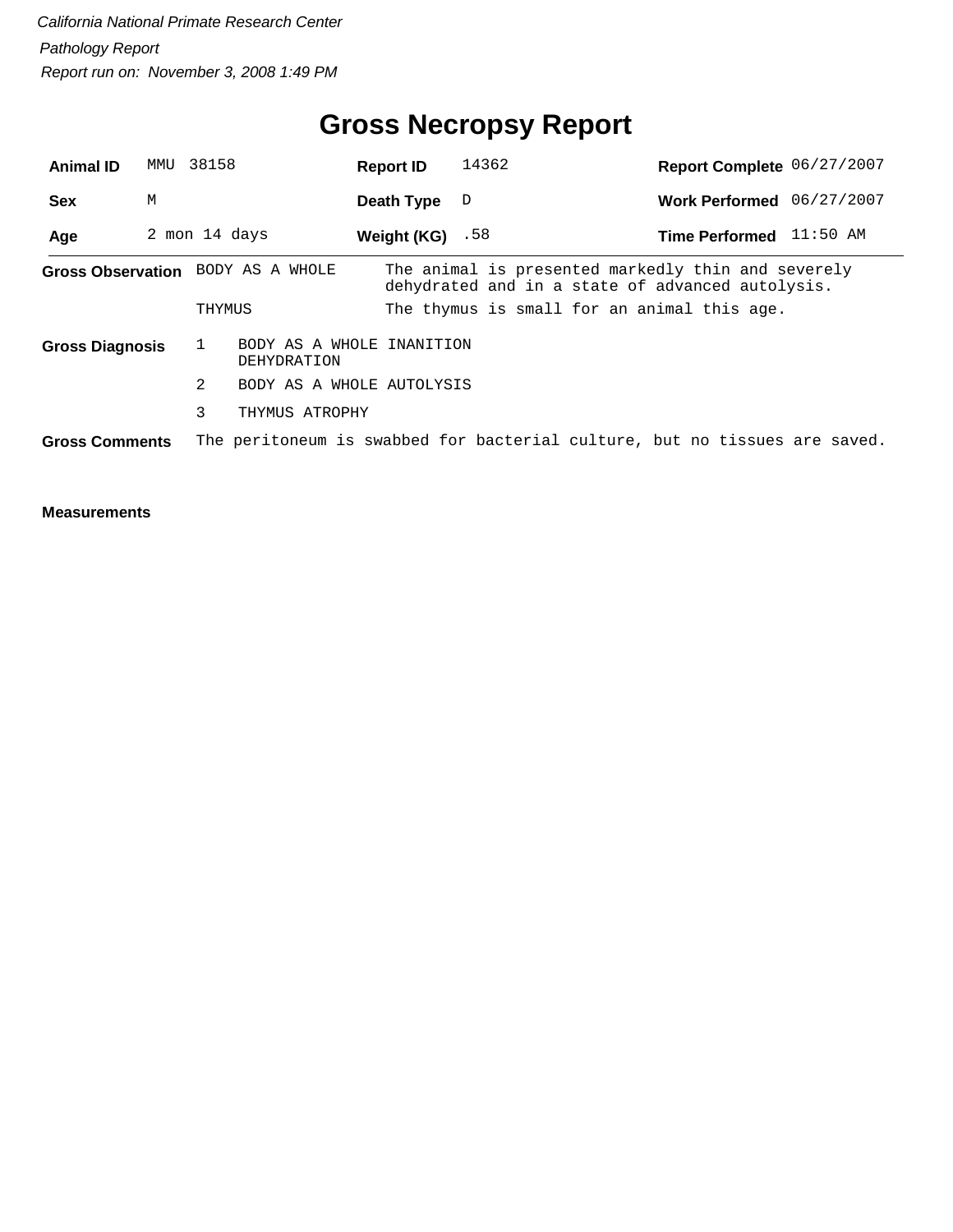## **Gross Necropsy Report**

| <b>Animal ID</b>       | MMU | 38158                                                    | <b>Report ID</b>   | 14362                                            | Report Complete 06/27/2007                                                 |
|------------------------|-----|----------------------------------------------------------|--------------------|--------------------------------------------------|----------------------------------------------------------------------------|
| <b>Sex</b>             | M   |                                                          | Death Type         | D                                                | 06/27/2007<br><b>Work Performed</b>                                        |
| Age                    |     | 2 mon 14 days                                            | Weight $(KG)$ . 58 |                                                  | $11:50$ AM<br><b>Time Performed</b>                                        |
|                        |     | Gross Observation BODY AS A WHOLE                        |                    | dehydrated and in a state of advanced autolysis. | The animal is presented markedly thin and severely                         |
|                        |     | THYMUS                                                   |                    | The thymus is small for an animal this age.      |                                                                            |
| <b>Gross Diagnosis</b> |     | BODY AS A WHOLE INANITION<br>$\mathbf{1}$<br>DEHYDRATION |                    |                                                  |                                                                            |
|                        |     | 2<br>BODY AS A WHOLE AUTOLYSIS                           |                    |                                                  |                                                                            |
|                        |     | 3<br>THYMUS ATROPHY                                      |                    |                                                  |                                                                            |
| <b>Gross Comments</b>  |     |                                                          |                    |                                                  | The peritoneum is swabbed for bacterial culture, but no tissues are saved. |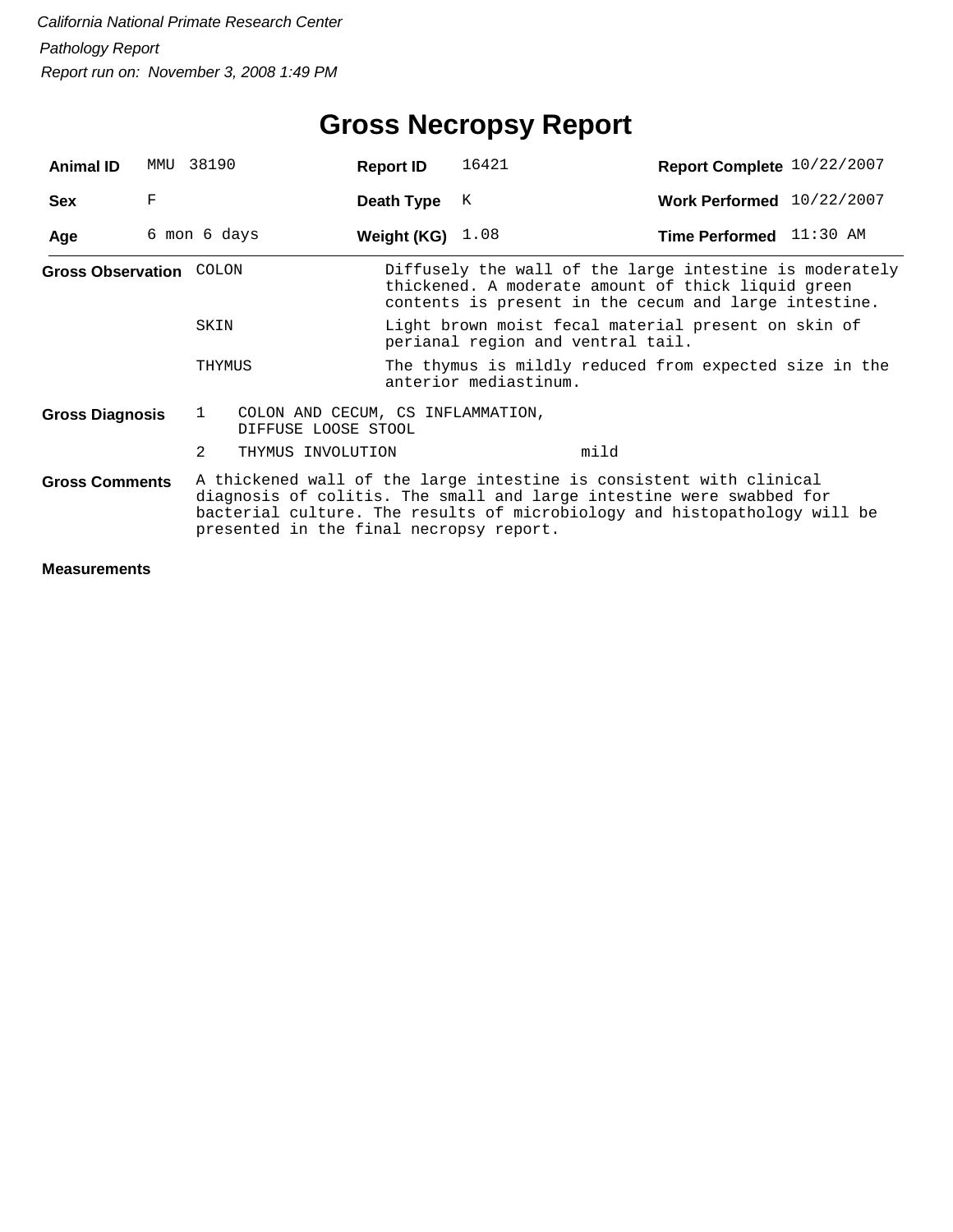## **Gross Necropsy Report**

| <b>Animal ID</b>               |   | MMU 38190                           | <b>Report ID</b>                                                                                                                                                                                                                                                    | 16421                                                                                                                                                                  | Report Complete 10/22/2007 |  |  |  |
|--------------------------------|---|-------------------------------------|---------------------------------------------------------------------------------------------------------------------------------------------------------------------------------------------------------------------------------------------------------------------|------------------------------------------------------------------------------------------------------------------------------------------------------------------------|----------------------------|--|--|--|
| <b>Sex</b>                     | F |                                     | Death Type                                                                                                                                                                                                                                                          | K                                                                                                                                                                      | Work Performed 10/22/2007  |  |  |  |
| Age                            |   | 6 mon 6 days                        | Weight (KG) $1.08$                                                                                                                                                                                                                                                  |                                                                                                                                                                        | Time Performed 11:30 AM    |  |  |  |
| <b>Gross Observation COLON</b> |   |                                     |                                                                                                                                                                                                                                                                     | Diffusely the wall of the large intestine is moderately<br>thickened. A moderate amount of thick liquid green<br>contents is present in the cecum and large intestine. |                            |  |  |  |
|                                |   | SKIN                                |                                                                                                                                                                                                                                                                     | Light brown moist fecal material present on skin of<br>perianal region and ventral tail.                                                                               |                            |  |  |  |
|                                |   | THYMUS                              | The thymus is mildly reduced from expected size in the<br>anterior mediastinum.                                                                                                                                                                                     |                                                                                                                                                                        |                            |  |  |  |
| <b>Gross Diagnosis</b>         |   | $\mathbf{1}$<br>DIFFUSE LOOSE STOOL | COLON AND CECUM, CS INFLAMMATION,                                                                                                                                                                                                                                   |                                                                                                                                                                        |                            |  |  |  |
|                                |   | $\mathcal{L}$<br>THYMUS INVOLUTION  |                                                                                                                                                                                                                                                                     | mild                                                                                                                                                                   |                            |  |  |  |
| <b>Gross Comments</b>          |   |                                     | A thickened wall of the large intestine is consistent with clinical<br>diagnosis of colitis. The small and large intestine were swabbed for<br>bacterial culture. The results of microbiology and histopathology will be<br>presented in the final necropsy report. |                                                                                                                                                                        |                            |  |  |  |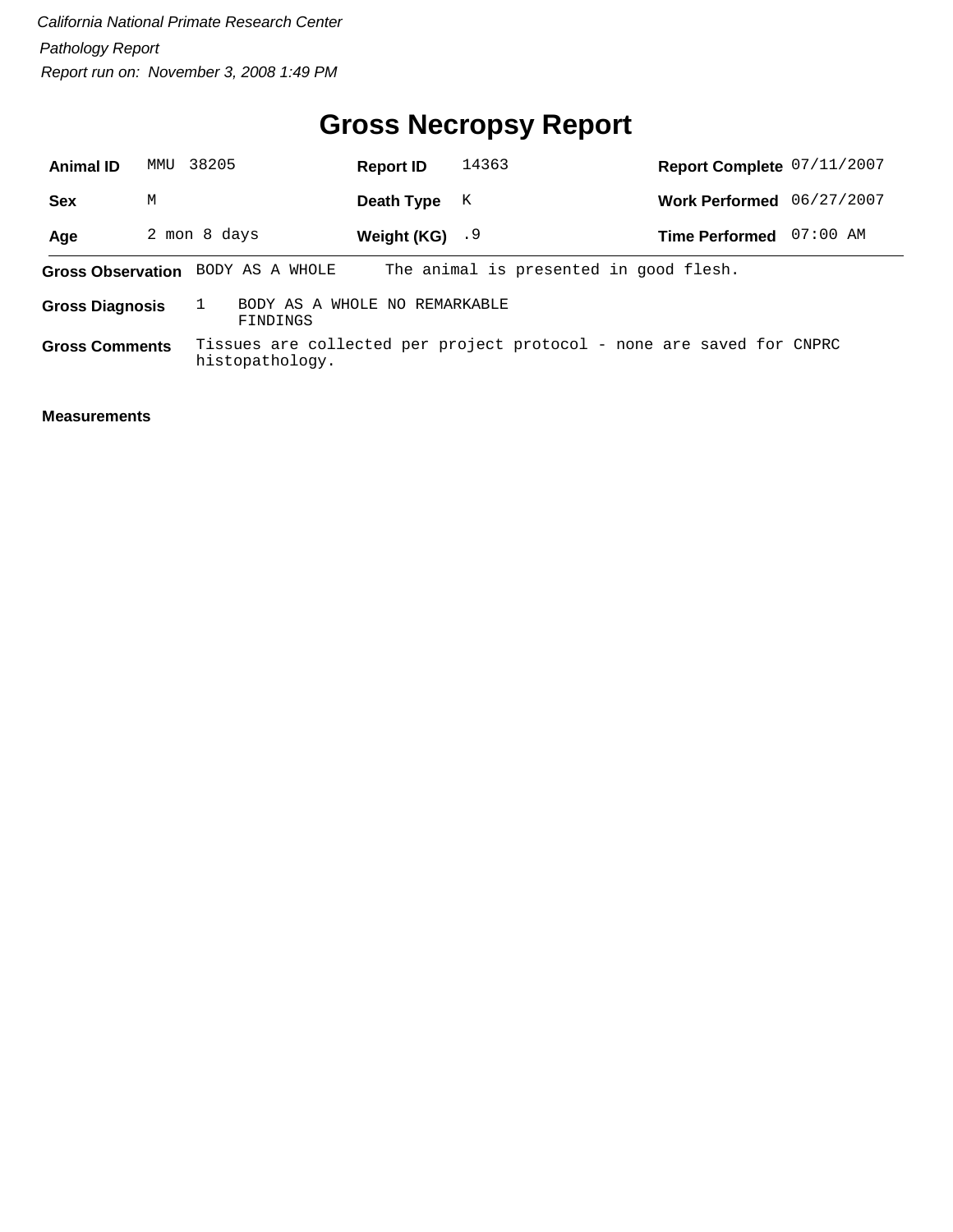## **Gross Necropsy Report**

| <b>Animal ID</b>                                                    | MMU | 38205                             | <b>Report ID</b> | 14363                                                                 | Report Complete 07/11/2007 |            |
|---------------------------------------------------------------------|-----|-----------------------------------|------------------|-----------------------------------------------------------------------|----------------------------|------------|
| Sex                                                                 | М   |                                   | Death Type       | K                                                                     | Work Performed 06/27/2007  |            |
| Age                                                                 |     | 2 mon 8 days                      | Weight (KG) $.9$ |                                                                       | <b>Time Performed</b>      | $07:00$ AM |
|                                                                     |     | Gross Observation BODY AS A WHOLE |                  | The animal is presented in good flesh.                                |                            |            |
| BODY AS A WHOLE NO REMARKABLE<br><b>Gross Diagnosis</b><br>FINDINGS |     |                                   |                  |                                                                       |                            |            |
| <b>Gross Comments</b>                                               |     | histopathology.                   |                  | Tissues are collected per project protocol - none are saved for CNPRC |                            |            |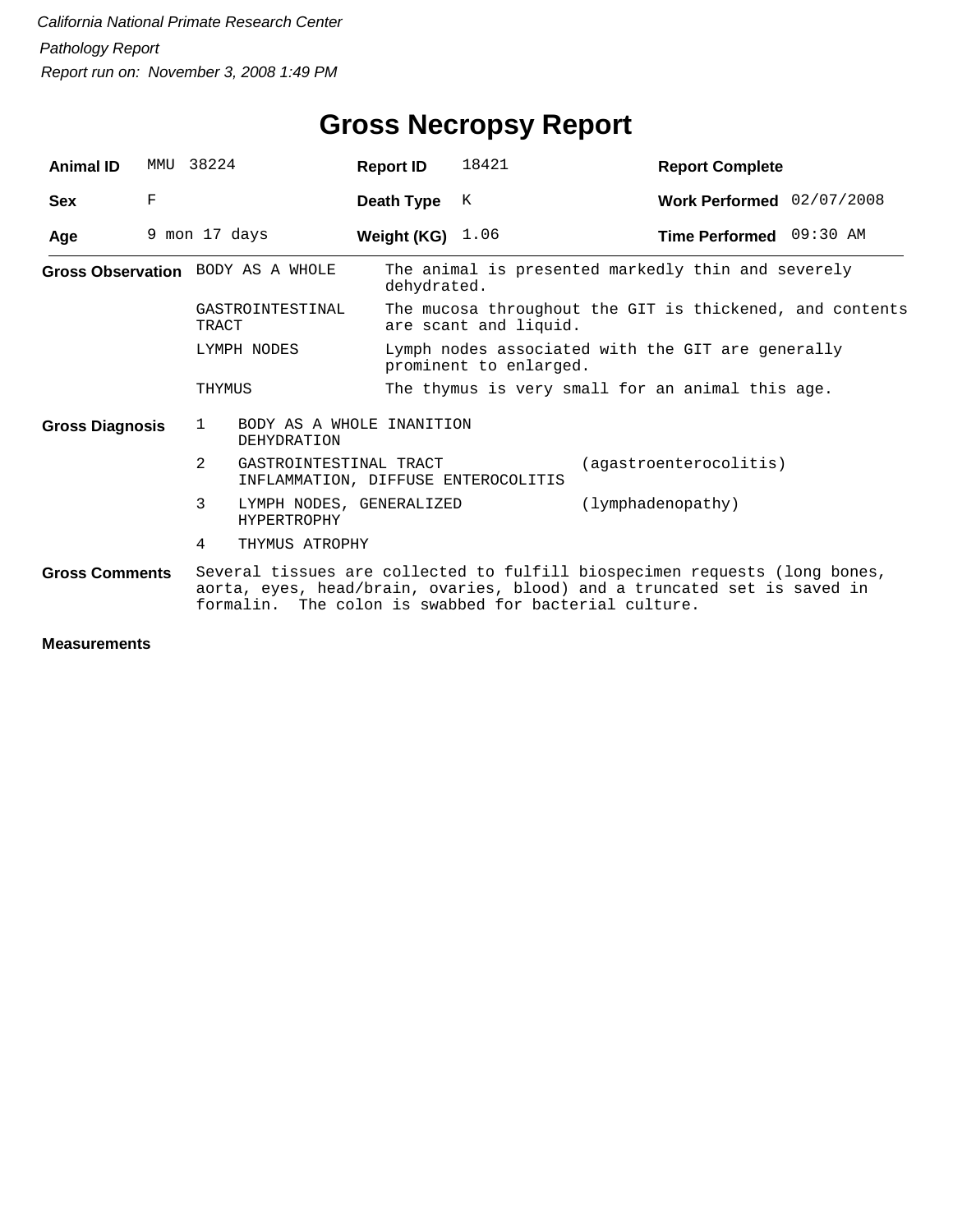| <b>Animal ID</b>                  |             | MMU 38224                                                                                                                                                                                                       |                                                               | <b>Report ID</b>   | 18421                                                                             | <b>Report Complete</b>                             |  |  |  |
|-----------------------------------|-------------|-----------------------------------------------------------------------------------------------------------------------------------------------------------------------------------------------------------------|---------------------------------------------------------------|--------------------|-----------------------------------------------------------------------------------|----------------------------------------------------|--|--|--|
| <b>Sex</b>                        | $\mathbf F$ |                                                                                                                                                                                                                 |                                                               | Death Type         | K                                                                                 | Work Performed 02/07/2008                          |  |  |  |
| Age                               |             | 9 mon 17 days                                                                                                                                                                                                   |                                                               | Weight (KG) $1.06$ |                                                                                   | Time Performed 09:30 AM                            |  |  |  |
| Gross Observation BODY AS A WHOLE |             |                                                                                                                                                                                                                 |                                                               | dehydrated.        |                                                                                   | The animal is presented markedly thin and severely |  |  |  |
|                                   |             | GASTROINTESTINAL<br>TRACT                                                                                                                                                                                       |                                                               |                    | The mucosa throughout the GIT is thickened, and contents<br>are scant and liquid. |                                                    |  |  |  |
|                                   |             |                                                                                                                                                                                                                 | LYMPH NODES                                                   |                    | Lymph nodes associated with the GIT are generally<br>prominent to enlarged.       |                                                    |  |  |  |
|                                   |             | THYMUS                                                                                                                                                                                                          |                                                               |                    |                                                                                   | The thymus is very small for an animal this age.   |  |  |  |
| <b>Gross Diagnosis</b>            |             | $\mathbf{1}$                                                                                                                                                                                                    | BODY AS A WHOLE INANITION<br>DEHYDRATION                      |                    |                                                                                   |                                                    |  |  |  |
|                                   |             | $\mathfrak{D}$                                                                                                                                                                                                  | GASTROINTESTINAL TRACT<br>INFLAMMATION, DIFFUSE ENTEROCOLITIS |                    |                                                                                   | (agastroenterocolitis)                             |  |  |  |
|                                   |             | 3                                                                                                                                                                                                               | LYMPH NODES, GENERALIZED<br><b>HYPERTROPHY</b>                |                    |                                                                                   | (lymphadenopathy)                                  |  |  |  |
|                                   |             | 4                                                                                                                                                                                                               | THYMUS ATROPHY                                                |                    |                                                                                   |                                                    |  |  |  |
| <b>Gross Comments</b>             |             | Several tissues are collected to fulfill biospecimen requests (long bones,<br>aorta, eyes, head/brain, ovaries, blood) and a truncated set is saved in<br>formalin. The colon is swabbed for bacterial culture. |                                                               |                    |                                                                                   |                                                    |  |  |  |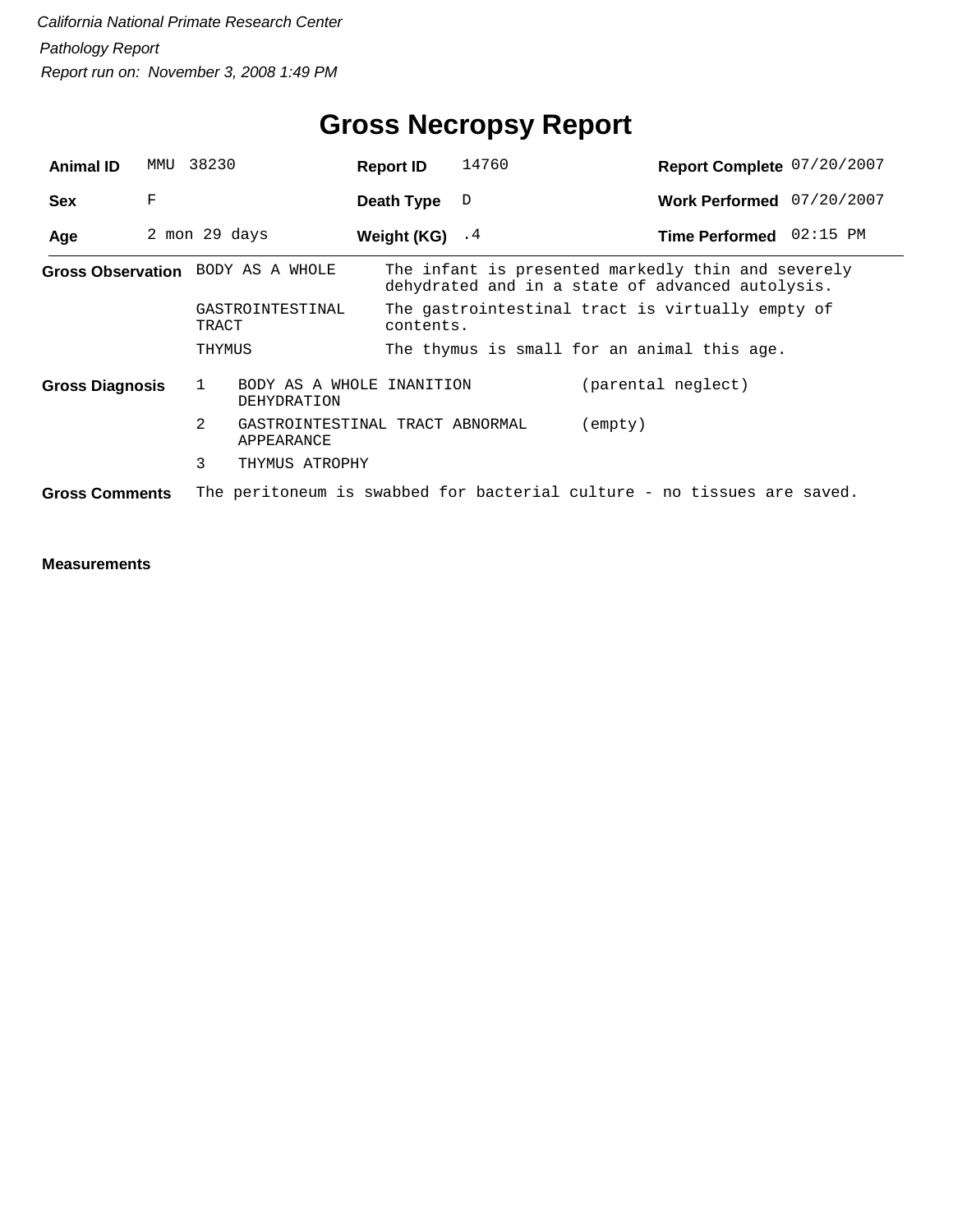| <b>Animal ID</b>       | MMU | 38230                                                                   | <b>Report ID</b>                           | 14760                                       | Report Complete 07/20/2007                                                                             |  |  |  |
|------------------------|-----|-------------------------------------------------------------------------|--------------------------------------------|---------------------------------------------|--------------------------------------------------------------------------------------------------------|--|--|--|
| <b>Sex</b>             | F   |                                                                         | Death Type                                 | D                                           | Work Performed 07/20/2007                                                                              |  |  |  |
| Age                    |     | 2 mon 29 days                                                           | Weight (KG) $.4$                           |                                             | Time Performed 02:15 PM                                                                                |  |  |  |
|                        |     | Gross Observation BODY AS A WHOLE                                       |                                            |                                             | The infant is presented markedly thin and severely<br>dehydrated and in a state of advanced autolysis. |  |  |  |
|                        |     | GASTROINTESTINAL<br>TRACT                                               | contents.                                  |                                             | The gastrointestinal tract is virtually empty of                                                       |  |  |  |
|                        |     | THYMUS                                                                  |                                            | The thymus is small for an animal this age. |                                                                                                        |  |  |  |
| <b>Gross Diagnosis</b> |     | BODY AS A WHOLE INANITION<br>1<br>DEHYDRATION                           |                                            |                                             | (parental neglect)                                                                                     |  |  |  |
|                        |     | $\overline{2}$<br>APPEARANCE                                            | GASTROINTESTINAL TRACT ABNORMAL<br>(empty) |                                             |                                                                                                        |  |  |  |
|                        |     | 3<br>THYMUS ATROPHY                                                     |                                            |                                             |                                                                                                        |  |  |  |
| <b>Gross Comments</b>  |     | The peritoneum is swabbed for bacterial culture - no tissues are saved. |                                            |                                             |                                                                                                        |  |  |  |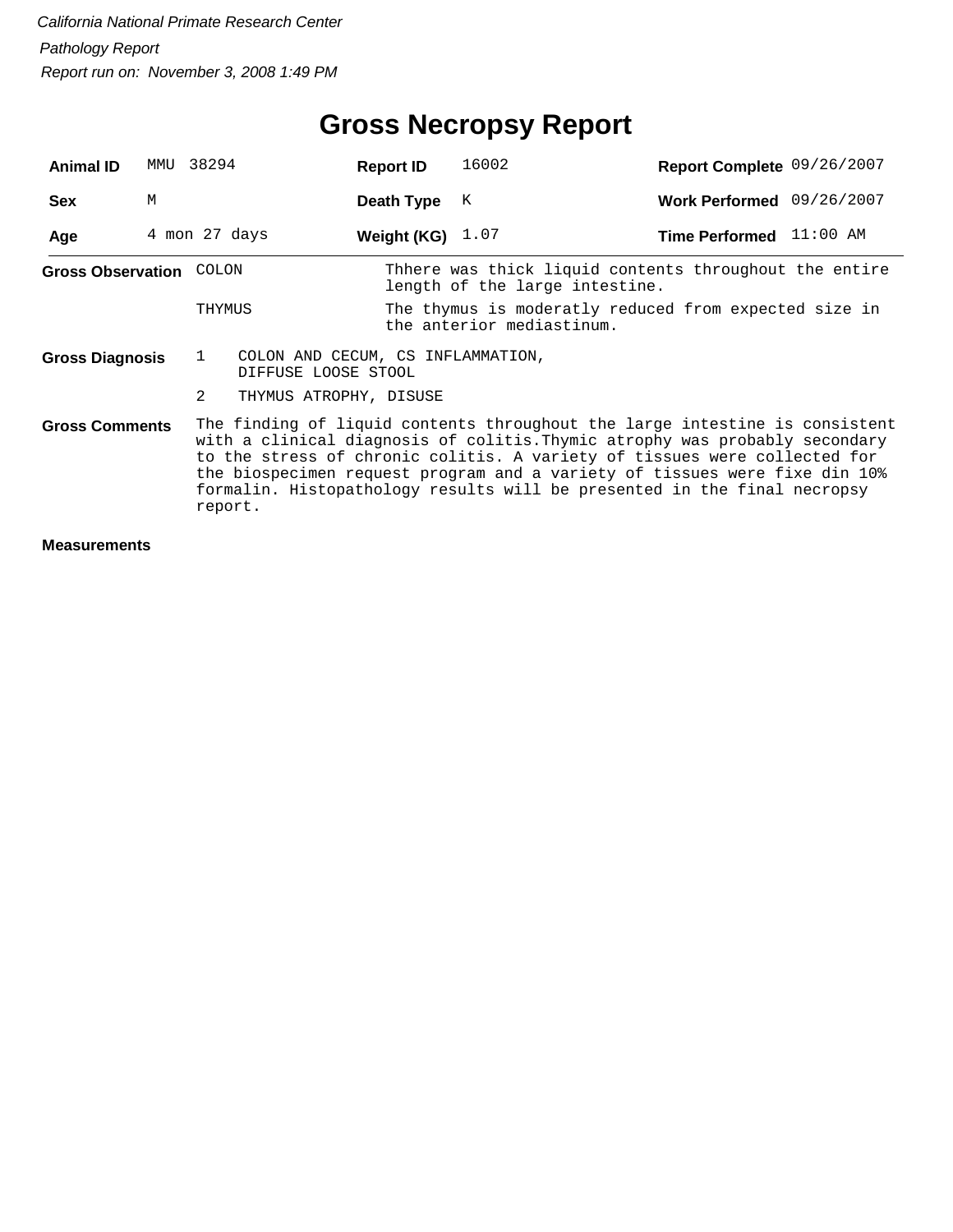## **Gross Necropsy Report**

| <b>Animal ID</b>                                                                                                                                                                                                                                                                                                                                                                                                                      | MMU | 38294        |                                                          | <b>Report ID</b>   | 16002                                                                                    | Report Complete 09/26/2007 |  |
|---------------------------------------------------------------------------------------------------------------------------------------------------------------------------------------------------------------------------------------------------------------------------------------------------------------------------------------------------------------------------------------------------------------------------------------|-----|--------------|----------------------------------------------------------|--------------------|------------------------------------------------------------------------------------------|----------------------------|--|
| <b>Sex</b>                                                                                                                                                                                                                                                                                                                                                                                                                            | M   |              |                                                          | Death Type         | К                                                                                        | Work Performed 09/26/2007  |  |
| Age                                                                                                                                                                                                                                                                                                                                                                                                                                   |     |              | 4 mon 27 days                                            | Weight (KG) $1.07$ |                                                                                          | Time Performed 11:00 AM    |  |
| Gross Observation                                                                                                                                                                                                                                                                                                                                                                                                                     |     | COLON        |                                                          |                    | Thhere was thick liquid contents throughout the entire<br>length of the large intestine. |                            |  |
|                                                                                                                                                                                                                                                                                                                                                                                                                                       |     | THYMUS       |                                                          |                    | The thymus is moderatly reduced from expected size in<br>the anterior mediastinum.       |                            |  |
| Gross Diagnosis                                                                                                                                                                                                                                                                                                                                                                                                                       |     | $\mathbf{1}$ | COLON AND CECUM, CS INFLAMMATION,<br>DIFFUSE LOOSE STOOL |                    |                                                                                          |                            |  |
|                                                                                                                                                                                                                                                                                                                                                                                                                                       |     | 2            | THYMUS ATROPHY, DISUSE                                   |                    |                                                                                          |                            |  |
| The finding of liquid contents throughout the large intestine is consistent<br><b>Gross Comments</b><br>with a clinical diagnosis of colitis. Thymic atrophy was probably secondary<br>to the stress of chronic colitis. A variety of tissues were collected for<br>the biospecimen request program and a variety of tissues were fixe din 10%<br>formalin. Histopathology results will be presented in the final necropsy<br>report. |     |              |                                                          |                    |                                                                                          |                            |  |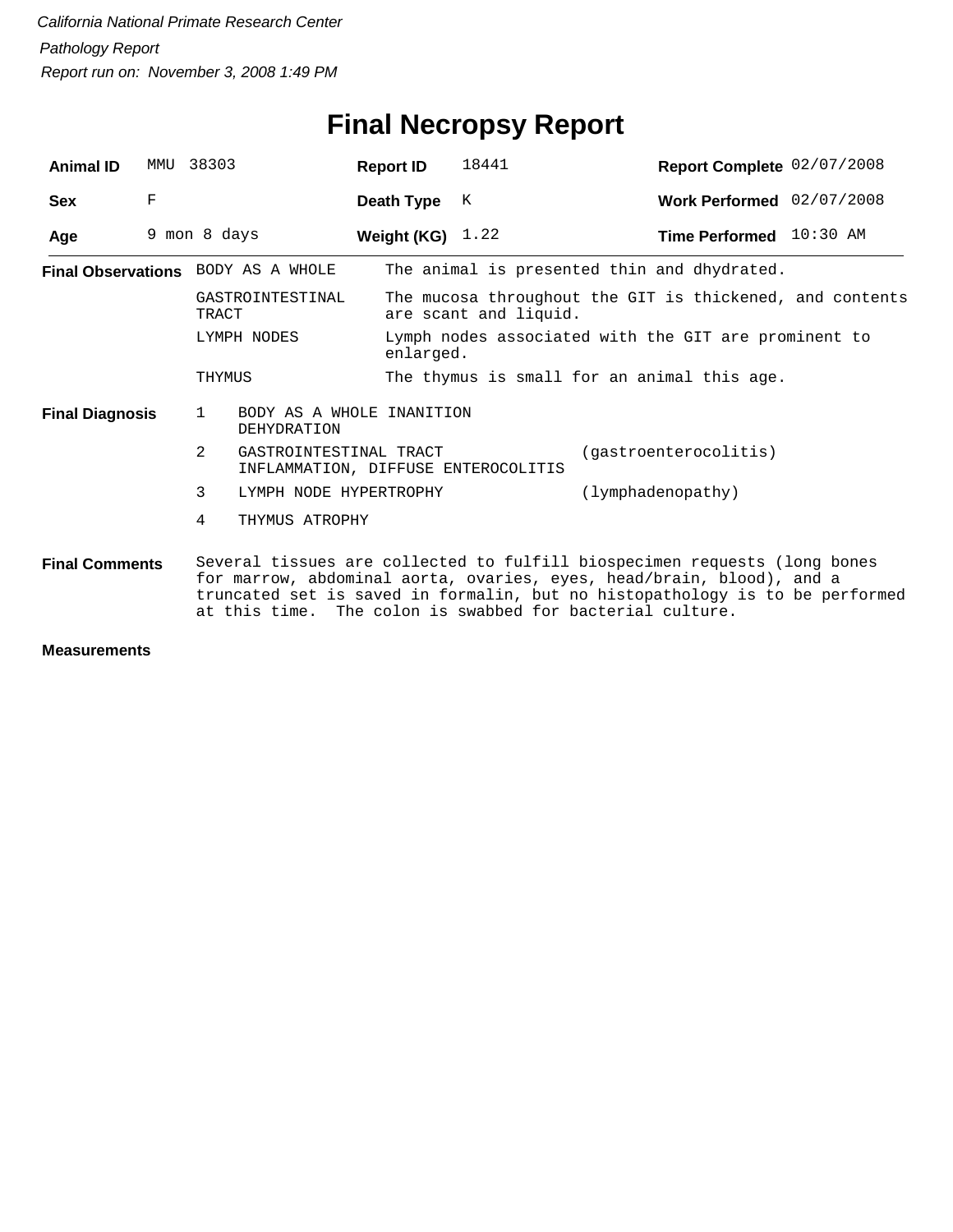### **Final Necropsy Report**

| <b>Animal ID</b>       | MMU         | 38303                                                                                                                                                                                                                                                                                           | <b>Report ID</b>   | 18441                                                             | Report Complete 02/07/2008                               |  |  |  |
|------------------------|-------------|-------------------------------------------------------------------------------------------------------------------------------------------------------------------------------------------------------------------------------------------------------------------------------------------------|--------------------|-------------------------------------------------------------------|----------------------------------------------------------|--|--|--|
| <b>Sex</b>             | $\mathbf F$ |                                                                                                                                                                                                                                                                                                 | Death Type         | K                                                                 | Work Performed 02/07/2008                                |  |  |  |
| Age                    |             | 9 mon 8 days                                                                                                                                                                                                                                                                                    | Weight (KG) $1.22$ |                                                                   | Time Performed 10:30 AM                                  |  |  |  |
|                        |             | <b>Final Observations</b> BODY AS A WHOLE                                                                                                                                                                                                                                                       |                    |                                                                   | The animal is presented thin and dhydrated.              |  |  |  |
|                        |             | GASTROINTESTINAL<br>TRACT                                                                                                                                                                                                                                                                       |                    | are scant and liquid.                                             | The mucosa throughout the GIT is thickened, and contents |  |  |  |
| LYMPH NODES            |             |                                                                                                                                                                                                                                                                                                 |                    | Lymph nodes associated with the GIT are prominent to<br>enlarged. |                                                          |  |  |  |
|                        |             | THYMUS                                                                                                                                                                                                                                                                                          |                    |                                                                   | The thymus is small for an animal this age.              |  |  |  |
| <b>Final Diagnosis</b> |             | BODY AS A WHOLE INANITION<br>$\mathbf{1}$<br>DEHYDRATION                                                                                                                                                                                                                                        |                    |                                                                   |                                                          |  |  |  |
|                        |             | 2<br>GASTROINTESTINAL TRACT                                                                                                                                                                                                                                                                     |                    | (gastroenterocolitis)<br>INFLAMMATION, DIFFUSE ENTEROCOLITIS      |                                                          |  |  |  |
|                        |             | 3<br>LYMPH NODE HYPERTROPHY                                                                                                                                                                                                                                                                     |                    | (lymphadenopathy)                                                 |                                                          |  |  |  |
|                        |             | 4<br>THYMUS ATROPHY                                                                                                                                                                                                                                                                             |                    |                                                                   |                                                          |  |  |  |
| <b>Final Comments</b>  |             | Several tissues are collected to fulfill biospecimen requests (long bones<br>for marrow, abdominal aorta, ovaries, eyes, head/brain, blood), and a<br>truncated set is saved in formalin, but no histopathology is to be performed<br>at this time. The colon is swabbed for bacterial culture. |                    |                                                                   |                                                          |  |  |  |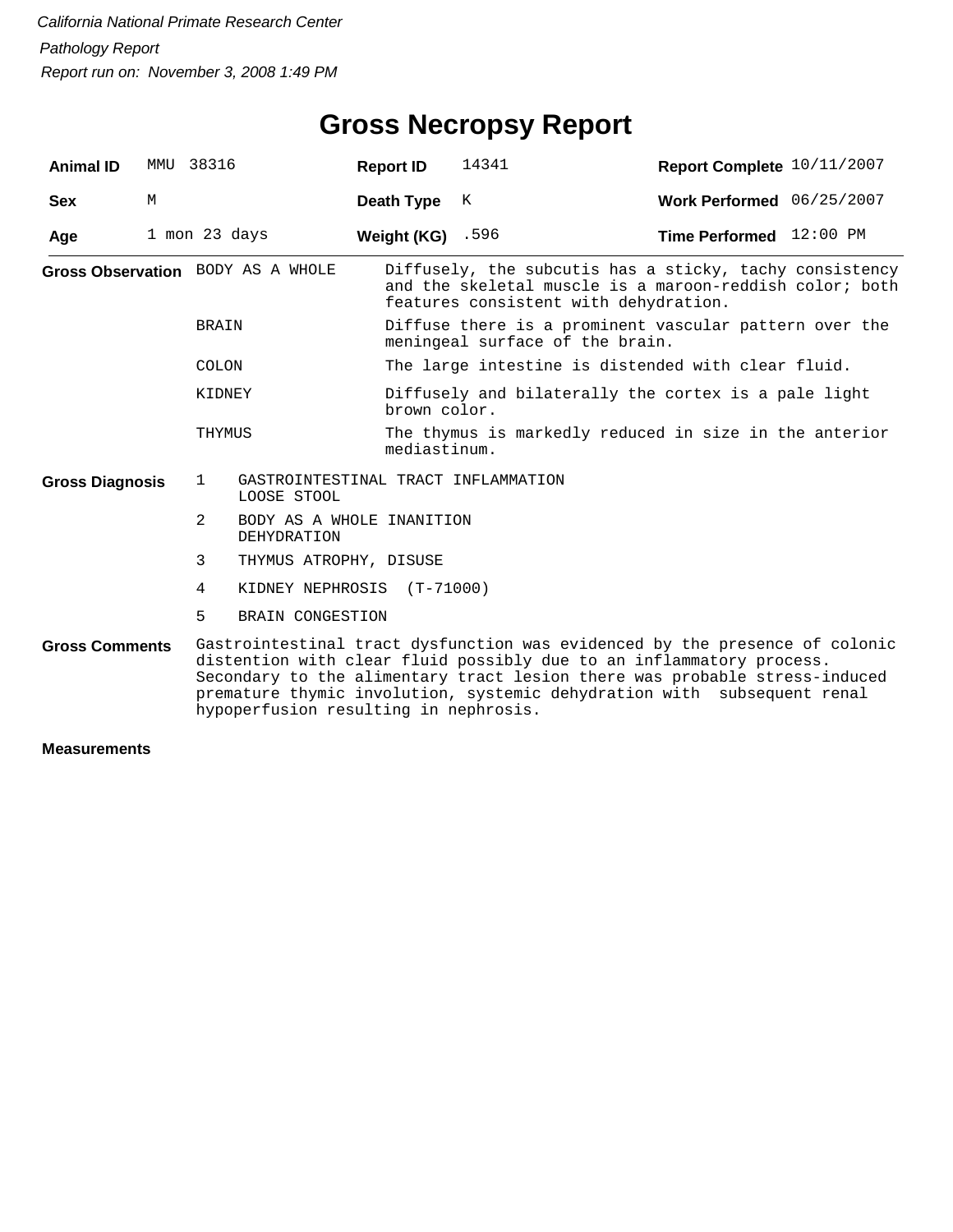| <b>Animal ID</b>          | MMU | 38316                                                              | <b>Report ID</b>   | 14341                                                                                                                                                       | Report Complete 10/11/2007                                                                                                                                                                                                                                                                                   |  |  |  |
|---------------------------|-----|--------------------------------------------------------------------|--------------------|-------------------------------------------------------------------------------------------------------------------------------------------------------------|--------------------------------------------------------------------------------------------------------------------------------------------------------------------------------------------------------------------------------------------------------------------------------------------------------------|--|--|--|
| <b>Sex</b>                | М   |                                                                    | Death Type         | K                                                                                                                                                           | Work Performed 06/25/2007                                                                                                                                                                                                                                                                                    |  |  |  |
| Age                       |     | 1 mon 23 days                                                      | Weight (KG) $.596$ |                                                                                                                                                             | Time Performed 12:00 PM                                                                                                                                                                                                                                                                                      |  |  |  |
|                           |     | Gross Observation BODY AS A WHOLE                                  |                    | Diffusely, the subcutis has a sticky, tachy consistency<br>and the skeletal muscle is a maroon-reddish color; both<br>features consistent with dehydration. |                                                                                                                                                                                                                                                                                                              |  |  |  |
|                           |     | BRAIN                                                              |                    | meningeal surface of the brain.                                                                                                                             | Diffuse there is a prominent vascular pattern over the                                                                                                                                                                                                                                                       |  |  |  |
| COLON<br>KIDNEY<br>THYMUS |     |                                                                    |                    | The large intestine is distended with clear fluid.                                                                                                          |                                                                                                                                                                                                                                                                                                              |  |  |  |
|                           |     |                                                                    | brown color.       |                                                                                                                                                             | Diffusely and bilaterally the cortex is a pale light                                                                                                                                                                                                                                                         |  |  |  |
|                           |     |                                                                    |                    | The thymus is markedly reduced in size in the anterior<br>mediastinum.                                                                                      |                                                                                                                                                                                                                                                                                                              |  |  |  |
| <b>Gross Diagnosis</b>    |     | $\mathbf{1}$<br>GASTROINTESTINAL TRACT INFLAMMATION<br>LOOSE STOOL |                    |                                                                                                                                                             |                                                                                                                                                                                                                                                                                                              |  |  |  |
|                           |     | 2<br>BODY AS A WHOLE INANITION<br><b>DEHYDRATION</b>               |                    |                                                                                                                                                             |                                                                                                                                                                                                                                                                                                              |  |  |  |
|                           |     | 3<br>THYMUS ATROPHY, DISUSE                                        |                    |                                                                                                                                                             |                                                                                                                                                                                                                                                                                                              |  |  |  |
|                           |     | KIDNEY NEPHROSIS (T-71000)<br>4                                    |                    |                                                                                                                                                             |                                                                                                                                                                                                                                                                                                              |  |  |  |
|                           |     | 5<br>BRAIN CONGESTION                                              |                    |                                                                                                                                                             |                                                                                                                                                                                                                                                                                                              |  |  |  |
| <b>Gross Comments</b>     |     | hypoperfusion resulting in nephrosis.                              |                    |                                                                                                                                                             | Gastrointestinal tract dysfunction was evidenced by the presence of colonic<br>distention with clear fluid possibly due to an inflammatory process.<br>Secondary to the alimentary tract lesion there was probable stress-induced<br>premature thymic involution, systemic dehydration with subsequent renal |  |  |  |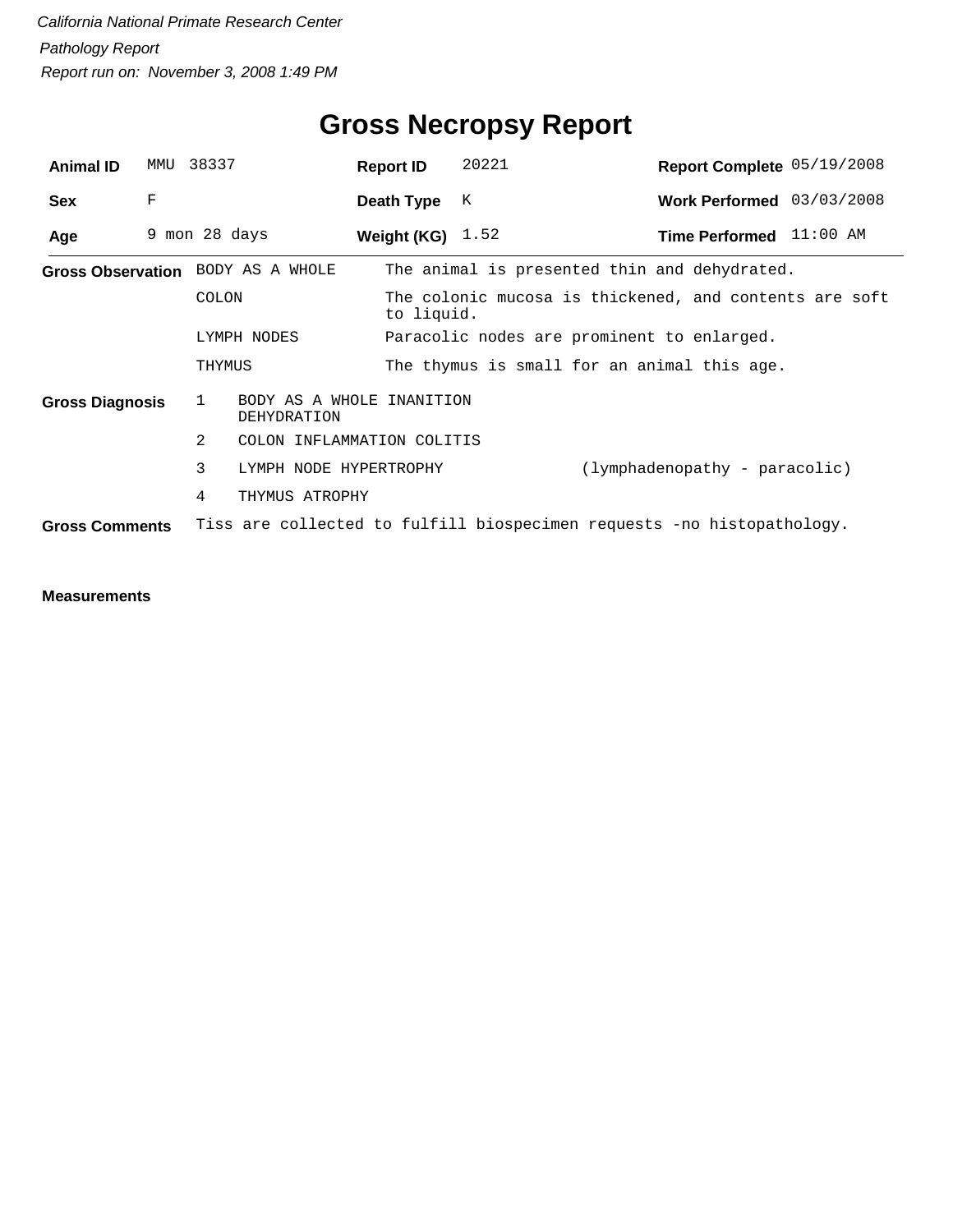| <b>Animal ID</b>       | MMU | 38337                                                                  | <b>Report ID</b>                            |                                                                      | 20221                                      |  | Report Complete 05/19/2008                   |  |
|------------------------|-----|------------------------------------------------------------------------|---------------------------------------------|----------------------------------------------------------------------|--------------------------------------------|--|----------------------------------------------|--|
| <b>Sex</b>             | F   |                                                                        | Death Type                                  |                                                                      | K                                          |  | Work Performed 03/03/2008                    |  |
| Age                    |     | 9 mon 28 days                                                          | Weight (KG) $1.52$                          |                                                                      |                                            |  | Time Performed 11:00 AM                      |  |
|                        |     | Gross Observation BODY AS A WHOLE                                      |                                             |                                                                      |                                            |  | The animal is presented thin and dehydrated. |  |
|                        |     | COLON                                                                  |                                             | The colonic mucosa is thickened, and contents are soft<br>to liquid. |                                            |  |                                              |  |
|                        |     | LYMPH NODES                                                            |                                             |                                                                      | Paracolic nodes are prominent to enlarged. |  |                                              |  |
|                        |     | THYMUS                                                                 | The thymus is small for an animal this age. |                                                                      |                                            |  |                                              |  |
| <b>Gross Diagnosis</b> |     | 1                                                                      | BODY AS A WHOLE<br>INANITION<br>DEHYDRATION |                                                                      |                                            |  |                                              |  |
|                        |     | 2                                                                      | COLON INFLAMMATION COLITIS                  |                                                                      |                                            |  |                                              |  |
|                        |     | 3                                                                      | LYMPH NODE HYPERTROPHY                      |                                                                      |                                            |  | (lymphadenopathy - paracolic)                |  |
|                        |     | 4                                                                      | THYMUS ATROPHY                              |                                                                      |                                            |  |                                              |  |
| <b>Gross Comments</b>  |     | Tiss are collected to fulfill biospecimen requests -no histopathology. |                                             |                                                                      |                                            |  |                                              |  |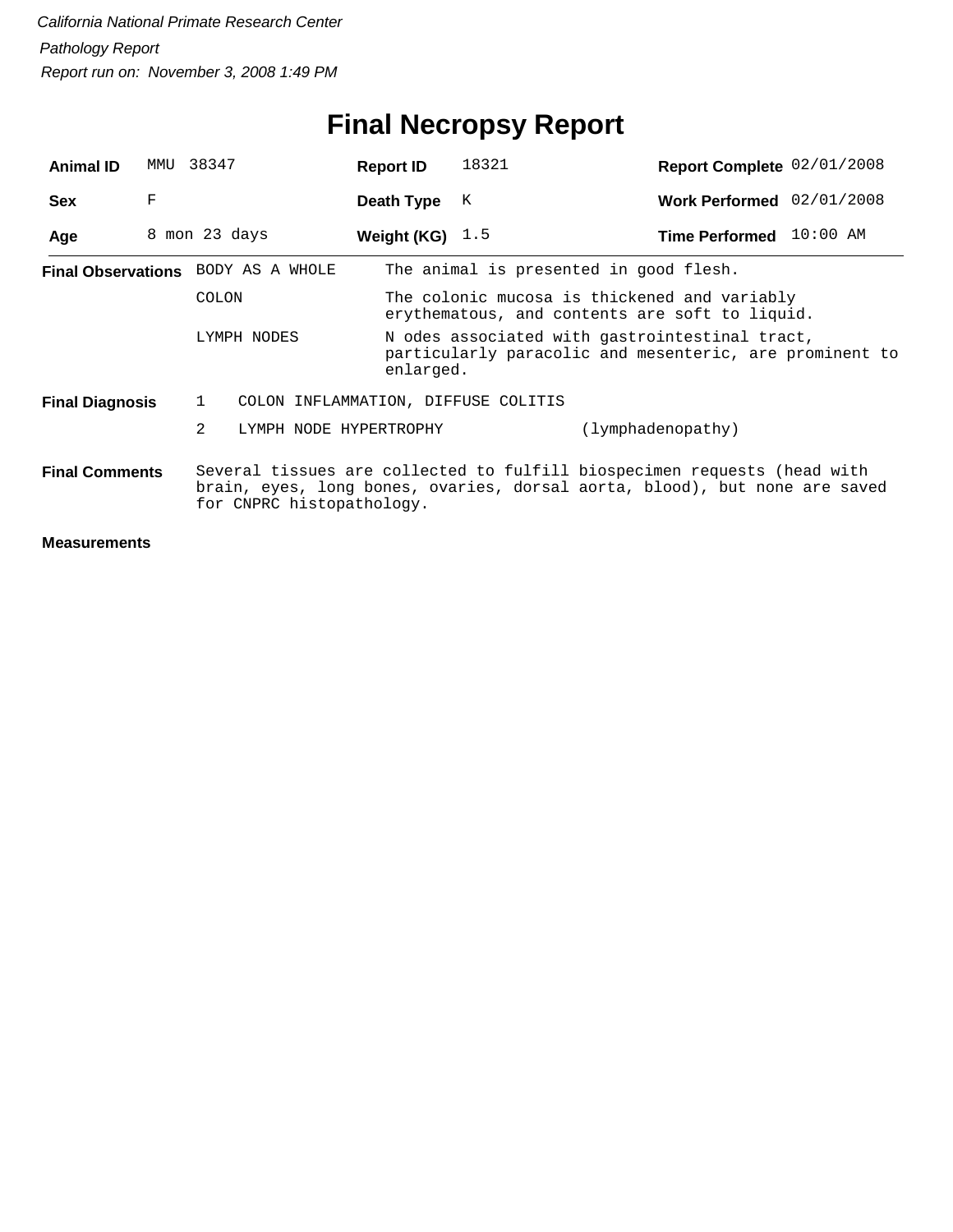# **Final Necropsy Report**

| <b>Animal ID</b>       | MMU | 38347                                                                                                                                                                               | <b>Report ID</b>       | 18321                                                                                                                  | Report Complete 02/01/2008             |  |  |  |  |
|------------------------|-----|-------------------------------------------------------------------------------------------------------------------------------------------------------------------------------------|------------------------|------------------------------------------------------------------------------------------------------------------------|----------------------------------------|--|--|--|--|
| <b>Sex</b>             | F   |                                                                                                                                                                                     | Death Type             | K                                                                                                                      | Work Performed 02/01/2008              |  |  |  |  |
| Age                    |     | 8 mon 23 days                                                                                                                                                                       | Weight (KG) $1.5$      |                                                                                                                        | Time Performed 10:00 AM                |  |  |  |  |
|                        |     | Final Observations BODY AS A WHOLE                                                                                                                                                  |                        |                                                                                                                        | The animal is presented in good flesh. |  |  |  |  |
| <b>COLON</b>           |     |                                                                                                                                                                                     |                        | The colonic mucosa is thickened and variably<br>erythematous, and contents are soft to liquid.                         |                                        |  |  |  |  |
|                        |     | LYMPH NODES                                                                                                                                                                         |                        | N odes associated with gastrointestinal tract,<br>particularly paracolic and mesenteric, are prominent to<br>enlarged. |                                        |  |  |  |  |
| <b>Final Diagnosis</b> |     | $\mathbf{1}$                                                                                                                                                                        |                        | COLON INFLAMMATION, DIFFUSE COLITIS                                                                                    |                                        |  |  |  |  |
|                        |     | $\overline{2}$                                                                                                                                                                      | LYMPH NODE HYPERTROPHY |                                                                                                                        | (lymphadenopathy)                      |  |  |  |  |
| <b>Final Comments</b>  |     | Several tissues are collected to fulfill biospecimen requests (head with<br>brain, eyes, long bones, ovaries, dorsal aorta, blood), but none are saved<br>for CNPRC histopathology. |                        |                                                                                                                        |                                        |  |  |  |  |
|                        |     |                                                                                                                                                                                     |                        |                                                                                                                        |                                        |  |  |  |  |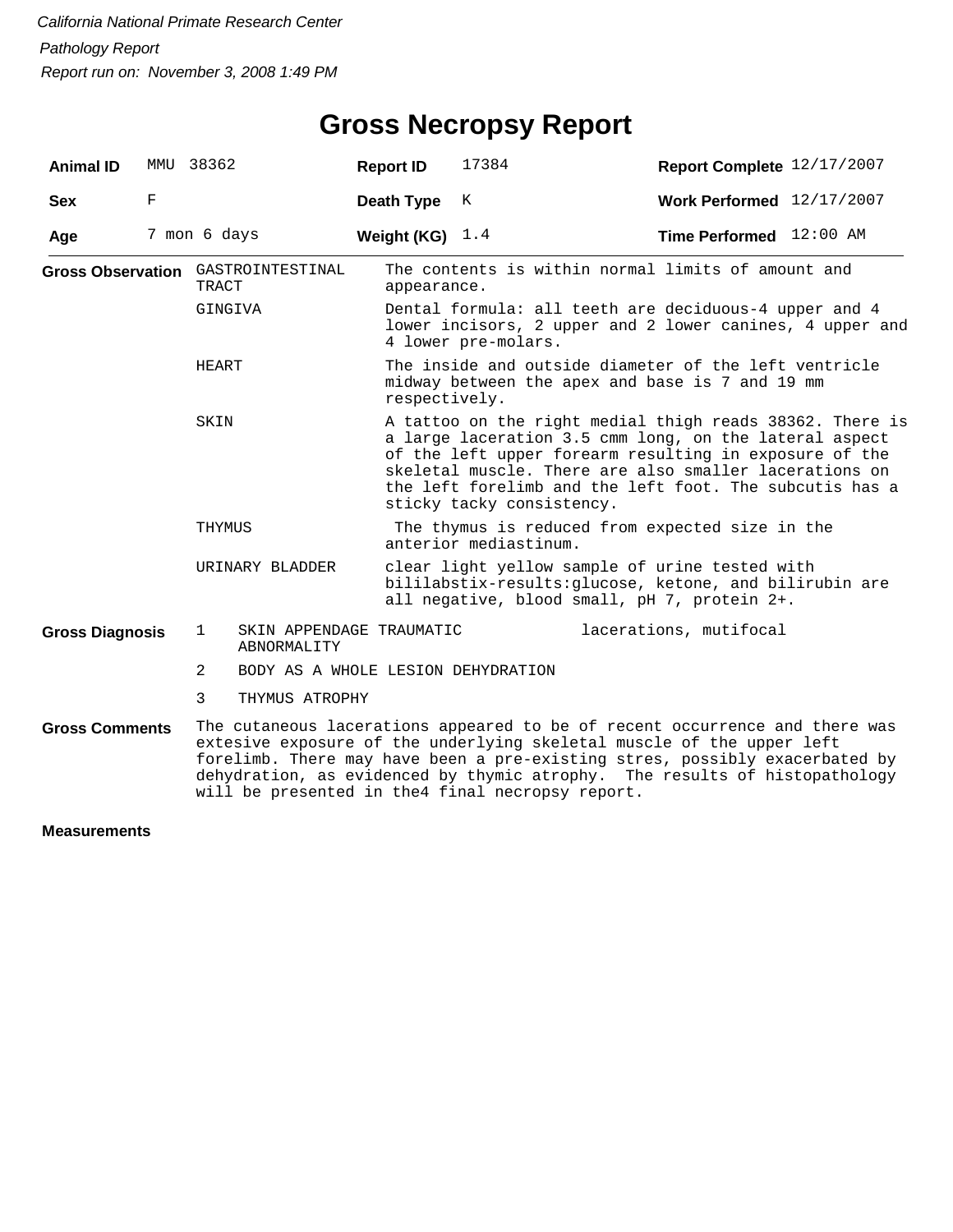| <b>Animal ID</b>         | MMU 38362 |                                                                                                                                                                                                                                                                                                                                                                       |                                         | <b>Report ID</b>                                                                                                                                                                                                                                                                                                               | 17384                                                                                                                                                     | Report Complete 12/17/2007                         |  |  |  |
|--------------------------|-----------|-----------------------------------------------------------------------------------------------------------------------------------------------------------------------------------------------------------------------------------------------------------------------------------------------------------------------------------------------------------------------|-----------------------------------------|--------------------------------------------------------------------------------------------------------------------------------------------------------------------------------------------------------------------------------------------------------------------------------------------------------------------------------|-----------------------------------------------------------------------------------------------------------------------------------------------------------|----------------------------------------------------|--|--|--|
| <b>Sex</b>               | F         |                                                                                                                                                                                                                                                                                                                                                                       |                                         | Death Type                                                                                                                                                                                                                                                                                                                     | Κ                                                                                                                                                         | Work Performed 12/17/2007                          |  |  |  |
| Age                      |           | 7 mon 6 days                                                                                                                                                                                                                                                                                                                                                          |                                         | Weight (KG) $1.4$                                                                                                                                                                                                                                                                                                              |                                                                                                                                                           | Time Performed 12:00 AM                            |  |  |  |
|                          |           | Gross Observation GASTROINTESTINAL<br><b>TRACT</b>                                                                                                                                                                                                                                                                                                                    |                                         | appearance.                                                                                                                                                                                                                                                                                                                    |                                                                                                                                                           | The contents is within normal limits of amount and |  |  |  |
| GINGIVA<br>HEART<br>SKIN |           |                                                                                                                                                                                                                                                                                                                                                                       |                                         |                                                                                                                                                                                                                                                                                                                                | Dental formula: all teeth are deciduous-4 upper and 4<br>lower incisors, 2 upper and 2 lower canines, 4 upper and<br>4 lower pre-molars.                  |                                                    |  |  |  |
|                          |           |                                                                                                                                                                                                                                                                                                                                                                       |                                         |                                                                                                                                                                                                                                                                                                                                | The inside and outside diameter of the left ventricle<br>midway between the apex and base is 7 and 19 mm<br>respectively.                                 |                                                    |  |  |  |
|                          |           |                                                                                                                                                                                                                                                                                                                                                                       |                                         | A tattoo on the right medial thigh reads 38362. There is<br>a large laceration 3.5 cmm long, on the lateral aspect<br>of the left upper forearm resulting in exposure of the<br>skeletal muscle. There are also smaller lacerations on<br>the left forelimb and the left foot. The subcutis has a<br>sticky tacky consistency. |                                                                                                                                                           |                                                    |  |  |  |
|                          |           | THYMUS                                                                                                                                                                                                                                                                                                                                                                |                                         | The thymus is reduced from expected size in the<br>anterior mediastinum.                                                                                                                                                                                                                                                       |                                                                                                                                                           |                                                    |  |  |  |
|                          |           | URINARY BLADDER                                                                                                                                                                                                                                                                                                                                                       |                                         |                                                                                                                                                                                                                                                                                                                                | clear light yellow sample of urine tested with<br>bililabstix-results: glucose, ketone, and bilirubin are<br>all negative, blood small, pH 7, protein 2+. |                                                    |  |  |  |
| <b>Gross Diagnosis</b>   |           | $\mathbf{1}$                                                                                                                                                                                                                                                                                                                                                          | SKIN APPENDAGE TRAUMATIC<br>ABNORMALITY |                                                                                                                                                                                                                                                                                                                                |                                                                                                                                                           | lacerations, mutifocal                             |  |  |  |
|                          |           | 2                                                                                                                                                                                                                                                                                                                                                                     | BODY AS A WHOLE LESION DEHYDRATION      |                                                                                                                                                                                                                                                                                                                                |                                                                                                                                                           |                                                    |  |  |  |
|                          |           | 3                                                                                                                                                                                                                                                                                                                                                                     | THYMUS ATROPHY                          |                                                                                                                                                                                                                                                                                                                                |                                                                                                                                                           |                                                    |  |  |  |
| <b>Gross Comments</b>    |           | The cutaneous lacerations appeared to be of recent occurrence and there was<br>extesive exposure of the underlying skeletal muscle of the upper left<br>forelimb. There may have been a pre-existing stres, possibly exacerbated by<br>dehydration, as evidenced by thymic atrophy. The results of histopathology<br>will be presented in the4 final necropsy report. |                                         |                                                                                                                                                                                                                                                                                                                                |                                                                                                                                                           |                                                    |  |  |  |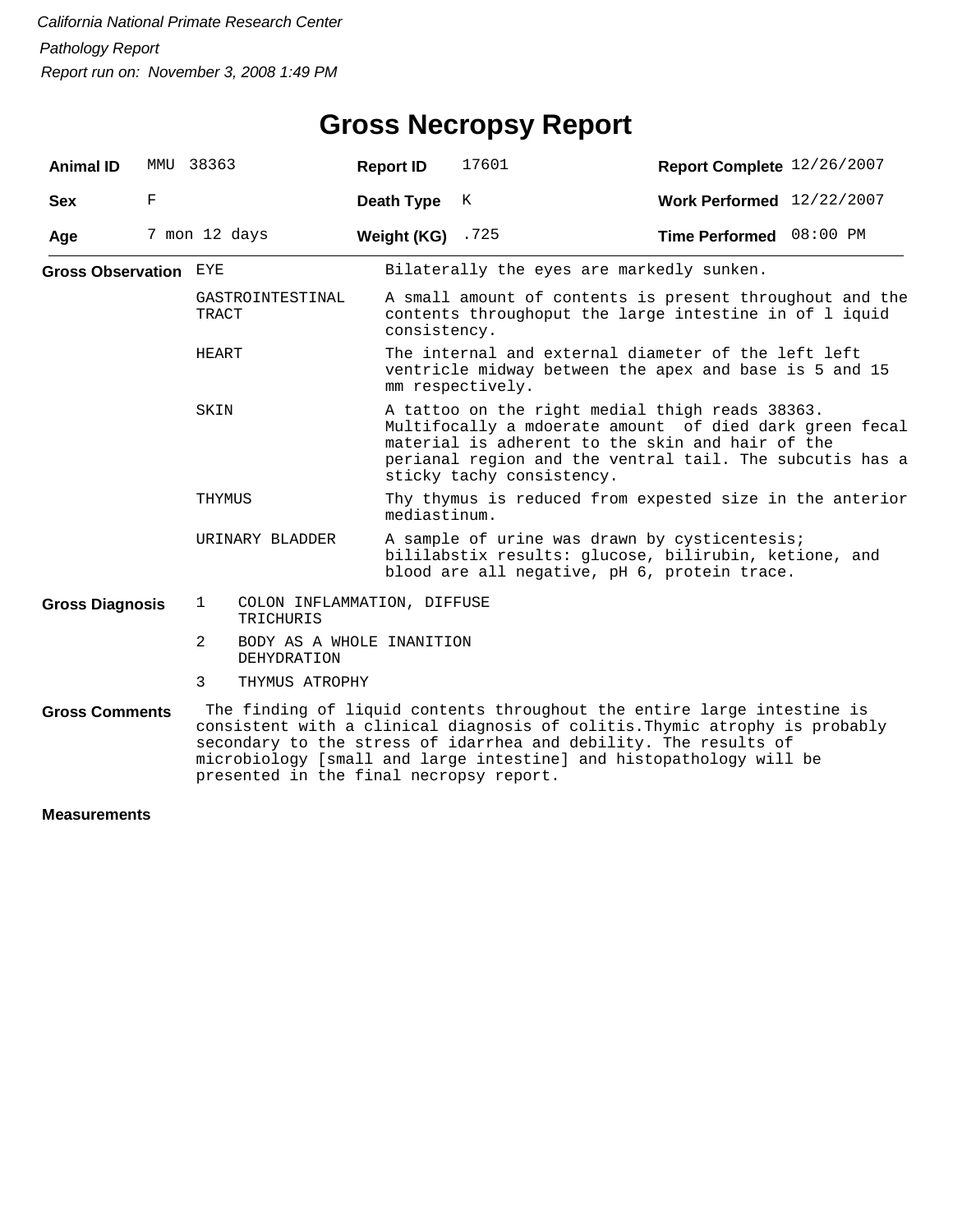## **Gross Necropsy Report**

| <b>Animal ID</b>             | MMU | 38363                                                    | <b>Report ID</b> | 17601                                                                                                                                                                                                                                                                                             | Report Complete 12/26/2007 |  |  |  |
|------------------------------|-----|----------------------------------------------------------|------------------|---------------------------------------------------------------------------------------------------------------------------------------------------------------------------------------------------------------------------------------------------------------------------------------------------|----------------------------|--|--|--|
| <b>Sex</b>                   | F   |                                                          | Death Type       | K                                                                                                                                                                                                                                                                                                 | Work Performed 12/22/2007  |  |  |  |
| Age                          |     | 7 mon 12 days                                            | Weight (KG)      | .725                                                                                                                                                                                                                                                                                              | Time Performed 08:00 PM    |  |  |  |
| <b>Gross Observation EYE</b> |     |                                                          |                  | Bilaterally the eyes are markedly sunken.                                                                                                                                                                                                                                                         |                            |  |  |  |
| TRACT<br>HEART<br>SKIN       |     | GASTROINTESTINAL                                         | consistency.     | A small amount of contents is present throughout and the<br>contents throughoput the large intestine in of 1 iquid                                                                                                                                                                                |                            |  |  |  |
|                              |     |                                                          |                  | The internal and external diameter of the left left<br>ventricle midway between the apex and base is 5 and 15<br>mm respectively.                                                                                                                                                                 |                            |  |  |  |
|                              |     |                                                          |                  | A tattoo on the right medial thigh reads 38363.<br>Multifocally a mdoerate amount of died dark green fecal<br>material is adherent to the skin and hair of the<br>perianal region and the ventral tail. The subcutis has a<br>sticky tachy consistency.                                           |                            |  |  |  |
|                              |     | THYMUS                                                   |                  | Thy thymus is reduced from expested size in the anterior<br>mediastinum.                                                                                                                                                                                                                          |                            |  |  |  |
|                              |     | URINARY BLADDER                                          |                  | A sample of urine was drawn by cysticentesis;<br>bililabstix results: glucose, bilirubin, ketione, and<br>blood are all negative, pH 6, protein trace.                                                                                                                                            |                            |  |  |  |
| <b>Gross Diagnosis</b>       |     | COLON INFLAMMATION, DIFFUSE<br>$\mathbf{1}$<br>TRICHURIS |                  |                                                                                                                                                                                                                                                                                                   |                            |  |  |  |
|                              |     | 2<br>BODY AS A WHOLE INANITION<br><b>DEHYDRATION</b>     |                  |                                                                                                                                                                                                                                                                                                   |                            |  |  |  |
|                              |     | 3<br>THYMUS ATROPHY                                      |                  |                                                                                                                                                                                                                                                                                                   |                            |  |  |  |
| <b>Gross Comments</b>        |     | presented in the final necropsy report.                  |                  | The finding of liquid contents throughout the entire large intestine is<br>consistent with a clinical diagnosis of colitis. Thymic atrophy is probably<br>secondary to the stress of idarrhea and debility. The results of<br>microbiology [small and large intestine] and histopathology will be |                            |  |  |  |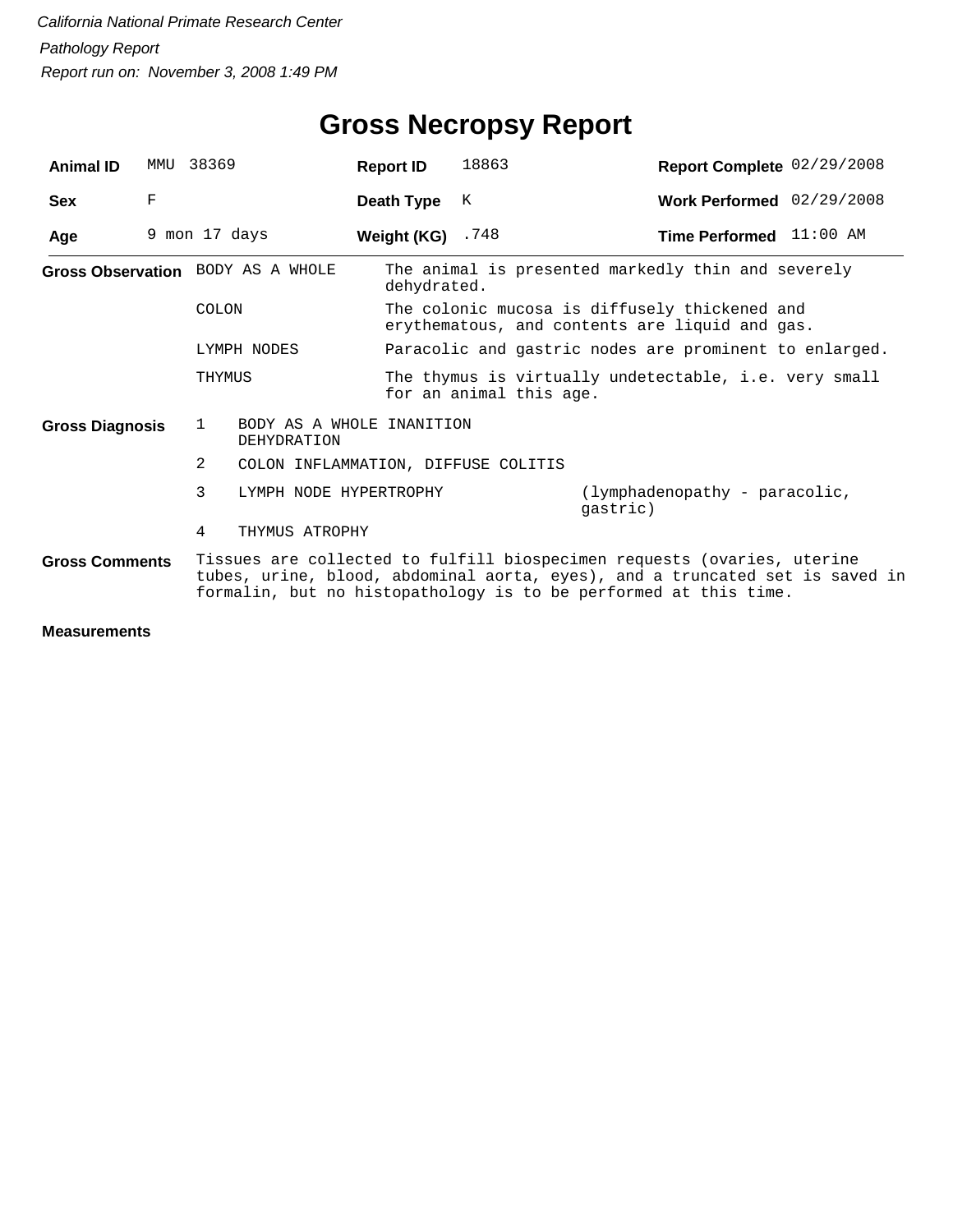| <b>Animal ID</b>       | MMU | 38369                                                                                                                                                                                                                       | <b>Report ID</b>                                       | 18863                                                                                           | Report Complete 02/29/2008                |  |  |  |
|------------------------|-----|-----------------------------------------------------------------------------------------------------------------------------------------------------------------------------------------------------------------------------|--------------------------------------------------------|-------------------------------------------------------------------------------------------------|-------------------------------------------|--|--|--|
| <b>Sex</b>             | F   |                                                                                                                                                                                                                             | Death Type                                             | K                                                                                               | Work Performed 02/29/2008                 |  |  |  |
| Age                    |     | 9 mon 17 days                                                                                                                                                                                                               | Weight (KG) $.748$                                     |                                                                                                 | Time Performed 11:00 AM                   |  |  |  |
|                        |     | Gross Observation BODY AS A WHOLE                                                                                                                                                                                           |                                                        | The animal is presented markedly thin and severely<br>dehydrated.                               |                                           |  |  |  |
|                        |     | COLON                                                                                                                                                                                                                       |                                                        | The colonic mucosa is diffusely thickened and<br>erythematous, and contents are liquid and gas. |                                           |  |  |  |
|                        |     | LYMPH NODES                                                                                                                                                                                                                 | Paracolic and gastric nodes are prominent to enlarged. |                                                                                                 |                                           |  |  |  |
|                        |     | THYMUS                                                                                                                                                                                                                      |                                                        | The thymus is virtually undetectable, i.e. very small<br>for an animal this age.                |                                           |  |  |  |
| <b>Gross Diagnosis</b> |     | 1                                                                                                                                                                                                                           | BODY AS A WHOLE INANITION<br>DEHYDRATION               |                                                                                                 |                                           |  |  |  |
|                        |     | 2<br>COLON INFLAMMATION, DIFFUSE COLITIS                                                                                                                                                                                    |                                                        |                                                                                                 |                                           |  |  |  |
|                        |     | 3                                                                                                                                                                                                                           | LYMPH NODE HYPERTROPHY                                 |                                                                                                 | (lymphadenopathy - paracolic,<br>qastric) |  |  |  |
|                        |     | 4                                                                                                                                                                                                                           | THYMUS ATROPHY                                         |                                                                                                 |                                           |  |  |  |
| <b>Gross Comments</b>  |     | Tissues are collected to fulfill biospecimen requests (ovaries, uterine<br>tubes, urine, blood, abdominal aorta, eyes), and a truncated set is saved in<br>formalin, but no histopathology is to be performed at this time. |                                                        |                                                                                                 |                                           |  |  |  |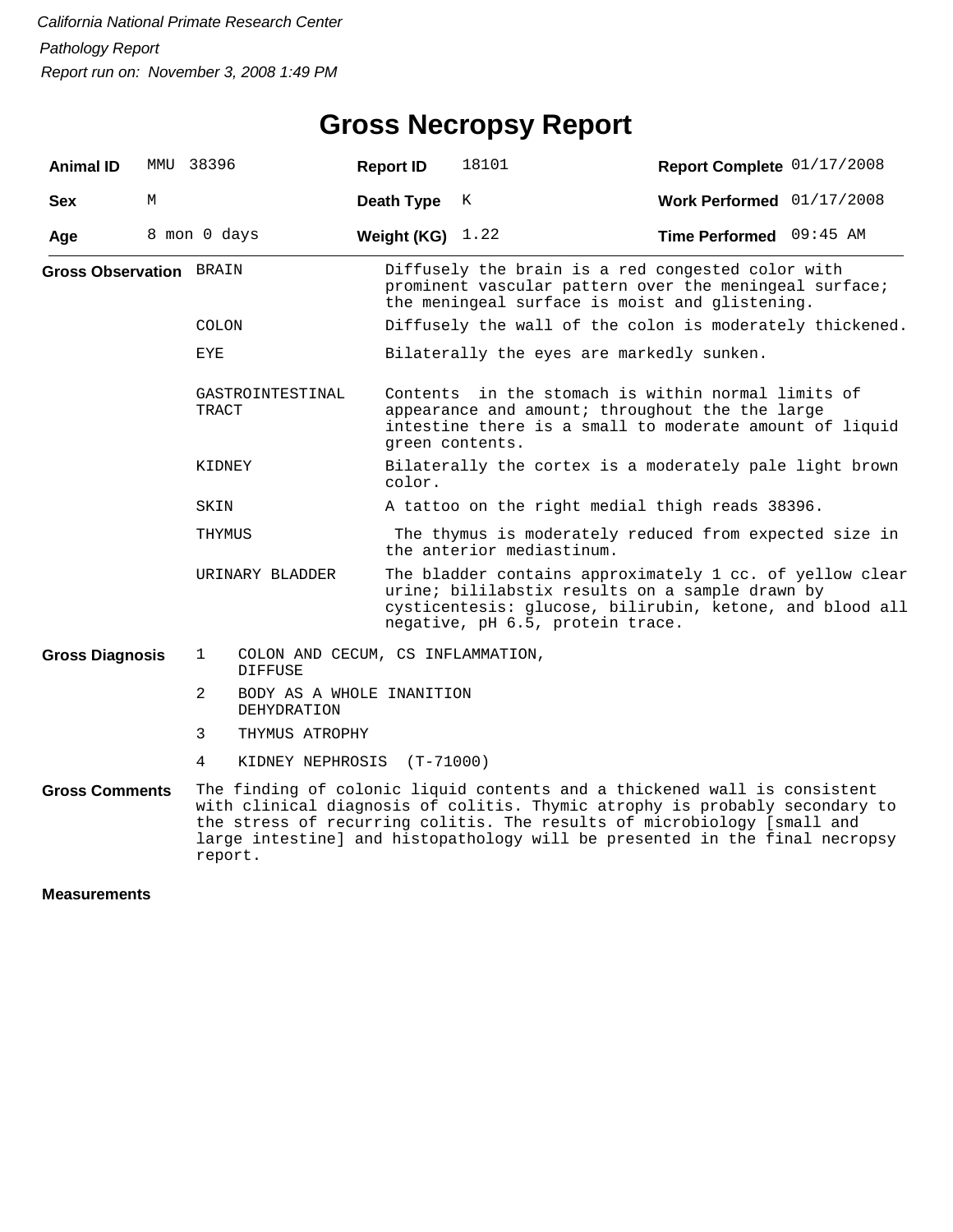## **Gross Necropsy Report**

| <b>Animal ID</b>               |   | MMU 38396                           |                                          | <b>Report ID</b> | 18101                                                                                                                                                                                                                                                                                                              | Report Complete 01/17/2008  |  |  |  |
|--------------------------------|---|-------------------------------------|------------------------------------------|------------------|--------------------------------------------------------------------------------------------------------------------------------------------------------------------------------------------------------------------------------------------------------------------------------------------------------------------|-----------------------------|--|--|--|
| <b>Sex</b>                     | М |                                     |                                          | Death Type       | К                                                                                                                                                                                                                                                                                                                  | Work Performed $01/17/2008$ |  |  |  |
| Age                            |   | 8 mon 0 days                        |                                          | Weight (KG)      | 1.22                                                                                                                                                                                                                                                                                                               | Time Performed 09:45 AM     |  |  |  |
| <b>Gross Observation BRAIN</b> |   |                                     |                                          |                  | Diffusely the brain is a red congested color with<br>prominent vascular pattern over the meningeal surface;<br>the meningeal surface is moist and glistening.                                                                                                                                                      |                             |  |  |  |
|                                |   | <b>COLON</b>                        |                                          |                  | Diffusely the wall of the colon is moderately thickened.                                                                                                                                                                                                                                                           |                             |  |  |  |
|                                |   | EYE                                 |                                          |                  | Bilaterally the eyes are markedly sunken.                                                                                                                                                                                                                                                                          |                             |  |  |  |
|                                |   | GASTROINTESTINAL<br>TRACT<br>KIDNEY |                                          |                  | Contents in the stomach is within normal limits of<br>appearance and amount; throughout the the large<br>intestine there is a small to moderate amount of liquid<br>green contents.                                                                                                                                |                             |  |  |  |
|                                |   |                                     |                                          | color.           | Bilaterally the cortex is a moderately pale light brown                                                                                                                                                                                                                                                            |                             |  |  |  |
|                                |   | SKIN                                |                                          |                  | A tattoo on the right medial thigh reads 38396.                                                                                                                                                                                                                                                                    |                             |  |  |  |
|                                |   | THYMUS                              |                                          |                  | The thymus is moderately reduced from expected size in<br>the anterior mediastinum.                                                                                                                                                                                                                                |                             |  |  |  |
|                                |   | URINARY BLADDER                     |                                          |                  | The bladder contains approximately 1 cc. of yellow clear<br>urine; bililabstix results on a sample drawn by<br>cysticentesis: glucose, bilirubin, ketone, and blood all<br>negative, pH 6.5, protein trace.                                                                                                        |                             |  |  |  |
| <b>Gross Diagnosis</b>         |   | $\mathbf 1$                         | <b>DIFFUSE</b>                           |                  | COLON AND CECUM, CS INFLAMMATION,                                                                                                                                                                                                                                                                                  |                             |  |  |  |
|                                |   | 2                                   | BODY AS A WHOLE INANITION<br>DEHYDRATION |                  |                                                                                                                                                                                                                                                                                                                    |                             |  |  |  |
|                                |   | 3                                   | THYMUS ATROPHY                           |                  |                                                                                                                                                                                                                                                                                                                    |                             |  |  |  |
|                                |   | 4                                   | KIDNEY NEPHROSIS                         | $(T - 71000)$    |                                                                                                                                                                                                                                                                                                                    |                             |  |  |  |
| <b>Gross Comments</b>          |   | report.                             |                                          |                  | The finding of colonic liquid contents and a thickened wall is consistent<br>with clinical diagnosis of colitis. Thymic atrophy is probably secondary to<br>the stress of recurring colitis. The results of microbiology [small and<br>large intestine] and histopathology will be presented in the final necropsy |                             |  |  |  |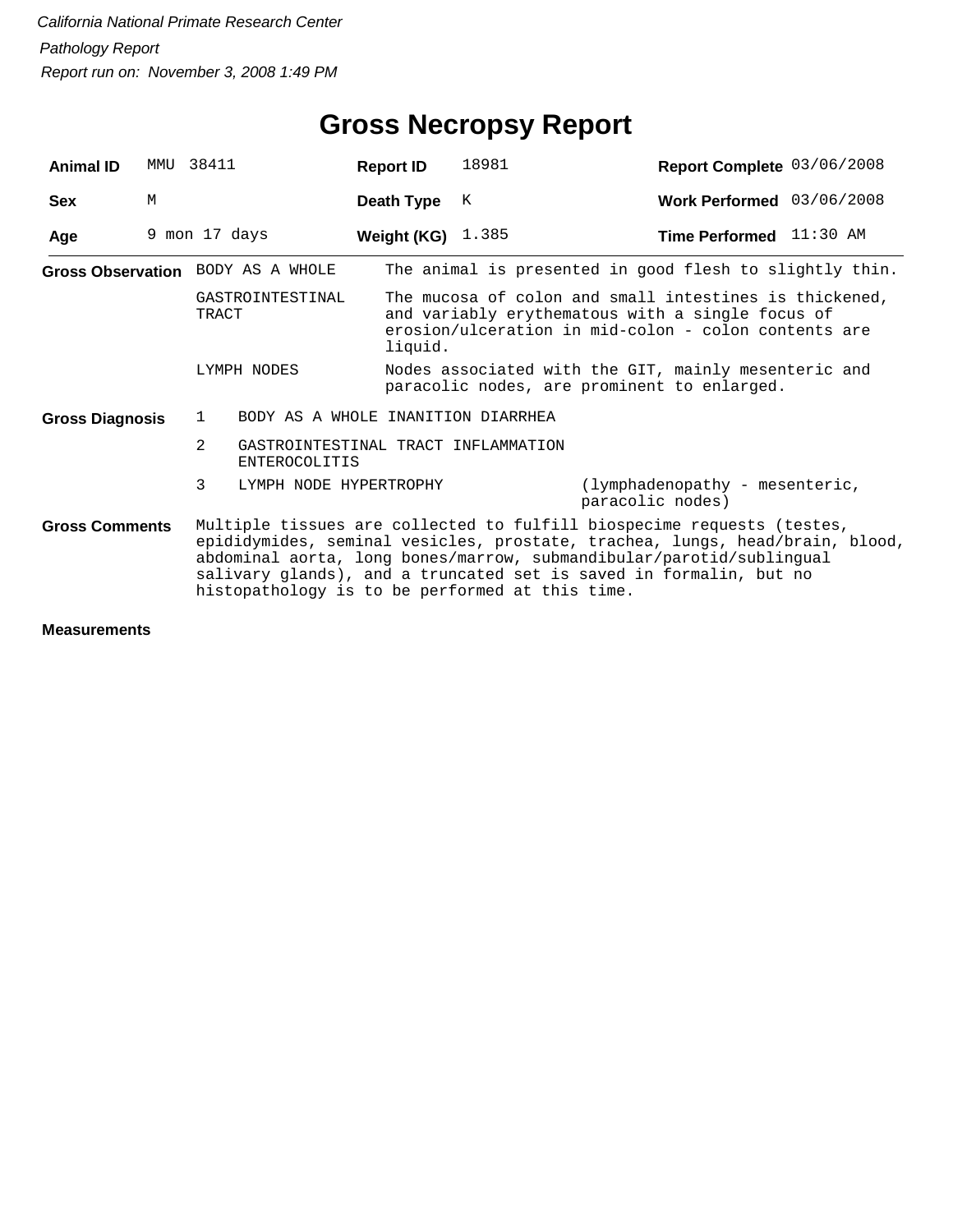| <b>Animal ID</b>       |   | MMU 38411                                       | <b>Report ID</b>                   | 18981                                                                                               | Report Complete 03/06/2008                                                                                                                                                                                                                                                                           |  |  |  |
|------------------------|---|-------------------------------------------------|------------------------------------|-----------------------------------------------------------------------------------------------------|------------------------------------------------------------------------------------------------------------------------------------------------------------------------------------------------------------------------------------------------------------------------------------------------------|--|--|--|
| <b>Sex</b>             | M |                                                 | Death Type                         | K                                                                                                   | Work Performed 03/06/2008                                                                                                                                                                                                                                                                            |  |  |  |
| Age                    |   | 9 mon 17 days                                   | Weight (KG) $1.385$                |                                                                                                     | Time Performed 11:30 AM                                                                                                                                                                                                                                                                              |  |  |  |
|                        |   | Gross Observation BODY AS A WHOLE               |                                    |                                                                                                     | The animal is presented in good flesh to slightly thin.                                                                                                                                                                                                                                              |  |  |  |
|                        |   | GASTROINTESTINAL<br>TRACT                       | liquid.                            |                                                                                                     | The mucosa of colon and small intestines is thickened,<br>and variably erythematous with a single focus of<br>erosion/ulceration in mid-colon - colon contents are                                                                                                                                   |  |  |  |
|                        |   | LYMPH NODES                                     |                                    | Nodes associated with the GIT, mainly mesenteric and<br>paracolic nodes, are prominent to enlarged. |                                                                                                                                                                                                                                                                                                      |  |  |  |
| <b>Gross Diagnosis</b> |   | $\mathbf{1}$                                    | BODY AS A WHOLE INANITION DIARRHEA |                                                                                                     |                                                                                                                                                                                                                                                                                                      |  |  |  |
|                        |   | $\overline{2}$<br><b>ENTEROCOLITIS</b>          |                                    | GASTROINTESTINAL TRACT INFLAMMATION                                                                 |                                                                                                                                                                                                                                                                                                      |  |  |  |
|                        |   | 3<br>LYMPH NODE HYPERTROPHY                     |                                    |                                                                                                     | (lymphadenopathy - mesenteric,<br>paracolic nodes)                                                                                                                                                                                                                                                   |  |  |  |
| <b>Gross Comments</b>  |   | histopathology is to be performed at this time. |                                    |                                                                                                     | Multiple tissues are collected to fulfill biospecime requests (testes,<br>epididymides, seminal vesicles, prostate, trachea, lungs, head/brain, blood,<br>abdominal aorta, long bones/marrow, submandibular/parotid/sublingual<br>salivary glands), and a truncated set is saved in formalin, but no |  |  |  |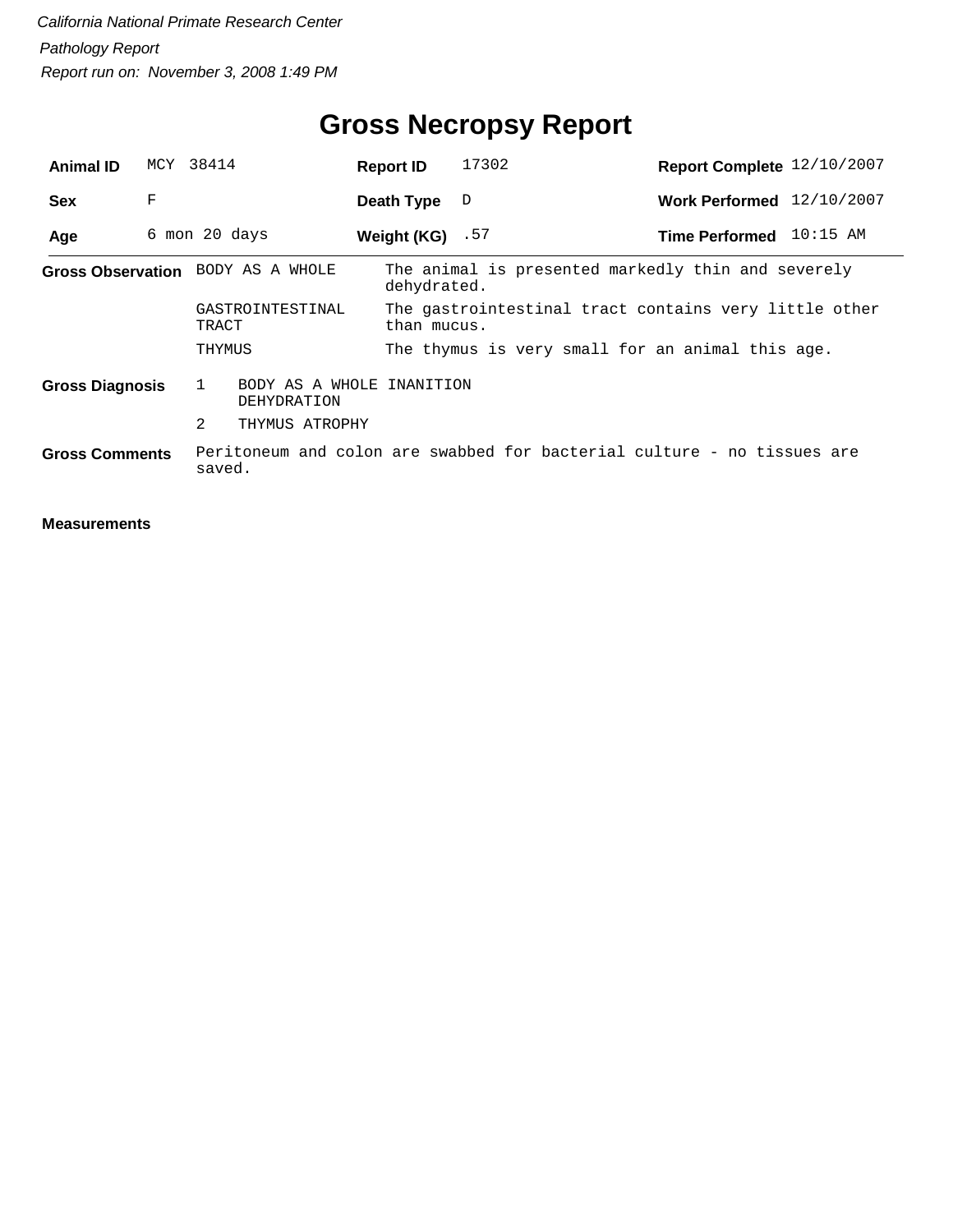| <b>Animal ID</b>       |   | MCY 38414                                     | <b>Report ID</b>   | 17302                                            | Report Complete 12/10/2007                                              |
|------------------------|---|-----------------------------------------------|--------------------|--------------------------------------------------|-------------------------------------------------------------------------|
| <b>Sex</b>             | F |                                               | Death Type         | D                                                | Work Performed 12/10/2007                                               |
| Age                    |   | 6 mon 20 days                                 | Weight $(KG)$ . 57 |                                                  | Time Performed 10:15 AM                                                 |
|                        |   | Gross Observation BODY AS A WHOLE             | dehydrated.        |                                                  | The animal is presented markedly thin and severely                      |
|                        |   | GASTROINTESTINAL<br>TRACT                     | than mucus.        |                                                  | The gastrointestinal tract contains very little other                   |
|                        |   | THYMUS                                        |                    | The thymus is very small for an animal this age. |                                                                         |
| <b>Gross Diagnosis</b> |   | 1<br>BODY AS A WHOLE INANITION<br>DEHYDRATION |                    |                                                  |                                                                         |
|                        |   | 2<br>THYMUS ATROPHY                           |                    |                                                  |                                                                         |
| <b>Gross Comments</b>  |   | saved.                                        |                    |                                                  | Peritoneum and colon are swabbed for bacterial culture - no tissues are |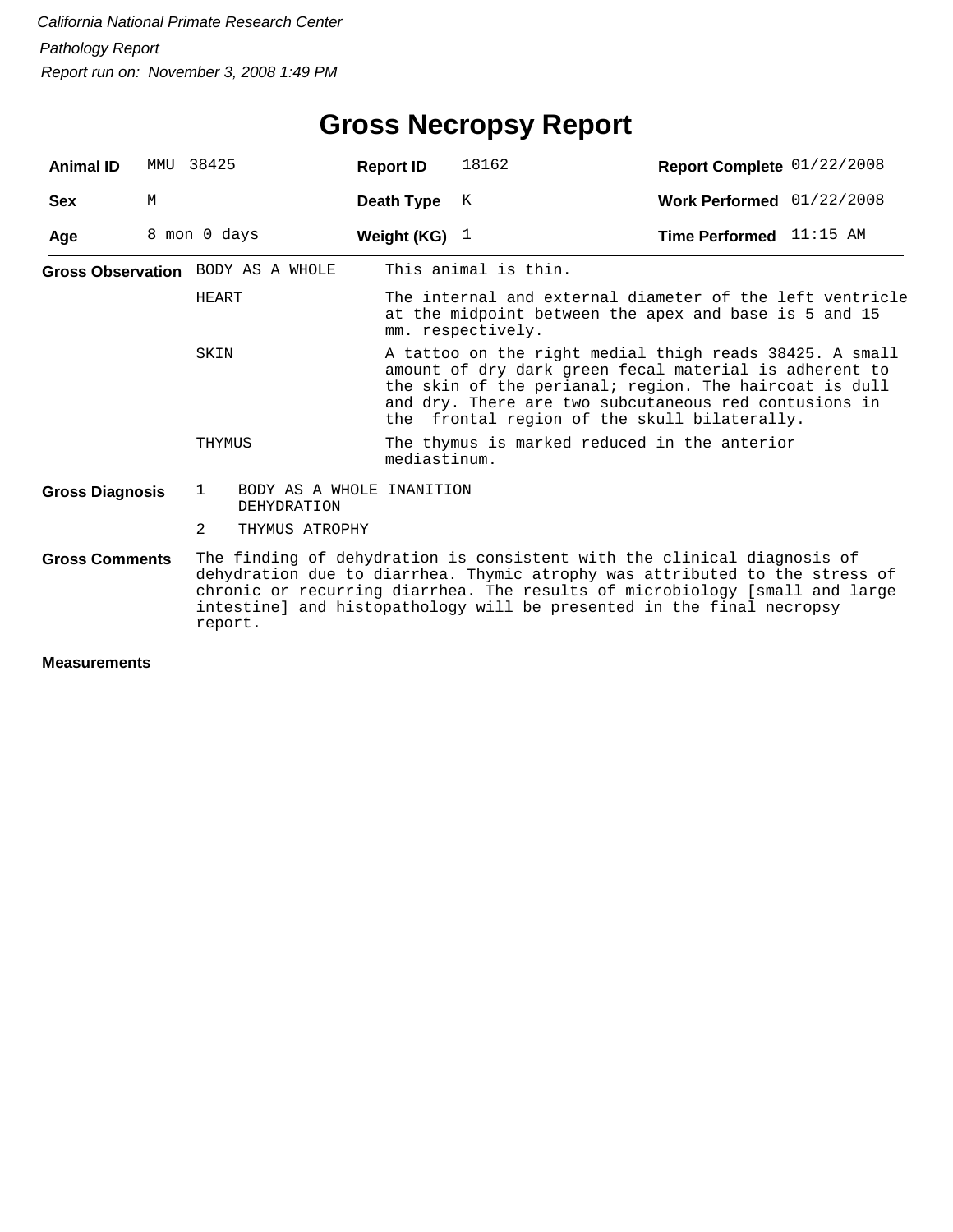| <b>Animal ID</b>       | MMU | 38425         |                                                 | <b>Report ID</b> | 18162                                                                                                                                                                                                                                                                                                          | Report Complete 01/22/2008     |  |  |  |
|------------------------|-----|---------------|-------------------------------------------------|------------------|----------------------------------------------------------------------------------------------------------------------------------------------------------------------------------------------------------------------------------------------------------------------------------------------------------------|--------------------------------|--|--|--|
| <b>Sex</b>             | М   |               |                                                 | Death Type       | К                                                                                                                                                                                                                                                                                                              | Work Performed 01/22/2008      |  |  |  |
| Age                    |     | 8 mon 0 days  |                                                 | Weight (KG) $1$  |                                                                                                                                                                                                                                                                                                                | <b>Time Performed</b> 11:15 AM |  |  |  |
|                        |     |               | Gross Observation BODY AS A WHOLE               |                  | This animal is thin.                                                                                                                                                                                                                                                                                           |                                |  |  |  |
|                        |     | HEART         |                                                 |                  | The internal and external diameter of the left ventricle<br>at the midpoint between the apex and base is 5 and 15<br>mm. respectively.                                                                                                                                                                         |                                |  |  |  |
| SKIN                   |     |               |                                                 |                  | A tattoo on the right medial thigh reads 38425. A small<br>amount of dry dark green fecal material is adherent to<br>the skin of the perianal; region. The haircoat is dull<br>and dry. There are two subcutaneous red contusions in<br>the frontal region of the skull bilaterally.                           |                                |  |  |  |
|                        |     | THYMUS        |                                                 | mediastinum.     | The thymus is marked reduced in the anterior                                                                                                                                                                                                                                                                   |                                |  |  |  |
| <b>Gross Diagnosis</b> |     | 1             | BODY AS A WHOLE INANITION<br><b>DEHYDRATION</b> |                  |                                                                                                                                                                                                                                                                                                                |                                |  |  |  |
|                        |     | $\mathcal{L}$ | THYMUS ATROPHY                                  |                  |                                                                                                                                                                                                                                                                                                                |                                |  |  |  |
| <b>Gross Comments</b>  |     | report.       |                                                 |                  | The finding of dehydration is consistent with the clinical diagnosis of<br>dehydration due to diarrhea. Thymic atrophy was attributed to the stress of<br>chronic or recurring diarrhea. The results of microbiology [small and large<br>intestine] and histopathology will be presented in the final necropsy |                                |  |  |  |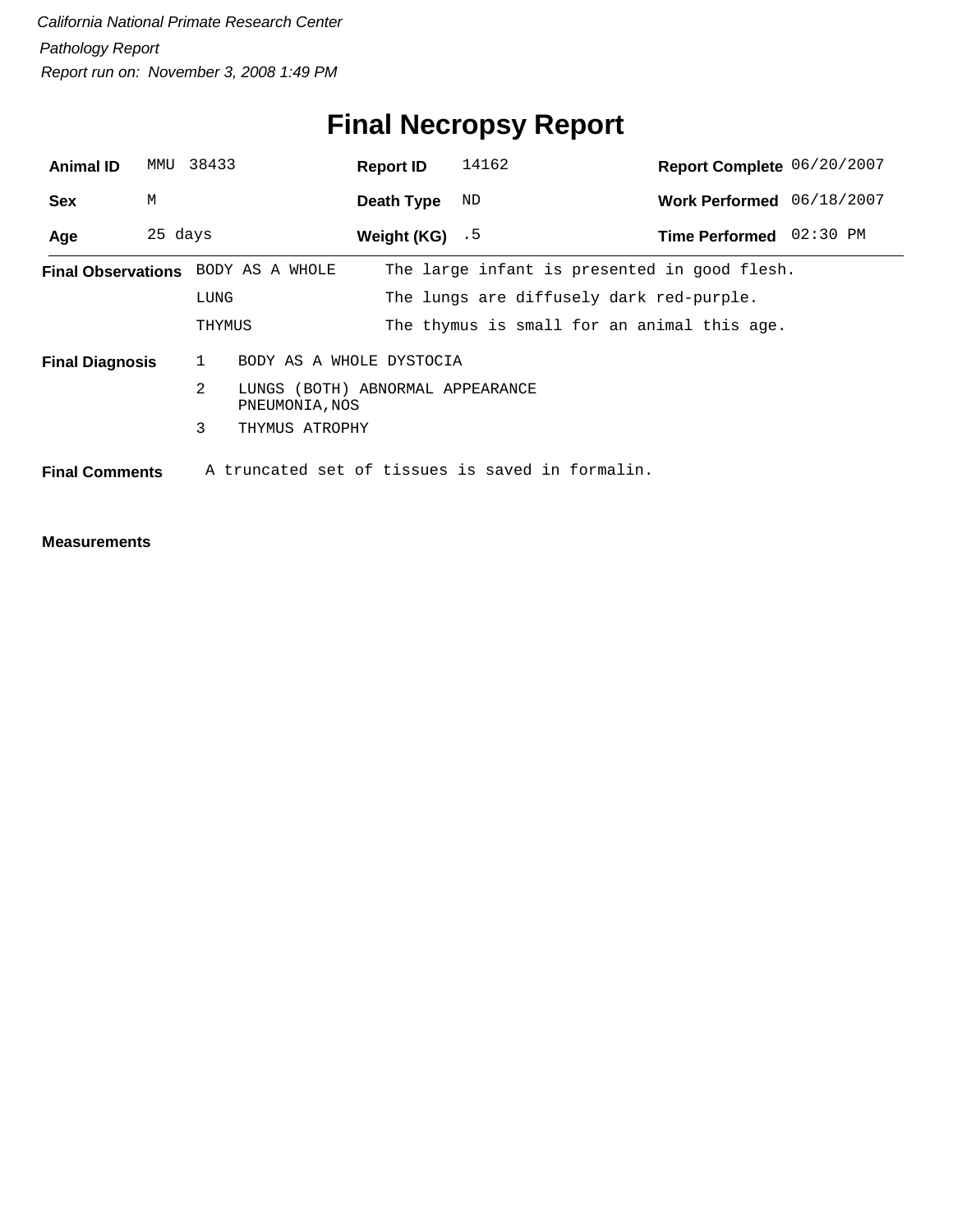# **Final Necropsy Report**

| <b>Animal ID</b>       | MMU     | 38433                                                   | <b>Report ID</b> | 14162                                            | Report Complete 06/20/2007 |  |
|------------------------|---------|---------------------------------------------------------|------------------|--------------------------------------------------|----------------------------|--|
| <b>Sex</b>             | М       |                                                         | Death Type       | ND                                               | Work Performed 06/18/2007  |  |
| Age                    | 25 days |                                                         | Weight (KG) $.5$ |                                                  | Time Performed 02:30 PM    |  |
|                        |         | Final Observations BODY AS A WHOLE                      |                  | The large infant is presented in good flesh.     |                            |  |
|                        |         | LUNG                                                    |                  | The lungs are diffusely dark red-purple.         |                            |  |
|                        |         | THYMUS                                                  |                  | The thymus is small for an animal this age.      |                            |  |
| <b>Final Diagnosis</b> |         | 1<br>BODY AS A WHOLE DYSTOCIA                           |                  |                                                  |                            |  |
|                        |         | 2<br>LUNGS (BOTH) ABNORMAL APPEARANCE<br>PNEUMONIA, NOS |                  |                                                  |                            |  |
|                        |         | 3<br>THYMUS ATROPHY                                     |                  |                                                  |                            |  |
| <b>Final Comments</b>  |         |                                                         |                  | A truncated set of tissues is saved in formalin. |                            |  |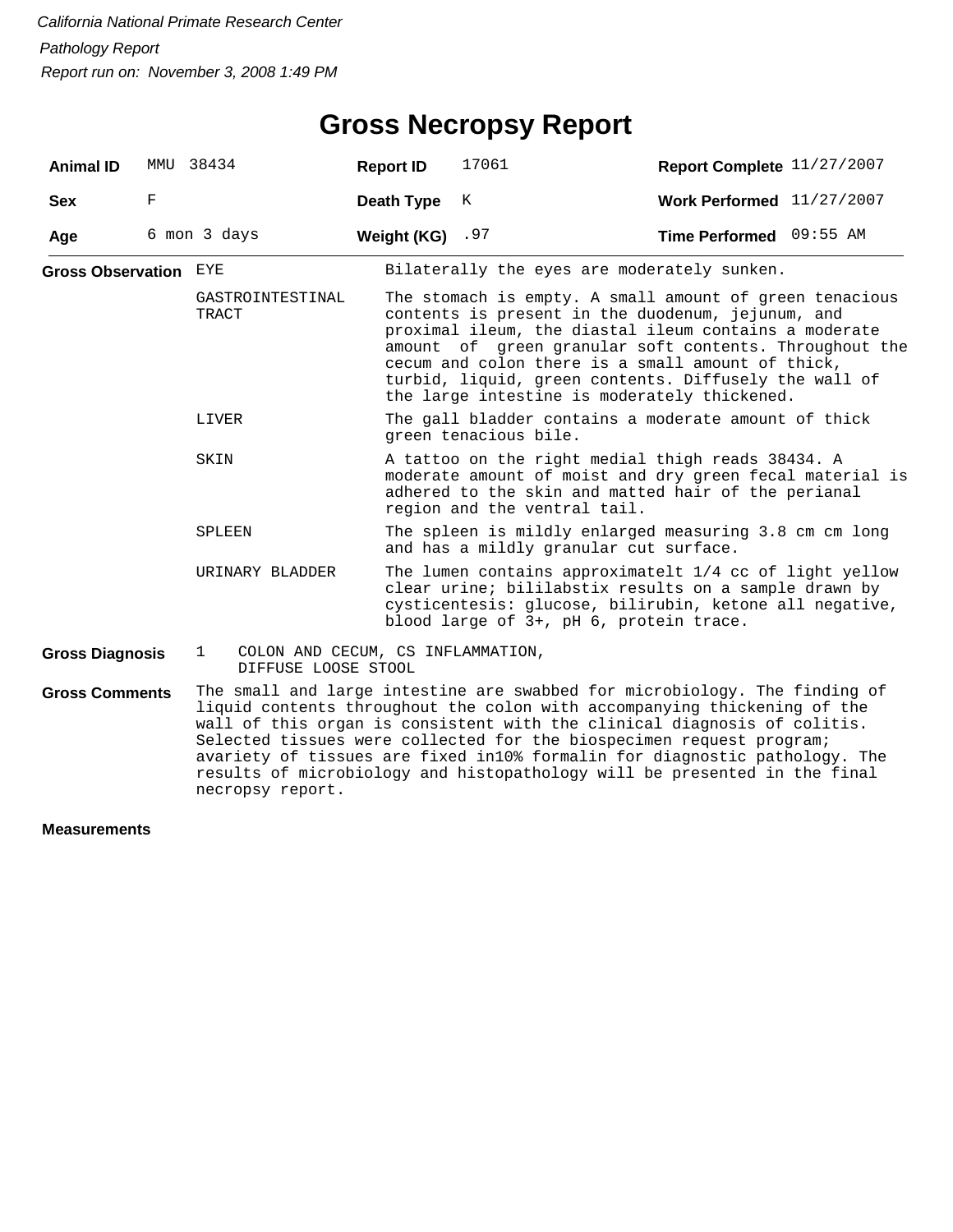### **Gross Necropsy Report**

| <b>Animal ID</b>        | MMU | 38434                                                                    | <b>Report ID</b>  | 17061                                                                                                                                                                                                                                                                                                                                                                                                                                                                 | Report Complete 11/27/2007 |  |
|-------------------------|-----|--------------------------------------------------------------------------|-------------------|-----------------------------------------------------------------------------------------------------------------------------------------------------------------------------------------------------------------------------------------------------------------------------------------------------------------------------------------------------------------------------------------------------------------------------------------------------------------------|----------------------------|--|
| <b>Sex</b>              | F   |                                                                          | <b>Death Type</b> | K                                                                                                                                                                                                                                                                                                                                                                                                                                                                     | Work Performed 11/27/2007  |  |
| Age                     |     | 6 mon 3 days                                                             | Weight (KG) $.97$ |                                                                                                                                                                                                                                                                                                                                                                                                                                                                       | Time Performed 09:55 AM    |  |
| Gross Observation $EYE$ |     |                                                                          |                   | Bilaterally the eyes are moderately sunken.                                                                                                                                                                                                                                                                                                                                                                                                                           |                            |  |
|                         |     | GASTROINTESTINAL<br>TRACT                                                |                   | The stomach is empty. A small amount of green tenacious<br>contents is present in the duodenum, jejunum, and<br>proximal ileum, the diastal ileum contains a moderate<br>amount of green granular soft contents. Throughout the<br>cecum and colon there is a small amount of thick,<br>turbid, liquid, green contents. Diffusely the wall of<br>the large intestine is moderately thickened.                                                                         |                            |  |
|                         |     | LIVER                                                                    |                   | The gall bladder contains a moderate amount of thick<br>green tenacious bile.                                                                                                                                                                                                                                                                                                                                                                                         |                            |  |
|                         |     | SKIN                                                                     |                   | A tattoo on the right medial thigh reads 38434. A<br>moderate amount of moist and dry green fecal material is<br>adhered to the skin and matted hair of the perianal<br>region and the ventral tail.                                                                                                                                                                                                                                                                  |                            |  |
|                         |     | SPLEEN                                                                   |                   | The spleen is mildly enlarged measuring 3.8 cm cm long<br>and has a mildly granular cut surface.                                                                                                                                                                                                                                                                                                                                                                      |                            |  |
|                         |     | URINARY BLADDER                                                          |                   | The lumen contains approximatelt 1/4 cc of light yellow<br>clear urine; bililabstix results on a sample drawn by<br>cysticentesis: glucose, bilirubin, ketone all negative,<br>blood large of 3+, pH 6, protein trace.                                                                                                                                                                                                                                                |                            |  |
| <b>Gross Diagnosis</b>  |     | COLON AND CECUM, CS INFLAMMATION,<br>$\mathbf{1}$<br>DIFFUSE LOOSE STOOL |                   |                                                                                                                                                                                                                                                                                                                                                                                                                                                                       |                            |  |
| <b>Gross Comments</b>   |     | necropsy report.                                                         |                   | The small and large intestine are swabbed for microbiology. The finding of<br>liquid contents throughout the colon with accompanying thickening of the<br>wall of this organ is consistent with the clinical diagnosis of colitis.<br>Selected tissues were collected for the biospecimen request program;<br>avariety of tissues are fixed in10% formalin for diagnostic pathology. The<br>results of microbiology and histopathology will be presented in the final |                            |  |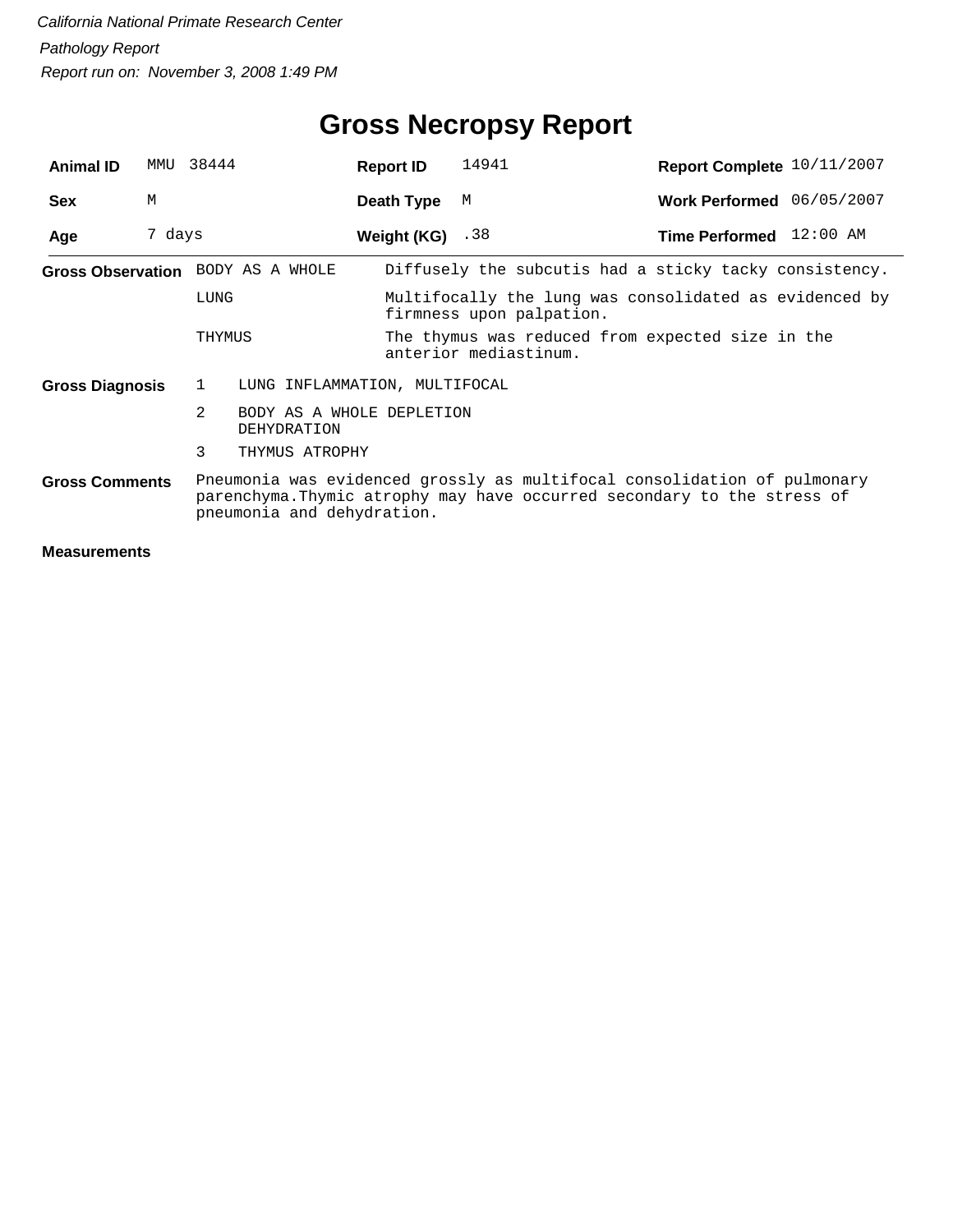| <b>Animal ID</b>       | MMU    | 38444                                         | <b>Report ID</b>   | 14941                                                                                                                                               | Report Complete 10/11/2007 |  |
|------------------------|--------|-----------------------------------------------|--------------------|-----------------------------------------------------------------------------------------------------------------------------------------------------|----------------------------|--|
| <b>Sex</b>             | M      |                                               | Death Type         | М                                                                                                                                                   | Work Performed 06/05/2007  |  |
| Age                    | 7 days |                                               | Weight $(KG)$ . 38 |                                                                                                                                                     | Time Performed 12:00 AM    |  |
|                        |        | Gross Observation BODY AS A WHOLE             |                    | Diffusely the subcutis had a sticky tacky consistency.                                                                                              |                            |  |
|                        |        | LUNG                                          |                    | Multifocally the lung was consolidated as evidenced by<br>firmness upon palpation.                                                                  |                            |  |
|                        |        | THYMUS                                        |                    | The thymus was reduced from expected size in the<br>anterior mediastinum.                                                                           |                            |  |
| <b>Gross Diagnosis</b> |        | $\mathbf{1}$<br>LUNG INFLAMMATION, MULTIFOCAL |                    |                                                                                                                                                     |                            |  |
|                        |        | 2<br>BODY AS A WHOLE DEPLETION<br>DEHYDRATION |                    |                                                                                                                                                     |                            |  |
|                        |        | 3<br>THYMUS ATROPHY                           |                    |                                                                                                                                                     |                            |  |
| <b>Gross Comments</b>  |        | pneumonia and dehydration.                    |                    | Pneumonia was evidenced grossly as multifocal consolidation of pulmonary<br>parenchyma. Thymic atrophy may have occurred secondary to the stress of |                            |  |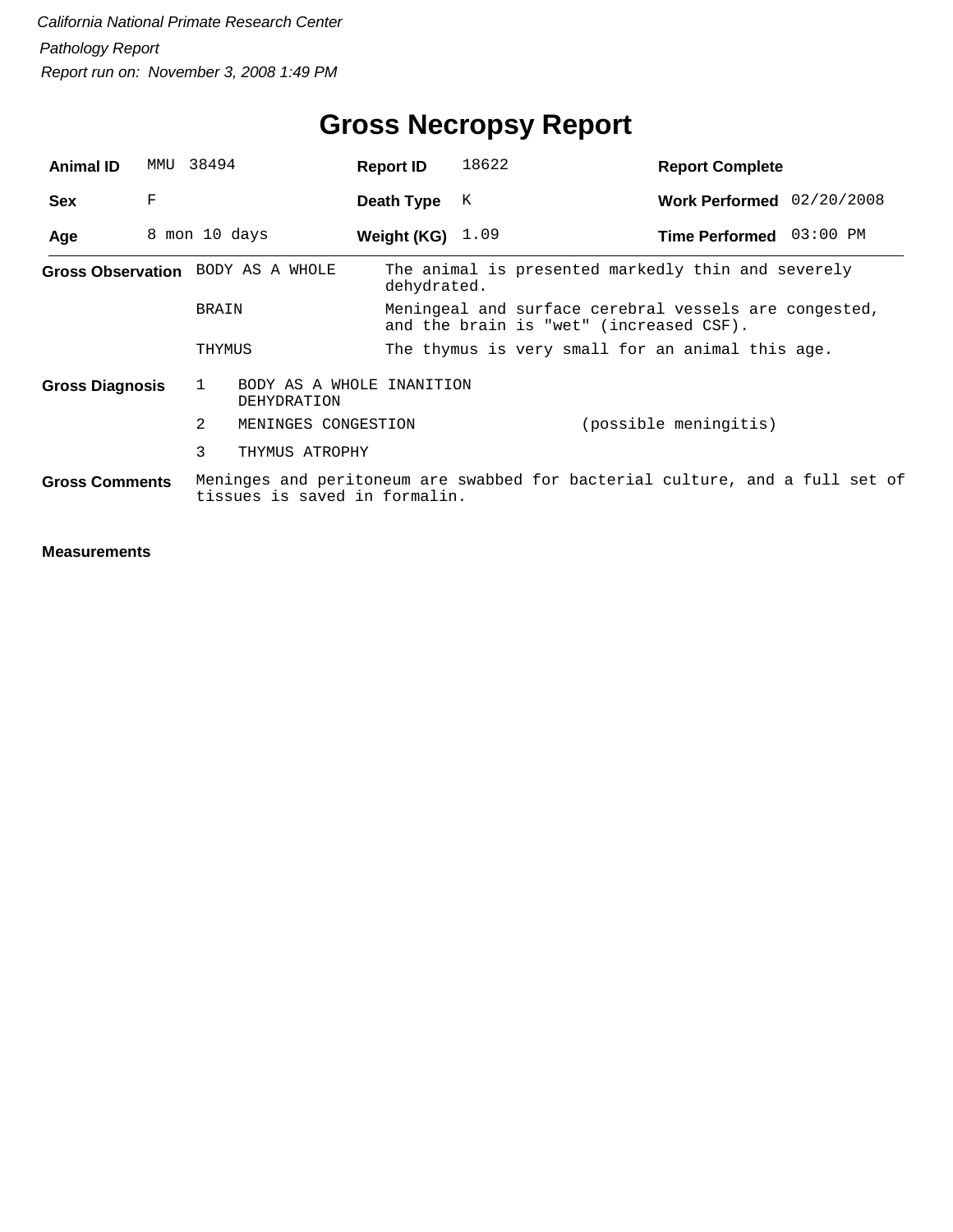## **Gross Necropsy Report**

| <b>Animal ID</b>       | MMU | 38494                                                           | <b>Report ID</b>   | 18622 | <b>Report Complete</b>                                                                           |  |
|------------------------|-----|-----------------------------------------------------------------|--------------------|-------|--------------------------------------------------------------------------------------------------|--|
| <b>Sex</b>             | F   |                                                                 | Death Type         | K     | Work Performed 02/20/2008                                                                        |  |
| Age                    |     | 8 mon 10 days                                                   | Weight (KG) $1.09$ |       | Time Performed 03:00 PM                                                                          |  |
|                        |     | Gross Observation BODY AS A WHOLE                               | dehydrated.        |       | The animal is presented markedly thin and severely                                               |  |
|                        |     | <b>BRAIN</b>                                                    |                    |       | Meningeal and surface cerebral vessels are congested,<br>and the brain is "wet" (increased CSF). |  |
|                        |     | THYMUS                                                          |                    |       | The thymus is very small for an animal this age.                                                 |  |
| <b>Gross Diagnosis</b> |     | BODY AS A WHOLE INANITION<br>$\mathbf{1}$<br><b>DEHYDRATION</b> |                    |       |                                                                                                  |  |
|                        |     | 2<br>MENINGES CONGESTION                                        |                    |       | (possible meningitis)                                                                            |  |
|                        |     | 3<br>THYMUS ATROPHY                                             |                    |       |                                                                                                  |  |
| <b>Gross Comments</b>  |     | tissues is saved in formalin.                                   |                    |       | Meninges and peritoneum are swabbed for bacterial culture, and a full set of                     |  |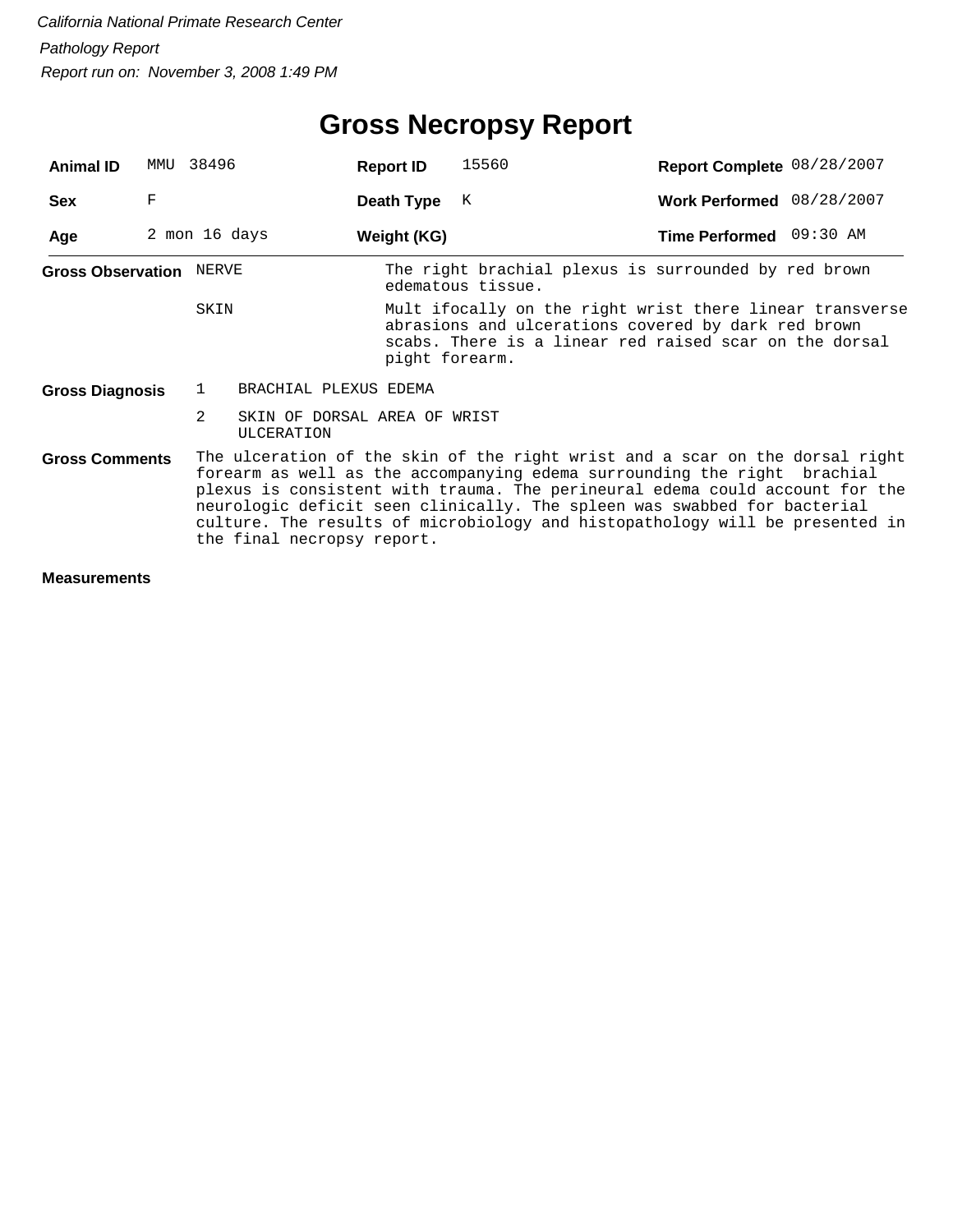## **Gross Necropsy Report**

| <b>Animal ID</b>               | MMU           | 38496          |                                                   | <b>Report ID</b> | 15560                                                                                                                                                                                                                                                                                                                                                                                                | Report Complete 08/28/2007 |  |
|--------------------------------|---------------|----------------|---------------------------------------------------|------------------|------------------------------------------------------------------------------------------------------------------------------------------------------------------------------------------------------------------------------------------------------------------------------------------------------------------------------------------------------------------------------------------------------|----------------------------|--|
| <b>Sex</b>                     | F             |                |                                                   | Death Type       | К                                                                                                                                                                                                                                                                                                                                                                                                    | Work Performed 08/28/2007  |  |
| Age                            | 2 mon 16 days |                |                                                   | Weight (KG)      |                                                                                                                                                                                                                                                                                                                                                                                                      | Time Performed 09:30 AM    |  |
| <b>Gross Observation NERVE</b> |               |                |                                                   |                  | The right brachial plexus is surrounded by red brown<br>edematous tissue.                                                                                                                                                                                                                                                                                                                            |                            |  |
|                                |               | SKIN           |                                                   | pight forearm.   | Mult ifocally on the right wrist there linear transverse<br>abrasions and ulcerations covered by dark red brown<br>scabs. There is a linear red raised scar on the dorsal                                                                                                                                                                                                                            |                            |  |
| <b>Gross Diagnosis</b>         |               | $\mathbf{1}$   | BRACHIAL PLEXUS EDEMA                             |                  |                                                                                                                                                                                                                                                                                                                                                                                                      |                            |  |
|                                |               | $\mathfrak{D}$ | SKIN OF DORSAL AREA OF WRIST<br><b>ULCERATION</b> |                  |                                                                                                                                                                                                                                                                                                                                                                                                      |                            |  |
| <b>Gross Comments</b>          |               |                | the final necropsy report.                        |                  | The ulceration of the skin of the right wrist and a scar on the dorsal right<br>forearm as well as the accompanying edema surrounding the right brachial<br>plexus is consistent with trauma. The perineural edema could account for the<br>neurologic deficit seen clinically. The spleen was swabbed for bacterial<br>culture. The results of microbiology and histopathology will be presented in |                            |  |
| <b>Measurements</b>            |               |                |                                                   |                  |                                                                                                                                                                                                                                                                                                                                                                                                      |                            |  |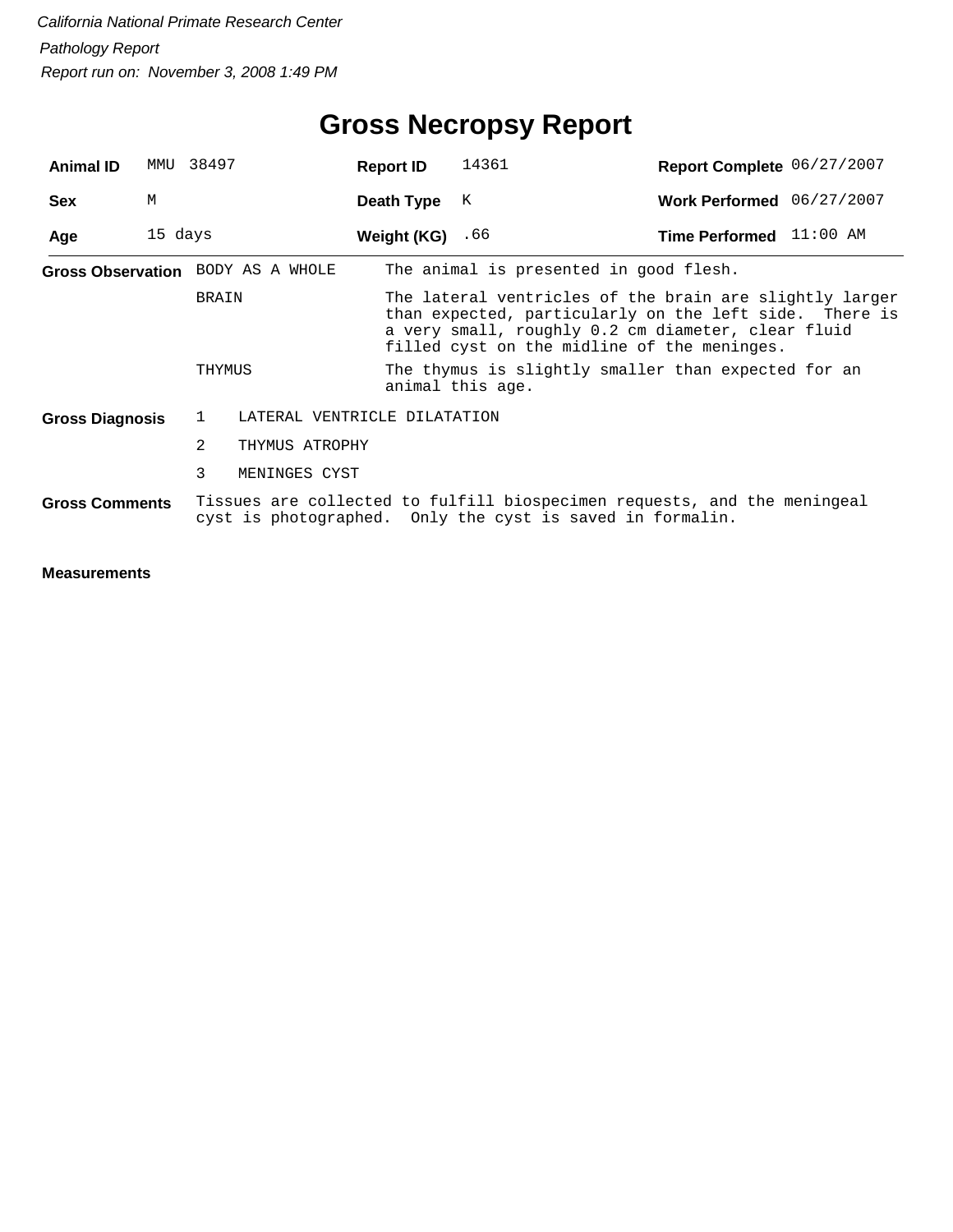| <b>Animal ID</b>                                                                                                                                               | MMU     | 38497                                                                       |                | <b>Report ID</b>             | 14361                                                                                                                                                                                                                  | Report Complete 06/27/2007                          |  |  |  |
|----------------------------------------------------------------------------------------------------------------------------------------------------------------|---------|-----------------------------------------------------------------------------|----------------|------------------------------|------------------------------------------------------------------------------------------------------------------------------------------------------------------------------------------------------------------------|-----------------------------------------------------|--|--|--|
| <b>Sex</b>                                                                                                                                                     | M       |                                                                             |                | Death Type                   | K                                                                                                                                                                                                                      | Work Performed 06/27/2007                           |  |  |  |
| Age                                                                                                                                                            | 15 days |                                                                             |                | Weight (KG) $.66$            |                                                                                                                                                                                                                        | <b>Time Performed</b> $11:00$ AM                    |  |  |  |
|                                                                                                                                                                |         | The animal is presented in good flesh.<br>Gross Observation BODY AS A WHOLE |                |                              |                                                                                                                                                                                                                        |                                                     |  |  |  |
|                                                                                                                                                                |         | <b>BRAIN</b>                                                                |                |                              | The lateral ventricles of the brain are slightly larger<br>than expected, particularly on the left side. There is<br>a very small, roughly 0.2 cm diameter, clear fluid<br>filled cyst on the midline of the meninges. |                                                     |  |  |  |
|                                                                                                                                                                |         | THYMUS                                                                      |                |                              | animal this age.                                                                                                                                                                                                       | The thymus is slightly smaller than expected for an |  |  |  |
| <b>Gross Diagnosis</b>                                                                                                                                         |         | 1                                                                           |                | LATERAL VENTRICLE DILATATION |                                                                                                                                                                                                                        |                                                     |  |  |  |
|                                                                                                                                                                |         | $\overline{2}$                                                              | THYMUS ATROPHY |                              |                                                                                                                                                                                                                        |                                                     |  |  |  |
|                                                                                                                                                                |         | 3                                                                           | MENINGES CYST  |                              |                                                                                                                                                                                                                        |                                                     |  |  |  |
| Tissues are collected to fulfill biospecimen requests, and the meningeal<br><b>Gross Comments</b><br>cyst is photographed. Only the cyst is saved in formalin. |         |                                                                             |                |                              |                                                                                                                                                                                                                        |                                                     |  |  |  |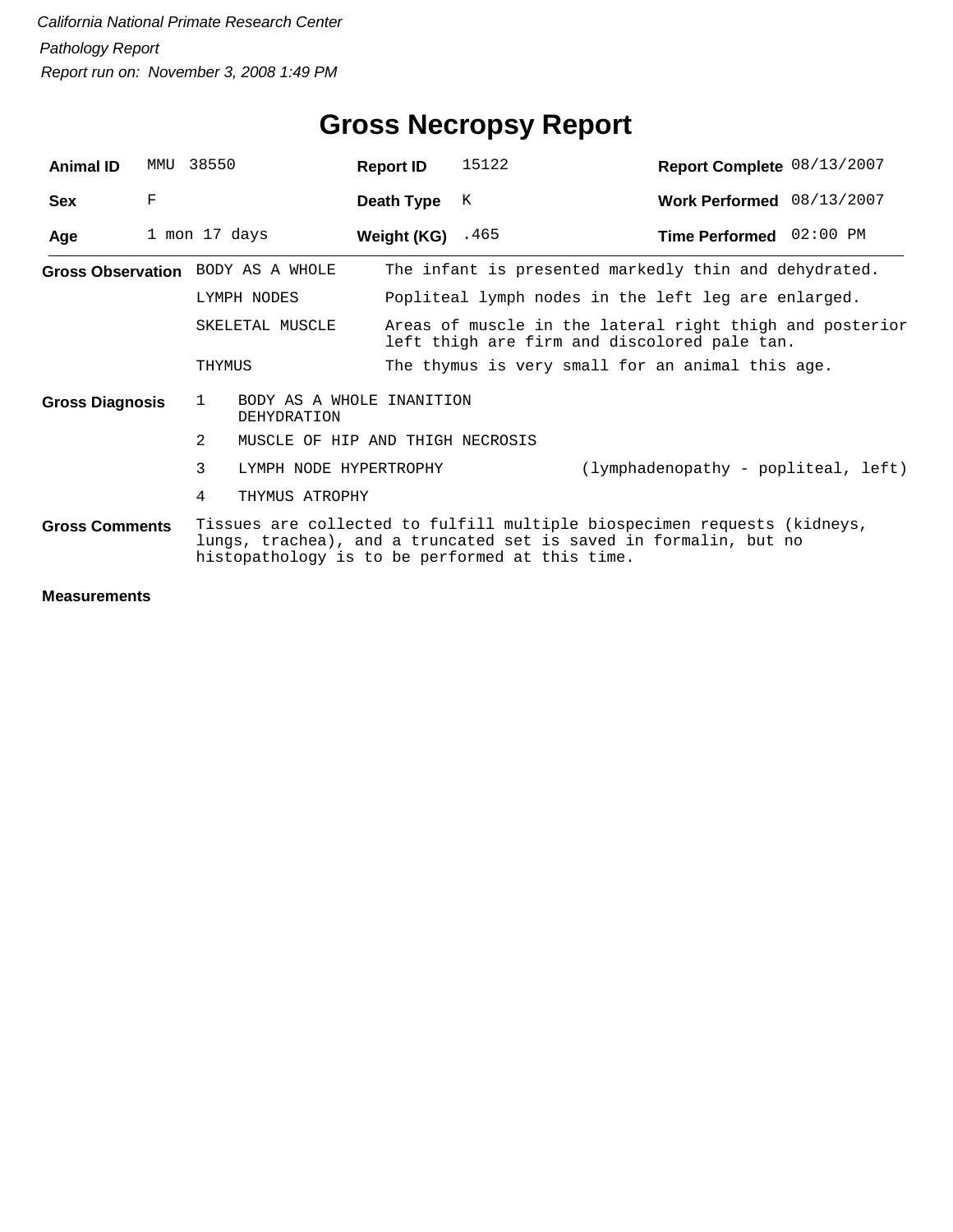| <b>Animal ID</b>       | MMU | 38550           |                                          | <b>Report ID</b> | 15122                                                                                                    | Report Complete 08/13/2007                                                                                                                    |  |  |  |
|------------------------|-----|-----------------|------------------------------------------|------------------|----------------------------------------------------------------------------------------------------------|-----------------------------------------------------------------------------------------------------------------------------------------------|--|--|--|
| <b>Sex</b>             | F   |                 |                                          | Death Type       | К                                                                                                        | Work Performed 08/13/2007                                                                                                                     |  |  |  |
| Age                    |     | 1 mon 17 days   |                                          | Weight (KG)      | .465                                                                                                     | Time Performed 02:00 PM                                                                                                                       |  |  |  |
|                        |     |                 | Gross Observation BODY AS A WHOLE        |                  |                                                                                                          | The infant is presented markedly thin and dehydrated.                                                                                         |  |  |  |
|                        |     |                 | LYMPH NODES                              |                  |                                                                                                          | Popliteal lymph nodes in the left leg are enlarged.                                                                                           |  |  |  |
|                        |     | SKELETAL MUSCLE |                                          |                  | Areas of muscle in the lateral right thigh and posterior<br>left thigh are firm and discolored pale tan. |                                                                                                                                               |  |  |  |
|                        |     | THYMUS          |                                          |                  |                                                                                                          | The thymus is very small for an animal this age.                                                                                              |  |  |  |
| <b>Gross Diagnosis</b> |     | 1               | BODY AS A WHOLE INANITION<br>DEHYDRATION |                  |                                                                                                          |                                                                                                                                               |  |  |  |
|                        |     | $\mathfrak{D}$  | MUSCLE OF HIP AND THIGH NECROSIS         |                  |                                                                                                          |                                                                                                                                               |  |  |  |
|                        |     | 3               | LYMPH NODE HYPERTROPHY                   |                  |                                                                                                          | (lymphadenopathy - popliteal, left)                                                                                                           |  |  |  |
|                        |     | 4               | THYMUS ATROPHY                           |                  |                                                                                                          |                                                                                                                                               |  |  |  |
| <b>Gross Comments</b>  |     |                 |                                          |                  | histopathology is to be performed at this time.                                                          | Tissues are collected to fulfill multiple biospecimen requests (kidneys,<br>lungs, trachea), and a truncated set is saved in formalin, but no |  |  |  |
|                        |     |                 |                                          |                  |                                                                                                          |                                                                                                                                               |  |  |  |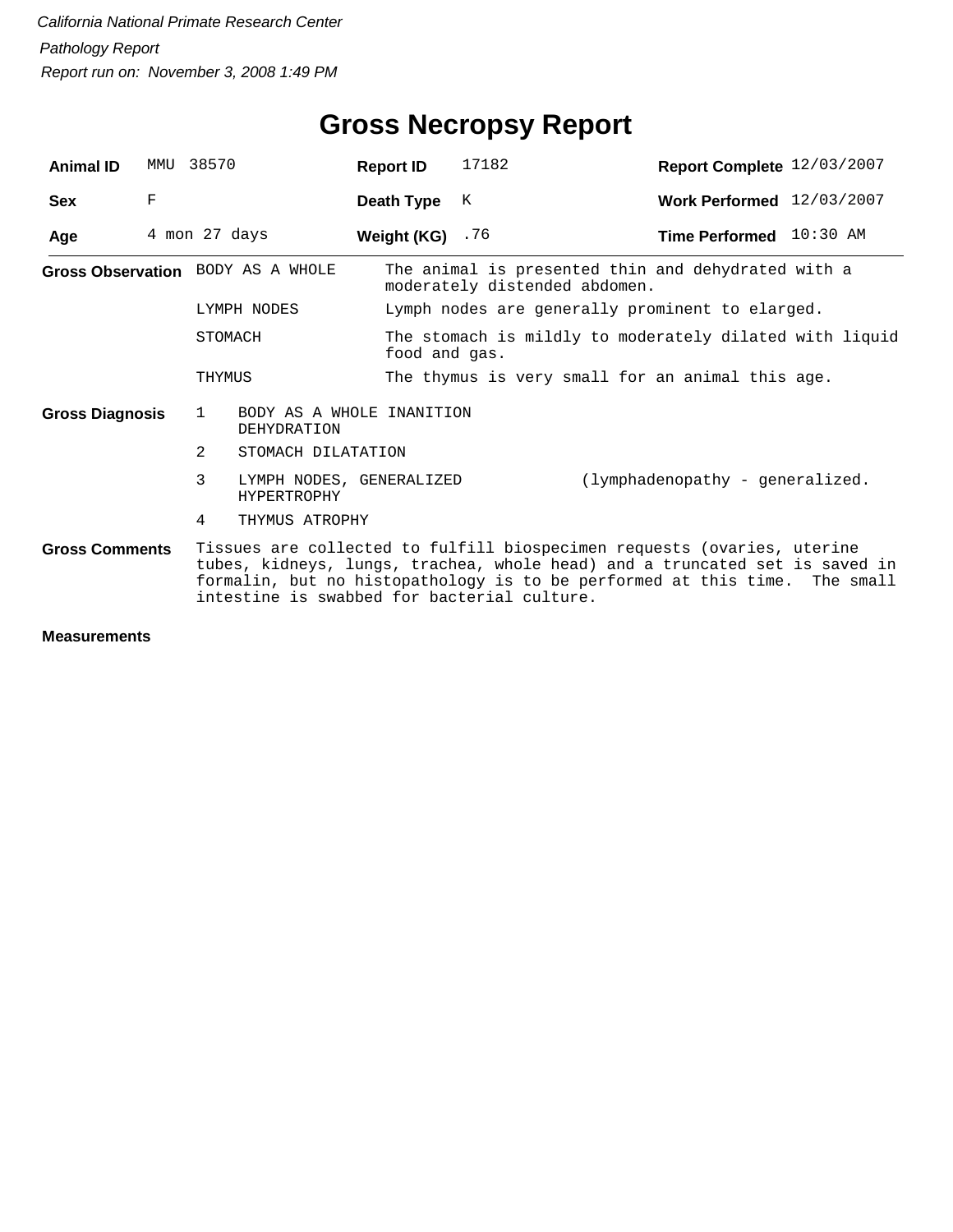| <b>Animal ID</b>                                                                                                                                                                                                                                                                                             | MMU | 38570                                                    | <b>Report ID</b>  | 17182                                                                               | Report Complete 12/03/2007      |  |  |  |  |  |
|--------------------------------------------------------------------------------------------------------------------------------------------------------------------------------------------------------------------------------------------------------------------------------------------------------------|-----|----------------------------------------------------------|-------------------|-------------------------------------------------------------------------------------|---------------------------------|--|--|--|--|--|
| <b>Sex</b>                                                                                                                                                                                                                                                                                                   | F   |                                                          | Death Type        | К                                                                                   | Work Performed 12/03/2007       |  |  |  |  |  |
| Age                                                                                                                                                                                                                                                                                                          |     | 4 mon 27 days                                            | Weight (KG) $.76$ |                                                                                     | Time Performed 10:30 AM         |  |  |  |  |  |
|                                                                                                                                                                                                                                                                                                              |     | Gross Observation BODY AS A WHOLE                        |                   | The animal is presented thin and dehydrated with a<br>moderately distended abdomen. |                                 |  |  |  |  |  |
|                                                                                                                                                                                                                                                                                                              |     | LYMPH NODES                                              |                   | Lymph nodes are generally prominent to elarged.                                     |                                 |  |  |  |  |  |
|                                                                                                                                                                                                                                                                                                              |     | STOMACH                                                  | food and gas.     | The stomach is mildly to moderately dilated with liquid                             |                                 |  |  |  |  |  |
|                                                                                                                                                                                                                                                                                                              |     | THYMUS                                                   |                   | The thymus is very small for an animal this age.                                    |                                 |  |  |  |  |  |
| <b>Gross Diagnosis</b>                                                                                                                                                                                                                                                                                       |     | $\mathbf{1}$<br>BODY AS A WHOLE INANITION<br>DEHYDRATION |                   |                                                                                     |                                 |  |  |  |  |  |
|                                                                                                                                                                                                                                                                                                              |     | 2<br>STOMACH DILATATION                                  |                   |                                                                                     |                                 |  |  |  |  |  |
|                                                                                                                                                                                                                                                                                                              |     | 3<br>LYMPH NODES, GENERALIZED<br><b>HYPERTROPHY</b>      |                   |                                                                                     | (lymphadenopathy - generalized. |  |  |  |  |  |
|                                                                                                                                                                                                                                                                                                              |     | 4<br>THYMUS ATROPHY                                      |                   |                                                                                     |                                 |  |  |  |  |  |
| Tissues are collected to fulfill biospecimen requests (ovaries, uterine<br><b>Gross Comments</b><br>tubes, kidneys, lungs, trachea, whole head) and a truncated set is saved in<br>formalin, but no histopathology is to be performed at this time. The small<br>intestine is swabbed for bacterial culture. |     |                                                          |                   |                                                                                     |                                 |  |  |  |  |  |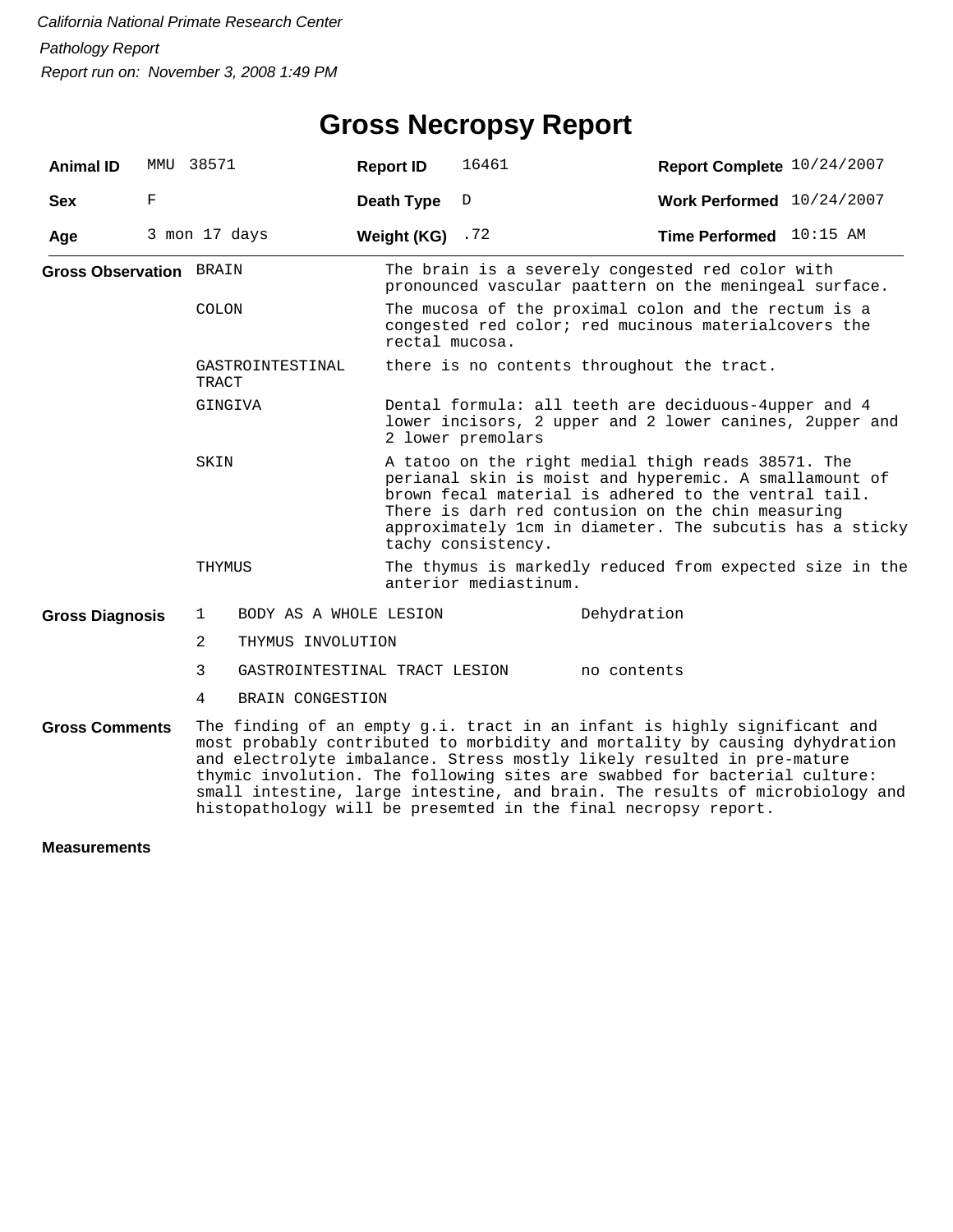### **Gross Necropsy Report**

| <b>Animal ID</b>               | MMU 38571 |                |                               | <b>Report ID</b> | 16461                                                                                                                                                                                                                                                                                                       | Report Complete 10/24/2007                                                                                                                                                                                                                                                                                                                                                                                                                                        |  |  |  |  |  |  |
|--------------------------------|-----------|----------------|-------------------------------|------------------|-------------------------------------------------------------------------------------------------------------------------------------------------------------------------------------------------------------------------------------------------------------------------------------------------------------|-------------------------------------------------------------------------------------------------------------------------------------------------------------------------------------------------------------------------------------------------------------------------------------------------------------------------------------------------------------------------------------------------------------------------------------------------------------------|--|--|--|--|--|--|
| <b>Sex</b>                     | F         |                |                               | Death Type       | D                                                                                                                                                                                                                                                                                                           | Work Performed 10/24/2007                                                                                                                                                                                                                                                                                                                                                                                                                                         |  |  |  |  |  |  |
| Age                            |           | 3 mon 17 days  |                               | Weight (KG)      | .72                                                                                                                                                                                                                                                                                                         | Time Performed 10:15 AM                                                                                                                                                                                                                                                                                                                                                                                                                                           |  |  |  |  |  |  |
| <b>Gross Observation BRAIN</b> |           |                |                               |                  | The brain is a severely congested red color with<br>pronounced vascular paattern on the meningeal surface.                                                                                                                                                                                                  |                                                                                                                                                                                                                                                                                                                                                                                                                                                                   |  |  |  |  |  |  |
|                                |           | COLON          |                               | rectal mucosa.   |                                                                                                                                                                                                                                                                                                             | The mucosa of the proximal colon and the rectum is a<br>congested red color; red mucinous material covers the                                                                                                                                                                                                                                                                                                                                                     |  |  |  |  |  |  |
|                                |           | TRACT          | GASTROINTESTINAL              |                  |                                                                                                                                                                                                                                                                                                             | there is no contents throughout the tract.                                                                                                                                                                                                                                                                                                                                                                                                                        |  |  |  |  |  |  |
|                                |           | GINGIVA        |                               |                  | Dental formula: all teeth are deciduous-4upper and 4<br>lower incisors, 2 upper and 2 lower canines, 2upper and<br>2 lower premolars                                                                                                                                                                        |                                                                                                                                                                                                                                                                                                                                                                                                                                                                   |  |  |  |  |  |  |
|                                |           | SKIN           |                               |                  | A tatoo on the right medial thigh reads 38571. The<br>perianal skin is moist and hyperemic. A smallamount of<br>brown fecal material is adhered to the ventral tail.<br>There is darh red contusion on the chin measuring<br>approximately 1cm in diameter. The subcutis has a sticky<br>tachy consistency. |                                                                                                                                                                                                                                                                                                                                                                                                                                                                   |  |  |  |  |  |  |
|                                |           | THYMUS         |                               |                  | anterior mediastinum.                                                                                                                                                                                                                                                                                       | The thymus is markedly reduced from expected size in the                                                                                                                                                                                                                                                                                                                                                                                                          |  |  |  |  |  |  |
| <b>Gross Diagnosis</b>         |           | 1              | BODY AS A WHOLE LESION        |                  |                                                                                                                                                                                                                                                                                                             | Dehydration                                                                                                                                                                                                                                                                                                                                                                                                                                                       |  |  |  |  |  |  |
|                                |           | $\overline{2}$ | THYMUS INVOLUTION             |                  |                                                                                                                                                                                                                                                                                                             |                                                                                                                                                                                                                                                                                                                                                                                                                                                                   |  |  |  |  |  |  |
|                                |           | 3              | GASTROINTESTINAL TRACT LESION |                  |                                                                                                                                                                                                                                                                                                             | no contents                                                                                                                                                                                                                                                                                                                                                                                                                                                       |  |  |  |  |  |  |
|                                |           | 4              | BRAIN CONGESTION              |                  |                                                                                                                                                                                                                                                                                                             |                                                                                                                                                                                                                                                                                                                                                                                                                                                                   |  |  |  |  |  |  |
| <b>Gross Comments</b>          |           |                |                               |                  |                                                                                                                                                                                                                                                                                                             | The finding of an empty g.i. tract in an infant is highly significant and<br>most probably contributed to morbidity and mortality by causing dyhydration<br>and electrolyte imbalance. Stress mostly likely resulted in pre-mature<br>thymic involution. The following sites are swabbed for bacterial culture:<br>small intestine, large intestine, and brain. The results of microbiology and<br>histopathology will be presemted in the final necropsy report. |  |  |  |  |  |  |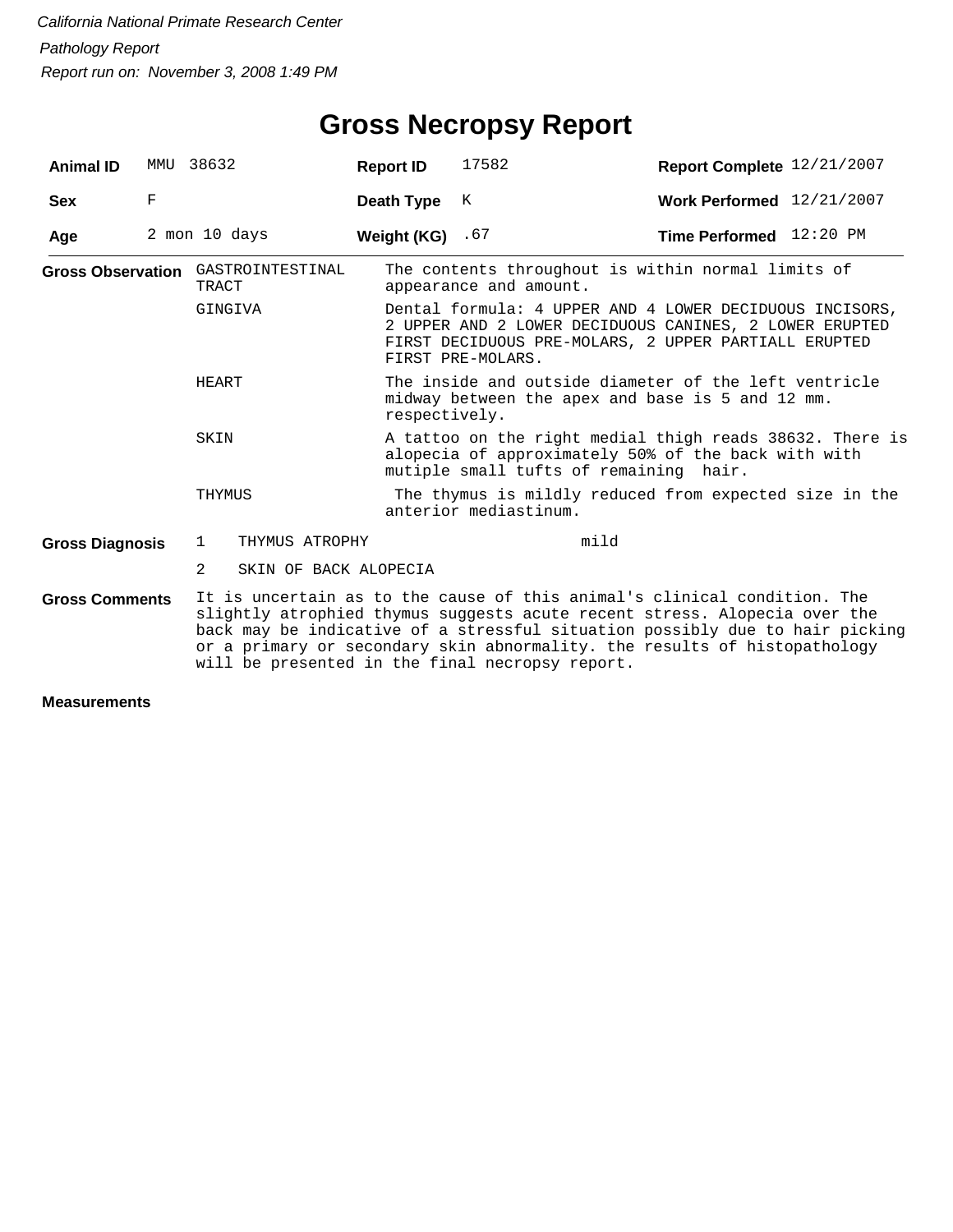| <b>Animal ID</b>       |   | MMU 38632                                   | <b>Report ID</b> | 17582                                                                                                                                                     | Report Complete 12/21/2007                                                                                                                                                                                                                                                                                         |  |  |  |  |  |  |
|------------------------|---|---------------------------------------------|------------------|-----------------------------------------------------------------------------------------------------------------------------------------------------------|--------------------------------------------------------------------------------------------------------------------------------------------------------------------------------------------------------------------------------------------------------------------------------------------------------------------|--|--|--|--|--|--|
| <b>Sex</b>             | F |                                             | Death Type       | K                                                                                                                                                         | Work Performed 12/21/2007                                                                                                                                                                                                                                                                                          |  |  |  |  |  |  |
| Age                    |   | 2 mon 10 days                               | Weight (KG)      | .67                                                                                                                                                       | <b>Time Performed</b> $12:20 \text{ PM}$                                                                                                                                                                                                                                                                           |  |  |  |  |  |  |
|                        |   | Gross Observation GASTROINTESTINAL<br>TRACT |                  | appearance and amount.                                                                                                                                    | The contents throughout is within normal limits of                                                                                                                                                                                                                                                                 |  |  |  |  |  |  |
|                        |   | GINGIVA                                     |                  | FIRST PRE-MOLARS.                                                                                                                                         | Dental formula: 4 UPPER AND 4 LOWER DECIDUOUS INCISORS,<br>2 UPPER AND 2 LOWER DECIDUOUS CANINES, 2 LOWER ERUPTED<br>FIRST DECIDUOUS PRE-MOLARS, 2 UPPER PARTIALL ERUPTED                                                                                                                                          |  |  |  |  |  |  |
|                        |   | HEART                                       |                  | The inside and outside diameter of the left ventricle<br>midway between the apex and base is 5 and 12 mm.<br>respectively.                                |                                                                                                                                                                                                                                                                                                                    |  |  |  |  |  |  |
|                        |   | SKIN                                        |                  | A tattoo on the right medial thigh reads 38632. There is<br>alopecia of approximately 50% of the back with with<br>mutiple small tufts of remaining hair. |                                                                                                                                                                                                                                                                                                                    |  |  |  |  |  |  |
|                        |   | THYMUS                                      |                  | The thymus is mildly reduced from expected size in the<br>anterior mediastinum.                                                                           |                                                                                                                                                                                                                                                                                                                    |  |  |  |  |  |  |
| <b>Gross Diagnosis</b> |   | 1<br>THYMUS ATROPHY                         |                  |                                                                                                                                                           | mild                                                                                                                                                                                                                                                                                                               |  |  |  |  |  |  |
|                        |   | 2<br>SKIN OF BACK ALOPECIA                  |                  |                                                                                                                                                           |                                                                                                                                                                                                                                                                                                                    |  |  |  |  |  |  |
| <b>Gross Comments</b>  |   |                                             |                  |                                                                                                                                                           | It is uncertain as to the cause of this animal's clinical condition. The<br>slightly atrophied thymus suggests acute recent stress. Alopecia over the<br>back may be indicative of a stressful situation possibly due to hair picking<br>or a primary or secondary skin abnormality. the results of histopathology |  |  |  |  |  |  |

will be presented in the final necropsy report.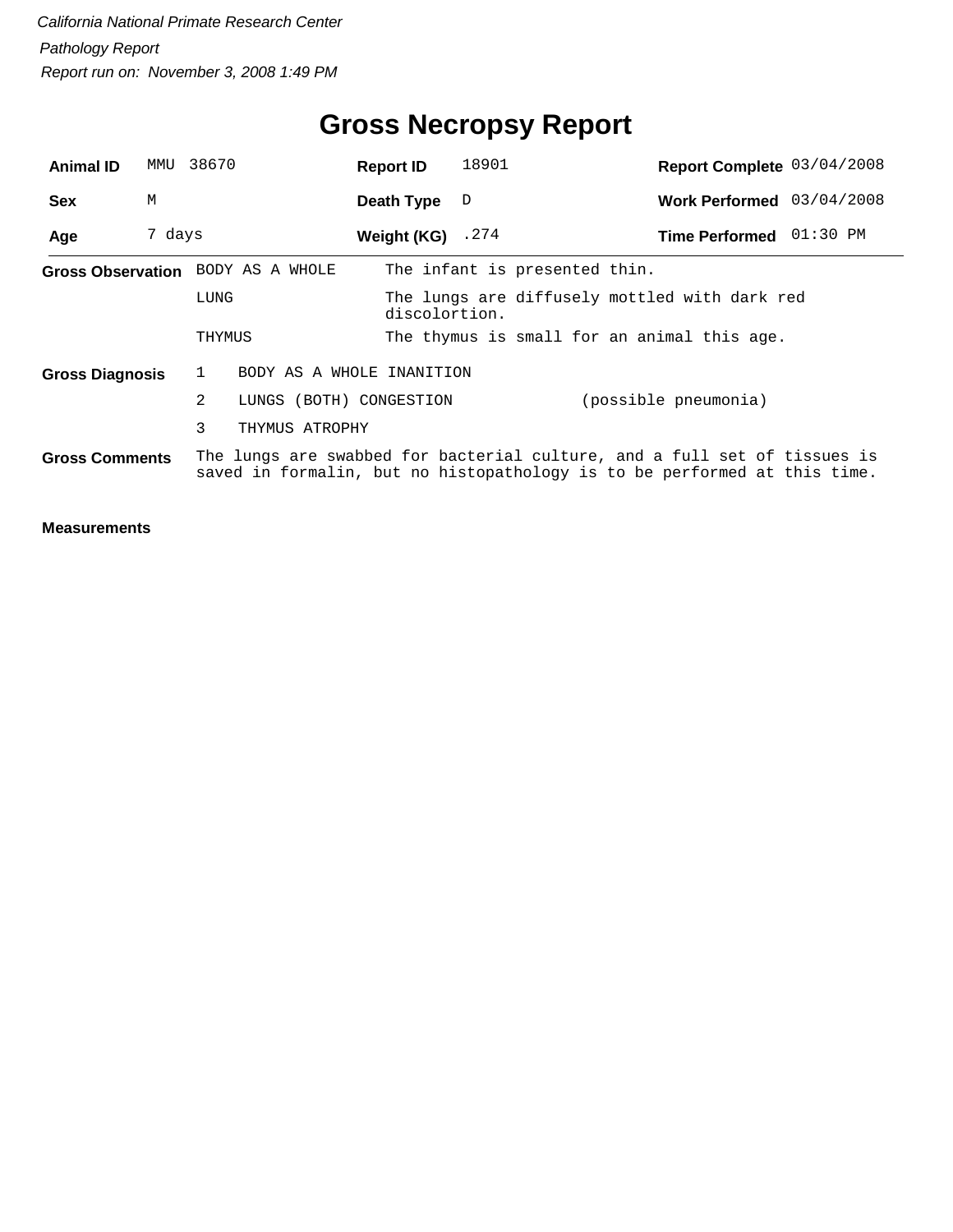| <b>Animal ID</b>                                                                                                                                                                | MMU    | 38670                                     | <b>Report ID</b>   | 18901                                                          | Report Complete 03/04/2008                  |  |  |  |  |  |
|---------------------------------------------------------------------------------------------------------------------------------------------------------------------------------|--------|-------------------------------------------|--------------------|----------------------------------------------------------------|---------------------------------------------|--|--|--|--|--|
| <b>Sex</b>                                                                                                                                                                      | M      |                                           | Death Type         | D                                                              | Work Performed 03/04/2008                   |  |  |  |  |  |
| Age                                                                                                                                                                             | 7 days |                                           | Weight (KG) $.274$ |                                                                | Time Performed 01:30 PM                     |  |  |  |  |  |
|                                                                                                                                                                                 |        | Gross Observation BODY AS A WHOLE         |                    |                                                                | The infant is presented thin.               |  |  |  |  |  |
|                                                                                                                                                                                 |        | LUNG                                      |                    | The lungs are diffusely mottled with dark red<br>discolortion. |                                             |  |  |  |  |  |
|                                                                                                                                                                                 |        | THYMUS                                    |                    |                                                                | The thymus is small for an animal this age. |  |  |  |  |  |
| <b>Gross Diagnosis</b>                                                                                                                                                          |        | BODY AS A WHOLE INANITION<br>$\mathbf{1}$ |                    |                                                                |                                             |  |  |  |  |  |
|                                                                                                                                                                                 |        | 2<br>LUNGS (BOTH) CONGESTION              |                    |                                                                | (possible pneumonia)                        |  |  |  |  |  |
|                                                                                                                                                                                 |        | 3<br>THYMUS ATROPHY                       |                    |                                                                |                                             |  |  |  |  |  |
| The lungs are swabbed for bacterial culture, and a full set of tissues is<br><b>Gross Comments</b><br>saved in formalin, but no histopathology is to be performed at this time. |        |                                           |                    |                                                                |                                             |  |  |  |  |  |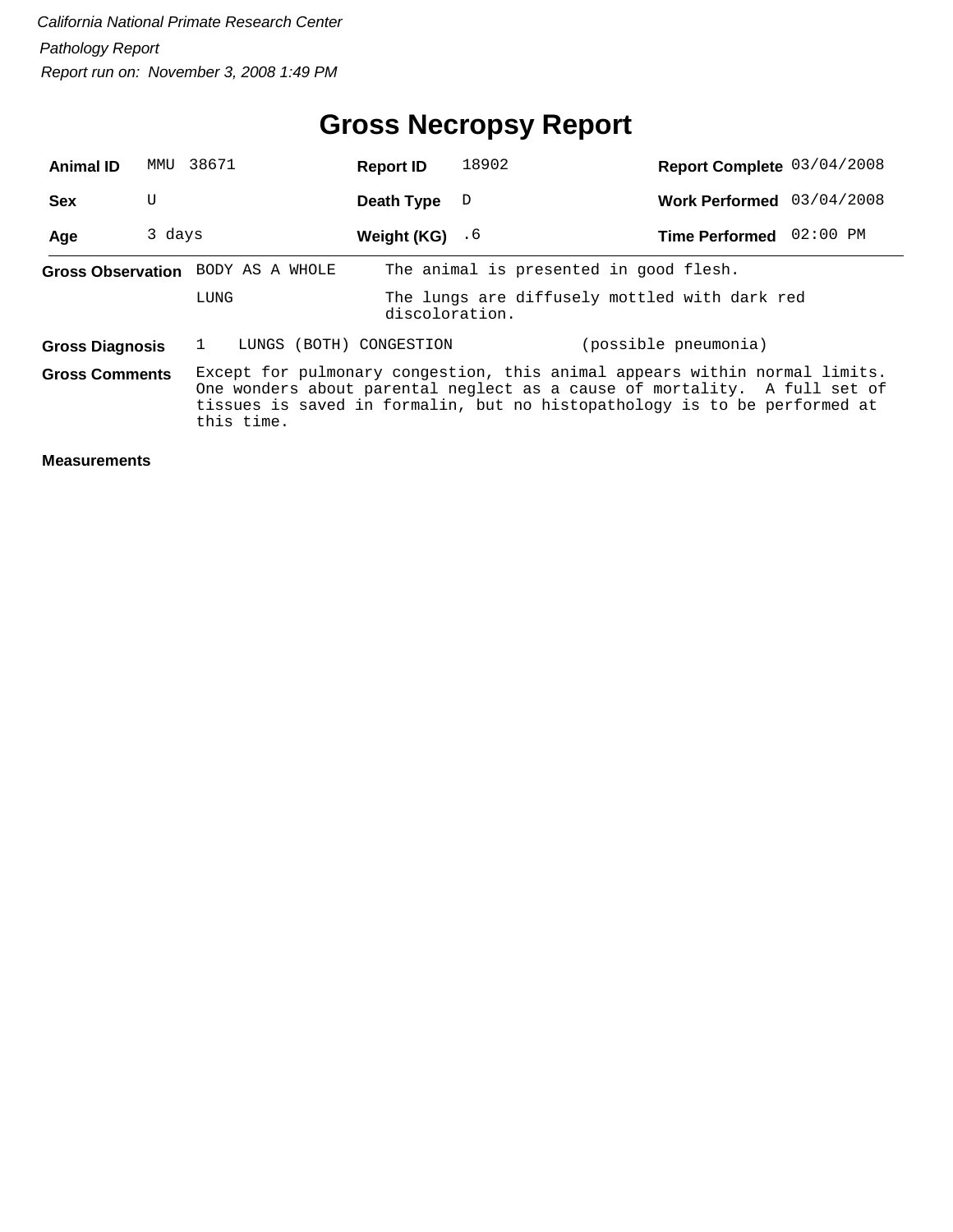| <b>Animal ID</b>       | MMU    | 38671                             | <b>Report ID</b>  | 18902                                                                                                                                                                                                                                | Report Complete 03/04/2008 |          |  |  |  |  |
|------------------------|--------|-----------------------------------|-------------------|--------------------------------------------------------------------------------------------------------------------------------------------------------------------------------------------------------------------------------------|----------------------------|----------|--|--|--|--|
| <b>Sex</b>             | U      |                                   | Death Type        | D                                                                                                                                                                                                                                    | Work Performed 03/04/2008  |          |  |  |  |  |
| Age                    | 3 days |                                   | Weight (KG) $.6$  |                                                                                                                                                                                                                                      | <b>Time Performed</b>      | 02:00 PM |  |  |  |  |
|                        |        | Gross Observation BODY AS A WHOLE |                   | The animal is presented in good flesh.                                                                                                                                                                                               |                            |          |  |  |  |  |
|                        |        | LUNG                              |                   | The lungs are diffusely mottled with dark red<br>discoloration.                                                                                                                                                                      |                            |          |  |  |  |  |
| <b>Gross Diagnosis</b> |        | $\mathbf{1}$<br>LUNGS             | (BOTH) CONGESTION |                                                                                                                                                                                                                                      | (possible pneumonia)       |          |  |  |  |  |
| <b>Gross Comments</b>  |        | this time.                        |                   | Except for pulmonary congestion, this animal appears within normal limits.<br>One wonders about parental neglect as a cause of mortality. A full set of<br>tissues is saved in formalin, but no histopathology is to be performed at |                            |          |  |  |  |  |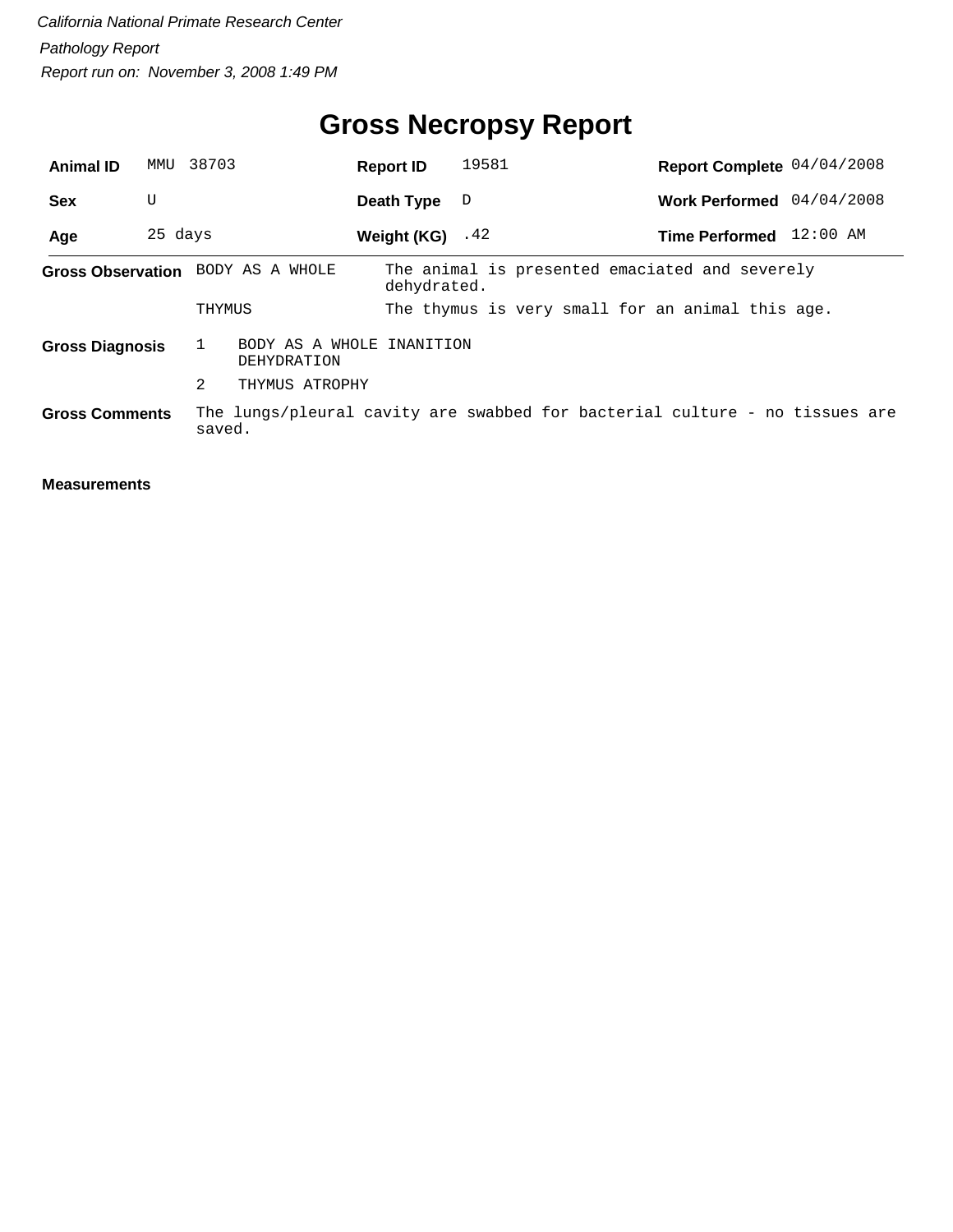# **Gross Necropsy Report**

| <b>Animal ID</b>       | MMU     | 38703                                                                                 |                           | <b>Report ID</b>   | 19581 |                                                  | Report Complete 04/04/2008 |  |  |
|------------------------|---------|---------------------------------------------------------------------------------------|---------------------------|--------------------|-------|--------------------------------------------------|----------------------------|--|--|
| <b>Sex</b>             | U       |                                                                                       |                           | Death Type         | D     |                                                  | Work Performed 04/04/2008  |  |  |
| Age                    | 25 days |                                                                                       |                           | Weight $(KG)$ . 42 |       |                                                  | Time Performed 12:00 AM    |  |  |
|                        |         | Gross Observation BODY AS A WHOLE                                                     |                           | dehydrated.        |       | The animal is presented emaciated and severely   |                            |  |  |
|                        |         | THYMUS                                                                                |                           |                    |       | The thymus is very small for an animal this age. |                            |  |  |
| <b>Gross Diagnosis</b> |         | DEHYDRATION                                                                           | BODY AS A WHOLE INANITION |                    |       |                                                  |                            |  |  |
|                        |         | 2                                                                                     | THYMUS ATROPHY            |                    |       |                                                  |                            |  |  |
| <b>Gross Comments</b>  |         | The lungs/pleural cavity are swabbed for bacterial culture - no tissues are<br>saved. |                           |                    |       |                                                  |                            |  |  |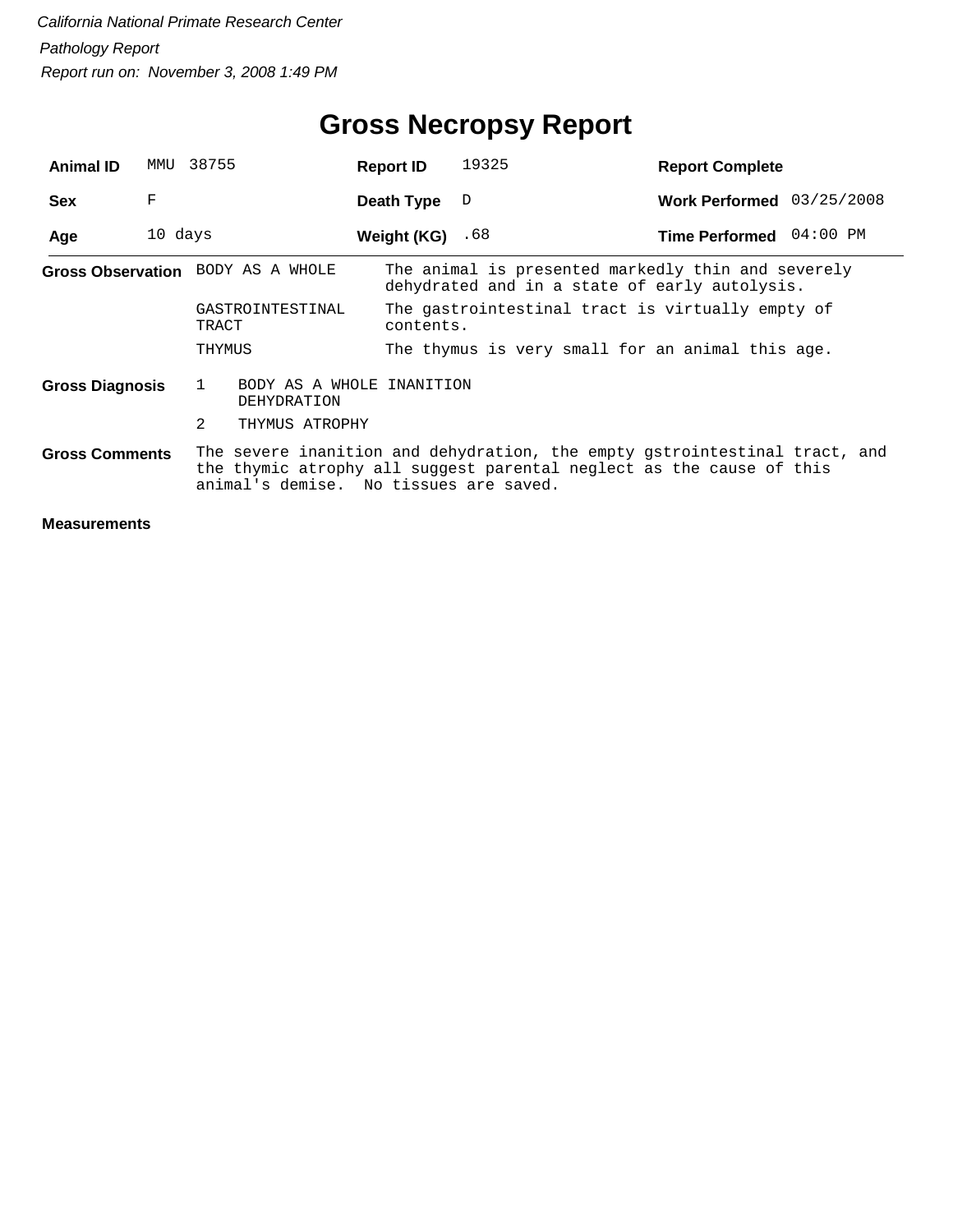| <b>Animal ID</b>       | MMU     | 38755                                         | <b>Report ID</b> |           | 19325                                                                                                                                              | <b>Report Complete</b>    |          |
|------------------------|---------|-----------------------------------------------|------------------|-----------|----------------------------------------------------------------------------------------------------------------------------------------------------|---------------------------|----------|
| <b>Sex</b>             | F       |                                               | Death Type       |           | D                                                                                                                                                  | Work Performed 03/25/2008 |          |
| Age                    | 10 days |                                               | Weight (KG)      |           | .68                                                                                                                                                | <b>Time Performed</b>     | 04:00 PM |
|                        |         | Gross Observation BODY AS A WHOLE             |                  |           | The animal is presented markedly thin and severely<br>dehydrated and in a state of early autolysis.                                                |                           |          |
|                        |         | GASTROINTESTINAL<br>TRACT                     |                  | contents. | The gastrointestinal tract is virtually empty of                                                                                                   |                           |          |
|                        |         | THYMUS                                        |                  |           | The thymus is very small for an animal this age.                                                                                                   |                           |          |
| <b>Gross Diagnosis</b> |         | BODY AS A WHOLE INANITION<br>1<br>DEHYDRATION |                  |           |                                                                                                                                                    |                           |          |
|                        |         | $\overline{2}$<br>THYMUS ATROPHY              |                  |           |                                                                                                                                                    |                           |          |
| <b>Gross Comments</b>  |         | animal's demise. No tissues are saved.        |                  |           | The severe inanition and dehydration, the empty gstrointestinal tract, and<br>the thymic atrophy all suggest parental neglect as the cause of this |                           |          |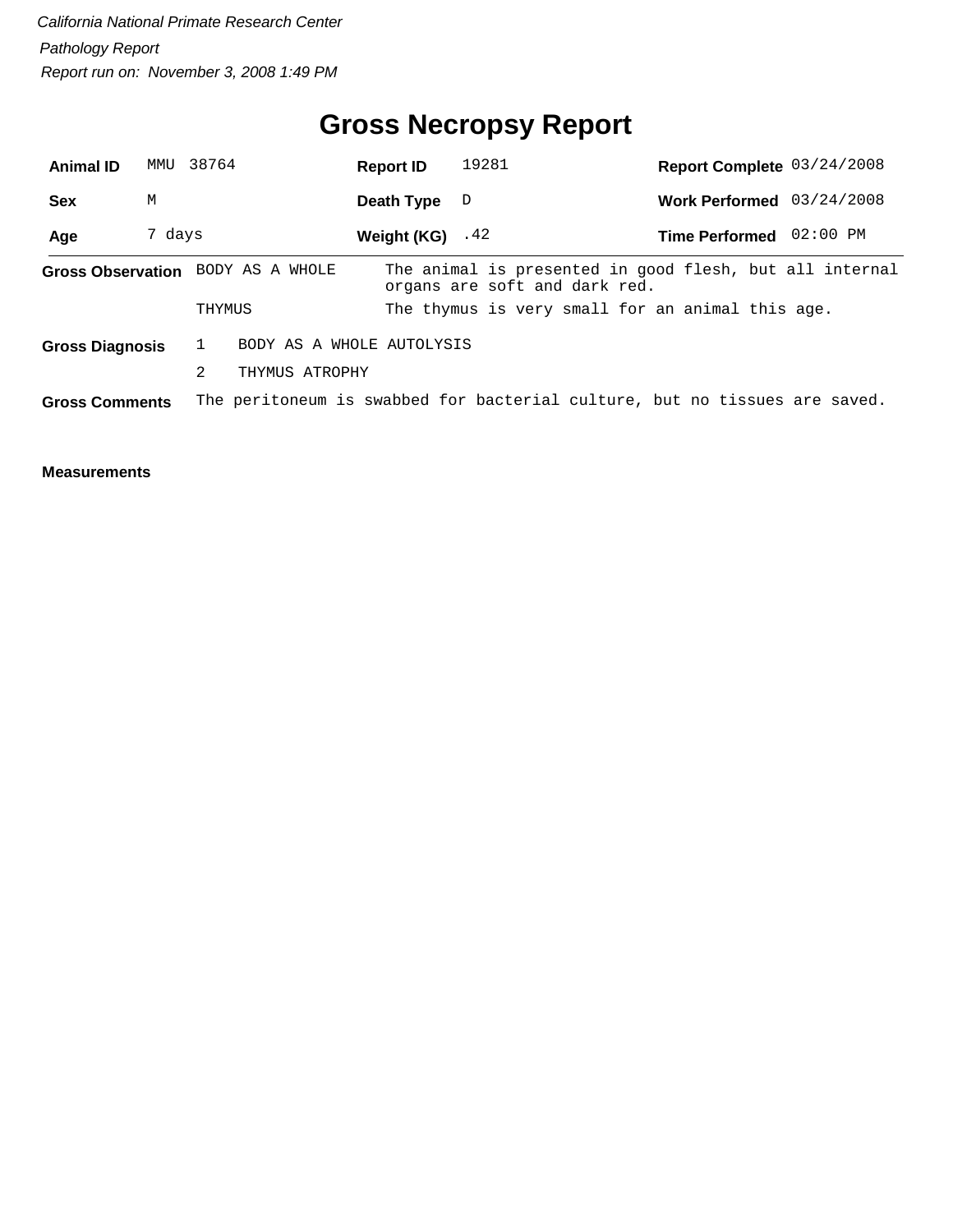# **Gross Necropsy Report**

| <b>Animal ID</b>       |        | MMU 38764                                                                  | <b>Report ID</b>   | 19281                         |                                                  | Report Complete 03/24/2008                              |
|------------------------|--------|----------------------------------------------------------------------------|--------------------|-------------------------------|--------------------------------------------------|---------------------------------------------------------|
| <b>Sex</b>             | М      |                                                                            | Death Type         | $\Box$                        |                                                  | Work Performed 03/24/2008                               |
| Age                    | 7 days |                                                                            | Weight $(KG)$ . 42 |                               |                                                  | Time Performed 02:00 PM                                 |
|                        |        | Gross Observation BODY AS A WHOLE                                          |                    | organs are soft and dark red. |                                                  | The animal is presented in good flesh, but all internal |
|                        |        | THYMUS                                                                     |                    |                               | The thymus is very small for an animal this age. |                                                         |
| <b>Gross Diagnosis</b> |        | BODY AS A WHOLE AUTOLYSIS                                                  |                    |                               |                                                  |                                                         |
|                        |        | 2<br>THYMUS ATROPHY                                                        |                    |                               |                                                  |                                                         |
| <b>Gross Comments</b>  |        | The peritoneum is swabbed for bacterial culture, but no tissues are saved. |                    |                               |                                                  |                                                         |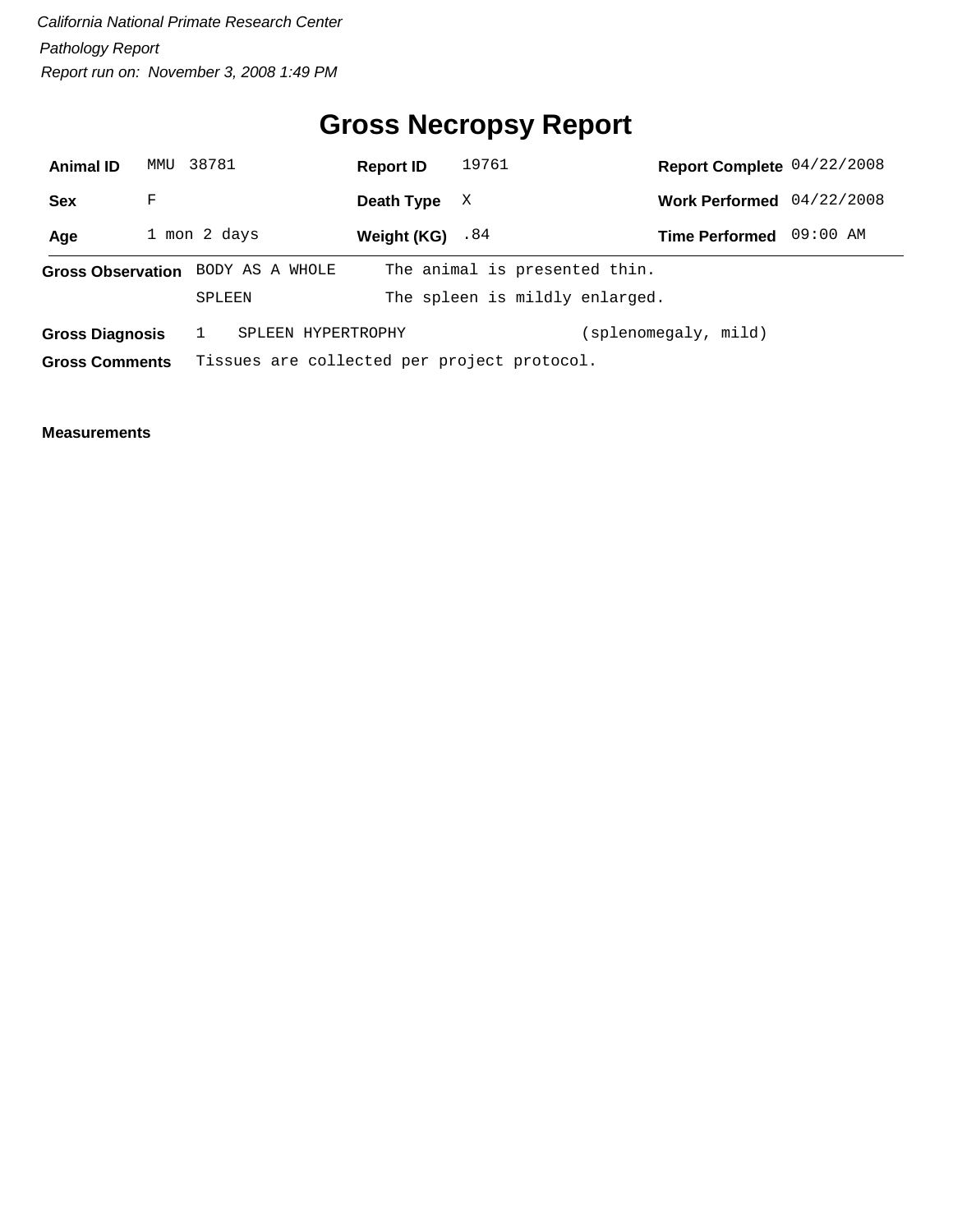# **Gross Necropsy Report**

| <b>Animal ID</b>         | MMU          | 38781  |                                             | <b>Report ID</b> | 19761                          | Report Complete 04/22/2008 |            |  |
|--------------------------|--------------|--------|---------------------------------------------|------------------|--------------------------------|----------------------------|------------|--|
| <b>Sex</b>               | F            |        |                                             | Death Type       | X                              | <b>Work Performed</b>      | 04/22/2008 |  |
| Age                      | 1 mon 2 days |        |                                             | Weight (KG)      | .84                            | <b>Time Performed</b>      | 09:00 AM   |  |
| <b>Gross Observation</b> |              |        | BODY AS A WHOLE                             |                  | The animal is presented thin.  |                            |            |  |
|                          |              | SPLEEN |                                             |                  | The spleen is mildly enlarged. |                            |            |  |
| <b>Gross Diagnosis</b>   |              |        | SPLEEN HYPERTROPHY                          |                  |                                | splenomegaly, mild)        |            |  |
| <b>Gross Comments</b>    |              |        | Tissues are collected per project protocol. |                  |                                |                            |            |  |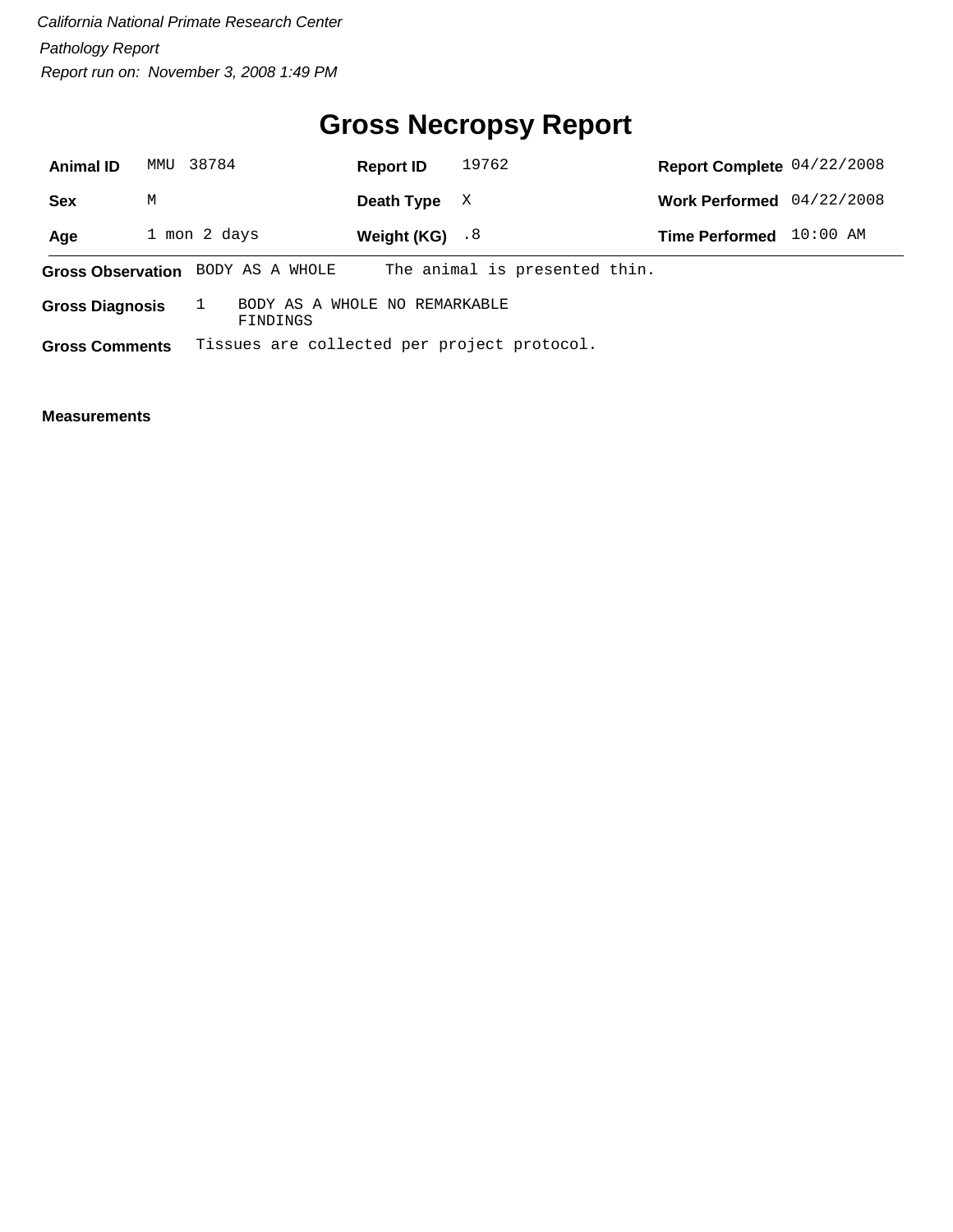# **Gross Necropsy Report**

| <b>Animal ID</b>         | MMU          | 38784 |          |                                             | <b>Report ID</b> | 19762 |  |                               | Report Complete 04/22/2008 |            |  |
|--------------------------|--------------|-------|----------|---------------------------------------------|------------------|-------|--|-------------------------------|----------------------------|------------|--|
| <b>Sex</b>               | М            |       |          |                                             | Death Type       | X     |  |                               | <b>Work Performed</b>      | 04/22/2008 |  |
| Age                      | 1 mon 2 days |       |          |                                             | Weight (KG) $.8$ |       |  |                               | <b>Time Performed</b>      | $10:00$ AM |  |
| <b>Gross Observation</b> |              |       |          | BODY AS A WHOLE                             |                  |       |  | The animal is presented thin. |                            |            |  |
| <b>Gross Diagnosis</b>   |              |       | FINDINGS | BODY AS A WHOLE NO REMARKABLE               |                  |       |  |                               |                            |            |  |
| <b>Gross Comments</b>    |              |       |          | Tissues are collected per project protocol. |                  |       |  |                               |                            |            |  |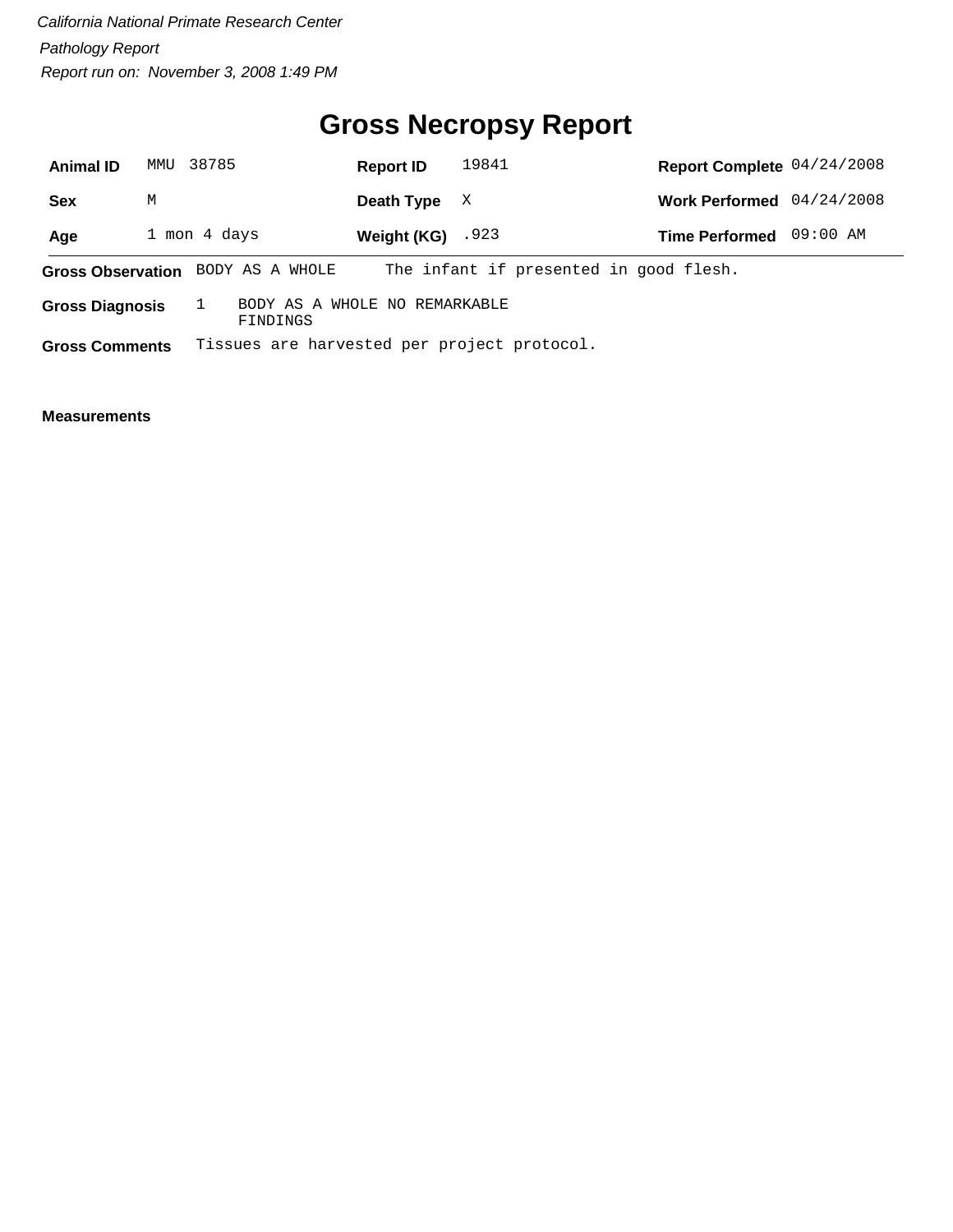# **Gross Necropsy Report**

| <b>Animal ID</b>         | MMU          | 38785           |          | <b>Report ID</b> |             | 19841                         |                                             | Report Complete 04/24/2008 |            |  |
|--------------------------|--------------|-----------------|----------|------------------|-------------|-------------------------------|---------------------------------------------|----------------------------|------------|--|
| <b>Sex</b>               | М            |                 |          | Death Type       |             | X                             |                                             | <b>Work Performed</b>      | 04/24/2008 |  |
| Age                      | 1 mon 4 days |                 |          |                  | Weight (KG) | .923                          |                                             | <b>Time Performed</b>      | 09:00 AM   |  |
| <b>Gross Observation</b> |              | BODY AS A WHOLE |          |                  |             |                               | The infant if presented in good flesh.      |                            |            |  |
| <b>Gross Diagnosis</b>   |              |                 | FINDINGS |                  |             | BODY AS A WHOLE NO REMARKABLE |                                             |                            |            |  |
| <b>Gross Comments</b>    |              |                 |          |                  |             |                               | Tissues are harvested per project protocol. |                            |            |  |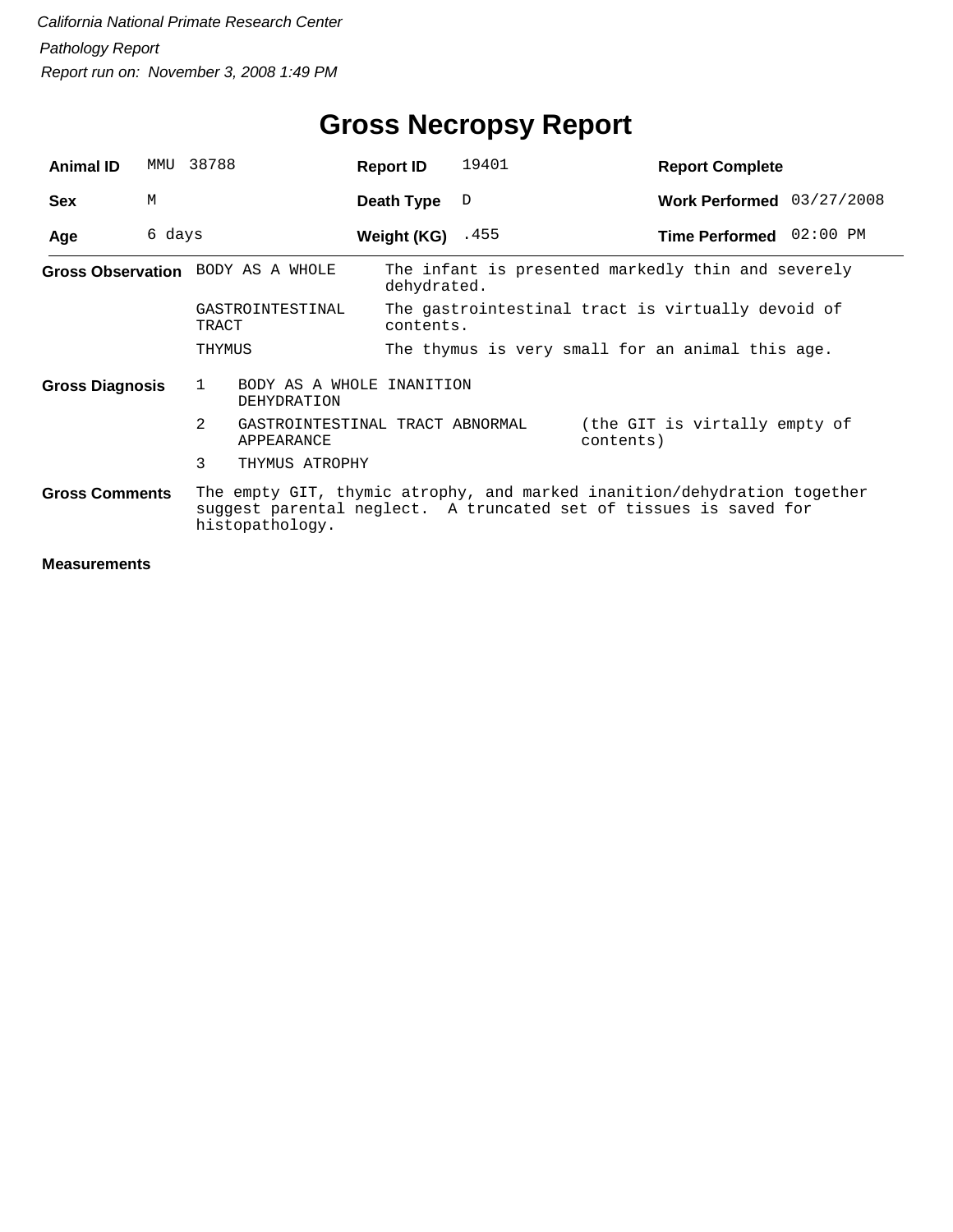| <b>Animal ID</b>                                                                                                                                                                          | MMU    | 38788                                              | <b>Report ID</b>   | 19401                                                          | <b>Report Complete</b>                             |  |  |  |  |
|-------------------------------------------------------------------------------------------------------------------------------------------------------------------------------------------|--------|----------------------------------------------------|--------------------|----------------------------------------------------------------|----------------------------------------------------|--|--|--|--|
| <b>Sex</b>                                                                                                                                                                                | M      |                                                    | Death Type         | D                                                              | Work Performed 03/27/2008                          |  |  |  |  |
| Age                                                                                                                                                                                       | 6 days |                                                    | Weight (KG) $.455$ |                                                                | Time Performed 02:00 PM                            |  |  |  |  |
|                                                                                                                                                                                           |        | Gross Observation BODY AS A WHOLE                  | dehydrated.        |                                                                | The infant is presented markedly thin and severely |  |  |  |  |
|                                                                                                                                                                                           |        | GASTROINTESTINAL<br>TRACT                          |                    | The gastrointestinal tract is virtually devoid of<br>contents. |                                                    |  |  |  |  |
|                                                                                                                                                                                           |        | THYMUS                                             |                    |                                                                | The thymus is very small for an animal this age.   |  |  |  |  |
| <b>Gross Diagnosis</b>                                                                                                                                                                    |        | BODY AS A WHOLE INANITION<br>1<br>DEHYDRATION      |                    |                                                                |                                                    |  |  |  |  |
|                                                                                                                                                                                           |        | 2<br>GASTROINTESTINAL TRACT ABNORMAL<br>APPEARANCE |                    |                                                                | (the GIT is virtally empty of<br>contents)         |  |  |  |  |
|                                                                                                                                                                                           |        | 3<br>THYMUS ATROPHY                                |                    |                                                                |                                                    |  |  |  |  |
| The empty GIT, thymic atrophy, and marked inanition/dehydration together<br><b>Gross Comments</b><br>suggest parental neglect. A truncated set of tissues is saved for<br>histopathology. |        |                                                    |                    |                                                                |                                                    |  |  |  |  |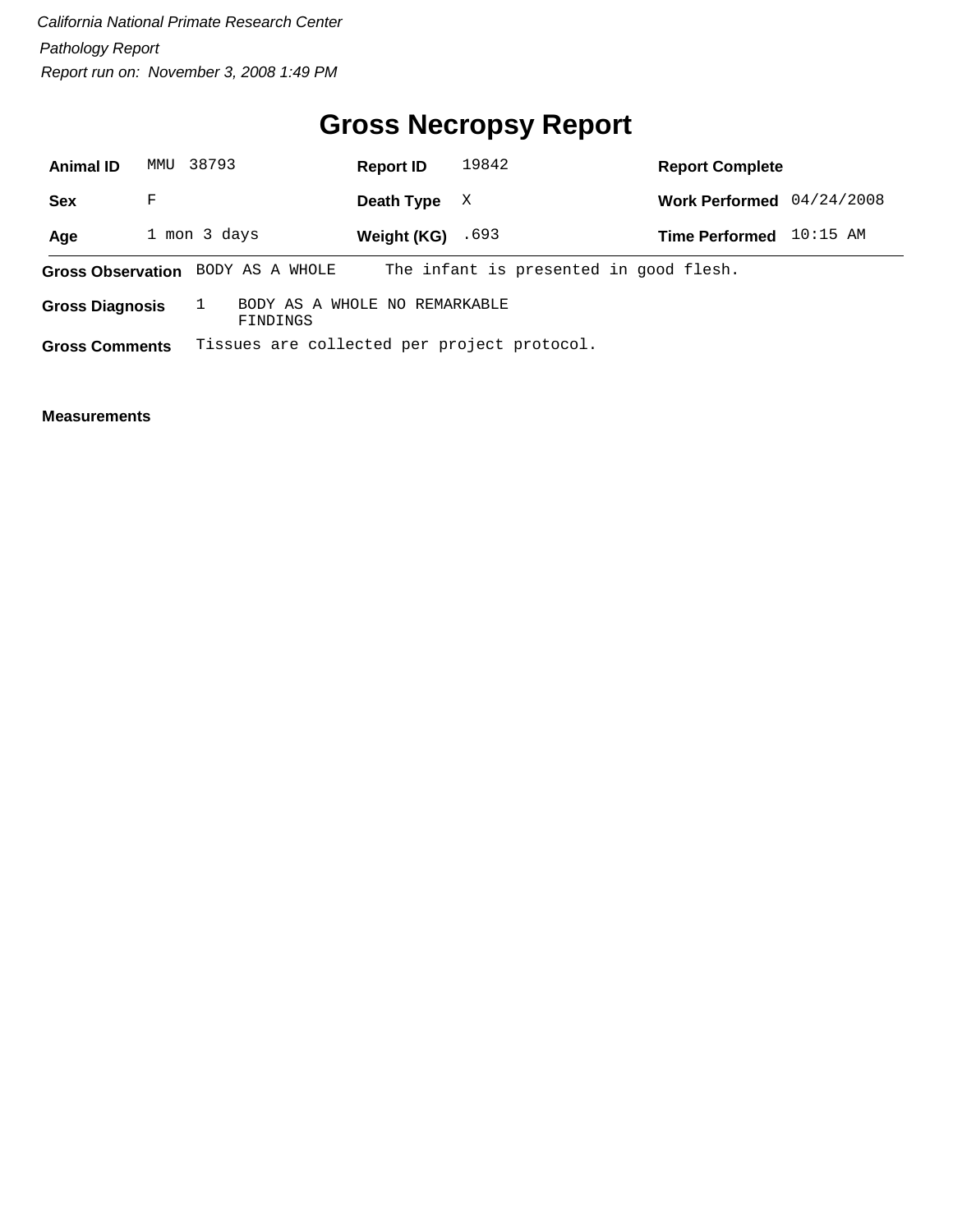# **Gross Necropsy Report**

| <b>Animal ID</b>         |   | MMU 38793                                   | <b>Report ID</b> | 19842                                  | <b>Report Complete</b> |            |
|--------------------------|---|---------------------------------------------|------------------|----------------------------------------|------------------------|------------|
| <b>Sex</b>               | F |                                             | Death Type       | X                                      | <b>Work Performed</b>  | 04/24/2008 |
| Age                      |   | 1 mon 3 days                                | Weight (KG)      | .693                                   | <b>Time Performed</b>  | $10:15$ AM |
| <b>Gross Observation</b> |   | BODY AS A WHOLE                             |                  | The infant is presented in good flesh. |                        |            |
| <b>Gross Diagnosis</b>   |   | BODY AS A WHOLE NO REMARKABLE<br>FINDINGS   |                  |                                        |                        |            |
| <b>Gross Comments</b>    |   | Tissues are collected per project protocol. |                  |                                        |                        |            |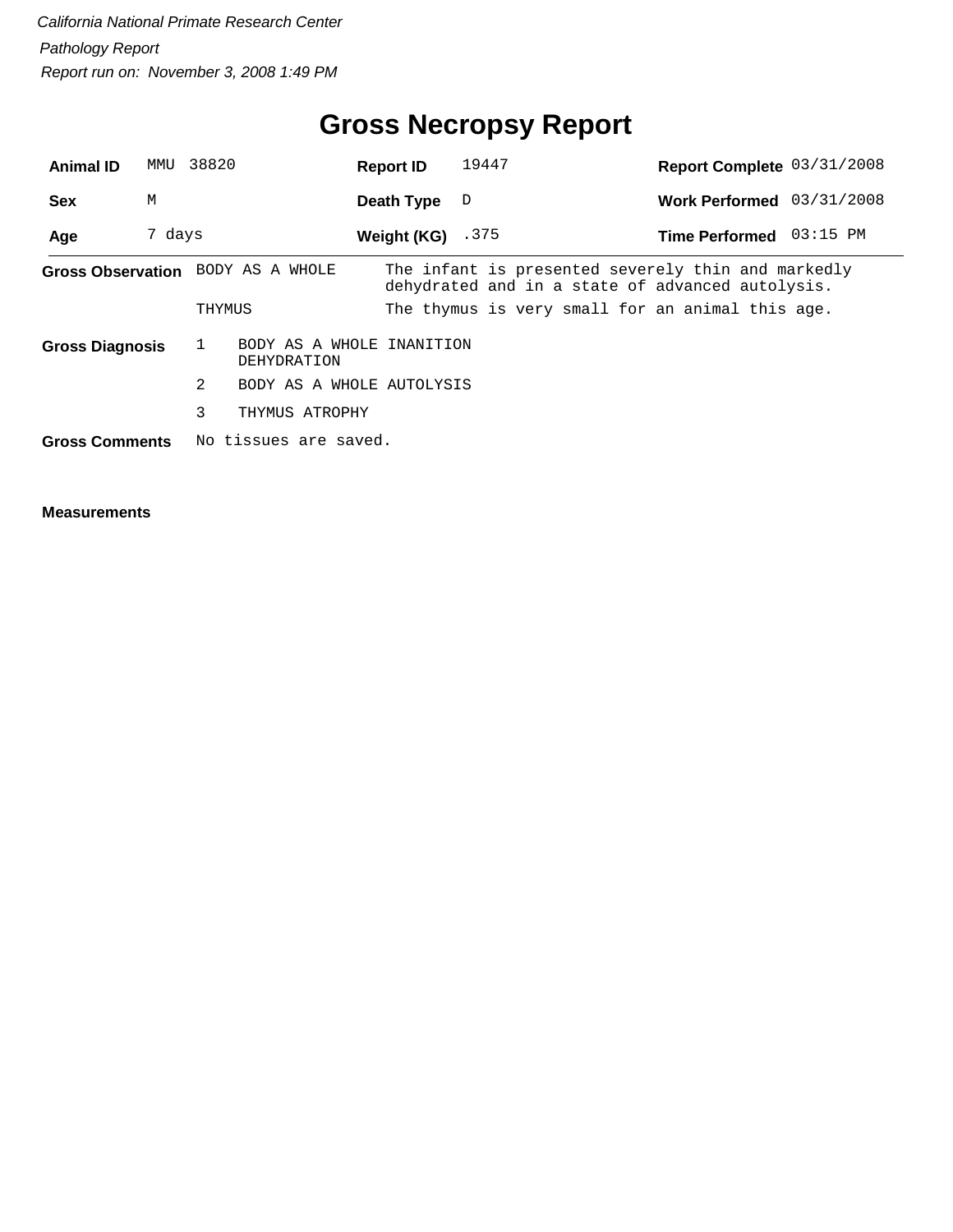# **Gross Necropsy Report**

| <b>Animal ID</b>       | MMU    | 38820                                    | <b>Report ID</b>   | 19447                                                                                                  | Report Complete 03/31/2008 |          |
|------------------------|--------|------------------------------------------|--------------------|--------------------------------------------------------------------------------------------------------|----------------------------|----------|
| <b>Sex</b>             | M      |                                          | Death Type         | D                                                                                                      | Work Performed 03/31/2008  |          |
| Age                    | 7 days |                                          | Weight (KG) $.375$ |                                                                                                        | <b>Time Performed</b>      | 03:15 PM |
|                        |        | Gross Observation BODY AS A WHOLE        |                    | The infant is presented severely thin and markedly<br>dehydrated and in a state of advanced autolysis. |                            |          |
|                        |        | THYMUS                                   |                    | The thymus is very small for an animal this age.                                                       |                            |          |
| <b>Gross Diagnosis</b> |        | BODY AS A WHOLE INANITION<br>DEHYDRATION |                    |                                                                                                        |                            |          |
|                        |        | 2<br>BODY AS A WHOLE AUTOLYSIS           |                    |                                                                                                        |                            |          |
|                        |        | 3<br>THYMUS ATROPHY                      |                    |                                                                                                        |                            |          |
| <b>Gross Comments</b>  |        | No tissues are saved.                    |                    |                                                                                                        |                            |          |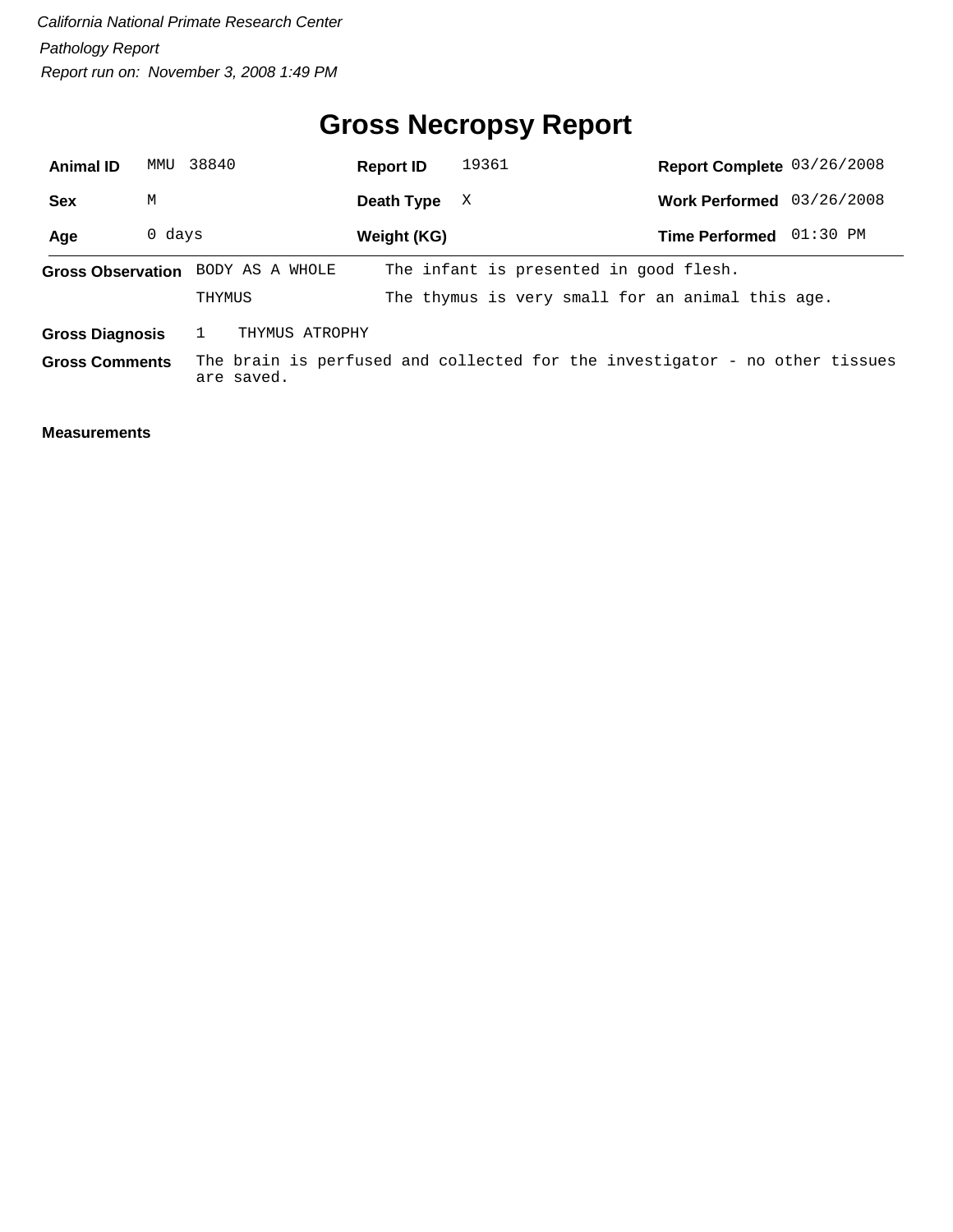# **Gross Necropsy Report**

| <b>Animal ID</b>       | MMU    | 38840                             | <b>Report ID</b> | 19361                                                                       | Report Complete 03/26/2008 |          |
|------------------------|--------|-----------------------------------|------------------|-----------------------------------------------------------------------------|----------------------------|----------|
| <b>Sex</b>             | M      |                                   | Death Type       | X                                                                           | Work Performed 03/26/2008  |          |
| Age                    | 0 days |                                   | Weight (KG)      |                                                                             | <b>Time Performed</b>      | 01:30 PM |
|                        |        | Gross Observation BODY AS A WHOLE |                  | The infant is presented in good flesh.                                      |                            |          |
|                        |        | THYMUS                            |                  | The thymus is very small for an animal this age.                            |                            |          |
| <b>Gross Diagnosis</b> |        | THYMUS ATROPHY                    |                  |                                                                             |                            |          |
| <b>Gross Comments</b>  |        | are saved.                        |                  | The brain is perfused and collected for the investigator - no other tissues |                            |          |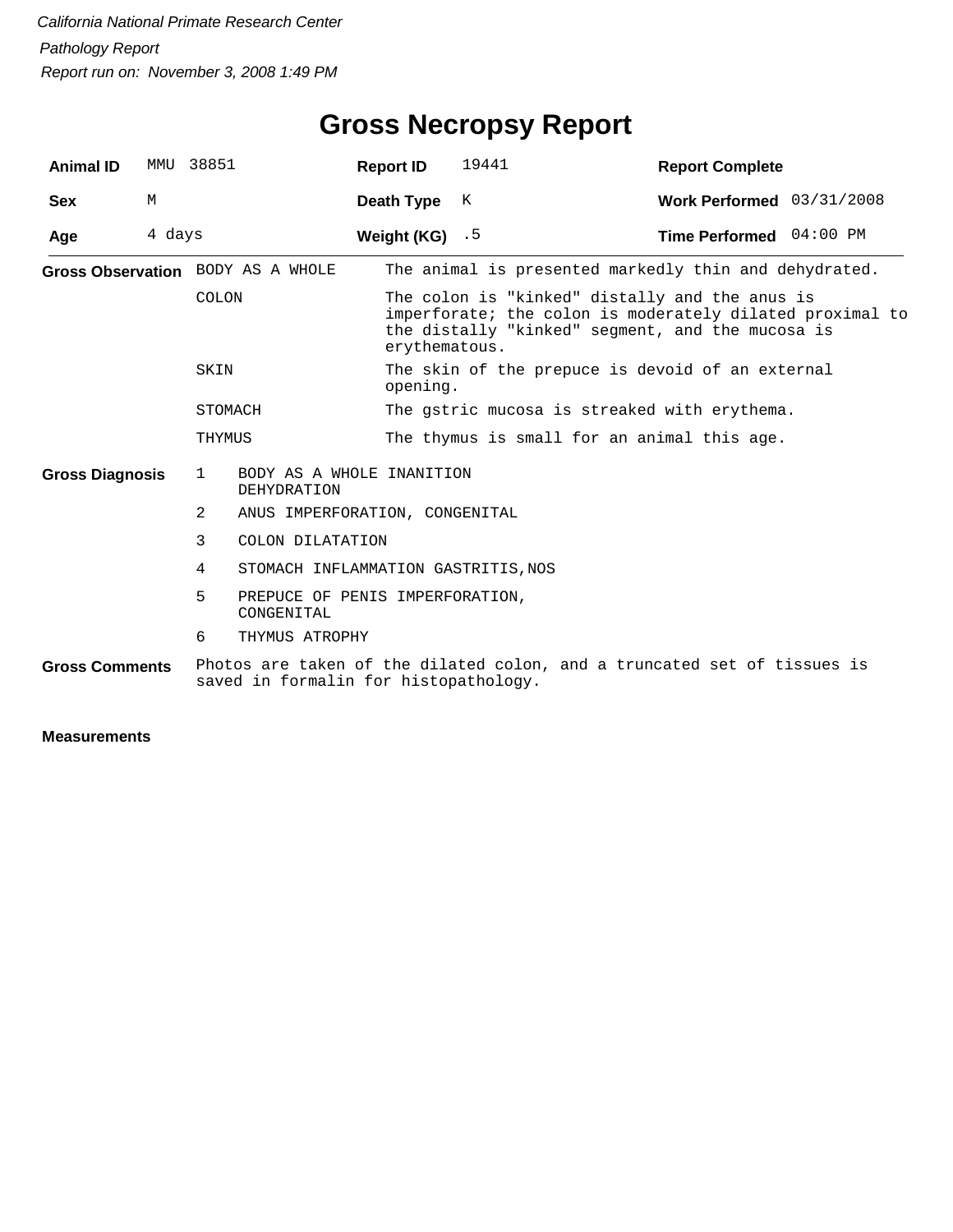| <b>Animal ID</b>         |        | MMU 38851                                                | <b>Report ID</b>                                             | 19441                                                                                                                                                                           | <b>Report Complete</b>                                                   |  |  |
|--------------------------|--------|----------------------------------------------------------|--------------------------------------------------------------|---------------------------------------------------------------------------------------------------------------------------------------------------------------------------------|--------------------------------------------------------------------------|--|--|
| <b>Sex</b>               | M      |                                                          | Death Type                                                   | K                                                                                                                                                                               | Work Performed 03/31/2008                                                |  |  |
| Age                      | 4 days |                                                          | Weight (KG) $.5$                                             |                                                                                                                                                                                 | Time Performed 04:00 PM                                                  |  |  |
|                          |        | Gross Observation BODY AS A WHOLE                        |                                                              |                                                                                                                                                                                 | The animal is presented markedly thin and dehydrated.                    |  |  |
| COLON<br>SKIN<br>STOMACH |        |                                                          |                                                              | The colon is "kinked" distally and the anus is<br>imperforate; the colon is moderately dilated proximal to<br>the distally "kinked" segment, and the mucosa is<br>erythematous. |                                                                          |  |  |
|                          |        |                                                          | The skin of the prepuce is devoid of an external<br>opening. |                                                                                                                                                                                 |                                                                          |  |  |
|                          |        |                                                          |                                                              | The gstric mucosa is streaked with erythema.                                                                                                                                    |                                                                          |  |  |
|                          |        | THYMUS                                                   |                                                              | The thymus is small for an animal this age.                                                                                                                                     |                                                                          |  |  |
| <b>Gross Diagnosis</b>   |        | BODY AS A WHOLE INANITION<br>$\mathbf{1}$<br>DEHYDRATION |                                                              |                                                                                                                                                                                 |                                                                          |  |  |
|                          |        | 2                                                        | ANUS IMPERFORATION, CONGENITAL                               |                                                                                                                                                                                 |                                                                          |  |  |
|                          |        | 3<br>COLON DILATATION                                    |                                                              |                                                                                                                                                                                 |                                                                          |  |  |
|                          |        | 4<br>STOMACH INFLAMMATION GASTRITIS, NOS                 |                                                              |                                                                                                                                                                                 |                                                                          |  |  |
|                          |        | 5<br>PREPUCE OF PENIS IMPERFORATION,<br>CONGENITAL       |                                                              |                                                                                                                                                                                 |                                                                          |  |  |
|                          |        | 6<br>THYMUS ATROPHY                                      |                                                              |                                                                                                                                                                                 |                                                                          |  |  |
| <b>Gross Comments</b>    |        | saved in formalin for histopathology.                    |                                                              |                                                                                                                                                                                 | Photos are taken of the dilated colon, and a truncated set of tissues is |  |  |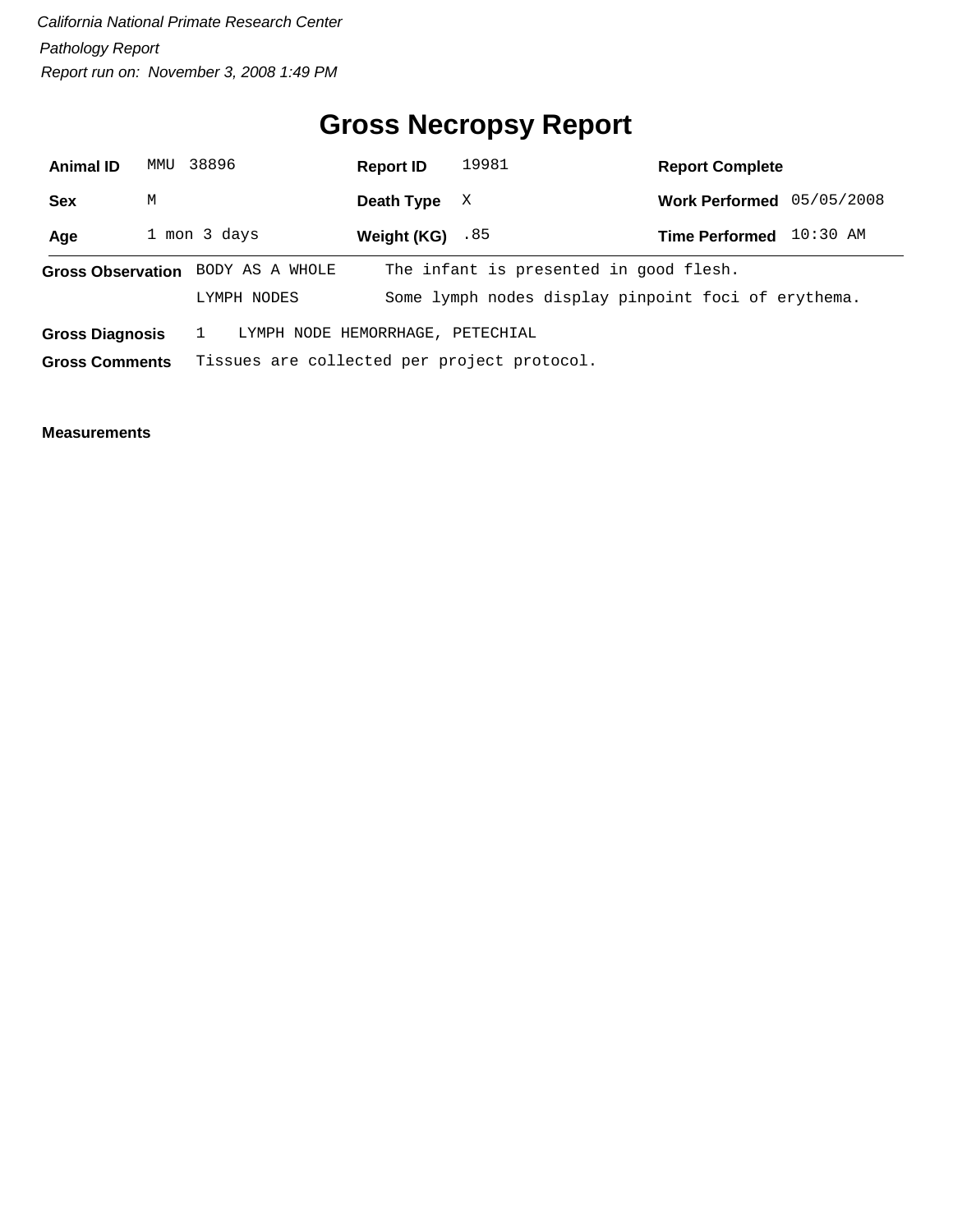# **Gross Necropsy Report**

| <b>Animal ID</b>      | MMU                                                        | 38896                                            | <b>Report ID</b> | 19981                                  | <b>Report Complete</b>                              |
|-----------------------|------------------------------------------------------------|--------------------------------------------------|------------------|----------------------------------------|-----------------------------------------------------|
| Sex                   | М                                                          |                                                  | Death Type       | X                                      | 05/05/2008<br><b>Work Performed</b>                 |
| Age                   |                                                            | 1 mon 3 days                                     | Weight (KG)      | .85                                    | $10:30$ AM<br><b>Time Performed</b>                 |
|                       |                                                            | Gross Observation BODY AS A WHOLE<br>LYMPH NODES |                  | The infant is presented in good flesh. | Some lymph nodes display pinpoint foci of erythema. |
|                       | LYMPH NODE HEMORRHAGE, PETECHIAL<br><b>Gross Diagnosis</b> |                                                  |                  |                                        |                                                     |
| <b>Gross Comments</b> |                                                            | Tissues are collected per project protocol.      |                  |                                        |                                                     |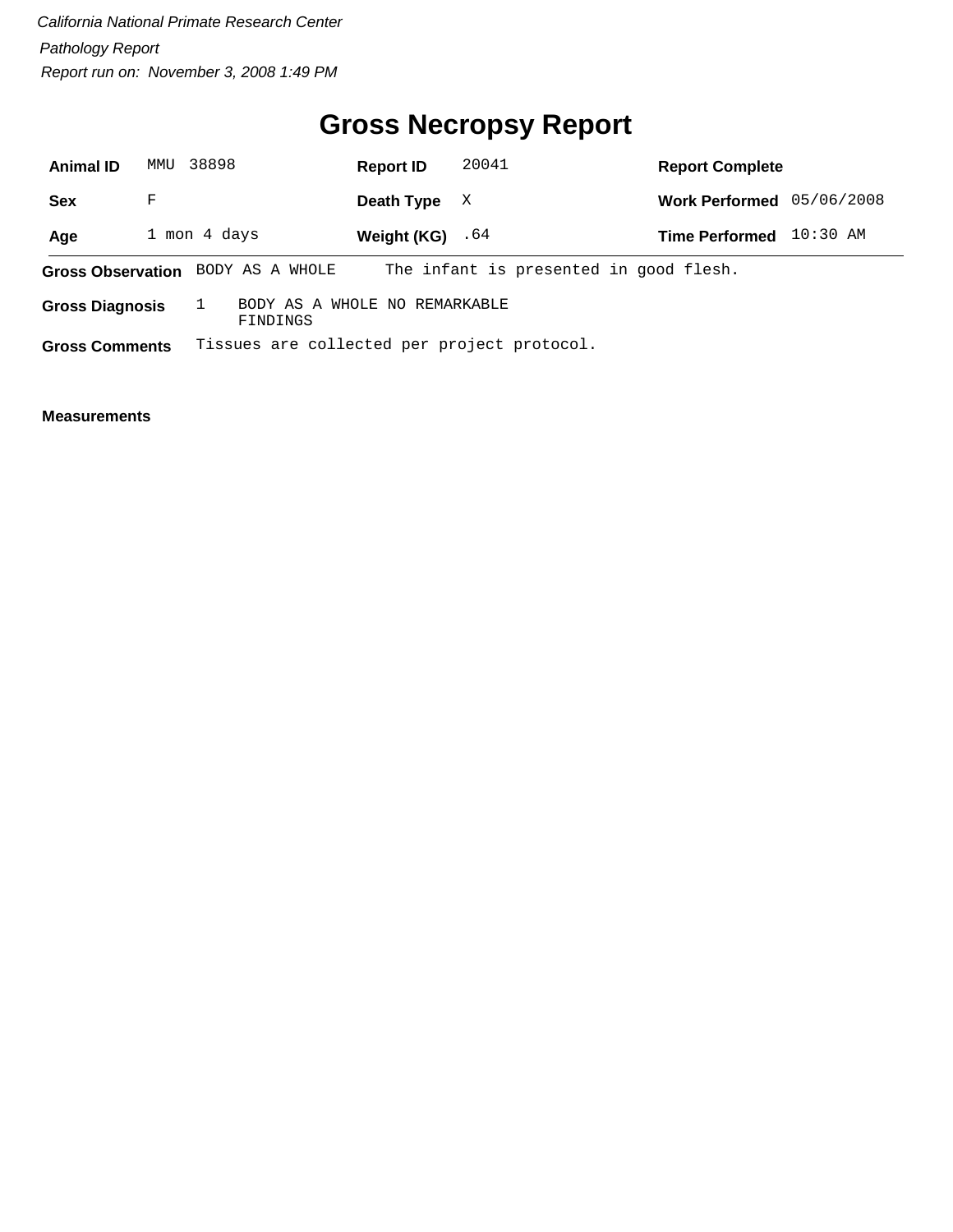# **Gross Necropsy Report**

| <b>Animal ID</b>         | MMU | 38898                                       | <b>Report ID</b> | 20041                                  | <b>Report Complete</b> |            |
|--------------------------|-----|---------------------------------------------|------------------|----------------------------------------|------------------------|------------|
| <b>Sex</b>               | F   |                                             | Death Type       | X                                      | <b>Work Performed</b>  | 05/06/2008 |
| Age                      |     | 1 mon 4 days                                | Weight (KG)      | .64                                    | <b>Time Performed</b>  | $10:30$ AM |
| <b>Gross Observation</b> |     | BODY AS A WHOLE                             |                  | The infant is presented in good flesh. |                        |            |
| <b>Gross Diagnosis</b>   |     | BODY AS A WHOLE NO REMARKABLE<br>FINDINGS   |                  |                                        |                        |            |
| <b>Gross Comments</b>    |     | Tissues are collected per project protocol. |                  |                                        |                        |            |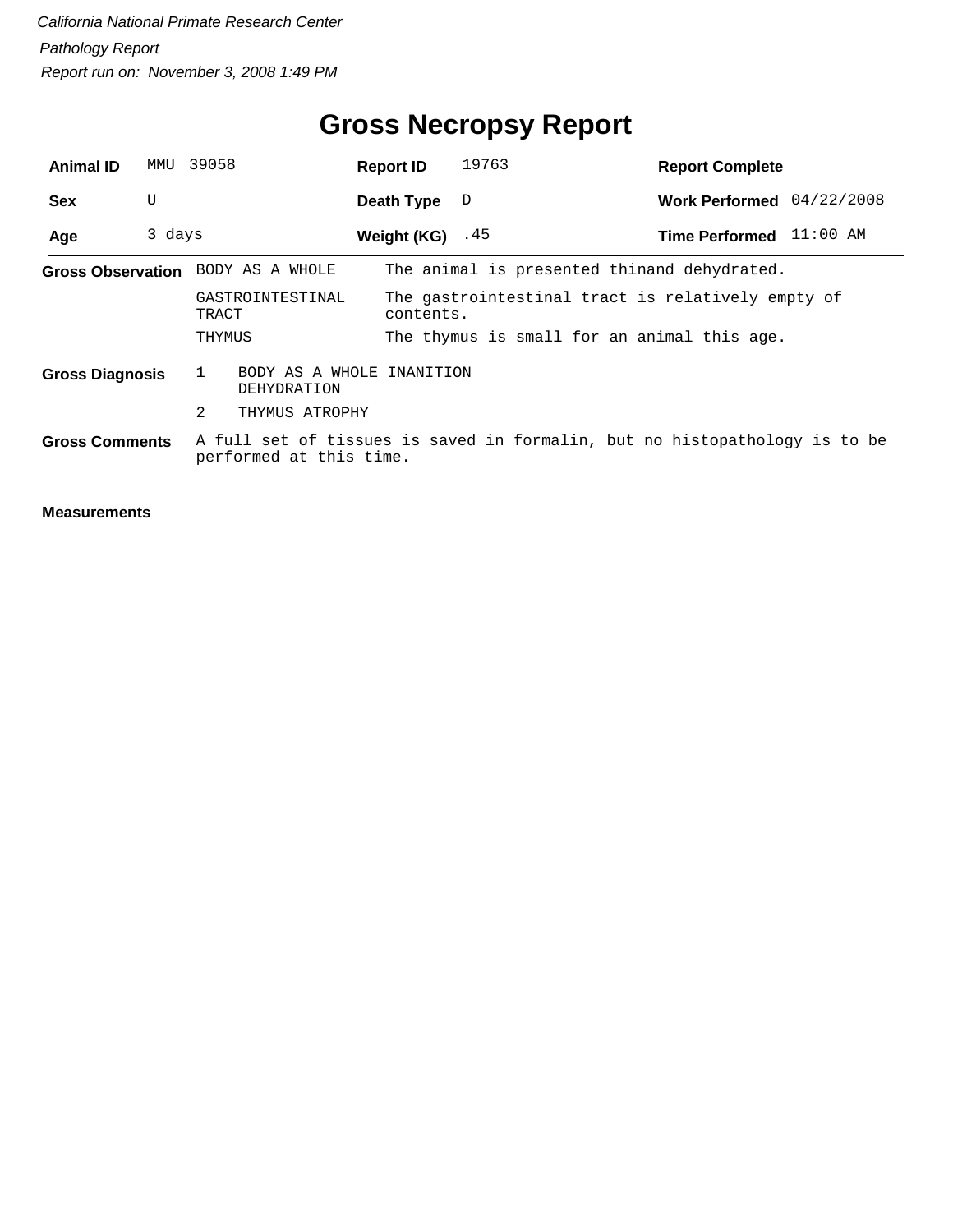| <b>Animal ID</b>                  |        | MMU 39058                                | <b>Report ID</b>   | 19763                                                                      | <b>Report Complete</b>    |  |
|-----------------------------------|--------|------------------------------------------|--------------------|----------------------------------------------------------------------------|---------------------------|--|
| <b>Sex</b>                        | U      |                                          | Death Type         | D                                                                          | Work Performed 04/22/2008 |  |
| Age                               | 3 days |                                          | Weight $(KG)$ . 45 |                                                                            | Time Performed 11:00 AM   |  |
| Gross Observation BODY AS A WHOLE |        |                                          |                    | The animal is presented thinand dehydrated.                                |                           |  |
|                                   |        | GASTROINTESTINAL<br>TRACT                | contents.          | The gastrointestinal tract is relatively empty of                          |                           |  |
|                                   |        | THYMUS                                   |                    | The thymus is small for an animal this age.                                |                           |  |
| <b>Gross Diagnosis</b>            |        | BODY AS A WHOLE INANITION<br>DEHYDRATION |                    |                                                                            |                           |  |
|                                   |        | 2<br>THYMUS ATROPHY                      |                    |                                                                            |                           |  |
| <b>Gross Comments</b>             |        | performed at this time.                  |                    | A full set of tissues is saved in formalin, but no histopathology is to be |                           |  |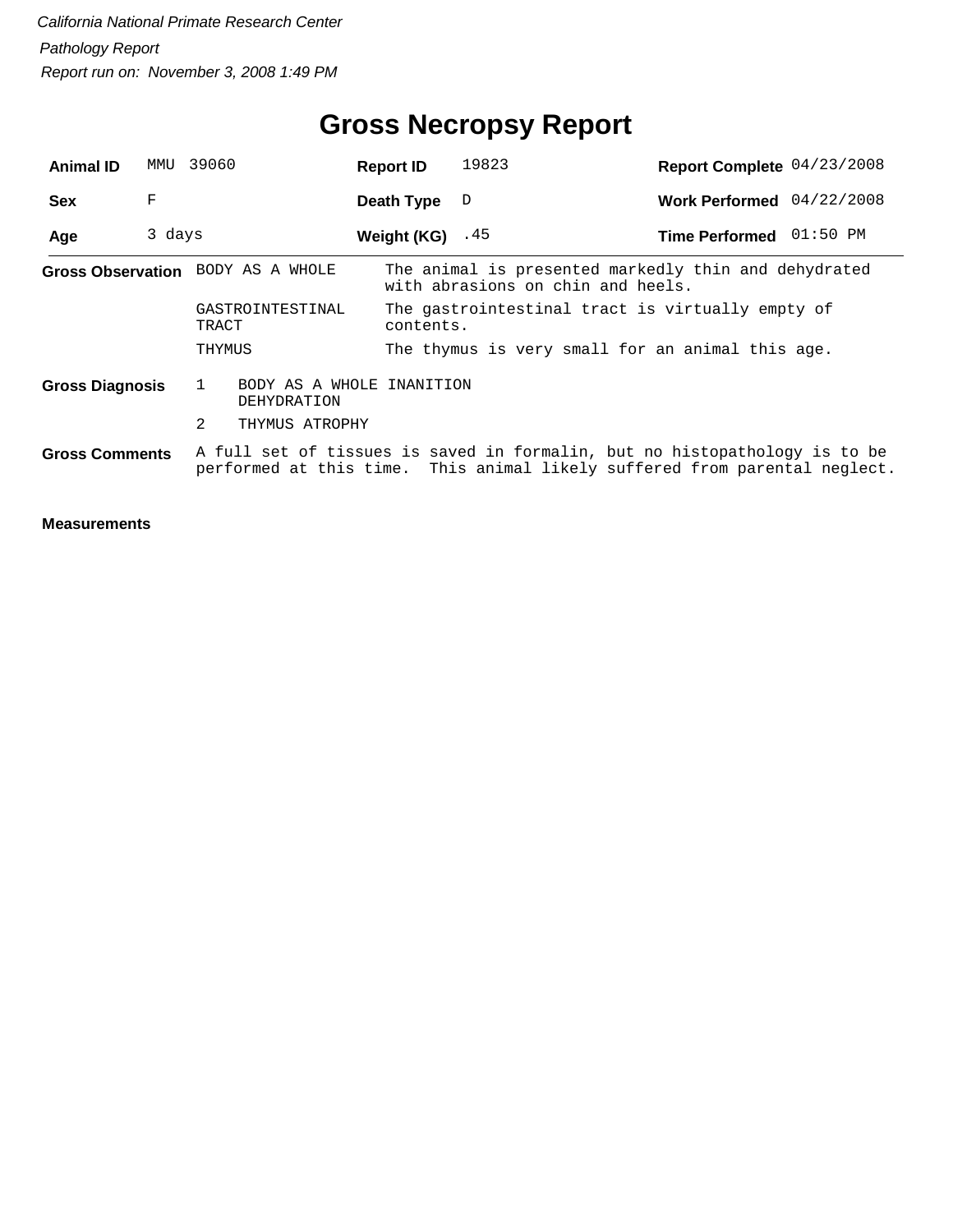| <b>Animal ID</b>       | MMU    | 39060                                         | <b>Report ID</b>   | 19823                                            | Report Complete 04/23/2008                                                                                                                               |
|------------------------|--------|-----------------------------------------------|--------------------|--------------------------------------------------|----------------------------------------------------------------------------------------------------------------------------------------------------------|
| <b>Sex</b>             | F      |                                               | Death Type         | D                                                | Work Performed 04/22/2008                                                                                                                                |
| Age                    | 3 days |                                               | Weight $(KG)$ . 45 |                                                  | Time Performed 01:50 PM                                                                                                                                  |
|                        |        | Gross Observation BODY AS A WHOLE             |                    | with abrasions on chin and heels.                | The animal is presented markedly thin and dehydrated                                                                                                     |
|                        |        | GASTROINTESTINAL<br>TRACT                     | contents.          | The gastrointestinal tract is virtually empty of |                                                                                                                                                          |
|                        |        | THYMUS                                        |                    | The thymus is very small for an animal this age. |                                                                                                                                                          |
| <b>Gross Diagnosis</b> |        | 1<br>BODY AS A WHOLE INANITION<br>DEHYDRATION |                    |                                                  |                                                                                                                                                          |
|                        |        | 2<br>THYMUS ATROPHY                           |                    |                                                  |                                                                                                                                                          |
| <b>Gross Comments</b>  |        |                                               |                    |                                                  | A full set of tissues is saved in formalin, but no histopathology is to be<br>performed at this time. This animal likely suffered from parental neglect. |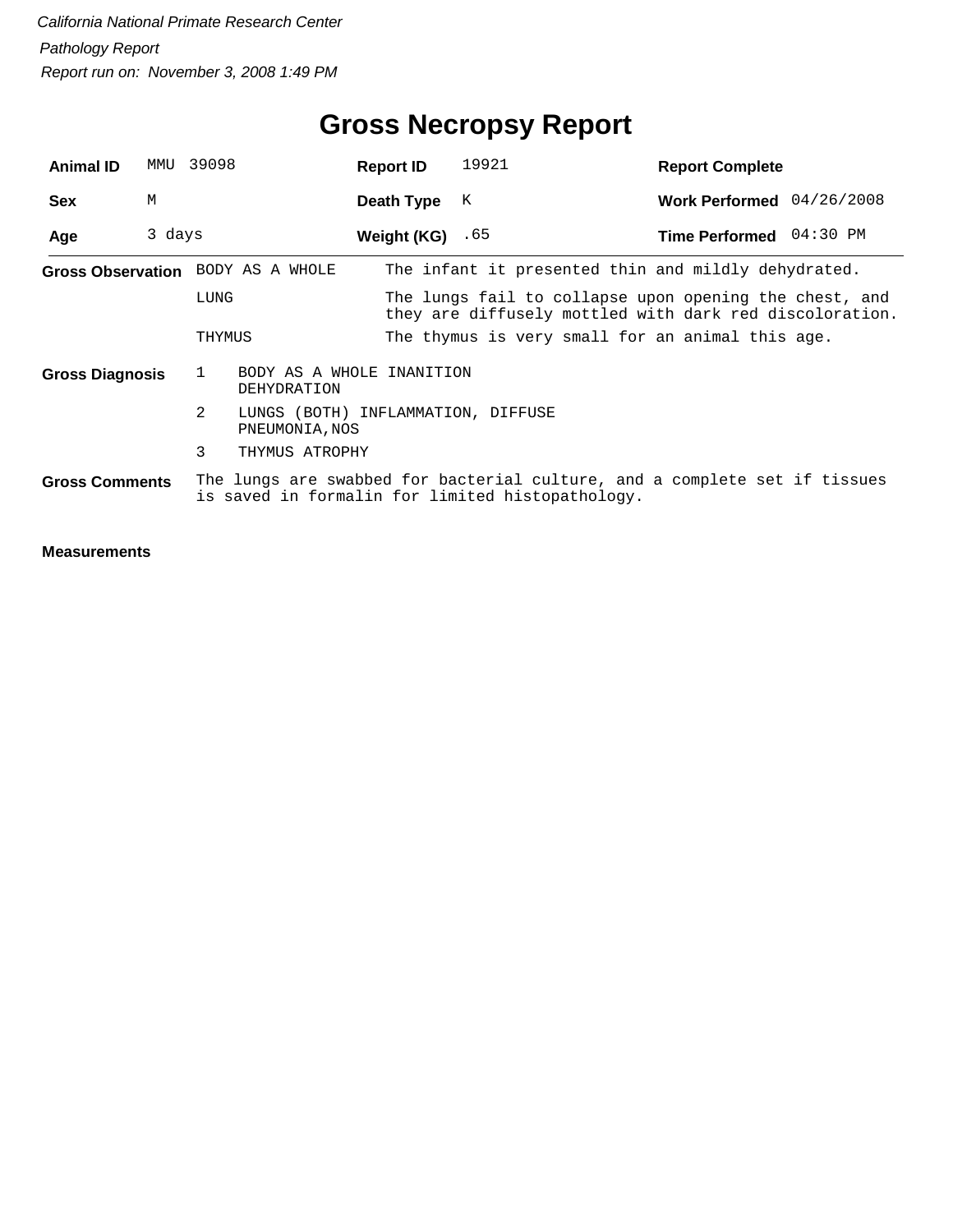| <b>Animal ID</b>       | MMU    | 39098                                                     | <b>Report ID</b>  | 19921                                            | <b>Report Complete</b>                                                                                            |
|------------------------|--------|-----------------------------------------------------------|-------------------|--------------------------------------------------|-------------------------------------------------------------------------------------------------------------------|
| <b>Sex</b>             | М      |                                                           | Death Type        | K                                                | Work Performed $04/26/2008$                                                                                       |
| Age                    | 3 days |                                                           | Weight (KG) $.65$ |                                                  | Time Performed 04:30 PM                                                                                           |
|                        |        | Gross Observation BODY AS A WHOLE                         |                   |                                                  | The infant it presented thin and mildly dehydrated.                                                               |
|                        |        | LUNG                                                      |                   |                                                  | The lungs fail to collapse upon opening the chest, and<br>they are diffusely mottled with dark red discoloration. |
|                        |        | THYMUS                                                    |                   | The thymus is very small for an animal this age. |                                                                                                                   |
| <b>Gross Diagnosis</b> |        | BODY AS A WHOLE INANITION<br>$\mathbf{1}$<br>DEHYDRATION  |                   |                                                  |                                                                                                                   |
|                        |        | 2<br>LUNGS (BOTH) INFLAMMATION, DIFFUSE<br>PNEUMONIA, NOS |                   |                                                  |                                                                                                                   |
|                        |        | 3<br>THYMUS ATROPHY                                       |                   |                                                  |                                                                                                                   |
| <b>Gross Comments</b>  |        |                                                           |                   | is saved in formalin for limited histopathology. | The lungs are swabbed for bacterial culture, and a complete set if tissues                                        |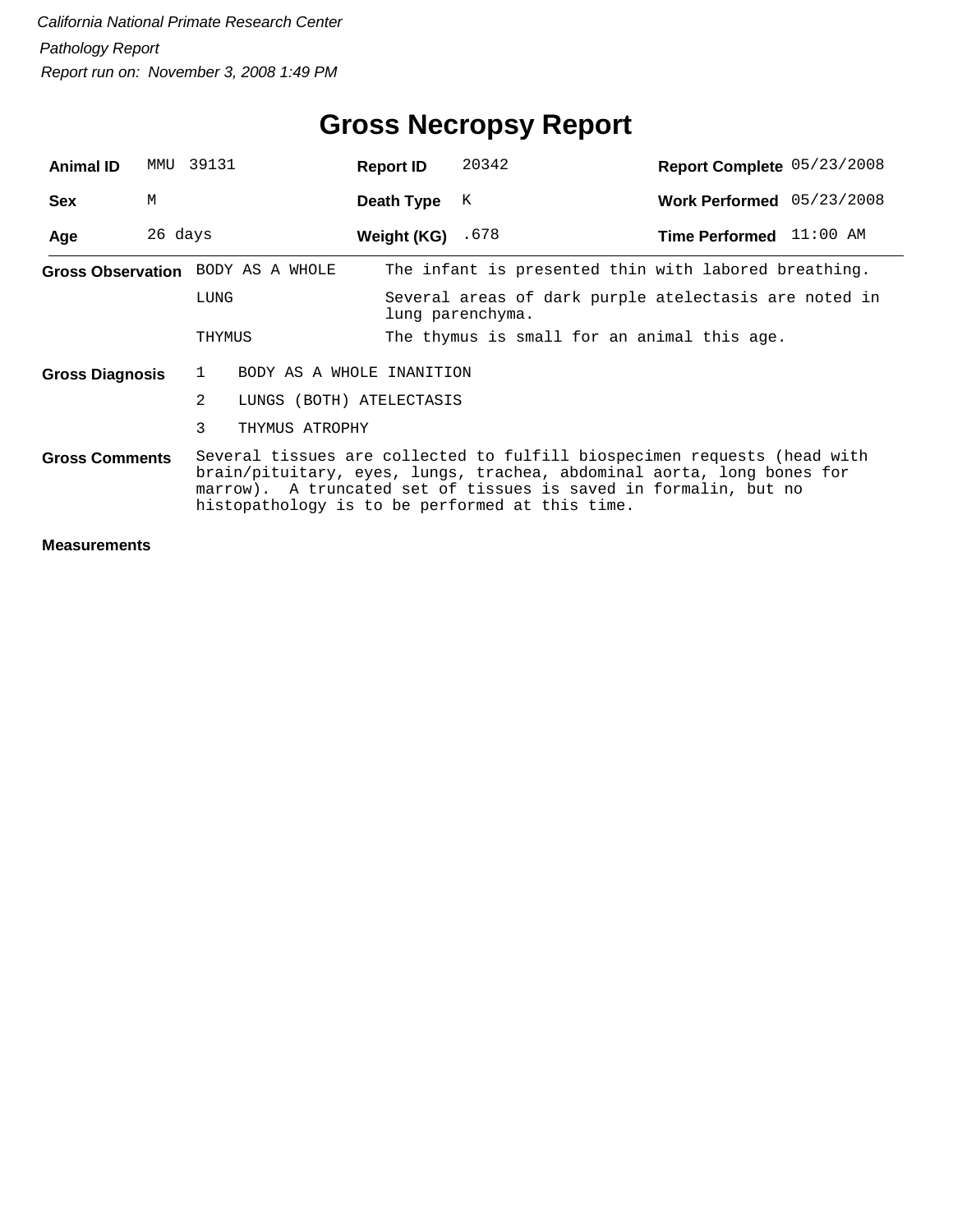| <b>Animal ID</b>       | MMU     | 39131                             | <b>Report ID</b>          | 20342                                                                                                                                                                                                                                                                     | Report Complete 05/23/2008 |  |  |
|------------------------|---------|-----------------------------------|---------------------------|---------------------------------------------------------------------------------------------------------------------------------------------------------------------------------------------------------------------------------------------------------------------------|----------------------------|--|--|
| <b>Sex</b>             | M       |                                   | Death Type                | K                                                                                                                                                                                                                                                                         | Work Performed 05/23/2008  |  |  |
| Age                    | 26 days |                                   | Weight (KG) $.678$        |                                                                                                                                                                                                                                                                           | Time Performed 11:00 AM    |  |  |
|                        |         | Gross Observation BODY AS A WHOLE |                           | The infant is presented thin with labored breathing.                                                                                                                                                                                                                      |                            |  |  |
|                        |         | LUNG                              |                           | Several areas of dark purple atelectasis are noted in<br>lung parenchyma.                                                                                                                                                                                                 |                            |  |  |
|                        |         | THYMUS                            |                           | The thymus is small for an animal this age.                                                                                                                                                                                                                               |                            |  |  |
| <b>Gross Diagnosis</b> |         | $\mathbf{1}$                      | BODY AS A WHOLE INANITION |                                                                                                                                                                                                                                                                           |                            |  |  |
|                        |         | 2<br>LUNGS (BOTH) ATELECTASIS     |                           |                                                                                                                                                                                                                                                                           |                            |  |  |
|                        |         | 3<br>THYMUS ATROPHY               |                           |                                                                                                                                                                                                                                                                           |                            |  |  |
| <b>Gross Comments</b>  |         |                                   |                           | Several tissues are collected to fulfill biospecimen requests (head with<br>brain/pituitary, eyes, lungs, trachea, abdominal aorta, long bones for<br>marrow). A truncated set of tissues is saved in formalin, but no<br>histopathology is to be performed at this time. |                            |  |  |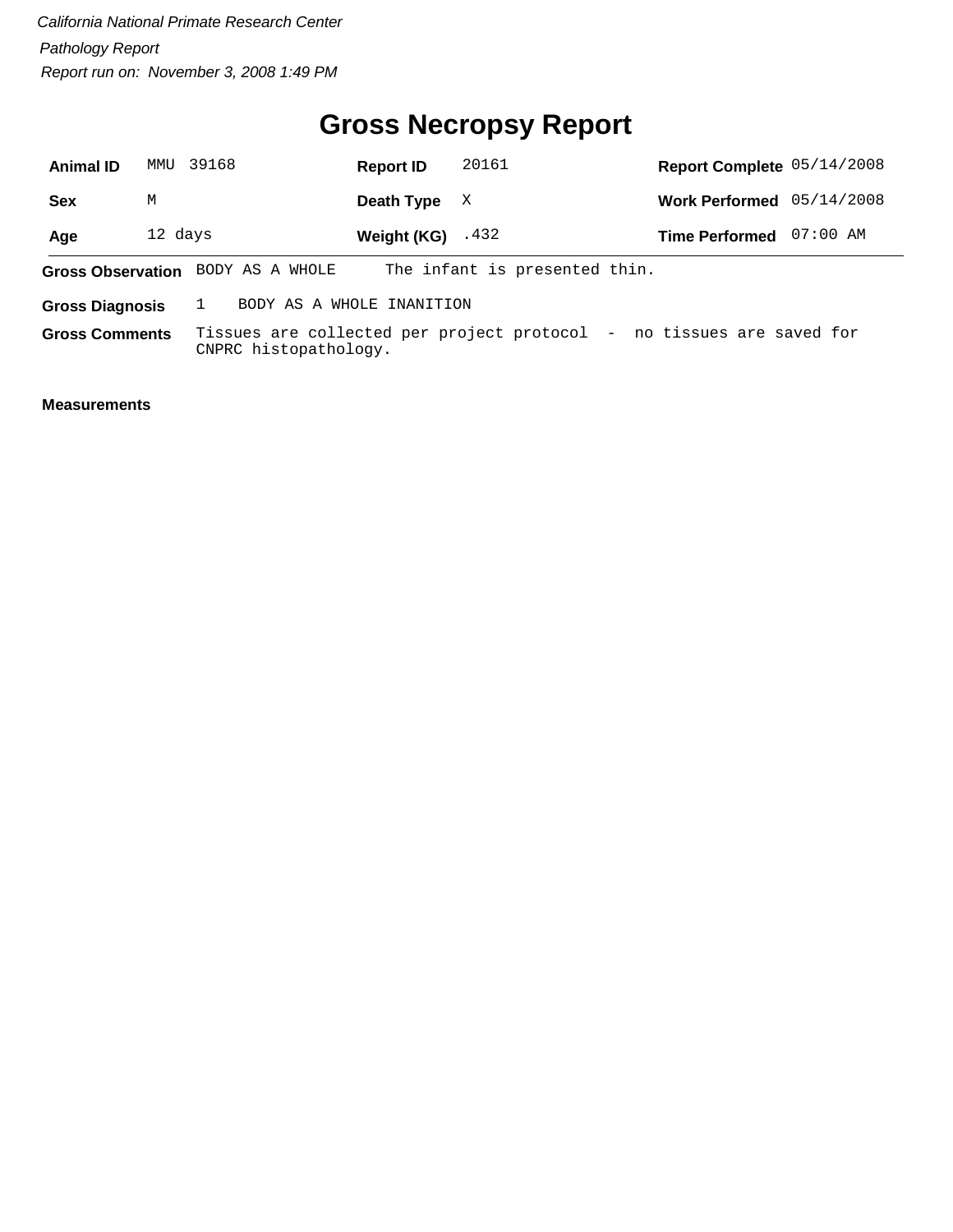# **Gross Necropsy Report**

| <b>Animal ID</b>      | MMTJ                                                | 39168                             | <b>Report ID</b>    | 20161                                                                 | Report Complete 05/14/2008 |          |
|-----------------------|-----------------------------------------------------|-----------------------------------|---------------------|-----------------------------------------------------------------------|----------------------------|----------|
| <b>Sex</b>            | M                                                   |                                   | Death Type          | X                                                                     | Work Performed 05/14/2008  |          |
| Age                   | 12 days                                             |                                   | Weight $(KG)$ . 432 |                                                                       | <b>Time Performed</b>      | 07:00 AM |
|                       |                                                     | Gross Observation BODY AS A WHOLE |                     | The infant is presented thin.                                         |                            |          |
|                       | BODY AS A WHOLE INANITION<br><b>Gross Diagnosis</b> |                                   |                     |                                                                       |                            |          |
| <b>Gross Comments</b> |                                                     | CNPRC histopathology.             |                     | Tissues are collected per project protocol - no tissues are saved for |                            |          |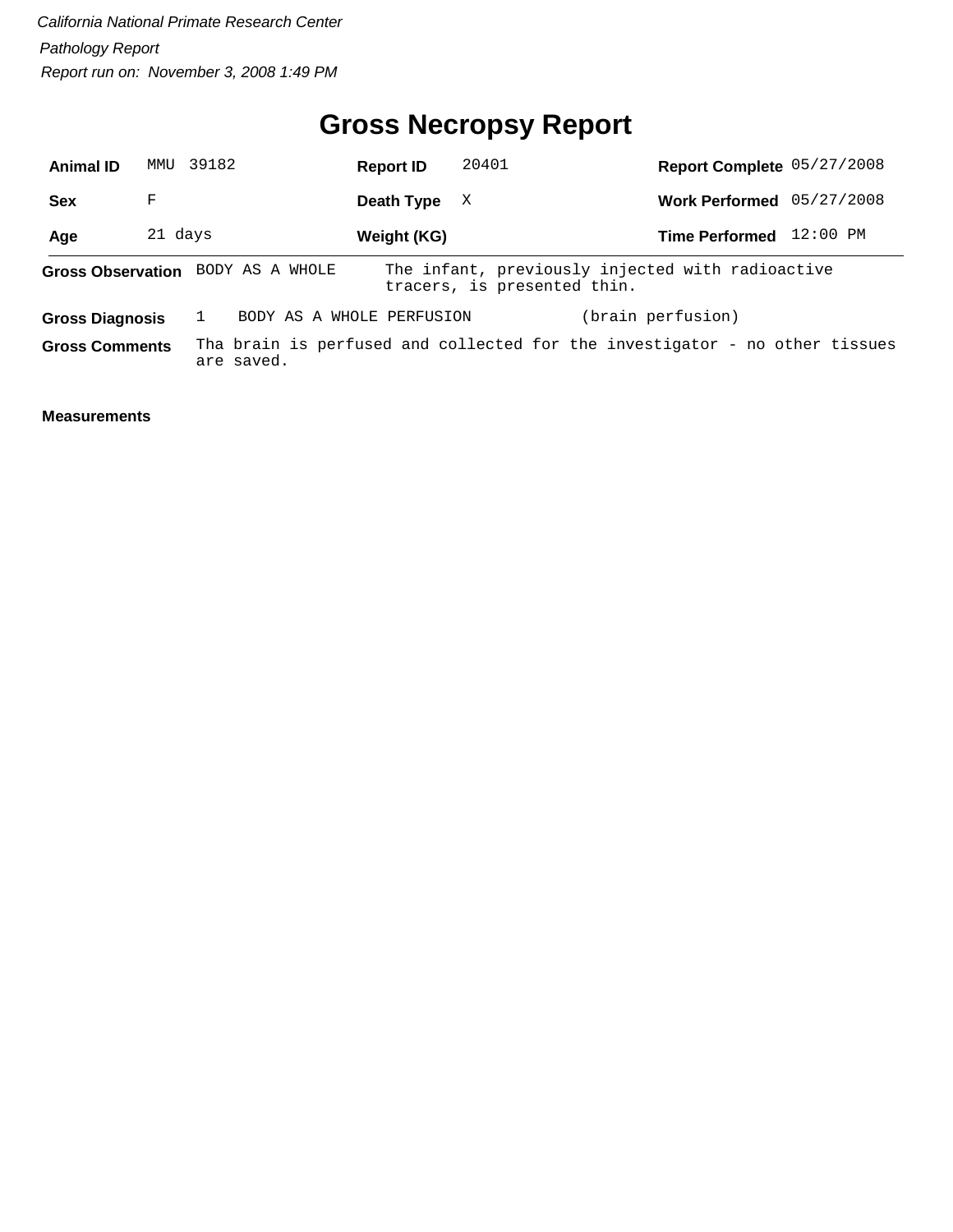# **Gross Necropsy Report**

| <b>Animal ID</b>       |         | MMU 39182                         | <b>Report ID</b> | 20401                       | Report Complete 05/27/2008                                                  |            |
|------------------------|---------|-----------------------------------|------------------|-----------------------------|-----------------------------------------------------------------------------|------------|
| <b>Sex</b>             | F       |                                   | Death Type       | X                           | Work Performed 05/27/2008                                                   |            |
| Age                    | 21 days |                                   | Weight (KG)      |                             | <b>Time Performed</b>                                                       | $12:00$ PM |
|                        |         | Gross Observation BODY AS A WHOLE |                  | tracers, is presented thin. | The infant, previously injected with radioactive                            |            |
| <b>Gross Diagnosis</b> |         | BODY AS A WHOLE PERFUSION         |                  |                             | (brain perfusion)                                                           |            |
| <b>Gross Comments</b>  |         | are saved.                        |                  |                             | Tha brain is perfused and collected for the investigator - no other tissues |            |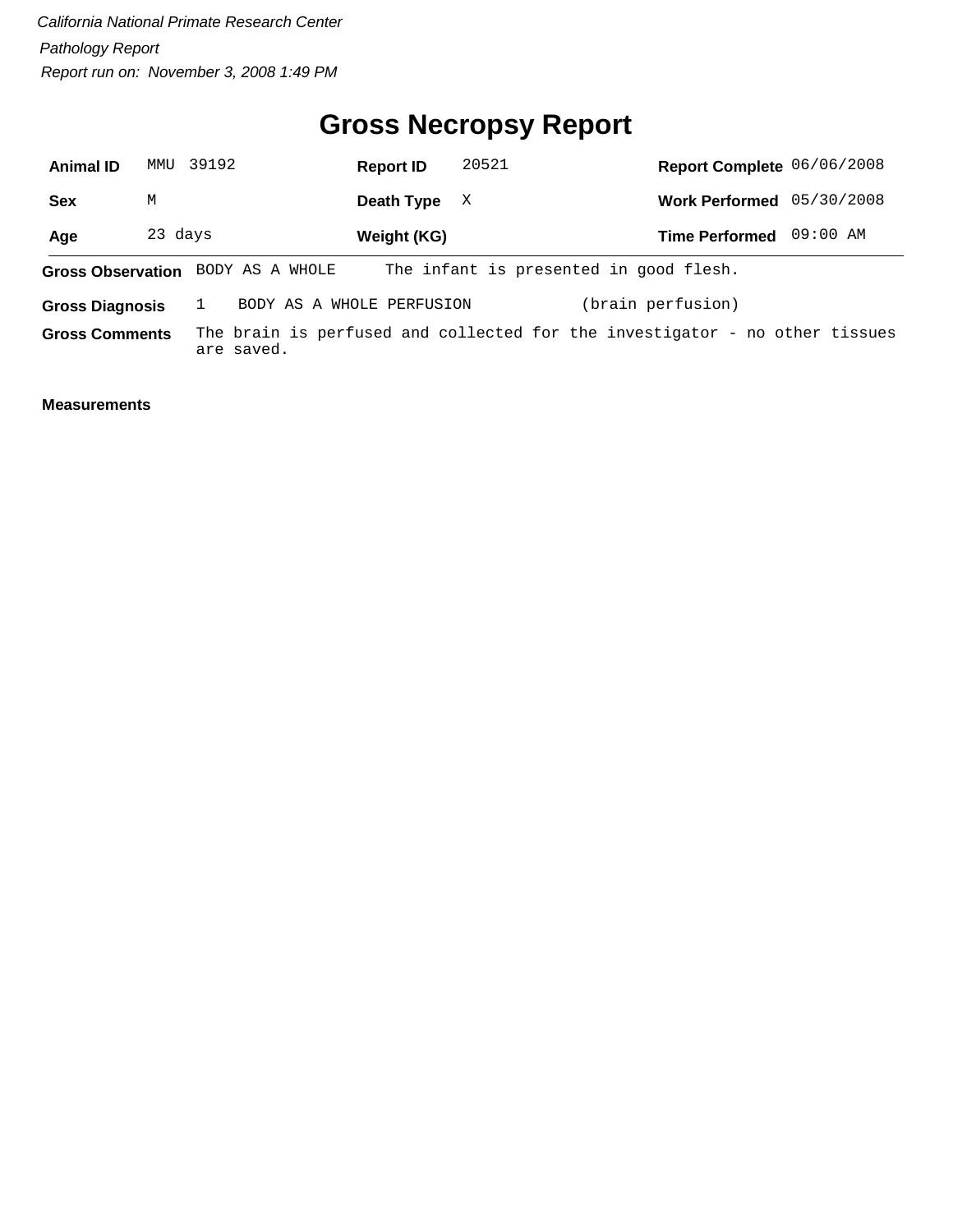# **Gross Necropsy Report**

| <b>Animal ID</b>       | MMU     | 39192                             | <b>Report ID</b> | 20521                                  | Report Complete 06/06/2008                                                  |            |
|------------------------|---------|-----------------------------------|------------------|----------------------------------------|-----------------------------------------------------------------------------|------------|
| <b>Sex</b>             | М       |                                   | Death Type       | X                                      | <b>Work Performed</b>                                                       | 05/30/2008 |
| Age                    | 23 days |                                   | Weight (KG)      |                                        | <b>Time Performed</b>                                                       | 09:00 AM   |
|                        |         | Gross Observation BODY AS A WHOLE |                  | The infant is presented in good flesh. |                                                                             |            |
| <b>Gross Diagnosis</b> |         | BODY AS A WHOLE PERFUSION         |                  |                                        | (brain perfusion)                                                           |            |
| <b>Gross Comments</b>  |         | are saved.                        |                  |                                        | The brain is perfused and collected for the investigator - no other tissues |            |